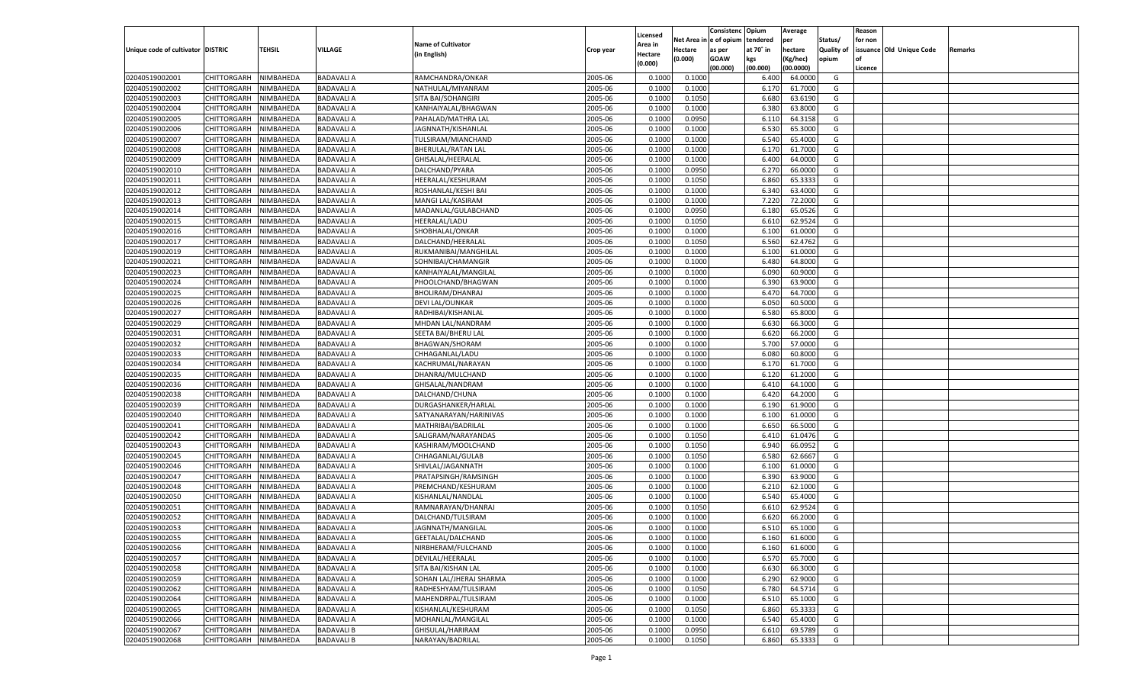|                                   |                       |               |                   |                           |           |                    |            | Consistenc Opium |           | Average   |                   | Reason  |                          |                |
|-----------------------------------|-----------------------|---------------|-------------------|---------------------------|-----------|--------------------|------------|------------------|-----------|-----------|-------------------|---------|--------------------------|----------------|
|                                   |                       |               |                   | <b>Name of Cultivator</b> |           | Licensed           | Net Area i | n  e of opium    | tendered  | per       | Status/           | for non |                          |                |
| Unique code of cultivator DISTRIC |                       | <b>TEHSIL</b> | VILLAGE           |                           | Crop year | \rea in            | Hectare    | as per           | at 70° in | hectare   | <b>Quality of</b> |         | issuance Old Unique Code | <b>Remarks</b> |
|                                   |                       |               |                   | (in English)              |           | Hectare<br>(0.000) | (0.000)    | <b>GOAW</b>      | kgs       | (Kg/hec)  | opium             |         |                          |                |
|                                   |                       |               |                   |                           |           |                    |            | (00.000)         | (00.000)  | (00.0000) |                   | Licence |                          |                |
| 02040519002001                    | CHITTORGARH           | NIMBAHEDA     | <b>BADAVALI A</b> | RAMCHANDRA/ONKAR          | 2005-06   | 0.1000             | 0.1000     |                  | 6.400     | 64.0000   | G                 |         |                          |                |
| 02040519002002                    | CHITTORGARH           | NIMBAHEDA     | <b>BADAVALI A</b> | NATHULAL/MIYANRAM         | 2005-06   | 0.1000             | 0.1000     |                  | 6.17      | 61.7000   | G                 |         |                          |                |
| 02040519002003                    | CHITTORGARH           | NIMBAHEDA     | <b>BADAVALI A</b> | SITA BAI/SOHANGIRI        | 2005-06   | 0.1000             | 0.1050     |                  | 6.680     | 63.6190   | G                 |         |                          |                |
| 02040519002004                    | CHITTORGARH           | NIMBAHEDA     | <b>BADAVALI A</b> | KANHAIYALAL/BHAGWAN       | 2005-06   | 0.1000             | 0.1000     |                  | 6.380     | 63.8000   | G                 |         |                          |                |
| 02040519002005                    | CHITTORGARH           | NIMBAHEDA     | <b>BADAVALI A</b> | PAHALAD/MATHRA LAL        | 2005-06   | 0.1000             | 0.0950     |                  | 6.11      | 64.3158   | G                 |         |                          |                |
| 02040519002006                    | CHITTORGARH           | NIMBAHEDA     | <b>BADAVALI A</b> | JAGNNATH/KISHANLAL        | 2005-06   | 0.1000             | 0.1000     |                  | 6.530     | 65.3000   | G                 |         |                          |                |
| 02040519002007                    | CHITTORGARH           | NIMBAHEDA     | <b>BADAVALI A</b> | TULSIRAM/MIANCHAND        | 2005-06   | 0.1000             | 0.1000     |                  | 6.540     | 65.4000   | G                 |         |                          |                |
| 02040519002008                    | CHITTORGARH           | NIMBAHEDA     | <b>BADAVALI A</b> | <b>BHERULAL/RATAN LAL</b> | 2005-06   | 0.1000             | 0.1000     |                  | 6.17      | 61.7000   | G                 |         |                          |                |
| 02040519002009                    | CHITTORGARH           | NIMBAHEDA     | <b>BADAVALI A</b> | GHISALAL/HEERALAL         | 2005-06   | 0.1000             | 0.1000     |                  | 6.400     | 64.0000   | G                 |         |                          |                |
| 02040519002010                    | CHITTORGARH           | NIMBAHEDA     | <b>BADAVALI A</b> | DALCHAND/PYARA            | 2005-06   | 0.1000             | 0.0950     |                  | 6.27      | 66.0000   | G                 |         |                          |                |
| 02040519002011                    | CHITTORGARH           | NIMBAHEDA     | <b>BADAVALI A</b> | HEERALAL/KESHURAM         | 2005-06   | 0.1000             | 0.1050     |                  | 6.860     | 65.3333   | G                 |         |                          |                |
| 02040519002012                    | CHITTORGARH           | NIMBAHEDA     | <b>BADAVALI A</b> | ROSHANLAL/KESHI BAI       | 2005-06   | 0.1000             | 0.1000     |                  | 6.340     | 63.4000   | G                 |         |                          |                |
| 02040519002013                    | CHITTORGARH           | NIMBAHEDA     | <b>BADAVALI A</b> | MANGI LAL/KASIRAM         | 2005-06   | 0.1000             | 0.1000     |                  | 7.220     | 72.2000   | G                 |         |                          |                |
| 02040519002014                    | CHITTORGARH           | NIMBAHEDA     | <b>BADAVALI A</b> | MADANLAL/GULABCHAND       | 2005-06   | 0.1000             | 0.0950     |                  | 6.180     | 65.0526   | G                 |         |                          |                |
| 02040519002015                    | CHITTORGARH           | NIMBAHEDA     | <b>BADAVALI A</b> | HEERALAL/LADU             | 2005-06   | 0.1000             | 0.1050     |                  | 6.610     | 62.9524   | G                 |         |                          |                |
| 02040519002016                    | CHITTORGARH           | NIMBAHEDA     | <b>BADAVALI A</b> | SHOBHALAL/ONKAR           | 2005-06   | 0.1000             | 0.1000     |                  | 6.100     | 61.0000   | G                 |         |                          |                |
| 02040519002017                    | CHITTORGARH           | NIMBAHEDA     | <b>BADAVALI A</b> | DALCHAND/HEERALAL         | 2005-06   | 0.1000             | 0.1050     |                  | 6.560     | 62.4762   | G                 |         |                          |                |
| 02040519002019                    | CHITTORGARH           | NIMBAHEDA     | <b>BADAVALI A</b> | RUKMANIBAI/MANGHILAL      | 2005-06   | 0.1000             | 0.1000     |                  | 6.100     | 61.0000   | G                 |         |                          |                |
| 02040519002021                    | CHITTORGARH           | NIMBAHEDA     | <b>BADAVALI A</b> | SOHNIBAI/CHAMANGIR        | 2005-06   | 0.1000             | 0.1000     |                  | 6.480     | 64.8000   | G                 |         |                          |                |
| 02040519002023                    | CHITTORGARH           | NIMBAHEDA     | <b>BADAVALI A</b> | KANHAIYALAL/MANGILAL      | 2005-06   | 0.1000             | 0.1000     |                  | 6.090     | 60.9000   | G                 |         |                          |                |
| 02040519002024                    | CHITTORGARH           | NIMBAHEDA     | <b>BADAVALI A</b> | PHOOLCHAND/BHAGWAN        | 2005-06   | 0.1000             | 0.1000     |                  | 6.390     | 63.9000   | G                 |         |                          |                |
| 02040519002025                    | CHITTORGARH           | NIMBAHEDA     | <b>BADAVALI A</b> | BHOLIRAM/DHANRAJ          | 2005-06   | 0.1000             | 0.1000     |                  | 6.470     | 64.7000   | G                 |         |                          |                |
| 02040519002026                    | CHITTORGARH           | NIMBAHEDA     | <b>BADAVALI A</b> | DEVI LAL/OUNKAR           | 2005-06   | 0.1000             | 0.1000     |                  | 6.050     | 60.5000   | G                 |         |                          |                |
| 02040519002027                    | CHITTORGARH           | NIMBAHEDA     | <b>BADAVALI A</b> | RADHIBAI/KISHANLAI        | 2005-06   | 0.1000             | 0.1000     |                  | 6.580     | 65.8000   | G                 |         |                          |                |
| 02040519002029                    | CHITTORGARH           | NIMBAHEDA     | <b>BADAVALI A</b> | MHDAN LAL/NANDRAM         | 2005-06   | 0.1000             | 0.1000     |                  | 6.630     | 66.3000   | G                 |         |                          |                |
|                                   |                       |               |                   |                           |           |                    |            |                  |           |           | G                 |         |                          |                |
| 02040519002031<br>02040519002032  | CHITTORGARH           | NIMBAHEDA     | <b>BADAVALI A</b> | SEETA BAI/BHERU LAL       | 2005-06   | 0.1000             | 0.1000     |                  | 6.620     | 66.2000   |                   |         |                          |                |
|                                   | CHITTORGARH           | NIMBAHEDA     | <b>BADAVALI A</b> | <b>BHAGWAN/SHORAM</b>     | 2005-06   | 0.1000             | 0.1000     |                  | 5.700     | 57.0000   | G                 |         |                          |                |
| 02040519002033                    | CHITTORGARH           | NIMBAHEDA     | <b>BADAVALI A</b> | CHHAGANLAL/LADU           | 2005-06   | 0.1000             | 0.1000     |                  | 6.080     | 60.8000   | G                 |         |                          |                |
| 02040519002034                    | CHITTORGARH           | NIMBAHEDA     | <b>BADAVALI A</b> | KACHRUMAL/NARAYAN         | 2005-06   | 0.1000             | 0.1000     |                  | 6.170     | 61.7000   | G                 |         |                          |                |
| 02040519002035                    | CHITTORGARH           | NIMBAHEDA     | <b>BADAVALI A</b> | DHANRAJ/MULCHAND          | 2005-06   | 0.1000             | 0.1000     |                  | 6.120     | 61.2000   | G                 |         |                          |                |
| 02040519002036                    | CHITTORGARH           | NIMBAHEDA     | <b>BADAVALI A</b> | GHISALAL/NANDRAM          | 2005-06   | 0.1000             | 0.1000     |                  | 6.410     | 64.1000   | G                 |         |                          |                |
| 02040519002038                    | CHITTORGARH           | NIMBAHEDA     | <b>BADAVALI A</b> | DALCHAND/CHUNA            | 2005-06   | 0.1000             | 0.1000     |                  | 6.420     | 64.2000   | G                 |         |                          |                |
| 02040519002039                    | CHITTORGARH           | NIMBAHEDA     | <b>BADAVALI A</b> | DURGASHANKER/HARLAL       | 2005-06   | 0.1000             | 0.1000     |                  | 6.190     | 61.9000   | G                 |         |                          |                |
| 02040519002040                    | CHITTORGARH           | NIMBAHEDA     | <b>BADAVALI A</b> | SATYANARAYAN/HARINIVAS    | 2005-06   | 0.1000             | 0.1000     |                  | 6.100     | 61.0000   | G                 |         |                          |                |
| 02040519002041                    | CHITTORGARH           | NIMBAHEDA     | <b>BADAVALI A</b> | MATHRIBAI/BADRILAL        | 2005-06   | 0.1000             | 0.1000     |                  | 6.650     | 66.5000   | G                 |         |                          |                |
| 02040519002042                    | CHITTORGARH           | NIMBAHEDA     | <b>BADAVALI A</b> | SALIGRAM/NARAYANDAS       | 2005-06   | 0.1000             | 0.1050     |                  | 6.41      | 61.0476   | G                 |         |                          |                |
| 02040519002043                    | CHITTORGARH           | NIMBAHEDA     | <b>BADAVALI A</b> | KASHIRAM/MOOLCHAND        | 2005-06   | 0.1000             | 0.1050     |                  | 6.940     | 66.095    | G                 |         |                          |                |
| 02040519002045                    | CHITTORGARH           | NIMBAHEDA     | <b>BADAVALI A</b> | CHHAGANLAL/GULAB          | 2005-06   | 0.1000             | 0.1050     |                  | 6.580     | 62.6667   | G                 |         |                          |                |
| 02040519002046                    | CHITTORGARH           | NIMBAHEDA     | <b>BADAVALI A</b> | SHIVLAL/JAGANNATH         | 2005-06   | 0.1000             | 0.1000     |                  | 6.100     | 61.0000   | G                 |         |                          |                |
| 02040519002047                    | CHITTORGARH           | NIMBAHEDA     | <b>BADAVALI A</b> | PRATAPSINGH/RAMSINGH      | 2005-06   | 0.1000             | 0.1000     |                  | 6.390     | 63.9000   | G                 |         |                          |                |
| 02040519002048                    | CHITTORGARH           | NIMBAHEDA     | <b>BADAVALI A</b> | PREMCHAND/KESHURAM        | 2005-06   | 0.1000             | 0.1000     |                  | 6.210     | 62.1000   | G                 |         |                          |                |
| 02040519002050                    | CHITTORGARH           | NIMBAHEDA     | <b>BADAVALI A</b> | KISHANLAL/NANDLAL         | 2005-06   | 0.1000             | 0.1000     |                  | 6.540     | 65.4000   | G                 |         |                          |                |
| 02040519002051                    | CHITTORGARH           | NIMBAHEDA     | <b>BADAVALI A</b> | RAMNARAYAN/DHANRAJ        | 2005-06   | 0.1000             | 0.1050     |                  | 6.610     | 62.9524   | G                 |         |                          |                |
| 02040519002052                    | CHITTORGARH           | NIMBAHEDA     | <b>BADAVALI A</b> | DALCHAND/TULSIRAM         | 2005-06   | 0.1000             | 0.1000     |                  | 6.620     | 66.2000   | G                 |         |                          |                |
| 02040519002053                    | CHITTORGARH           | NIMBAHEDA     | <b>BADAVALI A</b> | JAGNNATH/MANGILAL         | 2005-06   | 0.1000             | 0.1000     |                  | 6.510     | 65.1000   | G                 |         |                          |                |
| 02040519002055                    | CHITTORGARH NIMBAHEDA |               | <b>BADAVALI A</b> | GEETALAL/DALCHAND         | 2005-06   | 0.1000             | 0.1000     |                  | 6.160     | 61.6000   | G                 |         |                          |                |
| 02040519002056                    | CHITTORGARH           | NIMBAHEDA     | <b>BADAVALI A</b> | NIRBHERAM/FULCHAND        | 2005-06   | 0.1000             | 0.1000     |                  | 6.160     | 61.6000   | G                 |         |                          |                |
| 02040519002057                    | CHITTORGARH           | NIMBAHEDA     | <b>BADAVALI A</b> | DEVILAL/HEERALAL          | 2005-06   | 0.1000             | 0.1000     |                  | 6.570     | 65.7000   | G                 |         |                          |                |
| 02040519002058                    | <b>CHITTORGARH</b>    | NIMBAHEDA     | <b>BADAVALI A</b> | SITA BAI/KISHAN LAL       | 2005-06   | 0.1000             | 0.1000     |                  | 6.630     | 66.3000   | G                 |         |                          |                |
| 02040519002059                    | <b>CHITTORGARH</b>    | NIMBAHEDA     | <b>BADAVALI A</b> | SOHAN LAL/JHERAJ SHARMA   | 2005-06   | 0.1000             | 0.1000     |                  | 6.290     | 62.9000   | G                 |         |                          |                |
| 02040519002062                    | CHITTORGARH           | NIMBAHEDA     | <b>BADAVALI A</b> | RADHESHYAM/TULSIRAM       | 2005-06   | 0.1000             | 0.1050     |                  | 6.780     | 64.5714   | G                 |         |                          |                |
| 02040519002064                    | CHITTORGARH           | NIMBAHEDA     | <b>BADAVALI A</b> | MAHENDRPAL/TULSIRAM       | 2005-06   | 0.1000             | 0.1000     |                  | 6.510     | 65.1000   | G                 |         |                          |                |
| 02040519002065                    | <b>CHITTORGARH</b>    | NIMBAHEDA     | <b>BADAVALI A</b> | KISHANLAL/KESHURAM        | 2005-06   | 0.1000             | 0.1050     |                  | 6.860     | 65.3333   | G                 |         |                          |                |
| 02040519002066                    | CHITTORGARH           | NIMBAHEDA     | <b>BADAVALI A</b> | MOHANLAL/MANGILAL         | 2005-06   | 0.1000             | 0.1000     |                  | 6.540     | 65.4000   | G                 |         |                          |                |
| 02040519002067                    | CHITTORGARH           | NIMBAHEDA     | <b>BADAVALI B</b> | GHISULAL/HARIRAM          | 2005-06   | 0.1000             | 0.0950     |                  | 6.610     | 69.5789   | G                 |         |                          |                |
| 02040519002068                    | CHITTORGARH           | NIMBAHEDA     | <b>BADAVALI B</b> | NARAYAN/BADRILAL          | 2005-06   | 0.1000             | 0.1050     |                  | 6.860     | 65.3333   | G                 |         |                          |                |
|                                   |                       |               |                   |                           |           |                    |            |                  |           |           |                   |         |                          |                |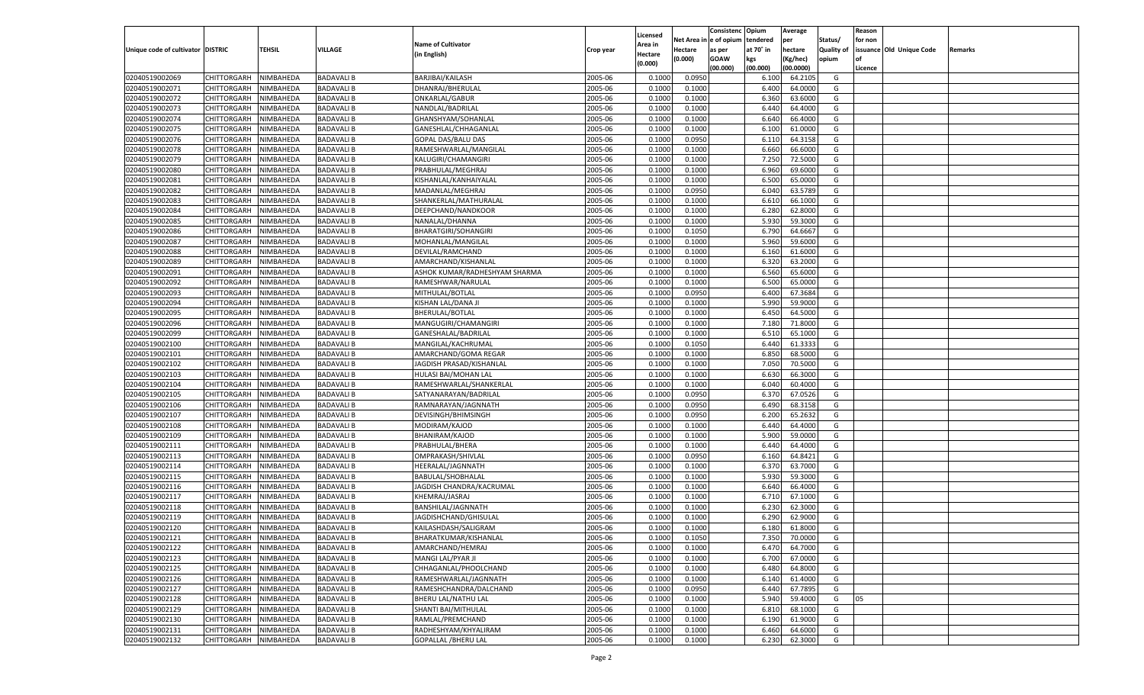|                                   |                       |               |                   |                                           |           |                           |          | Consistenc  | Opium     | Average   |                   | Reason  |                          |         |
|-----------------------------------|-----------------------|---------------|-------------------|-------------------------------------------|-----------|---------------------------|----------|-------------|-----------|-----------|-------------------|---------|--------------------------|---------|
|                                   |                       |               |                   | <b>Name of Cultivator</b>                 |           | Licensed                  | Net Area | e of opium  | tendered  | per       | Status/           | for non |                          |         |
| Unique code of cultivator DISTRIC |                       | <b>TEHSIL</b> | VILLAGE           | (in English)                              | Crop year | <b>Area in</b><br>Hectare | Hectare  | as per      | at 70° in | hectare   | <b>Quality of</b> |         | issuance Old Unique Code | Remarks |
|                                   |                       |               |                   |                                           |           | (0.000)                   | (0.000)  | <b>GOAW</b> | kgs       | (Kg/hec)  | opium             |         |                          |         |
|                                   |                       |               |                   |                                           |           |                           |          | (00.000)    | (00.000)  | (00.0000) |                   | Licence |                          |         |
| 02040519002069                    | CHITTORGARH           | NIMBAHEDA     | <b>BADAVALI B</b> | BARJIBAI/KAILASH                          | 2005-06   | 0.1000                    | 0.0950   |             | 6.100     | 64.210    | G                 |         |                          |         |
| 02040519002071                    | CHITTORGARH           | NIMBAHEDA     | <b>BADAVALI B</b> | DHANRAJ/BHERULAL                          | 2005-06   | 0.1000                    | 0.1000   |             | 6.400     | 64.0000   | G                 |         |                          |         |
| 02040519002072                    | CHITTORGARH           | NIMBAHEDA     | <b>BADAVALI B</b> | ONKARLAL/GABUR                            | 2005-06   | 0.1000                    | 0.1000   |             | 6.360     | 63.6000   | G                 |         |                          |         |
| 02040519002073                    | CHITTORGARH           | NIMBAHEDA     | <b>BADAVALI B</b> | NANDLAL/BADRILAL                          | 2005-06   | 0.1000                    | 0.1000   |             | 6.440     | 64.4000   | G                 |         |                          |         |
| 02040519002074                    | CHITTORGARH           | NIMBAHEDA     | <b>BADAVALI B</b> | GHANSHYAM/SOHANLAL                        | 2005-06   | 0.1000                    | 0.1000   |             | 6.640     | 66.4000   | G                 |         |                          |         |
| 02040519002075                    | CHITTORGARH           | NIMBAHEDA     | <b>BADAVALI B</b> | GANESHLAL/CHHAGANLAL                      | 2005-06   | 0.1000                    | 0.1000   |             | 6.100     | 61.0000   | G                 |         |                          |         |
| 02040519002076                    | CHITTORGARH           | NIMBAHEDA     | <b>BADAVALI B</b> | GOPAL DAS/BALU DAS                        | 2005-06   | 0.1000                    | 0.0950   |             | 6.11      | 64.3158   | G                 |         |                          |         |
| 02040519002078                    | CHITTORGARH           | NIMBAHEDA     | <b>BADAVALI B</b> | RAMESHWARLAL/MANGILAL                     | 2005-06   | 0.1000                    | 0.1000   |             | 6.660     | 66.6000   | G                 |         |                          |         |
| 02040519002079                    | CHITTORGARH           | NIMBAHEDA     | <b>BADAVALI B</b> | KALUGIRI/CHAMANGIRI                       | 2005-06   | 0.1000                    | 0.1000   |             | 7.250     | 72.5000   | G                 |         |                          |         |
| 02040519002080                    | CHITTORGARH           | NIMBAHEDA     | <b>BADAVALI B</b> | PRABHULAL/MEGHRAJ                         | 2005-06   | 0.1000                    | 0.1000   |             | 6.960     | 69.6000   | G                 |         |                          |         |
| 02040519002081                    | CHITTORGARH           | NIMBAHEDA     | <b>BADAVALI B</b> | KISHANLAL/KANHAIYALAL                     | 2005-06   | 0.1000                    | 0.1000   |             | 6.500     | 65.0000   | G                 |         |                          |         |
| 02040519002082                    | CHITTORGARH           | NIMBAHEDA     | <b>BADAVALI B</b> | MADANLAL/MEGHRAJ                          | 2005-06   | 0.1000                    | 0.0950   |             | 6.040     | 63.5789   | G                 |         |                          |         |
| 02040519002083                    | CHITTORGARH           | NIMBAHEDA     | <b>BADAVALI B</b> | SHANKERLAL/MATHURALAL                     | 2005-06   | 0.1000                    | 0.1000   |             | 6.610     | 66.1000   | G                 |         |                          |         |
| 02040519002084                    | CHITTORGARH           | NIMBAHEDA     | <b>BADAVALI B</b> | DEEPCHAND/NANDKOOR                        | 2005-06   | 0.1000                    | 0.1000   |             | 6.280     | 62.8000   | G                 |         |                          |         |
| 02040519002085                    | CHITTORGARH           | NIMBAHEDA     | <b>BADAVALI B</b> | NANALAL/DHANNA                            | 2005-06   | 0.1000                    | 0.1000   |             | 5.930     | 59.3000   | G                 |         |                          |         |
| 02040519002086                    | CHITTORGARH           | NIMBAHEDA     | <b>BADAVALI B</b> | <b>BHARATGIRI/SOHANGIRI</b>               | 2005-06   | 0.1000                    | 0.1050   |             | 6.790     | 64.6667   | G                 |         |                          |         |
| 02040519002087                    | CHITTORGARH           | NIMBAHEDA     | <b>BADAVALI B</b> | MOHANLAL/MANGILAL                         | 2005-06   | 0.1000                    | 0.1000   |             | 5.960     | 59.6000   | G                 |         |                          |         |
| 02040519002088                    | CHITTORGARH           | NIMBAHEDA     | <b>BADAVALI B</b> | DEVILAL/RAMCHAND                          | 2005-06   | 0.1000                    | 0.1000   |             | 6.160     | 61.6000   | G                 |         |                          |         |
| 02040519002089                    | CHITTORGARH           | NIMBAHEDA     | <b>BADAVALI B</b> | AMARCHAND/KISHANLAI                       | 2005-06   | 0.1000                    | 0.1000   |             | 6.320     | 63.2000   | G                 |         |                          |         |
| 02040519002091                    | CHITTORGARH           | NIMBAHEDA     | <b>BADAVALI B</b> | ASHOK KUMAR/RADHESHYAM SHARMA             | 2005-06   | 0.1000                    | 0.1000   |             | 6.560     | 65.6000   | G                 |         |                          |         |
| 02040519002092                    | CHITTORGARH           | NIMBAHEDA     | <b>BADAVALI B</b> | RAMESHWAR/NARULAL                         | 2005-06   | 0.1000                    | 0.1000   |             | 6.500     | 65.0000   | G                 |         |                          |         |
| 02040519002093                    | CHITTORGARH           | NIMBAHEDA     | <b>BADAVALI B</b> | MITHULAL/BOTLAL                           | 2005-06   | 0.1000                    | 0.0950   |             | 6.400     | 67.3684   | G                 |         |                          |         |
| 02040519002094                    | CHITTORGARH           | NIMBAHEDA     | <b>BADAVALI B</b> | KISHAN LAL/DANA JI                        | 2005-06   | 0.1000                    | 0.1000   |             | 5.990     | 59.9000   | G                 |         |                          |         |
| 02040519002095                    | CHITTORGARH           | NIMBAHEDA     | <b>BADAVALI B</b> | <b>BHERULAL/BOTLAL</b>                    | 2005-06   | 0.1000                    | 0.1000   |             | 6.450     | 64.5000   | G                 |         |                          |         |
| 02040519002096                    | CHITTORGARH           | NIMBAHEDA     | <b>BADAVALI B</b> | MANGUGIRI/CHAMANGIRI                      | 2005-06   | 0.1000                    | 0.1000   |             | 7.180     | 71.8000   | G                 |         |                          |         |
| 02040519002099                    | CHITTORGARH           | NIMBAHEDA     | <b>BADAVALI B</b> | GANESHALAL/BADRILAL                       | 2005-06   | 0.1000                    | 0.1000   |             | 6.510     | 65.1000   | G                 |         |                          |         |
| 02040519002100                    | CHITTORGARH           | NIMBAHEDA     | <b>BADAVALI B</b> | MANGILAL/KACHRUMAL                        | 2005-06   | 0.1000                    | 0.1050   |             | 6.440     | 61.3333   | G                 |         |                          |         |
| 02040519002101                    | CHITTORGARH           | NIMBAHEDA     | <b>BADAVALI B</b> | AMARCHAND/GOMA REGAR                      | 2005-06   | 0.1000                    | 0.1000   |             | 6.850     | 68.5000   | G                 |         |                          |         |
| 02040519002102                    | CHITTORGARH           | NIMBAHEDA     | <b>BADAVALI B</b> | JAGDISH PRASAD/KISHANLAL                  | 2005-06   | 0.1000                    | 0.1000   |             | 7.050     | 70.5000   | G                 |         |                          |         |
| 02040519002103                    | CHITTORGARH           | NIMBAHEDA     | <b>BADAVALI B</b> | HULASI BAI/MOHAN LAL                      | 2005-06   | 0.1000                    | 0.1000   |             | 6.630     | 66.3000   | G                 |         |                          |         |
| 02040519002104                    | CHITTORGARH           | NIMBAHEDA     | <b>BADAVALI B</b> | RAMESHWARLAL/SHANKERLAL                   | 2005-06   | 0.1000                    | 0.1000   |             | 6.040     | 60.4000   | G                 |         |                          |         |
| 02040519002105                    | CHITTORGARH           | NIMBAHEDA     | <b>BADAVALI B</b> | SATYANARAYAN/BADRILAI                     | 2005-06   | 0.1000                    | 0.0950   |             | 6.370     | 67.0526   | G                 |         |                          |         |
| 02040519002106                    | CHITTORGARH           | NIMBAHEDA     | <b>BADAVALI B</b> | RAMNARAYAN/JAGNNATH                       | 2005-06   | 0.1000                    | 0.0950   |             | 6.490     | 68.3158   | G                 |         |                          |         |
| 02040519002107                    | CHITTORGARH           | NIMBAHEDA     | <b>BADAVALI B</b> | DEVISINGH/BHIMSINGH                       | 2005-06   | 0.1000                    | 0.0950   |             | 6.200     | 65.2632   | G                 |         |                          |         |
| 02040519002108                    | CHITTORGARH           | NIMBAHEDA     | <b>BADAVALI B</b> | MODIRAM/KAJOD                             | 2005-06   | 0.1000                    | 0.1000   |             | 6.44      | 64.4000   | G                 |         |                          |         |
| 02040519002109                    | CHITTORGARH           | NIMBAHEDA     | <b>BADAVALI B</b> | BHANIRAM/KAJOD                            | 2005-06   | 0.1000                    | 0.1000   |             | 5.900     | 59.0000   | G                 |         |                          |         |
| 02040519002111                    | CHITTORGARH           | NIMBAHEDA     | <b>BADAVALI B</b> | PRABHULAL/BHERA                           | 2005-06   | 0.1000                    | 0.1000   |             | 6.440     | 64.4000   | G                 |         |                          |         |
| 02040519002113                    | CHITTORGARH           | NIMBAHEDA     | <b>BADAVALI B</b> | OMPRAKASH/SHIVLAL                         | 2005-06   | 0.1000                    | 0.0950   |             | 6.160     | 64.8421   | G                 |         |                          |         |
| 02040519002114                    | CHITTORGARH           | NIMBAHEDA     | <b>BADAVALI B</b> | HEERALAL/JAGNNATH                         | 2005-06   | 0.1000                    | 0.1000   |             | 6.370     | 63.7000   | G                 |         |                          |         |
| 02040519002115                    | CHITTORGARH           | NIMBAHEDA     | <b>BADAVALI B</b> | BABULAL/SHOBHALAL                         | 2005-06   | 0.1000                    | 0.1000   |             | 5.930     | 59.3000   | G                 |         |                          |         |
| 02040519002116                    | CHITTORGARH           | NIMBAHEDA     | <b>BADAVALI B</b> | JAGDISH CHANDRA/KACRUMAL                  | 2005-06   | 0.1000                    | 0.1000   |             | 6.640     | 66.4000   | G                 |         |                          |         |
| 02040519002117                    | CHITTORGARH           | NIMBAHEDA     | <b>BADAVALI B</b> | KHEMRAJ/JASRAJ                            | 2005-06   | 0.1000                    | 0.1000   |             | 6.710     | 67.1000   | G                 |         |                          |         |
| 02040519002118                    | CHITTORGARH           | NIMBAHEDA     | <b>BADAVALI B</b> | BANSHILAL/JAGNNATH                        | 2005-06   | 0.1000                    | 0.1000   |             | 6.230     | 62.3000   | G                 |         |                          |         |
| 02040519002119                    | CHITTORGARH           | NIMBAHEDA     | <b>BADAVALI B</b> | JAGDISHCHAND/GHISULAL                     | 2005-06   | 0.1000                    | 0.1000   |             | 6.290     | 62.9000   | G                 |         |                          |         |
| 02040519002120                    |                       | NIMBAHEDA     | <b>BADAVALI B</b> |                                           | 2005-06   | 0.1000                    | 0.1000   |             | 6.180     | 61.8000   | G                 |         |                          |         |
|                                   | CHITTORGARH           |               |                   | KAILASHDASH/SALIGRAM                      |           |                           |          |             |           |           |                   |         |                          |         |
| 02040519002121                    | CHITTORGARH NIMBAHEDA |               | <b>BADAVALI B</b> | BHARATKUMAR/KISHANLAL<br>AMARCHAND/HEMRAJ | 2005-06   | 0.1000                    | 0.1050   |             | 7.350     | 70.0000   | G                 |         |                          |         |
| 02040519002122                    | <b>CHITTORGARH</b>    | NIMBAHEDA     | <b>BADAVALI B</b> |                                           | 2005-06   | 0.1000                    | 0.1000   |             | 6.470     | 64.7000   | G                 |         |                          |         |
| 02040519002123                    | CHITTORGARH           | NIMBAHEDA     | <b>BADAVALI B</b> | MANGI LAL/PYAR JI                         | 2005-06   | 0.1000                    | 0.1000   |             | 6.700     | 67.0000   | G                 |         |                          |         |
| 02040519002125                    | <b>CHITTORGARH</b>    | NIMBAHEDA     | <b>BADAVALI B</b> | CHHAGANLAL/PHOOLCHAND                     | 2005-06   | 0.1000                    | 0.1000   |             | 6.480     | 64.8000   | G                 |         |                          |         |
| 02040519002126                    | <b>CHITTORGARH</b>    | NIMBAHEDA     | <b>BADAVALI B</b> | RAMESHWARLAL/JAGNNATH                     | 2005-06   | 0.1000                    | 0.1000   |             | 6.140     | 61.4000   | G                 |         |                          |         |
| 02040519002127                    | <b>CHITTORGARH</b>    | NIMBAHEDA     | <b>BADAVALI B</b> | RAMESHCHANDRA/DALCHAND                    | 2005-06   | 0.1000                    | 0.0950   |             | 6.440     | 67.7895   | G                 |         |                          |         |
| 02040519002128                    | <b>CHITTORGARH</b>    | NIMBAHEDA     | <b>BADAVALI B</b> | BHERU LAL/NATHU LAL                       | 2005-06   | 0.1000                    | 0.1000   |             | 5.940     | 59.4000   | G                 | 05      |                          |         |
| 02040519002129                    | <b>CHITTORGARH</b>    | NIMBAHEDA     | <b>BADAVALI B</b> | SHANTI BAI/MITHULAL                       | 2005-06   | 0.1000                    | 0.1000   |             | 6.810     | 68.1000   | G                 |         |                          |         |
| 02040519002130                    | <b>CHITTORGARH</b>    | NIMBAHEDA     | <b>BADAVALI B</b> | RAMLAL/PREMCHAND                          | 2005-06   | 0.1000                    | 0.1000   |             | 6.190     | 61.9000   | G                 |         |                          |         |
| 02040519002131                    | <b>CHITTORGARH</b>    | NIMBAHEDA     | <b>BADAVALI B</b> | RADHESHYAM/KHYALIRAM                      | 2005-06   | 0.1000                    | 0.1000   |             | 6.460     | 64.6000   | G                 |         |                          |         |
| 02040519002132                    | <b>CHITTORGARH</b>    | NIMBAHEDA     | <b>BADAVALI B</b> | <b>GOPALLAL /BHERU LAL</b>                | 2005-06   | 0.1000                    | 0.1000   |             | 6.230     | 62.3000   | G                 |         |                          |         |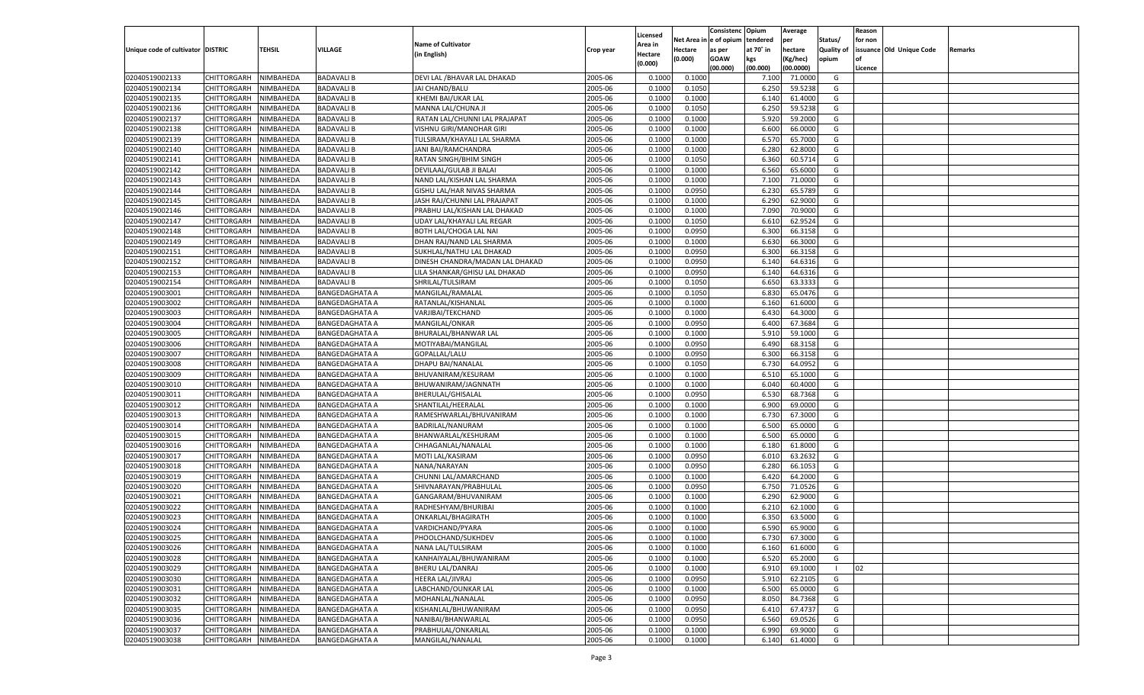|                                   |                    |           |                       |                                 |           |          |          | Consistenc Opium |           | Average   |                   | Reason    |                          |         |
|-----------------------------------|--------------------|-----------|-----------------------|---------------------------------|-----------|----------|----------|------------------|-----------|-----------|-------------------|-----------|--------------------------|---------|
|                                   |                    |           |                       |                                 |           | Licensed | Net Area | e of opium       | tendered  | per       | Status/           | for non   |                          |         |
| Unique code of cultivator DISTRIC |                    | TEHSIL    | VILLAGE               | <b>Name of Cultivator</b>       | Crop year | Area in  | Hectare  | as per           | at 70˚ in | hectare   | <b>Quality of</b> |           | issuance Old Unique Code | Remarks |
|                                   |                    |           |                       | (in English)                    |           | Hectare  | (0.000)  | <b>GOAW</b>      | kgs       | (Kg/hec)  | opium             | <b>of</b> |                          |         |
|                                   |                    |           |                       |                                 |           | (0.000)  |          | (00.000)         | (00.000)  | (00.0000) |                   | Licence   |                          |         |
|                                   |                    |           |                       |                                 |           |          |          |                  |           |           |                   |           |                          |         |
| 02040519002133                    | CHITTORGARH        | NIMBAHEDA | <b>BADAVALI B</b>     | DEVI LAL / BHAVAR LAL DHAKAD    | 2005-06   | 0.1000   | 0.1000   |                  | 7.100     | 71.0000   | G                 |           |                          |         |
| 02040519002134                    | CHITTORGARH        | NIMBAHEDA | <b>BADAVALI B</b>     | JAI CHAND/BALU                  | 2005-06   | 0.1000   | 0.1050   |                  | 6.250     | 59.5238   | G                 |           |                          |         |
| 02040519002135                    | <b>CHITTORGARH</b> | NIMBAHEDA | <b>BADAVALI B</b>     | KHEMI BAI/UKAR LAL              | 2005-06   | 0.1000   | 0.1000   |                  | 6.140     | 61.4000   | G                 |           |                          |         |
| 02040519002136                    | CHITTORGARH        | NIMBAHEDA | <b>BADAVALI B</b>     | MANNA LAL/CHUNA JI              | 2005-06   | 0.1000   | 0.1050   |                  | 6.250     | 59.5238   | G                 |           |                          |         |
| 02040519002137                    | CHITTORGARH        | NIMBAHEDA | <b>BADAVALI B</b>     | RATAN LAL/CHUNNI LAL PRAJAPAT   | 2005-06   | 0.1000   | 0.1000   |                  | 5.920     | 59.2000   | G                 |           |                          |         |
| 02040519002138                    | CHITTORGARH        | NIMBAHEDA | <b>BADAVALI B</b>     | VISHNU GIRI/MANOHAR GIRI        | 2005-06   | 0.1000   | 0.1000   |                  | 6.600     | 66.0000   | G                 |           |                          |         |
| 02040519002139                    | <b>CHITTORGARH</b> | NIMBAHEDA | <b>BADAVALI B</b>     | TULSIRAM/KHAYALI LAL SHARMA     | 2005-06   | 0.1000   | 0.1000   |                  | 6.570     | 65.7000   | G                 |           |                          |         |
| 02040519002140                    | CHITTORGARH        | NIMBAHEDA | <b>BADAVALI B</b>     | JANI BAI/RAMCHANDRA             | 2005-06   | 0.1000   | 0.1000   |                  | 6.280     | 62.8000   | G                 |           |                          |         |
| 02040519002141                    | <b>CHITTORGARH</b> | NIMBAHEDA | <b>BADAVALI B</b>     | RATAN SINGH/BHIM SINGH          | 2005-06   | 0.1000   | 0.1050   |                  | 6.360     | 60.5714   | G                 |           |                          |         |
| 02040519002142                    | CHITTORGARH        | NIMBAHEDA | <b>BADAVALI B</b>     | DEVILAAL/GULAB JI BALAI         | 2005-06   | 0.1000   | 0.1000   |                  | 6.560     | 65.6000   | G                 |           |                          |         |
| 02040519002143                    | <b>CHITTORGARH</b> | NIMBAHEDA | <b>BADAVALI B</b>     | NAND LAL/KISHAN LAL SHARMA      | 2005-06   | 0.1000   | 0.1000   |                  | 7.100     | 71.0000   | G                 |           |                          |         |
| 02040519002144                    | CHITTORGARH        | NIMBAHEDA | <b>BADAVALI B</b>     | GISHU LAL/HAR NIVAS SHARMA      | 2005-06   | 0.1000   | 0.0950   |                  | 6.230     | 65.5789   | G                 |           |                          |         |
| 02040519002145                    | <b>CHITTORGARH</b> | NIMBAHEDA | <b>BADAVALI B</b>     | JASH RAJ/CHUNNI LAL PRAJAPAT    | 2005-06   | 0.1000   | 0.1000   |                  | 6.290     | 62.9000   | G                 |           |                          |         |
|                                   |                    |           | <b>BADAVALI B</b>     |                                 | 2005-06   |          |          |                  | 7.090     | 70.9000   | G                 |           |                          |         |
| 02040519002146                    | CHITTORGARH        | NIMBAHEDA |                       | PRABHU LAL/KISHAN LAL DHAKAD    |           | 0.1000   | 0.1000   |                  |           |           |                   |           |                          |         |
| 02040519002147                    | <b>CHITTORGARH</b> | NIMBAHEDA | <b>BADAVALI B</b>     | UDAY LAL/KHAYALI LAL REGAR      | 2005-06   | 0.1000   | 0.1050   |                  | 6.610     | 62.9524   | G                 |           |                          |         |
| 02040519002148                    | CHITTORGARH        | NIMBAHEDA | <b>BADAVALI B</b>     | BOTH LAL/CHOGA LAL NAI          | 2005-06   | 0.1000   | 0.0950   |                  | 6.300     | 66.3158   | G                 |           |                          |         |
| 02040519002149                    | <b>CHITTORGARH</b> | NIMBAHEDA | <b>BADAVALI B</b>     | DHAN RAJ/NAND LAL SHARMA        | 2005-06   | 0.1000   | 0.1000   |                  | 6.630     | 66.3000   | G                 |           |                          |         |
| 02040519002151                    | CHITTORGARH        | NIMBAHEDA | <b>BADAVALI B</b>     | SUKHLAL/NATHU LAL DHAKAD        | 2005-06   | 0.1000   | 0.0950   |                  | 6.300     | 66.3158   | G                 |           |                          |         |
| 02040519002152                    | <b>CHITTORGARH</b> | NIMBAHEDA | <b>BADAVALI B</b>     | DINESH CHANDRA/MADAN LAL DHAKAD | 2005-06   | 0.1000   | 0.0950   |                  | 6.140     | 64.6316   | G                 |           |                          |         |
| 02040519002153                    | CHITTORGARH        | NIMBAHEDA | <b>BADAVALI B</b>     | LILA SHANKAR/GHISU LAL DHAKAD   | 2005-06   | 0.1000   | 0.0950   |                  | 6.140     | 64.6316   | G                 |           |                          |         |
| 02040519002154                    | <b>CHITTORGARH</b> | NIMBAHEDA | <b>BADAVALI B</b>     | SHRILAL/TULSIRAM                | 2005-06   | 0.1000   | 0.1050   |                  | 6.650     | 63.3333   | G                 |           |                          |         |
| 02040519003001                    | CHITTORGARH        | NIMBAHEDA | <b>BANGEDAGHATA A</b> | MANGILAL/RAMALAL                | 2005-06   | 0.1000   | 0.1050   |                  | 6.830     | 65.0476   | G                 |           |                          |         |
| 02040519003002                    | <b>CHITTORGARH</b> | NIMBAHEDA | <b>BANGEDAGHATA A</b> | RATANLAL/KISHANLAL              | 2005-06   | 0.1000   | 0.1000   |                  | 6.160     | 61.6000   | G                 |           |                          |         |
| 02040519003003                    | CHITTORGARH        | NIMBAHEDA | BANGEDAGHATA A        | VARJIBAI/TEKCHAND               | 2005-06   | 0.1000   | 0.1000   |                  | 6.43(     | 64.3000   | G                 |           |                          |         |
| 02040519003004                    | <b>CHITTORGARH</b> | NIMBAHEDA | BANGEDAGHATA A        | <b>MANGILAL/ONKAR</b>           | 2005-06   | 0.1000   | 0.0950   |                  | 6.400     | 67.3684   | G                 |           |                          |         |
| 02040519003005                    | CHITTORGARH        | NIMBAHEDA | <b>BANGEDAGHATA A</b> | BHURALAL/BHANWAR LAL            | 2005-06   | 0.1000   | 0.1000   |                  | 5.910     | 59.1000   | G                 |           |                          |         |
| 02040519003006                    | <b>CHITTORGARH</b> | NIMBAHEDA | <b>BANGEDAGHATA A</b> | MOTIYABAI/MANGILAL              | 2005-06   | 0.1000   | 0.0950   |                  | 6.490     | 68.3158   | G                 |           |                          |         |
| 02040519003007                    | CHITTORGARH        | NIMBAHEDA | BANGEDAGHATA A        | GOPALLAL/LALU                   | 2005-06   | 0.1000   | 0.0950   |                  | 6.300     | 66.3158   | G                 |           |                          |         |
| 02040519003008                    | <b>CHITTORGARH</b> | NIMBAHEDA | <b>BANGEDAGHATA A</b> | DHAPU BAI/NANALAL               | 2005-06   | 0.1000   | 0.1050   |                  | 6.730     | 64.0952   | G                 |           |                          |         |
| 02040519003009                    | CHITTORGARH        | NIMBAHEDA |                       | BHUVANIRAM/KESURAM              | 2005-06   |          | 0.1000   |                  | 6.510     | 65.1000   | G                 |           |                          |         |
|                                   |                    |           | <b>BANGEDAGHATA A</b> |                                 |           | 0.1000   |          |                  |           |           |                   |           |                          |         |
| 02040519003010                    | <b>CHITTORGARH</b> | NIMBAHEDA | <b>BANGEDAGHATA A</b> | BHUWANIRAM/JAGNNATH             | 2005-06   | 0.1000   | 0.1000   |                  | 6.040     | 60.4000   | G                 |           |                          |         |
| 02040519003011                    | CHITTORGARH        | NIMBAHEDA | <b>BANGEDAGHATA A</b> | BHERULAL/GHISALAL               | 2005-06   | 0.1000   | 0.0950   |                  | 6.53      | 68.7368   | G                 |           |                          |         |
| 02040519003012                    | <b>CHITTORGARH</b> | NIMBAHEDA | <b>BANGEDAGHATA A</b> | SHANTILAL/HEERALAL              | 2005-06   | 0.1000   | 0.1000   |                  | 6.900     | 69.0000   | G                 |           |                          |         |
| 02040519003013                    | CHITTORGARH        | NIMBAHEDA | BANGEDAGHATA A        | RAMESHWARLAL/BHUVANIRAM         | 2005-06   | 0.1000   | 0.1000   |                  | 6.730     | 67.3000   | G                 |           |                          |         |
| 02040519003014                    | CHITTORGARH        | NIMBAHEDA | <b>BANGEDAGHATA A</b> | BADRILAL/NANURAM                | 2005-06   | 0.1000   | 0.1000   |                  | 6.500     | 65.0000   | G                 |           |                          |         |
| 02040519003015                    | CHITTORGARH        | NIMBAHEDA | <b>BANGEDAGHATA A</b> | BHANWARLAL/KESHURAM             | 2005-06   | 0.1000   | 0.1000   |                  | 6.500     | 65.0000   | G                 |           |                          |         |
| 02040519003016                    | <b>CHITTORGARH</b> | NIMBAHEDA | <b>BANGEDAGHATA A</b> | CHHAGANLAL/NANALAL              | 2005-06   | 0.1000   | 0.1000   |                  | 6.180     | 61.8000   | G                 |           |                          |         |
| 02040519003017                    | CHITTORGARH        | NIMBAHEDA | BANGEDAGHATA A        | MOTI LAL/KASIRAM                | 2005-06   | 0.1000   | 0.0950   |                  | 6.010     | 63.2632   | G                 |           |                          |         |
| 02040519003018                    | <b>CHITTORGARH</b> | NIMBAHEDA | <b>BANGEDAGHATA A</b> | NANA/NARAYAN                    | 2005-06   | 0.1000   | 0.0950   |                  | 6.280     | 66.1053   | G                 |           |                          |         |
| 02040519003019                    | CHITTORGARH        | NIMBAHEDA | <b>BANGEDAGHATA A</b> | CHUNNI LAL/AMARCHAND            | 2005-06   | 0.1000   | 0.1000   |                  | 6.42(     | 64.2000   | G                 |           |                          |         |
| 02040519003020                    | <b>CHITTORGARH</b> | NIMBAHEDA | <b>BANGEDAGHATA A</b> | SHIVNARAYAN/PRABHULAL           | 2005-06   | 0.1000   | 0.0950   |                  | 6.750     | 71.0526   | G                 |           |                          |         |
| 02040519003021                    | CHITTORGARH        | NIMBAHEDA | BANGEDAGHATA A        | GANGARAM/BHUVANIRAM             | 2005-06   | 0.1000   | 0.1000   |                  | 6.290     | 62.9000   | G                 |           |                          |         |
| 02040519003022                    | CHITTORGARH        | NIMBAHEDA | BANGEDAGHATA A        | RADHESHYAM/BHURIBAI             | 2005-06   | 0.1000   | 0.1000   |                  | 6.210     | 62.1000   | G                 |           |                          |         |
| 02040519003023                    | CHITTORGARH        | NIMBAHEDA | <b>BANGEDAGHATA A</b> | ONKARLAL/BHAGIRATH              | 2005-06   | 0.1000   | 0.1000   |                  | 6.35      | 63.5000   | G                 |           |                          |         |
| 02040519003024                    | CHITTORGARH        | NIMBAHEDA | <b>BANGEDAGHATA A</b> | VARDICHAND/PYARA                | 2005-06   | 0.1000   | 0.1000   |                  | 6.590     | 65.9000   | G                 |           |                          |         |
| 02040519003025                    | CHITTORGARH        | NIMBAHEDA | <b>BANGEDAGHATA A</b> | PHOOLCHAND/SUKHDEV              | 2005-06   | 0.1000   | 0.1000   |                  | 6.730     | 67.3000   | G                 |           |                          |         |
| 02040519003026                    | <b>CHITTORGARH</b> | NIMBAHEDA | <b>BANGEDAGHATA A</b> | NANA LAL/TULSIRAM               | 2005-06   | 0.1000   | 0.1000   |                  | 6.160     | 61.6000   | G                 |           |                          |         |
| 02040519003028                    | <b>CHITTORGARH</b> | NIMBAHEDA | <b>BANGEDAGHATA A</b> | KANHAIYALAL/BHUWANIRAM          | 2005-06   | 0.1000   | 0.1000   |                  | 6.520     | 65.2000   | G                 |           |                          |         |
| 02040519003029                    | <b>CHITTORGARH</b> | NIMBAHEDA | <b>BANGEDAGHATA A</b> | <b>BHERU LAL/DANRAJ</b>         | 2005-06   | 0.1000   | 0.1000   |                  |           | 69.1000   | $\blacksquare$    | 02        |                          |         |
|                                   |                    |           |                       |                                 |           |          |          |                  | 6.910     |           |                   |           |                          |         |
| 02040519003030                    | <b>CHITTORGARH</b> | NIMBAHEDA | <b>BANGEDAGHATA A</b> | HEERA LAL/JIVRAJ                | 2005-06   | 0.1000   | 0.0950   |                  | 5.910     | 62.2105   | G                 |           |                          |         |
| 02040519003031                    | <b>CHITTORGARH</b> | NIMBAHEDA | <b>BANGEDAGHATA A</b> | LABCHAND/OUNKAR LAL             | 2005-06   | 0.1000   | 0.1000   |                  | 6.500     | 65.0000   | G                 |           |                          |         |
| 02040519003032                    | <b>CHITTORGARH</b> | NIMBAHEDA | <b>BANGEDAGHATA A</b> | MOHANLAL/NANALAL                | 2005-06   | 0.1000   | 0.0950   |                  | 8.050     | 84.7368   | G                 |           |                          |         |
| 02040519003035                    | <b>CHITTORGARH</b> | NIMBAHEDA | <b>BANGEDAGHATA A</b> | KISHANLAL/BHUWANIRAM            | 2005-06   | 0.1000   | 0.0950   |                  | 6.41      | 67.4737   | G                 |           |                          |         |
| 02040519003036                    | <b>CHITTORGARH</b> | NIMBAHEDA | <b>BANGEDAGHATA A</b> | NANIBAI/BHANWARLAL              | 2005-06   | 0.1000   | 0.0950   |                  | 6.560     | 69.0526   | G                 |           |                          |         |
| 02040519003037                    | CHITTORGARH        | NIMBAHEDA | <b>BANGEDAGHATA A</b> | PRABHULAL/ONKARLAL              | 2005-06   | 0.1000   | 0.1000   |                  | 6.990     | 69.9000   | G                 |           |                          |         |
| 02040519003038                    | <b>CHITTORGARH</b> | NIMBAHEDA | <b>BANGEDAGHATA A</b> | MANGILAL/NANALAL                | 2005-06   | 0.1000   | 0.1000   |                  | 6.140     | 61.4000   | G                 |           |                          |         |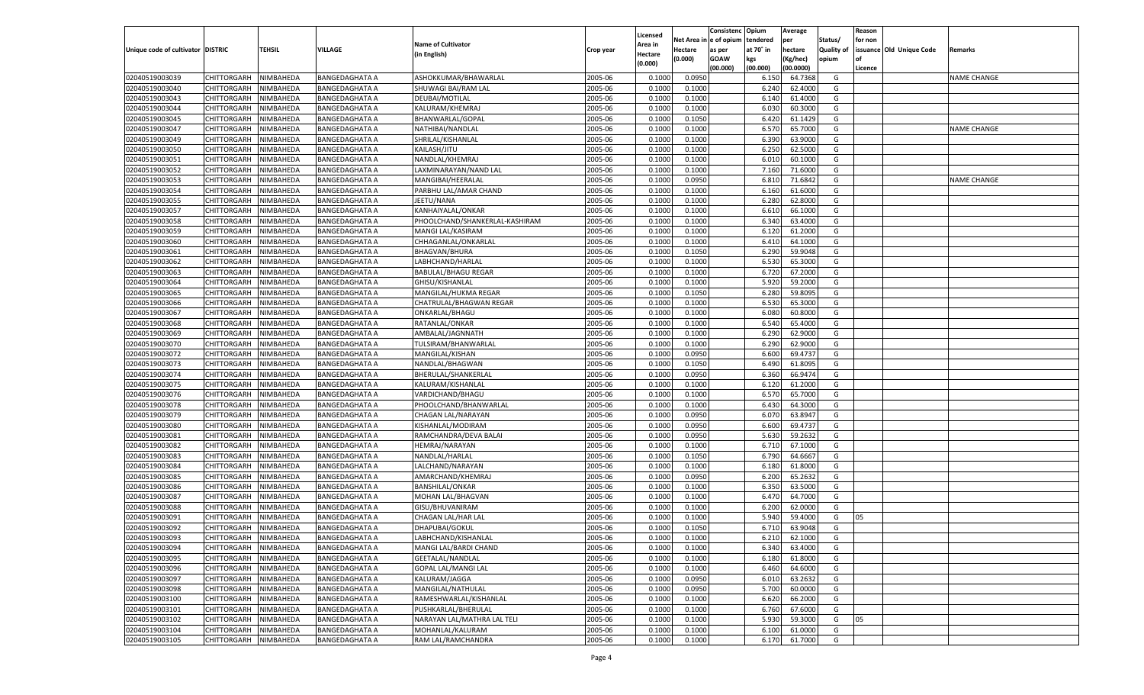|                                   |                       |           |                       |                                |           |          |          | Consistenc Opium |           | Average   |                   | Reason    |                          |                    |
|-----------------------------------|-----------------------|-----------|-----------------------|--------------------------------|-----------|----------|----------|------------------|-----------|-----------|-------------------|-----------|--------------------------|--------------------|
|                                   |                       |           |                       |                                |           | Licensed | Net Area | e of opium       | tendered  | per       | Status/           | for non   |                          |                    |
| Unique code of cultivator DISTRIC |                       | TEHSIL    | VILLAGE               | <b>Name of Cultivator</b>      | Crop year | Area in  | Hectare  | as per           | at 70° in | hectare   | <b>Quality of</b> |           | issuance Old Unique Code | Remarks            |
|                                   |                       |           |                       | (in English)                   |           | Hectare  | (0.000)  | <b>GOAW</b>      | kgs       | (Kg/hec)  | opium             | <b>of</b> |                          |                    |
|                                   |                       |           |                       |                                |           | (0.000)  |          | (00.000)         | (00.000)  | (00.0000) |                   | Licence   |                          |                    |
|                                   |                       | NIMBAHEDA |                       |                                |           | 0.1000   |          |                  |           | 64.7368   | G                 |           |                          | <b>NAME CHANGE</b> |
| 02040519003039                    | CHITTORGARH           |           | <b>BANGEDAGHATA A</b> | ASHOKKUMAR/BHAWARLAL           | 2005-06   |          | 0.0950   |                  | 6.150     |           |                   |           |                          |                    |
| 02040519003040                    | CHITTORGARH           | NIMBAHEDA | <b>BANGEDAGHATA A</b> | SHUWAGI BAI/RAM LAL            | 2005-06   | 0.1000   | 0.1000   |                  | 6.240     | 62.4000   | G                 |           |                          |                    |
| 02040519003043                    | <b>CHITTORGARH</b>    | NIMBAHEDA | <b>BANGEDAGHATA A</b> | DEUBAI/MOTILAL                 | 2005-06   | 0.1000   | 0.1000   |                  | 6.140     | 61.4000   | G                 |           |                          |                    |
| 02040519003044                    | CHITTORGARH           | NIMBAHEDA | BANGEDAGHATA A        | KALURAM/KHEMRAJ                | 2005-06   | 0.1000   | 0.1000   |                  | 6.030     | 60.3000   | G                 |           |                          |                    |
| 02040519003045                    | CHITTORGARH           | NIMBAHEDA | <b>BANGEDAGHATA A</b> | BHANWARLAL/GOPAI               | 2005-06   | 0.1000   | 0.1050   |                  | 6.420     | 61.1429   | G                 |           |                          |                    |
| 02040519003047                    | CHITTORGARH           | NIMBAHEDA | <b>BANGEDAGHATA A</b> | NATHIBAI/NANDLAL               | 2005-06   | 0.1000   | 0.1000   |                  | 6.570     | 65.7000   | G                 |           |                          | <b>NAME CHANGE</b> |
| 02040519003049                    | CHITTORGARH           | NIMBAHEDA | <b>BANGEDAGHATA A</b> | SHRILAL/KISHANLAL              | 2005-06   | 0.1000   | 0.1000   |                  | 6.390     | 63.9000   | G                 |           |                          |                    |
| 02040519003050                    | CHITTORGARH           | NIMBAHEDA | BANGEDAGHATA A        | KAILASH/JITU                   | 2005-06   | 0.1000   | 0.1000   |                  | 6.250     | 62.5000   | G                 |           |                          |                    |
| 02040519003051                    | CHITTORGARH           | NIMBAHEDA | <b>BANGEDAGHATA A</b> | NANDLAL/KHEMRAJ                | 2005-06   | 0.1000   | 0.1000   |                  | 6.010     | 60.1000   | G                 |           |                          |                    |
| 02040519003052                    | CHITTORGARH           | NIMBAHEDA | <b>BANGEDAGHATA A</b> | LAXMINARAYAN/NAND LAL          | 2005-06   | 0.1000   | 0.1000   |                  | 7.160     | 71.6000   | G                 |           |                          |                    |
| 02040519003053                    | CHITTORGARH           | NIMBAHEDA | <b>BANGEDAGHATA A</b> | MANGIBAI/HEERALAL              | 2005-06   | 0.1000   | 0.0950   |                  | 6.810     | 71.6842   | G                 |           |                          | <b>NAME CHANGE</b> |
| 02040519003054                    | CHITTORGARH           | NIMBAHEDA | BANGEDAGHATA A        | PARBHU LAL/AMAR CHAND          | 2005-06   | 0.1000   | 0.1000   |                  | 6.160     | 61.6000   | G                 |           |                          |                    |
| 02040519003055                    | CHITTORGARH           | NIMBAHEDA | <b>BANGEDAGHATA A</b> | JEETU/NANA                     | 2005-06   | 0.1000   | 0.1000   |                  | 6.280     | 62.8000   | G                 |           |                          |                    |
|                                   |                       |           |                       |                                |           |          |          |                  |           |           |                   |           |                          |                    |
| 02040519003057                    | CHITTORGARH           | NIMBAHEDA | <b>BANGEDAGHATA A</b> | KANHAIYALAL/ONKAR              | 2005-06   | 0.1000   | 0.1000   |                  | 6.610     | 66.1000   | G                 |           |                          |                    |
| 02040519003058                    | <b>CHITTORGARH</b>    | NIMBAHEDA | <b>BANGEDAGHATA A</b> | PHOOLCHAND/SHANKERLAL-KASHIRAM | 2005-06   | 0.1000   | 0.1000   |                  | 6.340     | 63.4000   | G                 |           |                          |                    |
| 02040519003059                    | CHITTORGARH           | NIMBAHEDA | <b>BANGEDAGHATA A</b> | MANGI LAL/KASIRAM              | 2005-06   | 0.1000   | 0.1000   |                  | 6.120     | 61.2000   | G                 |           |                          |                    |
| 02040519003060                    | <b>CHITTORGARH</b>    | NIMBAHEDA | <b>BANGEDAGHATA A</b> | CHHAGANLAL/ONKARLAL            | 2005-06   | 0.1000   | 0.1000   |                  | 6.410     | 64.1000   | G                 |           |                          |                    |
| 02040519003061                    | CHITTORGARH           | NIMBAHEDA | <b>BANGEDAGHATA A</b> | <b>BHAGVAN/BHURA</b>           | 2005-06   | 0.1000   | 0.1050   |                  | 6.290     | 59.9048   | G                 |           |                          |                    |
| 02040519003062                    | <b>CHITTORGARH</b>    | NIMBAHEDA | <b>BANGEDAGHATA A</b> | LABHCHAND/HARLAL               | 2005-06   | 0.1000   | 0.1000   |                  | 6.530     | 65.3000   | G                 |           |                          |                    |
| 02040519003063                    | CHITTORGARH           | NIMBAHEDA | BANGEDAGHATA A        | <b>BABULAL/BHAGU REGAR</b>     | 2005-06   | 0.1000   | 0.1000   |                  | 6.720     | 67.2000   | G                 |           |                          |                    |
| 02040519003064                    | <b>CHITTORGARH</b>    | NIMBAHEDA | <b>BANGEDAGHATA A</b> | GHISU/KISHANLAL                | 2005-06   | 0.1000   | 0.1000   |                  | 5.920     | 59.2000   | G                 |           |                          |                    |
| 02040519003065                    | CHITTORGARH           | NIMBAHEDA | <b>BANGEDAGHATA A</b> | <b>MANGILAL/HUKMA REGAR</b>    | 2005-06   | 0.1000   | 0.1050   |                  | 6.280     | 59.8095   | G                 |           |                          |                    |
| 02040519003066                    | <b>CHITTORGARH</b>    | NIMBAHEDA | <b>BANGEDAGHATA A</b> | CHATRULAL/BHAGWAN REGAR        | 2005-06   | 0.1000   | 0.1000   |                  | 6.530     | 65.3000   | G                 |           |                          |                    |
| 02040519003067                    | CHITTORGARH           | NIMBAHEDA | <b>BANGEDAGHATA A</b> | ONKARLAL/BHAGU                 | 2005-06   | 0.1000   | 0.1000   |                  | 6.080     | 60.8000   | G                 |           |                          |                    |
| 02040519003068                    | <b>CHITTORGARH</b>    | NIMBAHEDA | <b>BANGEDAGHATA A</b> | RATANLAL/ONKAR                 | 2005-06   | 0.1000   | 0.1000   |                  | 6.540     | 65.4000   | G                 |           |                          |                    |
| 02040519003069                    | CHITTORGARH           | NIMBAHEDA | <b>BANGEDAGHATA A</b> | AMBALAL/JAGNNATH               | 2005-06   | 0.1000   | 0.1000   |                  | 6.290     | 62.9000   | G                 |           |                          |                    |
|                                   | <b>CHITTORGARH</b>    | NIMBAHEDA |                       |                                | 2005-06   | 0.1000   | 0.1000   |                  |           | 62.9000   | G                 |           |                          |                    |
| 02040519003070                    |                       |           | <b>BANGEDAGHATA A</b> | TULSIRAM/BHANWARLAL            |           |          |          |                  | 6.290     |           |                   |           |                          |                    |
| 02040519003072                    | CHITTORGARH           | NIMBAHEDA | BANGEDAGHATA A        | MANGILAL/KISHAN                | 2005-06   | 0.1000   | 0.0950   |                  | 6.600     | 69.4737   | G                 |           |                          |                    |
| 02040519003073                    | <b>CHITTORGARH</b>    | NIMBAHEDA | <b>BANGEDAGHATA A</b> | NANDLAL/BHAGWAN                | 2005-06   | 0.1000   | 0.1050   |                  | 6.490     | 61.8095   | G                 |           |                          |                    |
| 02040519003074                    | CHITTORGARH           | NIMBAHEDA | <b>BANGEDAGHATA A</b> | BHERULAL/SHANKERLAL            | 2005-06   | 0.1000   | 0.0950   |                  | 6.360     | 66.947    | G                 |           |                          |                    |
| 02040519003075                    | CHITTORGARH           | NIMBAHEDA | <b>BANGEDAGHATA A</b> | KALURAM/KISHANLAL              | 2005-06   | 0.1000   | 0.1000   |                  | 6.120     | 61.2000   | G                 |           |                          |                    |
| 02040519003076                    | CHITTORGARH           | NIMBAHEDA | <b>BANGEDAGHATA A</b> | VARDICHAND/BHAGU               | 2005-06   | 0.1000   | 0.1000   |                  | 6.57      | 65.7000   | G                 |           |                          |                    |
| 02040519003078                    | CHITTORGARH           | NIMBAHEDA | <b>BANGEDAGHATA A</b> | PHOOLCHAND/BHANWARLAL          | 2005-06   | 0.1000   | 0.1000   |                  | 6.43(     | 64.3000   | G                 |           |                          |                    |
| 02040519003079                    | CHITTORGARH           | NIMBAHEDA | <b>BANGEDAGHATA A</b> | CHAGAN LAL/NARAYAN             | 2005-06   | 0.1000   | 0.0950   |                  | 6.07      | 63.8947   | G                 |           |                          |                    |
| 02040519003080                    | CHITTORGARH           | NIMBAHEDA | <b>BANGEDAGHATA A</b> | KISHANLAL/MODIRAM              | 2005-06   | 0.1000   | 0.0950   |                  | 6.600     | 69.4737   | G                 |           |                          |                    |
| 02040519003081                    | CHITTORGARH           | NIMBAHEDA | <b>BANGEDAGHATA A</b> | RAMCHANDRA/DEVA BALAI          | 2005-06   | 0.1000   | 0.0950   |                  | 5.63      | 59.2632   | G                 |           |                          |                    |
| 02040519003082                    | CHITTORGARH           | NIMBAHEDA | <b>BANGEDAGHATA A</b> | HEMRAJ/NARAYAN                 | 2005-06   | 0.1000   | 0.1000   |                  | 6.710     | 67.1000   | G                 |           |                          |                    |
| 02040519003083                    | CHITTORGARH           | NIMBAHEDA | <b>BANGEDAGHATA A</b> | NANDLAL/HARLAL                 | 2005-06   | 0.1000   | 0.1050   |                  | 6.790     | 64.6667   | G                 |           |                          |                    |
| 02040519003084                    | CHITTORGARH           | NIMBAHEDA | <b>BANGEDAGHATA A</b> | LALCHAND/NARAYAN               | 2005-06   | 0.1000   | 0.1000   |                  | 6.180     | 61.8000   | G                 |           |                          |                    |
| 02040519003085                    | CHITTORGARH           | NIMBAHEDA | <b>BANGEDAGHATA A</b> | AMARCHAND/KHEMRAJ              | 2005-06   | 0.1000   | 0.0950   |                  | 6.200     | 65.2632   | G                 |           |                          |                    |
| 02040519003086                    | CHITTORGARH           | NIMBAHEDA | <b>BANGEDAGHATA A</b> | <b>BANSHILAL/ONKAR</b>         | 2005-06   | 0.1000   | 0.1000   |                  | 6.350     | 63.5000   | G                 |           |                          |                    |
| 02040519003087                    | CHITTORGARH           | NIMBAHEDA | <b>BANGEDAGHATA A</b> | MOHAN LAL/BHAGVAN              | 2005-06   | 0.1000   | 0.1000   |                  | 6.47      | 64.7000   | G                 |           |                          |                    |
|                                   | CHITTORGARH           | NIMBAHEDA |                       |                                |           |          |          |                  |           | 62.0000   | G                 |           |                          |                    |
| 02040519003088                    |                       |           | <b>BANGEDAGHATA A</b> | GISU/BHUVANIRAM                | 2005-06   | 0.1000   | 0.1000   |                  | 6.200     |           |                   |           |                          |                    |
| 02040519003091                    | CHITTORGARH           | NIMBAHEDA | BANGEDAGHATA A        | CHAGAN LAL/HAR LAL             | 2005-06   | 0.1000   | 0.1000   |                  | 5.94      | 59.4000   | G                 | 05        |                          |                    |
| 02040519003092                    | CHITTORGARH           | NIMBAHEDA | <b>BANGEDAGHATA A</b> | DHAPUBAI/GOKUL                 | 2005-06   | 0.1000   | 0.1050   |                  | 6.710     | 63.9048   | G                 |           |                          |                    |
| 02040519003093                    | CHITTORGARH NIMBAHEDA |           | <b>BANGEDAGHATA A</b> | LABHCHAND/KISHANLAL            | 2005-06   | 0.1000   | 0.1000   |                  | 6.210     | 62.1000   | G                 |           |                          |                    |
| 02040519003094                    | <b>CHITTORGARH</b>    | NIMBAHEDA | <b>BANGEDAGHATA A</b> | MANGI LAL/BARDI CHAND          | 2005-06   | 0.1000   | 0.1000   |                  | 6.340     | 63.4000   | G                 |           |                          |                    |
| 02040519003095                    | CHITTORGARH           | NIMBAHEDA | <b>BANGEDAGHATA A</b> | <b>GEETALAL/NANDLAL</b>        | 2005-06   | 0.1000   | 0.1000   |                  | 6.180     | 61.8000   | G                 |           |                          |                    |
| 02040519003096                    | <b>CHITTORGARH</b>    | NIMBAHEDA | <b>BANGEDAGHATA A</b> | <b>GOPAL LAL/MANGI LAL</b>     | 2005-06   | 0.1000   | 0.1000   |                  | 6.460     | 64.6000   | G                 |           |                          |                    |
| 02040519003097                    | <b>CHITTORGARH</b>    | NIMBAHEDA | <b>BANGEDAGHATA A</b> | KALURAM/JAGGA                  | 2005-06   | 0.1000   | 0.0950   |                  | 6.010     | 63.2632   | G                 |           |                          |                    |
| 02040519003098                    | <b>CHITTORGARH</b>    | NIMBAHEDA | <b>BANGEDAGHATA A</b> | MANGILAL/NATHULAL              | 2005-06   | 0.1000   | 0.0950   |                  | 5.700     | 60.0000   | G                 |           |                          |                    |
| 02040519003100                    | <b>CHITTORGARH</b>    | NIMBAHEDA | <b>BANGEDAGHATA A</b> | RAMESHWARLAL/KISHANLAL         | 2005-06   | 0.1000   | 0.1000   |                  | 6.620     | 66.2000   | G                 |           |                          |                    |
| 02040519003101                    | <b>CHITTORGARH</b>    | NIMBAHEDA | <b>BANGEDAGHATA A</b> | PUSHKARLAL/BHERULAL            | 2005-06   | 0.1000   | 0.1000   |                  | 6.760     | 67.6000   | G                 |           |                          |                    |
| 02040519003102                    | <b>CHITTORGARH</b>    | NIMBAHEDA | <b>BANGEDAGHATA A</b> | NARAYAN LAL/MATHRA LAL TELI    | 2005-06   | 0.1000   | 0.1000   |                  | 5.930     | 59.3000   | G                 | 05        |                          |                    |
| 02040519003104                    | <b>CHITTORGARH</b>    | NIMBAHEDA | <b>BANGEDAGHATA A</b> | MOHANLAL/KALURAM               | 2005-06   | 0.1000   | 0.1000   |                  | 6.100     | 61.0000   | G                 |           |                          |                    |
| 02040519003105                    | CHITTORGARH           | NIMBAHEDA | <b>BANGEDAGHATA A</b> | RAM LAL/RAMCHANDRA             | 2005-06   | 0.1000   | 0.1000   |                  | 6.170     | 61.7000   | G                 |           |                          |                    |
|                                   |                       |           |                       |                                |           |          |          |                  |           |           |                   |           |                          |                    |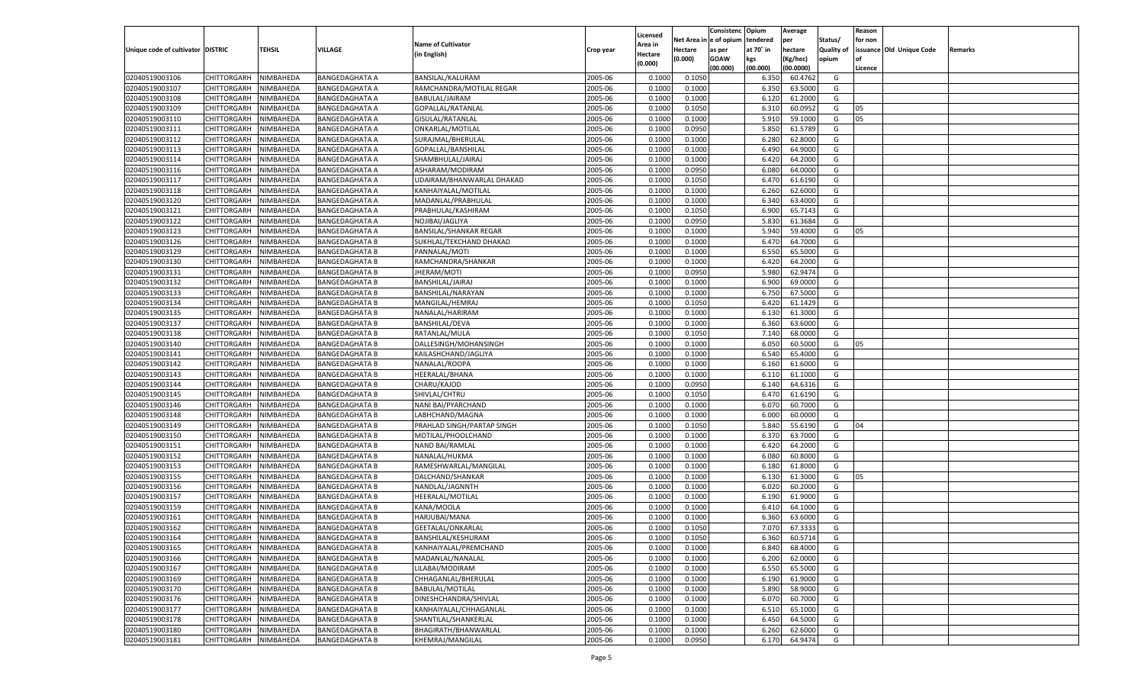|                                   |                       |           |                       |                               |           |          |          | Consistenc Opium |           | Average   |                   | Reason    |                          |         |
|-----------------------------------|-----------------------|-----------|-----------------------|-------------------------------|-----------|----------|----------|------------------|-----------|-----------|-------------------|-----------|--------------------------|---------|
|                                   |                       |           |                       |                               |           | Licensed | Net Area | e of opium       | tendered  | per       | Status/           | for non   |                          |         |
| Unique code of cultivator DISTRIC |                       | TEHSIL    | VILLAGE               | <b>Name of Cultivator</b>     | Crop year | Area in  | Hectare  | as per           | at 70˚ in | hectare   | <b>Quality of</b> |           | issuance Old Unique Code | Remarks |
|                                   |                       |           |                       | (in English)                  |           | Hectare  | (0.000)  | <b>GOAW</b>      | kgs       | (Kg/hec)  | opium             | <b>of</b> |                          |         |
|                                   |                       |           |                       |                               |           | (0.000)  |          | (00.000)         | (00.000)  | (00.0000) |                   | Licence   |                          |         |
| 02040519003106                    | CHITTORGARH           | NIMBAHEDA | <b>BANGEDAGHATA A</b> | BANSILAL/KALURAM              | 2005-06   | 0.1000   | 0.1050   |                  | 6.350     | 60.4762   | G                 |           |                          |         |
| 02040519003107                    | CHITTORGARH           | NIMBAHEDA | <b>BANGEDAGHATA A</b> | RAMCHANDRA/MOTILAL REGAR      | 2005-06   | 0.1000   | 0.1000   |                  | 6.350     | 63.5000   | G                 |           |                          |         |
| 02040519003108                    |                       | NIMBAHEDA |                       |                               | 2005-06   | 0.1000   | 0.1000   |                  |           | 61.2000   | G                 |           |                          |         |
|                                   | <b>CHITTORGARH</b>    |           | <b>BANGEDAGHATA A</b> | BABULAL/JAIRAM                |           |          |          |                  | 6.120     |           |                   |           |                          |         |
| 02040519003109                    | CHITTORGARH           | NIMBAHEDA | <b>BANGEDAGHATA A</b> | GOPALLAL/RATANLAI             | 2005-06   | 0.1000   | 0.1050   |                  | 6.310     | 60.0952   | G                 | 05        |                          |         |
| 02040519003110                    | <b>CHITTORGARH</b>    | NIMBAHEDA | <b>BANGEDAGHATA A</b> | GISULAL/RATANLAL              | 2005-06   | 0.1000   | 0.1000   |                  | 5.910     | 59.1000   | G                 | 05        |                          |         |
| 02040519003111                    | CHITTORGARH           | NIMBAHEDA | <b>BANGEDAGHATA A</b> | ONKARLAL/MOTILAL              | 2005-06   | 0.1000   | 0.0950   |                  | 5.850     | 61.5789   | G                 |           |                          |         |
| 02040519003112                    | CHITTORGARH           | NIMBAHEDA | <b>BANGEDAGHATA A</b> | SURAJMAL/BHERULAL             | 2005-06   | 0.1000   | 0.1000   |                  | 6.280     | 62.8000   | G                 |           |                          |         |
| 02040519003113                    | CHITTORGARH           | NIMBAHEDA | <b>BANGEDAGHATA A</b> | GOPALLAL/BANSHILAL            | 2005-06   | 0.1000   | 0.1000   |                  | 6.490     | 64.9000   | G                 |           |                          |         |
| 02040519003114                    | CHITTORGARH           | NIMBAHEDA | <b>BANGEDAGHATA A</b> | SHAMBHULAL/JAIRAJ             | 2005-06   | 0.1000   | 0.1000   |                  | 6.420     | 64.2000   | G                 |           |                          |         |
| 02040519003116                    | CHITTORGARH           | NIMBAHEDA | <b>BANGEDAGHATA A</b> | ASHARAM/MODIRAM               | 2005-06   | 0.1000   | 0.0950   |                  | 6.080     | 64.0000   | G                 |           |                          |         |
| 02040519003117                    | CHITTORGARH           | NIMBAHEDA | <b>BANGEDAGHATA A</b> | UDAIRAM/BHANWARLAL DHAKAD     | 2005-06   | 0.1000   | 0.1050   |                  | 6.470     | 61.6190   | G                 |           |                          |         |
| 02040519003118                    | CHITTORGARH           | NIMBAHEDA | <b>BANGEDAGHATA A</b> | KANHAIYALAL/MOTILAL           | 2005-06   | 0.1000   | 0.1000   |                  | 6.260     | 62.6000   | G                 |           |                          |         |
| 02040519003120                    | CHITTORGARH           | NIMBAHEDA | <b>BANGEDAGHATA A</b> | MADANLAL/PRABHULAL            | 2005-06   | 0.1000   | 0.1000   |                  | 6.340     | 63.4000   | G                 |           |                          |         |
| 02040519003121                    | CHITTORGARH           | NIMBAHEDA | <b>BANGEDAGHATA A</b> | PRABHULAL/KASHIRAM            | 2005-06   | 0.1000   | 0.1050   |                  | 6.900     | 65.7143   | G                 |           |                          |         |
| 02040519003122                    | <b>CHITTORGARH</b>    | NIMBAHEDA | <b>BANGEDAGHATA A</b> | NOJIBAI/JAGLIYA               | 2005-06   | 0.1000   | 0.0950   |                  | 5.830     | 61.3684   | G                 |           |                          |         |
| 02040519003123                    | CHITTORGARH           | NIMBAHEDA | BANGEDAGHATA A        | <b>BANSILAL/SHANKAR REGAR</b> | 2005-06   | 0.1000   | 0.1000   |                  | 5.940     | 59.4000   | G                 | 05        |                          |         |
| 02040519003126                    | <b>CHITTORGARH</b>    | NIMBAHEDA | <b>BANGEDAGHATA B</b> | SUKHLAL/TEKCHAND DHAKAD       | 2005-06   | 0.1000   | 0.1000   |                  | 6.47      | 64.7000   | G                 |           |                          |         |
|                                   | CHITTORGARH           |           | <b>BANGEDAGHATA B</b> | PANNALAL/MOTI                 | 2005-06   |          |          |                  |           | 65.5000   | G                 |           |                          |         |
| 02040519003129                    |                       | NIMBAHEDA |                       |                               |           | 0.1000   | 0.1000   |                  | 6.550     |           |                   |           |                          |         |
| 02040519003130                    | <b>CHITTORGARH</b>    | NIMBAHEDA | <b>BANGEDAGHATA B</b> | RAMCHANDRA/SHANKAR            | 2005-06   | 0.1000   | 0.1000   |                  | 6.420     | 64.2000   | G                 |           |                          |         |
| 02040519003131                    | CHITTORGARH           | NIMBAHEDA | <b>BANGEDAGHATA B</b> | JHERAM/MOTI                   | 2005-06   | 0.1000   | 0.0950   |                  | 5.980     | 62.9474   | G                 |           |                          |         |
| 02040519003132                    | <b>CHITTORGARH</b>    | NIMBAHEDA | <b>BANGEDAGHATA B</b> | BANSHILAL/JAIRAJ              | 2005-06   | 0.1000   | 0.1000   |                  | 6.900     | 69.0000   | G                 |           |                          |         |
| 02040519003133                    | CHITTORGARH           | NIMBAHEDA | <b>BANGEDAGHATA B</b> | BANSHILAL/NARAYAN             | 2005-06   | 0.1000   | 0.1000   |                  | 6.750     | 67.5000   | G                 |           |                          |         |
| 02040519003134                    | <b>CHITTORGARH</b>    | NIMBAHEDA | <b>BANGEDAGHATA B</b> | MANGILAL/HEMRAJ               | 2005-06   | 0.1000   | 0.1050   |                  | 6.420     | 61.1429   | G                 |           |                          |         |
| 02040519003135                    | CHITTORGARH           | NIMBAHEDA | <b>BANGEDAGHATA B</b> | NANALAL/HARIRAM               | 2005-06   | 0.1000   | 0.1000   |                  | 6.130     | 61.3000   | G                 |           |                          |         |
| 02040519003137                    | <b>CHITTORGARH</b>    | NIMBAHEDA | <b>BANGEDAGHATA B</b> | BANSHILAL/DEVA                | 2005-06   | 0.1000   | 0.1000   |                  | 6.360     | 63.6000   | G                 |           |                          |         |
| 02040519003138                    | CHITTORGARH           | NIMBAHEDA | <b>BANGEDAGHATA B</b> | RATANLAL/MULA                 | 2005-06   | 0.1000   | 0.1050   |                  | 7.140     | 68.0000   | G                 |           |                          |         |
| 02040519003140                    | <b>CHITTORGARH</b>    | NIMBAHEDA | <b>BANGEDAGHATA B</b> | DALLESINGH/MOHANSINGH         | 2005-06   | 0.1000   | 0.1000   |                  | 6.050     | 60.5000   | G                 | 05        |                          |         |
| 02040519003141                    | CHITTORGARH           | NIMBAHEDA | <b>BANGEDAGHATA B</b> | KAILASHCHAND/JAGLIYA          | 2005-06   | 0.1000   | 0.1000   |                  | 6.540     | 65.4000   | G                 |           |                          |         |
| 02040519003142                    | <b>CHITTORGARH</b>    | NIMBAHEDA | <b>BANGEDAGHATA B</b> | NANALAL/ROOPA                 | 2005-06   | 0.1000   | 0.1000   |                  | 6.160     | 61.6000   | G                 |           |                          |         |
| 02040519003143                    | CHITTORGARH           | NIMBAHEDA | <b>BANGEDAGHATA B</b> | HEERALAL/BHANA                | 2005-06   | 0.1000   | 0.1000   |                  | 6.110     | 61.1000   | G                 |           |                          |         |
| 02040519003144                    | CHITTORGARH           | NIMBAHEDA | <b>BANGEDAGHATA B</b> | CHARU/KAJOD                   | 2005-06   | 0.1000   | 0.0950   |                  | 6.140     | 64.6316   | G                 |           |                          |         |
| 02040519003145                    | CHITTORGARH           | NIMBAHEDA | <b>BANGEDAGHATA B</b> | SHIVLAL/CHTRU                 | 2005-06   | 0.1000   | 0.1050   |                  | 6.47      | 61.6190   | G                 |           |                          |         |
| 02040519003146                    | CHITTORGARH           | NIMBAHEDA | <b>BANGEDAGHATA B</b> | NANI BAI/PYARCHAND            | 2005-06   | 0.1000   | 0.1000   |                  | 6.07      | 60.7000   | G                 |           |                          |         |
| 02040519003148                    |                       |           |                       | LABHCHAND/MAGNA               | 2005-06   |          |          |                  | 6.000     | 60.0000   | G                 |           |                          |         |
|                                   | CHITTORGARH           | NIMBAHEDA | <b>BANGEDAGHATA B</b> |                               |           | 0.1000   | 0.1000   |                  |           |           |                   |           |                          |         |
| 02040519003149                    | CHITTORGARH           | NIMBAHEDA | <b>BANGEDAGHATA B</b> | PRAHLAD SINGH/PARTAP SINGH    | 2005-06   | 0.1000   | 0.1050   |                  | 5.840     | 55.6190   | G                 | 04        |                          |         |
| 02040519003150                    | CHITTORGARH           | NIMBAHEDA | <b>BANGEDAGHATA B</b> | MOTILAL/PHOOLCHAND            | 2005-06   | 0.1000   | 0.1000   |                  | 6.37      | 63.7000   | G                 |           |                          |         |
| 02040519003151                    | CHITTORGARH           | NIMBAHEDA | <b>BANGEDAGHATA B</b> | NAND BAI/RAMLAL               | 2005-06   | 0.1000   | 0.1000   |                  | 6.420     | 64.2000   | G                 |           |                          |         |
| 02040519003152                    | CHITTORGARH           | NIMBAHEDA | <b>BANGEDAGHATA B</b> | NANALAL/HUKMA                 | 2005-06   | 0.1000   | 0.1000   |                  | 6.08      | 60.8000   | G                 |           |                          |         |
| 02040519003153                    | CHITTORGARH           | NIMBAHEDA | <b>BANGEDAGHATA B</b> | RAMESHWARLAL/MANGILAL         | 2005-06   | 0.1000   | 0.1000   |                  | 6.180     | 61.8000   | G                 |           |                          |         |
| 02040519003155                    | CHITTORGARH           | NIMBAHEDA | <b>BANGEDAGHATA B</b> | DALCHAND/SHANKAR              | 2005-06   | 0.1000   | 0.1000   |                  | 6.13      | 61.3000   | G                 | 05        |                          |         |
| 02040519003156                    | CHITTORGARH           | NIMBAHEDA | <b>BANGEDAGHATA B</b> | NANDLAL/JAGNNTH               | 2005-06   | 0.1000   | 0.1000   |                  | 6.020     | 60.2000   | G                 |           |                          |         |
| 02040519003157                    | CHITTORGARH           | NIMBAHEDA | <b>BANGEDAGHATA B</b> | HEERALAL/MOTILAL              | 2005-06   | 0.1000   | 0.1000   |                  | 6.190     | 61.9000   | G                 |           |                          |         |
| 02040519003159                    | CHITTORGARH           | NIMBAHEDA | <b>BANGEDAGHATA B</b> | KANA/MOOLA                    | 2005-06   | 0.1000   | 0.1000   |                  | 6.41      | 64.1000   | G                 |           |                          |         |
| 02040519003161                    | CHITTORGARH           | NIMBAHEDA | <b>BANGEDAGHATA B</b> | HARJUBAI/MANA                 | 2005-06   | 0.1000   | 0.1000   |                  | 6.360     | 63.6000   | G                 |           |                          |         |
| 02040519003162                    | CHITTORGARH           | NIMBAHEDA | <b>BANGEDAGHATA B</b> | GEETALAL/ONKARLAL             | 2005-06   | 0.1000   | 0.1050   |                  | 7.070     | 67.3333   | G                 |           |                          |         |
| 02040519003164                    | CHITTORGARH NIMBAHEDA |           | <b>BANGEDAGHATA B</b> | BANSHILAL/KESHURAM            | 2005-06   | 0.1000   | 0.1050   |                  | 6.360     | 60.5714   | G                 |           |                          |         |
| 02040519003165                    | <b>CHITTORGARH</b>    | NIMBAHEDA | <b>BANGEDAGHATA B</b> | KANHAIYALAL/PREMCHAND         | 2005-06   | 0.1000   | 0.1000   |                  | 6.840     | 68.4000   | G                 |           |                          |         |
| 02040519003166                    | CHITTORGARH           | NIMBAHEDA | <b>BANGEDAGHATA B</b> | MADANLAL/NANALAL              | 2005-06   | 0.1000   | 0.1000   |                  | 6.200     | 62.0000   | G                 |           |                          |         |
| 02040519003167                    | <b>CHITTORGARH</b>    | NIMBAHEDA | <b>BANGEDAGHATA B</b> | LILABAI/MODIRAM               | 2005-06   | 0.1000   | 0.1000   |                  | 6.550     | 65.5000   | G                 |           |                          |         |
| 02040519003169                    | <b>CHITTORGARH</b>    | NIMBAHEDA | <b>BANGEDAGHATA B</b> | CHHAGANLAL/BHERULAL           | 2005-06   | 0.1000   | 0.1000   |                  | 6.190     | 61.9000   | G                 |           |                          |         |
| 02040519003170                    | <b>CHITTORGARH</b>    | NIMBAHEDA | <b>BANGEDAGHATA B</b> | <b>BABULAL/MOTILAL</b>        | 2005-06   | 0.1000   | 0.1000   |                  | 5.890     | 58.9000   | G                 |           |                          |         |
|                                   |                       |           |                       |                               |           |          |          |                  |           |           |                   |           |                          |         |
| 02040519003176                    | <b>CHITTORGARH</b>    | NIMBAHEDA | <b>BANGEDAGHATA B</b> | DINESHCHANDRA/SHIVLAL         | 2005-06   | 0.1000   | 0.1000   |                  | 6.070     | 60.7000   | G                 |           |                          |         |
| 02040519003177                    | <b>CHITTORGARH</b>    | NIMBAHEDA | <b>BANGEDAGHATA B</b> | KANHAIYALAL/CHHAGANLAL        | 2005-06   | 0.1000   | 0.1000   |                  | 6.510     | 65.1000   | G                 |           |                          |         |
| 02040519003178                    | <b>CHITTORGARH</b>    | NIMBAHEDA | <b>BANGEDAGHATA B</b> | SHANTILAL/SHANKERLAL          | 2005-06   | 0.1000   | 0.1000   |                  | 6.450     | 64.5000   | G                 |           |                          |         |
| 02040519003180                    | <b>CHITTORGARH</b>    | NIMBAHEDA | <b>BANGEDAGHATA B</b> | BHAGIRATH/BHANWARLAL          | 2005-06   | 0.1000   | 0.1000   |                  | 6.260     | 62.6000   | G                 |           |                          |         |
| 02040519003181                    | CHITTORGARH           | NIMBAHEDA | <b>BANGEDAGHATA B</b> | KHEMRAJ/MANGILAL              | 2005-06   | 0.1000   | 0.0950   |                  | 6.170     | 64.9474   | G                 |           |                          |         |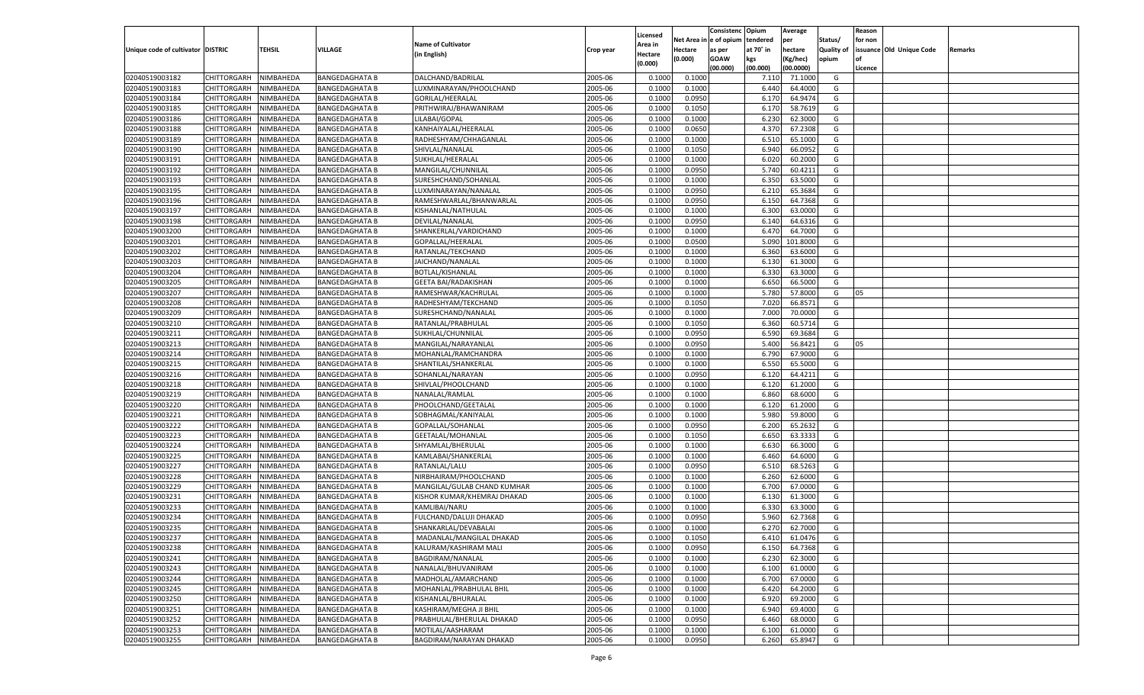|                                   |                                          |               |                       |                             |                    |                           |          | Consistenc  | Opium     | Average   |                   | Reason  |                          |         |
|-----------------------------------|------------------------------------------|---------------|-----------------------|-----------------------------|--------------------|---------------------------|----------|-------------|-----------|-----------|-------------------|---------|--------------------------|---------|
|                                   |                                          |               |                       | <b>Name of Cultivator</b>   |                    | Licensed                  | Net Area | e of opium  | tendered  | per       | Status/           | for non |                          |         |
| Unique code of cultivator DISTRIC |                                          | <b>TEHSIL</b> | VILLAGE               | (in English)                | Crop year          | <b>Area in</b><br>Hectare | Hectare  | as per      | at 70° in | hectare   | <b>Quality of</b> |         | issuance Old Unique Code | Remarks |
|                                   |                                          |               |                       |                             |                    | (0.000)                   | (0.000)  | <b>GOAW</b> | kgs       | (Kg/hec)  | opium             |         |                          |         |
|                                   |                                          |               |                       |                             |                    |                           |          | (00.000)    | (00.000)  | (00.0000) |                   | Licence |                          |         |
| 02040519003182                    | CHITTORGARH                              | NIMBAHEDA     | <b>BANGEDAGHATA B</b> | DALCHAND/BADRILAL           | 2005-06            | 0.1000                    | 0.1000   |             | 7.11(     | 71.1000   | G                 |         |                          |         |
| 02040519003183                    | CHITTORGARH                              | NIMBAHEDA     | <b>BANGEDAGHATA B</b> | LUXMINARAYAN/PHOOLCHAND     | 2005-06            | 0.1000                    | 0.1000   |             | 6.440     | 64.4000   | G                 |         |                          |         |
| 02040519003184                    | CHITTORGARH                              | NIMBAHEDA     | <b>BANGEDAGHATA B</b> | GORILAL/HEERALAL            | 2005-06            | 0.1000                    | 0.0950   |             | 6.170     | 64.947    | G                 |         |                          |         |
| 02040519003185                    | CHITTORGARH                              | NIMBAHEDA     | <b>BANGEDAGHATA B</b> | PRITHWIRAJ/BHAWANIRAM       | 2005-06            | 0.1000                    | 0.1050   |             | 6.170     | 58.7619   | G                 |         |                          |         |
| 02040519003186                    | CHITTORGARH                              | NIMBAHEDA     | <b>BANGEDAGHATA B</b> | LILABAI/GOPAL               | 2005-06            | 0.1000                    | 0.1000   |             | 6.23      | 62.3000   | G                 |         |                          |         |
| 02040519003188                    | CHITTORGARH                              | NIMBAHEDA     | <b>BANGEDAGHATA B</b> | KANHAIYALAL/HEERALAL        | 2005-06            | 0.1000                    | 0.0650   |             | 4.37      | 67.2308   | G                 |         |                          |         |
| 02040519003189                    | CHITTORGARH                              | NIMBAHEDA     | <b>BANGEDAGHATA B</b> | RADHESHYAM/CHHAGANLAL       | 2005-06            | 0.1000                    | 0.1000   |             | 6.510     | 65.1000   | G                 |         |                          |         |
| 02040519003190                    | CHITTORGARH                              | NIMBAHEDA     | <b>BANGEDAGHATA B</b> | SHIVLAL/NANALAL             | 2005-06            | 0.1000                    | 0.1050   |             | 6.940     | 66.095    | G                 |         |                          |         |
| 02040519003191                    | CHITTORGARH                              | NIMBAHEDA     | <b>BANGEDAGHATA B</b> | SUKHLAL/HEERALAL            | 2005-06            | 0.1000                    | 0.1000   |             | 6.020     | 60.2000   | G                 |         |                          |         |
| 02040519003192                    | CHITTORGARH                              | NIMBAHEDA     | <b>BANGEDAGHATA B</b> | MANGILAL/CHUNNILAL          | 2005-06            | 0.1000                    | 0.0950   |             | 5.740     | 60.4211   | G                 |         |                          |         |
| 02040519003193                    | CHITTORGARH                              | NIMBAHEDA     | <b>BANGEDAGHATA B</b> | SURESHCHAND/SOHANLAL        | 2005-06            | 0.1000                    | 0.1000   |             | 6.350     | 63.5000   | G                 |         |                          |         |
| 02040519003195                    | CHITTORGARH                              | NIMBAHEDA     | <b>BANGEDAGHATA B</b> | LUXMINARAYAN/NANALAL        | 2005-06            | 0.1000                    | 0.0950   |             | 6.21      | 65.3684   | G                 |         |                          |         |
| 02040519003196                    | CHITTORGARH                              | NIMBAHEDA     | <b>BANGEDAGHATA B</b> | RAMESHWARLAL/BHANWARLAL     | 2005-06            | 0.1000                    | 0.0950   |             | 6.150     | 64.7368   | G                 |         |                          |         |
| 02040519003197                    | CHITTORGARH                              | NIMBAHEDA     | <b>BANGEDAGHATA B</b> | KISHANLAL/NATHULAL          | 2005-06            | 0.1000                    | 0.1000   |             | 6.300     | 63.0000   | G                 |         |                          |         |
| 02040519003198                    | CHITTORGARH                              | NIMBAHEDA     | <b>BANGEDAGHATA B</b> | DEVILAL/NANALAL             | 2005-06            | 0.1000                    | 0.0950   |             | 6.140     | 64.6316   | G                 |         |                          |         |
| 02040519003200                    | CHITTORGARH                              | NIMBAHEDA     | <b>BANGEDAGHATA B</b> | SHANKERLAL/VARDICHAND       | 2005-06            | 0.1000                    | 0.1000   |             | 6.470     | 64.7000   | G                 |         |                          |         |
| 02040519003201                    | CHITTORGARH                              | NIMBAHEDA     | <b>BANGEDAGHATA B</b> | GOPALLAL/HEERALAI           | 2005-06            | 0.1000                    | 0.0500   |             | 5.090     | 101.8000  | G                 |         |                          |         |
| 02040519003202                    | CHITTORGARH                              | NIMBAHEDA     | <b>BANGEDAGHATA B</b> | RATANLAL/TEKCHAND           | 2005-06            | 0.1000                    | 0.1000   |             | 6.360     | 63.6000   | G                 |         |                          |         |
| 02040519003203                    | CHITTORGARH                              | NIMBAHEDA     | <b>BANGEDAGHATA B</b> | JAICHAND/NANALAL            | 2005-06            | 0.1000                    | 0.1000   |             | 6.130     | 61.3000   | G                 |         |                          |         |
| 02040519003204                    | CHITTORGARH                              | NIMBAHEDA     | <b>BANGEDAGHATA B</b> | BOTLAL/KISHANLAL            | 2005-06            | 0.1000                    | 0.1000   |             | 6.330     | 63.3000   | G                 |         |                          |         |
| 02040519003205                    | CHITTORGARH                              | NIMBAHEDA     | <b>BANGEDAGHATA B</b> | <b>GEETA BAI/RADAKISHAN</b> | 2005-06            | 0.1000                    | 0.1000   |             | 6.650     | 66.5000   | G                 |         |                          |         |
| 02040519003207                    | CHITTORGARH                              | NIMBAHEDA     | <b>BANGEDAGHATA B</b> | RAMESHWAR/KACHRULAL         | 2005-06            | 0.1000                    | 0.1000   |             | 5.780     | 57.8000   | G                 | 05      |                          |         |
| 02040519003208                    | CHITTORGARH                              | NIMBAHEDA     | <b>BANGEDAGHATA B</b> | RADHESHYAM/TEKCHAND         | 2005-06            | 0.1000                    | 0.1050   |             | 7.020     | 66.8571   | G                 |         |                          |         |
| 02040519003209                    | CHITTORGARH                              | NIMBAHEDA     | <b>BANGEDAGHATA B</b> | SURESHCHAND/NANALAL         | 2005-06            | 0.1000                    | 0.1000   |             | 7.000     | 70.0000   | G                 |         |                          |         |
| 02040519003210                    | CHITTORGARH                              | NIMBAHEDA     | <b>BANGEDAGHATA B</b> | RATANLAL/PRABHULAL          | 2005-06            | 0.1000                    | 0.1050   |             | 6.360     | 60.5714   | G                 |         |                          |         |
| 02040519003211                    | CHITTORGARH                              | NIMBAHEDA     | <b>BANGEDAGHATA B</b> | SUKHLAL/CHUNNILAL           | 2005-06            | 0.1000                    | 0.0950   |             | 6.590     | 69.3684   | G                 |         |                          |         |
| 02040519003213                    | CHITTORGARH                              | NIMBAHEDA     | <b>BANGEDAGHATA B</b> | MANGILAL/NARAYANLAI         | 2005-06            | 0.1000                    | 0.0950   |             | 5.400     | 56.8421   | G                 | 05      |                          |         |
| 02040519003214                    | CHITTORGARH                              | NIMBAHEDA     | <b>BANGEDAGHATA B</b> | MOHANLAL/RAMCHANDRA         | 2005-06            | 0.1000                    | 0.1000   |             | 6.790     | 67.9000   | G                 |         |                          |         |
| 02040519003215                    | CHITTORGARH                              | NIMBAHEDA     | <b>BANGEDAGHATA B</b> | SHANTILAL/SHANKERLAI        | 2005-06            | 0.1000                    | 0.1000   |             | 6.550     | 65.5000   | G                 |         |                          |         |
| 02040519003216                    | CHITTORGARH                              | NIMBAHEDA     | <b>BANGEDAGHATA B</b> | SOHANLAL/NARAYAN            | 2005-06            | 0.1000                    | 0.0950   |             | 6.120     | 64.4211   | G                 |         |                          |         |
| 02040519003218                    | CHITTORGARH                              | NIMBAHEDA     | <b>BANGEDAGHATA B</b> | SHIVLAL/PHOOLCHAND          | 2005-06            | 0.1000                    | 0.1000   |             | 6.120     | 61.2000   | G                 |         |                          |         |
| 02040519003219                    | CHITTORGARH                              | NIMBAHEDA     | <b>BANGEDAGHATA B</b> | NANALAL/RAMLAL              | 2005-06            | 0.1000                    | 0.1000   |             | 6.860     | 68.6000   | G                 |         |                          |         |
| 02040519003220                    | CHITTORGARH                              | NIMBAHEDA     | <b>BANGEDAGHATA B</b> | PHOOLCHAND/GEETALAL         | 2005-06            | 0.1000                    | 0.1000   |             | 6.120     | 61.2000   | G                 |         |                          |         |
| 02040519003221                    | CHITTORGARH                              | NIMBAHEDA     | <b>BANGEDAGHATA B</b> | SOBHAGMAL/KANIYALAL         | 2005-06            | 0.1000                    | 0.1000   |             | 5.980     | 59.8000   | G                 |         |                          |         |
| 02040519003222                    | CHITTORGARH                              | NIMBAHEDA     | <b>BANGEDAGHATA B</b> | GOPALLAL/SOHANLAL           | 2005-06            | 0.1000                    | 0.0950   |             | 6.200     | 65.2632   | G                 |         |                          |         |
| 02040519003223                    | CHITTORGARH                              | NIMBAHEDA     | <b>BANGEDAGHATA B</b> | GEETALAL/MOHANLAL           | 2005-06            | 0.1000                    | 0.1050   |             | 6.650     | 63.3333   | G                 |         |                          |         |
| 02040519003224                    | CHITTORGARH                              | NIMBAHEDA     | <b>BANGEDAGHATA B</b> | SHYAMLAL/BHERULAL           | 2005-06            | 0.1000                    | 0.1000   |             | 6.630     | 66.3000   | G                 |         |                          |         |
| 02040519003225                    | CHITTORGARH                              | NIMBAHEDA     | <b>BANGEDAGHATA B</b> | KAMLABAI/SHANKERLAL         | 2005-06            | 0.1000                    | 0.1000   |             | 6.460     | 64.6000   | G                 |         |                          |         |
| 02040519003227                    | CHITTORGARH                              | NIMBAHEDA     | <b>BANGEDAGHATA B</b> | RATANLAL/LALU               | 2005-06            | 0.1000                    | 0.0950   |             | 6.510     | 68.5263   | G                 |         |                          |         |
| 02040519003228                    | CHITTORGARH                              | NIMBAHEDA     | <b>BANGEDAGHATA B</b> | NIRBHAIRAM/PHOOLCHAND       | 2005-06            | 0.1000                    | 0.1000   |             | 6.260     | 62.6000   | G                 |         |                          |         |
| 02040519003229                    | CHITTORGARH                              | NIMBAHEDA     | <b>BANGEDAGHATA B</b> | MANGILAL/GULAB CHAND KUMHAR | 2005-06            | 0.1000                    | 0.1000   |             | 6.700     | 67.0000   | G                 |         |                          |         |
| 02040519003231                    | CHITTORGARH                              | NIMBAHEDA     | <b>BANGEDAGHATA B</b> | KISHOR KUMAR/KHEMRAJ DHAKAD | 2005-06            | 0.1000                    | 0.1000   |             | 6.130     | 61.3000   | G                 |         |                          |         |
| 02040519003233                    | CHITTORGARH                              | NIMBAHEDA     | <b>BANGEDAGHATA B</b> | KAMLIBAI/NARU               | 2005-06            | 0.1000                    | 0.1000   |             | 6.330     | 63.3000   | G                 |         |                          |         |
| 02040519003234                    | CHITTORGARH                              | NIMBAHEDA     | <b>BANGEDAGHATA B</b> | FULCHAND/DALUJI DHAKAD      | 2005-06            | 0.1000                    | 0.0950   |             | 5.960     | 62.7368   | G                 |         |                          |         |
| 02040519003235                    | CHITTORGARH                              | NIMBAHEDA     | <b>BANGEDAGHATA B</b> | SHANKARLAL/DEVABALAI        | 2005-06            | 0.1000                    | 0.1000   |             | 6.270     | 62.7000   | G                 |         |                          |         |
| 02040519003237                    | CHITTORGARH NIMBAHEDA                    |               | <b>BANGEDAGHATA B</b> | MADANLAL/MANGILAL DHAKAD    | 2005-06            | 0.1000                    | 0.1050   |             | 6.410     | 61.0476   | G                 |         |                          |         |
| 02040519003238                    | <b>CHITTORGARH</b>                       | NIMBAHEDA     | <b>BANGEDAGHATA B</b> | KALURAM/KASHIRAM MALI       | 2005-06            | 0.1000                    | 0.0950   |             | 6.150     | 64.7368   | G                 |         |                          |         |
|                                   | CHITTORGARH                              |               |                       |                             |                    |                           |          |             | 6.230     | 62.3000   |                   |         |                          |         |
| 02040519003241                    |                                          | NIMBAHEDA     | <b>BANGEDAGHATA B</b> | BAGDIRAM/NANALAL            | 2005-06<br>2005-06 | 0.1000                    | 0.1000   |             |           |           | G                 |         |                          |         |
| 02040519003243                    | <b>CHITTORGARH</b><br><b>CHITTORGARH</b> | NIMBAHEDA     | <b>BANGEDAGHATA B</b> | NANALAL/BHUVANIRAM          |                    | 0.1000                    | 0.1000   |             | 6.100     | 61.0000   | G                 |         |                          |         |
| 02040519003244                    |                                          | NIMBAHEDA     | <b>BANGEDAGHATA B</b> | MADHOLAL/AMARCHAND          | 2005-06            | 0.1000                    | 0.1000   |             | 6.700     | 67.0000   | G                 |         |                          |         |
| 02040519003245                    | <b>CHITTORGARH</b>                       | NIMBAHEDA     | <b>BANGEDAGHATA B</b> | MOHANLAL/PRABHULAL BHIL     | 2005-06            | 0.1000                    | 0.1000   |             | 6.420     | 64.2000   | G                 |         |                          |         |
| 02040519003250                    | <b>CHITTORGARH</b>                       | NIMBAHEDA     | <b>BANGEDAGHATA B</b> | KISHANLAL/BHURALAL          | 2005-06            | 0.1000                    | 0.1000   |             | 6.920     | 69.2000   | G                 |         |                          |         |
| 02040519003251                    | <b>CHITTORGARH</b>                       | NIMBAHEDA     | <b>BANGEDAGHATA B</b> | KASHIRAM/MEGHA JI BHIL      | 2005-06            | 0.1000                    | 0.1000   |             | 6.940     | 69.4000   | G                 |         |                          |         |
| 02040519003252                    | CHITTORGARH                              | NIMBAHEDA     | <b>BANGEDAGHATA B</b> | PRABHULAL/BHERULAL DHAKAD   | 2005-06            | 0.1000                    | 0.0950   |             | 6.460     | 68.0000   | G                 |         |                          |         |
| 02040519003253                    | <b>CHITTORGARH</b>                       | NIMBAHEDA     | <b>BANGEDAGHATA B</b> | MOTILAL/AASHARAM            | 2005-06            | 0.1000                    | 0.1000   |             | 6.100     | 61.0000   | G                 |         |                          |         |
| 02040519003255                    | <b>CHITTORGARH</b>                       | NIMBAHEDA     | <b>BANGEDAGHATA B</b> | BAGDIRAM/NARAYAN DHAKAD     | 2005-06            | 0.1000                    | 0.0950   |             | 6.260     | 65.8947   | G                 |         |                          |         |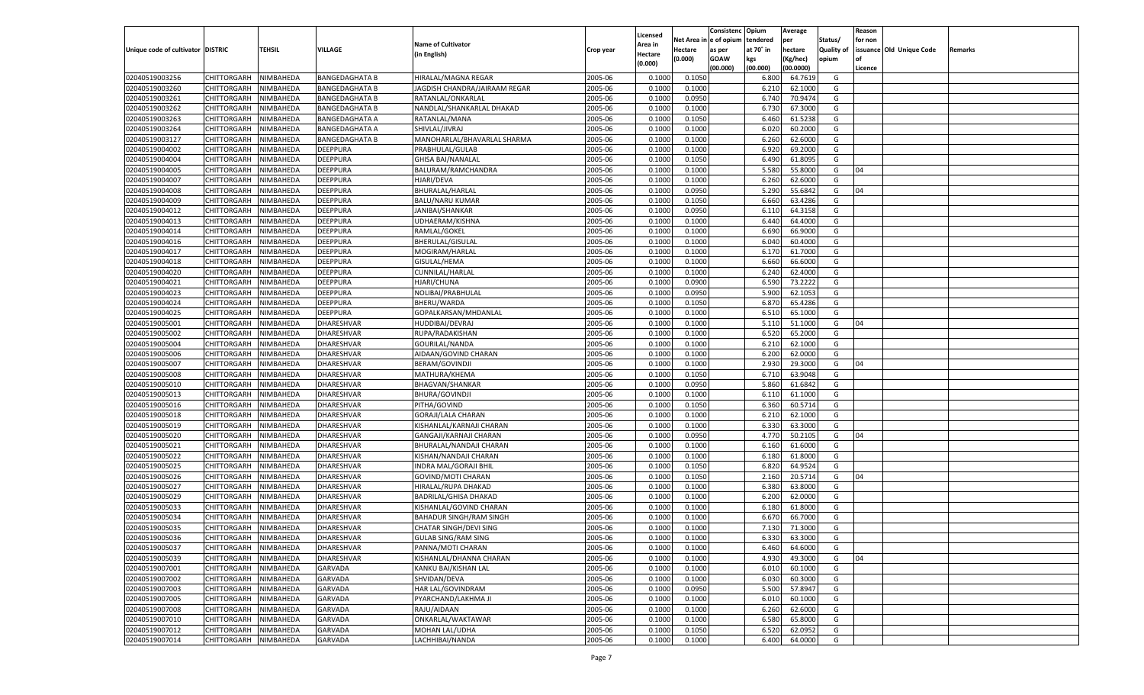|                                   |             |           |                       |                                |           |          |            | Consistenc Opium |           | Average   |                   | Reason  |                          |         |
|-----------------------------------|-------------|-----------|-----------------------|--------------------------------|-----------|----------|------------|------------------|-----------|-----------|-------------------|---------|--------------------------|---------|
|                                   |             |           |                       |                                |           | Licensed | Net Area i | l e of opium     | tendered  | per       | Status/           | for non |                          |         |
| Unique code of cultivator DISTRIC |             | TEHSIL    | VILLAGE               | <b>Name of Cultivator</b>      | Crop year | Area in  | Hectare    | as per           | at 70° in | hectare   | <b>Quality of</b> |         | issuance Old Unique Code | Remarks |
|                                   |             |           |                       | (in English)                   |           | Hectare  | (0.000)    | <b>GOAW</b>      | kgs       | (Kg/hec)  | opium             | nf      |                          |         |
|                                   |             |           |                       |                                |           | (0.000)  |            | (00.000)         | (00.000)  | (00.0000) |                   | Licence |                          |         |
|                                   | CHITTORGARH | NIMBAHEDA |                       |                                | 2005-06   | 0.1000   | 0.1050     |                  | 6.800     | 64.7619   | G                 |         |                          |         |
| 02040519003256                    |             |           | <b>BANGEDAGHATA B</b> | HIRALAL/MAGNA REGAR            |           |          |            |                  |           |           |                   |         |                          |         |
| 02040519003260                    | CHITTORGARH | NIMBAHEDA | <b>BANGEDAGHATA B</b> | JAGDISH CHANDRA/JAIRAAM REGAR  | 2005-06   | 0.1000   | 0.1000     |                  | 6.21      | 62.1000   | G                 |         |                          |         |
| 02040519003261                    | CHITTORGARH | NIMBAHEDA | <b>BANGEDAGHATA B</b> | RATANLAL/ONKARLAL              | 2005-06   | 0.1000   | 0.0950     |                  | 6.740     | 70.9474   | G                 |         |                          |         |
| 02040519003262                    | CHITTORGARH | NIMBAHEDA | <b>BANGEDAGHATA B</b> | NANDLAL/SHANKARLAL DHAKAD      | 2005-06   | 0.1000   | 0.1000     |                  | 6.730     | 67.3000   | G                 |         |                          |         |
| 02040519003263                    | CHITTORGARH | NIMBAHEDA | <b>BANGEDAGHATA A</b> | RATANLAL/MANA                  | 2005-06   | 0.1000   | 0.1050     |                  | 6.460     | 61.5238   | G                 |         |                          |         |
| 02040519003264                    | CHITTORGARH | NIMBAHEDA | <b>BANGEDAGHATA A</b> | SHIVLAL/JIVRAJ                 | 2005-06   | 0.1000   | 0.1000     |                  | 6.020     | 60.2000   | G                 |         |                          |         |
| 02040519003127                    | CHITTORGARH | NIMBAHEDA | <b>BANGEDAGHATA B</b> | MANOHARLAL/BHAVARLAL SHARMA    | 2005-06   | 0.1000   | 0.1000     |                  | 6.260     | 62.6000   | G                 |         |                          |         |
| 02040519004002                    | CHITTORGARH | NIMBAHEDA | DEEPPURA              | PRABHULAL/GULAB                | 2005-06   | 0.1000   | 0.1000     |                  | 6.920     | 69.2000   | G                 |         |                          |         |
| 02040519004004                    | CHITTORGARH | NIMBAHEDA | DEEPPURA              | <b>GHISA BAI/NANALAL</b>       | 2005-06   | 0.1000   | 0.1050     |                  | 6.490     | 61.8095   | G                 |         |                          |         |
|                                   |             |           |                       |                                |           |          |            |                  |           |           |                   |         |                          |         |
| 02040519004005                    | CHITTORGARH | NIMBAHEDA | DEEPPURA              | BALURAM/RAMCHANDRA             | 2005-06   | 0.1000   | 0.1000     |                  | 5.580     | 55.8000   | G                 | 04      |                          |         |
| 02040519004007                    | CHITTORGARH | NIMBAHEDA | DEEPPURA              | HJARI/DEVA                     | 2005-06   | 0.1000   | 0.1000     |                  | 6.260     | 62.6000   | G                 |         |                          |         |
| 02040519004008                    | CHITTORGARH | NIMBAHEDA | DEEPPURA              | <b>BHURALAL/HARLAL</b>         | 2005-06   | 0.1000   | 0.0950     |                  | 5.290     | 55.6842   | G                 | 04      |                          |         |
| 02040519004009                    | CHITTORGARH | NIMBAHEDA | <b>DEEPPURA</b>       | <b>BALU/NARU KUMAR</b>         | 2005-06   | 0.1000   | 0.1050     |                  | 6.660     | 63.4286   | G                 |         |                          |         |
| 02040519004012                    | CHITTORGARH | NIMBAHEDA | <b>DEEPPURA</b>       | JANIBAI/SHANKAR                | 2005-06   | 0.1000   | 0.0950     |                  | 6.11      | 64.3158   | G                 |         |                          |         |
| 02040519004013                    | CHITTORGARH | NIMBAHEDA | <b>DEEPPURA</b>       | UDHAERAM/KISHNA                | 2005-06   | 0.1000   | 0.1000     |                  | 6.440     | 64.4000   | G                 |         |                          |         |
| 02040519004014                    | CHITTORGARH | NIMBAHEDA | <b>DEEPPURA</b>       | RAMLAL/GOKEL                   | 2005-06   | 0.1000   | 0.1000     |                  | 6.690     | 66.9000   | G                 |         |                          |         |
| 02040519004016                    | CHITTORGARH | NIMBAHEDA | <b>DEEPPURA</b>       | BHERULAL/GISULAL               | 2005-06   | 0.1000   | 0.1000     |                  | 6.040     | 60.4000   | G                 |         |                          |         |
| 02040519004017                    | CHITTORGARH | NIMBAHEDA | <b>DEEPPURA</b>       | MOGIRAM/HARLAL                 | 2005-06   | 0.1000   | 0.1000     |                  | 6.17      | 61.7000   | G                 |         |                          |         |
| 02040519004018                    | CHITTORGARH | NIMBAHEDA | <b>DEEPPURA</b>       | <b>GISULAL/HEMA</b>            | 2005-06   | 0.1000   | 0.1000     |                  | 6.660     | 66.6000   | G                 |         |                          |         |
| 02040519004020                    | CHITTORGARH | NIMBAHEDA | <b>DEEPPURA</b>       | <b>CUNNILAL/HARLAL</b>         | 2005-06   | 0.1000   | 0.1000     |                  | 6.240     | 62.4000   | G                 |         |                          |         |
| 02040519004021                    | CHITTORGARH | NIMBAHEDA | <b>DEEPPURA</b>       | <b>HJARI/CHUNA</b>             | 2005-06   | 0.1000   | 0.0900     |                  | 6.590     | 73.2222   | G                 |         |                          |         |
|                                   | CHITTORGARH |           | <b>DEEPPURA</b>       | NOLIBAI/PRABHULAL              | 2005-06   |          | 0.0950     |                  | 5.900     | 62.1053   | G                 |         |                          |         |
| 02040519004023                    |             | NIMBAHEDA |                       |                                |           | 0.1000   |            |                  |           |           |                   |         |                          |         |
| 02040519004024                    | CHITTORGARH | NIMBAHEDA | <b>DEEPPURA</b>       | BHERU/WARDA                    | 2005-06   | 0.1000   | 0.1050     |                  | 6.870     | 65.4286   | G                 |         |                          |         |
| 02040519004025                    | CHITTORGARH | NIMBAHEDA | DEEPPURA              | GOPALKARSAN/MHDANLAL           | 2005-06   | 0.1000   | 0.1000     |                  | 6.510     | 65.1000   | G                 |         |                          |         |
| 02040519005001                    | CHITTORGARH | NIMBAHEDA | <b>DHARESHVAR</b>     | <b>HUDDIBAI/DEVRAJ</b>         | 2005-06   | 0.1000   | 0.1000     |                  | 5.110     | 51.1000   | G                 | 04      |                          |         |
| 02040519005002                    | CHITTORGARH | NIMBAHEDA | DHARESHVAR            | RUPA/RADAKISHAN                | 2005-06   | 0.1000   | 0.1000     |                  | 6.520     | 65.2000   | G                 |         |                          |         |
| 02040519005004                    | CHITTORGARH | NIMBAHEDA | <b>DHARESHVAR</b>     | GOURILAL/NANDA                 | 2005-06   | 0.1000   | 0.1000     |                  | 6.210     | 62.1000   | G                 |         |                          |         |
| 02040519005006                    | CHITTORGARH | NIMBAHEDA | DHARESHVAR            | AIDAAN/GOVIND CHARAN           | 2005-06   | 0.1000   | 0.1000     |                  | 6.200     | 62.0000   | G                 |         |                          |         |
| 02040519005007                    | CHITTORGARH | NIMBAHEDA | DHARESHVAR            | <b>BERAM/GOVINDJI</b>          | 2005-06   | 0.1000   | 0.1000     |                  | 2.930     | 29.3000   | G                 | 04      |                          |         |
| 02040519005008                    | CHITTORGARH | NIMBAHEDA | DHARESHVAR            | MATHURA/KHEMA                  | 2005-06   | 0.1000   | 0.1050     |                  | 6.710     | 63.9048   | G                 |         |                          |         |
| 02040519005010                    | CHITTORGARH | NIMBAHEDA | DHARESHVAR            | <b>BHAGVAN/SHANKAR</b>         | 2005-06   | 0.1000   | 0.0950     |                  | 5.860     | 61.6842   | G                 |         |                          |         |
| 02040519005013                    | CHITTORGARH | NIMBAHEDA | DHARESHVAR            | <b>BHURA/GOVINDJI</b>          | 2005-06   | 0.1000   | 0.1000     |                  | 6.11      | 61.1000   | G                 |         |                          |         |
| 02040519005016                    | CHITTORGARH | NIMBAHEDA | DHARESHVAR            | PITHA/GOVIND                   | 2005-06   | 0.1000   | 0.1050     |                  | 6.360     | 60.5714   | G                 |         |                          |         |
| 02040519005018                    | CHITTORGARH | NIMBAHEDA | DHARESHVAR            | <b>GORAJI/LALA CHARAN</b>      | 2005-06   | 0.1000   | 0.1000     |                  | 6.21      | 62.1000   | G                 |         |                          |         |
| 02040519005019                    | CHITTORGARH | NIMBAHEDA | DHARESHVAR            | KISHANLAL/KARNAJI CHARAN       | 2005-06   | 0.1000   | 0.1000     |                  | 6.330     | 63.3000   | G                 |         |                          |         |
| 02040519005020                    | CHITTORGARH | NIMBAHEDA | DHARESHVAR            | GANGAJI/KARNAJI CHARAN         | 2005-06   | 0.1000   | 0.0950     |                  | 4.770     | 50.2105   | G                 | 04      |                          |         |
|                                   |             |           |                       |                                |           |          |            |                  |           |           |                   |         |                          |         |
| 02040519005021                    | CHITTORGARH | NIMBAHEDA | DHARESHVAR            | BHURALAL/NANDAJI CHARAN        | 2005-06   | 0.1000   | 0.1000     |                  | 6.160     | 61.6000   | G                 |         |                          |         |
| 02040519005022                    | CHITTORGARH | NIMBAHEDA | DHARESHVAR            | KISHAN/NANDAJI CHARAN          | 2005-06   | 0.1000   | 0.1000     |                  | 6.180     | 61.8000   | G                 |         |                          |         |
| 02040519005025                    | CHITTORGARH | NIMBAHEDA | DHARESHVAR            | <b>INDRA MAL/GORAJI BHII</b>   | 2005-06   | 0.1000   | 0.1050     |                  | 6.820     | 64.9524   | G                 |         |                          |         |
| 02040519005026                    | CHITTORGARH | NIMBAHEDA | DHARESHVAR            | <b>GOVIND/MOTI CHARAN</b>      | 2005-06   | 0.1000   | 0.1050     |                  | 2.160     | 20.5714   | G                 | 04      |                          |         |
| 02040519005027                    | CHITTORGARH | NIMBAHEDA | DHARESHVAR            | HIRALAL/RUPA DHAKAD            | 2005-06   | 0.1000   | 0.1000     |                  | 6.380     | 63.8000   | G                 |         |                          |         |
| 02040519005029                    | CHITTORGARH | NIMBAHEDA | DHARESHVAR            | <b>BADRILAL/GHISA DHAKAD</b>   | 2005-06   | 0.1000   | 0.1000     |                  | 6.200     | 62.0000   | G                 |         |                          |         |
| 02040519005033                    | CHITTORGARH | NIMBAHEDA | DHARESHVAR            | KISHANLAL/GOVIND CHARAN        | 2005-06   | 0.1000   | 0.1000     |                  | 6.180     | 61.8000   | G                 |         |                          |         |
| 02040519005034                    | CHITTORGARH | NIMBAHEDA | DHARESHVAR            | <b>BAHADUR SINGH/RAM SINGH</b> | 2005-06   | 0.1000   | 0.1000     |                  | 6.67      | 66.7000   | G                 |         |                          |         |
| 02040519005035                    | CHITTORGARH | NIMBAHEDA | <b>DHARESHVAR</b>     | <b>CHATAR SINGH/DEVI SING</b>  | 2005-06   | 0.1000   | 0.1000     |                  | 7.130     | 71.3000   | G                 |         |                          |         |
| 02040519005036                    | CHITTORGARH | NIMBAHEDA | DHARESHVAR            | GULAB SING/RAM SING            | 2005-06   | 0.1000   | 0.1000     |                  | 6.330     | 63.3000   | G                 |         |                          |         |
| 02040519005037                    | CHITTORGARH | NIMBAHEDA | <b>DHARESHVAR</b>     | PANNA/MOTI CHARAN              | 2005-06   | 0.1000   | 0.1000     |                  | 6.460     | 64.6000   | G                 |         |                          |         |
| 02040519005039                    | CHITTORGARH | NIMBAHEDA | DHARESHVAR            | KISHANLAL/DHANNA CHARAN        | 2005-06   | 0.1000   | 0.1000     |                  | 4.930     | 49.3000   | G                 | 04      |                          |         |
| 02040519007001                    | CHITTORGARH | NIMBAHEDA | <b>GARVADA</b>        | KANKU BAI/KISHAN LAL           | 2005-06   | 0.1000   | 0.1000     |                  | 6.010     | 60.1000   | G                 |         |                          |         |
| 02040519007002                    | CHITTORGARH | NIMBAHEDA | <b>GARVADA</b>        |                                | 2005-06   | 0.1000   |            |                  | 6.030     | 60.3000   | G                 |         |                          |         |
|                                   | CHITTORGARH |           |                       | SHVIDAN/DEVA                   |           |          | 0.1000     |                  |           |           |                   |         |                          |         |
| 02040519007003                    |             | NIMBAHEDA | <b>GARVADA</b>        | HAR LAL/GOVINDRAM              | 2005-06   | 0.1000   | 0.0950     |                  | 5.500     | 57.8947   | G                 |         |                          |         |
| 02040519007005                    | CHITTORGARH | NIMBAHEDA | <b>GARVADA</b>        | PYARCHAND/LAKHMA JI            | 2005-06   | 0.1000   | 0.1000     |                  | 6.010     | 60.1000   | G                 |         |                          |         |
| 02040519007008                    | CHITTORGARH | NIMBAHEDA | <b>GARVADA</b>        | RAJU/AIDAAN                    | 2005-06   | 0.1000   | 0.1000     |                  | 6.260     | 62.6000   | G                 |         |                          |         |
| 02040519007010                    | CHITTORGARH | NIMBAHEDA | <b>GARVADA</b>        | ONKARLAL/WAKTAWAR              | 2005-06   | 0.1000   | 0.1000     |                  | 6.580     | 65.8000   | G                 |         |                          |         |
| 02040519007012                    | CHITTORGARH | NIMBAHEDA | <b>GARVADA</b>        | MOHAN LAL/UDHA                 | 2005-06   | 0.1000   | 0.1050     |                  | 6.520     | 62.0952   | G                 |         |                          |         |
| 02040519007014                    | CHITTORGARH | NIMBAHEDA | <b>GARVADA</b>        | LACHHIBAI/NANDA                | 2005-06   | 0.1000   | 0.1000     |                  | 6.400     | 64.0000   | G                 |         |                          |         |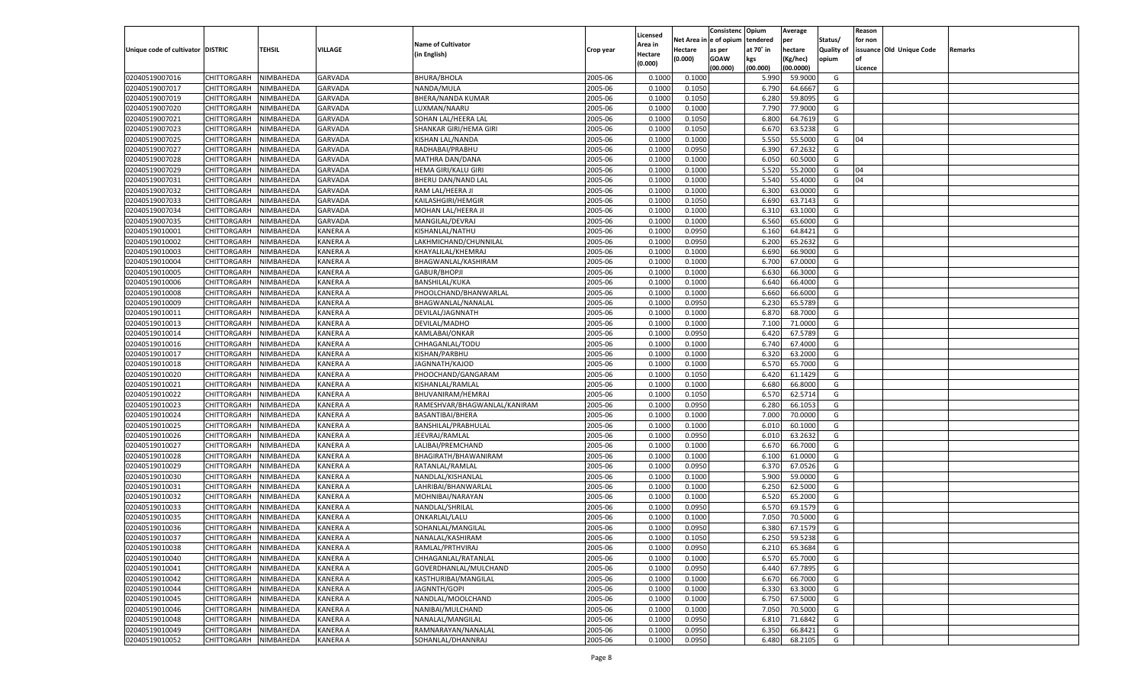|                                   |                       |               |                      |                              |           |                           |          | Consistenc  | Opium     | Average            |                   | Reason  |                          |         |
|-----------------------------------|-----------------------|---------------|----------------------|------------------------------|-----------|---------------------------|----------|-------------|-----------|--------------------|-------------------|---------|--------------------------|---------|
|                                   |                       |               |                      | <b>Name of Cultivator</b>    |           | Licensed                  | Net Area | e of opium  | tendered  | per                | Status/           | for non |                          |         |
| Unique code of cultivator DISTRIC |                       | <b>TEHSIL</b> | VILLAGE              | (in English)                 | Crop year | <b>Area in</b><br>Hectare | Hectare  | as per      | at 70° in | hectare            | <b>Quality of</b> |         | issuance Old Unique Code | Remarks |
|                                   |                       |               |                      |                              |           | (0.000)                   | (0.000)  | <b>GOAW</b> | kgs       | (Kg/hec)           | opium             |         |                          |         |
|                                   |                       |               |                      |                              |           |                           |          | (00.000)    | (00.000)  | (00.0000)          |                   | Licence |                          |         |
| 02040519007016                    | CHITTORGARH           | NIMBAHEDA     | GARVADA              | <b>BHURA/BHOLA</b>           | 2005-06   | 0.1000                    | 0.1000   |             | 5.990     | 59.9000            | G                 |         |                          |         |
| 02040519007017                    | CHITTORGARH           | NIMBAHEDA     | <b>GARVADA</b>       | NANDA/MULA                   | 2005-06   | 0.1000                    | 0.1050   |             | 6.790     | 64.6667            | G                 |         |                          |         |
| 02040519007019                    | CHITTORGARH           | NIMBAHEDA     | <b>GARVADA</b>       | BHERA/NANDA KUMAR            | 2005-06   | 0.1000                    | 0.1050   |             | 6.280     | 59.8095            | G                 |         |                          |         |
| 02040519007020                    | CHITTORGARH           | NIMBAHEDA     | <b>GARVADA</b>       | LUXMAN/NAARU                 | 2005-06   | 0.1000                    | 0.1000   |             | 7.790     | 77.9000            | G                 |         |                          |         |
| 02040519007021                    | CHITTORGARH           | NIMBAHEDA     | GARVADA              | SOHAN LAL/HEERA LAL          | 2005-06   | 0.1000                    | 0.1050   |             | 6.800     | 64.7619            | G                 |         |                          |         |
| 02040519007023                    | CHITTORGARH           | NIMBAHEDA     | <b>GARVADA</b>       | SHANKAR GIRI/HEMA GIRI       | 2005-06   | 0.1000                    | 0.1050   |             | 6.67      | 63.5238            | G                 |         |                          |         |
| 02040519007025                    | CHITTORGARH           | NIMBAHEDA     | GARVADA              | KISHAN LAL/NANDA             | 2005-06   | 0.1000                    | 0.1000   |             | 5.550     | 55.5000            | G                 | 04      |                          |         |
| 02040519007027                    | CHITTORGARH           | NIMBAHEDA     | <b>GARVADA</b>       | RADHABAI/PRABHU              | 2005-06   | 0.1000                    | 0.0950   |             | 6.390     | 67.2632            | G                 |         |                          |         |
| 02040519007028                    | CHITTORGARH           | NIMBAHEDA     | GARVADA              | MATHRA DAN/DANA              | 2005-06   | 0.1000                    | 0.1000   |             | 6.050     | 60.5000            | G                 |         |                          |         |
| 02040519007029                    | CHITTORGARH           | NIMBAHEDA     | <b>GARVADA</b>       | HEMA GIRI/KALU GIRI          | 2005-06   | 0.1000                    | 0.1000   |             | 5.520     | 55.2000            | G                 | 04      |                          |         |
| 02040519007031                    | CHITTORGARH           | NIMBAHEDA     | GARVADA              | BHERU DAN/NAND LAL           | 2005-06   | 0.1000                    | 0.1000   |             | 5.540     | 55.4000            | G                 | 04      |                          |         |
| 02040519007032                    | CHITTORGARH           | NIMBAHEDA     | <b>GARVADA</b>       | RAM LAL/HEERA JI             | 2005-06   | 0.1000                    | 0.1000   |             | 6.300     | 63.0000            | G                 |         |                          |         |
| 02040519007033                    | CHITTORGARH           | NIMBAHEDA     | GARVADA              | KAILASHGIRI/HEMGIR           | 2005-06   | 0.1000                    | 0.1050   |             | 6.690     | 63.7143            | G                 |         |                          |         |
| 02040519007034                    | CHITTORGARH           | NIMBAHEDA     | GARVADA              | MOHAN LAL/HEERA JI           | 2005-06   | 0.1000                    | 0.1000   |             | 6.310     | 63.1000            | G                 |         |                          |         |
| 02040519007035                    | CHITTORGARH           | NIMBAHEDA     | GARVADA              | MANGILAL/DEVRAJ              | 2005-06   | 0.1000                    | 0.1000   |             | 6.560     | 65.6000            | G                 |         |                          |         |
| 02040519010001                    | CHITTORGARH           | NIMBAHEDA     | KANERA A             | KISHANLAL/NATHU              | 2005-06   | 0.1000                    | 0.0950   |             | 6.160     | 64.8421            | G                 |         |                          |         |
| 02040519010002                    | CHITTORGARH           | NIMBAHEDA     | KANERA A             | LAKHMICHAND/CHUNNILAL        | 2005-06   | 0.1000                    | 0.0950   |             | 6.200     | 65.2632            | G                 |         |                          |         |
| 02040519010003                    | CHITTORGARH           | NIMBAHEDA     | KANERA A             | KHAYALILAL/KHEMRAJ           | 2005-06   | 0.1000                    | 0.1000   |             | 6.690     | 66.9000            | G                 |         |                          |         |
| 02040519010004                    | CHITTORGARH           | NIMBAHEDA     | KANERA A             | BHAGWANLAL/KASHIRAM          | 2005-06   | 0.1000                    | 0.1000   |             | 6.700     | 67.0000            | G                 |         |                          |         |
| 02040519010005                    | CHITTORGARH           | NIMBAHEDA     | KANERA A             | GABUR/BHOPJI                 | 2005-06   | 0.1000                    | 0.1000   |             | 6.630     | 66.3000            | G                 |         |                          |         |
| 02040519010006                    | CHITTORGARH           | NIMBAHEDA     | KANERA A             | <b>BANSHILAL/KUKA</b>        | 2005-06   | 0.1000                    | 0.1000   |             | 6.640     | 66.4000            | G                 |         |                          |         |
| 02040519010008                    | CHITTORGARH           | NIMBAHEDA     | KANERA A             | PHOOLCHAND/BHANWARLAL        | 2005-06   | 0.1000                    | 0.1000   |             | 6.660     | 66.6000            | G                 |         |                          |         |
| 02040519010009                    | CHITTORGARH           | NIMBAHEDA     | KANERA A             | BHAGWANLAL/NANALAL           | 2005-06   | 0.1000                    | 0.0950   |             | 6.230     | 65.5789            | G                 |         |                          |         |
| 02040519010011                    | CHITTORGARH           | NIMBAHEDA     | KANERA A             | DEVILAL/JAGNNATH             | 2005-06   | 0.1000                    | 0.1000   |             | 6.870     | 68.7000            | G                 |         |                          |         |
| 02040519010013                    | CHITTORGARH           | NIMBAHEDA     | KANERA A             | DEVILAL/MADHO                | 2005-06   | 0.1000                    | 0.1000   |             | 7.100     | 71.0000            | G                 |         |                          |         |
| 02040519010014                    | CHITTORGARH           | NIMBAHEDA     | KANERA A             | KAMLABAI/ONKAR               | 2005-06   | 0.1000                    | 0.0950   |             | 6.420     | 67.5789            | G                 |         |                          |         |
| 02040519010016                    | CHITTORGARH           | NIMBAHEDA     | KANERA A             | CHHAGANLAL/TODU              | 2005-06   | 0.1000                    | 0.1000   |             | 6.740     | 67.4000            | G                 |         |                          |         |
| 02040519010017                    | CHITTORGARH           | NIMBAHEDA     | KANERA A             | KISHAN/PARBHU                | 2005-06   | 0.1000                    | 0.1000   |             | 6.320     | 63.2000            | G                 |         |                          |         |
| 02040519010018                    | CHITTORGARH           | NIMBAHEDA     | KANERA A             | JAGNNATH/KAJOD               | 2005-06   | 0.1000                    | 0.1000   |             | 6.570     | 65.7000            | G                 |         |                          |         |
| 02040519010020                    | CHITTORGARH           | NIMBAHEDA     | KANERA A             | PHOOCHAND/GANGARAM           | 2005-06   | 0.1000                    | 0.1050   |             | 6.420     | 61.1429            | G                 |         |                          |         |
| 02040519010021                    | CHITTORGARH           | NIMBAHEDA     | KANERA A             | KISHANLAL/RAMLAL             | 2005-06   | 0.1000                    | 0.1000   |             | 6.680     | 66.8000            | G                 |         |                          |         |
| 02040519010022                    | CHITTORGARH           | NIMBAHEDA     | KANERA A             | BHUVANIRAM/HEMRAJ            | 2005-06   | 0.1000                    | 0.1050   |             | 6.570     | 62.5714            | G                 |         |                          |         |
| 02040519010023                    | CHITTORGARH           | NIMBAHEDA     | KANERA A             | RAMESHVAR/BHAGWANLAL/KANIRAM | 2005-06   | 0.1000                    | 0.0950   |             | 6.280     | 66.105             | G                 |         |                          |         |
| 02040519010024                    | CHITTORGARH           | NIMBAHEDA     | KANERA A             | BASANTIBAI/BHERA             | 2005-06   | 0.1000                    | 0.1000   |             | 7.000     | 70.0000            | G                 |         |                          |         |
| 02040519010025                    | CHITTORGARH           | NIMBAHEDA     | KANERA A             | BANSHILAL/PRABHULAL          | 2005-06   | 0.1000                    | 0.1000   |             | 6.010     | 60.1000            | G                 |         |                          |         |
| 02040519010026                    | CHITTORGARH           | NIMBAHEDA     | KANERA A             | JEEVRAJ/RAMLAL               | 2005-06   | 0.1000                    | 0.0950   |             | 6.010     | 63.2632            | G                 |         |                          |         |
| 02040519010027                    |                       | NIMBAHEDA     | KANERA A             |                              | 2005-06   | 0.1000                    | 0.1000   |             |           | 66.7000            | G                 |         |                          |         |
|                                   | CHITTORGARH           |               |                      | LALIBAI/PREMCHAND            |           |                           |          |             | 6.670     |                    |                   |         |                          |         |
| 02040519010028                    | CHITTORGARH           | NIMBAHEDA     | KANERA A<br>KANERA A | BHAGIRATH/BHAWANIRAM         | 2005-06   | 0.1000                    | 0.1000   |             | 6.100     | 61.0000<br>67.0526 | G                 |         |                          |         |
| 02040519010029<br>02040519010030  | CHITTORGARH           | NIMBAHEDA     |                      | RATANLAL/RAMLAL              | 2005-06   | 0.1000                    | 0.0950   |             | 6.370     |                    | G                 |         |                          |         |
|                                   | CHITTORGARH           | NIMBAHEDA     | KANERA A             | NANDLAL/KISHANLAI            | 2005-06   | 0.1000                    | 0.1000   |             | 5.900     | 59.0000            | G                 |         |                          |         |
| 02040519010031                    | CHITTORGARH           | NIMBAHEDA     | KANERA A             | LAHRIBAI/BHANWARLAL          | 2005-06   | 0.1000                    | 0.1000   |             | 6.250     | 62.5000            | G                 |         |                          |         |
| 02040519010032                    | CHITTORGARH           | NIMBAHEDA     | KANERA A             | MOHNIBAI/NARAYAN             | 2005-06   | 0.1000                    | 0.1000   |             | 6.520     | 65.2000            | G                 |         |                          |         |
| 02040519010033                    | CHITTORGARH           | NIMBAHEDA     | KANERA A             | NANDLAL/SHRILAL              | 2005-06   | 0.1000                    | 0.0950   |             | 6.570     | 69.1579            | G                 |         |                          |         |
| 02040519010035                    | CHITTORGARH           | NIMBAHEDA     | KANERA A             | ONKARLAL/LALU                | 2005-06   | 0.1000                    | 0.1000   |             | 7.05      | 70.5000            | G                 |         |                          |         |
| 02040519010036                    | CHITTORGARH           | NIMBAHEDA     | <b>KANERA A</b>      | SOHANLAL/MANGILAL            | 2005-06   | 0.1000                    | 0.0950   |             | 6.380     | 67.1579            | G                 |         |                          |         |
| 02040519010037                    | CHITTORGARH NIMBAHEDA |               | <b>KANERA A</b>      | NANALAL/KASHIRAM             | 2005-06   | 0.1000                    | 0.1050   |             | 6.250     | 59.5238            | G                 |         |                          |         |
| 02040519010038                    | <b>CHITTORGARH</b>    | NIMBAHEDA     | <b>KANERA A</b>      | RAMLAL/PRTHVIRAJ             | 2005-06   | 0.1000                    | 0.0950   |             | 6.210     | 65.3684            | G                 |         |                          |         |
| 02040519010040                    | CHITTORGARH           | NIMBAHEDA     | <b>KANERA A</b>      | CHHAGANLAL/RATANLAL          | 2005-06   | 0.1000                    | 0.1000   |             | 6.570     | 65.7000            | G                 |         |                          |         |
| 02040519010041                    | <b>CHITTORGARH</b>    | NIMBAHEDA     | <b>KANERA A</b>      | GOVERDHANLAL/MULCHAND        | 2005-06   | 0.1000                    | 0.0950   |             | 6.440     | 67.7895            | G                 |         |                          |         |
| 02040519010042                    | <b>CHITTORGARH</b>    | NIMBAHEDA     | <b>KANERA A</b>      | KASTHURIBAI/MANGILAL         | 2005-06   | 0.1000                    | 0.1000   |             | 6.670     | 66.7000            | G                 |         |                          |         |
| 02040519010044                    | <b>CHITTORGARH</b>    | NIMBAHEDA     | <b>KANERA A</b>      | JAGNNTH/GOPI                 | 2005-06   | 0.1000                    | 0.1000   |             | 6.330     | 63.3000            | G                 |         |                          |         |
| 02040519010045                    | <b>CHITTORGARH</b>    | NIMBAHEDA     | <b>KANERA A</b>      | NANDLAL/MOOLCHAND            | 2005-06   | 0.1000                    | 0.1000   |             | 6.750     | 67.5000            | G                 |         |                          |         |
| 02040519010046                    | <b>CHITTORGARH</b>    | NIMBAHEDA     | <b>KANERA A</b>      | NANIBAI/MULCHAND             | 2005-06   | 0.1000                    | 0.1000   |             | 7.050     | 70.5000            | G                 |         |                          |         |
| 02040519010048                    | <b>CHITTORGARH</b>    | NIMBAHEDA     | KANERA A             | NANALAL/MANGILAL             | 2005-06   | 0.1000                    | 0.0950   |             | 6.810     | 71.6842            | G                 |         |                          |         |
| 02040519010049                    | <b>CHITTORGARH</b>    | NIMBAHEDA     | <b>KANERA A</b>      | RAMNARAYAN/NANALAL           | 2005-06   | 0.1000                    | 0.0950   |             | 6.350     | 66.8421            | G                 |         |                          |         |
| 02040519010052                    | <b>CHITTORGARH</b>    | NIMBAHEDA     | <b>KANERA A</b>      | SOHANLAL/DHANNRAJ            | 2005-06   | 0.1000                    | 0.0950   |             | 6.480     | 68.2105            | G                 |         |                          |         |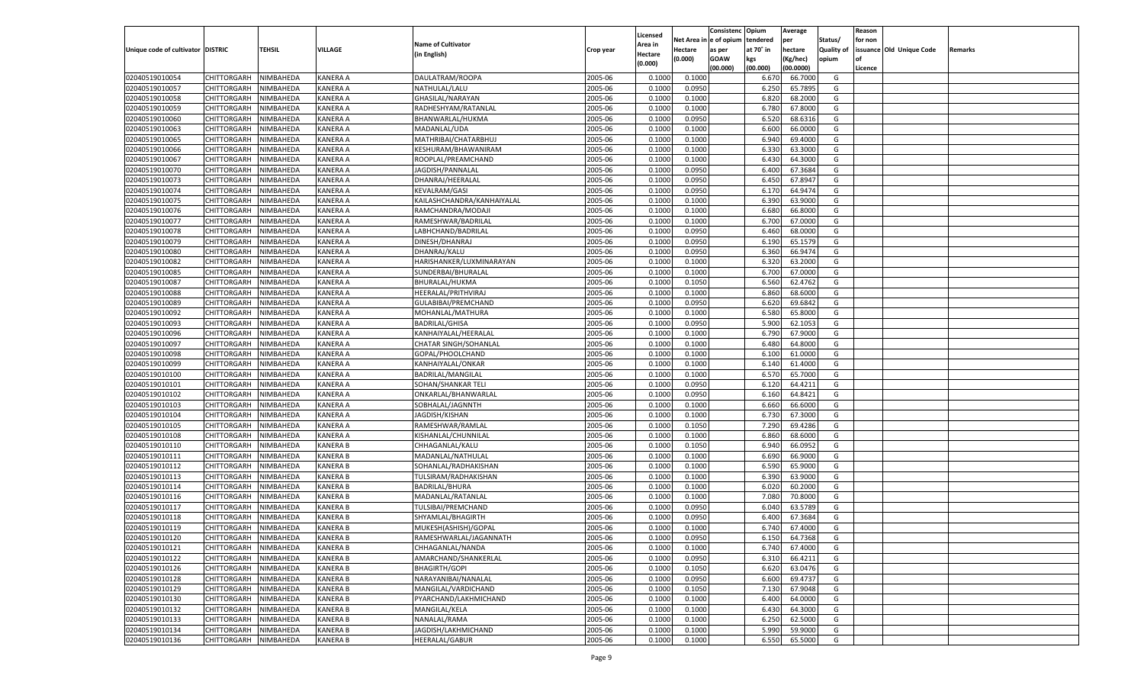|                                   |                       |               |                 |                              |           |                           |          | Consistenc  | Opium     | Average   |                   | Reason  |                          |         |
|-----------------------------------|-----------------------|---------------|-----------------|------------------------------|-----------|---------------------------|----------|-------------|-----------|-----------|-------------------|---------|--------------------------|---------|
|                                   |                       |               |                 | <b>Name of Cultivator</b>    |           | Licensed                  | Net Area | e of opium  | tendered  | per       | Status/           | for non |                          |         |
| Unique code of cultivator DISTRIC |                       | <b>TEHSIL</b> | VILLAGE         | (in English)                 | Crop year | <b>Area in</b><br>Hectare | Hectare  | as per      | at 70° in | hectare   | <b>Quality of</b> |         | issuance Old Unique Code | Remarks |
|                                   |                       |               |                 |                              |           | (0.000)                   | (0.000)  | <b>GOAW</b> | kgs       | (Kg/hec)  | opium             |         |                          |         |
|                                   |                       |               |                 |                              |           |                           |          | (00.000)    | (00.000)  | (00.0000) |                   | Licence |                          |         |
| 02040519010054                    | CHITTORGARH           | NIMBAHEDA     | KANERA A        | DAULATRAM/ROOPA              | 2005-06   | 0.1000                    | 0.1000   |             | 6.67      | 66.7000   | G                 |         |                          |         |
| 02040519010057                    | CHITTORGARH           | NIMBAHEDA     | KANERA A        | NATHULAL/LALU                | 2005-06   | 0.1000                    | 0.0950   |             | 6.250     | 65.7895   | G                 |         |                          |         |
| 02040519010058                    | CHITTORGARH           | NIMBAHEDA     | KANERA A        | GHASILAL/NARAYAN             | 2005-06   | 0.1000                    | 0.1000   |             | 6.820     | 68.2000   | G                 |         |                          |         |
| 02040519010059                    | CHITTORGARH           | NIMBAHEDA     | KANERA A        | RADHESHYAM/RATANLAL          | 2005-06   | 0.1000                    | 0.1000   |             | 6.780     | 67.8000   | G                 |         |                          |         |
| 02040519010060                    | CHITTORGARH           | NIMBAHEDA     | KANERA A        | BHANWARLAL/HUKMA             | 2005-06   | 0.1000                    | 0.0950   |             | 6.520     | 68.6316   | G                 |         |                          |         |
| 02040519010063                    | CHITTORGARH           | NIMBAHEDA     | KANERA A        | MADANLAL/UDA                 | 2005-06   | 0.1000                    | 0.1000   |             | 6.600     | 66.0000   | G                 |         |                          |         |
| 02040519010065                    | CHITTORGARH           | NIMBAHEDA     | KANERA A        | MATHRIBAI/CHATARBHUJ         | 2005-06   | 0.1000                    | 0.1000   |             | 6.940     | 69.4000   | G                 |         |                          |         |
| 02040519010066                    | CHITTORGARH           | NIMBAHEDA     | KANERA A        | KESHURAM/BHAWANIRAM          | 2005-06   | 0.1000                    | 0.1000   |             | 6.33      | 63.3000   | G                 |         |                          |         |
| 02040519010067                    | CHITTORGARH           | NIMBAHEDA     | KANERA A        | ROOPLAL/PREAMCHAND           | 2005-06   | 0.1000                    | 0.1000   |             | 6.430     | 64.3000   | G                 |         |                          |         |
| 02040519010070                    | CHITTORGARH           | NIMBAHEDA     | KANERA A        | JAGDISH/PANNALAL             | 2005-06   | 0.1000                    | 0.0950   |             | 6.400     | 67.3684   | G                 |         |                          |         |
| 02040519010073                    | CHITTORGARH           | NIMBAHEDA     | KANERA A        | DHANRAJ/HEERALAL             | 2005-06   | 0.1000                    | 0.0950   |             | 6.450     | 67.8947   | G                 |         |                          |         |
| 02040519010074                    | CHITTORGARH           | NIMBAHEDA     | KANERA A        | <b>KEVALRAM/GASI</b>         | 2005-06   | 0.1000                    | 0.0950   |             | 6.17      | 64.9474   | G                 |         |                          |         |
| 02040519010075                    | CHITTORGARH           | NIMBAHEDA     | KANERA A        | KAILASHCHANDRA/KANHAIYALAL   | 2005-06   | 0.1000                    | 0.1000   |             | 6.390     | 63.9000   | G                 |         |                          |         |
| 02040519010076                    | CHITTORGARH           | NIMBAHEDA     | KANERA A        | RAMCHANDRA/MODAJI            | 2005-06   | 0.1000                    | 0.1000   |             | 6.680     | 66.8000   | G                 |         |                          |         |
| 02040519010077                    | CHITTORGARH           | NIMBAHEDA     | KANERA A        | RAMESHWAR/BADRILAL           | 2005-06   | 0.1000                    | 0.1000   |             | 6.700     | 67.0000   | G                 |         |                          |         |
| 02040519010078                    | CHITTORGARH           | NIMBAHEDA     | KANERA A        | LABHCHAND/BADRILAL           | 2005-06   | 0.1000                    | 0.0950   |             | 6.460     | 68.0000   | G                 |         |                          |         |
| 02040519010079                    | CHITTORGARH           | NIMBAHEDA     | KANERA A        | DINESH/DHANRAJ               | 2005-06   | 0.1000                    | 0.0950   |             | 6.190     | 65.1579   | G                 |         |                          |         |
| 02040519010080                    | CHITTORGARH           | NIMBAHEDA     | KANERA A        | DHANRAJ/KALU                 | 2005-06   | 0.1000                    | 0.0950   |             | 6.360     | 66.9474   | G                 |         |                          |         |
| 02040519010082                    | CHITTORGARH           | NIMBAHEDA     | KANERA A        | HARISHANKER/LUXMINARAYAN     | 2005-06   | 0.1000                    | 0.1000   |             | 6.320     | 63.2000   | G                 |         |                          |         |
| 02040519010085                    | CHITTORGARH           | NIMBAHEDA     | KANERA A        | SUNDERBAI/BHURALAL           | 2005-06   | 0.1000                    | 0.1000   |             | 6.700     | 67.0000   | G                 |         |                          |         |
| 02040519010087                    | CHITTORGARH           | NIMBAHEDA     | KANERA A        | BHURALAL/HUKMA               | 2005-06   | 0.1000                    | 0.1050   |             | 6.560     | 62.4762   | G                 |         |                          |         |
| 02040519010088                    | CHITTORGARH           | NIMBAHEDA     | KANERA A        | HEERALAL/PRITHVIRAJ          | 2005-06   | 0.1000                    | 0.1000   |             | 6.860     | 68.6000   | G                 |         |                          |         |
| 02040519010089                    | CHITTORGARH           | NIMBAHEDA     | KANERA A        | GULABIBAI/PREMCHAND          | 2005-06   | 0.1000                    | 0.0950   |             | 6.620     | 69.6842   | G                 |         |                          |         |
| 02040519010092                    | CHITTORGARH           | NIMBAHEDA     | KANERA A        | MOHANLAL/MATHURA             | 2005-06   | 0.1000                    | 0.1000   |             | 6.580     | 65.8000   | G                 |         |                          |         |
| 02040519010093                    | CHITTORGARH           | NIMBAHEDA     | KANERA A        | <b>BADRILAL/GHISA</b>        | 2005-06   | 0.1000                    | 0.0950   |             | 5.900     | 62.1053   | G                 |         |                          |         |
| 02040519010096                    | CHITTORGARH           | NIMBAHEDA     | KANERA A        | KANHAIYALAL/HEERALAL         | 2005-06   | 0.1000                    | 0.1000   |             | 6.790     | 67.9000   | G                 |         |                          |         |
| 02040519010097                    | CHITTORGARH           | NIMBAHEDA     | KANERA A        | <b>CHATAR SINGH/SOHANLAL</b> | 2005-06   | 0.1000                    | 0.1000   |             | 6.480     | 64.8000   | G                 |         |                          |         |
| 02040519010098                    | CHITTORGARH           | NIMBAHEDA     | KANERA A        | GOPAL/PHOOLCHAND             | 2005-06   | 0.1000                    | 0.1000   |             | 6.100     | 61.0000   | G                 |         |                          |         |
| 02040519010099                    | CHITTORGARH           | NIMBAHEDA     | KANERA A        | KANHAIYALAL/ONKAR            | 2005-06   | 0.1000                    | 0.1000   |             | 6.140     | 61.4000   | G                 |         |                          |         |
| 02040519010100                    | CHITTORGARH           | NIMBAHEDA     | KANERA A        | BADRILAL/MANGILAL            | 2005-06   | 0.1000                    | 0.1000   |             | 6.570     | 65.7000   | G                 |         |                          |         |
| 02040519010101                    | CHITTORGARH           | NIMBAHEDA     | KANERA A        | SOHAN/SHANKAR TELI           | 2005-06   | 0.1000                    | 0.0950   |             | 6.120     | 64.4211   | G                 |         |                          |         |
| 02040519010102                    | CHITTORGARH           | NIMBAHEDA     | KANERA A        | ONKARLAL/BHANWARLAL          | 2005-06   | 0.1000                    | 0.0950   |             | 6.160     | 64.8421   | G                 |         |                          |         |
| 02040519010103                    | <b>CHITTORGARH</b>    | NIMBAHEDA     | KANERA A        | SOBHALAL/JAGNNTH             | 2005-06   | 0.1000                    | 0.1000   |             | 6.660     | 66.6000   | G                 |         |                          |         |
| 02040519010104                    | CHITTORGARH           | NIMBAHEDA     | KANERA A        | JAGDISH/KISHAN               | 2005-06   | 0.1000                    | 0.1000   |             | 6.730     | 67.3000   | G                 |         |                          |         |
| 02040519010105                    | CHITTORGARH           | NIMBAHEDA     | KANERA A        | RAMESHWAR/RAMLAL             | 2005-06   | 0.1000                    | 0.1050   |             | 7.290     | 69.4286   | G                 |         |                          |         |
| 02040519010108                    | CHITTORGARH           | NIMBAHEDA     | KANERA A        | KISHANLAL/CHUNNILAL          | 2005-06   | 0.1000                    | 0.1000   |             | 6.860     | 68.6000   | G                 |         |                          |         |
| 02040519010110                    | <b>CHITTORGARH</b>    | NIMBAHEDA     | KANERA B        | CHHAGANLAL/KALU              | 2005-06   | 0.1000                    | 0.1050   |             | 6.940     | 66.0952   | G                 |         |                          |         |
| 02040519010111                    | CHITTORGARH           | NIMBAHEDA     | KANERA B        | MADANLAL/NATHULAL            | 2005-06   | 0.1000                    | 0.1000   |             | 6.690     | 66.9000   | G                 |         |                          |         |
| 02040519010112                    | CHITTORGARH           | NIMBAHEDA     | KANERA B        | SOHANLAL/RADHAKISHAN         | 2005-06   | 0.1000                    | 0.1000   |             | 6.590     | 65.9000   | G                 |         |                          |         |
| 02040519010113                    | CHITTORGARH           | NIMBAHEDA     | KANERA B        | TULSIRAM/RADHAKISHAN         | 2005-06   | 0.1000                    | 0.1000   |             | 6.390     | 63.9000   | G                 |         |                          |         |
| 02040519010114                    | <b>CHITTORGARH</b>    | NIMBAHEDA     | KANERA B        | BADRILAL/BHURA               | 2005-06   | 0.1000                    | 0.1000   |             | 6.020     | 60.2000   | G                 |         |                          |         |
| 02040519010116                    | CHITTORGARH           | NIMBAHEDA     | KANERA B        | MADANLAL/RATANLAL            | 2005-06   | 0.1000                    | 0.1000   |             | 7.080     | 70.8000   | G                 |         |                          |         |
| 02040519010117                    | CHITTORGARH           | NIMBAHEDA     | KANERA B        | TULSIBAI/PREMCHAND           | 2005-06   | 0.1000                    | 0.0950   |             | 6.04      | 63.5789   | G                 |         |                          |         |
| 02040519010118                    | CHITTORGARH           | NIMBAHEDA     | KANERA B        | SHYAMLAL/BHAGIRTH            | 2005-06   | 0.1000                    | 0.0950   |             | 6.400     | 67.3684   | G                 |         |                          |         |
| 02040519010119                    |                       | NIMBAHEDA     | KANERA B        |                              | 2005-06   | 0.1000                    | 0.1000   |             | 6.740     | 67.4000   | G                 |         |                          |         |
|                                   | CHITTORGARH           |               |                 | MUKESH(ASHISH)/GOPAL         |           |                           |          |             |           |           |                   |         |                          |         |
| 02040519010120                    | CHITTORGARH NIMBAHEDA |               | <b>KANERA B</b> | RAMESHWARLAL/JAGANNATH       | 2005-06   | 0.1000                    | 0.0950   |             | 6.150     | 64.7368   | G                 |         |                          |         |
| 02040519010121<br>02040519010122  | <b>CHITTORGARH</b>    | NIMBAHEDA     | <b>KANERA B</b> | CHHAGANLAL/NANDA             | 2005-06   | 0.1000                    | 0.1000   |             | 6.740     | 67.4000   | G                 |         |                          |         |
|                                   | <b>CHITTORGARH</b>    | NIMBAHEDA     | <b>KANERA B</b> | AMARCHAND/SHANKERLAL         | 2005-06   | 0.1000                    | 0.0950   |             | 6.310     | 66.4211   | G                 |         |                          |         |
| 02040519010126                    | <b>CHITTORGARH</b>    | NIMBAHEDA     | <b>KANERA B</b> | <b>BHAGIRTH/GOPI</b>         | 2005-06   | 0.1000                    | 0.1050   |             | 6.620     | 63.0476   | G                 |         |                          |         |
| 02040519010128                    | <b>CHITTORGARH</b>    | NIMBAHEDA     | <b>KANERA B</b> | NARAYANIBAI/NANALAL          | 2005-06   | 0.1000                    | 0.0950   |             | 6.600     | 69.4737   | G                 |         |                          |         |
| 02040519010129                    | <b>CHITTORGARH</b>    | NIMBAHEDA     | <b>KANERA B</b> | MANGILAL/VARDICHAND          | 2005-06   | 0.1000                    | 0.1050   |             | 7.130     | 67.9048   | G                 |         |                          |         |
| 02040519010130                    | <b>CHITTORGARH</b>    | NIMBAHEDA     | <b>KANERA B</b> | PYARCHAND/LAKHMICHAND        | 2005-06   | 0.1000                    | 0.1000   |             | 6.400     | 64.0000   | G                 |         |                          |         |
| 02040519010132                    | <b>CHITTORGARH</b>    | NIMBAHEDA     | <b>KANERA B</b> | MANGILAL/KELA                | 2005-06   | 0.1000                    | 0.1000   |             | 6.430     | 64.3000   | G                 |         |                          |         |
| 02040519010133                    | <b>CHITTORGARH</b>    | NIMBAHEDA     | <b>KANERA B</b> | NANALAL/RAMA                 | 2005-06   | 0.1000                    | 0.1000   |             | 6.250     | 62.5000   | G                 |         |                          |         |
| 02040519010134                    | <b>CHITTORGARH</b>    | NIMBAHEDA     | <b>KANERA B</b> | JAGDISH/LAKHMICHAND          | 2005-06   | 0.1000                    | 0.1000   |             | 5.990     | 59.9000   | G                 |         |                          |         |
| 02040519010136                    | <b>CHITTORGARH</b>    | NIMBAHEDA     | <b>KANERA B</b> | <b>HEERALAL/GABUR</b>        | 2005-06   | 0.1000                    | 0.1000   |             | 6.550     | 65.5000   | G                 |         |                          |         |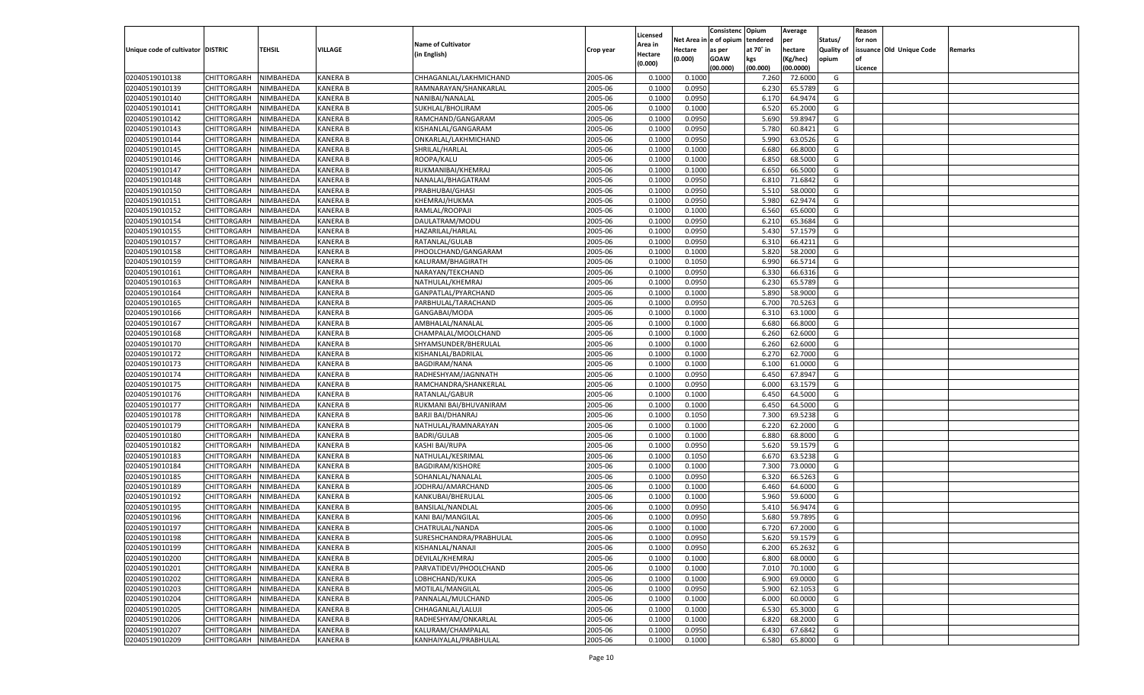|                                   |                       |               |                 |                           |           |                           |          | Consistenc  | Opium     | Average   |                   | Reason  |                          |         |
|-----------------------------------|-----------------------|---------------|-----------------|---------------------------|-----------|---------------------------|----------|-------------|-----------|-----------|-------------------|---------|--------------------------|---------|
|                                   |                       |               |                 | <b>Name of Cultivator</b> |           | Licensed                  | Net Area | e of opium  | tendered  | per       | Status/           | for non |                          |         |
| Unique code of cultivator DISTRIC |                       | <b>TEHSIL</b> | VILLAGE         | (in English)              | Crop year | <b>Area in</b><br>Hectare | Hectare  | as per      | at 70° in | hectare   | <b>Quality of</b> |         | issuance Old Unique Code | Remarks |
|                                   |                       |               |                 |                           |           | (0.000)                   | (0.000)  | <b>GOAW</b> | kgs       | (Kg/hec)  | opium             |         |                          |         |
|                                   |                       |               |                 |                           |           |                           |          | (00.000)    | (00.000)  | (00.0000) |                   | Licence |                          |         |
| 02040519010138                    | CHITTORGARH           | NIMBAHEDA     | KANERA B        | CHHAGANLAL/LAKHMICHAND    | 2005-06   | 0.1000                    | 0.1000   |             | 7.260     | 72.6000   | G                 |         |                          |         |
| 02040519010139                    | CHITTORGARH           | NIMBAHEDA     | KANERA B        | RAMNARAYAN/SHANKARLAL     | 2005-06   | 0.1000                    | 0.0950   |             | 6.23      | 65.5789   | G                 |         |                          |         |
| 02040519010140                    | CHITTORGARH           | NIMBAHEDA     | KANERA B        | NANIBAI/NANALAL           | 2005-06   | 0.1000                    | 0.0950   |             | 6.170     | 64.9474   | G                 |         |                          |         |
| 02040519010141                    | CHITTORGARH           | NIMBAHEDA     | KANERA B        | SUKHLAL/BHOLIRAM          | 2005-06   | 0.1000                    | 0.1000   |             | 6.520     | 65.2000   | G                 |         |                          |         |
| 02040519010142                    | CHITTORGARH           | NIMBAHEDA     | KANERA B        | RAMCHAND/GANGARAM         | 2005-06   | 0.1000                    | 0.0950   |             | 5.690     | 59.8947   | G                 |         |                          |         |
| 02040519010143                    | CHITTORGARH           | NIMBAHEDA     | KANERA B        | KISHANLAL/GANGARAM        | 2005-06   | 0.1000                    | 0.0950   |             | 5.780     | 60.8421   | G                 |         |                          |         |
| 02040519010144                    | CHITTORGARH           | NIMBAHEDA     | KANERA B        | ONKARLAL/LAKHMICHAND      | 2005-06   | 0.1000                    | 0.0950   |             | 5.990     | 63.0526   | G                 |         |                          |         |
| 02040519010145                    | CHITTORGARH           | NIMBAHEDA     | KANERA B        | SHRILAL/HARLAL            | 2005-06   | 0.1000                    | 0.1000   |             | 6.680     | 66.8000   | G                 |         |                          |         |
| 02040519010146                    | CHITTORGARH           | NIMBAHEDA     | KANERA B        | ROOPA/KALU                | 2005-06   | 0.1000                    | 0.1000   |             | 6.850     | 68.5000   | G                 |         |                          |         |
| 02040519010147                    | CHITTORGARH           | NIMBAHEDA     | KANERA B        | RUKMANIBAI/KHEMRAJ        | 2005-06   | 0.1000                    | 0.1000   |             | 6.650     | 66.5000   | G                 |         |                          |         |
| 02040519010148                    | CHITTORGARH           | NIMBAHEDA     | KANERA B        | NANALAL/BHAGATRAM         | 2005-06   | 0.1000                    | 0.0950   |             | 6.810     | 71.6842   | G                 |         |                          |         |
| 02040519010150                    | CHITTORGARH           | NIMBAHEDA     | KANERA B        | PRABHUBAI/GHASI           | 2005-06   | 0.1000                    | 0.0950   |             | 5.510     | 58.0000   | G                 |         |                          |         |
| 02040519010151                    | CHITTORGARH           | NIMBAHEDA     | KANERA B        | KHEMRAJ/HUKMA             | 2005-06   | 0.1000                    | 0.0950   |             | 5.980     | 62.9474   | G                 |         |                          |         |
| 02040519010152                    | CHITTORGARH           | NIMBAHEDA     | KANERA B        | RAMLAL/ROOPAJI            | 2005-06   | 0.1000                    | 0.1000   |             | 6.560     | 65.6000   | G                 |         |                          |         |
| 02040519010154                    | CHITTORGARH           | NIMBAHEDA     | KANERA B        | DAULATRAM/MODU            | 2005-06   | 0.1000                    | 0.0950   |             | 6.210     | 65.3684   | G                 |         |                          |         |
| 02040519010155                    | CHITTORGARH           | NIMBAHEDA     | KANERA B        | HAZARILAL/HARLAL          | 2005-06   | 0.1000                    | 0.0950   |             | 5.430     | 57.1579   | G                 |         |                          |         |
| 02040519010157                    | CHITTORGARH           | NIMBAHEDA     | KANERA B        | RATANLAL/GULAB            | 2005-06   | 0.1000                    | 0.0950   |             | 6.310     | 66.4211   | G                 |         |                          |         |
| 02040519010158                    | CHITTORGARH           | NIMBAHEDA     | KANERA B        | PHOOLCHAND/GANGARAM       | 2005-06   | 0.1000                    | 0.1000   |             | 5.820     | 58.2000   | G                 |         |                          |         |
| 02040519010159                    | CHITTORGARH           | NIMBAHEDA     | KANERA B        | KALURAM/BHAGIRATH         | 2005-06   | 0.1000                    | 0.1050   |             | 6.990     | 66.5714   | G                 |         |                          |         |
| 02040519010161                    | CHITTORGARH           | NIMBAHEDA     | KANERA B        | NARAYAN/TEKCHAND          | 2005-06   | 0.1000                    | 0.0950   |             | 6.330     | 66.6316   | G                 |         |                          |         |
| 02040519010163                    | CHITTORGARH           | NIMBAHEDA     | KANERA B        | NATHULAL/KHEMRAJ          | 2005-06   | 0.1000                    | 0.0950   |             | 6.230     | 65.5789   | G                 |         |                          |         |
| 02040519010164                    | CHITTORGARH           | NIMBAHEDA     | KANERA B        | GANPATLAL/PYARCHAND       | 2005-06   | 0.1000                    | 0.1000   |             | 5.890     | 58.9000   | G                 |         |                          |         |
| 02040519010165                    | CHITTORGARH           | NIMBAHEDA     | KANERA B        | PARBHULAL/TARACHAND       | 2005-06   | 0.1000                    | 0.0950   |             | 6.700     | 70.5263   | G                 |         |                          |         |
| 02040519010166                    | CHITTORGARH           | NIMBAHEDA     | KANERA B        | GANGABAI/MODA             | 2005-06   | 0.1000                    | 0.1000   |             | 6.310     | 63.1000   | G                 |         |                          |         |
| 02040519010167                    | CHITTORGARH           | NIMBAHEDA     | KANERA B        | AMBHALAL/NANALAI          | 2005-06   | 0.1000                    | 0.1000   |             | 6.680     | 66.8000   | G                 |         |                          |         |
| 02040519010168                    | CHITTORGARH           | NIMBAHEDA     | KANERA B        | CHAMPALAL/MOOLCHAND       | 2005-06   | 0.1000                    | 0.1000   |             | 6.260     | 62.6000   | G                 |         |                          |         |
| 02040519010170                    | CHITTORGARH           | NIMBAHEDA     | KANERA B        | SHYAMSUNDER/BHERULAL      | 2005-06   | 0.1000                    | 0.1000   |             | 6.260     | 62.6000   | G                 |         |                          |         |
| 02040519010172                    | CHITTORGARH           | NIMBAHEDA     | KANERA B        | KISHANLAL/BADRILAL        | 2005-06   | 0.1000                    | 0.1000   |             | 6.27      | 62.7000   | G                 |         |                          |         |
| 02040519010173                    | CHITTORGARH           | NIMBAHEDA     | KANERA B        | <b>BAGDIRAM/NANA</b>      | 2005-06   | 0.1000                    | 0.1000   |             | 6.100     | 61.0000   | G                 |         |                          |         |
| 02040519010174                    | CHITTORGARH           | NIMBAHEDA     | KANERA B        | RADHESHYAM/JAGNNATH       | 2005-06   | 0.1000                    | 0.0950   |             | 6.450     | 67.8947   | G                 |         |                          |         |
| 02040519010175                    | CHITTORGARH           | NIMBAHEDA     | KANERA B        | RAMCHANDRA/SHANKERLAL     | 2005-06   | 0.1000                    | 0.0950   |             | 6.000     | 63.1579   | G                 |         |                          |         |
| 02040519010176                    | CHITTORGARH           | NIMBAHEDA     | KANERA B        | RATANLAL/GABUR            | 2005-06   | 0.1000                    | 0.1000   |             | 6.450     | 64.5000   | G                 |         |                          |         |
| 02040519010177                    | CHITTORGARH           | NIMBAHEDA     | KANERA B        | RUKMANI BAI/BHUVANIRAM    | 2005-06   | 0.1000                    | 0.1000   |             | 6.450     | 64.5000   | G                 |         |                          |         |
| 02040519010178                    | CHITTORGARH           | NIMBAHEDA     | KANERA B        | <b>BARJI BAI/DHANRAJ</b>  | 2005-06   | 0.1000                    | 0.1050   |             | 7.300     | 69.5238   | G                 |         |                          |         |
| 02040519010179                    | CHITTORGARH           | NIMBAHEDA     | KANERA B        | NATHULAL/RAMNARAYAN       | 2005-06   | 0.1000                    | 0.1000   |             | 6.220     | 62.2000   | G                 |         |                          |         |
| 02040519010180                    | CHITTORGARH           | NIMBAHEDA     | KANERA B        | <b>BADRI/GULAB</b>        | 2005-06   | 0.1000                    | 0.1000   |             | 6.880     | 68.8000   | G                 |         |                          |         |
| 02040519010182                    |                       | NIMBAHEDA     | KANERA B        | KASHI BAI/RUPA            | 2005-06   | 0.1000                    | 0.0950   |             | 5.620     | 59.1579   | G                 |         |                          |         |
|                                   | <b>CHITTORGARH</b>    |               |                 |                           |           |                           |          |             |           |           |                   |         |                          |         |
| 02040519010183                    | CHITTORGARH           | NIMBAHEDA     | KANERA B        | NATHULAL/KESRIMAL         | 2005-06   | 0.1000                    | 0.1050   |             | 6.670     | 63.5238   | G                 |         |                          |         |
| 02040519010184                    | CHITTORGARH           | NIMBAHEDA     | KANERA B        | <b>BAGDIRAM/KISHORE</b>   | 2005-06   | 0.1000                    | 0.1000   |             | 7.300     | 73.0000   | G                 |         |                          |         |
| 02040519010185                    | CHITTORGARH           | NIMBAHEDA     | KANERA B        | SOHANLAL/NANALAL          | 2005-06   | 0.1000                    | 0.0950   |             | 6.320     | 66.5263   | G                 |         |                          |         |
| 02040519010189                    | CHITTORGARH           | NIMBAHEDA     | KANERA B        | JODHRAJ/AMARCHAND         | 2005-06   | 0.1000                    | 0.1000   |             | 6.460     | 64.6000   | G                 |         |                          |         |
| 02040519010192                    | CHITTORGARH           | NIMBAHEDA     | KANERA B        | KANKUBAI/BHERULAL         | 2005-06   | 0.1000                    | 0.1000   |             | 5.960     | 59.6000   | G                 |         |                          |         |
| 02040519010195                    | CHITTORGARH           | NIMBAHEDA     | KANERA B        | BANSILAL/NANDLAL          | 2005-06   | 0.1000                    | 0.0950   |             | 5.410     | 56.9474   | G                 |         |                          |         |
| 02040519010196                    | CHITTORGARH           | NIMBAHEDA     | KANERA B        | KANI BAI/MANGILAL         | 2005-06   | 0.1000                    | 0.0950   |             | 5.680     | 59.789    | G                 |         |                          |         |
| 02040519010197                    | CHITTORGARH           | NIMBAHEDA     | KANERA B        | CHATRULAL/NANDA           | 2005-06   | 0.1000                    | 0.1000   |             | 6.720     | 67.2000   | G                 |         |                          |         |
| 02040519010198                    | CHITTORGARH NIMBAHEDA |               | <b>KANERA B</b> | SURESHCHANDRA/PRABHULAL   | 2005-06   | 0.1000                    | 0.0950   |             | 5.620     | 59.1579   | G                 |         |                          |         |
| 02040519010199                    | <b>CHITTORGARH</b>    | NIMBAHEDA     | <b>KANERA B</b> | KISHANLAL/NANAJI          | 2005-06   | 0.1000                    | 0.0950   |             | 6.200     | 65.2632   | G                 |         |                          |         |
| 02040519010200                    | CHITTORGARH           | NIMBAHEDA     | <b>KANERA B</b> | DEVILAL/KHEMRAJ           | 2005-06   | 0.1000                    | 0.1000   |             | 6.800     | 68.0000   | G                 |         |                          |         |
| 02040519010201                    | <b>CHITTORGARH</b>    | NIMBAHEDA     | <b>KANERA B</b> | PARVATIDEVI/PHOOLCHAND    | 2005-06   | 0.1000                    | 0.1000   |             | 7.010     | 70.1000   | G                 |         |                          |         |
| 02040519010202                    | <b>CHITTORGARH</b>    | NIMBAHEDA     | <b>KANERA B</b> | LOBHCHAND/KUKA            | 2005-06   | 0.1000                    | 0.1000   |             | 6.900     | 69.0000   | G                 |         |                          |         |
| 02040519010203                    | <b>CHITTORGARH</b>    | NIMBAHEDA     | <b>KANERA B</b> | MOTILAL/MANGILAL          | 2005-06   | 0.1000                    | 0.0950   |             | 5.900     | 62.1053   | G                 |         |                          |         |
| 02040519010204                    | <b>CHITTORGARH</b>    | NIMBAHEDA     | <b>KANERA B</b> | PANNALAL/MULCHAND         | 2005-06   | 0.1000                    | 0.1000   |             | 6.000     | 60.0000   | G                 |         |                          |         |
| 02040519010205                    | <b>CHITTORGARH</b>    | NIMBAHEDA     | <b>KANERA B</b> | CHHAGANLAL/LALUJI         | 2005-06   | 0.1000                    | 0.1000   |             | 6.530     | 65.3000   | G                 |         |                          |         |
| 02040519010206                    | <b>CHITTORGARH</b>    | NIMBAHEDA     | <b>KANERA B</b> | RADHESHYAM/ONKARLAL       | 2005-06   | 0.1000                    | 0.1000   |             | 6.820     | 68.2000   | G                 |         |                          |         |
| 02040519010207                    | <b>CHITTORGARH</b>    | NIMBAHEDA     | <b>KANERA B</b> | KALURAM/CHAMPALAL         | 2005-06   | 0.1000                    | 0.0950   |             | 6.430     | 67.6842   | G                 |         |                          |         |
| 02040519010209                    | CHITTORGARH           | NIMBAHEDA     | <b>KANERA B</b> | KANHAIYALAL/PRABHULAL     | 2005-06   | 0.1000                    | 0.1000   |             | 6.580     | 65.8000   | G                 |         |                          |         |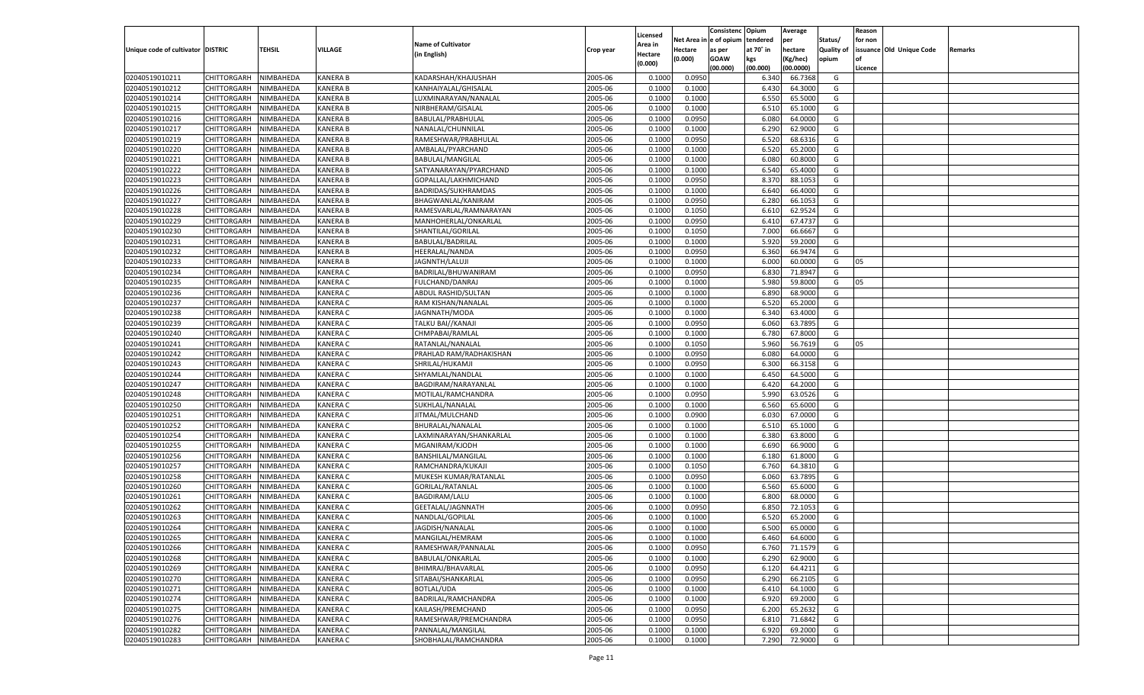|                                   |                       |               |                 |                           |           |                           |          | Consistenc  | Opium     | Average   |                   | Reason  |                          |         |
|-----------------------------------|-----------------------|---------------|-----------------|---------------------------|-----------|---------------------------|----------|-------------|-----------|-----------|-------------------|---------|--------------------------|---------|
|                                   |                       |               |                 | <b>Name of Cultivator</b> |           | Licensed                  | Net Area | e of opium  | tendered  | per       | Status/           | for non |                          |         |
| Unique code of cultivator DISTRIC |                       | <b>TEHSIL</b> | VILLAGE         | (in English)              | Crop year | <b>Area in</b><br>Hectare | Hectare  | as per      | at 70° in | hectare   | <b>Quality of</b> |         | issuance Old Unique Code | Remarks |
|                                   |                       |               |                 |                           |           | (0.000)                   | (0.000)  | <b>GOAW</b> | kgs       | (Kg/hec)  | opium             |         |                          |         |
|                                   |                       |               |                 |                           |           |                           |          | (00.000)    | (00.000)  | (00.0000) |                   | Licence |                          |         |
| 02040519010211                    | CHITTORGARH           | NIMBAHEDA     | KANERA B        | KADARSHAH/KHAJUSHAH       | 2005-06   | 0.1000                    | 0.0950   |             | 6.340     | 66.7368   | G                 |         |                          |         |
| 02040519010212                    | CHITTORGARH           | NIMBAHEDA     | KANERA B        | KANHAIYALAL/GHISALAL      | 2005-06   | 0.1000                    | 0.1000   |             | 6.430     | 64.3000   | G                 |         |                          |         |
| 02040519010214                    | CHITTORGARH           | NIMBAHEDA     | KANERA B        | LUXMINARAYAN/NANALAL      | 2005-06   | 0.1000                    | 0.1000   |             | 6.550     | 65.5000   | G                 |         |                          |         |
| 02040519010215                    | CHITTORGARH           | NIMBAHEDA     | KANERA B        | NIRBHERAM/GISALAL         | 2005-06   | 0.1000                    | 0.1000   |             | 6.510     | 65.1000   | G                 |         |                          |         |
| 02040519010216                    | CHITTORGARH           | NIMBAHEDA     | KANERA B        | BABULAL/PRABHULAL         | 2005-06   | 0.1000                    | 0.0950   |             | 6.080     | 64.0000   | G                 |         |                          |         |
| 02040519010217                    | CHITTORGARH           | NIMBAHEDA     | KANERA B        | NANALAL/CHUNNILAL         | 2005-06   | 0.1000                    | 0.1000   |             | 6.290     | 62.9000   | G                 |         |                          |         |
| 02040519010219                    | CHITTORGARH           | NIMBAHEDA     | KANERA B        | RAMESHWAR/PRABHULAL       | 2005-06   | 0.1000                    | 0.0950   |             | 6.520     | 68.6316   | G                 |         |                          |         |
| 02040519010220                    | CHITTORGARH           | NIMBAHEDA     | KANERA B        | AMBALAL/PYARCHAND         | 2005-06   | 0.1000                    | 0.1000   |             | 6.520     | 65.2000   | G                 |         |                          |         |
| 02040519010221                    | CHITTORGARH           | NIMBAHEDA     | KANERA B        | BABULAL/MANGILAL          | 2005-06   | 0.1000                    | 0.1000   |             | 6.080     | 60.8000   | G                 |         |                          |         |
| 02040519010222                    | CHITTORGARH           | NIMBAHEDA     | KANERA B        | SATYANARAYAN/PYARCHAND    | 2005-06   | 0.1000                    | 0.1000   |             | 6.540     | 65.4000   | G                 |         |                          |         |
| 02040519010223                    | CHITTORGARH           | NIMBAHEDA     | KANERA B        | GOPALLAL/LAKHMICHAND      | 2005-06   | 0.1000                    | 0.0950   |             | 8.37      | 88.1053   | G                 |         |                          |         |
| 02040519010226                    | CHITTORGARH           | NIMBAHEDA     | KANERA B        | BADRIDAS/SUKHRAMDAS       | 2005-06   | 0.1000                    | 0.1000   |             | 6.640     | 66.4000   | G                 |         |                          |         |
| 02040519010227                    | CHITTORGARH           | NIMBAHEDA     | KANERA B        | BHAGWANLAL/KANIRAM        | 2005-06   | 0.1000                    | 0.0950   |             | 6.280     | 66.105    | G                 |         |                          |         |
| 02040519010228                    | CHITTORGARH           | NIMBAHEDA     | KANERA B        | RAMESVARLAL/RAMNARAYAN    | 2005-06   | 0.1000                    | 0.1050   |             | 6.610     | 62.9524   | G                 |         |                          |         |
| 02040519010229                    | CHITTORGARH           | NIMBAHEDA     | KANERA B        | MANHOHERLAL/ONKARLAL      | 2005-06   | 0.1000                    | 0.0950   |             | 6.410     | 67.4737   | G                 |         |                          |         |
| 02040519010230                    | CHITTORGARH           | NIMBAHEDA     | KANERA B        | SHANTILAL/GORILAL         | 2005-06   | 0.1000                    | 0.1050   |             | 7.000     | 66.6667   | G                 |         |                          |         |
| 02040519010231                    | CHITTORGARH           | NIMBAHEDA     | KANERA B        | BABULAL/BADRILAL          | 2005-06   | 0.1000                    | 0.1000   |             | 5.920     | 59.2000   | G                 |         |                          |         |
| 02040519010232                    | CHITTORGARH           | NIMBAHEDA     | KANERA B        | HEERALAL/NANDA            | 2005-06   | 0.1000                    | 0.0950   |             | 6.360     | 66.9474   | G                 |         |                          |         |
| 02040519010233                    | CHITTORGARH           | NIMBAHEDA     | KANERA B        | JAGNNTH/LALUJI            | 2005-06   | 0.1000                    | 0.1000   |             | 6.000     | 60.0000   | G                 | 05      |                          |         |
| 02040519010234                    | CHITTORGARH           | NIMBAHEDA     | KANERA C        | BADRILAL/BHUWANIRAM       | 2005-06   | 0.1000                    | 0.0950   |             | 6.830     | 71.8947   | G                 |         |                          |         |
| 02040519010235                    | CHITTORGARH           | NIMBAHEDA     | KANERA C        | FULCHAND/DANRAJ           | 2005-06   | 0.1000                    | 0.1000   |             | 5.980     | 59.8000   | G                 | 05      |                          |         |
| 02040519010236                    | CHITTORGARH           | NIMBAHEDA     | KANERA C        | ABDUL RASHID/SULTAN       | 2005-06   | 0.1000                    | 0.1000   |             | 6.890     | 68.9000   | G                 |         |                          |         |
| 02040519010237                    | CHITTORGARH           | NIMBAHEDA     | KANERA C        | RAM KISHAN/NANALAL        | 2005-06   | 0.1000                    | 0.1000   |             | 6.520     | 65.2000   | G                 |         |                          |         |
| 02040519010238                    | CHITTORGARH           | NIMBAHEDA     | KANERA C        | JAGNNATH/MODA             | 2005-06   | 0.1000                    | 0.1000   |             | 6.340     | 63.4000   | G                 |         |                          |         |
| 02040519010239                    | CHITTORGARH           | NIMBAHEDA     | KANERA C        | TALKU BAI//KANAJI         | 2005-06   | 0.1000                    | 0.0950   |             | 6.060     | 63.7895   | G                 |         |                          |         |
| 02040519010240                    | CHITTORGARH           | NIMBAHEDA     | KANERA C        | CHMPABAI/RAMLAL           | 2005-06   | 0.1000                    | 0.1000   |             | 6.780     | 67.8000   | G                 |         |                          |         |
| 02040519010241                    | CHITTORGARH           | NIMBAHEDA     | KANERA C        | RATANLAL/NANALAL          | 2005-06   | 0.1000                    | 0.1050   |             | 5.960     | 56.7619   | G                 | 05      |                          |         |
| 02040519010242                    | CHITTORGARH           | NIMBAHEDA     | KANERA C        | PRAHLAD RAM/RADHAKISHAN   | 2005-06   | 0.1000                    | 0.0950   |             | 6.080     | 64.0000   | G                 |         |                          |         |
| 02040519010243                    | CHITTORGARH           | NIMBAHEDA     | KANERA C        | SHRILAL/HUKAMJI           | 2005-06   | 0.1000                    | 0.0950   |             | 6.300     | 66.3158   | G                 |         |                          |         |
| 02040519010244                    | CHITTORGARH           | NIMBAHEDA     | KANERA C        | SHYAMLAL/NANDLAL          | 2005-06   | 0.1000                    | 0.1000   |             | 6.450     | 64.5000   | G                 |         |                          |         |
| 02040519010247                    | CHITTORGARH           | NIMBAHEDA     | KANERA C        | BAGDIRAM/NARAYANLAL       | 2005-06   | 0.1000                    | 0.1000   |             | 6.420     | 64.2000   | G                 |         |                          |         |
| 02040519010248                    | CHITTORGARH           | NIMBAHEDA     | KANERA C        | MOTILAL/RAMCHANDRA        | 2005-06   | 0.1000                    | 0.0950   |             | 5.990     | 63.0526   | G                 |         |                          |         |
| 02040519010250                    | CHITTORGARH           | NIMBAHEDA     | KANERA C        | SUKHLAL/NANALAL           | 2005-06   | 0.1000                    | 0.1000   |             | 6.560     | 65.6000   | G                 |         |                          |         |
| 02040519010251                    | CHITTORGARH           | NIMBAHEDA     | KANERA C        | JITMAL/MULCHAND           | 2005-06   | 0.1000                    | 0.0900   |             | 6.030     | 67.0000   | G                 |         |                          |         |
| 02040519010252                    | CHITTORGARH           | NIMBAHEDA     | KANERA C        | BHURALAL/NANALAL          | 2005-06   | 0.1000                    | 0.1000   |             | 6.510     | 65.1000   | G                 |         |                          |         |
| 02040519010254                    | CHITTORGARH           | NIMBAHEDA     | KANERA C        | LAXMINARAYAN/SHANKARLAL   | 2005-06   | 0.1000                    | 0.1000   |             | 6.380     | 63.8000   | G                 |         |                          |         |
| 02040519010255                    |                       | NIMBAHEDA     | KANERA C        | MGANIRAM/KJODH            | 2005-06   | 0.1000                    | 0.1000   |             |           | 66.9000   | G                 |         |                          |         |
|                                   | CHITTORGARH           |               |                 |                           |           |                           |          |             | 6.690     |           |                   |         |                          |         |
| 02040519010256                    | CHITTORGARH           | NIMBAHEDA     | KANERA C        | BANSHILAL/MANGILAL        | 2005-06   | 0.1000                    | 0.1000   |             | 6.180     | 61.8000   | G                 |         |                          |         |
| 02040519010257<br>02040519010258  | CHITTORGARH           | NIMBAHEDA     | KANERA C        | RAMCHANDRA/KUKAJI         | 2005-06   | 0.1000                    | 0.1050   |             | 6.760     | 64.3810   | G                 |         |                          |         |
| 02040519010260                    | CHITTORGARH           | NIMBAHEDA     | KANERA C        | MUKESH KUMAR/RATANLAL     | 2005-06   | 0.1000                    | 0.0950   |             | 6.060     | 63.7895   | G                 |         |                          |         |
|                                   | CHITTORGARH           | NIMBAHEDA     | KANERA C        | <b>GORILAL/RATANLAL</b>   | 2005-06   | 0.1000                    | 0.1000   |             | 6.560     | 65.6000   | G                 |         |                          |         |
| 02040519010261                    | CHITTORGARH           | NIMBAHEDA     | KANERA C        | <b>BAGDIRAM/LALU</b>      | 2005-06   | 0.1000                    | 0.1000   |             | 6.800     | 68.0000   | G                 |         |                          |         |
| 02040519010262                    | CHITTORGARH           | NIMBAHEDA     | KANERA C        | GEETALAL/JAGNNATH         | 2005-06   | 0.1000                    | 0.0950   |             | 6.85      | 72.105    | G                 |         |                          |         |
| 02040519010263                    | CHITTORGARH           | NIMBAHEDA     | KANERA C        | NANDLAL/GOPILAI           | 2005-06   | 0.1000                    | 0.1000   |             | 6.520     | 65.2000   | G                 |         |                          |         |
| 02040519010264                    | CHITTORGARH           | NIMBAHEDA     | KANERA C        | JAGDISH/NANALAI           | 2005-06   | 0.1000                    | 0.1000   |             | 6.500     | 65.0000   | G                 |         |                          |         |
| 02040519010265                    | CHITTORGARH NIMBAHEDA |               | <b>KANERA C</b> | MANGILAL/HEMRAM           | 2005-06   | 0.1000                    | 0.1000   |             | 6.460     | 64.6000   | G                 |         |                          |         |
| 02040519010266                    | <b>CHITTORGARH</b>    | NIMBAHEDA     | <b>KANERA C</b> | RAMESHWAR/PANNALAL        | 2005-06   | 0.1000                    | 0.0950   |             | 6.760     | 71.1579   | G                 |         |                          |         |
| 02040519010268                    | <b>CHITTORGARH</b>    | NIMBAHEDA     | <b>KANERA C</b> | BABULAL/ONKARLAL          | 2005-06   | 0.1000                    | 0.1000   |             | 6.290     | 62.9000   | G                 |         |                          |         |
| 02040519010269                    | <b>CHITTORGARH</b>    | NIMBAHEDA     | <b>KANERA C</b> | BHIMRAJ/BHAVARLAL         | 2005-06   | 0.1000                    | 0.0950   |             | 6.120     | 64.4211   | G                 |         |                          |         |
| 02040519010270                    | <b>CHITTORGARH</b>    | NIMBAHEDA     | <b>KANERA C</b> | SITABAI/SHANKARLAL        | 2005-06   | 0.1000                    | 0.0950   |             | 6.290     | 66.2105   | G                 |         |                          |         |
| 02040519010271                    | <b>CHITTORGARH</b>    | NIMBAHEDA     | <b>KANERA C</b> | BOTLAL/UDA                | 2005-06   | 0.1000                    | 0.1000   |             | 6.410     | 64.1000   | G                 |         |                          |         |
| 02040519010274                    | <b>CHITTORGARH</b>    | NIMBAHEDA     | <b>KANERA C</b> | BADRILAL/RAMCHANDRA       | 2005-06   | 0.1000                    | 0.1000   |             | 6.920     | 69.2000   | G                 |         |                          |         |
| 02040519010275                    | <b>CHITTORGARH</b>    | NIMBAHEDA     | <b>KANERA C</b> | KAILASH/PREMCHAND         | 2005-06   | 0.1000                    | 0.0950   |             | 6.200     | 65.2632   | G                 |         |                          |         |
| 02040519010276                    | <b>CHITTORGARH</b>    | NIMBAHEDA     | <b>KANERA C</b> | RAMESHWAR/PREMCHANDRA     | 2005-06   | 0.1000                    | 0.0950   |             | 6.810     | 71.6842   | G                 |         |                          |         |
| 02040519010282                    | <b>CHITTORGARH</b>    | NIMBAHEDA     | <b>KANERA C</b> | PANNALAL/MANGILAL         | 2005-06   | 0.1000                    | 0.1000   |             | 6.920     | 69.2000   | G                 |         |                          |         |
| 02040519010283                    | CHITTORGARH           | NIMBAHEDA     | <b>KANERA C</b> | SHOBHALAL/RAMCHANDRA      | 2005-06   | 0.1000                    | 0.1000   |             | 7.290     | 72.9000   | G                 |         |                          |         |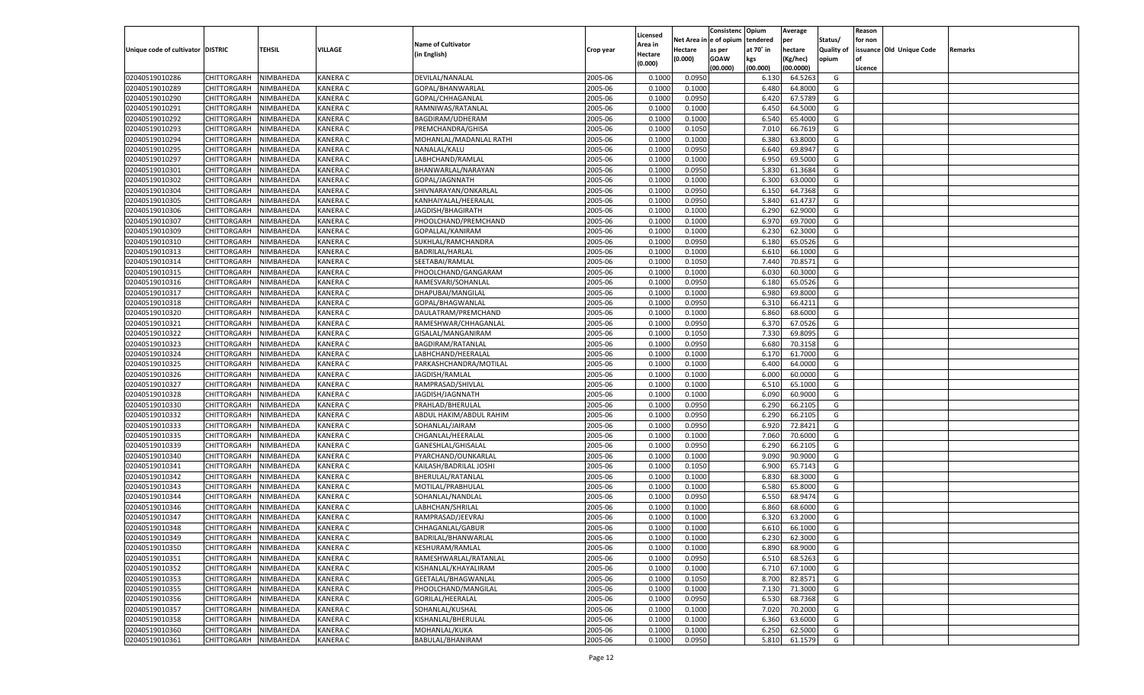|                                   |                       |               |                 |                           |           |                           |          | Consistenc  | Opium     | Average   |                   | Reason  |                          |         |
|-----------------------------------|-----------------------|---------------|-----------------|---------------------------|-----------|---------------------------|----------|-------------|-----------|-----------|-------------------|---------|--------------------------|---------|
|                                   |                       |               |                 | <b>Name of Cultivator</b> |           | Licensed                  | Net Area | e of opium  | tendered  | per       | Status/           | for non |                          |         |
| Unique code of cultivator DISTRIC |                       | <b>TEHSIL</b> | VILLAGE         | (in English)              | Crop year | <b>Area in</b><br>Hectare | Hectare  | as per      | at 70° in | hectare   | <b>Quality of</b> |         | issuance Old Unique Code | Remarks |
|                                   |                       |               |                 |                           |           | (0.000)                   | (0.000)  | <b>GOAW</b> | kgs       | (Kg/hec)  | opium             |         |                          |         |
|                                   |                       |               |                 |                           |           |                           |          | (00.000)    | (00.000)  | (00.0000) |                   | Licence |                          |         |
| 02040519010286                    | CHITTORGARH           | NIMBAHEDA     | <b>KANERA C</b> | DEVILAL/NANALAL           | 2005-06   | 0.1000                    | 0.0950   |             | 6.130     | 64.5263   | G                 |         |                          |         |
| 02040519010289                    | CHITTORGARH           | NIMBAHEDA     | KANERA C        | GOPAL/BHANWARLAL          | 2005-06   | 0.1000                    | 0.1000   |             | 6.480     | 64.8000   | G                 |         |                          |         |
| 02040519010290                    | CHITTORGARH           | NIMBAHEDA     | KANERA C        | GOPAL/CHHAGANLAL          | 2005-06   | 0.1000                    | 0.0950   |             | 6.420     | 67.5789   | G                 |         |                          |         |
| 02040519010291                    | CHITTORGARH           | NIMBAHEDA     | KANERA C        | RAMNIWAS/RATANLAL         | 2005-06   | 0.1000                    | 0.1000   |             | 6.450     | 64.5000   | G                 |         |                          |         |
| 02040519010292                    | CHITTORGARH           | NIMBAHEDA     | KANERA C        | BAGDIRAM/UDHERAM          | 2005-06   | 0.1000                    | 0.1000   |             | 6.540     | 65.4000   | G                 |         |                          |         |
| 02040519010293                    | CHITTORGARH           | NIMBAHEDA     | KANERA C        | PREMCHANDRA/GHISA         | 2005-06   | 0.1000                    | 0.1050   |             | 7.010     | 66.7619   | G                 |         |                          |         |
| 02040519010294                    | CHITTORGARH           | NIMBAHEDA     | KANERA C        | MOHANLAL/MADANLAL RATHI   | 2005-06   | 0.1000                    | 0.1000   |             | 6.380     | 63.8000   | G                 |         |                          |         |
| 02040519010295                    | CHITTORGARH           | NIMBAHEDA     | KANERA C        | NANALAL/KALU              | 2005-06   | 0.1000                    | 0.0950   |             | 6.640     | 69.8947   | G                 |         |                          |         |
| 02040519010297                    | CHITTORGARH           | NIMBAHEDA     | KANERA C        | LABHCHAND/RAMLAL          | 2005-06   | 0.1000                    | 0.1000   |             | 6.950     | 69.5000   | G                 |         |                          |         |
| 02040519010301                    | CHITTORGARH           | NIMBAHEDA     | KANERA C        | BHANWARLAL/NARAYAN        | 2005-06   | 0.1000                    | 0.0950   |             | 5.830     | 61.3684   | G                 |         |                          |         |
| 02040519010302                    | CHITTORGARH           | NIMBAHEDA     | KANERA C        | GOPAL/JAGNNATH            | 2005-06   | 0.1000                    | 0.1000   |             | 6.300     | 63.0000   | G                 |         |                          |         |
| 02040519010304                    | CHITTORGARH           | NIMBAHEDA     | KANERA C        | SHIVNARAYAN/ONKARLAL      | 2005-06   | 0.1000                    | 0.0950   |             | 6.150     | 64.7368   | G                 |         |                          |         |
| 02040519010305                    | CHITTORGARH           | NIMBAHEDA     | KANERA C        | KANHAIYALAL/HEERALAL      | 2005-06   | 0.1000                    | 0.0950   |             | 5.840     | 61.4737   | G                 |         |                          |         |
| 02040519010306                    | CHITTORGARH           | NIMBAHEDA     | KANERA C        | JAGDISH/BHAGIRATH         | 2005-06   | 0.1000                    | 0.1000   |             | 6.290     | 62.9000   | G                 |         |                          |         |
| 02040519010307                    | CHITTORGARH           | NIMBAHEDA     | KANERA C        | PHOOLCHAND/PREMCHAND      | 2005-06   | 0.1000                    | 0.1000   |             | 6.970     | 69.7000   | G                 |         |                          |         |
| 02040519010309                    | CHITTORGARH           | NIMBAHEDA     | KANERA C        | GOPALLAL/KANIRAM          | 2005-06   | 0.1000                    | 0.1000   |             | 6.230     | 62.3000   | G                 |         |                          |         |
| 02040519010310                    | CHITTORGARH           | NIMBAHEDA     | KANERA C        | SUKHLAL/RAMCHANDRA        | 2005-06   | 0.1000                    | 0.0950   |             | 6.180     | 65.0526   | G                 |         |                          |         |
| 02040519010313                    | CHITTORGARH           | NIMBAHEDA     | KANERA C        | BADRILAL/HARLAL           | 2005-06   | 0.1000                    | 0.1000   |             | 6.610     | 66.1000   | G                 |         |                          |         |
| 02040519010314                    | CHITTORGARH           | NIMBAHEDA     | KANERA C        | SEETABAI/RAMLAL           | 2005-06   | 0.1000                    | 0.1050   |             | 7.440     | 70.8571   | G                 |         |                          |         |
| 02040519010315                    | CHITTORGARH           | NIMBAHEDA     | KANERA C        | PHOOLCHAND/GANGARAM       | 2005-06   | 0.1000                    | 0.1000   |             | 6.030     | 60.3000   | G                 |         |                          |         |
| 02040519010316                    | CHITTORGARH           | NIMBAHEDA     | KANERA C        | RAMESVARI/SOHANLAI        | 2005-06   | 0.1000                    | 0.0950   |             | 6.180     | 65.0526   | G                 |         |                          |         |
| 02040519010317                    | CHITTORGARH           | NIMBAHEDA     | KANERA C        | DHAPUBAI/MANGILAL         | 2005-06   | 0.1000                    | 0.1000   |             | 6.980     | 69.8000   | G                 |         |                          |         |
| 02040519010318                    | CHITTORGARH           | NIMBAHEDA     | KANERA C        | GOPAL/BHAGWANLAL          | 2005-06   | 0.1000                    | 0.0950   |             | 6.310     | 66.4211   | G                 |         |                          |         |
| 02040519010320                    | CHITTORGARH           | NIMBAHEDA     | KANERA C        | DAULATRAM/PREMCHAND       | 2005-06   | 0.1000                    | 0.1000   |             | 6.860     | 68.6000   | G                 |         |                          |         |
| 02040519010321                    | CHITTORGARH           | NIMBAHEDA     | KANERA C        | RAMESHWAR/CHHAGANLAL      | 2005-06   | 0.1000                    | 0.0950   |             | 6.370     | 67.0526   | G                 |         |                          |         |
| 02040519010322                    | CHITTORGARH           | NIMBAHEDA     | KANERA C        | GISALAL/MANGANIRAM        | 2005-06   | 0.1000                    | 0.1050   |             | 7.330     | 69.8095   | G                 |         |                          |         |
| 02040519010323                    | CHITTORGARH           | NIMBAHEDA     | KANERA C        | <b>BAGDIRAM/RATANLAL</b>  | 2005-06   | 0.1000                    | 0.0950   |             | 6.680     | 70.3158   | G                 |         |                          |         |
| 02040519010324                    | CHITTORGARH           | NIMBAHEDA     | KANERA C        | LABHCHAND/HEERALAI        | 2005-06   | 0.1000                    | 0.1000   |             | 6.170     | 61.7000   | G                 |         |                          |         |
| 02040519010325                    | CHITTORGARH           | NIMBAHEDA     | KANERA C        | PARKASHCHANDRA/MOTILAL    | 2005-06   | 0.1000                    | 0.1000   |             | 6.400     | 64.0000   | G                 |         |                          |         |
| 02040519010326                    | CHITTORGARH           | NIMBAHEDA     | KANERA C        | JAGDISH/RAMLAL            | 2005-06   | 0.1000                    | 0.1000   |             | 6.000     | 60.0000   | G                 |         |                          |         |
| 02040519010327                    | CHITTORGARH           | NIMBAHEDA     | KANERA C        | RAMPRASAD/SHIVLAL         | 2005-06   | 0.1000                    | 0.1000   |             | 6.510     | 65.1000   | G                 |         |                          |         |
| 02040519010328                    | CHITTORGARH           | NIMBAHEDA     | KANERA C        | JAGDISH/JAGNNATH          | 2005-06   | 0.1000                    | 0.1000   |             | 6.090     | 60.9000   | G                 |         |                          |         |
| 02040519010330                    | CHITTORGARH           | NIMBAHEDA     | KANERA C        | PRAHLAD/BHERULAL          | 2005-06   | 0.1000                    | 0.0950   |             | 6.290     | 66.210    | G                 |         |                          |         |
| 02040519010332                    | CHITTORGARH           | NIMBAHEDA     | KANERA C        | ABDUL HAKIM/ABDUL RAHIM   | 2005-06   | 0.1000                    | 0.0950   |             | 6.290     | 66.2105   | G                 |         |                          |         |
| 02040519010333                    |                       |               | KANERA C        |                           | 2005-06   | 0.1000                    | 0.0950   |             | 6.920     | 72.8421   | G                 |         |                          |         |
| 02040519010335                    | CHITTORGARH           | NIMBAHEDA     | KANERA C        | SOHANLAL/JAIRAM           | 2005-06   | 0.1000                    |          |             | 7.060     | 70.6000   | G                 |         |                          |         |
|                                   | CHITTORGARH           | NIMBAHEDA     |                 | CHGANLAL/HEERALAL         |           | 0.1000                    | 0.1000   |             |           | 66.210    |                   |         |                          |         |
| 02040519010339                    | CHITTORGARH           | NIMBAHEDA     | KANERA C        | GANESHLAL/GHISALAL        | 2005-06   |                           | 0.0950   |             | 6.290     | 90.9000   | G                 |         |                          |         |
| 02040519010340                    | CHITTORGARH           | NIMBAHEDA     | KANERA C        | PYARCHAND/OUNKARLAI       | 2005-06   | 0.1000                    | 0.1000   |             | 9.090     |           | G                 |         |                          |         |
| 02040519010341                    | CHITTORGARH           | NIMBAHEDA     | KANERA C        | KAILASH/BADRILAL JOSHI    | 2005-06   | 0.1000                    | 0.1050   |             | 6.900     | 65.7143   | G                 |         |                          |         |
| 02040519010342                    | CHITTORGARH           | NIMBAHEDA     | KANERA C        | BHERULAL/RATANLAL         | 2005-06   | 0.1000                    | 0.1000   |             | 6.83      | 68.3000   | G                 |         |                          |         |
| 02040519010343                    | CHITTORGARH           | NIMBAHEDA     | KANERA C        | MOTILAL/PRABHULAL         | 2005-06   | 0.1000                    | 0.1000   |             | 6.580     | 65.8000   | G                 |         |                          |         |
| 02040519010344                    | CHITTORGARH           | NIMBAHEDA     | KANERA C        | SOHANLAL/NANDLAL          | 2005-06   | 0.1000                    | 0.0950   |             | 6.550     | 68.9474   | G                 |         |                          |         |
| 02040519010346                    | CHITTORGARH           | NIMBAHEDA     | KANERA C        | LABHCHAN/SHRILAL          | 2005-06   | 0.1000                    | 0.1000   |             | 6.860     | 68.6000   | G                 |         |                          |         |
| 02040519010347                    | CHITTORGARH           | NIMBAHEDA     | KANERA C        | RAMPRASAD/JEEVRAJ         | 2005-06   | 0.1000                    | 0.1000   |             | 6.32(     | 63.2000   | G                 |         |                          |         |
| 02040519010348                    | CHITTORGARH           | NIMBAHEDA     | KANERA C        | CHHAGANLAL/GABUR          | 2005-06   | 0.1000                    | 0.1000   |             | 6.610     | 66.1000   | G                 |         |                          |         |
| 02040519010349                    | CHITTORGARH NIMBAHEDA |               | <b>KANERA C</b> | BADRILAL/BHANWARLAL       | 2005-06   | 0.1000                    | 0.1000   |             | 6.230     | 62.3000   | G                 |         |                          |         |
| 02040519010350                    | <b>CHITTORGARH</b>    | NIMBAHEDA     | <b>KANERA C</b> | KESHURAM/RAMLAL           | 2005-06   | 0.1000                    | 0.1000   |             | 6.890     | 68.9000   | G                 |         |                          |         |
| 02040519010351                    | <b>CHITTORGARH</b>    | NIMBAHEDA     | <b>KANERA C</b> | RAMESHWARLAL/RATANLAL     | 2005-06   | 0.1000                    | 0.0950   |             | 6.510     | 68.5263   | G                 |         |                          |         |
| 02040519010352                    | <b>CHITTORGARH</b>    | NIMBAHEDA     | <b>KANERA C</b> | KISHANLAL/KHAYALIRAM      | 2005-06   | 0.1000                    | 0.1000   |             | 6.710     | 67.1000   | G                 |         |                          |         |
| 02040519010353                    | <b>CHITTORGARH</b>    | NIMBAHEDA     | <b>KANERA C</b> | GEETALAL/BHAGWANLAL       | 2005-06   | 0.1000                    | 0.1050   |             | 8.700     | 82.8571   | G                 |         |                          |         |
| 02040519010355                    | <b>CHITTORGARH</b>    | NIMBAHEDA     | <b>KANERA C</b> | PHOOLCHAND/MANGILAL       | 2005-06   | 0.1000                    | 0.1000   |             | 7.130     | 71.3000   | G                 |         |                          |         |
| 02040519010356                    | <b>CHITTORGARH</b>    | NIMBAHEDA     | <b>KANERA C</b> | GORILAL/HEERALAL          | 2005-06   | 0.1000                    | 0.0950   |             | 6.530     | 68.7368   | G                 |         |                          |         |
| 02040519010357                    | <b>CHITTORGARH</b>    | NIMBAHEDA     | <b>KANERA C</b> | SOHANLAL/KUSHAL           | 2005-06   | 0.1000                    | 0.1000   |             | 7.020     | 70.2000   | G                 |         |                          |         |
| 02040519010358                    | <b>CHITTORGARH</b>    | NIMBAHEDA     | <b>KANERA C</b> | KISHANLAL/BHERULAL        | 2005-06   | 0.1000                    | 0.1000   |             | 6.360     | 63.6000   | G                 |         |                          |         |
| 02040519010360                    | <b>CHITTORGARH</b>    | NIMBAHEDA     | <b>KANERA C</b> | MOHANLAL/KUKA             | 2005-06   | 0.1000                    | 0.1000   |             | 6.250     | 62.5000   | G                 |         |                          |         |
| 02040519010361                    | <b>CHITTORGARH</b>    | NIMBAHEDA     | <b>KANERA C</b> | BABULAL/BHANIRAM          | 2005-06   | 0.1000                    | 0.0950   |             | 5.810     | 61.1579   | G                 |         |                          |         |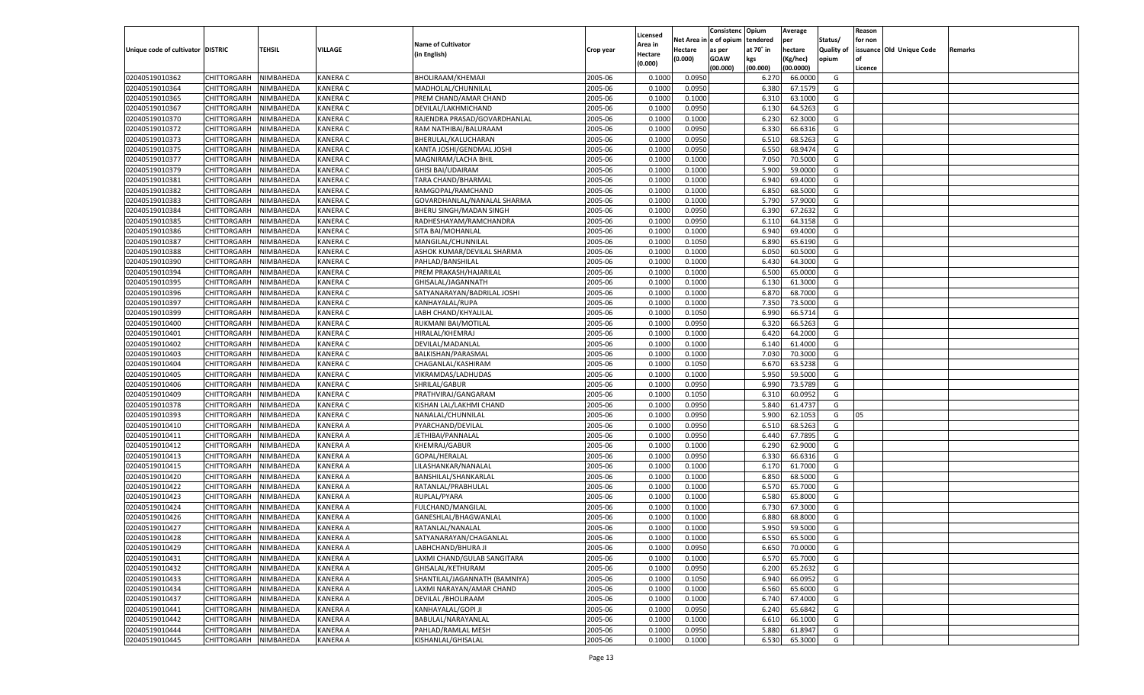|                                   |                       |                        |                                    |                               |           |                     |                  | Consistenc   | Opium     | Average   |                   | Reason  |                          |         |
|-----------------------------------|-----------------------|------------------------|------------------------------------|-------------------------------|-----------|---------------------|------------------|--------------|-----------|-----------|-------------------|---------|--------------------------|---------|
|                                   |                       |                        |                                    | <b>Name of Cultivator</b>     |           | Licensed<br>Area in | Net Area i       | n e of opium | tendered  | per       | Status/           | for non |                          |         |
| Unique code of cultivator DISTRIC |                       | TEHSIL                 | VILLAGE                            | (in English)                  | Crop year | Hectare             | Hectare          | as per       | at 70° in | hectare   | <b>Quality of</b> |         | issuance Old Unique Code | Remarks |
|                                   |                       |                        |                                    |                               |           | (0.000)             | (0.000)          | <b>GOAW</b>  | kgs       | (Kg/hec)  | opium             |         |                          |         |
|                                   |                       |                        |                                    |                               |           |                     |                  | (00.000)     | (00.000)  | (00.0000) |                   | Licence |                          |         |
| 02040519010362                    | CHITTORGARH           | NIMBAHEDA              | <b>KANERA C</b>                    | BHOLIRAAM/KHEMAJI             | 2005-06   | 0.1000              | 0.0950           |              | 6.27      | 66.0000   | G                 |         |                          |         |
| 02040519010364                    | CHITTORGARH           | NIMBAHEDA              | <b>KANERA C</b>                    | MADHOLAL/CHUNNILAL            | 2005-06   | 0.1000              | 0.0950           |              | 6.380     | 67.1579   | G                 |         |                          |         |
| 02040519010365                    | CHITTORGARH           | NIMBAHEDA              | <b>KANERA C</b>                    | PREM CHAND/AMAR CHAND         | 2005-06   | 0.1000              | 0.1000           |              | 6.310     | 63.1000   | G                 |         |                          |         |
| 02040519010367                    | CHITTORGARH           | NIMBAHEDA              | <b>KANERA C</b>                    | DEVILAL/LAKHMICHAND           | 2005-06   | 0.1000              | 0.0950           |              | 6.130     | 64.5263   | G                 |         |                          |         |
| 02040519010370                    | CHITTORGARH           | NIMBAHEDA              | <b>KANERA C</b>                    | RAJENDRA PRASAD/GOVARDHANLAL  | 2005-06   | 0.1000              | 0.1000           |              | 6.23      | 62.3000   | G                 |         |                          |         |
| 02040519010372                    | CHITTORGARH           | NIMBAHEDA              | <b>KANERA C</b>                    | RAM NATHIBAI/BALURAAM         | 2005-06   | 0.1000              | 0.0950           |              | 6.330     | 66.6316   | G                 |         |                          |         |
| 02040519010373                    | CHITTORGARH           | NIMBAHEDA              | <b>KANERA C</b>                    | BHERULAL/KALUCHARAN           | 2005-06   | 0.1000              | 0.0950           |              | 6.510     | 68.5263   | G                 |         |                          |         |
| 02040519010375                    | CHITTORGARH           | NIMBAHEDA              | <b>KANERA C</b>                    | KANTA JOSHI/GENDMAL JOSHI     | 2005-06   | 0.1000              | 0.0950           |              | 6.550     | 68.9474   | G                 |         |                          |         |
| 02040519010377                    | CHITTORGARH           | NIMBAHEDA              | <b>KANERA C</b>                    | MAGNIRAM/LACHA BHII           | 2005-06   | 0.1000              | 0.1000           |              | 7.050     | 70.5000   | G                 |         |                          |         |
| 02040519010379                    | CHITTORGARH           | NIMBAHEDA              | <b>KANERA C</b>                    | <b>GHISI BAI/UDAIRAM</b>      | 2005-06   | 0.1000              | 0.1000           |              | 5.900     | 59.0000   | G                 |         |                          |         |
| 02040519010381                    | CHITTORGARH           | NIMBAHEDA              | <b>KANERA C</b>                    | TARA CHAND/BHARMAL            | 2005-06   | 0.1000              | 0.1000           |              | 6.940     | 69.4000   | G                 |         |                          |         |
| 02040519010382                    | CHITTORGARH           | NIMBAHEDA              | <b>KANERA C</b>                    | RAMGOPAL/RAMCHAND             | 2005-06   | 0.1000              | 0.1000           |              | 6.850     | 68.5000   | G                 |         |                          |         |
| 02040519010383                    | CHITTORGARH           | NIMBAHEDA              | <b>KANERA C</b>                    | GOVARDHANLAL/NANALAL SHARMA   | 2005-06   | 0.1000              | 0.1000           |              | 5.790     | 57.9000   | G                 |         |                          |         |
| 02040519010384                    | CHITTORGARH           | NIMBAHEDA              | KANERA C                           | BHERU SINGH/MADAN SINGH       | 2005-06   | 0.1000              | 0.0950           |              | 6.390     | 67.2632   | G                 |         |                          |         |
| 02040519010385                    | CHITTORGARH           | NIMBAHEDA              | KANERA C                           | RADHESHAYAM/RAMCHANDRA        | 2005-06   | 0.1000              | 0.0950           |              | 6.110     | 64.3158   | G                 |         |                          |         |
| 02040519010386                    | CHITTORGARH           | NIMBAHEDA              | KANERA C                           | SITA BAI/MOHANLAL             | 2005-06   | 0.1000              | 0.1000           |              | 6.940     | 69.4000   | G                 |         |                          |         |
| 02040519010387                    | CHITTORGARH           | NIMBAHEDA              | KANERA C                           | MANGILAL/CHUNNILAL            | 2005-06   | 0.1000              | 0.1050           |              | 6.890     | 65.6190   | G                 |         |                          |         |
| 02040519010388                    | CHITTORGARH           | NIMBAHEDA              | KANERA C                           | ASHOK KUMAR/DEVILAL SHARMA    | 2005-06   | 0.1000              | 0.1000           |              | 6.050     | 60.5000   | G                 |         |                          |         |
| 02040519010390                    | CHITTORGARH           | NIMBAHEDA              | KANERA C                           | PAHLAD/BANSHILAL              | 2005-06   | 0.1000              | 0.1000           |              | 6.430     | 64.3000   | G                 |         |                          |         |
| 02040519010394                    | CHITTORGARH           | NIMBAHEDA              | KANERA C                           | PREM PRAKASH/HAJARILAL        | 2005-06   | 0.1000              | 0.1000           |              | 6.500     | 65.0000   | G                 |         |                          |         |
| 02040519010395                    | CHITTORGARH           | NIMBAHEDA              | KANERA C                           | GHISALAL/JAGANNATH            | 2005-06   | 0.1000              | 0.1000           |              | 6.130     | 61.3000   | G                 |         |                          |         |
| 02040519010396                    | CHITTORGARH           | NIMBAHEDA              | KANERA C                           | SATYANARAYAN/BADRILAL JOSHI   | 2005-06   | 0.1000              | 0.1000           |              | 6.870     | 68.7000   | G                 |         |                          |         |
| 02040519010397                    | CHITTORGARH           | NIMBAHEDA              | KANERA C                           | KANHAYALAL/RUPA               | 2005-06   | 0.1000              | 0.1000           |              | 7.350     | 73.5000   | G                 |         |                          |         |
| 02040519010399                    | CHITTORGARH           | NIMBAHEDA              | KANERA C                           | LABH CHAND/KHYALILAI          | 2005-06   | 0.1000              | 0.1050           |              | 6.990     | 66.5714   | G                 |         |                          |         |
| 02040519010400                    | CHITTORGARH           | NIMBAHEDA              | KANERA C                           | RUKMANI BAI/MOTILAL           | 2005-06   | 0.1000              | 0.0950           |              | 6.320     | 66.5263   | G                 |         |                          |         |
| 02040519010401                    | CHITTORGARH           | NIMBAHEDA              | KANERA C                           | HIRALAL/KHEMRAJ               | 2005-06   | 0.1000              | 0.1000           |              | 6.420     | 64.2000   | G                 |         |                          |         |
| 02040519010402                    | CHITTORGARH           | NIMBAHEDA              | KANERA C                           | DEVILAL/MADANLAL              | 2005-06   | 0.1000              | 0.1000           |              | 6.140     | 61.4000   | G                 |         |                          |         |
| 02040519010403                    | CHITTORGARH           | NIMBAHEDA              | KANERA C                           | BALKISHAN/PARASMAL            | 2005-06   | 0.1000              | 0.1000           |              | 7.030     | 70.3000   | G                 |         |                          |         |
| 02040519010404                    | CHITTORGARH           | NIMBAHEDA              | KANERA C                           | CHAGANLAL/KASHIRAM            | 2005-06   | 0.1000              | 0.1050           |              | 6.670     | 63.5238   | G                 |         |                          |         |
| 02040519010405                    | CHITTORGARH           | NIMBAHEDA              | <b>KANERA C</b>                    | VIKRAMDAS/LADHUDAS            | 2005-06   | 0.1000              | 0.1000           |              | 5.950     | 59.5000   | G                 |         |                          |         |
| 02040519010406                    | CHITTORGARH           | NIMBAHEDA              | <b>KANERA C</b>                    | SHRILAL/GABUR                 | 2005-06   | 0.1000              | 0.0950           |              | 6.990     | 73.5789   | G                 |         |                          |         |
| 02040519010409                    | CHITTORGARH           | NIMBAHEDA              | <b>KANERA C</b>                    | PRATHVIRAJ/GANGARAM           | 2005-06   | 0.1000              | 0.1050           |              | 6.31      | 60.0952   | G                 |         |                          |         |
| 02040519010378                    | CHITTORGARH           | NIMBAHEDA              | <b>KANERA C</b>                    | KISHAN LAL/LAKHMI CHAND       | 2005-06   | 0.1000              | 0.0950           |              | 5.840     | 61.4737   | G                 |         |                          |         |
| 02040519010393                    | CHITTORGARH           | NIMBAHEDA              | <b>KANERA C</b>                    | NANALAL/CHUNNILAL             | 2005-06   | 0.1000              | 0.0950           |              | 5.900     | 62.1053   | G                 | 05      |                          |         |
| 02040519010410                    | CHITTORGARH           | NIMBAHEDA              | <b>KANERA A</b>                    | PYARCHAND/DEVILAL             | 2005-06   | 0.1000              | 0.0950           |              | 6.510     | 68.5263   | G                 |         |                          |         |
| 02040519010411                    | CHITTORGARH           | NIMBAHEDA              | <b>KANERA A</b>                    | JETHIBAI/PANNALAL             | 2005-06   | 0.1000              | 0.0950           |              | 6.440     | 67.7895   | G                 |         |                          |         |
| 02040519010412                    | CHITTORGARH           | NIMBAHEDA              | <b>KANERA A</b>                    | KHEMRAJ/GABUR                 | 2005-06   | 0.1000              | 0.1000           |              | 6.290     | 62.9000   | G                 |         |                          |         |
| 02040519010413                    | CHITTORGARH           | NIMBAHEDA              | <b>KANERA A</b>                    | GOPAL/HERALAL                 | 2005-06   | 0.1000              | 0.0950           |              | 6.330     | 66.6316   | G                 |         |                          |         |
| 02040519010415                    | CHITTORGARH           | NIMBAHEDA              | <b>KANERA A</b>                    | LILASHANKAR/NANALAL           | 2005-06   | 0.1000              | 0.1000           |              | 6.170     | 61.7000   | G                 |         |                          |         |
| 02040519010420                    |                       |                        | <b>KANERA A</b>                    | BANSHILAL/SHANKARLAL          | 2005-06   | 0.1000              |                  |              | 6.850     | 68.5000   | G                 |         |                          |         |
| 02040519010422                    | CHITTORGARH           | NIMBAHEDA<br>NIMBAHEDA | <b>KANERA A</b>                    | RATANLAL/PRABHULAL            | 2005-06   | 0.1000              | 0.1000<br>0.1000 |              | 6.570     | 65.7000   | G                 |         |                          |         |
| 02040519010423                    | CHITTORGARH           |                        |                                    |                               | 2005-06   | 0.1000              |                  |              |           |           | G                 |         |                          |         |
|                                   | CHITTORGARH           | NIMBAHEDA              | <b>KANERA A</b><br><b>KANERA A</b> | RUPLAL/PYARA                  | 2005-06   |                     | 0.1000           |              | 6.580     | 65.8000   |                   |         |                          |         |
| 02040519010424                    | CHITTORGARH           | NIMBAHEDA              |                                    | FULCHAND/MANGILAL             |           | 0.1000              | 0.1000           |              | 6.730     | 67.3000   | G                 |         |                          |         |
| 02040519010426                    | CHITTORGARH           | NIMBAHEDA              | KANERA A                           | GANESHLAL/BHAGWANLAL          | 2005-06   | 0.1000              | 0.1000           |              | 6.880     | 68.8000   | G                 |         |                          |         |
| 02040519010427                    | CHITTORGARH           | NIMBAHEDA              | <b>KANERA A</b>                    | RATANLAL/NANALAL              | 2005-06   | 0.1000              | 0.1000           |              | 5.950     | 59.5000   | G                 |         |                          |         |
| 02040519010428                    | CHITTORGARH NIMBAHEDA |                        | <b>KANERA A</b>                    | SATYANARAYAN/CHAGANLAL        | 2005-06   | 0.1000              | 0.1000           |              | 6.550     | 65.5000   | G                 |         |                          |         |
| 02040519010429                    | <b>CHITTORGARH</b>    | <b>NIMBAHEDA</b>       | <b>KANERA A</b>                    | LABHCHAND/BHURA JI            | 2005-06   | 0.1000              | 0.0950           |              | 6.650     | 70.0000   | G                 |         |                          |         |
| 02040519010431                    | <b>CHITTORGARH</b>    | NIMBAHEDA              | <b>KANERA A</b>                    | LAXMI CHAND/GULAB SANGITARA   | 2005-06   | 0.1000              | 0.1000           |              | 6.570     | 65.7000   | G                 |         |                          |         |
| 02040519010432                    | CHITTORGARH           | NIMBAHEDA              | <b>KANERA A</b>                    | GHISALAL/KETHURAM             | 2005-06   | 0.1000              | 0.0950           |              | 6.200     | 65.2632   | G                 |         |                          |         |
| 02040519010433                    | CHITTORGARH           | NIMBAHEDA              | <b>KANERA A</b>                    | SHANTILAL/JAGANNATH (BAMNIYA) | 2005-06   | 0.1000              | 0.1050           |              | 6.940     | 66.0952   | G                 |         |                          |         |
| 02040519010434                    | CHITTORGARH           | NIMBAHEDA              | <b>KANERA A</b>                    | LAXMI NARAYAN/AMAR CHAND      | 2005-06   | 0.1000              | 0.1000           |              | 6.560     | 65.6000   | G                 |         |                          |         |
| 02040519010437                    | <b>CHITTORGARH</b>    | NIMBAHEDA              | <b>KANERA A</b>                    | DEVILAL / BHOLIRAAM           | 2005-06   | 0.1000              | 0.1000           |              | 6.740     | 67.4000   | G                 |         |                          |         |
| 02040519010441                    | CHITTORGARH           | NIMBAHEDA              | <b>KANERA A</b>                    | KANHAYALAL/GOPI JI            | 2005-06   | 0.1000              | 0.0950           |              | 6.240     | 65.6842   | G                 |         |                          |         |
| 02040519010442                    | <b>CHITTORGARH</b>    | NIMBAHEDA              | <b>KANERA A</b>                    | BABULAL/NARAYANLAL            | 2005-06   | 0.1000              | 0.1000           |              | 6.610     | 66.1000   | G                 |         |                          |         |
| 02040519010444                    | CHITTORGARH           | NIMBAHEDA              | <b>KANERA A</b>                    | PAHLAD/RAMLAL MESH            | 2005-06   | 0.1000              | 0.0950           |              | 5.880     | 61.8947   | G                 |         |                          |         |
| 02040519010445                    | <b>CHITTORGARH</b>    | NIMBAHEDA              | <b>KANERA A</b>                    | KISHANLAL/GHISALAL            | 2005-06   | 0.1000              | 0.1000           |              | 6.530     | 65.3000   | G                 |         |                          |         |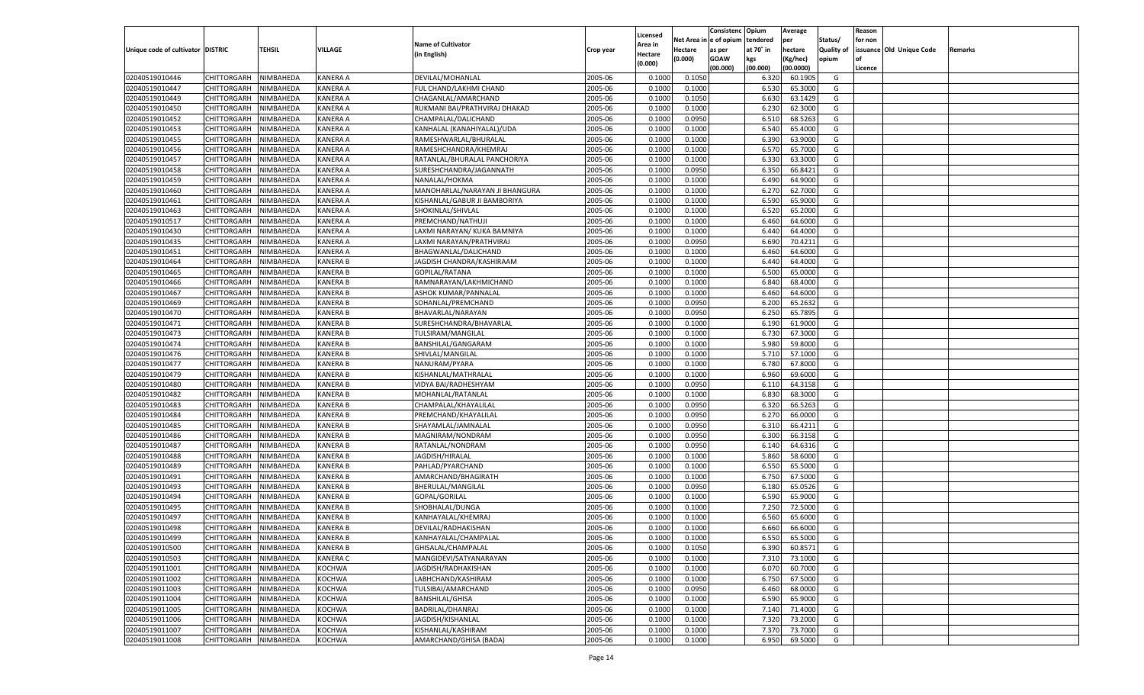|                                   |                    |           |                 |                                |           |          |         | Consistenc Opium       |           | Average   |                   | Reason  |                          |                |
|-----------------------------------|--------------------|-----------|-----------------|--------------------------------|-----------|----------|---------|------------------------|-----------|-----------|-------------------|---------|--------------------------|----------------|
|                                   |                    |           |                 | <b>Name of Cultivator</b>      |           | Licensed |         | Net Area in e of opium | tendered  | per       | Status/           | for non |                          |                |
| Unique code of cultivator DISTRIC |                    | TEHSIL    | VILLAGE         |                                | Crop year | Area in  | Hectare | as per                 | at 70° in | hectare   | <b>Quality of</b> |         | issuance Old Unique Code | <b>Remarks</b> |
|                                   |                    |           |                 | (in English)                   |           | Hectare  | (0.000) | <b>GOAW</b>            | kgs       | (Kg/hec)  | opium             |         |                          |                |
|                                   |                    |           |                 |                                |           | (0.000)  |         | (00.000)               | (00.000)  | (00.0000) |                   | Licence |                          |                |
| 02040519010446                    | CHITTORGARH        | NIMBAHEDA | <b>KANERA A</b> | DEVILAL/MOHANLAL               | 2005-06   | 0.1000   | 0.1050  |                        | 6.320     | 60.1905   | G                 |         |                          |                |
| 02040519010447                    | CHITTORGARH        | NIMBAHEDA | <b>KANERA A</b> | FUL CHAND/LAKHMI CHAND         | 2005-06   | 0.1000   | 0.1000  |                        | 6.530     | 65.3000   | G                 |         |                          |                |
| 02040519010449                    | CHITTORGARH        | NIMBAHEDA | <b>KANERA A</b> | CHAGANLAL/AMARCHAND            | 2005-06   | 0.1000   | 0.1050  |                        | 6.630     | 63.1429   | G                 |         |                          |                |
| 02040519010450                    | CHITTORGARH        | NIMBAHEDA | <b>KANERA A</b> | RUKMANI BAI/PRATHVIRAJ DHAKAD  | 2005-06   | 0.1000   | 0.1000  |                        | 6.230     | 62.3000   | G                 |         |                          |                |
| 02040519010452                    | CHITTORGARH        | NIMBAHEDA | <b>KANERA A</b> | CHAMPALAL/DALICHAND            | 2005-06   | 0.1000   | 0.0950  |                        | 6.510     | 68.5263   | G                 |         |                          |                |
| 02040519010453                    | CHITTORGARH        | NIMBAHEDA | <b>KANERA A</b> | KANHALAL (KANAHIYALAL)/UDA     | 2005-06   | 0.1000   | 0.1000  |                        | 6.540     | 65.4000   | G                 |         |                          |                |
| 02040519010455                    | CHITTORGARH        | NIMBAHEDA | <b>KANERA A</b> | RAMESHWARLAL/BHURALAI          | 2005-06   | 0.1000   | 0.1000  |                        | 6.390     | 63.9000   | G                 |         |                          |                |
| 02040519010456                    | CHITTORGARH        | NIMBAHEDA | <b>KANERA A</b> | RAMESHCHANDRA/KHEMRAJ          | 2005-06   | 0.1000   | 0.1000  |                        | 6.570     | 65.7000   | G                 |         |                          |                |
| 02040519010457                    | CHITTORGARH        | NIMBAHEDA | <b>KANERA A</b> | RATANLAL/BHURALAL PANCHORIYA   | 2005-06   | 0.1000   | 0.1000  |                        | 6.330     | 63.3000   | G                 |         |                          |                |
| 02040519010458                    | CHITTORGARH        | NIMBAHEDA | KANERA A        | SURESHCHANDRA/JAGANNATH        | 2005-06   | 0.1000   | 0.0950  |                        | 6.350     | 66.8421   | G                 |         |                          |                |
|                                   |                    |           | <b>KANERA A</b> | NANALAL/HOKMA                  | 2005-06   | 0.1000   | 0.1000  |                        | 6.490     | 64.9000   | G                 |         |                          |                |
| 02040519010459                    | CHITTORGARH        | NIMBAHEDA |                 |                                |           |          |         |                        |           |           |                   |         |                          |                |
| 02040519010460                    | CHITTORGARH        | NIMBAHEDA | <b>KANERA A</b> | MANOHARLAL/NARAYAN JI BHANGURA | 2005-06   | 0.1000   | 0.1000  |                        | 6.27      | 62.7000   | G                 |         |                          |                |
| 02040519010461                    | CHITTORGARH        | NIMBAHEDA | <b>KANERA A</b> | KISHANLAL/GABUR JI BAMBORIYA   | 2005-06   | 0.1000   | 0.1000  |                        | 6.590     | 65.9000   | G                 |         |                          |                |
| 02040519010463                    | CHITTORGARH        | NIMBAHEDA | <b>KANERA A</b> | SHOKINLAL/SHIVLAL              | 2005-06   | 0.100    | 0.1000  |                        | 6.520     | 65.2000   | G                 |         |                          |                |
| 02040519010517                    | CHITTORGARH        | NIMBAHEDA | <b>KANERA A</b> | PREMCHAND/NATHUJI              | 2005-06   | 0.1000   | 0.1000  |                        | 6.460     | 64.6000   | G                 |         |                          |                |
| 02040519010430                    | CHITTORGARH        | NIMBAHEDA | <b>KANERA A</b> | LAXMI NARAYAN/ KUKA BAMNIYA    | 2005-06   | 0.1000   | 0.1000  |                        | 6.440     | 64.4000   | G                 |         |                          |                |
| 02040519010435                    | CHITTORGARH        | NIMBAHEDA | <b>KANERA A</b> | LAXMI NARAYAN/PRATHVIRAJ       | 2005-06   | 0.1000   | 0.0950  |                        | 6.690     | 70.4211   | G                 |         |                          |                |
| 02040519010451                    | CHITTORGARH        | NIMBAHEDA | <b>KANERA A</b> | BHAGWANLAL/DALICHAND           | 2005-06   | 0.1000   | 0.1000  |                        | 6.460     | 64.6000   | G                 |         |                          |                |
| 02040519010464                    | CHITTORGARH        | NIMBAHEDA | <b>KANERA B</b> | JAGDISH CHANDRA/KASHIRAAM      | 2005-06   | 0.1000   | 0.1000  |                        | 6.440     | 64.4000   | G                 |         |                          |                |
| 02040519010465                    | CHITTORGARH        | NIMBAHEDA | <b>KANERA B</b> | GOPILAL/RATANA                 | 2005-06   | 0.1000   | 0.1000  |                        | 6.500     | 65.0000   | G                 |         |                          |                |
| 02040519010466                    | CHITTORGARH        | NIMBAHEDA | <b>KANERA B</b> | RAMNARAYAN/LAKHMICHAND         | 2005-06   | 0.1000   | 0.1000  |                        | 6.840     | 68.4000   | G                 |         |                          |                |
| 02040519010467                    | CHITTORGARH        | NIMBAHEDA | <b>KANERA B</b> | <b>ASHOK KUMAR/PANNALAL</b>    | 2005-06   | 0.1000   | 0.1000  |                        | 6.460     | 64.6000   | G                 |         |                          |                |
| 02040519010469                    | CHITTORGARH        | NIMBAHEDA | <b>KANERA B</b> | SOHANLAL/PREMCHAND             | 2005-06   | 0.1000   | 0.0950  |                        | 6.200     | 65.2632   | G                 |         |                          |                |
| 02040519010470                    | CHITTORGARH        | NIMBAHEDA | <b>KANERA B</b> | BHAVARLAL/NARAYAN              | 2005-06   | 0.1000   | 0.0950  |                        | 6.250     | 65.7895   | G                 |         |                          |                |
| 02040519010471                    | CHITTORGARH        | NIMBAHEDA | <b>KANERA B</b> | SURESHCHANDRA/BHAVARLAL        | 2005-06   | 0.1000   | 0.1000  |                        | 6.190     | 61.9000   | G                 |         |                          |                |
| 02040519010473                    | CHITTORGARH        | NIMBAHEDA | <b>KANERA B</b> | <b>TULSIRAM/MANGILAL</b>       | 2005-06   | 0.1000   | 0.1000  |                        | 6.730     | 67.3000   | G                 |         |                          |                |
| 02040519010474                    | CHITTORGARH        | NIMBAHEDA | <b>KANERA B</b> | BANSHILAL/GANGARAM             | 2005-06   | 0.1000   | 0.1000  |                        | 5.980     | 59.8000   | G                 |         |                          |                |
| 02040519010476                    | CHITTORGARH        | NIMBAHEDA | <b>KANERA B</b> | SHIVLAL/MANGILAL               | 2005-06   | 0.1000   | 0.1000  |                        | 5.710     | 57.1000   | G                 |         |                          |                |
| 02040519010477                    | CHITTORGARH        | NIMBAHEDA | <b>KANERA B</b> | NANURAM/PYARA                  | 2005-06   | 0.1000   | 0.1000  |                        | 6.780     | 67.8000   | G                 |         |                          |                |
| 02040519010479                    | CHITTORGARH        | NIMBAHEDA | <b>KANERA B</b> | KISHANLAL/MATHRALAL            | 2005-06   | 0.1000   | 0.1000  |                        | 6.960     | 69.6000   | G                 |         |                          |                |
| 02040519010480                    | CHITTORGARH        | NIMBAHEDA | <b>KANERA B</b> | VIDYA BAI/RADHESHYAM           | 2005-06   | 0.1000   | 0.0950  |                        | 6.110     | 64.3158   | G                 |         |                          |                |
| 02040519010482                    | CHITTORGARH        | NIMBAHEDA | <b>KANERA B</b> | MOHANLAL/RATANLAL              | 2005-06   | 0.1000   | 0.1000  |                        | 6.830     | 68.3000   | G                 |         |                          |                |
| 02040519010483                    | CHITTORGARH        | NIMBAHEDA | <b>KANERA B</b> | CHAMPALAL/KHAYALILAL           | 2005-06   | 0.1000   | 0.0950  |                        | 6.320     | 66.5263   | G                 |         |                          |                |
|                                   |                    |           |                 |                                | 2005-06   | 0.1000   |         |                        |           |           | G                 |         |                          |                |
| 02040519010484                    | CHITTORGARH        | NIMBAHEDA | <b>KANERA B</b> | PREMCHAND/KHAYALILAL           |           |          | 0.0950  |                        | 6.27      | 66.0000   |                   |         |                          |                |
| 02040519010485                    | CHITTORGARH        | NIMBAHEDA | <b>KANERA B</b> | SHAYAMLAL/JAMNALAL             | 2005-06   | 0.1000   | 0.0950  |                        | 6.310     | 66.4211   | G                 |         |                          |                |
| 02040519010486                    | CHITTORGARH        | NIMBAHEDA | <b>KANERA B</b> | MAGNIRAM/NONDRAM               | 2005-06   | 0.1000   | 0.0950  |                        | 6.300     | 66.3158   | G                 |         |                          |                |
| 02040519010487                    | CHITTORGARH        | NIMBAHEDA | <b>KANERA B</b> | RATANLAL/NONDRAM               | 2005-06   | 0.1000   | 0.0950  |                        | 6.140     | 64.6316   | G                 |         |                          |                |
| 02040519010488                    | CHITTORGARH        | NIMBAHEDA | <b>KANERA B</b> | JAGDISH/HIRALAL                | 2005-06   | 0.1000   | 0.1000  |                        | 5.860     | 58.6000   | G                 |         |                          |                |
| 02040519010489                    | CHITTORGARH        | NIMBAHEDA | <b>KANERA B</b> | PAHLAD/PYARCHAND               | 2005-06   | 0.1000   | 0.1000  |                        | 6.550     | 65.5000   | G                 |         |                          |                |
| 02040519010491                    | CHITTORGARH        | NIMBAHEDA | <b>KANERA B</b> | AMARCHAND/BHAGIRATH            | 2005-06   | 0.1000   | 0.1000  |                        | 6.750     | 67.5000   | G                 |         |                          |                |
| 02040519010493                    | CHITTORGARH        | NIMBAHEDA | <b>KANERA B</b> | BHERULAL/MANGILAL              | 2005-06   | 0.1000   | 0.0950  |                        | 6.180     | 65.0526   | G                 |         |                          |                |
| 02040519010494                    | CHITTORGARH        | NIMBAHEDA | <b>KANERA B</b> | GOPAL/GORILAL                  | 2005-06   | 0.1000   | 0.1000  |                        | 6.590     | 65.9000   | G                 |         |                          |                |
| 02040519010495                    | CHITTORGARH        | NIMBAHEDA | <b>KANERA B</b> | SHOBHALAL/DUNGA                | 2005-06   | 0.1000   | 0.1000  |                        | 7.250     | 72.5000   | G                 |         |                          |                |
| 02040519010497                    | CHITTORGARH        | NIMBAHEDA | <b>KANERA B</b> | KANHAYALAL/KHEMRAJ             | 2005-06   | 0.1000   | 0.1000  |                        | 6.560     | 65.6000   | G                 |         |                          |                |
| 02040519010498                    | CHITTORGARH        | NIMBAHEDA | <b>KANERA B</b> | DEVILAL/RADHAKISHAN            | 2005-06   | 0.1000   | 0.1000  |                        | 6.660     | 66.6000   | G                 |         |                          |                |
| 02040519010499                    | CHITTORGARH        | NIMBAHEDA | <b>KANERA B</b> | KANHAYALAL/CHAMPALAL           | 2005-06   | 0.1000   | 0.1000  |                        | 6.550     | 65.5000   | G                 |         |                          |                |
| 02040519010500                    | CHITTORGARH        | NIMBAHEDA | <b>KANERA B</b> | GHISALAL/CHAMPALAL             | 2005-06   | 0.1000   | 0.1050  |                        | 6.390     | 60.8571   | G                 |         |                          |                |
| 02040519010503                    | <b>CHITTORGARH</b> | NIMBAHEDA | <b>KANERA C</b> | MANGIDEVI/SATYANARAYAN         | 2005-06   | 0.1000   | 0.1000  |                        | 7.310     | 73.1000   | G                 |         |                          |                |
| 02040519011001                    | <b>CHITTORGARH</b> | NIMBAHEDA | <b>KOCHWA</b>   | JAGDISH/RADHAKISHAN            | 2005-06   | 0.1000   | 0.1000  |                        | 6.070     | 60.7000   | G                 |         |                          |                |
| 02040519011002                    | <b>CHITTORGARH</b> | NIMBAHEDA | KOCHWA          | LABHCHAND/KASHIRAM             | 2005-06   | 0.1000   | 0.1000  |                        | 6.750     | 67.5000   | G                 |         |                          |                |
| 02040519011003                    | <b>CHITTORGARH</b> | NIMBAHEDA | <b>KOCHWA</b>   | TULSIBAI/AMARCHAND             | 2005-06   | 0.1000   | 0.0950  |                        | 6.460     | 68.0000   | G                 |         |                          |                |
| 02040519011004                    | <b>CHITTORGARH</b> | NIMBAHEDA | KOCHWA          | <b>BANSHILAL/GHISA</b>         | 2005-06   | 0.1000   | 0.1000  |                        | 6.590     | 65.9000   | G                 |         |                          |                |
| 02040519011005                    | <b>CHITTORGARH</b> | NIMBAHEDA | <b>KOCHWA</b>   | BADRILAL/DHANRAJ               | 2005-06   | 0.1000   | 0.1000  |                        | 7.140     | 71.4000   | G                 |         |                          |                |
| 02040519011006                    | <b>CHITTORGARH</b> | NIMBAHEDA | KOCHWA          | JAGDISH/KISHANLAL              | 2005-06   | 0.1000   | 0.1000  |                        | 7.320     | 73.2000   | G                 |         |                          |                |
| 02040519011007                    | <b>CHITTORGARH</b> | NIMBAHEDA | <b>KOCHWA</b>   | KISHANLAL/KASHIRAM             | 2005-06   | 0.1000   | 0.1000  |                        | 7.370     | 73.7000   | G                 |         |                          |                |
| 02040519011008                    | <b>CHITTORGARH</b> | NIMBAHEDA | <b>KOCHWA</b>   | AMARCHAND/GHISA (BADA)         | 2005-06   | 0.1000   | 0.1000  |                        | 6.950     | 69.5000   | G                 |         |                          |                |
|                                   |                    |           |                 |                                |           |          |         |                        |           |           |                   |         |                          |                |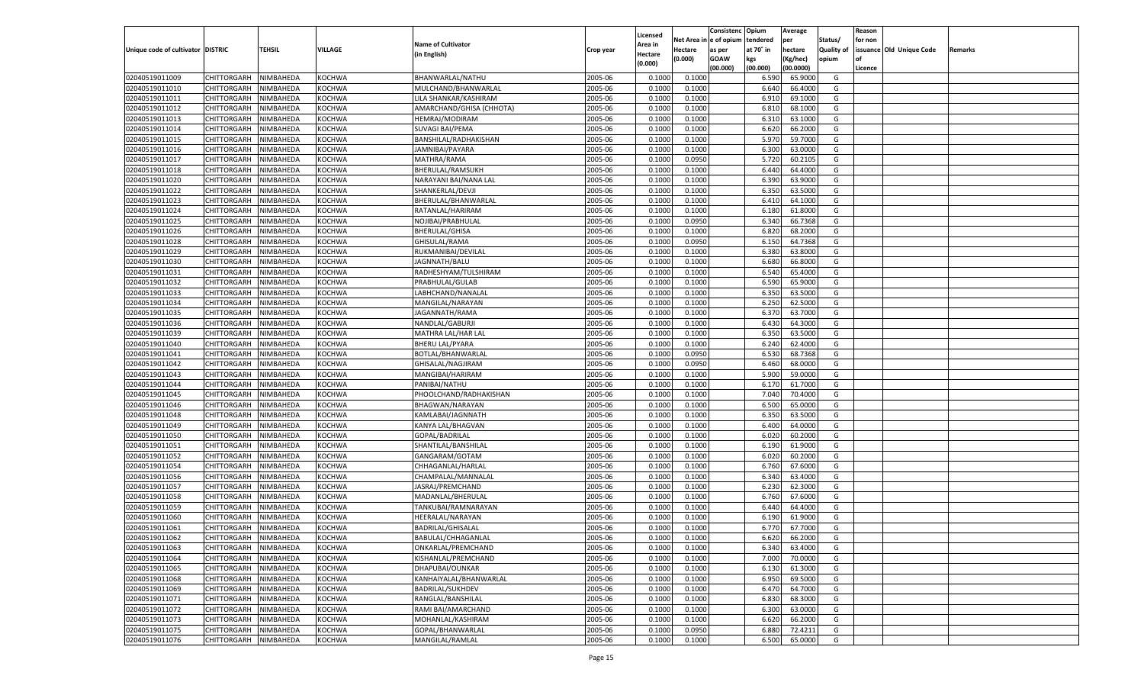|                                   |                            |                        |                                |                                              |                    |                     |                  | Consistenc   | Opium     | Average            |            | Reason  |                          |         |
|-----------------------------------|----------------------------|------------------------|--------------------------------|----------------------------------------------|--------------------|---------------------|------------------|--------------|-----------|--------------------|------------|---------|--------------------------|---------|
|                                   |                            |                        |                                | <b>Name of Cultivator</b>                    |                    | Licensed<br>Area in | Net Area i       | n e of opium | tendered  | per                | Status/    | for non |                          |         |
| Unique code of cultivator DISTRIC |                            | TEHSIL                 | VILLAGE                        | (in English)                                 | Crop year          | Hectare             | Hectare          | as per       | at 70° in | hectare            | Quality of |         | issuance Old Unique Code | Remarks |
|                                   |                            |                        |                                |                                              |                    | (0.000)             | (0.000)          | <b>GOAW</b>  | kgs       | (Kg/hec)           | opium      |         |                          |         |
|                                   |                            |                        |                                |                                              |                    |                     |                  | (00.000)     | (00.000)  | (00.0000)          |            | Licence |                          |         |
| 02040519011009                    | CHITTORGARH                | NIMBAHEDA              | <b>KOCHWA</b>                  | BHANWARLAL/NATHU                             | 2005-06            | 0.1000              | 0.1000           |              | 6.590     | 65.9000            | G          |         |                          |         |
| 02040519011010                    | CHITTORGARH                | NIMBAHEDA              | KOCHWA                         | MULCHAND/BHANWARLAL                          | 2005-06            | 0.1000              | 0.1000           |              | 6.640     | 66.4000            | G          |         |                          |         |
| 02040519011011                    | CHITTORGARH                | NIMBAHEDA              | <b>KOCHWA</b>                  | LILA SHANKAR/KASHIRAM                        | 2005-06            | 0.1000              | 0.1000           |              | 6.910     | 69.1000            | G          |         |                          |         |
| 02040519011012                    | CHITTORGARH                | NIMBAHEDA              | <b>KOCHWA</b>                  | AMARCHAND/GHISA (CHHOTA)                     | 2005-06            | 0.1000              | 0.1000           |              | 6.810     | 68.1000            | G          |         |                          |         |
| 02040519011013                    | CHITTORGARH                | NIMBAHEDA              | <b>KOCHWA</b>                  | HEMRAJ/MODIRAM                               | 2005-06            | 0.1000              | 0.1000           |              | 6.310     | 63.1000            | G          |         |                          |         |
| 02040519011014                    | CHITTORGARH                | NIMBAHEDA              | KOCHWA                         | SUVAGI BAI/PEMA                              | 2005-06            | 0.1000              | 0.1000           |              | 6.620     | 66.2000            | G          |         |                          |         |
| 02040519011015                    | CHITTORGARH                | NIMBAHEDA              | <b>KOCHWA</b>                  | BANSHILAL/RADHAKISHAN                        | 2005-06            | 0.1000              | 0.1000           |              | 5.970     | 59.7000            | G          |         |                          |         |
| 02040519011016                    | CHITTORGARH                | NIMBAHEDA              | <b>KOCHWA</b>                  | JAMNIBAI/PAYARA                              | 2005-06            | 0.1000              | 0.1000           |              | 6.300     | 63.0000            | G          |         |                          |         |
| 02040519011017                    | CHITTORGARH                | NIMBAHEDA              | <b>KOCHWA</b>                  | MATHRA/RAMA                                  | 2005-06            | 0.1000              | 0.0950           |              | 5.720     | 60.2105            | G          |         |                          |         |
| 02040519011018                    | CHITTORGARH                | NIMBAHEDA              | KOCHWA                         | <b>BHERULAL/RAMSUKH</b>                      | 2005-06            | 0.1000              | 0.1000           |              | 6.440     | 64.4000            | G          |         |                          |         |
| 02040519011020                    | CHITTORGARH                | NIMBAHEDA              | <b>KOCHWA</b>                  | NARAYANI BAI/NANA LAL                        | 2005-06            | 0.1000              | 0.1000           |              | 6.390     | 63.9000            | G          |         |                          |         |
| 02040519011022                    | CHITTORGARH                | NIMBAHEDA              | <b>KOCHWA</b>                  | SHANKERLAL/DEVJI                             | 2005-06            | 0.1000              | 0.1000           |              | 6.350     | 63.5000            | G          |         |                          |         |
| 02040519011023                    | CHITTORGARH                | NIMBAHEDA              | <b>KOCHWA</b>                  | BHERULAL/BHANWARLAL                          | 2005-06            | 0.1000              | 0.1000           |              | 6.41      | 64.1000            | G          |         |                          |         |
| 02040519011024                    | CHITTORGARH                | NIMBAHEDA              | KOCHWA                         | RATANLAL/HARIRAM                             | 2005-06            | 0.1000              | 0.1000           |              | 6.180     | 61.8000            | G          |         |                          |         |
| 02040519011025                    | CHITTORGARH                | NIMBAHEDA              | KOCHWA                         | NOJIBAI/PRABHULAL                            | 2005-06            | 0.1000              | 0.0950           |              | 6.340     | 66.7368            | G          |         |                          |         |
| 02040519011026                    | CHITTORGARH                | NIMBAHEDA              | KOCHWA                         | <b>BHERULAL/GHISA</b>                        | 2005-06            | 0.1000              | 0.1000           |              | 6.820     | 68.2000            | G          |         |                          |         |
| 02040519011028                    | CHITTORGARH                | NIMBAHEDA              | KOCHWA                         | GHISULAL/RAMA                                | 2005-06            | 0.1000              | 0.0950           |              | 6.150     | 64.7368            | G          |         |                          |         |
| 02040519011029                    | CHITTORGARH                | NIMBAHEDA              | KOCHWA                         | RUKMANIBAI/DEVILAL                           | 2005-06            | 0.1000              | 0.1000           |              | 6.380     | 63.8000            | G          |         |                          |         |
| 02040519011030                    | CHITTORGARH                | NIMBAHEDA              | KOCHWA                         | JAGNNATH/BALU                                | 2005-06            | 0.1000              | 0.1000           |              | 6.680     | 66.8000            | G          |         |                          |         |
| 02040519011031                    | CHITTORGARH                | NIMBAHEDA              | KOCHWA                         | RADHESHYAM/TULSHIRAM                         | 2005-06            | 0.1000              | 0.1000           |              | 6.540     | 65.4000            | G          |         |                          |         |
| 02040519011032                    | CHITTORGARH                | NIMBAHEDA              | KOCHWA                         | PRABHULAL/GULAB                              | 2005-06            | 0.1000              | 0.1000           |              | 6.590     | 65.9000            | G          |         |                          |         |
| 02040519011033                    | CHITTORGARH                | NIMBAHEDA              | KOCHWA                         | LABHCHAND/NANALAL                            | 2005-06            | 0.1000              | 0.1000           |              | 6.350     | 63.5000            | G          |         |                          |         |
| 02040519011034                    | CHITTORGARH                | NIMBAHEDA              | KOCHWA                         | MANGILAL/NARAYAN                             | 2005-06            | 0.1000              | 0.1000           |              | 6.250     | 62.5000            | G          |         |                          |         |
| 02040519011035                    | CHITTORGARH                | NIMBAHEDA              | KOCHWA                         | JAGANNATH/RAMA                               | 2005-06            | 0.1000              | 0.1000           |              | 6.370     | 63.7000            | G          |         |                          |         |
| 02040519011036                    | CHITTORGARH                | NIMBAHEDA              | KOCHWA                         | NANDLAL/GABURJI                              | 2005-06            | 0.1000              | 0.1000           |              | 6.430     | 64.3000            | G          |         |                          |         |
| 02040519011039                    | CHITTORGARH                | NIMBAHEDA              | KOCHWA                         | MATHRA LAL/HAR LAL                           | 2005-06            | 0.1000              | 0.1000           |              | 6.350     | 63.5000            | G          |         |                          |         |
| 02040519011040                    | CHITTORGARH                | NIMBAHEDA              | KOCHWA                         | <b>BHERU LAL/PYARA</b>                       | 2005-06            | 0.1000              | 0.1000           |              | 6.240     | 62.4000            | G          |         |                          |         |
| 02040519011041                    | CHITTORGARH                | NIMBAHEDA              | KOCHWA                         | BOTLAL/BHANWARLAL                            | 2005-06            | 0.1000              | 0.0950           |              | 6.530     | 68.7368            | G          |         |                          |         |
| 02040519011042                    | CHITTORGARH                | NIMBAHEDA              | KOCHWA                         | GHISALAL/NAGJIRAM                            | 2005-06            | 0.1000              | 0.0950           |              | 6.460     | 68.0000            | G          |         |                          |         |
| 02040519011043                    | CHITTORGARH                | NIMBAHEDA              | <b>KOCHWA</b>                  | MANGIBAI/HARIRAM                             | 2005-06            | 0.1000              | 0.1000           |              | 5.900     | 59.0000            | G          |         |                          |         |
| 02040519011044                    | CHITTORGARH                | NIMBAHEDA              | <b>KOCHWA</b>                  | PANIBAI/NATHU                                | 2005-06            | 0.1000              | 0.1000           |              | 6.170     | 61.7000            | G          |         |                          |         |
| 02040519011045                    | CHITTORGARH                | NIMBAHEDA              | <b>KOCHWA</b>                  | PHOOLCHAND/RADHAKISHAN                       | 2005-06            | 0.1000              | 0.1000           |              | 7.040     | 70.4000            | G          |         |                          |         |
| 02040519011046                    | CHITTORGARH                | NIMBAHEDA              | <b>KOCHWA</b>                  | BHAGWAN/NARAYAN                              | 2005-06            | 0.1000              | 0.1000           |              | 6.500     | 65.0000            | G          |         |                          |         |
| 02040519011048                    | CHITTORGARH                | NIMBAHEDA              | <b>KOCHWA</b>                  | KAMLABAI/JAGNNATH                            | 2005-06            | 0.1000              | 0.1000           |              | 6.350     | 63.5000            | G          |         |                          |         |
| 02040519011049                    | CHITTORGARH                | NIMBAHEDA              | <b>KOCHWA</b>                  | KANYA LAL/BHAGVAN                            | 2005-06            | 0.1000              | 0.1000           |              | 6.400     | 64.0000            | G          |         |                          |         |
| 02040519011050                    | CHITTORGARH                | NIMBAHEDA              | <b>KOCHWA</b>                  | GOPAL/BADRILAL                               | 2005-06            | 0.1000              | 0.1000           |              | 6.020     | 60.2000            | G          |         |                          |         |
| 02040519011051                    | CHITTORGARH                | NIMBAHEDA              | <b>KOCHWA</b>                  | SHANTILAL/BANSHILAI                          | 2005-06            | 0.1000              | 0.1000           |              | 6.190     | 61.9000            | G          |         |                          |         |
| 02040519011052                    | CHITTORGARH                | NIMBAHEDA              | <b>KOCHWA</b>                  | GANGARAM/GOTAM                               | 2005-06            | 0.1000              | 0.1000           |              | 6.020     | 60.2000            | G          |         |                          |         |
| 02040519011054                    | CHITTORGARH                | NIMBAHEDA              | <b>KOCHWA</b>                  | CHHAGANLAL/HARLAL                            | 2005-06            | 0.1000              | 0.1000           |              | 6.760     | 67.6000            | G          |         |                          |         |
| 02040519011056                    |                            |                        |                                |                                              | 2005-06            | 0.1000              |                  |              | 6.340     | 63.4000            | G          |         |                          |         |
| 02040519011057                    | CHITTORGARH                | NIMBAHEDA<br>NIMBAHEDA | <b>KOCHWA</b><br><b>KOCHWA</b> | CHAMPALAL/MANNALAI                           | 2005-06            | 0.1000              | 0.1000<br>0.1000 |              | 6.23      | 62.3000            | G          |         |                          |         |
| 02040519011058                    | CHITTORGARH                |                        |                                | JASRAJ/PREMCHAND                             | 2005-06            | 0.1000              |                  |              | 6.760     |                    | G          |         |                          |         |
|                                   | CHITTORGARH<br>CHITTORGARH | NIMBAHEDA              | <b>KOCHWA</b><br><b>KOCHWA</b> | MADANLAL/BHERULAL                            |                    |                     | 0.1000           |              |           | 67.6000<br>64.4000 |            |         |                          |         |
| 02040519011059                    |                            | NIMBAHEDA              |                                | TANKUBAI/RAMNARAYAN                          | 2005-06            | 0.1000              | 0.1000           |              | 6.440     | 61.9000            | G          |         |                          |         |
| 02040519011060<br>02040519011061  | CHITTORGARH                | NIMBAHEDA              | <b>KOCHWA</b>                  | HEERALAL/NARAYAN<br><b>BADRILAL/GHISALAL</b> | 2005-06<br>2005-06 | 0.1000              | 0.1000           |              | 6.190     | 67.7000            | G          |         |                          |         |
|                                   | CHITTORGARH                | NIMBAHEDA              | <b>KOCHWA</b>                  |                                              |                    | 0.1000              | 0.1000           |              | 6.770     |                    | G          |         |                          |         |
| 02040519011062                    | CHITTORGARH NIMBAHEDA      |                        | <b>KOCHWA</b>                  | BABULAL/CHHAGANLAL                           | 2005-06            | 0.1000              | 0.1000           |              | 6.620     | 66.2000            | G          |         |                          |         |
| 02040519011063                    | <b>CHITTORGARH</b>         | NIMBAHEDA              | <b>KOCHWA</b>                  | ONKARLAL/PREMCHAND                           | 2005-06            | 0.1000              | 0.1000           |              | 6.340     | 63.4000            | G          |         |                          |         |
| 02040519011064                    | CHITTORGARH                | NIMBAHEDA              | KOCHWA                         | KISHANLAL/PREMCHAND                          | 2005-06            | 0.1000              | 0.1000           |              | 7.000     | 70.0000            | G          |         |                          |         |
| 02040519011065                    | CHITTORGARH                | NIMBAHEDA              | <b>KOCHWA</b>                  | DHAPUBAI/OUNKAR                              | 2005-06            | 0.1000              | 0.1000           |              | 6.130     | 61.3000            | G          |         |                          |         |
| 02040519011068                    | <b>CHITTORGARH</b>         | NIMBAHEDA              | KOCHWA                         | KANHAIYALAL/BHANWARLAL                       | 2005-06            | 0.1000              | 0.1000           |              | 6.950     | 69.5000            | G          |         |                          |         |
| 02040519011069                    | CHITTORGARH                | NIMBAHEDA              | <b>KOCHWA</b>                  | <b>BADRILAL/SUKHDEV</b>                      | 2005-06            | 0.1000              | 0.1000           |              | 6.470     | 64.7000            | G          |         |                          |         |
| 02040519011071                    | <b>CHITTORGARH</b>         | NIMBAHEDA              | <b>KOCHWA</b>                  | RANGLAL/BANSHILAL                            | 2005-06            | 0.1000              | 0.1000           |              | 6.830     | 68.3000            | G          |         |                          |         |
| 02040519011072                    | CHITTORGARH                | NIMBAHEDA              | <b>KOCHWA</b>                  | RAMI BAI/AMARCHAND                           | 2005-06            | 0.1000              | 0.1000           |              | 6.300     | 63.0000            | G          |         |                          |         |
| 02040519011073                    | <b>CHITTORGARH</b>         | NIMBAHEDA              | KOCHWA                         | MOHANLAL/KASHIRAM                            | 2005-06            | 0.1000              | 0.1000           |              | 6.620     | 66.2000            | G          |         |                          |         |
| 02040519011075                    | <b>CHITTORGARH</b>         | NIMBAHEDA              | <b>KOCHWA</b>                  | GOPAL/BHANWARLAL                             | 2005-06            | 0.1000              | 0.0950           |              | 6.880     | 72.4211            | G          |         |                          |         |
| 02040519011076                    | <b>CHITTORGARH</b>         | NIMBAHEDA              | <b>KOCHWA</b>                  | MANGILAL/RAMLAL                              | 2005-06            | 0.1000              | 0.1000           |              | 6.500     | 65.0000            | G          |         |                          |         |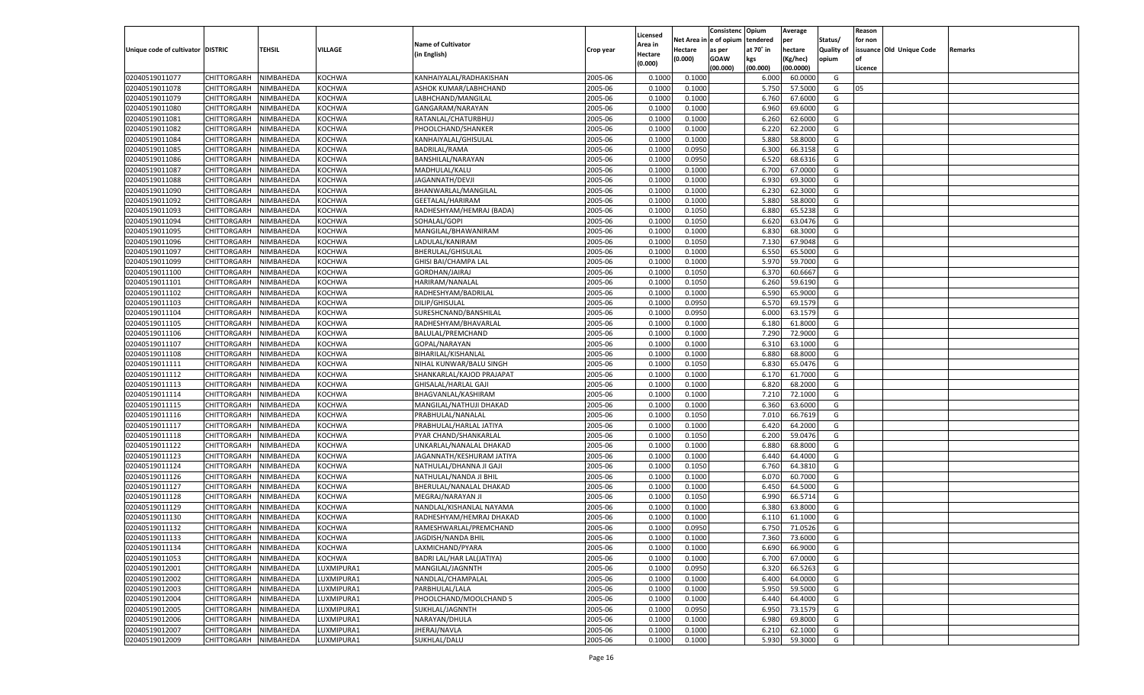|                                   |                       |               |               |                                        |           |                           |          | Consistenc  | Opium     | Average   |                   | Reason  |                          |         |
|-----------------------------------|-----------------------|---------------|---------------|----------------------------------------|-----------|---------------------------|----------|-------------|-----------|-----------|-------------------|---------|--------------------------|---------|
|                                   |                       |               |               | <b>Name of Cultivator</b>              |           | Licensed                  | Net Area | le of opium | tendered  | per       | Status/           | for non |                          |         |
| Unique code of cultivator DISTRIC |                       | <b>TEHSIL</b> | VILLAGE       | (in English)                           | Crop year | <b>Area in</b><br>Hectare | Hectare  | as per      | at 70° in | hectare   | <b>Quality of</b> |         | issuance Old Unique Code | Remarks |
|                                   |                       |               |               |                                        |           | (0.000)                   | (0.000)  | <b>GOAW</b> | kgs       | (Kg/hec)  | opium             |         |                          |         |
|                                   |                       |               |               |                                        |           |                           |          | (00.000)    | (00.000)  | (00.0000) |                   | Licence |                          |         |
| 02040519011077                    | CHITTORGARH           | NIMBAHEDA     | KOCHWA        | KANHAIYALAL/RADHAKISHAN                | 2005-06   | 0.1000                    | 0.1000   |             | 6.000     | 60.0000   | G                 |         |                          |         |
| 02040519011078                    | CHITTORGARH           | NIMBAHEDA     | KOCHWA        | ASHOK KUMAR/LABHCHAND                  | 2005-06   | 0.1000                    | 0.1000   |             | 5.750     | 57.5000   | G                 | 05      |                          |         |
| 02040519011079                    | CHITTORGARH           | NIMBAHEDA     | KOCHWA        | LABHCHAND/MANGILAL                     | 2005-06   | 0.1000                    | 0.1000   |             | 6.760     | 67.6000   | G                 |         |                          |         |
| 02040519011080                    | CHITTORGARH           | NIMBAHEDA     | KOCHWA        | GANGARAM/NARAYAN                       | 2005-06   | 0.1000                    | 0.1000   |             | 6.960     | 69.6000   | G                 |         |                          |         |
| 02040519011081                    | CHITTORGARH           | NIMBAHEDA     | KOCHWA        | RATANLAL/CHATURBHUJ                    | 2005-06   | 0.1000                    | 0.1000   |             | 6.260     | 62.6000   | G                 |         |                          |         |
| 02040519011082                    | CHITTORGARH           | NIMBAHEDA     | KOCHWA        | PHOOLCHAND/SHANKER                     | 2005-06   | 0.1000                    | 0.1000   |             | 6.220     | 62.2000   | G                 |         |                          |         |
| 02040519011084                    | CHITTORGARH           | NIMBAHEDA     | KOCHWA        | KANHAIYALAL/GHISULAL                   | 2005-06   | 0.1000                    | 0.1000   |             | 5.880     | 58.8000   | G                 |         |                          |         |
| 02040519011085                    | CHITTORGARH           | NIMBAHEDA     | KOCHWA        | <b>BADRILAL/RAMA</b>                   | 2005-06   | 0.1000                    | 0.0950   |             | 6.300     | 66.3158   | G                 |         |                          |         |
| 02040519011086                    | CHITTORGARH           | NIMBAHEDA     | KOCHWA        | BANSHILAL/NARAYAN                      | 2005-06   | 0.1000                    | 0.0950   |             | 6.520     | 68.6316   | G                 |         |                          |         |
| 02040519011087                    | CHITTORGARH           | NIMBAHEDA     | KOCHWA        | MADHULAL/KALU                          | 2005-06   | 0.1000                    | 0.1000   |             | 6.700     | 67.0000   | G                 |         |                          |         |
| 02040519011088                    | CHITTORGARH           | NIMBAHEDA     | KOCHWA        | JAGANNATH/DEVJ                         | 2005-06   | 0.1000                    | 0.1000   |             | 6.930     | 69.3000   | G                 |         |                          |         |
| 02040519011090                    | CHITTORGARH           | NIMBAHEDA     | KOCHWA        | BHANWARLAL/MANGILAL                    | 2005-06   | 0.1000                    | 0.1000   |             | 6.23      | 62.3000   | G                 |         |                          |         |
| 02040519011092                    | CHITTORGARH           | NIMBAHEDA     | KOCHWA        | GEETALAL/HARIRAM                       | 2005-06   | 0.1000                    | 0.1000   |             | 5.880     | 58.8000   | G                 |         |                          |         |
| 02040519011093                    | CHITTORGARH           | NIMBAHEDA     | KOCHWA        | RADHESHYAM/HEMRAJ (BADA)               | 2005-06   | 0.1000                    | 0.1050   |             | 6.880     | 65.5238   | G                 |         |                          |         |
| 02040519011094                    | CHITTORGARH           | NIMBAHEDA     | KOCHWA        | SOHALAL/GOPI                           | 2005-06   | 0.1000                    | 0.1050   |             | 6.620     | 63.0476   | G                 |         |                          |         |
| 02040519011095                    | CHITTORGARH           | NIMBAHEDA     | KOCHWA        | MANGILAL/BHAWANIRAM                    | 2005-06   | 0.1000                    | 0.1000   |             | 6.830     | 68.3000   | G                 |         |                          |         |
| 02040519011096                    | CHITTORGARH           | NIMBAHEDA     | KOCHWA        | LADULAL/KANIRAM                        | 2005-06   | 0.1000                    | 0.1050   |             | 7.130     | 67.9048   | G                 |         |                          |         |
| 02040519011097                    | CHITTORGARH           | NIMBAHEDA     | KOCHWA        | BHERULAL/GHISULAL                      | 2005-06   | 0.1000                    | 0.1000   |             | 6.550     | 65.5000   | G                 |         |                          |         |
| 02040519011099                    | CHITTORGARH           | NIMBAHEDA     | KOCHWA        | <b>GHISI BAI/CHAMPA LAL</b>            | 2005-06   | 0.1000                    | 0.1000   |             | 5.970     | 59.7000   | G                 |         |                          |         |
| 02040519011100                    | CHITTORGARH           | NIMBAHEDA     | KOCHWA        | GORDHAN/JAIRAJ                         | 2005-06   | 0.1000                    | 0.1050   |             | 6.370     | 60.6667   | G                 |         |                          |         |
| 02040519011101                    | CHITTORGARH           | NIMBAHEDA     | KOCHWA        | HARIRAM/NANALAL                        | 2005-06   | 0.1000                    | 0.1050   |             | 6.260     | 59.6190   | G                 |         |                          |         |
| 02040519011102                    | CHITTORGARH           | NIMBAHEDA     | KOCHWA        | RADHESHYAM/BADRILAL                    | 2005-06   | 0.1000                    | 0.1000   |             | 6.590     | 65.9000   | G                 |         |                          |         |
| 02040519011103                    | CHITTORGARH           | NIMBAHEDA     | KOCHWA        | DILIP/GHISULAL                         | 2005-06   | 0.1000                    | 0.0950   |             | 6.570     | 69.1579   | G                 |         |                          |         |
| 02040519011104                    | CHITTORGARH           | NIMBAHEDA     | KOCHWA        | SURESHCNAND/BANSHILAL                  | 2005-06   | 0.1000                    | 0.0950   |             | 6.000     | 63.1579   | G                 |         |                          |         |
| 02040519011105                    | CHITTORGARH           | NIMBAHEDA     | KOCHWA        | RADHESHYAM/BHAVARLAL                   | 2005-06   | 0.1000                    | 0.1000   |             | 6.180     | 61.8000   | G                 |         |                          |         |
| 02040519011106                    | CHITTORGARH           | NIMBAHEDA     | KOCHWA        | BALULAL/PREMCHAND                      | 2005-06   | 0.1000                    | 0.1000   |             | 7.290     | 72.9000   | G                 |         |                          |         |
| 02040519011107                    | CHITTORGARH           | NIMBAHEDA     | KOCHWA        | GOPAL/NARAYAN                          | 2005-06   | 0.1000                    | 0.1000   |             | 6.310     | 63.1000   | G                 |         |                          |         |
| 02040519011108                    | CHITTORGARH           | NIMBAHEDA     | KOCHWA        | BIHARILAL/KISHANLAL                    | 2005-06   | 0.1000                    | 0.1000   |             | 6.880     | 68.8000   | G                 |         |                          |         |
| 02040519011111                    | CHITTORGARH           | NIMBAHEDA     | KOCHWA        | NIHAL KUNWAR/BALU SINGH                | 2005-06   | 0.1000                    | 0.1050   |             | 6.830     | 65.0476   | G                 |         |                          |         |
| 02040519011112                    | CHITTORGARH           | NIMBAHEDA     | KOCHWA        | SHANKARLAL/KAJOD PRAJAPAT              | 2005-06   | 0.1000                    | 0.1000   |             | 6.170     | 61.7000   | G                 |         |                          |         |
| 02040519011113                    | CHITTORGARH           | NIMBAHEDA     | KOCHWA        | GHISALAL/HARLAL GAJI                   | 2005-06   | 0.1000                    | 0.1000   |             | 6.820     | 68.2000   | G                 |         |                          |         |
| 02040519011114                    | CHITTORGARH           | NIMBAHEDA     | KOCHWA        | BHAGVANLAL/KASHIRAM                    | 2005-06   | 0.1000                    | 0.1000   |             | 7.210     | 72.1000   | G                 |         |                          |         |
| 02040519011115                    | CHITTORGARH           | NIMBAHEDA     | KOCHWA        | MANGILAL/NATHUJI DHAKAD                | 2005-06   | 0.1000                    | 0.1000   |             | 6.360     | 63.6000   | G                 |         |                          |         |
| 02040519011116                    | CHITTORGARH           | NIMBAHEDA     | KOCHWA        | PRABHULAL/NANALAL                      | 2005-06   | 0.1000                    | 0.1050   |             | 7.010     | 66.7619   | G                 |         |                          |         |
| 02040519011117                    | CHITTORGARH           | NIMBAHEDA     | KOCHWA        | PRABHULAL/HARLAL JATIYA                | 2005-06   | 0.1000                    | 0.1000   |             | 6.420     | 64.2000   | G                 |         |                          |         |
| 02040519011118                    | CHITTORGARH           | NIMBAHEDA     | KOCHWA        | PYAR CHAND/SHANKARLAL                  | 2005-06   | 0.1000                    | 0.1050   |             | 6.200     | 59.0476   | G                 |         |                          |         |
| 02040519011122                    | CHITTORGARH           | NIMBAHEDA     | KOCHWA        | UNKARLAL/NANALAL DHAKAD                | 2005-06   | 0.1000                    | 0.1000   |             | 6.880     | 68.8000   | G                 |         |                          |         |
| 02040519011123                    | CHITTORGARH           | NIMBAHEDA     | KOCHWA        | JAGANNATH/KESHURAM JATIYA              | 2005-06   | 0.1000                    | 0.1000   |             | 6.440     | 64.4000   | G                 |         |                          |         |
| 02040519011124                    | CHITTORGARH           | NIMBAHEDA     | KOCHWA        | NATHULAL/DHANNA JI GAJI                | 2005-06   | 0.1000                    | 0.1050   |             | 6.760     | 64.3810   | G                 |         |                          |         |
| 02040519011126                    | CHITTORGARH           | NIMBAHEDA     | KOCHWA        | NATHULAL/NANDA JI BHIL                 | 2005-06   | 0.1000                    | 0.1000   |             | 6.07      | 60.7000   | G                 |         |                          |         |
| 02040519011127                    | CHITTORGARH           | NIMBAHEDA     | KOCHWA        | BHERULAL/NANALAL DHAKAD                | 2005-06   | 0.1000                    | 0.1000   |             | 6.450     | 64.5000   | G                 |         |                          |         |
| 02040519011128                    | CHITTORGARH           | NIMBAHEDA     | KOCHWA        | MEGRAJ/NARAYAN JI                      | 2005-06   | 0.1000                    | 0.1050   |             | 6.990     | 66.5714   | G                 |         |                          |         |
| 02040519011129                    | CHITTORGARH           | NIMBAHEDA     | KOCHWA        | NANDLAL/KISHANLAL NAYAMA               | 2005-06   | 0.1000                    | 0.1000   |             | 6.380     | 63.8000   | G                 |         |                          |         |
| 02040519011130                    | CHITTORGARH           | NIMBAHEDA     | KOCHWA        | RADHESHYAM/HEMRAJ DHAKAD               | 2005-06   | 0.1000                    | 0.1000   |             | 6.110     | 61.1000   | G                 |         |                          |         |
| 02040519011132                    |                       | NIMBAHEDA     | KOCHWA        |                                        | 2005-06   | 0.1000                    | 0.0950   |             | 6.750     | 71.0526   | G                 |         |                          |         |
|                                   | CHITTORGARH           |               |               | RAMESHWARLAL/PREMCHAND                 |           |                           |          |             |           |           |                   |         |                          |         |
| 02040519011133                    | CHITTORGARH NIMBAHEDA |               | <b>KOCHWA</b> | JAGDISH/NANDA BHIL<br>LAXMICHAND/PYARA | 2005-06   | 0.1000                    | 0.1000   |             | 7.360     | 73.6000   | G                 |         |                          |         |
| 02040519011134<br>02040519011053  | <b>CHITTORGARH</b>    | NIMBAHEDA     | <b>KOCHWA</b> |                                        | 2005-06   | 0.1000                    | 0.1000   |             | 6.690     | 66.9000   | G                 |         |                          |         |
|                                   | CHITTORGARH           | NIMBAHEDA     | <b>KOCHWA</b> | BADRI LAL/HAR LAL(JATIYA)              | 2005-06   | 0.1000                    | 0.1000   |             | 6.700     | 67.0000   | G                 |         |                          |         |
| 02040519012001                    | <b>CHITTORGARH</b>    | NIMBAHEDA     | LUXMIPURA1    | MANGILAL/JAGNNTH                       | 2005-06   | 0.1000                    | 0.0950   |             | 6.320     | 66.5263   | G                 |         |                          |         |
| 02040519012002                    | <b>CHITTORGARH</b>    | NIMBAHEDA     | LUXMIPURA1    | NANDLAL/CHAMPALAL                      | 2005-06   | 0.1000                    | 0.1000   |             | 6.400     | 64.0000   | G                 |         |                          |         |
| 02040519012003                    | <b>CHITTORGARH</b>    | NIMBAHEDA     | LUXMIPURA1    | PARBHULAL/LALA                         | 2005-06   | 0.1000                    | 0.1000   |             | 5.950     | 59.5000   | G                 |         |                          |         |
| 02040519012004                    | <b>CHITTORGARH</b>    | NIMBAHEDA     | LUXMIPURA1    | PHOOLCHAND/MOOLCHAND 5                 | 2005-06   | 0.1000                    | 0.1000   |             | 6.440     | 64.4000   | G                 |         |                          |         |
| 02040519012005                    | <b>CHITTORGARH</b>    | NIMBAHEDA     | LUXMIPURA1    | SUKHLAL/JAGNNTH                        | 2005-06   | 0.1000                    | 0.0950   |             | 6.950     | 73.1579   | G                 |         |                          |         |
| 02040519012006                    | <b>CHITTORGARH</b>    | NIMBAHEDA     | LUXMIPURA1    | NARAYAN/DHULA                          | 2005-06   | 0.1000                    | 0.1000   |             | 6.980     | 69.8000   | G                 |         |                          |         |
| 02040519012007                    | <b>CHITTORGARH</b>    | NIMBAHEDA     | LUXMIPURA1    | JHERAJ/NAVLA                           | 2005-06   | 0.1000                    | 0.1000   |             | 6.210     | 62.1000   | G                 |         |                          |         |
| 02040519012009                    | <b>CHITTORGARH</b>    | NIMBAHEDA     | LUXMIPURA1    | SUKHLAL/DALU                           | 2005-06   | 0.1000                    | 0.1000   |             | 5.930     | 59.3000   | G                 |         |                          |         |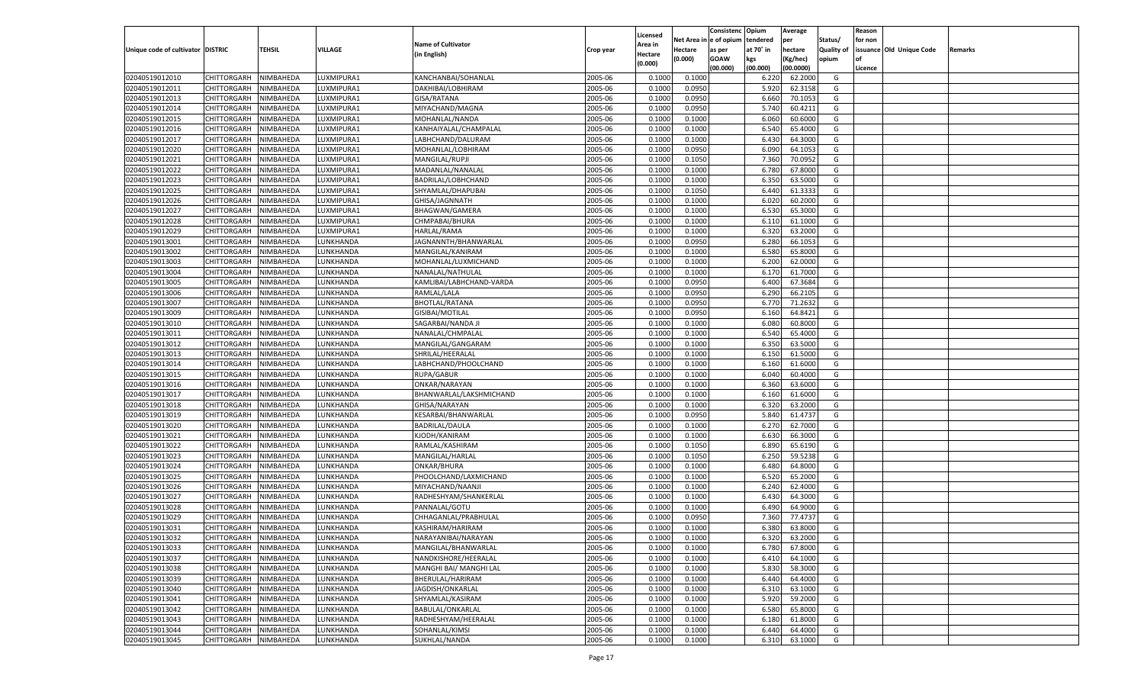|                                   |                       |           |                 |                           |           |                    |            | Consistenc   | Opium     | Average   |                   | Reason  |                          |         |
|-----------------------------------|-----------------------|-----------|-----------------|---------------------------|-----------|--------------------|------------|--------------|-----------|-----------|-------------------|---------|--------------------------|---------|
|                                   |                       |           |                 |                           |           | Licensed           | Net Area i | n e of opium | tendered  | per       | Status/           | for non |                          |         |
| Unique code of cultivator DISTRIC |                       | TEHSIL    | <b>VILLAGE</b>  | <b>Name of Cultivator</b> | Crop year | Area in            | Hectare    | as per       | at 70° in | hectare   | <b>Quality of</b> |         | issuance Old Unique Code | Remarks |
|                                   |                       |           |                 | (in English)              |           | Hectare<br>(0.000) | (0.000)    | <b>GOAW</b>  | kgs       | (Kg/hec)  | opium             |         |                          |         |
|                                   |                       |           |                 |                           |           |                    |            | (00.000)     | (00.000)  | (00.0000) |                   | Licence |                          |         |
| 02040519012010                    | CHITTORGARH           | NIMBAHEDA | LUXMIPURA1      | KANCHANBAI/SOHANLAL       | 2005-06   | 0.1000             | 0.1000     |              | 6.220     | 62.2000   | G                 |         |                          |         |
| 02040519012011                    | CHITTORGARH           | NIMBAHEDA | LUXMIPURA1      | DAKHIBAI/LOBHIRAM         | 2005-06   | 0.1000             | 0.0950     |              | 5.920     | 62.3158   | G                 |         |                          |         |
| 02040519012013                    | CHITTORGARH           | NIMBAHEDA | LUXMIPURA1      | GISA/RATANA               | 2005-06   | 0.1000             | 0.0950     |              | 6.660     | 70.1053   | G                 |         |                          |         |
| 02040519012014                    | CHITTORGARH           | NIMBAHEDA | LUXMIPURA1      | MIYACHAND/MAGNA           | 2005-06   | 0.1000             | 0.0950     |              | 5.740     | 60.4211   | G                 |         |                          |         |
| 02040519012015                    | CHITTORGARH           | NIMBAHEDA | LUXMIPURA1      | MOHANLAL/NANDA            | 2005-06   | 0.1000             | 0.1000     |              | 6.060     | 60.6000   | G                 |         |                          |         |
| 02040519012016                    | CHITTORGARH           | NIMBAHEDA | LUXMIPURA1      | KANHAIYALAL/CHAMPALAL     | 2005-06   | 0.1000             | 0.1000     |              | 6.540     | 65.4000   | G                 |         |                          |         |
| 02040519012017                    | CHITTORGARH           | NIMBAHEDA | LUXMIPURA1      | LABHCHAND/DALURAM         | 2005-06   | 0.1000             | 0.1000     |              | 6.430     | 64.3000   | G                 |         |                          |         |
| 02040519012020                    | CHITTORGARH           | NIMBAHEDA | LUXMIPURA1      | MOHANLAL/LOBHIRAM         | 2005-06   | 0.1000             | 0.0950     |              | 6.090     | 64.1053   | G                 |         |                          |         |
| 02040519012021                    | CHITTORGARH           | NIMBAHEDA | LUXMIPURA1      | MANGILAL/RUPJI            | 2005-06   | 0.1000             | 0.1050     |              | 7.360     | 70.0952   | G                 |         |                          |         |
| 02040519012022                    | CHITTORGARH           | NIMBAHEDA | LUXMIPURA1      | MADANLAL/NANALAI          | 2005-06   | 0.1000             | 0.1000     |              | 6.780     | 67.8000   | G                 |         |                          |         |
| 02040519012023                    | CHITTORGARH           | NIMBAHEDA | LUXMIPURA1      | BADRILAL/LOBHCHAND        | 2005-06   | 0.1000             | 0.1000     |              | 6.350     | 63.5000   | G                 |         |                          |         |
| 02040519012025                    | CHITTORGARH           | NIMBAHEDA | LUXMIPURA1      | SHYAMLAL/DHAPUBAI         | 2005-06   | 0.1000             | 0.1050     |              | 6.440     | 61.3333   | G                 |         |                          |         |
| 02040519012026                    | CHITTORGARH           | NIMBAHEDA | LUXMIPURA1      | GHISA/JAGNNATH            | 2005-06   | 0.1000             | 0.1000     |              | 6.020     | 60.2000   | G                 |         |                          |         |
| 02040519012027                    | CHITTORGARH           | NIMBAHEDA | LUXMIPURA1      | BHAGWAN/GAMERA            | 2005-06   | 0.1000             | 0.1000     |              | 6.530     | 65.3000   | G                 |         |                          |         |
| 02040519012028                    | CHITTORGARH           | NIMBAHEDA | LUXMIPURA1      | CHMPABAI/BHURA            | 2005-06   | 0.1000             | 0.1000     |              | 6.110     | 61.1000   | G                 |         |                          |         |
| 02040519012029                    | CHITTORGARH           | NIMBAHEDA | UXMIPURA1       | HARLAL/RAMA               | 2005-06   | 0.1000             | 0.1000     |              | 6.320     | 63.2000   | G                 |         |                          |         |
| 02040519013001                    | CHITTORGARH           | NIMBAHEDA | UNKHANDA        | JAGNANNTH/BHANWARLAL      | 2005-06   | 0.1000             | 0.0950     |              | 6.280     | 66.1053   | G                 |         |                          |         |
| 02040519013002                    | CHITTORGARH           | NIMBAHEDA | UNKHANDA        | MANGILAL/KANIRAM          | 2005-06   | 0.1000             | 0.1000     |              | 6.580     | 65.8000   | G                 |         |                          |         |
| 02040519013003                    | CHITTORGARH           | NIMBAHEDA | <b>UNKHANDA</b> | MOHANLAL/LUXMICHAND       | 2005-06   | 0.1000             | 0.1000     |              | 6.200     | 62.0000   | G                 |         |                          |         |
| 02040519013004                    | CHITTORGARH           | NIMBAHEDA | <b>UNKHANDA</b> | NANALAL/NATHULAL          | 2005-06   | 0.1000             | 0.1000     |              | 6.170     | 61.7000   | G                 |         |                          |         |
| 02040519013005                    | CHITTORGARH           | NIMBAHEDA | <b>UNKHANDA</b> | KAMLIBAI/LABHCHAND-VARDA  | 2005-06   | 0.1000             | 0.0950     |              | 6.400     | 67.3684   | G                 |         |                          |         |
| 02040519013006                    | CHITTORGARH           | NIMBAHEDA | UNKHANDA        | RAMLAL/LALA               | 2005-06   | 0.1000             | 0.0950     |              | 6.290     | 66.2105   | G                 |         |                          |         |
| 02040519013007                    | CHITTORGARH           | NIMBAHEDA | <b>UNKHANDA</b> | <b>BHOTLAL/RATANA</b>     | 2005-06   | 0.1000             | 0.0950     |              | 6.770     | 71.2632   | G                 |         |                          |         |
| 02040519013009                    | CHITTORGARH           | NIMBAHEDA | UNKHANDA.       | GISIBAI/MOTILAL           | 2005-06   | 0.1000             | 0.0950     |              | 6.160     | 64.8421   | G                 |         |                          |         |
| 02040519013010                    | CHITTORGARH           | NIMBAHEDA | UNKHANDA        | SAGARBAI/NANDA JI         | 2005-06   | 0.1000             | 0.1000     |              | 6.080     | 60.8000   | G                 |         |                          |         |
| 02040519013011                    | CHITTORGARH           | NIMBAHEDA | UNKHANDA        | NANALAL/CHMPALAI          | 2005-06   | 0.1000             | 0.1000     |              | 6.540     | 65.4000   | G                 |         |                          |         |
| 02040519013012                    | CHITTORGARH           | NIMBAHEDA | <b>UNKHANDA</b> | MANGILAL/GANGARAM         | 2005-06   | 0.1000             | 0.1000     |              | 6.350     | 63.5000   | G                 |         |                          |         |
| 02040519013013                    | CHITTORGARH           | NIMBAHEDA | UNKHANDA.       | SHRILAL/HEERALAL          | 2005-06   | 0.1000             | 0.1000     |              | 6.150     | 61.5000   | G                 |         |                          |         |
| 02040519013014                    | CHITTORGARH           |           | <b>UNKHANDA</b> |                           | 2005-06   | 0.1000             | 0.1000     |              | 6.160     | 61.6000   | G                 |         |                          |         |
|                                   |                       | NIMBAHEDA | LUNKHANDA       | LABHCHAND/PHOOLCHAND      |           |                    |            |              | 6.040     |           |                   |         |                          |         |
| 02040519013015                    | CHITTORGARH           | NIMBAHEDA |                 | RUPA/GABUR                | 2005-06   | 0.1000             | 0.1000     |              |           | 60.4000   | G                 |         |                          |         |
| 02040519013016                    | CHITTORGARH           | NIMBAHEDA | LUNKHANDA       | ONKAR/NARAYAN             | 2005-06   | 0.1000             | 0.1000     |              | 6.360     | 63.6000   | G                 |         |                          |         |
| 02040519013017                    | CHITTORGARH           | NIMBAHEDA | LUNKHANDA       | BHANWARLAL/LAKSHMICHAND   | 2005-06   | 0.1000             | 0.1000     |              | 6.160     | 61.6000   | G                 |         |                          |         |
| 02040519013018                    | CHITTORGARH           | NIMBAHEDA | LUNKHANDA       | GHISA/NARAYAN             | 2005-06   | 0.1000             | 0.1000     |              | 6.320     | 63.2000   | G                 |         |                          |         |
| 02040519013019                    | CHITTORGARH           | NIMBAHEDA | LUNKHANDA       | KESARBAI/BHANWARLAL       | 2005-06   | 0.1000             | 0.0950     |              | 5.840     | 61.4737   | G                 |         |                          |         |
| 02040519013020                    | CHITTORGARH           | NIMBAHEDA | LUNKHANDA       | <b>BADRILAL/DAULA</b>     | 2005-06   | 0.1000             | 0.1000     |              | 6.27      | 62.7000   | G                 |         |                          |         |
| 02040519013021                    | CHITTORGARH           | NIMBAHEDA | LUNKHANDA       | KJODH/KANIRAM             | 2005-06   | 0.1000             | 0.1000     |              | 6.630     | 66.3000   | G                 |         |                          |         |
| 02040519013022                    | CHITTORGARH           | NIMBAHEDA | LUNKHANDA       | RAMLAL/KASHIRAM           | 2005-06   | 0.1000             | 0.1050     |              | 6.890     | 65.6190   | G                 |         |                          |         |
| 02040519013023                    | CHITTORGARH           | NIMBAHEDA | LUNKHANDA       | MANGILAL/HARLAL           | 2005-06   | 0.1000             | 0.1050     |              | 6.250     | 59.5238   | G                 |         |                          |         |
| 02040519013024                    | CHITTORGARH           | NIMBAHEDA | LUNKHANDA       | ONKAR/BHURA               | 2005-06   | 0.1000             | 0.1000     |              | 6.480     | 64.8000   | G                 |         |                          |         |
| 02040519013025                    | CHITTORGARH           | NIMBAHEDA | LUNKHANDA       | PHOOLCHAND/LAXMICHAND     | 2005-06   | 0.1000             | 0.1000     |              | 6.520     | 65.2000   | G                 |         |                          |         |
| 02040519013026                    | CHITTORGARH           | NIMBAHEDA | LUNKHANDA       | MIYACHAND/NAANJI          | 2005-06   | 0.1000             | 0.1000     |              | 6.240     | 62.4000   | G                 |         |                          |         |
| 02040519013027                    | CHITTORGARH           | NIMBAHEDA | LUNKHANDA       | RADHESHYAM/SHANKERLAL     | 2005-06   | 0.1000             | 0.1000     |              | 6.430     | 64.3000   | G                 |         |                          |         |
| 02040519013028                    | CHITTORGARH           | NIMBAHEDA | LUNKHANDA       | PANNALAL/GOTU             | 2005-06   | 0.1000             | 0.1000     |              | 6.490     | 64.9000   | G                 |         |                          |         |
| 02040519013029                    | CHITTORGARH           | NIMBAHEDA | LUNKHANDA       | CHHAGANLAL/PRABHULAL      | 2005-06   | 0.1000             | 0.0950     |              | 7.360     | 77.4737   | G                 |         |                          |         |
| 02040519013031                    | CHITTORGARH           | NIMBAHEDA | LUNKHANDA       | KASHIRAM/HARIRAN          | 2005-06   | 0.1000             | 0.1000     |              | 6.380     | 63.8000   | G                 |         |                          |         |
| 02040519013032                    | CHITTORGARH NIMBAHEDA |           | LUNKHANDA       | NARAYANIBAI/NARAYAN       | 2005-06   | 0.1000             | 0.1000     |              | 6.320     | 63.2000   | G                 |         |                          |         |
| 02040519013033                    | <b>CHITTORGARH</b>    | NIMBAHEDA | LUNKHANDA       | MANGILAL/BHANWARLAL       | 2005-06   | 0.1000             | 0.1000     |              | 6.780     | 67.8000   | G                 |         |                          |         |
| 02040519013037                    | CHITTORGARH           | NIMBAHEDA | LUNKHANDA       | NANDKISHORE/HEERALAL      | 2005-06   | 0.1000             | 0.1000     |              | 6.410     | 64.1000   | G                 |         |                          |         |
| 02040519013038                    | <b>CHITTORGARH</b>    | NIMBAHEDA | LUNKHANDA       | MANGHI BAI/ MANGHI LAL    | 2005-06   | 0.1000             | 0.1000     |              | 5.830     | 58.3000   | G                 |         |                          |         |
| 02040519013039                    | CHITTORGARH           | NIMBAHEDA | LUNKHANDA       | BHERULAL/HARIRAM          | 2005-06   | 0.1000             | 0.1000     |              | 6.440     | 64.4000   | G                 |         |                          |         |
| 02040519013040                    | CHITTORGARH           | NIMBAHEDA | LUNKHANDA       | JAGDISH/ONKARLAL          | 2005-06   | 0.1000             | 0.1000     |              | 6.310     | 63.1000   | G                 |         |                          |         |
| 02040519013041                    | CHITTORGARH           | NIMBAHEDA | LUNKHANDA       | SHYAMLAL/KASIRAM          | 2005-06   | 0.1000             | 0.1000     |              | 5.920     | 59.2000   | G                 |         |                          |         |
| 02040519013042                    | CHITTORGARH           | NIMBAHEDA | LUNKHANDA       | BABULAL/ONKARLAL          | 2005-06   | 0.1000             | 0.1000     |              | 6.580     | 65.8000   | G                 |         |                          |         |
| 02040519013043                    | CHITTORGARH           | NIMBAHEDA | LUNKHANDA       | RADHESHYAM/HEERALAL       | 2005-06   | 0.1000             | 0.1000     |              | 6.180     | 61.8000   | G                 |         |                          |         |
| 02040519013044                    | <b>CHITTORGARH</b>    | NIMBAHEDA | LUNKHANDA       | SOHANLAL/KIMSI            | 2005-06   | 0.1000             | 0.1000     |              | 6.440     | 64.4000   | G                 |         |                          |         |
| 02040519013045                    | <b>CHITTORGARH</b>    | NIMBAHEDA | LUNKHANDA       | SUKHLAL/NANDA             | 2005-06   | 0.1000             | 0.1000     |              | 6.310     | 63.1000   | G                 |         |                          |         |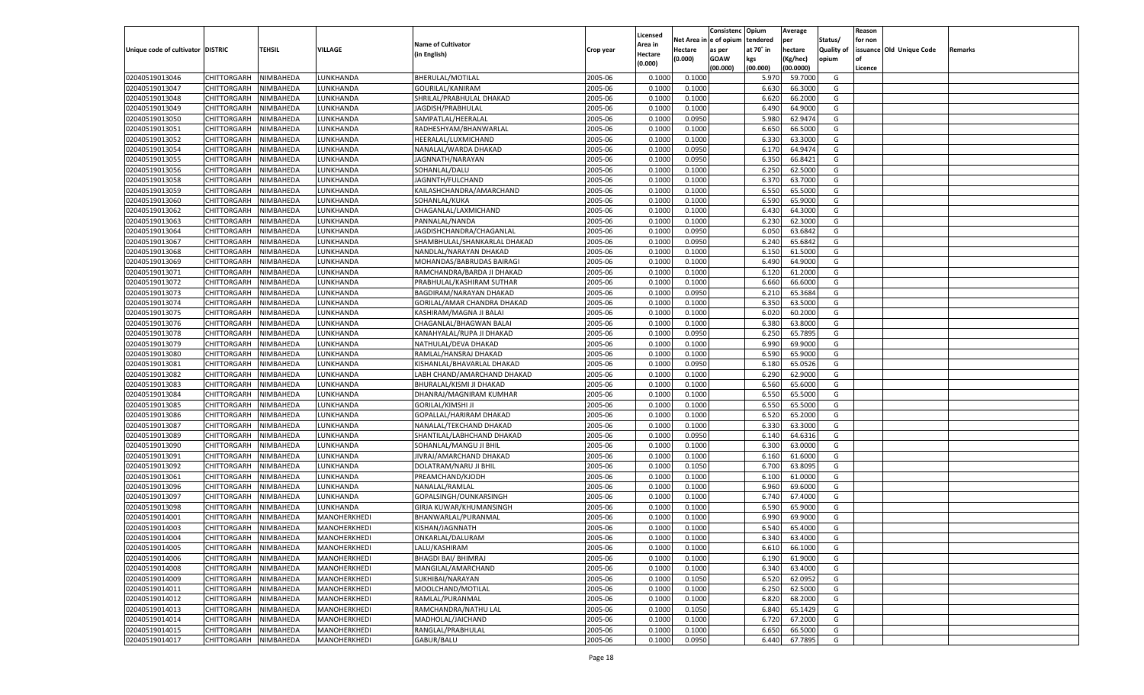|                                   |                       |           |                 |                              |           |          |            | Consistenc    | Opium     | Average   |                   | Reason  |                          |         |
|-----------------------------------|-----------------------|-----------|-----------------|------------------------------|-----------|----------|------------|---------------|-----------|-----------|-------------------|---------|--------------------------|---------|
|                                   |                       |           |                 | <b>Name of Cultivator</b>    |           | Licensed | Net Area i | n  e of opium | tendered  | per       | Status/           | for non |                          |         |
| Unique code of cultivator DISTRIC |                       | TEHSIL    | VILLAGE         |                              | Crop year | Area in  | Hectare    | as per        | at 70° in | hectare   | <b>Quality of</b> |         | issuance Old Unique Code | Remarks |
|                                   |                       |           |                 | (in English)                 |           | Hectare  | (0.000)    | <b>GOAW</b>   | kgs       | (Kg/hec)  | opium             |         |                          |         |
|                                   |                       |           |                 |                              |           | (0.000)  |            | (00.000)      | (00.000)  | (00.0000) |                   | Licence |                          |         |
| 02040519013046                    | CHITTORGARH           | NIMBAHEDA | LUNKHANDA       | BHERULAL/MOTILAL             | 2005-06   | 0.1000   | 0.1000     |               | 5.970     | 59.7000   | G                 |         |                          |         |
| 02040519013047                    | CHITTORGARH           | NIMBAHEDA | LUNKHANDA       | GOURILAL/KANIRAM             | 2005-06   | 0.1000   | 0.1000     |               | 6.630     | 66.3000   | G                 |         |                          |         |
| 02040519013048                    | CHITTORGARH           | NIMBAHEDA | LUNKHANDA       | SHRILAL/PRABHULAL DHAKAD     | 2005-06   | 0.1000   | 0.1000     |               | 6.620     | 66.2000   | G                 |         |                          |         |
| 02040519013049                    | CHITTORGARH           | NIMBAHEDA | LUNKHANDA       | JAGDISH/PRABHULAL            | 2005-06   | 0.1000   | 0.1000     |               | 6.490     | 64.9000   | G                 |         |                          |         |
| 02040519013050                    | CHITTORGARH           | NIMBAHEDA | LUNKHANDA       | SAMPATLAL/HEERALAL           | 2005-06   | 0.1000   | 0.0950     |               | 5.980     | 62.9474   | G                 |         |                          |         |
| 02040519013051                    | CHITTORGARH           | NIMBAHEDA | LUNKHANDA       | RADHESHYAM/BHANWARLAL        | 2005-06   | 0.1000   | 0.1000     |               | 6.650     | 66.5000   | G                 |         |                          |         |
| 02040519013052                    | CHITTORGARH           | NIMBAHEDA | LUNKHANDA       | HEERALAL/LUXMICHAND          | 2005-06   | 0.1000   | 0.1000     |               | 6.330     | 63.3000   | G                 |         |                          |         |
| 02040519013054                    | CHITTORGARH           | NIMBAHEDA | LUNKHANDA       | NANALAL/WARDA DHAKAD         | 2005-06   | 0.1000   | 0.0950     |               | 6.170     | 64.9474   | G                 |         |                          |         |
| 02040519013055                    | CHITTORGARH           | NIMBAHEDA | LUNKHANDA       | JAGNNATH/NARAYAN             | 2005-06   | 0.1000   | 0.0950     |               | 6.350     | 66.8421   | G                 |         |                          |         |
|                                   |                       |           |                 | SOHANLAL/DALU                | 2005-06   |          |            |               |           |           | G                 |         |                          |         |
| 02040519013056                    | CHITTORGARH           | NIMBAHEDA | LUNKHANDA       |                              |           | 0.1000   | 0.1000     |               | 6.250     | 62.5000   |                   |         |                          |         |
| 02040519013058                    | CHITTORGARH           | NIMBAHEDA | LUNKHANDA       | JAGNNTH/FULCHAND             | 2005-06   | 0.1000   | 0.1000     |               | 6.370     | 63.7000   | G                 |         |                          |         |
| 02040519013059                    | CHITTORGARH           | NIMBAHEDA | LUNKHANDA       | KAILASHCHANDRA/AMARCHAND     | 2005-06   | 0.1000   | 0.1000     |               | 6.550     | 65.5000   | G                 |         |                          |         |
| 02040519013060                    | CHITTORGARH           | NIMBAHEDA | LUNKHANDA       | SOHANLAL/KUKA                | 2005-06   | 0.1000   | 0.1000     |               | 6.590     | 65.9000   | G                 |         |                          |         |
| 02040519013062                    | CHITTORGARH           | NIMBAHEDA | UNKHANDA.       | CHAGANLAL/LAXMICHAND         | 2005-06   | 0.1000   | 0.1000     |               | 6.430     | 64.3000   | G                 |         |                          |         |
| 02040519013063                    | CHITTORGARH           | NIMBAHEDA | <b>UNKHANDA</b> | PANNALAL/NANDA               | 2005-06   | 0.1000   | 0.1000     |               | 6.230     | 62.3000   | G                 |         |                          |         |
| 02040519013064                    | CHITTORGARH           | NIMBAHEDA | UNKHANDA.       | JAGDISHCHANDRA/CHAGANLAL     | 2005-06   | 0.1000   | 0.0950     |               | 6.050     | 63.6842   | G                 |         |                          |         |
| 02040519013067                    | CHITTORGARH           | NIMBAHEDA | <b>UNKHANDA</b> | SHAMBHULAL/SHANKARLAL DHAKAD | 2005-06   | 0.1000   | 0.0950     |               | 6.240     | 65.6842   | G                 |         |                          |         |
| 02040519013068                    | CHITTORGARH           | NIMBAHEDA | UNKHANDA        | NANDLAL/NARAYAN DHAKAD       | 2005-06   | 0.1000   | 0.1000     |               | 6.150     | 61.5000   | G                 |         |                          |         |
| 02040519013069                    | CHITTORGARH           | NIMBAHEDA | <b>UNKHANDA</b> | MOHANDAS/BABRUDAS BAIRAGI    | 2005-06   | 0.1000   | 0.1000     |               | 6.490     | 64.9000   | G                 |         |                          |         |
| 02040519013071                    | CHITTORGARH           | NIMBAHEDA | UNKHANDA.       | RAMCHANDRA/BARDA JI DHAKAD   | 2005-06   | 0.1000   | 0.1000     |               | 6.120     | 61.2000   | G                 |         |                          |         |
| 02040519013072                    | CHITTORGARH           | NIMBAHEDA | <b>UNKHANDA</b> | PRABHULAL/KASHIRAM SUTHAR    | 2005-06   | 0.1000   | 0.1000     |               | 6.660     | 66.6000   | G                 |         |                          |         |
| 02040519013073                    | CHITTORGARH           | NIMBAHEDA | UNKHANDA        | BAGDIRAM/NARAYAN DHAKAD      | 2005-06   | 0.1000   | 0.0950     |               | 6.210     | 65.3684   | G                 |         |                          |         |
| 02040519013074                    | CHITTORGARH           | NIMBAHEDA | <b>UNKHANDA</b> | GORILAL/AMAR CHANDRA DHAKAD  | 2005-06   | 0.1000   | 0.1000     |               | 6.350     | 63.5000   | G                 |         |                          |         |
| 02040519013075                    | CHITTORGARH           | NIMBAHEDA | UNKHANDA.       | KASHIRAM/MAGNA JI BALAI      | 2005-06   | 0.1000   | 0.1000     |               | 6.020     | 60.2000   | G                 |         |                          |         |
| 02040519013076                    | CHITTORGARH           | NIMBAHEDA | <b>UNKHANDA</b> | CHAGANLAL/BHAGWAN BALAI      | 2005-06   | 0.1000   | 0.1000     |               | 6.380     | 63.8000   | G                 |         |                          |         |
| 02040519013078                    | CHITTORGARH           | NIMBAHEDA | UNKHANDA        | KANAHYALAL/RUPA JI DHAKAD    | 2005-06   | 0.1000   | 0.0950     |               | 6.250     | 65.7895   | G                 |         |                          |         |
| 02040519013079                    | CHITTORGARH           | NIMBAHEDA | <b>UNKHANDA</b> | NATHULAL/DEVA DHAKAD         | 2005-06   | 0.1000   | 0.1000     |               | 6.990     | 69.9000   | G                 |         |                          |         |
| 02040519013080                    | CHITTORGARH           | NIMBAHEDA | UNKHANDA.       | RAMLAL/HANSRAJ DHAKAD        | 2005-06   | 0.1000   | 0.1000     |               | 6.590     | 65.9000   | G                 |         |                          |         |
| 02040519013081                    | CHITTORGARH           | NIMBAHEDA | <b>UNKHANDA</b> | KISHANLAL/BHAVARLAL DHAKAD   | 2005-06   | 0.1000   | 0.0950     |               | 6.180     | 65.0526   | G                 |         |                          |         |
| 02040519013082                    | CHITTORGARH           | NIMBAHEDA | LUNKHANDA       | LABH CHAND/AMARCHAND DHAKAD  | 2005-06   | 0.1000   | 0.1000     |               | 6.290     | 62.9000   | G                 |         |                          |         |
| 02040519013083                    |                       |           | LUNKHANDA       |                              | 2005-06   | 0.1000   | 0.1000     |               | 6.560     | 65.6000   | G                 |         |                          |         |
|                                   | CHITTORGARH           | NIMBAHEDA |                 | BHURALAL/KISMI JI DHAKAD     |           |          |            |               | 6.550     | 65.5000   |                   |         |                          |         |
| 02040519013084                    | CHITTORGARH           | NIMBAHEDA | LUNKHANDA       | DHANRAJ/MAGNIRAM KUMHAR      | 2005-06   | 0.1000   | 0.1000     |               |           |           | G                 |         |                          |         |
| 02040519013085                    | CHITTORGARH           | NIMBAHEDA | LUNKHANDA       | <b>GORILAL/KIMSHI JI</b>     | 2005-06   | 0.1000   | 0.1000     |               | 6.550     | 65.5000   | G                 |         |                          |         |
| 02040519013086                    | CHITTORGARH           | NIMBAHEDA | LUNKHANDA       | GOPALLAL/HARIRAM DHAKAD      | 2005-06   | 0.1000   | 0.1000     |               | 6.520     | 65.2000   | G                 |         |                          |         |
| 02040519013087                    | CHITTORGARH           | NIMBAHEDA | LUNKHANDA       | NANALAL/TEKCHAND DHAKAD      | 2005-06   | 0.1000   | 0.1000     |               | 6.330     | 63.3000   | G                 |         |                          |         |
| 02040519013089                    | CHITTORGARH           | NIMBAHEDA | LUNKHANDA       | SHANTILAL/LABHCHAND DHAKAD   | 2005-06   | 0.1000   | 0.0950     |               | 6.140     | 64.6316   | G                 |         |                          |         |
| 02040519013090                    | CHITTORGARH           | NIMBAHEDA | LUNKHANDA       | SOHANLAL/MANGU JI BHIL       | 2005-06   | 0.1000   | 0.1000     |               | 6.300     | 63.0000   | G                 |         |                          |         |
| 02040519013091                    | CHITTORGARH           | NIMBAHEDA | LUNKHANDA       | JIVRAJ/AMARCHAND DHAKAD      | 2005-06   | 0.1000   | 0.1000     |               | 6.160     | 61.6000   | G                 |         |                          |         |
| 02040519013092                    | CHITTORGARH           | NIMBAHEDA | LUNKHANDA       | DOLATRAM/NARU JI BHIL        | 2005-06   | 0.1000   | 0.1050     |               | 6.700     | 63.8095   | G                 |         |                          |         |
| 02040519013061                    | CHITTORGARH           | NIMBAHEDA | LUNKHANDA       | PREAMCHAND/KJODH             | 2005-06   | 0.1000   | 0.1000     |               | 6.100     | 61.0000   | G                 |         |                          |         |
| 02040519013096                    | CHITTORGARH           | NIMBAHEDA | LUNKHANDA       | NANALAL/RAMLAL               | 2005-06   | 0.1000   | 0.1000     |               | 6.960     | 69.6000   | G                 |         |                          |         |
| 02040519013097                    | CHITTORGARH           | NIMBAHEDA | LUNKHANDA       | GOPALSINGH/OUNKARSINGH       | 2005-06   | 0.1000   | 0.1000     |               | 6.740     | 67.4000   | G                 |         |                          |         |
| 02040519013098                    | CHITTORGARH           | NIMBAHEDA | LUNKHANDA       | GIRJA KUWAR/KHUMANSINGH      | 2005-06   | 0.1000   | 0.1000     |               | 6.590     | 65.9000   | G                 |         |                          |         |
| 02040519014001                    | CHITTORGARH           | NIMBAHEDA | MANOHERKHEDI    | BHANWARLAL/PURANMAL          | 2005-06   | 0.1000   | 0.1000     |               | 6.990     | 69.9000   | G                 |         |                          |         |
| 02040519014003                    | CHITTORGARH           | NIMBAHEDA | MANOHERKHEDI    | KISHAN/JAGNNATH              | 2005-06   | 0.1000   | 0.1000     |               | 6.540     | 65.4000   | G                 |         |                          |         |
| 02040519014004                    | CHITTORGARH NIMBAHEDA |           | MANOHERKHEDI    | ONKARLAL/DALURAM             | 2005-06   | 0.1000   | 0.1000     |               | 6.340     | 63.4000   | G                 |         |                          |         |
| 02040519014005                    | <b>CHITTORGARH</b>    | NIMBAHEDA | MANOHERKHEDI    | LALU/KASHIRAM                | 2005-06   | 0.1000   | 0.1000     |               | 6.610     | 66.1000   | G                 |         |                          |         |
| 02040519014006                    | CHITTORGARH           | NIMBAHEDA | MANOHERKHEDI    | <b>BHAGDI BAI/ BHIMRAJ</b>   | 2005-06   | 0.1000   | 0.1000     |               | 6.190     | 61.9000   | G                 |         |                          |         |
| 02040519014008                    | CHITTORGARH           | NIMBAHEDA | MANOHERKHEDI    | MANGILAL/AMARCHAND           | 2005-06   | 0.1000   | 0.1000     |               | 6.340     | 63.4000   | G                 |         |                          |         |
| 02040519014009                    | <b>CHITTORGARH</b>    | NIMBAHEDA | MANOHERKHEDI    | SUKHIBAI/NARAYAN             | 2005-06   | 0.1000   | 0.1050     |               | 6.520     | 62.0952   | G                 |         |                          |         |
| 02040519014011                    | CHITTORGARH           | NIMBAHEDA | MANOHERKHEDI    | MOOLCHAND/MOTILAL            | 2005-06   | 0.1000   | 0.1000     |               | 6.250     | 62.5000   | G                 |         |                          |         |
| 02040519014012                    | <b>CHITTORGARH</b>    | NIMBAHEDA | MANOHERKHEDI    | RAMLAL/PURANMAL              | 2005-06   | 0.1000   | 0.1000     |               | 6.820     | 68.2000   | G                 |         |                          |         |
| 02040519014013                    | CHITTORGARH           | NIMBAHEDA | MANOHERKHEDI    | RAMCHANDRA/NATHU LAL         | 2005-06   | 0.1000   | 0.1050     |               | 6.840     | 65.1429   | G                 |         |                          |         |
|                                   | <b>CHITTORGARH</b>    |           |                 |                              |           |          |            |               |           |           |                   |         |                          |         |
| 02040519014014                    |                       | NIMBAHEDA | MANOHERKHEDI    | MADHOLAL/JAICHAND            | 2005-06   | 0.1000   | 0.1000     |               | 6.720     | 67.2000   | G                 |         |                          |         |
| 02040519014015                    | <b>CHITTORGARH</b>    | NIMBAHEDA | MANOHERKHEDI    | RANGLAL/PRABHULAL            | 2005-06   | 0.1000   | 0.1000     |               | 6.650     | 66.5000   | G                 |         |                          |         |
| 02040519014017                    | <b>CHITTORGARH</b>    | NIMBAHEDA | MANOHERKHEDI    | GABUR/BALU                   | 2005-06   | 0.1000   | 0.0950     |               | 6.440     | 67.7895   | G                 |         |                          |         |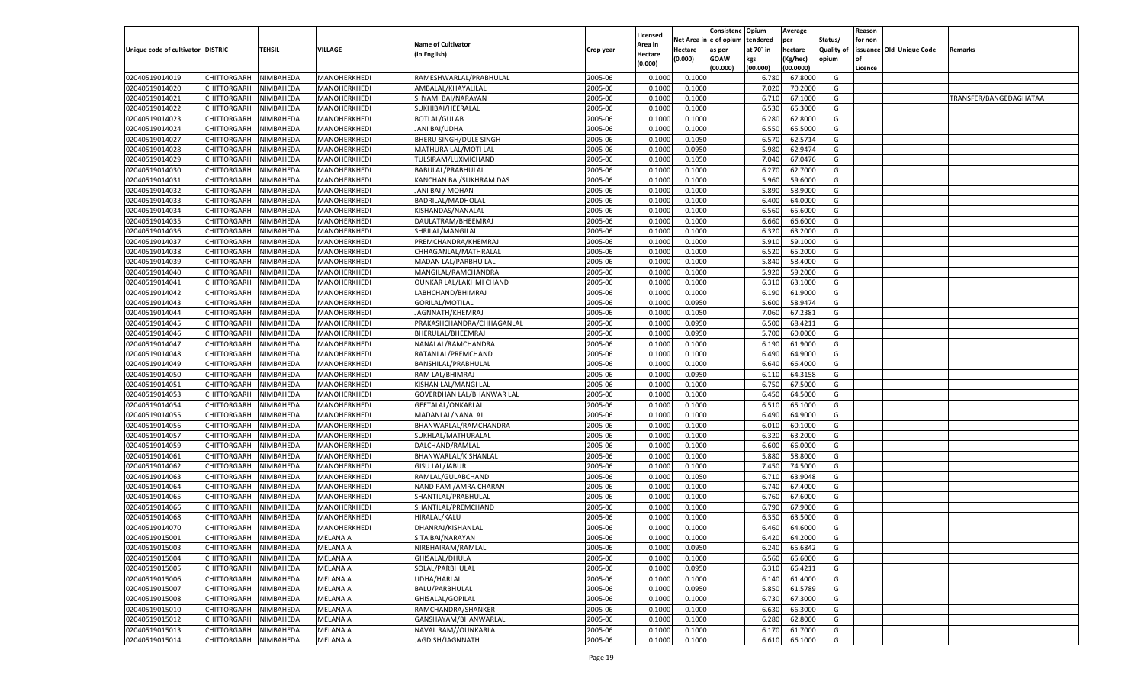|                                   |                       |           |                 |                                       |           |                     |             | Consistenc    | Opium     | Average   |                   | Reason  |                          |                        |
|-----------------------------------|-----------------------|-----------|-----------------|---------------------------------------|-----------|---------------------|-------------|---------------|-----------|-----------|-------------------|---------|--------------------------|------------------------|
|                                   |                       |           |                 | <b>Name of Cultivator</b>             |           | Licensed<br>Area in | Net Area iı | n  e of opium | tendered  | per       | Status/           | for non |                          |                        |
| Unique code of cultivator DISTRIC |                       | TEHSIL    | <b>VILLAGE</b>  | (in English)                          | Crop year | Hectare             | Hectare     | as per        | at 70° in | hectare   | <b>Quality of</b> |         | issuance Old Unique Code | Remarks                |
|                                   |                       |           |                 |                                       |           | (0.000)             | (0.000)     | <b>GOAW</b>   | kgs       | (Kg/hec)  | opium             |         |                          |                        |
|                                   |                       |           |                 |                                       |           |                     |             | (00.000)      | (00.000)  | (00.0000) |                   | Licence |                          |                        |
| 02040519014019                    | CHITTORGARH           | NIMBAHEDA | MANOHERKHEDI    | RAMESHWARLAL/PRABHULAL                | 2005-06   | 0.1000              | 0.1000      |               | 6.780     | 67.8000   | G                 |         |                          |                        |
| 02040519014020                    | CHITTORGARH           | NIMBAHEDA | MANOHERKHEDI    | AMBALAL/KHAYALILAL                    | 2005-06   | 0.1000              | 0.1000      |               | 7.020     | 70.2000   | G                 |         |                          |                        |
| 02040519014021                    | CHITTORGARH           | NIMBAHEDA | MANOHERKHEDI    | SHYAMI BAI/NARAYAN                    | 2005-06   | 0.1000              | 0.1000      |               | 6.710     | 67.1000   | G                 |         |                          | TRANSFER/BANGEDAGHATAA |
| 02040519014022                    | CHITTORGARH           | NIMBAHEDA | MANOHERKHEDI    | SUKHIBAI/HEERALAL                     | 2005-06   | 0.1000              | 0.1000      |               | 6.530     | 65.3000   | G                 |         |                          |                        |
| 02040519014023                    | CHITTORGARH           | NIMBAHEDA | MANOHERKHEDI    | <b>BOTLAL/GULAB</b>                   | 2005-06   | 0.1000              | 0.1000      |               | 6.280     | 62.8000   | G                 |         |                          |                        |
| 02040519014024                    | CHITTORGARH           | NIMBAHEDA | MANOHERKHEDI    | <b>JANI BAI/UDHA</b>                  | 2005-06   | 0.1000              | 0.1000      |               | 6.550     | 65.5000   | G                 |         |                          |                        |
| 02040519014027                    | CHITTORGARH           | NIMBAHEDA | MANOHERKHEDI    | <b>BHERU SINGH/DULE SINGH</b>         | 2005-06   | 0.1000              | 0.1050      |               | 6.570     | 62.5714   | G                 |         |                          |                        |
| 02040519014028                    | CHITTORGARH           | NIMBAHEDA | MANOHERKHEDI    | MATHURA LAL/MOTI LAL                  | 2005-06   | 0.1000              | 0.0950      |               | 5.980     | 62.9474   | G                 |         |                          |                        |
| 02040519014029                    | CHITTORGARH           | NIMBAHEDA | MANOHERKHEDI    | TULSIRAM/LUXMICHAND                   | 2005-06   | 0.1000              | 0.1050      |               | 7.040     | 67.0476   | G                 |         |                          |                        |
| 02040519014030                    | CHITTORGARH           | NIMBAHEDA | MANOHERKHEDI    | BABULAL/PRABHULAL                     | 2005-06   | 0.1000              | 0.1000      |               | 6.27      | 62.7000   | G                 |         |                          |                        |
| 02040519014031                    | CHITTORGARH           | NIMBAHEDA | MANOHERKHEDI    | KANCHAN BAI/SUKHRAM DAS               | 2005-06   | 0.1000              | 0.1000      |               | 5.960     | 59.6000   | G                 |         |                          |                        |
| 02040519014032                    | CHITTORGARH           | NIMBAHEDA | MANOHERKHEDI    | JANI BAI / MOHAN                      | 2005-06   | 0.1000              | 0.1000      |               | 5.890     | 58.9000   | G                 |         |                          |                        |
| 02040519014033                    | CHITTORGARH           | NIMBAHEDA | MANOHERKHEDI    | BADRILAL/MADHOLAL                     | 2005-06   | 0.1000              | 0.1000      |               | 6.400     | 64.0000   | G                 |         |                          |                        |
| 02040519014034                    | CHITTORGARH           | NIMBAHEDA | MANOHERKHEDI    | KISHANDAS/NANALAL                     | 2005-06   | 0.1000              | 0.1000      |               | 6.560     | 65.6000   | G                 |         |                          |                        |
| 02040519014035                    | CHITTORGARH           | NIMBAHEDA | MANOHERKHEDI    | DAULATRAM/BHEEMRAJ                    | 2005-06   | 0.1000              | 0.1000      |               | 6.660     | 66.6000   | G                 |         |                          |                        |
| 02040519014036                    | CHITTORGARH           | NIMBAHEDA | MANOHERKHEDI    | SHRILAL/MANGILAL                      | 2005-06   | 0.1000              | 0.1000      |               | 6.320     | 63.2000   | G                 |         |                          |                        |
| 02040519014037                    | CHITTORGARH           | NIMBAHEDA | MANOHERKHEDI    | PREMCHANDRA/KHEMRAJ                   | 2005-06   | 0.1000              | 0.1000      |               | 5.910     | 59.1000   | G                 |         |                          |                        |
| 02040519014038                    | CHITTORGARH           | NIMBAHEDA | MANOHERKHEDI    | CHHAGANLAL/MATHRALAL                  | 2005-06   | 0.1000              | 0.1000      |               | 6.520     | 65.2000   | G                 |         |                          |                        |
| 02040519014039                    | CHITTORGARH           | NIMBAHEDA | MANOHERKHEDI    | MADAN LAL/PARBHU LAL                  | 2005-06   | 0.1000              | 0.1000      |               | 5.840     | 58.4000   | G                 |         |                          |                        |
| 02040519014040                    | CHITTORGARH           | NIMBAHEDA | MANOHERKHEDI    | MANGILAL/RAMCHANDRA                   | 2005-06   | 0.1000              | 0.1000      |               | 5.920     | 59.2000   | G                 |         |                          |                        |
| 02040519014041                    | CHITTORGARH           | NIMBAHEDA | MANOHERKHEDI    | OUNKAR LAL/LAKHMI CHAND               | 2005-06   | 0.1000              | 0.1000      |               | 6.310     | 63.1000   | G                 |         |                          |                        |
| 02040519014042                    | CHITTORGARH           | NIMBAHEDA | MANOHERKHEDI    | LABHCHAND/BHIMRAJ                     | 2005-06   | 0.1000              | 0.1000      |               | 6.190     | 61.9000   | G                 |         |                          |                        |
| 02040519014043                    | CHITTORGARH           | NIMBAHEDA | MANOHERKHEDI    | <b>GORILAL/MOTILAL</b>                | 2005-06   | 0.1000              | 0.0950      |               | 5.600     | 58.9474   | G                 |         |                          |                        |
| 02040519014044                    | CHITTORGARH           | NIMBAHEDA | MANOHERKHEDI    | JAGNNATH/KHEMRAJ                      | 2005-06   | 0.1000              | 0.1050      |               | 7.060     | 67.2381   | G                 |         |                          |                        |
| 02040519014045                    | CHITTORGARH           | NIMBAHEDA | MANOHERKHEDI    | PRAKASHCHANDRA/CHHAGANLAL             | 2005-06   | 0.1000              | 0.0950      |               | 6.500     | 68.4211   | G                 |         |                          |                        |
| 02040519014046                    | CHITTORGARH           | NIMBAHEDA | MANOHERKHEDI    | BHERULAL/BHEEMRAJ                     | 2005-06   | 0.1000              | 0.0950      |               | 5.700     | 60.0000   | G                 |         |                          |                        |
| 02040519014047                    | CHITTORGARH           | NIMBAHEDA | MANOHERKHEDI    | NANALAL/RAMCHANDRA                    | 2005-06   | 0.1000              | 0.1000      |               | 6.190     | 61.9000   | G                 |         |                          |                        |
| 02040519014048                    | CHITTORGARH           | NIMBAHEDA | MANOHERKHEDI    | RATANLAL/PREMCHAND                    | 2005-06   | 0.1000              | 0.1000      |               | 6.490     | 64.9000   | G                 |         |                          |                        |
| 02040519014049                    | CHITTORGARH           | NIMBAHEDA | MANOHERKHEDI    | BANSHILAL/PRABHULAL                   | 2005-06   | 0.1000              | 0.1000      |               | 6.640     | 66.4000   | G                 |         |                          |                        |
| 02040519014050                    | CHITTORGARH           | NIMBAHEDA | MANOHERKHEDI    | RAM LAL/BHIMRAJ                       | 2005-06   | 0.1000              | 0.0950      |               | 6.110     | 64.3158   | G                 |         |                          |                        |
| 02040519014051                    | CHITTORGARH           | NIMBAHEDA | MANOHERKHEDI    | KISHAN LAL/MANGI LAL                  | 2005-06   | 0.1000              | 0.1000      |               | 6.750     | 67.5000   | G                 |         |                          |                        |
| 02040519014053                    | CHITTORGARH           | NIMBAHEDA | MANOHERKHEDI    | GOVERDHAN LAL/BHANWAR LAL             | 2005-06   | 0.1000              | 0.1000      |               | 6.450     | 64.5000   | G                 |         |                          |                        |
| 02040519014054                    | CHITTORGARH           | NIMBAHEDA | MANOHERKHEDI    | GEETALAL/ONKARLAL                     | 2005-06   | 0.1000              | 0.1000      |               | 6.510     | 65.1000   | G                 |         |                          |                        |
| 02040519014055                    | CHITTORGARH           | NIMBAHEDA | MANOHERKHEDI    | MADANLAL/NANALAL                      | 2005-06   | 0.1000              | 0.1000      |               | 6.490     | 64.9000   | G                 |         |                          |                        |
| 02040519014056                    |                       |           |                 |                                       | 2005-06   | 0.1000              | 0.1000      |               | 6.010     | 60.1000   | G                 |         |                          |                        |
| 02040519014057                    | CHITTORGARH           | NIMBAHEDA | MANOHERKHEDI    | BHANWARLAL/RAMCHANDRA                 | 2005-06   | 0.1000              |             |               | 6.320     | 63.2000   | G                 |         |                          |                        |
|                                   | CHITTORGARH           | NIMBAHEDA | MANOHERKHEDI    | SUKHLAL/MATHURALAL<br>DALCHAND/RAMLAL | 2005-06   |                     | 0.1000      |               |           | 66.0000   |                   |         |                          |                        |
| 02040519014059                    | CHITTORGARH           | NIMBAHEDA | MANOHERKHEDI    |                                       |           | 0.1000              | 0.1000      |               | 6.600     |           | G                 |         |                          |                        |
| 02040519014061                    | CHITTORGARH           | NIMBAHEDA | MANOHERKHEDI    | BHANWARLAL/KISHANLAL                  | 2005-06   | 0.1000              | 0.1000      |               | 5.880     | 58.8000   | G                 |         |                          |                        |
| 02040519014062                    | CHITTORGARH           | NIMBAHEDA | MANOHERKHEDI    | <b>GISU LAL/JABUR</b>                 | 2005-06   | 0.1000              | 0.1000      |               | 7.450     | 74.5000   | G                 |         |                          |                        |
| 02040519014063                    | CHITTORGARH           | NIMBAHEDA | MANOHERKHEDI    | RAMLAL/GULABCHAND                     | 2005-06   | 0.1000              | 0.1050      |               | 6.710     | 63.9048   | G                 |         |                          |                        |
| 02040519014064                    | CHITTORGARH           | NIMBAHEDA | MANOHERKHEDI    | NAND RAM / AMRA CHARAN                | 2005-06   | 0.1000              | 0.1000      |               | 6.740     | 67.4000   | G                 |         |                          |                        |
| 02040519014065                    | CHITTORGARH           | NIMBAHEDA | MANOHERKHEDI    | SHANTILAL/PRABHULAL                   | 2005-06   | 0.1000              | 0.1000      |               | 6.760     | 67.6000   | G                 |         |                          |                        |
| 02040519014066                    | CHITTORGARH           | NIMBAHEDA | MANOHERKHEDI    | SHANTILAL/PREMCHAND                   | 2005-06   | 0.1000              | 0.1000      |               | 6.790     | 67.9000   | G                 |         |                          |                        |
| 02040519014068                    | CHITTORGARH           | NIMBAHEDA | MANOHERKHEDI    | HIRALAL/KALU                          | 2005-06   | 0.1000              | 0.1000      |               | 6.350     | 63.5000   | G                 |         |                          |                        |
| 02040519014070                    | CHITTORGARH           | NIMBAHEDA | MANOHERKHEDI    | DHANRAJ/KISHANLAL                     | 2005-06   | 0.1000              | 0.1000      |               | 6.460     | 64.6000   | G                 |         |                          |                        |
| 02040519015001                    | CHITTORGARH NIMBAHEDA |           | <b>MELANA A</b> | SITA BAI/NARAYAN                      | 2005-06   | 0.1000              | 0.1000      |               | 6.420     | 64.2000   | G                 |         |                          |                        |
| 02040519015003                    | <b>CHITTORGARH</b>    | NIMBAHEDA | <b>MELANA A</b> | NIRBHAIRAM/RAMLAL                     | 2005-06   | 0.1000              | 0.0950      |               | 6.240     | 65.6842   | G                 |         |                          |                        |
| 02040519015004                    | <b>CHITTORGARH</b>    | NIMBAHEDA | <b>MELANA A</b> | GHISALAL/DHULA                        | 2005-06   | 0.1000              | 0.1000      |               | 6.560     | 65.6000   | G                 |         |                          |                        |
| 02040519015005                    | CHITTORGARH           | NIMBAHEDA | <b>MELANA A</b> | SOLAL/PARBHULAL                       | 2005-06   | 0.1000              | 0.0950      |               | 6.310     | 66.4211   | G                 |         |                          |                        |
| 02040519015006                    | <b>CHITTORGARH</b>    | NIMBAHEDA | <b>MELANA A</b> | UDHA/HARLAL                           | 2005-06   | 0.1000              | 0.1000      |               | 6.140     | 61.4000   | G                 |         |                          |                        |
| 02040519015007                    | CHITTORGARH           | NIMBAHEDA | <b>MELANA A</b> | BALU/PARBHULAL                        | 2005-06   | 0.1000              | 0.0950      |               | 5.850     | 61.5789   | G                 |         |                          |                        |
| 02040519015008                    | <b>CHITTORGARH</b>    | NIMBAHEDA | <b>MELANA A</b> | GHISALAL/GOPILAL                      | 2005-06   | 0.1000              | 0.1000      |               | 6.730     | 67.3000   | G                 |         |                          |                        |
| 02040519015010                    | CHITTORGARH           | NIMBAHEDA | <b>MELANA A</b> | RAMCHANDRA/SHANKER                    | 2005-06   | 0.1000              | 0.1000      |               | 6.630     | 66.3000   | G                 |         |                          |                        |
| 02040519015012                    | <b>CHITTORGARH</b>    | NIMBAHEDA | <b>MELANA A</b> | GANSHAYAM/BHANWARLAL                  | 2005-06   | 0.1000              | 0.1000      |               | 6.280     | 62.8000   | G                 |         |                          |                        |
| 02040519015013                    | <b>CHITTORGARH</b>    | NIMBAHEDA | <b>MELANA A</b> | NAVAL RAM//OUNKARLAL                  | 2005-06   | 0.1000              | 0.1000      |               | 6.170     | 61.7000   | G                 |         |                          |                        |
| 02040519015014                    | <b>CHITTORGARH</b>    | NIMBAHEDA | <b>MELANA A</b> | JAGDISH/JAGNNATH                      | 2005-06   | 0.1000              | 0.1000      |               | 6.610     | 66.1000   | G                 |         |                          |                        |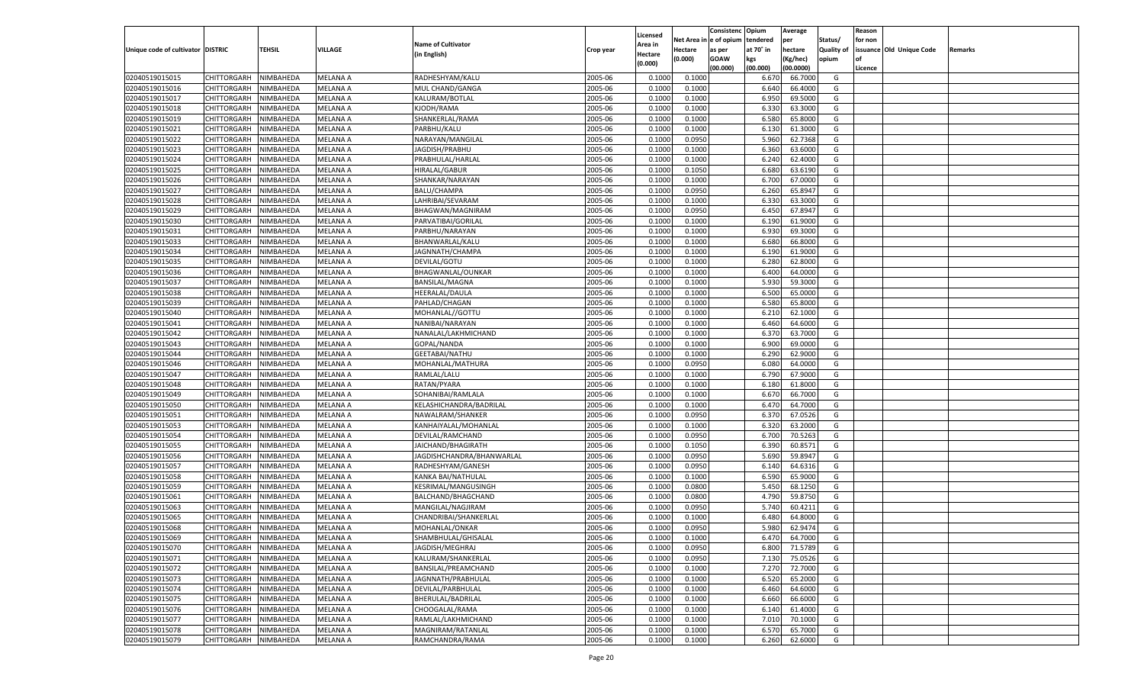|                                   |                                   |                        |                                    |                                        |           |                           |          | Consistenc  | Opium          | Average            |                   | Reason  |                          |         |
|-----------------------------------|-----------------------------------|------------------------|------------------------------------|----------------------------------------|-----------|---------------------------|----------|-------------|----------------|--------------------|-------------------|---------|--------------------------|---------|
|                                   |                                   |                        |                                    | <b>Name of Cultivator</b>              |           | Licensed                  | Net Area | e of opium  | tendered       | per                | Status/           | for non |                          |         |
| Unique code of cultivator DISTRIC |                                   | <b>TEHSIL</b>          | VILLAGE                            | (in English)                           | Crop year | <b>Area in</b><br>Hectare | Hectare  | as per      | at 70° in      | hectare            | <b>Quality of</b> |         | issuance Old Unique Code | Remarks |
|                                   |                                   |                        |                                    |                                        |           | (0.000)                   | (0.000)  | <b>GOAW</b> | kgs            | (Kg/hec)           | opium             |         |                          |         |
|                                   |                                   |                        |                                    |                                        |           |                           |          | (00.000)    | (00.000)       | (00.0000)          |                   | Licence |                          |         |
| 02040519015015                    | CHITTORGARH                       | NIMBAHEDA              | <b>MELANA A</b>                    | RADHESHYAM/KALU                        | 2005-06   | 0.1000                    | 0.1000   |             | 6.67           | 66.7000            | G                 |         |                          |         |
| 02040519015016                    | CHITTORGARH                       | NIMBAHEDA              | MELANA A                           | MUL CHAND/GANGA                        | 2005-06   | 0.1000                    | 0.1000   |             | 6.640          | 66.4000            | G                 |         |                          |         |
| 02040519015017                    | CHITTORGARH                       | NIMBAHEDA              | MELANA A                           | KALURAM/BOTLAL                         | 2005-06   | 0.1000                    | 0.1000   |             | 6.950          | 69.5000            | G                 |         |                          |         |
| 02040519015018                    | CHITTORGARH                       | NIMBAHEDA              | MELANA A                           | KJODH/RAMA                             | 2005-06   | 0.1000                    | 0.1000   |             | 6.33           | 63.3000            | G                 |         |                          |         |
| 02040519015019                    | CHITTORGARH                       | NIMBAHEDA              | MELANA A                           | SHANKERLAL/RAMA                        | 2005-06   | 0.1000                    | 0.1000   |             | 6.580          | 65.8000            | G                 |         |                          |         |
| 02040519015021                    | CHITTORGARH                       | NIMBAHEDA              | MELANA A                           | PARBHU/KALU                            | 2005-06   | 0.1000                    | 0.1000   |             | 6.130          | 61.3000            | G                 |         |                          |         |
| 02040519015022                    | CHITTORGARH                       | NIMBAHEDA              | MELANA A                           | NARAYAN/MANGILAL                       | 2005-06   | 0.1000                    | 0.0950   |             | 5.960          | 62.7368            | G                 |         |                          |         |
| 02040519015023                    | CHITTORGARH                       | NIMBAHEDA              | MELANA A                           | JAGDISH/PRABHU                         | 2005-06   | 0.1000                    | 0.1000   |             | 6.360          | 63.6000            | G                 |         |                          |         |
| 02040519015024                    | CHITTORGARH                       | NIMBAHEDA              | MELANA A                           | PRABHULAL/HARLAL                       | 2005-06   | 0.1000                    | 0.1000   |             | 6.240          | 62.4000            | G                 |         |                          |         |
| 02040519015025                    | CHITTORGARH                       | NIMBAHEDA              | MELANA A                           | HIRALAL/GABUR                          | 2005-06   | 0.1000                    | 0.1050   |             | 6.680          | 63.6190            | G                 |         |                          |         |
| 02040519015026                    | CHITTORGARH                       | NIMBAHEDA              | MELANA A                           | SHANKAR/NARAYAN                        | 2005-06   | 0.1000                    | 0.1000   |             | 6.700          | 67.0000            | G                 |         |                          |         |
| 02040519015027                    | CHITTORGARH                       | NIMBAHEDA              | MELANA A                           | <b>BALU/CHAMPA</b>                     | 2005-06   | 0.1000                    | 0.0950   |             | 6.260          | 65.8947            | G                 |         |                          |         |
| 02040519015028                    | CHITTORGARH                       | NIMBAHEDA              | MELANA A                           | LAHRIBAI/SEVARAM                       | 2005-06   | 0.1000                    | 0.1000   |             | 6.330          | 63.3000            | G                 |         |                          |         |
| 02040519015029                    | CHITTORGARH                       | NIMBAHEDA              | MELANA A                           | BHAGWAN/MAGNIRAM                       | 2005-06   | 0.1000                    | 0.0950   |             | 6.45(          | 67.8947            | G                 |         |                          |         |
| 02040519015030                    | CHITTORGARH                       | NIMBAHEDA              | MELANA A                           | PARVATIBAI/GORILAI                     | 2005-06   | 0.1000                    | 0.1000   |             | 6.190          | 61.9000            | G                 |         |                          |         |
| 02040519015031                    | CHITTORGARH                       | NIMBAHEDA              | MELANA A                           | PARBHU/NARAYAN                         | 2005-06   | 0.1000                    | 0.1000   |             | 6.930          | 69.3000            | G                 |         |                          |         |
| 02040519015033                    | CHITTORGARH                       | NIMBAHEDA              | <b>MELANA A</b>                    | BHANWARLAL/KALU                        | 2005-06   | 0.1000                    | 0.1000   |             | 6.680          | 66.8000            | G                 |         |                          |         |
| 02040519015034                    | CHITTORGARH                       | NIMBAHEDA              | MELANA A                           | JAGNNATH/CHAMPA                        | 2005-06   | 0.1000                    | 0.1000   |             | 6.190          | 61.9000            | G                 |         |                          |         |
| 02040519015035                    | CHITTORGARH                       | NIMBAHEDA              | MELANA A                           | DEVILAL/GOTU                           | 2005-06   | 0.1000                    | 0.1000   |             | 6.280          | 62.8000            | G                 |         |                          |         |
| 02040519015036                    | CHITTORGARH                       | NIMBAHEDA              | MELANA A                           | BHAGWANLAL/OUNKAR                      | 2005-06   | 0.1000                    | 0.1000   |             | 6.400          | 64.0000            | G                 |         |                          |         |
| 02040519015037                    | CHITTORGARH                       | NIMBAHEDA              | <b>MELANA A</b>                    | <b>BANSILAL/MAGNA</b>                  | 2005-06   | 0.1000                    | 0.1000   |             | 5.930          | 59.3000            | G                 |         |                          |         |
| 02040519015038                    | CHITTORGARH                       | NIMBAHEDA              | MELANA A                           | HEERALAL/DAULA                         | 2005-06   | 0.1000                    | 0.1000   |             | 6.500          | 65.0000            | G                 |         |                          |         |
| 02040519015039                    | CHITTORGARH                       | NIMBAHEDA              | MELANA A                           | PAHLAD/CHAGAN                          | 2005-06   | 0.1000                    | 0.1000   |             | 6.580          | 65.8000            | G                 |         |                          |         |
| 02040519015040                    | CHITTORGARH                       | NIMBAHEDA              | MELANA A                           | MOHANLAL//GOTTU                        | 2005-06   | 0.1000                    | 0.1000   |             | 6.210          | 62.1000            | G                 |         |                          |         |
| 02040519015041                    | CHITTORGARH                       | NIMBAHEDA              | <b>MELANA A</b>                    | NANIBAI/NARAYAN                        | 2005-06   | 0.1000                    | 0.1000   |             | 6.460          | 64.6000            | G                 |         |                          |         |
| 02040519015042                    | CHITTORGARH                       | NIMBAHEDA              | MELANA A                           | NANALAL/LAKHMICHAND                    | 2005-06   | 0.1000                    | 0.1000   |             | 6.370          | 63.7000            | G                 |         |                          |         |
| 02040519015043                    | CHITTORGARH                       | NIMBAHEDA              | MELANA A                           | GOPAL/NANDA                            | 2005-06   | 0.1000                    | 0.1000   |             | 6.900          | 69.0000            | G                 |         |                          |         |
| 02040519015044                    | CHITTORGARH                       | NIMBAHEDA              | MELANA A                           | GEETABAI/NATHU                         | 2005-06   | 0.1000                    | 0.1000   |             | 6.290          | 62.9000            | G                 |         |                          |         |
| 02040519015046                    | CHITTORGARH                       | NIMBAHEDA              | MELANA A                           | MOHANLAL/MATHURA                       | 2005-06   | 0.1000                    | 0.0950   |             | 6.080          | 64.0000            | G                 |         |                          |         |
| 02040519015047                    | CHITTORGARH                       | NIMBAHEDA              | MELANA A                           | RAMLAL/LALU                            | 2005-06   | 0.1000                    | 0.1000   |             | 6.790          | 67.9000            | G                 |         |                          |         |
| 02040519015048                    | CHITTORGARH                       | NIMBAHEDA              | <b>MELANA A</b>                    | RATAN/PYARA                            | 2005-06   | 0.1000                    | 0.1000   |             | 6.180          | 61.8000            | G                 |         |                          |         |
| 02040519015049                    | CHITTORGARH                       | NIMBAHEDA              | MELANA A                           | SOHANIBAI/RAMLALA                      | 2005-06   | 0.1000                    | 0.1000   |             | 6.670          | 66.7000            | G                 |         |                          |         |
| 02040519015050                    | CHITTORGARH                       | NIMBAHEDA              | <b>MELANA A</b>                    | KELASHICHANDRA/BADRILAL                | 2005-06   | 0.1000                    | 0.1000   |             | 6.470          | 64.7000            | G                 |         |                          |         |
| 02040519015051                    | CHITTORGARH                       | NIMBAHEDA              | MELANA A                           | NAWALRAM/SHANKER                       | 2005-06   | 0.1000                    | 0.0950   |             | 6.370          | 67.0526            | G                 |         |                          |         |
| 02040519015053                    | CHITTORGARH                       | NIMBAHEDA              | <b>MELANA A</b>                    | KANHAIYALAL/MOHANLAL                   | 2005-06   | 0.1000                    | 0.1000   |             | 6.320          | 63.2000            | G                 |         |                          |         |
| 02040519015054                    | CHITTORGARH                       | NIMBAHEDA              | MELANA A                           | DEVILAL/RAMCHAND                       | 2005-06   | 0.1000                    | 0.0950   |             | 6.700          | 70.5263            | G                 |         |                          |         |
| 02040519015055                    | CHITTORGARH                       | NIMBAHEDA              | <b>MELANA A</b>                    | JAICHAND/BHAGIRATH                     | 2005-06   | 0.1000                    | 0.1050   |             | 6.390          | 60.8571            | G                 |         |                          |         |
| 02040519015056                    | CHITTORGARH                       | NIMBAHEDA              | MELANA A                           | JAGDISHCHANDRA/BHANWARLAI              | 2005-06   | 0.1000                    | 0.0950   |             | 5.690          | 59.8947            | G                 |         |                          |         |
| 02040519015057                    | CHITTORGARH                       | NIMBAHEDA              | <b>MELANA A</b>                    | RADHESHYAM/GANESH                      | 2005-06   | 0.1000                    | 0.0950   |             | 6.140          | 64.6316            | G                 |         |                          |         |
| 02040519015058                    | CHITTORGARH                       | NIMBAHEDA              | MELANA A                           | KANKA BAI/NATHULAL                     | 2005-06   | 0.1000                    | 0.1000   |             | 6.590          | 65.9000            | G                 |         |                          |         |
| 02040519015059                    | CHITTORGARH                       | NIMBAHEDA              | <b>MELANA A</b>                    | KESRIMAL/MANGUSINGH                    | 2005-06   | 0.1000                    | 0.0800   |             | 5.450          | 68.1250            | G                 |         |                          |         |
| 02040519015061                    | CHITTORGARH                       | NIMBAHEDA              | MELANA A                           | BALCHAND/BHAGCHAND                     | 2005-06   | 0.1000                    | 0.0800   |             | 4.790          | 59.8750            | G                 |         |                          |         |
| 02040519015063                    | CHITTORGARH                       | NIMBAHEDA              | <b>MELANA A</b>                    | MANGILAL/NAGJIRAM                      | 2005-06   | 0.1000                    | 0.0950   |             | 5.740          | 60.4211            | G                 |         |                          |         |
| 02040519015065                    | CHITTORGARH                       | NIMBAHEDA              | MELANA A                           | CHANDRIBAI/SHANKERLAL                  | 2005-06   | 0.1000                    | 0.1000   |             | 6.480          | 64.8000            | G                 |         |                          |         |
| 02040519015068                    | CHITTORGARH                       | NIMBAHEDA              | MELANA A                           | MOHANLAL/ONKAR                         | 2005-06   | 0.1000                    | 0.0950   |             | 5.980          | 62.9474            | G                 |         |                          |         |
| 02040519015069                    | CHITTORGARH NIMBAHEDA             |                        | <b>MELANA A</b>                    | SHAMBHULAL/GHISALAL                    | 2005-06   | 0.1000                    | 0.1000   |             | 6.470          | 64.7000            | G                 |         |                          |         |
| 02040519015070                    |                                   | NIMBAHEDA              | <b>MELANA A</b>                    | JAGDISH/MEGHRAJ                        | 2005-06   | 0.1000                    | 0.0950   |             | 6.800          |                    | G                 |         |                          |         |
| 02040519015071                    | <b>CHITTORGARH</b><br>CHITTORGARH | NIMBAHEDA              | <b>MELANA A</b>                    | KALURAM/SHANKERLAL                     | 2005-06   | 0.1000                    | 0.0950   |             | 7.130          | 71.5789<br>75.0526 | G                 |         |                          |         |
|                                   |                                   |                        | <b>MELANA A</b>                    | BANSILAL/PREAMCHAND                    | 2005-06   |                           | 0.1000   |             |                |                    |                   |         |                          |         |
| 02040519015072<br>02040519015073  | <b>CHITTORGARH</b>                | NIMBAHEDA<br>NIMBAHEDA |                                    | JAGNNATH/PRABHULAL                     | 2005-06   | 0.1000                    | 0.1000   |             | 7.270<br>6.520 | 72.7000<br>65.2000 | G<br>G            |         |                          |         |
|                                   | <b>CHITTORGARH</b>                | NIMBAHEDA              | <b>MELANA A</b><br><b>MELANA A</b> |                                        |           | 0.1000                    | 0.1000   |             |                | 64.6000            | G                 |         |                          |         |
| 02040519015074<br>02040519015075  | <b>CHITTORGARH</b>                |                        |                                    | DEVILAL/PARBHULAL<br>BHERULAL/BADRILAL | 2005-06   | 0.1000                    |          |             | 6.460          |                    |                   |         |                          |         |
|                                   | <b>CHITTORGARH</b>                | NIMBAHEDA              | <b>MELANA A</b>                    |                                        | 2005-06   | 0.1000                    | 0.1000   |             | 6.660          | 66.6000            | G                 |         |                          |         |
| 02040519015076                    | <b>CHITTORGARH</b>                | NIMBAHEDA              | <b>MELANA A</b>                    | CHOOGALAL/RAMA                         | 2005-06   | 0.1000                    | 0.1000   |             | 6.140          | 61.4000            | G                 |         |                          |         |
| 02040519015077                    | <b>CHITTORGARH</b>                | NIMBAHEDA              | <b>MELANA A</b>                    | RAMLAL/LAKHMICHAND                     | 2005-06   | 0.1000                    | 0.1000   |             | 7.010          | 70.1000            | G                 |         |                          |         |
| 02040519015078                    | <b>CHITTORGARH</b>                | NIMBAHEDA              | <b>MELANA A</b>                    | MAGNIRAM/RATANLAL                      | 2005-06   | 0.1000                    | 0.1000   |             | 6.570          | 65.7000            | G                 |         |                          |         |
| 02040519015079                    | CHITTORGARH                       | NIMBAHEDA              | <b>MELANA A</b>                    | RAMCHANDRA/RAMA                        | 2005-06   | 0.1000                    | 0.1000   |             | 6.260          | 62.6000            | G                 |         |                          |         |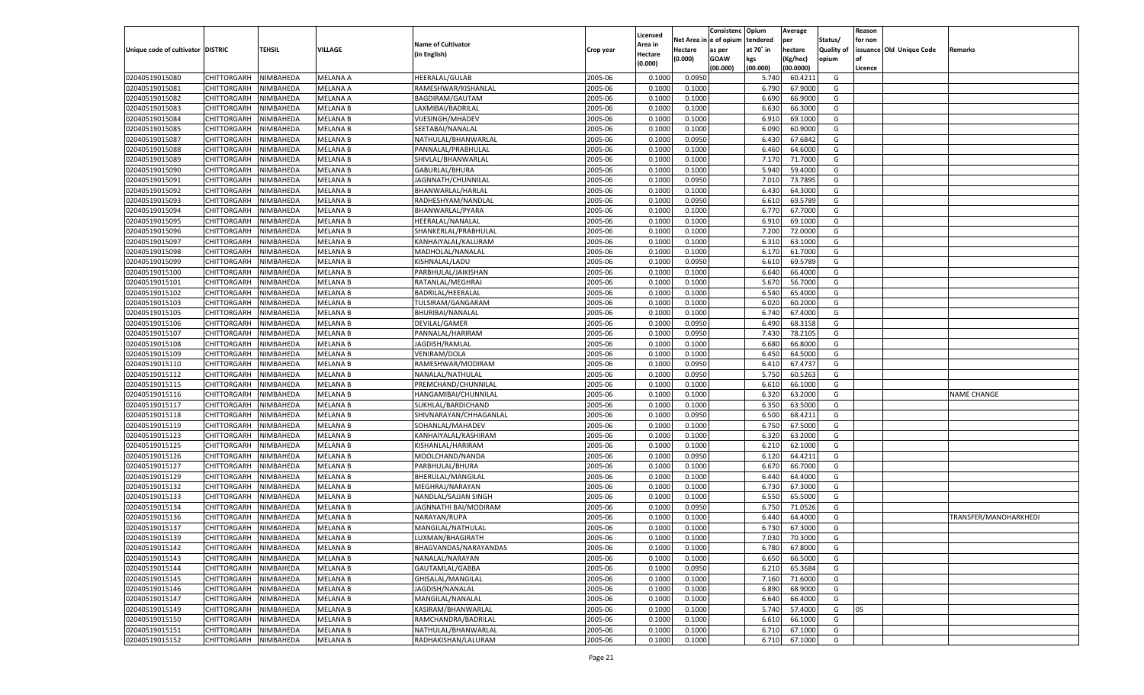|                                   |                                   |                        |                 |                           |           |                     |                  | Consistenc   | Opium          | Average   |                   | Reason  |                          |                       |
|-----------------------------------|-----------------------------------|------------------------|-----------------|---------------------------|-----------|---------------------|------------------|--------------|----------------|-----------|-------------------|---------|--------------------------|-----------------------|
|                                   |                                   |                        |                 | <b>Name of Cultivator</b> |           | Licensed<br>Area in | Net Area i       | n e of opium | tendered       | per       | Status/           | for non |                          |                       |
| Unique code of cultivator DISTRIC |                                   | TEHSIL                 | <b>VILLAGE</b>  | (in English)              | Crop year | Hectare             | Hectare          | as per       | at 70° in      | hectare   | <b>Quality of</b> |         | issuance Old Unique Code | Remarks               |
|                                   |                                   |                        |                 |                           |           | (0.000)             | (0.000)          | <b>GOAW</b>  | kgs            | (Kg/hec)  | opium             |         |                          |                       |
|                                   |                                   |                        |                 |                           |           |                     |                  | (00.000)     | (00.000)       | (00.0000) |                   | Licence |                          |                       |
| 02040519015080                    | CHITTORGARH                       | NIMBAHEDA              | <b>MELANA A</b> | <b>HEERALAL/GULAB</b>     | 2005-06   | 0.1000              | 0.0950           |              | 5.740          | 60.4211   | G                 |         |                          |                       |
| 02040519015081                    | CHITTORGARH                       | NIMBAHEDA              | MELANA A        | RAMESHWAR/KISHANLAL       | 2005-06   | 0.1000              | 0.1000           |              | 6.790          | 67.9000   | G                 |         |                          |                       |
| 02040519015082                    | CHITTORGARH                       | NIMBAHEDA              | <b>MELANA A</b> | BAGDIRAM/GAUTAM           | 2005-06   | 0.1000              | 0.1000           |              | 6.690          | 66.9000   | G                 |         |                          |                       |
| 02040519015083                    | CHITTORGARH                       | NIMBAHEDA              | <b>MELANA B</b> | LAXMIBAI/BADRILAI         | 2005-06   | 0.1000              | 0.1000           |              | 6.630          | 66.3000   | G                 |         |                          |                       |
| 02040519015084                    | CHITTORGARH                       | NIMBAHEDA              | <b>MELANA B</b> | VIJESINGH/MHADEV          | 2005-06   | 0.1000              | 0.1000           |              | 6.910          | 69.1000   | G                 |         |                          |                       |
| 02040519015085                    | CHITTORGARH                       | NIMBAHEDA              | <b>MELANA B</b> | SEETABAI/NANALAL          | 2005-06   | 0.1000              | 0.1000           |              | 6.090          | 60.9000   | G                 |         |                          |                       |
| 02040519015087                    | CHITTORGARH                       | NIMBAHEDA              | <b>MELANA B</b> | NATHULAL/BHANWARLAL       | 2005-06   | 0.1000              | 0.0950           |              | 6.430          | 67.6842   | G                 |         |                          |                       |
| 02040519015088                    | CHITTORGARH                       | NIMBAHEDA              | <b>MELANA B</b> | PANNALAL/PRABHULAL        | 2005-06   | 0.1000              | 0.1000           |              | 6.460          | 64.6000   | G                 |         |                          |                       |
| 02040519015089                    | CHITTORGARH                       | NIMBAHEDA              | <b>MELANA B</b> | SHIVLAL/BHANWARLAL        | 2005-06   | 0.1000              | 0.1000           |              | 7.17           | 71.7000   | G                 |         |                          |                       |
| 02040519015090                    | CHITTORGARH                       | NIMBAHEDA              | <b>MELANA B</b> | GABURLAL/BHURA            | 2005-06   | 0.1000              | 0.1000           |              | 5.940          | 59.4000   | G                 |         |                          |                       |
| 02040519015091                    | CHITTORGARH                       | NIMBAHEDA              | <b>MELANA B</b> | JAGNNATH/CHUNNILAL        | 2005-06   | 0.1000              | 0.0950           |              | 7.010          | 73.7895   | G                 |         |                          |                       |
| 02040519015092                    | CHITTORGARH                       | NIMBAHEDA              | <b>MELANA B</b> | BHANWARLAL/HARLAL         | 2005-06   | 0.1000              | 0.1000           |              | 6.430          | 64.3000   | G                 |         |                          |                       |
| 02040519015093                    | CHITTORGARH                       | NIMBAHEDA              | <b>MELANA B</b> | RADHESHYAM/NANDLAL        | 2005-06   | 0.1000              | 0.0950           |              | 6.610          | 69.5789   | G                 |         |                          |                       |
| 02040519015094                    | CHITTORGARH                       | NIMBAHEDA              | <b>MELANA B</b> | BHANWARLAL/PYARA          | 2005-06   | 0.1000              | 0.1000           |              | 6.770          | 67.7000   | G                 |         |                          |                       |
| 02040519015095                    | CHITTORGARH                       | NIMBAHEDA              | <b>MELANA B</b> | HEERALAL/NANALAL          | 2005-06   | 0.1000              | 0.1000           |              | 6.910          | 69.1000   | G                 |         |                          |                       |
| 02040519015096                    | CHITTORGARH                       | NIMBAHEDA              | <b>MELANA B</b> | SHANKERLAL/PRABHULAL      | 2005-06   | 0.1000              | 0.1000           |              | 7.200          | 72.0000   | G                 |         |                          |                       |
| 02040519015097                    | CHITTORGARH                       | NIMBAHEDA              | <b>MELANA B</b> | KANHAIYALAL/KALURAM       | 2005-06   | 0.1000              | 0.1000           |              | 6.310          | 63.1000   | G                 |         |                          |                       |
| 02040519015098                    | CHITTORGARH                       | NIMBAHEDA              | <b>MELANA B</b> | MADHOLAL/NANALAL          | 2005-06   | 0.1000              | 0.1000           |              | 6.170          | 61.7000   | G                 |         |                          |                       |
| 02040519015099                    | CHITTORGARH                       | NIMBAHEDA              | <b>MELANA B</b> | KISHNALAL/LADU            | 2005-06   | 0.1000              | 0.0950           |              | 6.610          | 69.5789   | G                 |         |                          |                       |
| 02040519015100                    | CHITTORGARH                       | NIMBAHEDA              | <b>MELANA B</b> | PARBHULAL/JAIKISHAN       | 2005-06   | 0.1000              | 0.1000           |              | 6.640          | 66.4000   | G                 |         |                          |                       |
| 02040519015101                    | CHITTORGARH                       | NIMBAHEDA              | <b>MELANA B</b> | RATANLAL/MEGHRAJ          | 2005-06   | 0.1000              | 0.1000           |              | 5.670          | 56.7000   | G                 |         |                          |                       |
| 02040519015102                    | CHITTORGARH                       | NIMBAHEDA              | <b>MELANA B</b> | BADRILAL/HEERALAL         | 2005-06   | 0.1000              | 0.1000           |              | 6.540          | 65.4000   | G                 |         |                          |                       |
| 02040519015103                    | CHITTORGARH                       | NIMBAHEDA              | <b>MELANA B</b> | TULSIRAM/GANGARAM         | 2005-06   | 0.1000              | 0.1000           |              | 6.020          | 60.2000   | G                 |         |                          |                       |
| 02040519015105                    | CHITTORGARH                       | NIMBAHEDA              | <b>MELANA B</b> | BHURIBAI/NANALAL          | 2005-06   | 0.1000              | 0.1000           |              | 6.740          | 67.4000   | G                 |         |                          |                       |
| 02040519015106                    | CHITTORGARH                       | NIMBAHEDA              | <b>MELANA B</b> | DEVILAL/GAMER             | 2005-06   | 0.1000              | 0.0950           |              | 6.490          | 68.3158   | G                 |         |                          |                       |
| 02040519015107                    | CHITTORGARH                       | NIMBAHEDA              | <b>MELANA B</b> | PANNALAL/HARIRAM          | 2005-06   | 0.1000              | 0.0950           |              | 7.430          | 78.2105   | G                 |         |                          |                       |
| 02040519015108                    | CHITTORGARH                       | NIMBAHEDA              | <b>MELANA B</b> | JAGDISH/RAMLAL            | 2005-06   | 0.1000              | 0.1000           |              | 6.680          | 66.8000   | G                 |         |                          |                       |
| 02040519015109                    | CHITTORGARH                       | NIMBAHEDA              | <b>MELANA B</b> | VENIRAM/DOLA              | 2005-06   | 0.1000              | 0.1000           |              | 6.450          | 64.5000   | G                 |         |                          |                       |
| 02040519015110                    | CHITTORGARH                       | NIMBAHEDA              | <b>MELANA B</b> | RAMESHWAR/MODIRAM         | 2005-06   | 0.1000              | 0.0950           |              | 6.410          | 67.4737   | G                 |         |                          |                       |
| 02040519015112                    | CHITTORGARH                       | NIMBAHEDA              | <b>MELANA B</b> | NANALAL/NATHULAL          | 2005-06   | 0.1000              | 0.0950           |              | 5.750          | 60.5263   | G                 |         |                          |                       |
| 02040519015115                    | CHITTORGARH                       | NIMBAHEDA              | <b>MELANA B</b> | PREMCHAND/CHUNNILAL       | 2005-06   | 0.1000              | 0.1000           |              | 6.610          | 66.1000   | G                 |         |                          |                       |
| 02040519015116                    | CHITTORGARH                       | NIMBAHEDA              | <b>MELANA B</b> | HANGAMIBAI/CHUNNILAL      | 2005-06   | 0.1000              | 0.1000           |              | 6.320          | 63.2000   | G                 |         |                          | <b>NAME CHANGE</b>    |
| 02040519015117                    | CHITTORGARH                       | NIMBAHEDA              | <b>MELANA B</b> | SUKHLAL/BARDICHAND        | 2005-06   | 0.1000              | 0.1000           |              | 6.350          | 63.5000   | G                 |         |                          |                       |
| 02040519015118                    | CHITTORGARH                       | NIMBAHEDA              | <b>MELANA B</b> | SHIVNARAYAN/CHHAGANLAL    | 2005-06   | 0.1000              | 0.0950           |              | 6.500          | 68.4211   | G                 |         |                          |                       |
| 02040519015119                    | CHITTORGARH                       | NIMBAHEDA              | <b>MELANA B</b> | SOHANLAL/MAHADEV          | 2005-06   | 0.1000              | 0.1000           |              | 6.750          | 67.5000   | G                 |         |                          |                       |
| 02040519015123                    | CHITTORGARH                       | NIMBAHEDA              | <b>MELANA B</b> | KANHAIYALAL/KASHIRAM      | 2005-06   | 0.1000              | 0.1000           |              | 6.320          | 63.2000   | G                 |         |                          |                       |
| 02040519015125                    | CHITTORGARH                       | NIMBAHEDA              | <b>MELANA B</b> | KISHANLAL/HARIRAM         | 2005-06   | 0.1000              | 0.1000           |              | 6.210          | 62.1000   | G                 |         |                          |                       |
| 02040519015126                    | CHITTORGARH                       | NIMBAHEDA              | <b>MELANA B</b> | MOOLCHAND/NANDA           | 2005-06   | 0.1000              | 0.0950           |              | 6.120          | 64.4211   | G                 |         |                          |                       |
| 02040519015127                    | CHITTORGARH                       | NIMBAHEDA              | <b>MELANA B</b> | PARBHULAL/BHURA           | 2005-06   | 0.1000              | 0.1000           |              | 6.670          | 66.7000   | G                 |         |                          |                       |
| 02040519015129                    | CHITTORGARH                       | NIMBAHEDA              | <b>MELANA B</b> | BHERULAL/MANGILAL         | 2005-06   | 0.1000              | 0.1000           |              | 6.440          | 64.4000   | G                 |         |                          |                       |
| 02040519015132                    | CHITTORGARH                       | NIMBAHEDA              | <b>MELANA B</b> | MEGHRAJ/NARAYAN           | 2005-06   | 0.1000              | 0.1000           |              | 6.730          | 67.3000   | G                 |         |                          |                       |
| 02040519015133                    | CHITTORGARH                       | NIMBAHEDA              | <b>MELANA B</b> | NANDLAL/SAJJAN SINGH      | 2005-06   | 0.1000              | 0.1000           |              | 6.550          | 65.5000   | G                 |         |                          |                       |
| 02040519015134                    | CHITTORGARH                       | NIMBAHEDA              | <b>MELANA B</b> | JAGNNATHI BAI/MODIRAM     | 2005-06   | 0.1000              | 0.0950           |              | 6.750          | 71.0526   | G                 |         |                          |                       |
| 02040519015136                    | CHITTORGARH                       | NIMBAHEDA              | <b>MELANA B</b> | NARAYAN/RUPA              | 2005-06   | 0.1000              | 0.1000           |              | 6.440          | 64.4000   | G                 |         |                          | TRANSFER/MANOHARKHEDI |
| 02040519015137                    | CHITTORGARH                       | NIMBAHEDA              | <b>MELANA B</b> | MANGILAL/NATHULAL         | 2005-06   | 0.1000              | 0.1000           |              | 6.730          | 67.3000   | G                 |         |                          |                       |
| 02040519015139                    | CHITTORGARH NIMBAHEDA             |                        | <b>MELANA B</b> | LUXMAN/BHAGIRATH          | 2005-06   | 0.1000              | 0.1000           |              | 7.030          | 70.3000   | G                 |         |                          |                       |
| 02040519015142                    | <b>CHITTORGARH</b>                | NIMBAHEDA              | <b>MELANA B</b> | BHAGVANDAS/NARAYANDAS     | 2005-06   | 0.1000              | 0.1000           |              | 6.780          | 67.8000   | G                 |         |                          |                       |
| 02040519015143                    | CHITTORGARH                       | NIMBAHEDA              | <b>MELANA B</b> | NANALAL/NARAYAN           | 2005-06   | 0.1000              | 0.1000           |              | 6.650          | 66.5000   | G                 |         |                          |                       |
| 02040519015144                    | CHITTORGARH                       | NIMBAHEDA              | <b>MELANA B</b> | GAUTAMLAL/GABBA           | 2005-06   | 0.1000              | 0.0950           |              | 6.210          | 65.3684   | G                 |         |                          |                       |
| 02040519015145                    | <b>CHITTORGARH</b>                | NIMBAHEDA              | <b>MELANA B</b> | GHISALAL/MANGILAL         | 2005-06   | 0.1000              | 0.1000           |              | 7.160          | 71.6000   | G                 |         |                          |                       |
| 02040519015146                    | CHITTORGARH                       | NIMBAHEDA              | <b>MELANA B</b> | JAGDISH/NANALAL           | 2005-06   | 0.1000              | 0.1000           |              |                | 68.9000   | G                 |         |                          |                       |
| 02040519015147                    | <b>CHITTORGARH</b>                |                        |                 | MANGILAL/NANALAL          | 2005-06   |                     |                  |              | 6.890<br>6.640 | 66.4000   | G                 |         |                          |                       |
|                                   |                                   | NIMBAHEDA              | <b>MELANA B</b> |                           | 2005-06   | 0.1000              | 0.1000<br>0.1000 |              |                |           |                   |         |                          |                       |
| 02040519015149                    | CHITTORGARH<br><b>CHITTORGARH</b> | NIMBAHEDA<br>NIMBAHEDA | <b>MELANA B</b> | KASIRAM/BHANWARLAL        |           | 0.1000              |                  |              | 5.740          | 57.4000   | G                 | 05      |                          |                       |
| 02040519015150                    |                                   |                        | <b>MELANA B</b> | RAMCHANDRA/BADRILAL       | 2005-06   | 0.1000              | 0.1000           |              | 6.610          | 66.1000   | G                 |         |                          |                       |
| 02040519015151                    | <b>CHITTORGARH</b>                | NIMBAHEDA              | <b>MELANA B</b> | NATHULAL/BHANWARLAL       | 2005-06   | 0.1000              | 0.1000           |              | 6.710          | 67.1000   | G                 |         |                          |                       |
| 02040519015152                    | <b>CHITTORGARH</b>                | NIMBAHEDA              | <b>MELANA B</b> | RADHAKISHAN/LALURAM       | 2005-06   | 0.1000              | 0.1000           |              | 6.710          | 67.1000   | G                 |         |                          |                       |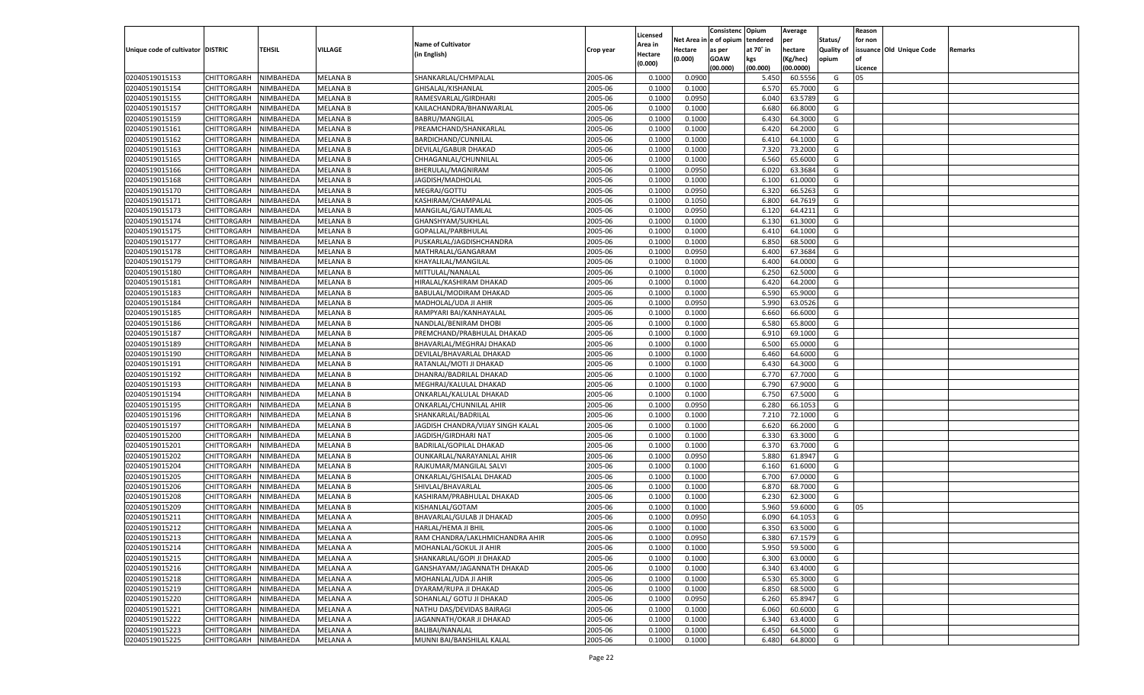|                                   |                       |                  |                                    |                                   |           |                    |             | Consistenc    | Opium          | Average   |                   | Reason  |                          |         |
|-----------------------------------|-----------------------|------------------|------------------------------------|-----------------------------------|-----------|--------------------|-------------|---------------|----------------|-----------|-------------------|---------|--------------------------|---------|
|                                   |                       |                  |                                    |                                   |           | Licensed           | Net Area iı | n  e of opium | tendered       | per       | Status/           | for non |                          |         |
| Unique code of cultivator DISTRIC |                       | TEHSIL           | VILLAGE                            | <b>Name of Cultivator</b>         | Crop year | Area in            | Hectare     | as per        | at 70° in      | hectare   | <b>Quality of</b> |         | issuance Old Unique Code | Remarks |
|                                   |                       |                  |                                    | (in English)                      |           | Hectare<br>(0.000) | (0.000)     | <b>GOAW</b>   | kgs            | (Kg/hec)  | opium             |         |                          |         |
|                                   |                       |                  |                                    |                                   |           |                    |             | (00.000)      | (00.000)       | (00.0000) |                   | Licence |                          |         |
| 02040519015153                    | CHITTORGARH           | NIMBAHEDA        | <b>MELANA B</b>                    | SHANKARLAL/CHMPALAL               | 2005-06   | 0.1000             | 0.0900      |               | 5.450          | 60.5556   | G                 | 05      |                          |         |
| 02040519015154                    | CHITTORGARH           | NIMBAHEDA        | <b>MELANA B</b>                    | GHISALAL/KISHANLAL                | 2005-06   | 0.1000             | 0.1000      |               | 6.570          | 65.7000   | G                 |         |                          |         |
| 02040519015155                    | CHITTORGARH           | NIMBAHEDA        | <b>MELANA B</b>                    | RAMESVARLAL/GIRDHARI              | 2005-06   | 0.1000             | 0.0950      |               | 6.040          | 63.5789   | G                 |         |                          |         |
| 02040519015157                    | CHITTORGARH           | NIMBAHEDA        | <b>MELANA B</b>                    | KAILACHANDRA/BHANWARLAL           | 2005-06   | 0.1000             | 0.1000      |               | 6.680          | 66.8000   | G                 |         |                          |         |
| 02040519015159                    | CHITTORGARH           | NIMBAHEDA        | <b>MELANA B</b>                    | <b>BABRU/MANGILAL</b>             | 2005-06   | 0.1000             | 0.1000      |               | 6.430          | 64.3000   | G                 |         |                          |         |
| 02040519015161                    | CHITTORGARH           | NIMBAHEDA        | <b>MELANA B</b>                    | PREAMCHAND/SHANKARLAI             | 2005-06   | 0.1000             | 0.1000      |               | 6.420          | 64.2000   | G                 |         |                          |         |
| 02040519015162                    | CHITTORGARH           | NIMBAHEDA        | <b>MELANA B</b>                    | BARDICHAND/CUNNILAL               | 2005-06   | 0.1000             | 0.1000      |               | 6.410          | 64.1000   | G                 |         |                          |         |
| 02040519015163                    | CHITTORGARH           | NIMBAHEDA        | <b>MELANA B</b>                    | DEVILAL/GABUR DHAKAD              | 2005-06   | 0.1000             | 0.1000      |               | 7.320          | 73.2000   | G                 |         |                          |         |
| 02040519015165                    | CHITTORGARH           | NIMBAHEDA        | <b>MELANA B</b>                    | CHHAGANLAL/CHUNNILAL              | 2005-06   | 0.1000             | 0.1000      |               | 6.560          | 65.6000   | G                 |         |                          |         |
| 02040519015166                    | CHITTORGARH           | NIMBAHEDA        | <b>MELANA B</b>                    | BHERULAL/MAGNIRAM                 | 2005-06   | 0.1000             | 0.0950      |               | 6.020          | 63.3684   | G                 |         |                          |         |
| 02040519015168                    | CHITTORGARH           | NIMBAHEDA        | <b>MELANA B</b>                    | JAGDISH/MADHOLAL                  | 2005-06   | 0.1000             | 0.1000      |               | 6.100          | 61.0000   | G                 |         |                          |         |
| 02040519015170                    | CHITTORGARH           | NIMBAHEDA        | <b>MELANA B</b>                    | MEGRAJ/GOTTU                      | 2005-06   | 0.1000             | 0.0950      |               | 6.320          | 66.5263   | G                 |         |                          |         |
| 02040519015171                    | CHITTORGARH           | NIMBAHEDA        | <b>MELANA B</b>                    | KASHIRAM/CHAMPALAL                | 2005-06   | 0.1000             | 0.1050      |               | 6.800          | 64.7619   | G                 |         |                          |         |
| 02040519015173                    | CHITTORGARH           | NIMBAHEDA        | <b>MELANA B</b>                    | MANGILAL/GAUTAMLAI                | 2005-06   | 0.1000             | 0.0950      |               | 6.120          | 64.4211   | G                 |         |                          |         |
| 02040519015174                    | CHITTORGARH           | NIMBAHEDA        | MELANA B                           | GHANSHYAM/SUKHLAL                 | 2005-06   | 0.1000             | 0.1000      |               | 6.130          | 61.3000   | G                 |         |                          |         |
| 02040519015175                    | CHITTORGARH           | NIMBAHEDA        | <b>MELANA B</b>                    | GOPALLAL/PARBHULAL                | 2005-06   | 0.1000             | 0.1000      |               | 6.410          | 64.1000   | G                 |         |                          |         |
| 02040519015177                    | CHITTORGARH           | NIMBAHEDA        | <b>MELANA B</b>                    | PUSKARLAL/JAGDISHCHANDRA          | 2005-06   | 0.1000             | 0.1000      |               | 6.850          | 68.5000   | G                 |         |                          |         |
| 02040519015178                    | CHITTORGARH           | NIMBAHEDA        | <b>MELANA B</b>                    | MATHRALAL/GANGARAM                | 2005-06   | 0.1000             | 0.0950      |               | 6.400          | 67.3684   | G                 |         |                          |         |
| 02040519015179                    | CHITTORGARH           | NIMBAHEDA        | MELANA B                           | KHAYALILAL/MANGILAL               | 2005-06   | 0.1000             | 0.1000      |               | 6.400          | 64.0000   | G                 |         |                          |         |
| 02040519015180                    | CHITTORGARH           | NIMBAHEDA        | <b>MELANA B</b>                    | MITTULAL/NANALAL                  | 2005-06   | 0.1000             | 0.1000      |               | 6.250          | 62.5000   | G                 |         |                          |         |
| 02040519015181                    | CHITTORGARH           | NIMBAHEDA        | <b>MELANA B</b>                    | HIRALAL/KASHIRAM DHAKAD           | 2005-06   | 0.1000             | 0.1000      |               | 6.420          | 64.2000   | G                 |         |                          |         |
| 02040519015183                    | CHITTORGARH           | NIMBAHEDA        | <b>MELANA B</b>                    | BABULAL/MODIRAM DHAKAD            | 2005-06   | 0.1000             | 0.1000      |               | 6.590          | 65.9000   | G                 |         |                          |         |
| 02040519015184                    | CHITTORGARH           | NIMBAHEDA        | MELANA B                           | MADHOLAL/UDA JI AHIR              | 2005-06   | 0.1000             | 0.0950      |               | 5.990          | 63.0526   | G                 |         |                          |         |
| 02040519015185                    | CHITTORGARH           |                  |                                    | RAMPYARI BAI/KANHAYALAL           | 2005-06   | 0.1000             |             |               | 6.660          | 66.6000   | G                 |         |                          |         |
| 02040519015186                    | CHITTORGARH           | NIMBAHEDA        | <b>MELANA B</b><br><b>MELANA B</b> |                                   | 2005-06   |                    | 0.1000      |               |                | 65.8000   | G                 |         |                          |         |
|                                   |                       | NIMBAHEDA        |                                    | NANDLAL/BENIRAM DHOBI             |           | 0.1000             | 0.1000      |               | 6.580<br>6.910 |           |                   |         |                          |         |
| 02040519015187                    | CHITTORGARH           | NIMBAHEDA        | <b>MELANA B</b>                    | PREMCHAND/PRABHULAL DHAKAD        | 2005-06   | 0.1000             | 0.1000      |               |                | 69.1000   | G                 |         |                          |         |
| 02040519015189                    | CHITTORGARH           | NIMBAHEDA        | <b>MELANA B</b>                    | BHAVARLAL/MEGHRAJ DHAKAD          | 2005-06   | 0.1000             | 0.1000      |               | 6.500          | 65.0000   | G                 |         |                          |         |
| 02040519015190                    | CHITTORGARH           | NIMBAHEDA        | <b>MELANA B</b>                    | DEVILAL/BHAVARLAL DHAKAD          | 2005-06   | 0.1000             | 0.1000      |               | 6.460          | 64.6000   | G                 |         |                          |         |
| 02040519015191                    | CHITTORGARH           | NIMBAHEDA        | <b>MELANA B</b>                    | RATANLAL/MOTI JI DHAKAD           | 2005-06   | 0.1000             | 0.1000      |               | 6.430          | 64.3000   | G                 |         |                          |         |
| 02040519015192                    | CHITTORGARH           | NIMBAHEDA        | <b>MELANA B</b>                    | DHANRAJ/BADRILAL DHAKAD           | 2005-06   | 0.1000             | 0.1000      |               | 6.770          | 67.7000   | G                 |         |                          |         |
| 02040519015193                    | CHITTORGARH           | NIMBAHEDA        | <b>MELANA B</b>                    | MEGHRAJ/KALULAL DHAKAD            | 2005-06   | 0.1000             | 0.1000      |               | 6.790          | 67.9000   | G                 |         |                          |         |
| 02040519015194                    | CHITTORGARH           | NIMBAHEDA        | <b>MELANA B</b>                    | ONKARLAL/KALULAL DHAKAD           | 2005-06   | 0.1000             | 0.1000      |               | 6.750          | 67.5000   | G                 |         |                          |         |
| 02040519015195                    | CHITTORGARH           | NIMBAHEDA        | <b>MELANA B</b>                    | ONKARLAL/CHUNNILAL AHIR           | 2005-06   | 0.1000             | 0.0950      |               | 6.280          | 66.105    | G                 |         |                          |         |
| 02040519015196                    | CHITTORGARH           | NIMBAHEDA        | <b>MELANA B</b>                    | SHANKARLAL/BADRILAL               | 2005-06   | 0.1000             | 0.1000      |               | 7.210          | 72.1000   | G                 |         |                          |         |
| 02040519015197                    | CHITTORGARH           | NIMBAHEDA        | <b>MELANA B</b>                    | JAGDISH CHANDRA/VIJAY SINGH KALAL | 2005-06   | 0.1000             | 0.1000      |               | 6.620          | 66.2000   | G                 |         |                          |         |
| 02040519015200                    | CHITTORGARH           | NIMBAHEDA        | <b>MELANA B</b>                    | JAGDISH/GIRDHARI NAT              | 2005-06   | 0.1000             | 0.1000      |               | 6.330          | 63.3000   | G                 |         |                          |         |
| 02040519015201                    | CHITTORGARH           | NIMBAHEDA        | <b>MELANA B</b>                    | <b>BADRILAL/GOPILAL DHAKAD</b>    | 2005-06   | 0.1000             | 0.1000      |               | 6.370          | 63.7000   | G                 |         |                          |         |
| 02040519015202                    | CHITTORGARH           | NIMBAHEDA        | <b>MELANA B</b>                    | OUNKARLAL/NARAYANLAL AHIR         | 2005-06   | 0.1000             | 0.0950      |               | 5.880          | 61.8947   | G                 |         |                          |         |
| 02040519015204                    | CHITTORGARH           | NIMBAHEDA        | <b>MELANA B</b>                    | RAJKUMAR/MANGILAL SALVI           | 2005-06   | 0.1000             | 0.1000      |               | 6.160          | 61.6000   | G                 |         |                          |         |
| 02040519015205                    | CHITTORGARH           | NIMBAHEDA        | <b>MELANA B</b>                    | ONKARLAL/GHISALAL DHAKAD          | 2005-06   | 0.1000             | 0.1000      |               | 6.700          | 67.0000   | G                 |         |                          |         |
| 02040519015206                    | CHITTORGARH           | NIMBAHEDA        | <b>MELANA B</b>                    | SHIVLAL/BHAVARLAL                 | 2005-06   | 0.1000             | 0.1000      |               | 6.870          | 68.7000   | G                 |         |                          |         |
| 02040519015208                    | CHITTORGARH           | NIMBAHEDA        | <b>MELANA B</b>                    | KASHIRAM/PRABHULAL DHAKAD         | 2005-06   | 0.1000             | 0.1000      |               | 6.23           | 62.3000   | G                 |         |                          |         |
| 02040519015209                    | CHITTORGARH           | NIMBAHEDA        | <b>MELANA B</b>                    | KISHANLAL/GOTAM                   | 2005-06   | 0.1000             | 0.1000      |               | 5.960          | 59.6000   | G                 | 05      |                          |         |
| 02040519015211                    | CHITTORGARH           | NIMBAHEDA        | MELANA A                           | BHAVARLAL/GULAB JI DHAKAD         | 2005-06   | 0.1000             | 0.0950      |               | 6.090          | 64.1053   | G                 |         |                          |         |
| 02040519015212                    | CHITTORGARH           | NIMBAHEDA        | MELANA A                           | HARLAL/HEMA JI BHII               | 2005-06   | 0.1000             | 0.1000      |               | 6.350          | 63.5000   | G                 |         |                          |         |
| 02040519015213                    | CHITTORGARH NIMBAHEDA |                  | <b>MELANA A</b>                    | RAM CHANDRA/LAKLHMICHANDRA AHIR   | 2005-06   | 0.1000             | 0.0950      |               | 6.380          | 67.1579   | G                 |         |                          |         |
| 02040519015214                    | <b>CHITTORGARH</b>    | <b>NIMBAHEDA</b> | <b>MELANA A</b>                    | MOHANLAL/GOKUL JI AHIR            | 2005-06   | 0.1000             | 0.1000      |               | 5.950          | 59.5000   | G                 |         |                          |         |
| 02040519015215                    | CHITTORGARH           | NIMBAHEDA        | <b>MELANA A</b>                    | SHANKARLAL/GOPI JI DHAKAD         | 2005-06   | 0.1000             | 0.1000      |               | 6.300          | 63.0000   | G                 |         |                          |         |
| 02040519015216                    | CHITTORGARH           | NIMBAHEDA        | <b>MELANA A</b>                    | GANSHAYAM/JAGANNATH DHAKAD        | 2005-06   | 0.1000             | 0.1000      |               | 6.340          | 63.4000   | G                 |         |                          |         |
| 02040519015218                    | <b>CHITTORGARH</b>    | NIMBAHEDA        | <b>MELANA A</b>                    | MOHANLAL/UDA JI AHIR              | 2005-06   | 0.1000             | 0.1000      |               | 6.530          | 65.3000   | G                 |         |                          |         |
| 02040519015219                    | <b>CHITTORGARH</b>    | NIMBAHEDA        | <b>MELANA A</b>                    | DYARAM/RUPA JI DHAKAD             | 2005-06   | 0.1000             | 0.1000      |               | 6.850          | 68.5000   | G                 |         |                          |         |
| 02040519015220                    | CHITTORGARH           | NIMBAHEDA        | <b>MELANA A</b>                    | SOHANLAL/ GOTU JI DHAKAD          | 2005-06   | 0.1000             | 0.0950      |               | 6.260          | 65.8947   | G                 |         |                          |         |
| 02040519015221                    | CHITTORGARH           | NIMBAHEDA        | <b>MELANA A</b>                    | NATHU DAS/DEVIDAS BAIRAGI         | 2005-06   | 0.1000             | 0.1000      |               | 6.060          | 60.6000   | G                 |         |                          |         |
| 02040519015222                    | CHITTORGARH           | NIMBAHEDA        | <b>MELANA A</b>                    | JAGANNATH/OKAR JI DHAKAD          | 2005-06   | 0.1000             | 0.1000      |               | 6.340          | 63.4000   | G                 |         |                          |         |
| 02040519015223                    | <b>CHITTORGARH</b>    | NIMBAHEDA        | <b>MELANA A</b>                    | BALIBAI/NANALAL                   | 2005-06   | 0.1000             | 0.1000      |               | 6.450          | 64.5000   | G                 |         |                          |         |
| 02040519015225                    | <b>CHITTORGARH</b>    | NIMBAHEDA        | <b>MELANA A</b>                    | MUNNI BAI/BANSHILAL KALAL         | 2005-06   | 0.1000             | 0.1000      |               | 6.480          | 64.8000   | G                 |         |                          |         |
|                                   |                       |                  |                                    |                                   |           |                    |             |               |                |           |                   |         |                          |         |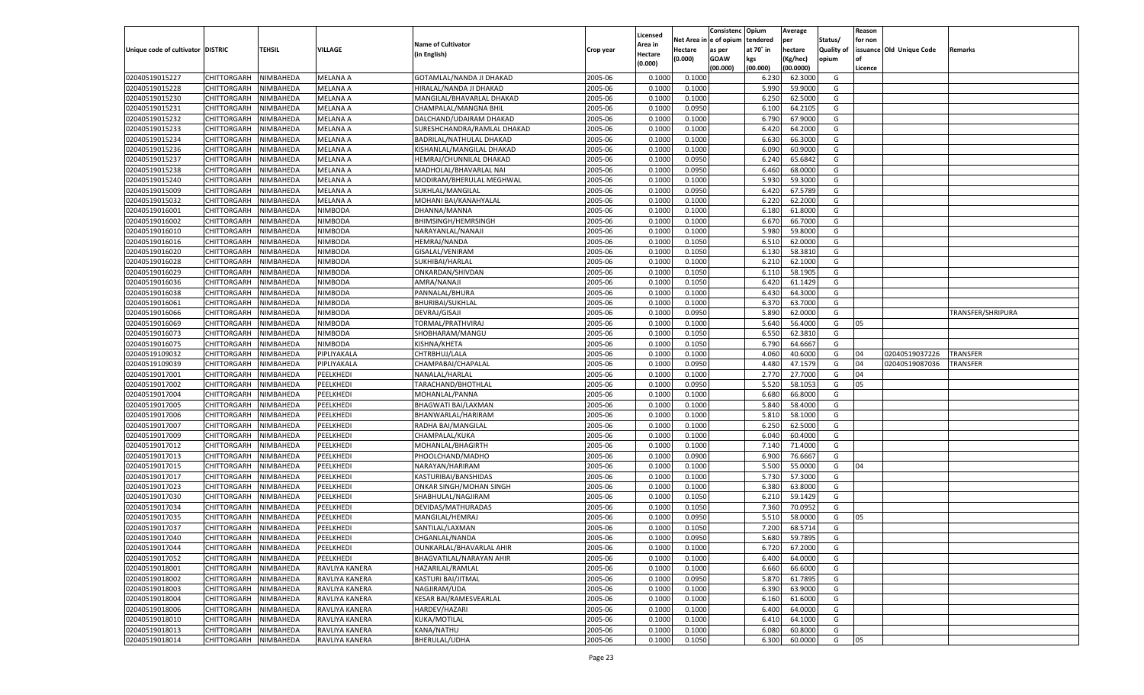|                                   |                       |                        |                 |                               |           |                     |                  | Consistenc    | Opium     | Average   |            | Reason  |                          |                   |
|-----------------------------------|-----------------------|------------------------|-----------------|-------------------------------|-----------|---------------------|------------------|---------------|-----------|-----------|------------|---------|--------------------------|-------------------|
|                                   |                       |                        |                 | <b>Name of Cultivator</b>     |           | Licensed<br>Area in | Net Area i       | n  e of opium | tendered  | per       | Status/    | for non |                          |                   |
| Unique code of cultivator DISTRIC |                       | TEHSIL                 | <b>VILLAGE</b>  | (in English)                  | Crop year | Hectare             | Hectare          | as per        | at 70° in | hectare   | Quality of |         | issuance Old Unique Code | Remarks           |
|                                   |                       |                        |                 |                               |           | (0.000)             | (0.000)          | <b>GOAW</b>   | kgs       | (Kg/hec)  | opium      |         |                          |                   |
|                                   |                       |                        |                 |                               |           |                     |                  | (00.000)      | (00.000)  | (00.0000) |            | Licence |                          |                   |
| 02040519015227                    | CHITTORGARH           | NIMBAHEDA              | <b>MELANA A</b> | GOTAMLAL/NANDA JI DHAKAD      | 2005-06   | 0.1000              | 0.1000           |               | 6.230     | 62.3000   | G          |         |                          |                   |
| 02040519015228                    | CHITTORGARH           | NIMBAHEDA              | MELANA A        | HIRALAL/NANDA JI DHAKAD       | 2005-06   | 0.1000              | 0.1000           |               | 5.990     | 59.9000   | G          |         |                          |                   |
| 02040519015230                    | CHITTORGARH           | NIMBAHEDA              | MELANA A        | MANGILAL/BHAVARLAL DHAKAD     | 2005-06   | 0.1000              | 0.1000           |               | 6.250     | 62.5000   | G          |         |                          |                   |
| 02040519015231                    | CHITTORGARH           | NIMBAHEDA              | MELANA A        | CHAMPALAL/MANGNA BHIL         | 2005-06   | 0.1000              | 0.0950           |               | 6.100     | 64.2105   | G          |         |                          |                   |
| 02040519015232                    | CHITTORGARH           | NIMBAHEDA              | MELANA A        | DALCHAND/UDAIRAM DHAKAD       | 2005-06   | 0.1000              | 0.1000           |               | 6.790     | 67.9000   | G          |         |                          |                   |
| 02040519015233                    | CHITTORGARH           | NIMBAHEDA              | MELANA A        | SURESHCHANDRA/RAMLAL DHAKAD   | 2005-06   | 0.1000              | 0.1000           |               | 6.420     | 64.2000   | G          |         |                          |                   |
| 02040519015234                    | CHITTORGARH           | NIMBAHEDA              | <b>MELANA A</b> | BADRILAL/NATHULAL DHAKAD      | 2005-06   | 0.1000              | 0.1000           |               | 6.630     | 66.3000   | G          |         |                          |                   |
| 02040519015236                    | CHITTORGARH           | NIMBAHEDA              | MELANA A        | KISHANLAL/MANGILAL DHAKAD     | 2005-06   | 0.1000              | 0.1000           |               | 6.090     | 60.9000   | G          |         |                          |                   |
| 02040519015237                    | CHITTORGARH           | NIMBAHEDA              | MELANA A        | HEMRAJ/CHUNNILAL DHAKAD       | 2005-06   | 0.1000              | 0.0950           |               | 6.240     | 65.6842   | G          |         |                          |                   |
| 02040519015238                    | CHITTORGARH           | NIMBAHEDA              | MELANA A        | MADHOLAL/BHAVARLAL NAI        | 2005-06   | 0.1000              | 0.0950           |               | 6.460     | 68.0000   | G          |         |                          |                   |
| 02040519015240                    | CHITTORGARH           | NIMBAHEDA              | MELANA A        | MODIRAM/BHERULAL MEGHWAL      | 2005-06   | 0.1000              | 0.1000           |               | 5.930     | 59.3000   | G          |         |                          |                   |
| 02040519015009                    | CHITTORGARH           | NIMBAHEDA              | MELANA A        | SUKHLAL/MANGILAI              | 2005-06   | 0.1000              | 0.0950           |               | 6.420     | 67.5789   | G          |         |                          |                   |
| 02040519015032                    | CHITTORGARH           | NIMBAHEDA              | MELANA A        | MOHANI BAI/KANAHYALAL         | 2005-06   | 0.1000              | 0.1000           |               | 6.220     | 62.2000   | G          |         |                          |                   |
| 02040519016001                    | CHITTORGARH           | NIMBAHEDA              | NIMBODA         | DHANNA/MANNA                  | 2005-06   | 0.1000              | 0.1000           |               | 6.180     | 61.8000   | G          |         |                          |                   |
| 02040519016002                    | CHITTORGARH           | NIMBAHEDA              | NIMBODA         | <b>BHIMSINGH/HEMRSINGH</b>    | 2005-06   | 0.1000              | 0.1000           |               | 6.670     | 66.7000   | G          |         |                          |                   |
| 02040519016010                    | CHITTORGARH           | NIMBAHEDA              | NIMBODA         | NARAYANLAL/NANAJI             | 2005-06   | 0.1000              | 0.1000           |               | 5.980     | 59.8000   | G          |         |                          |                   |
| 02040519016016                    | CHITTORGARH           | NIMBAHEDA              | NIMBODA         | HEMRAJ/NANDA                  | 2005-06   | 0.1000              | 0.1050           |               | 6.510     | 62.0000   | G          |         |                          |                   |
| 02040519016020                    | CHITTORGARH           | NIMBAHEDA              | NIMBODA         | GISALAL/VENIRAM               | 2005-06   | 0.1000              | 0.1050           |               | 6.130     | 58.3810   | G          |         |                          |                   |
| 02040519016028                    | CHITTORGARH           | NIMBAHEDA              | NIMBODA         | SUKHIBAI/HARLAL               | 2005-06   | 0.1000              | 0.1000           |               | 6.210     | 62.1000   | G          |         |                          |                   |
| 02040519016029                    | CHITTORGARH           | NIMBAHEDA              | NIMBODA         | ONKARDAN/SHIVDAN              | 2005-06   | 0.1000              | 0.1050           |               | 6.110     | 58.1905   | G          |         |                          |                   |
| 02040519016036                    | CHITTORGARH           | NIMBAHEDA              | NIMBODA         | AMRA/NANAJI                   | 2005-06   | 0.1000              | 0.1050           |               | 6.420     | 61.1429   | G          |         |                          |                   |
| 02040519016038                    | CHITTORGARH           | NIMBAHEDA              | NIMBODA         | PANNALAL/BHURA                | 2005-06   | 0.1000              | 0.1000           |               | 6.430     | 64.3000   | G          |         |                          |                   |
| 02040519016061                    | CHITTORGARH           | NIMBAHEDA              | NIMBODA         | <b>BHURIBAI/SUKHLAL</b>       | 2005-06   | 0.1000              | 0.1000           |               | 6.370     | 63.7000   | G          |         |                          |                   |
| 02040519016066                    | CHITTORGARH           | NIMBAHEDA              | NIMBODA         | DEVRAJ/GISAJI                 | 2005-06   | 0.1000              | 0.0950           |               | 5.890     | 62.0000   | G          |         |                          | TRANSFER/SHRIPURA |
| 02040519016069                    | CHITTORGARH           | NIMBAHEDA              | NIMBODA         | TORMAL/PRATHVIRAJ             | 2005-06   | 0.1000              | 0.1000           |               | 5.640     | 56.4000   | G          | 05      |                          |                   |
| 02040519016073                    | CHITTORGARH           | NIMBAHEDA              | NIMBODA         | SHOBHARAM/MANGU               | 2005-06   | 0.1000              | 0.1050           |               | 6.550     | 62.3810   | G          |         |                          |                   |
| 02040519016075                    | CHITTORGARH           | NIMBAHEDA              | <b>NIMBODA</b>  | KISHNA/KHETA                  | 2005-06   | 0.1000              | 0.1050           |               | 6.790     | 64.6667   | G          |         |                          |                   |
| 02040519109032                    | CHITTORGARH           | NIMBAHEDA              | PIPLIYAKALA     | CHTRBHUJ/LALA                 | 2005-06   | 0.1000              | 0.1000           |               | 4.060     | 40.6000   | G          | 04      | 02040519037226           | TRANSFER          |
| 02040519109039                    | CHITTORGARH           | NIMBAHEDA              | PIPLIYAKALA     | CHAMPABAI/CHAPALAL            | 2005-06   | 0.1000              | 0.0950           |               | 4.480     | 47.1579   | G          | 04      | 02040519087036           | TRANSFER          |
| 02040519017001                    | CHITTORGARH           | NIMBAHEDA              | PEELKHEDI       | NANALAL/HARLAL                | 2005-06   | 0.1000              | 0.1000           |               | 2.770     | 27.7000   | G          | 04      |                          |                   |
| 02040519017002                    | CHITTORGARH           | NIMBAHEDA              | PEELKHEDI       | TARACHAND/BHOTHLAL            | 2005-06   | 0.1000              | 0.0950           |               | 5.520     | 58.1053   | G          | 05      |                          |                   |
| 02040519017004                    | CHITTORGARH           | NIMBAHEDA              | PEELKHEDI       | MOHANLAL/PANNA                | 2005-06   | 0.1000              | 0.1000           |               | 6.680     | 66.8000   | G          |         |                          |                   |
| 02040519017005                    | CHITTORGARH           | NIMBAHEDA              | PEELKHEDI       | BHAGWATI BAI/LAXMAN           | 2005-06   | 0.1000              | 0.1000           |               | 5.840     | 58.4000   | G          |         |                          |                   |
| 02040519017006                    | CHITTORGARH           | NIMBAHEDA              | PEELKHED        | BHANWARLAL/HARIRAM            | 2005-06   | 0.1000              | 0.1000           |               | 5.810     | 58.1000   | G          |         |                          |                   |
| 02040519017007                    | CHITTORGARH           | NIMBAHEDA              | PEELKHEDI       | RADHA BAI/MANGILAL            | 2005-06   | 0.1000              | 0.1000           |               | 6.250     | 62.5000   | G          |         |                          |                   |
| 02040519017009                    | CHITTORGARH           | NIMBAHEDA              | PEELKHEDI       | CHAMPALAL/KUKA                | 2005-06   | 0.1000              | 0.1000           |               | 6.040     | 60.4000   | G          |         |                          |                   |
| 02040519017012                    | CHITTORGARH           | NIMBAHEDA              | PEELKHEDI       | MOHANLAL/BHAGIRTH             | 2005-06   | 0.1000              | 0.1000           |               | 7.140     | 71.4000   | G          |         |                          |                   |
| 02040519017013                    | CHITTORGARH           | NIMBAHEDA              | PEELKHEDI       | PHOOLCHAND/MADHO              | 2005-06   | 0.1000              | 0.0900           |               | 6.900     | 76.6667   | G          |         |                          |                   |
| 02040519017015                    | CHITTORGARH           | NIMBAHEDA              | PEELKHEDI       | NARAYAN/HARIRAM               | 2005-06   | 0.1000              | 0.1000           |               | 5.500     | 55.0000   | G          | 04      |                          |                   |
| 02040519017017                    | CHITTORGARH           | NIMBAHEDA              | PEELKHEDI       | KASTURIBAI/BANSHIDAS          | 2005-06   | 0.1000              | 0.1000           |               | 5.730     | 57.3000   | G          |         |                          |                   |
| 02040519017023                    | CHITTORGARH           | NIMBAHEDA              | PEELKHEDI       | ONKAR SINGH/MOHAN SINGH       | 2005-06   | 0.1000              | 0.1000           |               | 6.380     | 63.8000   | G          |         |                          |                   |
| 02040519017030                    | CHITTORGARH           | NIMBAHEDA              | PEELKHEDI       | SHABHULAL/NAGJIRAM            | 2005-06   | 0.1000              | 0.1050           |               | 6.210     | 59.1429   | G          |         |                          |                   |
| 02040519017034                    | CHITTORGARH           | NIMBAHEDA              | PEELKHEDI       | DEVIDAS/MATHURADAS            | 2005-06   | 0.1000              | 0.1050           |               | 7.360     | 70.0952   | G          |         |                          |                   |
| 02040519017035                    |                       |                        | PEELKHED        | MANGILAL/HEMRAJ               | 2005-06   | 0.1000              |                  |               | 5.510     | 58.0000   | G          | 05      |                          |                   |
|                                   | CHITTORGARH           | NIMBAHEDA<br>NIMBAHEDA |                 |                               | 2005-06   |                     | 0.0950<br>0.1050 |               | 7.200     | 68.5714   |            |         |                          |                   |
| 02040519017037                    | CHITTORGARH           |                        | PEELKHEDI       | SANTILAL/LAXMAN               |           | 0.1000              |                  |               |           |           | G          |         |                          |                   |
| 02040519017040                    | CHITTORGARH NIMBAHEDA |                        | PEELKHEDI       | CHGANLAL/NANDA                | 2005-06   | 0.1000              | 0.0950           |               | 5.680     | 59.7895   | G          |         |                          |                   |
| 02040519017044                    | <b>CHITTORGARH</b>    | <b>NIMBAHEDA</b>       | PEELKHEDI       | OUNKARLAL/BHAVARLAL AHIR      | 2005-06   | 0.1000              | 0.1000           |               | 6.720     | 67.2000   | G          |         |                          |                   |
| 02040519017052                    | CHITTORGARH           | NIMBAHEDA              | PEELKHEDI       | BHAGVATILAL/NARAYAN AHIR      | 2005-06   | 0.1000              | 0.1000           |               | 6.400     | 64.0000   | G          |         |                          |                   |
| 02040519018001                    | CHITTORGARH           | NIMBAHEDA              | RAVLIYA KANERA  | HAZARILAL/RAMLAL              | 2005-06   | 0.1000              | 0.1000           |               | 6.660     | 66.6000   | G          |         |                          |                   |
| 02040519018002                    | <b>CHITTORGARH</b>    | NIMBAHEDA              | RAVLIYA KANERA  | KASTURI BAI/JITMAL            | 2005-06   | 0.1000              | 0.0950           |               | 5.870     | 61.7895   | G          |         |                          |                   |
| 02040519018003                    | CHITTORGARH           | NIMBAHEDA              | RAVLIYA KANERA  | NAGJIRAM/UDA                  | 2005-06   | 0.1000              | 0.1000           |               | 6.390     | 63.9000   | G          |         |                          |                   |
| 02040519018004                    | CHITTORGARH           | NIMBAHEDA              | RAVLIYA KANERA  | <b>KESAR BAI/RAMESVEARLAL</b> | 2005-06   | 0.1000              | 0.1000           |               | 6.160     | 61.6000   | G          |         |                          |                   |
| 02040519018006                    | CHITTORGARH           | NIMBAHEDA              | RAVLIYA KANERA  | HARDEV/HAZARI                 | 2005-06   | 0.1000              | 0.1000           |               | 6.400     | 64.0000   | G          |         |                          |                   |
| 02040519018010                    | CHITTORGARH           | NIMBAHEDA              | RAVLIYA KANERA  | KUKA/MOTILAL                  | 2005-06   | 0.1000              | 0.1000           |               | 6.410     | 64.1000   | G          |         |                          |                   |
| 02040519018013                    | <b>CHITTORGARH</b>    | NIMBAHEDA              | RAVLIYA KANERA  | KANA/NATHU                    | 2005-06   | 0.1000              | 0.1000           |               | 6.080     | 60.8000   | G          |         |                          |                   |
| 02040519018014                    | <b>CHITTORGARH</b>    | NIMBAHEDA              | RAVLIYA KANERA  | BHERULAL/UDHA                 | 2005-06   | 0.1000              | 0.1050           |               | 6.300     | 60.0000   | G          | 05      |                          |                   |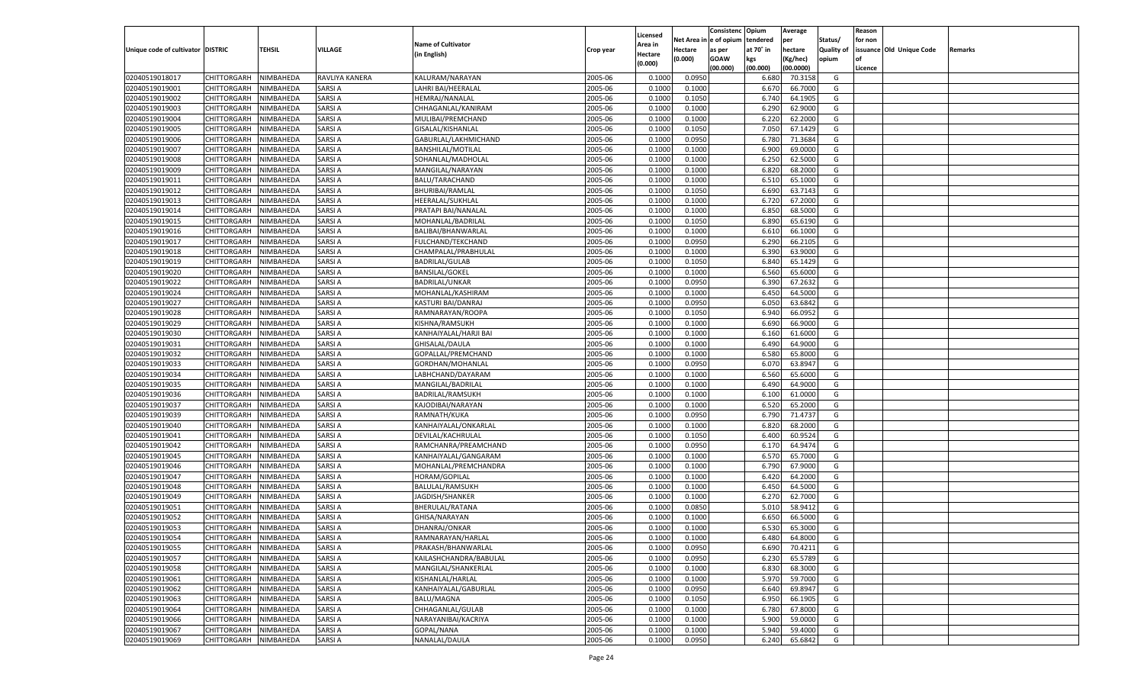|                                   |                                          |               |                |                                         |           |                     |                  | Consistenc  | Opium          | Average   |                   | Reason  |                          |         |
|-----------------------------------|------------------------------------------|---------------|----------------|-----------------------------------------|-----------|---------------------|------------------|-------------|----------------|-----------|-------------------|---------|--------------------------|---------|
|                                   |                                          |               |                | <b>Name of Cultivator</b>               |           | Licensed<br>\rea in | Net Area         | e of opium  | tendered       | per       | Status/           | for non |                          |         |
| Unique code of cultivator DISTRIC |                                          | <b>TEHSIL</b> | VILLAGE        | (in English)                            | Crop year | Hectare             | Hectare          | as per      | at 70° in      | hectare   | <b>Quality of</b> |         | issuance Old Unique Code | Remarks |
|                                   |                                          |               |                |                                         |           | (0.000)             | (0.000)          | <b>GOAW</b> | kgs            | (Kg/hec)  | opium             |         |                          |         |
|                                   |                                          |               |                |                                         |           |                     |                  | (00.000)    | (00.000)       | (00.0000) |                   | Licence |                          |         |
| 02040519018017                    | CHITTORGARH                              | NIMBAHEDA     | RAVLIYA KANERA | KALURAM/NARAYAN                         | 2005-06   | 0.1000              | 0.0950           |             | 6.680          | 70.3158   | G                 |         |                          |         |
| 02040519019001                    | CHITTORGARH                              | NIMBAHEDA     | SARSI A        | LAHRI BAI/HEERALAL                      | 2005-06   | 0.1000              | 0.1000           |             | 6.67           | 66.7000   | G                 |         |                          |         |
| 02040519019002                    | CHITTORGARH                              | NIMBAHEDA     | SARSI A        | HEMRAJ/NANALAL                          | 2005-06   | 0.1000              | 0.1050           |             | 6.740          | 64.1905   | G                 |         |                          |         |
| 02040519019003                    | CHITTORGARH                              | NIMBAHEDA     | SARSI A        | CHHAGANLAL/KANIRAM                      | 2005-06   | 0.1000              | 0.1000           |             | 6.290          | 62.9000   | G                 |         |                          |         |
| 02040519019004                    | CHITTORGARH                              | NIMBAHEDA     | SARSI A        | MULIBAI/PREMCHAND                       | 2005-06   | 0.1000              | 0.1000           |             | 6.220          | 62.2000   | G                 |         |                          |         |
| 02040519019005                    | CHITTORGARH                              | NIMBAHEDA     | SARSI A        | GISALAL/KISHANLAL                       | 2005-06   | 0.1000              | 0.1050           |             | 7.050          | 67.1429   | G                 |         |                          |         |
| 02040519019006                    | CHITTORGARH                              | NIMBAHEDA     | SARSI A        | GABURLAL/LAKHMICHAND                    | 2005-06   | 0.1000              | 0.0950           |             | 6.78           | 71.3684   | G                 |         |                          |         |
| 02040519019007                    | CHITTORGARH                              | NIMBAHEDA     | SARSI A        | <b>BANSHILAL/MOTILAL</b>                | 2005-06   | 0.1000              | 0.1000           |             | 6.900          | 69.0000   | G                 |         |                          |         |
| 02040519019008                    | CHITTORGARH                              | NIMBAHEDA     | SARSI A        | SOHANLAL/MADHOLAL                       | 2005-06   | 0.1000              | 0.1000           |             | 6.250          | 62.5000   | G                 |         |                          |         |
| 02040519019009                    | CHITTORGARH                              | NIMBAHEDA     | SARSI A        | MANGILAL/NARAYAN                        | 2005-06   | 0.1000              | 0.1000           |             | 6.820          | 68.2000   | G                 |         |                          |         |
| 02040519019011                    | CHITTORGARH                              | NIMBAHEDA     | SARSI A        | <b>BALU/TARACHAND</b>                   | 2005-06   | 0.1000              | 0.1000           |             | 6.510          | 65.1000   | G                 |         |                          |         |
| 02040519019012                    | CHITTORGARH                              | NIMBAHEDA     | SARSI A        | <b>BHURIBAI/RAMLAL</b>                  | 2005-06   | 0.1000              | 0.1050           |             | 6.690          | 63.7143   | G                 |         |                          |         |
| 02040519019013                    | CHITTORGARH                              | NIMBAHEDA     | SARSI A        | HEERALAL/SUKHLAL                        | 2005-06   | 0.1000              | 0.1000           |             | 6.720          | 67.2000   | G                 |         |                          |         |
| 02040519019014                    | CHITTORGARH                              | NIMBAHEDA     | SARSI A        | PRATAPI BAI/NANALAL                     | 2005-06   | 0.1000              | 0.1000           |             | 6.850          | 68.5000   | G                 |         |                          |         |
| 02040519019015                    | CHITTORGARH                              | NIMBAHEDA     | SARSI A        | MOHANLAL/BADRILAL                       | 2005-06   | 0.1000              | 0.1050           |             | 6.890          | 65.6190   | G                 |         |                          |         |
| 02040519019016                    | CHITTORGARH                              | NIMBAHEDA     | SARSI A        | BALIBAI/BHANWARLAL                      | 2005-06   | 0.1000              | 0.1000           |             | 6.610          | 66.1000   | G                 |         |                          |         |
| 02040519019017                    | CHITTORGARH                              | NIMBAHEDA     | SARSI A        | FULCHAND/TEKCHAND                       | 2005-06   | 0.1000              | 0.0950           |             | 6.290          | 66.2105   | G                 |         |                          |         |
| 02040519019018                    | CHITTORGARH                              | NIMBAHEDA     | SARSI A        | CHAMPALAL/PRABHULAL                     | 2005-06   | 0.1000              | 0.1000           |             | 6.390          | 63.9000   | G                 |         |                          |         |
| 02040519019019                    | CHITTORGARH                              | NIMBAHEDA     | SARSI A        | <b>BADRILAL/GULAB</b>                   | 2005-06   | 0.1000              | 0.1050           |             | 6.840          | 65.1429   | G                 |         |                          |         |
| 02040519019020                    | CHITTORGARH                              | NIMBAHEDA     | SARSI A        | <b>BANSILAL/GOKEL</b>                   | 2005-06   | 0.1000              | 0.1000           |             | 6.560          | 65.6000   | G                 |         |                          |         |
| 02040519019022                    | CHITTORGARH                              | NIMBAHEDA     | SARSI A        | <b>BADRILAL/UNKAR</b>                   | 2005-06   | 0.1000              | 0.0950           |             | 6.390          | 67.2632   | G                 |         |                          |         |
| 02040519019024                    | CHITTORGARH                              | NIMBAHEDA     | SARSI A        | MOHANLAL/KASHIRAM                       | 2005-06   | 0.1000              | 0.1000           |             | 6.450          | 64.5000   | G                 |         |                          |         |
| 02040519019027                    | CHITTORGARH                              | NIMBAHEDA     | SARSI A        | KASTURI BAI/DANRAJ                      | 2005-06   | 0.1000              | 0.0950           |             | 6.050          | 63.6842   | G                 |         |                          |         |
| 02040519019028                    | CHITTORGARH                              | NIMBAHEDA     | SARSI A        | RAMNARAYAN/ROOPA                        | 2005-06   | 0.1000              | 0.1050           |             | 6.940          | 66.0952   | G                 |         |                          |         |
| 02040519019029                    | CHITTORGARH                              | NIMBAHEDA     | SARSI A        | KISHNA/RAMSUKH                          | 2005-06   | 0.1000              | 0.1000           |             | 6.690          | 66.9000   | G                 |         |                          |         |
| 02040519019030                    | CHITTORGARH                              | NIMBAHEDA     | SARSI A        | KANHAIYALAL/HARJI BAI                   | 2005-06   | 0.1000              | 0.1000           |             | 6.160          | 61.6000   | G                 |         |                          |         |
| 02040519019031                    | CHITTORGARH                              | NIMBAHEDA     | SARSI A        | GHISALAL/DAULA                          | 2005-06   | 0.1000              | 0.1000           |             | 6.490          | 64.9000   | G                 |         |                          |         |
| 02040519019032                    | CHITTORGARH                              | NIMBAHEDA     | SARSI A        | GOPALLAL/PREMCHAND                      | 2005-06   | 0.1000              | 0.1000           |             | 6.580          | 65.8000   | G                 |         |                          |         |
| 02040519019033                    | CHITTORGARH                              | NIMBAHEDA     | SARSI A        | GORDHAN/MOHANLAL                        | 2005-06   | 0.1000              | 0.0950           |             | 6.070          | 63.8947   | G                 |         |                          |         |
| 02040519019034                    | CHITTORGARH                              | NIMBAHEDA     | SARSI A        | LABHCHAND/DAYARAM                       | 2005-06   | 0.1000              | 0.1000           |             | 6.560          | 65.6000   | G                 |         |                          |         |
| 02040519019035                    | CHITTORGARH                              | NIMBAHEDA     | SARSI A        | MANGILAL/BADRILAL                       | 2005-06   | 0.1000              | 0.1000           |             | 6.490          | 64.9000   | G                 |         |                          |         |
| 02040519019036                    | CHITTORGARH                              | NIMBAHEDA     | SARSI A        | <b>BADRILAL/RAMSUKH</b>                 | 2005-06   | 0.1000              | 0.1000           |             | 6.100          | 61.0000   | G                 |         |                          |         |
| 02040519019037                    | CHITTORGARH                              | NIMBAHEDA     | SARSI A        | KAJODIBAI/NARAYAN                       | 2005-06   | 0.1000              | 0.1000           |             | 6.520          | 65.2000   | G                 |         |                          |         |
| 02040519019039                    | CHITTORGARH                              | NIMBAHEDA     | SARSI A        | RAMNATH/KUKA                            | 2005-06   | 0.1000              | 0.0950           |             | 6.790          | 71.4737   | G                 |         |                          |         |
| 02040519019040                    | CHITTORGARH                              | NIMBAHEDA     | SARSI A        | KANHAIYALAL/ONKARLAL                    | 2005-06   | 0.1000              | 0.1000           |             | 6.820          | 68.2000   | G                 |         |                          |         |
| 02040519019041                    | CHITTORGARH                              | NIMBAHEDA     | SARSI A        | DEVILAL/KACHRULAL                       | 2005-06   | 0.1000              | 0.1050           |             | 6.400          | 60.9524   | G                 |         |                          |         |
| 02040519019042                    | CHITTORGARH                              | NIMBAHEDA     | SARSI A        | RAMCHANRA/PREAMCHAND                    | 2005-06   | 0.1000              | 0.0950           |             | 6.170          | 64.9474   | G                 |         |                          |         |
| 02040519019045                    | CHITTORGARH                              | NIMBAHEDA     | SARSI A        | KANHAIYALAL/GANGARAM                    | 2005-06   | 0.1000              | 0.1000           |             | 6.570          | 65.7000   | G                 |         |                          |         |
| 02040519019046                    | CHITTORGARH                              | NIMBAHEDA     | SARSI A        | MOHANLAL/PREMCHANDRA                    | 2005-06   | 0.1000              | 0.1000           |             | 6.790          | 67.9000   | G                 |         |                          |         |
| 02040519019047                    | CHITTORGARH                              | NIMBAHEDA     | SARSI A        | HORAM/GOPILAL                           | 2005-06   | 0.1000              | 0.1000           |             | 6.420          | 64.2000   | G                 |         |                          |         |
| 02040519019048                    | CHITTORGARH                              | NIMBAHEDA     | SARSI A        | BALULAL/RAMSUKH                         | 2005-06   | 0.1000              | 0.1000           |             | 6.450          | 64.5000   | G                 |         |                          |         |
| 02040519019049                    | CHITTORGARH                              | NIMBAHEDA     | SARSI A        | JAGDISH/SHANKER                         | 2005-06   | 0.1000              | 0.1000           |             | 6.27           | 62.7000   | G                 |         |                          |         |
| 02040519019051                    | CHITTORGARH                              | NIMBAHEDA     | SARSI A        | BHERULAL/RATANA                         | 2005-06   | 0.1000              | 0.0850           |             | 5.010          | 58.9412   | G                 |         |                          |         |
| 02040519019052                    | CHITTORGARH                              | NIMBAHEDA     | SARSI A        | GHISA/NARAYAN                           | 2005-06   | 0.1000              | 0.1000           |             | 6.65           | 66.5000   | G                 |         |                          |         |
| 02040519019053                    | CHITTORGARH                              | NIMBAHEDA     | SARSI A        | DHANRAJ/ONKAR                           | 2005-06   | 0.1000              | 0.1000           |             | 6.530          | 65.3000   | G                 |         |                          |         |
| 02040519019054                    | CHITTORGARH NIMBAHEDA                    |               | <b>SARSIA</b>  | RAMNARAYAN/HARLAL                       | 2005-06   | 0.1000              | 0.1000           |             | 6.480          | 64.8000   | G                 |         |                          |         |
| 02040519019055                    | <b>CHITTORGARH</b>                       | NIMBAHEDA     | <b>SARSIA</b>  | PRAKASH/BHANWARLAL                      | 2005-06   | 0.1000              | 0.0950           |             | 6.690          | 70.4211   | G                 |         |                          |         |
| 02040519019057                    | CHITTORGARH                              | NIMBAHEDA     | <b>SARSIA</b>  | KAILASHCHANDRA/BABULAL                  | 2005-06   | 0.1000              | 0.0950           |             | 6.230          | 65.5789   | G                 |         |                          |         |
| 02040519019058                    | <b>CHITTORGARH</b>                       | NIMBAHEDA     | <b>SARSIA</b>  | MANGILAL/SHANKERLAL                     | 2005-06   | 0.1000              | 0.1000           |             | 6.830          | 68.3000   | G                 |         |                          |         |
| 02040519019061                    | <b>CHITTORGARH</b>                       | NIMBAHEDA     | SARSI A        | KISHANLAL/HARLAL                        | 2005-06   | 0.1000              | 0.1000           |             | 5.970          | 59.7000   | G                 |         |                          |         |
| 02040519019062                    | <b>CHITTORGARH</b>                       | NIMBAHEDA     | <b>SARSIA</b>  | KANHAIYALAL/GABURLAL                    | 2005-06   | 0.1000              | 0.0950           |             |                | 69.8947   | G                 |         |                          |         |
| 02040519019063                    | <b>CHITTORGARH</b>                       | NIMBAHEDA     | <b>SARSIA</b>  | BALU/MAGNA                              | 2005-06   |                     |                  |             | 6.640<br>6.950 | 66.1905   | G                 |         |                          |         |
| 02040519019064                    |                                          |               | <b>SARSIA</b>  |                                         | 2005-06   | 0.1000<br>0.1000    | 0.1050<br>0.1000 |             |                |           |                   |         |                          |         |
|                                   | <b>CHITTORGARH</b><br><b>CHITTORGARH</b> | NIMBAHEDA     |                | CHHAGANLAL/GULAB<br>NARAYANIBAI/KACRIYA |           |                     |                  |             | 6.780          | 67.8000   | G                 |         |                          |         |
| 02040519019066                    |                                          | NIMBAHEDA     | SARSI A        |                                         | 2005-06   | 0.1000              | 0.1000           |             | 5.900          | 59.0000   | G                 |         |                          |         |
| 02040519019067                    | <b>CHITTORGARH</b>                       | NIMBAHEDA     | <b>SARSIA</b>  | GOPAL/NANA                              | 2005-06   | 0.1000              | 0.1000           |             | 5.940          | 59.4000   | G                 |         |                          |         |
| 02040519019069                    | <b>CHITTORGARH</b>                       | NIMBAHEDA     | <b>SARSIA</b>  | NANALAL/DAULA                           | 2005-06   | 0.1000              | 0.0950           |             | 6.240          | 65.6842   | G                 |         |                          |         |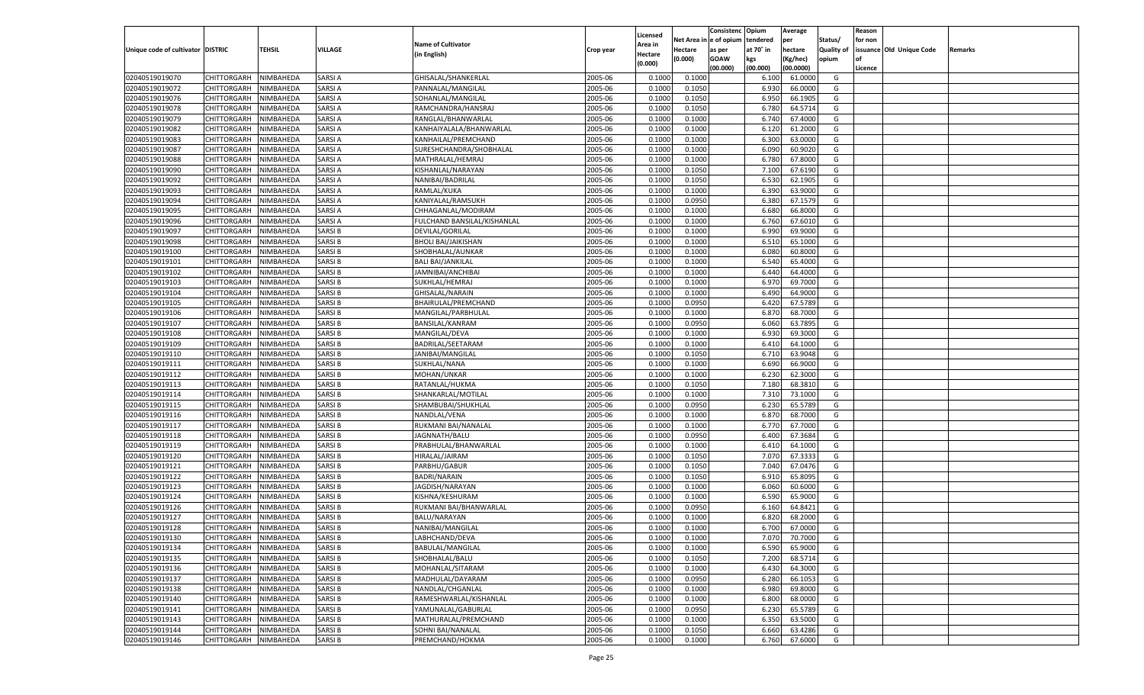|                                   |                                   |               |                                |                                    |           |                           |          | Consistenc  | Opium     | Average   |                   | Reason  |                          |         |
|-----------------------------------|-----------------------------------|---------------|--------------------------------|------------------------------------|-----------|---------------------------|----------|-------------|-----------|-----------|-------------------|---------|--------------------------|---------|
|                                   |                                   |               |                                | <b>Name of Cultivator</b>          |           | Licensed                  | Net Area | e of opium  | tendered  | per       | Status/           | for non |                          |         |
| Unique code of cultivator DISTRIC |                                   | <b>TEHSIL</b> | VILLAGE                        | (in English)                       | Crop year | <b>Area in</b><br>Hectare | Hectare  | as per      | at 70° in | hectare   | <b>Quality of</b> |         | issuance Old Unique Code | Remarks |
|                                   |                                   |               |                                |                                    |           | (0.000)                   | (0.000)  | <b>GOAW</b> | kgs       | (Kg/hec)  | opium             |         |                          |         |
|                                   |                                   |               |                                |                                    |           |                           |          | (00.000)    | (00.000)  | (00.0000) |                   | Licence |                          |         |
| 02040519019070                    | CHITTORGARH                       | NIMBAHEDA     | SARSI A                        | GHISALAL/SHANKERLAL                | 2005-06   | 0.1000                    | 0.1000   |             | 6.100     | 61.0000   | G                 |         |                          |         |
| 02040519019072                    | CHITTORGARH                       | NIMBAHEDA     | SARSI A                        | PANNALAL/MANGILAL                  | 2005-06   | 0.1000                    | 0.1050   |             | 6.930     | 66.0000   | G                 |         |                          |         |
| 02040519019076                    | CHITTORGARH                       | NIMBAHEDA     | SARSI A                        | SOHANLAL/MANGILAL                  | 2005-06   | 0.1000                    | 0.1050   |             | 6.950     | 66.1905   | G                 |         |                          |         |
| 02040519019078                    | CHITTORGARH                       | NIMBAHEDA     | SARSI A                        | RAMCHANDRA/HANSRAJ                 | 2005-06   | 0.1000                    | 0.1050   |             | 6.780     | 64.5714   | G                 |         |                          |         |
| 02040519019079                    | CHITTORGARH                       | NIMBAHEDA     | SARSI A                        | RANGLAL/BHANWARLAL                 | 2005-06   | 0.1000                    | 0.1000   |             | 6.740     | 67.4000   | G                 |         |                          |         |
| 02040519019082                    | CHITTORGARH                       | NIMBAHEDA     | SARSI A                        | KANHAIYALALA/BHANWARLAL            | 2005-06   | 0.1000                    | 0.1000   |             | 6.120     | 61.2000   | G                 |         |                          |         |
| 02040519019083                    | CHITTORGARH                       | NIMBAHEDA     | SARSI A                        | KANHAILAL/PREMCHAND                | 2005-06   | 0.1000                    | 0.1000   |             | 6.300     | 63.0000   | G                 |         |                          |         |
| 02040519019087                    | CHITTORGARH                       | NIMBAHEDA     | SARSI A                        | SURESHCHANDRA/SHOBHALAL            | 2005-06   | 0.1000                    | 0.1000   |             | 6.090     | 60.9020   | G                 |         |                          |         |
| 02040519019088                    | CHITTORGARH                       | NIMBAHEDA     | SARSI A                        | MATHRALAL/HEMRAJ                   | 2005-06   | 0.1000                    | 0.1000   |             | 6.780     | 67.8000   | G                 |         |                          |         |
| 02040519019090                    | CHITTORGARH                       | NIMBAHEDA     | SARSI A                        | KISHANLAL/NARAYAN                  | 2005-06   | 0.1000                    | 0.1050   |             | 7.100     | 67.6190   | G                 |         |                          |         |
| 02040519019092                    | CHITTORGARH                       | NIMBAHEDA     | SARSI A                        | NANIBAI/BADRILAL                   | 2005-06   | 0.1000                    | 0.1050   |             | 6.530     | 62.1905   | G                 |         |                          |         |
| 02040519019093                    | CHITTORGARH                       | NIMBAHEDA     | SARSI A                        | RAMLAL/KUKA                        | 2005-06   | 0.1000                    | 0.1000   |             | 6.390     | 63.9000   | G                 |         |                          |         |
| 02040519019094                    | CHITTORGARH                       | NIMBAHEDA     | SARSI A                        | KANIYALAL/RAMSUKH                  | 2005-06   | 0.1000                    | 0.0950   |             | 6.380     | 67.1579   | G                 |         |                          |         |
| 02040519019095                    | CHITTORGARH                       | NIMBAHEDA     | SARSI A                        | CHHAGANLAL/MODIRAM                 | 2005-06   | 0.1000                    | 0.1000   |             | 6.680     | 66.8000   | G                 |         |                          |         |
| 02040519019096                    | CHITTORGARH                       | NIMBAHEDA     | SARSI A                        | FULCHAND BANSILAL/KISHANLAL        | 2005-06   | 0.1000                    | 0.1000   |             | 6.760     | 67.6010   | G                 |         |                          |         |
| 02040519019097                    | CHITTORGARH                       | NIMBAHEDA     | SARSI B                        | DEVILAL/GORILAL                    | 2005-06   | 0.1000                    | 0.1000   |             | 6.990     | 69.9000   | G                 |         |                          |         |
| 02040519019098                    | CHITTORGARH                       | NIMBAHEDA     | SARSI B                        | <b>BHOLI BAI/JAIKISHAN</b>         | 2005-06   | 0.1000                    | 0.1000   |             | 6.510     | 65.1000   | G                 |         |                          |         |
| 02040519019100                    | CHITTORGARH                       | NIMBAHEDA     | SARSI B                        | SHOBHALAL/AUNKAR                   | 2005-06   | 0.1000                    | 0.1000   |             | 6.080     | 60.8000   | G                 |         |                          |         |
| 02040519019101                    | CHITTORGARH                       | NIMBAHEDA     | SARSI B                        | <b>BALI BAI/JANKILAL</b>           | 2005-06   | 0.1000                    | 0.1000   |             | 6.540     | 65.4000   | G                 |         |                          |         |
| 02040519019102                    | CHITTORGARH                       | NIMBAHEDA     | SARSI B                        | JAMNIBAI/ANCHIBAI                  | 2005-06   | 0.1000                    | 0.1000   |             | 6.440     | 64.4000   | G                 |         |                          |         |
| 02040519019103                    | CHITTORGARH                       | NIMBAHEDA     | SARSI B                        | SUKHLAL/HEMRAJ                     | 2005-06   | 0.1000                    | 0.1000   |             | 6.970     | 69.7000   | G                 |         |                          |         |
| 02040519019104                    | CHITTORGARH                       | NIMBAHEDA     | SARSI B                        | GHISALAL/NARAIN                    | 2005-06   | 0.1000                    | 0.1000   |             | 6.490     | 64.9000   | G                 |         |                          |         |
| 02040519019105                    | CHITTORGARH                       | NIMBAHEDA     | SARSI B                        | BHAIRULAL/PREMCHAND                | 2005-06   | 0.1000                    | 0.0950   |             | 6.420     | 67.5789   | G                 |         |                          |         |
| 02040519019106                    | CHITTORGARH                       | NIMBAHEDA     | SARSI B                        | MANGILAL/PARBHULAL                 | 2005-06   | 0.1000                    | 0.1000   |             | 6.870     | 68.7000   | G                 |         |                          |         |
| 02040519019107                    | CHITTORGARH                       | NIMBAHEDA     | SARSI B                        | <b>BANSILAL/KANRAM</b>             | 2005-06   | 0.1000                    | 0.0950   |             | 6.060     | 63.7895   | G                 |         |                          |         |
| 02040519019108                    | CHITTORGARH                       | NIMBAHEDA     | SARSI B                        | MANGILAL/DEVA                      | 2005-06   | 0.1000                    | 0.1000   |             | 6.930     | 69.3000   | G                 |         |                          |         |
| 02040519019109                    | CHITTORGARH                       | NIMBAHEDA     | SARSI B                        | BADRILAL/SEETARAM                  | 2005-06   | 0.1000                    | 0.1000   |             | 6.410     | 64.1000   | G                 |         |                          |         |
| 02040519019110                    | CHITTORGARH                       | NIMBAHEDA     | SARSI B                        | JANIBAI/MANGILAL                   | 2005-06   | 0.1000                    | 0.1050   |             | 6.710     | 63.9048   | G                 |         |                          |         |
| 02040519019111                    | CHITTORGARH                       | NIMBAHEDA     | SARSI B                        | SUKHLAL/NANA                       | 2005-06   | 0.1000                    | 0.1000   |             | 6.690     | 66.9000   | G                 |         |                          |         |
| 02040519019112                    | CHITTORGARH                       | NIMBAHEDA     | SARSI B                        | MOHAN/UNKAR                        | 2005-06   | 0.1000                    | 0.1000   |             | 6.230     | 62.3000   | G                 |         |                          |         |
| 02040519019113                    | CHITTORGARH                       | NIMBAHEDA     | SARSI B                        | RATANLAL/HUKMA                     | 2005-06   | 0.1000                    | 0.1050   |             | 7.180     | 68.3810   | G                 |         |                          |         |
| 02040519019114                    | CHITTORGARH                       | NIMBAHEDA     | SARSI B                        | SHANKARLAL/MOTILAL                 | 2005-06   | 0.1000                    | 0.1000   |             | 7.310     | 73.1000   | G                 |         |                          |         |
| 02040519019115                    | CHITTORGARH                       | NIMBAHEDA     | SARSI B                        | SHAMBUBAI/SHUKHLAL                 | 2005-06   | 0.1000                    | 0.0950   |             | 6.230     | 65.5789   | G                 |         |                          |         |
| 02040519019116                    | CHITTORGARH                       | NIMBAHEDA     | SARSI B                        | NANDLAL/VENA                       | 2005-06   | 0.1000                    | 0.1000   |             | 6.87      | 68.7000   | G                 |         |                          |         |
| 02040519019117                    | CHITTORGARH                       | NIMBAHEDA     | SARSI B                        | RUKMANI BAI/NANALAL                | 2005-06   | 0.1000                    | 0.1000   |             | 6.770     | 67.7000   | G                 |         |                          |         |
| 02040519019118                    | CHITTORGARH                       | NIMBAHEDA     | SARSI B                        | JAGNNATH/BALU                      | 2005-06   | 0.1000                    | 0.0950   |             | 6.400     | 67.3684   | G                 |         |                          |         |
| 02040519019119                    | CHITTORGARH                       | NIMBAHEDA     | SARSI B                        | PRABHULAL/BHANWARLAL               | 2005-06   | 0.1000                    | 0.1000   |             | 6.41      | 64.1000   | G                 |         |                          |         |
| 02040519019120                    | CHITTORGARH                       | NIMBAHEDA     | SARSI B                        | HIRALAL/JAIRAM                     | 2005-06   | 0.1000                    | 0.1050   |             | 7.070     | 67.3333   | G                 |         |                          |         |
| 02040519019121                    | CHITTORGARH                       | NIMBAHEDA     | SARSI B                        | PARBHU/GABUR                       | 2005-06   | 0.1000                    | 0.1050   |             | 7.040     | 67.0476   | G                 |         |                          |         |
| 02040519019122                    | CHITTORGARH                       | NIMBAHEDA     | SARSI B                        | <b>BADRI/NARAIN</b>                | 2005-06   | 0.1000                    | 0.1050   |             | 6.910     | 65.8095   | G                 |         |                          |         |
| 02040519019123                    | CHITTORGARH                       | NIMBAHEDA     | SARSI B                        | JAGDISH/NARAYAN                    | 2005-06   | 0.1000                    | 0.1000   |             | 6.060     | 60.6000   | G                 |         |                          |         |
| 02040519019124                    | CHITTORGARH                       | NIMBAHEDA     | SARSI B                        | KISHNA/KESHURAM                    | 2005-06   | 0.1000                    | 0.1000   |             | 6.590     | 65.9000   | G                 |         |                          |         |
| 02040519019126                    | CHITTORGARH                       | NIMBAHEDA     | SARSI B                        | RUKMANI BAI/BHANWARLAI             | 2005-06   | 0.1000                    | 0.0950   |             | 6.160     | 64.8421   | G                 |         |                          |         |
| 02040519019127                    | CHITTORGARH                       | NIMBAHEDA     | SARSI B                        | BALU/NARAYAN                       | 2005-06   | 0.1000                    | 0.1000   |             | 6.82(     | 68.2000   | G                 |         |                          |         |
| 02040519019128                    |                                   | NIMBAHEDA     | SARSI B                        |                                    | 2005-06   | 0.1000                    | 0.1000   |             | 6.700     | 67.0000   | G                 |         |                          |         |
|                                   | CHITTORGARH                       |               |                                | NANIBAI/MANGILAL                   |           |                           |          |             |           |           |                   |         |                          |         |
| 02040519019130                    | CHITTORGARH NIMBAHEDA             |               | <b>SARSIB</b>                  | LABHCHAND/DEVA                     | 2005-06   | 0.1000                    | 0.1000   |             | 7.070     | 70.7000   | G                 |         |                          |         |
| 02040519019134                    | <b>CHITTORGARH</b><br>CHITTORGARH | NIMBAHEDA     | <b>SARSIB</b><br><b>SARSIB</b> | BABULAL/MANGILAL<br>SHOBHALAL/BALU | 2005-06   | 0.1000                    | 0.1000   |             | 6.590     | 65.9000   | G                 |         |                          |         |
| 02040519019135                    |                                   | NIMBAHEDA     |                                |                                    | 2005-06   | 0.1000                    | 0.1050   |             | 7.200     | 68.5714   | G                 |         |                          |         |
| 02040519019136                    | <b>CHITTORGARH</b>                | NIMBAHEDA     | <b>SARSIB</b>                  | MOHANLAL/SITARAM                   | 2005-06   | 0.1000                    | 0.1000   |             | 6.430     | 64.3000   | G                 |         |                          |         |
| 02040519019137                    | <b>CHITTORGARH</b>                | NIMBAHEDA     | SARSI B                        | MADHULAL/DAYARAM                   | 2005-06   | 0.1000                    | 0.0950   |             | 6.280     | 66.1053   | G                 |         |                          |         |
| 02040519019138                    | <b>CHITTORGARH</b>                | NIMBAHEDA     | <b>SARSIB</b>                  | NANDLAL/CHGANLAL                   | 2005-06   | 0.1000                    | 0.1000   |             | 6.980     | 69.8000   | G                 |         |                          |         |
| 02040519019140                    | <b>CHITTORGARH</b>                | NIMBAHEDA     | <b>SARSIB</b>                  | RAMESHWARLAL/KISHANLAL             | 2005-06   | 0.1000                    | 0.1000   |             | 6.800     | 68.0000   | G                 |         |                          |         |
| 02040519019141                    | <b>CHITTORGARH</b>                | NIMBAHEDA     | <b>SARSIB</b>                  | YAMUNALAL/GABURLAL                 | 2005-06   | 0.1000                    | 0.0950   |             | 6.230     | 65.5789   | G                 |         |                          |         |
| 02040519019143                    | <b>CHITTORGARH</b>                | NIMBAHEDA     | SARSI B                        | MATHURALAL/PREMCHAND               | 2005-06   | 0.1000                    | 0.1000   |             | 6.350     | 63.5000   | G                 |         |                          |         |
| 02040519019144                    | <b>CHITTORGARH</b>                | NIMBAHEDA     | <b>SARSIB</b>                  | SOHNI BAI/NANALAL                  | 2005-06   | 0.1000                    | 0.1050   |             | 6.660     | 63.4286   | G                 |         |                          |         |
| 02040519019146                    | <b>CHITTORGARH</b>                | NIMBAHEDA     | <b>SARSIB</b>                  | PREMCHAND/HOKMA                    | 2005-06   | 0.1000                    | 0.1000   |             | 6.760     | 67.6000   | G                 |         |                          |         |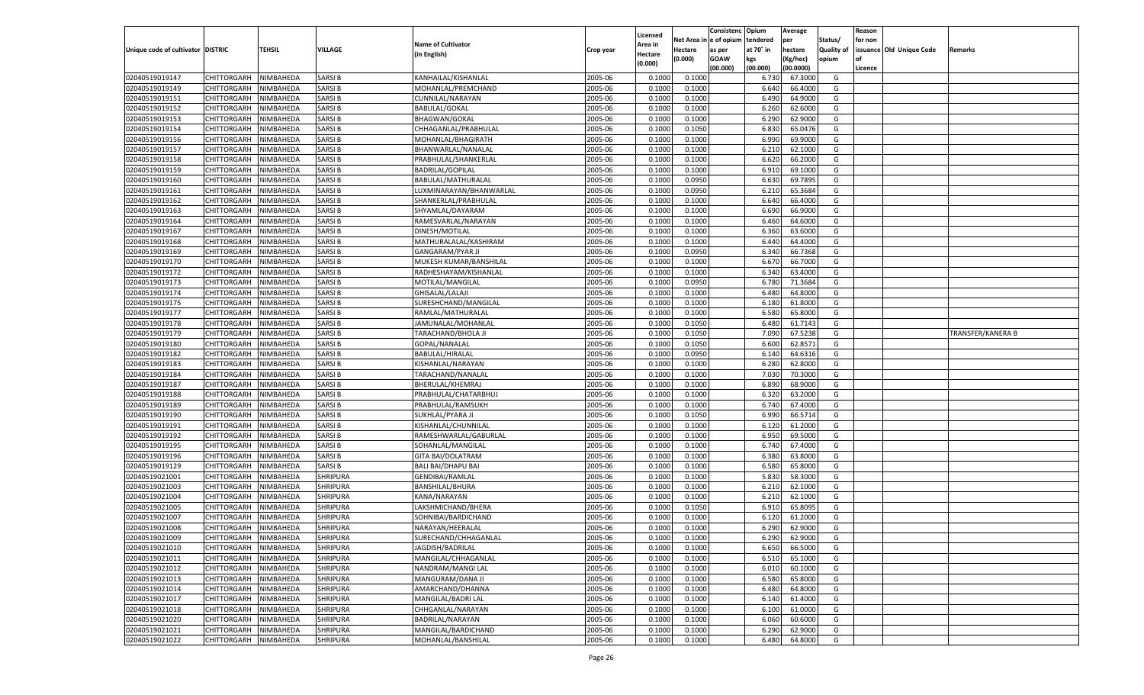|                                   |                       |                        |                 |                           |           |                    |            | Consistenc   | Opium     | Average   |            | Reason  |                          |                   |
|-----------------------------------|-----------------------|------------------------|-----------------|---------------------------|-----------|--------------------|------------|--------------|-----------|-----------|------------|---------|--------------------------|-------------------|
|                                   |                       |                        |                 | <b>Name of Cultivator</b> |           | Licensed           | Net Area i | n e of opium | tendered  | per       | Status/    | for non |                          |                   |
| Unique code of cultivator DISTRIC |                       | TEHSIL                 | VILLAGE         |                           | Crop year | Area in            | Hectare    | as per       | at 70° in | hectare   | Quality of |         | issuance Old Unique Code | Remarks           |
|                                   |                       |                        |                 | (in English)              |           | Hectare<br>(0.000) | (0.000)    | <b>GOAW</b>  | kgs       | (Kg/hec)  | opium      |         |                          |                   |
|                                   |                       |                        |                 |                           |           |                    |            | (00.000)     | (00.000)  | (00.0000) |            | Licence |                          |                   |
| 02040519019147                    | CHITTORGARH           | NIMBAHEDA              | <b>SARSIB</b>   | KANHAILAL/KISHANLAL       | 2005-06   | 0.1000             | 0.1000     |              | 6.730     | 67.3000   | G          |         |                          |                   |
| 02040519019149                    | CHITTORGARH           | NIMBAHEDA              | <b>SARSIB</b>   | MOHANLAL/PREMCHAND        | 2005-06   | 0.1000             | 0.1000     |              | 6.640     | 66.4000   | G          |         |                          |                   |
| 02040519019151                    | CHITTORGARH           | NIMBAHEDA              | <b>SARSIB</b>   | CUNNILAL/NARAYAN          | 2005-06   | 0.1000             | 0.1000     |              | 6.490     | 64.9000   | G          |         |                          |                   |
| 02040519019152                    | CHITTORGARH           | NIMBAHEDA              | <b>SARSIB</b>   | <b>BABULAL/GOKAL</b>      | 2005-06   | 0.1000             | 0.1000     |              | 6.260     | 62.6000   | G          |         |                          |                   |
| 02040519019153                    | CHITTORGARH           | NIMBAHEDA              | <b>SARSIB</b>   | <b>BHAGWAN/GOKAL</b>      | 2005-06   | 0.1000             | 0.1000     |              | 6.290     | 62.9000   | G          |         |                          |                   |
| 02040519019154                    | CHITTORGARH           | NIMBAHEDA              | SARSI B         | CHHAGANLAL/PRABHULAI      | 2005-06   | 0.1000             | 0.1050     |              | 6.830     | 65.0476   | G          |         |                          |                   |
| 02040519019156                    | CHITTORGARH           | NIMBAHEDA              | <b>SARSIB</b>   | MOHANLAL/BHAGIRATH        | 2005-06   | 0.1000             | 0.1000     |              | 6.990     | 69.9000   | G          |         |                          |                   |
| 02040519019157                    | CHITTORGARH           | NIMBAHEDA              | <b>SARSIB</b>   | BHANWARLAL/NANALAI        | 2005-06   | 0.1000             | 0.1000     |              | 6.21      | 62.1000   | G          |         |                          |                   |
| 02040519019158                    | CHITTORGARH           | NIMBAHEDA              | <b>SARSIB</b>   | PRABHULAL/SHANKERLAL      | 2005-06   | 0.1000             | 0.1000     |              | 6.620     | 66.2000   | G          |         |                          |                   |
| 02040519019159                    | CHITTORGARH           | NIMBAHEDA              | SARSI B         | <b>BADRILAL/GOPILAL</b>   | 2005-06   | 0.1000             | 0.1000     |              | 6.910     | 69.1000   | G          |         |                          |                   |
| 02040519019160                    | CHITTORGARH           | NIMBAHEDA              | <b>SARSIB</b>   | BABULAL/MATHURALAL        | 2005-06   | 0.1000             | 0.0950     |              | 6.630     | 69.7895   | G          |         |                          |                   |
| 02040519019161                    | CHITTORGARH           | NIMBAHEDA              | <b>SARSIB</b>   | LUXMINARAYAN/BHANWARLAL   | 2005-06   | 0.1000             | 0.0950     |              | 6.21      | 65.3684   | G          |         |                          |                   |
| 02040519019162                    | CHITTORGARH           | NIMBAHEDA              | <b>SARSIB</b>   | SHANKERLAL/PRABHULAL      | 2005-06   | 0.1000             | 0.1000     |              | 6.640     | 66.4000   | G          |         |                          |                   |
| 02040519019163                    | CHITTORGARH           | NIMBAHEDA              | <b>SARSIB</b>   | SHYAMLAL/DAYARAM          | 2005-06   | 0.1000             | 0.1000     |              | 6.690     | 66.9000   | G          |         |                          |                   |
| 02040519019164                    | CHITTORGARH           | NIMBAHEDA              | <b>SARSIB</b>   | RAMESVARLAL/NARAYAN       | 2005-06   | 0.1000             | 0.1000     |              | 6.460     | 64.6000   | G          |         |                          |                   |
| 02040519019167                    | CHITTORGARH           | NIMBAHEDA              | <b>SARSIB</b>   | DINESH/MOTILAL            | 2005-06   | 0.1000             | 0.1000     |              | 6.360     | 63.6000   | G          |         |                          |                   |
| 02040519019168                    | CHITTORGARH           | NIMBAHEDA              | <b>SARSIB</b>   | MATHURALALAL/KASHIRAM     | 2005-06   | 0.1000             | 0.1000     |              | 6.440     | 64.4000   | G          |         |                          |                   |
| 02040519019169                    | CHITTORGARH           | NIMBAHEDA              | <b>SARSIB</b>   | <b>GANGARAM/PYAR JI</b>   | 2005-06   | 0.1000             | 0.0950     |              | 6.340     | 66.7368   | G          |         |                          |                   |
| 02040519019170                    | CHITTORGARH           | NIMBAHEDA              | <b>SARSIB</b>   | MUKESH KUMAR/BANSHILAL    | 2005-06   | 0.1000             | 0.1000     |              | 6.670     | 66.7000   | G          |         |                          |                   |
| 02040519019172                    | CHITTORGARH           | NIMBAHEDA              | <b>SARSIB</b>   | RADHESHAYAM/KISHANLAL     | 2005-06   | 0.1000             | 0.1000     |              | 6.340     | 63.4000   | G          |         |                          |                   |
| 02040519019173                    | CHITTORGARH           | NIMBAHEDA              | <b>SARSIB</b>   | MOTILAL/MANGILAI          | 2005-06   | 0.1000             | 0.0950     |              | 6.780     | 71.3684   | G          |         |                          |                   |
| 02040519019174                    | CHITTORGARH           | NIMBAHEDA              | <b>SARSIB</b>   | GHISALAL/LALAJI           | 2005-06   | 0.1000             | 0.1000     |              | 6.480     | 64.8000   | G          |         |                          |                   |
| 02040519019175                    | CHITTORGARH           | NIMBAHEDA              | <b>SARSIB</b>   | SURESHCHAND/MANGILAL      | 2005-06   | 0.1000             | 0.1000     |              | 6.180     | 61.8000   | G          |         |                          |                   |
| 02040519019177                    | CHITTORGARH           | NIMBAHEDA              | <b>SARSIB</b>   | RAMLAL/MATHURALAL         | 2005-06   | 0.1000             | 0.1000     |              | 6.580     | 65.8000   | G          |         |                          |                   |
| 02040519019178                    | CHITTORGARH           | NIMBAHEDA              | <b>SARSIB</b>   | JAMUNALAL/MOHANLAI        | 2005-06   | 0.1000             | 0.1050     |              | 6.480     | 61.7143   | G          |         |                          |                   |
| 02040519019179                    | CHITTORGARH           | NIMBAHEDA              | <b>SARSIB</b>   | TARACHAND/BHOLA JI        | 2005-06   | 0.1000             | 0.1050     |              | 7.090     | 67.5238   | G          |         |                          | TRANSFER/KANERA B |
| 02040519019180                    | CHITTORGARH           | NIMBAHEDA              | <b>SARSIB</b>   | GOPAL/NANALAL             | 2005-06   | 0.1000             | 0.1050     |              | 6.600     | 62.8571   | G          |         |                          |                   |
| 02040519019182                    | CHITTORGARH           | NIMBAHEDA              | <b>SARSIB</b>   | BABULAL/HIRALAL           | 2005-06   | 0.1000             | 0.0950     |              | 6.140     | 64.6316   | G          |         |                          |                   |
| 02040519019183                    | CHITTORGARH           | NIMBAHEDA              | <b>SARSIB</b>   | KISHANLAL/NARAYAN         | 2005-06   | 0.1000             | 0.1000     |              | 6.280     | 62.8000   | G          |         |                          |                   |
| 02040519019184                    | CHITTORGARH           | NIMBAHEDA              | <b>SARSIB</b>   | TARACHAND/NANALAL         | 2005-06   | 0.1000             | 0.1000     |              | 7.030     | 70.3000   | G          |         |                          |                   |
| 02040519019187                    |                       | NIMBAHEDA              | <b>SARSIB</b>   |                           | 2005-06   | 0.1000             | 0.1000     |              | 6.890     | 68.9000   | G          |         |                          |                   |
| 02040519019188                    | CHITTORGARH           |                        | <b>SARSIB</b>   | BHERULAL/KHEMRAJ          | 2005-06   | 0.1000             | 0.1000     |              | 6.320     | 63.2000   | G          |         |                          |                   |
|                                   | CHITTORGARH           | NIMBAHEDA<br>NIMBAHEDA | <b>SARSIB</b>   | PRABHULAL/CHATARBHUJ      | 2005-06   |                    |            |              |           | 67.4000   |            |         |                          |                   |
| 02040519019189                    | CHITTORGARH           |                        |                 | PRABHULAL/RAMSUKH         |           | 0.1000             | 0.1000     |              | 6.740     |           | G          |         |                          |                   |
| 02040519019190                    | CHITTORGARH           | NIMBAHEDA              | <b>SARSIB</b>   | SUKHLAL/PYARA J           | 2005-06   | 0.1000             | 0.1050     |              | 6.990     | 66.5714   | G          |         |                          |                   |
| 02040519019191                    | CHITTORGARH           | NIMBAHEDA              | <b>SARSIB</b>   | KISHANLAL/CHUNNILAL       | 2005-06   | 0.1000             | 0.1000     |              | 6.120     | 61.2000   | G          |         |                          |                   |
| 02040519019192                    | CHITTORGARH           | NIMBAHEDA              | <b>SARSIB</b>   | RAMESHWARLAL/GABURLAL     | 2005-06   | 0.1000             | 0.1000     |              | 6.950     | 69.5000   | G          |         |                          |                   |
| 02040519019195                    | CHITTORGARH           | NIMBAHEDA              | <b>SARSIB</b>   | SOHANLAL/MANGILAI         | 2005-06   | 0.1000             | 0.1000     |              | 6.740     | 67.4000   | G          |         |                          |                   |
| 02040519019196                    | CHITTORGARH           | NIMBAHEDA              | <b>SARSIB</b>   | <b>GITA BAI/DOLATRAM</b>  | 2005-06   | 0.1000             | 0.1000     |              | 6.380     | 63.8000   | G          |         |                          |                   |
| 02040519019129                    | CHITTORGARH           | NIMBAHEDA              | <b>SARSIB</b>   | <b>BALI BAI/DHAPU BAI</b> | 2005-06   | 0.1000             | 0.1000     |              | 6.580     | 65.8000   | G          |         |                          |                   |
| 02040519021001                    | CHITTORGARH           | NIMBAHEDA              | <b>SHRIPURA</b> | <b>GENDIBAI/RAMLAL</b>    | 2005-06   | 0.1000             | 0.1000     |              | 5.830     | 58.3000   | G          |         |                          |                   |
| 02040519021003                    | CHITTORGARH           | NIMBAHEDA              | <b>SHRIPURA</b> | <b>BANSHILAL/BHURA</b>    | 2005-06   | 0.1000             | 0.1000     |              | 6.210     | 62.1000   | G          |         |                          |                   |
| 02040519021004                    | CHITTORGARH           | NIMBAHEDA              | <b>SHRIPURA</b> | KANA/NARAYAN              | 2005-06   | 0.1000             | 0.1000     |              | 6.210     | 62.1000   | G          |         |                          |                   |
| 02040519021005                    | CHITTORGARH           | NIMBAHEDA              | <b>SHRIPURA</b> | LAKSHMICHAND/BHERA        | 2005-06   | 0.1000             | 0.1050     |              | 6.910     | 65.8095   | G          |         |                          |                   |
| 02040519021007                    | CHITTORGARH           | NIMBAHEDA              | <b>SHRIPURA</b> | SOHNIBAI/BARDICHAND       | 2005-06   | 0.1000             | 0.1000     |              | 6.120     | 61.2000   | G          |         |                          |                   |
| 02040519021008                    | CHITTORGARH           | NIMBAHEDA              | <b>SHRIPURA</b> | NARAYAN/HEERALAI          | 2005-06   | 0.1000             | 0.1000     |              | 6.290     | 62.9000   | G          |         |                          |                   |
| 02040519021009                    | CHITTORGARH NIMBAHEDA |                        | <b>SHRIPURA</b> | SURECHAND/CHHAGANLAL      | 2005-06   | 0.1000             | 0.1000     |              | 6.290     | 62.9000   | G          |         |                          |                   |
| 02040519021010                    | <b>CHITTORGARH</b>    | NIMBAHEDA              | <b>SHRIPURA</b> | JAGDISH/BADRILAL          | 2005-06   | 0.1000             | 0.1000     |              | 6.650     | 66.5000   | G          |         |                          |                   |
| 02040519021011                    | CHITTORGARH           | NIMBAHEDA              | <b>SHRIPURA</b> | MANGILAL/CHHAGANLAL       | 2005-06   | 0.1000             | 0.1000     |              | 6.510     | 65.1000   | G          |         |                          |                   |
| 02040519021012                    | CHITTORGARH           | NIMBAHEDA              | <b>SHRIPURA</b> | NANDRAM/MANGI LAL         | 2005-06   | 0.1000             | 0.1000     |              | 6.010     | 60.1000   | G          |         |                          |                   |
| 02040519021013                    | CHITTORGARH           | NIMBAHEDA              | <b>SHRIPURA</b> | MANGURAM/DANA JI          | 2005-06   | 0.1000             | 0.1000     |              | 6.580     | 65.8000   | G          |         |                          |                   |
| 02040519021014                    | <b>CHITTORGARH</b>    | NIMBAHEDA              | <b>SHRIPURA</b> | AMARCHAND/DHANNA          | 2005-06   | 0.1000             | 0.1000     |              | 6.480     | 64.8000   | G          |         |                          |                   |
| 02040519021017                    | CHITTORGARH           | NIMBAHEDA              | <b>SHRIPURA</b> | MANGILAL/BADRI LAL        | 2005-06   | 0.1000             | 0.1000     |              | 6.140     | 61.4000   | G          |         |                          |                   |
| 02040519021018                    | CHITTORGARH           | NIMBAHEDA              | <b>SHRIPURA</b> | CHHGANLAL/NARAYAN         | 2005-06   | 0.1000             | 0.1000     |              | 6.100     | 61.0000   | G          |         |                          |                   |
| 02040519021020                    | <b>CHITTORGARH</b>    | NIMBAHEDA              | <b>SHRIPURA</b> | BADRILAL/NARAYAN          | 2005-06   | 0.1000             | 0.1000     |              | 6.060     | 60.6000   | G          |         |                          |                   |
| 02040519021021                    | <b>CHITTORGARH</b>    | NIMBAHEDA              | <b>SHRIPURA</b> | MANGILAL/BARDICHAND       | 2005-06   | 0.1000             | 0.1000     |              | 6.290     | 62.9000   | G          |         |                          |                   |
| 02040519021022                    | <b>CHITTORGARH</b>    | NIMBAHEDA              | <b>SHRIPURA</b> | MOHANLAL/BANSHILAL        | 2005-06   | 0.1000             | 0.1000     |              | 6.480     | 64.8000   | G          |         |                          |                   |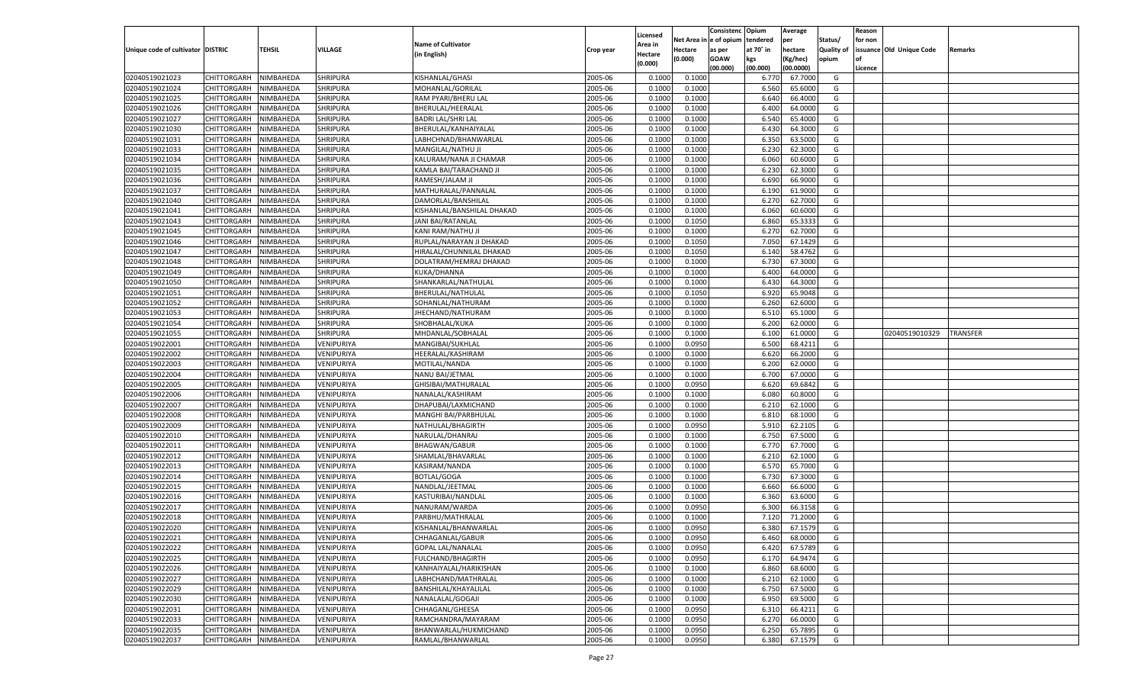|                                   |                            |                        |                          |                                          |                    |                    |                  | Consistenc    | Opium     | Average   |            | Reason  |                          |          |
|-----------------------------------|----------------------------|------------------------|--------------------------|------------------------------------------|--------------------|--------------------|------------------|---------------|-----------|-----------|------------|---------|--------------------------|----------|
|                                   |                            |                        |                          |                                          |                    | Licensed           | Net Area i       | n  e of opium | tendered  | per       | Status/    | for non |                          |          |
| Unique code of cultivator DISTRIC |                            | TEHSIL                 | VILLAGE                  | <b>Name of Cultivator</b>                | Crop year          | Area in            | Hectare          | as per        | at 70° in | hectare   | Quality of |         | issuance Old Unique Code | Remarks  |
|                                   |                            |                        |                          | (in English)                             |                    | Hectare<br>(0.000) | (0.000)          | <b>GOAW</b>   | kgs       | (Kg/hec)  | opium      |         |                          |          |
|                                   |                            |                        |                          |                                          |                    |                    |                  | (00.000)      | (00.000)  | (00.0000) |            | Licence |                          |          |
| 02040519021023                    | CHITTORGARH                | NIMBAHEDA              | <b>SHRIPURA</b>          | KISHANLAL/GHASI                          | 2005-06            | 0.1000             | 0.1000           |               | 6.770     | 67.7000   | G          |         |                          |          |
| 02040519021024                    | CHITTORGARH                | NIMBAHEDA              | SHRIPURA                 | MOHANLAL/GORILAL                         | 2005-06            | 0.1000             | 0.1000           |               | 6.560     | 65.6000   | G          |         |                          |          |
| 02040519021025                    | CHITTORGARH                | NIMBAHEDA              | <b>SHRIPURA</b>          | RAM PYARI/BHERU LAL                      | 2005-06            | 0.1000             | 0.1000           |               | 6.640     | 66.4000   | G          |         |                          |          |
| 02040519021026                    | CHITTORGARH                | NIMBAHEDA              | <b>SHRIPURA</b>          | BHERULAL/HEERALAL                        | 2005-06            | 0.1000             | 0.1000           |               | 6.400     | 64.0000   | G          |         |                          |          |
| 02040519021027                    | CHITTORGARH                | NIMBAHEDA              | SHRIPURA                 | <b>BADRI LAL/SHRI LAL</b>                | 2005-06            | 0.1000             | 0.1000           |               | 6.540     | 65.4000   | G          |         |                          |          |
| 02040519021030                    | CHITTORGARH                | NIMBAHEDA              | SHRIPURA                 | BHERULAL/KANHAIYALAL                     | 2005-06            | 0.1000             | 0.1000           |               | 6.430     | 64.3000   | G          |         |                          |          |
| 02040519021031                    | CHITTORGARH                | NIMBAHEDA              | <b>SHRIPURA</b>          | LABHCHNAD/BHANWARLAL                     | 2005-06            | 0.1000             | 0.1000           |               | 6.350     | 63.5000   | G          |         |                          |          |
| 02040519021033                    | CHITTORGARH                | NIMBAHEDA              | <b>SHRIPURA</b>          | MANGILAL/NATHU JI                        | 2005-06            | 0.1000             | 0.1000           |               | 6.230     | 62.3000   | G          |         |                          |          |
| 02040519021034                    | CHITTORGARH                | NIMBAHEDA              | SHRIPURA                 | KALURAM/NANA JI CHAMAR                   | 2005-06            | 0.1000             | 0.1000           |               | 6.060     | 60.6000   | G          |         |                          |          |
| 02040519021035                    | CHITTORGARH                | NIMBAHEDA              | SHRIPURA                 | KAMLA BAI/TARACHAND JI                   | 2005-06            | 0.1000             | 0.1000           |               | 6.230     | 62.3000   | G          |         |                          |          |
| 02040519021036                    | CHITTORGARH                | NIMBAHEDA              | <b>SHRIPURA</b>          | RAMESH/JALAM JI                          | 2005-06            | 0.1000             | 0.1000           |               | 6.690     | 66.9000   | G          |         |                          |          |
| 02040519021037                    | CHITTORGARH                | NIMBAHEDA              | <b>SHRIPURA</b>          | MATHURALAL/PANNALAL                      | 2005-06            | 0.1000             | 0.1000           |               | 6.190     | 61.9000   | G          |         |                          |          |
| 02040519021040                    | CHITTORGARH                | NIMBAHEDA              | SHRIPURA                 | DAMORLAL/BANSHILAL                       | 2005-06            | 0.1000             | 0.1000           |               | 6.27      | 62.7000   | G          |         |                          |          |
| 02040519021041                    | CHITTORGARH                | NIMBAHEDA              | SHRIPURA                 | KISHANLAL/BANSHILAL DHAKAD               | 2005-06            | 0.1000             | 0.1000           |               | 6.060     | 60.6000   | G          |         |                          |          |
| 02040519021043                    | CHITTORGARH                | NIMBAHEDA              | <b>SHRIPURA</b>          | JANI BAI/RATANLAL                        | 2005-06            | 0.1000             | 0.1050           |               | 6.860     | 65.3333   | G          |         |                          |          |
| 02040519021045                    | CHITTORGARH                | NIMBAHEDA              | SHRIPURA                 | KANI RAM/NATHU JI                        | 2005-06            | 0.1000             | 0.1000           |               | 6.270     | 62.7000   | G          |         |                          |          |
| 02040519021046                    | CHITTORGARH                | NIMBAHEDA              | <b>SHRIPURA</b>          | RUPLAL/NARAYAN JI DHAKAD                 | 2005-06            | 0.1000             | 0.1050           |               | 7.050     | 67.1429   | G          |         |                          |          |
| 02040519021047                    | CHITTORGARH                | NIMBAHEDA              | SHRIPURA                 | HIRALAL/CHUNNILAL DHAKAD                 | 2005-06            | 0.1000             | 0.1050           |               | 6.140     | 58.4762   | G          |         |                          |          |
| 02040519021048                    | CHITTORGARH                | NIMBAHEDA              | SHRIPURA                 | DOLATRAM/HEMRAJ DHAKAD                   | 2005-06            | 0.1000             | 0.1000           |               | 6.730     | 67.3000   | G          |         |                          |          |
| 02040519021049                    | CHITTORGARH                | NIMBAHEDA              | SHRIPURA                 | KUKA/DHANNA                              | 2005-06            | 0.1000             | 0.1000           |               | 6.400     | 64.0000   | G          |         |                          |          |
| 02040519021050                    | CHITTORGARH                | NIMBAHEDA              | <b>SHRIPURA</b>          | SHANKARLAL/NATHULAL                      | 2005-06            | 0.1000             | 0.1000           |               | 6.430     | 64.3000   | G          |         |                          |          |
| 02040519021051                    | CHITTORGARH                | NIMBAHEDA              | SHRIPURA                 | BHERULAL/NATHULAL                        | 2005-06            | 0.1000             | 0.1050           |               | 6.920     | 65.9048   | G          |         |                          |          |
| 02040519021052                    | CHITTORGARH                | NIMBAHEDA              | SHRIPURA                 | SOHANLAL/NATHURAM                        | 2005-06            | 0.1000             | 0.1000           |               | 6.260     | 62.6000   | G          |         |                          |          |
| 02040519021053                    | CHITTORGARH                | NIMBAHEDA              | SHRIPURA                 | JHECHAND/NATHURAM                        | 2005-06            | 0.1000             | 0.1000           |               | 6.510     | 65.1000   | G          |         |                          |          |
| 02040519021054                    | CHITTORGARH                | NIMBAHEDA              | <b>SHRIPURA</b>          | SHOBHALAL/KUKA                           | 2005-06            | 0.1000             | 0.1000           |               | 6.200     | 62.0000   | G          |         |                          |          |
| 02040519021055                    | CHITTORGARH                | NIMBAHEDA              | SHRIPURA                 | MHDANLAL/SOBHALAL                        | 2005-06            | 0.1000             | 0.1000           |               | 6.100     | 61.0000   | G          |         | 02040519010329           | TRANSFER |
| 02040519022001                    | CHITTORGARH                | NIMBAHEDA              | VENIPURIYA               | MANGIBAI/SUKHLAL                         | 2005-06            | 0.1000             | 0.0950           |               | 6.500     | 68.4211   | G          |         |                          |          |
| 02040519022002                    | CHITTORGARH                | NIMBAHEDA              | VENIPURIYA               | HEERALAL/KASHIRAM                        | 2005-06            | 0.1000             | 0.1000           |               | 6.620     | 66.2000   | G          |         |                          |          |
| 02040519022003                    | CHITTORGARH                | NIMBAHEDA              | VENIPURIYA               | MOTILAL/NANDA                            | 2005-06            | 0.1000             | 0.1000           |               | 6.200     | 62.0000   | G          |         |                          |          |
| 02040519022004                    | CHITTORGARH                | NIMBAHEDA              | VENIPURIYA               | NANU BAI/JETMAL                          | 2005-06            | 0.1000             | 0.1000           |               | 6.700     | 67.0000   | G          |         |                          |          |
| 02040519022005                    | CHITTORGARH                | NIMBAHEDA              | VENIPURIYA               | GHISIBAI/MATHURALAL                      | 2005-06            | 0.1000             | 0.0950           |               | 6.620     | 69.6842   | G          |         |                          |          |
| 02040519022006                    | CHITTORGARH                | NIMBAHEDA              | VENIPURIYA               | NANALAL/KASHIRAM                         | 2005-06            | 0.1000             | 0.1000           |               | 6.080     | 60.8000   | G          |         |                          |          |
| 02040519022007                    | CHITTORGARH                | NIMBAHEDA              | VENIPURIYA               | DHAPUBAI/LAXMICHAND                      | 2005-06            | 0.1000             | 0.1000           |               | 6.210     | 62.1000   | G          |         |                          |          |
| 02040519022008                    | CHITTORGARH                | NIMBAHEDA              | VENIPURIYA               | MANGHI BAI/PARBHULAI                     | 2005-06            | 0.1000             | 0.1000           |               | 6.810     | 68.1000   | G          |         |                          |          |
| 02040519022009                    | CHITTORGARH                | NIMBAHEDA              | VENIPURIYA               | NATHULAL/BHAGIRTH                        | 2005-06            | 0.1000             | 0.0950           |               | 5.910     | 62.2105   | G          |         |                          |          |
| 02040519022010                    | CHITTORGARH                | NIMBAHEDA              | VENIPURIYA               | NARULAL/DHANRAJ                          | 2005-06            | 0.1000             | 0.1000           |               | 6.750     | 67.5000   | G          |         |                          |          |
| 02040519022011                    | CHITTORGARH                | NIMBAHEDA              | VENIPURIYA               | <b>BHAGWAN/GABUR</b>                     | 2005-06            | 0.1000             | 0.1000           |               | 6.770     | 67.7000   | G          |         |                          |          |
| 02040519022012                    | CHITTORGARH                | NIMBAHEDA              | VENIPURIYA               | SHAMLAL/BHAVARLAI                        | 2005-06            | 0.1000             | 0.1000           |               | 6.21      | 62.1000   | G          |         |                          |          |
| 02040519022013                    | CHITTORGARH                | NIMBAHEDA              | VENIPURIYA               | KASIRAM/NANDA                            | 2005-06            | 0.1000             | 0.1000           |               | 6.570     | 65.7000   | G          |         |                          |          |
| 02040519022014                    |                            |                        |                          |                                          | 2005-06            | 0.1000             |                  |               | 6.730     | 67.3000   | G          |         |                          |          |
| 02040519022015                    | CHITTORGARH                | NIMBAHEDA<br>NIMBAHEDA | VENIPURIYA<br>VENIPURIYA | <b>BOTLAL/GOGA</b><br>NANDLAL/JEETMAL    | 2005-06            | 0.1000             | 0.1000<br>0.1000 |               |           | 66.6000   | G          |         |                          |          |
| 02040519022016                    | CHITTORGARH                |                        |                          |                                          | 2005-06            | 0.1000             |                  |               | 6.660     |           | G          |         |                          |          |
|                                   | CHITTORGARH<br>CHITTORGARH | NIMBAHEDA<br>NIMBAHEDA | VENIPURIYA               | KASTURIBAI/NANDLAL                       |                    |                    | 0.1000           |               | 6.360     | 63.6000   |            |         |                          |          |
| 02040519022017                    |                            |                        | VENIPURIYA               | NANURAM/WARDA                            | 2005-06            | 0.1000             | 0.0950           |               | 6.300     | 66.3158   | G          |         |                          |          |
| 02040519022018                    | CHITTORGARH                | NIMBAHEDA              | VENIPURIYA               | PARBHU/MATHRALAI<br>KISHANLAL/BHANWARLAL | 2005-06<br>2005-06 | 0.1000             | 0.1000<br>0.0950 |               | 7.120     | 71.2000   | G          |         |                          |          |
| 02040519022020                    | CHITTORGARH                | NIMBAHEDA              | VENIPURIYA               |                                          |                    | 0.1000             |                  |               | 6.380     | 67.1579   | G          |         |                          |          |
| 02040519022021                    | CHITTORGARH NIMBAHEDA      |                        | VENIPURIYA               | CHHAGANLAL/GABUR                         | 2005-06            | 0.1000             | 0.0950           |               | 6.460     | 68.0000   | G          |         |                          |          |
| 02040519022022                    | <b>CHITTORGARH</b>         | NIMBAHEDA              | VENIPURIYA               | <b>GOPAL LAL/NANALAL</b>                 | 2005-06            | 0.1000             | 0.0950           |               | 6.420     | 67.5789   | G          |         |                          |          |
| 02040519022025                    | CHITTORGARH                | NIMBAHEDA              | VENIPURIYA               | FULCHAND/BHAGIRTH                        | 2005-06            | 0.1000             | 0.0950           |               | 6.170     | 64.9474   | G          |         |                          |          |
| 02040519022026                    | CHITTORGARH                | NIMBAHEDA              | VENIPURIYA               | KANHAIYALAL/HARIKISHAN                   | 2005-06            | 0.1000             | 0.1000           |               | 6.860     | 68.6000   | G          |         |                          |          |
| 02040519022027                    | <b>CHITTORGARH</b>         | NIMBAHEDA              | VENIPURIYA               | LABHCHAND/MATHRALAL                      | 2005-06            | 0.1000             | 0.1000           |               | 6.210     | 62.1000   | G          |         |                          |          |
| 02040519022029                    | CHITTORGARH                | NIMBAHEDA              | VENIPURIYA               | BANSHILAL/KHAYALILAL                     | 2005-06            | 0.1000             | 0.1000           |               | 6.750     | 67.5000   | G          |         |                          |          |
| 02040519022030                    | <b>CHITTORGARH</b>         | NIMBAHEDA              | VENIPURIYA               | NANALALAL/GOGAJI                         | 2005-06            | 0.1000             | 0.1000           |               | 6.950     | 69.5000   | G          |         |                          |          |
| 02040519022031                    | CHITTORGARH                | NIMBAHEDA              | VENIPURIYA               | CHHAGANL/GHEESA                          | 2005-06            | 0.1000             | 0.0950           |               | 6.310     | 66.4211   | G          |         |                          |          |
| 02040519022033                    | CHITTORGARH                | NIMBAHEDA              | VENIPURIYA               | RAMCHANDRA/MAYARAM                       | 2005-06            | 0.1000             | 0.0950           |               | 6.270     | 66.0000   | G          |         |                          |          |
| 02040519022035                    | <b>CHITTORGARH</b>         | NIMBAHEDA              | VENIPURIYA               | BHANWARLAL/HUKMICHAND                    | 2005-06            | 0.1000             | 0.0950           |               | 6.250     | 65.7895   | G          |         |                          |          |
| 02040519022037                    | <b>CHITTORGARH</b>         | NIMBAHEDA              | VENIPURIYA               | RAMLAL/BHANWARLAL                        | 2005-06            | 0.1000             | 0.0950           |               | 6.380     | 67.1579   | G          |         |                          |          |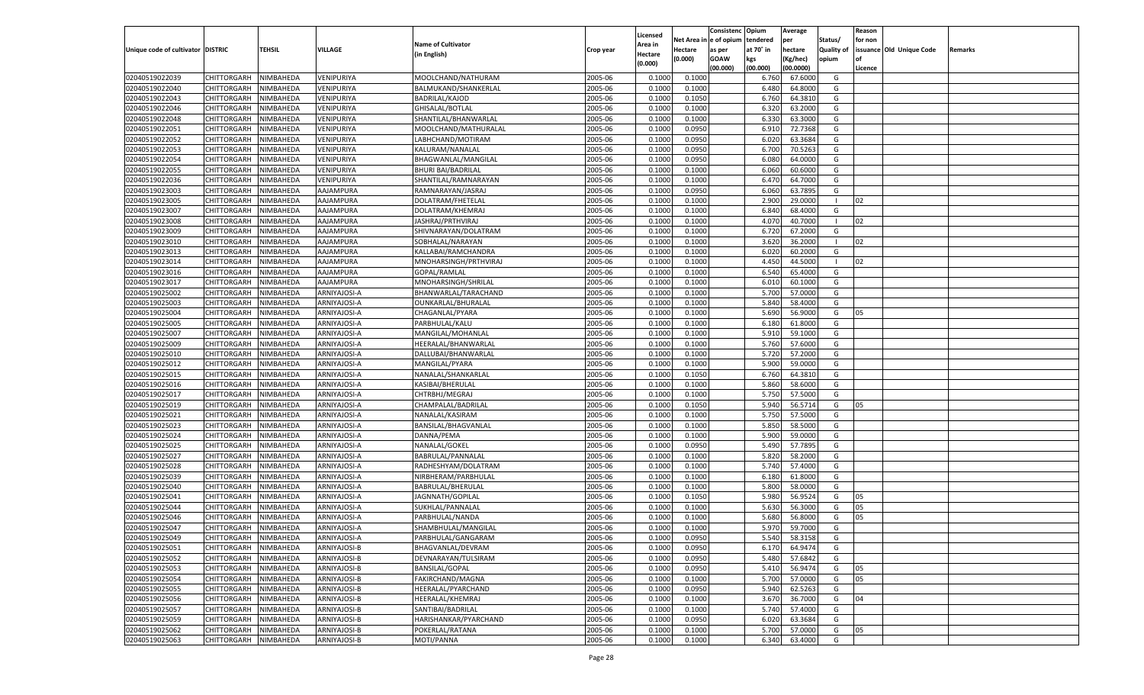|                                   |                       |                  |              |                           |           |          |            | Consistenc Opium |           | Average   |                   | Reason  |                          |                |
|-----------------------------------|-----------------------|------------------|--------------|---------------------------|-----------|----------|------------|------------------|-----------|-----------|-------------------|---------|--------------------------|----------------|
|                                   |                       |                  |              |                           |           | Licensed | Net Area i | n  e of opium    | tendered  | per       | Status/           | for non |                          |                |
| Unique code of cultivator DISTRIC |                       | <b>TEHSIL</b>    | VILLAGE      | <b>Name of Cultivator</b> | Crop year | \rea in  | Hectare    | as per           | at 70° in | hectare   | <b>Quality of</b> |         | issuance Old Unique Code | <b>Remarks</b> |
|                                   |                       |                  |              | (in English)              |           | Hectare  | (0.000)    | <b>GOAW</b>      | kgs       | (Kg/hec)  | opium             |         |                          |                |
|                                   |                       |                  |              |                           |           | (0.000)  |            | (00.000)         | (00.000)  | (00.0000) |                   | Licence |                          |                |
| 02040519022039                    | CHITTORGARH           | NIMBAHEDA        | VENIPURIYA   | MOOLCHAND/NATHURAM        | 2005-06   | 0.1000   | 0.1000     |                  | 6.760     | 67.6000   | G                 |         |                          |                |
| 02040519022040                    | CHITTORGARH           | NIMBAHEDA        | VENIPURIYA   | BALMUKAND/SHANKERLAL      | 2005-06   | 0.1000   | 0.1000     |                  | 6.480     | 64.8000   | G                 |         |                          |                |
| 02040519022043                    | CHITTORGARH           | NIMBAHEDA        | VENIPURIYA   | <b>BADRILAL/KAJOD</b>     | 2005-06   | 0.1000   | 0.1050     |                  | 6.760     | 64.3810   | G                 |         |                          |                |
| 02040519022046                    | CHITTORGARH           | NIMBAHEDA        | VENIPURIYA   | GHISALAL/BOTLAL           | 2005-06   | 0.1000   | 0.1000     |                  | 6.320     | 63.2000   | G                 |         |                          |                |
| 02040519022048                    | CHITTORGARH           | NIMBAHEDA        | VENIPURIYA   | SHANTILAL/BHANWARLAL      | 2005-06   | 0.1000   | 0.1000     |                  | 6.330     | 63.3000   | G                 |         |                          |                |
| 02040519022051                    | CHITTORGARH           | NIMBAHEDA        | VENIPURIYA   | MOOLCHAND/MATHURALAL      | 2005-06   | 0.1000   | 0.0950     |                  | 6.910     | 72.7368   | G                 |         |                          |                |
| 02040519022052                    | CHITTORGARH           | NIMBAHEDA        | VENIPURIYA   | LABHCHAND/MOTIRAM         | 2005-06   | 0.1000   | 0.0950     |                  | 6.020     | 63.3684   | G                 |         |                          |                |
| 02040519022053                    | CHITTORGARH           | NIMBAHEDA        | VENIPURIYA   | KALURAM/NANALAL           | 2005-06   | 0.1000   | 0.0950     |                  | 6.700     | 70.5263   | G                 |         |                          |                |
|                                   |                       |                  |              |                           |           |          |            |                  |           |           | G                 |         |                          |                |
| 02040519022054                    | CHITTORGARH           | NIMBAHEDA        | VENIPURIYA   | BHAGWANLAL/MANGILAL       | 2005-06   | 0.1000   | 0.0950     |                  | 6.080     | 64.0000   |                   |         |                          |                |
| 02040519022055                    | CHITTORGARH           | NIMBAHEDA        | VENIPURIYA   | <b>BHURI BAI/BADRILAL</b> | 2005-06   | 0.1000   | 0.1000     |                  | 6.060     | 60.6000   | G                 |         |                          |                |
| 02040519022036                    | CHITTORGARH           | NIMBAHEDA        | VENIPURIYA   | SHANTILAL/RAMNARAYAN      | 2005-06   | 0.1000   | 0.1000     |                  | 6.470     | 64.7000   | G                 |         |                          |                |
| 02040519023003                    | CHITTORGARH           | NIMBAHEDA        | AAJAMPURA    | RAMNARAYAN/JASRAJ         | 2005-06   | 0.1000   | 0.0950     |                  | 6.060     | 63.7895   | G                 |         |                          |                |
| 02040519023005                    | CHITTORGARH           | NIMBAHEDA        | AAJAMPURA    | DOLATRAM/FHETELAL         | 2005-06   | 0.1000   | 0.1000     |                  | 2.900     | 29.0000   | - 1               | 02      |                          |                |
| 02040519023007                    | CHITTORGARH           | NIMBAHEDA        | AAJAMPURA    | DOLATRAM/KHEMRAJ          | 2005-06   | 0.1000   | 0.1000     |                  | 6.840     | 68.4000   | G                 |         |                          |                |
| 02040519023008                    | CHITTORGARH           | NIMBAHEDA        | AAJAMPURA    | JASHRAJ/PRTHVIRAJ         | 2005-06   | 0.1000   | 0.1000     |                  | 4.070     | 40.7000   | - 1               | 02      |                          |                |
| 02040519023009                    | CHITTORGARH           | NIMBAHEDA        | AAJAMPURA    | SHIVNARAYAN/DOLATRAM      | 2005-06   | 0.1000   | 0.1000     |                  | 6.720     | 67.2000   | G                 |         |                          |                |
| 02040519023010                    | CHITTORGARH           | NIMBAHEDA        | AAJAMPURA    | SOBHALAL/NARAYAN          | 2005-06   | 0.1000   | 0.1000     |                  | 3.620     | 36.2000   | - 1               | 02      |                          |                |
| 02040519023013                    | CHITTORGARH           | NIMBAHEDA        | AAJAMPURA    | KALLABAI/RAMCHANDRA       | 2005-06   | 0.1000   | 0.1000     |                  | 6.020     | 60.2000   | G                 |         |                          |                |
| 02040519023014                    | CHITTORGARH           | NIMBAHEDA        | AAJAMPURA    | MNOHARSINGH/PRTHVIRAJ     | 2005-06   | 0.1000   | 0.1000     |                  | 4.450     | 44.5000   | - 1               | 02      |                          |                |
| 02040519023016                    | CHITTORGARH           | NIMBAHEDA        | AAJAMPURA    | GOPAL/RAMLAL              | 2005-06   | 0.1000   | 0.1000     |                  | 6.540     | 65.4000   | G                 |         |                          |                |
| 02040519023017                    | CHITTORGARH           | NIMBAHEDA        | AAJAMPURA    | MNOHARSINGH/SHRILAL       | 2005-06   | 0.1000   | 0.1000     |                  | 6.010     | 60.1000   | G                 |         |                          |                |
| 02040519025002                    | CHITTORGARH           | NIMBAHEDA        | ARNIYAJOSI-A | BHANWARLAL/TARACHAND      | 2005-06   | 0.1000   | 0.1000     |                  | 5.700     | 57.0000   | G                 |         |                          |                |
| 02040519025003                    | CHITTORGARH           | NIMBAHEDA        | ARNIYAJOSI-A | OUNKARLAL/BHURALAL        | 2005-06   | 0.1000   | 0.1000     |                  | 5.840     | 58.4000   | G                 |         |                          |                |
| 02040519025004                    | CHITTORGARH           | NIMBAHEDA        | ARNIYAJOSI-A | CHAGANLAL/PYARA           | 2005-06   | 0.1000   | 0.1000     |                  | 5.690     | 56.9000   | G                 | 05      |                          |                |
| 02040519025005                    | CHITTORGARH           | NIMBAHEDA        | ARNIYAJOSI-A | PARBHULAL/KALU            | 2005-06   | 0.1000   | 0.1000     |                  | 6.180     | 61.8000   | G                 |         |                          |                |
| 02040519025007                    | CHITTORGARH           | NIMBAHEDA        | ARNIYAJOSI-A | MANGILAL/MOHANLAL         | 2005-06   | 0.1000   | 0.1000     |                  | 5.910     | 59.1000   | G                 |         |                          |                |
| 02040519025009                    | CHITTORGARH           | NIMBAHEDA        | ARNIYAJOSI-A | HEERALAL/BHANWARLAL       | 2005-06   | 0.1000   | 0.1000     |                  | 5.760     | 57.6000   | G                 |         |                          |                |
| 02040519025010                    | CHITTORGARH           | NIMBAHEDA        | ARNIYAJOSI-A | DALLUBAI/BHANWARLAL       | 2005-06   | 0.1000   | 0.1000     |                  | 5.720     | 57.2000   | G                 |         |                          |                |
| 02040519025012                    | CHITTORGARH           | NIMBAHEDA        | ARNIYAJOSI-A | MANGILAL/PYARA            | 2005-06   | 0.1000   | 0.1000     |                  | 5.900     | 59.0000   | G                 |         |                          |                |
|                                   |                       |                  |              |                           | 2005-06   |          |            |                  |           |           | G                 |         |                          |                |
| 02040519025015                    | CHITTORGARH           | NIMBAHEDA        | ARNIYAJOSI-A | NANALAL/SHANKARLAL        |           | 0.1000   | 0.1050     |                  | 6.760     | 64.3810   |                   |         |                          |                |
| 02040519025016                    | CHITTORGARH           | NIMBAHEDA        | ARNIYAJOSI-A | KASIBAI/BHERULAL          | 2005-06   | 0.1000   | 0.1000     |                  | 5.860     | 58.6000   | G                 |         |                          |                |
| 02040519025017                    | CHITTORGARH           | NIMBAHEDA        | ARNIYAJOSI-A | CHTRBHJ/MEGRAJ            | 2005-06   | 0.1000   | 0.1000     |                  | 5.750     | 57.5000   | G                 |         |                          |                |
| 02040519025019                    | CHITTORGARH           | NIMBAHEDA        | ARNIYAJOSI-A | CHAMPALAL/BADRILAL        | 2005-06   | 0.1000   | 0.1050     |                  | 5.940     | 56.5714   | G                 | 05      |                          |                |
| 02040519025021                    | CHITTORGARH           | NIMBAHEDA        | ARNIYAJOSI-A | NANALAL/KASIRAM           | 2005-06   | 0.1000   | 0.1000     |                  | 5.750     | 57.5000   | G                 |         |                          |                |
| 02040519025023                    | CHITTORGARH           | NIMBAHEDA        | ARNIYAJOSI-A | BANSILAL/BHAGVANLAL       | 2005-06   | 0.1000   | 0.1000     |                  | 5.850     | 58.5000   | G                 |         |                          |                |
| 02040519025024                    | CHITTORGARH           | NIMBAHEDA        | ARNIYAJOSI-A | DANNA/PEMA                | 2005-06   | 0.1000   | 0.1000     |                  | 5.900     | 59.0000   | G                 |         |                          |                |
| 02040519025025                    | CHITTORGARH           | NIMBAHEDA        | ARNIYAJOSI-A | NANALAL/GOKEL             | 2005-06   | 0.1000   | 0.0950     |                  | 5.490     | 57.7895   | G                 |         |                          |                |
| 02040519025027                    | CHITTORGARH           | NIMBAHEDA        | ARNIYAJOSI-A | BABRULAL/PANNALAL         | 2005-06   | 0.1000   | 0.1000     |                  | 5.820     | 58.2000   | G                 |         |                          |                |
| 02040519025028                    | CHITTORGARH           | NIMBAHEDA        | ARNIYAJOSI-A | RADHESHYAM/DOLATRAM       | 2005-06   | 0.1000   | 0.1000     |                  | 5.740     | 57.4000   | G                 |         |                          |                |
| 02040519025039                    | CHITTORGARH           | NIMBAHEDA        | ARNIYAJOSI-A | NIRBHERAM/PARBHULAL       | 2005-06   | 0.1000   | 0.1000     |                  | 6.180     | 61.8000   | G                 |         |                          |                |
| 02040519025040                    | CHITTORGARH           | NIMBAHEDA        | ARNIYAJOSI-A | BABRULAL/BHERULAL         | 2005-06   | 0.1000   | 0.1000     |                  | 5.800     | 58.0000   | G                 |         |                          |                |
| 02040519025041                    | CHITTORGARH           | NIMBAHEDA        | ARNIYAJOSI-A | JAGNNATH/GOPILAL          | 2005-06   | 0.1000   | 0.1050     |                  | 5.980     | 56.9524   | G                 | 05      |                          |                |
| 02040519025044                    | CHITTORGARH           | NIMBAHEDA        | ARNIYAJOSI-A | SUKHLAL/PANNALAL          | 2005-06   | 0.1000   | 0.1000     |                  | 5.630     | 56.3000   | G                 | 05      |                          |                |
| 02040519025046                    | CHITTORGARH           | NIMBAHEDA        | ARNIYAJOSI-A | PARBHULAL/NANDA           | 2005-06   | 0.1000   | 0.1000     |                  | 5.680     | 56.8000   | G                 | 05      |                          |                |
| 02040519025047                    | CHITTORGARH           | NIMBAHEDA        | ARNIYAJOSI-A | SHAMBHULAL/MANGILAL       | 2005-06   | 0.1000   | 0.1000     |                  | 5.970     | 59.7000   | G                 |         |                          |                |
| 02040519025049                    | CHITTORGARH NIMBAHEDA |                  | ARNIYAJOSI-A | PARBHULAL/GANGARAM        | 2005-06   | 0.1000   | 0.0950     |                  | 5.540     | 58.3158   | G                 |         |                          |                |
| 02040519025051                    | CHITTORGARH           | NIMBAHEDA        | ARNIYAJOSI-B | BHAGVANLAL/DEVRAM         | 2005-06   | 0.1000   | 0.0950     |                  | 6.170     | 64.9474   | G                 |         |                          |                |
| 02040519025052                    | CHITTORGARH           | NIMBAHEDA        | ARNIYAJOSI-B | DEVNARAYAN/TULSIRAM       | 2005-06   | 0.1000   | 0.0950     |                  | 5.480     | 57.6842   | G                 |         |                          |                |
| 02040519025053                    | <b>CHITTORGARH</b>    | NIMBAHEDA        | ARNIYAJOSI-B | BANSILAL/GOPAL            | 2005-06   | 0.1000   | 0.0950     |                  | 5.410     | 56.9474   | G                 | 05      |                          |                |
| 02040519025054                    | <b>CHITTORGARH</b>    | NIMBAHEDA        | ARNIYAJOSI-B | FAKIRCHAND/MAGNA          | 2005-06   | 0.1000   | 0.1000     |                  | 5.700     | 57.0000   | G                 | 05      |                          |                |
| 02040519025055                    | <b>CHITTORGARH</b>    | NIMBAHEDA        | ARNIYAJOSI-B | HEERALAL/PYARCHAND        | 2005-06   | 0.1000   | 0.0950     |                  | 5.940     | 62.5263   | G                 |         |                          |                |
| 02040519025056                    | CHITTORGARH           | NIMBAHEDA        | ARNIYAJOSI-B | HEERALAL/KHEMRAJ          | 2005-06   | 0.1000   | 0.1000     |                  | 3.670     | 36.7000   | G                 | 04      |                          |                |
| 02040519025057                    | <b>CHITTORGARH</b>    | NIMBAHEDA        | ARNIYAJOSI-B | SANTIBAI/BADRILAL         | 2005-06   | 0.1000   | 0.1000     |                  | 5.740     | 57.4000   | G                 |         |                          |                |
| 02040519025059                    | <b>CHITTORGARH</b>    | NIMBAHEDA        | ARNIYAJOSI-B | HARISHANKAR/PYARCHAND     | 2005-06   | 0.1000   | 0.0950     |                  | 6.020     | 63.3684   | G                 |         |                          |                |
| 02040519025062                    | <b>CHITTORGARH</b>    |                  | ARNIYAJOSI-B | POKERLAL/RATANA           | 2005-06   |          | 0.1000     |                  |           | 57.0000   | G                 |         |                          |                |
|                                   |                       | NIMBAHEDA        |              |                           |           | 0.1000   |            |                  | 5.700     |           |                   | 05      |                          |                |
| 02040519025063                    | CHITTORGARH           | <b>NIMBAHEDA</b> | ARNIYAJOSI-B | MOTI/PANNA                | 2005-06   | 0.1000   | 0.1000     |                  | 6.340     | 63.4000   | G                 |         |                          |                |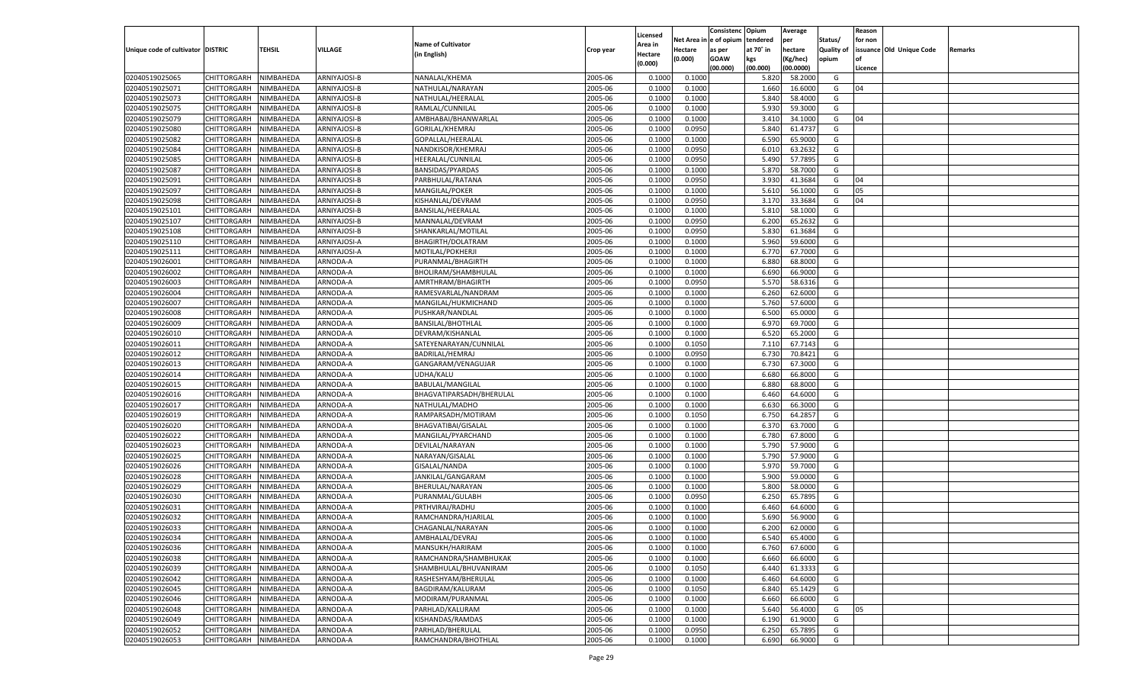|                                   |                       |               |              |                           |           |                           |          | Consistenc  | Opium     | Average   |                   | Reason  |                          |         |
|-----------------------------------|-----------------------|---------------|--------------|---------------------------|-----------|---------------------------|----------|-------------|-----------|-----------|-------------------|---------|--------------------------|---------|
|                                   |                       |               |              | <b>Name of Cultivator</b> |           | Licensed                  | Net Area | e of opium  | tendered  | per       | Status/           | for non |                          |         |
| Unique code of cultivator DISTRIC |                       | <b>TEHSIL</b> | VILLAGE      | (in English)              | Crop year | <b>Area in</b><br>Hectare | Hectare  | as per      | at 70° in | hectare   | <b>Quality of</b> |         | issuance Old Unique Code | Remarks |
|                                   |                       |               |              |                           |           | (0.000)                   | (0.000)  | <b>GOAW</b> | kgs       | (Kg/hec)  | opium             |         |                          |         |
|                                   |                       |               |              |                           |           |                           |          | (00.000)    | (00.000)  | (00.0000) |                   | Licence |                          |         |
| 02040519025065                    | CHITTORGARH           | NIMBAHEDA     | ARNIYAJOSI-B | NANALAL/KHEMA             | 2005-06   | 0.1000                    | 0.1000   |             | 5.820     | 58.2000   | G                 |         |                          |         |
| 02040519025071                    | CHITTORGARH           | NIMBAHEDA     | ARNIYAJOSI-B | NATHULAL/NARAYAN          | 2005-06   | 0.1000                    | 0.1000   |             | 1.660     | 16.6000   | G                 | 04      |                          |         |
| 02040519025073                    | CHITTORGARH           | NIMBAHEDA     | ARNIYAJOSI-B | NATHULAL/HEERALAL         | 2005-06   | 0.1000                    | 0.1000   |             | 5.840     | 58.4000   | G                 |         |                          |         |
| 02040519025075                    | CHITTORGARH           | NIMBAHEDA     | ARNIYAJOSI-B | RAMLAL/CUNNILAL           | 2005-06   | 0.1000                    | 0.1000   |             | 5.930     | 59.3000   | G                 |         |                          |         |
| 02040519025079                    | CHITTORGARH           | NIMBAHEDA     | ARNIYAJOSI-B | AMBHABAI/BHANWARLAL       | 2005-06   | 0.1000                    | 0.1000   |             | 3.410     | 34.1000   | G                 | 04      |                          |         |
| 02040519025080                    | CHITTORGARH           | NIMBAHEDA     | ARNIYAJOSI-B | GORILAL/KHEMRAJ           | 2005-06   | 0.1000                    | 0.0950   |             | 5.840     | 61.4737   | G                 |         |                          |         |
| 02040519025082                    | CHITTORGARH           | NIMBAHEDA     | ARNIYAJOSI-B | GOPALLAL/HEERALAI         | 2005-06   | 0.1000                    | 0.1000   |             | 6.590     | 65.9000   | G                 |         |                          |         |
| 02040519025084                    | CHITTORGARH           | NIMBAHEDA     | ARNIYAJOSI-B | NANDKISOR/KHEMRAJ         | 2005-06   | 0.1000                    | 0.0950   |             | 6.010     | 63.2632   | G                 |         |                          |         |
| 02040519025085                    | CHITTORGARH           | NIMBAHEDA     | ARNIYAJOSI-B | HEERALAL/CUNNILAL         | 2005-06   | 0.1000                    | 0.0950   |             | 5.490     | 57.7895   | G                 |         |                          |         |
| 02040519025087                    | CHITTORGARH           | NIMBAHEDA     | ARNIYAJOSI-B | BANSIDAS/PYARDAS          | 2005-06   | 0.1000                    | 0.1000   |             | 5.870     | 58.7000   | G                 |         |                          |         |
| 02040519025091                    | CHITTORGARH           | NIMBAHEDA     | ARNIYAJOSI-B | PARBHULAL/RATANA          | 2005-06   | 0.1000                    | 0.0950   |             | 3.930     | 41.3684   | G                 | 04      |                          |         |
| 02040519025097                    | CHITTORGARH           | NIMBAHEDA     | ARNIYAJOSI-B | MANGILAL/POKER            | 2005-06   | 0.1000                    | 0.1000   |             | 5.610     | 56.1000   | G                 | 05      |                          |         |
| 02040519025098                    | CHITTORGARH           | NIMBAHEDA     | ARNIYAJOSI-B | KISHANLAL/DEVRAM          | 2005-06   | 0.1000                    | 0.0950   |             | 3.17      | 33.3684   | G                 | 04      |                          |         |
| 02040519025101                    | CHITTORGARH           | NIMBAHEDA     | ARNIYAJOSI-B | BANSILAL/HEERALAL         | 2005-06   | 0.1000                    | 0.1000   |             | 5.810     | 58.1000   | G                 |         |                          |         |
| 02040519025107                    | CHITTORGARH           | NIMBAHEDA     | ARNIYAJOSI-B | MANNALAL/DEVRAM           | 2005-06   | 0.1000                    | 0.0950   |             | 6.200     | 65.2632   | G                 |         |                          |         |
| 02040519025108                    | CHITTORGARH           | NIMBAHEDA     | ARNIYAJOSI-B | SHANKARLAL/MOTILAL        | 2005-06   | 0.1000                    | 0.0950   |             | 5.830     | 61.3684   | G                 |         |                          |         |
| 02040519025110                    | CHITTORGARH           | NIMBAHEDA     | ARNIYAJOSI-A | BHAGIRTH/DOLATRAM         | 2005-06   | 0.1000                    | 0.1000   |             | 5.960     | 59.6000   | G                 |         |                          |         |
| 02040519025111                    | CHITTORGARH           | NIMBAHEDA     | ARNIYAJOSI-A | MOTILAL/POKHERJI          | 2005-06   | 0.1000                    | 0.1000   |             | 6.77      | 67.7000   | G                 |         |                          |         |
| 02040519026001                    | CHITTORGARH           | NIMBAHEDA     | ARNODA-A     | PURANMAL/BHAGIRTH         | 2005-06   | 0.1000                    | 0.1000   |             | 6.880     | 68.8000   | G                 |         |                          |         |
| 02040519026002                    | CHITTORGARH           | NIMBAHEDA     | ARNODA-A     | BHOLIRAM/SHAMBHULAL       | 2005-06   | 0.1000                    | 0.1000   |             | 6.690     | 66.9000   | G                 |         |                          |         |
| 02040519026003                    | CHITTORGARH           | NIMBAHEDA     | ARNODA-A     | AMRTHRAM/BHAGIRTH         | 2005-06   | 0.1000                    | 0.0950   |             | 5.570     | 58.6316   | G                 |         |                          |         |
| 02040519026004                    | CHITTORGARH           | NIMBAHEDA     | ARNODA-A     | RAMESVARLAL/NANDRAM       | 2005-06   | 0.1000                    | 0.1000   |             | 6.260     | 62.6000   | G                 |         |                          |         |
| 02040519026007                    | CHITTORGARH           | NIMBAHEDA     | ARNODA-A     | MANGILAL/HUKMICHAND       | 2005-06   | 0.1000                    | 0.1000   |             | 5.760     | 57.6000   | G                 |         |                          |         |
| 02040519026008                    | CHITTORGARH           | NIMBAHEDA     | ARNODA-A     | PUSHKAR/NANDLAL           | 2005-06   | 0.1000                    | 0.1000   |             | 6.500     | 65.0000   | G                 |         |                          |         |
| 02040519026009                    | CHITTORGARH           | NIMBAHEDA     | ARNODA-A     | <b>BANSILAL/BHOTHLAI</b>  | 2005-06   | 0.1000                    | 0.1000   |             | 6.970     | 69.7000   | G                 |         |                          |         |
| 02040519026010                    | CHITTORGARH           | NIMBAHEDA     | ARNODA-A     | DEVRAM/KISHANLAL          | 2005-06   | 0.1000                    | 0.1000   |             | 6.520     | 65.2000   | G                 |         |                          |         |
| 02040519026011                    | CHITTORGARH           | NIMBAHEDA     | ARNODA-A     | SATEYENARAYAN/CUNNILAL    | 2005-06   | 0.1000                    | 0.1050   |             | 7.110     | 67.7143   | G                 |         |                          |         |
| 02040519026012                    | CHITTORGARH           | NIMBAHEDA     | ARNODA-A     | BADRILAL/HEMRAJ           | 2005-06   | 0.1000                    | 0.0950   |             | 6.730     | 70.8421   | G                 |         |                          |         |
| 02040519026013                    | CHITTORGARH           | NIMBAHEDA     | ARNODA-A     | GANGARAM/VENAGUJAR        | 2005-06   | 0.1000                    | 0.1000   |             | 6.730     | 67.3000   | G                 |         |                          |         |
| 02040519026014                    | CHITTORGARH           | NIMBAHEDA     | ARNODA-A     | UDHA/KALU                 | 2005-06   | 0.1000                    | 0.1000   |             | 6.680     | 66.8000   | G                 |         |                          |         |
| 02040519026015                    | CHITTORGARH           | NIMBAHEDA     | ARNODA-A     | BABULAL/MANGILAL          | 2005-06   | 0.1000                    | 0.1000   |             | 6.880     | 68.8000   | G                 |         |                          |         |
| 02040519026016                    | CHITTORGARH           | NIMBAHEDA     | ARNODA-A     | BHAGVATIPARSADH/BHERULAL  | 2005-06   | 0.1000                    | 0.1000   |             | 6.460     | 64.6000   | G                 |         |                          |         |
| 02040519026017                    | CHITTORGARH           | NIMBAHEDA     | ARNODA-A     | NATHULAL/MADHO            | 2005-06   | 0.1000                    | 0.1000   |             | 6.630     | 66.3000   | G                 |         |                          |         |
| 02040519026019                    | CHITTORGARH           | NIMBAHEDA     | ARNODA-A     | RAMPARSADH/MOTIRAM        | 2005-06   | 0.1000                    | 0.1050   |             | 6.750     | 64.285    | G                 |         |                          |         |
| 02040519026020                    | CHITTORGARH           | NIMBAHEDA     | ARNODA-A     | BHAGVATIBAI/GISALAL       | 2005-06   | 0.1000                    | 0.1000   |             | 6.370     | 63.7000   | G                 |         |                          |         |
| 02040519026022                    | CHITTORGARH           | NIMBAHEDA     | ARNODA-A     | MANGILAL/PYARCHAND        | 2005-06   | 0.1000                    | 0.1000   |             | 6.780     | 67.8000   | G                 |         |                          |         |
| 02040519026023                    | CHITTORGARH           | NIMBAHEDA     | ARNODA-A     | DEVILAL/NARAYAN           | 2005-06   | 0.1000                    | 0.1000   |             | 5.790     | 57.9000   | G                 |         |                          |         |
| 02040519026025                    | CHITTORGARH           | NIMBAHEDA     | ARNODA-A     | NARAYAN/GISALAL           | 2005-06   | 0.1000                    | 0.1000   |             | 5.790     | 57.9000   | G                 |         |                          |         |
| 02040519026026                    | CHITTORGARH           | NIMBAHEDA     | ARNODA-A     | GISALAL/NANDA             | 2005-06   | 0.1000                    | 0.1000   |             | 5.970     | 59.7000   | G                 |         |                          |         |
| 02040519026028                    | CHITTORGARH           | NIMBAHEDA     | ARNODA-A     | JANKILAL/GANGARAM         | 2005-06   | 0.1000                    | 0.1000   |             | 5.900     | 59.0000   | G                 |         |                          |         |
| 02040519026029                    | CHITTORGARH           | NIMBAHEDA     | ARNODA-A     | BHERULAL/NARAYAN          | 2005-06   | 0.1000                    | 0.1000   |             | 5.800     | 58.0000   | G                 |         |                          |         |
| 02040519026030                    | CHITTORGARH           | NIMBAHEDA     | ARNODA-A     | PURANMAL/GULABH           | 2005-06   | 0.1000                    | 0.0950   |             | 6.250     | 65.7895   | G                 |         |                          |         |
| 02040519026031                    | CHITTORGARH           | NIMBAHEDA     | ARNODA-A     | PRTHVIRAJ/RADHU           | 2005-06   | 0.1000                    | 0.1000   |             | 6.460     | 64.6000   | G                 |         |                          |         |
| 02040519026032                    | CHITTORGARH           | NIMBAHEDA     | ARNODA-A     | RAMCHANDRA/HJARILAL       | 2005-06   | 0.1000                    | 0.1000   |             | 5.69      | 56.9000   | G                 |         |                          |         |
| 02040519026033                    |                       | NIMBAHEDA     | ARNODA-A     | CHAGANLAL/NARAYAN         | 2005-06   | 0.1000                    | 0.1000   |             | 6.200     | 62.0000   | G                 |         |                          |         |
|                                   | CHITTORGARH           |               |              |                           |           |                           |          |             |           |           |                   |         |                          |         |
| 02040519026034                    | CHITTORGARH NIMBAHEDA |               | ARNODA-A     | AMBHALAL/DEVRAJ           | 2005-06   | 0.1000                    | 0.1000   |             | 6.540     | 65.4000   | G                 |         |                          |         |
| 02040519026036                    | <b>CHITTORGARH</b>    | NIMBAHEDA     | ARNODA-A     | MANSUKH/HARIRAM           | 2005-06   | 0.1000                    | 0.1000   |             | 6.760     | 67.6000   | G                 |         |                          |         |
| 02040519026038                    | CHITTORGARH           | NIMBAHEDA     | ARNODA-A     | RAMCHANDRA/SHAMBHUKAK     | 2005-06   | 0.1000                    | 0.1000   |             | 6.660     | 66.6000   | G                 |         |                          |         |
| 02040519026039                    | <b>CHITTORGARH</b>    | NIMBAHEDA     | ARNODA-A     | SHAMBHULAL/BHUVANIRAM     | 2005-06   | 0.1000                    | 0.1050   |             | 6.440     | 61.3333   | G                 |         |                          |         |
| 02040519026042                    | <b>CHITTORGARH</b>    | NIMBAHEDA     | ARNODA-A     | RASHESHYAM/BHERULAL       | 2005-06   | 0.1000                    | 0.1000   |             | 6.460     | 64.6000   | G                 |         |                          |         |
| 02040519026045                    | <b>CHITTORGARH</b>    | NIMBAHEDA     | ARNODA-A     | BAGDIRAM/KALURAM          | 2005-06   | 0.1000                    | 0.1050   |             | 6.840     | 65.1429   | G                 |         |                          |         |
| 02040519026046                    | <b>CHITTORGARH</b>    | NIMBAHEDA     | ARNODA-A     | MODIRAM/PURANMAL          | 2005-06   | 0.1000                    | 0.1000   |             | 6.660     | 66.6000   | G                 |         |                          |         |
| 02040519026048                    | <b>CHITTORGARH</b>    | NIMBAHEDA     | ARNODA-A     | PARHLAD/KALURAM           | 2005-06   | 0.1000                    | 0.1000   |             | 5.640     | 56.4000   | G                 | 05      |                          |         |
| 02040519026049                    | <b>CHITTORGARH</b>    | NIMBAHEDA     | ARNODA-A     | KISHANDAS/RAMDAS          | 2005-06   | 0.1000                    | 0.1000   |             | 6.190     | 61.9000   | G                 |         |                          |         |
| 02040519026052                    | <b>CHITTORGARH</b>    | NIMBAHEDA     | ARNODA-A     | PARHLAD/BHERULAL          | 2005-06   | 0.1000                    | 0.0950   |             | 6.250     | 65.7895   | G                 |         |                          |         |
| 02040519026053                    | <b>CHITTORGARH</b>    | NIMBAHEDA     | ARNODA-A     | RAMCHANDRA/BHOTHLAL       | 2005-06   | 0.1000                    | 0.1000   |             | 6.690     | 66.9000   | G                 |         |                          |         |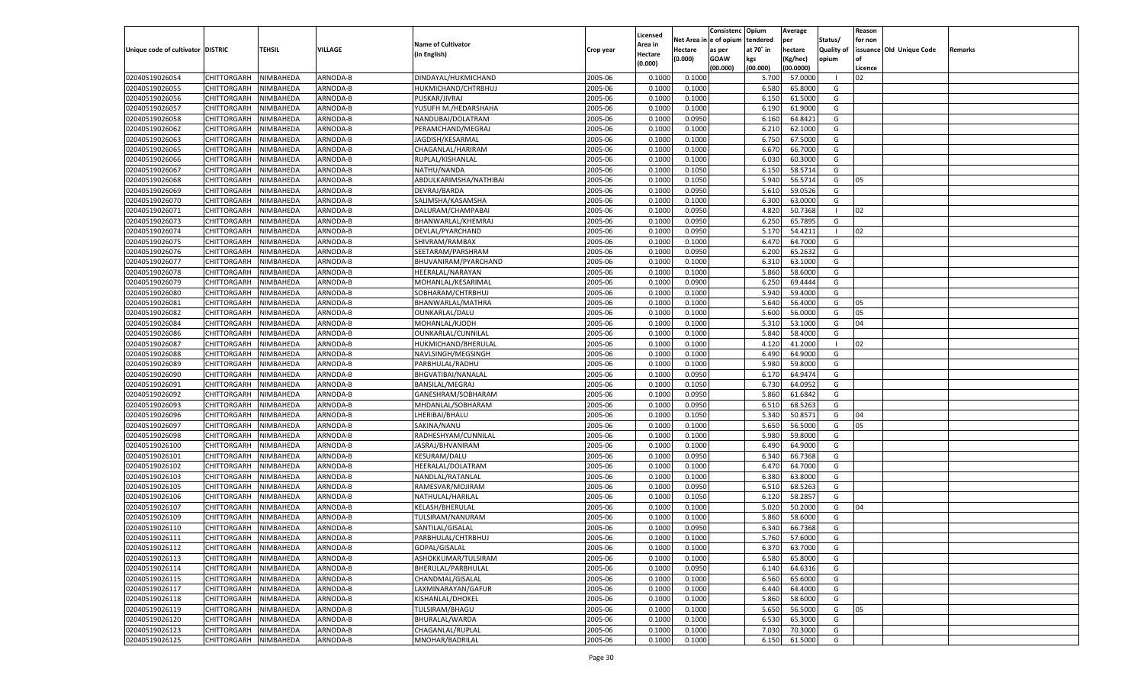|                                   |                       |               |          |                           |           |                    |            | Consistenc Opium |           | Average   |                   | Reason  |                          |                |
|-----------------------------------|-----------------------|---------------|----------|---------------------------|-----------|--------------------|------------|------------------|-----------|-----------|-------------------|---------|--------------------------|----------------|
|                                   |                       |               |          | <b>Name of Cultivator</b> |           | Licensed           | Net Area i | n  e of opium    | tendered  | per       | Status/           | for non |                          |                |
| Unique code of cultivator DISTRIC |                       | <b>TEHSIL</b> | VILLAGE  |                           | Crop year | \rea in            | Hectare    | as per           | at 70° in | hectare   | <b>Quality of</b> |         | issuance Old Unique Code | <b>Remarks</b> |
|                                   |                       |               |          | (in English)              |           | Hectare<br>(0.000) | (0.000)    | <b>GOAW</b>      | kgs       | (Kg/hec)  | opium             |         |                          |                |
|                                   |                       |               |          |                           |           |                    |            | (00.000)         | (00.000)  | (00.0000) |                   | Licence |                          |                |
| 02040519026054                    | CHITTORGARH           | NIMBAHEDA     | ARNODA-B | DINDAYAL/HUKMICHAND       | 2005-06   | 0.1000             | 0.1000     |                  | 5.700     | 57.000    | - 1               | 02      |                          |                |
| 02040519026055                    | CHITTORGARH           | NIMBAHEDA     | ARNODA-B | HUKMICHAND/CHTRBHUJ       | 2005-06   | 0.1000             | 0.1000     |                  | 6.580     | 65.8000   | G                 |         |                          |                |
| 02040519026056                    | CHITTORGARH           | NIMBAHEDA     | ARNODA-B | PUSKAR/JIVRAJ             | 2005-06   | 0.1000             | 0.1000     |                  | 6.150     | 61.5000   | G                 |         |                          |                |
| 02040519026057                    | CHITTORGARH           | NIMBAHEDA     | ARNODA-B | YUSUFH M./HEDARSHAHA      | 2005-06   | 0.1000             | 0.1000     |                  | 6.190     | 61.9000   | G                 |         |                          |                |
| 02040519026058                    | CHITTORGARH           | NIMBAHEDA     | ARNODA-B | NANDUBAI/DOLATRAM         | 2005-06   | 0.1000             | 0.0950     |                  | 6.160     | 64.8421   | G                 |         |                          |                |
| 02040519026062                    | CHITTORGARH           | NIMBAHEDA     | ARNODA-B | PERAMCHAND/MEGRAJ         | 2005-06   | 0.1000             | 0.1000     |                  | 6.210     | 62.1000   | G                 |         |                          |                |
| 02040519026063                    | CHITTORGARH           | NIMBAHEDA     | ARNODA-B | JAGDISH/KESARMAL          | 2005-06   | 0.1000             | 0.1000     |                  | 6.750     | 67.5000   | G                 |         |                          |                |
| 02040519026065                    | CHITTORGARH           | NIMBAHEDA     | ARNODA-B | CHAGANLAL/HARIRAM         | 2005-06   | 0.1000             | 0.1000     |                  | 6.67      | 66.7000   | G                 |         |                          |                |
| 02040519026066                    | CHITTORGARH           | NIMBAHEDA     | ARNODA-B | RUPLAL/KISHANLAL          | 2005-06   | 0.1000             | 0.1000     |                  | 6.030     | 60.3000   | G                 |         |                          |                |
| 02040519026067                    | CHITTORGARH           | NIMBAHEDA     | ARNODA-B | NATHU/NANDA               | 2005-06   | 0.1000             | 0.1050     |                  | 6.15      | 58.5714   | G                 |         |                          |                |
| 02040519026068                    | CHITTORGARH           | NIMBAHEDA     | ARNODA-B | ABDULKARIMSHA/NATHIBAI    | 2005-06   | 0.1000             | 0.1050     |                  | 5.940     | 56.5714   | G                 | 05      |                          |                |
| 02040519026069                    | CHITTORGARH           | NIMBAHEDA     | ARNODA-B | DEVRAJ/BARDA              | 2005-06   | 0.1000             | 0.0950     |                  | 5.610     | 59.0526   | G                 |         |                          |                |
| 02040519026070                    | CHITTORGARH           | NIMBAHEDA     | ARNODA-B | SALIMSHA/KASAMSHA         | 2005-06   | 0.1000             | 0.1000     |                  | 6.300     | 63.0000   | G                 |         |                          |                |
| 02040519026071                    | CHITTORGARH           | NIMBAHEDA     | ARNODA-B | DALURAM/CHAMPABAI         | 2005-06   | 0.1000             | 0.0950     |                  | 4.82      | 50.7368   | - 1               | 02      |                          |                |
| 02040519026073                    | CHITTORGARH           | NIMBAHEDA     | ARNODA-B | BHANWARLAL/KHEMRAJ        | 2005-06   | 0.1000             | 0.0950     |                  | 6.250     | 65.7895   | G                 |         |                          |                |
| 02040519026074                    | CHITTORGARH           | NIMBAHEDA     | ARNODA-B | DEVLAL/PYARCHAND          | 2005-06   | 0.1000             | 0.0950     |                  | 5.170     | 54.4211   | - 1               | 02      |                          |                |
| 02040519026075                    | CHITTORGARH           | NIMBAHEDA     | ARNODA-B | SHIVRAM/RAMBAX            | 2005-06   | 0.1000             | 0.1000     |                  | 6.470     | 64.7000   | G                 |         |                          |                |
| 02040519026076                    | CHITTORGARH           | NIMBAHEDA     | ARNODA-B | SEETARAM/PARSHRAM         | 2005-06   | 0.1000             | 0.0950     |                  | 6.200     | 65.2632   | G                 |         |                          |                |
| 02040519026077                    | CHITTORGARH           | NIMBAHEDA     | ARNODA-B | BHUVANIRAM/PYARCHAND      | 2005-06   | 0.1000             | 0.1000     |                  | 6.310     | 63.1000   | G                 |         |                          |                |
| 02040519026078                    | CHITTORGARH           | NIMBAHEDA     | ARNODA-B | HEERALAL/NARAYAN          | 2005-06   | 0.1000             | 0.1000     |                  | 5.860     | 58.6000   | G                 |         |                          |                |
| 02040519026079                    | CHITTORGARH           | NIMBAHEDA     | ARNODA-B | MOHANLAL/KESARIMAL        | 2005-06   | 0.1000             | 0.0900     |                  | 6.250     | 69.4444   | G                 |         |                          |                |
| 02040519026080                    | CHITTORGARH           | NIMBAHEDA     | ARNODA-B | SOBHARAM/CHTRBHUJ         | 2005-06   | 0.1000             | 0.1000     |                  | 5.940     | 59.4000   | G                 |         |                          |                |
| 02040519026081                    | CHITTORGARH           | NIMBAHEDA     | ARNODA-B | BHANWARLAL/MATHRA         | 2005-06   | 0.1000             | 0.1000     |                  | 5.640     | 56.4000   | G                 | 05      |                          |                |
| 02040519026082                    | CHITTORGARH           | NIMBAHEDA     | ARNODA-B | OUNKARLAL/DALU            | 2005-06   | 0.1000             | 0.1000     |                  | 5.600     | 56.0000   | G                 | 05      |                          |                |
| 02040519026084                    | CHITTORGARH           | NIMBAHEDA     | ARNODA-B | MOHANLAL/KJODH            | 2005-06   | 0.1000             | 0.1000     |                  | 5.310     | 53.1000   | G                 | 04      |                          |                |
| 02040519026086                    | CHITTORGARH           | NIMBAHEDA     | ARNODA-B | OUNKARLAL/CUNNILAL        | 2005-06   | 0.1000             | 0.1000     |                  | 5.840     | 58.4000   | G                 |         |                          |                |
| 02040519026087                    | CHITTORGARH           | NIMBAHEDA     | ARNODA-B | HUKMICHAND/BHERULAL       | 2005-06   | 0.1000             | 0.1000     |                  | 4.120     | 41.2000   | - 1               | 02      |                          |                |
|                                   |                       |               |          |                           |           | 0.1000             | 0.1000     |                  | 6.490     | 64.9000   | G                 |         |                          |                |
| 02040519026088                    | CHITTORGARH           | NIMBAHEDA     | ARNODA-B | NAVLSINGH/MEGSINGH        | 2005-06   |                    |            |                  |           |           |                   |         |                          |                |
| 02040519026089                    | CHITTORGARH           | NIMBAHEDA     | ARNODA-B | PARBHULAL/RADHU           | 2005-06   | 0.1000             | 0.1000     |                  | 5.980     | 59.8000   | G                 |         |                          |                |
| 02040519026090                    | CHITTORGARH           | NIMBAHEDA     | ARNODA-B | BHGVATIBAI/NANALAL        | 2005-06   | 0.1000             | 0.0950     |                  | 6.17      | 64.9474   | G                 |         |                          |                |
| 02040519026091                    | CHITTORGARH           | NIMBAHEDA     | ARNODA-B | BANSILAL/MEGRAJ           | 2005-06   | 0.1000             | 0.1050     |                  | 6.730     | 64.0952   | G                 |         |                          |                |
| 02040519026092                    | CHITTORGARH           | NIMBAHEDA     | ARNODA-B | GANESHRAM/SOBHARAM        | 2005-06   | 0.1000             | 0.0950     |                  | 5.860     | 61.6842   | G                 |         |                          |                |
| 02040519026093                    | CHITTORGARH           | NIMBAHEDA     | ARNODA-B | MHDANLAL/SOBHARAM         | 2005-06   | 0.1000             | 0.0950     |                  | 6.510     | 68.5263   | G                 |         |                          |                |
| 02040519026096                    | CHITTORGARH           | NIMBAHEDA     | ARNODA-B | LHERIBAI/BHALU            | 2005-06   | 0.1000             | 0.1050     |                  | 5.340     | 50.8571   | G                 | 04      |                          |                |
| 02040519026097                    | CHITTORGARH           | NIMBAHEDA     | ARNODA-B | SAKINA/NANU               | 2005-06   | 0.1000             | 0.1000     |                  | 5.650     | 56.5000   | G                 | 05      |                          |                |
| 02040519026098                    | CHITTORGARH           | NIMBAHEDA     | ARNODA-B | RADHESHYAM/CUNNILAL       | 2005-06   | 0.1000             | 0.1000     |                  | 5.980     | 59.8000   | G                 |         |                          |                |
| 02040519026100                    | CHITTORGARH           | NIMBAHEDA     | ARNODA-B | JASRAJ/BHVANIRAM          | 2005-06   | 0.1000             | 0.1000     |                  | 6.490     | 64.9000   | G                 |         |                          |                |
| 02040519026101                    | CHITTORGARH           | NIMBAHEDA     | ARNODA-B | KESURAM/DALU              | 2005-06   | 0.1000             | 0.0950     |                  | 6.340     | 66.7368   | G                 |         |                          |                |
| 02040519026102                    | CHITTORGARH           | NIMBAHEDA     | ARNODA-B | HEERALAL/DOLATRAM         | 2005-06   | 0.1000             | 0.1000     |                  | 6.470     | 64.7000   | G                 |         |                          |                |
| 02040519026103                    | CHITTORGARH           | NIMBAHEDA     | ARNODA-B | NANDLAL/RATANLAL          | 2005-06   | 0.1000             | 0.1000     |                  | 6.380     | 63.8000   | G                 |         |                          |                |
| 02040519026105                    | CHITTORGARH           | NIMBAHEDA     | ARNODA-B | RAMESVAR/MOJIRAM          | 2005-06   | 0.1000             | 0.0950     |                  | 6.510     | 68.5263   | G                 |         |                          |                |
| 02040519026106                    | CHITTORGARH           | NIMBAHEDA     | ARNODA-B | NATHULAL/HARILAL          | 2005-06   | 0.1000             | 0.1050     |                  | 6.120     | 58.2857   | G                 |         |                          |                |
| 02040519026107                    | CHITTORGARH           | NIMBAHEDA     | ARNODA-B | KELASH/BHERULAL           | 2005-06   | 0.1000             | 0.1000     |                  | 5.020     | 50.2000   | G                 | 04      |                          |                |
| 02040519026109                    | CHITTORGARH           | NIMBAHEDA     | ARNODA-B | TULSIRAM/NANURAM          | 2005-06   | 0.1000             | 0.1000     |                  | 5.860     | 58.6000   | G                 |         |                          |                |
| 02040519026110                    | CHITTORGARH           | NIMBAHEDA     | ARNODA-B | SANTILAL/GISALAL          | 2005-06   | 0.1000             | 0.0950     |                  | 6.340     | 66.7368   | G                 |         |                          |                |
| 02040519026111                    | CHITTORGARH NIMBAHEDA |               | ARNODA-B | PARBHULAL/CHTRBHUJ        | 2005-06   | 0.1000             | 0.1000     |                  | 5.760     | 57.6000   | G                 |         |                          |                |
| 02040519026112                    | CHITTORGARH           | NIMBAHEDA     | ARNODA-B | GOPAL/GISALAL             | 2005-06   | 0.1000             | 0.1000     |                  | 6.370     | 63.7000   | G                 |         |                          |                |
| 02040519026113                    | CHITTORGARH           | NIMBAHEDA     | ARNODA-B | ASHOKKUMAR/TULSIRAM       | 2005-06   | 0.1000             | 0.1000     |                  | 6.580     | 65.8000   | G                 |         |                          |                |
| 02040519026114                    | <b>CHITTORGARH</b>    | NIMBAHEDA     | ARNODA-B | BHERULAL/PARBHULAL        | 2005-06   | 0.1000             | 0.0950     |                  | 6.140     | 64.6316   | G                 |         |                          |                |
| 02040519026115                    | <b>CHITTORGARH</b>    | NIMBAHEDA     | ARNODA-B | CHANDMAL/GISALAL          | 2005-06   | 0.1000             | 0.1000     |                  | 6.560     | 65.6000   | G                 |         |                          |                |
| 02040519026117                    | CHITTORGARH           | NIMBAHEDA     | ARNODA-B | LAXMINARAYAN/GAFUR        | 2005-06   | 0.1000             | 0.1000     |                  | 6.440     | 64.4000   | G                 |         |                          |                |
| 02040519026118                    | CHITTORGARH           | NIMBAHEDA     | ARNODA-B | KISHANLAL/DHOKEL          | 2005-06   | 0.1000             | 0.1000     |                  | 5.860     | 58.6000   | G                 |         |                          |                |
| 02040519026119                    | <b>CHITTORGARH</b>    | NIMBAHEDA     | ARNODA-B | TULSIRAM/BHAGU            | 2005-06   | 0.1000             | 0.1000     |                  | 5.650     | 56.5000   | G                 | 05      |                          |                |
| 02040519026120                    | CHITTORGARH           | NIMBAHEDA     | ARNODA-B | BHURALAL/WARDA            | 2005-06   | 0.1000             | 0.1000     |                  | 6.530     | 65.3000   | G                 |         |                          |                |
| 02040519026123                    | CHITTORGARH           | NIMBAHEDA     | ARNODA-B | CHAGANLAL/RUPLAL          | 2005-06   | 0.1000             | 0.1000     |                  | 7.030     | 70.3000   | G                 |         |                          |                |
| 02040519026125                    | CHITTORGARH           | NIMBAHEDA     | ARNODA-B | MNOHAR/BADRILAL           | 2005-06   | 0.1000             | 0.1000     |                  | 6.150     | 61.5000   | G                 |         |                          |                |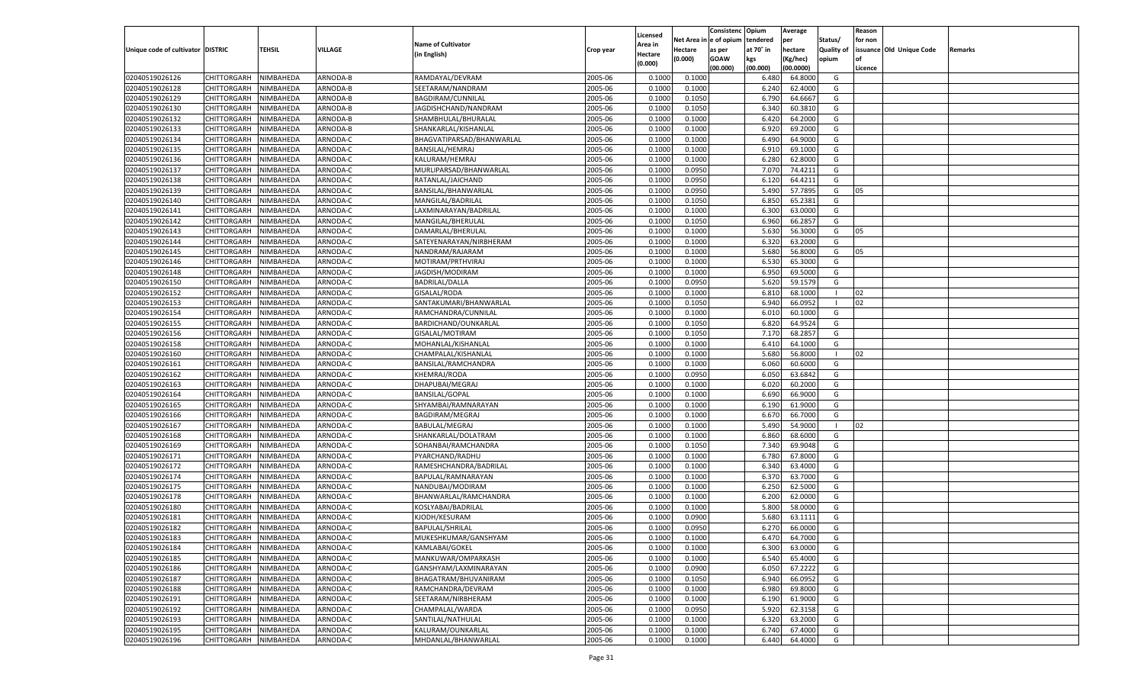|                                   |                       |           |                      |                           |                    |                    |                  | Consistenc   | Opium          | Average            |                   | Reason  |                          |         |
|-----------------------------------|-----------------------|-----------|----------------------|---------------------------|--------------------|--------------------|------------------|--------------|----------------|--------------------|-------------------|---------|--------------------------|---------|
|                                   |                       |           |                      | <b>Name of Cultivator</b> |                    | Licensed           | Net Area i       | n e of opium | tendered       | per                | Status/           | for non |                          |         |
| Unique code of cultivator DISTRIC |                       | TEHSIL    | VILLAGE              | (in English)              | Crop year          | Area in<br>Hectare | Hectare          | as per       | at 70° in      | hectare            | <b>Quality of</b> |         | issuance Old Unique Code | Remarks |
|                                   |                       |           |                      |                           |                    | (0.000)            | (0.000)          | <b>GOAW</b>  | kgs            | (Kg/hec)           | opium             |         |                          |         |
|                                   |                       |           |                      |                           |                    |                    |                  | (00.000)     | (00.000)       | (00.0000)          |                   | Licence |                          |         |
| 02040519026126                    | CHITTORGARH           | NIMBAHEDA | ARNODA-B             | RAMDAYAL/DEVRAM           | 2005-06            | 0.1000             | 0.1000           |              | 6.480          | 64.8000            | G                 |         |                          |         |
| 02040519026128                    | CHITTORGARH           | NIMBAHEDA | ARNODA-B             | SEETARAM/NANDRAM          | 2005-06            | 0.1000             | 0.1000           |              | 6.240          | 62.4000            | G                 |         |                          |         |
| 02040519026129                    | CHITTORGARH           | NIMBAHEDA | ARNODA-B             | BAGDIRAM/CUNNILAL         | 2005-06            | 0.1000             | 0.1050           |              | 6.790          | 64.6667            | G                 |         |                          |         |
| 02040519026130                    | CHITTORGARH           | NIMBAHEDA | ARNODA-B             | JAGDISHCHAND/NANDRAM      | 2005-06            | 0.1000             | 0.1050           |              | 6.340          | 60.3810            | G                 |         |                          |         |
| 02040519026132                    | CHITTORGARH           | NIMBAHEDA | ARNODA-B             | SHAMBHULAL/BHURALAI       | 2005-06            | 0.1000             | 0.1000           |              | 6.420          | 64.2000            | G                 |         |                          |         |
| 02040519026133                    | CHITTORGARH           | NIMBAHEDA | ARNODA-B             | SHANKARLAL/KISHANLAL      | 2005-06            | 0.1000             | 0.1000           |              | 6.920          | 69.2000            | G                 |         |                          |         |
| 02040519026134                    | CHITTORGARH           | NIMBAHEDA | ARNODA-C             | BHAGVATIPARSAD/BHANWARLAL | 2005-06            | 0.1000             | 0.1000           |              | 6.490          | 64.9000            | G                 |         |                          |         |
| 02040519026135                    | CHITTORGARH           | NIMBAHEDA | ARNODA-C             | BANSILAL/HEMRAJ           | 2005-06            | 0.1000             | 0.1000           |              | 6.910          | 69.1000            | G                 |         |                          |         |
| 02040519026136                    | CHITTORGARH           | NIMBAHEDA | ARNODA-C             | KALURAM/HEMRAJ            | 2005-06            | 0.1000             | 0.1000           |              | 6.280          | 62.8000            | G                 |         |                          |         |
| 02040519026137                    | CHITTORGARH           | NIMBAHEDA | ARNODA-C             | MURLIPARSAD/BHANWARLAL    | 2005-06            | 0.1000             | 0.0950           |              | 7.070          | 74.4211            | G                 |         |                          |         |
| 02040519026138                    | CHITTORGARH           | NIMBAHEDA | ARNODA-C             | RATANLAL/JAICHAND         | 2005-06            | 0.1000             | 0.0950           |              | 6.120          | 64.4211            | G                 |         |                          |         |
| 02040519026139                    | CHITTORGARH           | NIMBAHEDA | ARNODA-C             | BANSILAL/BHANWARLAL       | 2005-06            | 0.1000             | 0.0950           |              | 5.490          | 57.7895            | G                 | 05      |                          |         |
| 02040519026140                    | CHITTORGARH           | NIMBAHEDA | ARNODA-C             | MANGILAL/BADRILAL         | 2005-06            | 0.1000             | 0.1050           |              | 6.850          | 65.2381            | G                 |         |                          |         |
| 02040519026141                    | CHITTORGARH           | NIMBAHEDA | ARNODA-C             | LAXMINARAYAN/BADRILAL     | 2005-06            | 0.1000             | 0.1000           |              | 6.300          | 63.0000            | G                 |         |                          |         |
| 02040519026142                    | CHITTORGARH           | NIMBAHEDA | ARNODA-C             | MANGILAL/BHERULAL         | 2005-06            | 0.1000             | 0.1050           |              | 6.960          | 66.2857            | G                 |         |                          |         |
| 02040519026143                    | CHITTORGARH           | NIMBAHEDA | ARNODA-C             | DAMARLAL/BHERULAI         | 2005-06            | 0.1000             | 0.1000           |              | 5.630          | 56.3000            | G                 | 05      |                          |         |
| 02040519026144                    | CHITTORGARH           | NIMBAHEDA | ARNODA-C             | SATEYENARAYAN/NIRBHERAM   | 2005-06            | 0.1000             | 0.1000           |              | 6.320          | 63.2000            | G                 |         |                          |         |
| 02040519026145                    | CHITTORGARH           | NIMBAHEDA | ARNODA-C             | NANDRAM/RAJARAM           | 2005-06            | 0.1000             | 0.1000           |              | 5.680          | 56.8000            | G                 | 05      |                          |         |
| 02040519026146                    | CHITTORGARH           | NIMBAHEDA | ARNODA-C             | MOTIRAM/PRTHVIRAJ         | 2005-06            | 0.1000             | 0.1000           |              | 6.530          | 65.3000            | G                 |         |                          |         |
| 02040519026148                    | CHITTORGARH           | NIMBAHEDA | ARNODA-C             | JAGDISH/MODIRAM           | 2005-06            | 0.1000             | 0.1000           |              | 6.950          | 69.5000            | G                 |         |                          |         |
| 02040519026150                    | CHITTORGARH           | NIMBAHEDA | ARNODA-C             | <b>BADRILAL/DALLA</b>     | 2005-06            | 0.1000             | 0.0950           |              | 5.620          | 59.1579            | G                 |         |                          |         |
| 02040519026152                    | CHITTORGARH           | NIMBAHEDA | ARNODA-C             | GISALAL/RODA              | 2005-06            | 0.1000             | 0.1000           |              | 6.810          | 68.1000            | $\blacksquare$    | 02      |                          |         |
| 02040519026153                    | CHITTORGARH           | NIMBAHEDA | ARNODA-C             | SANTAKUMARI/BHANWARLAL    | 2005-06            | 0.1000             | 0.1050           |              | 6.940          | 66.0952            | - 1               | 02      |                          |         |
| 02040519026154                    | CHITTORGARH           | NIMBAHEDA | ARNODA-C             | RAMCHANDRA/CUNNILAL       | 2005-06            | 0.1000             | 0.1000           |              | 6.010          | 60.1000            | G                 |         |                          |         |
| 02040519026155                    | CHITTORGARH           | NIMBAHEDA | ARNODA-C             | BARDICHAND/OUNKARLAL      | 2005-06            | 0.1000             | 0.1050           |              | 6.820          | 64.9524            | G                 |         |                          |         |
| 02040519026156                    | CHITTORGARH           | NIMBAHEDA | ARNODA-C             | GISALAL/MOTIRAM           | 2005-06            | 0.1000             | 0.1050           |              | 7.170          | 68.2857            | G                 |         |                          |         |
| 02040519026158                    | CHITTORGARH           | NIMBAHEDA | ARNODA-C             | MOHANLAL/KISHANLAL        | 2005-06            | 0.1000             | 0.1000           |              | 6.410          | 64.1000            | G                 |         |                          |         |
| 02040519026160                    | CHITTORGARH           | NIMBAHEDA | ARNODA-C             | CHAMPALAL/KISHANLAL       | 2005-06            | 0.1000             | 0.1000           |              | 5.680          | 56.8000            | - 1               | 02      |                          |         |
| 02040519026161                    | CHITTORGARH           | NIMBAHEDA | ARNODA-C             | BANSILAL/RAMCHANDRA       | 2005-06            | 0.1000             | 0.1000           |              | 6.060          | 60.6000            | G                 |         |                          |         |
| 02040519026162                    | CHITTORGARH           | NIMBAHEDA | ARNODA-C             | KHEMRAJ/RODA              | 2005-06            | 0.1000             | 0.0950           |              | 6.050          | 63.6842            | G                 |         |                          |         |
| 02040519026163                    | CHITTORGARH           | NIMBAHEDA | ARNODA-C             | DHAPUBAI/MEGRAJ           | 2005-06            | 0.1000             | 0.1000           |              | 6.020          | 60.2000            | G                 |         |                          |         |
| 02040519026164                    | CHITTORGARH           | NIMBAHEDA | ARNODA-C             | <b>BANSILAL/GOPAL</b>     | 2005-06            | 0.1000             | 0.1000           |              | 6.690          | 66.9000            | G                 |         |                          |         |
| 02040519026165                    | CHITTORGARH           | NIMBAHEDA | ARNODA-C             | SHYAMBAI/RAMNARAYAN       | 2005-06            | 0.1000             | 0.1000           |              | 6.190          | 61.9000            | G                 |         |                          |         |
| 02040519026166                    | CHITTORGARH           | NIMBAHEDA | ARNODA-C             | BAGDIRAM/MEGRAJ           | 2005-06            | 0.1000             | 0.1000           |              | 6.670          | 66.7000            | G                 |         |                          |         |
| 02040519026167                    | CHITTORGARH           | NIMBAHEDA | ARNODA-C             | <b>BABULAL/MEGRAJ</b>     | 2005-06            | 0.1000             | 0.1000           |              | 5.490          | 54.9000            | - 1               | 02      |                          |         |
| 02040519026168                    | CHITTORGARH           | NIMBAHEDA | ARNODA-C             | SHANKARLAL/DOLATRAM       | 2005-06            | 0.1000             | 0.1000           |              | 6.860          | 68.6000            | G                 |         |                          |         |
| 02040519026169                    | CHITTORGARH           | NIMBAHEDA | ARNODA-C             | SOHANBAI/RAMCHANDRA       | 2005-06            | 0.1000             | 0.1050           |              | 7.340          | 69.9048            | G                 |         |                          |         |
| 02040519026171                    | CHITTORGARH           | NIMBAHEDA | ARNODA-C             | PYARCHAND/RADHU           | 2005-06            | 0.1000             | 0.1000           |              | 6.780          | 67.8000            | G                 |         |                          |         |
| 02040519026172                    | CHITTORGARH           | NIMBAHEDA | ARNODA-C             | RAMESHCHANDRA/BADRILAL    | 2005-06            | 0.1000             | 0.1000           |              | 6.340          | 63.4000            | G                 |         |                          |         |
| 02040519026174                    | CHITTORGARH           | NIMBAHEDA | ARNODA-C             | BAPULAL/RAMNARAYAN        | 2005-06            | 0.1000             | 0.1000           |              | 6.37           | 63.7000            | G                 |         |                          |         |
| 02040519026175                    | CHITTORGARH           | NIMBAHEDA | ARNODA-C             | NANDUBAI/MODIRAM          | 2005-06            | 0.1000             | 0.1000           |              | 6.250          | 62.5000            | G                 |         |                          |         |
| 02040519026178                    |                       |           |                      | BHANWARLAL/RAMCHANDRA     | 2005-06            | 0.1000             |                  |              | 6.200          |                    | G                 |         |                          |         |
|                                   | CHITTORGARH           | NIMBAHEDA | ARNODA-C<br>ARNODA-C |                           |                    |                    | 0.1000           |              |                | 62.0000            |                   |         |                          |         |
| 02040519026180                    | CHITTORGARH           | NIMBAHEDA |                      | KOSLYABAI/BADRILAL        | 2005-06            | 0.1000             | 0.1000           |              | 5.800<br>5.680 | 58.0000            | G                 |         |                          |         |
| 02040519026181                    | CHITTORGARH           | NIMBAHEDA | ARNODA-C             | KJODH/KESURAM             | 2005-06<br>2005-06 | 0.1000             | 0.0900<br>0.0950 |              | 6.270          | 63.1111<br>66.0000 | G                 |         |                          |         |
| 02040519026182                    | CHITTORGARH           | NIMBAHEDA | ARNODA-C             | <b>BAPULAL/SHRILAL</b>    |                    | 0.1000             |                  |              |                |                    | G                 |         |                          |         |
| 02040519026183                    | CHITTORGARH NIMBAHEDA |           | ARNODA-C             | MUKESHKUMAR/GANSHYAM      | 2005-06            | 0.1000             | 0.1000           |              | 6.470          | 64.7000            | G                 |         |                          |         |
| 02040519026184                    | <b>CHITTORGARH</b>    | NIMBAHEDA | ARNODA-C             | KAMLABAI/GOKEL            | 2005-06            | 0.1000             | 0.1000           |              | 6.300          | 63.0000            | G                 |         |                          |         |
| 02040519026185                    | CHITTORGARH           | NIMBAHEDA | ARNODA-C             | MANKUWAR/OMPARKASH        | 2005-06            | 0.1000             | 0.1000           |              | 6.540          | 65.4000            | G                 |         |                          |         |
| 02040519026186                    | CHITTORGARH           | NIMBAHEDA | ARNODA-C             | GANSHYAM/LAXMINARAYAN     | 2005-06            | 0.1000             | 0.0900           |              | 6.050          | 67.2222            | G                 |         |                          |         |
| 02040519026187                    | <b>CHITTORGARH</b>    | NIMBAHEDA | ARNODA-C             | BHAGATRAM/BHUVANIRAM      | 2005-06            | 0.1000             | 0.1050           |              | 6.940          | 66.0952            | G                 |         |                          |         |
| 02040519026188                    | <b>CHITTORGARH</b>    | NIMBAHEDA | ARNODA-C             | RAMCHANDRA/DEVRAM         | 2005-06            | 0.1000             | 0.1000           |              | 6.980          | 69.8000            | G                 |         |                          |         |
| 02040519026191                    | CHITTORGARH           | NIMBAHEDA | ARNODA-C             | SEETARAM/NIRBHERAM        | 2005-06            | 0.1000             | 0.1000           |              | 6.190          | 61.9000            | G                 |         |                          |         |
| 02040519026192                    | CHITTORGARH           | NIMBAHEDA | ARNODA-C             | CHAMPALAL/WARDA           | 2005-06            | 0.1000             | 0.0950           |              | 5.920          | 62.3158            | G                 |         |                          |         |
| 02040519026193                    | CHITTORGARH           | NIMBAHEDA | ARNODA-C             | SANTILAL/NATHULAL         | 2005-06            | 0.1000             | 0.1000           |              | 6.320          | 63.2000            | G                 |         |                          |         |
| 02040519026195                    | <b>CHITTORGARH</b>    | NIMBAHEDA | ARNODA-C             | KALURAM/OUNKARLAL         | 2005-06            | 0.1000             | 0.1000           |              | 6.740          | 67.4000            | G                 |         |                          |         |
| 02040519026196                    | <b>CHITTORGARH</b>    | NIMBAHEDA | ARNODA-C             | MHDANLAL/BHANWARLAL       | 2005-06            | 0.1000             | 0.1000           |              | 6.440          | 64.4000            | G                 |         |                          |         |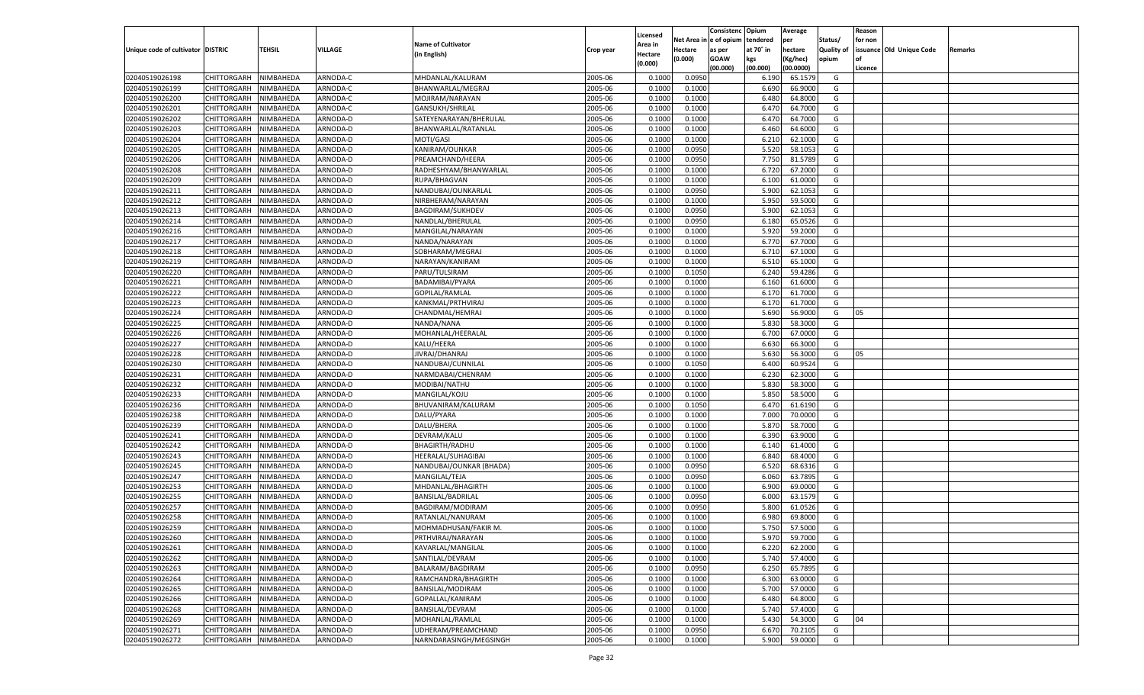|                                   |                       |               |          |                           |           | Licensed         |                  | Consistenc Opium |           | Average   |                   | Reason  |                          |                |
|-----------------------------------|-----------------------|---------------|----------|---------------------------|-----------|------------------|------------------|------------------|-----------|-----------|-------------------|---------|--------------------------|----------------|
|                                   |                       |               |          | <b>Name of Cultivator</b> |           | \rea in          | Net Area i       | n  e of opium    | tendered  | per       | Status/           | for non |                          |                |
| Unique code of cultivator DISTRIC |                       | <b>TEHSIL</b> | VILLAGE  | (in English)              | Crop year | Hectare          | Hectare          | as per           | at 70° in | hectare   | <b>Quality of</b> |         | issuance Old Unique Code | <b>Remarks</b> |
|                                   |                       |               |          |                           |           | (0.000)          | (0.000)          | <b>GOAW</b>      | kgs       | (Kg/hec)  | opium             |         |                          |                |
|                                   |                       |               |          |                           |           |                  |                  | (00.000)         | (00.000)  | (00.0000) |                   | Licence |                          |                |
| 02040519026198                    | CHITTORGARH           | NIMBAHEDA     | ARNODA-C | MHDANLAL/KALURAM          | 2005-06   | 0.1000           | 0.0950           |                  | 6.190     | 65.1579   | G                 |         |                          |                |
| 02040519026199                    | CHITTORGARH           | NIMBAHEDA     | ARNODA-C | BHANWARLAL/MEGRAJ         | 2005-06   | 0.1000           | 0.1000           |                  | 6.690     | 66.9000   | G                 |         |                          |                |
| 02040519026200                    | CHITTORGARH           | NIMBAHEDA     | ARNODA-C | MOJIRAM/NARAYAN           | 2005-06   | 0.1000           | 0.1000           |                  | 6.480     | 64.8000   | G                 |         |                          |                |
| 02040519026201                    | CHITTORGARH           | NIMBAHEDA     | ARNODA-C | GANSUKH/SHRILAL           | 2005-06   | 0.1000           | 0.1000           |                  | 6.470     | 64.7000   | G                 |         |                          |                |
| 02040519026202                    | CHITTORGARH           | NIMBAHEDA     | ARNODA-D | SATEYENARAYAN/BHERULAL    | 2005-06   | 0.1000           | 0.1000           |                  | 6.470     | 64.7000   | G                 |         |                          |                |
| 02040519026203                    | CHITTORGARH           | NIMBAHEDA     | ARNODA-D | BHANWARLAL/RATANLAL       | 2005-06   | 0.1000           | 0.1000           |                  | 6.460     | 64.6000   | G                 |         |                          |                |
| 02040519026204                    | CHITTORGARH           | NIMBAHEDA     | ARNODA-D | MOTI/GASI                 | 2005-06   | 0.1000           | 0.1000           |                  | 6.210     | 62.1000   | G                 |         |                          |                |
| 02040519026205                    | CHITTORGARH           | NIMBAHEDA     | ARNODA-D | KANIRAM/OUNKAR            | 2005-06   | 0.1000           | 0.0950           |                  | 5.520     | 58.1053   | G                 |         |                          |                |
| 02040519026206                    | CHITTORGARH           | NIMBAHEDA     | ARNODA-D | PREAMCHAND/HEERA          | 2005-06   | 0.1000           | 0.0950           |                  | 7.750     | 81.5789   | G                 |         |                          |                |
| 02040519026208                    | CHITTORGARH           | NIMBAHEDA     | ARNODA-D | RADHESHYAM/BHANWARLAL     | 2005-06   | 0.1000           | 0.1000           |                  | 6.720     | 67.2000   | G                 |         |                          |                |
| 02040519026209                    | CHITTORGARH           | NIMBAHEDA     | ARNODA-D | RUPA/BHAGVAN              | 2005-06   | 0.1000           | 0.1000           |                  | 6.100     | 61.0000   | G                 |         |                          |                |
| 02040519026211                    | CHITTORGARH           | NIMBAHEDA     | ARNODA-D | NANDUBAI/OUNKARLAL        | 2005-06   | 0.1000           | 0.0950           |                  | 5.900     | 62.1053   | G                 |         |                          |                |
| 02040519026212                    | CHITTORGARH           | NIMBAHEDA     | ARNODA-D | NIRBHERAM/NARAYAN         | 2005-06   | 0.1000           | 0.1000           |                  | 5.950     | 59.5000   | G                 |         |                          |                |
| 02040519026213                    | CHITTORGARH           | NIMBAHEDA     | ARNODA-D | BAGDIRAM/SUKHDEV          | 2005-06   | 0.1000           | 0.0950           |                  | 5.900     | 62.1053   | G                 |         |                          |                |
| 02040519026214                    | CHITTORGARH           | NIMBAHEDA     | ARNODA-D | NANDLAL/BHERULAL          | 2005-06   | 0.1000           | 0.0950           |                  | 6.180     | 65.0526   | G                 |         |                          |                |
| 02040519026216                    | CHITTORGARH           | NIMBAHEDA     | ARNODA-D | MANGILAL/NARAYAN          | 2005-06   | 0.1000           | 0.1000           |                  | 5.920     | 59.2000   | G                 |         |                          |                |
| 02040519026217                    | CHITTORGARH           | NIMBAHEDA     | ARNODA-D | NANDA/NARAYAN             | 2005-06   | 0.1000           | 0.1000           |                  | 6.770     | 67.7000   | G                 |         |                          |                |
| 02040519026218                    | CHITTORGARH           | NIMBAHEDA     | ARNODA-D | SOBHARAM/MEGRAJ           | 2005-06   | 0.1000           | 0.1000           |                  | 6.710     | 67.1000   | G                 |         |                          |                |
| 02040519026219                    | CHITTORGARH           | NIMBAHEDA     | ARNODA-D | NARAYAN/KANIRAM           | 2005-06   | 0.1000           | 0.1000           |                  | 6.510     | 65.1000   | G                 |         |                          |                |
| 02040519026220                    | CHITTORGARH           | NIMBAHEDA     | ARNODA-D | PARU/TULSIRAM             | 2005-06   | 0.1000           | 0.1050           |                  | 6.240     | 59.4286   | G                 |         |                          |                |
| 02040519026221                    | CHITTORGARH           | NIMBAHEDA     | ARNODA-D | BADAMIBAI/PYARA           | 2005-06   | 0.1000           | 0.1000           |                  | 6.160     | 61.6000   | G                 |         |                          |                |
| 02040519026222                    | CHITTORGARH           | NIMBAHEDA     | ARNODA-D | GOPILAL/RAMLAL            | 2005-06   | 0.1000           | 0.1000           |                  | 6.170     | 61.7000   | G                 |         |                          |                |
| 02040519026223                    | CHITTORGARH           | NIMBAHEDA     | ARNODA-D | KANKMAL/PRTHVIRAJ         | 2005-06   | 0.1000           | 0.1000           |                  | 6.170     | 61.7000   | G                 |         |                          |                |
| 02040519026224                    | CHITTORGARH           | NIMBAHEDA     | ARNODA-D | CHANDMAL/HEMRAJ           | 2005-06   | 0.1000           | 0.1000           |                  | 5.690     | 56.9000   | G                 | 05      |                          |                |
| 02040519026225                    | CHITTORGARH           | NIMBAHEDA     | ARNODA-D | NANDA/NANA                | 2005-06   | 0.1000           | 0.1000           |                  | 5.830     | 58.3000   | G                 |         |                          |                |
| 02040519026226                    | CHITTORGARH           | NIMBAHEDA     | ARNODA-D | MOHANLAL/HEERALAL         | 2005-06   | 0.1000           | 0.1000           |                  | 6.700     | 67.0000   | G                 |         |                          |                |
| 02040519026227                    | CHITTORGARH           | NIMBAHEDA     | ARNODA-D | KALU/HEERA                | 2005-06   | 0.1000           | 0.1000           |                  | 6.630     | 66.3000   | G                 |         |                          |                |
| 02040519026228                    | CHITTORGARH           | NIMBAHEDA     | ARNODA-D | JIVRAJ/DHANRAJ            | 2005-06   | 0.1000           | 0.1000           |                  | 5.630     | 56.3000   | G                 | 05      |                          |                |
| 02040519026230                    | CHITTORGARH           | NIMBAHEDA     | ARNODA-D | NANDUBAI/CUNNILAL         | 2005-06   | 0.1000           | 0.1050           |                  | 6.400     | 60.9524   | G                 |         |                          |                |
| 02040519026231                    | CHITTORGARH           | NIMBAHEDA     | ARNODA-D | NARMDABAI/CHENRAM         | 2005-06   | 0.1000           | 0.1000           |                  | 6.23      | 62.3000   | G                 |         |                          |                |
| 02040519026232                    | CHITTORGARH           | NIMBAHEDA     | ARNODA-D | MODIBAI/NATHU             | 2005-06   | 0.1000           | 0.1000           |                  | 5.830     | 58.3000   | G                 |         |                          |                |
| 02040519026233                    | CHITTORGARH           | NIMBAHEDA     | ARNODA-D | MANGILAL/KOJU             | 2005-06   | 0.1000           | 0.1000           |                  | 5.850     | 58.5000   | G                 |         |                          |                |
| 02040519026236                    | CHITTORGARH           | NIMBAHEDA     | ARNODA-D | BHUVANIRAM/KALURAM        | 2005-06   | 0.1000           | 0.1050           |                  | 6.470     | 61.6190   | G                 |         |                          |                |
| 02040519026238                    | CHITTORGARH           | NIMBAHEDA     | ARNODA-D | DALU/PYARA                | 2005-06   | 0.1000           | 0.1000           |                  | 7.000     | 70.0000   | G                 |         |                          |                |
| 02040519026239                    | CHITTORGARH           | NIMBAHEDA     | ARNODA-D | DALU/BHERA                | 2005-06   | 0.1000           | 0.1000           |                  | 5.870     | 58.7000   | G                 |         |                          |                |
| 02040519026241                    | CHITTORGARH           | NIMBAHEDA     | ARNODA-D | DEVRAM/KALU               | 2005-06   | 0.1000           | 0.1000           |                  | 6.390     | 63.9000   | G                 |         |                          |                |
| 02040519026242                    | CHITTORGARH           | NIMBAHEDA     | ARNODA-D | <b>BHAGIRTH/RADHU</b>     | 2005-06   | 0.1000           | 0.1000           |                  | 6.140     | 61.4000   | G                 |         |                          |                |
| 02040519026243                    | CHITTORGARH           | NIMBAHEDA     | ARNODA-D | HEERALAL/SUHAGIBAI        | 2005-06   | 0.1000           | 0.1000           |                  | 6.840     | 68.4000   | G                 |         |                          |                |
| 02040519026245                    | CHITTORGARH           | NIMBAHEDA     | ARNODA-D | NANDUBAI/OUNKAR (BHADA)   | 2005-06   | 0.1000           | 0.0950           |                  | 6.520     | 68.6316   | G                 |         |                          |                |
| 02040519026247                    | CHITTORGARH           | NIMBAHEDA     | ARNODA-D | MANGILAL/TEJA             | 2005-06   | 0.1000           | 0.0950           |                  | 6.060     | 63.7895   | G                 |         |                          |                |
| 02040519026253                    | CHITTORGARH           | NIMBAHEDA     | ARNODA-D | MHDANLAL/BHAGIRTH         | 2005-06   | 0.1000           | 0.1000           |                  | 6.900     | 69.0000   | G                 |         |                          |                |
| 02040519026255                    | CHITTORGARH           | NIMBAHEDA     | ARNODA-D | BANSILAL/BADRILAL         | 2005-06   | 0.1000           | 0.0950           |                  | 6.000     | 63.1579   | G                 |         |                          |                |
| 02040519026257                    | CHITTORGARH           | NIMBAHEDA     | ARNODA-D | BAGDIRAM/MODIRAM          | 2005-06   | 0.1000           | 0.0950           |                  | 5.800     | 61.0526   | G                 |         |                          |                |
| 02040519026258                    | CHITTORGARH           | NIMBAHEDA     | ARNODA-D | RATANLAL/NANURAM          | 2005-06   |                  |                  |                  | 6.98      | 69.8000   |                   |         |                          |                |
| 02040519026259                    | CHITTORGARH           | NIMBAHEDA     | ARNODA-D | MOHMADHUSAN/FAKIR M       | 2005-06   | 0.1000<br>0.1000 | 0.1000<br>0.1000 |                  | 5.750     | 57.5000   | G<br>G            |         |                          |                |
|                                   |                       |               |          |                           |           |                  |                  |                  |           |           |                   |         |                          |                |
| 02040519026260                    | CHITTORGARH NIMBAHEDA |               | ARNODA-D | PRTHVIRAJ/NARAYAN         | 2005-06   | 0.1000           | 0.1000           |                  | 5.970     | 59.7000   | G                 |         |                          |                |
| 02040519026261<br>02040519026262  | CHITTORGARH           | NIMBAHEDA     | ARNODA-D | KAVARLAL/MANGILAL         | 2005-06   | 0.1000           | 0.1000           |                  | 6.220     | 62.2000   | G                 |         |                          |                |
|                                   | CHITTORGARH           | NIMBAHEDA     | ARNODA-D | SANTILAL/DEVRAM           | 2005-06   | 0.1000           | 0.1000           |                  | 5.740     | 57.4000   | G                 |         |                          |                |
| 02040519026263                    | <b>CHITTORGARH</b>    | NIMBAHEDA     | ARNODA-D | BALARAM/BAGDIRAM          | 2005-06   | 0.1000           | 0.0950           |                  | 6.250     | 65.7895   | G                 |         |                          |                |
| 02040519026264                    | <b>CHITTORGARH</b>    | NIMBAHEDA     | ARNODA-D | RAMCHANDRA/BHAGIRTH       | 2005-06   | 0.1000           | 0.1000           |                  | 6.300     | 63.0000   | G                 |         |                          |                |
| 02040519026265                    | CHITTORGARH           | NIMBAHEDA     | ARNODA-D | BANSILAL/MODIRAM          | 2005-06   | 0.1000           | 0.1000           |                  | 5.700     | 57.0000   | G                 |         |                          |                |
| 02040519026266                    | CHITTORGARH           | NIMBAHEDA     | ARNODA-D | GOPALLAL/KANIRAM          | 2005-06   | 0.1000           | 0.1000           |                  | 6.480     | 64.8000   | G                 |         |                          |                |
| 02040519026268                    | <b>CHITTORGARH</b>    | NIMBAHEDA     | ARNODA-D | <b>BANSILAL/DEVRAM</b>    | 2005-06   | 0.1000           | 0.1000           |                  | 5.740     | 57.4000   | G                 |         |                          |                |
| 02040519026269                    | <b>CHITTORGARH</b>    | NIMBAHEDA     | ARNODA-D | MOHANLAL/RAMLAL           | 2005-06   | 0.1000           | 0.1000           |                  | 5.430     | 54.3000   | G                 | 04      |                          |                |
| 02040519026271                    | CHITTORGARH           | NIMBAHEDA     | ARNODA-D | UDHERAM/PREAMCHAND        | 2005-06   | 0.1000           | 0.0950           |                  | 6.670     | 70.2105   | G                 |         |                          |                |
| 02040519026272                    | CHITTORGARH           | NIMBAHEDA     | ARNODA-D | NARNDARASINGH/MEGSINGH    | 2005-06   | 0.1000           | 0.1000           |                  | 5.900     | 59.0000   | G                 |         |                          |                |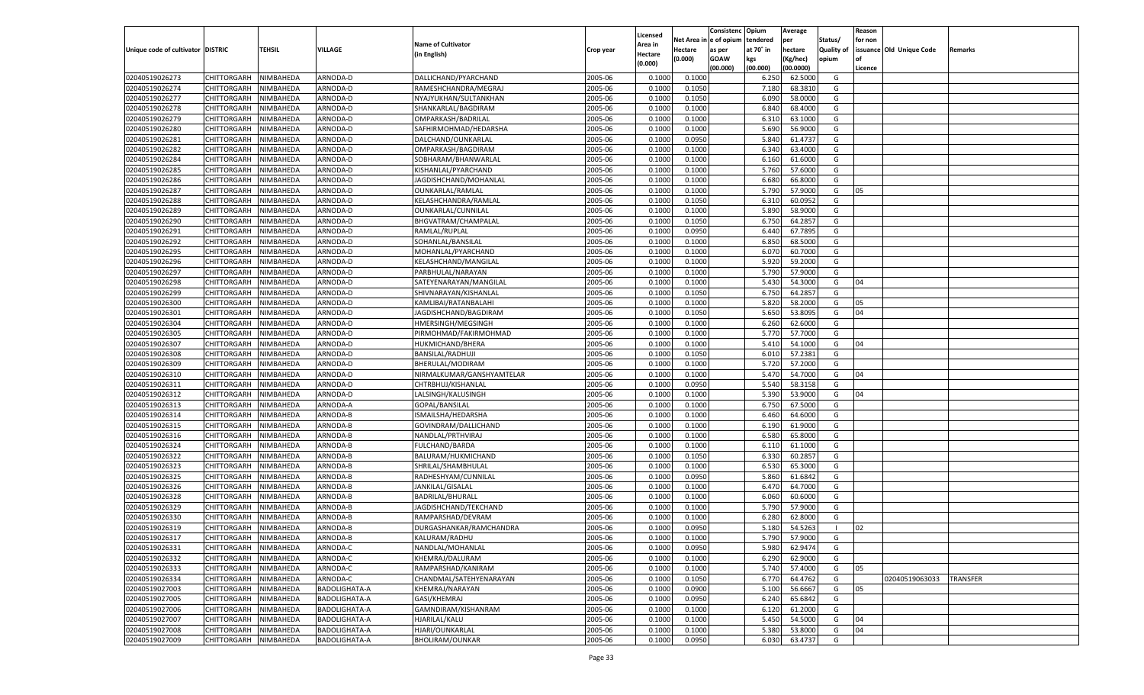|                                   |                       |               |                      |                           |           |                           |          | Consistenc  | Opium     | Average   |                   | Reason  |                          |                 |
|-----------------------------------|-----------------------|---------------|----------------------|---------------------------|-----------|---------------------------|----------|-------------|-----------|-----------|-------------------|---------|--------------------------|-----------------|
|                                   |                       |               |                      | <b>Name of Cultivator</b> |           | Licensed                  | Net Area | e of opium  | tendered  | per       | Status/           | for non |                          |                 |
| Unique code of cultivator DISTRIC |                       | <b>TEHSIL</b> | VILLAGE              | (in English)              | Crop year | <b>Area in</b><br>Hectare | Hectare  | as per      | at 70° in | hectare   | <b>Quality of</b> |         | issuance Old Unique Code | Remarks         |
|                                   |                       |               |                      |                           |           | (0.000)                   | (0.000)  | <b>GOAW</b> | kgs       | (Kg/hec)  | opium             |         |                          |                 |
|                                   |                       |               |                      |                           |           |                           |          | (00.000)    | (00.000)  | (00.0000) |                   | Licence |                          |                 |
| 02040519026273                    | CHITTORGARH           | NIMBAHEDA     | ARNODA-D             | DALLICHAND/PYARCHAND      | 2005-06   | 0.1000                    | 0.1000   |             | 6.250     | 62.5000   | G                 |         |                          |                 |
| 02040519026274                    | CHITTORGARH           | NIMBAHEDA     | ARNODA-D             | RAMESHCHANDRA/MEGRAJ      | 2005-06   | 0.1000                    | 0.1050   |             | 7.180     | 68.3810   | G                 |         |                          |                 |
| 02040519026277                    | CHITTORGARH           | NIMBAHEDA     | ARNODA-D             | NYAJYUKHAN/SULTANKHAN     | 2005-06   | 0.1000                    | 0.1050   |             | 6.090     | 58.0000   | G                 |         |                          |                 |
| 02040519026278                    | CHITTORGARH           | NIMBAHEDA     | ARNODA-D             | SHANKARLAL/BAGDIRAM       | 2005-06   | 0.1000                    | 0.1000   |             | 6.84      | 68.4000   | G                 |         |                          |                 |
| 02040519026279                    | CHITTORGARH           | NIMBAHEDA     | ARNODA-D             | OMPARKASH/BADRILAL        | 2005-06   | 0.1000                    | 0.1000   |             | 6.310     | 63.1000   | G                 |         |                          |                 |
| 02040519026280                    | CHITTORGARH           | NIMBAHEDA     | ARNODA-D             | SAFHIRMOHMAD/HEDARSHA     | 2005-06   | 0.1000                    | 0.1000   |             | 5.690     | 56.9000   | G                 |         |                          |                 |
| 02040519026281                    | CHITTORGARH           | NIMBAHEDA     | ARNODA-D             | DALCHAND/OUNKARLAL        | 2005-06   | 0.1000                    | 0.0950   |             | 5.840     | 61.4737   | G                 |         |                          |                 |
| 02040519026282                    | CHITTORGARH           | NIMBAHEDA     | ARNODA-D             | OMPARKASH/BAGDIRAM        | 2005-06   | 0.1000                    | 0.1000   |             | 6.34      | 63.4000   | G                 |         |                          |                 |
| 02040519026284                    | CHITTORGARH           | NIMBAHEDA     | ARNODA-D             | SOBHARAM/BHANWARLAL       | 2005-06   | 0.1000                    | 0.1000   |             | 6.160     | 61.6000   | G                 |         |                          |                 |
| 02040519026285                    | CHITTORGARH           | NIMBAHEDA     | ARNODA-D             | KISHANLAL/PYARCHAND       | 2005-06   | 0.1000                    | 0.1000   |             | 5.760     | 57.6000   | G                 |         |                          |                 |
| 02040519026286                    | CHITTORGARH           | NIMBAHEDA     | ARNODA-D             | JAGDISHCHAND/MOHANLAL     | 2005-06   | 0.1000                    | 0.1000   |             | 6.680     | 66.8000   | G                 |         |                          |                 |
| 02040519026287                    | CHITTORGARH           | NIMBAHEDA     | ARNODA-D             | OUNKARLAL/RAMLAL          | 2005-06   | 0.1000                    | 0.1000   |             | 5.790     | 57.9000   | G                 | 05      |                          |                 |
| 02040519026288                    | CHITTORGARH           | NIMBAHEDA     | ARNODA-D             | KELASHCHANDRA/RAMLAL      | 2005-06   | 0.1000                    | 0.1050   |             | 6.310     | 60.0952   | G                 |         |                          |                 |
| 02040519026289                    | CHITTORGARH           | NIMBAHEDA     | ARNODA-D             | OUNKARLAL/CUNNILAL        | 2005-06   | 0.1000                    | 0.1000   |             | 5.890     | 58.9000   | G                 |         |                          |                 |
| 02040519026290                    | CHITTORGARH           | NIMBAHEDA     | ARNODA-D             | BHGVATRAM/CHAMPALAL       | 2005-06   | 0.1000                    | 0.1050   |             | 6.750     | 64.2857   | G                 |         |                          |                 |
| 02040519026291                    | CHITTORGARH           | NIMBAHEDA     | ARNODA-D             | RAMLAL/RUPLAL             | 2005-06   | 0.1000                    | 0.0950   |             | 6.440     | 67.7895   | G                 |         |                          |                 |
| 02040519026292                    | CHITTORGARH           | NIMBAHEDA     | ARNODA-D             | SOHANLAL/BANSILAL         | 2005-06   | 0.1000                    | 0.1000   |             | 6.850     | 68.5000   | G                 |         |                          |                 |
| 02040519026295                    | CHITTORGARH           | NIMBAHEDA     | ARNODA-D             | MOHANLAL/PYARCHAND        | 2005-06   | 0.1000                    | 0.1000   |             | 6.070     | 60.7000   | G                 |         |                          |                 |
| 02040519026296                    | CHITTORGARH           | NIMBAHEDA     | ARNODA-D             | KELASHCHAND/MANGILAL      | 2005-06   | 0.1000                    | 0.1000   |             | 5.920     | 59.2000   | G                 |         |                          |                 |
| 02040519026297                    | CHITTORGARH           | NIMBAHEDA     | ARNODA-D             | PARBHULAL/NARAYAN         | 2005-06   | 0.1000                    | 0.1000   |             | 5.790     | 57.9000   | G                 |         |                          |                 |
| 02040519026298                    | CHITTORGARH           | NIMBAHEDA     | ARNODA-D             | SATEYENARAYAN/MANGILAL    | 2005-06   | 0.1000                    | 0.1000   |             | 5.430     | 54.3000   | G                 | 04      |                          |                 |
| 02040519026299                    | CHITTORGARH           | NIMBAHEDA     | ARNODA-D             | SHIVNARAYAN/KISHANLAL     | 2005-06   | 0.1000                    | 0.1050   |             | 6.750     | 64.2857   | G                 |         |                          |                 |
| 02040519026300                    | CHITTORGARH           | NIMBAHEDA     | ARNODA-D             | KAMLIBAI/RATANBALAHI      | 2005-06   | 0.1000                    | 0.1000   |             | 5.820     | 58.2000   | G                 | 05      |                          |                 |
| 02040519026301                    | CHITTORGARH           | NIMBAHEDA     | ARNODA-D             | JAGDISHCHAND/BAGDIRAM     | 2005-06   | 0.1000                    | 0.1050   |             | 5.650     | 53.8095   | G                 | 04      |                          |                 |
| 02040519026304                    | CHITTORGARH           | NIMBAHEDA     | ARNODA-D             | HMERSINGH/MEGSINGH        | 2005-06   | 0.1000                    | 0.1000   |             | 6.260     | 62.6000   | G                 |         |                          |                 |
| 02040519026305                    | CHITTORGARH           | NIMBAHEDA     | ARNODA-D             | PIRMOHMAD/FAKIRMOHMAD     | 2005-06   | 0.1000                    | 0.1000   |             | 5.770     | 57.7000   | G                 |         |                          |                 |
| 02040519026307                    | CHITTORGARH           | NIMBAHEDA     | ARNODA-D             | HUKMICHAND/BHERA          | 2005-06   | 0.1000                    | 0.1000   |             | 5.410     | 54.1000   | G                 | 04      |                          |                 |
| 02040519026308                    | CHITTORGARH           | NIMBAHEDA     | ARNODA-D             | <b>BANSILAL/RADHUJI</b>   | 2005-06   | 0.1000                    | 0.1050   |             | 6.010     | 57.2381   | G                 |         |                          |                 |
| 02040519026309                    | CHITTORGARH           | NIMBAHEDA     | ARNODA-D             | BHERULAL/MODIRAM          | 2005-06   | 0.1000                    | 0.1000   |             | 5.720     | 57.2000   | G                 |         |                          |                 |
| 02040519026310                    | CHITTORGARH           | NIMBAHEDA     | ARNODA-D             | NIRMALKUMAR/GANSHYAMTELAR | 2005-06   | 0.1000                    | 0.1000   |             | 5.470     | 54.7000   | G                 | 04      |                          |                 |
| 02040519026311                    | CHITTORGARH           | NIMBAHEDA     | ARNODA-D             | CHTRBHUJ/KISHANLAL        | 2005-06   | 0.1000                    | 0.0950   |             | 5.540     | 58.3158   | G                 |         |                          |                 |
| 02040519026312                    | CHITTORGARH           | NIMBAHEDA     | ARNODA-D             | LALSINGH/KALUSINGH        | 2005-06   | 0.1000                    | 0.1000   |             | 5.390     | 53.9000   | G                 | 04      |                          |                 |
| 02040519026313                    | CHITTORGARH           | NIMBAHEDA     | ARNODA-A             | GOPAL/BANSILAL            | 2005-06   | 0.1000                    | 0.1000   |             | 6.750     | 67.5000   | G                 |         |                          |                 |
| 02040519026314                    | CHITTORGARH           | NIMBAHEDA     | ARNODA-B             | ISMAILSHA/HEDARSHA        | 2005-06   | 0.1000                    | 0.1000   |             | 6.460     | 64.6000   | G                 |         |                          |                 |
| 02040519026315                    | CHITTORGARH           | NIMBAHEDA     | ARNODA-B             | GOVINDRAM/DALLICHAND      | 2005-06   | 0.1000                    | 0.1000   |             | 6.190     | 61.9000   | G                 |         |                          |                 |
| 02040519026316                    | CHITTORGARH           | NIMBAHEDA     | ARNODA-B             | NANDLAL/PRTHVIRAJ         | 2005-06   | 0.1000                    | 0.1000   |             | 6.580     | 65.8000   | G                 |         |                          |                 |
| 02040519026324                    | CHITTORGARH           | NIMBAHEDA     | ARNODA-B             | FULCHAND/BARDA            | 2005-06   | 0.1000                    | 0.1000   |             | 6.110     | 61.1000   | G                 |         |                          |                 |
| 02040519026322                    | CHITTORGARH           | NIMBAHEDA     | ARNODA-B             | BALURAM/HUKMICHAND        | 2005-06   | 0.1000                    | 0.1050   |             | 6.330     | 60.285    | G                 |         |                          |                 |
| 02040519026323                    | CHITTORGARH           | NIMBAHEDA     | ARNODA-B             | SHRILAL/SHAMBHULAL        | 2005-06   | 0.1000                    | 0.1000   |             | 6.530     | 65.3000   | G                 |         |                          |                 |
| 02040519026325                    | CHITTORGARH           | NIMBAHEDA     | ARNODA-B             | RADHESHYAM/CUNNILAL       | 2005-06   | 0.1000                    | 0.0950   |             | 5.860     | 61.6842   | G                 |         |                          |                 |
| 02040519026326                    | CHITTORGARH           | NIMBAHEDA     | ARNODA-B             | JANKILAL/GISALAL          | 2005-06   | 0.1000                    | 0.1000   |             | 6.470     | 64.7000   | G                 |         |                          |                 |
| 02040519026328                    | CHITTORGARH           | NIMBAHEDA     | ARNODA-B             | <b>BADRILAL/BHURALL</b>   | 2005-06   | 0.1000                    | 0.1000   |             | 6.060     | 60.6000   | G                 |         |                          |                 |
| 02040519026329                    | CHITTORGARH           | NIMBAHEDA     | ARNODA-B             | JAGDISHCHAND/TEKCHAND     | 2005-06   | 0.1000                    | 0.1000   |             | 5.790     | 57.9000   | G                 |         |                          |                 |
| 02040519026330                    | CHITTORGARH           | NIMBAHEDA     | ARNODA-B             | RAMPARSHAD/DEVRAM         | 2005-06   | 0.1000                    | 0.1000   |             | 6.280     | 62.8000   | G                 |         |                          |                 |
|                                   |                       | NIMBAHEDA     |                      |                           | 2005-06   |                           | 0.0950   |             |           | 54.5263   |                   |         |                          |                 |
| 02040519026319                    | CHITTORGARH           |               | ARNODA-B             | DURGASHANKAR/RAMCHANDRA   |           | 0.1000                    |          |             | 5.180     |           | - 1               | 02      |                          |                 |
| 02040519026317                    | CHITTORGARH NIMBAHEDA |               | ARNODA-B             | KALURAM/RADHU             | 2005-06   | 0.1000                    | 0.1000   |             | 5.790     | 57.9000   | G                 |         |                          |                 |
| 02040519026331                    | <b>CHITTORGARH</b>    | NIMBAHEDA     | ARNODA-C             | NANDLAL/MOHANLAL          | 2005-06   | 0.1000                    | 0.0950   |             | 5.980     | 62.9474   | G                 |         |                          |                 |
| 02040519026332                    | <b>CHITTORGARH</b>    | NIMBAHEDA     | ARNODA-C             | KHEMRAJ/DALURAM           | 2005-06   | 0.1000                    | 0.1000   |             | 6.290     | 62.9000   | G                 |         |                          |                 |
| 02040519026333                    | <b>CHITTORGARH</b>    | NIMBAHEDA     | ARNODA-C             | RAMPARSHAD/KANIRAM        | 2005-06   | 0.1000                    | 0.1000   |             | 5.740     | 57.4000   | G                 | 05      |                          |                 |
| 02040519026334                    | <b>CHITTORGARH</b>    | NIMBAHEDA     | ARNODA-C             | CHANDMAL/SATEHYENARAYAN   | 2005-06   | 0.1000                    | 0.1050   |             | 6.770     | 64.4762   | G                 |         | 02040519063033           | <b>TRANSFER</b> |
| 02040519027003                    | <b>CHITTORGARH</b>    | NIMBAHEDA     | <b>BADOLIGHATA-A</b> | KHEMRAJ/NARAYAN           | 2005-06   | 0.1000                    | 0.0900   |             | 5.100     | 56.6667   | G                 | 05      |                          |                 |
| 02040519027005                    | <b>CHITTORGARH</b>    | NIMBAHEDA     | <b>BADOLIGHATA-A</b> | GASI/KHEMRAJ              | 2005-06   | 0.1000                    | 0.0950   |             | 6.240     | 65.6842   | G                 |         |                          |                 |
| 02040519027006                    | <b>CHITTORGARH</b>    | NIMBAHEDA     | <b>BADOLIGHATA-A</b> | GAMNDIRAM/KISHANRAM       | 2005-06   | 0.1000                    | 0.1000   |             | 6.120     | 61.2000   | G                 |         |                          |                 |
| 02040519027007                    | <b>CHITTORGARH</b>    | NIMBAHEDA     | BADOLIGHATA-A        | HJARILAL/KALU             | 2005-06   | 0.1000                    | 0.1000   |             | 5.450     | 54.5000   | G                 | 04      |                          |                 |
| 02040519027008                    | <b>CHITTORGARH</b>    | NIMBAHEDA     | BADOLIGHATA-A        | HJARI/OUNKARLAL           | 2005-06   | 0.1000                    | 0.1000   |             | 5.380     | 53.8000   | G                 | 04      |                          |                 |
| 02040519027009                    | <b>CHITTORGARH</b>    | NIMBAHEDA     | <b>BADOLIGHATA-A</b> | BHOLIRAM/OUNKAR           | 2005-06   | 0.1000                    | 0.0950   |             | 6.030     | 63.4737   | G                 |         |                          |                 |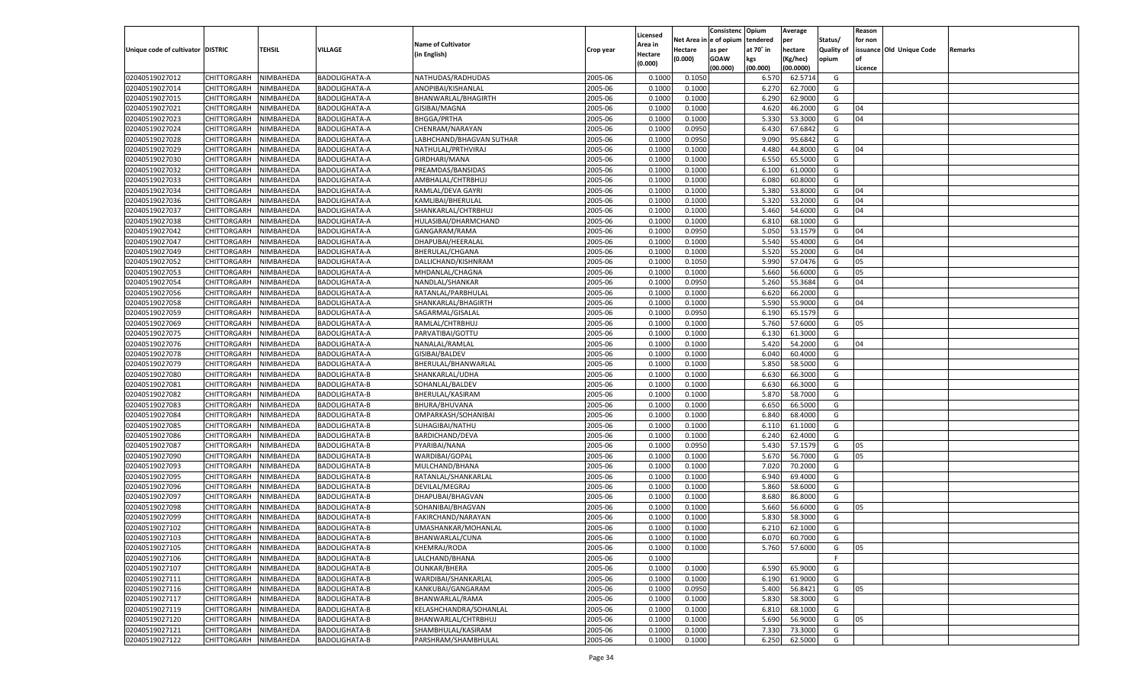|                                   |                       |               |                      |                           |           |                           |                  | Consistenc  | Opium     | Average   |                   | Reason  |                          |         |
|-----------------------------------|-----------------------|---------------|----------------------|---------------------------|-----------|---------------------------|------------------|-------------|-----------|-----------|-------------------|---------|--------------------------|---------|
|                                   |                       |               |                      | <b>Name of Cultivator</b> |           | Licensed                  | Net Area         | e of opium  | tendered  | per       | Status/           | for non |                          |         |
| Unique code of cultivator DISTRIC |                       | <b>TEHSIL</b> | VILLAGE              | (in English)              | Crop year | <b>Area in</b><br>Hectare | Hectare          | as per      | at 70° in | hectare   | <b>Quality of</b> |         | issuance Old Unique Code | Remarks |
|                                   |                       |               |                      |                           |           | (0.000)                   | (0.000)          | <b>GOAW</b> | kgs       | (Kg/hec)  | opium             |         |                          |         |
|                                   |                       |               |                      |                           |           |                           |                  | (00.000)    | (00.000)  | (00.0000) |                   | Licence |                          |         |
| 02040519027012                    | CHITTORGARH           | NIMBAHEDA     | BADOLIGHATA-A        | NATHUDAS/RADHUDAS         | 2005-06   | 0.1000                    | 0.1050           |             | 6.570     | 62.5714   | G                 |         |                          |         |
| 02040519027014                    | CHITTORGARH           | NIMBAHEDA     | BADOLIGHATA-A        | ANOPIBAI/KISHANLAL        | 2005-06   | 0.1000                    | 0.1000           |             | 6.27      | 62.7000   | G                 |         |                          |         |
| 02040519027015                    | CHITTORGARH           | NIMBAHEDA     | BADOLIGHATA-A        | BHANWARLAL/BHAGIRTH       | 2005-06   | 0.1000                    | 0.1000           |             | 6.290     | 62.9000   | G                 |         |                          |         |
| 02040519027021                    | CHITTORGARH           | NIMBAHEDA     | BADOLIGHATA-A        | GISIBAI/MAGNA             | 2005-06   | 0.1000                    | 0.1000           |             | 4.620     | 46.2000   | G                 | 04      |                          |         |
| 02040519027023                    | CHITTORGARH           | NIMBAHEDA     | BADOLIGHATA-A        | <b>BHGGA/PRTHA</b>        | 2005-06   | 0.1000                    | 0.1000           |             | 5.330     | 53.3000   | G                 | 04      |                          |         |
| 02040519027024                    | CHITTORGARH           | NIMBAHEDA     | BADOLIGHATA-A        | CHENRAM/NARAYAN           | 2005-06   | 0.1000                    | 0.0950           |             | 6.430     | 67.6842   | G                 |         |                          |         |
| 02040519027028                    | CHITTORGARH           | NIMBAHEDA     | BADOLIGHATA-A        | LABHCHAND/BHAGVAN SUTHAR  | 2005-06   | 0.1000                    | 0.0950           |             | 9.090     | 95.6842   | G                 |         |                          |         |
| 02040519027029                    | CHITTORGARH           | NIMBAHEDA     | BADOLIGHATA-A        | NATHULAL/PRTHVIRAJ        | 2005-06   | 0.1000                    | 0.1000           |             | 4.480     | 44.8000   | G                 | 04      |                          |         |
| 02040519027030                    | CHITTORGARH           | NIMBAHEDA     | BADOLIGHATA-A        | GIRDHARI/MANA             | 2005-06   | 0.1000                    | 0.1000           |             | 6.550     | 65.5000   | G                 |         |                          |         |
| 02040519027032                    | CHITTORGARH           | NIMBAHEDA     | BADOLIGHATA-A        | PREAMDAS/BANSIDAS         | 2005-06   | 0.1000                    | 0.1000           |             | 6.100     | 61.0000   | G                 |         |                          |         |
| 02040519027033                    | CHITTORGARH           | NIMBAHEDA     | BADOLIGHATA-A        | AMBHALAL/CHTRBHUJ         | 2005-06   | 0.1000                    | 0.1000           |             | 6.080     | 60.8000   | G                 |         |                          |         |
| 02040519027034                    | CHITTORGARH           | NIMBAHEDA     | BADOLIGHATA-A        | RAMLAL/DEVA GAYRI         | 2005-06   | 0.1000                    | 0.1000           |             | 5.380     | 53.8000   | G                 | 04      |                          |         |
| 02040519027036                    | CHITTORGARH           | NIMBAHEDA     | BADOLIGHATA-A        | KAMLIBAI/BHERULAL         | 2005-06   | 0.1000                    | 0.1000           |             | 5.320     | 53.2000   | G                 | 04      |                          |         |
| 02040519027037                    | CHITTORGARH           | NIMBAHEDA     | BADOLIGHATA-A        | SHANKARLAL/CHTRBHUJ       | 2005-06   | 0.1000                    | 0.1000           |             | 5.460     | 54.6000   | G                 | 04      |                          |         |
| 02040519027038                    | CHITTORGARH           | NIMBAHEDA     | BADOLIGHATA-A        | HULASIBAI/DHARMCHAND      | 2005-06   | 0.1000                    | 0.1000           |             | 6.810     | 68.1000   | G                 |         |                          |         |
| 02040519027042                    | CHITTORGARH           | NIMBAHEDA     | BADOLIGHATA-A        | GANGARAM/RAMA             | 2005-06   | 0.1000                    | 0.0950           |             | 5.050     | 53.1579   | G                 | 04      |                          |         |
| 02040519027047                    | CHITTORGARH           | NIMBAHEDA     | BADOLIGHATA-A        | DHAPUBAI/HEERALAI         | 2005-06   | 0.1000                    | 0.1000           |             | 5.540     | 55.4000   | G                 | 04      |                          |         |
| 02040519027049                    | CHITTORGARH           | NIMBAHEDA     | BADOLIGHATA-A        | BHERULAL/CHGANA           | 2005-06   | 0.1000                    | 0.1000           |             | 5.520     | 55.2000   | G                 | 04      |                          |         |
| 02040519027052                    | CHITTORGARH           | NIMBAHEDA     | BADOLIGHATA-A        | DALLICHAND/KISHNRAM       | 2005-06   | 0.1000                    | 0.1050           |             | 5.990     | 57.0476   | G                 | 05      |                          |         |
| 02040519027053                    | CHITTORGARH           | NIMBAHEDA     | BADOLIGHATA-A        | MHDANLAL/CHAGNA           | 2005-06   | 0.1000                    | 0.1000           |             | 5.660     | 56.6000   | G                 | 05      |                          |         |
| 02040519027054                    | CHITTORGARH           | NIMBAHEDA     | BADOLIGHATA-A        | NANDLAL/SHANKAR           | 2005-06   | 0.1000                    | 0.0950           |             | 5.260     | 55.3684   | G                 | 04      |                          |         |
| 02040519027056                    | CHITTORGARH           | NIMBAHEDA     | BADOLIGHATA-A        | RATANLAL/PARBHULAL        | 2005-06   | 0.1000                    | 0.1000           |             | 6.620     | 66.2000   | G                 |         |                          |         |
| 02040519027058                    | CHITTORGARH           | NIMBAHEDA     | BADOLIGHATA-A        | SHANKARLAL/BHAGIRTH       | 2005-06   | 0.1000                    | 0.1000           |             | 5.590     | 55.9000   | G                 | 04      |                          |         |
| 02040519027059                    | CHITTORGARH           | NIMBAHEDA     | BADOLIGHATA-A        | SAGARMAL/GISALAL          | 2005-06   | 0.1000                    | 0.0950           |             | 6.190     | 65.1579   | G                 |         |                          |         |
| 02040519027069                    | CHITTORGARH           | NIMBAHEDA     | BADOLIGHATA-A        | RAMLAL/CHTRBHUJ           | 2005-06   | 0.1000                    | 0.1000           |             | 5.760     | 57.6000   | G                 | 05      |                          |         |
| 02040519027075                    | CHITTORGARH           | NIMBAHEDA     | BADOLIGHATA-A        | PARVATIBAI/GOTTU          | 2005-06   | 0.1000                    | 0.1000           |             | 6.130     | 61.3000   | G                 |         |                          |         |
| 02040519027076                    | CHITTORGARH           | NIMBAHEDA     | BADOLIGHATA-A        | NANALAL/RAMLAL            | 2005-06   | 0.1000                    | 0.1000           |             | 5.420     | 54.2000   | G                 | 04      |                          |         |
| 02040519027078                    | CHITTORGARH           | NIMBAHEDA     | BADOLIGHATA-A        | GISIBAI/BALDEV            | 2005-06   | 0.1000                    | 0.1000           |             | 6.040     | 60.4000   | G                 |         |                          |         |
| 02040519027079                    | CHITTORGARH           | NIMBAHEDA     | BADOLIGHATA-A        | BHERULAL/BHANWARLAL       | 2005-06   | 0.1000                    | 0.1000           |             | 5.850     | 58.5000   | G                 |         |                          |         |
| 02040519027080                    | CHITTORGARH           | NIMBAHEDA     | BADOLIGHATA-B        | SHANKARLAL/UDHA           | 2005-06   | 0.1000                    | 0.1000           |             | 6.630     | 66.3000   | G                 |         |                          |         |
| 02040519027081                    | CHITTORGARH           | NIMBAHEDA     | BADOLIGHATA-B        | SOHANLAL/BALDEV           | 2005-06   | 0.1000                    | 0.1000           |             | 6.630     | 66.3000   | G                 |         |                          |         |
| 02040519027082                    | CHITTORGARH           | NIMBAHEDA     | BADOLIGHATA-B        | BHERULAL/KASIRAM          | 2005-06   | 0.1000                    | 0.1000           |             | 5.870     | 58.7000   | G                 |         |                          |         |
| 02040519027083                    | CHITTORGARH           | NIMBAHEDA     | BADOLIGHATA-B        | BHURA/BHUVANA             | 2005-06   | 0.1000                    | 0.1000           |             | 6.650     | 66.5000   | G                 |         |                          |         |
| 02040519027084                    | CHITTORGARH           | NIMBAHEDA     | BADOLIGHATA-B        | OMPARKASH/SOHANIBAI       | 2005-06   | 0.1000                    | 0.1000           |             | 6.84      | 68.4000   | G                 |         |                          |         |
| 02040519027085                    | CHITTORGARH           | NIMBAHEDA     | BADOLIGHATA-B        | SUHAGIBAI/NATHU           | 2005-06   | 0.1000                    | 0.1000           |             | 6.11      | 61.1000   | G                 |         |                          |         |
| 02040519027086                    | CHITTORGARH           | NIMBAHEDA     | BADOLIGHATA-B        | BARDICHAND/DEVA           | 2005-06   | 0.1000                    | 0.1000           |             | 6.240     | 62.4000   | G                 |         |                          |         |
| 02040519027087                    | CHITTORGARH           | NIMBAHEDA     | BADOLIGHATA-B        | PYARIBAI/NANA             | 2005-06   | 0.1000                    | 0.0950           |             | 5.430     | 57.1579   | G                 | 05      |                          |         |
| 02040519027090                    | CHITTORGARH           | NIMBAHEDA     | BADOLIGHATA-B        | WARDIBAI/GOPAL            | 2005-06   | 0.1000                    | 0.1000           |             | 5.670     | 56.7000   | G                 | 05      |                          |         |
| 02040519027093                    | CHITTORGARH           | NIMBAHEDA     | BADOLIGHATA-B        | MULCHAND/BHANA            | 2005-06   | 0.1000                    | 0.1000           |             | 7.020     | 70.2000   | G                 |         |                          |         |
| 02040519027095                    | CHITTORGARH           | NIMBAHEDA     | BADOLIGHATA-B        | RATANLAL/SHANKARLAL       | 2005-06   | 0.1000                    | 0.1000           |             | 6.940     | 69.4000   | G                 |         |                          |         |
| 02040519027096                    | CHITTORGARH           | NIMBAHEDA     | BADOLIGHATA-B        | DEVILAL/MEGRAJ            | 2005-06   | 0.1000                    | 0.1000           |             | 5.860     | 58.6000   | G                 |         |                          |         |
| 02040519027097                    | CHITTORGARH           | NIMBAHEDA     | BADOLIGHATA-B        | DHAPUBAI/BHAGVAN          | 2005-06   | 0.1000                    | 0.1000           |             | 8.680     | 86.8000   | G                 |         |                          |         |
| 02040519027098                    | CHITTORGARH           | NIMBAHEDA     | BADOLIGHATA-B        | SOHANIBAI/BHAGVAN         | 2005-06   | 0.1000                    | 0.1000           |             | 5.660     | 56.6000   | G                 | 05      |                          |         |
| 02040519027099                    |                       |               |                      | FAKIRCHAND/NARAYAN        | 2005-06   | 0.1000                    |                  |             | 5.83      | 58.3000   | G                 |         |                          |         |
|                                   | CHITTORGARH           | NIMBAHEDA     | BADOLIGHATA-B        |                           |           |                           | 0.1000<br>0.1000 |             |           | 62.1000   |                   |         |                          |         |
| 02040519027102                    | CHITTORGARH           | NIMBAHEDA     | BADOLIGHATA-B        | UMASHANKAR/MOHANLAL       | 2005-06   | 0.1000                    |                  |             | 6.210     |           | G                 |         |                          |         |
| 02040519027103                    | CHITTORGARH NIMBAHEDA |               | <b>BADOLIGHATA-B</b> | BHANWARLAL/CUNA           | 2005-06   | 0.1000                    | 0.1000           |             | 6.070     | 60.7000   | G                 |         |                          |         |
| 02040519027105                    | <b>CHITTORGARH</b>    | NIMBAHEDA     | BADOLIGHATA-B        | KHEMRAJ/RODA              | 2005-06   | 0.1000                    | 0.1000           |             | 5.760     | 57.6000   | G                 | 05      |                          |         |
| 02040519027106                    | CHITTORGARH           | NIMBAHEDA     | <b>BADOLIGHATA-B</b> | LALCHAND/BHANA            | 2005-06   | 0.1000                    |                  |             |           |           | F                 |         |                          |         |
| 02040519027107                    | <b>CHITTORGARH</b>    | NIMBAHEDA     | BADOLIGHATA-B        | <b>OUNKAR/BHERA</b>       | 2005-06   | 0.1000                    | 0.1000           |             | 6.590     | 65.9000   | G                 |         |                          |         |
| 02040519027111                    | <b>CHITTORGARH</b>    | NIMBAHEDA     | BADOLIGHATA-B        | WARDIBAI/SHANKARLAL       | 2005-06   | 0.1000                    | 0.1000           |             | 6.190     | 61.9000   | G                 |         |                          |         |
| 02040519027116                    | <b>CHITTORGARH</b>    | NIMBAHEDA     | BADOLIGHATA-B        | KANKUBAI/GANGARAM         | 2005-06   | 0.1000                    | 0.0950           |             | 5.400     | 56.8421   | G                 | 05      |                          |         |
| 02040519027117                    | <b>CHITTORGARH</b>    | NIMBAHEDA     | BADOLIGHATA-B        | BHANWARLAL/RAMA           | 2005-06   | 0.1000                    | 0.1000           |             | 5.830     | 58.3000   | G                 |         |                          |         |
| 02040519027119                    | <b>CHITTORGARH</b>    | NIMBAHEDA     | <b>BADOLIGHATA-B</b> | KELASHCHANDRA/SOHANLAL    | 2005-06   | 0.1000                    | 0.1000           |             | 6.810     | 68.1000   | G                 |         |                          |         |
| 02040519027120                    | <b>CHITTORGARH</b>    | NIMBAHEDA     | BADOLIGHATA-B        | BHANWARLAL/CHTRBHUJ       | 2005-06   | 0.1000                    | 0.1000           |             | 5.690     | 56.9000   | G                 | 05      |                          |         |
| 02040519027121                    | <b>CHITTORGARH</b>    | NIMBAHEDA     | BADOLIGHATA-B        | SHAMBHULAL/KASIRAM        | 2005-06   | 0.1000                    | 0.1000           |             | 7.330     | 73.3000   | G                 |         |                          |         |
| 02040519027122                    | CHITTORGARH           | NIMBAHEDA     | <b>BADOLIGHATA-B</b> | PARSHRAM/SHAMBHULAL       | 2005-06   | 0.1000                    | 0.1000           |             | 6.250     | 62.5000   | G                 |         |                          |         |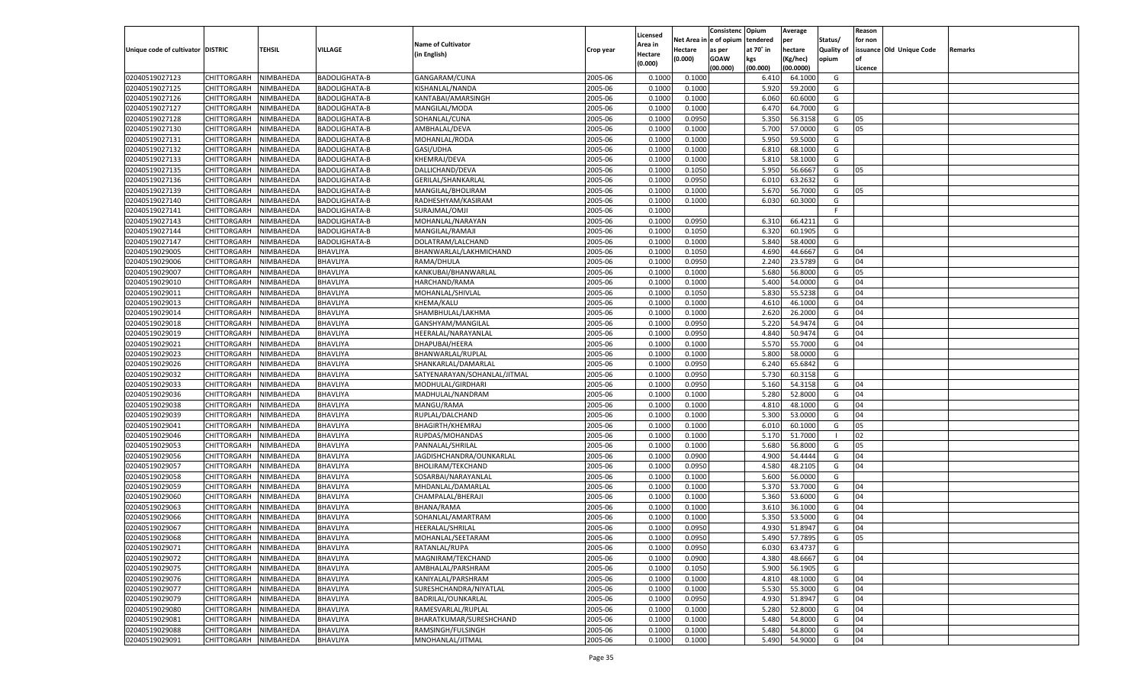|                                   |                       |               |                                    |                              |           |                           |          | Consistenc  | Opium     | Average   |                   | Reason  |                          |         |
|-----------------------------------|-----------------------|---------------|------------------------------------|------------------------------|-----------|---------------------------|----------|-------------|-----------|-----------|-------------------|---------|--------------------------|---------|
|                                   |                       |               |                                    | <b>Name of Cultivator</b>    |           | Licensed                  | Net Area | e of opium  | tendered  | per       | Status/           | for non |                          |         |
| Unique code of cultivator DISTRIC |                       | <b>TEHSIL</b> | VILLAGE                            | (in English)                 | Crop year | <b>Area in</b><br>Hectare | Hectare  | as per      | at 70° in | hectare   | <b>Quality of</b> |         | issuance Old Unique Code | Remarks |
|                                   |                       |               |                                    |                              |           | (0.000)                   | (0.000)  | <b>GOAW</b> | kgs       | (Kg/hec)  | opium             |         |                          |         |
|                                   |                       |               |                                    |                              |           |                           |          | (00.000)    | (00.000)  | (00.0000) |                   | Licence |                          |         |
| 02040519027123                    | CHITTORGARH           | NIMBAHEDA     | BADOLIGHATA-B                      | GANGARAM/CUNA                | 2005-06   | 0.1000                    | 0.1000   |             | 6.41      | 64.1000   | G                 |         |                          |         |
| 02040519027125                    | CHITTORGARH           | NIMBAHEDA     | BADOLIGHATA-B                      | KISHANLAL/NANDA              | 2005-06   | 0.1000                    | 0.1000   |             | 5.920     | 59.2000   | G                 |         |                          |         |
| 02040519027126                    | CHITTORGARH           | NIMBAHEDA     | BADOLIGHATA-B                      | KANTABAI/AMARSINGH           | 2005-06   | 0.1000                    | 0.1000   |             | 6.060     | 60.6000   | G                 |         |                          |         |
| 02040519027127                    | CHITTORGARH           | NIMBAHEDA     | <b>BADOLIGHATA-B</b>               | MANGILAL/MODA                | 2005-06   | 0.1000                    | 0.1000   |             | 6.470     | 64.7000   | G                 |         |                          |         |
| 02040519027128                    | CHITTORGARH           | NIMBAHEDA     | BADOLIGHATA-B                      | SOHANLAL/CUNA                | 2005-06   | 0.1000                    | 0.0950   |             | 5.350     | 56.3158   | G                 | 05      |                          |         |
| 02040519027130                    | CHITTORGARH           | NIMBAHEDA     | BADOLIGHATA-B                      | AMBHALAL/DEVA                | 2005-06   | 0.1000                    | 0.1000   |             | 5.700     | 57.0000   | G                 | 05      |                          |         |
| 02040519027131                    | CHITTORGARH           | NIMBAHEDA     | BADOLIGHATA-B                      | MOHANLAL/RODA                | 2005-06   | 0.1000                    | 0.1000   |             | 5.950     | 59.5000   | G                 |         |                          |         |
| 02040519027132                    | CHITTORGARH           | NIMBAHEDA     | <b>BADOLIGHATA-B</b>               | GASI/UDHA                    | 2005-06   | 0.1000                    | 0.1000   |             | 6.810     | 68.1000   | G                 |         |                          |         |
| 02040519027133                    | CHITTORGARH           | NIMBAHEDA     | <b>BADOLIGHATA-B</b>               | KHEMRAJ/DEVA                 | 2005-06   | 0.1000                    | 0.1000   |             | 5.810     | 58.1000   | G                 |         |                          |         |
| 02040519027135                    | CHITTORGARH           | NIMBAHEDA     | <b>BADOLIGHATA-B</b>               | DALLICHAND/DEVA              | 2005-06   | 0.1000                    | 0.1050   |             | 5.950     | 56.666    | G                 | 05      |                          |         |
| 02040519027136                    | CHITTORGARH           | NIMBAHEDA     | BADOLIGHATA-B                      | GERILAL/SHANKARLAL           | 2005-06   | 0.1000                    | 0.0950   |             | 6.010     | 63.263    | G                 |         |                          |         |
| 02040519027139                    | CHITTORGARH           | NIMBAHEDA     | BADOLIGHATA-B                      | MANGILAL/BHOLIRAM            | 2005-06   | 0.1000                    | 0.1000   |             | 5.670     | 56.7000   | G                 | 05      |                          |         |
| 02040519027140                    | CHITTORGARH           | NIMBAHEDA     | BADOLIGHATA-B                      | RADHESHYAM/KASIRAM           | 2005-06   | 0.1000                    | 0.1000   |             | 6.030     | 60.3000   | G                 |         |                          |         |
| 02040519027141                    | CHITTORGARH           | NIMBAHEDA     | BADOLIGHATA-B                      | SURAJMAL/OMJI                | 2005-06   | 0.1000                    |          |             |           |           | F.                |         |                          |         |
| 02040519027143                    | CHITTORGARH           | NIMBAHEDA     | BADOLIGHATA-B                      | MOHANLAL/NARAYAN             | 2005-06   | 0.1000                    | 0.0950   |             | 6.310     | 66.4211   | G                 |         |                          |         |
| 02040519027144                    | CHITTORGARH           | NIMBAHEDA     | BADOLIGHATA-B                      | MANGILAL/RAMAJI              | 2005-06   | 0.1000                    | 0.1050   |             | 6.320     | 60.1905   | G                 |         |                          |         |
| 02040519027147                    | CHITTORGARH           | NIMBAHEDA     | <b>BADOLIGHATA-B</b>               | DOLATRAM/LALCHAND            | 2005-06   | 0.1000                    | 0.1000   |             | 5.840     | 58.4000   | G                 |         |                          |         |
| 02040519029005                    | CHITTORGARH           | NIMBAHEDA     | BHAVLIYA                           | BHANWARLAL/LAKHMICHAND       | 2005-06   | 0.1000                    | 0.1050   |             | 4.690     | 44.6667   | G                 | 04      |                          |         |
| 02040519029006                    | CHITTORGARH           | NIMBAHEDA     | BHAVLIYA                           | RAMA/DHULA                   | 2005-06   | 0.1000                    | 0.0950   |             | 2.240     | 23.5789   | G                 | 04      |                          |         |
| 02040519029007                    | CHITTORGARH           | NIMBAHEDA     | BHAVLIYA                           | KANKUBAI/BHANWARLAI          | 2005-06   | 0.1000                    | 0.1000   |             | 5.680     | 56.8000   | G                 | 05      |                          |         |
| 02040519029010                    | CHITTORGARH           | NIMBAHEDA     | BHAVLIYA                           | HARCHAND/RAMA                | 2005-06   | 0.1000                    | 0.1000   |             | 5.400     | 54.0000   | G                 | 04      |                          |         |
| 02040519029011                    | CHITTORGARH           | NIMBAHEDA     | BHAVLIYA                           | MOHANLAL/SHIVLAL             | 2005-06   | 0.1000                    | 0.1050   |             | 5.830     | 55.5238   | G                 | 04      |                          |         |
| 02040519029013                    | CHITTORGARH           | NIMBAHEDA     | BHAVLIYA                           | KHEMA/KALU                   | 2005-06   | 0.1000                    | 0.1000   |             | 4.610     | 46.1000   | G                 | 04      |                          |         |
| 02040519029014                    | CHITTORGARH           | NIMBAHEDA     | BHAVLIYA                           | SHAMBHULAL/LAKHMA            | 2005-06   | 0.1000                    | 0.1000   |             | 2.620     | 26.2000   | G                 | 04      |                          |         |
| 02040519029018                    | CHITTORGARH           | NIMBAHEDA     | BHAVLIYA                           | GANSHYAM/MANGILAL            | 2005-06   | 0.1000                    | 0.0950   |             | 5.220     | 54.9474   | G                 | 04      |                          |         |
| 02040519029019                    | CHITTORGARH           | NIMBAHEDA     | BHAVLIYA                           | HEERALAL/NARAYANLAL          | 2005-06   | 0.1000                    | 0.0950   |             | 4.840     | 50.9474   | G                 | 04      |                          |         |
| 02040519029021                    | CHITTORGARH           | NIMBAHEDA     | BHAVLIYA                           | DHAPUBAI/HEERA               | 2005-06   | 0.1000                    | 0.1000   |             | 5.570     | 55.7000   | G                 | 04      |                          |         |
| 02040519029023                    | CHITTORGARH           | NIMBAHEDA     | BHAVLIYA                           | BHANWARLAL/RUPLAL            | 2005-06   | 0.1000                    | 0.1000   |             | 5.800     | 58.0000   | G                 |         |                          |         |
| 02040519029026                    | CHITTORGARH           | NIMBAHEDA     | BHAVLIYA                           | SHANKARLAL/DAMARLAL          | 2005-06   | 0.1000                    | 0.0950   |             | 6.240     | 65.6842   | G                 |         |                          |         |
| 02040519029032                    | CHITTORGARH           | NIMBAHEDA     | BHAVLIYA                           | SATYENARAYAN/SOHANLAL/JITMAL | 2005-06   | 0.1000                    | 0.0950   |             | 5.730     | 60.3158   | G                 |         |                          |         |
| 02040519029033                    | CHITTORGARH           | NIMBAHEDA     | BHAVLIYA                           | MODHULAL/GIRDHARI            | 2005-06   | 0.1000                    | 0.0950   |             | 5.160     | 54.3158   | G                 | 04      |                          |         |
| 02040519029036                    | CHITTORGARH           | NIMBAHEDA     | BHAVLIYA                           | MADHULAL/NANDRAM             | 2005-06   | 0.1000                    | 0.1000   |             | 5.280     | 52.8000   | G                 | 04      |                          |         |
| 02040519029038                    | CHITTORGARH           | NIMBAHEDA     | BHAVLIYA                           | MANGU/RAMA                   | 2005-06   | 0.1000                    | 0.1000   |             | 4.810     | 48.1000   | G                 | 04      |                          |         |
| 02040519029039                    | CHITTORGARH           | NIMBAHEDA     | BHAVLIYA                           | RUPLAL/DALCHAND              | 2005-06   | 0.1000                    | 0.1000   |             | 5.300     | 53.0000   | G                 | 04      |                          |         |
| 02040519029041                    | CHITTORGARH           | NIMBAHEDA     | BHAVLIYA                           | <b>BHAGIRTH/KHEMRAJ</b>      | 2005-06   | 0.1000                    | 0.1000   |             | 6.010     | 60.1000   | G                 | 05      |                          |         |
| 02040519029046                    | CHITTORGARH           | NIMBAHEDA     | BHAVLIYA                           | RUPDAS/MOHANDAS              | 2005-06   | 0.1000                    | 0.1000   |             | 5.170     | 51.7000   | - 1               | 02      |                          |         |
| 02040519029053                    | CHITTORGARH           | NIMBAHEDA     | BHAVLIYA                           | PANNALAL/SHRILAL             | 2005-06   | 0.1000                    | 0.1000   |             | 5.680     | 56.8000   | G                 | 05      |                          |         |
| 02040519029056                    | CHITTORGARH           | NIMBAHEDA     | BHAVLIYA                           | JAGDISHCHANDRA/OUNKARLAL     | 2005-06   | 0.1000                    | 0.0900   |             | 4.900     | 54.4444   | G                 | 04      |                          |         |
| 02040519029057                    | CHITTORGARH           | NIMBAHEDA     | BHAVLIYA                           | <b>BHOLIRAM/TEKCHAND</b>     | 2005-06   | 0.1000                    | 0.0950   |             | 4.580     | 48.2105   | G                 | 04      |                          |         |
| 02040519029058                    | CHITTORGARH           | NIMBAHEDA     | BHAVLIYA                           | SOSARBAI/NARAYANLAL          | 2005-06   | 0.1000                    | 0.1000   |             | 5.600     | 56.0000   | G                 |         |                          |         |
| 02040519029059                    | CHITTORGARH           | NIMBAHEDA     | BHAVLIYA                           | MHDANLAL/DAMARLAL            | 2005-06   | 0.1000                    | 0.1000   |             | 5.370     | 53.7000   | G                 | 04      |                          |         |
| 02040519029060                    | CHITTORGARH           | NIMBAHEDA     | BHAVLIYA                           | CHAMPALAL/BHERAJI            | 2005-06   | 0.1000                    | 0.1000   |             | 5.360     | 53.6000   | G                 | 04      |                          |         |
| 02040519029063                    | CHITTORGARH           | NIMBAHEDA     | BHAVLIYA                           | BHANA/RAMA                   | 2005-06   | 0.1000                    | 0.1000   |             | 3.61      | 36.1000   | G                 | 04      |                          |         |
| 02040519029066                    | CHITTORGARH           | NIMBAHEDA     | BHAVLIYA                           | SOHANLAL/AMARTRAM            | 2005-06   | 0.1000                    | 0.1000   |             | 5.350     | 53.5000   | G                 | 04      |                          |         |
| 02040519029067                    | CHITTORGARH           | NIMBAHEDA     | BHAVLIYA                           | HEERALAL/SHRILAL             | 2005-06   | 0.1000                    | 0.0950   |             | 4.930     | 51.8947   | G                 | 04      |                          |         |
| 02040519029068                    | CHITTORGARH NIMBAHEDA |               | <b>BHAVLIYA</b>                    | MOHANLAL/SEETARAM            | 2005-06   | 0.1000                    | 0.0950   |             | 5.490     | 57.7895   | G                 | 05      |                          |         |
| 02040519029071                    | <b>CHITTORGARH</b>    | NIMBAHEDA     | <b>BHAVLIYA</b>                    | RATANLAL/RUPA                | 2005-06   | 0.1000                    | 0.0950   |             | 6.030     | 63.4737   | G                 |         |                          |         |
| 02040519029072                    | CHITTORGARH           | NIMBAHEDA     | BHAVLIYA                           | MAGNIRAM/TEKCHAND            | 2005-06   | 0.1000                    | 0.0900   |             | 4.380     | 48.6667   | G                 | 04      |                          |         |
| 02040519029075                    | <b>CHITTORGARH</b>    | NIMBAHEDA     | <b>BHAVLIYA</b>                    | AMBHALAL/PARSHRAM            | 2005-06   | 0.1000                    | 0.1050   |             | 5.900     | 56.1905   | G                 |         |                          |         |
| 02040519029076                    | <b>CHITTORGARH</b>    | NIMBAHEDA     | BHAVLIYA                           | KANIYALAL/PARSHRAM           | 2005-06   | 0.1000                    | 0.1000   |             | 4.810     | 48.1000   | G                 | 04      |                          |         |
| 02040519029077                    |                       | NIMBAHEDA     | <b>BHAVLIYA</b>                    | SURESHCHANDRA/NIYATLAL       | 2005-06   | 0.1000                    | 0.1000   |             | 5.530     | 55.3000   | G                 | 04      |                          |         |
| 02040519029079                    | <b>CHITTORGARH</b>    | NIMBAHEDA     |                                    | BADRILAL/OUNKARLAL           | 2005-06   |                           | 0.0950   |             | 4.930     | 51.8947   | G                 | 04      |                          |         |
| 02040519029080                    | <b>CHITTORGARH</b>    |               | <b>BHAVLIYA</b><br><b>BHAVLIYA</b> |                              | 2005-06   | 0.1000                    | 0.1000   |             |           |           |                   | 04      |                          |         |
| 02040519029081                    | <b>CHITTORGARH</b>    | NIMBAHEDA     |                                    | RAMESVARLAL/RUPLAL           |           | 0.1000                    |          |             | 5.280     | 52.8000   | G                 |         |                          |         |
|                                   | <b>CHITTORGARH</b>    | NIMBAHEDA     | BHAVLIYA                           | BHARATKUMAR/SURESHCHAND      | 2005-06   | 0.1000                    | 0.1000   |             | 5.480     | 54.8000   | G                 | 04      |                          |         |
| 02040519029088                    | <b>CHITTORGARH</b>    | NIMBAHEDA     | <b>BHAVLIYA</b>                    | RAMSINGH/FULSINGH            | 2005-06   | 0.1000                    | 0.1000   |             | 5.480     | 54.8000   | G                 | 04      |                          |         |
| 02040519029091                    | <b>CHITTORGARH</b>    | NIMBAHEDA     | BHAVLIYA                           | MNOHANLAL/JITMAL             | 2005-06   | 0.1000                    | 0.1000   |             | 5.490     | 54.9000   | G                 | 04      |                          |         |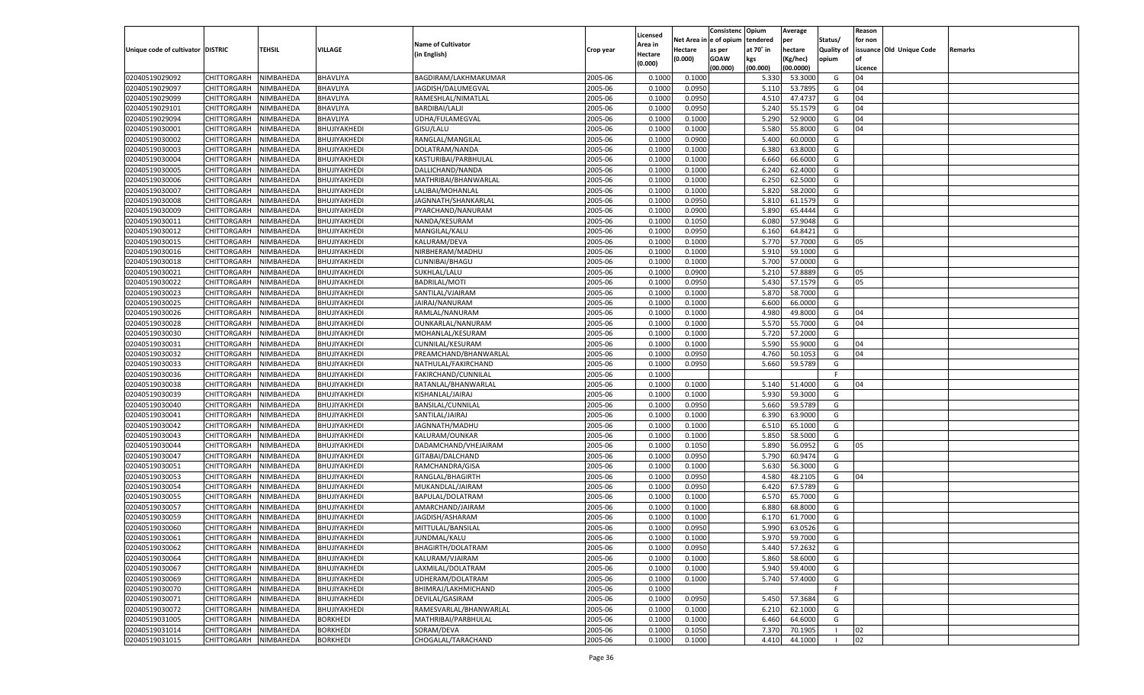|                                   |                                      |               |                              |                                   |           |                           |          | Consistenc  | Opium     | Average   |                   | Reason  |                          |         |
|-----------------------------------|--------------------------------------|---------------|------------------------------|-----------------------------------|-----------|---------------------------|----------|-------------|-----------|-----------|-------------------|---------|--------------------------|---------|
|                                   |                                      |               |                              | <b>Name of Cultivator</b>         |           | Licensed                  | Net Area | e of opium  | tendered  | per       | Status/           | for non |                          |         |
| Unique code of cultivator DISTRIC |                                      | <b>TEHSIL</b> | VILLAGE                      | (in English)                      | Crop year | <b>Area in</b><br>Hectare | Hectare  | as per      | at 70° in | hectare   | <b>Quality of</b> |         | issuance Old Unique Code | Remarks |
|                                   |                                      |               |                              |                                   |           | (0.000)                   | (0.000)  | <b>GOAW</b> | kgs       | (Kg/hec)  | opium             |         |                          |         |
|                                   |                                      |               |                              |                                   |           |                           |          | (00.000)    | (00.000)  | (00.0000) |                   | Licence |                          |         |
| 02040519029092                    | CHITTORGARH                          | NIMBAHEDA     | BHAVLIYA                     | BAGDIRAM/LAKHMAKUMAR              | 2005-06   | 0.1000                    | 0.1000   |             | 5.330     | 53.3000   | G                 | 04      |                          |         |
| 02040519029097                    | CHITTORGARH                          | NIMBAHEDA     | BHAVLIYA                     | JAGDISH/DALUMEGVAL                | 2005-06   | 0.1000                    | 0.0950   |             | 5.11      | 53.7895   | G                 | 04      |                          |         |
| 02040519029099                    | CHITTORGARH                          | NIMBAHEDA     | BHAVLIYA                     | RAMESHLAL/NIMATLAL                | 2005-06   | 0.1000                    | 0.0950   |             | 4.510     | 47.473    | G                 | 04      |                          |         |
| 02040519029101                    | CHITTORGARH                          | NIMBAHEDA     | BHAVLIYA                     | <b>BARDIBAI/LALJI</b>             | 2005-06   | 0.1000                    | 0.0950   |             | 5.240     | 55.1579   | G                 | 04      |                          |         |
| 02040519029094                    | CHITTORGARH                          | NIMBAHEDA     | BHAVLIYA                     | UDHA/FULAMEGVAL                   | 2005-06   | 0.1000                    | 0.1000   |             | 5.290     | 52.9000   | G                 | 04      |                          |         |
| 02040519030001                    | CHITTORGARH                          | NIMBAHEDA     | BHUJIYAKHEDI                 | GISU/LALU                         | 2005-06   | 0.1000                    | 0.1000   |             | 5.580     | 55.8000   | G                 | 04      |                          |         |
| 02040519030002                    | CHITTORGARH                          | NIMBAHEDA     | BHUJIYAKHEDI                 | RANGLAL/MANGILAL                  | 2005-06   | 0.1000                    | 0.0900   |             | 5.400     | 60.0000   | G                 |         |                          |         |
| 02040519030003                    | CHITTORGARH                          | NIMBAHEDA     | BHUJIYAKHEDI                 | DOLATRAM/NANDA                    | 2005-06   | 0.1000                    | 0.1000   |             | 6.380     | 63.8000   | G                 |         |                          |         |
| 02040519030004                    | CHITTORGARH                          | NIMBAHEDA     | BHUJIYAKHEDI                 | KASTURIBAI/PARBHULAL              | 2005-06   | 0.1000                    | 0.1000   |             | 6.660     | 66.6000   | G                 |         |                          |         |
| 02040519030005                    | CHITTORGARH                          | NIMBAHEDA     | BHUJIYAKHEDI                 | DALLICHAND/NANDA                  | 2005-06   | 0.1000                    | 0.1000   |             | 6.240     | 62.4000   | G                 |         |                          |         |
| 02040519030006                    | CHITTORGARH                          | NIMBAHEDA     | BHUJIYAKHEDI                 | MATHRIBAI/BHANWARLAL              | 2005-06   | 0.1000                    | 0.1000   |             | 6.250     | 62.5000   | G                 |         |                          |         |
| 02040519030007                    | CHITTORGARH                          | NIMBAHEDA     | BHUJIYAKHEDI                 | LALIBAI/MOHANLAL                  | 2005-06   | 0.1000                    | 0.1000   |             | 5.820     | 58.2000   | G                 |         |                          |         |
| 02040519030008                    | CHITTORGARH                          | NIMBAHEDA     | BHUJIYAKHEDI                 | JAGNNATH/SHANKARLAL               | 2005-06   | 0.1000                    | 0.0950   |             | 5.810     | 61.1579   | G                 |         |                          |         |
| 02040519030009                    | CHITTORGARH                          | NIMBAHEDA     | BHUJIYAKHEDI                 | PYARCHAND/NANURAM                 | 2005-06   | 0.1000                    | 0.0900   |             | 5.890     | 65.4444   | G                 |         |                          |         |
| 02040519030011                    | CHITTORGARH                          | NIMBAHEDA     | BHUJIYAKHEDI                 | NANDA/KESURAM                     | 2005-06   | 0.1000                    | 0.1050   |             | 6.080     | 57.9048   | G                 |         |                          |         |
| 02040519030012                    | CHITTORGARH                          | NIMBAHEDA     | BHUJIYAKHEDI                 | MANGILAL/KALU                     | 2005-06   | 0.1000                    | 0.0950   |             | 6.160     | 64.8421   | G                 |         |                          |         |
| 02040519030015                    | CHITTORGARH                          | NIMBAHEDA     | BHUJIYAKHEDI                 | KALURAM/DEVA                      | 2005-06   | 0.1000                    | 0.1000   |             | 5.770     | 57.7000   | G                 | 05      |                          |         |
| 02040519030016                    | CHITTORGARH                          | NIMBAHEDA     | BHUJIYAKHEDI                 | NIRBHERAM/MADHU                   | 2005-06   | 0.1000                    | 0.1000   |             | 5.910     | 59.1000   | G                 |         |                          |         |
| 02040519030018                    | CHITTORGARH                          | NIMBAHEDA     | BHUJIYAKHEDI                 | CUNNIBAI/BHAGU                    | 2005-06   | 0.1000                    | 0.1000   |             | 5.700     | 57.0000   | G                 |         |                          |         |
| 02040519030021                    | CHITTORGARH                          | NIMBAHEDA     | BHUJIYAKHEDI                 | SUKHLAL/LALU                      | 2005-06   | 0.1000                    | 0.0900   |             | 5.210     | 57.8889   | G                 | 05      |                          |         |
| 02040519030022                    | CHITTORGARH                          | NIMBAHEDA     | BHUJIYAKHEDI                 | <b>BADRILAL/MOTI</b>              | 2005-06   | 0.1000                    | 0.0950   |             | 5.430     | 57.1579   | G                 | 05      |                          |         |
| 02040519030023                    | CHITTORGARH                          | NIMBAHEDA     | BHUJIYAKHEDI                 | SANTILAL/VJAIRAM                  | 2005-06   | 0.1000                    | 0.1000   |             | 5.870     | 58.7000   | G                 |         |                          |         |
| 02040519030025                    | CHITTORGARH                          | NIMBAHEDA     | BHUJIYAKHEDI                 | JAIRAJ/NANURAM                    | 2005-06   | 0.1000                    | 0.1000   |             | 6.600     | 66.0000   | G                 |         |                          |         |
| 02040519030026                    | CHITTORGARH                          | NIMBAHEDA     | BHUJIYAKHEDI                 | RAMLAL/NANURAM                    | 2005-06   | 0.1000                    | 0.1000   |             | 4.980     | 49.8000   | G                 | 04      |                          |         |
| 02040519030028                    | CHITTORGARH                          | NIMBAHEDA     | BHUJIYAKHEDI                 | OUNKARLAL/NANURAM                 | 2005-06   | 0.1000                    | 0.1000   |             | 5.570     | 55.7000   | G                 | 04      |                          |         |
| 02040519030030                    | CHITTORGARH                          | NIMBAHEDA     | BHUJIYAKHEDI                 | MOHANLAL/KESURAM                  | 2005-06   | 0.1000                    | 0.1000   |             | 5.720     | 57.2000   | G                 |         |                          |         |
| 02040519030031                    | CHITTORGARH                          | NIMBAHEDA     | BHUJIYAKHEDI                 | CUNNILAL/KESURAM                  | 2005-06   | 0.1000                    | 0.1000   |             | 5.590     | 55.9000   | G                 | 04      |                          |         |
| 02040519030032                    | CHITTORGARH                          | NIMBAHEDA     | BHUJIYAKHEDI                 | PREAMCHAND/BHANWARLAL             | 2005-06   | 0.1000                    | 0.0950   |             | 4.760     | 50.1053   | G                 | 04      |                          |         |
| 02040519030033                    | CHITTORGARH                          | NIMBAHEDA     | BHUJIYAKHEDI                 | NATHULAL/FAKIRCHAND               | 2005-06   | 0.1000                    | 0.0950   |             | 5.660     | 59.5789   | G                 |         |                          |         |
| 02040519030036                    | CHITTORGARH                          | NIMBAHEDA     | BHUJIYAKHEDI                 | FAKIRCHAND/CUNNILAL               | 2005-06   | 0.1000                    |          |             |           |           | F.                |         |                          |         |
| 02040519030038                    | CHITTORGARH                          | NIMBAHEDA     | BHUJIYAKHEDI                 | RATANLAL/BHANWARLAL               | 2005-06   | 0.1000                    | 0.1000   |             | 5.140     | 51.4000   | G                 | 04      |                          |         |
| 02040519030039                    | CHITTORGARH                          | NIMBAHEDA     | BHUJIYAKHEDI                 | KISHANLAL/JAIRAJ                  | 2005-06   | 0.1000                    | 0.1000   |             | 5.930     | 59.3000   | G                 |         |                          |         |
| 02040519030040                    | CHITTORGARH                          | NIMBAHEDA     | BHUJIYAKHEDI                 | BANSILAL/CUNNILAL                 | 2005-06   | 0.1000                    | 0.0950   |             | 5.660     | 59.5789   | G                 |         |                          |         |
| 02040519030041                    | CHITTORGARH                          | NIMBAHEDA     | BHUJIYAKHEDI                 | SANTILAL/JAIRAJ                   | 2005-06   | 0.1000                    | 0.1000   |             | 6.390     | 63.9000   | G                 |         |                          |         |
| 02040519030042                    | CHITTORGARH                          | NIMBAHEDA     | BHUJIYAKHEDI                 | JAGNNATH/MADHU                    | 2005-06   | 0.1000                    | 0.1000   |             | 6.510     | 65.1000   | G                 |         |                          |         |
| 02040519030043                    | CHITTORGARH                          | NIMBAHEDA     | BHUJIYAKHEDI                 | KALURAM/OUNKAR                    | 2005-06   | 0.1000                    | 0.1000   |             | 5.850     | 58.5000   | G                 |         |                          |         |
| 02040519030044                    | CHITTORGARH                          | NIMBAHEDA     | BHUJIYAKHEDI                 | DADAMCHAND/VHEJAIRAM              | 2005-06   | 0.1000                    | 0.1050   |             | 5.890     | 56.0952   | G                 | 05      |                          |         |
| 02040519030047                    | CHITTORGARH                          | NIMBAHEDA     | BHUJIYAKHEDI                 | GITABAI/DALCHAND                  | 2005-06   | 0.1000                    | 0.0950   |             | 5.790     | 60.9474   | G                 |         |                          |         |
| 02040519030051                    | CHITTORGARH                          | NIMBAHEDA     | BHUJIYAKHEDI                 | RAMCHANDRA/GISA                   | 2005-06   | 0.1000                    | 0.1000   |             | 5.630     | 56.3000   | G                 |         |                          |         |
| 02040519030053                    | CHITTORGARH                          | NIMBAHEDA     | BHUJIYAKHEDI                 | RANGLAL/BHAGIRTH                  | 2005-06   | 0.1000                    | 0.0950   |             | 4.580     | 48.2105   | G                 | 04      |                          |         |
| 02040519030054                    | CHITTORGARH                          | NIMBAHEDA     | BHUJIYAKHEDI                 | MUKANDLAL/JAIRAM                  | 2005-06   | 0.1000                    | 0.0950   |             | 6.420     | 67.5789   | G                 |         |                          |         |
| 02040519030055                    | CHITTORGARH                          | NIMBAHEDA     | BHUJIYAKHEDI                 | BAPULAL/DOLATRAM                  | 2005-06   | 0.1000                    | 0.1000   |             | 6.570     | 65.7000   | G                 |         |                          |         |
| 02040519030057                    | CHITTORGARH                          | NIMBAHEDA     | BHUJIYAKHEDI                 | AMARCHAND/JAIRAM                  | 2005-06   | 0.1000                    | 0.1000   |             | 6.880     | 68.8000   | G                 |         |                          |         |
| 02040519030059                    | CHITTORGARH                          | NIMBAHEDA     | BHUJIYAKHEDI                 | JAGDISH/ASHARAM                   | 2005-06   | 0.1000                    | 0.1000   |             | 6.17      | 61.7000   | G                 |         |                          |         |
| 02040519030060                    |                                      | NIMBAHEDA     |                              |                                   | 2005-06   | 0.1000                    | 0.0950   |             | 5.990     | 63.0526   | G                 |         |                          |         |
| 02040519030061                    | CHITTORGARH<br>CHITTORGARH NIMBAHEDA |               | BHUJIYAKHEDI<br>BHUJIYAKHEDI | MITTULAL/BANSILAL<br>JUNDMAL/KALU |           |                           |          |             |           |           |                   |         |                          |         |
|                                   |                                      |               | BHUJIYAKHEDI                 | BHAGIRTH/DOLATRAM                 | 2005-06   | 0.1000                    | 0.1000   |             | 5.970     | 59.7000   | G                 |         |                          |         |
| 02040519030062                    | <b>CHITTORGARH</b>                   | NIMBAHEDA     |                              |                                   | 2005-06   | 0.1000                    | 0.0950   |             | 5.440     | 57.2632   | G                 |         |                          |         |
| 02040519030064                    | CHITTORGARH                          | NIMBAHEDA     | BHUJIYAKHEDI                 | KALURAM/VJAIRAM                   | 2005-06   | 0.1000                    | 0.1000   |             | 5.860     | 58.6000   | G                 |         |                          |         |
| 02040519030067                    | <b>CHITTORGARH</b>                   | NIMBAHEDA     | BHUJIYAKHEDI                 | LAXMILAL/DOLATRAM                 | 2005-06   | 0.1000                    | 0.1000   |             | 5.940     | 59.4000   | G                 |         |                          |         |
| 02040519030069                    | <b>CHITTORGARH</b>                   | NIMBAHEDA     | BHUJIYAKHEDI                 | UDHERAM/DOLATRAM                  | 2005-06   | 0.1000                    | 0.1000   |             | 5.740     | 57.4000   | G                 |         |                          |         |
| 02040519030070                    | <b>CHITTORGARH</b>                   | NIMBAHEDA     | BHUJIYAKHEDI                 | BHIMRAJ/LAKHMICHAND               | 2005-06   | 0.1000                    |          |             |           |           | F                 |         |                          |         |
| 02040519030071                    | <b>CHITTORGARH</b>                   | NIMBAHEDA     | BHUJIYAKHEDI                 | DEVILAL/GASIRAM                   | 2005-06   | 0.1000                    | 0.0950   |             | 5.450     | 57.3684   | G                 |         |                          |         |
| 02040519030072                    | <b>CHITTORGARH</b>                   | NIMBAHEDA     | BHUJIYAKHEDI                 | RAMESVARLAL/BHANWARLAL            | 2005-06   | 0.1000                    | 0.1000   |             | 6.210     | 62.1000   | G                 |         |                          |         |
| 02040519031005                    | <b>CHITTORGARH</b>                   | NIMBAHEDA     | <b>BORKHEDI</b>              | MATHRIBAI/PARBHULAL               | 2005-06   | 0.1000                    | 0.1000   |             | 6.460     | 64.6000   | G                 |         |                          |         |
| 02040519031014                    | <b>CHITTORGARH</b>                   | NIMBAHEDA     | <b>BORKHEDI</b>              | SORAM/DEVA                        | 2005-06   | 0.1000                    | 0.1050   |             | 7.370     | 70.1905   | - 1               | 02      |                          |         |
| 02040519031015                    | <b>CHITTORGARH</b>                   | NIMBAHEDA     | <b>BORKHEDI</b>              | CHOGALAL/TARACHAND                | 2005-06   | 0.1000                    | 0.1000   |             | 4.410     | 44.1000   | - 1               | 02      |                          |         |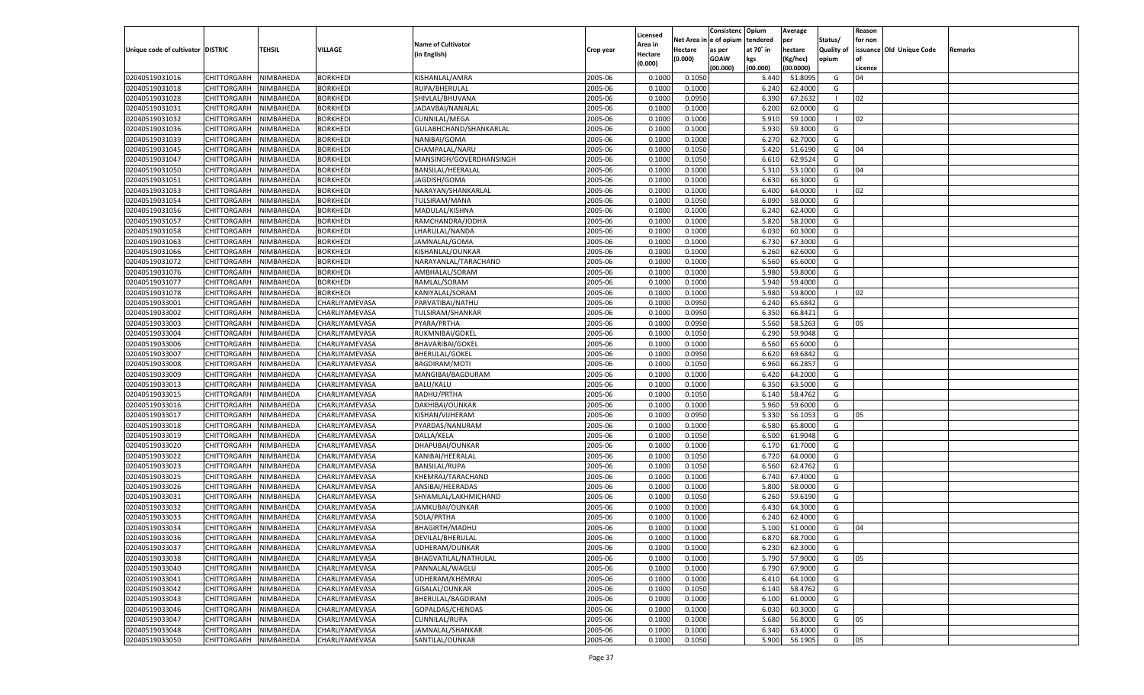|                                   |                       |               |                                  |                                                  |           |                           |          | Consistenc  | Opium     | Average   |                   | Reason  |                          |         |
|-----------------------------------|-----------------------|---------------|----------------------------------|--------------------------------------------------|-----------|---------------------------|----------|-------------|-----------|-----------|-------------------|---------|--------------------------|---------|
|                                   |                       |               |                                  | <b>Name of Cultivator</b>                        |           | Licensed                  | Net Area | e of opium  | tendered  | per       | Status/           | for non |                          |         |
| Unique code of cultivator DISTRIC |                       | <b>TEHSIL</b> | VILLAGE                          | (in English)                                     | Crop year | <b>Area in</b><br>Hectare | Hectare  | as per      | at 70° in | hectare   | <b>Quality of</b> |         | issuance Old Unique Code | Remarks |
|                                   |                       |               |                                  |                                                  |           | (0.000)                   | (0.000)  | <b>GOAW</b> | kgs       | (Kg/hec)  | opium             |         |                          |         |
|                                   |                       |               |                                  |                                                  |           |                           |          | (00.000)    | (00.000)  | (00.0000) |                   | Licence |                          |         |
| 02040519031016                    | CHITTORGARH           | NIMBAHEDA     | <b>BORKHEDI</b>                  | KISHANLAL/AMRA                                   | 2005-06   | 0.1000                    | 0.1050   |             | 5.440     | 51.8095   | G                 | 04      |                          |         |
| 02040519031018                    | CHITTORGARH           | NIMBAHEDA     | BORKHEDI                         | RUPA/BHERULAL                                    | 2005-06   | 0.1000                    | 0.1000   |             | 6.240     | 62.4000   | G                 |         |                          |         |
| 02040519031028                    | CHITTORGARH           | NIMBAHEDA     | BORKHEDI                         | SHIVLAL/BHUVANA                                  | 2005-06   | 0.1000                    | 0.0950   |             | 6.390     | 67.263    | - 1               | 02      |                          |         |
| 02040519031031                    | CHITTORGARH           | NIMBAHEDA     | BORKHEDI                         | JADAVBAI/NANALAL                                 | 2005-06   | 0.1000                    | 0.1000   |             | 6.200     | 62.0000   | G                 |         |                          |         |
| 02040519031032                    | CHITTORGARH           | NIMBAHEDA     | <b>BORKHEDI</b>                  | <b>CUNNILAL/MEGA</b>                             | 2005-06   | 0.1000                    | 0.1000   |             | 5.910     | 59.1000   | - 1               | 02      |                          |         |
| 02040519031036                    | CHITTORGARH           | NIMBAHEDA     | BORKHEDI                         | GULABHCHAND/SHANKARLAL                           | 2005-06   | 0.1000                    | 0.1000   |             | 5.930     | 59.3000   | G                 |         |                          |         |
| 02040519031039                    | CHITTORGARH           | NIMBAHEDA     | BORKHEDI                         | NANIBAI/GOMA                                     | 2005-06   | 0.1000                    | 0.1000   |             | 6.27      | 62.7000   | G                 |         |                          |         |
| 02040519031045                    | CHITTORGARH           | NIMBAHEDA     | BORKHEDI                         | CHAMPALAL/NARU                                   | 2005-06   | 0.1000                    | 0.1050   |             | 5.420     | 51.6190   | G                 | 04      |                          |         |
| 02040519031047                    | CHITTORGARH           | NIMBAHEDA     | <b>BORKHEDI</b>                  | MANSINGH/GOVERDHANSINGH                          | 2005-06   | 0.1000                    | 0.1050   |             | 6.610     | 62.9524   | G                 |         |                          |         |
| 02040519031050                    | CHITTORGARH           | NIMBAHEDA     | BORKHEDI                         | BANSILAL/HEERALAL                                | 2005-06   | 0.1000                    | 0.1000   |             | 5.310     | 53.1000   | G                 | 04      |                          |         |
| 02040519031051                    | CHITTORGARH           | NIMBAHEDA     | BORKHEDI                         | JAGDISH/GOMA                                     | 2005-06   | 0.1000                    | 0.1000   |             | 6.630     | 66.3000   | G                 |         |                          |         |
| 02040519031053                    | CHITTORGARH           | NIMBAHEDA     | BORKHEDI                         | NARAYAN/SHANKARLAL                               | 2005-06   | 0.1000                    | 0.1000   |             | 6.400     | 64.0000   | -1                | 02      |                          |         |
| 02040519031054                    | CHITTORGARH           | NIMBAHEDA     | <b>BORKHEDI</b>                  | TULSIRAM/MANA                                    | 2005-06   | 0.1000                    | 0.1050   |             | 6.090     | 58.0000   | G                 |         |                          |         |
| 02040519031056                    | CHITTORGARH           | NIMBAHEDA     | <b>BORKHEDI</b>                  | MADULAL/KISHNA                                   | 2005-06   | 0.1000                    | 0.1000   |             | 6.240     | 62.4000   | G                 |         |                          |         |
| 02040519031057                    | CHITTORGARH           | NIMBAHEDA     | <b>BORKHEDI</b>                  | RAMCHANDRA/JODHA                                 | 2005-06   | 0.1000                    | 0.1000   |             | 5.820     | 58.2000   | G                 |         |                          |         |
| 02040519031058                    | CHITTORGARH           | NIMBAHEDA     | BORKHEDI                         | LHARULAL/NANDA                                   | 2005-06   | 0.1000                    | 0.1000   |             | 6.030     | 60.3000   | G                 |         |                          |         |
| 02040519031063                    | CHITTORGARH           | NIMBAHEDA     | <b>BORKHEDI</b>                  | JAMNALAL/GOMA                                    | 2005-06   | 0.1000                    | 0.1000   |             | 6.730     | 67.3000   | G                 |         |                          |         |
| 02040519031066                    | CHITTORGARH           | NIMBAHEDA     | BORKHEDI                         | KISHANLAL/OUNKAR                                 | 2005-06   | 0.1000                    | 0.1000   |             | 6.260     | 62.6000   | G                 |         |                          |         |
| 02040519031072                    | CHITTORGARH           | NIMBAHEDA     | <b>BORKHEDI</b>                  | NARAYANLAL/TARACHAND                             | 2005-06   | 0.1000                    | 0.1000   |             | 6.560     | 65.6000   | G                 |         |                          |         |
| 02040519031076                    | CHITTORGARH           | NIMBAHEDA     | BORKHEDI                         | AMBHALAL/SORAM                                   | 2005-06   | 0.1000                    | 0.1000   |             | 5.980     | 59.8000   | G                 |         |                          |         |
| 02040519031077                    | CHITTORGARH           | NIMBAHEDA     | <b>BORKHEDI</b>                  | RAMLAL/SORAM                                     | 2005-06   | 0.1000                    | 0.1000   |             | 5.940     | 59.4000   | G                 |         |                          |         |
| 02040519031078                    | CHITTORGARH           | NIMBAHEDA     | <b>BORKHEDI</b>                  | KANIYALAL/SORAM                                  | 2005-06   | 0.1000                    | 0.1000   |             | 5.980     | 59.8000   | $\blacksquare$    | 02      |                          |         |
| 02040519033001                    | CHITTORGARH           | NIMBAHEDA     | CHARLIYAMEVASA                   | PARVATIBAI/NATHU                                 | 2005-06   | 0.1000                    | 0.0950   |             | 6.240     | 65.6842   | G                 |         |                          |         |
| 02040519033002                    | CHITTORGARH           | NIMBAHEDA     | CHARLIYAMEVASA                   | TULSIRAM/SHANKAR                                 | 2005-06   | 0.1000                    | 0.0950   |             | 6.350     | 66.8421   | G                 |         |                          |         |
| 02040519033003                    | CHITTORGARH           | NIMBAHEDA     | CHARLIYAMEVASA                   | PYARA/PRTHA                                      | 2005-06   | 0.1000                    | 0.0950   |             | 5.560     | 58.5263   | G                 | 05      |                          |         |
| 02040519033004                    |                       |               |                                  |                                                  | 2005-06   | 0.1000                    | 0.1050   |             | 6.290     | 59.9048   | G                 |         |                          |         |
| 02040519033006                    | CHITTORGARH           | NIMBAHEDA     | CHARLIYAMEVASA<br>CHARLIYAMEVASA | RUKMNIBAI/GOKEL                                  | 2005-06   | 0.1000                    | 0.1000   |             | 6.560     | 65.6000   | G                 |         |                          |         |
| 02040519033007                    | CHITTORGARH           | NIMBAHEDA     | CHARLIYAMEVASA                   | <b>BHAVARIBAI/GOKEL</b><br><b>BHERULAL/GOKEL</b> | 2005-06   | 0.1000                    |          |             | 6.620     | 69.6842   | G                 |         |                          |         |
|                                   | CHITTORGARH           | NIMBAHEDA     |                                  |                                                  |           |                           | 0.0950   |             |           |           |                   |         |                          |         |
| 02040519033008                    | CHITTORGARH           | NIMBAHEDA     | CHARLIYAMEVASA                   | BAGDIRAM/MOTI                                    | 2005-06   | 0.1000                    | 0.1050   |             | 6.960     | 66.285    | G                 |         |                          |         |
| 02040519033009                    | CHITTORGARH           | NIMBAHEDA     | CHARLIYAMEVASA                   | MANGIBAI/BAGDURAM                                | 2005-06   | 0.1000                    | 0.1000   |             | 6.420     | 64.2000   | G                 |         |                          |         |
| 02040519033013                    | CHITTORGARH           | NIMBAHEDA     | CHARLIYAMEVASA                   | BALU/KALU                                        | 2005-06   | 0.1000                    | 0.1000   |             | 6.350     | 63.5000   | G                 |         |                          |         |
| 02040519033015                    | CHITTORGARH           | NIMBAHEDA     | CHARLIYAMEVASA                   | RADHU/PRTHA                                      | 2005-06   | 0.1000                    | 0.1050   |             | 6.140     | 58.4762   | G                 |         |                          |         |
| 02040519033016                    | CHITTORGARH           | NIMBAHEDA     | CHARLIYAMEVASA                   | DAKHIBAI/OUNKAR                                  | 2005-06   | 0.1000                    | 0.1000   |             | 5.960     | 59.6000   | G                 |         |                          |         |
| 02040519033017                    | CHITTORGARH           | NIMBAHEDA     | CHARLIYAMEVASA                   | KISHAN/VIJHERAM                                  | 2005-06   | 0.1000                    | 0.0950   |             | 5.330     | 56.105    | G                 | 05      |                          |         |
| 02040519033018                    | CHITTORGARH           | NIMBAHEDA     | CHARLIYAMEVASA                   | PYARDAS/NANURAM                                  | 2005-06   | 0.1000                    | 0.1000   |             | 6.580     | 65.8000   | G                 |         |                          |         |
| 02040519033019                    | CHITTORGARH           | NIMBAHEDA     | CHARLIYAMEVASA                   | DALLA/KELA                                       | 2005-06   | 0.1000                    | 0.1050   |             | 6.500     | 61.9048   | G                 |         |                          |         |
| 02040519033020                    | CHITTORGARH           | NIMBAHEDA     | CHARLIYAMEVASA                   | DHAPUBAI/OUNKAR                                  | 2005-06   | 0.1000                    | 0.1000   |             | 6.170     | 61.7000   | G                 |         |                          |         |
| 02040519033022                    | CHITTORGARH           | NIMBAHEDA     | CHARLIYAMEVASA                   | KANIBAI/HEERALAL                                 | 2005-06   | 0.1000                    | 0.1050   |             | 6.720     | 64.0000   | G                 |         |                          |         |
| 02040519033023                    | CHITTORGARH           | NIMBAHEDA     | CHARLIYAMEVASA                   | <b>BANSILAL/RUPA</b>                             | 2005-06   | 0.1000                    | 0.1050   |             | 6.560     | 62.4762   | G                 |         |                          |         |
| 02040519033025                    | CHITTORGARH           | NIMBAHEDA     | CHARLIYAMEVASA                   | KHEMRAJ/TARACHAND                                | 2005-06   | 0.1000                    | 0.1000   |             | 6.740     | 67.4000   | G                 |         |                          |         |
| 02040519033026                    | CHITTORGARH           | NIMBAHEDA     | CHARLIYAMEVASA                   | ANSIBAI/HEERADAS                                 | 2005-06   | 0.1000                    | 0.1000   |             | 5.800     | 58.0000   | G                 |         |                          |         |
| 02040519033031                    | CHITTORGARH           | NIMBAHEDA     | CHARLIYAMEVASA                   | SHYAMLAL/LAKHMICHAND                             | 2005-06   | 0.1000                    | 0.1050   |             | 6.260     | 59.6190   | G                 |         |                          |         |
| 02040519033032                    | CHITTORGARH           | NIMBAHEDA     | CHARLIYAMEVASA                   | JAMKUBAI/OUNKAR                                  | 2005-06   | 0.1000                    | 0.1000   |             | 6.430     | 64.3000   | G                 |         |                          |         |
| 02040519033033                    | CHITTORGARH           | NIMBAHEDA     | CHARLIYAMEVASA                   | SOLA/PRTHA                                       | 2005-06   | 0.1000                    | 0.1000   |             | 6.240     | 62.4000   | G                 |         |                          |         |
| 02040519033034                    | CHITTORGARH           | NIMBAHEDA     | CHARLIYAMEVASA                   | <b>BHAGIRTH/MADHU</b>                            | 2005-06   | 0.1000                    | 0.1000   |             | 5.100     | 51.0000   | G                 | 04      |                          |         |
| 02040519033036                    | CHITTORGARH NIMBAHEDA |               | CHARLIYAMEVASA                   | DEVILAL/BHERULAL                                 | 2005-06   | 0.1000                    | 0.1000   |             | 6.870     | 68.7000   | G                 |         |                          |         |
| 02040519033037                    | <b>CHITTORGARH</b>    | NIMBAHEDA     | CHARLIYAMEVASA                   | UDHERAM/OUNKAR                                   | 2005-06   | 0.1000                    | 0.1000   |             | 6.230     | 62.3000   | G                 |         |                          |         |
| 02040519033038                    | CHITTORGARH           | NIMBAHEDA     | CHARLIYAMEVASA                   | BHAGVATILAL/NATHULAL                             | 2005-06   | 0.1000                    | 0.1000   |             | 5.790     | 57.9000   | G                 | 05      |                          |         |
| 02040519033040                    | <b>CHITTORGARH</b>    | NIMBAHEDA     | CHARLIYAMEVASA                   | PANNALAL/WAGLU                                   | 2005-06   | 0.1000                    | 0.1000   |             | 6.790     | 67.9000   | G                 |         |                          |         |
| 02040519033041                    | <b>CHITTORGARH</b>    | NIMBAHEDA     | CHARLIYAMEVASA                   | UDHERAM/KHEMRAJ                                  | 2005-06   | 0.1000                    | 0.1000   |             | 6.410     | 64.1000   | G                 |         |                          |         |
| 02040519033042                    | <b>CHITTORGARH</b>    | NIMBAHEDA     | CHARLIYAMEVASA                   | GISALAL/OUNKAR                                   | 2005-06   | 0.1000                    | 0.1050   |             | 6.140     | 58.4762   | G                 |         |                          |         |
| 02040519033043                    | CHITTORGARH           | NIMBAHEDA     | CHARLIYAMEVASA                   | BHERULAL/BAGDIRAM                                | 2005-06   | 0.1000                    | 0.1000   |             | 6.100     | 61.0000   | G                 |         |                          |         |
| 02040519033046                    | <b>CHITTORGARH</b>    | NIMBAHEDA     | CHARLIYAMEVASA                   | GOPALDAS/CHENDAS                                 | 2005-06   | 0.1000                    | 0.1000   |             | 6.030     | 60.3000   | G                 |         |                          |         |
| 02040519033047                    | <b>CHITTORGARH</b>    | NIMBAHEDA     | CHARLIYAMEVASA                   | CUNNILAL/RUPA                                    | 2005-06   | 0.1000                    | 0.1000   |             | 5.680     | 56.8000   | G                 | 05      |                          |         |
| 02040519033048                    | <b>CHITTORGARH</b>    | NIMBAHEDA     | CHARLIYAMEVASA                   | JAMNALAL/SHANKAR                                 | 2005-06   | 0.1000                    | 0.1000   |             | 6.340     | 63.4000   | G                 |         |                          |         |
| 02040519033050                    | CHITTORGARH           | NIMBAHEDA     | CHARLIYAMEVASA                   | SANTILAL/OUNKAR                                  | 2005-06   | 0.1000                    | 0.1050   |             | 5.900     | 56.1905   | G                 | 05      |                          |         |
|                                   |                       |               |                                  |                                                  |           |                           |          |             |           |           |                   |         |                          |         |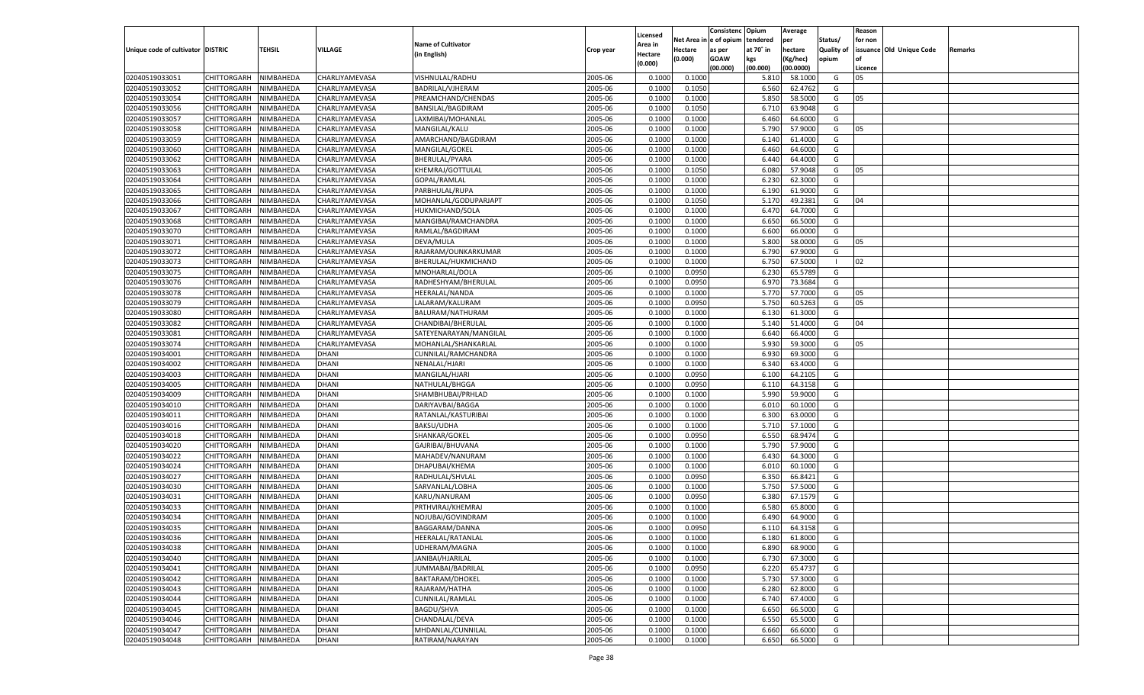|                                   |                       |               |                |                           |           |                           |                  | Consistenc  | Opium     | Average   |                   | Reason  |                          |         |
|-----------------------------------|-----------------------|---------------|----------------|---------------------------|-----------|---------------------------|------------------|-------------|-----------|-----------|-------------------|---------|--------------------------|---------|
|                                   |                       |               |                | <b>Name of Cultivator</b> |           | Licensed                  | Net Area         | e of opium  | tendered  | per       | Status/           | for non |                          |         |
| Unique code of cultivator DISTRIC |                       | <b>TEHSIL</b> | VILLAGE        | (in English)              | Crop year | <b>Area in</b><br>Hectare | Hectare          | as per      | at 70° in | hectare   | <b>Quality of</b> |         | issuance Old Unique Code | Remarks |
|                                   |                       |               |                |                           |           | (0.000)                   | (0.000)          | <b>GOAW</b> | kgs       | (Kg/hec)  | opium             |         |                          |         |
|                                   |                       |               |                |                           |           |                           |                  | (00.000)    | (00.000)  | (00.0000) |                   | Licence |                          |         |
| 02040519033051                    | CHITTORGARH           | NIMBAHEDA     | CHARLIYAMEVASA | VISHNULAL/RADHU           | 2005-06   | 0.1000                    | 0.1000           |             | 5.810     | 58.1000   | G                 | 05      |                          |         |
| 02040519033052                    | CHITTORGARH           | NIMBAHEDA     | CHARLIYAMEVASA | BADRILAL/VJHERAM          | 2005-06   | 0.1000                    | 0.1050           |             | 6.560     | 62.4762   | G                 |         |                          |         |
| 02040519033054                    | CHITTORGARH           | NIMBAHEDA     | CHARLIYAMEVASA | PREAMCHAND/CHENDAS        | 2005-06   | 0.1000                    | 0.1000           |             | 5.850     | 58.5000   | G                 | 05      |                          |         |
| 02040519033056                    | CHITTORGARH           | NIMBAHEDA     | CHARLIYAMEVASA | BANSILAL/BAGDIRAM         | 2005-06   | 0.1000                    | 0.1050           |             | 6.710     | 63.9048   | G                 |         |                          |         |
| 02040519033057                    | CHITTORGARH           | NIMBAHEDA     | CHARLIYAMEVASA | LAXMIBAI/MOHANLAL         | 2005-06   | 0.1000                    | 0.1000           |             | 6.460     | 64.6000   | G                 |         |                          |         |
| 02040519033058                    | CHITTORGARH           | NIMBAHEDA     | CHARLIYAMEVASA | MANGILAL/KALU             | 2005-06   | 0.1000                    | 0.1000           |             | 5.790     | 57.9000   | G                 | 05      |                          |         |
| 02040519033059                    | CHITTORGARH           | NIMBAHEDA     | CHARLIYAMEVASA | AMARCHAND/BAGDIRAM        | 2005-06   | 0.1000                    | 0.1000           |             | 6.140     | 61.4000   | G                 |         |                          |         |
| 02040519033060                    | CHITTORGARH           | NIMBAHEDA     | CHARLIYAMEVASA | MANGILAL/GOKEL            | 2005-06   | 0.1000                    | 0.1000           |             | 6.460     | 64.6000   | G                 |         |                          |         |
| 02040519033062                    | CHITTORGARH           | NIMBAHEDA     | CHARLIYAMEVASA | BHERULAL/PYARA            | 2005-06   | 0.1000                    | 0.1000           |             | 6.440     | 64.4000   | G                 |         |                          |         |
| 02040519033063                    | CHITTORGARH           | NIMBAHEDA     | CHARLIYAMEVASA | KHEMRAJ/GOTTULAL          | 2005-06   | 0.1000                    | 0.1050           |             | 6.080     | 57.9048   | G                 | 05      |                          |         |
| 02040519033064                    | CHITTORGARH           | NIMBAHEDA     | CHARLIYAMEVASA | GOPAL/RAMLAL              | 2005-06   | 0.1000                    | 0.1000           |             | 6.23      | 62.3000   | G                 |         |                          |         |
| 02040519033065                    | CHITTORGARH           | NIMBAHEDA     | CHARLIYAMEVASA | PARBHULAL/RUPA            | 2005-06   | 0.1000                    | 0.1000           |             | 6.190     | 61.9000   | G                 |         |                          |         |
| 02040519033066                    | CHITTORGARH           | NIMBAHEDA     | CHARLIYAMEVASA | MOHANLAL/GODUPARJAPT      | 2005-06   | 0.1000                    | 0.1050           |             | 5.170     | 49.2381   | G                 | 04      |                          |         |
| 02040519033067                    | CHITTORGARH           | NIMBAHEDA     | CHARLIYAMEVASA | HUKMICHAND/SOLA           | 2005-06   | 0.1000                    | 0.1000           |             | 6.470     | 64.7000   | G                 |         |                          |         |
| 02040519033068                    | CHITTORGARH           | NIMBAHEDA     | CHARLIYAMEVASA | MANGIBAI/RAMCHANDRA       | 2005-06   | 0.1000                    | 0.1000           |             | 6.650     | 66.5000   | G                 |         |                          |         |
| 02040519033070                    | CHITTORGARH           | NIMBAHEDA     | CHARLIYAMEVASA | RAMLAL/BAGDIRAM           | 2005-06   | 0.1000                    | 0.1000           |             | 6.600     | 66.0000   | G                 |         |                          |         |
| 02040519033071                    | CHITTORGARH           | NIMBAHEDA     | CHARLIYAMEVASA | DEVA/MULA                 | 2005-06   | 0.1000                    | 0.1000           |             | 5.800     | 58.0000   | G                 | 05      |                          |         |
| 02040519033072                    | CHITTORGARH           | NIMBAHEDA     | CHARLIYAMEVASA | RAJARAM/OUNKARKUMAR       | 2005-06   | 0.1000                    | 0.1000           |             | 6.790     | 67.9000   | G                 |         |                          |         |
| 02040519033073                    | CHITTORGARH           | NIMBAHEDA     | CHARLIYAMEVASA | BHERULAL/HUKMICHAND       | 2005-06   | 0.1000                    | 0.1000           |             | 6.750     | 67.5000   | - 1               | 02      |                          |         |
| 02040519033075                    | CHITTORGARH           | NIMBAHEDA     | CHARLIYAMEVASA | MNOHARLAL/DOLA            | 2005-06   | 0.1000                    | 0.0950           |             | 6.230     | 65.5789   | G                 |         |                          |         |
| 02040519033076                    | CHITTORGARH           | NIMBAHEDA     | CHARLIYAMEVASA | RADHESHYAM/BHERULAL       | 2005-06   | 0.1000                    | 0.0950           |             | 6.970     | 73.3684   | G                 |         |                          |         |
| 02040519033078                    | CHITTORGARH           | NIMBAHEDA     | CHARLIYAMEVASA | HEERALAL/NANDA            | 2005-06   | 0.1000                    | 0.1000           |             | 5.770     | 57.7000   | G                 | 05      |                          |         |
| 02040519033079                    | CHITTORGARH           | NIMBAHEDA     | CHARLIYAMEVASA | LALARAM/KALURAM           | 2005-06   | 0.1000                    | 0.0950           |             | 5.750     | 60.5263   | G                 | 05      |                          |         |
| 02040519033080                    | CHITTORGARH           | NIMBAHEDA     | CHARLIYAMEVASA | BALURAM/NATHURAM          | 2005-06   | 0.1000                    | 0.1000           |             | 6.130     | 61.3000   | G                 |         |                          |         |
| 02040519033082                    | CHITTORGARH           | NIMBAHEDA     | CHARLIYAMEVASA | CHANDIBAI/BHERULAL        | 2005-06   | 0.1000                    | 0.1000           |             | 5.140     | 51.4000   | G                 | 04      |                          |         |
| 02040519033081                    | CHITTORGARH           | NIMBAHEDA     | CHARLIYAMEVASA | SATEYENARAYAN/MANGILAL    | 2005-06   | 0.1000                    | 0.1000           |             | 6.640     | 66.4000   | G                 |         |                          |         |
| 02040519033074                    | CHITTORGARH           | NIMBAHEDA     | CHARLIYAMEVASA | MOHANLAL/SHANKARLAL       | 2005-06   | 0.1000                    | 0.1000           |             | 5.930     | 59.3000   | G                 | 05      |                          |         |
| 02040519034001                    | CHITTORGARH           | NIMBAHEDA     | DHANI          | CUNNILAL/RAMCHANDRA       | 2005-06   | 0.1000                    | 0.1000           |             | 6.930     | 69.3000   | G                 |         |                          |         |
| 02040519034002                    | CHITTORGARH           | NIMBAHEDA     | DHANI          | NENALAL/HJARI             | 2005-06   | 0.1000                    | 0.1000           |             | 6.340     | 63.4000   | G                 |         |                          |         |
| 02040519034003                    | CHITTORGARH           | NIMBAHEDA     | DHANI          | MANGILAL/HJARI            | 2005-06   | 0.1000                    | 0.0950           |             | 6.100     | 64.2105   | G                 |         |                          |         |
| 02040519034005                    | CHITTORGARH           | NIMBAHEDA     | <b>DHANI</b>   | NATHULAL/BHGGA            | 2005-06   | 0.1000                    | 0.0950           |             | 6.110     | 64.3158   | G                 |         |                          |         |
| 02040519034009                    | CHITTORGARH           | NIMBAHEDA     | DHANI          | SHAMBHUBAI/PRHLAD         | 2005-06   | 0.1000                    | 0.1000           |             | 5.990     | 59.9000   | G                 |         |                          |         |
| 02040519034010                    | CHITTORGARH           | NIMBAHEDA     | DHANI          | DARIYAVBAI/BAGGA          | 2005-06   | 0.1000                    | 0.1000           |             | 6.010     | 60.1000   | G                 |         |                          |         |
| 02040519034011                    | CHITTORGARH           | NIMBAHEDA     | DHANI          | RATANLAL/KASTURIBAI       | 2005-06   | 0.1000                    | 0.1000           |             | 6.300     | 63.0000   | G                 |         |                          |         |
| 02040519034016                    |                       | NIMBAHEDA     | <b>DHANI</b>   | BAKSU/UDHA                | 2005-06   | 0.1000                    | 0.1000           |             | 5.710     | 57.1000   | G                 |         |                          |         |
|                                   | CHITTORGARH           |               |                |                           |           |                           |                  |             |           | 68.9474   |                   |         |                          |         |
| 02040519034018                    | CHITTORGARH           | NIMBAHEDA     | DHANI<br>DHANI | SHANKAR/GOKEL             | 2005-06   | 0.1000<br>0.1000          | 0.0950<br>0.1000 |             | 6.550     |           | G                 |         |                          |         |
| 02040519034020                    | CHITTORGARH           | NIMBAHEDA     |                | GAJRIBAI/BHUVANA          | 2005-06   |                           |                  |             | 5.790     | 57.9000   | G                 |         |                          |         |
| 02040519034022                    | CHITTORGARH           | NIMBAHEDA     | DHANI          | MAHADEV/NANURAM           | 2005-06   | 0.1000                    | 0.1000           |             | 6.430     | 64.3000   | G                 |         |                          |         |
| 02040519034024                    | CHITTORGARH           | NIMBAHEDA     | <b>DHANI</b>   | DHAPUBAI/KHEMA            | 2005-06   | 0.1000                    | 0.1000           |             | 6.010     | 60.1000   | G                 |         |                          |         |
| 02040519034027                    | CHITTORGARH           | NIMBAHEDA     | DHANI          | RADHULAL/SHVLAL           | 2005-06   | 0.1000                    | 0.0950           |             | 6.350     | 66.8421   | G                 |         |                          |         |
| 02040519034030                    | CHITTORGARH           | NIMBAHEDA     | DHANI          | SARVANLAL/LOBHA           | 2005-06   | 0.1000                    | 0.1000           |             | 5.750     | 57.5000   | G                 |         |                          |         |
| 02040519034031                    | CHITTORGARH           | NIMBAHEDA     | DHANI          | KARU/NANURAM              | 2005-06   | 0.1000                    | 0.0950           |             | 6.380     | 67.1579   | G                 |         |                          |         |
| 02040519034033                    | CHITTORGARH           | NIMBAHEDA     | <b>DHANI</b>   | PRTHVIRAJ/KHEMRAJ         | 2005-06   | 0.1000                    | 0.1000           |             | 6.580     | 65.8000   | G                 |         |                          |         |
| 02040519034034                    | CHITTORGARH           | NIMBAHEDA     | DHANI          | NOJUBAI/GOVINDRAM         | 2005-06   | 0.1000                    | 0.1000           |             | 6.49      | 64.9000   | G                 |         |                          |         |
| 02040519034035                    | CHITTORGARH           | NIMBAHEDA     | DHANI          | BAGGARAM/DANNA            | 2005-06   | 0.1000                    | 0.0950           |             | 6.110     | 64.3158   | G                 |         |                          |         |
| 02040519034036                    | CHITTORGARH NIMBAHEDA |               | <b>DHANI</b>   | <b>HEERALAL/RATANLAL</b>  | 2005-06   | 0.1000                    | 0.1000           |             | 6.180     | 61.8000   | G                 |         |                          |         |
| 02040519034038                    | <b>CHITTORGARH</b>    | NIMBAHEDA     | <b>DHANI</b>   | UDHERAM/MAGNA             | 2005-06   | 0.1000                    | 0.1000           |             | 6.890     | 68.9000   | G                 |         |                          |         |
| 02040519034040                    | CHITTORGARH           | NIMBAHEDA     | <b>DHANI</b>   | JANIBAI/HJARILAL          | 2005-06   | 0.1000                    | 0.1000           |             | 6.730     | 67.3000   | G                 |         |                          |         |
| 02040519034041                    | <b>CHITTORGARH</b>    | NIMBAHEDA     | <b>DHANI</b>   | JUMMABAI/BADRILAL         | 2005-06   | 0.1000                    | 0.0950           |             | 6.220     | 65.4737   | G                 |         |                          |         |
| 02040519034042                    | <b>CHITTORGARH</b>    | NIMBAHEDA     | DHANI          | <b>BAKTARAM/DHOKEL</b>    | 2005-06   | 0.1000                    | 0.1000           |             | 5.730     | 57.3000   | G                 |         |                          |         |
| 02040519034043                    | <b>CHITTORGARH</b>    | NIMBAHEDA     | <b>DHANI</b>   | RAJARAM/HATHA             | 2005-06   | 0.1000                    | 0.1000           |             | 6.280     | 62.8000   | G                 |         |                          |         |
| 02040519034044                    | <b>CHITTORGARH</b>    | NIMBAHEDA     | DHANI          | CUNNILAL/RAMLAL           | 2005-06   | 0.1000                    | 0.1000           |             | 6.740     | 67.4000   | G                 |         |                          |         |
| 02040519034045                    | <b>CHITTORGARH</b>    | NIMBAHEDA     | <b>DHANI</b>   | <b>BAGDU/SHVA</b>         | 2005-06   | 0.1000                    | 0.1000           |             | 6.650     | 66.5000   | G                 |         |                          |         |
| 02040519034046                    | <b>CHITTORGARH</b>    | NIMBAHEDA     | DHANI          | CHANDALAL/DEVA            | 2005-06   | 0.1000                    | 0.1000           |             | 6.550     | 65.5000   | G                 |         |                          |         |
| 02040519034047                    | <b>CHITTORGARH</b>    | NIMBAHEDA     | <b>DHANI</b>   | MHDANLAL/CUNNILAL         | 2005-06   | 0.1000                    | 0.1000           |             | 6.660     | 66.6000   | G                 |         |                          |         |
| 02040519034048                    | CHITTORGARH           | NIMBAHEDA     | <b>DHANI</b>   | RATIRAM/NARAYAN           | 2005-06   | 0.1000                    | 0.1000           |             | 6.650     | 66.5000   | G                 |         |                          |         |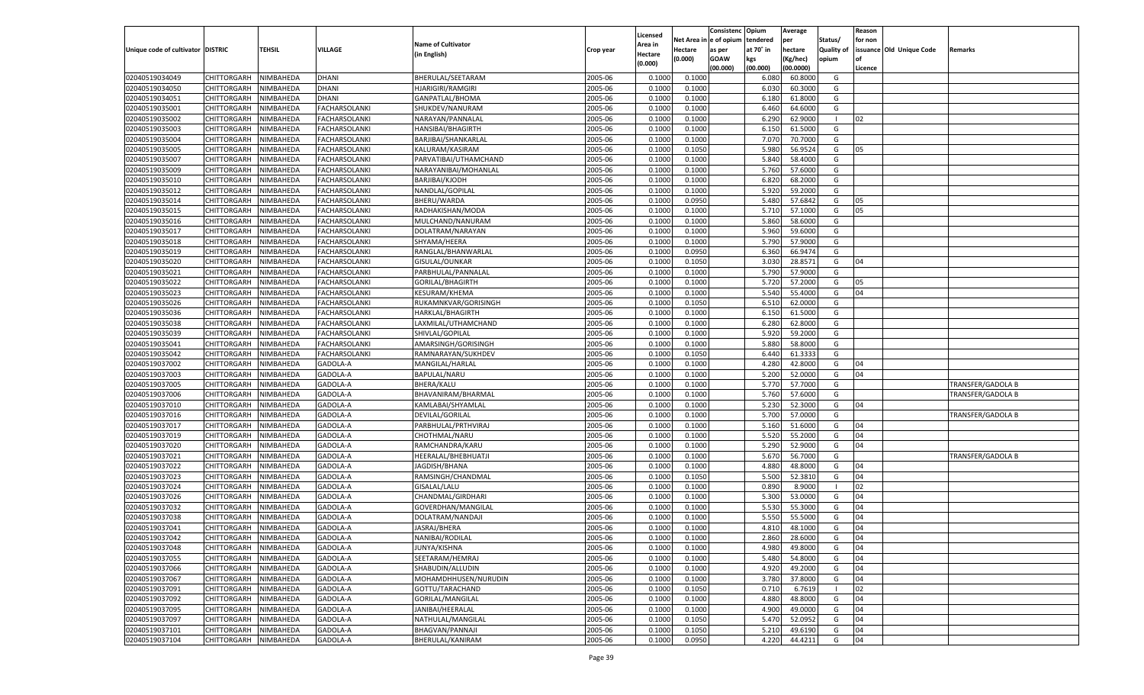|                                   |                       |           |                      |                           |           |          |            | Consistenc    | Opium     | Average   |                   | Reason  |                          |                   |
|-----------------------------------|-----------------------|-----------|----------------------|---------------------------|-----------|----------|------------|---------------|-----------|-----------|-------------------|---------|--------------------------|-------------------|
|                                   |                       |           |                      |                           |           | Licensed | Net Area i | n  e of opium | tendered  | per       | Status/           | for non |                          |                   |
| Unique code of cultivator DISTRIC |                       | TEHSIL    | VILLAGE              | <b>Name of Cultivator</b> | Crop year | Area in  | Hectare    | as per        | at 70° in | hectare   | <b>Quality of</b> |         | issuance Old Unique Code | Remarks           |
|                                   |                       |           |                      | (in English)              |           | Hectare  | (0.000)    | <b>GOAW</b>   | kgs       | (Kg/hec)  | opium             |         |                          |                   |
|                                   |                       |           |                      |                           |           | (0.000)  |            | (00.000)      | (00.000)  | (00.0000) |                   | Licence |                          |                   |
| 02040519034049                    | CHITTORGARH           | NIMBAHEDA | <b>DHANI</b>         | BHERULAL/SEETARAM         | 2005-06   | 0.1000   | 0.1000     |               | 6.080     | 60.8000   | G                 |         |                          |                   |
| 02040519034050                    | CHITTORGARH           | NIMBAHEDA | <b>DHANI</b>         | <b>HJARIGIRI/RAMGIRI</b>  | 2005-06   | 0.100    | 0.1000     |               | 6.030     | 60.3000   | G                 |         |                          |                   |
| 02040519034051                    | CHITTORGARH           | NIMBAHEDA | <b>DHANI</b>         | GANPATLAL/BHOMA           | 2005-06   | 0.1000   | 0.1000     |               | 6.180     | 61.8000   | G                 |         |                          |                   |
| 02040519035001                    | CHITTORGARH           | NIMBAHEDA | <b>FACHARSOLANKI</b> | SHUKDEV/NANURAM           | 2005-06   | 0.1000   | 0.1000     |               | 6.460     | 64.6000   | G                 |         |                          |                   |
| 02040519035002                    | CHITTORGARH           | NIMBAHEDA | <b>FACHARSOLANKI</b> | NARAYAN/PANNALAL          | 2005-06   | 0.1000   | 0.1000     |               | 6.290     | 62.9000   | - 1               | 02      |                          |                   |
| 02040519035003                    | CHITTORGARH           | NIMBAHEDA | <b>FACHARSOLANKI</b> | <b>HANSIBAI/BHAGIRTH</b>  | 2005-06   | 0.1000   | 0.1000     |               | 6.150     | 61.5000   | G                 |         |                          |                   |
| 02040519035004                    | CHITTORGARH           | NIMBAHEDA | <b>FACHARSOLANKI</b> | BARJIBAI/SHANKARLAL       | 2005-06   | 0.1000   | 0.1000     |               | 7.070     | 70.7000   | G                 |         |                          |                   |
| 02040519035005                    | CHITTORGARH           | NIMBAHEDA | <b>FACHARSOLANKI</b> | KALURAM/KASIRAM           | 2005-06   | 0.1000   | 0.1050     |               | 5.980     | 56.9524   | G                 | 05      |                          |                   |
| 02040519035007                    | CHITTORGARH           | NIMBAHEDA | <b>FACHARSOLANKI</b> | PARVATIBAI/UTHAMCHAND     | 2005-06   | 0.1000   | 0.1000     |               | 5.840     | 58.4000   | G                 |         |                          |                   |
| 02040519035009                    |                       |           |                      | NARAYANIBAI/MOHANLAL      | 2005-06   |          |            |               |           |           | G                 |         |                          |                   |
|                                   | CHITTORGARH           | NIMBAHEDA | <b>FACHARSOLANKI</b> |                           |           | 0.1000   | 0.1000     |               | 5.760     | 57.6000   |                   |         |                          |                   |
| 02040519035010                    | CHITTORGARH           | NIMBAHEDA | <b>FACHARSOLANKI</b> | BARJIBAI/KJODH            | 2005-06   | 0.1000   | 0.1000     |               | 6.820     | 68.2000   | G                 |         |                          |                   |
| 02040519035012                    | CHITTORGARH           | NIMBAHEDA | <b>FACHARSOLANKI</b> | NANDLAL/GOPILAL           | 2005-06   | 0.1000   | 0.1000     |               | 5.920     | 59.2000   | G                 |         |                          |                   |
| 02040519035014                    | CHITTORGARH           | NIMBAHEDA | FACHARSOLANKI        | BHERU/WARDA               | 2005-06   | 0.1000   | 0.0950     |               | 5.480     | 57.6842   | G                 | 05      |                          |                   |
| 02040519035015                    | CHITTORGARH           | NIMBAHEDA | FACHARSOLANKI        | RADHAKISHAN/MODA          | 2005-06   | 0.1000   | 0.1000     |               | 5.710     | 57.1000   | G                 | 05      |                          |                   |
| 02040519035016                    | CHITTORGARH           | NIMBAHEDA | FACHARSOLANKI        | MULCHAND/NANURAM          | 2005-06   | 0.1000   | 0.1000     |               | 5.860     | 58.6000   | G                 |         |                          |                   |
| 02040519035017                    | CHITTORGARH           | NIMBAHEDA | FACHARSOLANKI        | DOLATRAM/NARAYAN          | 2005-06   | 0.1000   | 0.1000     |               | 5.960     | 59.6000   | G                 |         |                          |                   |
| 02040519035018                    | CHITTORGARH           | NIMBAHEDA | FACHARSOLANKI        | SHYAMA/HEERA              | 2005-06   | 0.1000   | 0.1000     |               | 5.790     | 57.9000   | G                 |         |                          |                   |
| 02040519035019                    | CHITTORGARH           | NIMBAHEDA | FACHARSOLANKI        | RANGLAL/BHANWARLAL        | 2005-06   | 0.1000   | 0.0950     |               | 6.360     | 66.9474   | G                 |         |                          |                   |
| 02040519035020                    | CHITTORGARH           | NIMBAHEDA | FACHARSOLANKI        | GISULAL/OUNKAR            | 2005-06   | 0.1000   | 0.1050     |               | 3.030     | 28.8571   | G                 | 04      |                          |                   |
| 02040519035021                    | CHITTORGARH           | NIMBAHEDA | FACHARSOLANKI        | PARBHULAL/PANNALAL        | 2005-06   | 0.1000   | 0.1000     |               | 5.790     | 57.9000   | G                 |         |                          |                   |
| 02040519035022                    | CHITTORGARH           | NIMBAHEDA | FACHARSOLANKI        | GORILAL/BHAGIRTH          | 2005-06   | 0.1000   | 0.1000     |               | 5.720     | 57.2000   | G                 | 05      |                          |                   |
| 02040519035023                    | CHITTORGARH           | NIMBAHEDA | FACHARSOLANKI        | <b>KESURAM/KHEMA</b>      | 2005-06   | 0.1000   | 0.1000     |               | 5.540     | 55.4000   | G                 | 04      |                          |                   |
| 02040519035026                    | CHITTORGARH           | NIMBAHEDA | FACHARSOLANKI        | RUKAMNKVAR/GORISINGH      | 2005-06   | 0.1000   | 0.1050     |               | 6.510     | 62.0000   | G                 |         |                          |                   |
| 02040519035036                    | CHITTORGARH           | NIMBAHEDA | FACHARSOLANKI        | HARKLAL/BHAGIRTH          | 2005-06   | 0.1000   | 0.1000     |               | 6.150     | 61.5000   | G                 |         |                          |                   |
| 02040519035038                    | CHITTORGARH           | NIMBAHEDA | FACHARSOLANKI        | LAXMILAL/UTHAMCHAND       | 2005-06   | 0.1000   | 0.1000     |               | 6.280     | 62.8000   | G                 |         |                          |                   |
| 02040519035039                    | CHITTORGARH           | NIMBAHEDA | FACHARSOLANKI        | SHIVLAL/GOPILAL           | 2005-06   | 0.1000   | 0.1000     |               | 5.920     | 59.2000   | G                 |         |                          |                   |
| 02040519035041                    | CHITTORGARH           | NIMBAHEDA | FACHARSOLANKI        | AMARSINGH/GORISINGH       | 2005-06   | 0.1000   | 0.1000     |               | 5.880     | 58.8000   | G                 |         |                          |                   |
| 02040519035042                    | CHITTORGARH           | NIMBAHEDA | FACHARSOLANKI        | RAMNARAYAN/SUKHDEV        | 2005-06   | 0.1000   | 0.1050     |               | 6.440     | 61.3333   | G                 |         |                          |                   |
| 02040519037002                    | CHITTORGARH           | NIMBAHEDA | GADOLA-A             | MANGILAL/HARLAL           | 2005-06   | 0.1000   | 0.1000     |               | 4.280     | 42.8000   | G                 | 04      |                          |                   |
| 02040519037003                    | CHITTORGARH           | NIMBAHEDA | GADOLA-A             | BAPULAL/NARU              | 2005-06   | 0.1000   | 0.1000     |               | 5.200     | 52.0000   | G                 | 04      |                          |                   |
| 02040519037005                    | CHITTORGARH           | NIMBAHEDA | GADOLA-A             | <b>BHERA/KALU</b>         | 2005-06   | 0.1000   | 0.1000     |               | 5.770     | 57.7000   | G                 |         |                          | TRANSFER/GADOLA B |
| 02040519037006                    | CHITTORGARH           | NIMBAHEDA | GADOLA-A             | BHAVANIRAM/BHARMAL        | 2005-06   | 0.1000   | 0.1000     |               | 5.760     | 57.6000   | G                 |         |                          | TRANSFER/GADOLA B |
| 02040519037010                    |                       | NIMBAHEDA | GADOLA-A             | KAMLABAI/SHYAMLAL         | 2005-06   | 0.1000   |            |               | 5.230     | 52.3000   | G                 | 04      |                          |                   |
|                                   | CHITTORGARH           |           |                      |                           |           |          | 0.1000     |               |           |           |                   |         |                          |                   |
| 02040519037016                    | CHITTORGARH           | NIMBAHEDA | GADOLA-A             | DEVILAL/GORILAL           | 2005-06   | 0.1000   | 0.1000     |               | 5.700     | 57.0000   | G                 |         |                          | TRANSFER/GADOLA B |
| 02040519037017                    | CHITTORGARH           | NIMBAHEDA | GADOLA-A             | PARBHULAL/PRTHVIRAJ       | 2005-06   | 0.1000   | 0.1000     |               | 5.160     | 51.6000   | G                 | 04      |                          |                   |
| 02040519037019                    | CHITTORGARH           | NIMBAHEDA | GADOLA-A             | CHOTHMAL/NARU             | 2005-06   | 0.1000   | 0.1000     |               | 5.520     | 55.2000   | G                 | 04      |                          |                   |
| 02040519037020                    | CHITTORGARH           | NIMBAHEDA | GADOLA-A             | RAMCHANDRA/KARU           | 2005-06   | 0.1000   | 0.1000     |               | 5.290     | 52.9000   | G                 | 04      |                          |                   |
| 02040519037021                    | CHITTORGARH           | NIMBAHEDA | GADOLA-A             | HEERALAL/BHEBHUATJI       | 2005-06   | 0.1000   | 0.1000     |               | 5.670     | 56.7000   | G                 |         |                          | TRANSFER/GADOLA B |
| 02040519037022                    | CHITTORGARH           | NIMBAHEDA | GADOLA-A             | JAGDISH/BHANA             | 2005-06   | 0.1000   | 0.1000     |               | 4.880     | 48.8000   | G                 | 04      |                          |                   |
| 02040519037023                    | CHITTORGARH           | NIMBAHEDA | GADOLA-A             | RAMSINGH/CHANDMAL         | 2005-06   | 0.1000   | 0.1050     |               | 5.500     | 52.3810   | G                 | 04      |                          |                   |
| 02040519037024                    | CHITTORGARH           | NIMBAHEDA | GADOLA-A             | GISALAL/LALU              | 2005-06   | 0.1000   | 0.1000     |               | 0.890     | 8.9000    | - 1               | 02      |                          |                   |
| 02040519037026                    | CHITTORGARH           | NIMBAHEDA | GADOLA-A             | CHANDMAL/GIRDHARI         | 2005-06   | 0.1000   | 0.1000     |               | 5.300     | 53.0000   | G                 | 04      |                          |                   |
| 02040519037032                    | CHITTORGARH           | NIMBAHEDA | GADOLA-A             | GOVERDHAN/MANGILAI        | 2005-06   | 0.1000   | 0.1000     |               | 5.530     | 55.3000   | G                 | 04      |                          |                   |
| 02040519037038                    | CHITTORGARH           | NIMBAHEDA | GADOLA-A             | DOLATRAM/NANDAJI          | 2005-06   | 0.1000   | 0.1000     |               | 5.550     | 55.5000   | G                 | 04      |                          |                   |
| 02040519037041                    | CHITTORGARH           | NIMBAHEDA | GADOLA-A             | JASRAJ/BHERA              | 2005-06   | 0.1000   | 0.1000     |               | 4.810     | 48.1000   | G                 | 04      |                          |                   |
| 02040519037042                    | CHITTORGARH NIMBAHEDA |           | GADOLA-A             | NANIBAI/RODILAL           | 2005-06   | 0.1000   | 0.1000     |               | 2.860     | 28.6000   | G                 | 04      |                          |                   |
| 02040519037048                    | <b>CHITTORGARH</b>    | NIMBAHEDA | GADOLA-A             | JUNYA/KISHNA              | 2005-06   | 0.1000   | 0.1000     |               | 4.980     | 49.8000   | G                 | 04      |                          |                   |
| 02040519037055                    | CHITTORGARH           | NIMBAHEDA | GADOLA-A             | SEETARAM/HEMRAJ           | 2005-06   | 0.1000   | 0.1000     |               | 5.480     | 54.8000   | G                 | 04      |                          |                   |
| 02040519037066                    | CHITTORGARH           | NIMBAHEDA | GADOLA-A             | SHABUDIN/ALLUDIN          | 2005-06   | 0.1000   | 0.1000     |               | 4.920     | 49.2000   | G                 | 04      |                          |                   |
| 02040519037067                    | <b>CHITTORGARH</b>    | NIMBAHEDA | GADOLA-A             | MOHAMDHHUSEN/NURUDIN      | 2005-06   | 0.1000   | 0.1000     |               | 3.780     | 37.8000   | G                 | 04      |                          |                   |
| 02040519037091                    | CHITTORGARH           | NIMBAHEDA | GADOLA-A             | GOTTU/TARACHAND           | 2005-06   | 0.1000   | 0.1050     |               | 0.710     | 6.7619    | $\blacksquare$    | 02      |                          |                   |
| 02040519037092                    | CHITTORGARH           | NIMBAHEDA | GADOLA-A             | GORILAL/MANGILAL          | 2005-06   | 0.1000   | 0.1000     |               | 4.880     | 48.8000   | G                 | 04      |                          |                   |
| 02040519037095                    | CHITTORGARH           | NIMBAHEDA | GADOLA-A             | JANIBAI/HEERALAL          | 2005-06   | 0.1000   | 0.1000     |               | 4.900     | 49.0000   | G                 | 04      |                          |                   |
| 02040519037097                    | CHITTORGARH           | NIMBAHEDA | GADOLA-A             | NATHULAL/MANGILAL         | 2005-06   | 0.1000   | 0.1050     |               | 5.470     | 52.0952   | G                 | 04      |                          |                   |
| 02040519037101                    | <b>CHITTORGARH</b>    | NIMBAHEDA | GADOLA-A             | BHAGVAN/PANNAJI           | 2005-06   | 0.1000   | 0.1050     |               | 5.210     | 49.6190   | G                 | 04      |                          |                   |
| 02040519037104                    | <b>CHITTORGARH</b>    | NIMBAHEDA | GADOLA-A             | BHERULAL/KANIRAM          | 2005-06   | 0.1000   | 0.0950     |               | 4.220     | 44.4211   | G                 | 04      |                          |                   |
|                                   |                       |           |                      |                           |           |          |            |               |           |           |                   |         |                          |                   |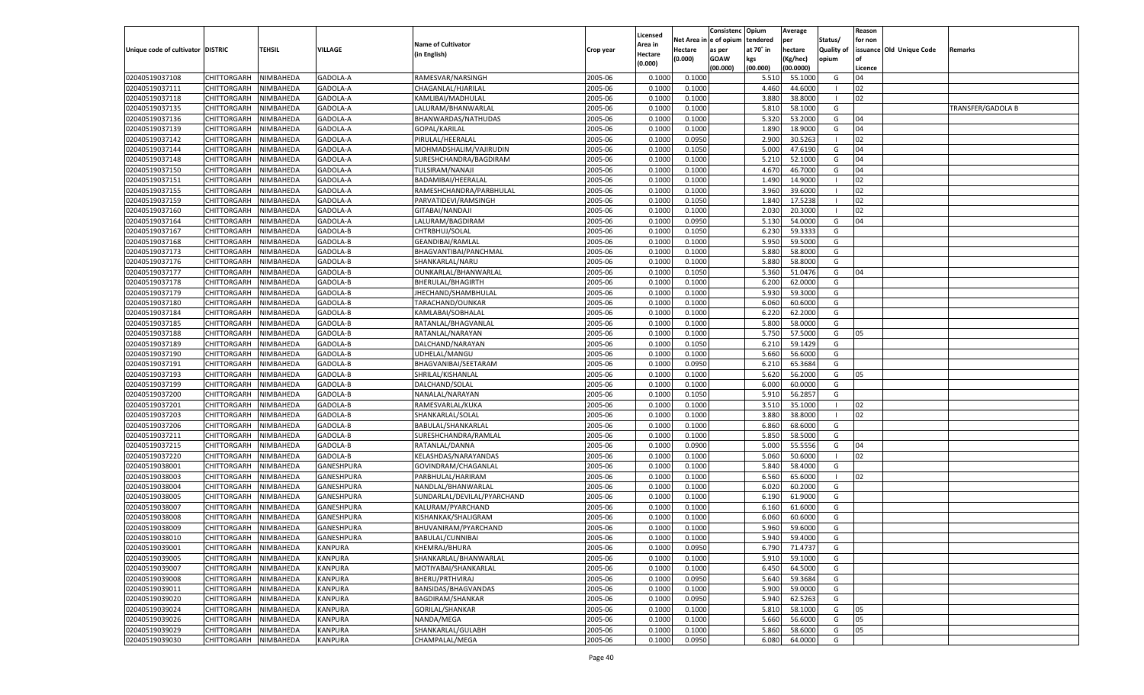|                                   |                            |           |                      |                                   |                    |                    |                  | Consistenc    | Opium     | Average   |                   | Reason  |                          |                   |
|-----------------------------------|----------------------------|-----------|----------------------|-----------------------------------|--------------------|--------------------|------------------|---------------|-----------|-----------|-------------------|---------|--------------------------|-------------------|
|                                   |                            |           |                      | <b>Name of Cultivator</b>         |                    | Licensed           | Net Area i       | n  e of opium | tendered  | per       | Status/           | for non |                          |                   |
| Unique code of cultivator DISTRIC |                            | TEHSIL    | VILLAGE              |                                   | Crop year          | Area in            | Hectare          | as per        | at 70° in | hectare   | <b>Quality of</b> |         | issuance Old Unique Code | Remarks           |
|                                   |                            |           |                      | (in English)                      |                    | Hectare<br>(0.000) | (0.000)          | <b>GOAW</b>   | kgs       | (Kg/hec)  | opium             |         |                          |                   |
|                                   |                            |           |                      |                                   |                    |                    |                  | (00.000)      | (00.000)  | (00.0000) |                   | Licence |                          |                   |
| 02040519037108                    | CHITTORGARH                | NIMBAHEDA | GADOLA-A             | RAMESVAR/NARSINGH                 | 2005-06            | 0.1000             | 0.1000           |               | 5.510     | 55.1000   | G                 | 04      |                          |                   |
| 02040519037111                    | CHITTORGARH                | NIMBAHEDA | GADOLA-A             | CHAGANLAL/HJARILAL                | 2005-06            | 0.100              | 0.1000           |               | 4.460     | 44.6000   |                   | 02      |                          |                   |
| 02040519037118                    | CHITTORGARH                | NIMBAHEDA | GADOLA-A             | KAMLIBAI/MADHULAL                 | 2005-06            | 0.1000             | 0.1000           |               | 3.880     | 38.8000   | - 1               | 02      |                          |                   |
| 02040519037135                    | CHITTORGARH                | NIMBAHEDA | GADOLA-A             | LALURAM/BHANWARLAL                | 2005-06            | 0.1000             | 0.1000           |               | 5.810     | 58.1000   | G                 |         |                          | TRANSFER/GADOLA B |
| 02040519037136                    | CHITTORGARH                | NIMBAHEDA | GADOLA-A             | BHANWARDAS/NATHUDAS               | 2005-06            | 0.1000             | 0.1000           |               | 5.320     | 53.2000   | G                 | 04      |                          |                   |
| 02040519037139                    | CHITTORGARH                | NIMBAHEDA | GADOLA-A             | GOPAL/KARILAL                     | 2005-06            | 0.1000             | 0.1000           |               | 1.890     | 18.9000   | G                 | 04      |                          |                   |
| 02040519037142                    | CHITTORGARH                | NIMBAHEDA | GADOLA-A             | PIRULAL/HEERALAL                  | 2005-06            | 0.1000             | 0.0950           |               | 2.900     | 30.5263   | - 1               | 02      |                          |                   |
| 02040519037144                    | CHITTORGARH                | NIMBAHEDA | GADOLA-A             | MOHMADSHALIM/VAJIRUDIN            | 2005-06            | 0.1000             | 0.1050           |               | 5.000     | 47.6190   | G                 | 04      |                          |                   |
| 02040519037148                    | CHITTORGARH                | NIMBAHEDA | GADOLA-A             | SURESHCHANDRA/BAGDIRAM            | 2005-06            | 0.1000             | 0.1000           |               | 5.21      | 52.1000   | G                 | 04      |                          |                   |
| 02040519037150                    | CHITTORGARH                | NIMBAHEDA | GADOLA-A             | TULSIRAM/NANAJI                   | 2005-06            | 0.1000             | 0.1000           |               | 4.670     | 46.7000   | G                 | 04      |                          |                   |
| 02040519037151                    | CHITTORGARH                | NIMBAHEDA | GADOLA-A             | BADAMIBAI/HEERALAL                | 2005-06            | 0.1000             | 0.1000           |               | 1.490     | 14.9000   |                   | 02      |                          |                   |
| 02040519037155                    | CHITTORGARH                | NIMBAHEDA | GADOLA-A             | RAMESHCHANDRA/PARBHULAL           | 2005-06            | 0.1000             | 0.1000           |               | 3.960     | 39.6000   |                   | 02      |                          |                   |
| 02040519037159                    | CHITTORGARH                | NIMBAHEDA | GADOLA-A             | PARVATIDEVI/RAMSINGH              | 2005-06            | 0.1000             | 0.1050           |               | 1.840     | 17.5238   |                   | 02      |                          |                   |
| 02040519037160                    | CHITTORGARH                | NIMBAHEDA | GADOLA-A             | GITABAI/NANDAJI                   | 2005-06            | 0.1000             | 0.1000           |               | 2.030     | 20.3000   | - 1               | 02      |                          |                   |
| 02040519037164                    | CHITTORGARH                | NIMBAHEDA | GADOLA-A             | LALURAM/BAGDIRAM                  | 2005-06            | 0.1000             | 0.0950           |               | 5.130     | 54.0000   | G                 | 04      |                          |                   |
| 02040519037167                    | CHITTORGARH                | NIMBAHEDA | GADOLA-B             | CHTRBHUJ/SOLAL                    | 2005-06            | 0.1000             | 0.1050           |               | 6.230     | 59.3333   | G                 |         |                          |                   |
| 02040519037168                    | CHITTORGARH                | NIMBAHEDA | GADOLA-B             | <b>GEANDIBAI/RAMLAL</b>           | 2005-06            | 0.1000             | 0.1000           |               | 5.950     | 59.5000   | G                 |         |                          |                   |
| 02040519037173                    | CHITTORGARH                | NIMBAHEDA | GADOLA-B             | BHAGVANTIBAI/PANCHMAL             | 2005-06            | 0.1000             | 0.1000           |               | 5.880     | 58.8000   | G                 |         |                          |                   |
| 02040519037176                    | CHITTORGARH                | NIMBAHEDA | GADOLA-B             | SHANKARLAL/NARU                   | 2005-06            | 0.1000             | 0.1000           |               | 5.880     | 58.8000   | G                 |         |                          |                   |
| 02040519037177                    | CHITTORGARH                | NIMBAHEDA | GADOLA-B             | OUNKARLAL/BHANWARLAL              | 2005-06            | 0.1000             | 0.1050           |               | 5.360     | 51.0476   | G                 | 04      |                          |                   |
| 02040519037178                    | CHITTORGARH                | NIMBAHEDA | GADOLA-B             | BHERULAL/BHAGIRTH                 | 2005-06            | 0.1000             | 0.1000           |               | 6.200     | 62.0000   | G                 |         |                          |                   |
| 02040519037179                    | CHITTORGARH                | NIMBAHEDA | GADOLA-B             | JHECHAND/SHAMBHULAI               | 2005-06            | 0.1000             | 0.1000           |               | 5.930     | 59.3000   | G                 |         |                          |                   |
| 02040519037180                    | CHITTORGARH                | NIMBAHEDA | GADOLA-B             | TARACHAND/OUNKAR                  | 2005-06            | 0.1000             | 0.1000           |               | 6.060     | 60.6000   | G                 |         |                          |                   |
| 02040519037184                    | CHITTORGARH                | NIMBAHEDA | GADOLA-B             | KAMLABAI/SOBHALAL                 | 2005-06            | 0.1000             | 0.1000           |               | 6.220     | 62.2000   | G                 |         |                          |                   |
| 02040519037185                    | CHITTORGARH                | NIMBAHEDA | GADOLA-B             | RATANLAL/BHAGVANLAI               | 2005-06            | 0.1000             | 0.1000           |               | 5.800     | 58.0000   | G                 |         |                          |                   |
| 02040519037188                    |                            |           |                      |                                   | 2005-06            | 0.1000             |                  |               | 5.750     | 57.5000   | G                 | 05      |                          |                   |
| 02040519037189                    | CHITTORGARH                | NIMBAHEDA | GADOLA-B<br>GADOLA-B | RATANLAL/NARAYAN                  | 2005-06            | 0.1000             | 0.1000<br>0.1050 |               | 6.210     | 59.1429   | G                 |         |                          |                   |
|                                   | CHITTORGARH<br>CHITTORGARH | NIMBAHEDA |                      | DALCHAND/NARAYAN<br>UDHELAL/MANGU |                    |                    |                  |               |           | 56.6000   |                   |         |                          |                   |
| 02040519037190                    | CHITTORGARH                | NIMBAHEDA | GADOLA-B             |                                   | 2005-06<br>2005-06 | 0.1000             | 0.1000           |               | 5.660     | 65.3684   | G<br>G            |         |                          |                   |
| 02040519037191                    |                            | NIMBAHEDA | GADOLA-B             | BHAGVANIBAI/SEETARAM              |                    | 0.1000             | 0.0950           |               | 6.210     |           |                   |         |                          |                   |
| 02040519037193                    | CHITTORGARH                | NIMBAHEDA | GADOLA-B             | SHRILAL/KISHANLAL                 | 2005-06            | 0.1000             | 0.1000           |               | 5.620     | 56.2000   | G                 | 05      |                          |                   |
| 02040519037199                    | CHITTORGARH                | NIMBAHEDA | GADOLA-B             | DALCHAND/SOLAL                    | 2005-06            | 0.1000             | 0.1000           |               | 6.000     | 60.0000   | G                 |         |                          |                   |
| 02040519037200                    | CHITTORGARH                | NIMBAHEDA | GADOLA-B             | NANALAL/NARAYAN                   | 2005-06            | 0.1000             | 0.1050           |               | 5.910     | 56.2857   | G                 |         |                          |                   |
| 02040519037201                    | CHITTORGARH                | NIMBAHEDA | GADOLA-B             | RAMESVARLAL/KUKA                  | 2005-06            | 0.1000             | 0.1000           |               | 3.510     | 35.1000   | - 1               | 02      |                          |                   |
| 02040519037203                    | CHITTORGARH                | NIMBAHEDA | GADOLA-B             | SHANKARLAL/SOLAL                  | 2005-06            | 0.1000             | 0.1000           |               | 3.880     | 38.8000   | - 1               | 02      |                          |                   |
| 02040519037206                    | CHITTORGARH                | NIMBAHEDA | GADOLA-B             | BABULAL/SHANKARLAL                | 2005-06            | 0.1000             | 0.1000           |               | 6.860     | 68.6000   | G                 |         |                          |                   |
| 02040519037211                    | CHITTORGARH                | NIMBAHEDA | GADOLA-B             | SURESHCHANDRA/RAMLAL              | 2005-06            | 0.1000             | 0.1000           |               | 5.850     | 58.5000   | G                 |         |                          |                   |
| 02040519037215                    | CHITTORGARH                | NIMBAHEDA | GADOLA-B             | RATANLAL/DANNA                    | 2005-06            | 0.1000             | 0.0900           |               | 5.000     | 55.5556   | G                 | 04      |                          |                   |
| 02040519037220                    | CHITTORGARH                | NIMBAHEDA | GADOLA-B             | KELASHDAS/NARAYANDAS              | 2005-06            | 0.1000             | 0.1000           |               | 5.060     | 50.6000   | - 1               | 02      |                          |                   |
| 02040519038001                    | CHITTORGARH                | NIMBAHEDA | <b>GANESHPURA</b>    | GOVINDRAM/CHAGANLAL               | 2005-06            | 0.1000             | 0.1000           |               | 5.840     | 58.4000   | G                 |         |                          |                   |
| 02040519038003                    | CHITTORGARH                | NIMBAHEDA | GANESHPURA           | PARBHULAL/HARIRAM                 | 2005-06            | 0.1000             | 0.1000           |               | 6.560     | 65.6000   | - 1               | 02      |                          |                   |
| 02040519038004                    | CHITTORGARH                | NIMBAHEDA | GANESHPURA           | NANDLAL/BHANWARLAL                | 2005-06            | 0.1000             | 0.1000           |               | 6.020     | 60.2000   | G                 |         |                          |                   |
| 02040519038005                    | CHITTORGARH                | NIMBAHEDA | GANESHPURA           | SUNDARLAL/DEVILAL/PYARCHAND       | 2005-06            | 0.1000             | 0.1000           |               | 6.190     | 61.9000   | G                 |         |                          |                   |
| 02040519038007                    | CHITTORGARH                | NIMBAHEDA | GANESHPURA           | KALURAM/PYARCHAND                 | 2005-06            | 0.1000             | 0.1000           |               | 6.160     | 61.6000   | G                 |         |                          |                   |
| 02040519038008                    | CHITTORGARH                | NIMBAHEDA | GANESHPURA           | KISHANKAK/SHALIGRAM               | 2005-06            | 0.1000             | 0.1000           |               | 6.060     | 60.6000   | G                 |         |                          |                   |
| 02040519038009                    | CHITTORGARH                | NIMBAHEDA | GANESHPURA           | BHUVANIRAM/PYARCHAND              | 2005-06            | 0.1000             | 0.1000           |               | 5.960     | 59.6000   | G                 |         |                          |                   |
| 02040519038010                    | CHITTORGARH NIMBAHEDA      |           | <b>GANESHPURA</b>    | BABULAL/CUNNIBAI                  | 2005-06            | 0.1000             | 0.1000           |               | 5.940     | 59.4000   | G                 |         |                          |                   |
| 02040519039001                    | <b>CHITTORGARH</b>         | NIMBAHEDA | <b>KANPURA</b>       | KHEMRAJ/BHURA                     | 2005-06            | 0.1000             | 0.0950           |               | 6.790     | 71.4737   | G                 |         |                          |                   |
| 02040519039005                    | CHITTORGARH                | NIMBAHEDA | KANPURA              | SHANKARLAL/BHANWARLAL             | 2005-06            | 0.1000             | 0.1000           |               | 5.910     | 59.1000   | G                 |         |                          |                   |
| 02040519039007                    | <b>CHITTORGARH</b>         | NIMBAHEDA | <b>KANPURA</b>       | MOTIYABAI/SHANKARLAL              | 2005-06            | 0.1000             | 0.1000           |               | 6.450     | 64.5000   | G                 |         |                          |                   |
| 02040519039008                    | <b>CHITTORGARH</b>         | NIMBAHEDA | KANPURA              | BHERU/PRTHVIRAJ                   | 2005-06            | 0.1000             | 0.0950           |               | 5.640     | 59.3684   | G                 |         |                          |                   |
| 02040519039011                    | CHITTORGARH                | NIMBAHEDA | KANPURA              | BANSIDAS/BHAGVANDAS               | 2005-06            | 0.1000             | 0.1000           |               | 5.900     | 59.0000   | G                 |         |                          |                   |
| 02040519039020                    | <b>CHITTORGARH</b>         | NIMBAHEDA | KANPURA              | BAGDIRAM/SHANKAR                  | 2005-06            | 0.1000             | 0.0950           |               | 5.940     | 62.5263   | G                 |         |                          |                   |
| 02040519039024                    | CHITTORGARH                | NIMBAHEDA | KANPURA              | GORILAL/SHANKAR                   | 2005-06            | 0.1000             | 0.1000           |               | 5.810     | 58.1000   | G                 | 05      |                          |                   |
| 02040519039026                    | CHITTORGARH                | NIMBAHEDA | KANPURA              | NANDA/MEGA                        | 2005-06            | 0.1000             | 0.1000           |               | 5.660     | 56.6000   | G                 | 05      |                          |                   |
| 02040519039029                    | CHITTORGARH                | NIMBAHEDA | <b>KANPURA</b>       | SHANKARLAL/GULABH                 | 2005-06            | 0.1000             | 0.1000           |               | 5.860     | 58.6000   | G                 | 05      |                          |                   |
| 02040519039030                    | CHITTORGARH                | NIMBAHEDA | <b>KANPURA</b>       | CHAMPALAL/MEGA                    | 2005-06            | 0.1000             | 0.0950           |               | 6.080     | 64.0000   | G                 |         |                          |                   |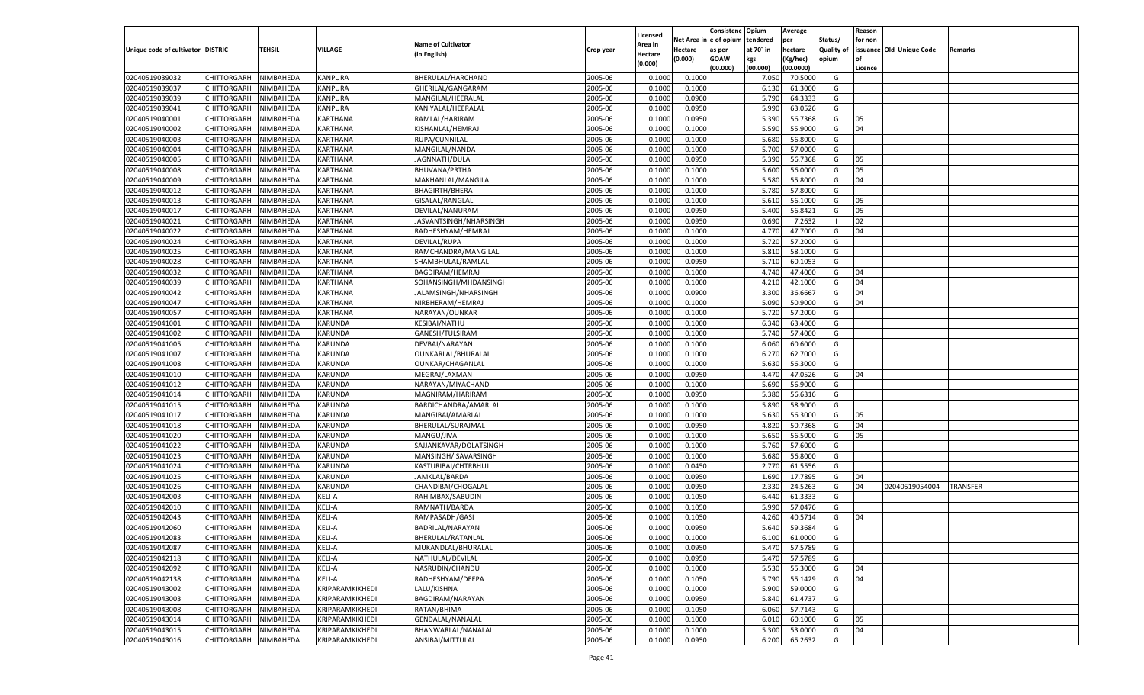|                                   |                       |                        |                    |                           |           |                           |                  | Consistenc  | Opium     | Average   |                   | Reason  |                          |                 |
|-----------------------------------|-----------------------|------------------------|--------------------|---------------------------|-----------|---------------------------|------------------|-------------|-----------|-----------|-------------------|---------|--------------------------|-----------------|
|                                   |                       |                        |                    | <b>Name of Cultivator</b> |           | Licensed                  | Net Area         | le of opium | tendered  | per       | Status/           | for non |                          |                 |
| Unique code of cultivator DISTRIC |                       | <b>TEHSIL</b>          | VILLAGE            | (in English)              | Crop year | <b>Area in</b><br>Hectare | Hectare          | as per      | at 70° in | hectare   | <b>Quality of</b> |         | issuance Old Unique Code | Remarks         |
|                                   |                       |                        |                    |                           |           | (0.000)                   | (0.000)          | <b>GOAW</b> | kgs       | (Kg/hec)  | opium             |         |                          |                 |
|                                   |                       |                        |                    |                           |           |                           |                  | (00.000)    | (00.000)  | (00.0000) |                   | Licence |                          |                 |
| 02040519039032                    | CHITTORGARH           | NIMBAHEDA              | KANPURA            | BHERULAL/HARCHAND         | 2005-06   | 0.1000                    | 0.1000           |             | 7.050     | 70.5000   | G                 |         |                          |                 |
| 02040519039037                    | CHITTORGARH           | NIMBAHEDA              | KANPURA            | GHERILAL/GANGARAM         | 2005-06   | 0.1000                    | 0.1000           |             | 6.130     | 61.3000   | G                 |         |                          |                 |
| 02040519039039                    | CHITTORGARH           | NIMBAHEDA              | <b>KANPURA</b>     | MANGILAL/HEERALAL         | 2005-06   | 0.1000                    | 0.0900           |             | 5.790     | 64.3333   | G                 |         |                          |                 |
| 02040519039041                    | CHITTORGARH           | NIMBAHEDA              | KANPURA            | KANIYALAL/HEERALAL        | 2005-06   | 0.1000                    | 0.0950           |             | 5.990     | 63.0526   | G                 |         |                          |                 |
| 02040519040001                    | CHITTORGARH           | NIMBAHEDA              | KARTHANA           | RAMLAL/HARIRAM            | 2005-06   | 0.1000                    | 0.0950           |             | 5.390     | 56.7368   | G                 | 05      |                          |                 |
| 02040519040002                    | CHITTORGARH           | NIMBAHEDA              | KARTHANA           | KISHANLAL/HEMRAJ          | 2005-06   | 0.1000                    | 0.1000           |             | 5.590     | 55.9000   | G                 | 04      |                          |                 |
| 02040519040003                    | CHITTORGARH           | NIMBAHEDA              | KARTHANA           | RUPA/CUNNILAL             | 2005-06   | 0.1000                    | 0.1000           |             | 5.680     | 56.8000   | G                 |         |                          |                 |
| 02040519040004                    | CHITTORGARH           | NIMBAHEDA              | KARTHANA           | MANGILAL/NANDA            | 2005-06   | 0.1000                    | 0.1000           |             | 5.700     | 57.0000   | G                 |         |                          |                 |
| 02040519040005                    | CHITTORGARH           | NIMBAHEDA              | KARTHANA           | JAGNNATH/DULA             | 2005-06   | 0.1000                    | 0.0950           |             | 5.390     | 56.7368   | G                 | 05      |                          |                 |
| 02040519040008                    | CHITTORGARH           | NIMBAHEDA              | KARTHANA           | BHUVANA/PRTHA             | 2005-06   | 0.1000                    | 0.1000           |             | 5.600     | 56.0000   | G                 | 05      |                          |                 |
| 02040519040009                    | CHITTORGARH           | NIMBAHEDA              | KARTHANA           | MAKHANLAL/MANGILAL        | 2005-06   | 0.1000                    | 0.1000           |             | 5.580     | 55.8000   | G                 | 04      |                          |                 |
| 02040519040012                    | CHITTORGARH           | NIMBAHEDA              | KARTHANA           | <b>BHAGIRTH/BHERA</b>     | 2005-06   | 0.1000                    | 0.1000           |             | 5.780     | 57.8000   | G                 |         |                          |                 |
| 02040519040013                    | CHITTORGARH           | NIMBAHEDA              | KARTHANA           | GISALAL/RANGLAL           | 2005-06   | 0.1000                    | 0.1000           |             | 5.610     | 56.1000   | G                 | 05      |                          |                 |
| 02040519040017                    | CHITTORGARH           | NIMBAHEDA              | KARTHANA           | DEVILAL/NANURAM           | 2005-06   | 0.1000                    | 0.0950           |             | 5.400     | 56.8421   | G                 | 05      |                          |                 |
| 02040519040021                    | CHITTORGARH           | NIMBAHEDA              | KARTHANA           | JASVANTSINGH/NHARSINGH    | 2005-06   | 0.1000                    | 0.0950           |             | 0.690     | 7.2632    | - 1               | 02      |                          |                 |
| 02040519040022                    | CHITTORGARH           | NIMBAHEDA              | KARTHANA           | RADHESHYAM/HEMRAJ         | 2005-06   | 0.1000                    | 0.1000           |             | 4.770     | 47.7000   | G                 | 04      |                          |                 |
| 02040519040024                    | CHITTORGARH           | NIMBAHEDA              | KARTHANA           | DEVILAL/RUPA              | 2005-06   | 0.1000                    | 0.1000           |             | 5.720     | 57.2000   | G                 |         |                          |                 |
| 02040519040025                    | CHITTORGARH           | NIMBAHEDA              | KARTHANA           | RAMCHANDRA/MANGILAL       | 2005-06   | 0.1000                    | 0.1000           |             | 5.810     | 58.1000   | G                 |         |                          |                 |
| 02040519040028                    | CHITTORGARH           | NIMBAHEDA              | KARTHANA           | SHAMBHULAL/RAMLAL         | 2005-06   | 0.1000                    | 0.0950           |             | 5.710     | 60.1053   | G                 |         |                          |                 |
| 02040519040032                    | CHITTORGARH           | NIMBAHEDA              | KARTHANA           | BAGDIRAM/HEMRAJ           | 2005-06   | 0.1000                    | 0.1000           |             | 4.740     | 47.4000   | G                 | 04      |                          |                 |
| 02040519040039                    | CHITTORGARH           | NIMBAHEDA              | KARTHANA           | SOHANSINGH/MHDANSINGH     | 2005-06   | 0.1000                    | 0.1000           |             | 4.210     | 42.1000   | G                 | 04      |                          |                 |
| 02040519040042                    | CHITTORGARH           | NIMBAHEDA              | KARTHANA           | JALAMSINGH/NHARSINGH      | 2005-06   | 0.1000                    | 0.0900           |             | 3.300     | 36.6667   | G                 | 04      |                          |                 |
| 02040519040047                    | CHITTORGARH           | NIMBAHEDA              | KARTHANA           | NIRBHERAM/HEMRAJ          | 2005-06   | 0.1000                    | 0.1000           |             | 5.090     | 50.9000   | G                 | 04      |                          |                 |
| 02040519040057                    | CHITTORGARH           | NIMBAHEDA              | KARTHANA           | NARAYAN/OUNKAR            | 2005-06   | 0.1000                    | 0.1000           |             | 5.720     | 57.2000   | G                 |         |                          |                 |
| 02040519041001                    | CHITTORGARH           | NIMBAHEDA              | KARUNDA            | KESIBAI/NATHU             | 2005-06   | 0.1000                    | 0.1000           |             | 6.340     | 63.4000   | G                 |         |                          |                 |
| 02040519041002                    | CHITTORGARH           | NIMBAHEDA              | KARUNDA            | GANESH/TULSIRAM           | 2005-06   | 0.1000                    | 0.1000           |             | 5.740     | 57.4000   | G                 |         |                          |                 |
| 02040519041005                    | CHITTORGARH           | NIMBAHEDA              | KARUNDA            | DEVBAI/NARAYAN            | 2005-06   | 0.1000                    | 0.1000           |             | 6.060     | 60.6000   | G                 |         |                          |                 |
| 02040519041007                    | CHITTORGARH           | NIMBAHEDA              | KARUNDA            | OUNKARLAL/BHURALAL        | 2005-06   | 0.1000                    | 0.1000           |             | 6.27      | 62.7000   | G                 |         |                          |                 |
| 02040519041008                    | CHITTORGARH           | NIMBAHEDA              | KARUNDA            | OUNKAR/CHAGANLAI          | 2005-06   | 0.1000                    | 0.1000           |             | 5.630     | 56.3000   | G                 |         |                          |                 |
| 02040519041010                    | CHITTORGARH           | NIMBAHEDA              | KARUNDA            | MEGRAJ/LAXMAN             | 2005-06   | 0.1000                    | 0.0950           |             | 4.470     | 47.0526   | G                 | 04      |                          |                 |
| 02040519041012                    | CHITTORGARH           | NIMBAHEDA              | KARUNDA            | NARAYAN/MIYACHAND         | 2005-06   | 0.1000                    | 0.1000           |             | 5.690     | 56.9000   | G                 |         |                          |                 |
| 02040519041014                    | CHITTORGARH           | NIMBAHEDA              | KARUNDA            | MAGNIRAM/HARIRAM          | 2005-06   | 0.1000                    | 0.0950           |             | 5.380     | 56.6316   | G                 |         |                          |                 |
| 02040519041015                    | CHITTORGARH           | NIMBAHEDA              | KARUNDA            | BARDICHANDRA/AMARLAL      | 2005-06   | 0.1000                    | 0.1000           |             | 5.890     | 58.9000   | G                 |         |                          |                 |
| 02040519041017                    | CHITTORGARH           | NIMBAHEDA              | KARUNDA            | MANGIBAI/AMARLAL          | 2005-06   | 0.1000                    | 0.1000           |             | 5.630     | 56.3000   | G                 | 05      |                          |                 |
| 02040519041018                    | CHITTORGARH           | NIMBAHEDA              | KARUNDA            | BHERULAL/SURAJMAL         | 2005-06   | 0.1000                    | 0.0950           |             | 4.82      | 50.7368   | G                 | 04      |                          |                 |
| 02040519041020                    | CHITTORGARH           | NIMBAHEDA              | KARUNDA            | MANGU/JIVA                | 2005-06   | 0.1000                    | 0.1000           |             | 5.650     | 56.5000   | G                 | 05      |                          |                 |
| 02040519041022                    | CHITTORGARH           | NIMBAHEDA              | KARUNDA            | SAJJANKAVAR/DOLATSINGH    | 2005-06   | 0.1000                    | 0.1000           |             | 5.760     | 57.6000   | G                 |         |                          |                 |
| 02040519041023                    | CHITTORGARH           | NIMBAHEDA              | KARUNDA            | MANSINGH/ISAVARSINGH      | 2005-06   | 0.1000                    | 0.1000           |             | 5.680     | 56.8000   | G                 |         |                          |                 |
| 02040519041024                    | CHITTORGARH           | NIMBAHEDA              | KARUNDA            | KASTURIBAI/CHTRBHUJ       | 2005-06   | 0.1000                    | 0.0450           |             | 2.770     | 61.5556   | G                 |         |                          |                 |
| 02040519041025                    |                       |                        |                    |                           | 2005-06   | 0.1000                    |                  |             | 1.690     | 17.7895   | G                 | 04      |                          |                 |
| 02040519041026                    | CHITTORGARH           | NIMBAHEDA<br>NIMBAHEDA | KARUNDA<br>KARUNDA | JAMKLAL/BARDA             | 2005-06   | 0.1000                    | 0.0950<br>0.0950 |             | 2.330     | 24.5263   | G                 | 04      | 02040519054004           | <b>TRANSFER</b> |
| 02040519042003                    | CHITTORGARH           |                        |                    | CHANDIBAI/CHOGALAL        | 2005-06   |                           |                  |             | 6.44      | 61.3333   | G                 |         |                          |                 |
| 02040519042010                    | CHITTORGARH           | NIMBAHEDA<br>NIMBAHEDA | KELI-A<br>KELI-A   | RAHIMBAX/SABUDIN          |           | 0.1000                    | 0.1050           |             |           | 57.0476   |                   |         |                          |                 |
|                                   | CHITTORGARH           |                        |                    | RAMNATH/BARDA             | 2005-06   | 0.1000                    | 0.1050           |             | 5.99      |           | G                 |         |                          |                 |
| 02040519042043                    | CHITTORGARH           | NIMBAHEDA              | KELI-A             | RAMPASADH/GASI            | 2005-06   | 0.1000                    | 0.1050           |             | 4.260     | 40.5714   | G                 | 04      |                          |                 |
| 02040519042060                    | CHITTORGARH           | NIMBAHEDA              | KELI-A             | BADRILAL/NARAYAN          | 2005-06   | 0.1000                    | 0.0950           |             | 5.640     | 59.3684   | G                 |         |                          |                 |
| 02040519042083                    | CHITTORGARH NIMBAHEDA |                        | <b>KELI-A</b>      | BHERULAL/RATANLAL         | 2005-06   | 0.1000                    | 0.1000           |             | 6.100     | 61.0000   | G                 |         |                          |                 |
| 02040519042087                    | <b>CHITTORGARH</b>    | NIMBAHEDA              | <b>KELI-A</b>      | MUKANDLAL/BHURALAL        | 2005-06   | 0.1000                    | 0.0950           |             | 5.470     | 57.5789   | G                 |         |                          |                 |
| 02040519042118                    | CHITTORGARH           | NIMBAHEDA              | KELI-A             | NATHULAL/DEVILAL          | 2005-06   | 0.1000                    | 0.0950           |             | 5.470     | 57.5789   | G                 |         |                          |                 |
| 02040519042092                    | <b>CHITTORGARH</b>    | NIMBAHEDA              | KELI-A             | NASRUDIN/CHANDU           | 2005-06   | 0.1000                    | 0.1000           |             | 5.530     | 55.3000   | G                 | 04      |                          |                 |
| 02040519042138                    | <b>CHITTORGARH</b>    | NIMBAHEDA              | KELI-A             | RADHESHYAM/DEEPA          | 2005-06   | 0.1000                    | 0.1050           |             | 5.790     | 55.1429   | G                 | 04      |                          |                 |
| 02040519043002                    | <b>CHITTORGARH</b>    | NIMBAHEDA              | KRIPARAMKIKHEDI    | LALU/KISHNA               | 2005-06   | 0.1000                    | 0.1000           |             | 5.900     | 59.0000   | G                 |         |                          |                 |
| 02040519043003                    | <b>CHITTORGARH</b>    | NIMBAHEDA              | KRIPARAMKIKHEDI    | BAGDIRAM/NARAYAN          | 2005-06   | 0.1000                    | 0.0950           |             | 5.840     | 61.4737   | G                 |         |                          |                 |
| 02040519043008                    | <b>CHITTORGARH</b>    | NIMBAHEDA              | KRIPARAMKIKHEDI    | RATAN/BHIMA               | 2005-06   | 0.1000                    | 0.1050           |             | 6.060     | 57.7143   | G                 |         |                          |                 |
| 02040519043014                    | <b>CHITTORGARH</b>    | NIMBAHEDA              | KRIPARAMKIKHEDI    | GENDALAL/NANALAL          | 2005-06   | 0.1000                    | 0.1000           |             | 6.010     | 60.1000   | G                 | 05      |                          |                 |
| 02040519043015                    | <b>CHITTORGARH</b>    | NIMBAHEDA              | KRIPARAMKIKHEDI    | BHANWARLAL/NANALAL        | 2005-06   | 0.1000                    | 0.1000           |             | 5.300     | 53.0000   | G                 | 04      |                          |                 |
| 02040519043016                    | <b>CHITTORGARH</b>    | NIMBAHEDA              | KRIPARAMKIKHEDI    | ANSIBAI/MITTULAL          | 2005-06   | 0.1000                    | 0.0950           |             | 6.200     | 65.2632   | G                 |         |                          |                 |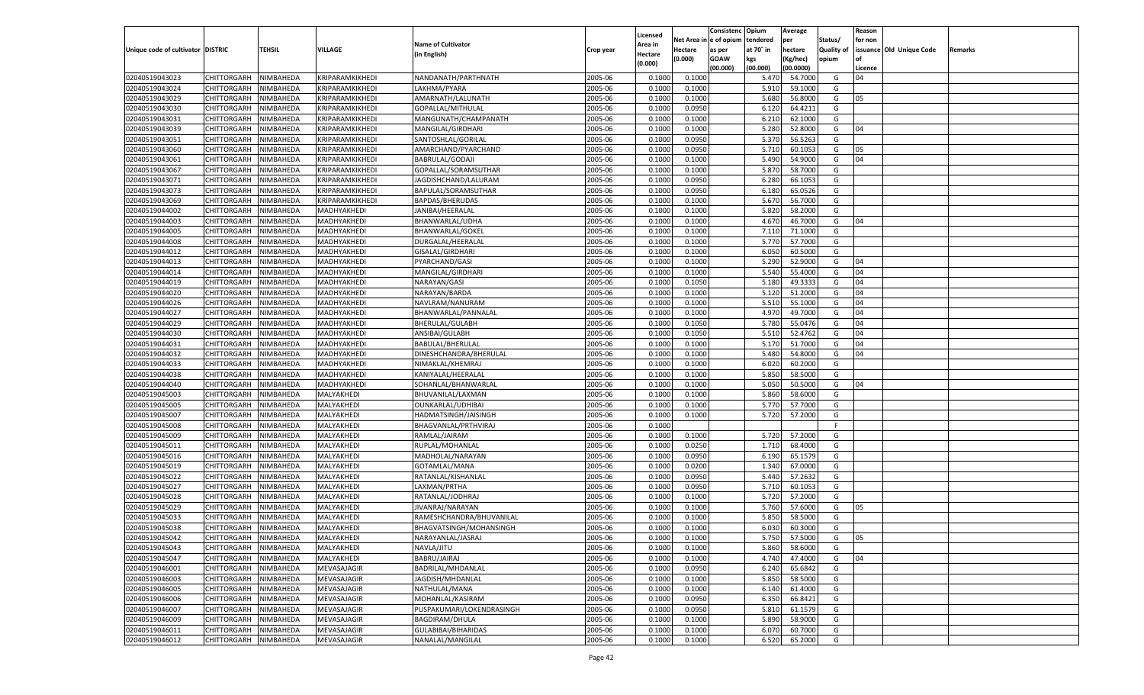|                                   |                       |               |                 |                           |           |                           |          | Consistenc  | Opium     | Average   |                   | Reason  |                          |         |
|-----------------------------------|-----------------------|---------------|-----------------|---------------------------|-----------|---------------------------|----------|-------------|-----------|-----------|-------------------|---------|--------------------------|---------|
|                                   |                       |               |                 | <b>Name of Cultivator</b> |           | Licensed                  | Net Area | e of opium  | tendered  | per       | Status/           | for non |                          |         |
| Unique code of cultivator DISTRIC |                       | <b>TEHSIL</b> | VILLAGE         | (in English)              | Crop year | <b>Area in</b><br>Hectare | Hectare  | as per      | at 70° in | hectare   | <b>Quality of</b> |         | issuance Old Unique Code | Remarks |
|                                   |                       |               |                 |                           |           | (0.000)                   | (0.000)  | <b>GOAW</b> | kgs       | (Kg/hec)  | opium             |         |                          |         |
|                                   |                       |               |                 |                           |           |                           |          | (00.000)    | (00.000)  | (00.0000) |                   | Licence |                          |         |
| 02040519043023                    | CHITTORGARH           | NIMBAHEDA     | KRIPARAMKIKHEDI | NANDANATH/PARTHNATH       | 2005-06   | 0.1000                    | 0.1000   |             | 5.470     | 54.7000   | G                 | 04      |                          |         |
| 02040519043024                    | CHITTORGARH           | NIMBAHEDA     | KRIPARAMKIKHEDI | LAKHMA/PYARA              | 2005-06   | 0.1000                    | 0.1000   |             | 5.910     | 59.1000   | G                 |         |                          |         |
| 02040519043029                    | CHITTORGARH           | NIMBAHEDA     | KRIPARAMKIKHEDI | AMARNATH/LALUNATH         | 2005-06   | 0.1000                    | 0.1000   |             | 5.680     | 56.8000   | G                 | 05      |                          |         |
| 02040519043030                    | CHITTORGARH           | NIMBAHEDA     | KRIPARAMKIKHEDI | GOPALLAL/MITHULAL         | 2005-06   | 0.1000                    | 0.0950   |             | 6.120     | 64.4211   | G                 |         |                          |         |
| 02040519043031                    | CHITTORGARH           | NIMBAHEDA     | KRIPARAMKIKHEDI | MANGUNATH/CHAMPANATH      | 2005-06   | 0.1000                    | 0.1000   |             | 6.210     | 62.1000   | G                 |         |                          |         |
| 02040519043039                    | CHITTORGARH           | NIMBAHEDA     | KRIPARAMKIKHEDI | MANGILAL/GIRDHARI         | 2005-06   | 0.1000                    | 0.1000   |             | 5.280     | 52.8000   | G                 | 04      |                          |         |
| 02040519043051                    | CHITTORGARH           | NIMBAHEDA     | KRIPARAMKIKHEDI | SANTOSHLAL/GORILAL        | 2005-06   | 0.1000                    | 0.0950   |             | 5.370     | 56.5263   | G                 |         |                          |         |
| 02040519043060                    | CHITTORGARH           | NIMBAHEDA     | KRIPARAMKIKHEDI | AMARCHAND/PYARCHAND       | 2005-06   | 0.1000                    | 0.0950   |             | 5.710     | 60.1053   | G                 | 05      |                          |         |
| 02040519043061                    | CHITTORGARH           | NIMBAHEDA     | KRIPARAMKIKHEDI | <b>BABRULAL/GODAJI</b>    | 2005-06   | 0.1000                    | 0.1000   |             | 5.490     | 54.9000   | G                 | 04      |                          |         |
| 02040519043067                    | CHITTORGARH           | NIMBAHEDA     | KRIPARAMKIKHEDI | GOPALLAL/SORAMSUTHAR      | 2005-06   | 0.1000                    | 0.1000   |             | 5.870     | 58.7000   | G                 |         |                          |         |
| 02040519043071                    | CHITTORGARH           | NIMBAHEDA     | KRIPARAMKIKHEDI | JAGDISHCHAND/LALURAM      | 2005-06   | 0.1000                    | 0.0950   |             | 6.280     | 66.105    | G                 |         |                          |         |
| 02040519043073                    | CHITTORGARH           | NIMBAHEDA     | KRIPARAMKIKHEDI | BAPULAL/SORAMSUTHAR       | 2005-06   | 0.1000                    | 0.0950   |             | 6.180     | 65.0526   | G                 |         |                          |         |
| 02040519043069                    | CHITTORGARH           | NIMBAHEDA     | KRIPARAMKIKHEDI | BAPDAS/BHERUDAS           | 2005-06   | 0.1000                    | 0.1000   |             | 5.670     | 56.7000   | G                 |         |                          |         |
| 02040519044002                    | CHITTORGARH           | NIMBAHEDA     | MADHYAKHEDI     | JANIBAI/HEERALAL          | 2005-06   | 0.1000                    | 0.1000   |             | 5.820     | 58.2000   | G                 |         |                          |         |
| 02040519044003                    | CHITTORGARH           | NIMBAHEDA     | MADHYAKHEDI     | BHANWARLAL/UDHA           | 2005-06   | 0.1000                    | 0.1000   |             | 4.670     | 46.7000   | G                 | 04      |                          |         |
| 02040519044005                    | CHITTORGARH           | NIMBAHEDA     | MADHYAKHEDI     | BHANWARLAL/GOKEI          | 2005-06   | 0.1000                    | 0.1000   |             | 7.110     | 71.1000   | G                 |         |                          |         |
| 02040519044008                    | CHITTORGARH           | NIMBAHEDA     | MADHYAKHEDI     | DURGALAL/HEERALAI         | 2005-06   | 0.1000                    | 0.1000   |             | 5.770     | 57.7000   | G                 |         |                          |         |
| 02040519044012                    | CHITTORGARH           | NIMBAHEDA     | MADHYAKHEDI     | GISALAL/GIRDHARI          | 2005-06   | 0.1000                    | 0.1000   |             | 6.050     | 60.5000   | G                 |         |                          |         |
| 02040519044013                    | CHITTORGARH           | NIMBAHEDA     | MADHYAKHEDI     | PYARCHAND/GASI            | 2005-06   | 0.1000                    | 0.1000   |             | 5.290     | 52.9000   | G                 | 04      |                          |         |
| 02040519044014                    | CHITTORGARH           | NIMBAHEDA     | MADHYAKHEDI     | MANGILAL/GIRDHARI         | 2005-06   | 0.1000                    | 0.1000   |             | 5.540     | 55.4000   | G                 | 04      |                          |         |
| 02040519044019                    | CHITTORGARH           | NIMBAHEDA     | MADHYAKHEDI     | NARAYAN/GASI              | 2005-06   | 0.1000                    | 0.1050   |             | 5.180     | 49.3333   | G                 | 04      |                          |         |
| 02040519044020                    | CHITTORGARH           | NIMBAHEDA     | MADHYAKHEDI     | NARAYAN/BARDA             | 2005-06   | 0.1000                    | 0.1000   |             | 5.120     | 51.2000   | G                 | 04      |                          |         |
| 02040519044026                    | CHITTORGARH           | NIMBAHEDA     | MADHYAKHEDI     | NAVLRAM/NANURAM           | 2005-06   | 0.1000                    | 0.1000   |             | 5.510     | 55.1000   | G                 | 04      |                          |         |
| 02040519044027                    | CHITTORGARH           | NIMBAHEDA     | MADHYAKHEDI     | BHANWARLAL/PANNALAL       | 2005-06   | 0.1000                    | 0.1000   |             | 4.970     | 49.7000   | G                 | 04      |                          |         |
| 02040519044029                    | CHITTORGARH           | NIMBAHEDA     | MADHYAKHEDI     | BHERULAL/GULABH           | 2005-06   | 0.1000                    | 0.1050   |             | 5.780     | 55.0476   | G                 | 04      |                          |         |
| 02040519044030                    | CHITTORGARH           | NIMBAHEDA     | MADHYAKHEDI     | ANSIBAI/GULABH            | 2005-06   | 0.1000                    | 0.1050   |             | 5.510     | 52.4762   | G                 | 04      |                          |         |
| 02040519044031                    | CHITTORGARH           | NIMBAHEDA     | MADHYAKHEDI     | BABULAL/BHERULAL          | 2005-06   | 0.1000                    | 0.1000   |             | 5.170     | 51.7000   | G                 | 04      |                          |         |
| 02040519044032                    | CHITTORGARH           | NIMBAHEDA     | MADHYAKHEDI     | DINESHCHANDRA/BHERULAL    | 2005-06   | 0.1000                    | 0.1000   |             | 5.480     | 54.8000   | G                 | 04      |                          |         |
| 02040519044033                    | CHITTORGARH           | NIMBAHEDA     | MADHYAKHEDI     | NIMAKLAL/KHEMRAJ          | 2005-06   | 0.1000                    | 0.1000   |             | 6.020     | 60.2000   | G                 |         |                          |         |
| 02040519044038                    | CHITTORGARH           | NIMBAHEDA     | MADHYAKHEDI     | KANIYALAL/HEERALAL        | 2005-06   | 0.1000                    | 0.1000   |             | 5.850     | 58.5000   | G                 |         |                          |         |
| 02040519044040                    | CHITTORGARH           | NIMBAHEDA     | MADHYAKHEDI     | SOHANLAL/BHANWARLAL       | 2005-06   | 0.1000                    | 0.1000   |             | 5.050     | 50.5000   | G                 | 04      |                          |         |
| 02040519045003                    | CHITTORGARH           | NIMBAHEDA     | MALYAKHEDI      | BHUVANILAL/LAXMAN         | 2005-06   | 0.1000                    | 0.1000   |             | 5.860     | 58.6000   | G                 |         |                          |         |
| 02040519045005                    | CHITTORGARH           | NIMBAHEDA     | MALYAKHEDI      | OUNKARLAL/UDHIBAI         | 2005-06   | 0.1000                    | 0.1000   |             | 5.770     | 57.7000   | G                 |         |                          |         |
| 02040519045007                    | CHITTORGARH           | NIMBAHEDA     | MALYAKHEDI      | HADMATSINGH/JAISINGH      | 2005-06   | 0.1000                    | 0.1000   |             | 5.720     | 57.2000   | G                 |         |                          |         |
| 02040519045008                    | CHITTORGARH           | NIMBAHEDA     | MALYAKHEDI      | BHAGVANLAL/PRTHVIRAJ      | 2005-06   | 0.1000                    |          |             |           |           | F.                |         |                          |         |
| 02040519045009                    | CHITTORGARH           | NIMBAHEDA     | MALYAKHEDI      | RAMLAL/JAIRAM             | 2005-06   | 0.1000                    | 0.1000   |             | 5.720     | 57.2000   | G                 |         |                          |         |
| 02040519045011                    | CHITTORGARH           | NIMBAHEDA     | MALYAKHEDI      | RUPLAL/MOHANLAL           | 2005-06   | 0.1000                    | 0.0250   |             | 1.710     | 68.4000   | G                 |         |                          |         |
| 02040519045016                    | CHITTORGARH           | NIMBAHEDA     | MALYAKHEDI      | MADHOLAL/NARAYAN          | 2005-06   | 0.1000                    | 0.0950   |             | 6.190     | 65.1579   | G                 |         |                          |         |
| 02040519045019                    | CHITTORGARH           | NIMBAHEDA     | MALYAKHEDI      | GOTAMLAL/MANA             | 2005-06   | 0.1000                    | 0.0200   |             | 1.340     | 67.0000   | G                 |         |                          |         |
| 02040519045022                    | CHITTORGARH           | NIMBAHEDA     | MALYAKHEDI      | RATANLAL/KISHANLAL        | 2005-06   | 0.1000                    | 0.0950   |             | 5.44      | 57.2632   | G                 |         |                          |         |
| 02040519045027                    | CHITTORGARH           | NIMBAHEDA     | MALYAKHEDI      | LAXMAN/PRTHA              | 2005-06   | 0.1000                    | 0.0950   |             | 5.710     | 60.105    | G                 |         |                          |         |
| 02040519045028                    | CHITTORGARH           | NIMBAHEDA     | MALYAKHEDI      | RATANLAL/JODHRAJ          | 2005-06   | 0.1000                    | 0.1000   |             | 5.720     | 57.2000   | G                 |         |                          |         |
| 02040519045029                    | CHITTORGARH           | NIMBAHEDA     | MALYAKHEDI      | JIVANRAJ/NARAYAN          | 2005-06   | 0.1000                    | 0.1000   |             | 5.760     | 57.6000   | G                 | 05      |                          |         |
| 02040519045033                    | CHITTORGARH           | NIMBAHEDA     | MALYAKHEDI      | RAMESHCHANDRA/BHUVANILAL  | 2005-06   | 0.1000                    | 0.1000   |             | 5.85      | 58.5000   | G                 |         |                          |         |
| 02040519045038                    |                       | NIMBAHEDA     |                 | BHAGVATSINGH/MOHANSINGH   | 2005-06   | 0.1000                    | 0.1000   |             | 6.030     | 60.3000   | G                 |         |                          |         |
|                                   | CHITTORGARH           |               | MALYAKHEDI      |                           |           |                           |          |             |           |           |                   |         |                          |         |
| 02040519045042                    | CHITTORGARH NIMBAHEDA |               | MALYAKHEDI      | NARAYANLAL/JASRAJ         | 2005-06   | 0.1000                    | 0.1000   |             | 5.750     | 57.5000   | G                 | 05      |                          |         |
| 02040519045043                    | <b>CHITTORGARH</b>    | NIMBAHEDA     | MALYAKHEDI      | NAVLA/JITU                | 2005-06   | 0.1000                    | 0.1000   |             | 5.860     | 58.6000   | G                 |         |                          |         |
| 02040519045047                    | CHITTORGARH           | NIMBAHEDA     | MALYAKHEDI      | BABRU/JAIRAJ              | 2005-06   | 0.1000                    | 0.1000   |             | 4.740     | 47.4000   | G                 | 04      |                          |         |
| 02040519046001                    | <b>CHITTORGARH</b>    | NIMBAHEDA     | MEVASAJAGIR     | BADRILAL/MHDANLAL         | 2005-06   | 0.1000                    | 0.0950   |             | 6.240     | 65.6842   | G                 |         |                          |         |
| 02040519046003                    | CHITTORGARH           | NIMBAHEDA     | MEVASAJAGIR     | JAGDISH/MHDANLAL          | 2005-06   | 0.1000                    | 0.1000   |             | 5.850     | 58.5000   | G                 |         |                          |         |
| 02040519046005                    | <b>CHITTORGARH</b>    | NIMBAHEDA     | MEVASAJAGIR     | NATHULAL/MANA             | 2005-06   | 0.1000                    | 0.1000   |             | 6.140     | 61.4000   | G                 |         |                          |         |
| 02040519046006                    | <b>CHITTORGARH</b>    | NIMBAHEDA     | MEVASAJAGIR     | MOHANLAL/KASIRAM          | 2005-06   | 0.1000                    | 0.0950   |             | 6.350     | 66.8421   | G                 |         |                          |         |
| 02040519046007                    | <b>CHITTORGARH</b>    | NIMBAHEDA     | MEVASAJAGIR     | PUSPAKUMARI/LOKENDRASINGH | 2005-06   | 0.1000                    | 0.0950   |             | 5.810     | 61.1579   | G                 |         |                          |         |
| 02040519046009                    | <b>CHITTORGARH</b>    | NIMBAHEDA     | MEVASAJAGIR     | <b>BAGDIRAM/DHULA</b>     | 2005-06   | 0.1000                    | 0.1000   |             | 5.890     | 58.9000   | G                 |         |                          |         |
| 02040519046011                    | <b>CHITTORGARH</b>    | NIMBAHEDA     | MEVASAJAGIR     | GULABIBAI/BIHARIDAS       | 2005-06   | 0.1000                    | 0.1000   |             | 6.070     | 60.7000   | G                 |         |                          |         |
| 02040519046012                    | CHITTORGARH           | NIMBAHEDA     | MEVASAJAGIR     | NANALAL/MANGILAL          | 2005-06   | 0.1000                    | 0.1000   |             | 6.520     | 65.2000   | G                 |         |                          |         |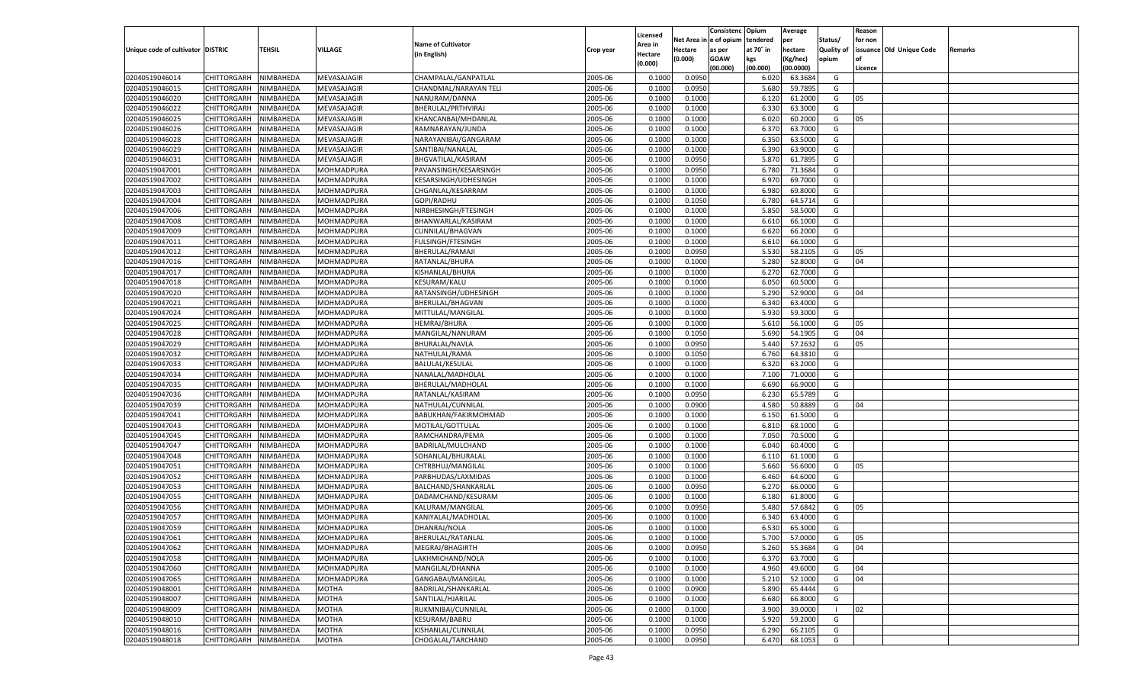|                                   |                       |               |                   |                           |           |                           |          | Consistenc  | Opium     | Average            |                   | Reason  |                          |         |
|-----------------------------------|-----------------------|---------------|-------------------|---------------------------|-----------|---------------------------|----------|-------------|-----------|--------------------|-------------------|---------|--------------------------|---------|
|                                   |                       |               |                   | <b>Name of Cultivator</b> |           | Licensed                  | Net Area | le of opium | tendered  | per                | Status/           | for non |                          |         |
| Unique code of cultivator DISTRIC |                       | <b>TEHSIL</b> | VILLAGE           | (in English)              | Crop year | <b>Area in</b><br>Hectare | Hectare  | as per      | at 70° in | hectare            | <b>Quality of</b> |         | issuance Old Unique Code | Remarks |
|                                   |                       |               |                   |                           |           | (0.000)                   | (0.000)  | <b>GOAW</b> | kgs       | (Kg/hec)           | opium             |         |                          |         |
|                                   |                       |               |                   |                           |           |                           |          | (00.000)    | (00.000)  | (00.0000)          |                   | Licence |                          |         |
| 02040519046014                    | CHITTORGARH           | NIMBAHEDA     | MEVASAJAGIR       | CHAMPALAL/GANPATLAL       | 2005-06   | 0.1000                    | 0.0950   |             | 6.020     | 63.3684            | G                 |         |                          |         |
| 02040519046015                    | CHITTORGARH           | NIMBAHEDA     | MEVASAJAGIR       | CHANDMAL/NARAYAN TELI     | 2005-06   | 0.1000                    | 0.0950   |             | 5.680     | 59.7895            | G                 |         |                          |         |
| 02040519046020                    | CHITTORGARH           | NIMBAHEDA     | MEVASAJAGIR       | NANURAM/DANNA             | 2005-06   | 0.1000                    | 0.1000   |             | 6.120     | 61.2000            | G                 | 05      |                          |         |
| 02040519046022                    | CHITTORGARH           | NIMBAHEDA     | MEVASAJAGIR       | BHERULAL/PRTHVIRAJ        | 2005-06   | 0.1000                    | 0.1000   |             | 6.330     | 63.3000            | G                 |         |                          |         |
| 02040519046025                    | CHITTORGARH           | NIMBAHEDA     | MEVASAJAGIR       | KHANCANBAI/MHDANLAL       | 2005-06   | 0.1000                    | 0.1000   |             | 6.020     | 60.2000            | G                 | 05      |                          |         |
| 02040519046026                    | CHITTORGARH           | NIMBAHEDA     | MEVASAJAGIR       | RAMNARAYAN/JUNDA          | 2005-06   | 0.1000                    | 0.1000   |             | 6.370     | 63.7000            | G                 |         |                          |         |
| 02040519046028                    | CHITTORGARH           | NIMBAHEDA     | MEVASAJAGIR       | NARAYANIBAI/GANGARAM      | 2005-06   | 0.1000                    | 0.1000   |             | 6.350     | 63.5000            | G                 |         |                          |         |
| 02040519046029                    | CHITTORGARH           | NIMBAHEDA     | MEVASAJAGIR       | SANTIBAI/NANALAL          | 2005-06   | 0.1000                    | 0.1000   |             | 6.390     | 63.9000            | G                 |         |                          |         |
| 02040519046031                    | CHITTORGARH           | NIMBAHEDA     | MEVASAJAGIR       | BHGVATILAL/KASIRAM        | 2005-06   | 0.1000                    | 0.0950   |             | 5.870     | 61.7895            | G                 |         |                          |         |
| 02040519047001                    | CHITTORGARH           | NIMBAHEDA     | MOHMADPURA        | PAVANSINGH/KESARSINGH     | 2005-06   | 0.1000                    | 0.0950   |             | 6.780     | 71.3684            | G                 |         |                          |         |
| 02040519047002                    | CHITTORGARH           | NIMBAHEDA     | MOHMADPURA        | KESARSINGH/UDHESINGH      | 2005-06   | 0.1000                    | 0.1000   |             | 6.970     | 69.7000            | G                 |         |                          |         |
| 02040519047003                    | CHITTORGARH           | NIMBAHEDA     | MOHMADPURA        | CHGANLAL/KESARRAM         | 2005-06   | 0.1000                    | 0.1000   |             | 6.980     | 69.8000            | G                 |         |                          |         |
| 02040519047004                    | CHITTORGARH           | NIMBAHEDA     | MOHMADPURA        | GOPI/RADHU                | 2005-06   | 0.1000                    | 0.1050   |             | 6.780     | 64.5714            | G                 |         |                          |         |
| 02040519047006                    | CHITTORGARH           | NIMBAHEDA     | MOHMADPURA        | NIRBHESINGH/FTESINGH      | 2005-06   | 0.1000                    | 0.1000   |             | 5.850     | 58.5000            | G                 |         |                          |         |
| 02040519047008                    | CHITTORGARH           | NIMBAHEDA     | MOHMADPURA        | BHANWARLAL/KASIRAM        | 2005-06   | 0.1000                    | 0.1000   |             | 6.610     | 66.1000            | G                 |         |                          |         |
| 02040519047009                    | CHITTORGARH           | NIMBAHEDA     | MOHMADPURA        | CUNNILAL/BHAGVAN          | 2005-06   | 0.1000                    | 0.1000   |             | 6.620     | 66.2000            | G                 |         |                          |         |
| 02040519047011                    | CHITTORGARH           | NIMBAHEDA     | MOHMADPURA        | FULSINGH/FTESINGH         | 2005-06   | 0.1000                    | 0.1000   |             | 6.610     | 66.1000            | G                 |         |                          |         |
| 02040519047012                    | CHITTORGARH           | NIMBAHEDA     | MOHMADPURA        | BHERULAL/RAMAJI           | 2005-06   | 0.1000                    | 0.0950   |             | 5.530     | 58.2105            | G                 | 05      |                          |         |
| 02040519047016                    | CHITTORGARH           | NIMBAHEDA     | MOHMADPURA        | RATANLAL/BHURA            | 2005-06   | 0.1000                    | 0.1000   |             | 5.280     | 52.8000            | G                 | 04      |                          |         |
| 02040519047017                    | CHITTORGARH           | NIMBAHEDA     | MOHMADPURA        | KISHANLAL/BHURA           | 2005-06   | 0.1000                    | 0.1000   |             | 6.27      | 62.7000            | G                 |         |                          |         |
| 02040519047018                    | CHITTORGARH           | NIMBAHEDA     | MOHMADPURA        | KESURAM/KALU              | 2005-06   | 0.1000                    | 0.1000   |             | 6.050     | 60.5000            | G                 |         |                          |         |
| 02040519047020                    | CHITTORGARH           | NIMBAHEDA     | MOHMADPURA        | RATANSINGH/UDHESINGH      | 2005-06   | 0.1000                    | 0.1000   |             | 5.290     | 52.9000            | G                 | 04      |                          |         |
| 02040519047021                    | CHITTORGARH           | NIMBAHEDA     | MOHMADPURA        | BHERULAL/BHAGVAN          | 2005-06   | 0.1000                    | 0.1000   |             | 6.340     | 63.4000            | G                 |         |                          |         |
| 02040519047024                    | CHITTORGARH           | NIMBAHEDA     | MOHMADPURA        | MITTULAL/MANGILAL         | 2005-06   | 0.1000                    | 0.1000   |             | 5.930     | 59.3000            | G                 |         |                          |         |
| 02040519047025                    | CHITTORGARH           | NIMBAHEDA     | MOHMADPURA        | HEMRAJ/BHURA              | 2005-06   | 0.1000                    | 0.1000   |             | 5.610     | 56.1000            | G                 | 05      |                          |         |
| 02040519047028                    | CHITTORGARH           | NIMBAHEDA     | MOHMADPURA        | MANGILAL/NANURAM          | 2005-06   | 0.1000                    | 0.1050   |             | 5.690     | 54.1905            | G                 | 04      |                          |         |
| 02040519047029                    | CHITTORGARH           | NIMBAHEDA     | MOHMADPURA        | <b>BHURALAL/NAVLA</b>     | 2005-06   | 0.1000                    | 0.0950   |             | 5.440     | 57.2632            | G                 | 05      |                          |         |
| 02040519047032                    | CHITTORGARH           | NIMBAHEDA     | MOHMADPURA        | NATHULAL/RAMA             | 2005-06   | 0.1000                    | 0.1050   |             | 6.760     | 64.3810            | G                 |         |                          |         |
| 02040519047033                    | CHITTORGARH           | NIMBAHEDA     | MOHMADPURA        | <b>BALULAL/KESULAL</b>    | 2005-06   | 0.1000                    | 0.1000   |             | 6.320     | 63.2000            | G                 |         |                          |         |
| 02040519047034                    | CHITTORGARH           | NIMBAHEDA     | MOHMADPURA        | NANALAL/MADHOLAL          | 2005-06   | 0.1000                    | 0.1000   |             | 7.100     | 71.0000            | G                 |         |                          |         |
| 02040519047035                    | CHITTORGARH           | NIMBAHEDA     | MOHMADPURA        | BHERULAL/MADHOLAL         | 2005-06   | 0.1000                    | 0.1000   |             | 6.690     | 66.9000            | G                 |         |                          |         |
| 02040519047036                    | CHITTORGARH           | NIMBAHEDA     | MOHMADPURA        | RATANLAL/KASIRAM          | 2005-06   | 0.1000                    | 0.0950   |             | 6.230     | 65.5789            | G                 |         |                          |         |
| 02040519047039                    | CHITTORGARH           | NIMBAHEDA     | MOHMADPURA        | NATHULAL/CUNNILAL         | 2005-06   | 0.1000                    | 0.0900   |             | 4.580     | 50.8889            | G                 | 04      |                          |         |
| 02040519047041                    | CHITTORGARH           | NIMBAHEDA     | MOHMADPURA        | BABUKHAN/FAKIRMOHMAD      | 2005-06   | 0.1000                    | 0.1000   |             | 6.150     | 61.5000            | G                 |         |                          |         |
| 02040519047043                    | CHITTORGARH           | NIMBAHEDA     | MOHMADPURA        | MOTILAL/GOTTULAL          | 2005-06   | 0.1000                    | 0.1000   |             | 6.810     | 68.1000            | G                 |         |                          |         |
| 02040519047045                    | CHITTORGARH           | NIMBAHEDA     | MOHMADPURA        | RAMCHANDRA/PEMA           | 2005-06   | 0.1000                    | 0.1000   |             | 7.050     | 70.5000            | G                 |         |                          |         |
| 02040519047047                    | CHITTORGARH           | NIMBAHEDA     | MOHMADPURA        | BADRILAL/MULCHAND         | 2005-06   | 0.1000                    | 0.1000   |             | 6.040     | 60.4000            | G                 |         |                          |         |
| 02040519047048                    | CHITTORGARH           | NIMBAHEDA     | MOHMADPURA        | SOHANLAL/BHURALAL         | 2005-06   | 0.1000                    | 0.1000   |             | 6.11      | 61.1000            | G                 |         |                          |         |
| 02040519047051                    | CHITTORGARH           | NIMBAHEDA     | MOHMADPURA        | CHTRBHUJ/MANGILAL         | 2005-06   | 0.1000                    | 0.1000   |             | 5.660     | 56.6000            | G                 | 05      |                          |         |
| 02040519047052                    | CHITTORGARH           | NIMBAHEDA     | MOHMADPURA        | PARBHUDAS/LAXMIDAS        | 2005-06   | 0.1000                    | 0.1000   |             | 6.460     | 64.6000            | G                 |         |                          |         |
| 02040519047053                    | CHITTORGARH           | NIMBAHEDA     | MOHMADPURA        | BALCHAND/SHANKARLAI       | 2005-06   | 0.1000                    | 0.0950   |             | 6.27      | 66.0000            | G                 |         |                          |         |
| 02040519047055                    |                       |               |                   |                           | 2005-06   |                           |          |             |           |                    | G                 |         |                          |         |
|                                   | CHITTORGARH           | NIMBAHEDA     | MOHMADPURA        | DADAMCHAND/KESURAM        |           | 0.1000                    | 0.1000   |             | 6.180     | 61.8000<br>57.6842 |                   |         |                          |         |
| 02040519047056                    | CHITTORGARH           | NIMBAHEDA     | MOHMADPURA        | KALURAM/MANGILAL          | 2005-06   | 0.1000                    | 0.0950   |             | 5.480     |                    | G                 | 05      |                          |         |
| 02040519047057                    | CHITTORGARH           | NIMBAHEDA     | MOHMADPURA        | KANIYALAL/MADHOLAL        | 2005-06   | 0.1000                    | 0.1000   |             | 6.34      | 63.4000            | G                 |         |                          |         |
| 02040519047059                    | CHITTORGARH           | NIMBAHEDA     | MOHMADPURA        | DHANRAJ/NOLA              | 2005-06   | 0.1000                    | 0.1000   |             | 6.530     | 65.3000            | G                 |         |                          |         |
| 02040519047061                    | CHITTORGARH NIMBAHEDA |               | MOHMADPURA        | BHERULAL/RATANLAL         | 2005-06   | 0.1000                    | 0.1000   |             | 5.700     | 57.0000            | G                 | 05      |                          |         |
| 02040519047062                    | <b>CHITTORGARH</b>    | NIMBAHEDA     | MOHMADPURA        | MEGRAJ/BHAGIRTH           | 2005-06   | 0.1000                    | 0.0950   |             | 5.260     | 55.3684            | G                 | 04      |                          |         |
| 02040519047058                    | CHITTORGARH           | NIMBAHEDA     | MOHMADPURA        | LAKHMICHAND/NOLA          | 2005-06   | 0.1000                    | 0.1000   |             | 6.370     | 63.7000            | G                 |         |                          |         |
| 02040519047060                    | <b>CHITTORGARH</b>    | NIMBAHEDA     | <b>MOHMADPURA</b> | MANGILAL/DHANNA           | 2005-06   | 0.1000                    | 0.1000   |             | 4.960     | 49.6000            | G                 | 04      |                          |         |
| 02040519047065                    | <b>CHITTORGARH</b>    | NIMBAHEDA     | MOHMADPURA        | GANGABAI/MANGILAL         | 2005-06   | 0.1000                    | 0.1000   |             | 5.210     | 52.1000            | G                 | 04      |                          |         |
| 02040519048001                    | <b>CHITTORGARH</b>    | NIMBAHEDA     | MOTHA             | BADRILAL/SHANKARLAL       | 2005-06   | 0.1000                    | 0.0900   |             | 5.890     | 65.4444            | G                 |         |                          |         |
| 02040519048007                    | <b>CHITTORGARH</b>    | NIMBAHEDA     | <b>MOTHA</b>      | SANTILAL/HJARILAL         | 2005-06   | 0.1000                    | 0.1000   |             | 6.680     | 66.8000            | G                 |         |                          |         |
| 02040519048009                    | <b>CHITTORGARH</b>    | NIMBAHEDA     | <b>MOTHA</b>      | RUKMNIBAI/CUNNILAL        | 2005-06   | 0.1000                    | 0.1000   |             | 3.900     | 39.0000            | - 1               | 02      |                          |         |
| 02040519048010                    | <b>CHITTORGARH</b>    | NIMBAHEDA     | <b>MOTHA</b>      | KESURAM/BABRU             | 2005-06   | 0.1000                    | 0.1000   |             | 5.920     | 59.2000            | G                 |         |                          |         |
| 02040519048016                    | <b>CHITTORGARH</b>    | NIMBAHEDA     | <b>MOTHA</b>      | KISHANLAL/CUNNILAL        | 2005-06   | 0.1000                    | 0.0950   |             | 6.290     | 66.2105            | G                 |         |                          |         |
| 02040519048018                    | CHITTORGARH           | NIMBAHEDA     | MOTHA             | CHOGALAL/TARCHAND         | 2005-06   | 0.1000                    | 0.0950   |             | 6.470     | 68.1053            | G                 |         |                          |         |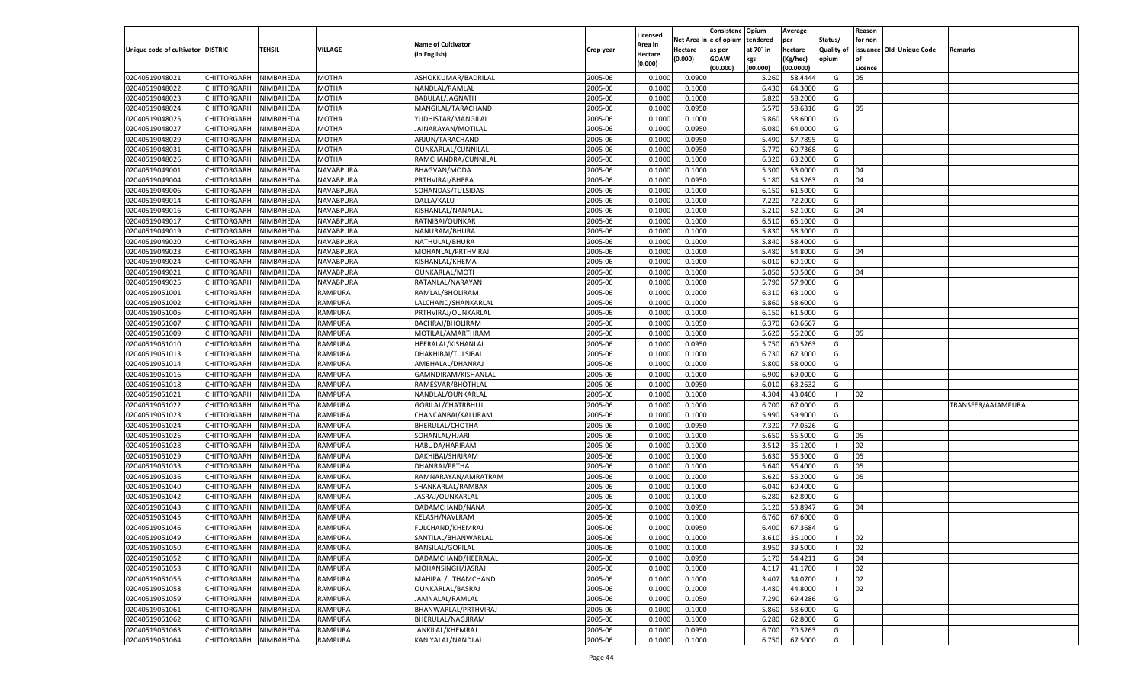|                                   |                       |               |                |                           |           |                    |            | Consistenc Opium |           | Average   |                   | Reason  |                          |                    |
|-----------------------------------|-----------------------|---------------|----------------|---------------------------|-----------|--------------------|------------|------------------|-----------|-----------|-------------------|---------|--------------------------|--------------------|
|                                   |                       |               |                | <b>Name of Cultivator</b> |           | Licensed           | Net Area i | n  e of opium    | tendered  | per       | Status/           | for non |                          |                    |
| Unique code of cultivator DISTRIC |                       | <b>TEHSIL</b> | VILLAGE        |                           | Crop year | \rea in            | Hectare    | as per           | at 70° in | hectare   | <b>Quality of</b> |         | issuance Old Unique Code | <b>Remarks</b>     |
|                                   |                       |               |                | (in English)              |           | Hectare<br>(0.000) | (0.000)    | <b>GOAW</b>      | kgs       | (Kg/hec)  | opium             |         |                          |                    |
|                                   |                       |               |                |                           |           |                    |            | (00.000)         | (00.000)  | (00.0000) |                   | Licence |                          |                    |
| 02040519048021                    | CHITTORGARH           | NIMBAHEDA     | <b>MOTHA</b>   | ASHOKKUMAR/BADRILAL       | 2005-06   | 0.1000             | 0.0900     |                  | 5.260     | 58.4444   | G                 | 05      |                          |                    |
| 02040519048022                    | CHITTORGARH           | NIMBAHEDA     | MOTHA          | NANDLAL/RAMLAL            | 2005-06   | 0.1000             | 0.1000     |                  | 6.430     | 64.3000   | G                 |         |                          |                    |
| 02040519048023                    | CHITTORGARH           | NIMBAHEDA     | <b>MOTHA</b>   | BABULAL/JAGNATH           | 2005-06   | 0.1000             | 0.1000     |                  | 5.820     | 58.2000   | G                 |         |                          |                    |
| 02040519048024                    | CHITTORGARH           | NIMBAHEDA     | MOTHA          | MANGILAL/TARACHAND        | 2005-06   | 0.1000             | 0.0950     |                  | 5.570     | 58.6316   | G                 | 05      |                          |                    |
| 02040519048025                    | CHITTORGARH           | NIMBAHEDA     | MOTHA          | YUDHISTAR/MANGILAL        | 2005-06   | 0.1000             | 0.1000     |                  | 5.860     | 58.6000   | G                 |         |                          |                    |
| 02040519048027                    | CHITTORGARH           | NIMBAHEDA     | MOTHA          | JAINARAYAN/MOTILAL        | 2005-06   | 0.1000             | 0.0950     |                  | 6.080     | 64.0000   | G                 |         |                          |                    |
| 02040519048029                    | CHITTORGARH           | NIMBAHEDA     | <b>MOTHA</b>   | ARJUN/TARACHAND           | 2005-06   | 0.1000             | 0.0950     |                  | 5.490     | 57.7895   | G                 |         |                          |                    |
| 02040519048031                    | CHITTORGARH           | NIMBAHEDA     | <b>MOTHA</b>   | OUNKARLAL/CUNNILAL        | 2005-06   | 0.1000             | 0.0950     |                  | 5.77      | 60.7368   | G                 |         |                          |                    |
| 02040519048026                    | CHITTORGARH           | NIMBAHEDA     | MOTHA          | RAMCHANDRA/CUNNILAL       | 2005-06   | 0.1000             | 0.1000     |                  | 6.320     | 63.2000   | G                 |         |                          |                    |
| 02040519049001                    | CHITTORGARH           | NIMBAHEDA     | NAVABPURA      | <b>BHAGVAN/MODA</b>       | 2005-06   | 0.1000             | 0.1000     |                  | 5.300     | 53.0000   | G                 | 04      |                          |                    |
| 02040519049004                    | CHITTORGARH           | NIMBAHEDA     | NAVABPURA      | PRTHVIRAJ/BHERA           | 2005-06   | 0.1000             | 0.0950     |                  | 5.180     | 54.5263   | G                 | 04      |                          |                    |
| 02040519049006                    | CHITTORGARH           | NIMBAHEDA     | NAVABPURA      | SOHANDAS/TULSIDAS         | 2005-06   | 0.1000             | 0.1000     |                  | 6.150     | 61.5000   | G                 |         |                          |                    |
| 02040519049014                    | CHITTORGARH           | NIMBAHEDA     | NAVABPURA      | DALLA/KALU                | 2005-06   | 0.1000             | 0.1000     |                  | 7.22      | 72.2000   | G                 |         |                          |                    |
| 02040519049016                    | CHITTORGARH           | NIMBAHEDA     | NAVABPURA      | KISHANLAL/NANALAL         | 2005-06   | 0.1000             | 0.1000     |                  | 5.21      | 52.1000   | G                 | 04      |                          |                    |
| 02040519049017                    | CHITTORGARH           | NIMBAHEDA     | NAVABPURA      | RATNIBAI/OUNKAR           | 2005-06   | 0.1000             | 0.1000     |                  | 6.510     | 65.1000   | G                 |         |                          |                    |
| 02040519049019                    | CHITTORGARH           | NIMBAHEDA     | NAVABPURA      | NANURAM/BHURA             | 2005-06   | 0.1000             | 0.1000     |                  | 5.830     | 58.3000   | G                 |         |                          |                    |
| 02040519049020                    | CHITTORGARH           | NIMBAHEDA     | NAVABPURA      | NATHULAL/BHURA            | 2005-06   | 0.1000             | 0.1000     |                  | 5.840     | 58.4000   | G                 |         |                          |                    |
| 02040519049023                    | CHITTORGARH           | NIMBAHEDA     | NAVABPURA      | MOHANLAL/PRTHVIRAJ        | 2005-06   | 0.1000             | 0.1000     |                  | 5.480     | 54.8000   | G                 | 04      |                          |                    |
| 02040519049024                    | CHITTORGARH           | NIMBAHEDA     | NAVABPURA      | KISHANLAL/KHEMA           | 2005-06   | 0.1000             | 0.1000     |                  | 6.010     | 60.1000   | G                 |         |                          |                    |
| 02040519049021                    | CHITTORGARH           | NIMBAHEDA     | NAVABPURA      | <b>OUNKARLAL/MOTI</b>     | 2005-06   | 0.1000             | 0.1000     |                  | 5.050     | 50.5000   | G                 | 04      |                          |                    |
| 02040519049025                    | CHITTORGARH           | NIMBAHEDA     | NAVABPURA      | RATANLAL/NARAYAN          | 2005-06   | 0.1000             | 0.1000     |                  | 5.790     | 57.9000   | G                 |         |                          |                    |
| 02040519051001                    | CHITTORGARH           | NIMBAHEDA     | RAMPURA        | RAMLAL/BHOLIRAM           | 2005-06   | 0.1000             | 0.1000     |                  | 6.310     | 63.1000   | G                 |         |                          |                    |
| 02040519051002                    | CHITTORGARH           | NIMBAHEDA     | RAMPURA        | LALCHAND/SHANKARLAL       | 2005-06   | 0.1000             | 0.1000     |                  | 5.860     | 58.6000   | G                 |         |                          |                    |
| 02040519051005                    | CHITTORGARH           | NIMBAHEDA     | RAMPURA        | PRTHVIRAJ/OUNKARLAL       | 2005-06   | 0.1000             | 0.1000     |                  | 6.150     | 61.5000   | G                 |         |                          |                    |
| 02040519051007                    | CHITTORGARH           | NIMBAHEDA     | <b>RAMPURA</b> | BACHRAJ/BHOLIRAM          | 2005-06   | 0.1000             | 0.1050     |                  | 6.370     | 60.6667   | G                 |         |                          |                    |
|                                   |                       |               |                |                           |           |                    |            |                  | 5.620     |           | G                 | 05      |                          |                    |
| 02040519051009                    | CHITTORGARH           | NIMBAHEDA     | RAMPURA        | MOTILAL/AMARTHRAM         | 2005-06   | 0.1000             | 0.1000     |                  |           | 56.2000   |                   |         |                          |                    |
| 02040519051010                    | CHITTORGARH           | NIMBAHEDA     | RAMPURA        | HEERALAL/KISHANLAL        | 2005-06   | 0.1000             | 0.0950     |                  | 5.750     | 60.5263   | G                 |         |                          |                    |
| 02040519051013                    | CHITTORGARH           | NIMBAHEDA     | RAMPURA        | DHAKHIBAI/TULSIBAI        | 2005-06   | 0.1000             | 0.1000     |                  | 6.730     | 67.3000   | G                 |         |                          |                    |
| 02040519051014                    | CHITTORGARH           | NIMBAHEDA     | RAMPURA        | AMBHALAL/DHANRAJ          | 2005-06   | 0.1000             | 0.1000     |                  | 5.800     | 58.0000   | G                 |         |                          |                    |
| 02040519051016                    | CHITTORGARH           | NIMBAHEDA     | RAMPURA        | GAMNDIRAM/KISHANLAL       | 2005-06   | 0.1000             | 0.1000     |                  | 6.900     | 69.0000   | G                 |         |                          |                    |
| 02040519051018                    | CHITTORGARH           | NIMBAHEDA     | RAMPURA        | RAMESVAR/BHOTHLAL         | 2005-06   | 0.1000             | 0.0950     |                  | 6.010     | 63.2632   | G                 |         |                          |                    |
| 02040519051021                    | CHITTORGARH           | NIMBAHEDA     | RAMPURA        | NANDLAL/OUNKARLAL         | 2005-06   | 0.1000             | 0.1000     |                  | 4.304     | 43.0400   | -1                | 02      |                          |                    |
| 02040519051022                    | CHITTORGARH           | NIMBAHEDA     | RAMPURA        | GORILAL/CHATRBHUJ         | 2005-06   | 0.1000             | 0.1000     |                  | 6.700     | 67.0000   | G                 |         |                          | TRANSFER/AAJAMPURA |
| 02040519051023                    | CHITTORGARH           | NIMBAHEDA     | RAMPURA        | CHANCANBAI/KALURAM        | 2005-06   | 0.1000             | 0.1000     |                  | 5.990     | 59.9000   | G                 |         |                          |                    |
| 02040519051024                    | CHITTORGARH           | NIMBAHEDA     | RAMPURA        | BHERULAL/CHOTHA           | 2005-06   | 0.1000             | 0.0950     |                  | 7.320     | 77.0526   | G                 |         |                          |                    |
| 02040519051026                    | CHITTORGARH           | NIMBAHEDA     | RAMPURA        | SOHANLAL/HJARI            | 2005-06   | 0.1000             | 0.1000     |                  | 5.650     | 56.5000   | G                 | 05      |                          |                    |
| 02040519051028                    | CHITTORGARH           | NIMBAHEDA     | RAMPURA        | HABUDA/HARIRAM            | 2005-06   | 0.1000             | 0.1000     |                  | 3.512     | 35.1200   | - 1               | 02      |                          |                    |
| 02040519051029                    | CHITTORGARH           | NIMBAHEDA     | RAMPURA        | DAKHIBAI/SHRIRAM          | 2005-06   | 0.1000             | 0.1000     |                  | 5.630     | 56.3000   | G                 | 05      |                          |                    |
| 02040519051033                    | CHITTORGARH           | NIMBAHEDA     | RAMPURA        | DHANRAJ/PRTHA             | 2005-06   | 0.1000             | 0.1000     |                  | 5.640     | 56.4000   | G                 | 05      |                          |                    |
| 02040519051036                    | CHITTORGARH           | NIMBAHEDA     | RAMPURA        | RAMNARAYAN/AMRATRAM       | 2005-06   | 0.1000             | 0.1000     |                  | 5.620     | 56.2000   | G                 | 05      |                          |                    |
| 02040519051040                    | CHITTORGARH           | NIMBAHEDA     | RAMPURA        | SHANKARLAL/RAMBAX         | 2005-06   | 0.1000             | 0.1000     |                  | 6.040     | 60.4000   | G                 |         |                          |                    |
| 02040519051042                    | CHITTORGARH           | NIMBAHEDA     | RAMPURA        | JASRAJ/OUNKARLAL          | 2005-06   | 0.1000             | 0.1000     |                  | 6.280     | 62.8000   | G                 |         |                          |                    |
| 02040519051043                    | CHITTORGARH           | NIMBAHEDA     | RAMPURA        | DADAMCHAND/NANA           | 2005-06   | 0.1000             | 0.0950     |                  | 5.120     | 53.8947   | G                 | 04      |                          |                    |
| 02040519051045                    | CHITTORGARH           | NIMBAHEDA     | RAMPURA        | KELASH/NAVLRAM            | 2005-06   | 0.1000             | 0.1000     |                  | 6.760     | 67.6000   | G                 |         |                          |                    |
| 02040519051046                    | CHITTORGARH           | NIMBAHEDA     | RAMPURA        | FULCHAND/KHEMRAJ          | 2005-06   | 0.1000             | 0.0950     |                  | 6.400     | 67.3684   | G                 |         |                          |                    |
| 02040519051049                    | CHITTORGARH NIMBAHEDA |               | <b>RAMPURA</b> | SANTILAL/BHANWARLAL       | 2005-06   | 0.1000             | 0.1000     |                  | 3.610     | 36.1000   |                   | 02      |                          |                    |
| 02040519051050                    | CHITTORGARH           | NIMBAHEDA     | <b>RAMPURA</b> | <b>BANSILAL/GOPILAL</b>   | 2005-06   | 0.1000             | 0.1000     |                  | 3.950     | 39.5000   | - 1               | 02      |                          |                    |
| 02040519051052                    | CHITTORGARH           | NIMBAHEDA     | RAMPURA        | DADAMCHAND/HEERALAL       | 2005-06   | 0.1000             | 0.0950     |                  | 5.170     | 54.4211   | G                 | 04      |                          |                    |
| 02040519051053                    | <b>CHITTORGARH</b>    | NIMBAHEDA     | RAMPURA        | MOHANSINGH/JASRAJ         | 2005-06   | 0.1000             | 0.1000     |                  | 4.117     | 41.1700   |                   | 02      |                          |                    |
| 02040519051055                    | <b>CHITTORGARH</b>    | NIMBAHEDA     | RAMPURA        | MAHIPAL/UTHAMCHAND        | 2005-06   | 0.1000             | 0.1000     |                  | 3.407     | 34.0700   | - 1               | 02      |                          |                    |
| 02040519051058                    | CHITTORGARH           | NIMBAHEDA     | <b>RAMPURA</b> | OUNKARLAL/BASRAJ          | 2005-06   | 0.1000             | 0.1000     |                  | 4.480     | 44.8000   | - 1               | 02      |                          |                    |
| 02040519051059                    | CHITTORGARH           | NIMBAHEDA     | RAMPURA        | JAMNALAL/RAMLAL           | 2005-06   | 0.1000             | 0.1050     |                  | 7.290     | 69.4286   | G                 |         |                          |                    |
| 02040519051061                    | <b>CHITTORGARH</b>    | NIMBAHEDA     | <b>RAMPURA</b> | BHANWARLAL/PRTHVIRAJ      | 2005-06   | 0.1000             | 0.1000     |                  | 5.860     | 58.6000   | G                 |         |                          |                    |
| 02040519051062                    | <b>CHITTORGARH</b>    | NIMBAHEDA     | <b>RAMPURA</b> | BHERULAL/NAGJIRAM         | 2005-06   | 0.1000             | 0.1000     |                  | 6.280     | 62.8000   | G                 |         |                          |                    |
| 02040519051063                    | CHITTORGARH           | NIMBAHEDA     | <b>RAMPURA</b> | JANKILAL/KHEMRAJ          | 2005-06   | 0.1000             | 0.0950     |                  | 6.700     | 70.5263   | G                 |         |                          |                    |
| 02040519051064                    | CHITTORGARH           | NIMBAHEDA     | <b>RAMPURA</b> | KANIYALAL/NANDLAL         | 2005-06   | 0.1000             | 0.1000     |                  | 6.750     | 67.5000   | G                 |         |                          |                    |
|                                   |                       |               |                |                           |           |                    |            |                  |           |           |                   |         |                          |                    |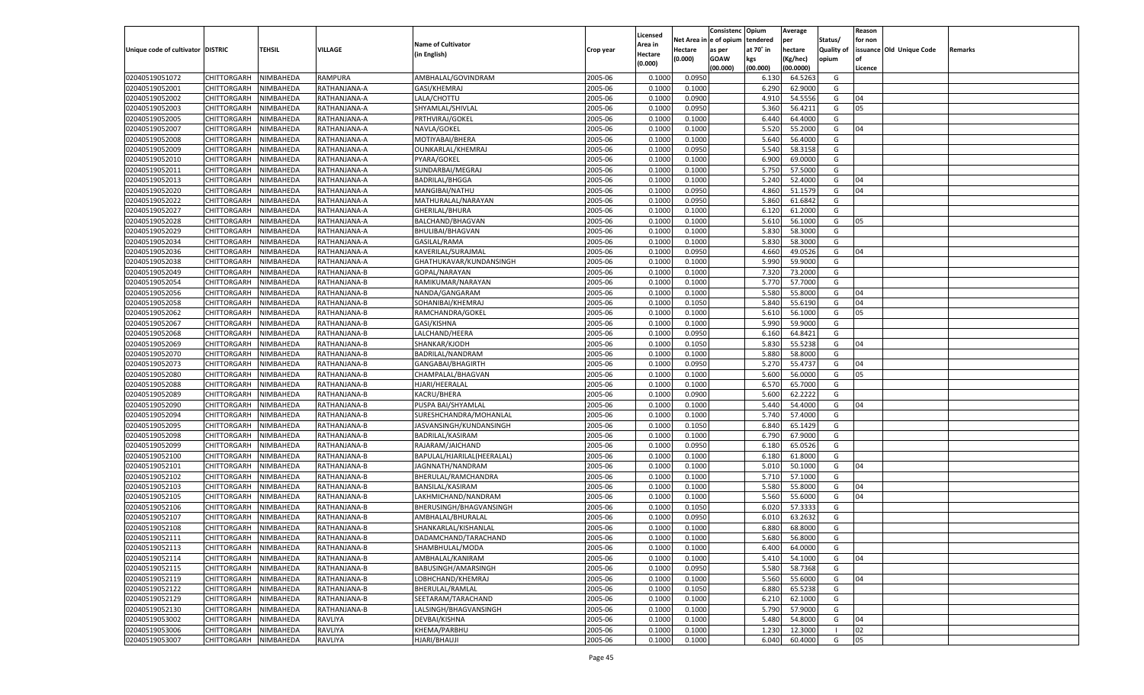|                                   |                       |               |                |                            |           |                           |          | Consistenc  | Opium     | Average   |                   | Reason  |                          |         |
|-----------------------------------|-----------------------|---------------|----------------|----------------------------|-----------|---------------------------|----------|-------------|-----------|-----------|-------------------|---------|--------------------------|---------|
|                                   |                       |               |                | <b>Name of Cultivator</b>  |           | Licensed                  | Net Area | e of opium  | tendered  | per       | Status/           | for non |                          |         |
| Unique code of cultivator DISTRIC |                       | <b>TEHSIL</b> | VILLAGE        | (in English)               | Crop year | <b>Area in</b><br>Hectare | Hectare  | as per      | at 70° in | hectare   | <b>Quality of</b> |         | issuance Old Unique Code | Remarks |
|                                   |                       |               |                |                            |           | (0.000)                   | (0.000)  | <b>GOAW</b> | kgs       | (Kg/hec)  | opium             |         |                          |         |
|                                   |                       |               |                |                            |           |                           |          | (00.000)    | (00.000)  | (00.0000) |                   | Licence |                          |         |
| 02040519051072                    | CHITTORGARH           | NIMBAHEDA     | <b>RAMPURA</b> | AMBHALAL/GOVINDRAM         | 2005-06   | 0.1000                    | 0.0950   |             | 6.130     | 64.5263   | G                 |         |                          |         |
| 02040519052001                    | CHITTORGARH           | NIMBAHEDA     | RATHANJANA-A   | GASI/KHEMRAJ               | 2005-06   | 0.1000                    | 0.1000   |             | 6.290     | 62.9000   | G                 |         |                          |         |
| 02040519052002                    | CHITTORGARH           | NIMBAHEDA     | RATHANJANA-A   | LALA/CHOTTU                | 2005-06   | 0.1000                    | 0.0900   |             | 4.910     | 54.5556   | G                 | 04      |                          |         |
| 02040519052003                    | CHITTORGARH           | NIMBAHEDA     | RATHANJANA-A   | SHYAMLAL/SHIVLAL           | 2005-06   | 0.1000                    | 0.0950   |             | 5.360     | 56.4211   | G                 | 05      |                          |         |
| 02040519052005                    | CHITTORGARH           | NIMBAHEDA     | RATHANJANA-A   | PRTHVIRAJ/GOKEL            | 2005-06   | 0.1000                    | 0.1000   |             | 6.440     | 64.4000   | G                 |         |                          |         |
| 02040519052007                    | CHITTORGARH           | NIMBAHEDA     | RATHANJANA-A   | NAVLA/GOKEL                | 2005-06   | 0.1000                    | 0.1000   |             | 5.520     | 55.2000   | G                 | 04      |                          |         |
| 02040519052008                    | CHITTORGARH           | NIMBAHEDA     | RATHANJANA-A   | MOTIYABAI/BHERA            | 2005-06   | 0.1000                    | 0.1000   |             | 5.640     | 56.4000   | G                 |         |                          |         |
| 02040519052009                    | CHITTORGARH           | NIMBAHEDA     | RATHANJANA-A   | OUNKARLAL/KHEMRAJ          | 2005-06   | 0.1000                    | 0.0950   |             | 5.540     | 58.3158   | G                 |         |                          |         |
| 02040519052010                    | CHITTORGARH           | NIMBAHEDA     | RATHANJANA-A   | PYARA/GOKEL                | 2005-06   | 0.1000                    | 0.1000   |             | 6.900     | 69.0000   | G                 |         |                          |         |
| 02040519052011                    | CHITTORGARH           | NIMBAHEDA     | RATHANJANA-A   | SUNDARBAI/MEGRAJ           | 2005-06   | 0.1000                    | 0.1000   |             | 5.750     | 57.5000   | G                 |         |                          |         |
| 02040519052013                    | CHITTORGARH           | NIMBAHEDA     | RATHANJANA-A   | <b>BADRILAL/BHGGA</b>      | 2005-06   | 0.1000                    | 0.1000   |             | 5.240     | 52.4000   | G                 | 04      |                          |         |
| 02040519052020                    | CHITTORGARH           | NIMBAHEDA     | RATHANJANA-A   | MANGIBAI/NATHU             | 2005-06   | 0.1000                    | 0.0950   |             | 4.860     | 51.1579   | G                 | 04      |                          |         |
| 02040519052022                    | CHITTORGARH           | NIMBAHEDA     | RATHANJANA-A   | MATHURALAL/NARAYAN         | 2005-06   | 0.1000                    | 0.0950   |             | 5.860     | 61.6842   | G                 |         |                          |         |
| 02040519052027                    | CHITTORGARH           | NIMBAHEDA     | RATHANJANA-A   | GHERILAL/BHURA             | 2005-06   | 0.1000                    | 0.1000   |             | 6.120     | 61.2000   | G                 |         |                          |         |
| 02040519052028                    | CHITTORGARH           | NIMBAHEDA     | RATHANJANA-A   | BALCHAND/BHAGVAN           | 2005-06   | 0.1000                    | 0.1000   |             | 5.610     | 56.1000   | G                 | 05      |                          |         |
| 02040519052029                    | CHITTORGARH           | NIMBAHEDA     | RATHANJANA-A   | <b>BHULIBAI/BHAGVAN</b>    | 2005-06   | 0.1000                    | 0.1000   |             | 5.830     | 58.3000   | G                 |         |                          |         |
| 02040519052034                    | CHITTORGARH           | NIMBAHEDA     | RATHANJANA-A   | GASILAL/RAMA               | 2005-06   | 0.1000                    | 0.1000   |             | 5.830     | 58.3000   | G                 |         |                          |         |
| 02040519052036                    | CHITTORGARH           | NIMBAHEDA     | RATHANJANA-A   | KAVERILAL/SURAJMAL         | 2005-06   | 0.1000                    | 0.0950   |             | 4.660     | 49.0526   | G                 | 04      |                          |         |
| 02040519052038                    | CHITTORGARH           | NIMBAHEDA     | RATHANJANA-A   | GHATHUKAVAR/KUNDANSINGH    | 2005-06   | 0.1000                    | 0.1000   |             | 5.990     | 59.9000   | G                 |         |                          |         |
| 02040519052049                    | CHITTORGARH           | NIMBAHEDA     | RATHANJANA-B   | GOPAL/NARAYAN              | 2005-06   | 0.1000                    | 0.1000   |             | 7.320     | 73.2000   | G                 |         |                          |         |
| 02040519052054                    | CHITTORGARH           | NIMBAHEDA     | RATHANJANA-B   | RAMIKUMAR/NARAYAN          | 2005-06   | 0.1000                    | 0.1000   |             | 5.770     | 57.7000   | G                 |         |                          |         |
| 02040519052056                    | CHITTORGARH           | NIMBAHEDA     | RATHANJANA-B   | NANDA/GANGARAM             | 2005-06   | 0.1000                    | 0.1000   |             | 5.580     | 55.8000   | G                 | 04      |                          |         |
| 02040519052058                    | CHITTORGARH           | NIMBAHEDA     | RATHANJANA-B   | SOHANIBAI/KHEMRAJ          | 2005-06   | 0.1000                    | 0.1050   |             | 5.840     | 55.6190   | G                 | 04      |                          |         |
| 02040519052062                    | CHITTORGARH           | NIMBAHEDA     | RATHANJANA-B   | RAMCHANDRA/GOKEL           | 2005-06   | 0.1000                    | 0.1000   |             | 5.610     | 56.1000   | G                 | 05      |                          |         |
| 02040519052067                    | CHITTORGARH           | NIMBAHEDA     | RATHANJANA-B   | GASI/KISHNA                | 2005-06   | 0.1000                    | 0.1000   |             | 5.990     | 59.9000   | G                 |         |                          |         |
| 02040519052068                    | CHITTORGARH           | NIMBAHEDA     | RATHANJANA-B   | LALCHAND/HEERA             | 2005-06   | 0.1000                    | 0.0950   |             | 6.160     | 64.8421   | G                 |         |                          |         |
| 02040519052069                    | CHITTORGARH           | NIMBAHEDA     | RATHANJANA-B   | SHANKAR/KJODH              | 2005-06   | 0.1000                    | 0.1050   |             | 5.830     | 55.5238   | G                 | 04      |                          |         |
| 02040519052070                    | CHITTORGARH           | NIMBAHEDA     | RATHANJANA-B   | BADRILAL/NANDRAM           | 2005-06   | 0.1000                    | 0.1000   |             | 5.880     | 58.8000   | G                 |         |                          |         |
| 02040519052073                    | CHITTORGARH           | NIMBAHEDA     | RATHANJANA-B   | GANGABAI/BHAGIRTH          | 2005-06   | 0.1000                    | 0.0950   |             | 5.270     | 55.4737   | G                 | 04      |                          |         |
| 02040519052080                    | CHITTORGARH           | NIMBAHEDA     | RATHANJANA-B   | CHAMPALAL/BHAGVAN          | 2005-06   | 0.1000                    | 0.1000   |             | 5.600     | 56.0000   | G                 | 05      |                          |         |
| 02040519052088                    | CHITTORGARH           | NIMBAHEDA     | RATHANJANA-B   | HJARI/HEERALAL             | 2005-06   | 0.1000                    | 0.1000   |             | 6.570     | 65.7000   | G                 |         |                          |         |
| 02040519052089                    | CHITTORGARH           | NIMBAHEDA     | RATHANJANA-B   | KACRU/BHERA                | 2005-06   | 0.1000                    | 0.0900   |             | 5.600     | 62.2222   | G                 |         |                          |         |
| 02040519052090                    | CHITTORGARH           | NIMBAHEDA     | RATHANJANA-B   | PUSPA BAI/SHYAMLAL         | 2005-06   | 0.1000                    | 0.1000   |             | 5.440     | 54.4000   | G                 | 04      |                          |         |
| 02040519052094                    | CHITTORGARH           | NIMBAHEDA     | RATHANJANA-B   | SURESHCHANDRA/MOHANLAL     | 2005-06   | 0.1000                    | 0.1000   |             | 5.740     | 57.4000   | G                 |         |                          |         |
| 02040519052095                    |                       |               |                |                            | 2005-06   | 0.1000                    | 0.1050   |             | 6.84      | 65.1429   | G                 |         |                          |         |
| 02040519052098                    | CHITTORGARH           | NIMBAHEDA     | RATHANJANA-B   | JASVANSINGH/KUNDANSINGH    | 2005-06   | 0.1000                    |          |             |           | 67.9000   | G                 |         |                          |         |
|                                   | CHITTORGARH           | NIMBAHEDA     | RATHANJANA-B   | BADRILAL/KASIRAM           |           |                           | 0.1000   |             | 6.790     |           |                   |         |                          |         |
| 02040519052099                    | CHITTORGARH           | NIMBAHEDA     | RATHANJANA-B   | RAJARAM/JAICHAND           | 2005-06   | 0.1000                    | 0.0950   |             | 6.180     | 65.0526   | G                 |         |                          |         |
| 02040519052100                    | CHITTORGARH           | NIMBAHEDA     | RATHANJANA-B   | BAPULAL/HJARILAL(HEERALAL) | 2005-06   | 0.1000                    | 0.1000   |             | 6.180     | 61.8000   | G                 |         |                          |         |
| 02040519052101                    | CHITTORGARH           | NIMBAHEDA     | RATHANJANA-B   | JAGNNATH/NANDRAM           | 2005-06   | 0.1000                    | 0.1000   |             | 5.010     | 50.1000   | G                 | 04      |                          |         |
| 02040519052102                    | CHITTORGARH           | NIMBAHEDA     | RATHANJANA-B   | BHERULAL/RAMCHANDRA        | 2005-06   | 0.1000                    | 0.1000   |             | 5.710     | 57.1000   | G                 |         |                          |         |
| 02040519052103                    | CHITTORGARH           | NIMBAHEDA     | RATHANJANA-B   | BANSILAL/KASIRAM           | 2005-06   | 0.1000                    | 0.1000   |             | 5.580     | 55.8000   | G                 | 04      |                          |         |
| 02040519052105                    | CHITTORGARH           | NIMBAHEDA     | RATHANJANA-B   | LAKHMICHAND/NANDRAM        | 2005-06   | 0.1000                    | 0.1000   |             | 5.560     | 55.6000   | G                 | 04      |                          |         |
| 02040519052106                    | CHITTORGARH           | NIMBAHEDA     | RATHANJANA-B   | BHERUSINGH/BHAGVANSINGH    | 2005-06   | 0.1000                    | 0.1050   |             | 6.02(     | 57.3333   | G                 |         |                          |         |
| 02040519052107                    | CHITTORGARH           | NIMBAHEDA     | RATHANJANA-B   | AMBHALAL/BHURALAL          | 2005-06   | 0.1000                    | 0.0950   |             | 6.01      | 63.2632   | G                 |         |                          |         |
| 02040519052108                    | CHITTORGARH           | NIMBAHEDA     | RATHANJANA-B   | SHANKARLAL/KISHANLAI       | 2005-06   | 0.1000                    | 0.1000   |             | 6.880     | 68.8000   | G                 |         |                          |         |
| 02040519052111                    | CHITTORGARH NIMBAHEDA |               | RATHANJANA-B   | DADAMCHAND/TARACHAND       | 2005-06   | 0.1000                    | 0.1000   |             | 5.680     | 56.8000   | G                 |         |                          |         |
| 02040519052113                    | <b>CHITTORGARH</b>    | NIMBAHEDA     | RATHANJANA-B   | SHAMBHULAL/MODA            | 2005-06   | 0.1000                    | 0.1000   |             | 6.400     | 64.0000   | G                 |         |                          |         |
| 02040519052114                    | CHITTORGARH           | NIMBAHEDA     | RATHANJANA-B   | AMBHALAL/KANIRAM           | 2005-06   | 0.1000                    | 0.1000   |             | 5.410     | 54.1000   | G                 | 04      |                          |         |
| 02040519052115                    | <b>CHITTORGARH</b>    | NIMBAHEDA     | RATHANJANA-B   | BABUSINGH/AMARSINGH        | 2005-06   | 0.1000                    | 0.0950   |             | 5.580     | 58.7368   | G                 |         |                          |         |
| 02040519052119                    | <b>CHITTORGARH</b>    | NIMBAHEDA     | RATHANJANA-B   | LOBHCHAND/KHEMRAJ          | 2005-06   | 0.1000                    | 0.1000   |             | 5.560     | 55.6000   | G                 | 04      |                          |         |
| 02040519052122                    | <b>CHITTORGARH</b>    | NIMBAHEDA     | RATHANJANA-B   | BHERULAL/RAMLAL            | 2005-06   | 0.1000                    | 0.1050   |             | 6.880     | 65.5238   | G                 |         |                          |         |
| 02040519052129                    | <b>CHITTORGARH</b>    | NIMBAHEDA     | RATHANJANA-B   | SEETARAM/TARACHAND         | 2005-06   | 0.1000                    | 0.1000   |             | 6.210     | 62.1000   | G                 |         |                          |         |
| 02040519052130                    | <b>CHITTORGARH</b>    | NIMBAHEDA     | RATHANJANA-B   | LALSINGH/BHAGVANSINGH      | 2005-06   | 0.1000                    | 0.1000   |             | 5.790     | 57.9000   | G                 |         |                          |         |
| 02040519053002                    | <b>CHITTORGARH</b>    | NIMBAHEDA     | RAVLIYA        | DEVBAI/KISHNA              | 2005-06   | 0.1000                    | 0.1000   |             | 5.480     | 54.8000   | G                 | 04      |                          |         |
| 02040519053006                    | <b>CHITTORGARH</b>    | NIMBAHEDA     | RAVLIYA        | KHEMA/PARBHU               | 2005-06   | 0.1000                    | 0.1000   |             | 1.230     | 12.3000   | $\blacksquare$    | 02      |                          |         |
| 02040519053007                    | <b>CHITTORGARH</b>    | NIMBAHEDA     | RAVLIYA        | HJARI/BHAUJI               | 2005-06   | 0.1000                    | 0.1000   |             | 6.040     | 60.4000   | G                 | 05      |                          |         |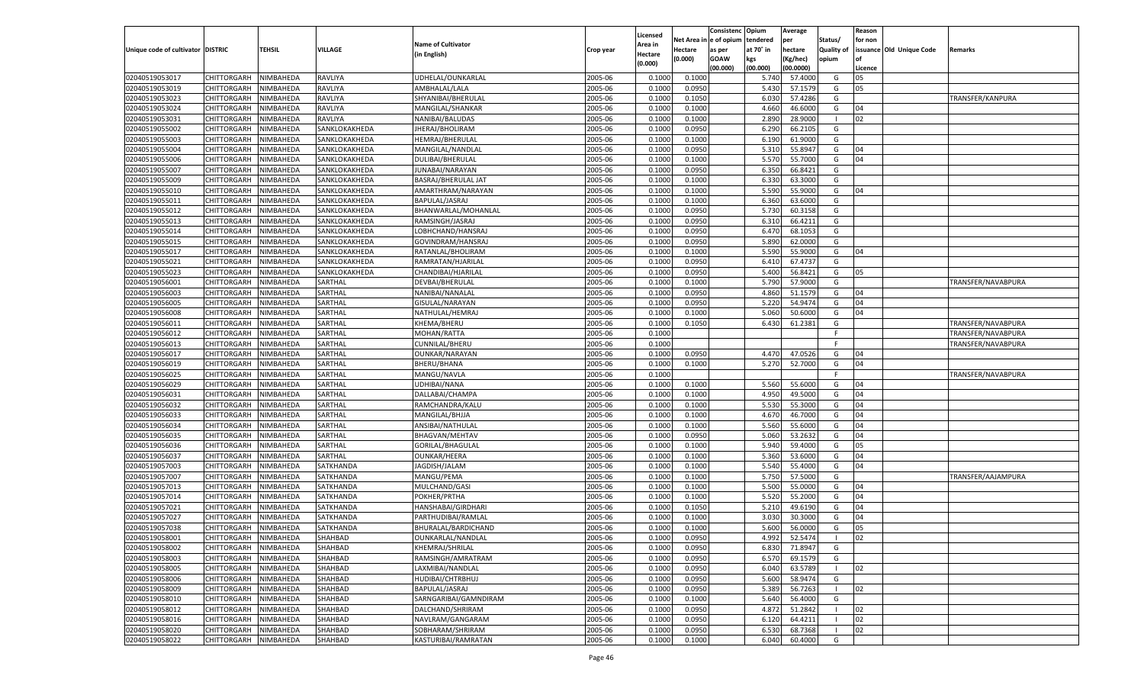|                                   |                       |               |                |                                        |           | Licensed |                        | Consistenc  | Opium          | Average            |                          | Reason        |                          |                    |
|-----------------------------------|-----------------------|---------------|----------------|----------------------------------------|-----------|----------|------------------------|-------------|----------------|--------------------|--------------------------|---------------|--------------------------|--------------------|
|                                   |                       |               |                | <b>Name of Cultivator</b>              |           | Area in  | Net Area in e of opium |             | tendered       | per                | Status/                  | for non       |                          |                    |
| Unique code of cultivator DISTRIC |                       | <b>TEHSIL</b> | <b>VILLAGE</b> | (in English)                           | Crop year | Hectare  | Hectare                | as per      | at 70° in      | hectare            | <b>Quality of</b>        |               | issuance Old Unique Code | Remarks            |
|                                   |                       |               |                |                                        |           | (0.000)  | (0.000)                | <b>GOAW</b> | kgs            | (Kg/hec)           | opium                    |               |                          |                    |
| 02040519053017                    | CHITTORGARH           | NIMBAHEDA     | <b>RAVLIYA</b> | UDHELAL/OUNKARLAL                      | 2005-06   | 0.1000   | 0.1000                 | (00.000)    | (00.000)       | (00.0000)          | G                        | Licence<br>05 |                          |                    |
| 02040519053019                    | CHITTORGARH           | NIMBAHEDA     | RAVLIYA        |                                        | 2005-06   | 0.1000   |                        |             | 5.740<br>5.430 | 57.4000<br>57.1579 | G                        | 05            |                          |                    |
|                                   |                       |               | <b>RAVLIYA</b> | AMBHALAL/LALA                          |           |          | 0.0950                 |             |                |                    |                          |               |                          |                    |
| 02040519053023                    | <b>CHITTORGARH</b>    | NIMBAHEDA     |                | SHYANIBAI/BHERULAL<br>MANGILAL/SHANKAR | 2005-06   | 0.1000   | 0.1050                 |             | 6.030          | 57.4286<br>46.6000 | G                        |               |                          | TRANSFER/KANPURA   |
| 02040519053024                    | CHITTORGARH           | NIMBAHEDA     | <b>RAVLIYA</b> |                                        | 2005-06   | 0.1000   | 0.1000                 |             | 4.660          |                    | G<br>- 1                 | 04<br>02      |                          |                    |
| 02040519053031                    | CHITTORGARH           | NIMBAHEDA     | <b>RAVLIYA</b> | NANIBAI/BALUDAS                        | 2005-06   | 0.1000   | 0.1000                 |             | 2.890          | 28.9000            |                          |               |                          |                    |
| 02040519055002                    | CHITTORGARH           | NIMBAHEDA     | SANKLOKAKHEDA  | JHERAJ/BHOLIRAM                        | 2005-06   | 0.1000   | 0.0950                 |             | 6.290          | 66.2105            | G                        |               |                          |                    |
| 02040519055003                    | <b>CHITTORGARH</b>    | NIMBAHEDA     | SANKLOKAKHEDA  | HEMRAJ/BHERULAL                        | 2005-06   | 0.1000   | 0.1000                 |             | 6.190          | 61.9000            | G                        |               |                          |                    |
| 02040519055004                    | CHITTORGARH           | NIMBAHEDA     | SANKLOKAKHEDA  | MANGILAL/NANDLAL                       | 2005-06   | 0.1000   | 0.0950                 |             | 5.310          | 55.8947            | G                        | 04            |                          |                    |
| 02040519055006                    | CHITTORGARH           | NIMBAHEDA     | SANKLOKAKHEDA  | DULIBAI/BHERULAL                       | 2005-06   | 0.1000   | 0.1000                 |             | 5.570          | 55.7000            | G                        | 04            |                          |                    |
| 02040519055007                    | CHITTORGARH           | NIMBAHEDA     | SANKLOKAKHEDA  | JUNABAI/NARAYAN                        | 2005-06   | 0.1000   | 0.0950                 |             | 6.350          | 66.8421            | G                        |               |                          |                    |
| 02040519055009                    | <b>CHITTORGARH</b>    | NIMBAHEDA     | SANKLOKAKHEDA  | BASRAJ/BHERULAL JAT                    | 2005-06   | 0.1000   | 0.1000                 |             | 6.330          | 63.3000            | G                        |               |                          |                    |
| 02040519055010                    | CHITTORGARH           | NIMBAHEDA     | SANKLOKAKHEDA  | AMARTHRAM/NARAYAN                      | 2005-06   | 0.1000   | 0.1000                 |             | 5.590          | 55.9000            | G                        | 04            |                          |                    |
| 02040519055011                    | CHITTORGARH           | NIMBAHEDA     | SANKLOKAKHEDA  | BAPULAL/JASRAJ                         | 2005-06   | 0.1000   | 0.1000                 |             | 6.360          | 63.6000            | G                        |               |                          |                    |
| 02040519055012                    | CHITTORGARH           | NIMBAHEDA     | SANKLOKAKHEDA  | BHANWARLAL/MOHANLAL                    | 2005-06   | 0.1000   | 0.0950                 |             | 5.730          | 60.3158            | G                        |               |                          |                    |
| 02040519055013                    | CHITTORGARH           | NIMBAHEDA     | SANKLOKAKHEDA  | RAMSINGH/JASRAJ                        | 2005-06   | 0.1000   | 0.0950                 |             | 6.310          | 66.4211            | G                        |               |                          |                    |
| 02040519055014                    | CHITTORGARH           | NIMBAHEDA     | SANKLOKAKHEDA  | LOBHCHAND/HANSRAJ                      | 2005-06   | 0.1000   | 0.0950                 |             | 6.470          | 68.1053            | G                        |               |                          |                    |
| 02040519055015                    | CHITTORGARH           | NIMBAHEDA     | SANKLOKAKHEDA  | GOVINDRAM/HANSRAJ                      | 2005-06   | 0.1000   | 0.0950                 |             | 5.890          | 62.0000            | G                        |               |                          |                    |
| 02040519055017                    | CHITTORGARH           | NIMBAHEDA     | SANKLOKAKHEDA  | RATANLAL/BHOLIRAM                      | 2005-06   | 0.1000   | 0.1000                 |             | 5.590          | 55.9000            | G                        | 04            |                          |                    |
| 02040519055021                    | CHITTORGARH           | NIMBAHEDA     | SANKLOKAKHEDA  | RAMRATAN/HJARILAI                      | 2005-06   | 0.1000   | 0.0950                 |             | 6.410          | 67.4737            | G                        |               |                          |                    |
| 02040519055023                    | CHITTORGARH           | NIMBAHEDA     | SANKLOKAKHEDA  | CHANDIBAI/HJARILAL                     | 2005-06   | 0.1000   | 0.0950                 |             | 5.400          | 56.8421            | G                        | 05            |                          |                    |
| 02040519056001                    | CHITTORGARH           | NIMBAHEDA     | SARTHAL        | DEVBAI/BHERULAI                        | 2005-06   | 0.1000   | 0.1000                 |             | 5.790          | 57.9000            | G                        |               |                          | TRANSFER/NAVABPURA |
| 02040519056003                    | CHITTORGARH           | NIMBAHEDA     | SARTHAL        | NANIBAI/NANALAL                        | 2005-06   | 0.1000   | 0.0950                 |             | 4.860          | 51.1579            | G                        | 04            |                          |                    |
| 02040519056005                    | CHITTORGARH           | NIMBAHEDA     | SARTHAL        | GISULAL/NARAYAN                        | 2005-06   | 0.1000   | 0.0950                 |             | 5.220          | 54.9474            | G                        | 04            |                          |                    |
| 02040519056008                    | CHITTORGARH           | NIMBAHEDA     | SARTHAL        | NATHULAL/HEMRAJ                        | 2005-06   | 0.1000   | 0.1000                 |             | 5.060          | 50.6000            | G                        | 04            |                          |                    |
| 02040519056011                    | CHITTORGARH           | NIMBAHEDA     | SARTHAL        | KHEMA/BHERU                            | 2005-06   | 0.1000   | 0.1050                 |             | 6.430          | 61.2381            | G                        |               |                          | TRANSFER/NAVABPURA |
| 02040519056012                    | CHITTORGARH           | NIMBAHEDA     | SARTHAL        | MOHAN/RATTA                            | 2005-06   | 0.1000   |                        |             |                |                    | F.                       |               |                          | TRANSFER/NAVABPURA |
| 02040519056013                    | CHITTORGARH           | NIMBAHEDA     | SARTHAL        | CUNNILAL/BHERU                         | 2005-06   | 0.1000   |                        |             |                |                    | F.                       |               |                          | TRANSFER/NAVABPURA |
| 02040519056017                    | CHITTORGARH           | NIMBAHEDA     | SARTHAL        | OUNKAR/NARAYAN                         | 2005-06   | 0.1000   | 0.0950                 |             | 4.470          | 47.0526            | G                        | 04            |                          |                    |
| 02040519056019                    | CHITTORGARH           | NIMBAHEDA     | SARTHAL        | BHERU/BHANA                            | 2005-06   | 0.1000   | 0.1000                 |             | 5.270          | 52.7000            | G                        | 04            |                          |                    |
| 02040519056025                    | CHITTORGARH           | NIMBAHEDA     | SARTHAL        | MANGU/NAVLA                            | 2005-06   | 0.1000   |                        |             |                |                    | F.                       |               |                          | TRANSFER/NAVABPURA |
| 02040519056029                    | CHITTORGARH           | NIMBAHEDA     | SARTHAL        | UDHIBAI/NANA                           | 2005-06   | 0.1000   | 0.1000                 |             | 5.560          | 55.6000            | G                        | 04            |                          |                    |
| 02040519056031                    | CHITTORGARH           | NIMBAHEDA     | SARTHAL        | DALLABAI/CHAMPA                        | 2005-06   | 0.1000   | 0.1000                 |             | 4.950          | 49.5000            | G                        | 04            |                          |                    |
| 02040519056032                    | CHITTORGARH           | NIMBAHEDA     | SARTHAL        | RAMCHANDRA/KALU                        | 2005-06   | 0.1000   | 0.1000                 |             | 5.530          | 55.3000            | G                        | 04            |                          |                    |
| 02040519056033                    | CHITTORGARH           | NIMBAHEDA     | SARTHAL        | MANGILAL/BHJJA                         | 2005-06   | 0.1000   | 0.1000                 |             | 4.670          | 46.7000            | G                        | 04            |                          |                    |
| 02040519056034                    | CHITTORGARH           | NIMBAHEDA     | SARTHAL        | ANSIBAI/NATHULAL                       | 2005-06   | 0.1000   | 0.1000                 |             | 5.560          | 55.6000            | G                        | 04            |                          |                    |
| 02040519056035                    | CHITTORGARH           | NIMBAHEDA     | SARTHAL        | <b>BHAGVAN/MEHTAV</b>                  | 2005-06   | 0.1000   | 0.0950                 |             | 5.060          | 53.2632            | G                        | 04            |                          |                    |
| 02040519056036                    | CHITTORGARH           | NIMBAHEDA     | SARTHAL        | GORILAL/BHAGULAL                       | 2005-06   | 0.1000   | 0.1000                 |             | 5.940          | 59.4000            | G                        | 05            |                          |                    |
| 02040519056037                    | CHITTORGARH           | NIMBAHEDA     | SARTHAL        | OUNKAR/HEERA                           | 2005-06   | 0.1000   | 0.1000                 |             | 5.360          | 53.6000            | G                        | 04            |                          |                    |
| 02040519057003                    | <b>CHITTORGARH</b>    | NIMBAHEDA     | SATKHANDA      | JAGDISH/JALAM                          | 2005-06   | 0.1000   | 0.1000                 |             | 5.540          | 55.4000            | G                        | 04            |                          |                    |
| 02040519057007                    | CHITTORGARH           | NIMBAHEDA     | SATKHANDA      | MANGU/PEMA                             | 2005-06   | 0.1000   | 0.1000                 |             | 5.750          | 57.5000            | G                        |               |                          | TRANSFER/AAJAMPURA |
| 02040519057013                    | CHITTORGARH           | NIMBAHEDA     | SATKHANDA      | MULCHAND/GASI                          | 2005-06   | 0.1000   | 0.1000                 |             | 5.500          | 55.0000            | G                        | 04            |                          |                    |
| 02040519057014                    | CHITTORGARH           | NIMBAHEDA     | SATKHANDA      | POKHER/PRTHA                           | 2005-06   | 0.1000   | 0.1000                 |             | 5.520          | 55.2000            | G                        | 04            |                          |                    |
| 02040519057021                    | <b>CHITTORGARH</b>    | NIMBAHEDA     | SATKHANDA      | HANSHABAI/GIRDHARI                     | 2005-06   | 0.1000   | 0.1050                 |             | 5.210          | 49.6190            | G                        | 04            |                          |                    |
| 02040519057027                    | CHITTORGARH           | NIMBAHEDA     | SATKHANDA      | PARTHUDIBAI/RAMLAL                     | 2005-06   | 0.1000   | 0.1000                 |             | 3.030          | 30.3000            | G                        | 04            |                          |                    |
| 02040519057038                    | CHITTORGARH           | NIMBAHEDA     | SATKHANDA      | BHURALAL/BARDICHAND                    | 2005-06   | 0.1000   | 0.1000                 |             | 5.600          | 56.0000            | G                        | 05            |                          |                    |
| 02040519058001                    | CHITTORGARH NIMBAHEDA |               | SHAHBAD        | OUNKARLAL/NANDLAL                      | 2005-06   | 0.1000   | 0.0950                 |             |                | 4.992 52.5474      |                          | 02            |                          |                    |
| 02040519058002                    | CHITTORGARH           | NIMBAHEDA     | SHAHBAD        | KHEMRAJ/SHRILAL                        | 2005-06   | 0.1000   | 0.0950                 |             | 6.830          | 71.8947            | G                        |               |                          |                    |
| 02040519058003                    | <b>CHITTORGARH</b>    | NIMBAHEDA     | SHAHBAD        | RAMSINGH/AMRATRAM                      | 2005-06   | 0.1000   | 0.0950                 |             | 6.570          | 69.1579            | G                        |               |                          |                    |
| 02040519058005                    | <b>CHITTORGARH</b>    | NIMBAHEDA     | SHAHBAD        | LAXMIBAI/NANDLAL                       | 2005-06   | 0.1000   | 0.0950                 |             | 6.040          | 63.5789            | $\overline{\phantom{a}}$ | 02            |                          |                    |
| 02040519058006                    | <b>CHITTORGARH</b>    | NIMBAHEDA     | SHAHBAD        | HUDIBAI/CHTRBHUJ                       | 2005-06   | 0.1000   | 0.0950                 |             | 5.600          | 58.9474            | G                        |               |                          |                    |
| 02040519058009                    | <b>CHITTORGARH</b>    | NIMBAHEDA     | SHAHBAD        | BAPULAL/JASRAJ                         | 2005-06   | 0.1000   | 0.0950                 |             | 5.389          | 56.7263            | $\blacksquare$           | 02            |                          |                    |
| 02040519058010                    | <b>CHITTORGARH</b>    | NIMBAHEDA     | SHAHBAD        | SARNGARIBAI/GAMNDIRAM                  | 2005-06   | 0.1000   | 0.1000                 |             | 5.640          | 56.4000            | G                        |               |                          |                    |
| 02040519058012                    | <b>CHITTORGARH</b>    | NIMBAHEDA     | SHAHBAD        | DALCHAND/SHRIRAM                       | 2005-06   | 0.1000   | 0.0950                 |             | 4.872          | 51.2842            | - 1                      | 02            |                          |                    |
| 02040519058016                    | <b>CHITTORGARH</b>    | NIMBAHEDA     | SHAHBAD        | NAVLRAM/GANGARAM                       | 2005-06   | 0.1000   | 0.0950                 |             | 6.120          | 64.4211            |                          | 02            |                          |                    |
| 02040519058020                    | <b>CHITTORGARH</b>    | NIMBAHEDA     | SHAHBAD        | SOBHARAM/SHRIRAM                       | 2005-06   | 0.1000   | 0.0950                 |             | 6.530          | 68.7368            | $\blacksquare$           | 02            |                          |                    |
| 02040519058022                    | <b>CHITTORGARH</b>    | NIMBAHEDA     | SHAHBAD        | KASTURIBAI/RAMRATAN                    | 2005-06   | 0.1000   | 0.1000                 |             | 6.040          | 60.4000            | G                        |               |                          |                    |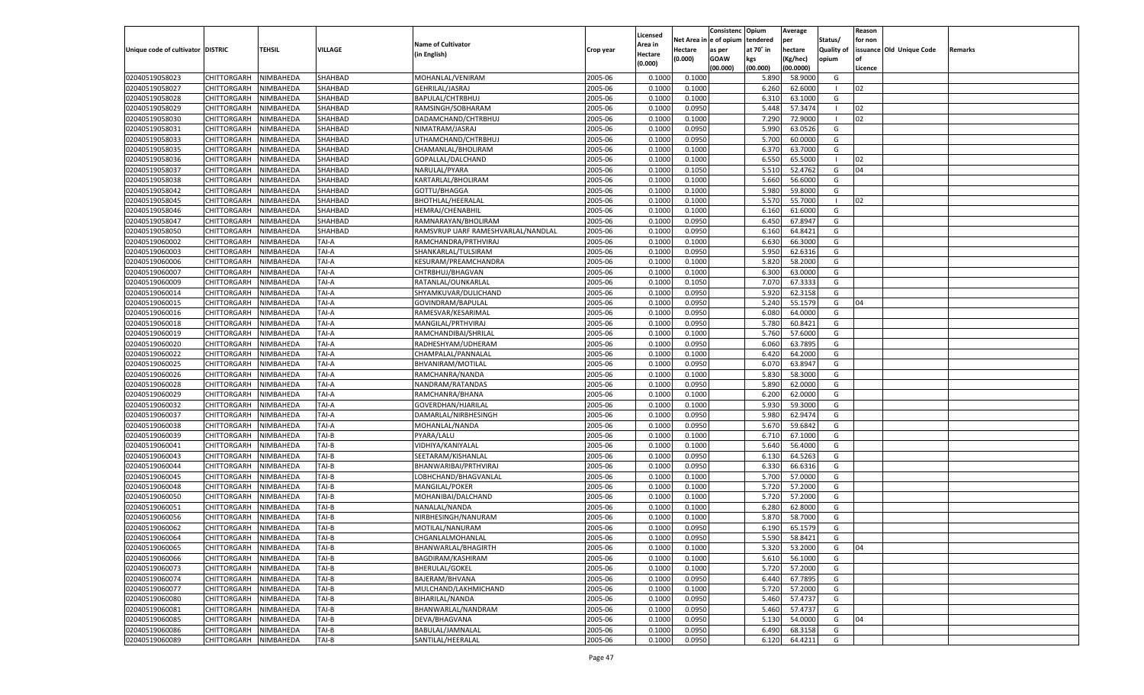|                                   |                       |               |         |                                    |           |                           |          | Consistenc  | Opium     | Average   |                   | Reason  |                          |         |
|-----------------------------------|-----------------------|---------------|---------|------------------------------------|-----------|---------------------------|----------|-------------|-----------|-----------|-------------------|---------|--------------------------|---------|
|                                   |                       |               |         | <b>Name of Cultivator</b>          |           | Licensed                  | Net Area | e of opium  | tendered  | per       | Status/           | for non |                          |         |
| Unique code of cultivator DISTRIC |                       | <b>TEHSIL</b> | VILLAGE | (in English)                       | Crop year | <b>Area in</b><br>Hectare | Hectare  | as per      | at 70° in | hectare   | <b>Quality of</b> |         | issuance Old Unique Code | Remarks |
|                                   |                       |               |         |                                    |           | (0.000)                   | (0.000)  | <b>GOAW</b> | kgs       | (Kg/hec)  | opium             |         |                          |         |
|                                   |                       |               |         |                                    |           |                           |          | (00.000)    | (00.000)  | (00.0000) |                   | Licence |                          |         |
| 02040519058023                    | CHITTORGARH           | NIMBAHEDA     | SHAHBAD | MOHANLAL/VENIRAM                   | 2005-06   | 0.1000                    | 0.1000   |             | 5.890     | 58.9000   | G                 |         |                          |         |
| 02040519058027                    | CHITTORGARH           | NIMBAHEDA     | SHAHBAD | GEHRILAL/JASRAJ                    | 2005-06   | 0.1000                    | 0.1000   |             | 6.260     | 62.6000   | - 1               | 02      |                          |         |
| 02040519058028                    | CHITTORGARH           | NIMBAHEDA     | SHAHBAD | BAPULAL/CHTRBHUJ                   | 2005-06   | 0.1000                    | 0.1000   |             | 6.310     | 63.1000   | G                 |         |                          |         |
| 02040519058029                    | CHITTORGARH           | NIMBAHEDA     | SHAHBAD | RAMSINGH/SOBHARAM                  | 2005-06   | 0.1000                    | 0.0950   |             | 5.448     | 57.3474   | - 1               | 02      |                          |         |
| 02040519058030                    | CHITTORGARH           | NIMBAHEDA     | SHAHBAD | DADAMCHAND/CHTRBHUJ                | 2005-06   | 0.1000                    | 0.1000   |             | 7.290     | 72.9000   | - 1               | 02      |                          |         |
| 02040519058031                    | CHITTORGARH           | NIMBAHEDA     | SHAHBAD | NIMATRAM/JASRAJ                    | 2005-06   | 0.1000                    | 0.0950   |             | 5.990     | 63.0526   | G                 |         |                          |         |
| 02040519058033                    | CHITTORGARH           | NIMBAHEDA     | SHAHBAD | UTHAMCHAND/CHTRBHUJ                | 2005-06   | 0.1000                    | 0.0950   |             | 5.700     | 60.0000   | G                 |         |                          |         |
| 02040519058035                    | CHITTORGARH           | NIMBAHEDA     | SHAHBAD | CHAMANLAL/BHOLIRAM                 | 2005-06   | 0.1000                    | 0.1000   |             | 6.37      | 63.7000   | G                 |         |                          |         |
| 02040519058036                    | CHITTORGARH           | NIMBAHEDA     | SHAHBAD | GOPALLAL/DALCHAND                  | 2005-06   | 0.1000                    | 0.1000   |             | 6.550     | 65.5000   | -1                | 02      |                          |         |
| 02040519058037                    | CHITTORGARH           | NIMBAHEDA     | SHAHBAD | NARULAL/PYARA                      | 2005-06   | 0.1000                    | 0.1050   |             | 5.510     | 52.4762   | G                 | 04      |                          |         |
| 02040519058038                    | CHITTORGARH           | NIMBAHEDA     | SHAHBAD | KARTARLAL/BHOLIRAM                 | 2005-06   | 0.1000                    | 0.1000   |             | 5.660     | 56.6000   | G                 |         |                          |         |
| 02040519058042                    | CHITTORGARH           | NIMBAHEDA     | SHAHBAD | GOTTU/BHAGGA                       | 2005-06   | 0.1000                    | 0.1000   |             | 5.980     | 59.8000   | G                 |         |                          |         |
| 02040519058045                    | CHITTORGARH           | NIMBAHEDA     | SHAHBAD | <b>BHOTHLAL/HEERALAL</b>           | 2005-06   | 0.1000                    | 0.1000   |             | 5.570     | 55.7000   | -1                | 02      |                          |         |
| 02040519058046                    | CHITTORGARH           | NIMBAHEDA     | SHAHBAD | HEMRAJ/CHENABHIL                   | 2005-06   | 0.1000                    | 0.1000   |             | 6.160     | 61.6000   | G                 |         |                          |         |
| 02040519058047                    | CHITTORGARH           | NIMBAHEDA     | SHAHBAD | RAMNARAYAN/BHOLIRAM                | 2005-06   | 0.1000                    | 0.0950   |             | 6.450     | 67.8947   | G                 |         |                          |         |
| 02040519058050                    | CHITTORGARH           | NIMBAHEDA     | SHAHBAD | RAMSVRUP UARF RAMESHVARLAL/NANDLAL | 2005-06   | 0.1000                    | 0.0950   |             | 6.160     | 64.8421   | G                 |         |                          |         |
| 02040519060002                    | CHITTORGARH           | NIMBAHEDA     | TAI-A   | RAMCHANDRA/PRTHVIRAJ               | 2005-06   | 0.1000                    | 0.1000   |             | 6.630     | 66.3000   | G                 |         |                          |         |
| 02040519060003                    | CHITTORGARH           | NIMBAHEDA     | TAI-A   | SHANKARLAL/TULSIRAM                | 2005-06   | 0.1000                    | 0.0950   |             | 5.950     | 62.6316   | G                 |         |                          |         |
| 02040519060006                    | CHITTORGARH           | NIMBAHEDA     | TAI-A   | KESURAM/PREAMCHANDRA               | 2005-06   | 0.1000                    | 0.1000   |             | 5.820     | 58.2000   | G                 |         |                          |         |
| 02040519060007                    | CHITTORGARH           | NIMBAHEDA     | TAI-A   | CHTRBHUJ/BHAGVAN                   | 2005-06   | 0.1000                    | 0.1000   |             | 6.300     | 63.0000   | G                 |         |                          |         |
| 02040519060009                    | CHITTORGARH           | NIMBAHEDA     | TAI-A   | RATANLAL/OUNKARLAL                 | 2005-06   | 0.1000                    | 0.1050   |             | 7.070     | 67.3333   | G                 |         |                          |         |
| 02040519060014                    | CHITTORGARH           | NIMBAHEDA     | TAI-A   | SHYAMKUVAR/DULICHAND               | 2005-06   | 0.1000                    | 0.0950   |             | 5.920     | 62.3158   | G                 |         |                          |         |
| 02040519060015                    | CHITTORGARH           | NIMBAHEDA     | TAI-A   | GOVINDRAM/BAPULAI                  | 2005-06   | 0.1000                    | 0.0950   |             | 5.240     | 55.1579   | G                 | 04      |                          |         |
| 02040519060016                    | CHITTORGARH           | NIMBAHEDA     | TAI-A   | RAMESVAR/KESARIMAL                 | 2005-06   | 0.1000                    | 0.0950   |             | 6.080     | 64.0000   | G                 |         |                          |         |
| 02040519060018                    | CHITTORGARH           | NIMBAHEDA     | TAI-A   | MANGILAL/PRTHVIRAJ                 | 2005-06   | 0.1000                    | 0.0950   |             | 5.780     | 60.8421   | G                 |         |                          |         |
| 02040519060019                    | CHITTORGARH           | NIMBAHEDA     | TAI-A   | RAMCHANDIBAI/SHRILAI               | 2005-06   | 0.1000                    | 0.1000   |             | 5.760     | 57.6000   | G                 |         |                          |         |
| 02040519060020                    | CHITTORGARH           | NIMBAHEDA     | TAI-A   | RADHESHYAM/UDHERAM                 | 2005-06   | 0.1000                    | 0.0950   |             | 6.060     | 63.7895   | G                 |         |                          |         |
| 02040519060022                    | CHITTORGARH           | NIMBAHEDA     | TAI-A   | CHAMPALAL/PANNALAL                 | 2005-06   | 0.1000                    | 0.1000   |             | 6.420     | 64.2000   | G                 |         |                          |         |
| 02040519060025                    | CHITTORGARH           | NIMBAHEDA     | TAI-A   | BHVANIRAM/MOTILAL                  | 2005-06   | 0.1000                    | 0.0950   |             | 6.070     | 63.8947   | G                 |         |                          |         |
| 02040519060026                    | CHITTORGARH           | NIMBAHEDA     | TAI-A   | RAMCHANRA/NANDA                    | 2005-06   | 0.1000                    | 0.1000   |             | 5.830     | 58.3000   | G                 |         |                          |         |
| 02040519060028                    | CHITTORGARH           | NIMBAHEDA     | TAI-A   | NANDRAM/RATANDAS                   | 2005-06   | 0.1000                    | 0.0950   |             | 5.890     | 62.0000   | G                 |         |                          |         |
| 02040519060029                    | CHITTORGARH           | NIMBAHEDA     | TAI-A   | RAMCHANRA/BHANA                    | 2005-06   | 0.1000                    | 0.1000   |             | 6.200     | 62.0000   | G                 |         |                          |         |
| 02040519060032                    | CHITTORGARH           | NIMBAHEDA     | TAI-A   | GOVERDHAN/HJARILAI                 | 2005-06   | 0.1000                    | 0.1000   |             | 5.930     | 59.3000   | G                 |         |                          |         |
| 02040519060037                    | CHITTORGARH           | NIMBAHEDA     | TAI-A   | DAMARLAL/NIRBHESINGH               | 2005-06   | 0.1000                    | 0.0950   |             | 5.980     | 62.9474   | G                 |         |                          |         |
| 02040519060038                    |                       | NIMBAHEDA     | TAI-A   |                                    | 2005-06   | 0.1000                    | 0.0950   |             | 5.670     | 59.6842   | G                 |         |                          |         |
| 02040519060039                    | CHITTORGARH           |               | TAI-B   | MOHANLAL/NANDA                     | 2005-06   | 0.1000                    |          |             | 6.710     |           | G                 |         |                          |         |
|                                   | CHITTORGARH           | NIMBAHEDA     | TAI-B   | PYARA/LALU                         |           | 0.1000                    | 0.1000   |             |           | 67.1000   |                   |         |                          |         |
| 02040519060041                    | CHITTORGARH           | NIMBAHEDA     |         | VIDHIYA/KANIYALAL                  | 2005-06   |                           | 0.1000   |             | 5.640     | 56.4000   | G                 |         |                          |         |
| 02040519060043                    | CHITTORGARH           | NIMBAHEDA     | TAI-B   | SEETARAM/KISHANLAL                 | 2005-06   | 0.1000                    | 0.0950   |             | 6.130     | 64.5263   | G                 |         |                          |         |
| 02040519060044                    | CHITTORGARH           | NIMBAHEDA     | TAI-B   | BHANWARIBAI/PRTHVIRAJ              | 2005-06   | 0.1000                    | 0.0950   |             | 6.330     | 66.6316   | G                 |         |                          |         |
| 02040519060045                    | CHITTORGARH           | NIMBAHEDA     | TAI-B   | LOBHCHAND/BHAGVANLAL               | 2005-06   | 0.1000                    | 0.1000   |             | 5.700     | 57.0000   | G                 |         |                          |         |
| 02040519060048                    | CHITTORGARH           | NIMBAHEDA     | TAI-B   | MANGILAL/POKER                     | 2005-06   | 0.1000                    | 0.1000   |             | 5.720     | 57.2000   | G                 |         |                          |         |
| 02040519060050                    | CHITTORGARH           | NIMBAHEDA     | TAI-B   | MOHANIBAI/DALCHAND                 | 2005-06   | 0.1000                    | 0.1000   |             | 5.720     | 57.2000   | G                 |         |                          |         |
| 02040519060051                    | CHITTORGARH           | NIMBAHEDA     | TAI-B   | NANALAL/NANDA                      | 2005-06   | 0.1000                    | 0.1000   |             | 6.280     | 62.8000   | G                 |         |                          |         |
| 02040519060056                    | CHITTORGARH           | NIMBAHEDA     | TAI-B   | NIRBHESINGH/NANURAM                | 2005-06   | 0.1000                    | 0.1000   |             | 5.87      | 58.7000   | G                 |         |                          |         |
| 02040519060062                    | CHITTORGARH           | NIMBAHEDA     | TAI-B   | MOTILAL/NANURAM                    | 2005-06   | 0.1000                    | 0.0950   |             | 6.190     | 65.1579   | G                 |         |                          |         |
| 02040519060064                    | CHITTORGARH NIMBAHEDA |               | TAI-B   | CHGANLALMOHANLAL                   | 2005-06   | 0.1000                    | 0.0950   |             | 5.590     | 58.8421   | G                 |         |                          |         |
| 02040519060065                    | <b>CHITTORGARH</b>    | NIMBAHEDA     | TAI-B   | BHANWARLAL/BHAGIRTH                | 2005-06   | 0.1000                    | 0.1000   |             | 5.320     | 53.2000   | G                 | 04      |                          |         |
| 02040519060066                    | <b>CHITTORGARH</b>    | NIMBAHEDA     | TAI-B   | BAGDIRAM/KASHIRAM                  | 2005-06   | 0.1000                    | 0.1000   |             | 5.610     | 56.1000   | G                 |         |                          |         |
| 02040519060073                    | <b>CHITTORGARH</b>    | NIMBAHEDA     | TAI-B   | <b>BHERULAL/GOKEL</b>              | 2005-06   | 0.1000                    | 0.1000   |             | 5.720     | 57.2000   | G                 |         |                          |         |
| 02040519060074                    | <b>CHITTORGARH</b>    | NIMBAHEDA     | TAI-B   | BAJERAM/BHVANA                     | 2005-06   | 0.1000                    | 0.0950   |             | 6.440     | 67.7895   | G                 |         |                          |         |
| 02040519060077                    | <b>CHITTORGARH</b>    | NIMBAHEDA     | TAI-B   | MULCHAND/LAKHMICHAND               | 2005-06   | 0.1000                    | 0.1000   |             | 5.720     | 57.2000   | G                 |         |                          |         |
| 02040519060080                    | <b>CHITTORGARH</b>    | NIMBAHEDA     | TAI-B   | BIHARILAL/NANDA                    | 2005-06   | 0.1000                    | 0.0950   |             | 5.460     | 57.4737   | G                 |         |                          |         |
| 02040519060081                    | <b>CHITTORGARH</b>    | NIMBAHEDA     | TAI-B   | BHANWARLAL/NANDRAM                 | 2005-06   | 0.1000                    | 0.0950   |             | 5.460     | 57.4737   | G                 |         |                          |         |
| 02040519060085                    | <b>CHITTORGARH</b>    | NIMBAHEDA     | TAI-B   | DEVA/BHAGVANA                      | 2005-06   | 0.1000                    | 0.0950   |             | 5.130     | 54.0000   | G                 | 04      |                          |         |
| 02040519060086                    | <b>CHITTORGARH</b>    | NIMBAHEDA     | TAI-B   | BABULAL/JAMNALAL                   | 2005-06   | 0.1000                    | 0.0950   |             | 6.490     | 68.3158   | G                 |         |                          |         |
| 02040519060089                    | <b>CHITTORGARH</b>    | NIMBAHEDA     | TAI-B   | SANTILAL/HEERALAL                  | 2005-06   | 0.1000                    | 0.0950   |             | 6.120     | 64.4211   | G                 |         |                          |         |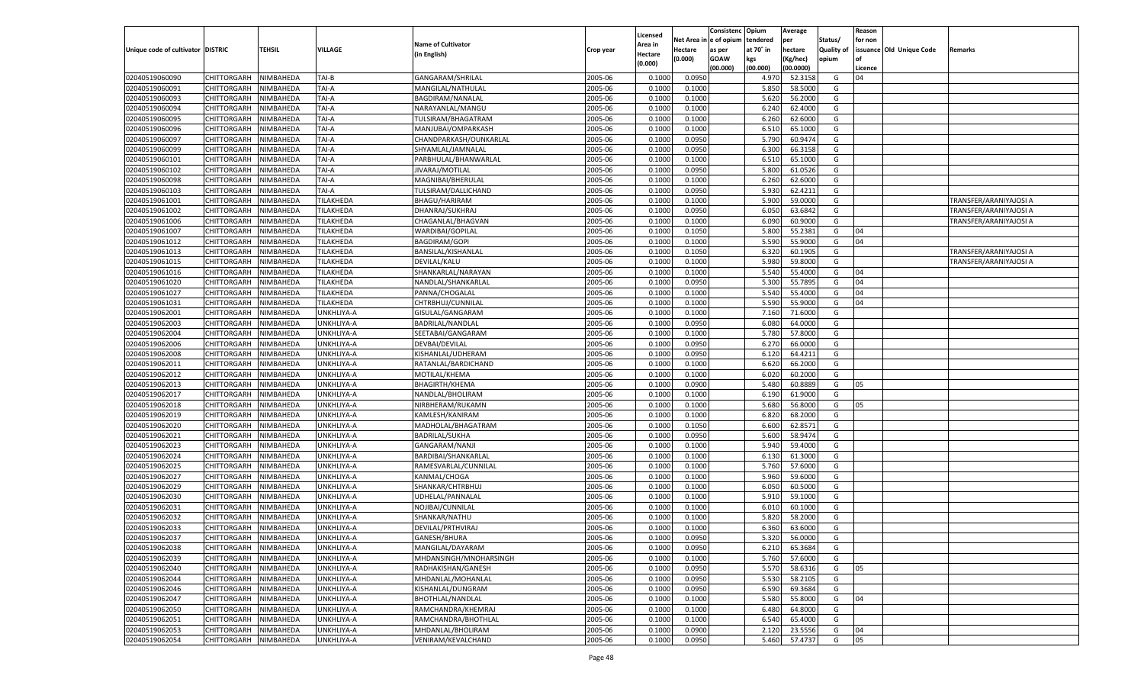|                                   |                    |           |                   |                           |                    |                    |         | Consistenc Opium       |           | Average   |            | Reason  |                          |                        |
|-----------------------------------|--------------------|-----------|-------------------|---------------------------|--------------------|--------------------|---------|------------------------|-----------|-----------|------------|---------|--------------------------|------------------------|
|                                   |                    |           |                   | <b>Name of Cultivator</b> |                    | Licensed           |         | Net Area in e of opium | tendered  | per       | Status/    | for non |                          |                        |
| Unique code of cultivator DISTRIC |                    | TEHSIL    | VILLAGE           |                           | Crop year          | Area in            | Hectare | as per                 | at 70° in | hectare   | Quality of |         | issuance Old Unique Code | <b>Remarks</b>         |
|                                   |                    |           |                   | (in English)              |                    | Hectare<br>(0.000) | (0.000) | <b>GOAW</b>            | kgs       | (Kg/hec)  | opium      |         |                          |                        |
|                                   |                    |           |                   |                           |                    |                    |         | (00.000)               | (00.000)  | (00.0000) |            | Licence |                          |                        |
| 02040519060090                    | CHITTORGARH        | NIMBAHEDA | TAI-B             | GANGARAM/SHRILAL          | 2005-06            | 0.1000             | 0.0950  |                        | 4.970     | 52.3158   | G          | 04      |                          |                        |
| 02040519060091                    | CHITTORGARH        | NIMBAHEDA | TAI-A             | MANGILAL/NATHULAL         | 2005-06            | 0.1000             | 0.1000  |                        | 5.850     | 58.5000   | G          |         |                          |                        |
| 02040519060093                    | CHITTORGARH        | NIMBAHEDA | TAI-A             | <b>BAGDIRAM/NANALAL</b>   | 2005-06            | 0.1000             | 0.1000  |                        | 5.620     | 56.2000   | G          |         |                          |                        |
| 02040519060094                    | CHITTORGARH        | NIMBAHEDA | TAI-A             | NARAYANLAL/MANGU          | 2005-06            | 0.1000             | 0.1000  |                        | 6.240     | 62.4000   | G          |         |                          |                        |
| 02040519060095                    | CHITTORGARH        | NIMBAHEDA | TAI-A             | TULSIRAM/BHAGATRAM        | 2005-06            | 0.1000             | 0.1000  |                        | 6.260     | 62.6000   | G          |         |                          |                        |
| 02040519060096                    | CHITTORGARH        | NIMBAHEDA | TAI-A             | MANJUBAI/OMPARKASH        | 2005-06            | 0.1000             | 0.1000  |                        | 6.510     | 65.1000   | G          |         |                          |                        |
| 02040519060097                    | CHITTORGARH        | NIMBAHEDA | TAI-A             | CHANDPARKASH/OUNKARLAL    | 2005-06            | 0.1000             | 0.0950  |                        | 5.790     | 60.9474   | G          |         |                          |                        |
| 02040519060099                    | CHITTORGARH        | NIMBAHEDA | TAI-A             | SHYAMLAL/JAMNALAL         | 2005-06            | 0.1000             | 0.0950  |                        | 6.300     | 66.3158   | G          |         |                          |                        |
| 02040519060101                    | CHITTORGARH        | NIMBAHEDA | TAI-A             | PARBHULAL/BHANWARLAL      | 2005-06            | 0.1000             | 0.1000  |                        | 6.510     | 65.1000   | G          |         |                          |                        |
| 02040519060102                    | CHITTORGARH        | NIMBAHEDA | TAI-A             | JIVARAJ/MOTILAL           | 2005-06            | 0.1000             | 0.0950  |                        | 5.800     | 61.0526   | G          |         |                          |                        |
| 02040519060098                    | CHITTORGARH        | NIMBAHEDA | TAI-A             | MAGNIBAI/BHERULAL         | 2005-06            | 0.1000             | 0.1000  |                        | 6.260     | 62.6000   | G          |         |                          |                        |
| 02040519060103                    | CHITTORGARH        | NIMBAHEDA | TAI-A             | TULSIRAM/DALLICHAND       | 2005-06            | 0.1000             | 0.0950  |                        | 5.930     | 62.4211   | G          |         |                          |                        |
| 02040519061001                    | CHITTORGARH        | NIMBAHEDA | TILAKHEDA         | <b>BHAGU/HARIRAM</b>      | 2005-06            | 0.1000             | 0.1000  |                        | 5.900     | 59.0000   | G          |         |                          | TRANSFER/ARANIYAJOSI A |
| 02040519061002                    | CHITTORGARH        | NIMBAHEDA | TILAKHEDA         | DHANRAJ/SUKHRAJ           | 2005-06            | 0.100              | 0.0950  |                        | 6.050     | 63.6842   | G          |         |                          | TRANSFER/ARANIYAJOSI A |
| 02040519061006                    | CHITTORGARH        | NIMBAHEDA | TILAKHEDA         | CHAGANLAL/BHAGVAN         | 2005-06            | 0.1000             | 0.1000  |                        | 6.090     | 60.9000   | G          |         |                          | TRANSFER/ARANIYAJOSI A |
| 02040519061007                    | CHITTORGARH        | NIMBAHEDA | TILAKHEDA         | WARDIBAI/GOPILAL          | 2005-06            | 0.1000             | 0.1050  |                        | 5.800     | 55.2381   | G          | 04      |                          |                        |
| 02040519061012                    | CHITTORGARH        | NIMBAHEDA | TILAKHEDA         | <b>BAGDIRAM/GOPI</b>      | 2005-06            | 0.1000             | 0.1000  |                        | 5.590     | 55.9000   | G          | 04      |                          |                        |
| 02040519061013                    | CHITTORGARH        | NIMBAHEDA | TILAKHEDA         | BANSILAL/KISHANLAL        | 2005-06            | 0.100              | 0.1050  |                        | 6.320     | 60.1905   | G          |         |                          | TRANSFER/ARANIYAJOSI A |
| 02040519061015                    | CHITTORGARH        | NIMBAHEDA | TILAKHEDA         | DEVILAL/KALU              | 2005-06            | 0.1000             | 0.1000  |                        | 5.980     | 59.8000   | G          |         |                          | TRANSFER/ARANIYAJOSI A |
| 02040519061016                    | CHITTORGARH        | NIMBAHEDA | TILAKHEDA         | SHANKARLAL/NARAYAN        | 2005-06            | 0.1000             | 0.1000  |                        | 5.540     | 55.4000   | G          | 04      |                          |                        |
| 02040519061020                    | CHITTORGARH        | NIMBAHEDA | TILAKHEDA         | NANDLAL/SHANKARLAL        | 2005-06            | 0.1000             | 0.0950  |                        | 5.300     | 55.7895   | G          | 04      |                          |                        |
| 02040519061027                    | CHITTORGARH        | NIMBAHEDA | TILAKHEDA         | PANNA/CHOGALAL            | 2005-06            | 0.100              | 0.1000  |                        | 5.540     | 55.4000   | G          | 04      |                          |                        |
| 02040519061031                    | CHITTORGARH        | NIMBAHEDA | TILAKHEDA         | CHTRBHUJ/CUNNILAL         | 2005-06            | 0.1000             | 0.1000  |                        | 5.590     | 55.9000   | G          | 04      |                          |                        |
| 02040519062001                    | CHITTORGARH        | NIMBAHEDA | <b>JNKHLIYA-A</b> | GISULAL/GANGARAM          | 2005-06            | 0.1000             | 0.1000  |                        | 7.160     | 71.6000   | G          |         |                          |                        |
| 02040519062003                    | CHITTORGARH        | NIMBAHEDA | UNKHLIYA-A        | BADRILAL/NANDLAL          | 2005-06            | 0.1000             | 0.0950  |                        | 6.080     | 64.0000   | G          |         |                          |                        |
| 02040519062004                    | CHITTORGARH        | NIMBAHEDA | <b>JNKHLIYA-A</b> | SEETABAI/GANGARAM         | 2005-06            | 0.1000             | 0.1000  |                        | 5.780     | 57.8000   | G          |         |                          |                        |
| 02040519062006                    | CHITTORGARH        | NIMBAHEDA | <b>JNKHLIYA-A</b> | DEVBAI/DEVILAL            | 2005-06            | 0.1000             | 0.0950  |                        | 6.270     | 66.0000   | G          |         |                          |                        |
|                                   |                    |           |                   | KISHANLAL/UDHERAM         |                    | 0.1000             |         |                        |           | 64.4211   | G          |         |                          |                        |
| 02040519062008                    | CHITTORGARH        | NIMBAHEDA | <b>JNKHLIYA-A</b> |                           | 2005-06<br>2005-06 |                    | 0.0950  |                        | 6.120     |           |            |         |                          |                        |
| 02040519062011                    | CHITTORGARH        | NIMBAHEDA | UNKHLIYA-A        | RATANLAL/BARDICHAND       |                    | 0.1000             | 0.1000  |                        | 6.620     | 66.2000   | G          |         |                          |                        |
| 02040519062012                    | CHITTORGARH        | NIMBAHEDA | <b>JNKHLIYA-A</b> | MOTILAL/KHEMA             | 2005-06            | 0.1000             | 0.1000  |                        | 6.020     | 60.2000   | G          |         |                          |                        |
| 02040519062013                    | CHITTORGARH        | NIMBAHEDA | UNKHLIYA-A        | <b>BHAGIRTH/KHEMA</b>     | 2005-06            | 0.1000             | 0.0900  |                        | 5.480     | 60.8889   | G          | 05      |                          |                        |
| 02040519062017                    | CHITTORGARH        | NIMBAHEDA | UNKHLIYA-A        | NANDLAL/BHOLIRAM          | 2005-06            | 0.1000             | 0.1000  |                        | 6.190     | 61.9000   | G          |         |                          |                        |
| 02040519062018                    | CHITTORGARH        | NIMBAHEDA | UNKHLIYA-A        | NIRBHERAM/RUKAMN          | 2005-06            | 0.1000             | 0.1000  |                        | 5.680     | 56.8000   | G          | 05      |                          |                        |
| 02040519062019                    | CHITTORGARH        | NIMBAHEDA | UNKHLIYA-A        | KAMLESH/KANIRAM           | 2005-06            | 0.1000             | 0.1000  |                        | 6.820     | 68.2000   | G          |         |                          |                        |
| 02040519062020                    | CHITTORGARH        | NIMBAHEDA | UNKHLIYA-A        | MADHOLAL/BHAGATRAM        | 2005-06            | 0.1000             | 0.1050  |                        | 6.600     | 62.8571   | G          |         |                          |                        |
| 02040519062021                    | CHITTORGARH        | NIMBAHEDA | UNKHLIYA-A        | <b>BADRILAL/SUKHA</b>     | 2005-06            | 0.1000             | 0.0950  |                        | 5.600     | 58.9474   | G          |         |                          |                        |
| 02040519062023                    | CHITTORGARH        | NIMBAHEDA | UNKHLIYA-A        | GANGARAM/NANJI            | 2005-06            | 0.1000             | 0.1000  |                        | 5.940     | 59.4000   | G          |         |                          |                        |
| 02040519062024                    | CHITTORGARH        | NIMBAHEDA | UNKHLIYA-A        | BARDIBAI/SHANKARLAL       | 2005-06            | 0.1000             | 0.1000  |                        | 6.130     | 61.3000   | G          |         |                          |                        |
| 02040519062025                    | CHITTORGARH        | NIMBAHEDA | UNKHLIYA-A        | RAMESVARLAL/CUNNILAL      | 2005-06            | 0.1000             | 0.1000  |                        | 5.760     | 57.6000   | G          |         |                          |                        |
| 02040519062027                    | CHITTORGARH        | NIMBAHEDA | UNKHLIYA-A        | KANMAL/CHOGA              | 2005-06            | 0.1000             | 0.1000  |                        | 5.960     | 59.6000   | G          |         |                          |                        |
| 02040519062029                    | CHITTORGARH        | NIMBAHEDA | UNKHLIYA-A        | SHANKAR/CHTRBHUJ          | 2005-06            | 0.1000             | 0.1000  |                        | 6.050     | 60.5000   | G          |         |                          |                        |
| 02040519062030                    | CHITTORGARH        | NIMBAHEDA | UNKHLIYA-A        | UDHELAL/PANNALAI          | 2005-06            | 0.1000             | 0.1000  |                        | 5.910     | 59.1000   | G          |         |                          |                        |
| 02040519062031                    | CHITTORGARH        | NIMBAHEDA | <b>JNKHLIYA-A</b> | NOJIBAI/CUNNILAL          | 2005-06            | 0.100              | 0.1000  |                        | 6.010     | 60.1000   | G          |         |                          |                        |
| 02040519062032                    | CHITTORGARH        | NIMBAHEDA | <b>JNKHLIYA-A</b> | SHANKAR/NATHU             | 2005-06            | 0.100              | 0.1000  |                        | 5.820     | 58.2000   | G          |         |                          |                        |
| 02040519062033                    | CHITTORGARH        | NIMBAHEDA | UNKHLIYA-A        | DEVILAL/PRTHVIRAJ         | 2005-06            | 0.1000             | 0.1000  |                        | 6.360     | 63.6000   | G          |         |                          |                        |
| 02040519062037                    | CHITTORGARH        | NIMBAHEDA | UNKHLIYA-A        | GANESH/BHURA              | 2005-06            | 0.1000             | 0.0950  |                        | 5.320     | 56.0000   | G          |         |                          |                        |
| 02040519062038                    | <b>CHITTORGARH</b> | NIMBAHEDA | UNKHLIYA-A        | MANGILAL/DAYARAM          | 2005-06            | 0.1000             | 0.0950  |                        | 6.210     | 65.3684   | G          |         |                          |                        |
| 02040519062039                    | <b>CHITTORGARH</b> | NIMBAHEDA | UNKHLIYA-A        | MHDANSINGH/MNOHARSINGH    | 2005-06            | 0.1000             | 0.1000  |                        | 5.760     | 57.6000   | G          |         |                          |                        |
| 02040519062040                    | <b>CHITTORGARH</b> | NIMBAHEDA | UNKHLIYA-A        | RADHAKISHAN/GANESH        | 2005-06            | 0.1000             | 0.0950  |                        | 5.570     | 58.6316   | G          | 05      |                          |                        |
| 02040519062044                    | <b>CHITTORGARH</b> | NIMBAHEDA | UNKHLIYA-A        | MHDANLAL/MOHANLAL         | 2005-06            | 0.1000             | 0.0950  |                        | 5.530     | 58.2105   | G          |         |                          |                        |
| 02040519062046                    | <b>CHITTORGARH</b> | NIMBAHEDA | UNKHLIYA-A        | KISHANLAL/DUNGRAM         | 2005-06            | 0.1000             | 0.0950  |                        | 6.590     | 69.3684   | G          |         |                          |                        |
| 02040519062047                    | CHITTORGARH        | NIMBAHEDA | UNKHLIYA-A        | BHOTHLAL/NANDLAL          | 2005-06            | 0.1000             | 0.1000  |                        | 5.580     | 55.8000   | G          | 04      |                          |                        |
| 02040519062050                    | <b>CHITTORGARH</b> | NIMBAHEDA | UNKHLIYA-A        | RAMCHANDRA/KHEMRAJ        | 2005-06            | 0.1000             | 0.1000  |                        | 6.480     | 64.8000   | G          |         |                          |                        |
| 02040519062051                    | CHITTORGARH        | NIMBAHEDA | UNKHLIYA-A        | RAMCHANDRA/BHOTHLAL       | 2005-06            | 0.1000             | 0.1000  |                        | 6.540     | 65.4000   | G          |         |                          |                        |
| 02040519062053                    | <b>CHITTORGARH</b> | NIMBAHEDA | UNKHLIYA-A        | MHDANLAL/BHOLIRAM         | 2005-06            | 0.1000             | 0.0900  |                        | 2.120     | 23.5556   | G          | 04      |                          |                        |
| 02040519062054                    | <b>CHITTORGARH</b> | NIMBAHEDA | UNKHLIYA-A        | VENIRAM/KEVALCHAND        | 2005-06            | 0.1000             | 0.0950  |                        | 5.460     | 57.4737   | G          | 05      |                          |                        |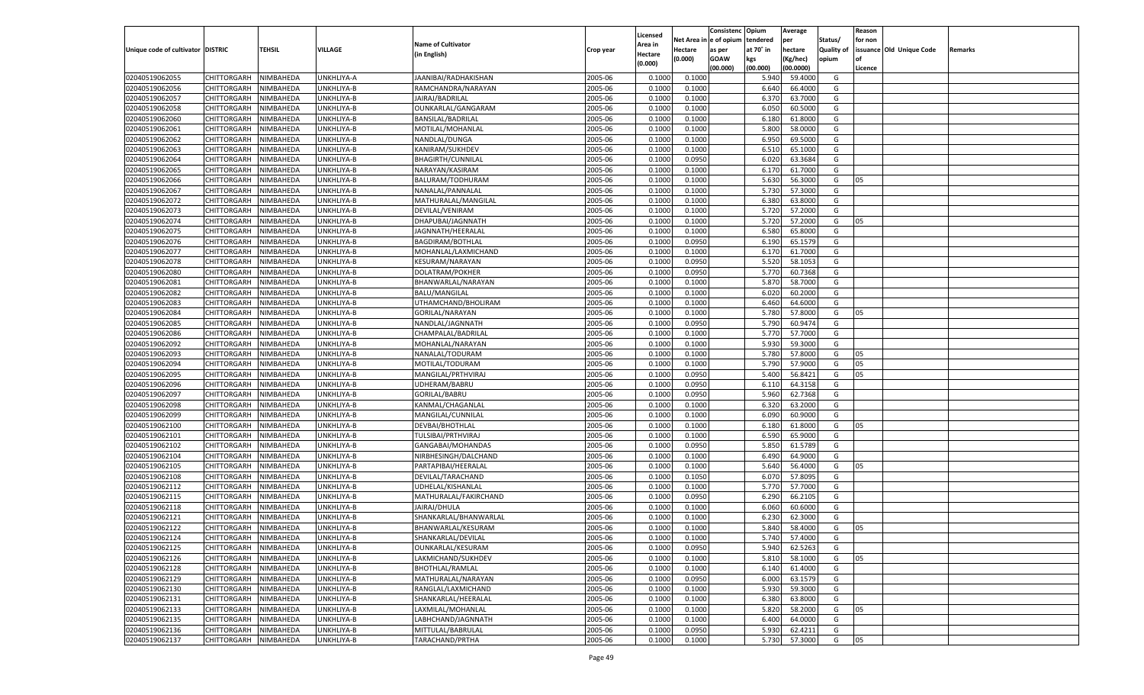|                                   |                       |               |            |                           |           |                           |          | Consistenc  | Opium          | Average   |                   | Reason  |                          |         |
|-----------------------------------|-----------------------|---------------|------------|---------------------------|-----------|---------------------------|----------|-------------|----------------|-----------|-------------------|---------|--------------------------|---------|
|                                   |                       |               |            | <b>Name of Cultivator</b> |           | Licensed                  | Net Area | e of opium  | tendered       | per       | Status/           | for non |                          |         |
| Unique code of cultivator DISTRIC |                       | <b>TEHSIL</b> | VILLAGE    | (in English)              | Crop year | <b>Area in</b><br>Hectare | Hectare  | as per      | at 70° in      | hectare   | <b>Quality of</b> |         | issuance Old Unique Code | Remarks |
|                                   |                       |               |            |                           |           | (0.000)                   | (0.000)  | <b>GOAW</b> | kgs            | (Kg/hec)  | opium             |         |                          |         |
|                                   |                       |               |            |                           |           |                           |          | (00.000)    | (00.000)       | (00.0000) |                   | Licence |                          |         |
| 02040519062055                    | CHITTORGARH           | NIMBAHEDA     | UNKHLIYA-A | JAANIBAI/RADHAKISHAN      | 2005-06   | 0.1000                    | 0.1000   |             | 5.940          | 59.4000   | G                 |         |                          |         |
| 02040519062056                    | CHITTORGARH           | NIMBAHEDA     | UNKHLIYA-B | RAMCHANDRA/NARAYAN        | 2005-06   | 0.1000                    | 0.1000   |             | 6.640          | 66.4000   | G                 |         |                          |         |
| 02040519062057                    | CHITTORGARH           | NIMBAHEDA     | UNKHLIYA-B | JAIRAJ/BADRILAL           | 2005-06   | 0.1000                    | 0.1000   |             | 6.37           | 63.7000   | G                 |         |                          |         |
| 02040519062058                    | CHITTORGARH           | NIMBAHEDA     | UNKHLIYA-B | OUNKARLAL/GANGARAM        | 2005-06   | 0.1000                    | 0.1000   |             | 6.050          | 60.5000   | G                 |         |                          |         |
| 02040519062060                    | CHITTORGARH           | NIMBAHEDA     | UNKHLIYA-B | BANSILAL/BADRILAL         | 2005-06   | 0.1000                    | 0.1000   |             | 6.180          | 61.8000   | G                 |         |                          |         |
| 02040519062061                    | CHITTORGARH           | NIMBAHEDA     | UNKHLIYA-B | MOTILAL/MOHANLAI          | 2005-06   | 0.1000                    | 0.1000   |             | 5.800          | 58.0000   | G                 |         |                          |         |
| 02040519062062                    | CHITTORGARH           | NIMBAHEDA     | UNKHLIYA-B | NANDLAL/DUNGA             | 2005-06   | 0.1000                    | 0.1000   |             | 6.950          | 69.5000   | G                 |         |                          |         |
| 02040519062063                    | CHITTORGARH           | NIMBAHEDA     | UNKHLIYA-B | KANIRAM/SUKHDEV           | 2005-06   | 0.1000                    | 0.1000   |             | 6.510          | 65.1000   | G                 |         |                          |         |
| 02040519062064                    | CHITTORGARH           | NIMBAHEDA     | UNKHLIYA-B | <b>BHAGIRTH/CUNNILAL</b>  | 2005-06   | 0.1000                    | 0.0950   |             | 6.020          | 63.3684   | G                 |         |                          |         |
| 02040519062065                    | CHITTORGARH           | NIMBAHEDA     | UNKHLIYA-B | NARAYAN/KASIRAM           | 2005-06   | 0.1000                    | 0.1000   |             | 6.170          | 61.7000   | G                 |         |                          |         |
| 02040519062066                    | CHITTORGARH           | NIMBAHEDA     | UNKHLIYA-B | BALURAM/TODHURAM          | 2005-06   | 0.1000                    | 0.1000   |             | 5.630          | 56.3000   | G                 | 05      |                          |         |
| 02040519062067                    | CHITTORGARH           | NIMBAHEDA     | UNKHLIYA-B | NANALAL/PANNALAI          | 2005-06   | 0.1000                    | 0.1000   |             | 5.730          | 57.3000   | G                 |         |                          |         |
| 02040519062072                    | CHITTORGARH           | NIMBAHEDA     | UNKHLIYA-B | MATHURALAL/MANGILAL       | 2005-06   | 0.1000                    | 0.1000   |             | 6.380          | 63.8000   | G                 |         |                          |         |
| 02040519062073                    | CHITTORGARH           | NIMBAHEDA     | UNKHLIYA-B | DEVILAL/VENIRAM           | 2005-06   | 0.1000                    | 0.1000   |             | 5.720          | 57.2000   | G                 |         |                          |         |
| 02040519062074                    | CHITTORGARH           | NIMBAHEDA     | UNKHLIYA-B | DHAPUBAI/JAGNNATH         | 2005-06   | 0.1000                    | 0.1000   |             | 5.720          | 57.2000   | G                 | 05      |                          |         |
| 02040519062075                    | CHITTORGARH           | NIMBAHEDA     | UNKHLIYA-B | JAGNNATH/HEERALAL         | 2005-06   | 0.1000                    | 0.1000   |             | 6.580          | 65.8000   | G                 |         |                          |         |
| 02040519062076                    | CHITTORGARH           | NIMBAHEDA     | UNKHLIYA-B | BAGDIRAM/BOTHLAL          | 2005-06   | 0.1000                    | 0.0950   |             | 6.190          | 65.1579   | G                 |         |                          |         |
| 02040519062077                    | CHITTORGARH           | NIMBAHEDA     | UNKHLIYA-B | MOHANLAL/LAXMICHAND       | 2005-06   | 0.1000                    | 0.1000   |             | 6.170          | 61.7000   | G                 |         |                          |         |
| 02040519062078                    | CHITTORGARH           | NIMBAHEDA     | UNKHLIYA-B | KESURAM/NARAYAN           | 2005-06   | 0.1000                    | 0.0950   |             | 5.520          | 58.1053   | G                 |         |                          |         |
| 02040519062080                    | CHITTORGARH           | NIMBAHEDA     | UNKHLIYA-B | DOLATRAM/POKHER           | 2005-06   | 0.1000                    | 0.0950   |             | 5.770          | 60.7368   | G                 |         |                          |         |
| 02040519062081                    | CHITTORGARH           | NIMBAHEDA     | UNKHLIYA-B | BHANWARLAL/NARAYAN        | 2005-06   | 0.1000                    | 0.1000   |             | 5.870          | 58.7000   | G                 |         |                          |         |
| 02040519062082                    | CHITTORGARH           | NIMBAHEDA     | UNKHLIYA-B | <b>BALU/MANGILAL</b>      | 2005-06   | 0.1000                    | 0.1000   |             | 6.020          | 60.2000   | G                 |         |                          |         |
| 02040519062083                    | CHITTORGARH           | NIMBAHEDA     | UNKHLIYA-B | UTHAMCHAND/BHOLIRAM       | 2005-06   | 0.1000                    | 0.1000   |             | 6.460          | 64.6000   | G                 |         |                          |         |
| 02040519062084                    | CHITTORGARH           | NIMBAHEDA     | UNKHLIYA-B | GORILAL/NARAYAN           | 2005-06   | 0.1000                    | 0.1000   |             | 5.780          | 57.8000   | G                 | 05      |                          |         |
| 02040519062085                    | CHITTORGARH           | NIMBAHEDA     | UNKHLIYA-B | NANDLAL/JAGNNATH          | 2005-06   | 0.1000                    | 0.0950   |             | 5.790          | 60.9474   | G                 |         |                          |         |
| 02040519062086                    | CHITTORGARH           | NIMBAHEDA     | UNKHLIYA-B | CHAMPALAL/BADRILAI        | 2005-06   | 0.1000                    | 0.1000   |             | 5.770          | 57.7000   | G                 |         |                          |         |
| 02040519062092                    | CHITTORGARH           | NIMBAHEDA     | UNKHLIYA-B | MOHANLAL/NARAYAN          | 2005-06   | 0.1000                    | 0.1000   |             | 5.930          | 59.3000   | G                 |         |                          |         |
| 02040519062093                    | CHITTORGARH           | NIMBAHEDA     | UNKHLIYA-B | NANALAL/TODURAM           | 2005-06   | 0.1000                    | 0.1000   |             | 5.780          | 57.8000   | G                 | 05      |                          |         |
| 02040519062094                    | CHITTORGARH           | NIMBAHEDA     | UNKHLIYA-B | MOTILAL/TODURAM           | 2005-06   | 0.1000                    | 0.1000   |             | 5.790          | 57.9000   | G                 | 05      |                          |         |
| 02040519062095                    | CHITTORGARH           | NIMBAHEDA     | UNKHLIYA-B | MANGILAL/PRTHVIRAJ        | 2005-06   | 0.1000                    | 0.0950   |             | 5.400          | 56.8421   | G                 | 05      |                          |         |
| 02040519062096                    | CHITTORGARH           | NIMBAHEDA     | UNKHLIYA-B | UDHERAM/BABRU             | 2005-06   | 0.1000                    | 0.0950   |             | 6.110          | 64.3158   | G                 |         |                          |         |
| 02040519062097                    | CHITTORGARH           | NIMBAHEDA     | UNKHLIYA-B | GORILAL/BABRU             | 2005-06   | 0.1000                    | 0.0950   |             | 5.960          | 62.7368   | G                 |         |                          |         |
| 02040519062098                    | CHITTORGARH           | NIMBAHEDA     | UNKHLIYA-B | KANMAL/CHAGANLAI          | 2005-06   | 0.1000                    | 0.1000   |             | 6.320          | 63.2000   | G                 |         |                          |         |
| 02040519062099                    | CHITTORGARH           | NIMBAHEDA     | UNKHLIYA-B | MANGILAL/CUNNILAI         | 2005-06   | 0.1000                    | 0.1000   |             | 6.090          | 60.9000   | G                 |         |                          |         |
| 02040519062100                    |                       | NIMBAHEDA     |            |                           | 2005-06   | 0.1000                    | 0.1000   |             |                | 61.8000   | G                 | 05      |                          |         |
| 02040519062101                    | CHITTORGARH           |               | UNKHLIYA-B | DEVBAI/BHOTHLAL           | 2005-06   |                           |          |             | 6.180<br>6.590 | 65.9000   | G                 |         |                          |         |
|                                   | CHITTORGARH           | NIMBAHEDA     | UNKHLIYA-B | TULSIBAI/PRTHVIRAJ        |           | 0.1000                    | 0.1000   |             |                | 61.5789   |                   |         |                          |         |
| 02040519062102                    | CHITTORGARH           | NIMBAHEDA     | UNKHLIYA-B | GANGABAI/MOHANDAS         | 2005-06   | 0.1000                    | 0.0950   |             | 5.850          |           | G                 |         |                          |         |
| 02040519062104                    | CHITTORGARH           | NIMBAHEDA     | UNKHLIYA-B | NIRBHESINGH/DALCHAND      | 2005-06   | 0.1000                    | 0.1000   |             | 6.490          | 64.9000   | G                 |         |                          |         |
| 02040519062105                    | CHITTORGARH           | NIMBAHEDA     | UNKHLIYA-B | PARTAPIBAI/HEERALAI       | 2005-06   | 0.1000                    | 0.1000   |             | 5.640          | 56.4000   | G                 | 05      |                          |         |
| 02040519062108                    | CHITTORGARH           | NIMBAHEDA     | UNKHLIYA-B | DEVILAL/TARACHAND         | 2005-06   | 0.1000                    | 0.1050   |             | 6.07           | 57.8095   | G                 |         |                          |         |
| 02040519062112                    | CHITTORGARH           | NIMBAHEDA     | UNKHLIYA-B | UDHELAL/KISHANLAL         | 2005-06   | 0.1000                    | 0.1000   |             | 5.770          | 57.7000   | G                 |         |                          |         |
| 02040519062115                    | CHITTORGARH           | NIMBAHEDA     | UNKHLIYA-B | MATHURALAL/FAKIRCHAND     | 2005-06   | 0.1000                    | 0.0950   |             | 6.290          | 66.2105   | G                 |         |                          |         |
| 02040519062118                    | CHITTORGARH           | NIMBAHEDA     | UNKHLIYA-B | JAIRAJ/DHULA              | 2005-06   | 0.1000                    | 0.1000   |             | 6.060          | 60.6000   | G                 |         |                          |         |
| 02040519062121                    | CHITTORGARH           | NIMBAHEDA     | UNKHLIYA-B | SHANKARLAL/BHANWARLAL     | 2005-06   | 0.1000                    | 0.1000   |             | 6.23           | 62.3000   | G                 |         |                          |         |
| 02040519062122                    | CHITTORGARH           | NIMBAHEDA     | UNKHLIYA-B | BHANWARLAL/KESURAM        | 2005-06   | 0.1000                    | 0.1000   |             | 5.840          | 58.4000   | G                 | 05      |                          |         |
| 02040519062124                    | CHITTORGARH NIMBAHEDA |               | UNKHLIYA-B | SHANKARLAL/DEVILAL        | 2005-06   | 0.1000                    | 0.1000   |             | 5.740          | 57.4000   | G                 |         |                          |         |
| 02040519062125                    | CHITTORGARH           | NIMBAHEDA     | UNKHLIYA-B | OUNKARLAL/KESURAM         | 2005-06   | 0.1000                    | 0.0950   |             | 5.940          | 62.5263   | G                 |         |                          |         |
| 02040519062126                    | CHITTORGARH           | NIMBAHEDA     | UNKHLIYA-B | LAKMICHAND/SUKHDEV        | 2005-06   | 0.1000                    | 0.1000   |             | 5.810          | 58.1000   | G                 | 05      |                          |         |
| 02040519062128                    | <b>CHITTORGARH</b>    | NIMBAHEDA     | UNKHLIYA-B | BHOTHLAL/RAMLAL           | 2005-06   | 0.1000                    | 0.1000   |             | 6.140          | 61.4000   | G                 |         |                          |         |
| 02040519062129                    | CHITTORGARH           | NIMBAHEDA     | UNKHLIYA-B | MATHURALAL/NARAYAN        | 2005-06   | 0.1000                    | 0.0950   |             | 6.000          | 63.1579   | G                 |         |                          |         |
| 02040519062130                    | <b>CHITTORGARH</b>    | NIMBAHEDA     | UNKHLIYA-B | RANGLAL/LAXMICHAND        | 2005-06   | 0.1000                    | 0.1000   |             | 5.930          | 59.3000   | G                 |         |                          |         |
| 02040519062131                    | <b>CHITTORGARH</b>    | NIMBAHEDA     | UNKHLIYA-B | SHANKARLAL/HEERALAL       | 2005-06   | 0.1000                    | 0.1000   |             | 6.380          | 63.8000   | G                 |         |                          |         |
| 02040519062133                    | <b>CHITTORGARH</b>    | NIMBAHEDA     | UNKHLIYA-B | LAXMILAL/MOHANLAL         | 2005-06   | 0.1000                    | 0.1000   |             | 5.820          | 58.2000   | G                 | 05      |                          |         |
| 02040519062135                    | CHITTORGARH           | NIMBAHEDA     | UNKHLIYA-B | LABHCHAND/JAGNNATH        | 2005-06   | 0.1000                    | 0.1000   |             | 6.400          | 64.0000   | G                 |         |                          |         |
| 02040519062136                    | <b>CHITTORGARH</b>    | NIMBAHEDA     | UNKHLIYA-B | MITTULAL/BABRULAL         | 2005-06   | 0.1000                    | 0.0950   |             | 5.930          | 62.4211   | G                 |         |                          |         |
| 02040519062137                    | CHITTORGARH           | NIMBAHEDA     | UNKHLIYA-B | TARACHAND/PRTHA           | 2005-06   | 0.1000                    | 0.1000   |             | 5.730          | 57.3000   | G                 | 05      |                          |         |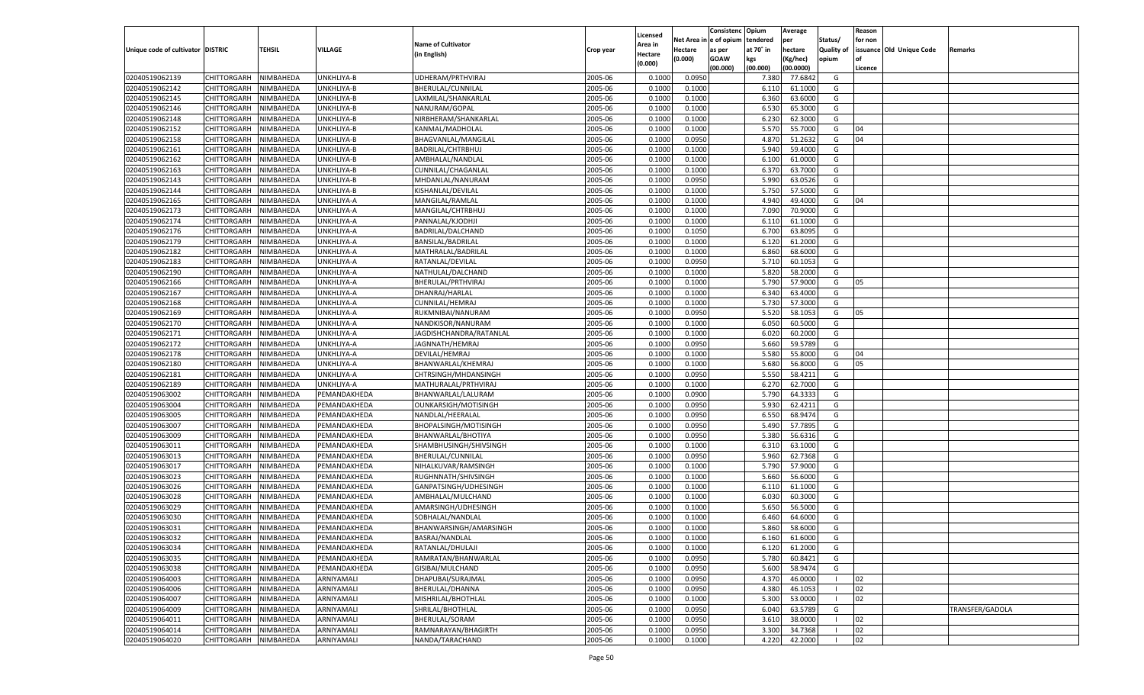|                                   |                       |           |              |                           |           | Licensed           |            | Consistenc Opium |           | Average   |                   | Reason  |                          |                 |
|-----------------------------------|-----------------------|-----------|--------------|---------------------------|-----------|--------------------|------------|------------------|-----------|-----------|-------------------|---------|--------------------------|-----------------|
|                                   |                       |           |              | <b>Name of Cultivator</b> |           |                    | Net Area i | n  e of opium    | tendered  | per       | Status/           | for non |                          |                 |
| Unique code of cultivator DISTRIC |                       | TEHSIL    | VILLAGE      |                           | Crop year | \rea in            | Hectare    | as per           | at 70° in | hectare   | <b>Quality of</b> |         | issuance Old Unique Code | <b>Remarks</b>  |
|                                   |                       |           |              | (in English)              |           | Hectare<br>(0.000) | (0.000)    | <b>GOAW</b>      | kgs       | (Kg/hec)  | opium             |         |                          |                 |
|                                   |                       |           |              |                           |           |                    |            | (00.000)         | (00.000)  | (00.0000) |                   | Licence |                          |                 |
| 02040519062139                    | CHITTORGARH           | NIMBAHEDA | UNKHLIYA-B   | UDHERAM/PRTHVIRAJ         | 2005-06   | 0.1000             | 0.0950     |                  | 7.380     | 77.6842   | G                 |         |                          |                 |
| 02040519062142                    | CHITTORGARH           | NIMBAHEDA | UNKHLIYA-B   | BHERULAL/CUNNILAL         | 2005-06   | 0.1000             | 0.1000     |                  | 6.11      | 61.1000   | G                 |         |                          |                 |
| 02040519062145                    | CHITTORGARH           | NIMBAHEDA | UNKHLIYA-B   | LAXMILAL/SHANKARLAL       | 2005-06   | 0.1000             | 0.1000     |                  | 6.360     | 63.6000   | G                 |         |                          |                 |
| 02040519062146                    | CHITTORGARH           | NIMBAHEDA | UNKHLIYA-B   | NANURAM/GOPAL             | 2005-06   | 0.1000             | 0.1000     |                  | 6.530     | 65.3000   | G                 |         |                          |                 |
| 02040519062148                    | CHITTORGARH           | NIMBAHEDA | UNKHLIYA-B   | NIRBHERAM/SHANKARLAL      | 2005-06   | 0.1000             | 0.1000     |                  | 6.23      | 62.3000   | G                 |         |                          |                 |
| 02040519062152                    | CHITTORGARH           | NIMBAHEDA | UNKHLIYA-B   | KANMAL/MADHOLAI           | 2005-06   | 0.1000             | 0.1000     |                  | 5.57      | 55.7000   | G                 | 04      |                          |                 |
| 02040519062158                    | CHITTORGARH           | NIMBAHEDA | UNKHLIYA-B   | BHAGVANLAL/MANGILAL       | 2005-06   | 0.1000             | 0.0950     |                  | 4.87      | 51.2632   | G                 | 04      |                          |                 |
| 02040519062161                    | CHITTORGARH           | NIMBAHEDA | UNKHLIYA-B   | BADRILAL/CHTRBHUJ         | 2005-06   | 0.1000             | 0.1000     |                  | 5.940     | 59.4000   | G                 |         |                          |                 |
| 02040519062162                    | CHITTORGARH           | NIMBAHEDA | UNKHLIYA-B   | AMBHALAL/NANDLAL          | 2005-06   | 0.1000             | 0.1000     |                  | 6.100     | 61.0000   | G                 |         |                          |                 |
| 02040519062163                    | CHITTORGARH           | NIMBAHEDA | UNKHLIYA-B   | CUNNILAL/CHAGANLAL        | 2005-06   | 0.1000             | 0.1000     |                  | 6.37      | 63.7000   | G                 |         |                          |                 |
| 02040519062143                    | CHITTORGARH           | NIMBAHEDA | UNKHLIYA-B   | MHDANLAL/NANURAM          | 2005-06   | 0.1000             | 0.0950     |                  | 5.990     | 63.0526   | G                 |         |                          |                 |
| 02040519062144                    | CHITTORGARH           | NIMBAHEDA | UNKHLIYA-B   | KISHANLAL/DEVILAL         | 2005-06   | 0.1000             | 0.1000     |                  | 5.750     | 57.5000   | G                 |         |                          |                 |
| 02040519062165                    | CHITTORGARH           | NIMBAHEDA | UNKHLIYA-A   | MANGILAL/RAMLAL           | 2005-06   | 0.1000             | 0.1000     |                  | 4.940     | 49.4000   | G                 | 04      |                          |                 |
| 02040519062173                    | CHITTORGARH           | NIMBAHEDA | UNKHLIYA-A   | MANGILAL/CHTRBHUJ         | 2005-06   | 0.1000             | 0.1000     |                  | 7.090     | 70.9000   | G                 |         |                          |                 |
| 02040519062174                    | CHITTORGARH           | NIMBAHEDA | UNKHLIYA-A   | PANNALAL/KJODHJI          | 2005-06   | 0.1000             | 0.1000     |                  | 6.11      | 61.1000   | G                 |         |                          |                 |
| 02040519062176                    | CHITTORGARH           | NIMBAHEDA | UNKHLIYA-A   | BADRILAL/DALCHAND         | 2005-06   | 0.1000             | 0.1050     |                  | 6.700     | 63.8095   | G                 |         |                          |                 |
| 02040519062179                    | CHITTORGARH           | NIMBAHEDA | UNKHLIYA-A   | BANSILAL/BADRILAL         | 2005-06   | 0.1000             | 0.1000     |                  | 6.120     | 61.2000   | G                 |         |                          |                 |
| 02040519062182                    | CHITTORGARH           | NIMBAHEDA | UNKHLIYA-A   | MATHRALAL/BADRILAL        | 2005-06   | 0.1000             | 0.1000     |                  | 6.860     | 68.6000   | G                 |         |                          |                 |
|                                   |                       |           |              |                           |           |                    |            |                  |           |           |                   |         |                          |                 |
| 02040519062183                    | CHITTORGARH           | NIMBAHEDA | UNKHLIYA-A   | RATANLAL/DEVILAL          | 2005-06   | 0.1000             | 0.0950     |                  | 5.710     | 60.1053   | G                 |         |                          |                 |
| 02040519062190                    | CHITTORGARH           | NIMBAHEDA | UNKHLIYA-A   | NATHULAL/DALCHAND         | 2005-06   | 0.1000             | 0.1000     |                  | 5.820     | 58.2000   | G                 |         |                          |                 |
| 02040519062166                    | CHITTORGARH           | NIMBAHEDA | UNKHLIYA-A   | BHERULAL/PRTHVIRAJ        | 2005-06   | 0.1000             | 0.1000     |                  | 5.790     | 57.9000   | G                 | 05      |                          |                 |
| 02040519062167                    | CHITTORGARH           | NIMBAHEDA | UNKHLIYA-A   | DHANRAJ/HARLAL            | 2005-06   | 0.1000             | 0.1000     |                  | 6.340     | 63.4000   | G                 |         |                          |                 |
| 02040519062168                    | CHITTORGARH           | NIMBAHEDA | UNKHLIYA-A   | <b>CUNNILAL/HEMRAJ</b>    | 2005-06   | 0.1000             | 0.1000     |                  | 5.730     | 57.3000   | G                 |         |                          |                 |
| 02040519062169                    | CHITTORGARH           | NIMBAHEDA | UNKHLIYA-A   | RUKMNIBAI/NANURAM         | 2005-06   | 0.1000             | 0.0950     |                  | 5.520     | 58.1053   | G                 | 05      |                          |                 |
| 02040519062170                    | CHITTORGARH           | NIMBAHEDA | UNKHLIYA-A   | NANDKISOR/NANURAM         | 2005-06   | 0.1000             | 0.1000     |                  | 6.050     | 60.5000   | G                 |         |                          |                 |
| 02040519062171                    | CHITTORGARH           | NIMBAHEDA | UNKHLIYA-A   | JAGDISHCHANDRA/RATANLAL   | 2005-06   | 0.1000             | 0.1000     |                  | 6.020     | 60.2000   | G                 |         |                          |                 |
| 02040519062172                    | CHITTORGARH           | NIMBAHEDA | UNKHLIYA-A   | JAGNNATH/HEMRAJ           | 2005-06   | 0.1000             | 0.0950     |                  | 5.660     | 59.5789   | G                 |         |                          |                 |
| 02040519062178                    | CHITTORGARH           | NIMBAHEDA | UNKHLIYA-A   | DEVILAL/HEMRAJ            | 2005-06   | 0.1000             | 0.1000     |                  | 5.580     | 55.8000   | G                 | 04      |                          |                 |
| 02040519062180                    | CHITTORGARH           | NIMBAHEDA | UNKHLIYA-A   | BHANWARLAL/KHEMRAJ        | 2005-06   | 0.1000             | 0.1000     |                  | 5.680     | 56.8000   | G                 | 05      |                          |                 |
| 02040519062181                    | CHITTORGARH           | NIMBAHEDA | UNKHLIYA-A   | CHTRSINGH/MHDANSINGH      | 2005-06   | 0.1000             | 0.0950     |                  | 5.550     | 58.4211   | G                 |         |                          |                 |
| 02040519062189                    | CHITTORGARH           | NIMBAHEDA | UNKHLIYA-A   | MATHURALAL/PRTHVIRAJ      | 2005-06   | 0.1000             | 0.1000     |                  | 6.27      | 62.7000   | G                 |         |                          |                 |
| 02040519063002                    | CHITTORGARH           | NIMBAHEDA | PEMANDAKHEDA | BHANWARLAL/LALURAM        | 2005-06   | 0.1000             | 0.0900     |                  | 5.790     | 64.3333   | G                 |         |                          |                 |
| 02040519063004                    | CHITTORGARH           | NIMBAHEDA | PEMANDAKHEDA | OUNKARSIGH/MOTISINGH      | 2005-06   | 0.1000             | 0.0950     |                  | 5.930     | 62.4211   | G                 |         |                          |                 |
| 02040519063005                    | CHITTORGARH           | NIMBAHEDA | PEMANDAKHEDA | NANDLAL/HEERALAL          | 2005-06   | 0.1000             | 0.0950     |                  | 6.550     | 68.9474   | G                 |         |                          |                 |
| 02040519063007                    | CHITTORGARH           | NIMBAHEDA | PEMANDAKHEDA | BHOPALSINGH/MOTISINGH     | 2005-06   | 0.1000             | 0.0950     |                  | 5.490     | 57.7895   | G                 |         |                          |                 |
| 02040519063009                    | CHITTORGARH           | NIMBAHEDA | PEMANDAKHEDA | BHANWARLAL/BHOTIYA        | 2005-06   | 0.1000             | 0.0950     |                  | 5.380     | 56.6316   | G                 |         |                          |                 |
| 02040519063011                    | CHITTORGARH           | NIMBAHEDA | PEMANDAKHEDA | SHAMBHUSINGH/SHIVSINGH    | 2005-06   | 0.1000             | 0.1000     |                  | 6.310     | 63.1000   | G                 |         |                          |                 |
| 02040519063013                    | CHITTORGARH           | NIMBAHEDA | PEMANDAKHEDA | BHERULAL/CUNNILAL         | 2005-06   | 0.1000             | 0.0950     |                  | 5.960     | 62.7368   | G                 |         |                          |                 |
| 02040519063017                    | CHITTORGARH           | NIMBAHEDA | PEMANDAKHEDA | NIHALKUVAR/RAMSINGH       | 2005-06   | 0.1000             | 0.1000     |                  | 5.790     | 57.9000   | G                 |         |                          |                 |
| 02040519063023                    | CHITTORGARH           | NIMBAHEDA | PEMANDAKHEDA | RUGHNNATH/SHIVSINGH       | 2005-06   | 0.1000             | 0.1000     |                  | 5.660     | 56.6000   | G                 |         |                          |                 |
| 02040519063026                    | CHITTORGARH           | NIMBAHEDA | PEMANDAKHEDA | GANPATSINGH/UDHESINGH     | 2005-06   | 0.1000             | 0.1000     |                  | 6.11      | 61.1000   | G                 |         |                          |                 |
| 02040519063028                    | CHITTORGARH           | NIMBAHEDA | PEMANDAKHEDA | AMBHALAL/MULCHAND         | 2005-06   | 0.1000             | 0.1000     |                  | 6.030     | 60.3000   | G                 |         |                          |                 |
| 02040519063029                    | CHITTORGARH           | NIMBAHEDA | PEMANDAKHEDA | AMARSINGH/UDHESINGH       | 2005-06   | 0.1000             | 0.1000     |                  | 5.650     | 56.5000   | G                 |         |                          |                 |
| 02040519063030                    | CHITTORGARH           | NIMBAHEDA | PEMANDAKHEDA | SOBHALAL/NANDLAL          | 2005-06   | 0.1000             | 0.1000     |                  | 6.460     | 64.6000   | G                 |         |                          |                 |
| 02040519063031                    | CHITTORGARH           | NIMBAHEDA | PEMANDAKHEDA | BHANWARSINGH/AMARSINGH    | 2005-06   | 0.1000             | 0.1000     |                  | 5.860     | 58.6000   | G                 |         |                          |                 |
| 02040519063032                    | CHITTORGARH NIMBAHEDA |           | PEMANDAKHEDA | BASRAJ/NANDLAL            | 2005-06   | 0.1000             | 0.1000     |                  | 6.160     | 61.6000   | G                 |         |                          |                 |
|                                   | CHITTORGARH           | NIMBAHEDA |              |                           | 2005-06   |                    |            |                  |           |           | G                 |         |                          |                 |
| 02040519063034<br>02040519063035  |                       |           | PEMANDAKHEDA | RATANLAL/DHULAJI          |           | 0.1000             | 0.1000     |                  | 6.120     | 61.2000   |                   |         |                          |                 |
|                                   | CHITTORGARH           | NIMBAHEDA | PEMANDAKHEDA | RAMRATAN/BHANWARLAL       | 2005-06   | 0.1000             | 0.0950     |                  | 5.780     | 60.8421   | G                 |         |                          |                 |
| 02040519063038                    | <b>CHITTORGARH</b>    | NIMBAHEDA | PEMANDAKHEDA | GISIBAI/MULCHAND          | 2005-06   | 0.1000             | 0.0950     |                  | 5.600     | 58.9474   | G                 |         |                          |                 |
| 02040519064003                    | CHITTORGARH           | NIMBAHEDA | ARNIYAMALI   | DHAPUBAI/SURAJMAL         | 2005-06   | 0.1000             | 0.0950     |                  | 4.370     | 46.0000   | - 1               | 02      |                          |                 |
| 02040519064006                    | CHITTORGARH           | NIMBAHEDA | ARNIYAMALI   | BHERULAL/DHANNA           | 2005-06   | 0.1000             | 0.0950     |                  | 4.380     | 46.105    | - 1               | 02      |                          |                 |
| 02040519064007                    | CHITTORGARH           | NIMBAHEDA | ARNIYAMALI   | MISHRILAL/BHOTHLAL        | 2005-06   | 0.1000             | 0.1000     |                  | 5.300     | 53.0000   |                   | 02      |                          |                 |
| 02040519064009                    | <b>CHITTORGARH</b>    | NIMBAHEDA | ARNIYAMALI   | SHRILAL/BHOTHLAL          | 2005-06   | 0.1000             | 0.0950     |                  | 6.040     | 63.5789   | G                 |         |                          | TRANSFER/GADOLA |
| 02040519064011                    | CHITTORGARH           | NIMBAHEDA | ARNIYAMALI   | BHERULAL/SORAM            | 2005-06   | 0.1000             | 0.0950     |                  | 3.610     | 38.0000   |                   | 02      |                          |                 |
| 02040519064014                    | CHITTORGARH           | NIMBAHEDA | ARNIYAMALI   | RAMNARAYAN/BHAGIRTH       | 2005-06   | 0.1000             | 0.0950     |                  | 3.300     | 34.7368   |                   | 02      |                          |                 |
| 02040519064020                    | CHITTORGARH           | NIMBAHEDA | ARNIYAMALI   | NANDA/TARACHAND           | 2005-06   | 0.1000             | 0.1000     |                  | 4.220     | 42.2000   |                   | 02      |                          |                 |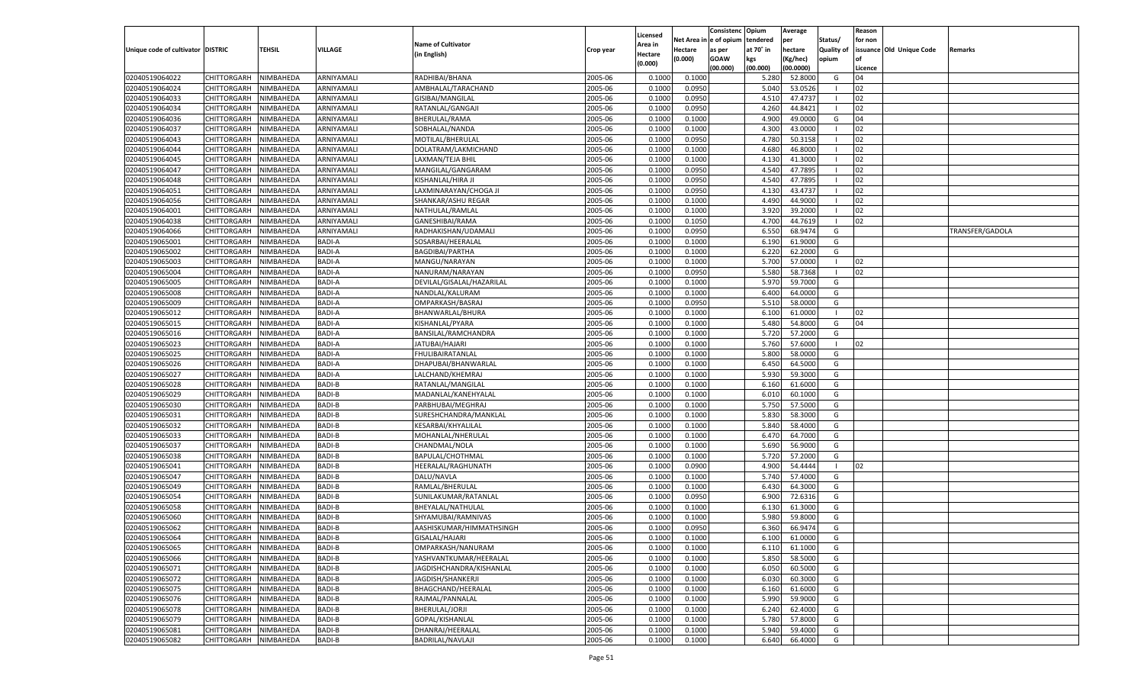|                                   |                            |           |                |                                       |                    |                    |                  | Consistenc    | Opium     | Average   |            | Reason  |                          |                 |
|-----------------------------------|----------------------------|-----------|----------------|---------------------------------------|--------------------|--------------------|------------------|---------------|-----------|-----------|------------|---------|--------------------------|-----------------|
|                                   |                            |           |                | <b>Name of Cultivator</b>             |                    | Licensed           | Net Area i       | n  e of opium | tendered  | per       | Status/    | for non |                          |                 |
| Unique code of cultivator DISTRIC |                            | TEHSIL    | <b>VILLAGE</b> |                                       | Crop year          | Area in            | Hectare          | as per        | at 70° in | hectare   | Quality of |         | issuance Old Unique Code | Remarks         |
|                                   |                            |           |                | (in English)                          |                    | Hectare<br>(0.000) | (0.000)          | <b>GOAW</b>   | kgs       | (Kg/hec)  | opium      |         |                          |                 |
|                                   |                            |           |                |                                       |                    |                    |                  | (00.000)      | (00.000)  | (00.0000) |            | Licence |                          |                 |
| 02040519064022                    | CHITTORGARH                | NIMBAHEDA | ARNIYAMALI     | RADHIBAI/BHANA                        | 2005-06            | 0.1000             | 0.1000           |               | 5.280     | 52.8000   | G          | 04      |                          |                 |
| 02040519064024                    | CHITTORGARH                | NIMBAHEDA | ARNIYAMALI     | AMBHALAL/TARACHAND                    | 2005-06            | 0.100              | 0.0950           |               | 5.040     | 53.0526   |            | 02      |                          |                 |
| 02040519064033                    | CHITTORGARH                | NIMBAHEDA | ARNIYAMALI     | GISIBAI/MANGILAL                      | 2005-06            | 0.1000             | 0.0950           |               | 4.510     | 47.4737   |            | 02      |                          |                 |
| 02040519064034                    | CHITTORGARH                | NIMBAHEDA | ARNIYAMALI     | RATANLAL/GANGAJI                      | 2005-06            | 0.1000             | 0.0950           |               | 4.260     | 44.8421   |            | 02      |                          |                 |
| 02040519064036                    | CHITTORGARH                | NIMBAHEDA | ARNIYAMALI     | BHERULAL/RAMA                         | 2005-06            | 0.1000             | 0.1000           |               | 4.900     | 49.0000   | G          | 04      |                          |                 |
| 02040519064037                    | CHITTORGARH                | NIMBAHEDA | ARNIYAMALI     | SOBHALAL/NANDA                        | 2005-06            | 0.1000             | 0.1000           |               | 4.300     | 43.0000   | - 1        | 02      |                          |                 |
| 02040519064043                    | CHITTORGARH                | NIMBAHEDA | ARNIYAMALI     | MOTILAL/BHERULAL                      | 2005-06            | 0.1000             | 0.0950           |               | 4.780     | 50.3158   |            | 02      |                          |                 |
| 02040519064044                    | CHITTORGARH                | NIMBAHEDA | ARNIYAMALI     | DOLATRAM/LAKMICHAND                   | 2005-06            | 0.1000             | 0.1000           |               | 4.680     | 46.8000   |            | 02      |                          |                 |
| 02040519064045                    | CHITTORGARH                | NIMBAHEDA | ARNIYAMALI     | LAXMAN/TEJA BHIL                      | 2005-06            | 0.1000             | 0.1000           |               | 4.130     | 41.3000   |            | 02      |                          |                 |
| 02040519064047                    | CHITTORGARH                | NIMBAHEDA | ARNIYAMALI     | MANGILAL/GANGARAM                     | 2005-06            | 0.1000             | 0.0950           |               | 4.540     | 47.7895   |            | 02      |                          |                 |
| 02040519064048                    | CHITTORGARH                | NIMBAHEDA | ARNIYAMALI     | KISHANLAL/HIRA JI                     | 2005-06            | 0.1000             | 0.0950           |               | 4.540     | 47.7895   |            | 02      |                          |                 |
| 02040519064051                    | CHITTORGARH                | NIMBAHEDA | ARNIYAMALI     | LAXMINARAYAN/CHOGA JI                 | 2005-06            | 0.1000             | 0.0950           |               | 4.130     | 43.4737   |            | 02      |                          |                 |
| 02040519064056                    | CHITTORGARH                | NIMBAHEDA | ARNIYAMALI     | SHANKAR/ASHU REGAR                    | 2005-06            | 0.1000             | 0.1000           |               | 4.490     | 44.9000   |            | 02      |                          |                 |
| 02040519064001                    | CHITTORGARH                | NIMBAHEDA | ARNIYAMALI     | NATHULAL/RAMLAL                       | 2005-06            | 0.1000             | 0.1000           |               | 3.920     | 39.2000   | - 1        | 02      |                          |                 |
| 02040519064038                    | CHITTORGARH                | NIMBAHEDA | ARNIYAMALI     | GANESHIBAI/RAMA                       | 2005-06            | 0.1000             | 0.1050           |               | 4.700     | 44.7619   | - 1        | 02      |                          |                 |
| 02040519064066                    | CHITTORGARH                | NIMBAHEDA | ARNIYAMALI     | RADHAKISHAN/UDAMALI                   | 2005-06            | 0.1000             | 0.0950           |               | 6.550     | 68.9474   | G          |         |                          | TRANSFER/GADOLA |
| 02040519065001                    | CHITTORGARH                | NIMBAHEDA | BADI-A         | SOSARBAI/HEERALAI                     | 2005-06            | 0.1000             | 0.1000           |               | 6.190     | 61.9000   | G          |         |                          |                 |
| 02040519065002                    | CHITTORGARH                | NIMBAHEDA | BADI-A         | <b>BAGDIBAI/PARTHA</b>                | 2005-06            | 0.1000             | 0.1000           |               | 6.220     | 62.2000   | G          |         |                          |                 |
| 02040519065003                    | CHITTORGARH                | NIMBAHEDA | <b>BADI-A</b>  | MANGU/NARAYAN                         | 2005-06            | 0.1000             | 0.1000           |               | 5.700     | 57.0000   | - 1        | 02      |                          |                 |
| 02040519065004                    | CHITTORGARH                | NIMBAHEDA | BADI-A         | NANURAM/NARAYAN                       | 2005-06            | 0.1000             | 0.0950           |               | 5.580     | 58.7368   | - 1        | 02      |                          |                 |
| 02040519065005                    | CHITTORGARH                | NIMBAHEDA | BADI-A         | DEVILAL/GISALAL/HAZARILAL             | 2005-06            | 0.1000             | 0.1000           |               | 5.970     | 59.7000   | G          |         |                          |                 |
| 02040519065008                    | CHITTORGARH                | NIMBAHEDA | BADI-A         | NANDLAL/KALURAM                       | 2005-06            | 0.1000             | 0.1000           |               | 6.400     | 64.0000   | G          |         |                          |                 |
| 02040519065009                    | CHITTORGARH                | NIMBAHEDA | <b>BADI-A</b>  | OMPARKASH/BASRAJ                      | 2005-06            | 0.1000             | 0.0950           |               | 5.510     | 58.0000   | G          |         |                          |                 |
| 02040519065012                    | CHITTORGARH                | NIMBAHEDA | BADI-A         | BHANWARLAL/BHURA                      | 2005-06            | 0.1000             | 0.1000           |               | 6.100     | 61.0000   | - 1        | 02      |                          |                 |
| 02040519065015                    | CHITTORGARH                | NIMBAHEDA | BADI-A         | KISHANLAL/PYARA                       | 2005-06            | 0.1000             | 0.1000           |               | 5.480     | 54.8000   | G          | 04      |                          |                 |
| 02040519065016                    |                            |           | BADI-A         |                                       | 2005-06            | 0.1000             |                  |               | 5.720     | 57.2000   | G          |         |                          |                 |
| 02040519065023                    | CHITTORGARH                | NIMBAHEDA | <b>BADI-A</b>  | BANSILAL/RAMCHANDRA<br>JATUBAI/HAJARI | 2005-06            | 0.1000             | 0.1000<br>0.1000 |               | 5.760     | 57.6000   | - 1        | 02      |                          |                 |
| 02040519065025                    | CHITTORGARH<br>CHITTORGARH | NIMBAHEDA | BADI-A         |                                       |                    |                    |                  |               | 5.800     | 58.0000   |            |         |                          |                 |
|                                   | CHITTORGARH                | NIMBAHEDA | BADI-A         | FHULIBAIRATANLAL                      | 2005-06<br>2005-06 | 0.1000             | 0.1000           |               | 6.450     | 64.5000   | G<br>G     |         |                          |                 |
| 02040519065026                    |                            | NIMBAHEDA |                | DHAPUBAI/BHANWARLAL                   |                    | 0.1000             | 0.1000           |               |           |           |            |         |                          |                 |
| 02040519065027                    | CHITTORGARH                | NIMBAHEDA | <b>BADI-A</b>  | LALCHAND/KHEMRAJ                      | 2005-06            | 0.1000             | 0.1000           |               | 5.930     | 59.3000   | G          |         |                          |                 |
| 02040519065028                    | CHITTORGARH                | NIMBAHEDA | <b>BADI-B</b>  | RATANLAL/MANGILAL                     | 2005-06            | 0.1000             | 0.1000           |               | 6.160     | 61.6000   | G          |         |                          |                 |
| 02040519065029                    | CHITTORGARH                | NIMBAHEDA | <b>BADI-B</b>  | MADANLAL/KANEHYALAL                   | 2005-06            | 0.1000             | 0.1000           |               | 6.010     | 60.1000   | G          |         |                          |                 |
| 02040519065030                    | CHITTORGARH                | NIMBAHEDA | <b>BADI-B</b>  | PARBHUBAI/MEGHRAJ                     | 2005-06            | 0.1000             | 0.1000           |               | 5.750     | 57.5000   | G          |         |                          |                 |
| 02040519065031                    | CHITTORGARH                | NIMBAHEDA | <b>BADI-B</b>  | SURESHCHANDRA/MANKLAI                 | 2005-06            | 0.1000             | 0.1000           |               | 5.830     | 58.3000   | G          |         |                          |                 |
| 02040519065032                    | CHITTORGARH                | NIMBAHEDA | <b>BADI-B</b>  | KESARBAI/KHYALILAL                    | 2005-06            | 0.1000             | 0.1000           |               | 5.840     | 58.4000   | G          |         |                          |                 |
| 02040519065033                    | CHITTORGARH                | NIMBAHEDA | <b>BADI-B</b>  | MOHANLAL/NHERULAL                     | 2005-06            | 0.1000             | 0.1000           |               | 6.470     | 64.7000   | G          |         |                          |                 |
| 02040519065037                    | CHITTORGARH                | NIMBAHEDA | <b>BADI-B</b>  | CHANDMAL/NOLA                         | 2005-06            | 0.1000             | 0.1000           |               | 5.690     | 56.9000   | G          |         |                          |                 |
| 02040519065038                    | CHITTORGARH                | NIMBAHEDA | <b>BADI-B</b>  | BAPULAL/CHOTHMAL                      | 2005-06            | 0.1000             | 0.1000           |               | 5.720     | 57.2000   | G          |         |                          |                 |
| 02040519065041                    | CHITTORGARH                | NIMBAHEDA | <b>BADI-B</b>  | HEERALAL/RAGHUNATH                    | 2005-06            | 0.1000             | 0.0900           |               | 4.900     | 54.4444   | - 1        | 02      |                          |                 |
| 02040519065047                    | CHITTORGARH                | NIMBAHEDA | <b>BADI-B</b>  | DALU/NAVLA                            | 2005-06            | 0.1000             | 0.1000           |               | 5.740     | 57.4000   | G          |         |                          |                 |
| 02040519065049                    | CHITTORGARH                | NIMBAHEDA | <b>BADI-B</b>  | RAMLAL/BHERULAL                       | 2005-06            | 0.1000             | 0.1000           |               | 6.430     | 64.3000   | G          |         |                          |                 |
| 02040519065054                    | CHITTORGARH                | NIMBAHEDA | <b>BADI-B</b>  | SUNILAKUMAR/RATANLAL                  | 2005-06            | 0.1000             | 0.0950           |               | 6.900     | 72.6316   | G          |         |                          |                 |
| 02040519065058                    | CHITTORGARH                | NIMBAHEDA | <b>BADI-B</b>  | BHEYALAL/NATHULAL                     | 2005-06            | 0.1000             | 0.1000           |               | 6.130     | 61.3000   | G          |         |                          |                 |
| 02040519065060                    | CHITTORGARH                | NIMBAHEDA | <b>BADI-B</b>  | SHYAMUBAI/RAMNIVAS                    | 2005-06            | 0.1000             | 0.1000           |               | 5.980     | 59.8000   | G          |         |                          |                 |
| 02040519065062                    | CHITTORGARH                | NIMBAHEDA | <b>BADI-B</b>  | AASHISKUMAR/HIMMATHSINGH              | 2005-06            | 0.1000             | 0.0950           |               | 6.360     | 66.9474   | G          |         |                          |                 |
| 02040519065064                    | CHITTORGARH NIMBAHEDA      |           | <b>BADI-B</b>  | GISALAL/HAJARI                        | 2005-06            | 0.1000             | 0.1000           |               | 6.100     | 61.0000   | G          |         |                          |                 |
| 02040519065065                    | <b>CHITTORGARH</b>         | NIMBAHEDA | <b>BADI-B</b>  | OMPARKASH/NANURAM                     | 2005-06            | 0.1000             | 0.1000           |               | 6.110     | 61.1000   | G          |         |                          |                 |
| 02040519065066                    | <b>CHITTORGARH</b>         | NIMBAHEDA | <b>BADI-B</b>  | YASHVANTKUMAR/HEERALAL                | 2005-06            | 0.1000             | 0.1000           |               | 5.850     | 58.5000   | G          |         |                          |                 |
| 02040519065071                    | CHITTORGARH                | NIMBAHEDA | <b>BADI-B</b>  | JAGDISHCHANDRA/KISHANLAL              | 2005-06            | 0.1000             | 0.1000           |               | 6.050     | 60.5000   | G          |         |                          |                 |
| 02040519065072                    | <b>CHITTORGARH</b>         | NIMBAHEDA | <b>BADI-B</b>  | JAGDISH/SHANKERJI                     | 2005-06            | 0.1000             | 0.1000           |               | 6.030     | 60.3000   | G          |         |                          |                 |
| 02040519065075                    | <b>CHITTORGARH</b>         | NIMBAHEDA | <b>BADI-B</b>  | BHAGCHAND/HEERALAL                    | 2005-06            | 0.1000             | 0.1000           |               | 6.160     | 61.6000   | G          |         |                          |                 |
| 02040519065076                    | <b>CHITTORGARH</b>         | NIMBAHEDA | <b>BADI-B</b>  | RAJMAL/PANNALAL                       | 2005-06            | 0.1000             | 0.1000           |               | 5.990     | 59.9000   | G          |         |                          |                 |
| 02040519065078                    | CHITTORGARH                | NIMBAHEDA | <b>BADI-B</b>  | BHERULAL/JORJI                        | 2005-06            | 0.1000             | 0.1000           |               | 6.240     | 62.4000   | G          |         |                          |                 |
| 02040519065079                    | CHITTORGARH                | NIMBAHEDA | <b>BADI-B</b>  | GOPAL/KISHANLAL                       | 2005-06            | 0.1000             | 0.1000           |               | 5.780     | 57.8000   | G          |         |                          |                 |
| 02040519065081                    | <b>CHITTORGARH</b>         | NIMBAHEDA | <b>BADI-B</b>  | DHANRAJ/HEERALAL                      | 2005-06            | 0.1000             | 0.1000           |               | 5.940     | 59.4000   | G          |         |                          |                 |
| 02040519065082                    | <b>CHITTORGARH</b>         | NIMBAHEDA | <b>BADI-B</b>  | BADRILAL/NAVLAJI                      | 2005-06            | 0.1000             | 0.1000           |               | 6.640     | 66.4000   | G          |         |                          |                 |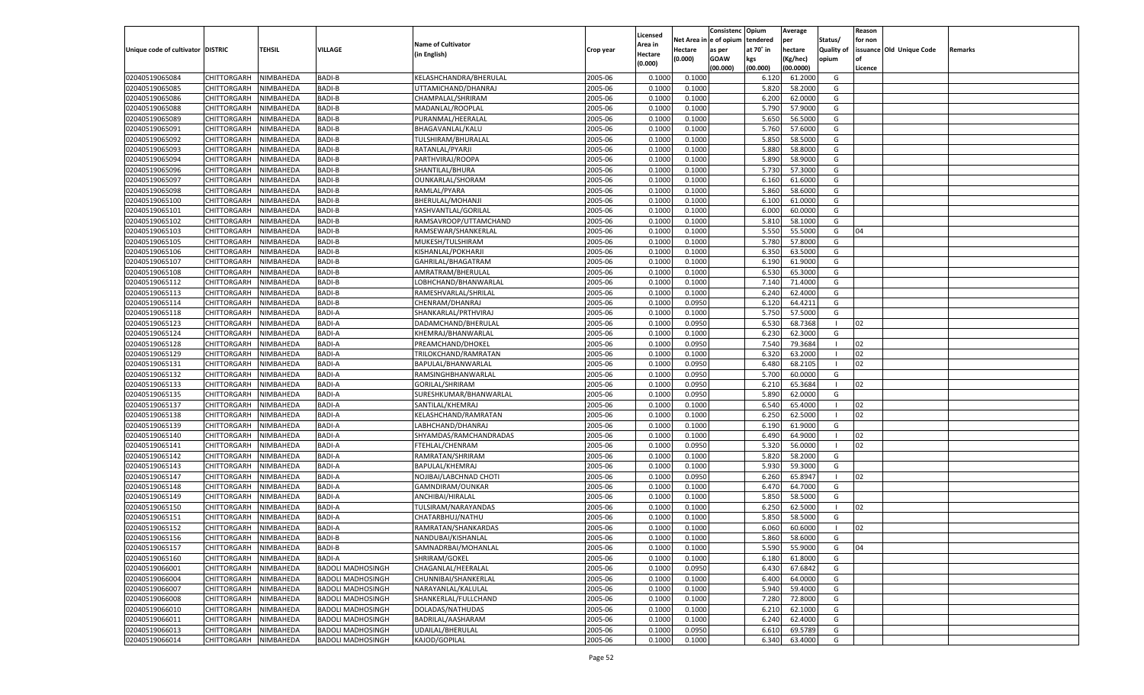|                                   |                       |                        |                          |                           |           |                           |          | Consistenc  | Opium     | Average   |                   | Reason  |                          |         |
|-----------------------------------|-----------------------|------------------------|--------------------------|---------------------------|-----------|---------------------------|----------|-------------|-----------|-----------|-------------------|---------|--------------------------|---------|
|                                   |                       |                        |                          | <b>Name of Cultivator</b> |           | Licensed                  | Net Area | e of opium  | tendered  | per       | Status/           | for non |                          |         |
| Unique code of cultivator DISTRIC |                       | <b>TEHSIL</b>          | VILLAGE                  | (in English)              | Crop year | <b>Area in</b><br>Hectare | Hectare  | as per      | at 70° in | hectare   | <b>Quality of</b> |         | issuance Old Unique Code | Remarks |
|                                   |                       |                        |                          |                           |           | (0.000)                   | (0.000)  | <b>GOAW</b> | kgs       | (Kg/hec)  | opium             |         |                          |         |
|                                   |                       |                        |                          |                           |           |                           |          | (00.000)    | (00.000)  | (00.0000) |                   | Licence |                          |         |
| 02040519065084                    | CHITTORGARH           | NIMBAHEDA              | <b>BADI-B</b>            | KELASHCHANDRA/BHERULAL    | 2005-06   | 0.1000                    | 0.1000   |             | 6.120     | 61.2000   | G                 |         |                          |         |
| 02040519065085                    | CHITTORGARH           | NIMBAHEDA              | <b>BADI-B</b>            | UTTAMICHAND/DHANRAJ       | 2005-06   | 0.1000                    | 0.1000   |             | 5.820     | 58.2000   | G                 |         |                          |         |
| 02040519065086                    | CHITTORGARH           | NIMBAHEDA              | <b>BADI-B</b>            | CHAMPALAL/SHRIRAM         | 2005-06   | 0.1000                    | 0.1000   |             | 6.200     | 62.0000   | G                 |         |                          |         |
| 02040519065088                    | CHITTORGARH           | NIMBAHEDA              | <b>BADI-B</b>            | MADANLAL/ROOPLAL          | 2005-06   | 0.1000                    | 0.1000   |             | 5.790     | 57.9000   | G                 |         |                          |         |
| 02040519065089                    | CHITTORGARH           | NIMBAHEDA              | <b>BADI-B</b>            | PURANMAL/HEERALAI         | 2005-06   | 0.1000                    | 0.1000   |             | 5.650     | 56.5000   | G                 |         |                          |         |
| 02040519065091                    | CHITTORGARH           | NIMBAHEDA              | <b>BADI-B</b>            | BHAGAVANLAL/KALU          | 2005-06   | 0.1000                    | 0.1000   |             | 5.760     | 57.6000   | G                 |         |                          |         |
| 02040519065092                    | CHITTORGARH           | NIMBAHEDA              | <b>BADI-B</b>            | TULSHIRAM/BHURALAL        | 2005-06   | 0.1000                    | 0.1000   |             | 5.850     | 58.5000   | G                 |         |                          |         |
| 02040519065093                    | CHITTORGARH           | NIMBAHEDA              | <b>BADI-B</b>            | RATANLAL/PYARJI           | 2005-06   | 0.1000                    | 0.1000   |             | 5.880     | 58.8000   | G                 |         |                          |         |
| 02040519065094                    | CHITTORGARH           | NIMBAHEDA              | <b>BADI-B</b>            | PARTHVIRAJ/ROOPA          | 2005-06   | 0.1000                    | 0.1000   |             | 5.890     | 58.9000   | G                 |         |                          |         |
| 02040519065096                    | CHITTORGARH           | NIMBAHEDA              | <b>BADI-B</b>            | SHANTILAL/BHURA           | 2005-06   | 0.1000                    | 0.1000   |             | 5.730     | 57.3000   | G                 |         |                          |         |
| 02040519065097                    | CHITTORGARH           | NIMBAHEDA              | <b>BADI-B</b>            | OUNKARLAL/SHORAM          | 2005-06   | 0.1000                    | 0.1000   |             | 6.160     | 61.6000   | G                 |         |                          |         |
| 02040519065098                    | CHITTORGARH           | NIMBAHEDA              | <b>BADI-B</b>            | RAMLAL/PYARA              | 2005-06   | 0.1000                    | 0.1000   |             | 5.860     | 58.6000   | G                 |         |                          |         |
| 02040519065100                    | CHITTORGARH           | NIMBAHEDA              | <b>BADI-B</b>            | BHERULAL/MOHANJI          | 2005-06   | 0.1000                    | 0.1000   |             | 6.100     | 61.0000   | G                 |         |                          |         |
| 02040519065101                    | CHITTORGARH           | NIMBAHEDA              | <b>BADI-B</b>            | YASHVANTLAL/GORILAL       | 2005-06   | 0.1000                    | 0.1000   |             | 6.000     | 60.0000   | G                 |         |                          |         |
| 02040519065102                    | CHITTORGARH           | NIMBAHEDA              | <b>BADI-B</b>            | RAMSAVROOP/UTTAMCHAND     | 2005-06   | 0.1000                    | 0.1000   |             | 5.810     | 58.1000   | G                 |         |                          |         |
| 02040519065103                    | CHITTORGARH           | NIMBAHEDA              | <b>BADI-B</b>            | RAMSEWAR/SHANKERLAL       | 2005-06   | 0.1000                    | 0.1000   |             | 5.550     | 55.5000   | G                 | 04      |                          |         |
| 02040519065105                    | CHITTORGARH           | NIMBAHEDA              | <b>BADI-B</b>            | MUKESH/TULSHIRAM          | 2005-06   | 0.1000                    | 0.1000   |             | 5.780     | 57.8000   | G                 |         |                          |         |
| 02040519065106                    | CHITTORGARH           | NIMBAHEDA              | <b>BADI-B</b>            | KISHANLAL/POKHARJI        | 2005-06   | 0.1000                    | 0.1000   |             | 6.350     | 63.5000   | G                 |         |                          |         |
| 02040519065107                    | CHITTORGARH           | NIMBAHEDA              | <b>BADI-B</b>            | GAHRILAL/BHAGATRAM        | 2005-06   | 0.1000                    | 0.1000   |             | 6.190     | 61.9000   | G                 |         |                          |         |
| 02040519065108                    | CHITTORGARH           | NIMBAHEDA              | <b>BADI-B</b>            | AMRATRAM/BHERULAL         | 2005-06   | 0.1000                    | 0.1000   |             | 6.530     | 65.3000   | G                 |         |                          |         |
| 02040519065112                    | CHITTORGARH           | NIMBAHEDA              | <b>BADI-B</b>            | LOBHCHAND/BHANWARLAL      | 2005-06   | 0.1000                    | 0.1000   |             | 7.140     | 71.4000   | G                 |         |                          |         |
| 02040519065113                    | CHITTORGARH           | NIMBAHEDA              | <b>BADI-B</b>            | RAMESHVARLAL/SHRILAL      | 2005-06   | 0.1000                    | 0.1000   |             | 6.240     | 62.4000   | G                 |         |                          |         |
| 02040519065114                    | CHITTORGARH           | NIMBAHEDA              | <b>BADI-B</b>            | CHENRAM/DHANRAJ           | 2005-06   | 0.1000                    | 0.0950   |             | 6.120     | 64.4211   | G                 |         |                          |         |
| 02040519065118                    | CHITTORGARH           | NIMBAHEDA              | <b>BADI-A</b>            | SHANKARLAL/PRTHVIRAJ      | 2005-06   | 0.1000                    | 0.1000   |             | 5.750     | 57.5000   | G                 |         |                          |         |
| 02040519065123                    | CHITTORGARH           | NIMBAHEDA              | <b>BADI-A</b>            | DADAMCHAND/BHERULAL       | 2005-06   | 0.1000                    | 0.0950   |             | 6.530     | 68.7368   | $\blacksquare$    | 02      |                          |         |
| 02040519065124                    | CHITTORGARH           | NIMBAHEDA              | <b>BADI-A</b>            | KHEMRAJ/BHANWARLAI        | 2005-06   | 0.1000                    | 0.1000   |             | 6.23      | 62.3000   | G                 |         |                          |         |
| 02040519065128                    | CHITTORGARH           | NIMBAHEDA              | <b>BADI-A</b>            | PREAMCHAND/DHOKEL         | 2005-06   | 0.1000                    | 0.0950   |             | 7.540     | 79.3684   | - 1               | 02      |                          |         |
| 02040519065129                    | CHITTORGARH           | NIMBAHEDA              | <b>BADI-A</b>            | TRILOKCHAND/RAMRATAN      | 2005-06   | 0.1000                    | 0.1000   |             | 6.320     | 63.2000   | - 1               | 02      |                          |         |
| 02040519065131                    | CHITTORGARH           | NIMBAHEDA              | <b>BADI-A</b>            | BAPULAL/BHANWARLAL        | 2005-06   | 0.1000                    | 0.0950   |             | 6.480     | 68.2105   | $\blacksquare$    | 02      |                          |         |
| 02040519065132                    | CHITTORGARH           | NIMBAHEDA              | <b>BADI-A</b>            | RAMSINGHBHANWARLAL        | 2005-06   | 0.1000                    | 0.0950   |             | 5.700     | 60.0000   | G                 |         |                          |         |
| 02040519065133                    | CHITTORGARH           | NIMBAHEDA              | <b>BADI-A</b>            | GORILAL/SHRIRAM           | 2005-06   | 0.1000                    | 0.0950   |             | 6.210     | 65.3684   | - 1               | 02      |                          |         |
| 02040519065135                    | CHITTORGARH           | NIMBAHEDA              | <b>BADI-A</b>            | SURESHKUMAR/BHANWARLAL    | 2005-06   | 0.1000                    | 0.0950   |             | 5.890     | 62.0000   | G                 |         |                          |         |
| 02040519065137                    | CHITTORGARH           | NIMBAHEDA              | <b>BADI-A</b>            | SANTILAL/KHEMRAJ          | 2005-06   | 0.1000                    | 0.1000   |             | 6.540     | 65.4000   |                   | 02      |                          |         |
| 02040519065138                    | CHITTORGARH           | NIMBAHEDA              | <b>BADI-A</b>            | KELASHCHAND/RAMRATAN      | 2005-06   | 0.1000                    | 0.1000   |             | 6.250     | 62.5000   | - 1               | 02      |                          |         |
| 02040519065139                    | CHITTORGARH           | NIMBAHEDA              | <b>BADI-A</b>            | LABHCHAND/DHANRAJ         | 2005-06   | 0.1000                    | 0.1000   |             | 6.190     | 61.9000   | G                 |         |                          |         |
| 02040519065140                    | CHITTORGARH           | NIMBAHEDA              | <b>BADI-A</b>            | SHYAMDAS/RAMCHANDRADAS    | 2005-06   | 0.1000                    | 0.1000   |             | 6.490     | 64.9000   | - 1               | 02      |                          |         |
| 02040519065141                    | CHITTORGARH           | NIMBAHEDA              | <b>BADI-A</b>            | FTEHLAL/CHENRAM           | 2005-06   | 0.1000                    | 0.0950   |             | 5.320     | 56.0000   | - 1               | 02      |                          |         |
| 02040519065142                    | CHITTORGARH           | NIMBAHEDA              | <b>BADI-A</b>            | RAMRATAN/SHRIRAM          | 2005-06   | 0.1000                    | 0.1000   |             | 5.820     | 58.2000   | G                 |         |                          |         |
| 02040519065143                    | CHITTORGARH           | NIMBAHEDA              | <b>BADI-A</b>            | BAPULAL/KHEMRAJ           | 2005-06   | 0.1000                    | 0.1000   |             | 5.930     | 59.3000   | G                 |         |                          |         |
| 02040519065147                    | CHITTORGARH           | NIMBAHEDA              | <b>BADI-A</b>            | NOJIBAI/LABCHNAD CHOTI    | 2005-06   | 0.1000                    | 0.0950   |             | 6.260     | 65.894    | - 1               | 02      |                          |         |
| 02040519065148                    | CHITTORGARH           | NIMBAHEDA              | <b>BADI-A</b>            | GAMNDIRAM/OUNKAR          | 2005-06   | 0.1000                    | 0.1000   |             | 6.470     | 64.7000   | G                 |         |                          |         |
| 02040519065149                    | CHITTORGARH           | NIMBAHEDA              | <b>BADI-A</b>            | ANCHIBAI/HIRALAL          | 2005-06   | 0.1000                    | 0.1000   |             | 5.850     | 58.5000   | G                 |         |                          |         |
| 02040519065150                    | CHITTORGARH           | NIMBAHEDA              | <b>BADI-A</b>            | TULSIRAM/NARAYANDAS       | 2005-06   | 0.1000                    | 0.1000   |             | 6.250     | 62.5000   | - 1               | 02      |                          |         |
| 02040519065151                    |                       |                        | <b>BADI-A</b>            |                           | 2005-06   | 0.1000                    | 0.1000   |             | 5.85      | 58.5000   | G                 |         |                          |         |
|                                   | CHITTORGARH           | NIMBAHEDA<br>NIMBAHEDA | <b>BADI-A</b>            | CHATARBHUJ/NATHU          | 2005-06   |                           |          |             |           | 60.6000   |                   |         |                          |         |
| 02040519065152                    | CHITTORGARH           |                        |                          | RAMRATAN/SHANKARDAS       |           | 0.1000                    | 0.1000   |             | 6.060     |           | - 1               | 02      |                          |         |
| 02040519065156                    | CHITTORGARH NIMBAHEDA |                        | <b>BADI-B</b>            | NANDUBAI/KISHANLAL        | 2005-06   | 0.1000                    | 0.1000   |             | 5.860     | 58.6000   | G                 |         |                          |         |
| 02040519065157                    | <b>CHITTORGARH</b>    | NIMBAHEDA              | <b>BADI-B</b>            | SAMNADRBAI/MOHANLAL       | 2005-06   | 0.1000                    | 0.1000   |             | 5.590     | 55.9000   | G                 | 04      |                          |         |
| 02040519065160                    | CHITTORGARH           | NIMBAHEDA              | BADI-A                   | SHRIRAM/GOKEL             | 2005-06   | 0.1000                    | 0.1000   |             | 6.180     | 61.8000   | G                 |         |                          |         |
| 02040519066001                    | <b>CHITTORGARH</b>    | NIMBAHEDA              | <b>BADOLI MADHOSINGH</b> | CHAGANLAL/HEERALAL        | 2005-06   | 0.1000                    | 0.0950   |             | 6.430     | 67.6842   | G                 |         |                          |         |
| 02040519066004                    | <b>CHITTORGARH</b>    | NIMBAHEDA              | <b>BADOLI MADHOSINGH</b> | CHUNNIBAI/SHANKERLAL      | 2005-06   | 0.1000                    | 0.1000   |             | 6.400     | 64.0000   | G                 |         |                          |         |
| 02040519066007                    | <b>CHITTORGARH</b>    | NIMBAHEDA              | <b>BADOLI MADHOSINGH</b> | NARAYANLAL/KALULAL        | 2005-06   | 0.1000                    | 0.1000   |             | 5.940     | 59.4000   | G                 |         |                          |         |
| 02040519066008                    | <b>CHITTORGARH</b>    | NIMBAHEDA              | <b>BADOLI MADHOSINGH</b> | SHANKERLAL/FULLCHAND      | 2005-06   | 0.1000                    | 0.1000   |             | 7.280     | 72.8000   | G                 |         |                          |         |
| 02040519066010                    | <b>CHITTORGARH</b>    | NIMBAHEDA              | <b>BADOLI MADHOSINGH</b> | DOLADAS/NATHUDAS          | 2005-06   | 0.1000                    | 0.1000   |             | 6.210     | 62.1000   | G                 |         |                          |         |
| 02040519066011                    | <b>CHITTORGARH</b>    | NIMBAHEDA              | <b>BADOLI MADHOSINGH</b> | BADRILAL/AASHARAM         | 2005-06   | 0.1000                    | 0.1000   |             | 6.240     | 62.4000   | G                 |         |                          |         |
| 02040519066013                    | <b>CHITTORGARH</b>    | NIMBAHEDA              | <b>BADOLI MADHOSINGH</b> | UDAILAL/BHERULAL          | 2005-06   | 0.1000                    | 0.0950   |             | 6.610     | 69.5789   | G                 |         |                          |         |
| 02040519066014                    | <b>CHITTORGARH</b>    | NIMBAHEDA              | <b>BADOLI MADHOSINGH</b> | KAJOD/GOPILAL             | 2005-06   | 0.1000                    | 0.1000   |             | 6.340     | 63.4000   | G                 |         |                          |         |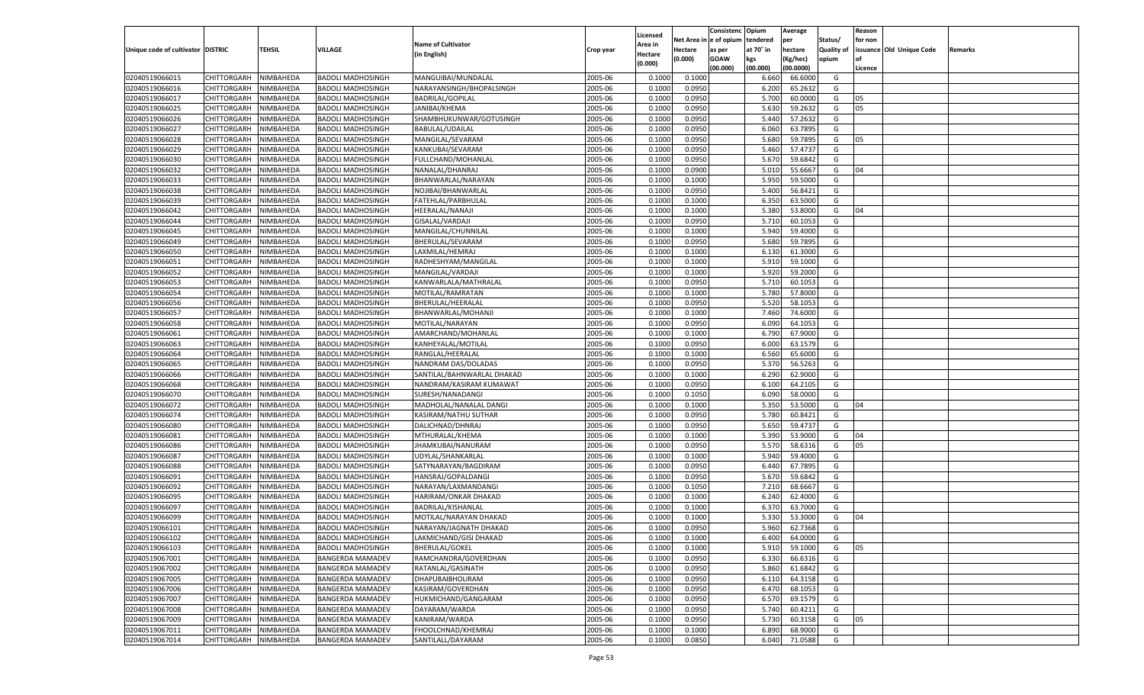|                                   |                                      |               |                          |                            |           |                           |          | Consistenc  | Opium     | Average   |                   | Reason  |                          |         |
|-----------------------------------|--------------------------------------|---------------|--------------------------|----------------------------|-----------|---------------------------|----------|-------------|-----------|-----------|-------------------|---------|--------------------------|---------|
|                                   |                                      |               |                          | <b>Name of Cultivator</b>  |           | Licensed                  | Net Area | e of opium  | tendered  | per       | Status/           | for non |                          |         |
| Unique code of cultivator DISTRIC |                                      | <b>TEHSIL</b> | VILLAGE                  | (in English)               | Crop year | <b>Area in</b><br>Hectare | Hectare  | as per      | at 70° in | hectare   | <b>Quality of</b> |         | issuance Old Unique Code | Remarks |
|                                   |                                      |               |                          |                            |           | (0.000)                   | (0.000)  | <b>GOAW</b> | kgs       | (Kg/hec)  | opium             |         |                          |         |
|                                   |                                      |               |                          |                            |           |                           |          | (00.000)    | (00.000)  | (00.0000) |                   | Licence |                          |         |
| 02040519066015                    | CHITTORGARH                          | NIMBAHEDA     | <b>BADOLI MADHOSINGH</b> | MANGUIBAI/MUNDALAL         | 2005-06   | 0.1000                    | 0.1000   |             | 6.660     | 66.6000   | G                 |         |                          |         |
| 02040519066016                    | CHITTORGARH                          | NIMBAHEDA     | <b>BADOLI MADHOSINGH</b> | NARAYANSINGH/BHOPALSINGH   | 2005-06   | 0.1000                    | 0.0950   |             | 6.200     | 65.2632   | G                 |         |                          |         |
| 02040519066017                    | CHITTORGARH                          | NIMBAHEDA     | <b>BADOLI MADHOSINGH</b> | <b>BADRILAL/GOPILAL</b>    | 2005-06   | 0.1000                    | 0.0950   |             | 5.700     | 60.0000   | G                 | 05      |                          |         |
| 02040519066025                    | CHITTORGARH                          | NIMBAHEDA     | <b>BADOLI MADHOSINGH</b> | JANIBAI/KHEMA              | 2005-06   | 0.1000                    | 0.0950   |             | 5.630     | 59.2632   | G                 | 05      |                          |         |
| 02040519066026                    | CHITTORGARH                          | NIMBAHEDA     | <b>BADOLI MADHOSINGH</b> | SHAMBHUKUNWAR/GOTUSINGH    | 2005-06   | 0.1000                    | 0.0950   |             | 5.440     | 57.2632   | G                 |         |                          |         |
| 02040519066027                    | CHITTORGARH                          | NIMBAHEDA     | <b>BADOLI MADHOSINGH</b> | BABULAL/UDAILAL            | 2005-06   | 0.1000                    | 0.0950   |             | 6.060     | 63.7895   | G                 |         |                          |         |
| 02040519066028                    | CHITTORGARH                          | NIMBAHEDA     | <b>BADOLI MADHOSINGH</b> | MANGILAL/SEVARAM           | 2005-06   | 0.1000                    | 0.0950   |             | 5.680     | 59.7895   | G                 | 05      |                          |         |
| 02040519066029                    | CHITTORGARH                          | NIMBAHEDA     | <b>BADOLI MADHOSINGH</b> | KANKUBAI/SEVARAM           | 2005-06   | 0.1000                    | 0.0950   |             | 5.460     | 57.4737   | G                 |         |                          |         |
| 02040519066030                    | CHITTORGARH                          | NIMBAHEDA     | <b>BADOLI MADHOSINGH</b> | FULLCHAND/MOHANLAL         | 2005-06   | 0.1000                    | 0.0950   |             | 5.670     | 59.6842   | G                 |         |                          |         |
| 02040519066032                    | CHITTORGARH                          | NIMBAHEDA     | <b>BADOLI MADHOSINGH</b> | NANALAL/DHANRAJ            | 2005-06   | 0.1000                    | 0.0900   |             | 5.010     | 55.666    | G                 | 04      |                          |         |
| 02040519066033                    | CHITTORGARH                          | NIMBAHEDA     | <b>BADOLI MADHOSINGH</b> | BHANWARLAL/NARAYAN         | 2005-06   | 0.1000                    | 0.1000   |             | 5.950     | 59.5000   | G                 |         |                          |         |
| 02040519066038                    | CHITTORGARH                          | NIMBAHEDA     | <b>BADOLI MADHOSINGH</b> | NOJIBAI/BHANWARLAL         | 2005-06   | 0.1000                    | 0.0950   |             | 5.400     | 56.8421   | G                 |         |                          |         |
| 02040519066039                    | CHITTORGARH                          | NIMBAHEDA     | <b>BADOLI MADHOSINGH</b> | FATEHLAL/PARBHULAL         | 2005-06   | 0.1000                    | 0.1000   |             | 6.350     | 63.5000   | G                 |         |                          |         |
| 02040519066042                    | CHITTORGARH                          | NIMBAHEDA     | <b>BADOLI MADHOSINGH</b> | HEERALAL/NANAJI            | 2005-06   | 0.1000                    | 0.1000   |             | 5.380     | 53.8000   | G                 | 04      |                          |         |
| 02040519066044                    | CHITTORGARH                          | NIMBAHEDA     | <b>BADOLI MADHOSINGH</b> | GISALAL/VARDAJI            | 2005-06   | 0.1000                    | 0.0950   |             | 5.710     | 60.1053   | G                 |         |                          |         |
| 02040519066045                    | CHITTORGARH                          | NIMBAHEDA     | <b>BADOLI MADHOSINGH</b> | MANGILAL/CHUNNILAL         | 2005-06   | 0.1000                    | 0.1000   |             | 5.940     | 59.4000   | G                 |         |                          |         |
| 02040519066049                    | CHITTORGARH                          | NIMBAHEDA     | <b>BADOLI MADHOSINGH</b> | BHERULAL/SEVARAM           | 2005-06   | 0.1000                    | 0.0950   |             | 5.680     | 59.7895   | G                 |         |                          |         |
| 02040519066050                    | CHITTORGARH                          | NIMBAHEDA     | <b>BADOLI MADHOSINGH</b> | LAXMILAL/HEMRAJ            | 2005-06   | 0.1000                    | 0.1000   |             | 6.130     | 61.3000   | G                 |         |                          |         |
| 02040519066051                    | CHITTORGARH                          | NIMBAHEDA     | <b>BADOLI MADHOSINGH</b> | RADHESHYAM/MANGILAL        | 2005-06   | 0.1000                    | 0.1000   |             | 5.910     | 59.1000   | G                 |         |                          |         |
| 02040519066052                    | CHITTORGARH                          | NIMBAHEDA     | <b>BADOLI MADHOSINGH</b> | MANGILAL/VARDAJI           | 2005-06   | 0.1000                    | 0.1000   |             | 5.920     | 59.2000   | G                 |         |                          |         |
| 02040519066053                    | CHITTORGARH                          | NIMBAHEDA     | <b>BADOLI MADHOSINGH</b> | KANWARLALA/MATHRALAL       | 2005-06   | 0.1000                    | 0.0950   |             | 5.710     | 60.1053   | G                 |         |                          |         |
| 02040519066054                    | CHITTORGARH                          | NIMBAHEDA     | <b>BADOLI MADHOSINGH</b> | MOTILAL/RAMRATAN           | 2005-06   | 0.1000                    | 0.1000   |             | 5.780     | 57.8000   | G                 |         |                          |         |
| 02040519066056                    | CHITTORGARH                          | NIMBAHEDA     | <b>BADOLI MADHOSINGH</b> | BHERULAL/HEERALAL          | 2005-06   | 0.1000                    | 0.0950   |             | 5.520     | 58.1053   | G                 |         |                          |         |
| 02040519066057                    | CHITTORGARH                          | NIMBAHEDA     | <b>BADOLI MADHOSINGH</b> | BHANWARLAL/MOHANJI         | 2005-06   | 0.1000                    | 0.1000   |             | 7.460     | 74.6000   | G                 |         |                          |         |
| 02040519066058                    | CHITTORGARH                          | NIMBAHEDA     | <b>BADOLI MADHOSINGH</b> | MOTILAL/NARAYAN            | 2005-06   | 0.1000                    | 0.0950   |             | 6.090     | 64.105    | G                 |         |                          |         |
| 02040519066061                    | CHITTORGARH                          | NIMBAHEDA     | <b>BADOLI MADHOSINGH</b> | AMARCHAND/MOHANLAL         | 2005-06   | 0.1000                    | 0.1000   |             | 6.790     | 67.9000   | G                 |         |                          |         |
| 02040519066063                    | CHITTORGARH                          | NIMBAHEDA     | <b>BADOLI MADHOSINGH</b> | KANHEYALAL/MOTILAL         | 2005-06   | 0.1000                    | 0.0950   |             | 6.000     | 63.1579   | G                 |         |                          |         |
| 02040519066064                    | CHITTORGARH                          | NIMBAHEDA     | <b>BADOLI MADHOSINGH</b> | RANGLAL/HEERALAL           | 2005-06   | 0.1000                    | 0.1000   |             | 6.560     | 65.6000   | G                 |         |                          |         |
| 02040519066065                    | CHITTORGARH                          | NIMBAHEDA     | <b>BADOLI MADHOSINGH</b> | NANDRAM DAS/DOLADAS        | 2005-06   | 0.1000                    | 0.0950   |             | 5.370     | 56.5263   | G                 |         |                          |         |
| 02040519066066                    | CHITTORGARH                          | NIMBAHEDA     | <b>BADOLI MADHOSINGH</b> | SANTILAL/BAHNWARLAL DHAKAD | 2005-06   | 0.1000                    | 0.1000   |             | 6.290     | 62.9000   | G                 |         |                          |         |
| 02040519066068                    | CHITTORGARH                          | NIMBAHEDA     | <b>BADOLI MADHOSINGH</b> | NANDRAM/KASIRAM KUMAWAT    | 2005-06   | 0.1000                    | 0.0950   |             | 6.100     | 64.210    | G                 |         |                          |         |
| 02040519066070                    | CHITTORGARH                          | NIMBAHEDA     | <b>BADOLI MADHOSINGH</b> | SURESH/NANADANGI           | 2005-06   | 0.1000                    | 0.1050   |             | 6.090     | 58.0000   | G                 |         |                          |         |
| 02040519066072                    | CHITTORGARH                          | NIMBAHEDA     | <b>BADOLI MADHOSINGH</b> | MADHOLAL/NANALAL DANGI     | 2005-06   | 0.1000                    | 0.1000   |             | 5.350     | 53.5000   | G                 | 04      |                          |         |
| 02040519066074                    | CHITTORGARH                          | NIMBAHEDA     | <b>BADOLI MADHOSINGH</b> | KASIRAM/NATHU SUTHAR       | 2005-06   | 0.1000                    | 0.0950   |             | 5.780     | 60.8421   | G                 |         |                          |         |
| 02040519066080                    | CHITTORGARH                          | NIMBAHEDA     | <b>BADOLI MADHOSINGH</b> | DALICHNAD/DHNRAJ           | 2005-06   | 0.1000                    | 0.0950   |             | 5.650     | 59.4737   | G                 |         |                          |         |
| 02040519066081                    | CHITTORGARH                          | NIMBAHEDA     | <b>BADOLI MADHOSINGH</b> | MTHURALAL/KHEMA            | 2005-06   | 0.1000                    | 0.1000   |             | 5.390     | 53.9000   | G                 | 04      |                          |         |
| 02040519066086                    | CHITTORGARH                          | NIMBAHEDA     | <b>BADOLI MADHOSINGH</b> | JHAMKUBAI/NANURAM          | 2005-06   | 0.1000                    | 0.0950   |             | 5.570     | 58.6316   | G                 | 05      |                          |         |
| 02040519066087                    | CHITTORGARH                          | NIMBAHEDA     | <b>BADOLI MADHOSINGH</b> | UDYLAL/SHANKARLAL          | 2005-06   | 0.1000                    | 0.1000   |             | 5.940     | 59.4000   | G                 |         |                          |         |
| 02040519066088                    | CHITTORGARH                          | NIMBAHEDA     | <b>BADOLI MADHOSINGH</b> | SATYNARAYAN/BAGDIRAM       | 2005-06   | 0.1000                    | 0.0950   |             | 6.44      | 67.7895   | G                 |         |                          |         |
| 02040519066091                    | CHITTORGARH                          | NIMBAHEDA     | <b>BADOLI MADHOSINGH</b> | HANSRAJ/GOPALDANGI         | 2005-06   | 0.1000                    | 0.0950   |             | 5.670     | 59.6842   | G                 |         |                          |         |
| 02040519066092                    | CHITTORGARH                          | NIMBAHEDA     | <b>BADOLI MADHOSINGH</b> | NARAYAN/LAXMANDANGI        | 2005-06   | 0.1000                    | 0.1050   |             | 7.210     | 68.6667   | G                 |         |                          |         |
| 02040519066095                    | CHITTORGARH                          | NIMBAHEDA     | <b>BADOLI MADHOSINGH</b> | HARIRAM/ONKAR DHAKAD       | 2005-06   | 0.1000                    | 0.1000   |             | 6.240     | 62.4000   | G                 |         |                          |         |
| 02040519066097                    | CHITTORGARH                          | NIMBAHEDA     | <b>BADOLI MADHOSINGH</b> | BADRILAL/KISHANLAL         | 2005-06   | 0.1000                    | 0.1000   |             | 6.370     | 63.7000   | G                 |         |                          |         |
| 02040519066099                    | CHITTORGARH                          | NIMBAHEDA     | <b>BADOLI MADHOSINGH</b> | MOTILAL/NARAYAN DHAKAD     | 2005-06   | 0.1000                    | 0.1000   |             | 5.33      | 53.3000   | G                 | 04      |                          |         |
| 02040519066101                    |                                      | NIMBAHEDA     | <b>BADOLI MADHOSINGH</b> |                            | 2005-06   | 0.1000                    | 0.0950   |             | 5.960     | 62.7368   | G                 |         |                          |         |
|                                   | CHITTORGARH<br>CHITTORGARH NIMBAHEDA |               |                          | NARAYAN/JAGNATH DHAKAD     |           |                           |          |             |           |           |                   |         |                          |         |
| 02040519066102                    |                                      |               | <b>BADOLI MADHOSINGH</b> | LAKMICHAND/GISI DHAKAD     | 2005-06   | 0.1000                    | 0.1000   |             | 6.400     | 64.0000   | G                 |         |                          |         |
| 02040519066103<br>02040519067001  | <b>CHITTORGARH</b>                   | NIMBAHEDA     | <b>BADOLI MADHOSINGH</b> | <b>BHERULAL/GOKEL</b>      | 2005-06   | 0.1000                    | 0.1000   |             | 5.910     | 59.1000   | G                 | 05      |                          |         |
|                                   | CHITTORGARH                          | NIMBAHEDA     | <b>BANGERDA MAMADEV</b>  | RAMCHANDRA/GOVERDHAN       | 2005-06   | 0.1000                    | 0.0950   |             | 6.330     | 66.6316   | G                 |         |                          |         |
| 02040519067002                    | <b>CHITTORGARH</b>                   | NIMBAHEDA     | <b>BANGERDA MAMADEV</b>  | RATANLAL/GASINATH          | 2005-06   | 0.1000                    | 0.0950   |             | 5.860     | 61.6842   | G                 |         |                          |         |
| 02040519067005                    | <b>CHITTORGARH</b>                   | NIMBAHEDA     | <b>BANGERDA MAMADEV</b>  | DHAPUBAIBHOLIRAM           | 2005-06   | 0.1000                    | 0.0950   |             | 6.110     | 64.3158   | G                 |         |                          |         |
| 02040519067006                    | <b>CHITTORGARH</b>                   | NIMBAHEDA     | <b>BANGERDA MAMADEV</b>  | KASIRAM/GOVERDHAN          | 2005-06   | 0.1000                    | 0.0950   |             | 6.470     | 68.1053   | G                 |         |                          |         |
| 02040519067007                    | <b>CHITTORGARH</b>                   | NIMBAHEDA     | <b>BANGERDA MAMADEV</b>  | HUKMICHAND/GANGARAM        | 2005-06   | 0.1000                    | 0.0950   |             | 6.570     | 69.1579   | G                 |         |                          |         |
| 02040519067008                    | <b>CHITTORGARH</b>                   | NIMBAHEDA     | <b>BANGERDA MAMADEV</b>  | DAYARAM/WARDA              | 2005-06   | 0.1000                    | 0.0950   |             | 5.740     | 60.4211   | G                 |         |                          |         |
| 02040519067009                    | <b>CHITTORGARH</b>                   | NIMBAHEDA     | <b>BANGERDA MAMADEV</b>  | KANIRAM/WARDA              | 2005-06   | 0.1000                    | 0.0950   |             | 5.730     | 60.3158   | G                 | 05      |                          |         |
| 02040519067011                    | <b>CHITTORGARH</b>                   | NIMBAHEDA     | <b>BANGERDA MAMADEV</b>  | FHOOLCHNAD/KHEMRAJ         | 2005-06   | 0.1000                    | 0.1000   |             | 6.890     | 68.9000   | G                 |         |                          |         |
| 02040519067014                    | CHITTORGARH                          | NIMBAHEDA     | <b>BANGERDA MAMADEV</b>  | SANTILALL/DAYARAM          | 2005-06   | 0.1000                    | 0.0850   |             | 6.040     | 71.0588   | G                 |         |                          |         |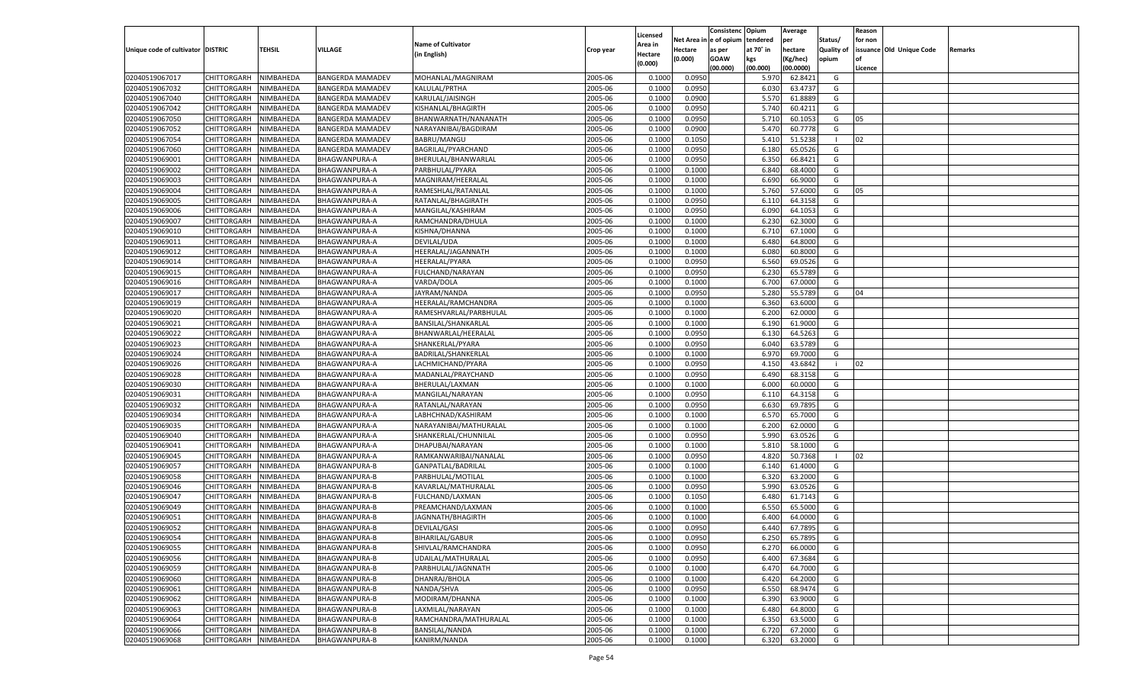|                                   |                                   |               |                         |                           |                    |                           |          | Consistenc  | Opium     | Average   |                   | Reason  |                          |         |
|-----------------------------------|-----------------------------------|---------------|-------------------------|---------------------------|--------------------|---------------------------|----------|-------------|-----------|-----------|-------------------|---------|--------------------------|---------|
|                                   |                                   |               |                         | <b>Name of Cultivator</b> |                    | Licensed                  | Net Area | e of opium  | tendered  | per       | Status/           | for non |                          |         |
| Unique code of cultivator DISTRIC |                                   | <b>TEHSIL</b> | VILLAGE                 | (in English)              | Crop year          | <b>Area in</b><br>Hectare | Hectare  | as per      | at 70° in | hectare   | <b>Quality of</b> |         | issuance Old Unique Code | Remarks |
|                                   |                                   |               |                         |                           |                    | (0.000)                   | (0.000)  | <b>GOAW</b> | kgs       | (Kg/hec)  | opium             |         |                          |         |
|                                   |                                   |               |                         |                           |                    |                           |          | (00.000)    | (00.000)  | (00.0000) |                   | Licence |                          |         |
| 02040519067017                    | CHITTORGARH                       | NIMBAHEDA     | <b>BANGERDA MAMADEV</b> | MOHANLAL/MAGNIRAM         | 2005-06            | 0.1000                    | 0.0950   |             | 5.970     | 62.8421   | G                 |         |                          |         |
| 02040519067032                    | CHITTORGARH                       | NIMBAHEDA     | BANGERDA MAMADEV        | KALULAL/PRTHA             | 2005-06            | 0.1000                    | 0.0950   |             | 6.030     | 63.4737   | G                 |         |                          |         |
| 02040519067040                    | CHITTORGARH                       | NIMBAHEDA     | <b>BANGERDA MAMADEV</b> | KARULAL/JAISINGH          | 2005-06            | 0.1000                    | 0.0900   |             | 5.570     | 61.8889   | G                 |         |                          |         |
| 02040519067042                    | CHITTORGARH                       | NIMBAHEDA     | <b>BANGERDA MAMADEV</b> | KISHANLAL/BHAGIRTH        | 2005-06            | 0.1000                    | 0.0950   |             | 5.740     | 60.4211   | G                 |         |                          |         |
| 02040519067050                    | CHITTORGARH                       | NIMBAHEDA     | <b>BANGERDA MAMADEV</b> | BHANWARNATH/NANANATH      | 2005-06            | 0.1000                    | 0.0950   |             | 5.710     | 60.1053   | G                 | 05      |                          |         |
| 02040519067052                    | CHITTORGARH                       | NIMBAHEDA     | BANGERDA MAMADEV        | NARAYANIBAI/BAGDIRAM      | 2005-06            | 0.1000                    | 0.0900   |             | 5.470     | 60.7778   | G                 |         |                          |         |
| 02040519067054                    | CHITTORGARH                       | NIMBAHEDA     | <b>BANGERDA MAMADEV</b> | BABRU/MANGU               | 2005-06            | 0.1000                    | 0.1050   |             | 5.410     | 51.5238   | - 1               | 02      |                          |         |
| 02040519067060                    | CHITTORGARH                       | NIMBAHEDA     | <b>BANGERDA MAMADEV</b> | BAGRILAL/PYARCHAND        | 2005-06            | 0.1000                    | 0.0950   |             | 6.180     | 65.0526   | G                 |         |                          |         |
| 02040519069001                    | CHITTORGARH                       | NIMBAHEDA     | BHAGWANPURA-A           | BHERULAL/BHANWARLAL       | 2005-06            | 0.1000                    | 0.0950   |             | 6.350     | 66.8421   | G                 |         |                          |         |
| 02040519069002                    | CHITTORGARH                       | NIMBAHEDA     | BHAGWANPURA-A           | PARBHULAL/PYARA           | 2005-06            | 0.1000                    | 0.1000   |             | 6.840     | 68.4000   | G                 |         |                          |         |
| 02040519069003                    | CHITTORGARH                       | NIMBAHEDA     | <b>BHAGWANPURA-A</b>    | MAGNIRAM/HEERALAL         | 2005-06            | 0.1000                    | 0.1000   |             | 6.690     | 66.9000   | G                 |         |                          |         |
| 02040519069004                    | CHITTORGARH                       | NIMBAHEDA     | BHAGWANPURA-A           | RAMESHLAL/RATANLAL        | 2005-06            | 0.1000                    | 0.1000   |             | 5.760     | 57.6000   | G                 | 05      |                          |         |
| 02040519069005                    | CHITTORGARH                       | NIMBAHEDA     | BHAGWANPURA-A           | RATANLAL/BHAGIRATH        | 2005-06            | 0.1000                    | 0.0950   |             | 6.11      | 64.3158   | G                 |         |                          |         |
| 02040519069006                    | CHITTORGARH                       | NIMBAHEDA     | BHAGWANPURA-A           | MANGILAL/KASHIRAM         | 2005-06            | 0.1000                    | 0.0950   |             | 6.090     | 64.1053   | G                 |         |                          |         |
| 02040519069007                    | CHITTORGARH                       | NIMBAHEDA     | BHAGWANPURA-A           | RAMCHANDRA/DHULA          | 2005-06            | 0.1000                    | 0.1000   |             | 6.230     | 62.3000   | G                 |         |                          |         |
| 02040519069010                    | CHITTORGARH                       | NIMBAHEDA     | BHAGWANPURA-A           | KISHNA/DHANNA             | 2005-06            | 0.1000                    | 0.1000   |             | 6.710     | 67.1000   | G                 |         |                          |         |
| 02040519069011                    | CHITTORGARH                       | NIMBAHEDA     | BHAGWANPURA-A           | DEVILAL/UDA               | 2005-06            | 0.1000                    | 0.1000   |             | 6.480     | 64.8000   | G                 |         |                          |         |
| 02040519069012                    | CHITTORGARH                       | NIMBAHEDA     | BHAGWANPURA-A           | HEERALAL/JAGANNATH        | 2005-06            | 0.1000                    | 0.1000   |             | 6.080     | 60.8000   | G                 |         |                          |         |
| 02040519069014                    | CHITTORGARH                       | NIMBAHEDA     | BHAGWANPURA-A           | HEERALAL/PYARA            | 2005-06            | 0.1000                    | 0.0950   |             | 6.560     | 69.0526   | G                 |         |                          |         |
| 02040519069015                    | CHITTORGARH                       | NIMBAHEDA     | BHAGWANPURA-A           | FULCHAND/NARAYAN          | 2005-06            | 0.1000                    | 0.0950   |             | 6.23      | 65.5789   | G                 |         |                          |         |
| 02040519069016                    | CHITTORGARH                       | NIMBAHEDA     | BHAGWANPURA-A           | VARDA/DOLA                | 2005-06            | 0.1000                    | 0.1000   |             | 6.700     | 67.0000   | G                 |         |                          |         |
| 02040519069017                    | CHITTORGARH                       | NIMBAHEDA     | BHAGWANPURA-A           | JAYRAM/NANDA              | 2005-06            | 0.1000                    | 0.0950   |             | 5.280     | 55.5789   | G                 | 04      |                          |         |
| 02040519069019                    | CHITTORGARH                       | NIMBAHEDA     | BHAGWANPURA-A           | HEERALAL/RAMCHANDRA       | 2005-06            | 0.1000                    | 0.1000   |             | 6.360     | 63.6000   | G                 |         |                          |         |
| 02040519069020                    | CHITTORGARH                       | NIMBAHEDA     | BHAGWANPURA-A           | RAMESHVARLAL/PARBHULAL    | 2005-06            | 0.1000                    | 0.1000   |             | 6.200     | 62.0000   | G                 |         |                          |         |
| 02040519069021                    | CHITTORGARH                       | NIMBAHEDA     | BHAGWANPURA-A           | BANSILAL/SHANKARLAL       | 2005-06            | 0.1000                    | 0.1000   |             | 6.190     | 61.9000   | G                 |         |                          |         |
| 02040519069022                    | CHITTORGARH                       | NIMBAHEDA     | BHAGWANPURA-A           | BHANWARLAL/HEERALAL       | 2005-06            | 0.1000                    | 0.0950   |             | 6.130     | 64.5263   | G                 |         |                          |         |
| 02040519069023                    | CHITTORGARH                       | NIMBAHEDA     | BHAGWANPURA-A           | SHANKERLAL/PYARA          | 2005-06            | 0.1000                    | 0.0950   |             | 6.040     | 63.5789   | G                 |         |                          |         |
| 02040519069024                    | CHITTORGARH                       | NIMBAHEDA     | BHAGWANPURA-A           | BADRILAL/SHANKERLAL       | 2005-06            | 0.1000                    | 0.1000   |             | 6.970     | 69.7000   | G                 |         |                          |         |
| 02040519069026                    | CHITTORGARH                       | NIMBAHEDA     | BHAGWANPURA-A           | LACHMICHAND/PYARA         | 2005-06            | 0.1000                    | 0.0950   |             | 4.150     | 43.6842   | -i                | 02      |                          |         |
| 02040519069028                    | CHITTORGARH                       | NIMBAHEDA     | BHAGWANPURA-A           | MADANLAL/PRAYCHAND        | 2005-06            | 0.1000                    | 0.0950   |             | 6.490     | 68.3158   | G                 |         |                          |         |
| 02040519069030                    | CHITTORGARH                       | NIMBAHEDA     | BHAGWANPURA-A           | BHERULAL/LAXMAN           | 2005-06            | 0.1000                    | 0.1000   |             | 6.000     | 60.0000   | G                 |         |                          |         |
| 02040519069031                    | CHITTORGARH                       | NIMBAHEDA     | BHAGWANPURA-A           | MANGILAL/NARAYAN          | 2005-06            | 0.1000                    | 0.0950   |             | 6.110     | 64.3158   | G                 |         |                          |         |
| 02040519069032                    | CHITTORGARH                       | NIMBAHEDA     | BHAGWANPURA-A           | RATANLAL/NARAYAN          | 2005-06            | 0.1000                    | 0.0950   |             | 6.630     | 69.7895   | G                 |         |                          |         |
| 02040519069034                    | CHITTORGARH                       | NIMBAHEDA     | BHAGWANPURA-A           | LABHCHNAD/KASHIRAM        | 2005-06            | 0.1000                    | 0.1000   |             | 6.570     | 65.7000   | G                 |         |                          |         |
| 02040519069035                    | CHITTORGARH                       | NIMBAHEDA     | BHAGWANPURA-A           | NARAYANIBAI/MATHURALAL    | 2005-06            | 0.1000                    | 0.1000   |             | 6.200     | 62.0000   | G                 |         |                          |         |
| 02040519069040                    | CHITTORGARH                       | NIMBAHEDA     | BHAGWANPURA-A           | SHANKERLAL/CHUNNILAL      | 2005-06            | 0.1000                    | 0.0950   |             | 5.990     | 63.0526   | G                 |         |                          |         |
| 02040519069041                    | CHITTORGARH                       | NIMBAHEDA     | BHAGWANPURA-A           | DHAPUBAI/NARAYAN          | 2005-06            | 0.1000                    | 0.1000   |             | 5.810     | 58.1000   | G                 |         |                          |         |
| 02040519069045                    | CHITTORGARH                       | NIMBAHEDA     | BHAGWANPURA-A           | RAMKANWARIBAI/NANALAL     | 2005-06            | 0.1000                    | 0.0950   |             | 4.82      | 50.7368   | - 1               | 02      |                          |         |
| 02040519069057                    | CHITTORGARH                       | NIMBAHEDA     | <b>BHAGWANPURA-B</b>    | GANPATLAL/BADRILAL        | 2005-06            | 0.1000                    | 0.1000   |             | 6.140     | 61.4000   | G                 |         |                          |         |
| 02040519069058                    | CHITTORGARH                       | NIMBAHEDA     | BHAGWANPURA-B           | PARBHULAL/MOTILAL         | 2005-06            | 0.1000                    | 0.1000   |             | 6.320     | 63.2000   | G                 |         |                          |         |
| 02040519069046                    | CHITTORGARH                       | NIMBAHEDA     | <b>BHAGWANPURA-B</b>    | KAVARLAL/MATHURALAL       | 2005-06            | 0.1000                    | 0.0950   |             | 5.990     | 63.0526   | G                 |         |                          |         |
| 02040519069047                    | CHITTORGARH                       | NIMBAHEDA     | <b>BHAGWANPURA-B</b>    | FULCHAND/LAXMAN           | 2005-06            | 0.1000                    | 0.1050   |             | 6.480     | 61.7143   | G                 |         |                          |         |
| 02040519069049                    | CHITTORGARH                       | NIMBAHEDA     | BHAGWANPURA-B           | PREAMCHAND/LAXMAN         | 2005-06            | 0.1000                    | 0.1000   |             | 6.550     | 65.5000   | G                 |         |                          |         |
| 02040519069051                    | CHITTORGARH                       | NIMBAHEDA     | BHAGWANPURA-B           | JAGNNATH/BHAGIRTH         | 2005-06            | 0.1000                    | 0.1000   |             | 6.400     | 64.0000   | G                 |         |                          |         |
| 02040519069052                    | CHITTORGARH                       | NIMBAHEDA     | <b>BHAGWANPURA-B</b>    | <b>DEVILAL/GASI</b>       | 2005-06            | 0.1000                    | 0.0950   |             | 6.440     | 67.7895   | G                 |         |                          |         |
| 02040519069054                    | CHITTORGARH NIMBAHEDA             |               | <b>BHAGWANPURA-B</b>    | <b>BIHARILAL/GABUR</b>    |                    | 0.1000                    | 0.0950   |             | 6.250     | 65.7895   | G                 |         |                          |         |
| 02040519069055                    |                                   |               | <b>BHAGWANPURA-B</b>    | SHIVLAL/RAMCHANDRA        | 2005-06<br>2005-06 | 0.1000                    | 0.0950   |             | 6.270     |           | G                 |         |                          |         |
|                                   | <b>CHITTORGARH</b><br>CHITTORGARH | NIMBAHEDA     | <b>BHAGWANPURA-B</b>    |                           |                    |                           |          |             |           | 66.0000   |                   |         |                          |         |
| 02040519069056                    |                                   | NIMBAHEDA     |                         | UDAILAL/MATHURALAL        | 2005-06            | 0.1000                    | 0.0950   |             | 6.400     | 67.3684   | G                 |         |                          |         |
| 02040519069059                    | <b>CHITTORGARH</b>                | NIMBAHEDA     | <b>BHAGWANPURA-B</b>    | PARBHULAL/JAGNNATH        | 2005-06            | 0.1000                    | 0.1000   |             | 6.470     | 64.7000   | G                 |         |                          |         |
| 02040519069060                    | <b>CHITTORGARH</b>                | NIMBAHEDA     | BHAGWANPURA-B           | DHANRAJ/BHOLA             | 2005-06            | 0.1000                    | 0.1000   |             | 6.420     | 64.2000   | G                 |         |                          |         |
| 02040519069061                    | <b>CHITTORGARH</b>                | NIMBAHEDA     | <b>BHAGWANPURA-B</b>    | NANDA/SHVA                | 2005-06            | 0.1000                    | 0.0950   |             | 6.550     | 68.9474   | G                 |         |                          |         |
| 02040519069062                    | <b>CHITTORGARH</b>                | NIMBAHEDA     | <b>BHAGWANPURA-B</b>    | MODIRAM/DHANNA            | 2005-06            | 0.1000                    | 0.1000   |             | 6.390     | 63.9000   | G                 |         |                          |         |
| 02040519069063                    | <b>CHITTORGARH</b>                | NIMBAHEDA     | <b>BHAGWANPURA-B</b>    | LAXMILAL/NARAYAN          | 2005-06            | 0.1000                    | 0.1000   |             | 6.480     | 64.8000   | G                 |         |                          |         |
| 02040519069064                    | <b>CHITTORGARH</b>                | NIMBAHEDA     | BHAGWANPURA-B           | RAMCHANDRA/MATHURALAL     | 2005-06            | 0.1000                    | 0.1000   |             | 6.350     | 63.5000   | G                 |         |                          |         |
| 02040519069066                    | <b>CHITTORGARH</b>                | NIMBAHEDA     | <b>BHAGWANPURA-B</b>    | BANSILAL/NANDA            | 2005-06            | 0.1000                    | 0.1000   |             | 6.720     | 67.2000   | G                 |         |                          |         |
| 02040519069068                    | CHITTORGARH                       | NIMBAHEDA     | <b>BHAGWANPURA-B</b>    | KANIRM/NANDA              | 2005-06            | 0.1000                    | 0.1000   |             | 6.320     | 63.2000   | G                 |         |                          |         |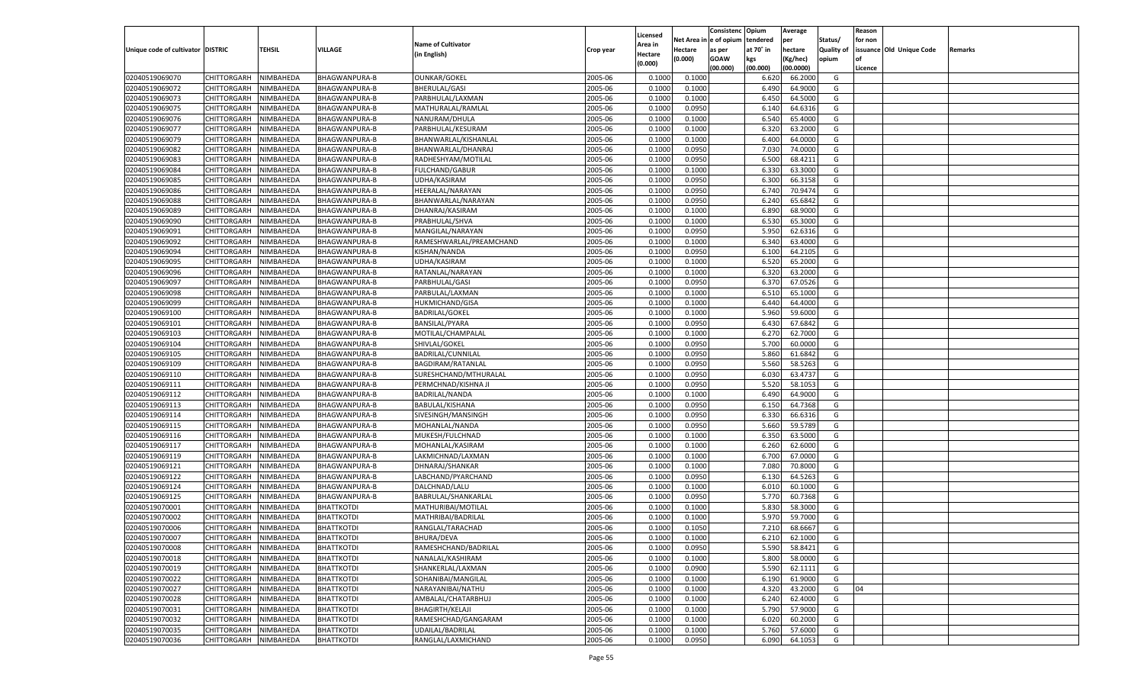|                                   |                       |                  |                      |                                          |                    |                    |            | Consistenc    | Opium          | Average            |            | Reason  |                          |         |
|-----------------------------------|-----------------------|------------------|----------------------|------------------------------------------|--------------------|--------------------|------------|---------------|----------------|--------------------|------------|---------|--------------------------|---------|
|                                   |                       |                  |                      | <b>Name of Cultivator</b>                |                    | Licensed           | Net Area i | n  e of opium | tendered       | per                | Status/    | for non |                          |         |
| Unique code of cultivator DISTRIC |                       | TEHSIL           | <b>VILLAGE</b>       | (in English)                             | Crop year          | Area in<br>Hectare | Hectare    | as per        | at 70° in      | hectare            | Quality of |         | issuance Old Unique Code | Remarks |
|                                   |                       |                  |                      |                                          |                    | (0.000)            | (0.000)    | <b>GOAW</b>   | kgs            | (Kg/hec)           | opium      |         |                          |         |
|                                   |                       |                  |                      |                                          |                    |                    |            | (00.000)      | (00.000)       | (00.0000)          |            | Licence |                          |         |
| 02040519069070                    | CHITTORGARH           | NIMBAHEDA        | BHAGWANPURA-B        | <b>OUNKAR/GOKEL</b>                      | 2005-06            | 0.1000             | 0.1000     |               | 6.620          | 66.2000            | G          |         |                          |         |
| 02040519069072                    | CHITTORGARH           | NIMBAHEDA        | BHAGWANPURA-B        | <b>BHERULAL/GASI</b>                     | 2005-06            | 0.1000             | 0.1000     |               | 6.490          | 64.9000            | G          |         |                          |         |
| 02040519069073                    | CHITTORGARH           | NIMBAHEDA        | <b>BHAGWANPURA-B</b> | PARBHULAL/LAXMAN                         | 2005-06            | 0.1000             | 0.1000     |               | 6.450          | 64.5000            | G          |         |                          |         |
| 02040519069075                    | CHITTORGARH           | NIMBAHEDA        | <b>BHAGWANPURA-B</b> | MATHURALAL/RAMLAL                        | 2005-06            | 0.1000             | 0.0950     |               | 6.140          | 64.6316            | G          |         |                          |         |
| 02040519069076                    | CHITTORGARH           | NIMBAHEDA        | <b>BHAGWANPURA-B</b> | NANURAM/DHULA                            | 2005-06            | 0.1000             | 0.1000     |               | 6.540          | 65.4000            | G          |         |                          |         |
| 02040519069077                    | CHITTORGARH           | NIMBAHEDA        | BHAGWANPURA-B        | PARBHULAL/KESURAM                        | 2005-06            | 0.1000             | 0.1000     |               | 6.320          | 63.2000            | G          |         |                          |         |
| 02040519069079                    | CHITTORGARH           | NIMBAHEDA        | <b>BHAGWANPURA-B</b> | BHANWARLAL/KISHANLAL                     | 2005-06            | 0.1000             | 0.1000     |               | 6.400          | 64.0000            | G          |         |                          |         |
| 02040519069082                    | CHITTORGARH           | NIMBAHEDA        | <b>BHAGWANPURA-B</b> | BHANWARLAL/DHANRAJ                       | 2005-06            | 0.1000             | 0.0950     |               | 7.030          | 74.0000            | G          |         |                          |         |
| 02040519069083                    | CHITTORGARH           | NIMBAHEDA        | <b>BHAGWANPURA-B</b> | RADHESHYAM/MOTILAL                       | 2005-06            | 0.1000             | 0.0950     |               | 6.500          | 68.4211            | G          |         |                          |         |
| 02040519069084                    | CHITTORGARH           | NIMBAHEDA        | BHAGWANPURA-B        | <b>FULCHAND/GABUR</b>                    | 2005-06            | 0.1000             | 0.1000     |               | 6.330          | 63.3000            | G          |         |                          |         |
| 02040519069085                    | CHITTORGARH           | NIMBAHEDA        | <b>BHAGWANPURA-B</b> | UDHA/KASIRAM                             | 2005-06            | 0.1000             | 0.0950     |               | 6.300          | 66.3158            | G          |         |                          |         |
| 02040519069086                    | CHITTORGARH           | NIMBAHEDA        | <b>BHAGWANPURA-B</b> | HEERALAL/NARAYAN                         | 2005-06            | 0.1000             | 0.0950     |               | 6.74           | 70.9474            | G          |         |                          |         |
| 02040519069088                    | CHITTORGARH           | NIMBAHEDA        | <b>BHAGWANPURA-B</b> | BHANWARLAL/NARAYAN                       | 2005-06            | 0.1000             | 0.0950     |               | 6.240          | 65.6842            | G          |         |                          |         |
| 02040519069089                    | CHITTORGARH           | NIMBAHEDA        | BHAGWANPURA-B        | DHANRAJ/KASIRAM                          | 2005-06            | 0.1000             | 0.1000     |               | 6.890          | 68.9000            | G          |         |                          |         |
| 02040519069090                    | CHITTORGARH           | NIMBAHEDA        | <b>BHAGWANPURA-B</b> | PRABHULAL/SHVA                           | 2005-06            | 0.1000             | 0.1000     |               | 6.530          | 65.3000            | G          |         |                          |         |
| 02040519069091                    | CHITTORGARH           | NIMBAHEDA        | BHAGWANPURA-B        | MANGILAL/NARAYAN                         | 2005-06            | 0.1000             | 0.0950     |               | 5.950          | 62.6316            | G          |         |                          |         |
| 02040519069092                    | CHITTORGARH           | NIMBAHEDA        | <b>BHAGWANPURA-B</b> | RAMESHWARLAL/PREAMCHAND                  | 2005-06            | 0.1000             | 0.1000     |               | 6.340          | 63.4000            | G          |         |                          |         |
| 02040519069094                    | CHITTORGARH           | NIMBAHEDA        | BHAGWANPURA-B        | KISHAN/NANDA                             | 2005-06            | 0.1000             | 0.0950     |               | 6.100          | 64.2105            | G          |         |                          |         |
| 02040519069095                    | CHITTORGARH           | NIMBAHEDA        | <b>BHAGWANPURA-B</b> | UDHA/KASIRAM                             | 2005-06            | 0.1000             | 0.1000     |               | 6.520          | 65.2000            | G          |         |                          |         |
| 02040519069096                    | CHITTORGARH           | NIMBAHEDA        | BHAGWANPURA-B        | RATANLAL/NARAYAN                         | 2005-06            | 0.1000             | 0.1000     |               | 6.320          | 63.2000            | G          |         |                          |         |
| 02040519069097                    | CHITTORGARH           | NIMBAHEDA        | <b>BHAGWANPURA-B</b> | PARBHULAL/GASI                           | 2005-06            | 0.1000             | 0.0950     |               | 6.370          | 67.0526            | G          |         |                          |         |
| 02040519069098                    | CHITTORGARH           | NIMBAHEDA        | BHAGWANPURA-B        | PARBULAL/LAXMAN                          | 2005-06            | 0.1000             | 0.1000     |               | 6.510          | 65.1000            | G          |         |                          |         |
| 02040519069099                    | CHITTORGARH           | NIMBAHEDA        | <b>BHAGWANPURA-B</b> | <b>HUKMICHAND/GISA</b>                   | 2005-06            | 0.1000             | 0.1000     |               | 6.440          | 64.4000            | G          |         |                          |         |
| 02040519069100                    | CHITTORGARH           | NIMBAHEDA        | <b>BHAGWANPURA-B</b> | <b>BADRILAL/GOKEL</b>                    | 2005-06            | 0.1000             | 0.1000     |               | 5.960          | 59.6000            | G          |         |                          |         |
| 02040519069101                    | CHITTORGARH           | NIMBAHEDA        | <b>BHAGWANPURA-B</b> | <b>BANSILAL/PYARA</b>                    | 2005-06            | 0.1000             | 0.0950     |               | 6.430          | 67.6842            | G          |         |                          |         |
| 02040519069103                    | CHITTORGARH           | NIMBAHEDA        | BHAGWANPURA-B        | MOTILAL/CHAMPALAL                        | 2005-06            | 0.1000             | 0.1000     |               | 6.270          | 62.7000            | G          |         |                          |         |
| 02040519069104                    | CHITTORGARH           | NIMBAHEDA        | <b>BHAGWANPURA-B</b> | SHIVLAL/GOKEL                            | 2005-06            | 0.1000             | 0.0950     |               | 5.700          | 60.0000            | G          |         |                          |         |
| 02040519069105                    | CHITTORGARH           | NIMBAHEDA        | <b>BHAGWANPURA-B</b> | BADRILAL/CUNNILAL                        | 2005-06            | 0.1000             | 0.0950     |               | 5.860          | 61.6842            | G          |         |                          |         |
| 02040519069109                    | CHITTORGARH           | NIMBAHEDA        | <b>BHAGWANPURA-B</b> | BAGDIRAM/RATANLAL                        | 2005-06            | 0.1000             | 0.0950     |               | 5.560          | 58.5263            | G          |         |                          |         |
| 02040519069110                    | CHITTORGARH           | NIMBAHEDA        | <b>BHAGWANPURA-B</b> | SURESHCHAND/MTHURALAL                    | 2005-06            | 0.1000             | 0.0950     |               | 6.030          | 63.4737            | G          |         |                          |         |
| 02040519069111                    | CHITTORGARH           | NIMBAHEDA        | <b>BHAGWANPURA-B</b> | PERMCHNAD/KISHNA JI                      | 2005-06            | 0.1000             | 0.0950     |               | 5.520          | 58.105             | G          |         |                          |         |
| 02040519069112                    | CHITTORGARH           | NIMBAHEDA        | <b>BHAGWANPURA-B</b> | BADRILAL/NANDA                           | 2005-06            | 0.1000             | 0.1000     |               | 6.490          | 64.9000            | G          |         |                          |         |
| 02040519069113                    | CHITTORGARH           | NIMBAHEDA        | <b>BHAGWANPURA-B</b> | BABULAL/KISHANA                          | 2005-06            | 0.1000             | 0.0950     |               | 6.150          | 64.7368            | G          |         |                          |         |
| 02040519069114                    | CHITTORGARH           | NIMBAHEDA        | <b>BHAGWANPURA-B</b> | SIVESINGH/MANSINGH                       | 2005-06            | 0.1000             | 0.0950     |               | 6.330          | 66.6316            | G          |         |                          |         |
| 02040519069115                    | CHITTORGARH           | NIMBAHEDA        | <b>BHAGWANPURA-B</b> | MOHANLAL/NANDA                           | 2005-06            | 0.1000             | 0.0950     |               | 5.660          | 59.5789            | G          |         |                          |         |
| 02040519069116                    | CHITTORGARH           | NIMBAHEDA        | <b>BHAGWANPURA-B</b> | MUKESH/FULCHNAD                          | 2005-06            | 0.1000             | 0.1000     |               | 6.350          | 63.5000            | G          |         |                          |         |
| 02040519069117                    | CHITTORGARH           | NIMBAHEDA        | <b>BHAGWANPURA-B</b> | MOHANLAL/KASIRAM                         | 2005-06            | 0.1000             | 0.1000     |               | 6.260          | 62.6000            | G          |         |                          |         |
| 02040519069119                    | CHITTORGARH           | NIMBAHEDA        | <b>BHAGWANPURA-B</b> | LAKMICHNAD/LAXMAN                        | 2005-06            | 0.1000             | 0.1000     |               | 6.700          | 67.0000            | G          |         |                          |         |
| 02040519069121                    | CHITTORGARH           | NIMBAHEDA        | <b>BHAGWANPURA-B</b> | DHNARAJ/SHANKAR                          | 2005-06            | 0.1000             | 0.1000     |               | 7.080          | 70.8000            | G          |         |                          |         |
| 02040519069122                    | CHITTORGARH           | NIMBAHEDA        | <b>BHAGWANPURA-B</b> | LABCHAND/PYARCHAND                       | 2005-06            | 0.1000             | 0.0950     |               | 6.13(          | 64.5263            | G          |         |                          |         |
| 02040519069124                    | CHITTORGARH           | NIMBAHEDA        | <b>BHAGWANPURA-B</b> | DALCHNAD/LALU                            | 2005-06            | 0.1000             | 0.1000     |               | 6.010          | 60.1000            | G          |         |                          |         |
| 02040519069125                    | CHITTORGARH           | NIMBAHEDA        | <b>BHAGWANPURA-B</b> | BABRULAL/SHANKARLAL                      | 2005-06            | 0.1000             | 0.0950     |               | 5.770          | 60.7368            | G          |         |                          |         |
|                                   |                       | NIMBAHEDA        |                      |                                          |                    |                    |            |               |                |                    |            |         |                          |         |
| 02040519070001                    | CHITTORGARH           |                  | <b>BHATTKOTDI</b>    | MATHURIBAI/MOTILAL<br>MATHRIBAI/BADRILAL | 2005-06            | 0.1000             | 0.1000     |               | 5.830<br>5.970 | 58.3000            | G          |         |                          |         |
| 02040519070002                    | CHITTORGARH           | NIMBAHEDA        | <b>BHATTKOTDI</b>    |                                          | 2005-06<br>2005-06 | 0.1000             | 0.1000     |               | 7.210          | 59.7000<br>68.6667 | G          |         |                          |         |
| 02040519070006                    | CHITTORGARH           | NIMBAHEDA        | <b>BHATTKOTDI</b>    | RANGLAL/TARACHAD                         |                    | 0.1000             | 0.1050     |               |                |                    | G          |         |                          |         |
| 02040519070007                    | CHITTORGARH NIMBAHEDA |                  | <b>BHATTKOTDI</b>    | <b>BHURA/DEVA</b>                        | 2005-06            | 0.1000             | 0.1000     |               | 6.210          | 62.1000            | G          |         |                          |         |
| 02040519070008                    | <b>CHITTORGARH</b>    | <b>NIMBAHEDA</b> | <b>BHATTKOTDI</b>    | RAMESHCHAND/BADRILAL                     | 2005-06            | 0.1000             | 0.0950     |               | 5.590          | 58.8421            | G          |         |                          |         |
| 02040519070018                    | CHITTORGARH           | NIMBAHEDA        | <b>BHATTKOTDI</b>    | NANALAL/KASHIRAM                         | 2005-06            | 0.1000             | 0.1000     |               | 5.800          | 58.0000            | G          |         |                          |         |
| 02040519070019                    | CHITTORGARH           | NIMBAHEDA        | <b>BHATTKOTDI</b>    | SHANKERLAL/LAXMAN                        | 2005-06            | 0.1000             | 0.0900     |               | 5.590          | 62.1111            | G          |         |                          |         |
| 02040519070022                    | CHITTORGARH           | NIMBAHEDA        | <b>BHATTKOTDI</b>    | SOHANIBAI/MANGILAL                       | 2005-06            | 0.1000             | 0.1000     |               | 6.190          | 61.9000            | G          |         |                          |         |
| 02040519070027                    | CHITTORGARH           | NIMBAHEDA        | <b>BHATTKOTDI</b>    | NARAYANIBAI/NATHU                        | 2005-06            | 0.1000             | 0.1000     |               | 4.320          | 43.2000            | G          | 04      |                          |         |
| 02040519070028                    | <b>CHITTORGARH</b>    | NIMBAHEDA        | <b>BHATTKOTDI</b>    | AMBALAL/CHATARBHUJ                       | 2005-06            | 0.1000             | 0.1000     |               | 6.240          | 62.4000            | G          |         |                          |         |
| 02040519070031                    | CHITTORGARH           | NIMBAHEDA        | <b>BHATTKOTDI</b>    | <b>BHAGIRTH/KELAJI</b>                   | 2005-06            | 0.1000             | 0.1000     |               | 5.790          | 57.9000            | G          |         |                          |         |
| 02040519070032                    | <b>CHITTORGARH</b>    | NIMBAHEDA        | <b>BHATTKOTDI</b>    | RAMESHCHAD/GANGARAM                      | 2005-06            | 0.1000             | 0.1000     |               | 6.020          | 60.2000            | G          |         |                          |         |
| 02040519070035                    | <b>CHITTORGARH</b>    | NIMBAHEDA        | <b>BHATTKOTDI</b>    | UDAILAL/BADRILAL                         | 2005-06            | 0.1000             | 0.1000     |               | 5.760          | 57.6000            | G          |         |                          |         |
| 02040519070036                    | <b>CHITTORGARH</b>    | NIMBAHEDA        | <b>BHATTKOTDI</b>    | RANGLAL/LAXMICHAND                       | 2005-06            | 0.1000             | 0.0950     |               | 6.090          | 64.1053            | G          |         |                          |         |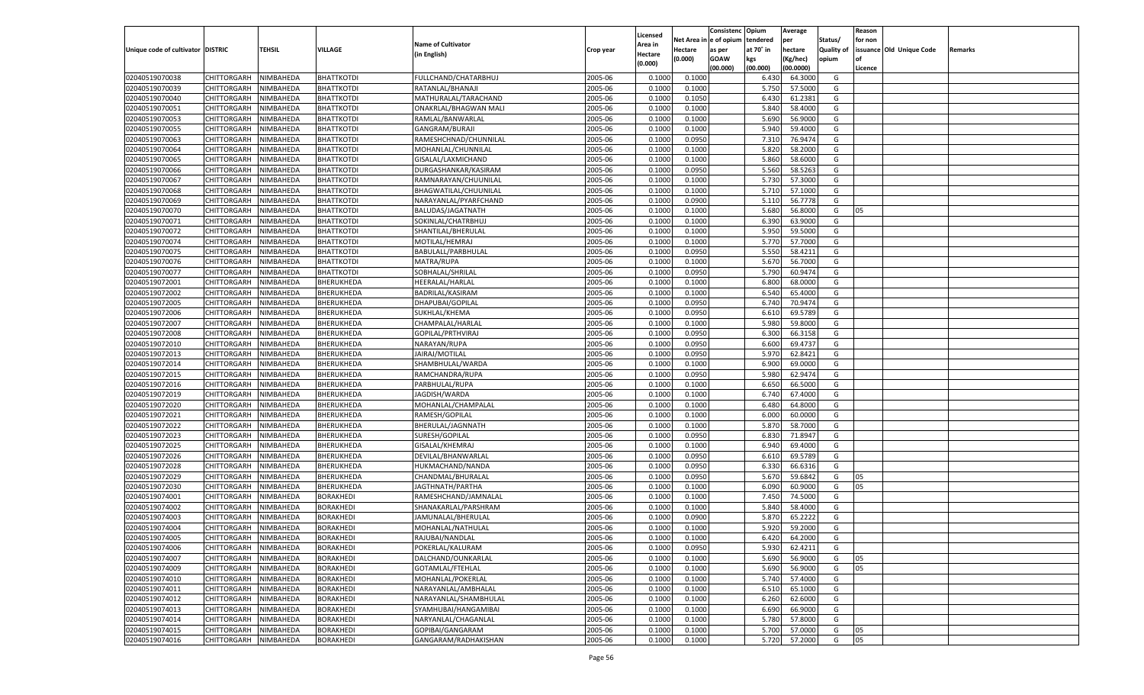|                                   |                                      |           |                                      |                                        |                    |                    |                  | Consistenc    | Opium     | Average            |            | Reason  |                          |         |
|-----------------------------------|--------------------------------------|-----------|--------------------------------------|----------------------------------------|--------------------|--------------------|------------------|---------------|-----------|--------------------|------------|---------|--------------------------|---------|
|                                   |                                      |           |                                      |                                        |                    | Licensed           | Net Area i       | n  e of opium | tendered  | per                | Status/    | for non |                          |         |
| Unique code of cultivator DISTRIC |                                      | TEHSIL    | VILLAGE                              | <b>Name of Cultivator</b>              | Crop year          | Area in            | Hectare          | as per        | at 70° in | hectare            | Quality of |         | issuance Old Unique Code | Remarks |
|                                   |                                      |           |                                      | (in English)                           |                    | Hectare<br>(0.000) | (0.000)          | <b>GOAW</b>   | kgs       | (Kg/hec)           | opium      |         |                          |         |
|                                   |                                      |           |                                      |                                        |                    |                    |                  | (00.000)      | (00.000)  | (00.0000)          |            | Licence |                          |         |
| 02040519070038                    | CHITTORGARH                          | NIMBAHEDA | <b>BHATTKOTDI</b>                    | FULLCHAND/CHATARBHUJ                   | 2005-06            | 0.1000             | 0.1000           |               | 6.430     | 64.3000            | G          |         |                          |         |
| 02040519070039                    | CHITTORGARH                          | NIMBAHEDA | <b>BHATTKOTDI</b>                    | RATANLAL/BHANAJI                       | 2005-06            | 0.1000             | 0.1000           |               | 5.750     | 57.5000            | G          |         |                          |         |
| 02040519070040                    | CHITTORGARH                          | NIMBAHEDA | <b>BHATTKOTDI</b>                    | MATHURALAL/TARACHAND                   | 2005-06            | 0.1000             | 0.1050           |               | 6.430     | 61.2381            | G          |         |                          |         |
| 02040519070051                    | CHITTORGARH                          | NIMBAHEDA | <b>BHATTKOTDI</b>                    | ONAKRLAL/BHAGWAN MALI                  | 2005-06            | 0.1000             | 0.1000           |               | 5.840     | 58.4000            | G          |         |                          |         |
| 02040519070053                    | CHITTORGARH                          | NIMBAHEDA | <b>BHATTKOTDI</b>                    | RAMLAL/BANWARLAL                       | 2005-06            | 0.1000             | 0.1000           |               | 5.690     | 56.9000            | G          |         |                          |         |
| 02040519070055                    | CHITTORGARH                          | NIMBAHEDA | <b>BHATTKOTDI</b>                    | GANGRAM/BURAJI                         | 2005-06            | 0.1000             | 0.1000           |               | 5.940     | 59.4000            | G          |         |                          |         |
| 02040519070063                    | CHITTORGARH                          | NIMBAHEDA | <b>BHATTKOTDI</b>                    | RAMESHCHNAD/CHUNNILAL                  | 2005-06            | 0.1000             | 0.0950           |               | 7.310     | 76.9474            | G          |         |                          |         |
| 02040519070064                    | CHITTORGARH                          | NIMBAHEDA | <b>BHATTKOTDI</b>                    | MOHANLAL/CHUNNILAL                     | 2005-06            | 0.1000             | 0.1000           |               | 5.820     | 58.2000            | G          |         |                          |         |
| 02040519070065                    | CHITTORGARH                          | NIMBAHEDA | <b>BHATTKOTDI</b>                    | GISALAL/LAXMICHAND                     | 2005-06            | 0.1000             | 0.1000           |               | 5.860     | 58.6000            | G          |         |                          |         |
| 02040519070066                    | CHITTORGARH                          | NIMBAHEDA | <b>BHATTKOTDI</b>                    | DURGASHANKAR/KASIRAM                   | 2005-06            | 0.1000             | 0.0950           |               | 5.560     | 58.5263            | G          |         |                          |         |
| 02040519070067                    | CHITTORGARH                          | NIMBAHEDA | <b>BHATTKOTDI</b>                    | RAMNARAYAN/CHUUNILAL                   | 2005-06            | 0.1000             | 0.1000           |               | 5.730     | 57.3000            | G          |         |                          |         |
| 02040519070068                    | CHITTORGARH                          | NIMBAHEDA | <b>BHATTKOTDI</b>                    | BHAGWATILAL/CHUUNILAL                  | 2005-06            | 0.1000             | 0.1000           |               | 5.710     | 57.1000            | G          |         |                          |         |
| 02040519070069                    | CHITTORGARH                          | NIMBAHEDA | <b>BHATTKOTDI</b>                    | NARAYANLAL/PYARFCHAND                  | 2005-06            | 0.1000             | 0.0900           |               | 5.110     | 56.7778            | G          |         |                          |         |
| 02040519070070                    | CHITTORGARH                          | NIMBAHEDA | <b>BHATTKOTDI</b>                    | BALUDAS/JAGATNATH                      | 2005-06            | 0.1000             | 0.1000           |               | 5.680     | 56.8000            | G          | 05      |                          |         |
| 02040519070071                    | CHITTORGARH                          | NIMBAHEDA | <b>BHATTKOTDI</b>                    | SOKINLAL/CHATRBHUJ                     | 2005-06            | 0.1000             | 0.1000           |               | 6.390     | 63.9000            | G          |         |                          |         |
| 02040519070072                    | CHITTORGARH                          | NIMBAHEDA | BHATTKOTDI                           | SHANTILAL/BHERULAL                     | 2005-06            | 0.1000             | 0.1000           |               | 5.950     | 59.5000            | G          |         |                          |         |
| 02040519070074                    | CHITTORGARH                          | NIMBAHEDA | <b>BHATTKOTDI</b>                    | MOTILAL/HEMRAJ                         | 2005-06            | 0.1000             | 0.1000           |               | 5.770     | 57.7000            | G          |         |                          |         |
| 02040519070075                    | CHITTORGARH                          | NIMBAHEDA | <b>BHATTKOTDI</b>                    | BABULALL/PARBHULAL                     | 2005-06            | 0.1000             | 0.0950           |               | 5.550     | 58.4211            | G          |         |                          |         |
| 02040519070076                    | CHITTORGARH                          | NIMBAHEDA | <b>BHATTKOTDI</b>                    | MATRA/RUPA                             | 2005-06            | 0.1000             | 0.1000           |               | 5.670     | 56.7000            | G          |         |                          |         |
| 02040519070077                    | CHITTORGARH                          | NIMBAHEDA | <b>BHATTKOTDI</b>                    | SOBHALAL/SHRILAL                       | 2005-06            | 0.1000             | 0.0950           |               | 5.790     | 60.9474            | G          |         |                          |         |
| 02040519072001                    | CHITTORGARH                          | NIMBAHEDA | BHERUKHEDA                           | HEERALAL/HARLAL                        | 2005-06            | 0.1000             | 0.1000           |               | 6.800     | 68.0000            | G          |         |                          |         |
| 02040519072002                    | CHITTORGARH                          | NIMBAHEDA | BHERUKHEDA                           | <b>BADRILAL/KASIRAM</b>                | 2005-06            | 0.1000             | 0.1000           |               | 6.540     | 65.4000            | G          |         |                          |         |
| 02040519072005                    | CHITTORGARH                          | NIMBAHEDA | BHERUKHEDA                           | DHAPUBAI/GOPILAL                       | 2005-06            | 0.1000             | 0.0950           |               | 6.740     | 70.9474            | G          |         |                          |         |
| 02040519072006                    | CHITTORGARH                          | NIMBAHEDA | BHERUKHEDA                           | SUKHLAL/KHEMA                          | 2005-06            | 0.1000             | 0.0950           |               | 6.610     | 69.5789            | G          |         |                          |         |
| 02040519072007                    | CHITTORGARH                          | NIMBAHEDA | BHERUKHEDA                           | CHAMPALAL/HARLAL                       | 2005-06            | 0.1000             | 0.1000           |               | 5.980     | 59.8000            | G          |         |                          |         |
| 02040519072008                    | CHITTORGARH                          | NIMBAHEDA | BHERUKHEDA                           | GOPILAL/PRTHVIRAJ                      | 2005-06            | 0.1000             | 0.0950           |               | 6.300     | 66.3158            | G          |         |                          |         |
| 02040519072010                    | CHITTORGARH                          | NIMBAHEDA | BHERUKHEDA                           | NARAYAN/RUPA                           | 2005-06            | 0.1000             | 0.0950           |               | 6.600     | 69.4737            | G          |         |                          |         |
| 02040519072013                    | CHITTORGARH                          | NIMBAHEDA | BHERUKHEDA                           | JAIRAJ/MOTILAL                         | 2005-06            | 0.1000             | 0.0950           |               | 5.970     | 62.8421            | G          |         |                          |         |
| 02040519072014                    | CHITTORGARH                          | NIMBAHEDA | BHERUKHEDA                           | SHAMBHULAL/WARDA                       | 2005-06            | 0.1000             | 0.1000           |               | 6.900     | 69.0000            | G          |         |                          |         |
| 02040519072015                    | CHITTORGARH                          | NIMBAHEDA | BHERUKHEDA                           | RAMCHANDRA/RUPA                        | 2005-06            | 0.1000             | 0.0950           |               | 5.980     | 62.9474            | G          |         |                          |         |
| 02040519072016                    | CHITTORGARH                          | NIMBAHEDA | BHERUKHEDA                           | PARBHULAL/RUPA                         | 2005-06            | 0.1000             | 0.1000           |               | 6.650     | 66.5000            | G          |         |                          |         |
| 02040519072019                    | CHITTORGARH                          | NIMBAHEDA | BHERUKHEDA                           | JAGDISH/WARDA                          | 2005-06            | 0.1000             | 0.1000           |               | 6.740     | 67.4000            | G          |         |                          |         |
| 02040519072020                    | CHITTORGARH                          | NIMBAHEDA | BHERUKHEDA                           | MOHANLAL/CHAMPALAL                     | 2005-06            | 0.1000             | 0.1000           |               | 6.480     | 64.8000            | G          |         |                          |         |
| 02040519072021                    | CHITTORGARH                          | NIMBAHEDA | BHERUKHEDA                           | RAMESH/GOPILAL                         | 2005-06            | 0.1000             | 0.1000           |               | 6.000     | 60.0000            | G          |         |                          |         |
| 02040519072022                    | CHITTORGARH                          | NIMBAHEDA | BHERUKHEDA                           | BHERULAL/JAGNNATH                      | 2005-06            | 0.1000             | 0.1000           |               | 5.870     | 58.7000            | G          |         |                          |         |
| 02040519072023                    | CHITTORGARH                          | NIMBAHEDA | BHERUKHEDA                           | SURESH/GOPILAL                         | 2005-06            | 0.1000             | 0.0950           |               | 6.830     | 71.8947            | G          |         |                          |         |
| 02040519072025                    | CHITTORGARH                          | NIMBAHEDA | BHERUKHEDA                           | GISALAL/KHEMRAJ                        | 2005-06            | 0.1000             | 0.1000           |               | 6.940     | 69.4000            | G          |         |                          |         |
| 02040519072026                    | CHITTORGARH                          | NIMBAHEDA | BHERUKHEDA                           | DEVILAL/BHANWARLAL                     | 2005-06            | 0.1000             | 0.0950           |               | 6.610     | 69.5789            | G          |         |                          |         |
| 02040519072028                    | CHITTORGARH                          | NIMBAHEDA | BHERUKHEDA                           | HUKMACHAND/NANDA                       | 2005-06            | 0.1000             | 0.0950           |               | 6.330     | 66.6316            | G          |         |                          |         |
| 02040519072029                    | CHITTORGARH                          | NIMBAHEDA | BHERUKHEDA                           | CHANDMAL/BHURALAL                      | 2005-06            | 0.1000             | 0.0950           |               | 5.670     | 59.6842            | G          | 05      |                          |         |
| 02040519072030                    | CHITTORGARH                          | NIMBAHEDA | BHERUKHEDA                           | JAGTHNATH/PARTHA                       | 2005-06            | 0.1000             | 0.1000           |               | 6.090     | 60.9000            | G          | 05      |                          |         |
| 02040519074001                    | CHITTORGARH                          | NIMBAHEDA | <b>BORAKHEDI</b>                     | RAMESHCHAND/JAMNALAL                   | 2005-06            | 0.1000             | 0.1000           |               | 7.450     | 74.5000            | G          |         |                          |         |
| 02040519074002                    | CHITTORGARH                          | NIMBAHEDA | <b>BORAKHEDI</b>                     | SHANAKARLAL/PARSHRAM                   | 2005-06            | 0.1000             | 0.1000           |               | 5.84      | 58.4000            | G          |         |                          |         |
| 02040519074003                    | CHITTORGARH                          | NIMBAHEDA | <b>BORAKHEDI</b>                     | JAMUNALAL/BHERULAL                     | 2005-06            | 0.1000             | 0.0900           |               | 5.870     | 65.2222            | G          |         |                          |         |
| 02040519074004                    |                                      | NIMBAHEDA | <b>BORAKHEDI</b>                     |                                        | 2005-06            | 0.1000             | 0.1000           |               | 5.920     | 59.2000            | G          |         |                          |         |
|                                   | CHITTORGARH<br>CHITTORGARH NIMBAHEDA |           |                                      | MOHANLAL/NATHULAL                      |                    |                    |                  |               |           |                    |            |         |                          |         |
| 02040519074005                    |                                      |           | <b>BORAKHEDI</b><br><b>BORAKHEDI</b> | RAJUBAI/NANDLAL<br>POKERLAL/KALURAM    | 2005-06<br>2005-06 | 0.1000<br>0.1000   | 0.1000<br>0.0950 |               | 6.420     | 64.2000<br>62.4211 | G          |         |                          |         |
| 02040519074006                    | <b>CHITTORGARH</b>                   | NIMBAHEDA |                                      |                                        |                    |                    |                  |               | 5.930     |                    | G          |         |                          |         |
| 02040519074007                    | CHITTORGARH                          | NIMBAHEDA | <b>BORAKHEDI</b>                     | DALCHAND/OUNKARLAL<br>GOTAMLAL/FTEHLAL | 2005-06<br>2005-06 | 0.1000             | 0.1000           |               | 5.690     | 56.9000            | G          | 05      |                          |         |
| 02040519074009                    | CHITTORGARH                          | NIMBAHEDA | <b>BORAKHEDI</b>                     |                                        |                    | 0.1000             | 0.1000           |               | 5.690     | 56.9000            | G          | 05      |                          |         |
| 02040519074010                    | <b>CHITTORGARH</b>                   | NIMBAHEDA | <b>BORAKHEDI</b>                     | MOHANLAL/POKERLAL                      | 2005-06            | 0.1000             | 0.1000           |               | 5.740     | 57.4000            | G          |         |                          |         |
| 02040519074011                    | CHITTORGARH                          | NIMBAHEDA | <b>BORAKHEDI</b>                     | NARAYANLAL/AMBHALAL                    | 2005-06            | 0.1000             | 0.1000           |               | 6.510     | 65.1000            | G          |         |                          |         |
| 02040519074012                    | <b>CHITTORGARH</b>                   | NIMBAHEDA | <b>BORAKHEDI</b>                     | NARAYANLAL/SHAMBHULAL                  | 2005-06            | 0.1000             | 0.1000           |               | 6.260     | 62.6000            | G          |         |                          |         |
| 02040519074013                    | CHITTORGARH                          | NIMBAHEDA | <b>BORAKHEDI</b>                     | SYAMHUBAI/HANGAMIBAI                   | 2005-06            | 0.1000             | 0.1000           |               | 6.690     | 66.9000            | G          |         |                          |         |
| 02040519074014                    | CHITTORGARH                          | NIMBAHEDA | <b>BORAKHEDI</b>                     | NARYANLAL/CHAGANLAL                    | 2005-06            | 0.1000             | 0.1000           |               | 5.780     | 57.8000            | G          |         |                          |         |
| 02040519074015                    | <b>CHITTORGARH</b>                   | NIMBAHEDA | <b>BORAKHEDI</b>                     | GOPIBAI/GANGARAM                       | 2005-06            | 0.1000             | 0.1000           |               | 5.700     | 57.0000            | G          | 05      |                          |         |
| 02040519074016                    | CHITTORGARH                          | NIMBAHEDA | <b>BORAKHEDI</b>                     | GANGARAM/RADHAKISHAN                   | 2005-06            | 0.1000             | 0.1000           |               | 5.720     | 57.2000            | G          | 05      |                          |         |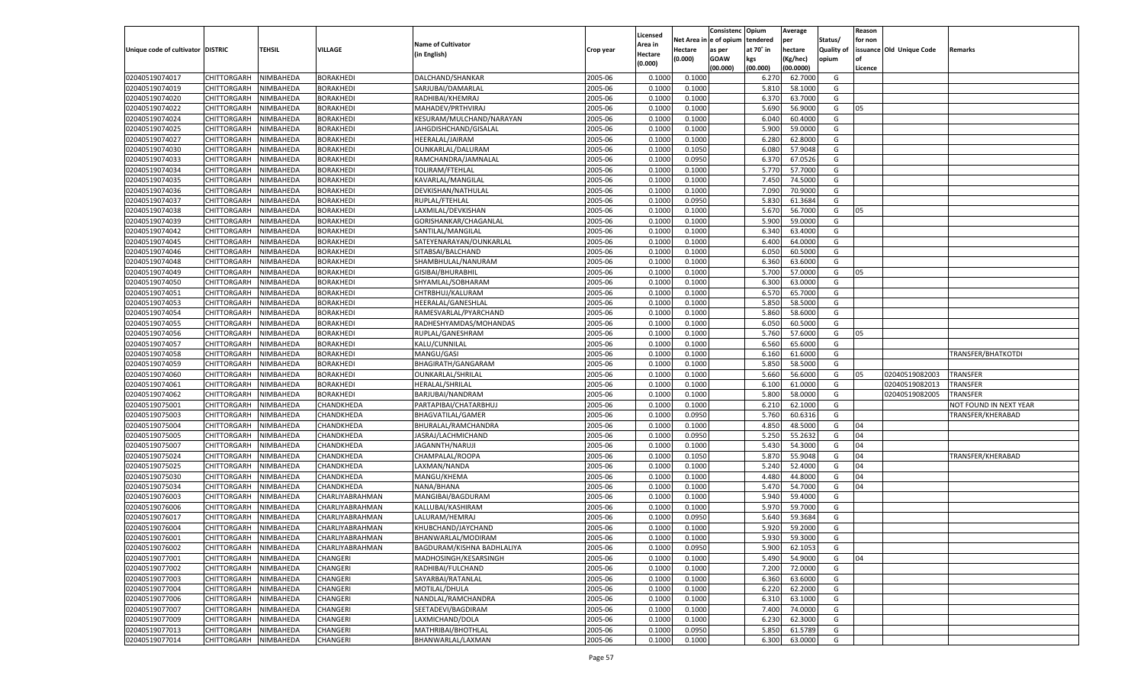|                                   |                       |           |                  |                            |           |          |            | Consistenc    | Opium     | Average   |            | Reason  |                          |                        |
|-----------------------------------|-----------------------|-----------|------------------|----------------------------|-----------|----------|------------|---------------|-----------|-----------|------------|---------|--------------------------|------------------------|
|                                   |                       |           |                  | <b>Name of Cultivator</b>  |           | Licensed | Net Area i | n  e of opium | tendered  | per       | Status/    | for non |                          |                        |
| Unique code of cultivator DISTRIC |                       | TEHSIL    | VILLAGE          |                            | Crop year | Area in  | Hectare    | as per        | at 70° in | hectare   | Quality of |         | issuance Old Unique Code | Remarks                |
|                                   |                       |           |                  | (in English)               |           | Hectare  | (0.000)    | <b>GOAW</b>   | kgs       | (Kg/hec)  | opium      |         |                          |                        |
|                                   |                       |           |                  |                            |           | (0.000)  |            | (00.000)      | (00.000)  | (00.0000) |            | Licence |                          |                        |
| 02040519074017                    | CHITTORGARH           | NIMBAHEDA | <b>BORAKHEDI</b> | DALCHAND/SHANKAR           | 2005-06   | 0.1000   | 0.1000     |               | 6.27      | 62.7000   | G          |         |                          |                        |
| 02040519074019                    | CHITTORGARH           | NIMBAHEDA | <b>BORAKHEDI</b> | SARJUBAI/DAMARLAL          | 2005-06   | 0.100    | 0.1000     |               | 5.810     | 58.1000   | G          |         |                          |                        |
| 02040519074020                    | CHITTORGARH           | NIMBAHEDA | <b>BORAKHEDI</b> | RADHIBAI/KHEMRAJ           | 2005-06   | 0.1000   | 0.1000     |               | 6.370     | 63.7000   | G          |         |                          |                        |
| 02040519074022                    | CHITTORGARH           | NIMBAHEDA | <b>BORAKHEDI</b> | MAHADEV/PRTHVIRAJ          | 2005-06   | 0.1000   | 0.1000     |               | 5.690     | 56.9000   | G          | 05      |                          |                        |
| 02040519074024                    | CHITTORGARH           | NIMBAHEDA | BORAKHEDI        | KESURAM/MULCHAND/NARAYAN   | 2005-06   | 0.1000   | 0.1000     |               | 6.040     | 60.4000   | G          |         |                          |                        |
| 02040519074025                    | CHITTORGARH           | NIMBAHEDA | BORAKHEDI        | JAHGDISHCHAND/GISALAL      | 2005-06   | 0.1000   | 0.1000     |               | 5.900     | 59.0000   | G          |         |                          |                        |
| 02040519074027                    | CHITTORGARH           | NIMBAHEDA | <b>BORAKHEDI</b> | HEERALAL/JAIRAM            | 2005-06   | 0.1000   | 0.1000     |               | 6.280     | 62.8000   | G          |         |                          |                        |
| 02040519074030                    | CHITTORGARH           | NIMBAHEDA | <b>BORAKHEDI</b> | OUNKARLAL/DALURAM          | 2005-06   | 0.1000   | 0.1050     |               | 6.080     | 57.9048   | G          |         |                          |                        |
| 02040519074033                    | CHITTORGARH           | NIMBAHEDA | BORAKHEDI        | RAMCHANDRA/JAMNALAL        | 2005-06   | 0.1000   | 0.0950     |               | 6.370     | 67.0526   | G          |         |                          |                        |
| 02040519074034                    |                       |           |                  | TOLIRAM/FTEHLAL            | 2005-06   |          |            |               | 5.770     |           | G          |         |                          |                        |
| 02040519074035                    | CHITTORGARH           | NIMBAHEDA | BORAKHEDI        |                            |           | 0.1000   | 0.1000     |               |           | 57.7000   |            |         |                          |                        |
|                                   | CHITTORGARH           | NIMBAHEDA | <b>BORAKHEDI</b> | KAVARLAL/MANGILAL          | 2005-06   | 0.1000   | 0.1000     |               | 7.450     | 74.5000   | G          |         |                          |                        |
| 02040519074036                    | CHITTORGARH           | NIMBAHEDA | <b>BORAKHEDI</b> | DEVKISHAN/NATHULAL         | 2005-06   | 0.1000   | 0.1000     |               | 7.090     | 70.9000   | G          |         |                          |                        |
| 02040519074037                    | CHITTORGARH           | NIMBAHEDA | BORAKHEDI        | RUPLAL/FTEHLAL             | 2005-06   | 0.1000   | 0.0950     |               | 5.830     | 61.3684   | G          |         |                          |                        |
| 02040519074038                    | CHITTORGARH           | NIMBAHEDA | BORAKHEDI        | LAXMILAL/DEVKISHAN         | 2005-06   | 0.1000   | 0.1000     |               | 5.670     | 56.7000   | G          | 05      |                          |                        |
| 02040519074039                    | CHITTORGARH           | NIMBAHEDA | <b>BORAKHEDI</b> | GORISHANKAR/CHAGANLAL      | 2005-06   | 0.1000   | 0.1000     |               | 5.900     | 59.0000   | G          |         |                          |                        |
| 02040519074042                    | CHITTORGARH           | NIMBAHEDA | BORAKHEDI        | SANTILAL/MANGILAL          | 2005-06   | 0.1000   | 0.1000     |               | 6.340     | 63.4000   | G          |         |                          |                        |
| 02040519074045                    | CHITTORGARH           | NIMBAHEDA | BORAKHEDI        | SATEYENARAYAN/OUNKARLAL    | 2005-06   | 0.1000   | 0.1000     |               | 6.400     | 64.0000   | G          |         |                          |                        |
| 02040519074046                    | CHITTORGARH           | NIMBAHEDA | BORAKHEDI        | SITABSAI/BALCHAND          | 2005-06   | 0.1000   | 0.1000     |               | 6.050     | 60.5000   | G          |         |                          |                        |
| 02040519074048                    | CHITTORGARH           | NIMBAHEDA | <b>BORAKHEDI</b> | SHAMBHULAL/NANURAM         | 2005-06   | 0.1000   | 0.1000     |               | 6.360     | 63.6000   | G          |         |                          |                        |
| 02040519074049                    | CHITTORGARH           | NIMBAHEDA | BORAKHEDI        | GISIBAI/BHURABHIL          | 2005-06   | 0.1000   | 0.1000     |               | 5.700     | 57.0000   | G          | 05      |                          |                        |
| 02040519074050                    | CHITTORGARH           | NIMBAHEDA | BORAKHEDI        | SHYAMLAL/SOBHARAM          | 2005-06   | 0.1000   | 0.1000     |               | 6.300     | 63.0000   | G          |         |                          |                        |
| 02040519074051                    | CHITTORGARH           | NIMBAHEDA | BORAKHEDI        | CHTRBHUJ/KALURAM           | 2005-06   | 0.1000   | 0.1000     |               | 6.570     | 65.7000   | G          |         |                          |                        |
| 02040519074053                    | CHITTORGARH           | NIMBAHEDA | <b>BORAKHEDI</b> | HEERALAL/GANESHLAI         | 2005-06   | 0.1000   | 0.1000     |               | 5.850     | 58.5000   | G          |         |                          |                        |
| 02040519074054                    | CHITTORGARH           | NIMBAHEDA | BORAKHEDI        | RAMESVARLAL/PYARCHAND      | 2005-06   | 0.1000   | 0.1000     |               | 5.860     | 58.6000   | G          |         |                          |                        |
| 02040519074055                    | CHITTORGARH           | NIMBAHEDA | BORAKHEDI        | RADHESHYAMDAS/MOHANDAS     | 2005-06   | 0.1000   | 0.1000     |               | 6.050     | 60.5000   | G          |         |                          |                        |
| 02040519074056                    | CHITTORGARH           | NIMBAHEDA | BORAKHEDI        | RUPLAL/GANESHRAM           | 2005-06   | 0.1000   | 0.1000     |               | 5.760     | 57.6000   | G          | 05      |                          |                        |
| 02040519074057                    | CHITTORGARH           | NIMBAHEDA | <b>BORAKHEDI</b> | KALU/CUNNILAL              | 2005-06   | 0.1000   | 0.1000     |               | 6.560     | 65.6000   | G          |         |                          |                        |
| 02040519074058                    | CHITTORGARH           | NIMBAHEDA | BORAKHEDI        | MANGU/GASI                 | 2005-06   | 0.1000   | 0.1000     |               | 6.160     | 61.6000   | G          |         |                          | TRANSFER/BHATKOTDI     |
| 02040519074059                    | CHITTORGARH           | NIMBAHEDA | BORAKHEDI        | BHAGIRATH/GANGARAM         | 2005-06   | 0.1000   | 0.1000     |               | 5.850     | 58.5000   | G          |         |                          |                        |
| 02040519074060                    | CHITTORGARH           | NIMBAHEDA | <b>BORAKHEDI</b> | OUNKARLAL/SHRILAL          | 2005-06   | 0.1000   | 0.1000     |               | 5.660     | 56.6000   | G          | 05      | 02040519082003           | <b>TRANSFER</b>        |
| 02040519074061                    |                       |           | <b>BORAKHEDI</b> | HERALAL/SHRILAL            | 2005-06   | 0.1000   | 0.1000     |               | 6.100     | 61.0000   | G          |         | 02040519082013           | TRANSFER               |
|                                   | CHITTORGARH           | NIMBAHEDA |                  |                            |           |          |            |               |           | 58.0000   |            |         |                          | TRANSFER               |
| 02040519074062                    | CHITTORGARH           | NIMBAHEDA | <b>BORAKHEDI</b> | BARJUBAI/NANDRAM           | 2005-06   | 0.1000   | 0.1000     |               | 5.800     |           | G          |         | 02040519082005           |                        |
| 02040519075001                    | CHITTORGARH           | NIMBAHEDA | CHANDKHEDA       | PARTAPIBAI/CHATARBHUJ      | 2005-06   | 0.1000   | 0.1000     |               | 6.210     | 62.1000   | G          |         |                          | NOT FOUND IN NEXT YEAR |
| 02040519075003                    | CHITTORGARH           | NIMBAHEDA | CHANDKHEDA       | <b>BHAGVATILAL/GAMER</b>   | 2005-06   | 0.1000   | 0.0950     |               | 5.760     | 60.6316   | G          |         |                          | TRANSFER/KHERABAD      |
| 02040519075004                    | CHITTORGARH           | NIMBAHEDA | CHANDKHEDA       | BHURALAL/RAMCHANDRA        | 2005-06   | 0.1000   | 0.1000     |               | 4.850     | 48.5000   | G          | 04      |                          |                        |
| 02040519075005                    | CHITTORGARH           | NIMBAHEDA | CHANDKHEDA       | JASRAJ/LACHMICHAND         | 2005-06   | 0.1000   | 0.0950     |               | 5.25      | 55.2632   | G          | 04      |                          |                        |
| 02040519075007                    | CHITTORGARH           | NIMBAHEDA | CHANDKHEDA       | JAGANNTH/NARUJI            | 2005-06   | 0.1000   | 0.1000     |               | 5.430     | 54.3000   | G          | 04      |                          |                        |
| 02040519075024                    | CHITTORGARH           | NIMBAHEDA | CHANDKHEDA       | CHAMPALAL/ROOPA            | 2005-06   | 0.1000   | 0.1050     |               | 5.870     | 55.9048   | G          | 04      |                          | TRANSFER/KHERABAD      |
| 02040519075025                    | CHITTORGARH           | NIMBAHEDA | CHANDKHEDA       | LAXMAN/NANDA               | 2005-06   | 0.1000   | 0.1000     |               | 5.240     | 52.4000   | G          | 04      |                          |                        |
| 02040519075030                    | CHITTORGARH           | NIMBAHEDA | CHANDKHEDA       | MANGU/KHEMA                | 2005-06   | 0.1000   | 0.1000     |               | 4.480     | 44.8000   | G          | 04      |                          |                        |
| 02040519075034                    | CHITTORGARH           | NIMBAHEDA | CHANDKHEDA       | NANA/BHANA                 | 2005-06   | 0.1000   | 0.1000     |               | 5.470     | 54.7000   | G          | 04      |                          |                        |
| 02040519076003                    | CHITTORGARH           | NIMBAHEDA | CHARLIYABRAHMAN  | MANGIBAI/BAGDURAM          | 2005-06   | 0.1000   | 0.1000     |               | 5.940     | 59.4000   | G          |         |                          |                        |
| 02040519076006                    | CHITTORGARH           | NIMBAHEDA | CHARLIYABRAHMAN  | KALLUBAI/KASHIRAM          | 2005-06   | 0.1000   | 0.1000     |               | 5.970     | 59.7000   | G          |         |                          |                        |
| 02040519076017                    | CHITTORGARH           | NIMBAHEDA | CHARLIYABRAHMAN  | LALURAM/HEMRAJ             | 2005-06   | 0.1000   | 0.0950     |               | 5.640     | 59.3684   | G          |         |                          |                        |
| 02040519076004                    | CHITTORGARH           | NIMBAHEDA | CHARLIYABRAHMAN  | KHUBCHAND/JAYCHAND         | 2005-06   | 0.1000   | 0.1000     |               | 5.920     | 59.2000   | G          |         |                          |                        |
| 02040519076001                    | CHITTORGARH NIMBAHEDA |           | CHARLIYABRAHMAN  | BHANWARLAL/MODIRAM         | 2005-06   | 0.1000   | 0.1000     |               | 5.930     | 59.3000   | G          |         |                          |                        |
| 02040519076002                    | <b>CHITTORGARH</b>    | NIMBAHEDA | CHARLIYABRAHMAN  | BAGDURAM/KISHNA BADHLALIYA | 2005-06   | 0.1000   | 0.0950     |               | 5.900     | 62.1053   | G          |         |                          |                        |
| 02040519077001                    | CHITTORGARH           | NIMBAHEDA | <b>CHANGERI</b>  | MADHOSINGH/KESARSINGH      | 2005-06   | 0.1000   | 0.1000     |               | 5.490     | 54.9000   | G          | 04      |                          |                        |
| 02040519077002                    | CHITTORGARH           | NIMBAHEDA | <b>CHANGERI</b>  | RADHIBAI/FULCHAND          | 2005-06   | 0.1000   | 0.1000     |               | 7.200     | 72.0000   | G          |         |                          |                        |
| 02040519077003                    | <b>CHITTORGARH</b>    | NIMBAHEDA | CHANGERI         | SAYARBAI/RATANLAL          | 2005-06   | 0.1000   | 0.1000     |               | 6.360     | 63.6000   | G          |         |                          |                        |
| 02040519077004                    | <b>CHITTORGARH</b>    | NIMBAHEDA | <b>CHANGERI</b>  | MOTILAL/DHULA              | 2005-06   | 0.1000   | 0.1000     |               | 6.220     | 62.2000   | G          |         |                          |                        |
| 02040519077006                    | <b>CHITTORGARH</b>    | NIMBAHEDA | CHANGERI         | NANDLAL/RAMCHANDRA         | 2005-06   | 0.1000   | 0.1000     |               | 6.310     | 63.1000   | G          |         |                          |                        |
| 02040519077007                    | CHITTORGARH           | NIMBAHEDA | <b>CHANGERI</b>  | SEETADEVI/BAGDIRAM         | 2005-06   | 0.1000   | 0.1000     |               | 7.400     | 74.0000   | G          |         |                          |                        |
| 02040519077009                    | <b>CHITTORGARH</b>    | NIMBAHEDA | CHANGERI         | LAXMICHAND/DOLA            | 2005-06   | 0.1000   | 0.1000     |               | 6.230     | 62.3000   | G          |         |                          |                        |
| 02040519077013                    | <b>CHITTORGARH</b>    | NIMBAHEDA | <b>CHANGERI</b>  | MATHRIBAI/BHOTHLAL         | 2005-06   | 0.1000   | 0.0950     |               | 5.850     | 61.5789   | G          |         |                          |                        |
|                                   |                       |           |                  |                            |           |          |            |               |           |           |            |         |                          |                        |
| 02040519077014                    | CHITTORGARH           | NIMBAHEDA | CHANGERI         | BHANWARLAL/LAXMAN          | 2005-06   | 0.1000   | 0.1000     |               | 6.300     | 63.0000   | G          |         |                          |                        |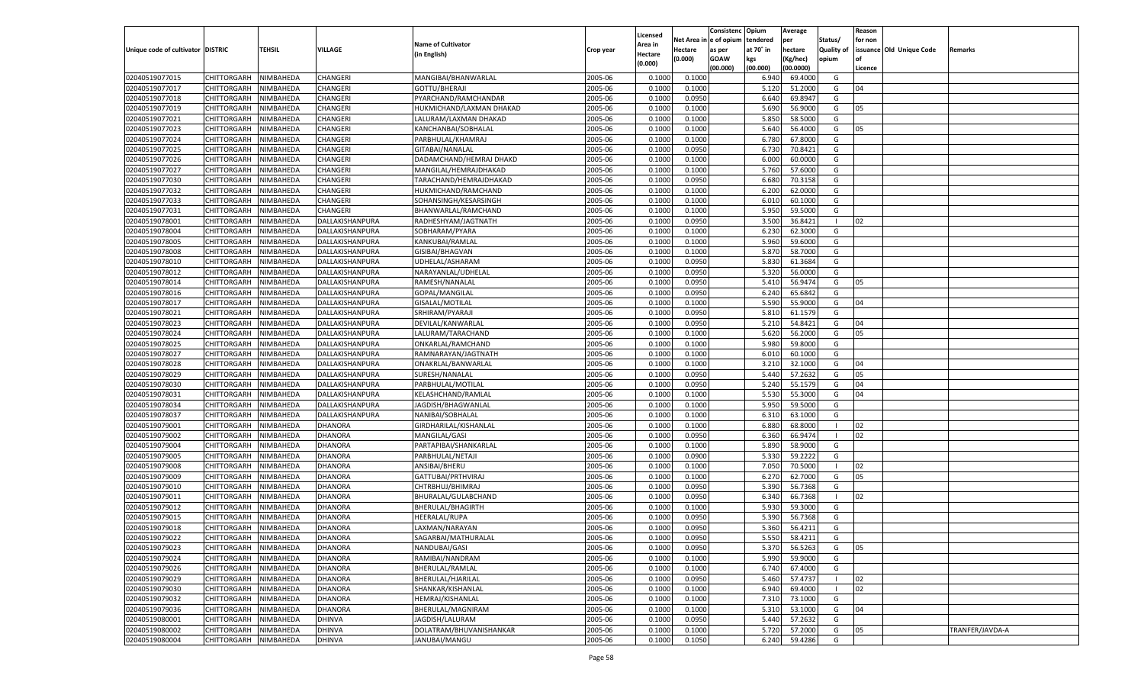|                                   |                       |               |                 |                           |           |                           |          | Consistenc  | Opium     | Average            |                   | Reason  |                          |                 |
|-----------------------------------|-----------------------|---------------|-----------------|---------------------------|-----------|---------------------------|----------|-------------|-----------|--------------------|-------------------|---------|--------------------------|-----------------|
|                                   |                       |               |                 | <b>Name of Cultivator</b> |           | Licensed                  | Net Area | e of opium  | tendered  | per                | Status/           | for non |                          |                 |
| Unique code of cultivator DISTRIC |                       | <b>TEHSIL</b> | VILLAGE         | (in English)              | Crop year | <b>Area in</b><br>Hectare | Hectare  | as per      | at 70° in | hectare            | <b>Quality of</b> |         | issuance Old Unique Code | Remarks         |
|                                   |                       |               |                 |                           |           | (0.000)                   | (0.000)  | <b>GOAW</b> | kgs       | (Kg/hec)           | opium             |         |                          |                 |
|                                   |                       |               |                 |                           |           |                           |          | (00.000)    | (00.000)  | (00.0000)          |                   | Licence |                          |                 |
| 02040519077015                    | CHITTORGARH           | NIMBAHEDA     | CHANGERI        | MANGIBAI/BHANWARLAL       | 2005-06   | 0.1000                    | 0.1000   |             | 6.940     | 69.4000            | G                 |         |                          |                 |
| 02040519077017                    | CHITTORGARH           | NIMBAHEDA     | CHANGERI        | GOTTU/BHERAJI             | 2005-06   | 0.1000                    | 0.1000   |             | 5.120     | 51.2000            | G                 | 04      |                          |                 |
| 02040519077018                    | CHITTORGARH           | NIMBAHEDA     | CHANGERI        | PYARCHAND/RAMCHANDAR      | 2005-06   | 0.1000                    | 0.0950   |             | 6.640     | 69.8947            | G                 |         |                          |                 |
| 02040519077019                    | CHITTORGARH           | NIMBAHEDA     | CHANGERI        | HUKMICHAND/LAXMAN DHAKAD  | 2005-06   | 0.1000                    | 0.1000   |             | 5.690     | 56.9000            | G                 | 05      |                          |                 |
| 02040519077021                    | CHITTORGARH           | NIMBAHEDA     | CHANGERI        | LALURAM/LAXMAN DHAKAD     | 2005-06   | 0.1000                    | 0.1000   |             | 5.850     | 58.5000            | G                 |         |                          |                 |
| 02040519077023                    | CHITTORGARH           | NIMBAHEDA     | CHANGERI        | KANCHANBAI/SOBHALAL       | 2005-06   | 0.1000                    | 0.1000   |             | 5.640     | 56.4000            | G                 | 05      |                          |                 |
| 02040519077024                    | CHITTORGARH           | NIMBAHEDA     | CHANGERI        | PARBHULAL/KHAMRAJ         | 2005-06   | 0.1000                    | 0.1000   |             | 6.780     | 67.8000            | G                 |         |                          |                 |
| 02040519077025                    | CHITTORGARH           | NIMBAHEDA     | CHANGERI        | GITABAI/NANALAL           | 2005-06   | 0.1000                    | 0.0950   |             | 6.73      | 70.8421            | G                 |         |                          |                 |
| 02040519077026                    | CHITTORGARH           | NIMBAHEDA     | CHANGERI        | DADAMCHAND/HEMRAJ DHAKD   | 2005-06   | 0.1000                    | 0.1000   |             | 6.000     | 60.0000            | G                 |         |                          |                 |
| 02040519077027                    | CHITTORGARH           | NIMBAHEDA     | CHANGERI        | MANGILAL/HEMRAJDHAKAD     | 2005-06   | 0.1000                    | 0.1000   |             | 5.760     | 57.6000            | G                 |         |                          |                 |
| 02040519077030                    | CHITTORGARH           | NIMBAHEDA     | CHANGERI        | TARACHAND/HEMRAJDHAKAD    | 2005-06   | 0.1000                    | 0.0950   |             | 6.680     | 70.3158            | G                 |         |                          |                 |
| 02040519077032                    | CHITTORGARH           | NIMBAHEDA     | CHANGERI        | HUKMICHAND/RAMCHAND       | 2005-06   | 0.1000                    | 0.1000   |             | 6.200     | 62.0000            | G                 |         |                          |                 |
| 02040519077033                    | CHITTORGARH           | NIMBAHEDA     | CHANGERI        | SOHANSINGH/KESARSINGH     | 2005-06   | 0.1000                    | 0.1000   |             | 6.010     | 60.1000            | G                 |         |                          |                 |
| 02040519077031                    | CHITTORGARH           | NIMBAHEDA     | CHANGERI        | BHANWARLAL/RAMCHAND       | 2005-06   | 0.1000                    | 0.1000   |             | 5.950     | 59.5000            | G                 |         |                          |                 |
| 02040519078001                    | CHITTORGARH           | NIMBAHEDA     | DALLAKISHANPURA | RADHESHYAM/JAGTNATH       | 2005-06   | 0.1000                    | 0.0950   |             | 3.500     | 36.8421            | - 1               | 02      |                          |                 |
| 02040519078004                    | CHITTORGARH           | NIMBAHEDA     | DALLAKISHANPURA | SOBHARAM/PYARA            | 2005-06   | 0.1000                    | 0.1000   |             | 6.230     | 62.3000            | G                 |         |                          |                 |
| 02040519078005                    | CHITTORGARH           | NIMBAHEDA     | DALLAKISHANPURA | KANKUBAI/RAMLAL           | 2005-06   | 0.1000                    | 0.1000   |             | 5.960     | 59.6000            | G                 |         |                          |                 |
| 02040519078008                    | CHITTORGARH           | NIMBAHEDA     | DALLAKISHANPURA | GISIBAI/BHAGVAN           | 2005-06   | 0.1000                    | 0.1000   |             | 5.870     | 58.7000            | G                 |         |                          |                 |
| 02040519078010                    | CHITTORGARH           | NIMBAHEDA     | DALLAKISHANPURA | UDHELAL/ASHARAM           | 2005-06   | 0.1000                    | 0.0950   |             | 5.830     | 61.3684            | G                 |         |                          |                 |
| 02040519078012                    | CHITTORGARH           | NIMBAHEDA     | DALLAKISHANPURA | NARAYANLAL/UDHELAL        | 2005-06   | 0.1000                    | 0.0950   |             | 5.320     | 56.0000            | G                 |         |                          |                 |
| 02040519078014                    | CHITTORGARH           | NIMBAHEDA     | DALLAKISHANPURA | RAMESH/NANALAL            | 2005-06   | 0.1000                    | 0.0950   |             | 5.410     | 56.9474            | G                 | 05      |                          |                 |
| 02040519078016                    | CHITTORGARH           | NIMBAHEDA     | DALLAKISHANPURA | GOPAL/MANGILAL            | 2005-06   | 0.1000                    | 0.0950   |             | 6.240     | 65.6842            | G                 |         |                          |                 |
| 02040519078017                    | CHITTORGARH           | NIMBAHEDA     | DALLAKISHANPURA | GISALAL/MOTILAL           | 2005-06   | 0.1000                    | 0.1000   |             | 5.590     | 55.9000            | G                 | 04      |                          |                 |
| 02040519078021                    | CHITTORGARH           | NIMBAHEDA     | DALLAKISHANPURA | SRHIRAM/PYARAJI           | 2005-06   | 0.1000                    | 0.0950   |             | 5.810     | 61.1579            | G                 |         |                          |                 |
| 02040519078023                    | CHITTORGARH           | NIMBAHEDA     | DALLAKISHANPURA | DEVILAL/KANWARLAL         | 2005-06   | 0.1000                    | 0.0950   |             | 5.210     | 54.8421            | G                 | 04      |                          |                 |
| 02040519078024                    | CHITTORGARH           | NIMBAHEDA     | DALLAKISHANPURA | LALURAM/TARACHAND         | 2005-06   | 0.1000                    | 0.1000   |             | 5.620     | 56.2000            | G                 | 05      |                          |                 |
| 02040519078025                    | CHITTORGARH           | NIMBAHEDA     | DALLAKISHANPURA | ONKARLAL/RAMCHAND         | 2005-06   | 0.1000                    | 0.1000   |             | 5.980     | 59.8000            | G                 |         |                          |                 |
| 02040519078027                    | CHITTORGARH           | NIMBAHEDA     | DALLAKISHANPURA | RAMNARAYAN/JAGTNATH       | 2005-06   | 0.1000                    | 0.1000   |             | 6.010     | 60.1000            | G                 |         |                          |                 |
| 02040519078028                    | CHITTORGARH           | NIMBAHEDA     | DALLAKISHANPURA | ONAKRLAL/BANWARLAL        | 2005-06   | 0.1000                    | 0.1000   |             | 3.210     | 32.1000            | G                 | 04      |                          |                 |
| 02040519078029                    | CHITTORGARH           | NIMBAHEDA     | DALLAKISHANPURA | SURESH/NANALAL            | 2005-06   | 0.1000                    | 0.0950   |             | 5.440     | 57.2632            | G                 | 05      |                          |                 |
| 02040519078030                    | CHITTORGARH           | NIMBAHEDA     | DALLAKISHANPURA | PARBHULAL/MOTILAL         | 2005-06   | 0.1000                    | 0.0950   |             | 5.240     | 55.1579            | G                 | 04      |                          |                 |
| 02040519078031                    | CHITTORGARH           | NIMBAHEDA     | DALLAKISHANPURA | KELASHCHAND/RAMLAL        | 2005-06   | 0.1000                    | 0.1000   |             | 5.530     | 55.3000            | G                 | 04      |                          |                 |
| 02040519078034                    | CHITTORGARH           | NIMBAHEDA     | DALLAKISHANPURA | JAGDISH/BHAGWANLAL        | 2005-06   | 0.1000                    | 0.1000   |             | 5.950     | 59.5000            | G                 |         |                          |                 |
| 02040519078037                    | CHITTORGARH           | NIMBAHEDA     | DALLAKISHANPURA | NANIBAI/SOBHALAL          | 2005-06   | 0.1000                    | 0.1000   |             | 6.310     | 63.1000            | G                 |         |                          |                 |
| 02040519079001                    | CHITTORGARH           | NIMBAHEDA     | <b>DHANORA</b>  | GIRDHARILAL/KISHANLAL     | 2005-06   | 0.1000                    | 0.1000   |             | 6.880     | 68.8000            | - 1               | 02      |                          |                 |
| 02040519079002                    | CHITTORGARH           | NIMBAHEDA     | DHANORA         | MANGILAL/GASI             | 2005-06   | 0.1000                    | 0.0950   |             | 6.360     | 66.9474            | - 1               | 02      |                          |                 |
| 02040519079004                    | CHITTORGARH           | NIMBAHEDA     | <b>DHANORA</b>  | PARTAPIBAI/SHANKARLAL     | 2005-06   | 0.1000                    | 0.1000   |             | 5.890     | 58.9000            | G                 |         |                          |                 |
| 02040519079005                    | CHITTORGARH           | NIMBAHEDA     | DHANORA         | PARBHULAL/NETAJI          | 2005-06   | 0.1000                    | 0.0900   |             | 5.330     | 59.2222            | G                 |         |                          |                 |
| 02040519079008                    | CHITTORGARH           | NIMBAHEDA     | <b>DHANORA</b>  | ANSIBAI/BHERU             | 2005-06   | 0.1000                    | 0.1000   |             | 7.050     | 70.5000            | - 1               | 02      |                          |                 |
| 02040519079009                    | CHITTORGARH           | NIMBAHEDA     | DHANORA         | GATTUBAI/PRTHVIRAJ        | 2005-06   | 0.1000                    | 0.1000   |             | 6.27      | 62.7000            | G                 | 05      |                          |                 |
| 02040519079010                    | CHITTORGARH           | NIMBAHEDA     | DHANORA         | CHTRBHUJ/BHIMRAJ          | 2005-06   | 0.1000                    | 0.0950   |             | 5.390     | 56.7368            | G                 |         |                          |                 |
| 02040519079011                    | CHITTORGARH           | NIMBAHEDA     | DHANORA         | BHURALAL/GULABCHAND       | 2005-06   | 0.1000                    | 0.0950   |             | 6.340     | 66.7368            | - 1               | 02      |                          |                 |
| 02040519079012                    | CHITTORGARH           | NIMBAHEDA     | <b>DHANORA</b>  | BHERULAL/BHAGIRTH         | 2005-06   | 0.1000                    | 0.1000   |             | 5.930     | 59.3000            | G                 |         |                          |                 |
| 02040519079015                    | CHITTORGARH           | NIMBAHEDA     | DHANORA         | HEERALAL/RUPA             | 2005-06   | 0.1000                    | 0.0950   |             | 5.39      | 56.7368            | G                 |         |                          |                 |
| 02040519079018                    |                       | NIMBAHEDA     | <b>DHANORA</b>  | LAXMAN/NARAYAN            | 2005-06   | 0.1000                    | 0.0950   |             | 5.360     | 56.4211            | G                 |         |                          |                 |
|                                   | CHITTORGARH           |               |                 |                           |           |                           |          |             |           |                    |                   |         |                          |                 |
| 02040519079022<br>02040519079023  | CHITTORGARH NIMBAHEDA |               | <b>DHANORA</b>  | SAGARBAI/MATHURALAL       | 2005-06   | 0.1000                    | 0.0950   |             | 5.550     | 58.4211<br>56.5263 | G                 |         |                          |                 |
|                                   | <b>CHITTORGARH</b>    | NIMBAHEDA     | <b>DHANORA</b>  | NANDUBAI/GASI             | 2005-06   | 0.1000                    | 0.0950   |             | 5.370     |                    | G                 | 05      |                          |                 |
| 02040519079024                    | CHITTORGARH           | NIMBAHEDA     | <b>DHANORA</b>  | RAMIBAI/NANDRAM           | 2005-06   | 0.1000                    | 0.1000   |             | 5.990     | 59.9000            | G                 |         |                          |                 |
| 02040519079026                    | <b>CHITTORGARH</b>    | NIMBAHEDA     | <b>DHANORA</b>  | <b>BHERULAL/RAMLAL</b>    | 2005-06   | 0.1000                    | 0.1000   |             | 6.740     | 67.4000            | G                 |         |                          |                 |
| 02040519079029                    | <b>CHITTORGARH</b>    | NIMBAHEDA     | <b>DHANORA</b>  | BHERULAL/HJARILAL         | 2005-06   | 0.1000                    | 0.0950   |             | 5.460     | 57.4737            | - 1               | 02      |                          |                 |
| 02040519079030                    | <b>CHITTORGARH</b>    | NIMBAHEDA     | <b>DHANORA</b>  | SHANKAR/KISHANLAL         | 2005-06   | 0.1000                    | 0.1000   |             | 6.940     | 69.4000            | $\blacksquare$    | 02      |                          |                 |
| 02040519079032                    | <b>CHITTORGARH</b>    | NIMBAHEDA     | <b>DHANORA</b>  | HEMRAJ/KISHANLAL          | 2005-06   | 0.1000                    | 0.1000   |             | 7.310     | 73.1000            | G                 |         |                          |                 |
| 02040519079036                    | <b>CHITTORGARH</b>    | NIMBAHEDA     | <b>DHANORA</b>  | BHERULAL/MAGNIRAM         | 2005-06   | 0.1000                    | 0.1000   |             | 5.310     | 53.1000            | G                 | 04      |                          |                 |
| 02040519080001                    | <b>CHITTORGARH</b>    | NIMBAHEDA     | <b>DHINVA</b>   | JAGDISH/LALURAM           | 2005-06   | 0.1000                    | 0.0950   |             | 5.440     | 57.2632            | G                 |         |                          |                 |
| 02040519080002                    | <b>CHITTORGARH</b>    | NIMBAHEDA     | <b>DHINVA</b>   | DOLATRAM/BHUVANISHANKAR   | 2005-06   | 0.1000                    | 0.1000   |             | 5.720     | 57.2000            | G                 | 05      |                          | TRANFER/JAVDA-A |
| 02040519080004                    | <b>CHITTORGARH</b>    | NIMBAHEDA     | <b>DHINVA</b>   | JANUBAI/MANGU             | 2005-06   | 0.1000                    | 0.1050   |             | 6.240     | 59.4286            | G                 |         |                          |                 |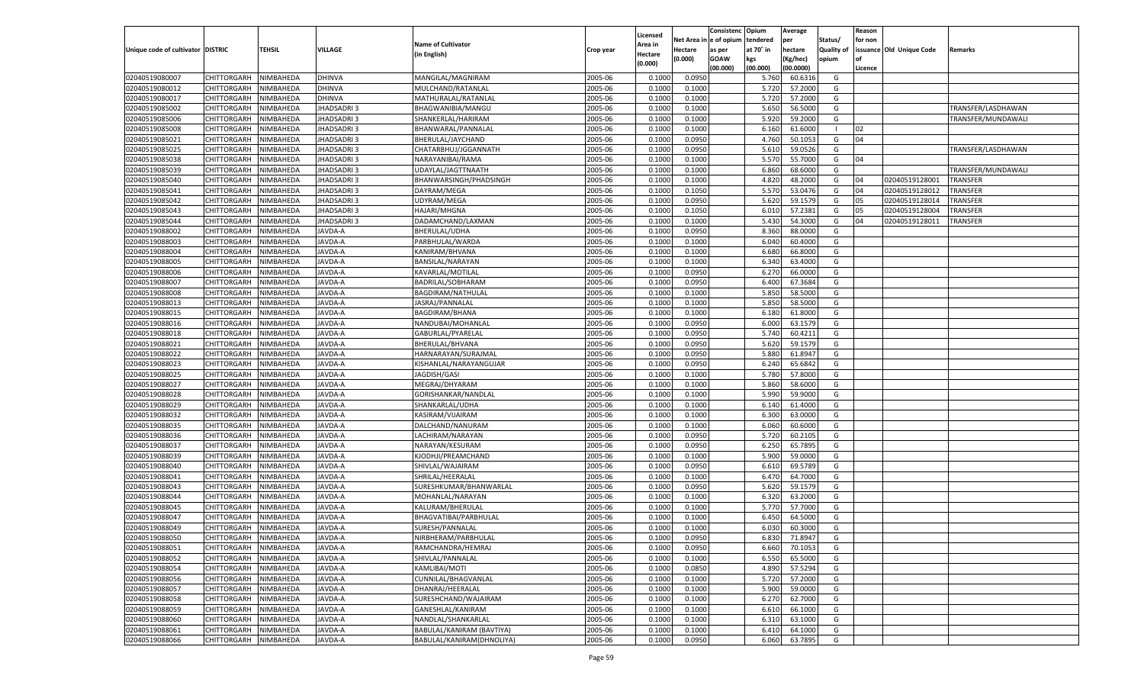| Net Area i<br>n e of opium<br>tendered<br>per<br>Status/<br>for non<br><b>Name of Cultivator</b><br>Area in<br>Unique code of cultivator DISTRIC<br>TEHSIL<br>VILLAGE<br>at 70° in<br>hectare<br>Quality of<br>issuance Old Unique Code<br>Hectare<br>Crop year<br>as per<br>Remarks<br>(in English)<br>Hectare<br>(0.000)<br><b>GOAW</b><br>kgs<br>(Kg/hec)<br>opium<br>(0.000)<br>(00.000)<br>(00.000)<br>(00.0000)<br>Licence<br>CHITTORGARH<br>NIMBAHEDA<br>DHINVA<br>2005-06<br>0.0950<br>MANGILAL/MAGNIRAM<br>0.100<br>5.760<br>60.6316<br>G<br>2005-06<br>5.720<br>CHITTORGARH<br>NIMBAHEDA<br><b>DHINVA</b><br>MULCHAND/RATANLAL<br>0.100<br>0.1000<br>57.2000<br>G<br><b>DHINVA</b><br>2005-06<br>CHITTORGARH<br>NIMBAHEDA<br>MATHURALAL/RATANLAL<br>0.1000<br>0.1000<br>5.720<br>57.2000<br>G<br>2005-06<br>5.650<br>56.5000<br>CHITTORGARH<br>NIMBAHEDA<br>JHADSADRI 3<br>BHAGWANIBIA/MANGU<br>0.1000<br>0.1000<br>G<br>TRANSFER/LASDHAWAN<br>JHADSADRI 3<br>2005-06<br>5.920<br>59.2000<br>G<br>CHITTORGARH<br>NIMBAHEDA<br>SHANKERLAL/HARIRAM<br>0.1000<br>0.1000<br>TRANSFER/MUNDAWALI<br>2005-06<br>CHITTORGARH<br>NIMBAHEDA<br><b>IHADSADRI3</b><br>BHANWARAL/PANNALAI<br>0.1000<br>0.1000<br>6.160<br>61.6000<br>02<br>- 1<br>02040519085021<br>2005-06<br>0.0950<br>CHITTORGARH<br>NIMBAHEDA<br>JHADSADRI 3<br>BHERULAL/JAYCHAND<br>0.1000<br>4.760<br>50.105<br>G<br>04<br>2005-06<br>0.0950<br>5.610<br>59.0526<br>CHITTORGARH<br>NIMBAHEDA<br>JHADSADRI 3<br>CHATARBHUJ/JGGANNATH<br>0.1000<br>G<br>TRANSFER/LASDHAWAN<br>2005-06<br>0.1000<br>5.570<br>55.7000<br>CHITTORGARH<br>NIMBAHEDA<br>JHADSADRI 3<br>NARAYANIBAI/RAMA<br>0.1000<br>G<br>04<br>2005-06<br>CHITTORGARH<br>NIMBAHEDA<br>JHADSADRI 3<br>UDAYLAL/JAGTTNAATH<br>0.1000<br>0.1000<br>6.860<br>68.6000<br>G<br>TRANSFER/MUNDAWALI<br>02040519085040<br>2005-06<br>CHITTORGARH<br>NIMBAHEDA<br>JHADSADRI 3<br>BHANWARSINGH/PHADSINGH<br>0.1000<br>0.1000<br>4.820<br>48.2000<br>G<br>02040519128001<br>TRANSFER<br>04<br>02040519085041<br>2005-06<br>5.570<br>53.0476<br>04<br>CHITTORGARH<br>NIMBAHEDA<br>JHADSADRI 3<br>DAYRAM/MEGA<br>0.1000<br>0.1050<br>G<br>02040519128012<br>TRANSFER<br>2005-06<br>02040519085042<br>0.0950<br>5.620<br>59.1579<br>CHITTORGARH<br>NIMBAHEDA<br>JHADSADRI 3<br>UDYRAM/MEGA<br>0.1000<br>G<br>05<br>02040519128014<br>TRANSFER<br>02040519085043<br><b>HADSADRI3</b><br>2005-06<br>6.010<br>57.2381<br>02040519128004<br>TRANSFER<br>CHITTORGARH<br>NIMBAHEDA<br><b>HAJARI/MHGNA</b><br>0.1000<br>0.1050<br>G<br>05<br>02040519085044<br>CHITTORGARH<br><b>HADSADRI3</b><br>2005-06<br>0.1000<br>5.430<br>54.3000<br>NIMBAHEDA<br>DADAMCHAND/LAXMAN<br>0.1000<br>G<br>04<br>02040519128011<br>TRANSFER<br>02040519088002<br>CHITTORGARH<br>2005-06<br>0.0950<br>8.360<br>88.0000<br>G<br>NIMBAHEDA<br>JAVDA-A<br>BHERULAL/UDHA<br>0.1000<br>02040519088003<br>CHITTORGARH<br>NIMBAHEDA<br><b>AVDA-A</b><br>PARBHULAL/WARDA<br>2005-06<br>0.1000<br>6.040<br>60.4000<br>G<br>0.1000<br>02040519088004<br>JAVDA-A<br>2005-06<br>6.680<br>66.8000<br>CHITTORGARH<br>NIMBAHEDA<br>KANIRAM/BHVANA<br>0.1000<br>0.1000<br>G<br>02040519088005<br>CHITTORGARH<br>JAVDA-A<br>2005-06<br>0.1000<br>6.340<br>63.4000<br>NIMBAHEDA<br><b>BANSILAL/NARAYAN</b><br>0.1000<br>G<br>02040519088006<br>CHITTORGARH<br><b>AVDA-A</b><br>2005-06<br>0.0950<br>6.270<br>66.0000<br>NIMBAHEDA<br>KAVARLAL/MOTILAL<br>0.1000<br>G<br>02040519088007<br>CHITTORGARH<br>NIMBAHEDA<br><b>AVDA-A</b><br>BADRILAL/SOBHARAM<br>2005-06<br>0.0950<br>6.400<br>67.3684<br>G<br>0.1000<br>02040519088008<br><b>AVDA-A</b><br>2005-06<br>5.850<br>58.5000<br>CHITTORGARH<br>NIMBAHEDA<br>BAGDIRAM/NATHULAI<br>0.1000<br>0.1000<br>G<br>02040519088013<br>CHITTORGARH<br>JAVDA-A<br>JASRAJ/PANNALAL<br>2005-06<br>0.1000<br>5.850<br>58.5000<br>NIMBAHEDA<br>0.1000<br>G<br>02040519088015<br>CHITTORGARH<br><b>AVDA-A</b><br>2005-06<br>61.8000<br>NIMBAHEDA<br>BAGDIRAM/BHANA<br>0.1000<br>0.1000<br>6.180<br>G<br>02040519088016<br>CHITTORGARH<br>NIMBAHEDA<br><b>AVDA-A</b><br>2005-06<br>0.0950<br>6.000<br>63.1579<br>G<br>NANDUBAI/MOHANLAL<br>0.1000<br>02040519088018<br><b>AVDA-A</b><br>2005-06<br>5.740<br>CHITTORGARH<br>NIMBAHEDA<br>GABURLAL/PYARELAL<br>0.1000<br>0.0950<br>60.4211<br>G<br>02040519088021<br>CHITTORGARH<br>JAVDA-A<br>2005-06<br>0.0950<br>5.620<br>59.1579<br>NIMBAHEDA<br>BHERULAL/BHVANA<br>0.1000<br>G<br>02040519088022<br>CHITTORGARH<br><b>AVDA-A</b><br>2005-06<br>0.0950<br>5.880<br>61.8947<br>NIMBAHEDA<br>HARNARAYAN/SURAJMAL<br>0.1000<br>G<br>02040519088023<br>CHITTORGARH<br><b>AVDA-A</b><br>KISHANLAL/NARAYANGUJAR<br>2005-06<br>0.0950<br>6.240<br>65.6842<br>G<br>NIMBAHEDA<br>0.1000<br>02040519088025<br>JAVDA-A<br>2005-06<br>5.780<br>CHITTORGARH<br>NIMBAHEDA<br>JAGDISH/GASI<br>0.1000<br>0.1000<br>57.8000<br>G<br>02040519088027<br>JAVDA-A<br>2005-06<br>0.1000<br>5.860<br>58.6000<br>CHITTORGARH<br>NIMBAHEDA<br>MEGRAJ/DHYARAM<br>0.1000<br>G<br>02040519088028<br>JAVDA-A<br>2005-06<br>5.990<br>59.9000<br>CHITTORGARH<br>NIMBAHEDA<br>GORISHANKAR/NANDLAL<br>0.1000<br>0.1000<br>G<br>02040519088029<br>NIMBAHEDA<br>JAVDA-A<br>2005-06<br>61.4000<br>CHITTORGARH<br>SHANKARLAL/UDHA<br>0.1000<br>0.1000<br>6.140<br>G<br>02040519088032<br>JAVDA-A<br>2005-06<br>6.300<br>CHITTORGARH<br>NIMBAHEDA<br>KASIRAM/VIJAIRAM<br>0.1000<br>0.1000<br>63.0000<br>G<br>02040519088035<br>JAVDA-A<br>2005-06<br>0.1000<br>6.060<br>60.6000<br>CHITTORGARH<br>NIMBAHEDA<br>DALCHAND/NANURAM<br>0.1000<br>G<br>02040519088036<br>2005-06<br>5.720<br>60.2105<br>CHITTORGARH<br>NIMBAHEDA<br>JAVDA-A<br>LACHIRAM/NARAYAN<br>0.1000<br>0.0950<br>G<br>02040519088037<br>NIMBAHEDA<br>JAVDA-A<br>2005-06<br>0.0950<br>6.250<br>65.7895<br>CHITTORGARH<br>NARAYAN/KESURAM<br>0.1000<br>G<br>02040519088039<br>JAVDA-A<br>2005-06<br>5.900<br>CHITTORGARH<br>NIMBAHEDA<br>KJODHJI/PREAMCHAND<br>0.1000<br>0.1000<br>59.0000<br>G<br>02040519088040<br>JAVDA-A<br>2005-06<br>0.0950<br>CHITTORGARH<br>NIMBAHEDA<br>SHIVLAL/WAJAIRAM<br>0.1000<br>6.610<br>69.5789<br>G<br>02040519088041<br>2005-06<br>6.470<br>CHITTORGARH<br>NIMBAHEDA<br>JAVDA-A<br>SHRILAL/HEERALAL<br>0.1000<br>0.1000<br>64.7000<br>G<br>02040519088043<br>NIMBAHEDA<br>JAVDA-A<br>2005-06<br>0.0950<br>5.620<br>59.1579<br>CHITTORGARH<br>SURESHKUMAR/BHANWARLAL<br>0.1000<br>G<br>02040519088044<br>2005-06<br>6.320<br>CHITTORGARH<br>NIMBAHEDA<br>JAVDA-A<br>MOHANLAL/NARAYAN<br>0.1000<br>0.1000<br>63.2000<br>G<br>JAVDA-A<br>2005-06<br>02040519088045<br>CHITTORGARH<br>NIMBAHEDA<br>KALURAM/BHERULAL<br>0.1000<br>0.1000<br>5.770<br>57.7000<br>G<br>02040519088047<br>2005-06<br>64.5000<br>CHITTORGARH<br>NIMBAHEDA<br>JAVDA-A<br>BHAGVATIBAI/PARBHULAL<br>0.1000<br>0.1000<br>6.45<br>G<br>02040519088049<br>JAVDA-A<br>2005-06<br>60.3000<br>CHITTORGARH<br>NIMBAHEDA<br>SURESH/PANNALAI<br>0.1000<br>0.1000<br>6.030<br>G<br>CHITTORGARH NIMBAHEDA<br>JAVDA-A<br>NIRBHERAM/PARBHULAL<br>2005-06<br>0.1000<br>0.0950<br>6.830<br>71.8947<br>G<br>JAVDA-A<br>RAMCHANDRA/HEMRAJ<br>2005-06<br>0.1000<br>0.0950<br><b>CHITTORGARH</b><br>NIMBAHEDA<br>6.660<br>70.1053<br>G<br><b>CHITTORGARH</b><br>NIMBAHEDA<br>JAVDA-A<br>SHIVLAL/PANNALAL<br>2005-06<br>0.1000<br>6.550<br>65.5000<br>0.1000<br>G<br>2005-06<br>CHITTORGARH<br>NIMBAHEDA<br>JAVDA-A<br>KAMLIBAI/MOTI<br>0.0850<br>4.890<br>57.5294<br>0.1000<br>G<br>CHITTORGARH<br>JAVDA-A<br>2005-06<br>0.1000<br>5.720<br>57.2000<br>NIMBAHEDA<br>CUNNILAL/BHAGVANLAL<br>0.1000<br>G<br><b>CHITTORGARH</b><br>NIMBAHEDA<br>JAVDA-A<br>DHANRAJ/HEERALAL<br>2005-06<br>0.1000<br>5.900<br>59.0000<br>G<br>0.1000<br>CHITTORGARH<br>SURESHCHAND/WAJAIRAM<br>2005-06<br>0.1000<br>6.270<br>62.7000<br>NIMBAHEDA<br>JAVDA-A<br>0.1000<br>G<br>CHITTORGARH<br>NIMBAHEDA<br>JAVDA-A<br>GANESHLAL/KANIRAM<br>2005-06<br>0.1000<br>6.610<br>66.1000<br>0.1000<br>G<br>CHITTORGARH<br>JAVDA-A<br>NANDLAL/SHANKARLAL<br>2005-06<br>0.1000<br>6.310<br>63.1000<br>NIMBAHEDA<br>0.1000<br>G<br>NIMBAHEDA<br>JAVDA-A<br>BABULAL/KANIRAM (BAVTIYA)<br>2005-06<br>0.1000<br>6.410<br>64.1000<br>G<br><b>CHITTORGARH</b><br>0.1000<br>NIMBAHEDA<br>BABULAL/KANIRAM(DHNOLIYA)<br>2005-06<br>0.0950<br>63.7895<br>G<br><b>CHITTORGARH</b><br>JAVDA-A<br>0.1000<br>6.060 |                |  |  |          | Consistenc | Opium | Average | Reason |  |
|----------------------------------------------------------------------------------------------------------------------------------------------------------------------------------------------------------------------------------------------------------------------------------------------------------------------------------------------------------------------------------------------------------------------------------------------------------------------------------------------------------------------------------------------------------------------------------------------------------------------------------------------------------------------------------------------------------------------------------------------------------------------------------------------------------------------------------------------------------------------------------------------------------------------------------------------------------------------------------------------------------------------------------------------------------------------------------------------------------------------------------------------------------------------------------------------------------------------------------------------------------------------------------------------------------------------------------------------------------------------------------------------------------------------------------------------------------------------------------------------------------------------------------------------------------------------------------------------------------------------------------------------------------------------------------------------------------------------------------------------------------------------------------------------------------------------------------------------------------------------------------------------------------------------------------------------------------------------------------------------------------------------------------------------------------------------------------------------------------------------------------------------------------------------------------------------------------------------------------------------------------------------------------------------------------------------------------------------------------------------------------------------------------------------------------------------------------------------------------------------------------------------------------------------------------------------------------------------------------------------------------------------------------------------------------------------------------------------------------------------------------------------------------------------------------------------------------------------------------------------------------------------------------------------------------------------------------------------------------------------------------------------------------------------------------------------------------------------------------------------------------------------------------------------------------------------------------------------------------------------------------------------------------------------------------------------------------------------------------------------------------------------------------------------------------------------------------------------------------------------------------------------------------------------------------------------------------------------------------------------------------------------------------------------------------------------------------------------------------------------------------------------------------------------------------------------------------------------------------------------------------------------------------------------------------------------------------------------------------------------------------------------------------------------------------------------------------------------------------------------------------------------------------------------------------------------------------------------------------------------------------------------------------------------------------------------------------------------------------------------------------------------------------------------------------------------------------------------------------------------------------------------------------------------------------------------------------------------------------------------------------------------------------------------------------------------------------------------------------------------------------------------------------------------------------------------------------------------------------------------------------------------------------------------------------------------------------------------------------------------------------------------------------------------------------------------------------------------------------------------------------------------------------------------------------------------------------------------------------------------------------------------------------------------------------------------------------------------------------------------------------------------------------------------------------------------------------------------------------------------------------------------------------------------------------------------------------------------------------------------------------------------------------------------------------------------------------------------------------------------------------------------------------------------------------------------------------------------------------------------------------------------------------------------------------------------------------------------------------------------------------------------------------------------------------------------------------------------------------------------------------------------------------------------------------------------------------------------------------------------------------------------------------------------------------------------------------------------------------------------------------------------------------------------------------------------------------------------------------------------------------------------------------------------------------------------------------------------------------------------------------------------------------------------------------------------------------------------------------------------------------------------------------------------------------------------------------------------------------------------------------------------------------------------------------------------------------------------------------------------------------------------------------------------------------------------------------------------------------------------------------------------------------------------------------------------------------------------------------------------------------------------------------------------------------------------------------------------------------------------------------------------------------------------------------------------------------------------------------------------------------------------------------------------------------------------------------------------------------------------------------------------------------------------------------------------------------------------------------------------------------------------------------------------------------------------------------------------------------------------------------------------------------------------------------------------------------------------------------------------------------------------------------------------------------------------------------------------------------------------------------------------------------------------------------------------------------------------------------------------------------------------------------------------------------------------------------------------|----------------|--|--|----------|------------|-------|---------|--------|--|
|                                                                                                                                                                                                                                                                                                                                                                                                                                                                                                                                                                                                                                                                                                                                                                                                                                                                                                                                                                                                                                                                                                                                                                                                                                                                                                                                                                                                                                                                                                                                                                                                                                                                                                                                                                                                                                                                                                                                                                                                                                                                                                                                                                                                                                                                                                                                                                                                                                                                                                                                                                                                                                                                                                                                                                                                                                                                                                                                                                                                                                                                                                                                                                                                                                                                                                                                                                                                                                                                                                                                                                                                                                                                                                                                                                                                                                                                                                                                                                                                                                                                                                                                                                                                                                                                                                                                                                                                                                                                                                                                                                                                                                                                                                                                                                                                                                                                                                                                                                                                                                                                                                                                                                                                                                                                                                                                                                                                                                                                                                                                                                                                                                                                                                                                                                                                                                                                                                                                                                                                                                                                                                                                                                                                                                                                                                                                                                                                                                                                                                                                                                                                                                                                                                                                                                                                                                                                                                                                                                                                                                                                                                                                                                                                                                                                                                                                                                                                                                                                                                                                                                                                                                                                                                                                                                                                                                                                                                                                                                                                                                                                                                                                                                                                                                                                                                                                              |                |  |  | Licensed |            |       |         |        |  |
|                                                                                                                                                                                                                                                                                                                                                                                                                                                                                                                                                                                                                                                                                                                                                                                                                                                                                                                                                                                                                                                                                                                                                                                                                                                                                                                                                                                                                                                                                                                                                                                                                                                                                                                                                                                                                                                                                                                                                                                                                                                                                                                                                                                                                                                                                                                                                                                                                                                                                                                                                                                                                                                                                                                                                                                                                                                                                                                                                                                                                                                                                                                                                                                                                                                                                                                                                                                                                                                                                                                                                                                                                                                                                                                                                                                                                                                                                                                                                                                                                                                                                                                                                                                                                                                                                                                                                                                                                                                                                                                                                                                                                                                                                                                                                                                                                                                                                                                                                                                                                                                                                                                                                                                                                                                                                                                                                                                                                                                                                                                                                                                                                                                                                                                                                                                                                                                                                                                                                                                                                                                                                                                                                                                                                                                                                                                                                                                                                                                                                                                                                                                                                                                                                                                                                                                                                                                                                                                                                                                                                                                                                                                                                                                                                                                                                                                                                                                                                                                                                                                                                                                                                                                                                                                                                                                                                                                                                                                                                                                                                                                                                                                                                                                                                                                                                                                                              |                |  |  |          |            |       |         |        |  |
|                                                                                                                                                                                                                                                                                                                                                                                                                                                                                                                                                                                                                                                                                                                                                                                                                                                                                                                                                                                                                                                                                                                                                                                                                                                                                                                                                                                                                                                                                                                                                                                                                                                                                                                                                                                                                                                                                                                                                                                                                                                                                                                                                                                                                                                                                                                                                                                                                                                                                                                                                                                                                                                                                                                                                                                                                                                                                                                                                                                                                                                                                                                                                                                                                                                                                                                                                                                                                                                                                                                                                                                                                                                                                                                                                                                                                                                                                                                                                                                                                                                                                                                                                                                                                                                                                                                                                                                                                                                                                                                                                                                                                                                                                                                                                                                                                                                                                                                                                                                                                                                                                                                                                                                                                                                                                                                                                                                                                                                                                                                                                                                                                                                                                                                                                                                                                                                                                                                                                                                                                                                                                                                                                                                                                                                                                                                                                                                                                                                                                                                                                                                                                                                                                                                                                                                                                                                                                                                                                                                                                                                                                                                                                                                                                                                                                                                                                                                                                                                                                                                                                                                                                                                                                                                                                                                                                                                                                                                                                                                                                                                                                                                                                                                                                                                                                                                                              |                |  |  |          |            |       |         |        |  |
|                                                                                                                                                                                                                                                                                                                                                                                                                                                                                                                                                                                                                                                                                                                                                                                                                                                                                                                                                                                                                                                                                                                                                                                                                                                                                                                                                                                                                                                                                                                                                                                                                                                                                                                                                                                                                                                                                                                                                                                                                                                                                                                                                                                                                                                                                                                                                                                                                                                                                                                                                                                                                                                                                                                                                                                                                                                                                                                                                                                                                                                                                                                                                                                                                                                                                                                                                                                                                                                                                                                                                                                                                                                                                                                                                                                                                                                                                                                                                                                                                                                                                                                                                                                                                                                                                                                                                                                                                                                                                                                                                                                                                                                                                                                                                                                                                                                                                                                                                                                                                                                                                                                                                                                                                                                                                                                                                                                                                                                                                                                                                                                                                                                                                                                                                                                                                                                                                                                                                                                                                                                                                                                                                                                                                                                                                                                                                                                                                                                                                                                                                                                                                                                                                                                                                                                                                                                                                                                                                                                                                                                                                                                                                                                                                                                                                                                                                                                                                                                                                                                                                                                                                                                                                                                                                                                                                                                                                                                                                                                                                                                                                                                                                                                                                                                                                                                                              |                |  |  |          |            |       |         |        |  |
|                                                                                                                                                                                                                                                                                                                                                                                                                                                                                                                                                                                                                                                                                                                                                                                                                                                                                                                                                                                                                                                                                                                                                                                                                                                                                                                                                                                                                                                                                                                                                                                                                                                                                                                                                                                                                                                                                                                                                                                                                                                                                                                                                                                                                                                                                                                                                                                                                                                                                                                                                                                                                                                                                                                                                                                                                                                                                                                                                                                                                                                                                                                                                                                                                                                                                                                                                                                                                                                                                                                                                                                                                                                                                                                                                                                                                                                                                                                                                                                                                                                                                                                                                                                                                                                                                                                                                                                                                                                                                                                                                                                                                                                                                                                                                                                                                                                                                                                                                                                                                                                                                                                                                                                                                                                                                                                                                                                                                                                                                                                                                                                                                                                                                                                                                                                                                                                                                                                                                                                                                                                                                                                                                                                                                                                                                                                                                                                                                                                                                                                                                                                                                                                                                                                                                                                                                                                                                                                                                                                                                                                                                                                                                                                                                                                                                                                                                                                                                                                                                                                                                                                                                                                                                                                                                                                                                                                                                                                                                                                                                                                                                                                                                                                                                                                                                                                                              | 02040519080007 |  |  |          |            |       |         |        |  |
|                                                                                                                                                                                                                                                                                                                                                                                                                                                                                                                                                                                                                                                                                                                                                                                                                                                                                                                                                                                                                                                                                                                                                                                                                                                                                                                                                                                                                                                                                                                                                                                                                                                                                                                                                                                                                                                                                                                                                                                                                                                                                                                                                                                                                                                                                                                                                                                                                                                                                                                                                                                                                                                                                                                                                                                                                                                                                                                                                                                                                                                                                                                                                                                                                                                                                                                                                                                                                                                                                                                                                                                                                                                                                                                                                                                                                                                                                                                                                                                                                                                                                                                                                                                                                                                                                                                                                                                                                                                                                                                                                                                                                                                                                                                                                                                                                                                                                                                                                                                                                                                                                                                                                                                                                                                                                                                                                                                                                                                                                                                                                                                                                                                                                                                                                                                                                                                                                                                                                                                                                                                                                                                                                                                                                                                                                                                                                                                                                                                                                                                                                                                                                                                                                                                                                                                                                                                                                                                                                                                                                                                                                                                                                                                                                                                                                                                                                                                                                                                                                                                                                                                                                                                                                                                                                                                                                                                                                                                                                                                                                                                                                                                                                                                                                                                                                                                                              | 02040519080012 |  |  |          |            |       |         |        |  |
|                                                                                                                                                                                                                                                                                                                                                                                                                                                                                                                                                                                                                                                                                                                                                                                                                                                                                                                                                                                                                                                                                                                                                                                                                                                                                                                                                                                                                                                                                                                                                                                                                                                                                                                                                                                                                                                                                                                                                                                                                                                                                                                                                                                                                                                                                                                                                                                                                                                                                                                                                                                                                                                                                                                                                                                                                                                                                                                                                                                                                                                                                                                                                                                                                                                                                                                                                                                                                                                                                                                                                                                                                                                                                                                                                                                                                                                                                                                                                                                                                                                                                                                                                                                                                                                                                                                                                                                                                                                                                                                                                                                                                                                                                                                                                                                                                                                                                                                                                                                                                                                                                                                                                                                                                                                                                                                                                                                                                                                                                                                                                                                                                                                                                                                                                                                                                                                                                                                                                                                                                                                                                                                                                                                                                                                                                                                                                                                                                                                                                                                                                                                                                                                                                                                                                                                                                                                                                                                                                                                                                                                                                                                                                                                                                                                                                                                                                                                                                                                                                                                                                                                                                                                                                                                                                                                                                                                                                                                                                                                                                                                                                                                                                                                                                                                                                                                                              | 02040519080017 |  |  |          |            |       |         |        |  |
|                                                                                                                                                                                                                                                                                                                                                                                                                                                                                                                                                                                                                                                                                                                                                                                                                                                                                                                                                                                                                                                                                                                                                                                                                                                                                                                                                                                                                                                                                                                                                                                                                                                                                                                                                                                                                                                                                                                                                                                                                                                                                                                                                                                                                                                                                                                                                                                                                                                                                                                                                                                                                                                                                                                                                                                                                                                                                                                                                                                                                                                                                                                                                                                                                                                                                                                                                                                                                                                                                                                                                                                                                                                                                                                                                                                                                                                                                                                                                                                                                                                                                                                                                                                                                                                                                                                                                                                                                                                                                                                                                                                                                                                                                                                                                                                                                                                                                                                                                                                                                                                                                                                                                                                                                                                                                                                                                                                                                                                                                                                                                                                                                                                                                                                                                                                                                                                                                                                                                                                                                                                                                                                                                                                                                                                                                                                                                                                                                                                                                                                                                                                                                                                                                                                                                                                                                                                                                                                                                                                                                                                                                                                                                                                                                                                                                                                                                                                                                                                                                                                                                                                                                                                                                                                                                                                                                                                                                                                                                                                                                                                                                                                                                                                                                                                                                                                                              | 02040519085002 |  |  |          |            |       |         |        |  |
|                                                                                                                                                                                                                                                                                                                                                                                                                                                                                                                                                                                                                                                                                                                                                                                                                                                                                                                                                                                                                                                                                                                                                                                                                                                                                                                                                                                                                                                                                                                                                                                                                                                                                                                                                                                                                                                                                                                                                                                                                                                                                                                                                                                                                                                                                                                                                                                                                                                                                                                                                                                                                                                                                                                                                                                                                                                                                                                                                                                                                                                                                                                                                                                                                                                                                                                                                                                                                                                                                                                                                                                                                                                                                                                                                                                                                                                                                                                                                                                                                                                                                                                                                                                                                                                                                                                                                                                                                                                                                                                                                                                                                                                                                                                                                                                                                                                                                                                                                                                                                                                                                                                                                                                                                                                                                                                                                                                                                                                                                                                                                                                                                                                                                                                                                                                                                                                                                                                                                                                                                                                                                                                                                                                                                                                                                                                                                                                                                                                                                                                                                                                                                                                                                                                                                                                                                                                                                                                                                                                                                                                                                                                                                                                                                                                                                                                                                                                                                                                                                                                                                                                                                                                                                                                                                                                                                                                                                                                                                                                                                                                                                                                                                                                                                                                                                                                                              | 02040519085006 |  |  |          |            |       |         |        |  |
|                                                                                                                                                                                                                                                                                                                                                                                                                                                                                                                                                                                                                                                                                                                                                                                                                                                                                                                                                                                                                                                                                                                                                                                                                                                                                                                                                                                                                                                                                                                                                                                                                                                                                                                                                                                                                                                                                                                                                                                                                                                                                                                                                                                                                                                                                                                                                                                                                                                                                                                                                                                                                                                                                                                                                                                                                                                                                                                                                                                                                                                                                                                                                                                                                                                                                                                                                                                                                                                                                                                                                                                                                                                                                                                                                                                                                                                                                                                                                                                                                                                                                                                                                                                                                                                                                                                                                                                                                                                                                                                                                                                                                                                                                                                                                                                                                                                                                                                                                                                                                                                                                                                                                                                                                                                                                                                                                                                                                                                                                                                                                                                                                                                                                                                                                                                                                                                                                                                                                                                                                                                                                                                                                                                                                                                                                                                                                                                                                                                                                                                                                                                                                                                                                                                                                                                                                                                                                                                                                                                                                                                                                                                                                                                                                                                                                                                                                                                                                                                                                                                                                                                                                                                                                                                                                                                                                                                                                                                                                                                                                                                                                                                                                                                                                                                                                                                                              | 02040519085008 |  |  |          |            |       |         |        |  |
|                                                                                                                                                                                                                                                                                                                                                                                                                                                                                                                                                                                                                                                                                                                                                                                                                                                                                                                                                                                                                                                                                                                                                                                                                                                                                                                                                                                                                                                                                                                                                                                                                                                                                                                                                                                                                                                                                                                                                                                                                                                                                                                                                                                                                                                                                                                                                                                                                                                                                                                                                                                                                                                                                                                                                                                                                                                                                                                                                                                                                                                                                                                                                                                                                                                                                                                                                                                                                                                                                                                                                                                                                                                                                                                                                                                                                                                                                                                                                                                                                                                                                                                                                                                                                                                                                                                                                                                                                                                                                                                                                                                                                                                                                                                                                                                                                                                                                                                                                                                                                                                                                                                                                                                                                                                                                                                                                                                                                                                                                                                                                                                                                                                                                                                                                                                                                                                                                                                                                                                                                                                                                                                                                                                                                                                                                                                                                                                                                                                                                                                                                                                                                                                                                                                                                                                                                                                                                                                                                                                                                                                                                                                                                                                                                                                                                                                                                                                                                                                                                                                                                                                                                                                                                                                                                                                                                                                                                                                                                                                                                                                                                                                                                                                                                                                                                                                                              |                |  |  |          |            |       |         |        |  |
|                                                                                                                                                                                                                                                                                                                                                                                                                                                                                                                                                                                                                                                                                                                                                                                                                                                                                                                                                                                                                                                                                                                                                                                                                                                                                                                                                                                                                                                                                                                                                                                                                                                                                                                                                                                                                                                                                                                                                                                                                                                                                                                                                                                                                                                                                                                                                                                                                                                                                                                                                                                                                                                                                                                                                                                                                                                                                                                                                                                                                                                                                                                                                                                                                                                                                                                                                                                                                                                                                                                                                                                                                                                                                                                                                                                                                                                                                                                                                                                                                                                                                                                                                                                                                                                                                                                                                                                                                                                                                                                                                                                                                                                                                                                                                                                                                                                                                                                                                                                                                                                                                                                                                                                                                                                                                                                                                                                                                                                                                                                                                                                                                                                                                                                                                                                                                                                                                                                                                                                                                                                                                                                                                                                                                                                                                                                                                                                                                                                                                                                                                                                                                                                                                                                                                                                                                                                                                                                                                                                                                                                                                                                                                                                                                                                                                                                                                                                                                                                                                                                                                                                                                                                                                                                                                                                                                                                                                                                                                                                                                                                                                                                                                                                                                                                                                                                                              | 02040519085025 |  |  |          |            |       |         |        |  |
|                                                                                                                                                                                                                                                                                                                                                                                                                                                                                                                                                                                                                                                                                                                                                                                                                                                                                                                                                                                                                                                                                                                                                                                                                                                                                                                                                                                                                                                                                                                                                                                                                                                                                                                                                                                                                                                                                                                                                                                                                                                                                                                                                                                                                                                                                                                                                                                                                                                                                                                                                                                                                                                                                                                                                                                                                                                                                                                                                                                                                                                                                                                                                                                                                                                                                                                                                                                                                                                                                                                                                                                                                                                                                                                                                                                                                                                                                                                                                                                                                                                                                                                                                                                                                                                                                                                                                                                                                                                                                                                                                                                                                                                                                                                                                                                                                                                                                                                                                                                                                                                                                                                                                                                                                                                                                                                                                                                                                                                                                                                                                                                                                                                                                                                                                                                                                                                                                                                                                                                                                                                                                                                                                                                                                                                                                                                                                                                                                                                                                                                                                                                                                                                                                                                                                                                                                                                                                                                                                                                                                                                                                                                                                                                                                                                                                                                                                                                                                                                                                                                                                                                                                                                                                                                                                                                                                                                                                                                                                                                                                                                                                                                                                                                                                                                                                                                                              | 02040519085038 |  |  |          |            |       |         |        |  |
|                                                                                                                                                                                                                                                                                                                                                                                                                                                                                                                                                                                                                                                                                                                                                                                                                                                                                                                                                                                                                                                                                                                                                                                                                                                                                                                                                                                                                                                                                                                                                                                                                                                                                                                                                                                                                                                                                                                                                                                                                                                                                                                                                                                                                                                                                                                                                                                                                                                                                                                                                                                                                                                                                                                                                                                                                                                                                                                                                                                                                                                                                                                                                                                                                                                                                                                                                                                                                                                                                                                                                                                                                                                                                                                                                                                                                                                                                                                                                                                                                                                                                                                                                                                                                                                                                                                                                                                                                                                                                                                                                                                                                                                                                                                                                                                                                                                                                                                                                                                                                                                                                                                                                                                                                                                                                                                                                                                                                                                                                                                                                                                                                                                                                                                                                                                                                                                                                                                                                                                                                                                                                                                                                                                                                                                                                                                                                                                                                                                                                                                                                                                                                                                                                                                                                                                                                                                                                                                                                                                                                                                                                                                                                                                                                                                                                                                                                                                                                                                                                                                                                                                                                                                                                                                                                                                                                                                                                                                                                                                                                                                                                                                                                                                                                                                                                                                                              | 02040519085039 |  |  |          |            |       |         |        |  |
|                                                                                                                                                                                                                                                                                                                                                                                                                                                                                                                                                                                                                                                                                                                                                                                                                                                                                                                                                                                                                                                                                                                                                                                                                                                                                                                                                                                                                                                                                                                                                                                                                                                                                                                                                                                                                                                                                                                                                                                                                                                                                                                                                                                                                                                                                                                                                                                                                                                                                                                                                                                                                                                                                                                                                                                                                                                                                                                                                                                                                                                                                                                                                                                                                                                                                                                                                                                                                                                                                                                                                                                                                                                                                                                                                                                                                                                                                                                                                                                                                                                                                                                                                                                                                                                                                                                                                                                                                                                                                                                                                                                                                                                                                                                                                                                                                                                                                                                                                                                                                                                                                                                                                                                                                                                                                                                                                                                                                                                                                                                                                                                                                                                                                                                                                                                                                                                                                                                                                                                                                                                                                                                                                                                                                                                                                                                                                                                                                                                                                                                                                                                                                                                                                                                                                                                                                                                                                                                                                                                                                                                                                                                                                                                                                                                                                                                                                                                                                                                                                                                                                                                                                                                                                                                                                                                                                                                                                                                                                                                                                                                                                                                                                                                                                                                                                                                                              |                |  |  |          |            |       |         |        |  |
|                                                                                                                                                                                                                                                                                                                                                                                                                                                                                                                                                                                                                                                                                                                                                                                                                                                                                                                                                                                                                                                                                                                                                                                                                                                                                                                                                                                                                                                                                                                                                                                                                                                                                                                                                                                                                                                                                                                                                                                                                                                                                                                                                                                                                                                                                                                                                                                                                                                                                                                                                                                                                                                                                                                                                                                                                                                                                                                                                                                                                                                                                                                                                                                                                                                                                                                                                                                                                                                                                                                                                                                                                                                                                                                                                                                                                                                                                                                                                                                                                                                                                                                                                                                                                                                                                                                                                                                                                                                                                                                                                                                                                                                                                                                                                                                                                                                                                                                                                                                                                                                                                                                                                                                                                                                                                                                                                                                                                                                                                                                                                                                                                                                                                                                                                                                                                                                                                                                                                                                                                                                                                                                                                                                                                                                                                                                                                                                                                                                                                                                                                                                                                                                                                                                                                                                                                                                                                                                                                                                                                                                                                                                                                                                                                                                                                                                                                                                                                                                                                                                                                                                                                                                                                                                                                                                                                                                                                                                                                                                                                                                                                                                                                                                                                                                                                                                                              |                |  |  |          |            |       |         |        |  |
|                                                                                                                                                                                                                                                                                                                                                                                                                                                                                                                                                                                                                                                                                                                                                                                                                                                                                                                                                                                                                                                                                                                                                                                                                                                                                                                                                                                                                                                                                                                                                                                                                                                                                                                                                                                                                                                                                                                                                                                                                                                                                                                                                                                                                                                                                                                                                                                                                                                                                                                                                                                                                                                                                                                                                                                                                                                                                                                                                                                                                                                                                                                                                                                                                                                                                                                                                                                                                                                                                                                                                                                                                                                                                                                                                                                                                                                                                                                                                                                                                                                                                                                                                                                                                                                                                                                                                                                                                                                                                                                                                                                                                                                                                                                                                                                                                                                                                                                                                                                                                                                                                                                                                                                                                                                                                                                                                                                                                                                                                                                                                                                                                                                                                                                                                                                                                                                                                                                                                                                                                                                                                                                                                                                                                                                                                                                                                                                                                                                                                                                                                                                                                                                                                                                                                                                                                                                                                                                                                                                                                                                                                                                                                                                                                                                                                                                                                                                                                                                                                                                                                                                                                                                                                                                                                                                                                                                                                                                                                                                                                                                                                                                                                                                                                                                                                                                                              |                |  |  |          |            |       |         |        |  |
|                                                                                                                                                                                                                                                                                                                                                                                                                                                                                                                                                                                                                                                                                                                                                                                                                                                                                                                                                                                                                                                                                                                                                                                                                                                                                                                                                                                                                                                                                                                                                                                                                                                                                                                                                                                                                                                                                                                                                                                                                                                                                                                                                                                                                                                                                                                                                                                                                                                                                                                                                                                                                                                                                                                                                                                                                                                                                                                                                                                                                                                                                                                                                                                                                                                                                                                                                                                                                                                                                                                                                                                                                                                                                                                                                                                                                                                                                                                                                                                                                                                                                                                                                                                                                                                                                                                                                                                                                                                                                                                                                                                                                                                                                                                                                                                                                                                                                                                                                                                                                                                                                                                                                                                                                                                                                                                                                                                                                                                                                                                                                                                                                                                                                                                                                                                                                                                                                                                                                                                                                                                                                                                                                                                                                                                                                                                                                                                                                                                                                                                                                                                                                                                                                                                                                                                                                                                                                                                                                                                                                                                                                                                                                                                                                                                                                                                                                                                                                                                                                                                                                                                                                                                                                                                                                                                                                                                                                                                                                                                                                                                                                                                                                                                                                                                                                                                                              |                |  |  |          |            |       |         |        |  |
|                                                                                                                                                                                                                                                                                                                                                                                                                                                                                                                                                                                                                                                                                                                                                                                                                                                                                                                                                                                                                                                                                                                                                                                                                                                                                                                                                                                                                                                                                                                                                                                                                                                                                                                                                                                                                                                                                                                                                                                                                                                                                                                                                                                                                                                                                                                                                                                                                                                                                                                                                                                                                                                                                                                                                                                                                                                                                                                                                                                                                                                                                                                                                                                                                                                                                                                                                                                                                                                                                                                                                                                                                                                                                                                                                                                                                                                                                                                                                                                                                                                                                                                                                                                                                                                                                                                                                                                                                                                                                                                                                                                                                                                                                                                                                                                                                                                                                                                                                                                                                                                                                                                                                                                                                                                                                                                                                                                                                                                                                                                                                                                                                                                                                                                                                                                                                                                                                                                                                                                                                                                                                                                                                                                                                                                                                                                                                                                                                                                                                                                                                                                                                                                                                                                                                                                                                                                                                                                                                                                                                                                                                                                                                                                                                                                                                                                                                                                                                                                                                                                                                                                                                                                                                                                                                                                                                                                                                                                                                                                                                                                                                                                                                                                                                                                                                                                                              |                |  |  |          |            |       |         |        |  |
|                                                                                                                                                                                                                                                                                                                                                                                                                                                                                                                                                                                                                                                                                                                                                                                                                                                                                                                                                                                                                                                                                                                                                                                                                                                                                                                                                                                                                                                                                                                                                                                                                                                                                                                                                                                                                                                                                                                                                                                                                                                                                                                                                                                                                                                                                                                                                                                                                                                                                                                                                                                                                                                                                                                                                                                                                                                                                                                                                                                                                                                                                                                                                                                                                                                                                                                                                                                                                                                                                                                                                                                                                                                                                                                                                                                                                                                                                                                                                                                                                                                                                                                                                                                                                                                                                                                                                                                                                                                                                                                                                                                                                                                                                                                                                                                                                                                                                                                                                                                                                                                                                                                                                                                                                                                                                                                                                                                                                                                                                                                                                                                                                                                                                                                                                                                                                                                                                                                                                                                                                                                                                                                                                                                                                                                                                                                                                                                                                                                                                                                                                                                                                                                                                                                                                                                                                                                                                                                                                                                                                                                                                                                                                                                                                                                                                                                                                                                                                                                                                                                                                                                                                                                                                                                                                                                                                                                                                                                                                                                                                                                                                                                                                                                                                                                                                                                                              |                |  |  |          |            |       |         |        |  |
|                                                                                                                                                                                                                                                                                                                                                                                                                                                                                                                                                                                                                                                                                                                                                                                                                                                                                                                                                                                                                                                                                                                                                                                                                                                                                                                                                                                                                                                                                                                                                                                                                                                                                                                                                                                                                                                                                                                                                                                                                                                                                                                                                                                                                                                                                                                                                                                                                                                                                                                                                                                                                                                                                                                                                                                                                                                                                                                                                                                                                                                                                                                                                                                                                                                                                                                                                                                                                                                                                                                                                                                                                                                                                                                                                                                                                                                                                                                                                                                                                                                                                                                                                                                                                                                                                                                                                                                                                                                                                                                                                                                                                                                                                                                                                                                                                                                                                                                                                                                                                                                                                                                                                                                                                                                                                                                                                                                                                                                                                                                                                                                                                                                                                                                                                                                                                                                                                                                                                                                                                                                                                                                                                                                                                                                                                                                                                                                                                                                                                                                                                                                                                                                                                                                                                                                                                                                                                                                                                                                                                                                                                                                                                                                                                                                                                                                                                                                                                                                                                                                                                                                                                                                                                                                                                                                                                                                                                                                                                                                                                                                                                                                                                                                                                                                                                                                                              |                |  |  |          |            |       |         |        |  |
|                                                                                                                                                                                                                                                                                                                                                                                                                                                                                                                                                                                                                                                                                                                                                                                                                                                                                                                                                                                                                                                                                                                                                                                                                                                                                                                                                                                                                                                                                                                                                                                                                                                                                                                                                                                                                                                                                                                                                                                                                                                                                                                                                                                                                                                                                                                                                                                                                                                                                                                                                                                                                                                                                                                                                                                                                                                                                                                                                                                                                                                                                                                                                                                                                                                                                                                                                                                                                                                                                                                                                                                                                                                                                                                                                                                                                                                                                                                                                                                                                                                                                                                                                                                                                                                                                                                                                                                                                                                                                                                                                                                                                                                                                                                                                                                                                                                                                                                                                                                                                                                                                                                                                                                                                                                                                                                                                                                                                                                                                                                                                                                                                                                                                                                                                                                                                                                                                                                                                                                                                                                                                                                                                                                                                                                                                                                                                                                                                                                                                                                                                                                                                                                                                                                                                                                                                                                                                                                                                                                                                                                                                                                                                                                                                                                                                                                                                                                                                                                                                                                                                                                                                                                                                                                                                                                                                                                                                                                                                                                                                                                                                                                                                                                                                                                                                                                                              |                |  |  |          |            |       |         |        |  |
|                                                                                                                                                                                                                                                                                                                                                                                                                                                                                                                                                                                                                                                                                                                                                                                                                                                                                                                                                                                                                                                                                                                                                                                                                                                                                                                                                                                                                                                                                                                                                                                                                                                                                                                                                                                                                                                                                                                                                                                                                                                                                                                                                                                                                                                                                                                                                                                                                                                                                                                                                                                                                                                                                                                                                                                                                                                                                                                                                                                                                                                                                                                                                                                                                                                                                                                                                                                                                                                                                                                                                                                                                                                                                                                                                                                                                                                                                                                                                                                                                                                                                                                                                                                                                                                                                                                                                                                                                                                                                                                                                                                                                                                                                                                                                                                                                                                                                                                                                                                                                                                                                                                                                                                                                                                                                                                                                                                                                                                                                                                                                                                                                                                                                                                                                                                                                                                                                                                                                                                                                                                                                                                                                                                                                                                                                                                                                                                                                                                                                                                                                                                                                                                                                                                                                                                                                                                                                                                                                                                                                                                                                                                                                                                                                                                                                                                                                                                                                                                                                                                                                                                                                                                                                                                                                                                                                                                                                                                                                                                                                                                                                                                                                                                                                                                                                                                                              |                |  |  |          |            |       |         |        |  |
|                                                                                                                                                                                                                                                                                                                                                                                                                                                                                                                                                                                                                                                                                                                                                                                                                                                                                                                                                                                                                                                                                                                                                                                                                                                                                                                                                                                                                                                                                                                                                                                                                                                                                                                                                                                                                                                                                                                                                                                                                                                                                                                                                                                                                                                                                                                                                                                                                                                                                                                                                                                                                                                                                                                                                                                                                                                                                                                                                                                                                                                                                                                                                                                                                                                                                                                                                                                                                                                                                                                                                                                                                                                                                                                                                                                                                                                                                                                                                                                                                                                                                                                                                                                                                                                                                                                                                                                                                                                                                                                                                                                                                                                                                                                                                                                                                                                                                                                                                                                                                                                                                                                                                                                                                                                                                                                                                                                                                                                                                                                                                                                                                                                                                                                                                                                                                                                                                                                                                                                                                                                                                                                                                                                                                                                                                                                                                                                                                                                                                                                                                                                                                                                                                                                                                                                                                                                                                                                                                                                                                                                                                                                                                                                                                                                                                                                                                                                                                                                                                                                                                                                                                                                                                                                                                                                                                                                                                                                                                                                                                                                                                                                                                                                                                                                                                                                                              |                |  |  |          |            |       |         |        |  |
|                                                                                                                                                                                                                                                                                                                                                                                                                                                                                                                                                                                                                                                                                                                                                                                                                                                                                                                                                                                                                                                                                                                                                                                                                                                                                                                                                                                                                                                                                                                                                                                                                                                                                                                                                                                                                                                                                                                                                                                                                                                                                                                                                                                                                                                                                                                                                                                                                                                                                                                                                                                                                                                                                                                                                                                                                                                                                                                                                                                                                                                                                                                                                                                                                                                                                                                                                                                                                                                                                                                                                                                                                                                                                                                                                                                                                                                                                                                                                                                                                                                                                                                                                                                                                                                                                                                                                                                                                                                                                                                                                                                                                                                                                                                                                                                                                                                                                                                                                                                                                                                                                                                                                                                                                                                                                                                                                                                                                                                                                                                                                                                                                                                                                                                                                                                                                                                                                                                                                                                                                                                                                                                                                                                                                                                                                                                                                                                                                                                                                                                                                                                                                                                                                                                                                                                                                                                                                                                                                                                                                                                                                                                                                                                                                                                                                                                                                                                                                                                                                                                                                                                                                                                                                                                                                                                                                                                                                                                                                                                                                                                                                                                                                                                                                                                                                                                                              |                |  |  |          |            |       |         |        |  |
|                                                                                                                                                                                                                                                                                                                                                                                                                                                                                                                                                                                                                                                                                                                                                                                                                                                                                                                                                                                                                                                                                                                                                                                                                                                                                                                                                                                                                                                                                                                                                                                                                                                                                                                                                                                                                                                                                                                                                                                                                                                                                                                                                                                                                                                                                                                                                                                                                                                                                                                                                                                                                                                                                                                                                                                                                                                                                                                                                                                                                                                                                                                                                                                                                                                                                                                                                                                                                                                                                                                                                                                                                                                                                                                                                                                                                                                                                                                                                                                                                                                                                                                                                                                                                                                                                                                                                                                                                                                                                                                                                                                                                                                                                                                                                                                                                                                                                                                                                                                                                                                                                                                                                                                                                                                                                                                                                                                                                                                                                                                                                                                                                                                                                                                                                                                                                                                                                                                                                                                                                                                                                                                                                                                                                                                                                                                                                                                                                                                                                                                                                                                                                                                                                                                                                                                                                                                                                                                                                                                                                                                                                                                                                                                                                                                                                                                                                                                                                                                                                                                                                                                                                                                                                                                                                                                                                                                                                                                                                                                                                                                                                                                                                                                                                                                                                                                                              |                |  |  |          |            |       |         |        |  |
|                                                                                                                                                                                                                                                                                                                                                                                                                                                                                                                                                                                                                                                                                                                                                                                                                                                                                                                                                                                                                                                                                                                                                                                                                                                                                                                                                                                                                                                                                                                                                                                                                                                                                                                                                                                                                                                                                                                                                                                                                                                                                                                                                                                                                                                                                                                                                                                                                                                                                                                                                                                                                                                                                                                                                                                                                                                                                                                                                                                                                                                                                                                                                                                                                                                                                                                                                                                                                                                                                                                                                                                                                                                                                                                                                                                                                                                                                                                                                                                                                                                                                                                                                                                                                                                                                                                                                                                                                                                                                                                                                                                                                                                                                                                                                                                                                                                                                                                                                                                                                                                                                                                                                                                                                                                                                                                                                                                                                                                                                                                                                                                                                                                                                                                                                                                                                                                                                                                                                                                                                                                                                                                                                                                                                                                                                                                                                                                                                                                                                                                                                                                                                                                                                                                                                                                                                                                                                                                                                                                                                                                                                                                                                                                                                                                                                                                                                                                                                                                                                                                                                                                                                                                                                                                                                                                                                                                                                                                                                                                                                                                                                                                                                                                                                                                                                                                                              |                |  |  |          |            |       |         |        |  |
|                                                                                                                                                                                                                                                                                                                                                                                                                                                                                                                                                                                                                                                                                                                                                                                                                                                                                                                                                                                                                                                                                                                                                                                                                                                                                                                                                                                                                                                                                                                                                                                                                                                                                                                                                                                                                                                                                                                                                                                                                                                                                                                                                                                                                                                                                                                                                                                                                                                                                                                                                                                                                                                                                                                                                                                                                                                                                                                                                                                                                                                                                                                                                                                                                                                                                                                                                                                                                                                                                                                                                                                                                                                                                                                                                                                                                                                                                                                                                                                                                                                                                                                                                                                                                                                                                                                                                                                                                                                                                                                                                                                                                                                                                                                                                                                                                                                                                                                                                                                                                                                                                                                                                                                                                                                                                                                                                                                                                                                                                                                                                                                                                                                                                                                                                                                                                                                                                                                                                                                                                                                                                                                                                                                                                                                                                                                                                                                                                                                                                                                                                                                                                                                                                                                                                                                                                                                                                                                                                                                                                                                                                                                                                                                                                                                                                                                                                                                                                                                                                                                                                                                                                                                                                                                                                                                                                                                                                                                                                                                                                                                                                                                                                                                                                                                                                                                                              |                |  |  |          |            |       |         |        |  |
|                                                                                                                                                                                                                                                                                                                                                                                                                                                                                                                                                                                                                                                                                                                                                                                                                                                                                                                                                                                                                                                                                                                                                                                                                                                                                                                                                                                                                                                                                                                                                                                                                                                                                                                                                                                                                                                                                                                                                                                                                                                                                                                                                                                                                                                                                                                                                                                                                                                                                                                                                                                                                                                                                                                                                                                                                                                                                                                                                                                                                                                                                                                                                                                                                                                                                                                                                                                                                                                                                                                                                                                                                                                                                                                                                                                                                                                                                                                                                                                                                                                                                                                                                                                                                                                                                                                                                                                                                                                                                                                                                                                                                                                                                                                                                                                                                                                                                                                                                                                                                                                                                                                                                                                                                                                                                                                                                                                                                                                                                                                                                                                                                                                                                                                                                                                                                                                                                                                                                                                                                                                                                                                                                                                                                                                                                                                                                                                                                                                                                                                                                                                                                                                                                                                                                                                                                                                                                                                                                                                                                                                                                                                                                                                                                                                                                                                                                                                                                                                                                                                                                                                                                                                                                                                                                                                                                                                                                                                                                                                                                                                                                                                                                                                                                                                                                                                                              |                |  |  |          |            |       |         |        |  |
|                                                                                                                                                                                                                                                                                                                                                                                                                                                                                                                                                                                                                                                                                                                                                                                                                                                                                                                                                                                                                                                                                                                                                                                                                                                                                                                                                                                                                                                                                                                                                                                                                                                                                                                                                                                                                                                                                                                                                                                                                                                                                                                                                                                                                                                                                                                                                                                                                                                                                                                                                                                                                                                                                                                                                                                                                                                                                                                                                                                                                                                                                                                                                                                                                                                                                                                                                                                                                                                                                                                                                                                                                                                                                                                                                                                                                                                                                                                                                                                                                                                                                                                                                                                                                                                                                                                                                                                                                                                                                                                                                                                                                                                                                                                                                                                                                                                                                                                                                                                                                                                                                                                                                                                                                                                                                                                                                                                                                                                                                                                                                                                                                                                                                                                                                                                                                                                                                                                                                                                                                                                                                                                                                                                                                                                                                                                                                                                                                                                                                                                                                                                                                                                                                                                                                                                                                                                                                                                                                                                                                                                                                                                                                                                                                                                                                                                                                                                                                                                                                                                                                                                                                                                                                                                                                                                                                                                                                                                                                                                                                                                                                                                                                                                                                                                                                                                                              |                |  |  |          |            |       |         |        |  |
|                                                                                                                                                                                                                                                                                                                                                                                                                                                                                                                                                                                                                                                                                                                                                                                                                                                                                                                                                                                                                                                                                                                                                                                                                                                                                                                                                                                                                                                                                                                                                                                                                                                                                                                                                                                                                                                                                                                                                                                                                                                                                                                                                                                                                                                                                                                                                                                                                                                                                                                                                                                                                                                                                                                                                                                                                                                                                                                                                                                                                                                                                                                                                                                                                                                                                                                                                                                                                                                                                                                                                                                                                                                                                                                                                                                                                                                                                                                                                                                                                                                                                                                                                                                                                                                                                                                                                                                                                                                                                                                                                                                                                                                                                                                                                                                                                                                                                                                                                                                                                                                                                                                                                                                                                                                                                                                                                                                                                                                                                                                                                                                                                                                                                                                                                                                                                                                                                                                                                                                                                                                                                                                                                                                                                                                                                                                                                                                                                                                                                                                                                                                                                                                                                                                                                                                                                                                                                                                                                                                                                                                                                                                                                                                                                                                                                                                                                                                                                                                                                                                                                                                                                                                                                                                                                                                                                                                                                                                                                                                                                                                                                                                                                                                                                                                                                                                                              |                |  |  |          |            |       |         |        |  |
|                                                                                                                                                                                                                                                                                                                                                                                                                                                                                                                                                                                                                                                                                                                                                                                                                                                                                                                                                                                                                                                                                                                                                                                                                                                                                                                                                                                                                                                                                                                                                                                                                                                                                                                                                                                                                                                                                                                                                                                                                                                                                                                                                                                                                                                                                                                                                                                                                                                                                                                                                                                                                                                                                                                                                                                                                                                                                                                                                                                                                                                                                                                                                                                                                                                                                                                                                                                                                                                                                                                                                                                                                                                                                                                                                                                                                                                                                                                                                                                                                                                                                                                                                                                                                                                                                                                                                                                                                                                                                                                                                                                                                                                                                                                                                                                                                                                                                                                                                                                                                                                                                                                                                                                                                                                                                                                                                                                                                                                                                                                                                                                                                                                                                                                                                                                                                                                                                                                                                                                                                                                                                                                                                                                                                                                                                                                                                                                                                                                                                                                                                                                                                                                                                                                                                                                                                                                                                                                                                                                                                                                                                                                                                                                                                                                                                                                                                                                                                                                                                                                                                                                                                                                                                                                                                                                                                                                                                                                                                                                                                                                                                                                                                                                                                                                                                                                                              |                |  |  |          |            |       |         |        |  |
|                                                                                                                                                                                                                                                                                                                                                                                                                                                                                                                                                                                                                                                                                                                                                                                                                                                                                                                                                                                                                                                                                                                                                                                                                                                                                                                                                                                                                                                                                                                                                                                                                                                                                                                                                                                                                                                                                                                                                                                                                                                                                                                                                                                                                                                                                                                                                                                                                                                                                                                                                                                                                                                                                                                                                                                                                                                                                                                                                                                                                                                                                                                                                                                                                                                                                                                                                                                                                                                                                                                                                                                                                                                                                                                                                                                                                                                                                                                                                                                                                                                                                                                                                                                                                                                                                                                                                                                                                                                                                                                                                                                                                                                                                                                                                                                                                                                                                                                                                                                                                                                                                                                                                                                                                                                                                                                                                                                                                                                                                                                                                                                                                                                                                                                                                                                                                                                                                                                                                                                                                                                                                                                                                                                                                                                                                                                                                                                                                                                                                                                                                                                                                                                                                                                                                                                                                                                                                                                                                                                                                                                                                                                                                                                                                                                                                                                                                                                                                                                                                                                                                                                                                                                                                                                                                                                                                                                                                                                                                                                                                                                                                                                                                                                                                                                                                                                                              |                |  |  |          |            |       |         |        |  |
|                                                                                                                                                                                                                                                                                                                                                                                                                                                                                                                                                                                                                                                                                                                                                                                                                                                                                                                                                                                                                                                                                                                                                                                                                                                                                                                                                                                                                                                                                                                                                                                                                                                                                                                                                                                                                                                                                                                                                                                                                                                                                                                                                                                                                                                                                                                                                                                                                                                                                                                                                                                                                                                                                                                                                                                                                                                                                                                                                                                                                                                                                                                                                                                                                                                                                                                                                                                                                                                                                                                                                                                                                                                                                                                                                                                                                                                                                                                                                                                                                                                                                                                                                                                                                                                                                                                                                                                                                                                                                                                                                                                                                                                                                                                                                                                                                                                                                                                                                                                                                                                                                                                                                                                                                                                                                                                                                                                                                                                                                                                                                                                                                                                                                                                                                                                                                                                                                                                                                                                                                                                                                                                                                                                                                                                                                                                                                                                                                                                                                                                                                                                                                                                                                                                                                                                                                                                                                                                                                                                                                                                                                                                                                                                                                                                                                                                                                                                                                                                                                                                                                                                                                                                                                                                                                                                                                                                                                                                                                                                                                                                                                                                                                                                                                                                                                                                                              |                |  |  |          |            |       |         |        |  |
|                                                                                                                                                                                                                                                                                                                                                                                                                                                                                                                                                                                                                                                                                                                                                                                                                                                                                                                                                                                                                                                                                                                                                                                                                                                                                                                                                                                                                                                                                                                                                                                                                                                                                                                                                                                                                                                                                                                                                                                                                                                                                                                                                                                                                                                                                                                                                                                                                                                                                                                                                                                                                                                                                                                                                                                                                                                                                                                                                                                                                                                                                                                                                                                                                                                                                                                                                                                                                                                                                                                                                                                                                                                                                                                                                                                                                                                                                                                                                                                                                                                                                                                                                                                                                                                                                                                                                                                                                                                                                                                                                                                                                                                                                                                                                                                                                                                                                                                                                                                                                                                                                                                                                                                                                                                                                                                                                                                                                                                                                                                                                                                                                                                                                                                                                                                                                                                                                                                                                                                                                                                                                                                                                                                                                                                                                                                                                                                                                                                                                                                                                                                                                                                                                                                                                                                                                                                                                                                                                                                                                                                                                                                                                                                                                                                                                                                                                                                                                                                                                                                                                                                                                                                                                                                                                                                                                                                                                                                                                                                                                                                                                                                                                                                                                                                                                                                                              |                |  |  |          |            |       |         |        |  |
|                                                                                                                                                                                                                                                                                                                                                                                                                                                                                                                                                                                                                                                                                                                                                                                                                                                                                                                                                                                                                                                                                                                                                                                                                                                                                                                                                                                                                                                                                                                                                                                                                                                                                                                                                                                                                                                                                                                                                                                                                                                                                                                                                                                                                                                                                                                                                                                                                                                                                                                                                                                                                                                                                                                                                                                                                                                                                                                                                                                                                                                                                                                                                                                                                                                                                                                                                                                                                                                                                                                                                                                                                                                                                                                                                                                                                                                                                                                                                                                                                                                                                                                                                                                                                                                                                                                                                                                                                                                                                                                                                                                                                                                                                                                                                                                                                                                                                                                                                                                                                                                                                                                                                                                                                                                                                                                                                                                                                                                                                                                                                                                                                                                                                                                                                                                                                                                                                                                                                                                                                                                                                                                                                                                                                                                                                                                                                                                                                                                                                                                                                                                                                                                                                                                                                                                                                                                                                                                                                                                                                                                                                                                                                                                                                                                                                                                                                                                                                                                                                                                                                                                                                                                                                                                                                                                                                                                                                                                                                                                                                                                                                                                                                                                                                                                                                                                                              |                |  |  |          |            |       |         |        |  |
|                                                                                                                                                                                                                                                                                                                                                                                                                                                                                                                                                                                                                                                                                                                                                                                                                                                                                                                                                                                                                                                                                                                                                                                                                                                                                                                                                                                                                                                                                                                                                                                                                                                                                                                                                                                                                                                                                                                                                                                                                                                                                                                                                                                                                                                                                                                                                                                                                                                                                                                                                                                                                                                                                                                                                                                                                                                                                                                                                                                                                                                                                                                                                                                                                                                                                                                                                                                                                                                                                                                                                                                                                                                                                                                                                                                                                                                                                                                                                                                                                                                                                                                                                                                                                                                                                                                                                                                                                                                                                                                                                                                                                                                                                                                                                                                                                                                                                                                                                                                                                                                                                                                                                                                                                                                                                                                                                                                                                                                                                                                                                                                                                                                                                                                                                                                                                                                                                                                                                                                                                                                                                                                                                                                                                                                                                                                                                                                                                                                                                                                                                                                                                                                                                                                                                                                                                                                                                                                                                                                                                                                                                                                                                                                                                                                                                                                                                                                                                                                                                                                                                                                                                                                                                                                                                                                                                                                                                                                                                                                                                                                                                                                                                                                                                                                                                                                                              |                |  |  |          |            |       |         |        |  |
|                                                                                                                                                                                                                                                                                                                                                                                                                                                                                                                                                                                                                                                                                                                                                                                                                                                                                                                                                                                                                                                                                                                                                                                                                                                                                                                                                                                                                                                                                                                                                                                                                                                                                                                                                                                                                                                                                                                                                                                                                                                                                                                                                                                                                                                                                                                                                                                                                                                                                                                                                                                                                                                                                                                                                                                                                                                                                                                                                                                                                                                                                                                                                                                                                                                                                                                                                                                                                                                                                                                                                                                                                                                                                                                                                                                                                                                                                                                                                                                                                                                                                                                                                                                                                                                                                                                                                                                                                                                                                                                                                                                                                                                                                                                                                                                                                                                                                                                                                                                                                                                                                                                                                                                                                                                                                                                                                                                                                                                                                                                                                                                                                                                                                                                                                                                                                                                                                                                                                                                                                                                                                                                                                                                                                                                                                                                                                                                                                                                                                                                                                                                                                                                                                                                                                                                                                                                                                                                                                                                                                                                                                                                                                                                                                                                                                                                                                                                                                                                                                                                                                                                                                                                                                                                                                                                                                                                                                                                                                                                                                                                                                                                                                                                                                                                                                                                                              |                |  |  |          |            |       |         |        |  |
|                                                                                                                                                                                                                                                                                                                                                                                                                                                                                                                                                                                                                                                                                                                                                                                                                                                                                                                                                                                                                                                                                                                                                                                                                                                                                                                                                                                                                                                                                                                                                                                                                                                                                                                                                                                                                                                                                                                                                                                                                                                                                                                                                                                                                                                                                                                                                                                                                                                                                                                                                                                                                                                                                                                                                                                                                                                                                                                                                                                                                                                                                                                                                                                                                                                                                                                                                                                                                                                                                                                                                                                                                                                                                                                                                                                                                                                                                                                                                                                                                                                                                                                                                                                                                                                                                                                                                                                                                                                                                                                                                                                                                                                                                                                                                                                                                                                                                                                                                                                                                                                                                                                                                                                                                                                                                                                                                                                                                                                                                                                                                                                                                                                                                                                                                                                                                                                                                                                                                                                                                                                                                                                                                                                                                                                                                                                                                                                                                                                                                                                                                                                                                                                                                                                                                                                                                                                                                                                                                                                                                                                                                                                                                                                                                                                                                                                                                                                                                                                                                                                                                                                                                                                                                                                                                                                                                                                                                                                                                                                                                                                                                                                                                                                                                                                                                                                                              |                |  |  |          |            |       |         |        |  |
|                                                                                                                                                                                                                                                                                                                                                                                                                                                                                                                                                                                                                                                                                                                                                                                                                                                                                                                                                                                                                                                                                                                                                                                                                                                                                                                                                                                                                                                                                                                                                                                                                                                                                                                                                                                                                                                                                                                                                                                                                                                                                                                                                                                                                                                                                                                                                                                                                                                                                                                                                                                                                                                                                                                                                                                                                                                                                                                                                                                                                                                                                                                                                                                                                                                                                                                                                                                                                                                                                                                                                                                                                                                                                                                                                                                                                                                                                                                                                                                                                                                                                                                                                                                                                                                                                                                                                                                                                                                                                                                                                                                                                                                                                                                                                                                                                                                                                                                                                                                                                                                                                                                                                                                                                                                                                                                                                                                                                                                                                                                                                                                                                                                                                                                                                                                                                                                                                                                                                                                                                                                                                                                                                                                                                                                                                                                                                                                                                                                                                                                                                                                                                                                                                                                                                                                                                                                                                                                                                                                                                                                                                                                                                                                                                                                                                                                                                                                                                                                                                                                                                                                                                                                                                                                                                                                                                                                                                                                                                                                                                                                                                                                                                                                                                                                                                                                                              |                |  |  |          |            |       |         |        |  |
|                                                                                                                                                                                                                                                                                                                                                                                                                                                                                                                                                                                                                                                                                                                                                                                                                                                                                                                                                                                                                                                                                                                                                                                                                                                                                                                                                                                                                                                                                                                                                                                                                                                                                                                                                                                                                                                                                                                                                                                                                                                                                                                                                                                                                                                                                                                                                                                                                                                                                                                                                                                                                                                                                                                                                                                                                                                                                                                                                                                                                                                                                                                                                                                                                                                                                                                                                                                                                                                                                                                                                                                                                                                                                                                                                                                                                                                                                                                                                                                                                                                                                                                                                                                                                                                                                                                                                                                                                                                                                                                                                                                                                                                                                                                                                                                                                                                                                                                                                                                                                                                                                                                                                                                                                                                                                                                                                                                                                                                                                                                                                                                                                                                                                                                                                                                                                                                                                                                                                                                                                                                                                                                                                                                                                                                                                                                                                                                                                                                                                                                                                                                                                                                                                                                                                                                                                                                                                                                                                                                                                                                                                                                                                                                                                                                                                                                                                                                                                                                                                                                                                                                                                                                                                                                                                                                                                                                                                                                                                                                                                                                                                                                                                                                                                                                                                                                                              |                |  |  |          |            |       |         |        |  |
|                                                                                                                                                                                                                                                                                                                                                                                                                                                                                                                                                                                                                                                                                                                                                                                                                                                                                                                                                                                                                                                                                                                                                                                                                                                                                                                                                                                                                                                                                                                                                                                                                                                                                                                                                                                                                                                                                                                                                                                                                                                                                                                                                                                                                                                                                                                                                                                                                                                                                                                                                                                                                                                                                                                                                                                                                                                                                                                                                                                                                                                                                                                                                                                                                                                                                                                                                                                                                                                                                                                                                                                                                                                                                                                                                                                                                                                                                                                                                                                                                                                                                                                                                                                                                                                                                                                                                                                                                                                                                                                                                                                                                                                                                                                                                                                                                                                                                                                                                                                                                                                                                                                                                                                                                                                                                                                                                                                                                                                                                                                                                                                                                                                                                                                                                                                                                                                                                                                                                                                                                                                                                                                                                                                                                                                                                                                                                                                                                                                                                                                                                                                                                                                                                                                                                                                                                                                                                                                                                                                                                                                                                                                                                                                                                                                                                                                                                                                                                                                                                                                                                                                                                                                                                                                                                                                                                                                                                                                                                                                                                                                                                                                                                                                                                                                                                                                                              |                |  |  |          |            |       |         |        |  |
|                                                                                                                                                                                                                                                                                                                                                                                                                                                                                                                                                                                                                                                                                                                                                                                                                                                                                                                                                                                                                                                                                                                                                                                                                                                                                                                                                                                                                                                                                                                                                                                                                                                                                                                                                                                                                                                                                                                                                                                                                                                                                                                                                                                                                                                                                                                                                                                                                                                                                                                                                                                                                                                                                                                                                                                                                                                                                                                                                                                                                                                                                                                                                                                                                                                                                                                                                                                                                                                                                                                                                                                                                                                                                                                                                                                                                                                                                                                                                                                                                                                                                                                                                                                                                                                                                                                                                                                                                                                                                                                                                                                                                                                                                                                                                                                                                                                                                                                                                                                                                                                                                                                                                                                                                                                                                                                                                                                                                                                                                                                                                                                                                                                                                                                                                                                                                                                                                                                                                                                                                                                                                                                                                                                                                                                                                                                                                                                                                                                                                                                                                                                                                                                                                                                                                                                                                                                                                                                                                                                                                                                                                                                                                                                                                                                                                                                                                                                                                                                                                                                                                                                                                                                                                                                                                                                                                                                                                                                                                                                                                                                                                                                                                                                                                                                                                                                                              |                |  |  |          |            |       |         |        |  |
|                                                                                                                                                                                                                                                                                                                                                                                                                                                                                                                                                                                                                                                                                                                                                                                                                                                                                                                                                                                                                                                                                                                                                                                                                                                                                                                                                                                                                                                                                                                                                                                                                                                                                                                                                                                                                                                                                                                                                                                                                                                                                                                                                                                                                                                                                                                                                                                                                                                                                                                                                                                                                                                                                                                                                                                                                                                                                                                                                                                                                                                                                                                                                                                                                                                                                                                                                                                                                                                                                                                                                                                                                                                                                                                                                                                                                                                                                                                                                                                                                                                                                                                                                                                                                                                                                                                                                                                                                                                                                                                                                                                                                                                                                                                                                                                                                                                                                                                                                                                                                                                                                                                                                                                                                                                                                                                                                                                                                                                                                                                                                                                                                                                                                                                                                                                                                                                                                                                                                                                                                                                                                                                                                                                                                                                                                                                                                                                                                                                                                                                                                                                                                                                                                                                                                                                                                                                                                                                                                                                                                                                                                                                                                                                                                                                                                                                                                                                                                                                                                                                                                                                                                                                                                                                                                                                                                                                                                                                                                                                                                                                                                                                                                                                                                                                                                                                                              |                |  |  |          |            |       |         |        |  |
|                                                                                                                                                                                                                                                                                                                                                                                                                                                                                                                                                                                                                                                                                                                                                                                                                                                                                                                                                                                                                                                                                                                                                                                                                                                                                                                                                                                                                                                                                                                                                                                                                                                                                                                                                                                                                                                                                                                                                                                                                                                                                                                                                                                                                                                                                                                                                                                                                                                                                                                                                                                                                                                                                                                                                                                                                                                                                                                                                                                                                                                                                                                                                                                                                                                                                                                                                                                                                                                                                                                                                                                                                                                                                                                                                                                                                                                                                                                                                                                                                                                                                                                                                                                                                                                                                                                                                                                                                                                                                                                                                                                                                                                                                                                                                                                                                                                                                                                                                                                                                                                                                                                                                                                                                                                                                                                                                                                                                                                                                                                                                                                                                                                                                                                                                                                                                                                                                                                                                                                                                                                                                                                                                                                                                                                                                                                                                                                                                                                                                                                                                                                                                                                                                                                                                                                                                                                                                                                                                                                                                                                                                                                                                                                                                                                                                                                                                                                                                                                                                                                                                                                                                                                                                                                                                                                                                                                                                                                                                                                                                                                                                                                                                                                                                                                                                                                                              |                |  |  |          |            |       |         |        |  |
|                                                                                                                                                                                                                                                                                                                                                                                                                                                                                                                                                                                                                                                                                                                                                                                                                                                                                                                                                                                                                                                                                                                                                                                                                                                                                                                                                                                                                                                                                                                                                                                                                                                                                                                                                                                                                                                                                                                                                                                                                                                                                                                                                                                                                                                                                                                                                                                                                                                                                                                                                                                                                                                                                                                                                                                                                                                                                                                                                                                                                                                                                                                                                                                                                                                                                                                                                                                                                                                                                                                                                                                                                                                                                                                                                                                                                                                                                                                                                                                                                                                                                                                                                                                                                                                                                                                                                                                                                                                                                                                                                                                                                                                                                                                                                                                                                                                                                                                                                                                                                                                                                                                                                                                                                                                                                                                                                                                                                                                                                                                                                                                                                                                                                                                                                                                                                                                                                                                                                                                                                                                                                                                                                                                                                                                                                                                                                                                                                                                                                                                                                                                                                                                                                                                                                                                                                                                                                                                                                                                                                                                                                                                                                                                                                                                                                                                                                                                                                                                                                                                                                                                                                                                                                                                                                                                                                                                                                                                                                                                                                                                                                                                                                                                                                                                                                                                                              |                |  |  |          |            |       |         |        |  |
|                                                                                                                                                                                                                                                                                                                                                                                                                                                                                                                                                                                                                                                                                                                                                                                                                                                                                                                                                                                                                                                                                                                                                                                                                                                                                                                                                                                                                                                                                                                                                                                                                                                                                                                                                                                                                                                                                                                                                                                                                                                                                                                                                                                                                                                                                                                                                                                                                                                                                                                                                                                                                                                                                                                                                                                                                                                                                                                                                                                                                                                                                                                                                                                                                                                                                                                                                                                                                                                                                                                                                                                                                                                                                                                                                                                                                                                                                                                                                                                                                                                                                                                                                                                                                                                                                                                                                                                                                                                                                                                                                                                                                                                                                                                                                                                                                                                                                                                                                                                                                                                                                                                                                                                                                                                                                                                                                                                                                                                                                                                                                                                                                                                                                                                                                                                                                                                                                                                                                                                                                                                                                                                                                                                                                                                                                                                                                                                                                                                                                                                                                                                                                                                                                                                                                                                                                                                                                                                                                                                                                                                                                                                                                                                                                                                                                                                                                                                                                                                                                                                                                                                                                                                                                                                                                                                                                                                                                                                                                                                                                                                                                                                                                                                                                                                                                                                                              |                |  |  |          |            |       |         |        |  |
|                                                                                                                                                                                                                                                                                                                                                                                                                                                                                                                                                                                                                                                                                                                                                                                                                                                                                                                                                                                                                                                                                                                                                                                                                                                                                                                                                                                                                                                                                                                                                                                                                                                                                                                                                                                                                                                                                                                                                                                                                                                                                                                                                                                                                                                                                                                                                                                                                                                                                                                                                                                                                                                                                                                                                                                                                                                                                                                                                                                                                                                                                                                                                                                                                                                                                                                                                                                                                                                                                                                                                                                                                                                                                                                                                                                                                                                                                                                                                                                                                                                                                                                                                                                                                                                                                                                                                                                                                                                                                                                                                                                                                                                                                                                                                                                                                                                                                                                                                                                                                                                                                                                                                                                                                                                                                                                                                                                                                                                                                                                                                                                                                                                                                                                                                                                                                                                                                                                                                                                                                                                                                                                                                                                                                                                                                                                                                                                                                                                                                                                                                                                                                                                                                                                                                                                                                                                                                                                                                                                                                                                                                                                                                                                                                                                                                                                                                                                                                                                                                                                                                                                                                                                                                                                                                                                                                                                                                                                                                                                                                                                                                                                                                                                                                                                                                                                                              |                |  |  |          |            |       |         |        |  |
|                                                                                                                                                                                                                                                                                                                                                                                                                                                                                                                                                                                                                                                                                                                                                                                                                                                                                                                                                                                                                                                                                                                                                                                                                                                                                                                                                                                                                                                                                                                                                                                                                                                                                                                                                                                                                                                                                                                                                                                                                                                                                                                                                                                                                                                                                                                                                                                                                                                                                                                                                                                                                                                                                                                                                                                                                                                                                                                                                                                                                                                                                                                                                                                                                                                                                                                                                                                                                                                                                                                                                                                                                                                                                                                                                                                                                                                                                                                                                                                                                                                                                                                                                                                                                                                                                                                                                                                                                                                                                                                                                                                                                                                                                                                                                                                                                                                                                                                                                                                                                                                                                                                                                                                                                                                                                                                                                                                                                                                                                                                                                                                                                                                                                                                                                                                                                                                                                                                                                                                                                                                                                                                                                                                                                                                                                                                                                                                                                                                                                                                                                                                                                                                                                                                                                                                                                                                                                                                                                                                                                                                                                                                                                                                                                                                                                                                                                                                                                                                                                                                                                                                                                                                                                                                                                                                                                                                                                                                                                                                                                                                                                                                                                                                                                                                                                                                                              |                |  |  |          |            |       |         |        |  |
|                                                                                                                                                                                                                                                                                                                                                                                                                                                                                                                                                                                                                                                                                                                                                                                                                                                                                                                                                                                                                                                                                                                                                                                                                                                                                                                                                                                                                                                                                                                                                                                                                                                                                                                                                                                                                                                                                                                                                                                                                                                                                                                                                                                                                                                                                                                                                                                                                                                                                                                                                                                                                                                                                                                                                                                                                                                                                                                                                                                                                                                                                                                                                                                                                                                                                                                                                                                                                                                                                                                                                                                                                                                                                                                                                                                                                                                                                                                                                                                                                                                                                                                                                                                                                                                                                                                                                                                                                                                                                                                                                                                                                                                                                                                                                                                                                                                                                                                                                                                                                                                                                                                                                                                                                                                                                                                                                                                                                                                                                                                                                                                                                                                                                                                                                                                                                                                                                                                                                                                                                                                                                                                                                                                                                                                                                                                                                                                                                                                                                                                                                                                                                                                                                                                                                                                                                                                                                                                                                                                                                                                                                                                                                                                                                                                                                                                                                                                                                                                                                                                                                                                                                                                                                                                                                                                                                                                                                                                                                                                                                                                                                                                                                                                                                                                                                                                                              |                |  |  |          |            |       |         |        |  |
|                                                                                                                                                                                                                                                                                                                                                                                                                                                                                                                                                                                                                                                                                                                                                                                                                                                                                                                                                                                                                                                                                                                                                                                                                                                                                                                                                                                                                                                                                                                                                                                                                                                                                                                                                                                                                                                                                                                                                                                                                                                                                                                                                                                                                                                                                                                                                                                                                                                                                                                                                                                                                                                                                                                                                                                                                                                                                                                                                                                                                                                                                                                                                                                                                                                                                                                                                                                                                                                                                                                                                                                                                                                                                                                                                                                                                                                                                                                                                                                                                                                                                                                                                                                                                                                                                                                                                                                                                                                                                                                                                                                                                                                                                                                                                                                                                                                                                                                                                                                                                                                                                                                                                                                                                                                                                                                                                                                                                                                                                                                                                                                                                                                                                                                                                                                                                                                                                                                                                                                                                                                                                                                                                                                                                                                                                                                                                                                                                                                                                                                                                                                                                                                                                                                                                                                                                                                                                                                                                                                                                                                                                                                                                                                                                                                                                                                                                                                                                                                                                                                                                                                                                                                                                                                                                                                                                                                                                                                                                                                                                                                                                                                                                                                                                                                                                                                                              | 02040519088050 |  |  |          |            |       |         |        |  |
|                                                                                                                                                                                                                                                                                                                                                                                                                                                                                                                                                                                                                                                                                                                                                                                                                                                                                                                                                                                                                                                                                                                                                                                                                                                                                                                                                                                                                                                                                                                                                                                                                                                                                                                                                                                                                                                                                                                                                                                                                                                                                                                                                                                                                                                                                                                                                                                                                                                                                                                                                                                                                                                                                                                                                                                                                                                                                                                                                                                                                                                                                                                                                                                                                                                                                                                                                                                                                                                                                                                                                                                                                                                                                                                                                                                                                                                                                                                                                                                                                                                                                                                                                                                                                                                                                                                                                                                                                                                                                                                                                                                                                                                                                                                                                                                                                                                                                                                                                                                                                                                                                                                                                                                                                                                                                                                                                                                                                                                                                                                                                                                                                                                                                                                                                                                                                                                                                                                                                                                                                                                                                                                                                                                                                                                                                                                                                                                                                                                                                                                                                                                                                                                                                                                                                                                                                                                                                                                                                                                                                                                                                                                                                                                                                                                                                                                                                                                                                                                                                                                                                                                                                                                                                                                                                                                                                                                                                                                                                                                                                                                                                                                                                                                                                                                                                                                                              | 02040519088051 |  |  |          |            |       |         |        |  |
|                                                                                                                                                                                                                                                                                                                                                                                                                                                                                                                                                                                                                                                                                                                                                                                                                                                                                                                                                                                                                                                                                                                                                                                                                                                                                                                                                                                                                                                                                                                                                                                                                                                                                                                                                                                                                                                                                                                                                                                                                                                                                                                                                                                                                                                                                                                                                                                                                                                                                                                                                                                                                                                                                                                                                                                                                                                                                                                                                                                                                                                                                                                                                                                                                                                                                                                                                                                                                                                                                                                                                                                                                                                                                                                                                                                                                                                                                                                                                                                                                                                                                                                                                                                                                                                                                                                                                                                                                                                                                                                                                                                                                                                                                                                                                                                                                                                                                                                                                                                                                                                                                                                                                                                                                                                                                                                                                                                                                                                                                                                                                                                                                                                                                                                                                                                                                                                                                                                                                                                                                                                                                                                                                                                                                                                                                                                                                                                                                                                                                                                                                                                                                                                                                                                                                                                                                                                                                                                                                                                                                                                                                                                                                                                                                                                                                                                                                                                                                                                                                                                                                                                                                                                                                                                                                                                                                                                                                                                                                                                                                                                                                                                                                                                                                                                                                                                                              | 02040519088052 |  |  |          |            |       |         |        |  |
|                                                                                                                                                                                                                                                                                                                                                                                                                                                                                                                                                                                                                                                                                                                                                                                                                                                                                                                                                                                                                                                                                                                                                                                                                                                                                                                                                                                                                                                                                                                                                                                                                                                                                                                                                                                                                                                                                                                                                                                                                                                                                                                                                                                                                                                                                                                                                                                                                                                                                                                                                                                                                                                                                                                                                                                                                                                                                                                                                                                                                                                                                                                                                                                                                                                                                                                                                                                                                                                                                                                                                                                                                                                                                                                                                                                                                                                                                                                                                                                                                                                                                                                                                                                                                                                                                                                                                                                                                                                                                                                                                                                                                                                                                                                                                                                                                                                                                                                                                                                                                                                                                                                                                                                                                                                                                                                                                                                                                                                                                                                                                                                                                                                                                                                                                                                                                                                                                                                                                                                                                                                                                                                                                                                                                                                                                                                                                                                                                                                                                                                                                                                                                                                                                                                                                                                                                                                                                                                                                                                                                                                                                                                                                                                                                                                                                                                                                                                                                                                                                                                                                                                                                                                                                                                                                                                                                                                                                                                                                                                                                                                                                                                                                                                                                                                                                                                                              | 02040519088054 |  |  |          |            |       |         |        |  |
|                                                                                                                                                                                                                                                                                                                                                                                                                                                                                                                                                                                                                                                                                                                                                                                                                                                                                                                                                                                                                                                                                                                                                                                                                                                                                                                                                                                                                                                                                                                                                                                                                                                                                                                                                                                                                                                                                                                                                                                                                                                                                                                                                                                                                                                                                                                                                                                                                                                                                                                                                                                                                                                                                                                                                                                                                                                                                                                                                                                                                                                                                                                                                                                                                                                                                                                                                                                                                                                                                                                                                                                                                                                                                                                                                                                                                                                                                                                                                                                                                                                                                                                                                                                                                                                                                                                                                                                                                                                                                                                                                                                                                                                                                                                                                                                                                                                                                                                                                                                                                                                                                                                                                                                                                                                                                                                                                                                                                                                                                                                                                                                                                                                                                                                                                                                                                                                                                                                                                                                                                                                                                                                                                                                                                                                                                                                                                                                                                                                                                                                                                                                                                                                                                                                                                                                                                                                                                                                                                                                                                                                                                                                                                                                                                                                                                                                                                                                                                                                                                                                                                                                                                                                                                                                                                                                                                                                                                                                                                                                                                                                                                                                                                                                                                                                                                                                                              | 02040519088056 |  |  |          |            |       |         |        |  |
|                                                                                                                                                                                                                                                                                                                                                                                                                                                                                                                                                                                                                                                                                                                                                                                                                                                                                                                                                                                                                                                                                                                                                                                                                                                                                                                                                                                                                                                                                                                                                                                                                                                                                                                                                                                                                                                                                                                                                                                                                                                                                                                                                                                                                                                                                                                                                                                                                                                                                                                                                                                                                                                                                                                                                                                                                                                                                                                                                                                                                                                                                                                                                                                                                                                                                                                                                                                                                                                                                                                                                                                                                                                                                                                                                                                                                                                                                                                                                                                                                                                                                                                                                                                                                                                                                                                                                                                                                                                                                                                                                                                                                                                                                                                                                                                                                                                                                                                                                                                                                                                                                                                                                                                                                                                                                                                                                                                                                                                                                                                                                                                                                                                                                                                                                                                                                                                                                                                                                                                                                                                                                                                                                                                                                                                                                                                                                                                                                                                                                                                                                                                                                                                                                                                                                                                                                                                                                                                                                                                                                                                                                                                                                                                                                                                                                                                                                                                                                                                                                                                                                                                                                                                                                                                                                                                                                                                                                                                                                                                                                                                                                                                                                                                                                                                                                                                                              | 02040519088057 |  |  |          |            |       |         |        |  |
|                                                                                                                                                                                                                                                                                                                                                                                                                                                                                                                                                                                                                                                                                                                                                                                                                                                                                                                                                                                                                                                                                                                                                                                                                                                                                                                                                                                                                                                                                                                                                                                                                                                                                                                                                                                                                                                                                                                                                                                                                                                                                                                                                                                                                                                                                                                                                                                                                                                                                                                                                                                                                                                                                                                                                                                                                                                                                                                                                                                                                                                                                                                                                                                                                                                                                                                                                                                                                                                                                                                                                                                                                                                                                                                                                                                                                                                                                                                                                                                                                                                                                                                                                                                                                                                                                                                                                                                                                                                                                                                                                                                                                                                                                                                                                                                                                                                                                                                                                                                                                                                                                                                                                                                                                                                                                                                                                                                                                                                                                                                                                                                                                                                                                                                                                                                                                                                                                                                                                                                                                                                                                                                                                                                                                                                                                                                                                                                                                                                                                                                                                                                                                                                                                                                                                                                                                                                                                                                                                                                                                                                                                                                                                                                                                                                                                                                                                                                                                                                                                                                                                                                                                                                                                                                                                                                                                                                                                                                                                                                                                                                                                                                                                                                                                                                                                                                                              | 02040519088058 |  |  |          |            |       |         |        |  |
|                                                                                                                                                                                                                                                                                                                                                                                                                                                                                                                                                                                                                                                                                                                                                                                                                                                                                                                                                                                                                                                                                                                                                                                                                                                                                                                                                                                                                                                                                                                                                                                                                                                                                                                                                                                                                                                                                                                                                                                                                                                                                                                                                                                                                                                                                                                                                                                                                                                                                                                                                                                                                                                                                                                                                                                                                                                                                                                                                                                                                                                                                                                                                                                                                                                                                                                                                                                                                                                                                                                                                                                                                                                                                                                                                                                                                                                                                                                                                                                                                                                                                                                                                                                                                                                                                                                                                                                                                                                                                                                                                                                                                                                                                                                                                                                                                                                                                                                                                                                                                                                                                                                                                                                                                                                                                                                                                                                                                                                                                                                                                                                                                                                                                                                                                                                                                                                                                                                                                                                                                                                                                                                                                                                                                                                                                                                                                                                                                                                                                                                                                                                                                                                                                                                                                                                                                                                                                                                                                                                                                                                                                                                                                                                                                                                                                                                                                                                                                                                                                                                                                                                                                                                                                                                                                                                                                                                                                                                                                                                                                                                                                                                                                                                                                                                                                                                                              | 02040519088059 |  |  |          |            |       |         |        |  |
|                                                                                                                                                                                                                                                                                                                                                                                                                                                                                                                                                                                                                                                                                                                                                                                                                                                                                                                                                                                                                                                                                                                                                                                                                                                                                                                                                                                                                                                                                                                                                                                                                                                                                                                                                                                                                                                                                                                                                                                                                                                                                                                                                                                                                                                                                                                                                                                                                                                                                                                                                                                                                                                                                                                                                                                                                                                                                                                                                                                                                                                                                                                                                                                                                                                                                                                                                                                                                                                                                                                                                                                                                                                                                                                                                                                                                                                                                                                                                                                                                                                                                                                                                                                                                                                                                                                                                                                                                                                                                                                                                                                                                                                                                                                                                                                                                                                                                                                                                                                                                                                                                                                                                                                                                                                                                                                                                                                                                                                                                                                                                                                                                                                                                                                                                                                                                                                                                                                                                                                                                                                                                                                                                                                                                                                                                                                                                                                                                                                                                                                                                                                                                                                                                                                                                                                                                                                                                                                                                                                                                                                                                                                                                                                                                                                                                                                                                                                                                                                                                                                                                                                                                                                                                                                                                                                                                                                                                                                                                                                                                                                                                                                                                                                                                                                                                                                                              | 02040519088060 |  |  |          |            |       |         |        |  |
|                                                                                                                                                                                                                                                                                                                                                                                                                                                                                                                                                                                                                                                                                                                                                                                                                                                                                                                                                                                                                                                                                                                                                                                                                                                                                                                                                                                                                                                                                                                                                                                                                                                                                                                                                                                                                                                                                                                                                                                                                                                                                                                                                                                                                                                                                                                                                                                                                                                                                                                                                                                                                                                                                                                                                                                                                                                                                                                                                                                                                                                                                                                                                                                                                                                                                                                                                                                                                                                                                                                                                                                                                                                                                                                                                                                                                                                                                                                                                                                                                                                                                                                                                                                                                                                                                                                                                                                                                                                                                                                                                                                                                                                                                                                                                                                                                                                                                                                                                                                                                                                                                                                                                                                                                                                                                                                                                                                                                                                                                                                                                                                                                                                                                                                                                                                                                                                                                                                                                                                                                                                                                                                                                                                                                                                                                                                                                                                                                                                                                                                                                                                                                                                                                                                                                                                                                                                                                                                                                                                                                                                                                                                                                                                                                                                                                                                                                                                                                                                                                                                                                                                                                                                                                                                                                                                                                                                                                                                                                                                                                                                                                                                                                                                                                                                                                                                                              | 02040519088061 |  |  |          |            |       |         |        |  |
|                                                                                                                                                                                                                                                                                                                                                                                                                                                                                                                                                                                                                                                                                                                                                                                                                                                                                                                                                                                                                                                                                                                                                                                                                                                                                                                                                                                                                                                                                                                                                                                                                                                                                                                                                                                                                                                                                                                                                                                                                                                                                                                                                                                                                                                                                                                                                                                                                                                                                                                                                                                                                                                                                                                                                                                                                                                                                                                                                                                                                                                                                                                                                                                                                                                                                                                                                                                                                                                                                                                                                                                                                                                                                                                                                                                                                                                                                                                                                                                                                                                                                                                                                                                                                                                                                                                                                                                                                                                                                                                                                                                                                                                                                                                                                                                                                                                                                                                                                                                                                                                                                                                                                                                                                                                                                                                                                                                                                                                                                                                                                                                                                                                                                                                                                                                                                                                                                                                                                                                                                                                                                                                                                                                                                                                                                                                                                                                                                                                                                                                                                                                                                                                                                                                                                                                                                                                                                                                                                                                                                                                                                                                                                                                                                                                                                                                                                                                                                                                                                                                                                                                                                                                                                                                                                                                                                                                                                                                                                                                                                                                                                                                                                                                                                                                                                                                                              | 02040519088066 |  |  |          |            |       |         |        |  |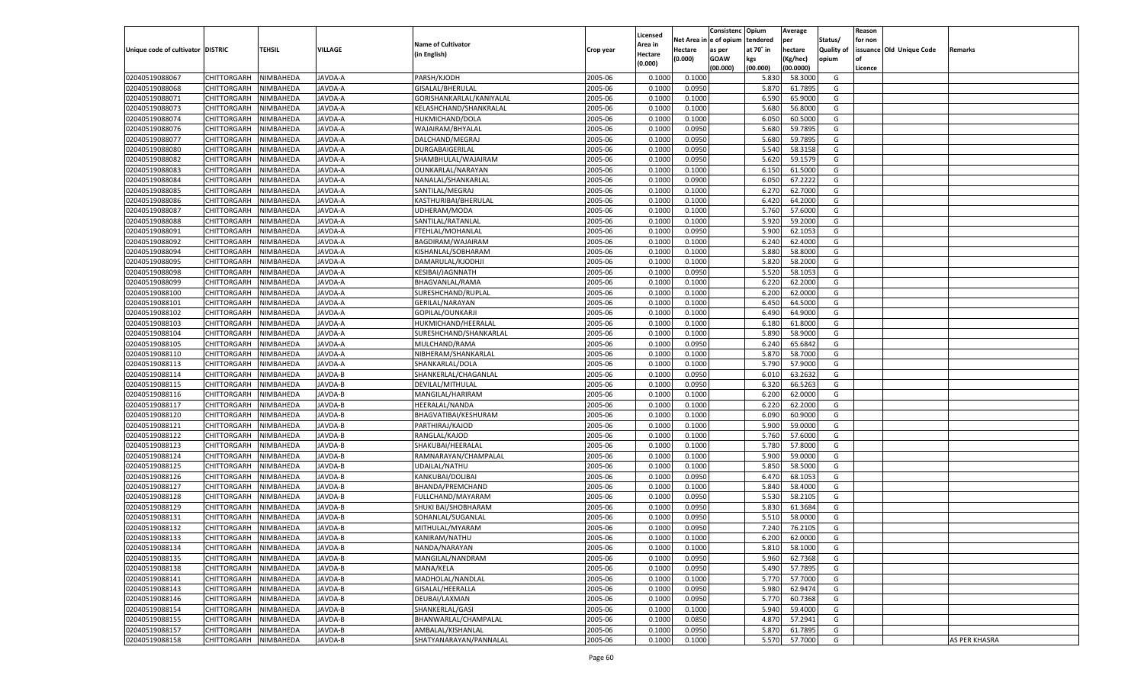|                                   |                       |               |                |                           |           |                           |          | Consistenc  | Opium     | Average   |                   | Reason  |                          |               |
|-----------------------------------|-----------------------|---------------|----------------|---------------------------|-----------|---------------------------|----------|-------------|-----------|-----------|-------------------|---------|--------------------------|---------------|
|                                   |                       |               |                | <b>Name of Cultivator</b> |           | Licensed                  | Net Area | e of opium  | tendered  | per       | Status/           | for non |                          |               |
| Unique code of cultivator DISTRIC |                       | <b>TEHSIL</b> | VILLAGE        | (in English)              | Crop year | <b>Area in</b><br>Hectare | Hectare  | as per      | at 70° in | hectare   | <b>Quality of</b> |         | issuance Old Unique Code | Remarks       |
|                                   |                       |               |                |                           |           | (0.000)                   | (0.000)  | <b>GOAW</b> | kgs       | (Kg/hec)  | opium             |         |                          |               |
|                                   |                       |               |                |                           |           |                           |          | (00.000)    | (00.000)  | (00.0000) |                   | Licence |                          |               |
| 02040519088067                    | CHITTORGARH           | NIMBAHEDA     | JAVDA-A        | PARSH/KJODH               | 2005-06   | 0.1000                    | 0.1000   |             | 5.830     | 58.3000   | G                 |         |                          |               |
| 02040519088068                    | CHITTORGARH           | NIMBAHEDA     | <b>JAVDA-A</b> | GISALAL/BHERULAL          | 2005-06   | 0.1000                    | 0.0950   |             | 5.870     | 61.7895   | G                 |         |                          |               |
| 02040519088071                    | CHITTORGARH           | NIMBAHEDA     | JAVDA-A        | GORISHANKARLAL/KANIYALAL  | 2005-06   | 0.1000                    | 0.1000   |             | 6.590     | 65.9000   | G                 |         |                          |               |
| 02040519088073                    | CHITTORGARH           | NIMBAHEDA     | JAVDA-A        | KELASHCHAND/SHANKRALAL    | 2005-06   | 0.1000                    | 0.1000   |             | 5.680     | 56.8000   | G                 |         |                          |               |
| 02040519088074                    | CHITTORGARH           | NIMBAHEDA     | JAVDA-A        | HUKMICHAND/DOLA           | 2005-06   | 0.1000                    | 0.1000   |             | 6.050     | 60.5000   | G                 |         |                          |               |
| 02040519088076                    | CHITTORGARH           | NIMBAHEDA     | <b>JAVDA-A</b> | WAJAIRAM/BHYALAL          | 2005-06   | 0.1000                    | 0.0950   |             | 5.680     | 59.7895   | G                 |         |                          |               |
| 02040519088077                    | CHITTORGARH           | NIMBAHEDA     | <b>JAVDA-A</b> | DALCHAND/MEGRAJ           | 2005-06   | 0.1000                    | 0.0950   |             | 5.680     | 59.7895   | G                 |         |                          |               |
| 02040519088080                    | CHITTORGARH           | NIMBAHEDA     | <b>JAVDA-A</b> | DURGABAIGERILAL           | 2005-06   | 0.1000                    | 0.0950   |             | 5.540     | 58.3158   | G                 |         |                          |               |
| 02040519088082                    | CHITTORGARH           | NIMBAHEDA     | JAVDA-A        | SHAMBHULAL/WAJAIRAM       | 2005-06   | 0.1000                    | 0.0950   |             | 5.620     | 59.1579   | G                 |         |                          |               |
| 02040519088083                    | CHITTORGARH           | NIMBAHEDA     | <b>JAVDA-A</b> | OUNKARLAL/NARAYAN         | 2005-06   | 0.1000                    | 0.1000   |             | 6.150     | 61.5000   | G                 |         |                          |               |
| 02040519088084                    | CHITTORGARH           | NIMBAHEDA     | <b>JAVDA-A</b> | NANALAL/SHANKARLAL        | 2005-06   | 0.1000                    | 0.0900   |             | 6.050     | 67.2222   | G                 |         |                          |               |
| 02040519088085                    | CHITTORGARH           | NIMBAHEDA     | <b>JAVDA-A</b> | SANTILAL/MEGRAJ           | 2005-06   | 0.1000                    | 0.1000   |             | 6.27      | 62.7000   | G                 |         |                          |               |
| 02040519088086                    | CHITTORGARH           | NIMBAHEDA     | JAVDA-A        | KASTHURIBAI/BHERULAL      | 2005-06   | 0.1000                    | 0.1000   |             | 6.420     | 64.2000   | G                 |         |                          |               |
| 02040519088087                    | CHITTORGARH           | NIMBAHEDA     | AVDA-A         | UDHERAM/MODA              | 2005-06   | 0.1000                    | 0.1000   |             | 5.760     | 57.6000   | G                 |         |                          |               |
| 02040519088088                    | CHITTORGARH           | NIMBAHEDA     | AVDA-A         | SANTILAL/RATANLAI         | 2005-06   | 0.1000                    | 0.1000   |             | 5.920     | 59.2000   | G                 |         |                          |               |
| 02040519088091                    | CHITTORGARH           | NIMBAHEDA     | AVDA-A         | FTEHLAL/MOHANLAL          | 2005-06   | 0.1000                    | 0.0950   |             | 5.900     | 62.1053   | G                 |         |                          |               |
| 02040519088092                    | CHITTORGARH           | NIMBAHEDA     | AVDA-A         | BAGDIRAM/WAJAIRAM         | 2005-06   | 0.1000                    | 0.1000   |             | 6.240     | 62.4000   | G                 |         |                          |               |
| 02040519088094                    | CHITTORGARH           | NIMBAHEDA     | AVDA-A         | KISHANLAL/SOBHARAM        | 2005-06   | 0.1000                    | 0.1000   |             | 5.880     | 58.8000   | G                 |         |                          |               |
| 02040519088095                    | CHITTORGARH           | NIMBAHEDA     | AVDA-A         | DAMARULAL/KJODHJI         | 2005-06   | 0.1000                    | 0.1000   |             | 5.820     | 58.2000   | G                 |         |                          |               |
| 02040519088098                    | CHITTORGARH           | NIMBAHEDA     | AVDA-A         | KESIBAI/JAGNNATH          | 2005-06   | 0.1000                    | 0.0950   |             | 5.520     | 58.1053   | G                 |         |                          |               |
| 02040519088099                    | CHITTORGARH           | NIMBAHEDA     | AVDA-A         | BHAGVANLAL/RAMA           | 2005-06   | 0.1000                    | 0.1000   |             | 6.220     | 62.2000   | G                 |         |                          |               |
| 02040519088100                    | CHITTORGARH           | NIMBAHEDA     | AVDA-A         | SURESHCHAND/RUPLAL        | 2005-06   | 0.1000                    | 0.1000   |             | 6.200     | 62.0000   | G                 |         |                          |               |
| 02040519088101                    | CHITTORGARH           | NIMBAHEDA     | AVDA-A         | GERILAL/NARAYAN           | 2005-06   | 0.1000                    | 0.1000   |             | 6.450     | 64.5000   | G                 |         |                          |               |
| 02040519088102                    | CHITTORGARH           | NIMBAHEDA     | AVDA-A         | GOPILAL/OUNKARJI          | 2005-06   | 0.1000                    | 0.1000   |             | 6.490     | 64.9000   | G                 |         |                          |               |
| 02040519088103                    | CHITTORGARH           | NIMBAHEDA     | AVDA-A         | HUKMICHAND/HEERALAL       | 2005-06   | 0.1000                    | 0.1000   |             | 6.180     | 61.8000   | G                 |         |                          |               |
| 02040519088104                    | CHITTORGARH           | NIMBAHEDA     | AVDA-A         | SURESHCHAND/SHANKARLAL    | 2005-06   | 0.1000                    | 0.1000   |             | 5.890     | 58.9000   | G                 |         |                          |               |
| 02040519088105                    | CHITTORGARH           | NIMBAHEDA     | AVDA-A         | MULCHAND/RAMA             | 2005-06   | 0.1000                    | 0.0950   |             | 6.240     | 65.6842   | G                 |         |                          |               |
| 02040519088110                    | CHITTORGARH           | NIMBAHEDA     | AVDA-A         | NIBHERAM/SHANKARLAL       | 2005-06   | 0.1000                    | 0.1000   |             | 5.870     | 58.7000   | G                 |         |                          |               |
| 02040519088113                    | CHITTORGARH           | NIMBAHEDA     | AVDA-A         | SHANKARLAL/DOLA           | 2005-06   | 0.1000                    | 0.1000   |             | 5.790     | 57.9000   | G                 |         |                          |               |
| 02040519088114                    | CHITTORGARH           | NIMBAHEDA     | AVDA-B         | SHANKERLAL/CHAGANLAL      | 2005-06   | 0.1000                    | 0.0950   |             | 6.010     | 63.2632   | G                 |         |                          |               |
| 02040519088115                    | CHITTORGARH           | NIMBAHEDA     | <b>JAVDA-B</b> | DEVILAL/MITHULAL          | 2005-06   | 0.1000                    | 0.0950   |             | 6.320     | 66.5263   | G                 |         |                          |               |
| 02040519088116                    | CHITTORGARH           | NIMBAHEDA     | JAVDA-B        | MANGILAL/HARIRAM          | 2005-06   | 0.1000                    | 0.1000   |             | 6.200     | 62.0000   | G                 |         |                          |               |
| 02040519088117                    | CHITTORGARH           | NIMBAHEDA     | <b>JAVDA-B</b> | HEERALAL/NANDA            | 2005-06   | 0.1000                    | 0.1000   |             | 6.220     | 62.2000   | G                 |         |                          |               |
| 02040519088120                    | CHITTORGARH           | NIMBAHEDA     | JAVDA-B        | BHAGVATIBAI/KESHURAM      | 2005-06   | 0.1000                    | 0.1000   |             | 6.090     | 60.9000   | G                 |         |                          |               |
| 02040519088121                    | CHITTORGARH           | NIMBAHEDA     | <b>JAVDA-B</b> | PARTHIRAJ/KAJOD           | 2005-06   | 0.1000                    | 0.1000   |             | 5.900     | 59.0000   | G                 |         |                          |               |
| 02040519088122                    | CHITTORGARH           | NIMBAHEDA     | JAVDA-B        | RANGLAL/KAJOD             | 2005-06   | 0.1000                    | 0.1000   |             | 5.760     | 57.6000   | G                 |         |                          |               |
| 02040519088123                    | CHITTORGARH           | NIMBAHEDA     | <b>JAVDA-B</b> | SHAKUBAI/HEERALAL         | 2005-06   | 0.1000                    | 0.1000   |             | 5.780     | 57.8000   | G                 |         |                          |               |
| 02040519088124                    | CHITTORGARH           | NIMBAHEDA     | AVDA-B         | RAMNARAYAN/CHAMPALAL      | 2005-06   | 0.1000                    | 0.1000   |             | 5.900     | 59.0000   | G                 |         |                          |               |
| 02040519088125                    | CHITTORGARH           | NIMBAHEDA     | <b>JAVDA-B</b> | UDAILAL/NATHU             | 2005-06   | 0.1000                    | 0.1000   |             | 5.85      | 58.5000   | G                 |         |                          |               |
| 02040519088126                    |                       |               |                |                           | 2005-06   | 0.1000                    |          |             | 6.47      | 68.105    | G                 |         |                          |               |
|                                   | CHITTORGARH           | NIMBAHEDA     | JAVDA-B        | KANKUBAI/DOLIBAI          |           |                           | 0.0950   |             |           |           |                   |         |                          |               |
| 02040519088127                    | CHITTORGARH           | NIMBAHEDA     | <b>JAVDA-B</b> | BHANDA/PREMCHAND          | 2005-06   | 0.1000                    | 0.1000   |             | 5.840     | 58.4000   | G                 |         |                          |               |
| 02040519088128                    | CHITTORGARH           | NIMBAHEDA     | AVDA-B         | FULLCHAND/MAYARAM         | 2005-06   | 0.1000                    | 0.0950   |             | 5.530     | 58.210    | G                 |         |                          |               |
| 02040519088129                    | CHITTORGARH           | NIMBAHEDA     | <b>JAVDA-B</b> | SHUKI BAI/SHOBHARAM       | 2005-06   | 0.1000                    | 0.0950   |             | 5.83      | 61.3684   | G                 |         |                          |               |
| 02040519088131                    | CHITTORGARH           | NIMBAHEDA     | AVDA-B         | SOHANLAL/SUGANLAL         | 2005-06   | 0.1000                    | 0.0950   |             | 5.510     | 58.0000   | G                 |         |                          |               |
| 02040519088132                    | CHITTORGARH           | NIMBAHEDA     | JAVDA-B        | MITHULAL/MYARAM           | 2005-06   | 0.1000                    | 0.0950   |             | 7.240     | 76.2105   | G                 |         |                          |               |
| 02040519088133                    | CHITTORGARH NIMBAHEDA |               | JAVDA-B        | KANIRAM/NATHU             | 2005-06   | 0.1000                    | 0.1000   |             | 6.200     | 62.0000   | G                 |         |                          |               |
| 02040519088134                    | <b>CHITTORGARH</b>    | NIMBAHEDA     | JAVDA-B        | NANDA/NARAYAN             | 2005-06   | 0.1000                    | 0.1000   |             | 5.810     | 58.1000   | G                 |         |                          |               |
| 02040519088135                    | CHITTORGARH           | NIMBAHEDA     | JAVDA-B        | MANGILAL/NANDRAM          | 2005-06   | 0.1000                    | 0.0950   |             | 5.960     | 62.7368   | G                 |         |                          |               |
| 02040519088138                    | <b>CHITTORGARH</b>    | NIMBAHEDA     | JAVDA-B        | MANA/KELA                 | 2005-06   | 0.1000                    | 0.0950   |             | 5.490     | 57.7895   | G                 |         |                          |               |
| 02040519088141                    | <b>CHITTORGARH</b>    | NIMBAHEDA     | <b>JAVDA-B</b> | MADHOLAL/NANDLAL          | 2005-06   | 0.1000                    | 0.1000   |             | 5.770     | 57.7000   | G                 |         |                          |               |
| 02040519088143                    | <b>CHITTORGARH</b>    | NIMBAHEDA     | JAVDA-B        | GISALAL/HEERALLA          | 2005-06   | 0.1000                    | 0.0950   |             | 5.980     | 62.9474   | G                 |         |                          |               |
| 02040519088146                    | <b>CHITTORGARH</b>    | NIMBAHEDA     | JAVDA-B        | DEUBAI/LAXMAN             | 2005-06   | 0.1000                    | 0.0950   |             | 5.770     | 60.7368   | G                 |         |                          |               |
| 02040519088154                    | <b>CHITTORGARH</b>    | NIMBAHEDA     | JAVDA-B        | SHANKERLAL/GASI           | 2005-06   | 0.1000                    | 0.1000   |             | 5.940     | 59.4000   | G                 |         |                          |               |
| 02040519088155                    | <b>CHITTORGARH</b>    | NIMBAHEDA     | <b>JAVDA-B</b> | BHANWARLAL/CHAMPALAL      | 2005-06   | 0.1000                    | 0.0850   |             | 4.870     | 57.2941   | G                 |         |                          |               |
| 02040519088157                    | <b>CHITTORGARH</b>    | NIMBAHEDA     | JAVDA-B        | AMBALAL/KISHANLAL         | 2005-06   | 0.1000                    | 0.0950   |             | 5.870     | 61.7895   | G                 |         |                          |               |
| 02040519088158                    | <b>CHITTORGARH</b>    | NIMBAHEDA     | JAVDA-B        | SHATYANARAYAN/PANNALAL    | 2005-06   | 0.1000                    | 0.1000   |             | 5.570     | 57.7000   | G                 |         |                          | AS PER KHASRA |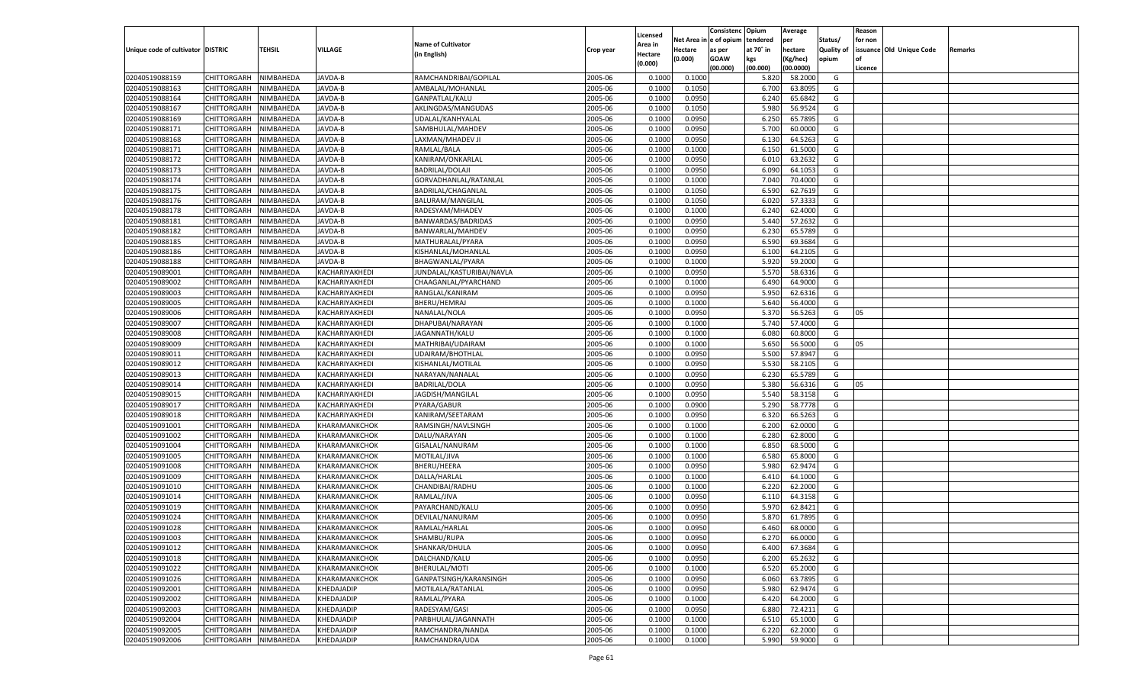|                                   |                       |               |                |                           |           |                           |          | Consistenc  | Opium     | Average   |                   | Reason  |                          |         |
|-----------------------------------|-----------------------|---------------|----------------|---------------------------|-----------|---------------------------|----------|-------------|-----------|-----------|-------------------|---------|--------------------------|---------|
|                                   |                       |               |                | <b>Name of Cultivator</b> |           | Licensed                  | Net Area | e of opium  | tendered  | per       | Status/           | for non |                          |         |
| Unique code of cultivator DISTRIC |                       | <b>TEHSIL</b> | VILLAGE        | (in English)              | Crop year | <b>Area in</b><br>Hectare | Hectare  | as per      | at 70° in | hectare   | <b>Quality of</b> |         | issuance Old Unique Code | Remarks |
|                                   |                       |               |                |                           |           | (0.000)                   | (0.000)  | <b>GOAW</b> | kgs       | (Kg/hec)  | opium             |         |                          |         |
|                                   |                       |               |                |                           |           |                           |          | (00.000)    | (00.000)  | (00.0000) |                   | Licence |                          |         |
| 02040519088159                    | CHITTORGARH           | NIMBAHEDA     | JAVDA-B        | RAMCHANDRIBAI/GOPILAL     | 2005-06   | 0.1000                    | 0.1000   |             | 5.820     | 58.2000   | G                 |         |                          |         |
| 02040519088163                    | CHITTORGARH           | NIMBAHEDA     | JAVDA-B        | AMBALAL/MOHANLAL          | 2005-06   | 0.1000                    | 0.1050   |             | 6.700     | 63.8095   | G                 |         |                          |         |
| 02040519088164                    | CHITTORGARH           | NIMBAHEDA     | JAVDA-B        | GANPATLAL/KALU            | 2005-06   | 0.1000                    | 0.0950   |             | 6.240     | 65.6842   | G                 |         |                          |         |
| 02040519088167                    | CHITTORGARH           | NIMBAHEDA     | JAVDA-B        | AKLINGDAS/MANGUDAS        | 2005-06   | 0.1000                    | 0.1050   |             | 5.980     | 56.9524   | G                 |         |                          |         |
| 02040519088169                    | CHITTORGARH           | NIMBAHEDA     | JAVDA-B        | UDALAL/KANHYALAL          | 2005-06   | 0.1000                    | 0.0950   |             | 6.250     | 65.7895   | G                 |         |                          |         |
| 02040519088171                    | CHITTORGARH           | NIMBAHEDA     | JAVDA-B        | SAMBHULAL/MAHDEV          | 2005-06   | 0.1000                    | 0.0950   |             | 5.700     | 60.0000   | G                 |         |                          |         |
| 02040519088168                    | CHITTORGARH           | NIMBAHEDA     | JAVDA-B        | LAXMAN/MHADEV JI          | 2005-06   | 0.1000                    | 0.0950   |             | 6.130     | 64.5263   | G                 |         |                          |         |
| 02040519088171                    | CHITTORGARH           | NIMBAHEDA     | JAVDA-B        | RAMLAL/BALA               | 2005-06   | 0.1000                    | 0.1000   |             | 6.150     | 61.5000   | G                 |         |                          |         |
| 02040519088172                    | CHITTORGARH           | NIMBAHEDA     | JAVDA-B        | KANIRAM/ONKARLAL          | 2005-06   | 0.1000                    | 0.0950   |             | 6.010     | 63.2632   | G                 |         |                          |         |
| 02040519088173                    | CHITTORGARH           | NIMBAHEDA     | JAVDA-B        | <b>BADRILAL/DOLAJI</b>    | 2005-06   | 0.1000                    | 0.0950   |             | 6.090     | 64.105    | G                 |         |                          |         |
| 02040519088174                    | CHITTORGARH           | NIMBAHEDA     | JAVDA-B        | GORVADHANLAL/RATANLAL     | 2005-06   | 0.1000                    | 0.1000   |             | 7.040     | 70.4000   | G                 |         |                          |         |
| 02040519088175                    | CHITTORGARH           | NIMBAHEDA     | JAVDA-B        | BADRILAL/CHAGANLAL        | 2005-06   | 0.1000                    | 0.1050   |             | 6.590     | 62.7619   | G                 |         |                          |         |
| 02040519088176                    | CHITTORGARH           | NIMBAHEDA     | JAVDA-B        | BALURAM/MANGILAL          | 2005-06   | 0.1000                    | 0.1050   |             | 6.020     | 57.3333   | G                 |         |                          |         |
| 02040519088178                    | CHITTORGARH           | NIMBAHEDA     | AVDA-B         | RADESYAM/MHADEV           | 2005-06   | 0.1000                    | 0.1000   |             | 6.240     | 62.4000   | G                 |         |                          |         |
| 02040519088181                    | CHITTORGARH           | NIMBAHEDA     | AVDA-B         | BANWARDAS/BADRIDAS        | 2005-06   | 0.1000                    | 0.0950   |             | 5.440     | 57.2632   | G                 |         |                          |         |
| 02040519088182                    | CHITTORGARH           | NIMBAHEDA     | AVDA-B         | BANWARLAL/MAHDEV          | 2005-06   | 0.1000                    | 0.0950   |             | 6.230     | 65.5789   | G                 |         |                          |         |
| 02040519088185                    | CHITTORGARH           | NIMBAHEDA     | AVDA-B         | MATHURALAL/PYARA          | 2005-06   | 0.1000                    | 0.0950   |             | 6.590     | 69.3684   | G                 |         |                          |         |
| 02040519088186                    | CHITTORGARH           | NIMBAHEDA     | AVDA-B         | KISHANLAL/MOHANLAI        | 2005-06   | 0.1000                    | 0.0950   |             | 6.100     | 64.2105   | G                 |         |                          |         |
| 02040519088188                    | CHITTORGARH           | NIMBAHEDA     | <b>JAVDA-B</b> | BHAGWANLAL/PYARA          | 2005-06   | 0.1000                    | 0.1000   |             | 5.920     | 59.2000   | G                 |         |                          |         |
| 02040519089001                    | CHITTORGARH           | NIMBAHEDA     | KACHARIYAKHEDI | JUNDALAL/KASTURIBAI/NAVLA | 2005-06   | 0.1000                    | 0.0950   |             | 5.570     | 58.6316   | G                 |         |                          |         |
| 02040519089002                    | CHITTORGARH           | NIMBAHEDA     | KACHARIYAKHEDI | CHAAGANLAL/PYARCHAND      | 2005-06   | 0.1000                    | 0.1000   |             | 6.490     | 64.9000   | G                 |         |                          |         |
| 02040519089003                    | CHITTORGARH           | NIMBAHEDA     | KACHARIYAKHEDI | RANGLAL/KANIRAM           | 2005-06   | 0.1000                    | 0.0950   |             | 5.950     | 62.6316   | G                 |         |                          |         |
| 02040519089005                    | CHITTORGARH           | NIMBAHEDA     | KACHARIYAKHEDI | BHERU/HEMRAJ              | 2005-06   | 0.1000                    | 0.1000   |             | 5.640     | 56.4000   | G                 |         |                          |         |
| 02040519089006                    | CHITTORGARH           | NIMBAHEDA     | KACHARIYAKHEDI | NANALAL/NOLA              | 2005-06   | 0.1000                    | 0.0950   |             | 5.370     | 56.5263   | G                 | 05      |                          |         |
| 02040519089007                    | CHITTORGARH           | NIMBAHEDA     | KACHARIYAKHEDI | DHAPUBAI/NARAYAN          | 2005-06   | 0.1000                    | 0.1000   |             | 5.740     | 57.4000   | G                 |         |                          |         |
| 02040519089008                    | CHITTORGARH           | NIMBAHEDA     | KACHARIYAKHEDI | JAGANNATH/KALU            | 2005-06   | 0.1000                    | 0.1000   |             | 6.080     | 60.8000   | G                 |         |                          |         |
| 02040519089009                    | CHITTORGARH           | NIMBAHEDA     | KACHARIYAKHEDI | MATHRIBAI/UDAIRAM         | 2005-06   | 0.1000                    | 0.1000   |             | 5.650     | 56.5000   | G                 | 05      |                          |         |
| 02040519089011                    | CHITTORGARH           | NIMBAHEDA     | KACHARIYAKHEDI | UDAIRAM/BHOTHLAL          | 2005-06   | 0.1000                    | 0.0950   |             | 5.500     | 57.8947   | G                 |         |                          |         |
| 02040519089012                    | CHITTORGARH           | NIMBAHEDA     | KACHARIYAKHEDI | KISHANLAL/MOTILAL         | 2005-06   | 0.1000                    | 0.0950   |             | 5.530     | 58.2105   | G                 |         |                          |         |
| 02040519089013                    | CHITTORGARH           | NIMBAHEDA     | KACHARIYAKHEDI | NARAYAN/NANALAL           | 2005-06   | 0.1000                    | 0.0950   |             | 6.230     | 65.5789   | G                 |         |                          |         |
| 02040519089014                    | CHITTORGARH           | NIMBAHEDA     | KACHARIYAKHEDI | <b>BADRILAL/DOLA</b>      | 2005-06   | 0.1000                    | 0.0950   |             | 5.380     | 56.6316   | G                 | 05      |                          |         |
| 02040519089015                    |                       |               |                | JAGDISH/MANGILAL          | 2005-06   |                           |          |             | 5.540     | 58.3158   | G                 |         |                          |         |
|                                   | CHITTORGARH           | NIMBAHEDA     | KACHARIYAKHEDI |                           |           | 0.1000                    | 0.0950   |             |           |           |                   |         |                          |         |
| 02040519089017                    | CHITTORGARH           | NIMBAHEDA     | KACHARIYAKHEDI | PYARA/GABUR               | 2005-06   | 0.1000                    | 0.0900   |             | 5.290     | 58.7778   | G                 |         |                          |         |
| 02040519089018                    | CHITTORGARH           | NIMBAHEDA     | KACHARIYAKHEDI | KANIRAM/SEETARAM          | 2005-06   | 0.1000                    | 0.0950   |             | 6.320     | 66.5263   | G                 |         |                          |         |
| 02040519091001                    | CHITTORGARH           | NIMBAHEDA     | KHARAMANKCHOK  | RAMSINGH/NAVLSINGH        | 2005-06   | 0.1000                    | 0.1000   |             | 6.200     | 62.0000   | G                 |         |                          |         |
| 02040519091002                    | CHITTORGARH           | NIMBAHEDA     | KHARAMANKCHOK  | DALU/NARAYAN              | 2005-06   | 0.1000                    | 0.1000   |             | 6.280     | 62.8000   | G                 |         |                          |         |
| 02040519091004                    | CHITTORGARH           | NIMBAHEDA     | KHARAMANKCHOK  | GISALAL/NANURAM           | 2005-06   | 0.1000                    | 0.1000   |             | 6.850     | 68.5000   | G                 |         |                          |         |
| 02040519091005                    | CHITTORGARH           | NIMBAHEDA     | KHARAMANKCHOK  | MOTILAL/JIVA              | 2005-06   | 0.1000                    | 0.1000   |             | 6.580     | 65.8000   | G                 |         |                          |         |
| 02040519091008                    | CHITTORGARH           | NIMBAHEDA     | KHARAMANKCHOK  | BHERU/HEERA               | 2005-06   | 0.1000                    | 0.0950   |             | 5.980     | 62.9474   | G                 |         |                          |         |
| 02040519091009                    | CHITTORGARH           | NIMBAHEDA     | KHARAMANKCHOK  | DALLA/HARLAL              | 2005-06   | 0.1000                    | 0.1000   |             | 6.41      | 64.1000   | G                 |         |                          |         |
| 02040519091010                    | <b>CHITTORGARH</b>    | NIMBAHEDA     | KHARAMANKCHOK  | CHANDIBAI/RADHU           | 2005-06   | 0.1000                    | 0.1000   |             | 6.220     | 62.2000   | G                 |         |                          |         |
| 02040519091014                    | CHITTORGARH           | NIMBAHEDA     | KHARAMANKCHOK  | RAMLAL/JIVA               | 2005-06   | 0.1000                    | 0.0950   |             | 6.11      | 64.3158   | G                 |         |                          |         |
| 02040519091019                    | CHITTORGARH           | NIMBAHEDA     | KHARAMANKCHOK  | PAYARCHAND/KALU           | 2005-06   | 0.1000                    | 0.0950   |             | 5.970     | 62.8421   | G                 |         |                          |         |
| 02040519091024                    | CHITTORGARH           | NIMBAHEDA     | KHARAMANKCHOK  | DEVILAL/NANURAM           | 2005-06   | 0.1000                    | 0.0950   |             | 5.87      | 61.7895   | G                 |         |                          |         |
| 02040519091028                    | CHITTORGARH           | NIMBAHEDA     | KHARAMANKCHOK  | RAMLAL/HARLAL             | 2005-06   | 0.1000                    | 0.0950   |             | 6.460     | 68.0000   | G                 |         |                          |         |
| 02040519091003                    | CHITTORGARH NIMBAHEDA |               | KHARAMANKCHOK  | SHAMBU/RUPA               | 2005-06   | 0.1000                    | 0.0950   |             | 6.270     | 66.0000   | G                 |         |                          |         |
| 02040519091012                    | <b>CHITTORGARH</b>    | NIMBAHEDA     | KHARAMANKCHOK  | SHANKAR/DHULA             | 2005-06   | 0.1000                    | 0.0950   |             | 6.400     | 67.3684   | G                 |         |                          |         |
| 02040519091018                    | CHITTORGARH           | NIMBAHEDA     | KHARAMANKCHOK  | DALCHAND/KALU             | 2005-06   | 0.1000                    | 0.0950   |             | 6.200     | 65.2632   | G                 |         |                          |         |
| 02040519091022                    | <b>CHITTORGARH</b>    | NIMBAHEDA     | KHARAMANKCHOK  | BHERULAL/MOTI             | 2005-06   | 0.1000                    | 0.1000   |             | 6.520     | 65.2000   | G                 |         |                          |         |
| 02040519091026                    | <b>CHITTORGARH</b>    | NIMBAHEDA     | KHARAMANKCHOK  | GANPATSINGH/KARANSINGH    | 2005-06   | 0.1000                    | 0.0950   |             | 6.060     | 63.7895   | G                 |         |                          |         |
| 02040519092001                    | <b>CHITTORGARH</b>    | NIMBAHEDA     | KHEDAJADIP     | MOTILALA/RATANLAL         | 2005-06   | 0.1000                    | 0.0950   |             | 5.980     | 62.9474   | G                 |         |                          |         |
| 02040519092002                    | <b>CHITTORGARH</b>    | NIMBAHEDA     | KHEDAJADIP     | RAMLAL/PYARA              | 2005-06   | 0.1000                    | 0.1000   |             | 6.420     | 64.2000   | G                 |         |                          |         |
| 02040519092003                    | <b>CHITTORGARH</b>    | NIMBAHEDA     | KHEDAJADIP     | RADESYAM/GASI             | 2005-06   | 0.1000                    | 0.0950   |             | 6.880     | 72.4211   | G                 |         |                          |         |
| 02040519092004                    | <b>CHITTORGARH</b>    | NIMBAHEDA     | KHEDAJADIP     | PARBHULAL/JAGANNATH       | 2005-06   | 0.1000                    | 0.1000   |             | 6.510     | 65.1000   | G                 |         |                          |         |
| 02040519092005                    | <b>CHITTORGARH</b>    | NIMBAHEDA     | KHEDAJADIP     | RAMCHANDRA/NANDA          | 2005-06   | 0.1000                    | 0.1000   |             | 6.220     | 62.2000   | G                 |         |                          |         |
| 02040519092006                    | CHITTORGARH           | NIMBAHEDA     | KHEDAJADIP     | RAMCHANDRA/UDA            | 2005-06   | 0.1000                    | 0.1000   |             | 5.990     | 59.9000   | G                 |         |                          |         |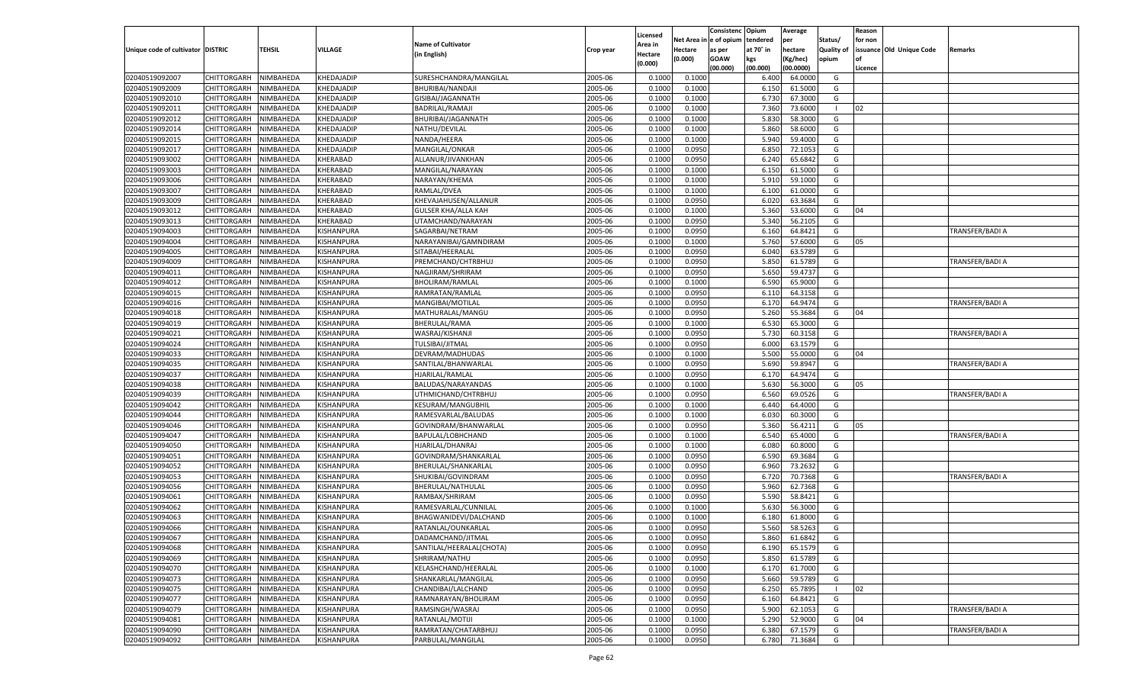|                                   |                       |                        |                                 |                                           |                    |                     |            | Consistenc  | Opium     | Average   |                     | Reason  |                          |                 |
|-----------------------------------|-----------------------|------------------------|---------------------------------|-------------------------------------------|--------------------|---------------------|------------|-------------|-----------|-----------|---------------------|---------|--------------------------|-----------------|
|                                   |                       |                        |                                 | <b>Name of Cultivator</b>                 |                    | Licensed<br>Area in | Net Area i | le of opium | tendered  | per       | Status/             | for non |                          |                 |
| Unique code of cultivator DISTRIC |                       | TEHSIL                 | <b>VILLAGE</b>                  | (in English)                              | Crop year          | Hectare             | Hectare    | as per      | at 70° in | hectare   | Quality of          |         | issuance Old Unique Code | Remarks         |
|                                   |                       |                        |                                 |                                           |                    | (0.000)             | (0.000)    | <b>GOAW</b> | kgs       | (Kg/hec)  | opium               |         |                          |                 |
|                                   |                       |                        |                                 |                                           |                    |                     |            | (00.000)    | (00.000)  | (00.0000) |                     | Licence |                          |                 |
| 02040519092007                    | CHITTORGARH           | NIMBAHEDA              | KHEDAJADIP                      | SURESHCHANDRA/MANGILAL                    | 2005-06            | 0.1000              | 0.1000     |             | 6.400     | 64.0000   | G                   |         |                          |                 |
| 02040519092009                    | CHITTORGARH           | NIMBAHEDA              | KHEDAJADIP                      | BHURIBAI/NANDAJI                          | 2005-06            | 0.100               | 0.1000     |             | 6.150     | 61.5000   | G                   |         |                          |                 |
| 02040519092010                    | CHITTORGARH           | NIMBAHEDA              | KHEDAJADIP                      | GISIBAI/JAGANNATH                         | 2005-06            | 0.1000              | 0.1000     |             | 6.730     | 67.3000   | G                   |         |                          |                 |
| 02040519092011                    | CHITTORGARH           | NIMBAHEDA              | KHEDAJADIP                      | BADRILAL/RAMAJI                           | 2005-06            | 0.1000              | 0.1000     |             | 7.360     | 73.6000   | - 1                 | 02      |                          |                 |
| 02040519092012                    | CHITTORGARH           | NIMBAHEDA              | KHEDAJADIP                      | BHURIBAI/JAGANNATH                        | 2005-06            | 0.1000              | 0.1000     |             | 5.830     | 58.3000   | G                   |         |                          |                 |
| 02040519092014                    | CHITTORGARH           | NIMBAHEDA              | KHEDAJADIP                      | NATHU/DEVILAL                             | 2005-06            | 0.1000              | 0.1000     |             | 5.860     | 58.6000   | G                   |         |                          |                 |
| 02040519092015                    | CHITTORGARH           | NIMBAHEDA              | KHEDAJADIP                      | NANDA/HEERA                               | 2005-06            | 0.1000              | 0.1000     |             | 5.940     | 59.4000   | G                   |         |                          |                 |
| 02040519092017                    | CHITTORGARH           | NIMBAHEDA              | KHEDAJADIP                      | MANGILAL/ONKAR                            | 2005-06            | 0.1000              | 0.0950     |             | 6.850     | 72.1053   | G                   |         |                          |                 |
| 02040519093002                    | CHITTORGARH           | NIMBAHEDA              | KHERABAD                        | ALLANUR/JIVANKHAN                         | 2005-06            | 0.1000              | 0.0950     |             | 6.240     | 65.6842   | G                   |         |                          |                 |
| 02040519093003                    | CHITTORGARH           | NIMBAHEDA              | KHERABAD                        | MANGILAL/NARAYAN                          | 2005-06            | 0.1000              | 0.1000     |             | 6.150     | 61.5000   | G                   |         |                          |                 |
| 02040519093006                    | CHITTORGARH           | NIMBAHEDA              | KHERABAD                        | NARAYAN/KHEMA                             | 2005-06            | 0.1000              | 0.1000     |             | 5.910     | 59.1000   | G                   |         |                          |                 |
| 02040519093007                    | CHITTORGARH           | NIMBAHEDA              | KHERABAD                        | RAMLAL/DVEA                               | 2005-06            | 0.1000              | 0.1000     |             | 6.100     | 61.0000   | G                   |         |                          |                 |
| 02040519093009                    | CHITTORGARH           | NIMBAHEDA              | KHERABAD                        | KHEVAJAHUSEN/ALLANUR                      | 2005-06            | 0.1000              | 0.0950     |             | 6.020     | 63.3684   | G                   |         |                          |                 |
| 02040519093012                    | CHITTORGARH           | NIMBAHEDA              | KHERABAD                        | <b>GULSER KHA/ALLA KAH</b>                | 2005-06            | 0.1000              | 0.1000     |             | 5.360     | 53.6000   | G                   | 04      |                          |                 |
| 02040519093013                    | CHITTORGARH           | NIMBAHEDA              | KHERABAD                        | UTAMCHAND/NARAYAN                         | 2005-06            | 0.1000              | 0.0950     |             | 5.340     | 56.2105   | G                   |         |                          |                 |
| 02040519094003                    | CHITTORGARH           | NIMBAHEDA              | KISHANPURA                      | SAGARBAI/NETRAM                           | 2005-06            | 0.1000              | 0.0950     |             | 6.160     | 64.8421   | G                   |         |                          | TRANSFER/BADI A |
| 02040519094004                    | CHITTORGARH           | NIMBAHEDA              | KISHANPURA                      | NARAYANIBAI/GAMNDIRAM                     | 2005-06            | 0.1000              | 0.1000     |             | 5.760     | 57.6000   | G                   | 05      |                          |                 |
| 02040519094005                    | CHITTORGARH           | NIMBAHEDA              | KISHANPURA                      | SITABAI/HEERALAL                          | 2005-06            | 0.1000              | 0.0950     |             | 6.040     | 63.5789   | G                   |         |                          |                 |
| 02040519094009                    | CHITTORGARH           | NIMBAHEDA              | KISHANPURA                      | PREMCHAND/CHTRBHUJ                        | 2005-06            | 0.1000              | 0.0950     |             | 5.850     | 61.5789   | G                   |         |                          | TRANSFER/BADI A |
| 02040519094011                    | CHITTORGARH           | NIMBAHEDA              | KISHANPURA                      | NAGJIRAM/SHRIRAM                          | 2005-06            | 0.1000              | 0.0950     |             | 5.650     | 59.4737   | G                   |         |                          |                 |
| 02040519094012                    | CHITTORGARH           | NIMBAHEDA              | KISHANPURA                      | <b>BHOLIRAM/RAMLAL</b>                    | 2005-06            | 0.1000              | 0.1000     |             | 6.590     | 65.9000   | G                   |         |                          |                 |
| 02040519094015                    | CHITTORGARH           | NIMBAHEDA              | KISHANPURA                      | RAMRATAN/RAMLAI                           | 2005-06            | 0.1000              | 0.0950     |             | 6.110     | 64.3158   | G                   |         |                          |                 |
| 02040519094016                    | CHITTORGARH           | NIMBAHEDA              | KISHANPURA                      | MANGIBAI/MOTILAL                          | 2005-06            | 0.1000              | 0.0950     |             | 6.170     | 64.9474   | G                   |         |                          | TRANSFER/BADI A |
| 02040519094018                    | CHITTORGARH           | NIMBAHEDA              | KISHANPURA                      | MATHURALAL/MANGU                          | 2005-06            | 0.1000              | 0.0950     |             | 5.260     | 55.3684   | G                   | 04      |                          |                 |
| 02040519094019                    | CHITTORGARH           | NIMBAHEDA              | KISHANPURA                      | BHERULAL/RAMA                             | 2005-06            | 0.1000              | 0.1000     |             | 6.530     | 65.3000   | G                   |         |                          |                 |
| 02040519094021                    | CHITTORGARH           | NIMBAHEDA              | KISHANPURA                      | WASRAJ/KISHANJI                           | 2005-06            | 0.1000              | 0.0950     |             | 5.730     | 60.3158   | G                   |         |                          | TRANSFER/BADI A |
| 02040519094024                    | CHITTORGARH           | NIMBAHEDA              | KISHANPURA                      | TULSIBAI/JITMAL                           | 2005-06            | 0.1000              | 0.0950     |             | 6.000     | 63.1579   | G                   |         |                          |                 |
| 02040519094033                    | CHITTORGARH           | NIMBAHEDA              | KISHANPURA                      | DEVRAM/MADHUDAS                           | 2005-06            | 0.1000              | 0.1000     |             | 5.500     | 55.0000   | G                   | 04      |                          |                 |
| 02040519094035                    | CHITTORGARH           | NIMBAHEDA              | KISHANPURA                      | SANTILAL/BHANWARLAI                       | 2005-06            | 0.1000              | 0.0950     |             | 5.690     | 59.8947   | G                   |         |                          | TRANSFER/BADI A |
| 02040519094037                    | CHITTORGARH           | NIMBAHEDA              | KISHANPURA                      | HJARILAL/RAMLAL                           | 2005-06            | 0.1000              | 0.0950     |             | 6.170     | 64.9474   | G                   |         |                          |                 |
| 02040519094038                    | CHITTORGARH           | NIMBAHEDA              | KISHANPURA                      | BALUDAS/NARAYANDAS                        | 2005-06            | 0.1000              | 0.1000     |             | 5.630     | 56.3000   | G                   | 05      |                          |                 |
| 02040519094039                    | CHITTORGARH           | NIMBAHEDA              | KISHANPURA                      | UTHMICHAND/CHTRBHUJ                       | 2005-06            | 0.1000              | 0.0950     |             | 6.560     | 69.0526   | G                   |         |                          | TRANSFER/BADI A |
| 02040519094042                    | CHITTORGARH           | NIMBAHEDA              | KISHANPURA                      | <b>KESURAM/MANGUBHIL</b>                  | 2005-06            | 0.1000              | 0.1000     |             | 6.440     | 64.4000   | G                   |         |                          |                 |
| 02040519094044                    | CHITTORGARH           | NIMBAHEDA              | KISHANPURA                      | RAMESVARLAL/BALUDAS                       | 2005-06            | 0.1000              | 0.1000     |             | 6.030     | 60.3000   | G                   |         |                          |                 |
| 02040519094046                    | CHITTORGARH           | NIMBAHEDA              | KISHANPURA                      | GOVINDRAM/BHANWARLAL                      | 2005-06            | 0.1000              | 0.0950     |             | 5.360     | 56.4211   | G                   | 05      |                          |                 |
| 02040519094047                    | CHITTORGARH           | NIMBAHEDA              | KISHANPURA                      | BAPULAL/LOBHCHAND                         | 2005-06            | 0.1000              | 0.1000     |             | 6.540     | 65.4000   | G                   |         |                          | TRANSFER/BADI A |
| 02040519094050                    | CHITTORGARH           | NIMBAHEDA              | KISHANPURA                      | HJARILAL/DHANRAJ                          | 2005-06            | 0.1000              | 0.1000     |             | 6.080     | 60.8000   | G                   |         |                          |                 |
| 02040519094051                    | CHITTORGARH           | NIMBAHEDA              | KISHANPURA                      | GOVINDRAM/SHANKARLAL                      | 2005-06            | 0.1000              | 0.0950     |             | 6.590     | 69.3684   | G                   |         |                          |                 |
| 02040519094052                    | CHITTORGARH           | NIMBAHEDA              | KISHANPURA                      | BHERULAL/SHANKARLAL                       | 2005-06            | 0.1000              | 0.0950     |             | 6.960     | 73.2632   | G                   |         |                          |                 |
| 02040519094053                    | CHITTORGARH           | NIMBAHEDA              | KISHANPURA                      | SHUKIBAI/GOVINDRAM                        | 2005-06            | 0.1000              | 0.0950     |             | 6.720     | 70.7368   | G                   |         |                          | TRANSFER/BADI A |
| 02040519094056                    | CHITTORGARH           | NIMBAHEDA              | KISHANPURA                      | BHERULAL/NATHULAL                         | 2005-06            | 0.1000              | 0.0950     |             | 5.960     | 62.7368   | G                   |         |                          |                 |
| 02040519094061                    | CHITTORGARH           | NIMBAHEDA              | KISHANPURA                      | RAMBAX/SHRIRAM                            | 2005-06            | 0.1000              | 0.0950     |             | 5.590     | 58.8421   | G                   |         |                          |                 |
| 02040519094062                    | CHITTORGARH           | NIMBAHEDA              | KISHANPURA                      | RAMESVARLAL/CUNNILAL                      | 2005-06            | 0.1000              | 0.1000     |             | 5.630     | 56.3000   | G                   |         |                          |                 |
| 02040519094063                    | CHITTORGARH           | NIMBAHEDA              | KISHANPURA                      | BHAGWANIDEVI/DALCHAND                     | 2005-06            | 0.1000              | 0.1000     |             | 6.180     | 61.8000   | G                   |         |                          |                 |
| 02040519094066                    | CHITTORGARH           | NIMBAHEDA              | KISHANPURA                      | RATANLAL/OUNKARLAL                        | 2005-06            | 0.1000              | 0.0950     |             | 5.560     | 58.5263   | G                   |         |                          |                 |
|                                   | CHITTORGARH NIMBAHEDA |                        | KISHANPURA                      | DADAMCHAND/JITMAL                         | 2005-06            | 0.1000              | 0.0950     |             | 5.860     | 61.6842   | G                   |         |                          |                 |
| 02040519094067<br>02040519094068  |                       |                        | <b>KISHANPURA</b>               |                                           | 2005-06            |                     |            |             |           |           |                     |         |                          |                 |
|                                   | <b>CHITTORGARH</b>    | NIMBAHEDA              |                                 | SANTILAL/HEERALAL(CHOTA)<br>SHRIRAM/NATHU |                    | 0.1000              | 0.0950     |             | 6.190     | 65.1579   | G                   |         |                          |                 |
| 02040519094069                    | CHITTORGARH           | NIMBAHEDA<br>NIMBAHEDA | KISHANPURA                      |                                           | 2005-06<br>2005-06 | 0.1000              | 0.0950     |             | 5.850     | 61.5789   | G<br>G              |         |                          |                 |
| 02040519094070                    | CHITTORGARH           |                        | KISHANPURA                      | KELASHCHAND/HEERALAL                      |                    | 0.1000              | 0.1000     |             | 6.170     | 61.7000   |                     |         |                          |                 |
| 02040519094073                    | CHITTORGARH           | NIMBAHEDA              | KISHANPURA<br><b>KISHANPURA</b> | SHANKARLAL/MANGILAL                       | 2005-06            | 0.1000              | 0.0950     |             | 5.660     | 59.5789   | G<br>$\blacksquare$ |         |                          |                 |
| 02040519094075                    | CHITTORGARH           | NIMBAHEDA              |                                 | CHANDIBAI/LALCHAND                        | 2005-06            | 0.1000              | 0.0950     |             | 6.250     | 65.7895   |                     | 02      |                          |                 |
| 02040519094077                    | CHITTORGARH           | NIMBAHEDA              | KISHANPURA                      | RAMNARAYAN/BHOLIRAM                       | 2005-06            | 0.1000              | 0.0950     |             | 6.160     | 64.8421   | G                   |         |                          |                 |
| 02040519094079                    | CHITTORGARH           | NIMBAHEDA              | <b>KISHANPURA</b>               | RAMSINGH/WASRAJ                           | 2005-06            | 0.1000              | 0.0950     |             | 5.900     | 62.1053   | G                   |         |                          | TRANSFER/BADI A |
| 02040519094081                    | CHITTORGARH           | NIMBAHEDA              | KISHANPURA                      | RATANLAL/MOTIJI                           | 2005-06            | 0.1000              | 0.1000     |             | 5.290     | 52.9000   | G                   | 04      |                          |                 |
| 02040519094090                    | <b>CHITTORGARH</b>    | NIMBAHEDA              | <b>KISHANPURA</b>               | RAMRATAN/CHATARBHUJ                       | 2005-06            | 0.1000              | 0.0950     |             | 6.380     | 67.1579   | G                   |         |                          | TRANSFER/BADI A |
| 02040519094092                    | <b>CHITTORGARH</b>    | NIMBAHEDA              | KISHANPURA                      | PARBULAL/MANGILAL                         | 2005-06            | 0.1000              | 0.0950     |             | 6.780     | 71.3684   | G                   |         |                          |                 |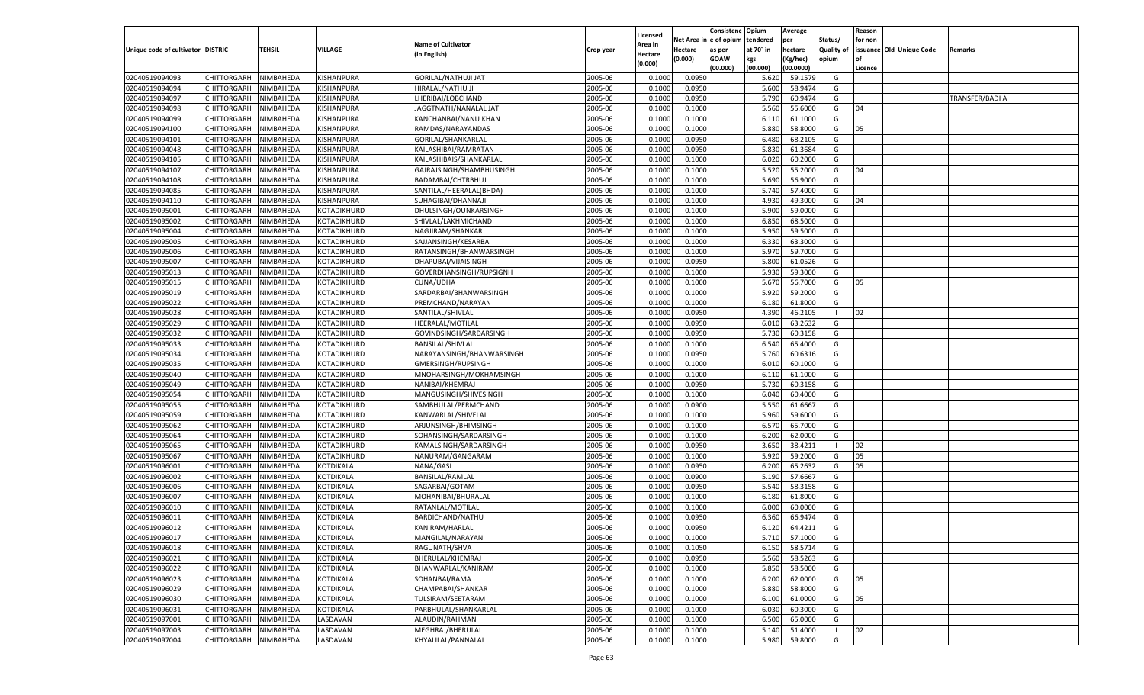|                                   |                                   |               |                  |                            |           | Licensed |         | Consistenc              | Opium           | Average              |                   | Reason  |                          |                 |
|-----------------------------------|-----------------------------------|---------------|------------------|----------------------------|-----------|----------|---------|-------------------------|-----------------|----------------------|-------------------|---------|--------------------------|-----------------|
|                                   |                                   |               |                  | <b>Name of Cultivator</b>  |           | Area in  |         | Net Area in e of opium  | tendered        | per                  | Status/           | for non |                          |                 |
| Unique code of cultivator DISTRIC |                                   | <b>TEHSIL</b> | VILLAGE          | (in English)               | Crop year | Hectare  | Hectare | as per                  | at 70° in       | hectare              | <b>Quality of</b> |         | issuance Old Unique Code | Remarks         |
|                                   |                                   |               |                  |                            |           | (0.000)  | (0.000) | <b>GOAW</b><br>(00.000) | kgs<br>(00.000) | Kg/hec)<br>(00.0000) | opium             | Licence |                          |                 |
| 02040519094093                    | <b>CHITTORGARH</b>                | NIMBAHEDA     | KISHANPURA       | <b>GORILAL/NATHUJI JAT</b> | 2005-06   | 0.1000   | 0.0950  |                         | 5.620           | 59.1579              | G                 |         |                          |                 |
| 02040519094094                    | <b>CHITTORGARH</b>                | NIMBAHEDA     | KISHANPURA       | HIRALAL/NATHU JI           | 2005-06   | 0.1000   | 0.0950  |                         | 5.600           | 58.9474              | G                 |         |                          |                 |
| 02040519094097                    | <b>CHITTORGARH</b>                | NIMBAHEDA     | KISHANPURA       | LHERIBAI/LOBCHAND          | 2005-06   | 0.1000   | 0.0950  |                         | 5.790           | 60.9474              | G                 |         |                          | TRANSFER/BADI A |
| 02040519094098                    | CHITTORGARH                       | NIMBAHEDA     | KISHANPURA       | JAGGTNATH/NANALAL JAT      | 2005-06   | 0.1000   | 0.1000  |                         | 5.560           | 55.6000              | G                 | 04      |                          |                 |
| 02040519094099                    | <b>CHITTORGARH</b>                | NIMBAHEDA     | KISHANPURA       | KANCHANBAI/NANU KHAN       | 2005-06   | 0.1000   | 0.1000  |                         | 6.110           | 61.1000              | G                 |         |                          |                 |
| 02040519094100                    | CHITTORGARH                       | NIMBAHEDA     | KISHANPURA       | RAMDAS/NARAYANDAS          | 2005-06   | 0.1000   | 0.1000  |                         | 5.880           | 58.8000              | G                 | 05      |                          |                 |
| 02040519094101                    | <b>CHITTORGARH</b>                | NIMBAHEDA     | KISHANPURA       | GORILAL/SHANKARLAL         | 2005-06   | 0.1000   | 0.0950  |                         | 6.480           | 68.2105              | G                 |         |                          |                 |
| 02040519094048                    | CHITTORGARH                       | NIMBAHEDA     | KISHANPURA       | KAILASHIBAI/RAMRATAN       | 2005-06   | 0.1000   | 0.0950  |                         | 5.830           | 61.3684              | G                 |         |                          |                 |
| 02040519094105                    |                                   |               |                  | KAILASHIBAIS/SHANKARLAL    | 2005-06   |          |         |                         |                 | 60.2000              | G                 |         |                          |                 |
| 02040519094107                    | <b>CHITTORGARH</b><br>CHITTORGARH | NIMBAHEDA     | KISHANPURA       |                            | 2005-06   | 0.1000   | 0.1000  |                         | 6.020           |                      |                   | 04      |                          |                 |
|                                   |                                   | NIMBAHEDA     | KISHANPURA       | GAJRAJSINGH/SHAMBHUSINGH   |           | 0.1000   | 0.1000  |                         | 5.520           | 55.2000              | G                 |         |                          |                 |
| 02040519094108                    | <b>CHITTORGARH</b>                | NIMBAHEDA     | KISHANPURA       | BADAMBAI/CHTRBHUJ          | 2005-06   | 0.1000   | 0.1000  |                         | 5.690           | 56.9000              | G                 |         |                          |                 |
| 02040519094085                    | CHITTORGARH                       | NIMBAHEDA     | KISHANPURA       | SANTILAL/HEERALAL(BHDA)    | 2005-06   | 0.1000   | 0.1000  |                         | 5.740           | 57.4000              | G                 |         |                          |                 |
| 02040519094110                    | <b>CHITTORGARH</b>                | NIMBAHEDA     | KISHANPURA       | SUHAGIBAI/DHANNAJI         | 2005-06   | 0.1000   | 0.1000  |                         | 4.930           | 49.3000              | G                 | 04      |                          |                 |
| 02040519095001                    | CHITTORGARH                       | NIMBAHEDA     | KOTADIKHURD      | DHULSINGH/OUNKARSINGH      | 2005-06   | 0.1000   | 0.1000  |                         | 5.900           | 59.0000              | G                 |         |                          |                 |
| 02040519095002                    | CHITTORGARH                       | NIMBAHEDA     | KOTADIKHURD      | SHIVLAL/LAKHMICHAND        | 2005-06   | 0.1000   | 0.1000  |                         | 6.850           | 68.5000              | G                 |         |                          |                 |
| 02040519095004                    | CHITTORGARH                       | NIMBAHEDA     | KOTADIKHURD      | NAGJIRAM/SHANKAR           | 2005-06   | 0.1000   | 0.1000  |                         | 5.950           | 59.5000              | G                 |         |                          |                 |
| 02040519095005                    | CHITTORGARH                       | NIMBAHEDA     | KOTADIKHURD      | SAJJANSINGH/KESARBAI       | 2005-06   | 0.1000   | 0.1000  |                         | 6.330           | 63.3000              | G                 |         |                          |                 |
| 02040519095006                    | CHITTORGARH                       | NIMBAHEDA     | KOTADIKHURD      | RATANSINGH/BHANWARSINGH    | 2005-06   | 0.1000   | 0.1000  |                         | 5.970           | 59.7000              | G                 |         |                          |                 |
| 02040519095007                    | CHITTORGARH                       | NIMBAHEDA     | KOTADIKHURD      | DHAPUBAI/VIJAISINGH        | 2005-06   | 0.1000   | 0.0950  |                         | 5.800           | 61.0526              | G                 |         |                          |                 |
| 02040519095013                    | CHITTORGARH                       | NIMBAHEDA     | KOTADIKHURD      | GOVERDHANSINGH/RUPSIGNH    | 2005-06   | 0.1000   | 0.1000  |                         | 5.930           | 59.3000              | G                 |         |                          |                 |
| 02040519095015                    | CHITTORGARH                       | NIMBAHEDA     | KOTADIKHURD      | CUNA/UDHA                  | 2005-06   | 0.1000   | 0.1000  |                         | 5.670           | 56.7000              | G                 | 05      |                          |                 |
| 02040519095019                    | CHITTORGARH                       | NIMBAHEDA     | KOTADIKHURD      | SARDARBAI/BHANWARSINGH     | 2005-06   | 0.1000   | 0.1000  |                         | 5.920           | 59.2000              | G                 |         |                          |                 |
| 02040519095022                    | CHITTORGARH                       | NIMBAHEDA     | KOTADIKHURD      | PREMCHAND/NARAYAN          | 2005-06   | 0.1000   | 0.1000  |                         | 6.180           | 61.8000              | G                 |         |                          |                 |
| 02040519095028                    | CHITTORGARH                       | NIMBAHEDA     | KOTADIKHURD      | SANTILAL/SHIVLAL           | 2005-06   | 0.1000   | 0.0950  |                         | 4.390           | 46.2105              |                   | 02      |                          |                 |
| 02040519095029                    | CHITTORGARH                       | NIMBAHEDA     | KOTADIKHURD      | HEERALAL/MOTILAL           | 2005-06   | 0.1000   | 0.0950  |                         | 6.010           | 63.2632              | G                 |         |                          |                 |
| 02040519095032                    | CHITTORGARH                       | NIMBAHEDA     | KOTADIKHURD      | GOVINDSINGH/SARDARSINGH    | 2005-06   | 0.1000   | 0.0950  |                         | 5.730           | 60.3158              | G                 |         |                          |                 |
| 02040519095033                    | CHITTORGARH                       | NIMBAHEDA     | KOTADIKHURD      | BANSILAL/SHIVLAL           | 2005-06   | 0.1000   | 0.1000  |                         | 6.540           | 65.4000              | G                 |         |                          |                 |
| 02040519095034                    | CHITTORGARH                       | NIMBAHEDA     | KOTADIKHURD      | NARAYANSINGH/BHANWARSINGH  | 2005-06   | 0.1000   | 0.0950  |                         | 5.760           | 60.6316              | G                 |         |                          |                 |
| 02040519095035                    | CHITTORGARH                       | NIMBAHEDA     | KOTADIKHURD      | GMERSINGH/RUPSINGH         | 2005-06   | 0.1000   | 0.1000  |                         | 6.010           | 60.1000              | G                 |         |                          |                 |
| 02040519095040                    | CHITTORGARH                       | NIMBAHEDA     | KOTADIKHURD      | MNOHARSINGH/MOKHAMSINGH    | 2005-06   | 0.1000   | 0.1000  |                         | 6.110           | 61.1000              | G                 |         |                          |                 |
| 02040519095049                    | <b>CHITTORGARH</b>                | NIMBAHEDA     | KOTADIKHURD      | NANIBAI/KHEMRAJ            | 2005-06   | 0.1000   | 0.0950  |                         | 5.730           | 60.3158              | G                 |         |                          |                 |
| 02040519095054                    | CHITTORGARH                       | NIMBAHEDA     | KOTADIKHURD      | MANGUSINGH/SHIVESINGH      | 2005-06   | 0.1000   | 0.1000  |                         | 6.040           | 60.4000              | G                 |         |                          |                 |
| 02040519095055                    | <b>CHITTORGARH</b>                | NIMBAHEDA     | KOTADIKHURD      | SAMBHULAL/PERMCHAND        | 2005-06   | 0.1000   | 0.0900  |                         | 5.550           | 61.6667              | G                 |         |                          |                 |
| 02040519095059                    | CHITTORGARH                       | NIMBAHEDA     | KOTADIKHURD      | KANWARLAL/SHIVELAL         | 2005-06   | 0.1000   | 0.1000  |                         | 5.960           | 59.6000              | G                 |         |                          |                 |
| 02040519095062                    | <b>CHITTORGARH</b>                | NIMBAHEDA     | KOTADIKHURD      | ARJUNSINGH/BHIMSINGH       | 2005-06   | 0.1000   | 0.1000  |                         | 6.570           | 65.7000              | G                 |         |                          |                 |
| 02040519095064                    | CHITTORGARH                       | NIMBAHEDA     | KOTADIKHURD      | SOHANSINGH/SARDARSINGH     | 2005-06   | 0.1000   | 0.1000  |                         | 6.200           | 62.0000              | G                 |         |                          |                 |
| 02040519095065                    | <b>CHITTORGARH</b>                | NIMBAHEDA     | KOTADIKHURD      | KAMALSINGH/SARDARSINGH     | 2005-06   | 0.1000   | 0.0950  |                         | 3.650           | 38.4211              |                   | 02      |                          |                 |
| 02040519095067                    | CHITTORGARH                       | NIMBAHEDA     | KOTADIKHURD      | NANURAM/GANGARAM           | 2005-06   | 0.1000   | 0.1000  |                         | 5.920           | 59.2000              | G                 | 05      |                          |                 |
| 02040519096001                    | <b>CHITTORGARH</b>                | NIMBAHEDA     | <b>KOTDIKALA</b> | NANA/GASI                  | 2005-06   | 0.1000   | 0.0950  |                         | 6.200           | 65.2632              | G                 | 05      |                          |                 |
| 02040519096002                    | CHITTORGARH                       | NIMBAHEDA     | KOTDIKALA        | <b>BANSILAL/RAMLAL</b>     | 2005-06   | 0.1000   | 0.0900  |                         | 5.190           | 57.6667              | G                 |         |                          |                 |
| 02040519096006                    | <b>CHITTORGARH</b>                | NIMBAHEDA     | KOTDIKALA        | SAGARBAI/GOTAM             | 2005-06   | 0.1000   | 0.0950  |                         | 5.540           | 58.3158              | G                 |         |                          |                 |
| 02040519096007                    | CHITTORGARH                       | NIMBAHEDA     | KOTDIKALA        | MOHANIBAI/BHURALAL         | 2005-06   | 0.1000   | 0.1000  |                         | 6.180           | 61.8000              | G                 |         |                          |                 |
| 02040519096010                    | <b>CHITTORGARH</b>                | NIMBAHEDA     | <b>KOTDIKALA</b> | RATANLAL/MOTILAL           | 2005-06   | 0.1000   | 0.1000  |                         | 6.000           | 60.0000              | G                 |         |                          |                 |
| 02040519096011                    | CHITTORGARH                       | NIMBAHEDA     | KOTDIKALA        | BARDICHAND/NATHU           | 2005-06   | 0.1000   | 0.0950  |                         | 6.360           | 66.9474              | G                 |         |                          |                 |
| 02040519096012                    | <b>CHITTORGARH</b>                | NIMBAHEDA     | KOTDIKALA        | KANIRAM/HARLAL             | 2005-06   | 0.1000   | 0.0950  |                         | 6.120           | 64.4211              | G                 |         |                          |                 |
| 02040519096017                    | CHITTORGARH NIMBAHEDA             |               | <b>KOTDIKALA</b> | MANGILAL/NARAYAN           | 2005-06   | 0.1000   | 0.1000  |                         | 5.710           | 57.1000              | G                 |         |                          |                 |
| 02040519096018                    | CHITTORGARH                       | NIMBAHEDA     | <b>KOTDIKALA</b> | RAGUNATH/SHVA              | 2005-06   | 0.1000   | 0.1050  |                         | 6.150           | 58.5714              | G                 |         |                          |                 |
| 02040519096021                    | <b>CHITTORGARH</b>                | NIMBAHEDA     | <b>KOTDIKALA</b> | BHERULAL/KHEMRAJ           | 2005-06   | 0.1000   | 0.0950  |                         | 5.560           | 58.5263              | G                 |         |                          |                 |
| 02040519096022                    | <b>CHITTORGARH</b>                | NIMBAHEDA     | KOTDIKALA        | BHANWARLAL/KANIRAM         | 2005-06   | 0.1000   | 0.1000  |                         | 5.850           | 58.5000              | G                 |         |                          |                 |
| 02040519096023                    | <b>CHITTORGARH</b>                | NIMBAHEDA     | <b>KOTDIKALA</b> | SOHANBAI/RAMA              | 2005-06   | 0.1000   | 0.1000  |                         | 6.200           | 62.0000              | G                 | 05      |                          |                 |
| 02040519096029                    | <b>CHITTORGARH</b>                | NIMBAHEDA     | <b>KOTDIKALA</b> | CHAMPABAI/SHANKAR          | 2005-06   | 0.1000   | 0.1000  |                         | 5.880           | 58.8000              | G                 |         |                          |                 |
| 02040519096030                    | <b>CHITTORGARH</b>                | NIMBAHEDA     | KOTDIKALA        | TULSIRAM/SEETARAM          | 2005-06   | 0.1000   | 0.1000  |                         | 6.100           | 61.0000              | G                 | 05      |                          |                 |
| 02040519096031                    | <b>CHITTORGARH</b>                | NIMBAHEDA     | KOTDIKALA        | PARBHULAL/SHANKARLAL       | 2005-06   | 0.1000   | 0.1000  |                         | 6.030           | 60.3000              | G                 |         |                          |                 |
| 02040519097001                    | <b>CHITTORGARH</b>                | NIMBAHEDA     | LASDAVAN         | ALAUDIN/RAHMAN             | 2005-06   | 0.1000   | 0.1000  |                         | 6.500           | 65.0000              | G                 |         |                          |                 |
| 02040519097003                    | <b>CHITTORGARH</b>                | NIMBAHEDA     | LASDAVAN         | MEGHRAJ/BHERULAL           | 2005-06   | 0.1000   | 0.1000  |                         | 5.140           | 51.4000              | -1                | 02      |                          |                 |
| 02040519097004                    | <b>CHITTORGARH</b>                | NIMBAHEDA     | LASDAVAN         | KHYALILAL/PANNALAL         | 2005-06   | 0.1000   | 0.1000  |                         | 5.980           | 59.8000              | G                 |         |                          |                 |
|                                   |                                   |               |                  |                            |           |          |         |                         |                 |                      |                   |         |                          |                 |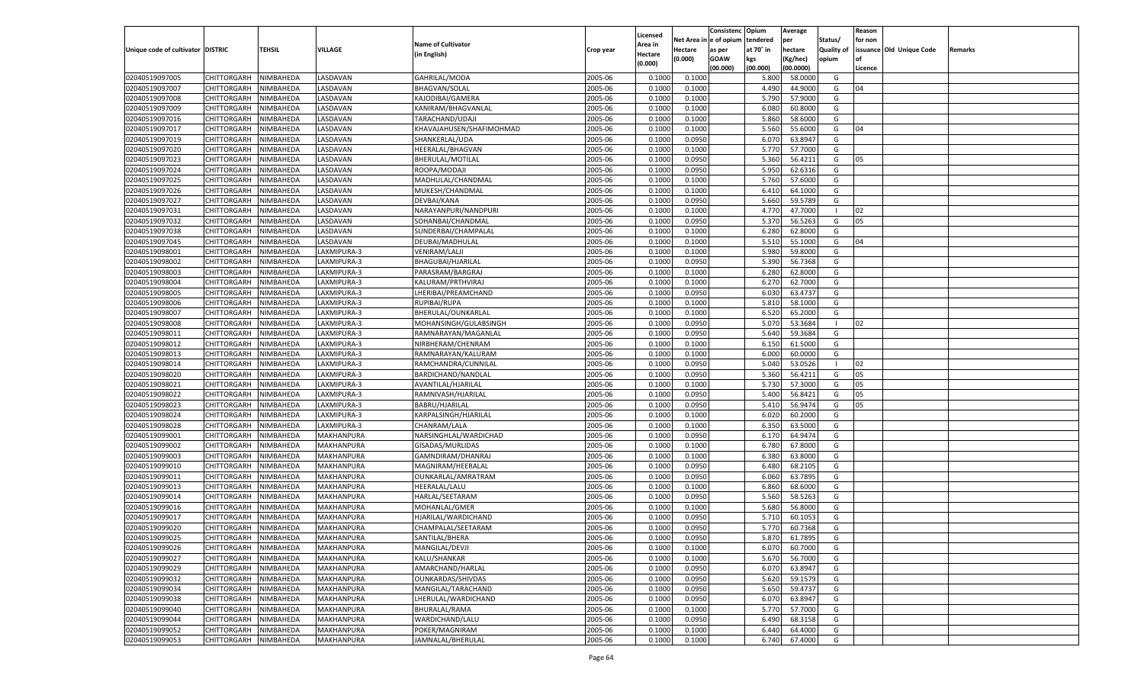|                                   |                       |               |                |                           |           |                    |            | Consistenc Opium |           | Average   |                   | Reason  |                          |                |
|-----------------------------------|-----------------------|---------------|----------------|---------------------------|-----------|--------------------|------------|------------------|-----------|-----------|-------------------|---------|--------------------------|----------------|
|                                   |                       |               |                | <b>Name of Cultivator</b> |           | Licensed           | Net Area i | n  e of opium    | tendered  | per       | Status/           | for non |                          |                |
| Unique code of cultivator DISTRIC |                       | <b>TEHSIL</b> | VILLAGE        |                           | Crop year | \rea in            | Hectare    | as per           | at 70° in | hectare   | <b>Quality of</b> |         | issuance Old Unique Code | <b>Remarks</b> |
|                                   |                       |               |                | (in English)              |           | Hectare<br>(0.000) | (0.000)    | <b>GOAW</b>      | kgs       | (Kg/hec)  | opium             |         |                          |                |
|                                   |                       |               |                |                           |           |                    |            | (00.000)         | (00.000)  | (00.0000) |                   | Licence |                          |                |
| 02040519097005                    | CHITTORGARH           | NIMBAHEDA     | LASDAVAN       | GAHRILAL/MODA             | 2005-06   | 0.1000             | 0.1000     |                  | 5.800     | 58.0000   | G                 |         |                          |                |
| 02040519097007                    | CHITTORGARH           | NIMBAHEDA     | LASDAVAN       | <b>BHAGVAN/SOLAL</b>      | 2005-06   | 0.1000             | 0.1000     |                  | 4.490     | 44.9000   | G                 | 04      |                          |                |
| 02040519097008                    | CHITTORGARH           | NIMBAHEDA     | LASDAVAN       | KAJODIBAI/GAMERA          | 2005-06   | 0.1000             | 0.1000     |                  | 5.790     | 57.9000   | G                 |         |                          |                |
| 02040519097009                    | CHITTORGARH           | NIMBAHEDA     | LASDAVAN       | KANIRAM/BHAGVANLAL        | 2005-06   | 0.1000             | 0.1000     |                  | 6.080     | 60.8000   | G                 |         |                          |                |
| 02040519097016                    | CHITTORGARH           | NIMBAHEDA     | LASDAVAN       | TARACHAND/UDAJI           | 2005-06   | 0.1000             | 0.1000     |                  | 5.860     | 58.6000   | G                 |         |                          |                |
| 02040519097017                    | CHITTORGARH           | NIMBAHEDA     | LASDAVAN       | KHAVAJAHUSEN/SHAFIMOHMAD  | 2005-06   | 0.1000             | 0.1000     |                  | 5.560     | 55.6000   | G                 | 04      |                          |                |
| 02040519097019                    | CHITTORGARH           | NIMBAHEDA     | LASDAVAN       | SHANKERLAL/UDA            | 2005-06   | 0.1000             | 0.0950     |                  | 6.07      | 63.8947   | G                 |         |                          |                |
| 02040519097020                    | CHITTORGARH           | NIMBAHEDA     | LASDAVAN       | HEERALAL/BHAGVAN          | 2005-06   | 0.1000             | 0.1000     |                  | 5.770     | 57.7000   | G                 |         |                          |                |
| 02040519097023                    | CHITTORGARH           | NIMBAHEDA     | LASDAVAN       | BHERULAL/MOTILAL          | 2005-06   | 0.1000             | 0.0950     |                  | 5.360     | 56.4211   | G                 | 05      |                          |                |
| 02040519097024                    | CHITTORGARH           | NIMBAHEDA     | LASDAVAN       | ROOPA/MODAJI              | 2005-06   | 0.1000             | 0.0950     |                  | 5.950     | 62.6316   | G                 |         |                          |                |
| 02040519097025                    | CHITTORGARH           | NIMBAHEDA     | LASDAVAN       | MADHULAL/CHANDMAL         | 2005-06   | 0.1000             | 0.1000     |                  | 5.760     | 57.6000   | G                 |         |                          |                |
| 02040519097026                    | CHITTORGARH           | NIMBAHEDA     | LASDAVAN       | MUKESH/CHANDMAL           | 2005-06   | 0.1000             | 0.1000     |                  | 6.41      | 64.1000   | G                 |         |                          |                |
| 02040519097027                    | CHITTORGARH           | NIMBAHEDA     | LASDAVAN       | DEVBAI/KANA               | 2005-06   | 0.1000             | 0.0950     |                  | 5.660     | 59.5789   | G                 |         |                          |                |
| 02040519097031                    | CHITTORGARH           | NIMBAHEDA     | <b>ASDAVAN</b> | NARAYANPURI/NANDPURI      | 2005-06   | 0.1000             | 0.1000     |                  | 4.77      | 47.7000   | - 1               | 02      |                          |                |
| 02040519097032                    | CHITTORGARH           | NIMBAHEDA     | <b>ASDAVAN</b> | SOHANBAI/CHANDMAL         | 2005-06   | 0.1000             | 0.0950     |                  | 5.370     | 56.5263   | G                 | 05      |                          |                |
| 02040519097038                    | CHITTORGARH           | NIMBAHEDA     | <b>ASDAVAN</b> | SUNDERBAI/CHAMPALAL       | 2005-06   | 0.1000             | 0.1000     |                  | 6.280     | 62.8000   | G                 |         |                          |                |
| 02040519097045                    | CHITTORGARH           | NIMBAHEDA     | LASDAVAN       | DEUBAI/MADHULAL           | 2005-06   | 0.1000             | 0.1000     |                  | 5.510     | 55.1000   | G                 | 04      |                          |                |
| 02040519098001                    | CHITTORGARH           | NIMBAHEDA     | LAXMIPURA-3    | VENIRAM/LALJI             | 2005-06   | 0.1000             | 0.1000     |                  | 5.980     | 59.8000   | G                 |         |                          |                |
| 02040519098002                    | CHITTORGARH           | NIMBAHEDA     | LAXMIPURA-3    | BHAGUBAI/HJARILAL         | 2005-06   | 0.1000             | 0.0950     |                  | 5.390     | 56.7368   | G                 |         |                          |                |
| 02040519098003                    | CHITTORGARH           | NIMBAHEDA     | LAXMIPURA-3    | PARASRAM/BARGRAJ          | 2005-06   | 0.1000             | 0.1000     |                  | 6.280     | 62.8000   | G                 |         |                          |                |
| 02040519098004                    | CHITTORGARH           | NIMBAHEDA     | LAXMIPURA-3    | KALURAM/PRTHVIRAJ         | 2005-06   | 0.1000             | 0.1000     |                  | 6.27      | 62.7000   | G                 |         |                          |                |
|                                   |                       |               |                | LHERIBAI/PREAMCHAND       |           |                    |            |                  |           |           | G                 |         |                          |                |
| 02040519098005                    | CHITTORGARH           | NIMBAHEDA     | LAXMIPURA-3    |                           | 2005-06   | 0.1000             | 0.0950     |                  | 6.030     | 63.4737   |                   |         |                          |                |
| 02040519098006                    | CHITTORGARH           | NIMBAHEDA     | LAXMIPURA-3    | RUPIBAI/RUPA              | 2005-06   | 0.1000             | 0.1000     |                  | 5.810     | 58.1000   | G                 |         |                          |                |
| 02040519098007                    | CHITTORGARH           | NIMBAHEDA     | LAXMIPURA-3    | BHERULAL/OUNKARLAL        | 2005-06   | 0.1000             | 0.1000     |                  | 6.520     | 65.2000   | G                 |         |                          |                |
| 02040519098008                    | CHITTORGARH           | NIMBAHEDA     | LAXMIPURA-3    | MOHANSINGH/GULABSINGH     | 2005-06   | 0.1000             | 0.0950     |                  | 5.070     | 53.3684   | -1                | 02      |                          |                |
| 02040519098011                    | CHITTORGARH           | NIMBAHEDA     | LAXMIPURA-3    | RAMNARAYAN/MAGANLAL       | 2005-06   | 0.1000             | 0.0950     |                  | 5.640     | 59.3684   | G                 |         |                          |                |
| 02040519098012                    | CHITTORGARH           | NIMBAHEDA     | LAXMIPURA-3    | NIRBHERAM/CHENRAM         | 2005-06   | 0.1000             | 0.1000     |                  | 6.150     | 61.5000   | G                 |         |                          |                |
| 02040519098013                    | CHITTORGARH           | NIMBAHEDA     | LAXMIPURA-3    | RAMNARAYAN/KALURAM        | 2005-06   | 0.1000             | 0.1000     |                  | 6.000     | 60.0000   | G                 |         |                          |                |
| 02040519098014                    | CHITTORGARH           | NIMBAHEDA     | LAXMIPURA-3    | RAMCHANDRA/CUNNILAL       | 2005-06   | 0.1000             | 0.0950     |                  | 5.040     | 53.0526   | - 1               | 02      |                          |                |
| 02040519098020                    | CHITTORGARH           | NIMBAHEDA     | LAXMIPURA-3    | BARDICHAND/NANDLAL        | 2005-06   | 0.1000             | 0.0950     |                  | 5.360     | 56.4211   | G                 | 05      |                          |                |
| 02040519098021                    | CHITTORGARH           | NIMBAHEDA     | LAXMIPURA-3    | AVANTILAL/HJARILAL        | 2005-06   | 0.1000             | 0.1000     |                  | 5.730     | 57.3000   | G                 | 05      |                          |                |
| 02040519098022                    | CHITTORGARH           | NIMBAHEDA     | LAXMIPURA-3    | RAMNIVASH/HJARILAL        | 2005-06   | 0.1000             | 0.0950     |                  | 5.400     | 56.8421   | G                 | 05      |                          |                |
| 02040519098023                    | CHITTORGARH           | NIMBAHEDA     | LAXMIPURA-3    | BABRU/HJARILAL            | 2005-06   | 0.1000             | 0.0950     |                  | 5.410     | 56.9474   | G                 | 05      |                          |                |
| 02040519098024                    | CHITTORGARH           | NIMBAHEDA     | LAXMIPURA-3    | KARPALSINGH/HJARILAL      | 2005-06   | 0.1000             | 0.1000     |                  | 6.020     | 60.2000   | G                 |         |                          |                |
| 02040519098028                    | CHITTORGARH           | NIMBAHEDA     | LAXMIPURA-3    | CHANRAM/LALA              | 2005-06   | 0.1000             | 0.1000     |                  | 6.350     | 63.5000   | G                 |         |                          |                |
| 02040519099001                    | CHITTORGARH           | NIMBAHEDA     | MAKHANPURA     | NARSINGHLAL/WARDICHAD     | 2005-06   | 0.1000             | 0.0950     |                  | 6.170     | 64.9474   | G                 |         |                          |                |
| 02040519099002                    | CHITTORGARH           | NIMBAHEDA     | MAKHANPURA     | GISADAS/MURLIDAS          | 2005-06   | 0.1000             | 0.1000     |                  | 6.780     | 67.8000   | G                 |         |                          |                |
| 02040519099003                    | CHITTORGARH           | NIMBAHEDA     | MAKHANPURA     | GAMNDIRAM/DHANRAJ         | 2005-06   | 0.1000             | 0.1000     |                  | 6.380     | 63.8000   | G                 |         |                          |                |
| 02040519099010                    | CHITTORGARH           | NIMBAHEDA     | MAKHANPURA     | MAGNIRAM/HEERALAL         | 2005-06   | 0.1000             | 0.0950     |                  | 6.480     | 68.2105   | G                 |         |                          |                |
| 02040519099011                    | CHITTORGARH           | NIMBAHEDA     | MAKHANPURA     | OUNKARLAL/AMRATRAM        | 2005-06   | 0.1000             | 0.0950     |                  | 6.060     | 63.7895   | G                 |         |                          |                |
| 02040519099013                    | CHITTORGARH           | NIMBAHEDA     | MAKHANPURA     | HEERALAL/LALU             | 2005-06   | 0.1000             | 0.1000     |                  | 6.860     | 68.6000   | G                 |         |                          |                |
| 02040519099014                    | CHITTORGARH           | NIMBAHEDA     | MAKHANPURA     | HARLAL/SEETARAM           | 2005-06   | 0.1000             | 0.0950     |                  | 5.560     | 58.5263   | G                 |         |                          |                |
| 02040519099016                    | CHITTORGARH           | NIMBAHEDA     | MAKHANPURA     | MOHANLAL/GMER             | 2005-06   | 0.1000             | 0.1000     |                  | 5.680     | 56.8000   | G                 |         |                          |                |
| 02040519099017                    | CHITTORGARH           | NIMBAHEDA     | MAKHANPURA     | HJARILAL/WARDICHAND       | 2005-06   | 0.1000             | 0.0950     |                  | 5.710     | 60.105    | G                 |         |                          |                |
| 02040519099020                    | CHITTORGARH           | NIMBAHEDA     | MAKHANPURA     | CHAMPALAL/SEETARAM        | 2005-06   | 0.1000             | 0.0950     |                  | 5.770     | 60.7368   | G                 |         |                          |                |
| 02040519099025                    | CHITTORGARH NIMBAHEDA |               | MAKHANPURA     | SANTILAL/BHERA            | 2005-06   | 0.1000             | 0.0950     |                  | 5.870     | 61.7895   | G                 |         |                          |                |
| 02040519099026                    | CHITTORGARH           | NIMBAHEDA     | MAKHANPURA     | MANGILAL/DEVJI            | 2005-06   | 0.1000             | 0.1000     |                  | 6.070     | 60.7000   | G                 |         |                          |                |
| 02040519099027                    | CHITTORGARH           | NIMBAHEDA     | MAKHANPURA     | KALU/SHANKAR              | 2005-06   | 0.1000             | 0.1000     |                  | 5.670     | 56.7000   | G                 |         |                          |                |
| 02040519099029                    | <b>CHITTORGARH</b>    | NIMBAHEDA     | MAKHANPURA     | AMARCHAND/HARLAL          | 2005-06   | 0.1000             | 0.0950     |                  | 6.070     | 63.8947   | G                 |         |                          |                |
| 02040519099032                    | <b>CHITTORGARH</b>    | NIMBAHEDA     | MAKHANPURA     | OUNKARDAS/SHIVDAS         | 2005-06   | 0.1000             | 0.0950     |                  | 5.620     | 59.1579   | G                 |         |                          |                |
| 02040519099034                    | CHITTORGARH           | NIMBAHEDA     | MAKHANPURA     | MANGILAL/TARACHAND        | 2005-06   | 0.1000             | 0.0950     |                  | 5.650     | 59.4737   | G                 |         |                          |                |
| 02040519099038                    | CHITTORGARH           | NIMBAHEDA     | MAKHANPURA     | LHERULAL/WARDICHAND       | 2005-06   | 0.1000             | 0.0950     |                  | 6.070     | 63.8947   | G                 |         |                          |                |
| 02040519099040                    | <b>CHITTORGARH</b>    | NIMBAHEDA     | MAKHANPURA     | BHURALAL/RAMA             | 2005-06   | 0.1000             | 0.1000     |                  | 5.770     | 57.7000   | G                 |         |                          |                |
| 02040519099044                    | <b>CHITTORGARH</b>    | NIMBAHEDA     | MAKHANPURA     | WARDICHAND/LALU           | 2005-06   | 0.1000             | 0.0950     |                  | 6.490     | 68.3158   | G                 |         |                          |                |
| 02040519099052                    | CHITTORGARH           | NIMBAHEDA     | MAKHANPURA     | POKER/MAGNIRAM            | 2005-06   | 0.1000             | 0.1000     |                  | 6.440     | 64.4000   | G                 |         |                          |                |
| 02040519099053                    | CHITTORGARH           | NIMBAHEDA     | MAKHANPURA     | JAMNALAL/BHERULAL         | 2005-06   | 0.1000             | 0.1000     |                  | 6.740     | 67.4000   | G                 |         |                          |                |
|                                   |                       |               |                |                           |           |                    |            |                  |           |           |                   |         |                          |                |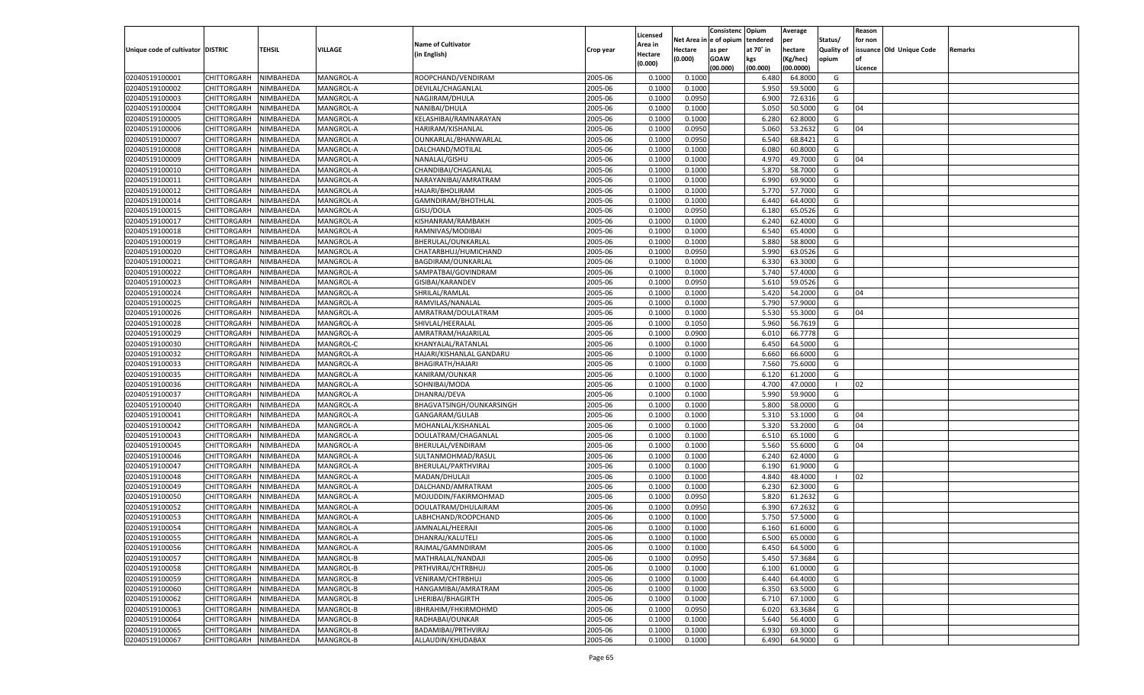|                                   |                       |               |           |                           |           |                    |          | Consistenc  | Opium     | Average            |                   | Reason  |                          |         |
|-----------------------------------|-----------------------|---------------|-----------|---------------------------|-----------|--------------------|----------|-------------|-----------|--------------------|-------------------|---------|--------------------------|---------|
|                                   |                       |               |           |                           |           | Licensed           | Net Area | e of opium  | tendered  | per                | Status/           | for non |                          |         |
| Unique code of cultivator DISTRIC |                       | <b>TEHSIL</b> | VILLAGE   | <b>Name of Cultivator</b> | Crop year | <b>Area in</b>     | Hectare  | as per      | at 70° in | hectare            | <b>Quality of</b> |         | issuance Old Unique Code | Remarks |
|                                   |                       |               |           | (in English)              |           | Hectare<br>(0.000) | (0.000)  | <b>GOAW</b> | kgs       | (Kg/hec)           | opium             |         |                          |         |
|                                   |                       |               |           |                           |           |                    |          | (00.000)    | (00.000)  | (00.0000)          |                   | Licence |                          |         |
| 02040519100001                    | CHITTORGARH           | NIMBAHEDA     | MANGROL-A | ROOPCHAND/VENDIRAM        | 2005-06   | 0.1000             | 0.1000   |             | 6.480     | 64.8000            | G                 |         |                          |         |
| 02040519100002                    | CHITTORGARH           | NIMBAHEDA     | MANGROL-A | DEVILAL/CHAGANLAL         | 2005-06   | 0.1000             | 0.1000   |             | 5.950     | 59.5000            | G                 |         |                          |         |
| 02040519100003                    | CHITTORGARH           | NIMBAHEDA     | MANGROL-A | NAGJIRAM/DHULA            | 2005-06   | 0.1000             | 0.0950   |             | 6.900     | 72.6316            | G                 |         |                          |         |
| 02040519100004                    | CHITTORGARH           | NIMBAHEDA     | MANGROL-A | NANIBAI/DHULA             | 2005-06   | 0.1000             | 0.1000   |             | 5.050     | 50.5000            | G                 | 04      |                          |         |
| 02040519100005                    | CHITTORGARH           | NIMBAHEDA     | MANGROL-A | KELASHIBAI/RAMNARAYAN     | 2005-06   | 0.1000             | 0.1000   |             | 6.280     | 62.8000            | G                 |         |                          |         |
| 02040519100006                    | CHITTORGARH           | NIMBAHEDA     | MANGROL-A | HARIRAM/KISHANLAI         | 2005-06   | 0.1000             | 0.0950   |             | 5.060     | 53.2632            | G                 | 04      |                          |         |
| 02040519100007                    | CHITTORGARH           | NIMBAHEDA     | MANGROL-A | OUNKARLAL/BHANWARLAL      | 2005-06   | 0.1000             | 0.0950   |             | 6.540     | 68.8421            | G                 |         |                          |         |
| 02040519100008                    | CHITTORGARH           | NIMBAHEDA     | MANGROL-A | DALCHAND/MOTILAL          | 2005-06   | 0.1000             | 0.1000   |             | 6.080     | 60.8000            | G                 |         |                          |         |
| 02040519100009                    | CHITTORGARH           | NIMBAHEDA     | MANGROL-A | NANALAL/GISHU             | 2005-06   | 0.1000             | 0.1000   |             | 4.97      | 49.7000            | G                 | 04      |                          |         |
| 02040519100010                    | CHITTORGARH           | NIMBAHEDA     | MANGROL-A | CHANDIBAI/CHAGANLAL       | 2005-06   | 0.1000             | 0.1000   |             | 5.870     | 58.7000            | G                 |         |                          |         |
| 02040519100011                    | CHITTORGARH           | NIMBAHEDA     | MANGROL-A | NARAYANIBAI/AMRATRAM      | 2005-06   | 0.1000             | 0.1000   |             | 6.990     | 69.9000            | G                 |         |                          |         |
| 02040519100012                    | CHITTORGARH           | NIMBAHEDA     | MANGROL-A | HAJARI/BHOLIRAM           | 2005-06   | 0.1000             | 0.1000   |             | 5.770     | 57.7000            | G                 |         |                          |         |
| 02040519100014                    | CHITTORGARH           | NIMBAHEDA     | MANGROL-A | GAMNDIRAM/BHOTHLAL        | 2005-06   | 0.1000             | 0.1000   |             | 6.440     | 64.4000            | G                 |         |                          |         |
| 02040519100015                    | CHITTORGARH           | NIMBAHEDA     | MANGROL-A | GISU/DOLA                 | 2005-06   | 0.1000             | 0.0950   |             | 6.180     | 65.0526            | G                 |         |                          |         |
| 02040519100017                    | CHITTORGARH           | NIMBAHEDA     | MANGROL-A | KISHANRAM/RAMBAKH         | 2005-06   | 0.1000             | 0.1000   |             | 6.240     | 62.4000            | G                 |         |                          |         |
| 02040519100018                    | CHITTORGARH           | NIMBAHEDA     | MANGROL-A | RAMNIVAS/MODIBAI          | 2005-06   | 0.1000             | 0.1000   |             | 6.540     | 65.4000            | G                 |         |                          |         |
| 02040519100019                    | CHITTORGARH           | NIMBAHEDA     | MANGROL-A | BHERULAL/OUNKARLAL        | 2005-06   | 0.1000             | 0.1000   |             | 5.880     | 58.8000            | G                 |         |                          |         |
| 02040519100020                    | CHITTORGARH           | NIMBAHEDA     | MANGROL-A | CHATARBHUJ/HUMICHAND      | 2005-06   | 0.1000             | 0.0950   |             | 5.990     | 63.0526            | G                 |         |                          |         |
| 02040519100021                    | CHITTORGARH           | NIMBAHEDA     | MANGROL-A | BAGDIRAM/OUNKARLAL        | 2005-06   | 0.1000             | 0.1000   |             | 6.330     | 63.3000            | G                 |         |                          |         |
| 02040519100022                    | CHITTORGARH           |               |           |                           | 2005-06   | 0.1000             |          |             | 5.740     |                    | G                 |         |                          |         |
|                                   | CHITTORGARH           | NIMBAHEDA     | MANGROL-A | SAMPATBAI/GOVINDRAM       |           | 0.1000             | 0.1000   |             |           | 57.4000<br>59.0526 | G                 |         |                          |         |
| 02040519100023                    |                       | NIMBAHEDA     | MANGROL-A | GISIBAI/KARANDEV          | 2005-06   |                    | 0.0950   |             | 5.610     |                    |                   |         |                          |         |
| 02040519100024                    | CHITTORGARH           | NIMBAHEDA     | MANGROL-A | SHRILAL/RAMLAL            | 2005-06   | 0.1000             | 0.1000   |             | 5.420     | 54.2000            | G                 | 04      |                          |         |
| 02040519100025                    | CHITTORGARH           | NIMBAHEDA     | MANGROL-A | RAMVILAS/NANALAL          | 2005-06   | 0.1000             | 0.1000   |             | 5.790     | 57.9000            | G                 |         |                          |         |
| 02040519100026                    | CHITTORGARH           | NIMBAHEDA     | MANGROL-A | AMRATRAM/DOULATRAM        | 2005-06   | 0.1000             | 0.1000   |             | 5.530     | 55.3000            | G                 | 04      |                          |         |
| 02040519100028                    | CHITTORGARH           | NIMBAHEDA     | MANGROL-A | SHIVLAL/HEERALAL          | 2005-06   | 0.1000             | 0.1050   |             | 5.960     | 56.7619            | G                 |         |                          |         |
| 02040519100029                    | CHITTORGARH           | NIMBAHEDA     | MANGROL-A | AMRATRAM/HAJARILAL        | 2005-06   | 0.1000             | 0.0900   |             | 6.010     | 66.7778            | G                 |         |                          |         |
| 02040519100030                    | CHITTORGARH           | NIMBAHEDA     | MANGROL-C | KHANYALAL/RATANLAL        | 2005-06   | 0.1000             | 0.1000   |             | 6.450     | 64.5000            | G                 |         |                          |         |
| 02040519100032                    | CHITTORGARH           | NIMBAHEDA     | MANGROL-A | HAJARI/KISHANLAL GANDARU  | 2005-06   | 0.1000             | 0.1000   |             | 6.660     | 66.6000            | G                 |         |                          |         |
| 02040519100033                    | CHITTORGARH           | NIMBAHEDA     | MANGROL-A | BHAGIRATH/HAJARI          | 2005-06   | 0.1000             | 0.1000   |             | 7.560     | 75.6000            | G                 |         |                          |         |
| 02040519100035                    | CHITTORGARH           | NIMBAHEDA     | MANGROL-A | KANIRAM/OUNKAR            | 2005-06   | 0.1000             | 0.1000   |             | 6.120     | 61.2000            | G                 |         |                          |         |
| 02040519100036                    | CHITTORGARH           | NIMBAHEDA     | MANGROL-A | SOHNIBAI/MODA             | 2005-06   | 0.1000             | 0.1000   |             | 4.700     | 47.0000            | - 1               | 02      |                          |         |
| 02040519100037                    | CHITTORGARH           | NIMBAHEDA     | MANGROL-A | DHANRAJ/DEVA              | 2005-06   | 0.1000             | 0.1000   |             | 5.990     | 59.9000            | G                 |         |                          |         |
| 02040519100040                    | CHITTORGARH           | NIMBAHEDA     | MANGROL-A | BHAGVATSINGH/OUNKARSINGH  | 2005-06   | 0.1000             | 0.1000   |             | 5.800     | 58.0000            | G                 |         |                          |         |
| 02040519100041                    | CHITTORGARH           | NIMBAHEDA     | MANGROL-A | GANGARAM/GULAB            | 2005-06   | 0.1000             | 0.1000   |             | 5.31      | 53.1000            | G                 | 04      |                          |         |
| 02040519100042                    | CHITTORGARH           | NIMBAHEDA     | MANGROL-A | MOHANLAL/KISHANLAL        | 2005-06   | 0.1000             | 0.1000   |             | 5.320     | 53.2000            | G                 | 04      |                          |         |
| 02040519100043                    | CHITTORGARH           | NIMBAHEDA     | MANGROL-A | DOULATRAM/CHAGANLAL       | 2005-06   | 0.1000             | 0.1000   |             | 6.510     | 65.1000            | G                 |         |                          |         |
| 02040519100045                    | CHITTORGARH           | NIMBAHEDA     | MANGROL-A | BHERULAL/VENDIRAM         | 2005-06   | 0.1000             | 0.1000   |             | 5.560     | 55.6000            | G                 | 04      |                          |         |
| 02040519100046                    | CHITTORGARH           | NIMBAHEDA     | MANGROL-A | SULTANMOHMAD/RASUI        | 2005-06   | 0.1000             | 0.1000   |             | 6.240     | 62.4000            | G                 |         |                          |         |
| 02040519100047                    | CHITTORGARH           | NIMBAHEDA     | MANGROL-A | BHERULAL/PARTHVIRAJ       | 2005-06   | 0.1000             | 0.1000   |             | 6.190     | 61.9000            | G                 |         |                          |         |
| 02040519100048                    | CHITTORGARH           | NIMBAHEDA     | MANGROL-A | MADAN/DHULAJI             | 2005-06   | 0.1000             | 0.1000   |             | 4.84      | 48.4000            | - 1               | 02      |                          |         |
| 02040519100049                    | CHITTORGARH           | NIMBAHEDA     | MANGROL-A | DALCHAND/AMRATRAM         | 2005-06   | 0.1000             | 0.1000   |             | 6.230     | 62.3000            | G                 |         |                          |         |
| 02040519100050                    | CHITTORGARH           | NIMBAHEDA     | MANGROL-A | MOJUDDIN/FAKIRMOHMAD      | 2005-06   | 0.1000             | 0.0950   |             | 5.820     | 61.2632            | G                 |         |                          |         |
| 02040519100052                    | CHITTORGARH           | NIMBAHEDA     | MANGROL-A | DOULATRAM/DHULAIRAM       | 2005-06   | 0.1000             | 0.0950   |             | 6.390     | 67.2632            | G                 |         |                          |         |
| 02040519100053                    | CHITTORGARH           | NIMBAHEDA     | MANGROL-A | LABHCHAND/ROOPCHAND       | 2005-06   | 0.1000             | 0.1000   |             | 5.750     | 57.5000            | G                 |         |                          |         |
| 02040519100054                    | CHITTORGARH           | NIMBAHEDA     | MANGROL-A | JAMNALAL/HEERAJI          | 2005-06   | 0.1000             | 0.1000   |             | 6.160     | 61.6000            | G                 |         |                          |         |
| 02040519100055                    | CHITTORGARH NIMBAHEDA |               | MANGROL-A | DHANRAJ/KALUTELI          | 2005-06   | 0.1000             | 0.1000   |             | 6.500     | 65.0000            | G                 |         |                          |         |
| 02040519100056                    | <b>CHITTORGARH</b>    | NIMBAHEDA     | MANGROL-A | RAJMAL/GAMNDIRAM          | 2005-06   | 0.1000             | 0.1000   |             | 6.450     | 64.5000            | G                 |         |                          |         |
| 02040519100057                    | <b>CHITTORGARH</b>    | NIMBAHEDA     | MANGROL-B | MATHRALAL/NANDAJI         | 2005-06   | 0.1000             | 0.0950   |             | 5.450     | 57.3684            | G                 |         |                          |         |
| 02040519100058                    | <b>CHITTORGARH</b>    | NIMBAHEDA     | MANGROL-B | PRTHVIRAJ/CHTRBHUJ        | 2005-06   | 0.1000             | 0.1000   |             | 6.100     | 61.0000            | G                 |         |                          |         |
| 02040519100059                    | <b>CHITTORGARH</b>    | NIMBAHEDA     | MANGROL-B | VENIRAM/CHTRBHUJ          | 2005-06   | 0.1000             | 0.1000   |             | 6.440     | 64.4000            | G                 |         |                          |         |
| 02040519100060                    | <b>CHITTORGARH</b>    | NIMBAHEDA     | MANGROL-B | HANGAMIBAI/AMRATRAM       | 2005-06   | 0.1000             | 0.1000   |             | 6.350     | 63.5000            | G                 |         |                          |         |
| 02040519100062                    | <b>CHITTORGARH</b>    | NIMBAHEDA     | MANGROL-B | LHERIBAI/BHAGIRTH         | 2005-06   | 0.1000             | 0.1000   |             | 6.710     | 67.1000            | G                 |         |                          |         |
| 02040519100063                    | <b>CHITTORGARH</b>    | NIMBAHEDA     | MANGROL-B | IBHRAHIM/FHKIRMOHMD       | 2005-06   | 0.1000             | 0.0950   |             | 6.020     | 63.3684            | G                 |         |                          |         |
| 02040519100064                    | <b>CHITTORGARH</b>    | NIMBAHEDA     | MANGROL-B | RADHABAI/OUNKAR           | 2005-06   | 0.1000             | 0.1000   |             | 5.640     | 56.4000            | G                 |         |                          |         |
| 02040519100065                    | <b>CHITTORGARH</b>    | NIMBAHEDA     | MANGROL-B | BADAMIBAI/PRTHVIRAJ       | 2005-06   | 0.1000             | 0.1000   |             | 6.930     | 69.3000            | G                 |         |                          |         |
| 02040519100067                    | CHITTORGARH           | NIMBAHEDA     | MANGROL-B | ALLAUDIN/KHUDABAX         | 2005-06   | 0.1000             | 0.1000   |             | 6.490     | 64.9000            | G                 |         |                          |         |
|                                   |                       |               |           |                           |           |                    |          |             |           |                    |                   |         |                          |         |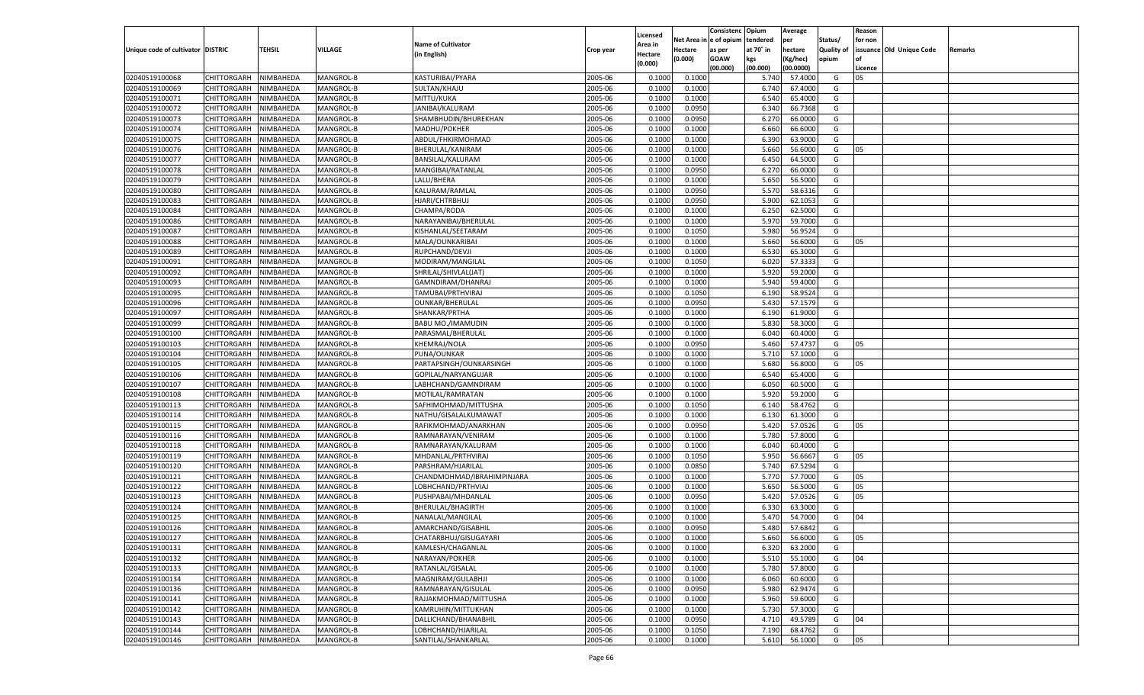|                                   |                       |               |           |                            |           |                           |          | Consistenc  | Opium     | Average   |                   | Reason  |                          |         |
|-----------------------------------|-----------------------|---------------|-----------|----------------------------|-----------|---------------------------|----------|-------------|-----------|-----------|-------------------|---------|--------------------------|---------|
|                                   |                       |               |           | <b>Name of Cultivator</b>  |           | Licensed                  | Net Area | e of opium  | tendered  | per       | Status/           | for non |                          |         |
| Unique code of cultivator DISTRIC |                       | <b>TEHSIL</b> | VILLAGE   | (in English)               | Crop year | <b>Area in</b><br>Hectare | Hectare  | as per      | at 70° in | hectare   | <b>Quality of</b> |         | issuance Old Unique Code | Remarks |
|                                   |                       |               |           |                            |           | (0.000)                   | (0.000)  | <b>GOAW</b> | kgs       | (Kg/hec)  | opium             |         |                          |         |
|                                   |                       |               |           |                            |           |                           |          | (00.000)    | (00.000)  | (00.0000) |                   | Licence |                          |         |
| 02040519100068                    | CHITTORGARH           | NIMBAHEDA     | MANGROL-B | KASTURIBAI/PYARA           | 2005-06   | 0.1000                    | 0.1000   |             | 5.740     | 57.4000   | G                 | 05      |                          |         |
| 02040519100069                    | CHITTORGARH           | NIMBAHEDA     | MANGROL-B | SULTAN/KHAJU               | 2005-06   | 0.1000                    | 0.1000   |             | 6.740     | 67.4000   | G                 |         |                          |         |
| 02040519100071                    | CHITTORGARH           | NIMBAHEDA     | MANGROL-B | MITTU/KUKA                 | 2005-06   | 0.1000                    | 0.1000   |             | 6.540     | 65.4000   | G                 |         |                          |         |
| 02040519100072                    | CHITTORGARH           | NIMBAHEDA     | MANGROL-B | JANIBAI/KALURAM            | 2005-06   | 0.1000                    | 0.0950   |             | 6.340     | 66.7368   | G                 |         |                          |         |
| 02040519100073                    | CHITTORGARH           | NIMBAHEDA     | MANGROL-B | SHAMBHUDIN/BHUREKHAN       | 2005-06   | 0.1000                    | 0.0950   |             | 6.27      | 66.0000   | G                 |         |                          |         |
| 02040519100074                    | CHITTORGARH           | NIMBAHEDA     | MANGROL-B | MADHU/POKHER               | 2005-06   | 0.1000                    | 0.1000   |             | 6.660     | 66.6000   | G                 |         |                          |         |
| 02040519100075                    | CHITTORGARH           | NIMBAHEDA     | MANGROL-B | ABDUL/FHKIRMOHMAD          | 2005-06   | 0.1000                    | 0.1000   |             | 6.390     | 63.9000   | G                 |         |                          |         |
| 02040519100076                    | CHITTORGARH           | NIMBAHEDA     | MANGROL-B | BHERULAL/KANIRAM           | 2005-06   | 0.1000                    | 0.1000   |             | 5.660     | 56.6000   | G                 | 05      |                          |         |
| 02040519100077                    | CHITTORGARH           | NIMBAHEDA     | MANGROL-B | BANSILAL/KALURAM           | 2005-06   | 0.1000                    | 0.1000   |             | 6.450     | 64.5000   | G                 |         |                          |         |
| 02040519100078                    | CHITTORGARH           | NIMBAHEDA     | MANGROL-B | MANGIBAI/RATANLAL          | 2005-06   | 0.1000                    | 0.0950   |             | 6.27      | 66.0000   | G                 |         |                          |         |
| 02040519100079                    | CHITTORGARH           | NIMBAHEDA     | MANGROL-B | LALU/BHERA                 | 2005-06   | 0.1000                    | 0.1000   |             | 5.650     | 56.5000   | G                 |         |                          |         |
| 02040519100080                    | CHITTORGARH           | NIMBAHEDA     | MANGROL-B | KALURAM/RAMLAL             | 2005-06   | 0.1000                    | 0.0950   |             | 5.570     | 58.6316   | G                 |         |                          |         |
| 02040519100083                    | CHITTORGARH           | NIMBAHEDA     | MANGROL-B | HJARI/CHTRBHUJ             | 2005-06   | 0.1000                    | 0.0950   |             | 5.900     | 62.105    | G                 |         |                          |         |
| 02040519100084                    | CHITTORGARH           | NIMBAHEDA     | MANGROL-B | CHAMPA/RODA                | 2005-06   | 0.1000                    | 0.1000   |             | 6.250     | 62.5000   | G                 |         |                          |         |
| 02040519100086                    | CHITTORGARH           | NIMBAHEDA     | MANGROL-B | NARAYANIBAI/BHERULAL       | 2005-06   | 0.1000                    | 0.1000   |             | 5.970     | 59.7000   | G                 |         |                          |         |
| 02040519100087                    | CHITTORGARH           | NIMBAHEDA     | MANGROL-B | KISHANLAL/SEETARAM         | 2005-06   | 0.1000                    | 0.1050   |             | 5.980     | 56.9524   | G                 |         |                          |         |
| 02040519100088                    | CHITTORGARH           | NIMBAHEDA     | MANGROL-B | MALA/OUNKARIBAI            | 2005-06   | 0.1000                    | 0.1000   |             | 5.660     | 56.6000   | G                 | 05      |                          |         |
| 02040519100089                    | CHITTORGARH           | NIMBAHEDA     | MANGROL-B | RUPCHAND/DEVJI             | 2005-06   | 0.1000                    | 0.1000   |             | 6.530     | 65.3000   | G                 |         |                          |         |
| 02040519100091                    | CHITTORGARH           | NIMBAHEDA     | MANGROL-B | MODIRAM/MANGILAL           | 2005-06   | 0.1000                    | 0.1050   |             | 6.020     | 57.3333   | G                 |         |                          |         |
| 02040519100092                    | CHITTORGARH           | NIMBAHEDA     | MANGROL-B | SHRILAL/SHIVLAL(JAT)       | 2005-06   | 0.1000                    | 0.1000   |             | 5.920     | 59.2000   | G                 |         |                          |         |
| 02040519100093                    | CHITTORGARH           | NIMBAHEDA     | MANGROL-B | GAMNDIRAM/DHANRAJ          | 2005-06   | 0.1000                    | 0.1000   |             | 5.940     | 59.4000   | G                 |         |                          |         |
| 02040519100095                    | CHITTORGARH           | NIMBAHEDA     | MANGROL-B | TAMUBAI/PRTHVIRAJ          | 2005-06   | 0.1000                    | 0.1050   |             | 6.190     | 58.9524   | G                 |         |                          |         |
| 02040519100096                    | CHITTORGARH           | NIMBAHEDA     | MANGROL-B | <b>OUNKAR/BHERULAL</b>     | 2005-06   | 0.1000                    | 0.0950   |             | 5.430     | 57.1579   | G                 |         |                          |         |
| 02040519100097                    | CHITTORGARH           | NIMBAHEDA     | MANGROL-B | SHANKAR/PRTHA              | 2005-06   | 0.1000                    | 0.1000   |             | 6.190     | 61.9000   | G                 |         |                          |         |
| 02040519100099                    | CHITTORGARH           | NIMBAHEDA     | MANGROL-B | BABU MO./IMAMUDIN          | 2005-06   | 0.1000                    | 0.1000   |             | 5.830     | 58.3000   | G                 |         |                          |         |
| 02040519100100                    | CHITTORGARH           | NIMBAHEDA     | MANGROL-B | PARASMAL/BHERULAL          | 2005-06   | 0.1000                    | 0.1000   |             | 6.040     | 60.4000   | G                 |         |                          |         |
| 02040519100103                    | CHITTORGARH           | NIMBAHEDA     | MANGROL-B | KHEMRAJ/NOLA               | 2005-06   | 0.1000                    | 0.0950   |             | 5.460     | 57.4737   | G                 | 05      |                          |         |
| 02040519100104                    | CHITTORGARH           | NIMBAHEDA     | MANGROL-B | PUNA/OUNKAR                | 2005-06   | 0.1000                    | 0.1000   |             | 5.710     | 57.1000   | G                 |         |                          |         |
| 02040519100105                    | CHITTORGARH           | NIMBAHEDA     | MANGROL-B | PARTAPSINGH/OUNKARSINGH    | 2005-06   | 0.1000                    | 0.1000   |             | 5.680     | 56.8000   | G                 | 05      |                          |         |
| 02040519100106                    | CHITTORGARH           | NIMBAHEDA     | MANGROL-B | GOPILAL/NARYANGUJAR        | 2005-06   | 0.1000                    | 0.1000   |             | 6.540     | 65.4000   | G                 |         |                          |         |
| 02040519100107                    | CHITTORGARH           | NIMBAHEDA     | MANGROL-B | LABHCHAND/GAMNDIRAM        | 2005-06   | 0.1000                    | 0.1000   |             | 6.050     | 60.5000   | G                 |         |                          |         |
| 02040519100108                    | CHITTORGARH           | NIMBAHEDA     | MANGROL-B | MOTILAL/RAMRATAN           | 2005-06   | 0.1000                    | 0.1000   |             | 5.920     | 59.2000   | G                 |         |                          |         |
| 02040519100113                    | <b>CHITTORGARH</b>    | NIMBAHEDA     | MANGROL-B | SAFHIMOHMAD/MITTUSHA       | 2005-06   | 0.1000                    | 0.1050   |             | 6.140     | 58.4762   | G                 |         |                          |         |
| 02040519100114                    | CHITTORGARH           | NIMBAHEDA     | MANGROL-B | NATHU/GISALALKUMAWAT       | 2005-06   | 0.1000                    | 0.1000   |             | 6.130     | 61.3000   | G                 |         |                          |         |
| 02040519100115                    |                       | NIMBAHEDA     | MANGROL-B |                            | 2005-06   | 0.1000                    | 0.0950   |             | 5.420     | 57.0526   | G                 | 05      |                          |         |
| 02040519100116                    | <b>CHITTORGARH</b>    |               |           | RAFIKMOHMAD/ANARKHAN       | 2005-06   | 0.1000                    |          |             | 5.780     | 57.8000   | G                 |         |                          |         |
|                                   | CHITTORGARH           | NIMBAHEDA     | MANGROL-B | RAMNARAYAN/VENIRAM         |           | 0.1000                    | 0.1000   |             |           | 60.4000   |                   |         |                          |         |
| 02040519100118                    | <b>CHITTORGARH</b>    | NIMBAHEDA     | MANGROL-B | RAMNARAYAN/KALURAM         | 2005-06   |                           | 0.1000   |             | 6.040     |           | G                 |         |                          |         |
| 02040519100119                    | CHITTORGARH           | NIMBAHEDA     | MANGROL-B | MHDANLAL/PRTHVIRAJ         | 2005-06   | 0.1000                    | 0.1050   |             | 5.950     | 56.6667   | G                 | 05      |                          |         |
| 02040519100120                    | <b>CHITTORGARH</b>    | NIMBAHEDA     | MANGROL-B | PARSHRAM/HJARILAL          | 2005-06   | 0.1000                    | 0.0850   |             | 5.740     | 67.5294   | G                 |         |                          |         |
| 02040519100121                    | CHITTORGARH           | NIMBAHEDA     | MANGROL-B | CHANDMOHMAD/IBRAHIMPINJARA | 2005-06   | 0.1000                    | 0.1000   |             | 5.770     | 57.7000   | G                 | 05      |                          |         |
| 02040519100122                    | <b>CHITTORGARH</b>    | NIMBAHEDA     | MANGROL-B | LOBHCHAND/PRTHVIAJ         | 2005-06   | 0.1000                    | 0.1000   |             | 5.650     | 56.5000   | G                 | 05      |                          |         |
| 02040519100123                    | CHITTORGARH           | NIMBAHEDA     | MANGROL-B | PUSHPABAI/MHDANLAL         | 2005-06   | 0.1000                    | 0.0950   |             | 5.420     | 57.0526   | G                 | 05      |                          |         |
| 02040519100124                    | CHITTORGARH           | NIMBAHEDA     | MANGROL-B | BHERULAL/BHAGIRTH          | 2005-06   | 0.1000                    | 0.1000   |             | 6.33      | 63.3000   | G                 |         |                          |         |
| 02040519100125                    | CHITTORGARH           | NIMBAHEDA     | MANGROL-B | NANALAL/MANGILAL           | 2005-06   | 0.1000                    | 0.1000   |             | 5.47      | 54.7000   | G                 | 04      |                          |         |
| 02040519100126                    | CHITTORGARH           | NIMBAHEDA     | MANGROL-B | AMARCHAND/GISABHII         | 2005-06   | 0.1000                    | 0.0950   |             | 5.480     | 57.6842   | G                 |         |                          |         |
| 02040519100127                    | CHITTORGARH NIMBAHEDA |               | MANGROL-B | CHATARBHUJ/GISUGAYARI      | 2005-06   | 0.1000                    | 0.1000   |             | 5.660     | 56.6000   | G                 | 05      |                          |         |
| 02040519100131                    | <b>CHITTORGARH</b>    | NIMBAHEDA     | MANGROL-B | KAMLESH/CHAGANLAL          | 2005-06   | 0.1000                    | 0.1000   |             | 6.320     | 63.2000   | G                 |         |                          |         |
| 02040519100132                    | <b>CHITTORGARH</b>    | NIMBAHEDA     | MANGROL-B | NARAYAN/POKHER             | 2005-06   | 0.1000                    | 0.1000   |             | 5.510     | 55.1000   | G                 | 04      |                          |         |
| 02040519100133                    | <b>CHITTORGARH</b>    | NIMBAHEDA     | MANGROL-B | RATANLAL/GISALAL           | 2005-06   | 0.1000                    | 0.1000   |             | 5.780     | 57.8000   | G                 |         |                          |         |
| 02040519100134                    | <b>CHITTORGARH</b>    | NIMBAHEDA     | MANGROL-B | MAGNIRAM/GULABHJI          | 2005-06   | 0.1000                    | 0.1000   |             | 6.060     | 60.6000   | G                 |         |                          |         |
| 02040519100136                    | <b>CHITTORGARH</b>    | NIMBAHEDA     | MANGROL-B | RAMNARAYAN/GISULAL         | 2005-06   | 0.1000                    | 0.0950   |             | 5.980     | 62.9474   | G                 |         |                          |         |
| 02040519100141                    | <b>CHITTORGARH</b>    | NIMBAHEDA     | MANGROL-B | RAJJAKMOHMAD/MITTUSHA      | 2005-06   | 0.1000                    | 0.1000   |             | 5.960     | 59.6000   | G                 |         |                          |         |
| 02040519100142                    | <b>CHITTORGARH</b>    | NIMBAHEDA     | MANGROL-B | KAMRUHIN/MITTUKHAN         | 2005-06   | 0.1000                    | 0.1000   |             | 5.730     | 57.3000   | G                 |         |                          |         |
| 02040519100143                    | <b>CHITTORGARH</b>    | NIMBAHEDA     | MANGROL-B | DALLICHAND/BHANABHIL       | 2005-06   | 0.1000                    | 0.0950   |             | 4.710     | 49.5789   | G                 | 04      |                          |         |
| 02040519100144                    | <b>CHITTORGARH</b>    | NIMBAHEDA     | MANGROL-B | LOBHCHAND/HJARILAL         | 2005-06   | 0.1000                    | 0.1050   |             | 7.190     | 68.4762   | G                 |         |                          |         |
| 02040519100146                    | <b>CHITTORGARH</b>    | NIMBAHEDA     | MANGROL-B | SANTILAL/SHANKARLAL        | 2005-06   | 0.1000                    | 0.1000   |             | 5.610     | 56.1000   | G                 | 05      |                          |         |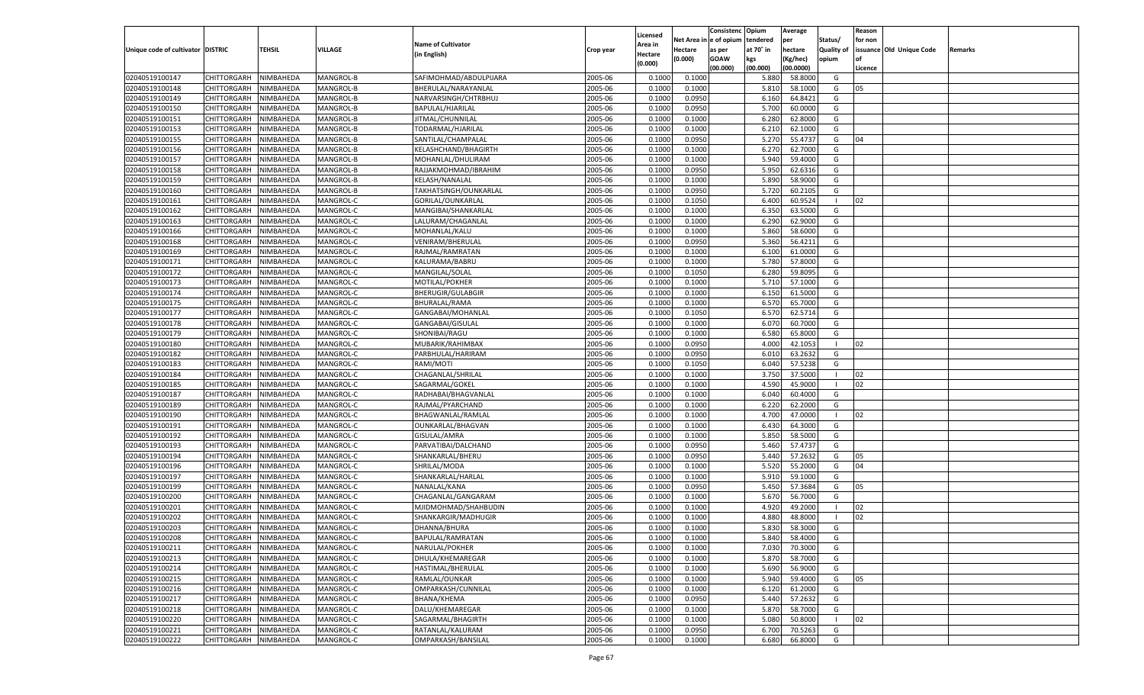|                                   |                       |               |           |                                   |           |                           |          | Consistenc  | Opium     | Average   |                   | Reason  |                          |         |
|-----------------------------------|-----------------------|---------------|-----------|-----------------------------------|-----------|---------------------------|----------|-------------|-----------|-----------|-------------------|---------|--------------------------|---------|
|                                   |                       |               |           | <b>Name of Cultivator</b>         |           | Licensed                  | Net Area | e of opium  | tendered  | per       | Status/           | for non |                          |         |
| Unique code of cultivator DISTRIC |                       | <b>TEHSIL</b> | VILLAGE   | (in English)                      | Crop year | <b>Area in</b><br>Hectare | Hectare  | as per      | at 70° in | hectare   | <b>Quality of</b> |         | issuance Old Unique Code | Remarks |
|                                   |                       |               |           |                                   |           | (0.000)                   | (0.000)  | <b>GOAW</b> | kgs       | (Kg/hec)  | opium             |         |                          |         |
|                                   |                       |               |           |                                   |           |                           |          | (00.000)    | (00.000)  | (00.0000) |                   | Licence |                          |         |
| 02040519100147                    | CHITTORGARH           | NIMBAHEDA     | MANGROL-B | SAFIMOHMAD/ABDULPIJARA            | 2005-06   | 0.1000                    | 0.1000   |             | 5.880     | 58.8000   | G                 |         |                          |         |
| 02040519100148                    | CHITTORGARH           | NIMBAHEDA     | MANGROL-B | BHERULAL/NARAYANLAL               | 2005-06   | 0.1000                    | 0.1000   |             | 5.810     | 58.1000   | G                 | 05      |                          |         |
| 02040519100149                    | CHITTORGARH           | NIMBAHEDA     | MANGROL-B | NARVARSINGH/CHTRBHUJ              | 2005-06   | 0.1000                    | 0.0950   |             | 6.160     | 64.8421   | G                 |         |                          |         |
| 02040519100150                    | CHITTORGARH           | NIMBAHEDA     | MANGROL-B | BAPULAL/HJARILAL                  | 2005-06   | 0.1000                    | 0.0950   |             | 5.700     | 60.0000   | G                 |         |                          |         |
| 02040519100151                    | CHITTORGARH           | NIMBAHEDA     | MANGROL-B | JITMAL/CHUNNILAL                  | 2005-06   | 0.1000                    | 0.1000   |             | 6.280     | 62.8000   | G                 |         |                          |         |
| 02040519100153                    | CHITTORGARH           | NIMBAHEDA     | MANGROL-B | TODARMAL/HJARILAI                 | 2005-06   | 0.1000                    | 0.1000   |             | 6.210     | 62.1000   | G                 |         |                          |         |
| 02040519100155                    | CHITTORGARH           | NIMBAHEDA     | MANGROL-B | SANTILAL/CHAMPALAL                | 2005-06   | 0.1000                    | 0.0950   |             | 5.27      | 55.473    | G                 | 04      |                          |         |
| 02040519100156                    | CHITTORGARH           | NIMBAHEDA     | MANGROL-B | KELASHCHAND/BHAGIRTH              | 2005-06   | 0.1000                    | 0.1000   |             | 6.27      | 62.7000   | G                 |         |                          |         |
| 02040519100157                    | CHITTORGARH           | NIMBAHEDA     | MANGROL-B | MOHANLAL/DHULIRAM                 | 2005-06   | 0.1000                    | 0.1000   |             | 5.940     | 59.4000   | G                 |         |                          |         |
| 02040519100158                    | CHITTORGARH           | NIMBAHEDA     | MANGROL-B | RAJJAKMOHMAD/IBRAHIM              | 2005-06   | 0.1000                    | 0.0950   |             | 5.950     | 62.6316   | G                 |         |                          |         |
| 02040519100159                    | CHITTORGARH           | NIMBAHEDA     | MANGROL-B | KELASH/NANALAL                    | 2005-06   | 0.1000                    | 0.1000   |             | 5.890     | 58.9000   | G                 |         |                          |         |
| 02040519100160                    | CHITTORGARH           | NIMBAHEDA     | MANGROL-B | TAKHATSINGH/OUNKARLAL             | 2005-06   | 0.1000                    | 0.0950   |             | 5.720     | 60.2105   | G                 |         |                          |         |
| 02040519100161                    | CHITTORGARH           | NIMBAHEDA     | MANGROL-C | GORILAL/OUNKARLAL                 | 2005-06   | 0.1000                    | 0.1050   |             | 6.400     | 60.9524   | -1                | 02      |                          |         |
| 02040519100162                    | CHITTORGARH           | NIMBAHEDA     | MANGROL-C | MANGIBAI/SHANKARLAL               | 2005-06   | 0.1000                    | 0.1000   |             | 6.350     | 63.5000   | G                 |         |                          |         |
| 02040519100163                    | CHITTORGARH           | NIMBAHEDA     | MANGROL-C | LALURAM/CHAGANLAL                 | 2005-06   | 0.1000                    | 0.1000   |             | 6.290     | 62.9000   | G                 |         |                          |         |
| 02040519100166                    | CHITTORGARH           | NIMBAHEDA     | MANGROL-C | MOHANLAL/KALU                     | 2005-06   | 0.1000                    | 0.1000   |             | 5.860     | 58.6000   | G                 |         |                          |         |
| 02040519100168                    | CHITTORGARH           | NIMBAHEDA     | MANGROL-C | VENIRAM/BHERULAL                  | 2005-06   | 0.1000                    | 0.0950   |             | 5.360     | 56.4211   | G                 |         |                          |         |
| 02040519100169                    | CHITTORGARH           | NIMBAHEDA     | MANGROL-C | RAJMAL/RAMRATAN                   | 2005-06   | 0.1000                    | 0.1000   |             | 6.100     | 61.0000   | G                 |         |                          |         |
| 02040519100171                    | CHITTORGARH           | NIMBAHEDA     | MANGROL-C | KALURAMA/BABRU                    | 2005-06   | 0.1000                    | 0.1000   |             | 5.780     | 57.8000   | G                 |         |                          |         |
| 02040519100172                    | CHITTORGARH           | NIMBAHEDA     | MANGROL-C | MANGILAL/SOLAL                    | 2005-06   | 0.1000                    | 0.1050   |             | 6.280     | 59.8095   | G                 |         |                          |         |
| 02040519100173                    | CHITTORGARH           | NIMBAHEDA     | MANGROL-C | MOTILAL/POKHER                    | 2005-06   | 0.1000                    | 0.1000   |             | 5.710     | 57.1000   | G                 |         |                          |         |
| 02040519100174                    | CHITTORGARH           | NIMBAHEDA     | MANGROL-C | <b>BHERUGIR/GULABGIR</b>          | 2005-06   | 0.1000                    | 0.1000   |             | 6.150     | 61.5000   | G                 |         |                          |         |
| 02040519100175                    | CHITTORGARH           | NIMBAHEDA     | MANGROL-C | BHURALAL/RAMA                     | 2005-06   | 0.1000                    | 0.1000   |             | 6.570     | 65.7000   | G                 |         |                          |         |
| 02040519100177                    | CHITTORGARH           | NIMBAHEDA     | MANGROL-C | GANGABAI/MOHANLAL                 | 2005-06   | 0.1000                    | 0.1050   |             | 6.570     | 62.5714   | G                 |         |                          |         |
| 02040519100178                    | CHITTORGARH           | NIMBAHEDA     | MANGROL-C | GANGABAI/GISULAL                  | 2005-06   | 0.1000                    | 0.1000   |             | 6.070     | 60.7000   | G                 |         |                          |         |
| 02040519100179                    | CHITTORGARH           | NIMBAHEDA     | MANGROL-C | SHONIBAI/RAGU                     | 2005-06   | 0.1000                    | 0.1000   |             | 6.580     | 65.8000   | G                 |         |                          |         |
| 02040519100180                    | CHITTORGARH           | NIMBAHEDA     | MANGROL-C | MUBARIK/RAHIMBAX                  | 2005-06   | 0.1000                    | 0.0950   |             | 4.000     | 42.105    | - 1               | 02      |                          |         |
| 02040519100182                    | CHITTORGARH           | NIMBAHEDA     | MANGROL-C | PARBHULAL/HARIRAM                 | 2005-06   | 0.1000                    | 0.0950   |             | 6.010     | 63.2632   | G                 |         |                          |         |
| 02040519100183                    | CHITTORGARH           | NIMBAHEDA     | MANGROL-C | RAMI/MOTI                         | 2005-06   | 0.1000                    | 0.1050   |             | 6.040     | 57.5238   | G                 |         |                          |         |
| 02040519100184                    | CHITTORGARH           | NIMBAHEDA     | MANGROL-C | CHAGANLAL/SHRILAL                 | 2005-06   | 0.1000                    | 0.1000   |             | 3.750     | 37.5000   | $\blacksquare$    | 02      |                          |         |
| 02040519100185                    | CHITTORGARH           | NIMBAHEDA     | MANGROL-C | SAGARMAL/GOKEL                    | 2005-06   | 0.1000                    | 0.1000   |             | 4.590     | 45.9000   | - 1               | 02      |                          |         |
| 02040519100187                    | CHITTORGARH           | NIMBAHEDA     | MANGROL-C | RADHABAI/BHAGVANLAL               | 2005-06   | 0.1000                    | 0.1000   |             | 6.040     | 60.4000   | G                 |         |                          |         |
| 02040519100189                    | CHITTORGARH           | NIMBAHEDA     | MANGROL-C | RAJMAL/PYARCHAND                  | 2005-06   | 0.1000                    | 0.1000   |             | 6.220     | 62.2000   | G                 |         |                          |         |
| 02040519100190                    | CHITTORGARH           | NIMBAHEDA     | MANGROL-C | BHAGWANLAL/RAMLAI                 | 2005-06   | 0.1000                    | 0.1000   |             | 4.700     | 47.0000   | - 1               | 02      |                          |         |
| 02040519100191                    |                       | NIMBAHEDA     | MANGROL-C |                                   | 2005-06   | 0.1000                    | 0.1000   |             | 6.430     | 64.3000   | G                 |         |                          |         |
| 02040519100192                    | <b>CHITTORGARH</b>    |               | MANGROL-C | OUNKARLAL/BHAGVAN<br>GISULAL/AMRA | 2005-06   |                           |          |             | 5.850     | 58.5000   | G                 |         |                          |         |
|                                   | CHITTORGARH           | NIMBAHEDA     |           |                                   |           | 0.1000                    | 0.1000   |             |           |           |                   |         |                          |         |
| 02040519100193                    | <b>CHITTORGARH</b>    | NIMBAHEDA     | MANGROL-C | PARVATIBAI/DALCHAND               | 2005-06   | 0.1000                    | 0.0950   |             | 5.460     | 57.4737   | G                 |         |                          |         |
| 02040519100194                    | CHITTORGARH           | NIMBAHEDA     | MANGROL-C | SHANKARLAL/BHERU                  | 2005-06   | 0.1000                    | 0.0950   |             | 5.440     | 57.2632   | G                 | 05      |                          |         |
| 02040519100196                    | CHITTORGARH           | NIMBAHEDA     | MANGROL-C | SHRILAL/MODA                      | 2005-06   | 0.1000                    | 0.1000   |             | 5.520     | 55.2000   | G                 | 04      |                          |         |
| 02040519100197                    | CHITTORGARH           | NIMBAHEDA     | MANGROL-C | SHANKARLAL/HARLAL                 | 2005-06   | 0.1000                    | 0.1000   |             | 5.910     | 59.1000   | G                 |         |                          |         |
| 02040519100199                    | CHITTORGARH           | NIMBAHEDA     | MANGROL-C | NANALAL/KANA                      | 2005-06   | 0.1000                    | 0.0950   |             | 5.450     | 57.3684   | G                 | 05      |                          |         |
| 02040519100200                    | CHITTORGARH           | NIMBAHEDA     | MANGROL-C | CHAGANLAL/GANGARAM                | 2005-06   | 0.1000                    | 0.1000   |             | 5.670     | 56.7000   | G                 |         |                          |         |
| 02040519100201                    | CHITTORGARH           | NIMBAHEDA     | MANGROL-C | MJIDMOHMAD/SHAHBUDIN              | 2005-06   | 0.1000                    | 0.1000   |             | 4.92      | 49.2000   | - 1               | 02      |                          |         |
| 02040519100202                    | CHITTORGARH           | NIMBAHEDA     | MANGROL-C | SHANKARGIR/MADHUGIR               | 2005-06   | 0.1000                    | 0.1000   |             | 4.88      | 48.8000   | - 1               | 02      |                          |         |
| 02040519100203                    | CHITTORGARH           | NIMBAHEDA     | MANGROL-C | DHANNA/BHURA                      | 2005-06   | 0.1000                    | 0.1000   |             | 5.830     | 58.3000   | G                 |         |                          |         |
| 02040519100208                    | CHITTORGARH NIMBAHEDA |               | MANGROL-C | BAPULAL/RAMRATAN                  | 2005-06   | 0.1000                    | 0.1000   |             | 5.840     | 58.4000   | G                 |         |                          |         |
| 02040519100211                    | <b>CHITTORGARH</b>    | NIMBAHEDA     | MANGROL-C | NARULAL/POKHER                    | 2005-06   | 0.1000                    | 0.1000   |             | 7.030     | 70.3000   | G                 |         |                          |         |
| 02040519100213                    | <b>CHITTORGARH</b>    | NIMBAHEDA     | MANGROL-C | DHULA/KHEMAREGAR                  | 2005-06   | 0.1000                    | 0.1000   |             | 5.870     | 58.7000   | G                 |         |                          |         |
| 02040519100214                    | <b>CHITTORGARH</b>    | NIMBAHEDA     | MANGROL-C | HASTIMAL/BHERULAL                 | 2005-06   | 0.1000                    | 0.1000   |             | 5.690     | 56.9000   | G                 |         |                          |         |
| 02040519100215                    | <b>CHITTORGARH</b>    | NIMBAHEDA     | MANGROL-C | RAMLAL/OUNKAR                     | 2005-06   | 0.1000                    | 0.1000   |             | 5.940     | 59.4000   | G                 | 05      |                          |         |
| 02040519100216                    | <b>CHITTORGARH</b>    | NIMBAHEDA     | MANGROL-C | OMPARKASH/CUNNILAL                | 2005-06   | 0.1000                    | 0.1000   |             | 6.120     | 61.2000   | G                 |         |                          |         |
| 02040519100217                    | <b>CHITTORGARH</b>    | NIMBAHEDA     | MANGROL-C | BHANA/KHEMA                       | 2005-06   | 0.1000                    | 0.0950   |             | 5.440     | 57.2632   | G                 |         |                          |         |
| 02040519100218                    | <b>CHITTORGARH</b>    | NIMBAHEDA     | MANGROL-C | DALU/KHEMAREGAR                   | 2005-06   | 0.1000                    | 0.1000   |             | 5.870     | 58.7000   | G                 |         |                          |         |
| 02040519100220                    | <b>CHITTORGARH</b>    | NIMBAHEDA     | MANGROL-C | SAGARMAL/BHAGIRTH                 | 2005-06   | 0.1000                    | 0.1000   |             | 5.080     | 50.8000   | - 1               | 02      |                          |         |
| 02040519100221                    | <b>CHITTORGARH</b>    | NIMBAHEDA     | MANGROL-C | RATANLAL/KALURAM                  | 2005-06   | 0.1000                    | 0.0950   |             | 6.700     | 70.5263   | G                 |         |                          |         |
| 02040519100222                    | CHITTORGARH           | NIMBAHEDA     | MANGROL-C | OMPARKASH/BANSILAL                | 2005-06   | 0.1000                    | 0.1000   |             | 6.680     | 66.8000   | G                 |         |                          |         |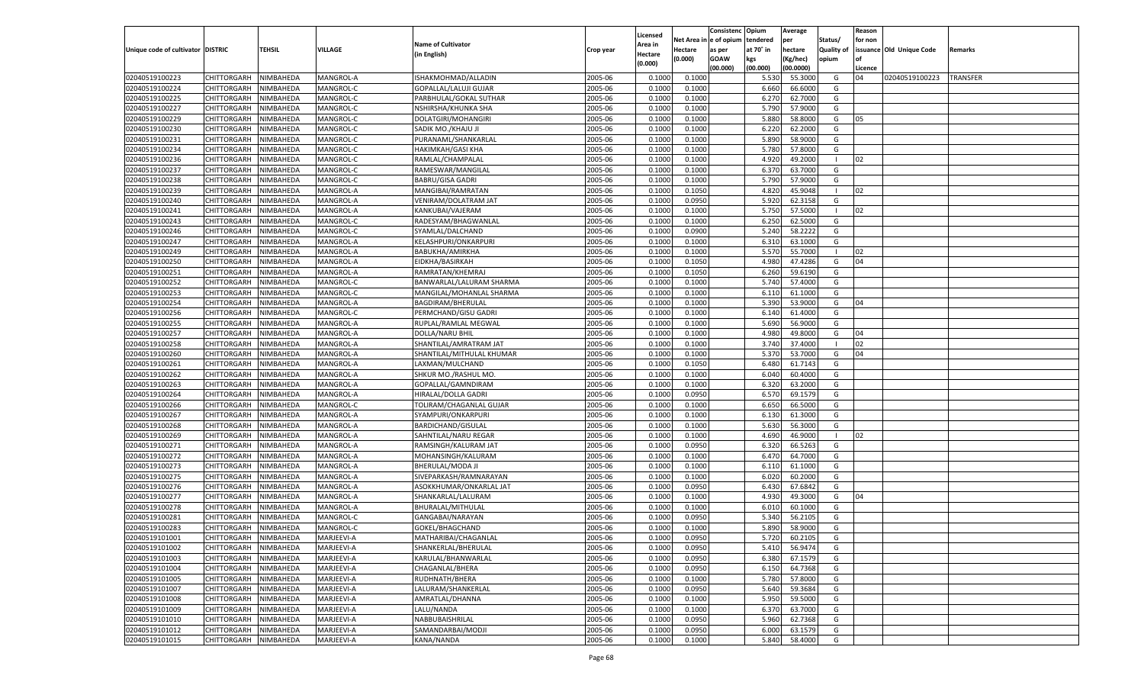|                                   |                       |                        |            |                           |           |                     |          | Consistenc  | Opium     | Average   |                   | Reason  |                          |                 |
|-----------------------------------|-----------------------|------------------------|------------|---------------------------|-----------|---------------------|----------|-------------|-----------|-----------|-------------------|---------|--------------------------|-----------------|
|                                   |                       |                        |            | <b>Name of Cultivator</b> |           | Licensed<br>\rea in | Net Area | le of opium | tendered  | per       | Status/           | for non |                          |                 |
| Unique code of cultivator DISTRIC |                       | <b>TEHSIL</b>          | VILLAGE    | (in English)              | Crop year | Hectare             | Hectare  | as per      | at 70° in | hectare   | <b>Quality of</b> |         | issuance Old Unique Code | Remarks         |
|                                   |                       |                        |            |                           |           | (0.000)             | (0.000)  | <b>GOAW</b> | kgs       | (Kg/hec)  | opium             |         |                          |                 |
|                                   |                       |                        |            |                           |           |                     |          | (00.000)    | (00.000)  | (00.0000) |                   | Licence |                          |                 |
| 02040519100223                    | CHITTORGARH           | NIMBAHEDA              | MANGROL-A  | ISHAKMOHMAD/ALLADIN       | 2005-06   | 0.1000              | 0.1000   |             | 5.530     | 55.3000   | G                 | 04      | 02040519100223           | <b>TRANSFER</b> |
| 02040519100224                    | CHITTORGARH           | NIMBAHEDA              | MANGROL-C  | GOPALLAL/LALUJI GUJAR     | 2005-06   | 0.1000              | 0.1000   |             | 6.660     | 66.6000   | G                 |         |                          |                 |
| 02040519100225                    | CHITTORGARH           | NIMBAHEDA              | MANGROL-C  | PARBHULAL/GOKAL SUTHAR    | 2005-06   | 0.1000              | 0.1000   |             | 6.27      | 62.7000   | G                 |         |                          |                 |
| 02040519100227                    | CHITTORGARH           | NIMBAHEDA              | MANGROL-C  | NSHIRSHA/KHUNKA SHA       | 2005-06   | 0.1000              | 0.1000   |             | 5.790     | 57.9000   | G                 |         |                          |                 |
| 02040519100229                    | CHITTORGARH           | NIMBAHEDA              | MANGROL-C  | DOLATGIRI/MOHANGIRI       | 2005-06   | 0.1000              | 0.1000   |             | 5.880     | 58.8000   | G                 | 05      |                          |                 |
| 02040519100230                    | CHITTORGARH           | NIMBAHEDA              | MANGROL-C  | SADIK MO./KHAJU JI        | 2005-06   | 0.1000              | 0.1000   |             | 6.220     | 62.2000   | G                 |         |                          |                 |
| 02040519100231                    | CHITTORGARH           | NIMBAHEDA              | MANGROL-C  | PURANAML/SHANKARLAL       | 2005-06   | 0.1000              | 0.1000   |             | 5.890     | 58.9000   | G                 |         |                          |                 |
| 02040519100234                    | CHITTORGARH           | NIMBAHEDA              | MANGROL-C  | HAKIMKAH/GASI KHA         | 2005-06   | 0.1000              | 0.1000   |             | 5.780     | 57.8000   | G                 |         |                          |                 |
| 02040519100236                    | CHITTORGARH           | NIMBAHEDA              | MANGROL-C  | RAMLAL/CHAMPALAL          | 2005-06   | 0.1000              | 0.1000   |             | 4.920     | 49.2000   | -1                | 02      |                          |                 |
| 02040519100237                    | CHITTORGARH           | NIMBAHEDA              | MANGROL-C  | RAMESWAR/MANGILAL         | 2005-06   | 0.1000              | 0.1000   |             | 6.370     | 63.7000   | G                 |         |                          |                 |
| 02040519100238                    | CHITTORGARH           | NIMBAHEDA              | MANGROL-C  | <b>BABRU/GISA GADRI</b>   | 2005-06   | 0.1000              | 0.1000   |             | 5.790     | 57.9000   | G                 |         |                          |                 |
| 02040519100239                    | CHITTORGARH           | NIMBAHEDA              | MANGROL-A  | MANGIBAI/RAMRATAN         | 2005-06   | 0.1000              | 0.1050   |             | 4.820     | 45.9048   | -1                | 02      |                          |                 |
| 02040519100240                    | CHITTORGARH           | NIMBAHEDA              | MANGROL-A  | VENIRAM/DOLATRAM JAT      | 2005-06   | 0.1000              | 0.0950   |             | 5.920     | 62.3158   | G                 |         |                          |                 |
| 02040519100241                    | CHITTORGARH           | NIMBAHEDA              | MANGROL-A  | KANKUBAI/VAJERAM          | 2005-06   | 0.1000              | 0.1000   |             | 5.750     | 57.5000   | $\blacksquare$    | 02      |                          |                 |
| 02040519100243                    | CHITTORGARH           | NIMBAHEDA              | MANGROL-C  | RADESYAM/BHAGWANLAL       | 2005-06   | 0.1000              | 0.1000   |             | 6.250     | 62.5000   | G                 |         |                          |                 |
| 02040519100246                    | CHITTORGARH           | NIMBAHEDA              | MANGROL-C  | SYAMLAL/DALCHAND          | 2005-06   | 0.1000              | 0.0900   |             | 5.240     | 58.2222   | G                 |         |                          |                 |
| 02040519100247                    | CHITTORGARH           | NIMBAHEDA              | MANGROL-A  | KELASHPURI/ONKARPURI      | 2005-06   | 0.1000              | 0.1000   |             | 6.310     | 63.1000   | G                 |         |                          |                 |
| 02040519100249                    | CHITTORGARH           | NIMBAHEDA              | MANGROL-A  | BABUKHA/AMIRKHA           | 2005-06   | 0.1000              | 0.1000   |             | 5.570     | 55.7000   | $\blacksquare$    | 02      |                          |                 |
| 02040519100250                    | CHITTORGARH           | NIMBAHEDA              | MANGROL-A  | EIDKHA/BASIRKAH           | 2005-06   | 0.1000              | 0.1050   |             | 4.980     | 47.4286   | G                 | 04      |                          |                 |
| 02040519100251                    | CHITTORGARH           | NIMBAHEDA              | MANGROL-A  | RAMRATAN/KHEMRAJ          | 2005-06   | 0.1000              | 0.1050   |             | 6.260     | 59.6190   | G                 |         |                          |                 |
| 02040519100252                    | CHITTORGARH           | NIMBAHEDA              | MANGROL-C  | BANWARLAL/LALURAM SHARMA  | 2005-06   | 0.1000              | 0.1000   |             | 5.740     | 57.4000   | G                 |         |                          |                 |
| 02040519100253                    | CHITTORGARH           | NIMBAHEDA              | MANGROL-C  | MANGILAL/MOHANLAL SHARMA  | 2005-06   | 0.1000              | 0.1000   |             | 6.110     | 61.1000   | G                 |         |                          |                 |
| 02040519100254                    | CHITTORGARH           | NIMBAHEDA              | MANGROL-A  | <b>BAGDIRAM/BHERULAL</b>  | 2005-06   | 0.1000              | 0.1000   |             | 5.390     | 53.9000   | G                 | 04      |                          |                 |
| 02040519100256                    | CHITTORGARH           | NIMBAHEDA              | MANGROL-C  | PERMCHAND/GISU GADRI      | 2005-06   | 0.1000              | 0.1000   |             | 6.140     | 61.4000   | G                 |         |                          |                 |
| 02040519100255                    | CHITTORGARH           | NIMBAHEDA              | MANGROL-A  | RUPLAL/RAMLAL MEGWAL      | 2005-06   | 0.1000              | 0.1000   |             | 5.690     | 56.9000   | G                 |         |                          |                 |
| 02040519100257                    | CHITTORGARH           | NIMBAHEDA              | MANGROL-A  | DOLLA/NARU BHIL           | 2005-06   | 0.1000              | 0.1000   |             | 4.980     | 49.8000   | G                 | 04      |                          |                 |
| 02040519100258                    | CHITTORGARH           | NIMBAHEDA              | MANGROL-A  | SHANTILAL/AMRATRAM JAT    | 2005-06   | 0.1000              | 0.1000   |             | 3.740     | 37.4000   | - 1               | 02      |                          |                 |
| 02040519100260                    | CHITTORGARH           | NIMBAHEDA              | MANGROL-A  | SHANTILAL/MITHULAL KHUMAR | 2005-06   | 0.1000              | 0.1000   |             | 5.370     | 53.7000   | G                 | 04      |                          |                 |
| 02040519100261                    | CHITTORGARH           | NIMBAHEDA              | MANGROL-A  | LAXMAN/MULCHAND           | 2005-06   | 0.1000              | 0.1050   |             | 6.480     | 61.7143   | G                 |         |                          |                 |
| 02040519100262                    | CHITTORGARH           | NIMBAHEDA              | MANGROL-A  | SHKUR MO./RASHUL MO.      | 2005-06   | 0.1000              | 0.1000   |             | 6.040     | 60.4000   | G                 |         |                          |                 |
| 02040519100263                    | CHITTORGARH           | NIMBAHEDA              | MANGROL-A  | GOPALLAL/GAMNDIRAM        | 2005-06   | 0.1000              | 0.1000   |             | 6.320     | 63.2000   | G                 |         |                          |                 |
| 02040519100264                    | CHITTORGARH           | NIMBAHEDA              | MANGROL-A  | HIRALAL/DOLLA GADRI       | 2005-06   | 0.1000              | 0.0950   |             | 6.570     | 69.1579   | G                 |         |                          |                 |
| 02040519100266                    | CHITTORGARH           | NIMBAHEDA              | MANGROL-C  | TOLIRAM/CHAGANLAL GUJAR   | 2005-06   | 0.1000              | 0.1000   |             | 6.650     | 66.5000   | G                 |         |                          |                 |
| 02040519100267                    | CHITTORGARH           | NIMBAHEDA              | MANGROL-A  | SYAMPURI/ONKARPURI        | 2005-06   | 0.1000              | 0.1000   |             | 6.130     | 61.3000   | G                 |         |                          |                 |
| 02040519100268                    | <b>CHITTORGARH</b>    | NIMBAHEDA              | MANGROL-A  | <b>BARDICHAND/GISULAL</b> | 2005-06   | 0.1000              | 0.1000   |             | 5.630     | 56.3000   | G                 |         |                          |                 |
| 02040519100269                    | CHITTORGARH           | NIMBAHEDA              | MANGROL-A  | SAHNTILAL/NARU REGAR      | 2005-06   | 0.1000              | 0.1000   |             | 4.690     | 46.9000   | - 1               | 02      |                          |                 |
| 02040519100271                    | <b>CHITTORGARH</b>    | NIMBAHEDA              | MANGROL-A  | RAMSINGH/KALURAM JAT      | 2005-06   | 0.1000              | 0.0950   |             | 6.320     | 66.5263   | G                 |         |                          |                 |
| 02040519100272                    | CHITTORGARH           | NIMBAHEDA              | MANGROL-A  | MOHANSINGH/KALURAM        | 2005-06   | 0.1000              | 0.1000   |             | 6.470     | 64.7000   | G                 |         |                          |                 |
| 02040519100273                    | <b>CHITTORGARH</b>    | NIMBAHEDA              | MANGROL-A  | BHERULAL/MODA JI          | 2005-06   | 0.1000              | 0.1000   |             | 6.110     | 61.1000   | G                 |         |                          |                 |
| 02040519100275                    | CHITTORGARH           | NIMBAHEDA              | MANGROL-A  | SIVEPARKASH/RAMNARAYAN    | 2005-06   | 0.1000              | 0.1000   |             | 6.020     | 60.2000   | G                 |         |                          |                 |
| 02040519100276                    | CHITTORGARH           | NIMBAHEDA              | MANGROL-A  | ASOKKHUMAR/ONKARLAL JAT   | 2005-06   | 0.1000              | 0.0950   |             | 6.430     | 67.6842   | G                 |         |                          |                 |
| 02040519100277                    | CHITTORGARH           | NIMBAHEDA              | MANGROL-A  | SHANKARLAL/LALURAM        | 2005-06   | 0.1000              | 0.1000   |             | 4.930     | 49.3000   | G                 | 04      |                          |                 |
| 02040519100278                    | CHITTORGARH           | NIMBAHEDA              | MANGROL-A  | BHURALAL/MITHULAL         | 2005-06   | 0.1000              | 0.1000   |             | 6.010     | 60.1000   | G                 |         |                          |                 |
| 02040519100281                    |                       |                        |            |                           | 2005-06   | 0.1000              |          |             | 5.34      | 56.2105   | G                 |         |                          |                 |
|                                   | CHITTORGARH           | NIMBAHEDA<br>NIMBAHEDA | MANGROL-C  | GANGABAI/NARAYAN          | 2005-06   |                     | 0.0950   |             | 5.890     | 58.9000   |                   |         |                          |                 |
| 02040519100283                    | CHITTORGARH           |                        | MANGROL-C  | GOKEL/BHAGCHAND           |           | 0.1000              | 0.1000   |             |           |           | G                 |         |                          |                 |
| 02040519101001                    | CHITTORGARH NIMBAHEDA |                        | MARJEEVI-A | MATHARIBAI/CHAGANLAL      | 2005-06   | 0.1000              | 0.0950   |             | 5.720     | 60.2105   | G                 |         |                          |                 |
| 02040519101002                    | <b>CHITTORGARH</b>    | NIMBAHEDA              | MARJEEVI-A | SHANKERLAL/BHERULAL       | 2005-06   | 0.1000              | 0.0950   |             | 5.410     | 56.9474   | G                 |         |                          |                 |
| 02040519101003                    | <b>CHITTORGARH</b>    | NIMBAHEDA              | MARJEEVI-A | KARULAL/BHANWARLAL        | 2005-06   | 0.1000              | 0.0950   |             | 6.380     | 67.1579   | G                 |         |                          |                 |
| 02040519101004                    | <b>CHITTORGARH</b>    | NIMBAHEDA              | MARJEEVI-A | CHAGANLAL/BHERA           | 2005-06   | 0.1000              | 0.0950   |             | 6.150     | 64.7368   | G                 |         |                          |                 |
| 02040519101005                    | <b>CHITTORGARH</b>    | NIMBAHEDA              | MARJEEVI-A | RUDHNATH/BHERA            | 2005-06   | 0.1000              | 0.1000   |             | 5.780     | 57.8000   | G                 |         |                          |                 |
| 02040519101007                    | <b>CHITTORGARH</b>    | NIMBAHEDA              | MARJEEVI-A | LALURAM/SHANKERLAL        | 2005-06   | 0.1000              | 0.0950   |             | 5.640     | 59.3684   | G                 |         |                          |                 |
| 02040519101008                    | <b>CHITTORGARH</b>    | NIMBAHEDA              | MARJEEVI-A | AMRATLAL/DHANNA           | 2005-06   | 0.1000              | 0.1000   |             | 5.950     | 59.5000   | G                 |         |                          |                 |
| 02040519101009                    | <b>CHITTORGARH</b>    | NIMBAHEDA              | MARJEEVI-A | LALU/NANDA                | 2005-06   | 0.1000              | 0.1000   |             | 6.370     | 63.7000   | G                 |         |                          |                 |
| 02040519101010                    | <b>CHITTORGARH</b>    | NIMBAHEDA              | MARJEEVI-A | NABBUBAISHRILAL           | 2005-06   | 0.1000              | 0.0950   |             | 5.960     | 62.7368   | G                 |         |                          |                 |
| 02040519101012                    | <b>CHITTORGARH</b>    | NIMBAHEDA              | MARJEEVI-A | SAMANDARBAI/MODJI         | 2005-06   | 0.1000              | 0.0950   |             | 6.000     | 63.1579   | G                 |         |                          |                 |
| 02040519101015                    | <b>CHITTORGARH</b>    | NIMBAHEDA              | MARJEEVI-A | KANA/NANDA                | 2005-06   | 0.1000              | 0.1000   |             | 5.840     | 58.4000   | G                 |         |                          |                 |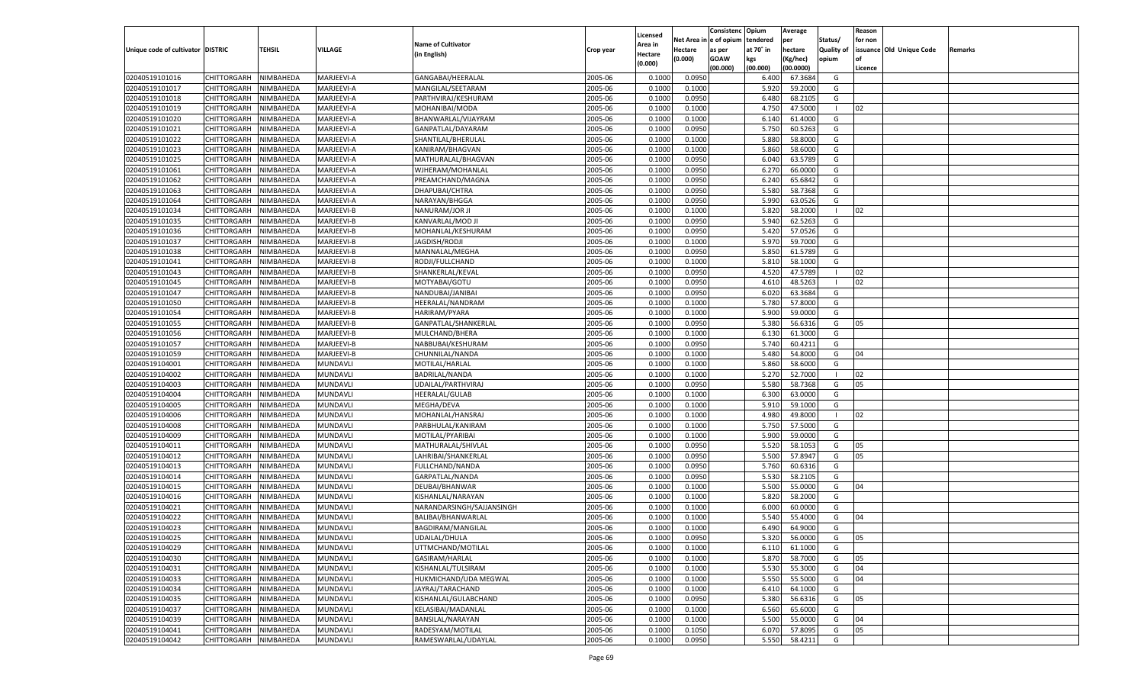|                                   |                       |               |                 |                           |           |                           |          | Consistenc  | Opium     | Average   |                   | Reason  |                          |         |
|-----------------------------------|-----------------------|---------------|-----------------|---------------------------|-----------|---------------------------|----------|-------------|-----------|-----------|-------------------|---------|--------------------------|---------|
|                                   |                       |               |                 | <b>Name of Cultivator</b> |           | Licensed                  | Net Area | e of opium  | tendered  | per       | Status/           | for non |                          |         |
| Unique code of cultivator DISTRIC |                       | <b>TEHSIL</b> | VILLAGE         | (in English)              | Crop year | <b>Area in</b><br>Hectare | Hectare  | as per      | at 70° in | hectare   | <b>Quality of</b> |         | issuance Old Unique Code | Remarks |
|                                   |                       |               |                 |                           |           | (0.000)                   | (0.000)  | <b>GOAW</b> | kgs       | (Kg/hec)  | opium             |         |                          |         |
|                                   |                       |               |                 |                           |           |                           |          | (00.000)    | (00.000)  | (00.0000) |                   | Licence |                          |         |
| 02040519101016                    | CHITTORGARH           | NIMBAHEDA     | MARJEEVI-A      | GANGABAI/HEERALAL         | 2005-06   | 0.1000                    | 0.0950   |             | 6.400     | 67.3684   | G                 |         |                          |         |
| 02040519101017                    | CHITTORGARH           | NIMBAHEDA     | MARJEEVI-A      | MANGILAL/SEETARAM         | 2005-06   | 0.1000                    | 0.1000   |             | 5.920     | 59.2000   | G                 |         |                          |         |
| 02040519101018                    | CHITTORGARH           | NIMBAHEDA     | MARJEEVI-A      | PARTHVIRAJ/KESHURAM       | 2005-06   | 0.1000                    | 0.0950   |             | 6.480     | 68.2105   | G                 |         |                          |         |
| 02040519101019                    | CHITTORGARH           | NIMBAHEDA     | MARJEEVI-A      | MOHANIBAI/MODA            | 2005-06   | 0.1000                    | 0.1000   |             | 4.750     | 47.5000   | - 1               | 02      |                          |         |
| 02040519101020                    | CHITTORGARH           | NIMBAHEDA     | MARJEEVI-A      | BHANWARLAL/VIJAYRAM       | 2005-06   | 0.1000                    | 0.1000   |             | 6.140     | 61.4000   | G                 |         |                          |         |
| 02040519101021                    | CHITTORGARH           | NIMBAHEDA     | MARJEEVI-A      | GANPATLAL/DAYARAM         | 2005-06   | 0.1000                    | 0.0950   |             | 5.750     | 60.5263   | G                 |         |                          |         |
| 02040519101022                    | CHITTORGARH           | NIMBAHEDA     | MARJEEVI-A      | SHANTILAL/BHERULAL        | 2005-06   | 0.1000                    | 0.1000   |             | 5.880     | 58.8000   | G                 |         |                          |         |
| 02040519101023                    | CHITTORGARH           | NIMBAHEDA     | MARJEEVI-A      | KANIRAM/BHAGVAN           | 2005-06   | 0.1000                    | 0.1000   |             | 5.860     | 58.6000   | G                 |         |                          |         |
| 02040519101025                    | CHITTORGARH           | NIMBAHEDA     | MARJEEVI-A      | MATHURALAL/BHAGVAN        | 2005-06   | 0.1000                    | 0.0950   |             | 6.040     | 63.5789   | G                 |         |                          |         |
| 02040519101061                    | CHITTORGARH           | NIMBAHEDA     | MARJEEVI-A      | WJHERAM/MOHANLAL          | 2005-06   | 0.1000                    | 0.0950   |             | 6.27      | 66.0000   | G                 |         |                          |         |
| 02040519101062                    | CHITTORGARH           | NIMBAHEDA     | MARJEEVI-A      | PREAMCHAND/MAGNA          | 2005-06   | 0.1000                    | 0.0950   |             | 6.240     | 65.6842   | G                 |         |                          |         |
| 02040519101063                    | CHITTORGARH           | NIMBAHEDA     | MARJEEVI-A      | DHAPUBAI/CHTRA            | 2005-06   | 0.1000                    | 0.0950   |             | 5.580     | 58.7368   | G                 |         |                          |         |
| 02040519101064                    | CHITTORGARH           | NIMBAHEDA     | MARJEEVI-A      | NARAYAN/BHGGA             | 2005-06   | 0.1000                    | 0.0950   |             | 5.990     | 63.0526   | G                 |         |                          |         |
| 02040519101034                    | CHITTORGARH           | NIMBAHEDA     | MARJEEVI-B      | NANURAM/JOR JI            | 2005-06   | 0.1000                    | 0.1000   |             | 5.820     | 58.2000   | $\blacksquare$    | 02      |                          |         |
| 02040519101035                    | CHITTORGARH           | NIMBAHEDA     | MARJEEVI-B      | KANVARLAL/MOD JI          | 2005-06   | 0.1000                    | 0.0950   |             | 5.940     | 62.5263   | G                 |         |                          |         |
| 02040519101036                    | CHITTORGARH           | NIMBAHEDA     | MARJEEVI-B      | MOHANLAL/KESHURAM         | 2005-06   | 0.1000                    | 0.0950   |             | 5.420     | 57.0526   | G                 |         |                          |         |
| 02040519101037                    | CHITTORGARH           | NIMBAHEDA     | MARJEEVI-B      | JAGDISH/RODJI             | 2005-06   | 0.1000                    | 0.1000   |             | 5.970     | 59.7000   | G                 |         |                          |         |
| 02040519101038                    | CHITTORGARH           | NIMBAHEDA     | MARJEEVI-B      | MANNALAL/MEGHA            | 2005-06   | 0.1000                    | 0.0950   |             | 5.850     | 61.5789   | G                 |         |                          |         |
| 02040519101041                    | CHITTORGARH           | NIMBAHEDA     | MARJEEVI-B      | RODJI/FULLCHAND           | 2005-06   | 0.1000                    | 0.1000   |             | 5.810     | 58.1000   | G                 |         |                          |         |
| 02040519101043                    | CHITTORGARH           | NIMBAHEDA     | MARJEEVI-B      | SHANKERLAL/KEVAL          | 2005-06   | 0.1000                    | 0.0950   |             | 4.520     | 47.5789   | - 1               | 02      |                          |         |
| 02040519101045                    | CHITTORGARH           | NIMBAHEDA     | MARJEEVI-B      | MOTYABAI/GOTU             | 2005-06   | 0.1000                    | 0.0950   |             | 4.610     | 48.5263   | $\blacksquare$    | 02      |                          |         |
| 02040519101047                    | CHITTORGARH           | NIMBAHEDA     | MARJEEVI-B      | NANDUBAI/JANIBAI          | 2005-06   | 0.1000                    | 0.0950   |             | 6.020     | 63.3684   | G                 |         |                          |         |
| 02040519101050                    | CHITTORGARH           | NIMBAHEDA     | MARJEEVI-B      | HEERALAL/NANDRAM          | 2005-06   | 0.1000                    | 0.1000   |             | 5.780     | 57.8000   | G                 |         |                          |         |
| 02040519101054                    | CHITTORGARH           | NIMBAHEDA     | MARJEEVI-B      | HARIRAM/PYARA             | 2005-06   | 0.1000                    | 0.1000   |             | 5.900     | 59.0000   | G                 |         |                          |         |
| 02040519101055                    | CHITTORGARH           | NIMBAHEDA     | MARJEEVI-B      | GANPATLAL/SHANKERLAL      | 2005-06   | 0.1000                    | 0.0950   |             | 5.380     | 56.6316   | G                 | 05      |                          |         |
| 02040519101056                    | CHITTORGARH           | NIMBAHEDA     | MARJEEVI-B      | MULCHAND/BHERA            | 2005-06   | 0.1000                    | 0.1000   |             | 6.130     | 61.3000   | G                 |         |                          |         |
| 02040519101057                    | CHITTORGARH           | NIMBAHEDA     | MARJEEVI-B      | NABBUBAI/KESHURAM         | 2005-06   | 0.1000                    | 0.0950   |             | 5.740     | 60.4211   | G                 |         |                          |         |
| 02040519101059                    | CHITTORGARH           | NIMBAHEDA     | MARJEEVI-B      | CHUNNILAL/NANDA           | 2005-06   | 0.1000                    | 0.1000   |             | 5.480     | 54.8000   | G                 | 04      |                          |         |
| 02040519104001                    | CHITTORGARH           | NIMBAHEDA     | MUNDAVLI        | MOTILAL/HARLAL            | 2005-06   | 0.1000                    | 0.1000   |             | 5.860     | 58.6000   | G                 |         |                          |         |
| 02040519104002                    | CHITTORGARH           | NIMBAHEDA     | MUNDAVLI        | BADRILAL/NANDA            | 2005-06   | 0.1000                    | 0.1000   |             | 5.270     | 52.7000   | $\blacksquare$    | 02      |                          |         |
| 02040519104003                    | CHITTORGARH           | NIMBAHEDA     | MUNDAVLI        | UDAILAL/PARTHVIRAJ        | 2005-06   | 0.1000                    | 0.0950   |             | 5.580     | 58.7368   | G                 | 05      |                          |         |
| 02040519104004                    | CHITTORGARH           | NIMBAHEDA     | MUNDAVLI        | HEERALAL/GULAB            | 2005-06   | 0.1000                    | 0.1000   |             | 6.300     | 63.0000   | G                 |         |                          |         |
| 02040519104005                    | CHITTORGARH           | NIMBAHEDA     | MUNDAVLI        | MEGHA/DEVA                | 2005-06   | 0.1000                    | 0.1000   |             | 5.910     | 59.1000   | G                 |         |                          |         |
| 02040519104006                    | CHITTORGARH           | NIMBAHEDA     | MUNDAVLI        | MOHANLAL/HANSRAJ          | 2005-06   | 0.1000                    | 0.1000   |             | 4.980     | 49.8000   | - 1               | 02      |                          |         |
| 02040519104008                    | CHITTORGARH           | NIMBAHEDA     | MUNDAVLI        | PARBHULAL/KANIRAM         | 2005-06   | 0.1000                    | 0.1000   |             | 5.750     | 57.5000   | G                 |         |                          |         |
| 02040519104009                    | CHITTORGARH           | NIMBAHEDA     | MUNDAVLI        | MOTILAL/PYARIBAI          | 2005-06   | 0.1000                    | 0.1000   |             | 5.900     | 59.0000   | G                 |         |                          |         |
| 02040519104011                    | CHITTORGARH           | NIMBAHEDA     | MUNDAVLI        | MATHURALAL/SHIVLAL        | 2005-06   | 0.1000                    | 0.0950   |             | 5.520     | 58.105    | G                 | 05      |                          |         |
| 02040519104012                    | CHITTORGARH           | NIMBAHEDA     | MUNDAVLI        | LAHRIBAI/SHANKERLAL       | 2005-06   | 0.1000                    | 0.0950   |             | 5.500     | 57.8947   | G                 | 05      |                          |         |
| 02040519104013                    |                       | NIMBAHEDA     | MUNDAVLI        | FULLCHAND/NANDA           | 2005-06   | 0.1000                    | 0.0950   |             |           | 60.6316   | G                 |         |                          |         |
|                                   | CHITTORGARH           |               |                 |                           |           |                           |          |             | 5.760     | 58.2105   |                   |         |                          |         |
| 02040519104014                    | CHITTORGARH           | NIMBAHEDA     | MUNDAVLI        | GARPATLAL/NANDA           | 2005-06   | 0.1000                    | 0.0950   |             | 5.530     |           | G                 |         |                          |         |
| 02040519104015                    | CHITTORGARH           | NIMBAHEDA     | MUNDAVLI        | DEUBAI/BHANWAR            | 2005-06   | 0.1000                    | 0.1000   |             | 5.500     | 55.0000   | G                 | 04      |                          |         |
| 02040519104016                    | CHITTORGARH           | NIMBAHEDA     | MUNDAVLI        | KISHANLAL/NARAYAN         | 2005-06   | 0.1000                    | 0.1000   |             | 5.820     | 58.2000   | G                 |         |                          |         |
| 02040519104021                    | CHITTORGARH           | NIMBAHEDA     | MUNDAVLI        | NARANDARSINGH/SAJJANSINGH | 2005-06   | 0.1000                    | 0.1000   |             | 6.000     | 60.0000   | G                 |         |                          |         |
| 02040519104022                    | CHITTORGARH           | NIMBAHEDA     | MUNDAVLI        | BALIBAI/BHANWARLAL        | 2005-06   | 0.1000                    | 0.1000   |             | 5.54      | 55.4000   | G                 | 04      |                          |         |
| 02040519104023                    | CHITTORGARH           | NIMBAHEDA     | MUNDAVLI        | BAGDIRAM/MANGILAL         | 2005-06   | 0.1000                    | 0.1000   |             | 6.490     | 64.9000   | G                 |         |                          |         |
| 02040519104025                    | CHITTORGARH NIMBAHEDA |               | MUNDAVLI        | UDAILAL/DHULA             | 2005-06   | 0.1000                    | 0.0950   |             | 5.320     | 56.0000   | G                 | 05      |                          |         |
| 02040519104029                    | <b>CHITTORGARH</b>    | NIMBAHEDA     | <b>MUNDAVLI</b> | UTTMCHAND/MOTILAL         | 2005-06   | 0.1000                    | 0.1000   |             | 6.110     | 61.1000   | G                 |         |                          |         |
| 02040519104030                    | CHITTORGARH           | NIMBAHEDA     | MUNDAVLI        | GASIRAM/HARLAL            | 2005-06   | 0.1000                    | 0.1000   |             | 5.870     | 58.7000   | G                 | 05      |                          |         |
| 02040519104031                    | <b>CHITTORGARH</b>    | NIMBAHEDA     | <b>MUNDAVLI</b> | KISHANLAL/TULSIRAM        | 2005-06   | 0.1000                    | 0.1000   |             | 5.530     | 55.3000   | G                 | 04      |                          |         |
| 02040519104033                    | <b>CHITTORGARH</b>    | NIMBAHEDA     | MUNDAVLI        | HUKMICHAND/UDA MEGWAL     | 2005-06   | 0.1000                    | 0.1000   |             | 5.550     | 55.5000   | G                 | 04      |                          |         |
| 02040519104034                    | <b>CHITTORGARH</b>    | NIMBAHEDA     | MUNDAVLI        | JAYRAJ/TARACHAND          | 2005-06   | 0.1000                    | 0.1000   |             | 6.410     | 64.1000   | G                 |         |                          |         |
| 02040519104035                    | <b>CHITTORGARH</b>    | NIMBAHEDA     | MUNDAVLI        | KISHANLAL/GULABCHAND      | 2005-06   | 0.1000                    | 0.0950   |             | 5.380     | 56.6316   | G                 | 05      |                          |         |
| 02040519104037                    | <b>CHITTORGARH</b>    | NIMBAHEDA     | MUNDAVLI        | KELASIBAI/MADANLAL        | 2005-06   | 0.1000                    | 0.1000   |             | 6.560     | 65.6000   | G                 |         |                          |         |
| 02040519104039                    | <b>CHITTORGARH</b>    | NIMBAHEDA     | MUNDAVLI        | BANSILAL/NARAYAN          | 2005-06   | 0.1000                    | 0.1000   |             | 5.500     | 55.0000   | G                 | 04      |                          |         |
| 02040519104041                    | <b>CHITTORGARH</b>    | NIMBAHEDA     | <b>MUNDAVLI</b> | RADESYAM/MOTILAL          | 2005-06   | 0.1000                    | 0.1050   |             | 6.070     | 57.8095   | G                 | 05      |                          |         |
| 02040519104042                    | <b>CHITTORGARH</b>    | NIMBAHEDA     | MUNDAVLI        | RAMESWARLAL/UDAYLAL       | 2005-06   | 0.1000                    | 0.0950   |             | 5.550     | 58.4211   | G                 |         |                          |         |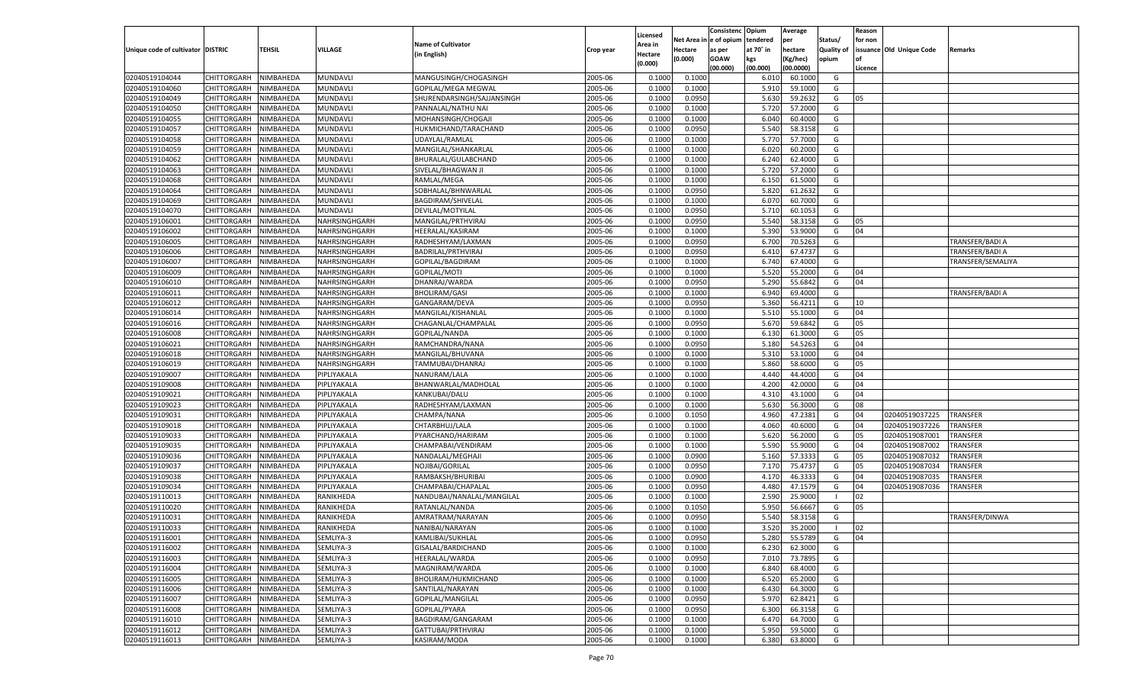|                                   |                       |                  |                |                            |           |                     |            | Consistenc  | Opium     | Average   |                   | Reason  |                          |                   |
|-----------------------------------|-----------------------|------------------|----------------|----------------------------|-----------|---------------------|------------|-------------|-----------|-----------|-------------------|---------|--------------------------|-------------------|
|                                   |                       |                  |                | <b>Name of Cultivator</b>  |           | Licensed<br>Area in | Net Area i | le of opium | tendered  | per       | Status/           | for non |                          |                   |
| Unique code of cultivator DISTRIC |                       | TEHSIL           | <b>VILLAGE</b> | (in English)               | Crop year | Hectare             | Hectare    | as per      | at 70° in | hectare   | <b>Quality of</b> |         | issuance Old Unique Code | Remarks           |
|                                   |                       |                  |                |                            |           | (0.000)             | (0.000)    | <b>GOAW</b> | kgs       | (Kg/hec)  | opium             |         |                          |                   |
|                                   |                       |                  |                |                            |           |                     |            | (00.000)    | (00.000)  | (00.0000) |                   | Licence |                          |                   |
| 02040519104044                    | CHITTORGARH           | NIMBAHEDA        | MUNDAVLI       | MANGUSINGH/CHOGASINGH      | 2005-06   | 0.100               | 0.1000     |             | 6.010     | 60.1000   | G                 |         |                          |                   |
| 02040519104060                    | CHITTORGARH           | NIMBAHEDA        | MUNDAVLI       | GOPILAL/MEGA MEGWAL        | 2005-06   | 0.100               | 0.1000     |             | 5.910     | 59.1000   | G                 |         |                          |                   |
| 02040519104049                    | CHITTORGARH           | NIMBAHEDA        | MUNDAVLI       | SHURENDARSINGH/SAJJANSINGH | 2005-06   | 0.1000              | 0.0950     |             | 5.630     | 59.2632   | G                 | 05      |                          |                   |
| 02040519104050                    | CHITTORGARH           | NIMBAHEDA        | MUNDAVLI       | PANNALAL/NATHU NAI         | 2005-06   | 0.1000              | 0.1000     |             | 5.720     | 57.2000   | G                 |         |                          |                   |
| 02040519104055                    | CHITTORGARH           | NIMBAHEDA        | MUNDAVLI       | MOHANSINGH/CHOGAJI         | 2005-06   | 0.1000              | 0.1000     |             | 6.040     | 60.4000   | G                 |         |                          |                   |
| 02040519104057                    | CHITTORGARH           | NIMBAHEDA        | MUNDAVLI       | HUKMICHAND/TARACHAND       | 2005-06   | 0.1000              | 0.0950     |             | 5.540     | 58.3158   | G                 |         |                          |                   |
| 02040519104058                    | CHITTORGARH           | NIMBAHEDA        | MUNDAVLI       | UDAYLAL/RAMLAL             | 2005-06   | 0.1000              | 0.1000     |             | 5.770     | 57.7000   | G                 |         |                          |                   |
| 02040519104059                    | CHITTORGARH           | NIMBAHEDA        | MUNDAVLI       | MANGILAL/SHANKARLAL        | 2005-06   | 0.1000              | 0.1000     |             | 6.020     | 60.2000   | G                 |         |                          |                   |
| 02040519104062                    | CHITTORGARH           | NIMBAHEDA        | MUNDAVLI       | BHURALAL/GULABCHAND        | 2005-06   | 0.1000              | 0.1000     |             | 6.240     | 62.4000   | G                 |         |                          |                   |
| 02040519104063                    | CHITTORGARH           | NIMBAHEDA        | MUNDAVLI       | SIVELAL/BHAGWAN JI         | 2005-06   | 0.1000              | 0.1000     |             | 5.720     | 57.2000   | G                 |         |                          |                   |
| 02040519104068                    | CHITTORGARH           | NIMBAHEDA        | MUNDAVLI       | RAMLAL/MEGA                | 2005-06   | 0.1000              | 0.1000     |             | 6.150     | 61.5000   | G                 |         |                          |                   |
| 02040519104064                    | CHITTORGARH           | NIMBAHEDA        | MUNDAVLI       | SOBHALAL/BHNWARLAL         | 2005-06   | 0.1000              | 0.0950     |             | 5.820     | 61.2632   | G                 |         |                          |                   |
| 02040519104069                    | CHITTORGARH           | NIMBAHEDA        | MUNDAVLI       | <b>BAGDIRAM/SHIVELAL</b>   | 2005-06   | 0.1000              | 0.1000     |             | 6.070     | 60.7000   | G                 |         |                          |                   |
| 02040519104070                    | CHITTORGARH           | NIMBAHEDA        | MUNDAVLI       | DEVILAL/MOTYILAL           | 2005-06   | 0.1000              | 0.0950     |             | 5.710     | 60.1053   | G                 |         |                          |                   |
| 02040519106001                    | CHITTORGARH           | NIMBAHEDA        | NAHRSINGHGARH  | MANGILAL/PRTHVIRAJ         | 2005-06   | 0.1000              | 0.0950     |             | 5.540     | 58.3158   | G                 | 05      |                          |                   |
| 02040519106002                    | CHITTORGARH           | NIMBAHEDA        | NAHRSINGHGARH  | HEERALAL/KASIRAM           | 2005-06   | 0.1000              | 0.1000     |             | 5.390     | 53.9000   | G                 | 04      |                          |                   |
| 02040519106005                    | CHITTORGARH           | NIMBAHEDA        | NAHRSINGHGARH  | RADHESHYAM/LAXMAN          | 2005-06   | 0.1000              | 0.0950     |             | 6.700     | 70.5263   | G                 |         |                          | TRANSFER/BADI A   |
| 02040519106006                    | CHITTORGARH           | NIMBAHEDA        | NAHRSINGHGARH  | BADRILAL/PRTHVIRAJ         | 2005-06   | 0.1000              | 0.0950     |             | 6.410     | 67.4737   | G                 |         |                          | TRANSFER/BADI A   |
| 02040519106007                    | CHITTORGARH           | NIMBAHEDA        | NAHRSINGHGARH  | GOPILAL/BAGDIRAM           | 2005-06   | 0.1000              | 0.1000     |             | 6.740     | 67.4000   | G                 |         |                          | TRANSFER/SEMALIYA |
| 02040519106009                    | CHITTORGARH           | NIMBAHEDA        | NAHRSINGHGARH  | GOPILAL/MOTI               | 2005-06   | 0.1000              | 0.1000     |             | 5.520     | 55.2000   | G                 | 04      |                          |                   |
| 02040519106010                    | CHITTORGARH           | NIMBAHEDA        | NAHRSINGHGARH  | DHANRAJ/WARDA              | 2005-06   | 0.1000              | 0.0950     |             | 5.290     | 55.6842   | G                 | 04      |                          |                   |
| 02040519106011                    | CHITTORGARH           | NIMBAHEDA        | NAHRSINGHGARH  | <b>BHOLIRAM/GASI</b>       | 2005-06   | 0.1000              | 0.1000     |             | 6.940     | 69.4000   | G                 |         |                          | TRANSFER/BADI A   |
| 02040519106012                    | CHITTORGARH           | NIMBAHEDA        | NAHRSINGHGARH  | GANGARAM/DEVA              | 2005-06   | 0.1000              | 0.0950     |             | 5.360     | 56.4211   | G                 | 10      |                          |                   |
| 02040519106014                    | CHITTORGARH           | NIMBAHEDA        | NAHRSINGHGARH  | MANGILAL/KISHANLAL         | 2005-06   | 0.1000              | 0.1000     |             | 5.510     | 55.1000   | G                 | 04      |                          |                   |
| 02040519106016                    | CHITTORGARH           | NIMBAHEDA        | NAHRSINGHGARH  | CHAGANLAL/CHAMPALAI        | 2005-06   | 0.1000              | 0.0950     |             | 5.670     | 59.6842   | G                 | 05      |                          |                   |
| 02040519106008                    | CHITTORGARH           | NIMBAHEDA        | NAHRSINGHGARH  | GOPILAL/NANDA              | 2005-06   | 0.1000              | 0.1000     |             | 6.130     | 61.3000   | G                 | 05      |                          |                   |
| 02040519106021                    | CHITTORGARH           | NIMBAHEDA        | NAHRSINGHGARH  | RAMCHANDRA/NANA            | 2005-06   | 0.1000              | 0.0950     |             | 5.180     | 54.5263   | G                 | 04      |                          |                   |
| 02040519106018                    | CHITTORGARH           | NIMBAHEDA        | NAHRSINGHGARH  | MANGILAL/BHUVANA           | 2005-06   | 0.1000              | 0.1000     |             | 5.310     | 53.1000   | G                 | 04      |                          |                   |
| 02040519106019                    | CHITTORGARH           | NIMBAHEDA        | NAHRSINGHGARH  | TAMMUBAI/DHANRAJ           | 2005-06   | 0.1000              | 0.1000     |             | 5.860     | 58.6000   | G                 | 05      |                          |                   |
| 02040519109007                    | CHITTORGARH           | NIMBAHEDA        | PIPLIYAKALA    | NANURAM/LALA               | 2005-06   | 0.1000              | 0.1000     |             | 4.440     | 44.4000   | G                 | 04      |                          |                   |
| 02040519109008                    | CHITTORGARH           | NIMBAHEDA        | PIPLIYAKALA    | BHANWARLAL/MADHOLAL        | 2005-06   | 0.1000              | 0.1000     |             | 4.200     | 42.0000   | G                 | 04      |                          |                   |
| 02040519109021                    | CHITTORGARH           | NIMBAHEDA        | PIPLIYAKALA    | KANKUBAI/DALU              | 2005-06   | 0.1000              | 0.1000     |             | 4.310     | 43.1000   | G                 | 04      |                          |                   |
| 02040519109023                    | CHITTORGARH           | NIMBAHEDA        | PIPLIYAKALA    | RADHESHYAM/LAXMAN          | 2005-06   | 0.1000              | 0.1000     |             | 5.630     | 56.3000   | G                 | 08      |                          |                   |
| 02040519109031                    | CHITTORGARH           | NIMBAHEDA        | PIPLIYAKALA    | CHAMPA/NANA                | 2005-06   | 0.1000              | 0.1050     |             | 4.960     | 47.2381   | G                 | 04      | 02040519037225           | <b>TRANSFER</b>   |
| 02040519109018                    | CHITTORGARH           | NIMBAHEDA        | PIPLIYAKALA    | CHTARBHUJ/LALA             | 2005-06   | 0.1000              | 0.1000     |             | 4.060     | 40.6000   | G                 | 04      | 02040519037226           | TRANSFER          |
| 02040519109033                    | CHITTORGARH           | NIMBAHEDA        | PIPLIYAKALA    | PYARCHAND/HARIRAM          | 2005-06   | 0.1000              | 0.1000     |             | 5.620     | 56.2000   | G                 | 05      | 02040519087001           | TRANSFER          |
| 02040519109035                    | CHITTORGARH           | NIMBAHEDA        | PIPLIYAKALA    | CHAMPABAI/VENDIRAM         | 2005-06   | 0.1000              | 0.1000     |             | 5.590     | 55.9000   | G                 | 04      | 02040519087002           | TRANSFER          |
| 02040519109036                    | CHITTORGARH           | NIMBAHEDA        | PIPLIYAKALA    | NANDALAL/MEGHAJI           | 2005-06   | 0.1000              | 0.0900     |             | 5.160     | 57.3333   | G                 | 05      | 02040519087032           | TRANSFER          |
| 02040519109037                    | CHITTORGARH           | NIMBAHEDA        | PIPLIYAKALA    | NOJIBAI/GORILAL            | 2005-06   | 0.1000              | 0.0950     |             | 7.170     | 75.4737   | G                 | 05      | 02040519087034           | TRANSFER          |
| 02040519109038                    | CHITTORGARH           | NIMBAHEDA        | PIPLIYAKALA    | RAMBAKSH/BHURIBAI          | 2005-06   | 0.1000              | 0.0900     |             | 4.170     | 46.3333   | G                 | 04      | 02040519087035           | TRANSFER          |
| 02040519109034                    | CHITTORGARH           | NIMBAHEDA        | PIPLIYAKALA    | CHAMPABAI/CHAPALAL         | 2005-06   | 0.1000              | 0.0950     |             | 4.480     | 47.1579   | G                 | 04      | 02040519087036           | TRANSFER          |
| 02040519110013                    | CHITTORGARH           | NIMBAHEDA        | RANIKHEDA      | NANDUBAI/NANALAL/MANGILAL  | 2005-06   | 0.1000              | 0.1000     |             | 2.590     | 25.9000   | - 1               | 02      |                          |                   |
| 02040519110020                    | CHITTORGARH           | NIMBAHEDA        | RANIKHEDA      | RATANLAL/NANDA             | 2005-06   | 0.1000              | 0.1050     |             | 5.950     | 56.6667   | G                 | 05      |                          |                   |
| 02040519110031                    | CHITTORGARH           | NIMBAHEDA        | RANIKHEDA      | AMRATRAM/NARAYAN           | 2005-06   | 0.1000              | 0.0950     |             | 5.540     | 58.3158   | G                 |         |                          | TRANSFER/DINWA    |
| 02040519110033                    |                       | NIMBAHEDA        | RANIKHEDA      |                            | 2005-06   | 0.1000              | 0.1000     |             | 3.520     | 35.2000   | - 1               | 02      |                          |                   |
|                                   | CHITTORGARH           |                  |                | NANIBAI/NARAYAN            |           |                     |            |             |           |           |                   |         |                          |                   |
| 02040519116001                    | CHITTORGARH NIMBAHEDA | <b>NIMBAHEDA</b> | SEMLIYA-3      | KAMLIBAI/SUKHLAL           | 2005-06   | 0.1000              | 0.0950     |             | 5.280     | 55.5789   | G                 | 04      |                          |                   |
| 02040519116002                    | <b>CHITTORGARH</b>    |                  | SEMLIYA-3      | GISALAL/BARDICHAND         | 2005-06   | 0.1000              | 0.1000     |             | 6.230     | 62.3000   | G                 |         |                          |                   |
| 02040519116003                    | <b>CHITTORGARH</b>    | NIMBAHEDA        | SEMLIYA-3      | HEERALAL/WARDA             | 2005-06   | 0.1000              | 0.0950     |             | 7.010     | 73.7895   | G                 |         |                          |                   |
| 02040519116004                    | CHITTORGARH           | NIMBAHEDA        | SEMLIYA-3      | MAGNIRAM/WARDA             | 2005-06   | 0.1000              | 0.1000     |             | 6.840     | 68.4000   | G                 |         |                          |                   |
| 02040519116005                    | <b>CHITTORGARH</b>    | NIMBAHEDA        | SEMLIYA-3      | BHOLIRAM/HUKMICHAND        | 2005-06   | 0.1000              | 0.1000     |             | 6.520     | 65.2000   | G                 |         |                          |                   |
| 02040519116006                    | CHITTORGARH           | NIMBAHEDA        | SEMLIYA-3      | SANTILAL/NARAYAN           | 2005-06   | 0.1000              | 0.1000     |             | 6.430     | 64.3000   | G                 |         |                          |                   |
| 02040519116007                    | <b>CHITTORGARH</b>    | NIMBAHEDA        | SEMLIYA-3      | GOPILAL/MANGILAL           | 2005-06   | 0.1000              | 0.0950     |             | 5.970     | 62.8421   | G                 |         |                          |                   |
| 02040519116008                    | CHITTORGARH           | NIMBAHEDA        | SEMLIYA-3      | GOPILAL/PYARA              | 2005-06   | 0.1000              | 0.0950     |             | 6.300     | 66.3158   | G                 |         |                          |                   |
| 02040519116010                    | <b>CHITTORGARH</b>    | NIMBAHEDA        | SEMLIYA-3      | BAGDIRAM/GANGARAM          | 2005-06   | 0.1000              | 0.1000     |             | 6.470     | 64.7000   | G                 |         |                          |                   |
| 02040519116012                    | <b>CHITTORGARH</b>    | NIMBAHEDA        | SEMLIYA-3      | GATTUBAI/PRTHVIRAJ         | 2005-06   | 0.1000              | 0.1000     |             | 5.950     | 59.5000   | G                 |         |                          |                   |
| 02040519116013                    | <b>CHITTORGARH</b>    | NIMBAHEDA        | SEMLIYA-3      | KASIRAM/MODA               | 2005-06   | 0.1000              | 0.1000     |             | 6.380     | 63.8000   | G                 |         |                          |                   |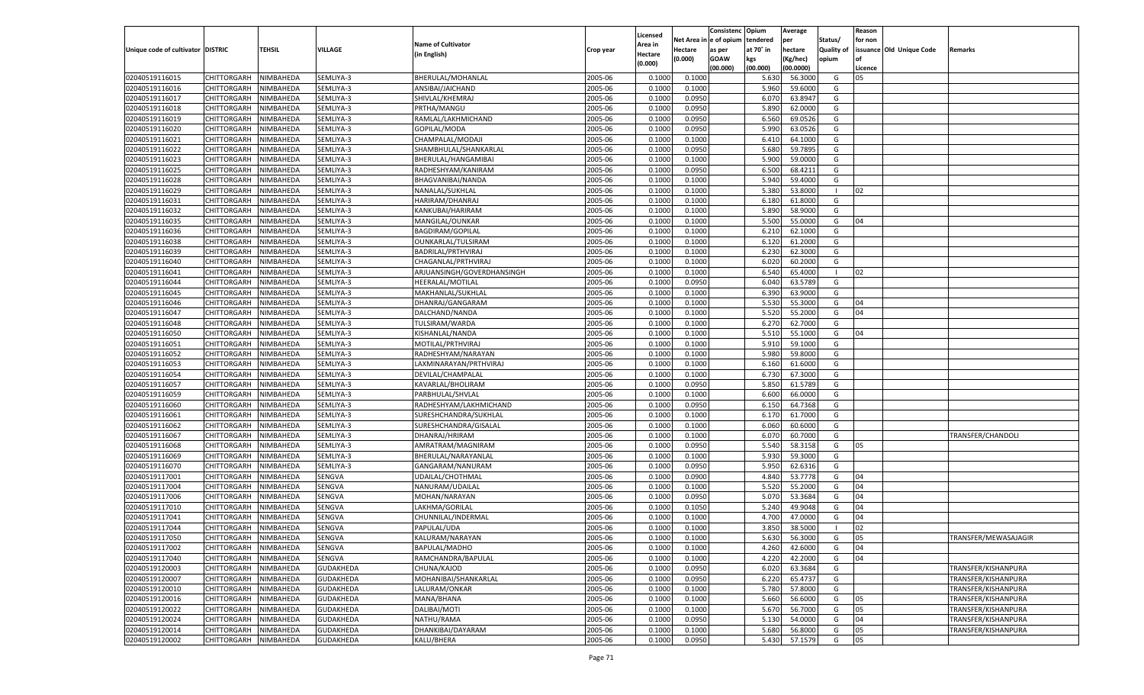|                                   |                       |               |                  |                            |           | Licensed |                        | Consistenc  | Opium     | Average           |                   | Reason  |                          |                      |
|-----------------------------------|-----------------------|---------------|------------------|----------------------------|-----------|----------|------------------------|-------------|-----------|-------------------|-------------------|---------|--------------------------|----------------------|
|                                   |                       |               |                  | <b>Name of Cultivator</b>  |           | Area in  | Net Area in e of opium |             | tendered  | per               | Status/           | for non |                          |                      |
| Unique code of cultivator DISTRIC |                       | <b>TEHSIL</b> | VILLAGE          | (in English)               | Crop year | Hectare  | Hectare                | as per      | at 70° in | hectare           | <b>Quality of</b> |         | issuance Old Unique Code | Remarks              |
|                                   |                       |               |                  |                            |           | (0.000)  | (0.000)                | <b>GOAW</b> | kgs       | Kg/hec)           | opium             |         |                          |                      |
|                                   |                       |               |                  |                            |           |          |                        | (00.000)    | (00.000)  | (00.0000)         |                   | Licence |                          |                      |
| 02040519116015                    | CHITTORGARH           | NIMBAHEDA     | SEMLIYA-3        | BHERULAL/MOHANLAL          | 2005-06   | 0.1000   | 0.100                  |             | 5.630     | 56.3000           | G                 | 05      |                          |                      |
| 02040519116016                    | CHITTORGARH           | NIMBAHEDA     | SEMLIYA-3        | ANSIBAI/JAICHAND           | 2005-06   | 0.1000   | 0.1000                 |             | 5.960     | 59.600            | G                 |         |                          |                      |
| 02040519116017                    | CHITTORGARH           | NIMBAHEDA     | SEMLIYA-3        | SHIVLAL/KHEMRAJ            | 2005-06   | 0.1000   | 0.0950                 |             | 6.07      | 63.894            | G                 |         |                          |                      |
| 02040519116018                    | CHITTORGARH           | NIMBAHEDA     | SEMLIYA-3        | PRTHA/MANGU                | 2005-06   | 0.1000   | 0.0950                 |             | 5.890     | 62.0000           | G                 |         |                          |                      |
| 02040519116019                    | CHITTORGARH           | NIMBAHEDA     | SEMLIYA-3        | RAMLAL/LAKHMICHAND         | 2005-06   | 0.1000   | 0.0950                 |             | 6.560     | 69.052            | G                 |         |                          |                      |
| 02040519116020                    | CHITTORGARH           | NIMBAHEDA     | SEMLIYA-3        | GOPILAL/MODA               | 2005-06   | 0.1000   | 0.0950                 |             | 5.990     | 63.0526           | G                 |         |                          |                      |
| 02040519116021                    | CHITTORGARH           | NIMBAHEDA     | SEMLIYA-3        | CHAMPALAL/MODAJI           | 2005-06   | 0.1000   | 0.1000                 |             | 6.410     | 64.100            | G                 |         |                          |                      |
| 02040519116022                    | CHITTORGARH           | NIMBAHEDA     | SEMLIYA-3        | SHAMBHULAL/SHANKARLAL      | 2005-06   | 0.1000   | 0.0950                 |             | 5.680     | 59.789            | G                 |         |                          |                      |
| 02040519116023                    | CHITTORGARH           | NIMBAHEDA     | SEMLIYA-3        | BHERULAL/HANGAMIBAI        | 2005-06   | 0.1000   | 0.1000                 |             | 5.900     | 59.000            | G                 |         |                          |                      |
| 02040519116025                    | CHITTORGARH           | NIMBAHEDA     | SEMLIYA-3        | RADHESHYAM/KANIRAM         | 2005-06   | 0.1000   | 0.0950                 |             | 6.500     | 68.421            | G                 |         |                          |                      |
| 02040519116028                    | CHITTORGARH           | NIMBAHEDA     | SEMLIYA-3        | BHAGVANIBAI/NANDA          | 2005-06   | 0.1000   | 0.1000                 |             | 5.940     | 59.4000           | G                 |         |                          |                      |
| 02040519116029                    | CHITTORGARH           | NIMBAHEDA     | SEMLIYA-3        | NANALAL/SUKHLAL            | 2005-06   | 0.1000   | 0.1000                 |             | 5.380     | 53.800            | - 1               | 02      |                          |                      |
| 02040519116031                    | CHITTORGARH           | NIMBAHEDA     | SEMLIYA-3        | HARIRAM/DHANRAJ            | 2005-06   | 0.1000   | 0.1000                 |             | 6.180     | 61.800            | G                 |         |                          |                      |
| 02040519116032                    | CHITTORGARH           | NIMBAHEDA     | SEMLIYA-3        | KANKUBAI/HARIRAM           | 2005-06   | 0.1000   | 0.1000                 |             | 5.890     | 58.9000           | G                 |         |                          |                      |
| 02040519116035                    | CHITTORGARH           | NIMBAHEDA     | SEMLIYA-3        | MANGILAL/OUNKAR            | 2005-06   | 0.1000   | 0.1000                 |             | 5.500     | 55.000            | G                 | 04      |                          |                      |
| 02040519116036                    | CHITTORGARH           | NIMBAHEDA     | SEMLIYA-3        | BAGDIRAM/GOPILAL           | 2005-06   | 0.1000   | 0.1000                 |             | 6.210     | 62.1000           | G                 |         |                          |                      |
| 02040519116038                    | CHITTORGARH           | NIMBAHEDA     | SEMLIYA-3        | OUNKARLAL/TULSIRAM         | 2005-06   | 0.1000   | 0.1000                 |             | 6.120     | 61.2000           | G                 |         |                          |                      |
| 02040519116039                    | CHITTORGARH           | NIMBAHEDA     | SEMLIYA-3        | BADRILAL/PRTHVIRAJ         | 2005-06   | 0.1000   | 0.1000                 |             | 6.230     | 62.3000           | G                 |         |                          |                      |
| 02040519116040                    | CHITTORGARH           | NIMBAHEDA     | SEMLIYA-3        | CHAGANLAL/PRTHVIRAJ        | 2005-06   | 0.1000   | 0.1000                 |             | 6.020     | 60.2000           | G                 |         |                          |                      |
| 02040519116041                    | CHITTORGARH           | NIMBAHEDA     | SEMLIYA-3        | ARJUANSINGH/GOVERDHANSINGH | 2005-06   | 0.1000   | 0.1000                 |             | 6.540     | 65.4000           | $\blacksquare$    | 02      |                          |                      |
| 02040519116044                    | CHITTORGARH           | NIMBAHEDA     | SEMLIYA-3        | HEERALAL/MOTILAL           | 2005-06   | 0.1000   | 0.0950                 |             | 6.040     | 63.5789           | G                 |         |                          |                      |
| 02040519116045                    | CHITTORGARH           | NIMBAHEDA     | SEMLIYA-3        | MAKHANLAL/SUKHLAL          | 2005-06   | 0.1000   | 0.1000                 |             | 6.390     | 63.9000           | G                 |         |                          |                      |
| 02040519116046                    | CHITTORGARH           | NIMBAHEDA     | SEMLIYA-3        | DHANRAJ/GANGARAM           | 2005-06   | 0.1000   | 0.1000                 |             | 5.530     | 55.3000           | G                 | 04      |                          |                      |
| 02040519116047                    | CHITTORGARH           | NIMBAHEDA     | SEMLIYA-3        | DALCHAND/NANDA             | 2005-06   | 0.1000   | 0.1000                 |             | 5.520     | 55.2000           | G                 | 04      |                          |                      |
| 02040519116048                    | CHITTORGARH           | NIMBAHEDA     | SEMLIYA-3        | TULSIRAM/WARDA             | 2005-06   | 0.1000   | 0.1000                 |             | 6.270     | 62.7000           | G                 |         |                          |                      |
| 02040519116050                    | CHITTORGARH           | NIMBAHEDA     | SEMLIYA-3        | KISHANLAL/NANDA            | 2005-06   | 0.1000   | 0.1000                 |             | 5.510     | 55.1000           | G                 | 04      |                          |                      |
| 02040519116051                    | CHITTORGARH           | NIMBAHEDA     | SEMLIYA-3        | MOTILAL/PRTHVIRAJ          | 2005-06   | 0.1000   | 0.1000                 |             | 5.910     | 59.1000           | G                 |         |                          |                      |
| 02040519116052                    | CHITTORGARH           | NIMBAHEDA     | SEMLIYA-3        | RADHESHYAM/NARAYAN         | 2005-06   | 0.1000   | 0.1000                 |             | 5.980     | 59.8000           | G                 |         |                          |                      |
| 02040519116053                    | CHITTORGARH           | NIMBAHEDA     | SEMLIYA-3        | LAXMINARAYAN/PRTHVIRAJ     | 2005-06   | 0.1000   | 0.1000                 |             | 6.160     | 61.6000           | G                 |         |                          |                      |
| 02040519116054                    | CHITTORGARH           | NIMBAHEDA     | SEMLIYA-3        | DEVILAL/CHAMPALAI          | 2005-06   | 0.1000   | 0.1000                 |             | 6.730     | 67.3000           | G                 |         |                          |                      |
| 02040519116057                    | CHITTORGARH           | NIMBAHEDA     | SEMLIYA-3        | KAVARLAL/BHOLIRAM          | 2005-06   | 0.1000   | 0.0950                 |             | 5.850     | 61.5789           | G                 |         |                          |                      |
| 02040519116059                    | CHITTORGARH           | NIMBAHEDA     | SEMLIYA-3        | PARBHULAL/SHVLAL           | 2005-06   | 0.1000   | 0.1000                 |             | 6.600     | 66.0000           | G                 |         |                          |                      |
| 02040519116060                    | CHITTORGARH           | NIMBAHEDA     | SEMLIYA-3        | RADHESHYAM/LAKHMICHAND     | 2005-06   | 0.1000   | 0.0950                 |             | 6.150     | 64.736            | G                 |         |                          |                      |
| 02040519116061                    | CHITTORGARH           | NIMBAHEDA     | SEMLIYA-3        | SURESHCHANDRA/SUKHLAI      | 2005-06   | 0.1000   | 0.1000                 |             | 6.170     | 61.7000           | G                 |         |                          |                      |
| 02040519116062                    | CHITTORGARH           | NIMBAHEDA     | SEMLIYA-3        | SURESHCHANDRA/GISALAL      | 2005-06   | 0.1000   | 0.1000                 |             | 6.060     | 60.600            | G                 |         |                          |                      |
| 02040519116067                    | CHITTORGARH           | NIMBAHEDA     | SEMLIYA-3        | DHANRAJ/HRIRAM             | 2005-06   | 0.1000   | 0.1000                 |             | 6.070     | 60.700            | G                 |         |                          | TRANSFER/CHANDOLI    |
| 02040519116068                    | CHITTORGARH           | NIMBAHEDA     | SEMLIYA-3        | AMRATRAM/MAGNIRAM          | 2005-06   | 0.1000   | 0.0950                 |             | 5.540     | 58.3158           | G                 | 05      |                          |                      |
| 02040519116069                    | CHITTORGARH           | NIMBAHEDA     | SEMLIYA-3        | BHERULAL/NARAYANLAL        | 2005-06   | 0.1000   | 0.1000                 |             | 5.930     | 59.3000           | G                 |         |                          |                      |
| 02040519116070                    | CHITTORGARH           | NIMBAHEDA     | SEMLIYA-3        | GANGARAM/NANURAM           | 2005-06   | 0.1000   | 0.0950                 |             | 5.950     | 62.631            | G                 |         |                          |                      |
| 02040519117001                    | CHITTORGARH           | NIMBAHEDA     | SENGVA           | UDAILAL/CHOTHMAL           | 2005-06   | 0.1000   | 0.0900                 |             | 4.840     | 53.7778           | G                 | 04      |                          |                      |
| 02040519117004                    | CHITTORGARH           | NIMBAHEDA     | SENGVA           | NANURAM/UDAILAL            | 2005-06   | 0.1000   | 0.1000                 |             | 5.520     | 55.2000           | G                 | 04      |                          |                      |
| 02040519117006                    |                       |               |                  | MOHAN/NARAYAN              |           |          |                        |             | 5.070     |                   | G                 | 04      |                          |                      |
| 02040519117010                    | CHITTORGARH           | NIMBAHEDA     | SENGVA<br>SENGVA |                            | 2005-06   | 0.1000   | 0.0950                 |             |           | 53.3684<br>49.904 |                   | 04      |                          |                      |
|                                   | CHITTORGARH           | NIMBAHEDA     |                  | LAKHMA/GORILAL             | 2005-06   | 0.1000   | 0.1050                 |             | 5.240     |                   | G                 |         |                          |                      |
| 02040519117041                    | CHITTORGARH           | NIMBAHEDA     | SENGVA           | CHUNNILAL/INDERMAL         | 2005-06   | 0.1000   | 0.1000                 |             | 4.700     | 47.000            | G                 | 04      |                          |                      |
| 02040519117044                    | CHITTORGARH           | NIMBAHEDA     | SENGVA           | PAPULAL/UDA                | 2005-06   | 0.1000   | 0.1000                 |             | 3.850     | 38.5000           |                   | 02      |                          |                      |
| 02040519117050                    | CHITTORGARH NIMBAHEDA |               | SENGVA           | KALURAM/NARAYAN            | 2005-06   | 0.1000   | 0.1000                 |             | 5.630     | 56.3000           | G                 | 05      |                          | TRANSFER/MEWASAJAGIR |
| 02040519117002                    | CHITTORGARH           | NIMBAHEDA     | SENGVA           | BAPULAL/MADHO              | 2005-06   | 0.1000   | 0.1000                 |             | 4.260     | 42.6000           | G                 | 04      |                          |                      |
| 02040519117040                    | CHITTORGARH           | NIMBAHEDA     | SENGVA           | RAMCHANDRA/BAPULAL         | 2005-06   | 0.1000   | 0.1000                 |             | 4.220     | 42.2000           | G                 | 04      |                          |                      |
| 02040519120003                    | CHITTORGARH           | NIMBAHEDA     | GUDAKHEDA        | CHUNA/KAJOD                | 2005-06   | 0.1000   | 0.0950                 |             | 6.020     | 63.3684           | G                 |         |                          | TRANSFER/KISHANPURA  |
| 02040519120007                    | CHITTORGARH           | NIMBAHEDA     | GUDAKHEDA        | MOHANIBAI/SHANKARLAL       | 2005-06   | 0.1000   | 0.0950                 |             | 6.220     | 65.4737           | G                 |         |                          | TRANSFER/KISHANPURA  |
| 02040519120010                    | CHITTORGARH           | NIMBAHEDA     | GUDAKHEDA        | LALURAM/ONKAR              | 2005-06   | 0.1000   | 0.1000                 |             | 5.780     | 57.8000           | G                 |         |                          | TRANSFER/KISHANPURA  |
| 02040519120016                    | CHITTORGARH           | NIMBAHEDA     | GUDAKHEDA        | MANA/BHANA                 | 2005-06   | 0.1000   | 0.1000                 |             | 5.660     | 56.6000           | G                 | 05      |                          | TRANSFER/KISHANPURA  |
| 02040519120022                    | CHITTORGARH           | NIMBAHEDA     | GUDAKHEDA        | DALIBAI/MOTI               | 2005-06   | 0.1000   | 0.1000                 |             | 5.670     | 56.7000           | G                 | 05      |                          | TRANSFER/KISHANPURA  |
| 02040519120024                    | CHITTORGARH           | NIMBAHEDA     | GUDAKHEDA        | NATHU/RAMA                 | 2005-06   | 0.1000   | 0.0950                 |             | 5.130     | 54.0000           | G                 | 04      |                          | TRANSFER/KISHANPURA  |
| 02040519120014                    | CHITTORGARH           | NIMBAHEDA     | GUDAKHEDA        | DHANKIBAI/DAYARAM          | 2005-06   | 0.1000   | 0.1000                 |             | 5.680     | 56.8000           | G                 | 05      |                          | TRANSFER/KISHANPURA  |
| 02040519120002                    | CHITTORGARH           | NIMBAHEDA     | GUDAKHEDA        | KALU/BHERA                 | 2005-06   | 0.1000   | 0.0950                 |             | 5.430     | 57.1579           | G                 | 05      |                          |                      |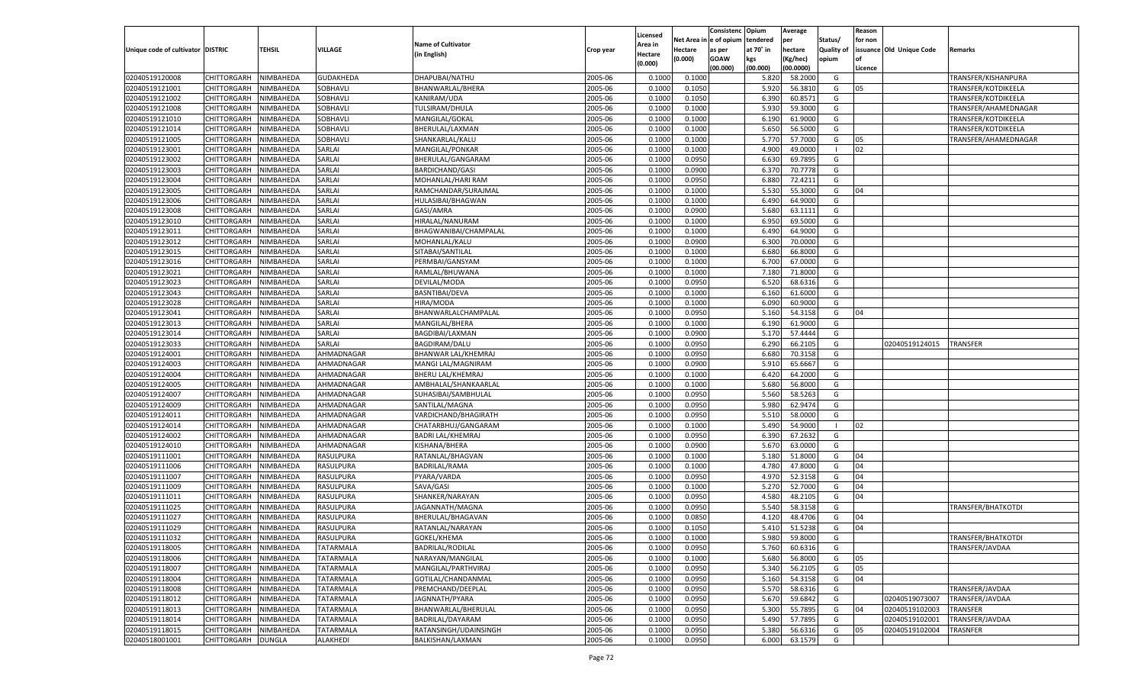|                                   |                       |               |                  |                           |           |                    |            | Consistenc  | Opium     | Average       |                   | Reason  |                          |                      |
|-----------------------------------|-----------------------|---------------|------------------|---------------------------|-----------|--------------------|------------|-------------|-----------|---------------|-------------------|---------|--------------------------|----------------------|
|                                   |                       |               |                  |                           |           | Licensed           | Net Area i | le of opium | tendered  | per           | Status/           | for non |                          |                      |
| Unique code of cultivator DISTRIC |                       | TEHSIL        | <b>VILLAGE</b>   | <b>Name of Cultivator</b> | Crop year | Area in            | Hectare    | as per      | at 70° in | hectare       | <b>Quality of</b> |         | issuance Old Unique Code | Remarks              |
|                                   |                       |               |                  | (in English)              |           | Hectare<br>(0.000) | (0.000)    | <b>GOAW</b> | kgs       | (Kg/hec)      | opium             |         |                          |                      |
|                                   |                       |               |                  |                           |           |                    |            | (00.000)    | (00.000)  | (00.0000)     |                   | Licence |                          |                      |
| 02040519120008                    | CHITTORGARH           | NIMBAHEDA     | <b>GUDAKHEDA</b> | DHAPUBAI/NATHU            | 2005-06   | 0.1000             | 0.1000     |             | 5.820     | 58.2000       | G                 |         |                          | TRANSFER/KISHANPURA  |
| 02040519121001                    | CHITTORGARH           | NIMBAHEDA     | SOBHAVLI         | BHANWARLAL/BHERA          | 2005-06   | 0.1000             | 0.1050     |             | 5.920     | 56.3810       | G                 | 05      |                          | TRANSFER/KOTDIKEELA  |
| 02040519121002                    | CHITTORGARH           | NIMBAHEDA     | SOBHAVLI         | KANIRAM/UDA               | 2005-06   | 0.1000             | 0.1050     |             | 6.390     | 60.8571       | G                 |         |                          | TRANSFER/KOTDIKEELA  |
| 02040519121008                    | CHITTORGARH           | NIMBAHEDA     | SOBHAVLI         | TULSIRAM/DHULA            | 2005-06   | 0.1000             | 0.1000     |             | 5.930     | 59.3000       | G                 |         |                          | TRANSFER/AHAMEDNAGAR |
| 02040519121010                    | CHITTORGARH           | NIMBAHEDA     | SOBHAVLI         | MANGILAL/GOKAL            | 2005-06   | 0.1000             | 0.1000     |             | 6.190     | 61.9000       | G                 |         |                          | TRANSFER/KOTDIKEELA  |
| 02040519121014                    | CHITTORGARH           | NIMBAHEDA     | SOBHAVLI         | BHERULAL/LAXMAN           | 2005-06   | 0.1000             | 0.1000     |             | 5.650     | 56.5000       | G                 |         |                          | TRANSFER/KOTDIKEELA  |
| 02040519121005                    | CHITTORGARH           | NIMBAHEDA     | SOBHAVLI         | SHANKARLAL/KALU           | 2005-06   | 0.1000             | 0.1000     |             | 5.770     | 57.7000       | G                 | 05      |                          | TRANSFER/AHAMEDNAGAR |
| 02040519123001                    | CHITTORGARH           | NIMBAHEDA     | SARLAI           | MANGILAL/PONKAR           | 2005-06   | 0.1000             | 0.1000     |             | 4.900     | 49.0000       | - 1               | 02      |                          |                      |
| 02040519123002                    | CHITTORGARH           | NIMBAHEDA     | SARLAI           | BHERULAL/GANGARAM         | 2005-06   | 0.1000             | 0.0950     |             | 6.630     | 69.7895       | G                 |         |                          |                      |
| 02040519123003                    | CHITTORGARH           | NIMBAHEDA     | SARLAI           | <b>BARDICHAND/GASI</b>    | 2005-06   | 0.1000             | 0.0900     |             | 6.370     | 70.7778       | G                 |         |                          |                      |
| 02040519123004                    | CHITTORGARH           | NIMBAHEDA     | SARLAI           | MOHANLAL/HARI RAM         | 2005-06   | 0.1000             | 0.0950     |             | 6.880     | 72.4211       | G                 |         |                          |                      |
| 02040519123005                    | CHITTORGARH           | NIMBAHEDA     | SARLAI           | RAMCHANDAR/SURAJMAL       | 2005-06   | 0.1000             | 0.1000     |             | 5.530     | 55.3000       | G                 | 04      |                          |                      |
| 02040519123006                    | CHITTORGARH           | NIMBAHEDA     | SARLAI           | HULASIBAI/BHAGWAN         | 2005-06   | 0.1000             | 0.1000     |             | 6.490     | 64.9000       | G                 |         |                          |                      |
| 02040519123008                    | CHITTORGARH           | NIMBAHEDA     | SARLAI           | GASI/AMRA                 | 2005-06   | 0.1000             | 0.0900     |             | 5.680     | 63.1111       | G                 |         |                          |                      |
| 02040519123010                    | CHITTORGARH           | NIMBAHEDA     | SARLAI           | HIRALAL/NANURAM           | 2005-06   | 0.1000             | 0.1000     |             | 6.950     | 69.5000       | G                 |         |                          |                      |
| 02040519123011                    | CHITTORGARH           | NIMBAHEDA     | SARLAI           | BHAGWANIBAI/CHAMPALAL     | 2005-06   | 0.1000             | 0.1000     |             | 6.490     | 64.9000       | G                 |         |                          |                      |
| 02040519123012                    | CHITTORGARH           | NIMBAHEDA     | SARLAI           | MOHANLAL/KALU             | 2005-06   | 0.1000             | 0.0900     |             | 6.300     | 70.0000       | G                 |         |                          |                      |
| 02040519123015                    | CHITTORGARH           | NIMBAHEDA     | SARLAI           | SITABAI/SANTILAL          | 2005-06   | 0.1000             | 0.1000     |             | 6.680     | 66.8000       | G                 |         |                          |                      |
| 02040519123016                    | CHITTORGARH           | NIMBAHEDA     | SARLAI           | PERMBAI/GANSYAM           | 2005-06   | 0.1000             | 0.1000     |             | 6.700     | 67.0000       | G                 |         |                          |                      |
| 02040519123021                    | CHITTORGARH           | NIMBAHEDA     | SARLAI           | RAMLAL/BHUWANA            | 2005-06   | 0.1000             | 0.1000     |             | 7.180     | 71.8000       | G                 |         |                          |                      |
| 02040519123023                    | CHITTORGARH           | NIMBAHEDA     | SARLAI           | DEVILAL/MODA              | 2005-06   | 0.1000             | 0.0950     |             | 6.520     | 68.6316       | G                 |         |                          |                      |
| 02040519123043                    | CHITTORGARH           | NIMBAHEDA     | SARLAI           | <b>BASNTIBAI/DEVA</b>     | 2005-06   | 0.1000             | 0.1000     |             | 6.160     | 61.6000       | G                 |         |                          |                      |
| 02040519123028                    | CHITTORGARH           | NIMBAHEDA     | SARLAI           | HIRA/MODA                 | 2005-06   | 0.1000             | 0.1000     |             | 6.090     | 60.9000       | G                 |         |                          |                      |
| 02040519123041                    | CHITTORGARH           | NIMBAHEDA     | SARLAI           | BHANWARLALCHAMPALAL       | 2005-06   | 0.1000             | 0.0950     |             | 5.160     | 54.3158       | G                 | 04      |                          |                      |
| 02040519123013                    | CHITTORGARH           | NIMBAHEDA     | SARLAI           | MANGILAL/BHERA            | 2005-06   | 0.1000             | 0.1000     |             | 6.190     | 61.9000       | G                 |         |                          |                      |
| 02040519123014                    | CHITTORGARH           | NIMBAHEDA     | SARLAI           | BAGDIBAI/LAXMAN           | 2005-06   | 0.1000             | 0.0900     |             | 5.170     | 57.4444       | G                 |         |                          |                      |
| 02040519123033                    | CHITTORGARH           | NIMBAHEDA     | SARLAI           | <b>BAGDIRAM/DALU</b>      | 2005-06   | 0.1000             | 0.0950     |             | 6.290     | 66.2105       | G                 |         | 02040519124015           | <b>TRANSFER</b>      |
| 02040519124001                    | CHITTORGARH           | NIMBAHEDA     | AHMADNAGAR       | BHANWAR LAL/KHEMRAJ       | 2005-06   | 0.1000             | 0.0950     |             | 6.680     | 70.3158       | G                 |         |                          |                      |
| 02040519124003                    | CHITTORGARH           | NIMBAHEDA     | AHMADNAGAR       | MANGI LAL/MAGNIRAM        | 2005-06   | 0.1000             | 0.0900     |             | 5.910     | 65.6667       | G                 |         |                          |                      |
| 02040519124004                    | CHITTORGARH           | NIMBAHEDA     | AHMADNAGAR       | <b>BHERU LAL/KHEMRAJ</b>  | 2005-06   | 0.1000             | 0.1000     |             | 6.420     | 64.2000       | G                 |         |                          |                      |
| 02040519124005                    |                       | NIMBAHEDA     | AHMADNAGAR       |                           | 2005-06   | 0.1000             | 0.1000     |             | 5.680     | 56.8000       | G                 |         |                          |                      |
|                                   | CHITTORGARH           |               |                  | AMBHALAL/SHANKAARLAL      |           |                    |            |             |           | 58.5263       |                   |         |                          |                      |
| 02040519124007                    | CHITTORGARH           | NIMBAHEDA     | AHMADNAGAR       | SUHASIBAI/SAMBHULAL       | 2005-06   | 0.1000             | 0.0950     |             | 5.560     |               | G                 |         |                          |                      |
| 02040519124009                    | CHITTORGARH           | NIMBAHEDA     | AHMADNAGAR       | SANTILAL/MAGNA            | 2005-06   | 0.1000             | 0.0950     |             | 5.980     | 62.9474       | G                 |         |                          |                      |
| 02040519124011                    | CHITTORGARH           | NIMBAHEDA     | AHMADNAGAR       | VARDICHAND/BHAGIRATH      | 2005-06   | 0.1000             | 0.0950     |             | 5.510     | 58.0000       | G                 |         |                          |                      |
| 02040519124014                    | CHITTORGARH           | NIMBAHEDA     | AHMADNAGAR       | CHATARBHUJ/GANGARAM       | 2005-06   | 0.1000             | 0.1000     |             | 5.490     | 54.9000       | - 1               | 02      |                          |                      |
| 02040519124002                    | CHITTORGARH           | NIMBAHEDA     | AHMADNAGAR       | <b>BADRI LAL/KHEMRAJ</b>  | 2005-06   | 0.1000             | 0.0950     |             | 6.390     | 67.2632       | G                 |         |                          |                      |
| 02040519124010                    | CHITTORGARH           | NIMBAHEDA     | AHMADNAGAR       | KISHANA/BHERA             | 2005-06   | 0.1000             | 0.0900     |             | 5.670     | 63.0000       | G                 |         |                          |                      |
| 02040519111001                    | CHITTORGARH           | NIMBAHEDA     | RASULPURA        | RATANLAL/BHAGVAN          | 2005-06   | 0.1000             | 0.1000     |             | 5.180     | 51.8000       | G                 | 04      |                          |                      |
| 02040519111006                    | CHITTORGARH           | NIMBAHEDA     | RASULPURA        | BADRILAL/RAMA             | 2005-06   | 0.1000             | 0.1000     |             | 4.780     | 47.8000       | G                 | 04      |                          |                      |
| 02040519111007                    | CHITTORGARH           | NIMBAHEDA     | RASULPURA        | PYARA/VARDA               | 2005-06   | 0.1000             | 0.0950     |             | 4.970     | 52.3158       | G                 | 04      |                          |                      |
| 02040519111009                    | CHITTORGARH           | NIMBAHEDA     | RASULPURA        | SAVA/GASI                 | 2005-06   | 0.1000             | 0.1000     |             | 5.270     | 52.7000       | G                 | 04      |                          |                      |
| 02040519111011                    | CHITTORGARH           | NIMBAHEDA     | RASULPURA        | SHANKER/NARAYAN           | 2005-06   | 0.1000             | 0.0950     |             | 4.580     | 48.2105       | G                 | 04      |                          |                      |
| 02040519111025                    | CHITTORGARH           | NIMBAHEDA     | RASULPURA        | JAGANNATH/MAGNA           | 2005-06   | 0.1000             | 0.0950     |             | 5.540     | 58.3158       | G                 |         |                          | TRANSFER/BHATKOTDI   |
| 02040519111027                    | CHITTORGARH           | NIMBAHEDA     | RASULPURA        | BHERULAL/BHAGAVAN         | 2005-06   | 0.1000             | 0.0850     |             | 4.120     | 48.4706       | G                 | 04      |                          |                      |
| 02040519111029                    | CHITTORGARH           | NIMBAHEDA     | RASULPURA        | RATANLAL/NARAYAN          | 2005-06   | 0.1000             | 0.1050     |             | 5.410     | 51.5238       | G                 | 04      |                          |                      |
| 02040519111032                    | CHITTORGARH NIMBAHEDA |               | RASULPURA        | GOKEL/KHEMA               | 2005-06   | 0.1000             | 0.1000     |             |           | 5.980 59.8000 | G                 |         |                          | TRANSFER/BHATKOTDI   |
| 02040519118005                    | <b>CHITTORGARH</b>    | NIMBAHEDA     | <b>TATARMALA</b> | <b>BADRILAL/RODILAL</b>   | 2005-06   | 0.1000             | 0.0950     |             | 5.760     | 60.6316       | G                 |         |                          | TRANSFER/JAVDAA      |
| 02040519118006                    | CHITTORGARH           | NIMBAHEDA     | <b>TATARMALA</b> | NARAYAN/MANGILAL          | 2005-06   | 0.1000             | 0.1000     |             | 5.680     | 56.8000       | G                 | 05      |                          |                      |
| 02040519118007                    | CHITTORGARH           | NIMBAHEDA     | <b>TATARMALA</b> | MANGILAL/PARTHVIRAJ       | 2005-06   | 0.1000             | 0.0950     |             | 5.340     | 56.2105       | G                 | 05      |                          |                      |
| 02040519118004                    | <b>CHITTORGARH</b>    | NIMBAHEDA     | <b>TATARMALA</b> | GOTILAL/CHANDANMAL        | 2005-06   | 0.1000             | 0.0950     |             | 5.160     | 54.3158       | G                 | 04      |                          |                      |
| 02040519118008                    | CHITTORGARH           | NIMBAHEDA     | <b>TATARMALA</b> | PREMCHAND/DEEPLAL         | 2005-06   | 0.1000             | 0.0950     |             | 5.570     | 58.6316       | G                 |         |                          | TRANSFER/JAVDAA      |
| 02040519118012                    | CHITTORGARH           | NIMBAHEDA     | <b>TATARMALA</b> | JAGNNATH/PYARA            | 2005-06   | 0.1000             | 0.0950     |             | 5.670     | 59.6842       | G                 |         | 02040519073007           | TRANSFER/JAVDAA      |
| 02040519118013                    | CHITTORGARH           | NIMBAHEDA     | <b>TATARMALA</b> | BHANWARLAL/BHERULAL       | 2005-06   | 0.1000             | 0.0950     |             | 5.300     | 55.7895       | G                 | 04      | 02040519102003           | TRANSFER             |
| 02040519118014                    | CHITTORGARH           | NIMBAHEDA     | <b>TATARMALA</b> | BADRILAL/DAYARAM          | 2005-06   | 0.1000             | 0.0950     |             | 5.490     | 57.7895       | G                 |         | 02040519102001           | TRANSFER/JAVDAA      |
| 02040519118015                    | <b>CHITTORGARH</b>    | NIMBAHEDA     | <b>TATARMALA</b> | RATANSINGH/UDAINSINGH     | 2005-06   | 0.1000             | 0.0950     |             | 5.380     | 56.6316       | G                 | 05      | 02040519102004           | TRASNFER             |
| 02040518001001                    | <b>CHITTORGARH</b>    | <b>DUNGLA</b> | ALAKHEDI         | BALKISHAN/LAXMAN          | 2005-06   | 0.1000             | 0.0950     |             | 6.000     | 63.1579       | G                 |         |                          |                      |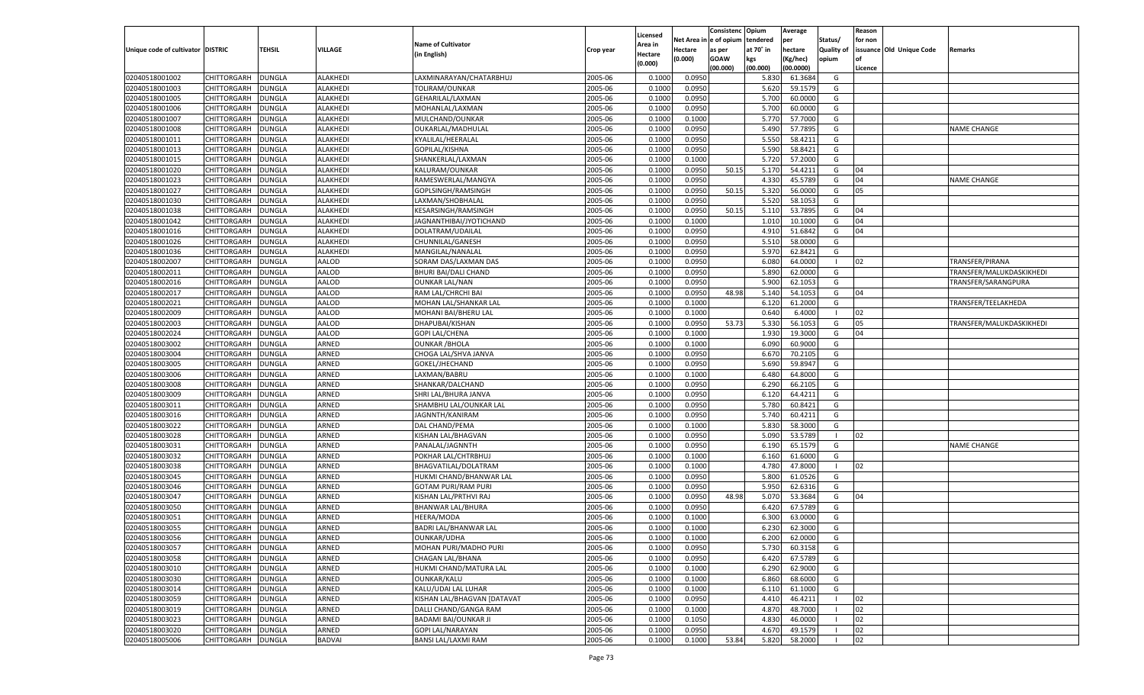| tendered<br>Net Area in e of opium<br>per<br>Status/<br>for non<br><b>Name of Cultivator</b><br>Area in<br><b>TEHSIL</b><br><b>VILLAGE</b><br>Unique code of cultivator DISTRIC<br>at 70° in<br>hectare<br><b>Quality of</b><br>issuance Old Unique Code<br>Hectare<br>as per<br>Remarks<br>Crop year<br>(in English)<br>Hectare<br>(0.000)<br><b>GOAW</b><br>kgs<br>(Kg/hec)<br>opium<br>(0.000)<br>(00.000)<br>(00.000)<br>(00.0000)<br>Licence<br>02040518001002<br>CHITTORGARH<br><b>DUNGLA</b><br>LAXMINARAYAN/CHATARBHUJ<br>2005-06<br>0.0950<br>ALAKHEDI<br>0.1000<br>5.830<br>61.3684<br>G<br>02040518001003<br>2005-06<br>CHITTORGARH<br><b>DUNGLA</b><br><b>ALAKHEDI</b><br>TOLIRAM/OUNKAR<br>0.1000<br>0.0950<br>5.620<br>59.1579<br>G<br>02040518001005<br>2005-06<br>0.0950<br><b>CHITTORGARH</b><br><b>DUNGLA</b><br><b>ALAKHEDI</b><br>GEHARILAL/LAXMAN<br>0.1000<br>5.700<br>60.0000<br>G<br>02040518001006<br>2005-06<br>0.0950<br>5.700<br>60.0000<br>CHITTORGARH<br><b>DUNGLA</b><br>ALAKHEDI<br>MOHANLAL/LAXMAN<br>0.1000<br>G<br>02040518001007<br>2005-06<br>5.770<br>57.7000<br>G<br>CHITTORGARH<br><b>DUNGLA</b><br>ALAKHEDI<br>MULCHAND/OUNKAR<br>0.1000<br>0.1000<br>02040518001008<br>2005-06<br>5.490<br>CHITTORGARH<br><b>DUNGLA</b><br>ALAKHEDI<br>OUKARLAL/MADHULAL<br>0.1000<br>0.0950<br>57.7895<br>G<br><b>VAME CHANGE</b><br>02040518001011<br>2005-06<br>0.0950<br>5.550<br><b>CHITTORGARH</b><br><b>DUNGLA</b><br><b>ALAKHEDI</b><br>KYALILAL/HEERALAL<br>0.1000<br>58.4211<br>G<br>02040518001013<br>2005-06<br>0.0950<br>5.590<br>58.8421<br>CHITTORGARH<br><b>DUNGLA</b><br>ALAKHEDI<br>GOPILAL/KISHNA<br>0.1000<br>G<br>2005-06<br>02040518001015<br>0.1000<br>5.720<br>57.2000<br>G<br>CHITTORGARH<br><b>DUNGLA</b><br><b>ALAKHEDI</b><br>SHANKERLAL/LAXMAN<br>0.1000<br>02040518001020<br>2005-06<br>50.15<br>5.170<br>CHITTORGARH<br><b>DUNGLA</b><br>ALAKHEDI<br>KALURAM/OUNKAR<br>0.1000<br>0.0950<br>54.4211<br>G<br>04<br>02040518001023<br>2005-06<br>0.0950<br>4.330<br><b>CHITTORGARH</b><br><b>DUNGLA</b><br>ALAKHEDI<br>RAMESWERLAL/MANGYA<br>0.1000<br>45.5789<br>G<br>04<br><b>VAME CHANGE</b><br>02040518001027<br>2005-06<br>0.0950<br>50.15<br>5.320<br>CHITTORGARH<br><b>DUNGLA</b><br>ALAKHEDI<br>GOPLSINGH/RAMSINGH<br>0.1000<br>56.0000<br>G<br>05<br>2005-06<br>5.520<br>02040518001030<br><b>ALAKHEDI</b><br>0.0950<br>58.1053<br>G<br>CHITTORGARH<br><b>DUNGLA</b><br>LAXMAN/SHOBHALAL<br>0.1000<br>02040518001038<br>2005-06<br>0.0950<br>50.15<br>5.110<br>53.7895<br>CHITTORGARH<br><b>DUNGLA</b><br>ALAKHEDI<br>KESARSINGH/RAMSINGH<br>0.1000<br>G<br>04<br>02040518001042<br><b>ALAKHEDI</b><br>2005-06<br>0.1000<br>0.1000<br>1.010<br>CHITTORGARH<br><b>DUNGLA</b><br>JAGNANTHIBAI/JYOTICHAND<br>10.1000<br>G<br>04<br>02040518001016<br>2005-06<br>0.0950<br>4.910<br>51.6842<br>CHITTORGARH<br><b>DUNGLA</b><br>ALAKHEDI<br>DOLATRAM/UDAILAL<br>0.1000<br>G<br>04<br>02040518001026<br><b>DUNGLA</b><br><b>ALAKHEDI</b><br>2005-06<br>0.1000<br>0.0950<br>5.510<br>58.0000<br>G<br>CHITTORGARH<br>CHUNNILAL/GANESH<br>02040518001036<br>2005-06<br>0.0950<br>5.970<br>62.8421<br>CHITTORGARH<br><b>DUNGLA</b><br>ALAKHEDI<br>MANGILAL/NANALAL<br>0.1000<br>G<br>02040518002007<br>AALOD<br>2005-06<br>0.1000<br>0.0950<br>6.080<br>64.0000<br>CHITTORGARH<br><b>DUNGLA</b><br>SORAM DAS/LAXMAN DAS<br>02<br>TRANSFER/PIRANA<br>- 1<br>02040518002011<br>AALOD<br>2005-06<br>0.0950<br>5.890<br>62.0000<br>CHITTORGARH<br><b>DUNGLA</b><br>BHURI BAI/DALI CHAND<br>0.1000<br>G<br>TRANSFER/MALUKDASKIKHEDI<br>02040518002016<br><b>DUNGLA</b><br>AALOD<br><b>OUNKAR LAL/NAN</b><br>2005-06<br>0.1000<br>0.0950<br>5.900<br>62.1053<br>G<br>TRANSFER/SARANGPURA<br>CHITTORGARH<br>02040518002017<br>AALOD<br>2005-06<br>0.0950<br>48.98<br>5.140<br>CHITTORGARH<br><b>DUNGLA</b><br>RAM LAL/CHRCHI BAI<br>0.1000<br>54.1053<br>G<br>04<br>02040518002021<br>AALOD<br>2005-06<br>0.1000<br>61.2000<br>CHITTORGARH<br><b>DUNGLA</b><br>MOHAN LAL/SHANKAR LAL<br>0.1000<br>6.120<br>G<br>TRANSFER/TEELAKHEDA<br>02040518002009<br>AALOD<br>2005-06<br>0.640<br>CHITTORGARH<br><b>DUNGLA</b><br>MOHANI BAI/BHERU LAL<br>0.1000<br>0.1000<br>6.4000<br>02<br>02040518002003<br><b>DUNGLA</b><br>AALOD<br>DHAPUBAI/KISHAN<br>2005-06<br>0.1000<br>0.0950<br>53.73<br>5.330<br>56.1053<br>G<br>CHITTORGARH<br>05<br>TRANSFER/MALUKDASKIKHEDI<br>02040518002024<br>AALOD<br>2005-06<br>1.930<br>19.3000<br>CHITTORGARH<br><b>DUNGLA</b><br><b>GOPI LAL/CHENA</b><br>0.1000<br>0.1000<br>G<br>04<br>02040518003002<br>ARNED<br>2005-06<br>0.1000<br>0.1000<br>6.090<br>60.9000<br>CHITTORGARH<br><b>DUNGLA</b><br><b>OUNKAR / BHOLA</b><br>G<br>02040518003004<br>ARNED<br>2005-06<br>0.0950<br>6.670<br>CHITTORGARH<br><b>DUNGLA</b><br>CHOGA LAL/SHVA JANVA<br>0.1000<br>70.2105<br>G<br>02040518003005<br><b>DUNGLA</b><br>ARNED<br>GOKEL/JHECHAND<br>2005-06<br>0.1000<br>0.0950<br>5.690<br>59.8947<br>G<br>CHITTORGARH<br>02040518003006<br>ARNED<br>2005-06<br>64.8000<br>CHITTORGARH<br><b>DUNGLA</b><br>LAXMAN/BABRU<br>0.1000<br>0.1000<br>6.480<br>G<br>02040518003008<br>ARNED<br>2005-06<br>0.0950<br>6.290<br>66.2105<br>CHITTORGARH<br><b>DUNGLA</b><br>SHANKAR/DALCHAND<br>0.1000<br>G<br>02040518003009<br>ARNED<br>2005-06<br>0.0950<br>6.120<br>64.4211<br>CHITTORGARH<br><b>DUNGLA</b><br>SHRI LAL/BHURA JANVA<br>0.1000<br>G<br>02040518003011<br><b>DUNGLA</b><br>ARNED<br>2005-06<br>0.1000<br>0.0950<br>5.780<br>60.8421<br>CHITTORGARH<br>SHAMBHU LAL/OUNKAR LAL<br>G<br>02040518003016<br>ARNED<br>2005-06<br>0.0950<br>5.740<br>60.4211<br>CHITTORGARH<br><b>DUNGLA</b><br>JAGNNTH/KANIRAM<br>0.1000<br>G<br>02040518003022<br>ARNED<br>2005-06<br>0.1000<br>5.830<br>58.3000<br>CHITTORGARH<br><b>DUNGLA</b><br>DAL CHAND/PEMA<br>0.1000<br>G<br>02040518003028<br>ARNED<br>2005-06<br>5.090<br>53.5789<br>CHITTORGARH<br><b>DUNGLA</b><br>KISHAN LAL/BHAGVAN<br>0.1000<br>0.0950<br>02<br>$\overline{\phantom{0}}$<br>02040518003031<br><b>DUNGLA</b><br>ARNED<br>2005-06<br>0.1000<br>0.0950<br>65.1579<br>CHITTORGARH<br>PANALAL/JAGNNTH<br>6.190<br>G<br><b>NAME CHANGE</b><br>02040518003032<br>ARNED<br>2005-06<br>6.160<br>61.6000<br>CHITTORGARH<br><b>DUNGLA</b><br>POKHAR LAL/CHTRBHUJ<br>0.1000<br>0.1000<br>G<br>02040518003038<br>ARNED<br>2005-06<br>0.1000<br>4.780<br>47.8000<br>CHITTORGARH<br><b>DUNGLA</b><br>BHAGVATILAL/DOLATRAM<br>0.1000<br>02<br>- 1<br>02040518003045<br>ARNED<br>2005-06<br>5.800<br>61.0526<br>CHITTORGARH<br><b>DUNGLA</b><br>HUKMI CHAND/BHANWAR LAL<br>0.1000<br>0.0950<br>G<br>02040518003046<br><b>DUNGLA</b><br>ARNED<br>2005-06<br>0.0950<br>5.950<br>62.6316<br>CHITTORGARH<br><b>GOTAM PURI/RAM PURI</b><br>0.1000<br>G<br>02040518003047<br>ARNED<br>2005-06<br>0.0950<br>48.98<br>5.070<br>CHITTORGARH<br><b>DUNGLA</b><br>KISHAN LAL/PRTHVI RAJ<br>0.1000<br>53.3684<br>G<br>04<br>02040518003050<br>ARNED<br>2005-06<br>0.0950<br><b>CHITTORGARH</b><br><b>DUNGLA</b><br><b>BHANWAR LAL/BHURA</b><br>0.1000<br>6.420<br>67.5789<br>G<br>02040518003051<br>ARNED<br>2005-06<br>CHITTORGARH<br><b>DUNGLA</b><br>HEERA/MODA<br>0.1000<br>0.1000<br>6.300<br>63.0000<br>G<br><b>DUNGLA</b><br>ARNED<br>2005-06<br>0.1000<br>6.230<br>62.3000<br>02040518003055<br>CHITTORGARH<br><b>BADRI LAL/BHANWAR LAL</b><br>0.1000<br>G<br>02040518003056<br>CHITTORGARH DUNGLA<br>ARNED<br><b>OUNKAR/UDHA</b><br>2005-06<br>0.1000<br>0.1000<br>6.200<br>62.0000<br>G<br>2005-06<br>02040518003057<br>ARNED<br>MOHAN PURI/MADHO PURI<br>0.1000<br>0.0950<br>5.730<br>60.3158<br>CHITTORGARH<br><b>DUNGLA</b><br>G<br>02040518003058<br>ARNED<br><b>CHAGAN LAL/BHANA</b><br>2005-06<br>0.0950<br>6.420<br>67.5789<br><b>CHITTORGARH</b><br><b>DUNGLA</b><br>0.1000<br>G<br>2005-06<br>02040518003010<br><b>DUNGLA</b><br>ARNED<br>HUKMI CHAND/MATURA LAL<br>0.1000<br>0.1000<br>6.290<br>62.9000<br><b>CHITTORGARH</b><br>G<br>02040518003030<br>ARNED<br>OUNKAR/KALU<br>2005-06<br>0.1000<br>6.860<br>68.6000<br><b>CHITTORGARH</b><br><b>DUNGLA</b><br>0.1000<br>G<br>02040518003014<br><b>DUNGLA</b><br>ARNED<br>KALU/UDAI LAL LUHAR<br>2005-06<br>0.1000<br>0.1000<br>6.110<br>61.1000<br>G<br><b>CHITTORGARH</b><br>02040518003059<br>ARNED<br>KISHAN LAL/BHAGVAN [DATAVAT<br>2005-06<br>0.0950<br>4.410<br>46.4211<br>02<br><b>CHITTORGARH</b><br><b>DUNGLA</b><br>0.1000<br>- 1<br>02040518003019<br><b>DUNGLA</b><br>ARNED<br>DALLI CHAND/GANGA RAM<br>2005-06<br>0.1000<br>0.1000<br>4.870<br>48.7000<br>02<br><b>CHITTORGARH</b><br>02040518003023<br>ARNED<br>BADAMI BAI/OUNKAR JI<br>2005-06<br>4.830<br>46.0000<br>02<br><b>CHITTORGARH</b><br><b>DUNGLA</b><br>0.1000<br>0.1050<br>02040518003020<br><b>DUNGLA</b><br>ARNED<br><b>GOPI LAL/NARAYAN</b><br>2005-06<br>0.1000<br>0.0950<br>4.670<br>49.1579<br>02<br><b>CHITTORGARH</b><br>02040518005006<br><b>BADVAI</b><br>BANSI LAL/LAXMI RAM<br>2005-06<br>0.1000<br>53.84<br>5.820<br>58.2000<br>02<br><b>CHITTORGARH</b><br><b>DUNGLA</b><br>0.1000 |  |  |  | Licensed | Consistenc | Opium | Average | Reason |  |
|------------------------------------------------------------------------------------------------------------------------------------------------------------------------------------------------------------------------------------------------------------------------------------------------------------------------------------------------------------------------------------------------------------------------------------------------------------------------------------------------------------------------------------------------------------------------------------------------------------------------------------------------------------------------------------------------------------------------------------------------------------------------------------------------------------------------------------------------------------------------------------------------------------------------------------------------------------------------------------------------------------------------------------------------------------------------------------------------------------------------------------------------------------------------------------------------------------------------------------------------------------------------------------------------------------------------------------------------------------------------------------------------------------------------------------------------------------------------------------------------------------------------------------------------------------------------------------------------------------------------------------------------------------------------------------------------------------------------------------------------------------------------------------------------------------------------------------------------------------------------------------------------------------------------------------------------------------------------------------------------------------------------------------------------------------------------------------------------------------------------------------------------------------------------------------------------------------------------------------------------------------------------------------------------------------------------------------------------------------------------------------------------------------------------------------------------------------------------------------------------------------------------------------------------------------------------------------------------------------------------------------------------------------------------------------------------------------------------------------------------------------------------------------------------------------------------------------------------------------------------------------------------------------------------------------------------------------------------------------------------------------------------------------------------------------------------------------------------------------------------------------------------------------------------------------------------------------------------------------------------------------------------------------------------------------------------------------------------------------------------------------------------------------------------------------------------------------------------------------------------------------------------------------------------------------------------------------------------------------------------------------------------------------------------------------------------------------------------------------------------------------------------------------------------------------------------------------------------------------------------------------------------------------------------------------------------------------------------------------------------------------------------------------------------------------------------------------------------------------------------------------------------------------------------------------------------------------------------------------------------------------------------------------------------------------------------------------------------------------------------------------------------------------------------------------------------------------------------------------------------------------------------------------------------------------------------------------------------------------------------------------------------------------------------------------------------------------------------------------------------------------------------------------------------------------------------------------------------------------------------------------------------------------------------------------------------------------------------------------------------------------------------------------------------------------------------------------------------------------------------------------------------------------------------------------------------------------------------------------------------------------------------------------------------------------------------------------------------------------------------------------------------------------------------------------------------------------------------------------------------------------------------------------------------------------------------------------------------------------------------------------------------------------------------------------------------------------------------------------------------------------------------------------------------------------------------------------------------------------------------------------------------------------------------------------------------------------------------------------------------------------------------------------------------------------------------------------------------------------------------------------------------------------------------------------------------------------------------------------------------------------------------------------------------------------------------------------------------------------------------------------------------------------------------------------------------------------------------------------------------------------------------------------------------------------------------------------------------------------------------------------------------------------------------------------------------------------------------------------------------------------------------------------------------------------------------------------------------------------------------------------------------------------------------------------------------------------------------------------------------------------------------------------------------------------------------------------------------------------------------------------------------------------------------------------------------------------------------------------------------------------------------------------------------------------------------------------------------------------------------------------------------------------------------------------------------------------------------------------------------------------------------------------------------------------------------------------------------------------------------------------------------------------------------------------------------------------------------------------------------------------------------------------------------------------------------------------------------------------------------------------------------------------------------------------------------------------------------------------------------------------------------------------------------------------------------------------------------------------------------------------------------------------------------------------------------------------------------------------------------------------------------------------------------------------------------------------------------------------------------------------------------------------------------------------------------------------------------------------------------------------------------------------------------------------------------------------------------------------------------------------------------------------------------------------------------------------------------------------------------------------------------------------------------------------------------------------------------------------------------------------------------------------------------------------------------------------------------------------------------------------------------------------------------------------|--|--|--|----------|------------|-------|---------|--------|--|
|                                                                                                                                                                                                                                                                                                                                                                                                                                                                                                                                                                                                                                                                                                                                                                                                                                                                                                                                                                                                                                                                                                                                                                                                                                                                                                                                                                                                                                                                                                                                                                                                                                                                                                                                                                                                                                                                                                                                                                                                                                                                                                                                                                                                                                                                                                                                                                                                                                                                                                                                                                                                                                                                                                                                                                                                                                                                                                                                                                                                                                                                                                                                                                                                                                                                                                                                                                                                                                                                                                                                                                                                                                                                                                                                                                                                                                                                                                                                                                                                                                                                                                                                                                                                                                                                                                                                                                                                                                                                                                                                                                                                                                                                                                                                                                                                                                                                                                                                                                                                                                                                                                                                                                                                                                                                                                                                                                                                                                                                                                                                                                                                                                                                                                                                                                                                                                                                                                                                                                                                                                                                                                                                                                                                                                                                                                                                                                                                                                                                                                                                                                                                                                                                                                                                                                                                                                                                                                                                                                                                                                                                                                                                                                                                                                                                                                                                                                                                                                                                                                                                                                                                                                                                                                                                                                                                                                                                                                                                                                                                                                                                                                                                                                                                                                                                                                                                                                                                                                                                                                                                                                                                                                                                                                                                                                                                                                                                                                                                                                                                                                                            |  |  |  |          |            |       |         |        |  |
|                                                                                                                                                                                                                                                                                                                                                                                                                                                                                                                                                                                                                                                                                                                                                                                                                                                                                                                                                                                                                                                                                                                                                                                                                                                                                                                                                                                                                                                                                                                                                                                                                                                                                                                                                                                                                                                                                                                                                                                                                                                                                                                                                                                                                                                                                                                                                                                                                                                                                                                                                                                                                                                                                                                                                                                                                                                                                                                                                                                                                                                                                                                                                                                                                                                                                                                                                                                                                                                                                                                                                                                                                                                                                                                                                                                                                                                                                                                                                                                                                                                                                                                                                                                                                                                                                                                                                                                                                                                                                                                                                                                                                                                                                                                                                                                                                                                                                                                                                                                                                                                                                                                                                                                                                                                                                                                                                                                                                                                                                                                                                                                                                                                                                                                                                                                                                                                                                                                                                                                                                                                                                                                                                                                                                                                                                                                                                                                                                                                                                                                                                                                                                                                                                                                                                                                                                                                                                                                                                                                                                                                                                                                                                                                                                                                                                                                                                                                                                                                                                                                                                                                                                                                                                                                                                                                                                                                                                                                                                                                                                                                                                                                                                                                                                                                                                                                                                                                                                                                                                                                                                                                                                                                                                                                                                                                                                                                                                                                                                                                                                                                            |  |  |  |          |            |       |         |        |  |
|                                                                                                                                                                                                                                                                                                                                                                                                                                                                                                                                                                                                                                                                                                                                                                                                                                                                                                                                                                                                                                                                                                                                                                                                                                                                                                                                                                                                                                                                                                                                                                                                                                                                                                                                                                                                                                                                                                                                                                                                                                                                                                                                                                                                                                                                                                                                                                                                                                                                                                                                                                                                                                                                                                                                                                                                                                                                                                                                                                                                                                                                                                                                                                                                                                                                                                                                                                                                                                                                                                                                                                                                                                                                                                                                                                                                                                                                                                                                                                                                                                                                                                                                                                                                                                                                                                                                                                                                                                                                                                                                                                                                                                                                                                                                                                                                                                                                                                                                                                                                                                                                                                                                                                                                                                                                                                                                                                                                                                                                                                                                                                                                                                                                                                                                                                                                                                                                                                                                                                                                                                                                                                                                                                                                                                                                                                                                                                                                                                                                                                                                                                                                                                                                                                                                                                                                                                                                                                                                                                                                                                                                                                                                                                                                                                                                                                                                                                                                                                                                                                                                                                                                                                                                                                                                                                                                                                                                                                                                                                                                                                                                                                                                                                                                                                                                                                                                                                                                                                                                                                                                                                                                                                                                                                                                                                                                                                                                                                                                                                                                                                                            |  |  |  |          |            |       |         |        |  |
|                                                                                                                                                                                                                                                                                                                                                                                                                                                                                                                                                                                                                                                                                                                                                                                                                                                                                                                                                                                                                                                                                                                                                                                                                                                                                                                                                                                                                                                                                                                                                                                                                                                                                                                                                                                                                                                                                                                                                                                                                                                                                                                                                                                                                                                                                                                                                                                                                                                                                                                                                                                                                                                                                                                                                                                                                                                                                                                                                                                                                                                                                                                                                                                                                                                                                                                                                                                                                                                                                                                                                                                                                                                                                                                                                                                                                                                                                                                                                                                                                                                                                                                                                                                                                                                                                                                                                                                                                                                                                                                                                                                                                                                                                                                                                                                                                                                                                                                                                                                                                                                                                                                                                                                                                                                                                                                                                                                                                                                                                                                                                                                                                                                                                                                                                                                                                                                                                                                                                                                                                                                                                                                                                                                                                                                                                                                                                                                                                                                                                                                                                                                                                                                                                                                                                                                                                                                                                                                                                                                                                                                                                                                                                                                                                                                                                                                                                                                                                                                                                                                                                                                                                                                                                                                                                                                                                                                                                                                                                                                                                                                                                                                                                                                                                                                                                                                                                                                                                                                                                                                                                                                                                                                                                                                                                                                                                                                                                                                                                                                                                                                            |  |  |  |          |            |       |         |        |  |
|                                                                                                                                                                                                                                                                                                                                                                                                                                                                                                                                                                                                                                                                                                                                                                                                                                                                                                                                                                                                                                                                                                                                                                                                                                                                                                                                                                                                                                                                                                                                                                                                                                                                                                                                                                                                                                                                                                                                                                                                                                                                                                                                                                                                                                                                                                                                                                                                                                                                                                                                                                                                                                                                                                                                                                                                                                                                                                                                                                                                                                                                                                                                                                                                                                                                                                                                                                                                                                                                                                                                                                                                                                                                                                                                                                                                                                                                                                                                                                                                                                                                                                                                                                                                                                                                                                                                                                                                                                                                                                                                                                                                                                                                                                                                                                                                                                                                                                                                                                                                                                                                                                                                                                                                                                                                                                                                                                                                                                                                                                                                                                                                                                                                                                                                                                                                                                                                                                                                                                                                                                                                                                                                                                                                                                                                                                                                                                                                                                                                                                                                                                                                                                                                                                                                                                                                                                                                                                                                                                                                                                                                                                                                                                                                                                                                                                                                                                                                                                                                                                                                                                                                                                                                                                                                                                                                                                                                                                                                                                                                                                                                                                                                                                                                                                                                                                                                                                                                                                                                                                                                                                                                                                                                                                                                                                                                                                                                                                                                                                                                                                                            |  |  |  |          |            |       |         |        |  |
|                                                                                                                                                                                                                                                                                                                                                                                                                                                                                                                                                                                                                                                                                                                                                                                                                                                                                                                                                                                                                                                                                                                                                                                                                                                                                                                                                                                                                                                                                                                                                                                                                                                                                                                                                                                                                                                                                                                                                                                                                                                                                                                                                                                                                                                                                                                                                                                                                                                                                                                                                                                                                                                                                                                                                                                                                                                                                                                                                                                                                                                                                                                                                                                                                                                                                                                                                                                                                                                                                                                                                                                                                                                                                                                                                                                                                                                                                                                                                                                                                                                                                                                                                                                                                                                                                                                                                                                                                                                                                                                                                                                                                                                                                                                                                                                                                                                                                                                                                                                                                                                                                                                                                                                                                                                                                                                                                                                                                                                                                                                                                                                                                                                                                                                                                                                                                                                                                                                                                                                                                                                                                                                                                                                                                                                                                                                                                                                                                                                                                                                                                                                                                                                                                                                                                                                                                                                                                                                                                                                                                                                                                                                                                                                                                                                                                                                                                                                                                                                                                                                                                                                                                                                                                                                                                                                                                                                                                                                                                                                                                                                                                                                                                                                                                                                                                                                                                                                                                                                                                                                                                                                                                                                                                                                                                                                                                                                                                                                                                                                                                                                            |  |  |  |          |            |       |         |        |  |
|                                                                                                                                                                                                                                                                                                                                                                                                                                                                                                                                                                                                                                                                                                                                                                                                                                                                                                                                                                                                                                                                                                                                                                                                                                                                                                                                                                                                                                                                                                                                                                                                                                                                                                                                                                                                                                                                                                                                                                                                                                                                                                                                                                                                                                                                                                                                                                                                                                                                                                                                                                                                                                                                                                                                                                                                                                                                                                                                                                                                                                                                                                                                                                                                                                                                                                                                                                                                                                                                                                                                                                                                                                                                                                                                                                                                                                                                                                                                                                                                                                                                                                                                                                                                                                                                                                                                                                                                                                                                                                                                                                                                                                                                                                                                                                                                                                                                                                                                                                                                                                                                                                                                                                                                                                                                                                                                                                                                                                                                                                                                                                                                                                                                                                                                                                                                                                                                                                                                                                                                                                                                                                                                                                                                                                                                                                                                                                                                                                                                                                                                                                                                                                                                                                                                                                                                                                                                                                                                                                                                                                                                                                                                                                                                                                                                                                                                                                                                                                                                                                                                                                                                                                                                                                                                                                                                                                                                                                                                                                                                                                                                                                                                                                                                                                                                                                                                                                                                                                                                                                                                                                                                                                                                                                                                                                                                                                                                                                                                                                                                                                                            |  |  |  |          |            |       |         |        |  |
|                                                                                                                                                                                                                                                                                                                                                                                                                                                                                                                                                                                                                                                                                                                                                                                                                                                                                                                                                                                                                                                                                                                                                                                                                                                                                                                                                                                                                                                                                                                                                                                                                                                                                                                                                                                                                                                                                                                                                                                                                                                                                                                                                                                                                                                                                                                                                                                                                                                                                                                                                                                                                                                                                                                                                                                                                                                                                                                                                                                                                                                                                                                                                                                                                                                                                                                                                                                                                                                                                                                                                                                                                                                                                                                                                                                                                                                                                                                                                                                                                                                                                                                                                                                                                                                                                                                                                                                                                                                                                                                                                                                                                                                                                                                                                                                                                                                                                                                                                                                                                                                                                                                                                                                                                                                                                                                                                                                                                                                                                                                                                                                                                                                                                                                                                                                                                                                                                                                                                                                                                                                                                                                                                                                                                                                                                                                                                                                                                                                                                                                                                                                                                                                                                                                                                                                                                                                                                                                                                                                                                                                                                                                                                                                                                                                                                                                                                                                                                                                                                                                                                                                                                                                                                                                                                                                                                                                                                                                                                                                                                                                                                                                                                                                                                                                                                                                                                                                                                                                                                                                                                                                                                                                                                                                                                                                                                                                                                                                                                                                                                                                            |  |  |  |          |            |       |         |        |  |
|                                                                                                                                                                                                                                                                                                                                                                                                                                                                                                                                                                                                                                                                                                                                                                                                                                                                                                                                                                                                                                                                                                                                                                                                                                                                                                                                                                                                                                                                                                                                                                                                                                                                                                                                                                                                                                                                                                                                                                                                                                                                                                                                                                                                                                                                                                                                                                                                                                                                                                                                                                                                                                                                                                                                                                                                                                                                                                                                                                                                                                                                                                                                                                                                                                                                                                                                                                                                                                                                                                                                                                                                                                                                                                                                                                                                                                                                                                                                                                                                                                                                                                                                                                                                                                                                                                                                                                                                                                                                                                                                                                                                                                                                                                                                                                                                                                                                                                                                                                                                                                                                                                                                                                                                                                                                                                                                                                                                                                                                                                                                                                                                                                                                                                                                                                                                                                                                                                                                                                                                                                                                                                                                                                                                                                                                                                                                                                                                                                                                                                                                                                                                                                                                                                                                                                                                                                                                                                                                                                                                                                                                                                                                                                                                                                                                                                                                                                                                                                                                                                                                                                                                                                                                                                                                                                                                                                                                                                                                                                                                                                                                                                                                                                                                                                                                                                                                                                                                                                                                                                                                                                                                                                                                                                                                                                                                                                                                                                                                                                                                                                                            |  |  |  |          |            |       |         |        |  |
|                                                                                                                                                                                                                                                                                                                                                                                                                                                                                                                                                                                                                                                                                                                                                                                                                                                                                                                                                                                                                                                                                                                                                                                                                                                                                                                                                                                                                                                                                                                                                                                                                                                                                                                                                                                                                                                                                                                                                                                                                                                                                                                                                                                                                                                                                                                                                                                                                                                                                                                                                                                                                                                                                                                                                                                                                                                                                                                                                                                                                                                                                                                                                                                                                                                                                                                                                                                                                                                                                                                                                                                                                                                                                                                                                                                                                                                                                                                                                                                                                                                                                                                                                                                                                                                                                                                                                                                                                                                                                                                                                                                                                                                                                                                                                                                                                                                                                                                                                                                                                                                                                                                                                                                                                                                                                                                                                                                                                                                                                                                                                                                                                                                                                                                                                                                                                                                                                                                                                                                                                                                                                                                                                                                                                                                                                                                                                                                                                                                                                                                                                                                                                                                                                                                                                                                                                                                                                                                                                                                                                                                                                                                                                                                                                                                                                                                                                                                                                                                                                                                                                                                                                                                                                                                                                                                                                                                                                                                                                                                                                                                                                                                                                                                                                                                                                                                                                                                                                                                                                                                                                                                                                                                                                                                                                                                                                                                                                                                                                                                                                                                            |  |  |  |          |            |       |         |        |  |
|                                                                                                                                                                                                                                                                                                                                                                                                                                                                                                                                                                                                                                                                                                                                                                                                                                                                                                                                                                                                                                                                                                                                                                                                                                                                                                                                                                                                                                                                                                                                                                                                                                                                                                                                                                                                                                                                                                                                                                                                                                                                                                                                                                                                                                                                                                                                                                                                                                                                                                                                                                                                                                                                                                                                                                                                                                                                                                                                                                                                                                                                                                                                                                                                                                                                                                                                                                                                                                                                                                                                                                                                                                                                                                                                                                                                                                                                                                                                                                                                                                                                                                                                                                                                                                                                                                                                                                                                                                                                                                                                                                                                                                                                                                                                                                                                                                                                                                                                                                                                                                                                                                                                                                                                                                                                                                                                                                                                                                                                                                                                                                                                                                                                                                                                                                                                                                                                                                                                                                                                                                                                                                                                                                                                                                                                                                                                                                                                                                                                                                                                                                                                                                                                                                                                                                                                                                                                                                                                                                                                                                                                                                                                                                                                                                                                                                                                                                                                                                                                                                                                                                                                                                                                                                                                                                                                                                                                                                                                                                                                                                                                                                                                                                                                                                                                                                                                                                                                                                                                                                                                                                                                                                                                                                                                                                                                                                                                                                                                                                                                                                                            |  |  |  |          |            |       |         |        |  |
|                                                                                                                                                                                                                                                                                                                                                                                                                                                                                                                                                                                                                                                                                                                                                                                                                                                                                                                                                                                                                                                                                                                                                                                                                                                                                                                                                                                                                                                                                                                                                                                                                                                                                                                                                                                                                                                                                                                                                                                                                                                                                                                                                                                                                                                                                                                                                                                                                                                                                                                                                                                                                                                                                                                                                                                                                                                                                                                                                                                                                                                                                                                                                                                                                                                                                                                                                                                                                                                                                                                                                                                                                                                                                                                                                                                                                                                                                                                                                                                                                                                                                                                                                                                                                                                                                                                                                                                                                                                                                                                                                                                                                                                                                                                                                                                                                                                                                                                                                                                                                                                                                                                                                                                                                                                                                                                                                                                                                                                                                                                                                                                                                                                                                                                                                                                                                                                                                                                                                                                                                                                                                                                                                                                                                                                                                                                                                                                                                                                                                                                                                                                                                                                                                                                                                                                                                                                                                                                                                                                                                                                                                                                                                                                                                                                                                                                                                                                                                                                                                                                                                                                                                                                                                                                                                                                                                                                                                                                                                                                                                                                                                                                                                                                                                                                                                                                                                                                                                                                                                                                                                                                                                                                                                                                                                                                                                                                                                                                                                                                                                                                            |  |  |  |          |            |       |         |        |  |
|                                                                                                                                                                                                                                                                                                                                                                                                                                                                                                                                                                                                                                                                                                                                                                                                                                                                                                                                                                                                                                                                                                                                                                                                                                                                                                                                                                                                                                                                                                                                                                                                                                                                                                                                                                                                                                                                                                                                                                                                                                                                                                                                                                                                                                                                                                                                                                                                                                                                                                                                                                                                                                                                                                                                                                                                                                                                                                                                                                                                                                                                                                                                                                                                                                                                                                                                                                                                                                                                                                                                                                                                                                                                                                                                                                                                                                                                                                                                                                                                                                                                                                                                                                                                                                                                                                                                                                                                                                                                                                                                                                                                                                                                                                                                                                                                                                                                                                                                                                                                                                                                                                                                                                                                                                                                                                                                                                                                                                                                                                                                                                                                                                                                                                                                                                                                                                                                                                                                                                                                                                                                                                                                                                                                                                                                                                                                                                                                                                                                                                                                                                                                                                                                                                                                                                                                                                                                                                                                                                                                                                                                                                                                                                                                                                                                                                                                                                                                                                                                                                                                                                                                                                                                                                                                                                                                                                                                                                                                                                                                                                                                                                                                                                                                                                                                                                                                                                                                                                                                                                                                                                                                                                                                                                                                                                                                                                                                                                                                                                                                                                                            |  |  |  |          |            |       |         |        |  |
|                                                                                                                                                                                                                                                                                                                                                                                                                                                                                                                                                                                                                                                                                                                                                                                                                                                                                                                                                                                                                                                                                                                                                                                                                                                                                                                                                                                                                                                                                                                                                                                                                                                                                                                                                                                                                                                                                                                                                                                                                                                                                                                                                                                                                                                                                                                                                                                                                                                                                                                                                                                                                                                                                                                                                                                                                                                                                                                                                                                                                                                                                                                                                                                                                                                                                                                                                                                                                                                                                                                                                                                                                                                                                                                                                                                                                                                                                                                                                                                                                                                                                                                                                                                                                                                                                                                                                                                                                                                                                                                                                                                                                                                                                                                                                                                                                                                                                                                                                                                                                                                                                                                                                                                                                                                                                                                                                                                                                                                                                                                                                                                                                                                                                                                                                                                                                                                                                                                                                                                                                                                                                                                                                                                                                                                                                                                                                                                                                                                                                                                                                                                                                                                                                                                                                                                                                                                                                                                                                                                                                                                                                                                                                                                                                                                                                                                                                                                                                                                                                                                                                                                                                                                                                                                                                                                                                                                                                                                                                                                                                                                                                                                                                                                                                                                                                                                                                                                                                                                                                                                                                                                                                                                                                                                                                                                                                                                                                                                                                                                                                                                            |  |  |  |          |            |       |         |        |  |
|                                                                                                                                                                                                                                                                                                                                                                                                                                                                                                                                                                                                                                                                                                                                                                                                                                                                                                                                                                                                                                                                                                                                                                                                                                                                                                                                                                                                                                                                                                                                                                                                                                                                                                                                                                                                                                                                                                                                                                                                                                                                                                                                                                                                                                                                                                                                                                                                                                                                                                                                                                                                                                                                                                                                                                                                                                                                                                                                                                                                                                                                                                                                                                                                                                                                                                                                                                                                                                                                                                                                                                                                                                                                                                                                                                                                                                                                                                                                                                                                                                                                                                                                                                                                                                                                                                                                                                                                                                                                                                                                                                                                                                                                                                                                                                                                                                                                                                                                                                                                                                                                                                                                                                                                                                                                                                                                                                                                                                                                                                                                                                                                                                                                                                                                                                                                                                                                                                                                                                                                                                                                                                                                                                                                                                                                                                                                                                                                                                                                                                                                                                                                                                                                                                                                                                                                                                                                                                                                                                                                                                                                                                                                                                                                                                                                                                                                                                                                                                                                                                                                                                                                                                                                                                                                                                                                                                                                                                                                                                                                                                                                                                                                                                                                                                                                                                                                                                                                                                                                                                                                                                                                                                                                                                                                                                                                                                                                                                                                                                                                                                                            |  |  |  |          |            |       |         |        |  |
|                                                                                                                                                                                                                                                                                                                                                                                                                                                                                                                                                                                                                                                                                                                                                                                                                                                                                                                                                                                                                                                                                                                                                                                                                                                                                                                                                                                                                                                                                                                                                                                                                                                                                                                                                                                                                                                                                                                                                                                                                                                                                                                                                                                                                                                                                                                                                                                                                                                                                                                                                                                                                                                                                                                                                                                                                                                                                                                                                                                                                                                                                                                                                                                                                                                                                                                                                                                                                                                                                                                                                                                                                                                                                                                                                                                                                                                                                                                                                                                                                                                                                                                                                                                                                                                                                                                                                                                                                                                                                                                                                                                                                                                                                                                                                                                                                                                                                                                                                                                                                                                                                                                                                                                                                                                                                                                                                                                                                                                                                                                                                                                                                                                                                                                                                                                                                                                                                                                                                                                                                                                                                                                                                                                                                                                                                                                                                                                                                                                                                                                                                                                                                                                                                                                                                                                                                                                                                                                                                                                                                                                                                                                                                                                                                                                                                                                                                                                                                                                                                                                                                                                                                                                                                                                                                                                                                                                                                                                                                                                                                                                                                                                                                                                                                                                                                                                                                                                                                                                                                                                                                                                                                                                                                                                                                                                                                                                                                                                                                                                                                                                            |  |  |  |          |            |       |         |        |  |
|                                                                                                                                                                                                                                                                                                                                                                                                                                                                                                                                                                                                                                                                                                                                                                                                                                                                                                                                                                                                                                                                                                                                                                                                                                                                                                                                                                                                                                                                                                                                                                                                                                                                                                                                                                                                                                                                                                                                                                                                                                                                                                                                                                                                                                                                                                                                                                                                                                                                                                                                                                                                                                                                                                                                                                                                                                                                                                                                                                                                                                                                                                                                                                                                                                                                                                                                                                                                                                                                                                                                                                                                                                                                                                                                                                                                                                                                                                                                                                                                                                                                                                                                                                                                                                                                                                                                                                                                                                                                                                                                                                                                                                                                                                                                                                                                                                                                                                                                                                                                                                                                                                                                                                                                                                                                                                                                                                                                                                                                                                                                                                                                                                                                                                                                                                                                                                                                                                                                                                                                                                                                                                                                                                                                                                                                                                                                                                                                                                                                                                                                                                                                                                                                                                                                                                                                                                                                                                                                                                                                                                                                                                                                                                                                                                                                                                                                                                                                                                                                                                                                                                                                                                                                                                                                                                                                                                                                                                                                                                                                                                                                                                                                                                                                                                                                                                                                                                                                                                                                                                                                                                                                                                                                                                                                                                                                                                                                                                                                                                                                                                                            |  |  |  |          |            |       |         |        |  |
|                                                                                                                                                                                                                                                                                                                                                                                                                                                                                                                                                                                                                                                                                                                                                                                                                                                                                                                                                                                                                                                                                                                                                                                                                                                                                                                                                                                                                                                                                                                                                                                                                                                                                                                                                                                                                                                                                                                                                                                                                                                                                                                                                                                                                                                                                                                                                                                                                                                                                                                                                                                                                                                                                                                                                                                                                                                                                                                                                                                                                                                                                                                                                                                                                                                                                                                                                                                                                                                                                                                                                                                                                                                                                                                                                                                                                                                                                                                                                                                                                                                                                                                                                                                                                                                                                                                                                                                                                                                                                                                                                                                                                                                                                                                                                                                                                                                                                                                                                                                                                                                                                                                                                                                                                                                                                                                                                                                                                                                                                                                                                                                                                                                                                                                                                                                                                                                                                                                                                                                                                                                                                                                                                                                                                                                                                                                                                                                                                                                                                                                                                                                                                                                                                                                                                                                                                                                                                                                                                                                                                                                                                                                                                                                                                                                                                                                                                                                                                                                                                                                                                                                                                                                                                                                                                                                                                                                                                                                                                                                                                                                                                                                                                                                                                                                                                                                                                                                                                                                                                                                                                                                                                                                                                                                                                                                                                                                                                                                                                                                                                                                            |  |  |  |          |            |       |         |        |  |
|                                                                                                                                                                                                                                                                                                                                                                                                                                                                                                                                                                                                                                                                                                                                                                                                                                                                                                                                                                                                                                                                                                                                                                                                                                                                                                                                                                                                                                                                                                                                                                                                                                                                                                                                                                                                                                                                                                                                                                                                                                                                                                                                                                                                                                                                                                                                                                                                                                                                                                                                                                                                                                                                                                                                                                                                                                                                                                                                                                                                                                                                                                                                                                                                                                                                                                                                                                                                                                                                                                                                                                                                                                                                                                                                                                                                                                                                                                                                                                                                                                                                                                                                                                                                                                                                                                                                                                                                                                                                                                                                                                                                                                                                                                                                                                                                                                                                                                                                                                                                                                                                                                                                                                                                                                                                                                                                                                                                                                                                                                                                                                                                                                                                                                                                                                                                                                                                                                                                                                                                                                                                                                                                                                                                                                                                                                                                                                                                                                                                                                                                                                                                                                                                                                                                                                                                                                                                                                                                                                                                                                                                                                                                                                                                                                                                                                                                                                                                                                                                                                                                                                                                                                                                                                                                                                                                                                                                                                                                                                                                                                                                                                                                                                                                                                                                                                                                                                                                                                                                                                                                                                                                                                                                                                                                                                                                                                                                                                                                                                                                                                                            |  |  |  |          |            |       |         |        |  |
|                                                                                                                                                                                                                                                                                                                                                                                                                                                                                                                                                                                                                                                                                                                                                                                                                                                                                                                                                                                                                                                                                                                                                                                                                                                                                                                                                                                                                                                                                                                                                                                                                                                                                                                                                                                                                                                                                                                                                                                                                                                                                                                                                                                                                                                                                                                                                                                                                                                                                                                                                                                                                                                                                                                                                                                                                                                                                                                                                                                                                                                                                                                                                                                                                                                                                                                                                                                                                                                                                                                                                                                                                                                                                                                                                                                                                                                                                                                                                                                                                                                                                                                                                                                                                                                                                                                                                                                                                                                                                                                                                                                                                                                                                                                                                                                                                                                                                                                                                                                                                                                                                                                                                                                                                                                                                                                                                                                                                                                                                                                                                                                                                                                                                                                                                                                                                                                                                                                                                                                                                                                                                                                                                                                                                                                                                                                                                                                                                                                                                                                                                                                                                                                                                                                                                                                                                                                                                                                                                                                                                                                                                                                                                                                                                                                                                                                                                                                                                                                                                                                                                                                                                                                                                                                                                                                                                                                                                                                                                                                                                                                                                                                                                                                                                                                                                                                                                                                                                                                                                                                                                                                                                                                                                                                                                                                                                                                                                                                                                                                                                                                            |  |  |  |          |            |       |         |        |  |
|                                                                                                                                                                                                                                                                                                                                                                                                                                                                                                                                                                                                                                                                                                                                                                                                                                                                                                                                                                                                                                                                                                                                                                                                                                                                                                                                                                                                                                                                                                                                                                                                                                                                                                                                                                                                                                                                                                                                                                                                                                                                                                                                                                                                                                                                                                                                                                                                                                                                                                                                                                                                                                                                                                                                                                                                                                                                                                                                                                                                                                                                                                                                                                                                                                                                                                                                                                                                                                                                                                                                                                                                                                                                                                                                                                                                                                                                                                                                                                                                                                                                                                                                                                                                                                                                                                                                                                                                                                                                                                                                                                                                                                                                                                                                                                                                                                                                                                                                                                                                                                                                                                                                                                                                                                                                                                                                                                                                                                                                                                                                                                                                                                                                                                                                                                                                                                                                                                                                                                                                                                                                                                                                                                                                                                                                                                                                                                                                                                                                                                                                                                                                                                                                                                                                                                                                                                                                                                                                                                                                                                                                                                                                                                                                                                                                                                                                                                                                                                                                                                                                                                                                                                                                                                                                                                                                                                                                                                                                                                                                                                                                                                                                                                                                                                                                                                                                                                                                                                                                                                                                                                                                                                                                                                                                                                                                                                                                                                                                                                                                                                                            |  |  |  |          |            |       |         |        |  |
|                                                                                                                                                                                                                                                                                                                                                                                                                                                                                                                                                                                                                                                                                                                                                                                                                                                                                                                                                                                                                                                                                                                                                                                                                                                                                                                                                                                                                                                                                                                                                                                                                                                                                                                                                                                                                                                                                                                                                                                                                                                                                                                                                                                                                                                                                                                                                                                                                                                                                                                                                                                                                                                                                                                                                                                                                                                                                                                                                                                                                                                                                                                                                                                                                                                                                                                                                                                                                                                                                                                                                                                                                                                                                                                                                                                                                                                                                                                                                                                                                                                                                                                                                                                                                                                                                                                                                                                                                                                                                                                                                                                                                                                                                                                                                                                                                                                                                                                                                                                                                                                                                                                                                                                                                                                                                                                                                                                                                                                                                                                                                                                                                                                                                                                                                                                                                                                                                                                                                                                                                                                                                                                                                                                                                                                                                                                                                                                                                                                                                                                                                                                                                                                                                                                                                                                                                                                                                                                                                                                                                                                                                                                                                                                                                                                                                                                                                                                                                                                                                                                                                                                                                                                                                                                                                                                                                                                                                                                                                                                                                                                                                                                                                                                                                                                                                                                                                                                                                                                                                                                                                                                                                                                                                                                                                                                                                                                                                                                                                                                                                                                            |  |  |  |          |            |       |         |        |  |
|                                                                                                                                                                                                                                                                                                                                                                                                                                                                                                                                                                                                                                                                                                                                                                                                                                                                                                                                                                                                                                                                                                                                                                                                                                                                                                                                                                                                                                                                                                                                                                                                                                                                                                                                                                                                                                                                                                                                                                                                                                                                                                                                                                                                                                                                                                                                                                                                                                                                                                                                                                                                                                                                                                                                                                                                                                                                                                                                                                                                                                                                                                                                                                                                                                                                                                                                                                                                                                                                                                                                                                                                                                                                                                                                                                                                                                                                                                                                                                                                                                                                                                                                                                                                                                                                                                                                                                                                                                                                                                                                                                                                                                                                                                                                                                                                                                                                                                                                                                                                                                                                                                                                                                                                                                                                                                                                                                                                                                                                                                                                                                                                                                                                                                                                                                                                                                                                                                                                                                                                                                                                                                                                                                                                                                                                                                                                                                                                                                                                                                                                                                                                                                                                                                                                                                                                                                                                                                                                                                                                                                                                                                                                                                                                                                                                                                                                                                                                                                                                                                                                                                                                                                                                                                                                                                                                                                                                                                                                                                                                                                                                                                                                                                                                                                                                                                                                                                                                                                                                                                                                                                                                                                                                                                                                                                                                                                                                                                                                                                                                                                                            |  |  |  |          |            |       |         |        |  |
|                                                                                                                                                                                                                                                                                                                                                                                                                                                                                                                                                                                                                                                                                                                                                                                                                                                                                                                                                                                                                                                                                                                                                                                                                                                                                                                                                                                                                                                                                                                                                                                                                                                                                                                                                                                                                                                                                                                                                                                                                                                                                                                                                                                                                                                                                                                                                                                                                                                                                                                                                                                                                                                                                                                                                                                                                                                                                                                                                                                                                                                                                                                                                                                                                                                                                                                                                                                                                                                                                                                                                                                                                                                                                                                                                                                                                                                                                                                                                                                                                                                                                                                                                                                                                                                                                                                                                                                                                                                                                                                                                                                                                                                                                                                                                                                                                                                                                                                                                                                                                                                                                                                                                                                                                                                                                                                                                                                                                                                                                                                                                                                                                                                                                                                                                                                                                                                                                                                                                                                                                                                                                                                                                                                                                                                                                                                                                                                                                                                                                                                                                                                                                                                                                                                                                                                                                                                                                                                                                                                                                                                                                                                                                                                                                                                                                                                                                                                                                                                                                                                                                                                                                                                                                                                                                                                                                                                                                                                                                                                                                                                                                                                                                                                                                                                                                                                                                                                                                                                                                                                                                                                                                                                                                                                                                                                                                                                                                                                                                                                                                                                            |  |  |  |          |            |       |         |        |  |
|                                                                                                                                                                                                                                                                                                                                                                                                                                                                                                                                                                                                                                                                                                                                                                                                                                                                                                                                                                                                                                                                                                                                                                                                                                                                                                                                                                                                                                                                                                                                                                                                                                                                                                                                                                                                                                                                                                                                                                                                                                                                                                                                                                                                                                                                                                                                                                                                                                                                                                                                                                                                                                                                                                                                                                                                                                                                                                                                                                                                                                                                                                                                                                                                                                                                                                                                                                                                                                                                                                                                                                                                                                                                                                                                                                                                                                                                                                                                                                                                                                                                                                                                                                                                                                                                                                                                                                                                                                                                                                                                                                                                                                                                                                                                                                                                                                                                                                                                                                                                                                                                                                                                                                                                                                                                                                                                                                                                                                                                                                                                                                                                                                                                                                                                                                                                                                                                                                                                                                                                                                                                                                                                                                                                                                                                                                                                                                                                                                                                                                                                                                                                                                                                                                                                                                                                                                                                                                                                                                                                                                                                                                                                                                                                                                                                                                                                                                                                                                                                                                                                                                                                                                                                                                                                                                                                                                                                                                                                                                                                                                                                                                                                                                                                                                                                                                                                                                                                                                                                                                                                                                                                                                                                                                                                                                                                                                                                                                                                                                                                                                                            |  |  |  |          |            |       |         |        |  |
|                                                                                                                                                                                                                                                                                                                                                                                                                                                                                                                                                                                                                                                                                                                                                                                                                                                                                                                                                                                                                                                                                                                                                                                                                                                                                                                                                                                                                                                                                                                                                                                                                                                                                                                                                                                                                                                                                                                                                                                                                                                                                                                                                                                                                                                                                                                                                                                                                                                                                                                                                                                                                                                                                                                                                                                                                                                                                                                                                                                                                                                                                                                                                                                                                                                                                                                                                                                                                                                                                                                                                                                                                                                                                                                                                                                                                                                                                                                                                                                                                                                                                                                                                                                                                                                                                                                                                                                                                                                                                                                                                                                                                                                                                                                                                                                                                                                                                                                                                                                                                                                                                                                                                                                                                                                                                                                                                                                                                                                                                                                                                                                                                                                                                                                                                                                                                                                                                                                                                                                                                                                                                                                                                                                                                                                                                                                                                                                                                                                                                                                                                                                                                                                                                                                                                                                                                                                                                                                                                                                                                                                                                                                                                                                                                                                                                                                                                                                                                                                                                                                                                                                                                                                                                                                                                                                                                                                                                                                                                                                                                                                                                                                                                                                                                                                                                                                                                                                                                                                                                                                                                                                                                                                                                                                                                                                                                                                                                                                                                                                                                                                            |  |  |  |          |            |       |         |        |  |
|                                                                                                                                                                                                                                                                                                                                                                                                                                                                                                                                                                                                                                                                                                                                                                                                                                                                                                                                                                                                                                                                                                                                                                                                                                                                                                                                                                                                                                                                                                                                                                                                                                                                                                                                                                                                                                                                                                                                                                                                                                                                                                                                                                                                                                                                                                                                                                                                                                                                                                                                                                                                                                                                                                                                                                                                                                                                                                                                                                                                                                                                                                                                                                                                                                                                                                                                                                                                                                                                                                                                                                                                                                                                                                                                                                                                                                                                                                                                                                                                                                                                                                                                                                                                                                                                                                                                                                                                                                                                                                                                                                                                                                                                                                                                                                                                                                                                                                                                                                                                                                                                                                                                                                                                                                                                                                                                                                                                                                                                                                                                                                                                                                                                                                                                                                                                                                                                                                                                                                                                                                                                                                                                                                                                                                                                                                                                                                                                                                                                                                                                                                                                                                                                                                                                                                                                                                                                                                                                                                                                                                                                                                                                                                                                                                                                                                                                                                                                                                                                                                                                                                                                                                                                                                                                                                                                                                                                                                                                                                                                                                                                                                                                                                                                                                                                                                                                                                                                                                                                                                                                                                                                                                                                                                                                                                                                                                                                                                                                                                                                                                                            |  |  |  |          |            |       |         |        |  |
|                                                                                                                                                                                                                                                                                                                                                                                                                                                                                                                                                                                                                                                                                                                                                                                                                                                                                                                                                                                                                                                                                                                                                                                                                                                                                                                                                                                                                                                                                                                                                                                                                                                                                                                                                                                                                                                                                                                                                                                                                                                                                                                                                                                                                                                                                                                                                                                                                                                                                                                                                                                                                                                                                                                                                                                                                                                                                                                                                                                                                                                                                                                                                                                                                                                                                                                                                                                                                                                                                                                                                                                                                                                                                                                                                                                                                                                                                                                                                                                                                                                                                                                                                                                                                                                                                                                                                                                                                                                                                                                                                                                                                                                                                                                                                                                                                                                                                                                                                                                                                                                                                                                                                                                                                                                                                                                                                                                                                                                                                                                                                                                                                                                                                                                                                                                                                                                                                                                                                                                                                                                                                                                                                                                                                                                                                                                                                                                                                                                                                                                                                                                                                                                                                                                                                                                                                                                                                                                                                                                                                                                                                                                                                                                                                                                                                                                                                                                                                                                                                                                                                                                                                                                                                                                                                                                                                                                                                                                                                                                                                                                                                                                                                                                                                                                                                                                                                                                                                                                                                                                                                                                                                                                                                                                                                                                                                                                                                                                                                                                                                                                            |  |  |  |          |            |       |         |        |  |
|                                                                                                                                                                                                                                                                                                                                                                                                                                                                                                                                                                                                                                                                                                                                                                                                                                                                                                                                                                                                                                                                                                                                                                                                                                                                                                                                                                                                                                                                                                                                                                                                                                                                                                                                                                                                                                                                                                                                                                                                                                                                                                                                                                                                                                                                                                                                                                                                                                                                                                                                                                                                                                                                                                                                                                                                                                                                                                                                                                                                                                                                                                                                                                                                                                                                                                                                                                                                                                                                                                                                                                                                                                                                                                                                                                                                                                                                                                                                                                                                                                                                                                                                                                                                                                                                                                                                                                                                                                                                                                                                                                                                                                                                                                                                                                                                                                                                                                                                                                                                                                                                                                                                                                                                                                                                                                                                                                                                                                                                                                                                                                                                                                                                                                                                                                                                                                                                                                                                                                                                                                                                                                                                                                                                                                                                                                                                                                                                                                                                                                                                                                                                                                                                                                                                                                                                                                                                                                                                                                                                                                                                                                                                                                                                                                                                                                                                                                                                                                                                                                                                                                                                                                                                                                                                                                                                                                                                                                                                                                                                                                                                                                                                                                                                                                                                                                                                                                                                                                                                                                                                                                                                                                                                                                                                                                                                                                                                                                                                                                                                                                                            |  |  |  |          |            |       |         |        |  |
|                                                                                                                                                                                                                                                                                                                                                                                                                                                                                                                                                                                                                                                                                                                                                                                                                                                                                                                                                                                                                                                                                                                                                                                                                                                                                                                                                                                                                                                                                                                                                                                                                                                                                                                                                                                                                                                                                                                                                                                                                                                                                                                                                                                                                                                                                                                                                                                                                                                                                                                                                                                                                                                                                                                                                                                                                                                                                                                                                                                                                                                                                                                                                                                                                                                                                                                                                                                                                                                                                                                                                                                                                                                                                                                                                                                                                                                                                                                                                                                                                                                                                                                                                                                                                                                                                                                                                                                                                                                                                                                                                                                                                                                                                                                                                                                                                                                                                                                                                                                                                                                                                                                                                                                                                                                                                                                                                                                                                                                                                                                                                                                                                                                                                                                                                                                                                                                                                                                                                                                                                                                                                                                                                                                                                                                                                                                                                                                                                                                                                                                                                                                                                                                                                                                                                                                                                                                                                                                                                                                                                                                                                                                                                                                                                                                                                                                                                                                                                                                                                                                                                                                                                                                                                                                                                                                                                                                                                                                                                                                                                                                                                                                                                                                                                                                                                                                                                                                                                                                                                                                                                                                                                                                                                                                                                                                                                                                                                                                                                                                                                                                            |  |  |  |          |            |       |         |        |  |
|                                                                                                                                                                                                                                                                                                                                                                                                                                                                                                                                                                                                                                                                                                                                                                                                                                                                                                                                                                                                                                                                                                                                                                                                                                                                                                                                                                                                                                                                                                                                                                                                                                                                                                                                                                                                                                                                                                                                                                                                                                                                                                                                                                                                                                                                                                                                                                                                                                                                                                                                                                                                                                                                                                                                                                                                                                                                                                                                                                                                                                                                                                                                                                                                                                                                                                                                                                                                                                                                                                                                                                                                                                                                                                                                                                                                                                                                                                                                                                                                                                                                                                                                                                                                                                                                                                                                                                                                                                                                                                                                                                                                                                                                                                                                                                                                                                                                                                                                                                                                                                                                                                                                                                                                                                                                                                                                                                                                                                                                                                                                                                                                                                                                                                                                                                                                                                                                                                                                                                                                                                                                                                                                                                                                                                                                                                                                                                                                                                                                                                                                                                                                                                                                                                                                                                                                                                                                                                                                                                                                                                                                                                                                                                                                                                                                                                                                                                                                                                                                                                                                                                                                                                                                                                                                                                                                                                                                                                                                                                                                                                                                                                                                                                                                                                                                                                                                                                                                                                                                                                                                                                                                                                                                                                                                                                                                                                                                                                                                                                                                                                                            |  |  |  |          |            |       |         |        |  |
|                                                                                                                                                                                                                                                                                                                                                                                                                                                                                                                                                                                                                                                                                                                                                                                                                                                                                                                                                                                                                                                                                                                                                                                                                                                                                                                                                                                                                                                                                                                                                                                                                                                                                                                                                                                                                                                                                                                                                                                                                                                                                                                                                                                                                                                                                                                                                                                                                                                                                                                                                                                                                                                                                                                                                                                                                                                                                                                                                                                                                                                                                                                                                                                                                                                                                                                                                                                                                                                                                                                                                                                                                                                                                                                                                                                                                                                                                                                                                                                                                                                                                                                                                                                                                                                                                                                                                                                                                                                                                                                                                                                                                                                                                                                                                                                                                                                                                                                                                                                                                                                                                                                                                                                                                                                                                                                                                                                                                                                                                                                                                                                                                                                                                                                                                                                                                                                                                                                                                                                                                                                                                                                                                                                                                                                                                                                                                                                                                                                                                                                                                                                                                                                                                                                                                                                                                                                                                                                                                                                                                                                                                                                                                                                                                                                                                                                                                                                                                                                                                                                                                                                                                                                                                                                                                                                                                                                                                                                                                                                                                                                                                                                                                                                                                                                                                                                                                                                                                                                                                                                                                                                                                                                                                                                                                                                                                                                                                                                                                                                                                                                            |  |  |  |          |            |       |         |        |  |
|                                                                                                                                                                                                                                                                                                                                                                                                                                                                                                                                                                                                                                                                                                                                                                                                                                                                                                                                                                                                                                                                                                                                                                                                                                                                                                                                                                                                                                                                                                                                                                                                                                                                                                                                                                                                                                                                                                                                                                                                                                                                                                                                                                                                                                                                                                                                                                                                                                                                                                                                                                                                                                                                                                                                                                                                                                                                                                                                                                                                                                                                                                                                                                                                                                                                                                                                                                                                                                                                                                                                                                                                                                                                                                                                                                                                                                                                                                                                                                                                                                                                                                                                                                                                                                                                                                                                                                                                                                                                                                                                                                                                                                                                                                                                                                                                                                                                                                                                                                                                                                                                                                                                                                                                                                                                                                                                                                                                                                                                                                                                                                                                                                                                                                                                                                                                                                                                                                                                                                                                                                                                                                                                                                                                                                                                                                                                                                                                                                                                                                                                                                                                                                                                                                                                                                                                                                                                                                                                                                                                                                                                                                                                                                                                                                                                                                                                                                                                                                                                                                                                                                                                                                                                                                                                                                                                                                                                                                                                                                                                                                                                                                                                                                                                                                                                                                                                                                                                                                                                                                                                                                                                                                                                                                                                                                                                                                                                                                                                                                                                                                                            |  |  |  |          |            |       |         |        |  |
|                                                                                                                                                                                                                                                                                                                                                                                                                                                                                                                                                                                                                                                                                                                                                                                                                                                                                                                                                                                                                                                                                                                                                                                                                                                                                                                                                                                                                                                                                                                                                                                                                                                                                                                                                                                                                                                                                                                                                                                                                                                                                                                                                                                                                                                                                                                                                                                                                                                                                                                                                                                                                                                                                                                                                                                                                                                                                                                                                                                                                                                                                                                                                                                                                                                                                                                                                                                                                                                                                                                                                                                                                                                                                                                                                                                                                                                                                                                                                                                                                                                                                                                                                                                                                                                                                                                                                                                                                                                                                                                                                                                                                                                                                                                                                                                                                                                                                                                                                                                                                                                                                                                                                                                                                                                                                                                                                                                                                                                                                                                                                                                                                                                                                                                                                                                                                                                                                                                                                                                                                                                                                                                                                                                                                                                                                                                                                                                                                                                                                                                                                                                                                                                                                                                                                                                                                                                                                                                                                                                                                                                                                                                                                                                                                                                                                                                                                                                                                                                                                                                                                                                                                                                                                                                                                                                                                                                                                                                                                                                                                                                                                                                                                                                                                                                                                                                                                                                                                                                                                                                                                                                                                                                                                                                                                                                                                                                                                                                                                                                                                                                            |  |  |  |          |            |       |         |        |  |
|                                                                                                                                                                                                                                                                                                                                                                                                                                                                                                                                                                                                                                                                                                                                                                                                                                                                                                                                                                                                                                                                                                                                                                                                                                                                                                                                                                                                                                                                                                                                                                                                                                                                                                                                                                                                                                                                                                                                                                                                                                                                                                                                                                                                                                                                                                                                                                                                                                                                                                                                                                                                                                                                                                                                                                                                                                                                                                                                                                                                                                                                                                                                                                                                                                                                                                                                                                                                                                                                                                                                                                                                                                                                                                                                                                                                                                                                                                                                                                                                                                                                                                                                                                                                                                                                                                                                                                                                                                                                                                                                                                                                                                                                                                                                                                                                                                                                                                                                                                                                                                                                                                                                                                                                                                                                                                                                                                                                                                                                                                                                                                                                                                                                                                                                                                                                                                                                                                                                                                                                                                                                                                                                                                                                                                                                                                                                                                                                                                                                                                                                                                                                                                                                                                                                                                                                                                                                                                                                                                                                                                                                                                                                                                                                                                                                                                                                                                                                                                                                                                                                                                                                                                                                                                                                                                                                                                                                                                                                                                                                                                                                                                                                                                                                                                                                                                                                                                                                                                                                                                                                                                                                                                                                                                                                                                                                                                                                                                                                                                                                                                                            |  |  |  |          |            |       |         |        |  |
|                                                                                                                                                                                                                                                                                                                                                                                                                                                                                                                                                                                                                                                                                                                                                                                                                                                                                                                                                                                                                                                                                                                                                                                                                                                                                                                                                                                                                                                                                                                                                                                                                                                                                                                                                                                                                                                                                                                                                                                                                                                                                                                                                                                                                                                                                                                                                                                                                                                                                                                                                                                                                                                                                                                                                                                                                                                                                                                                                                                                                                                                                                                                                                                                                                                                                                                                                                                                                                                                                                                                                                                                                                                                                                                                                                                                                                                                                                                                                                                                                                                                                                                                                                                                                                                                                                                                                                                                                                                                                                                                                                                                                                                                                                                                                                                                                                                                                                                                                                                                                                                                                                                                                                                                                                                                                                                                                                                                                                                                                                                                                                                                                                                                                                                                                                                                                                                                                                                                                                                                                                                                                                                                                                                                                                                                                                                                                                                                                                                                                                                                                                                                                                                                                                                                                                                                                                                                                                                                                                                                                                                                                                                                                                                                                                                                                                                                                                                                                                                                                                                                                                                                                                                                                                                                                                                                                                                                                                                                                                                                                                                                                                                                                                                                                                                                                                                                                                                                                                                                                                                                                                                                                                                                                                                                                                                                                                                                                                                                                                                                                                                            |  |  |  |          |            |       |         |        |  |
|                                                                                                                                                                                                                                                                                                                                                                                                                                                                                                                                                                                                                                                                                                                                                                                                                                                                                                                                                                                                                                                                                                                                                                                                                                                                                                                                                                                                                                                                                                                                                                                                                                                                                                                                                                                                                                                                                                                                                                                                                                                                                                                                                                                                                                                                                                                                                                                                                                                                                                                                                                                                                                                                                                                                                                                                                                                                                                                                                                                                                                                                                                                                                                                                                                                                                                                                                                                                                                                                                                                                                                                                                                                                                                                                                                                                                                                                                                                                                                                                                                                                                                                                                                                                                                                                                                                                                                                                                                                                                                                                                                                                                                                                                                                                                                                                                                                                                                                                                                                                                                                                                                                                                                                                                                                                                                                                                                                                                                                                                                                                                                                                                                                                                                                                                                                                                                                                                                                                                                                                                                                                                                                                                                                                                                                                                                                                                                                                                                                                                                                                                                                                                                                                                                                                                                                                                                                                                                                                                                                                                                                                                                                                                                                                                                                                                                                                                                                                                                                                                                                                                                                                                                                                                                                                                                                                                                                                                                                                                                                                                                                                                                                                                                                                                                                                                                                                                                                                                                                                                                                                                                                                                                                                                                                                                                                                                                                                                                                                                                                                                                                            |  |  |  |          |            |       |         |        |  |
|                                                                                                                                                                                                                                                                                                                                                                                                                                                                                                                                                                                                                                                                                                                                                                                                                                                                                                                                                                                                                                                                                                                                                                                                                                                                                                                                                                                                                                                                                                                                                                                                                                                                                                                                                                                                                                                                                                                                                                                                                                                                                                                                                                                                                                                                                                                                                                                                                                                                                                                                                                                                                                                                                                                                                                                                                                                                                                                                                                                                                                                                                                                                                                                                                                                                                                                                                                                                                                                                                                                                                                                                                                                                                                                                                                                                                                                                                                                                                                                                                                                                                                                                                                                                                                                                                                                                                                                                                                                                                                                                                                                                                                                                                                                                                                                                                                                                                                                                                                                                                                                                                                                                                                                                                                                                                                                                                                                                                                                                                                                                                                                                                                                                                                                                                                                                                                                                                                                                                                                                                                                                                                                                                                                                                                                                                                                                                                                                                                                                                                                                                                                                                                                                                                                                                                                                                                                                                                                                                                                                                                                                                                                                                                                                                                                                                                                                                                                                                                                                                                                                                                                                                                                                                                                                                                                                                                                                                                                                                                                                                                                                                                                                                                                                                                                                                                                                                                                                                                                                                                                                                                                                                                                                                                                                                                                                                                                                                                                                                                                                                                                            |  |  |  |          |            |       |         |        |  |
|                                                                                                                                                                                                                                                                                                                                                                                                                                                                                                                                                                                                                                                                                                                                                                                                                                                                                                                                                                                                                                                                                                                                                                                                                                                                                                                                                                                                                                                                                                                                                                                                                                                                                                                                                                                                                                                                                                                                                                                                                                                                                                                                                                                                                                                                                                                                                                                                                                                                                                                                                                                                                                                                                                                                                                                                                                                                                                                                                                                                                                                                                                                                                                                                                                                                                                                                                                                                                                                                                                                                                                                                                                                                                                                                                                                                                                                                                                                                                                                                                                                                                                                                                                                                                                                                                                                                                                                                                                                                                                                                                                                                                                                                                                                                                                                                                                                                                                                                                                                                                                                                                                                                                                                                                                                                                                                                                                                                                                                                                                                                                                                                                                                                                                                                                                                                                                                                                                                                                                                                                                                                                                                                                                                                                                                                                                                                                                                                                                                                                                                                                                                                                                                                                                                                                                                                                                                                                                                                                                                                                                                                                                                                                                                                                                                                                                                                                                                                                                                                                                                                                                                                                                                                                                                                                                                                                                                                                                                                                                                                                                                                                                                                                                                                                                                                                                                                                                                                                                                                                                                                                                                                                                                                                                                                                                                                                                                                                                                                                                                                                                                            |  |  |  |          |            |       |         |        |  |
|                                                                                                                                                                                                                                                                                                                                                                                                                                                                                                                                                                                                                                                                                                                                                                                                                                                                                                                                                                                                                                                                                                                                                                                                                                                                                                                                                                                                                                                                                                                                                                                                                                                                                                                                                                                                                                                                                                                                                                                                                                                                                                                                                                                                                                                                                                                                                                                                                                                                                                                                                                                                                                                                                                                                                                                                                                                                                                                                                                                                                                                                                                                                                                                                                                                                                                                                                                                                                                                                                                                                                                                                                                                                                                                                                                                                                                                                                                                                                                                                                                                                                                                                                                                                                                                                                                                                                                                                                                                                                                                                                                                                                                                                                                                                                                                                                                                                                                                                                                                                                                                                                                                                                                                                                                                                                                                                                                                                                                                                                                                                                                                                                                                                                                                                                                                                                                                                                                                                                                                                                                                                                                                                                                                                                                                                                                                                                                                                                                                                                                                                                                                                                                                                                                                                                                                                                                                                                                                                                                                                                                                                                                                                                                                                                                                                                                                                                                                                                                                                                                                                                                                                                                                                                                                                                                                                                                                                                                                                                                                                                                                                                                                                                                                                                                                                                                                                                                                                                                                                                                                                                                                                                                                                                                                                                                                                                                                                                                                                                                                                                                                            |  |  |  |          |            |       |         |        |  |
|                                                                                                                                                                                                                                                                                                                                                                                                                                                                                                                                                                                                                                                                                                                                                                                                                                                                                                                                                                                                                                                                                                                                                                                                                                                                                                                                                                                                                                                                                                                                                                                                                                                                                                                                                                                                                                                                                                                                                                                                                                                                                                                                                                                                                                                                                                                                                                                                                                                                                                                                                                                                                                                                                                                                                                                                                                                                                                                                                                                                                                                                                                                                                                                                                                                                                                                                                                                                                                                                                                                                                                                                                                                                                                                                                                                                                                                                                                                                                                                                                                                                                                                                                                                                                                                                                                                                                                                                                                                                                                                                                                                                                                                                                                                                                                                                                                                                                                                                                                                                                                                                                                                                                                                                                                                                                                                                                                                                                                                                                                                                                                                                                                                                                                                                                                                                                                                                                                                                                                                                                                                                                                                                                                                                                                                                                                                                                                                                                                                                                                                                                                                                                                                                                                                                                                                                                                                                                                                                                                                                                                                                                                                                                                                                                                                                                                                                                                                                                                                                                                                                                                                                                                                                                                                                                                                                                                                                                                                                                                                                                                                                                                                                                                                                                                                                                                                                                                                                                                                                                                                                                                                                                                                                                                                                                                                                                                                                                                                                                                                                                                                            |  |  |  |          |            |       |         |        |  |
|                                                                                                                                                                                                                                                                                                                                                                                                                                                                                                                                                                                                                                                                                                                                                                                                                                                                                                                                                                                                                                                                                                                                                                                                                                                                                                                                                                                                                                                                                                                                                                                                                                                                                                                                                                                                                                                                                                                                                                                                                                                                                                                                                                                                                                                                                                                                                                                                                                                                                                                                                                                                                                                                                                                                                                                                                                                                                                                                                                                                                                                                                                                                                                                                                                                                                                                                                                                                                                                                                                                                                                                                                                                                                                                                                                                                                                                                                                                                                                                                                                                                                                                                                                                                                                                                                                                                                                                                                                                                                                                                                                                                                                                                                                                                                                                                                                                                                                                                                                                                                                                                                                                                                                                                                                                                                                                                                                                                                                                                                                                                                                                                                                                                                                                                                                                                                                                                                                                                                                                                                                                                                                                                                                                                                                                                                                                                                                                                                                                                                                                                                                                                                                                                                                                                                                                                                                                                                                                                                                                                                                                                                                                                                                                                                                                                                                                                                                                                                                                                                                                                                                                                                                                                                                                                                                                                                                                                                                                                                                                                                                                                                                                                                                                                                                                                                                                                                                                                                                                                                                                                                                                                                                                                                                                                                                                                                                                                                                                                                                                                                                                            |  |  |  |          |            |       |         |        |  |
|                                                                                                                                                                                                                                                                                                                                                                                                                                                                                                                                                                                                                                                                                                                                                                                                                                                                                                                                                                                                                                                                                                                                                                                                                                                                                                                                                                                                                                                                                                                                                                                                                                                                                                                                                                                                                                                                                                                                                                                                                                                                                                                                                                                                                                                                                                                                                                                                                                                                                                                                                                                                                                                                                                                                                                                                                                                                                                                                                                                                                                                                                                                                                                                                                                                                                                                                                                                                                                                                                                                                                                                                                                                                                                                                                                                                                                                                                                                                                                                                                                                                                                                                                                                                                                                                                                                                                                                                                                                                                                                                                                                                                                                                                                                                                                                                                                                                                                                                                                                                                                                                                                                                                                                                                                                                                                                                                                                                                                                                                                                                                                                                                                                                                                                                                                                                                                                                                                                                                                                                                                                                                                                                                                                                                                                                                                                                                                                                                                                                                                                                                                                                                                                                                                                                                                                                                                                                                                                                                                                                                                                                                                                                                                                                                                                                                                                                                                                                                                                                                                                                                                                                                                                                                                                                                                                                                                                                                                                                                                                                                                                                                                                                                                                                                                                                                                                                                                                                                                                                                                                                                                                                                                                                                                                                                                                                                                                                                                                                                                                                                                                            |  |  |  |          |            |       |         |        |  |
|                                                                                                                                                                                                                                                                                                                                                                                                                                                                                                                                                                                                                                                                                                                                                                                                                                                                                                                                                                                                                                                                                                                                                                                                                                                                                                                                                                                                                                                                                                                                                                                                                                                                                                                                                                                                                                                                                                                                                                                                                                                                                                                                                                                                                                                                                                                                                                                                                                                                                                                                                                                                                                                                                                                                                                                                                                                                                                                                                                                                                                                                                                                                                                                                                                                                                                                                                                                                                                                                                                                                                                                                                                                                                                                                                                                                                                                                                                                                                                                                                                                                                                                                                                                                                                                                                                                                                                                                                                                                                                                                                                                                                                                                                                                                                                                                                                                                                                                                                                                                                                                                                                                                                                                                                                                                                                                                                                                                                                                                                                                                                                                                                                                                                                                                                                                                                                                                                                                                                                                                                                                                                                                                                                                                                                                                                                                                                                                                                                                                                                                                                                                                                                                                                                                                                                                                                                                                                                                                                                                                                                                                                                                                                                                                                                                                                                                                                                                                                                                                                                                                                                                                                                                                                                                                                                                                                                                                                                                                                                                                                                                                                                                                                                                                                                                                                                                                                                                                                                                                                                                                                                                                                                                                                                                                                                                                                                                                                                                                                                                                                                                            |  |  |  |          |            |       |         |        |  |
|                                                                                                                                                                                                                                                                                                                                                                                                                                                                                                                                                                                                                                                                                                                                                                                                                                                                                                                                                                                                                                                                                                                                                                                                                                                                                                                                                                                                                                                                                                                                                                                                                                                                                                                                                                                                                                                                                                                                                                                                                                                                                                                                                                                                                                                                                                                                                                                                                                                                                                                                                                                                                                                                                                                                                                                                                                                                                                                                                                                                                                                                                                                                                                                                                                                                                                                                                                                                                                                                                                                                                                                                                                                                                                                                                                                                                                                                                                                                                                                                                                                                                                                                                                                                                                                                                                                                                                                                                                                                                                                                                                                                                                                                                                                                                                                                                                                                                                                                                                                                                                                                                                                                                                                                                                                                                                                                                                                                                                                                                                                                                                                                                                                                                                                                                                                                                                                                                                                                                                                                                                                                                                                                                                                                                                                                                                                                                                                                                                                                                                                                                                                                                                                                                                                                                                                                                                                                                                                                                                                                                                                                                                                                                                                                                                                                                                                                                                                                                                                                                                                                                                                                                                                                                                                                                                                                                                                                                                                                                                                                                                                                                                                                                                                                                                                                                                                                                                                                                                                                                                                                                                                                                                                                                                                                                                                                                                                                                                                                                                                                                                                            |  |  |  |          |            |       |         |        |  |
|                                                                                                                                                                                                                                                                                                                                                                                                                                                                                                                                                                                                                                                                                                                                                                                                                                                                                                                                                                                                                                                                                                                                                                                                                                                                                                                                                                                                                                                                                                                                                                                                                                                                                                                                                                                                                                                                                                                                                                                                                                                                                                                                                                                                                                                                                                                                                                                                                                                                                                                                                                                                                                                                                                                                                                                                                                                                                                                                                                                                                                                                                                                                                                                                                                                                                                                                                                                                                                                                                                                                                                                                                                                                                                                                                                                                                                                                                                                                                                                                                                                                                                                                                                                                                                                                                                                                                                                                                                                                                                                                                                                                                                                                                                                                                                                                                                                                                                                                                                                                                                                                                                                                                                                                                                                                                                                                                                                                                                                                                                                                                                                                                                                                                                                                                                                                                                                                                                                                                                                                                                                                                                                                                                                                                                                                                                                                                                                                                                                                                                                                                                                                                                                                                                                                                                                                                                                                                                                                                                                                                                                                                                                                                                                                                                                                                                                                                                                                                                                                                                                                                                                                                                                                                                                                                                                                                                                                                                                                                                                                                                                                                                                                                                                                                                                                                                                                                                                                                                                                                                                                                                                                                                                                                                                                                                                                                                                                                                                                                                                                                                                            |  |  |  |          |            |       |         |        |  |
|                                                                                                                                                                                                                                                                                                                                                                                                                                                                                                                                                                                                                                                                                                                                                                                                                                                                                                                                                                                                                                                                                                                                                                                                                                                                                                                                                                                                                                                                                                                                                                                                                                                                                                                                                                                                                                                                                                                                                                                                                                                                                                                                                                                                                                                                                                                                                                                                                                                                                                                                                                                                                                                                                                                                                                                                                                                                                                                                                                                                                                                                                                                                                                                                                                                                                                                                                                                                                                                                                                                                                                                                                                                                                                                                                                                                                                                                                                                                                                                                                                                                                                                                                                                                                                                                                                                                                                                                                                                                                                                                                                                                                                                                                                                                                                                                                                                                                                                                                                                                                                                                                                                                                                                                                                                                                                                                                                                                                                                                                                                                                                                                                                                                                                                                                                                                                                                                                                                                                                                                                                                                                                                                                                                                                                                                                                                                                                                                                                                                                                                                                                                                                                                                                                                                                                                                                                                                                                                                                                                                                                                                                                                                                                                                                                                                                                                                                                                                                                                                                                                                                                                                                                                                                                                                                                                                                                                                                                                                                                                                                                                                                                                                                                                                                                                                                                                                                                                                                                                                                                                                                                                                                                                                                                                                                                                                                                                                                                                                                                                                                                                            |  |  |  |          |            |       |         |        |  |
|                                                                                                                                                                                                                                                                                                                                                                                                                                                                                                                                                                                                                                                                                                                                                                                                                                                                                                                                                                                                                                                                                                                                                                                                                                                                                                                                                                                                                                                                                                                                                                                                                                                                                                                                                                                                                                                                                                                                                                                                                                                                                                                                                                                                                                                                                                                                                                                                                                                                                                                                                                                                                                                                                                                                                                                                                                                                                                                                                                                                                                                                                                                                                                                                                                                                                                                                                                                                                                                                                                                                                                                                                                                                                                                                                                                                                                                                                                                                                                                                                                                                                                                                                                                                                                                                                                                                                                                                                                                                                                                                                                                                                                                                                                                                                                                                                                                                                                                                                                                                                                                                                                                                                                                                                                                                                                                                                                                                                                                                                                                                                                                                                                                                                                                                                                                                                                                                                                                                                                                                                                                                                                                                                                                                                                                                                                                                                                                                                                                                                                                                                                                                                                                                                                                                                                                                                                                                                                                                                                                                                                                                                                                                                                                                                                                                                                                                                                                                                                                                                                                                                                                                                                                                                                                                                                                                                                                                                                                                                                                                                                                                                                                                                                                                                                                                                                                                                                                                                                                                                                                                                                                                                                                                                                                                                                                                                                                                                                                                                                                                                                                            |  |  |  |          |            |       |         |        |  |
|                                                                                                                                                                                                                                                                                                                                                                                                                                                                                                                                                                                                                                                                                                                                                                                                                                                                                                                                                                                                                                                                                                                                                                                                                                                                                                                                                                                                                                                                                                                                                                                                                                                                                                                                                                                                                                                                                                                                                                                                                                                                                                                                                                                                                                                                                                                                                                                                                                                                                                                                                                                                                                                                                                                                                                                                                                                                                                                                                                                                                                                                                                                                                                                                                                                                                                                                                                                                                                                                                                                                                                                                                                                                                                                                                                                                                                                                                                                                                                                                                                                                                                                                                                                                                                                                                                                                                                                                                                                                                                                                                                                                                                                                                                                                                                                                                                                                                                                                                                                                                                                                                                                                                                                                                                                                                                                                                                                                                                                                                                                                                                                                                                                                                                                                                                                                                                                                                                                                                                                                                                                                                                                                                                                                                                                                                                                                                                                                                                                                                                                                                                                                                                                                                                                                                                                                                                                                                                                                                                                                                                                                                                                                                                                                                                                                                                                                                                                                                                                                                                                                                                                                                                                                                                                                                                                                                                                                                                                                                                                                                                                                                                                                                                                                                                                                                                                                                                                                                                                                                                                                                                                                                                                                                                                                                                                                                                                                                                                                                                                                                                                            |  |  |  |          |            |       |         |        |  |
|                                                                                                                                                                                                                                                                                                                                                                                                                                                                                                                                                                                                                                                                                                                                                                                                                                                                                                                                                                                                                                                                                                                                                                                                                                                                                                                                                                                                                                                                                                                                                                                                                                                                                                                                                                                                                                                                                                                                                                                                                                                                                                                                                                                                                                                                                                                                                                                                                                                                                                                                                                                                                                                                                                                                                                                                                                                                                                                                                                                                                                                                                                                                                                                                                                                                                                                                                                                                                                                                                                                                                                                                                                                                                                                                                                                                                                                                                                                                                                                                                                                                                                                                                                                                                                                                                                                                                                                                                                                                                                                                                                                                                                                                                                                                                                                                                                                                                                                                                                                                                                                                                                                                                                                                                                                                                                                                                                                                                                                                                                                                                                                                                                                                                                                                                                                                                                                                                                                                                                                                                                                                                                                                                                                                                                                                                                                                                                                                                                                                                                                                                                                                                                                                                                                                                                                                                                                                                                                                                                                                                                                                                                                                                                                                                                                                                                                                                                                                                                                                                                                                                                                                                                                                                                                                                                                                                                                                                                                                                                                                                                                                                                                                                                                                                                                                                                                                                                                                                                                                                                                                                                                                                                                                                                                                                                                                                                                                                                                                                                                                                                                            |  |  |  |          |            |       |         |        |  |
|                                                                                                                                                                                                                                                                                                                                                                                                                                                                                                                                                                                                                                                                                                                                                                                                                                                                                                                                                                                                                                                                                                                                                                                                                                                                                                                                                                                                                                                                                                                                                                                                                                                                                                                                                                                                                                                                                                                                                                                                                                                                                                                                                                                                                                                                                                                                                                                                                                                                                                                                                                                                                                                                                                                                                                                                                                                                                                                                                                                                                                                                                                                                                                                                                                                                                                                                                                                                                                                                                                                                                                                                                                                                                                                                                                                                                                                                                                                                                                                                                                                                                                                                                                                                                                                                                                                                                                                                                                                                                                                                                                                                                                                                                                                                                                                                                                                                                                                                                                                                                                                                                                                                                                                                                                                                                                                                                                                                                                                                                                                                                                                                                                                                                                                                                                                                                                                                                                                                                                                                                                                                                                                                                                                                                                                                                                                                                                                                                                                                                                                                                                                                                                                                                                                                                                                                                                                                                                                                                                                                                                                                                                                                                                                                                                                                                                                                                                                                                                                                                                                                                                                                                                                                                                                                                                                                                                                                                                                                                                                                                                                                                                                                                                                                                                                                                                                                                                                                                                                                                                                                                                                                                                                                                                                                                                                                                                                                                                                                                                                                                                                            |  |  |  |          |            |       |         |        |  |
|                                                                                                                                                                                                                                                                                                                                                                                                                                                                                                                                                                                                                                                                                                                                                                                                                                                                                                                                                                                                                                                                                                                                                                                                                                                                                                                                                                                                                                                                                                                                                                                                                                                                                                                                                                                                                                                                                                                                                                                                                                                                                                                                                                                                                                                                                                                                                                                                                                                                                                                                                                                                                                                                                                                                                                                                                                                                                                                                                                                                                                                                                                                                                                                                                                                                                                                                                                                                                                                                                                                                                                                                                                                                                                                                                                                                                                                                                                                                                                                                                                                                                                                                                                                                                                                                                                                                                                                                                                                                                                                                                                                                                                                                                                                                                                                                                                                                                                                                                                                                                                                                                                                                                                                                                                                                                                                                                                                                                                                                                                                                                                                                                                                                                                                                                                                                                                                                                                                                                                                                                                                                                                                                                                                                                                                                                                                                                                                                                                                                                                                                                                                                                                                                                                                                                                                                                                                                                                                                                                                                                                                                                                                                                                                                                                                                                                                                                                                                                                                                                                                                                                                                                                                                                                                                                                                                                                                                                                                                                                                                                                                                                                                                                                                                                                                                                                                                                                                                                                                                                                                                                                                                                                                                                                                                                                                                                                                                                                                                                                                                                                                            |  |  |  |          |            |       |         |        |  |
|                                                                                                                                                                                                                                                                                                                                                                                                                                                                                                                                                                                                                                                                                                                                                                                                                                                                                                                                                                                                                                                                                                                                                                                                                                                                                                                                                                                                                                                                                                                                                                                                                                                                                                                                                                                                                                                                                                                                                                                                                                                                                                                                                                                                                                                                                                                                                                                                                                                                                                                                                                                                                                                                                                                                                                                                                                                                                                                                                                                                                                                                                                                                                                                                                                                                                                                                                                                                                                                                                                                                                                                                                                                                                                                                                                                                                                                                                                                                                                                                                                                                                                                                                                                                                                                                                                                                                                                                                                                                                                                                                                                                                                                                                                                                                                                                                                                                                                                                                                                                                                                                                                                                                                                                                                                                                                                                                                                                                                                                                                                                                                                                                                                                                                                                                                                                                                                                                                                                                                                                                                                                                                                                                                                                                                                                                                                                                                                                                                                                                                                                                                                                                                                                                                                                                                                                                                                                                                                                                                                                                                                                                                                                                                                                                                                                                                                                                                                                                                                                                                                                                                                                                                                                                                                                                                                                                                                                                                                                                                                                                                                                                                                                                                                                                                                                                                                                                                                                                                                                                                                                                                                                                                                                                                                                                                                                                                                                                                                                                                                                                                                            |  |  |  |          |            |       |         |        |  |
|                                                                                                                                                                                                                                                                                                                                                                                                                                                                                                                                                                                                                                                                                                                                                                                                                                                                                                                                                                                                                                                                                                                                                                                                                                                                                                                                                                                                                                                                                                                                                                                                                                                                                                                                                                                                                                                                                                                                                                                                                                                                                                                                                                                                                                                                                                                                                                                                                                                                                                                                                                                                                                                                                                                                                                                                                                                                                                                                                                                                                                                                                                                                                                                                                                                                                                                                                                                                                                                                                                                                                                                                                                                                                                                                                                                                                                                                                                                                                                                                                                                                                                                                                                                                                                                                                                                                                                                                                                                                                                                                                                                                                                                                                                                                                                                                                                                                                                                                                                                                                                                                                                                                                                                                                                                                                                                                                                                                                                                                                                                                                                                                                                                                                                                                                                                                                                                                                                                                                                                                                                                                                                                                                                                                                                                                                                                                                                                                                                                                                                                                                                                                                                                                                                                                                                                                                                                                                                                                                                                                                                                                                                                                                                                                                                                                                                                                                                                                                                                                                                                                                                                                                                                                                                                                                                                                                                                                                                                                                                                                                                                                                                                                                                                                                                                                                                                                                                                                                                                                                                                                                                                                                                                                                                                                                                                                                                                                                                                                                                                                                                                            |  |  |  |          |            |       |         |        |  |
|                                                                                                                                                                                                                                                                                                                                                                                                                                                                                                                                                                                                                                                                                                                                                                                                                                                                                                                                                                                                                                                                                                                                                                                                                                                                                                                                                                                                                                                                                                                                                                                                                                                                                                                                                                                                                                                                                                                                                                                                                                                                                                                                                                                                                                                                                                                                                                                                                                                                                                                                                                                                                                                                                                                                                                                                                                                                                                                                                                                                                                                                                                                                                                                                                                                                                                                                                                                                                                                                                                                                                                                                                                                                                                                                                                                                                                                                                                                                                                                                                                                                                                                                                                                                                                                                                                                                                                                                                                                                                                                                                                                                                                                                                                                                                                                                                                                                                                                                                                                                                                                                                                                                                                                                                                                                                                                                                                                                                                                                                                                                                                                                                                                                                                                                                                                                                                                                                                                                                                                                                                                                                                                                                                                                                                                                                                                                                                                                                                                                                                                                                                                                                                                                                                                                                                                                                                                                                                                                                                                                                                                                                                                                                                                                                                                                                                                                                                                                                                                                                                                                                                                                                                                                                                                                                                                                                                                                                                                                                                                                                                                                                                                                                                                                                                                                                                                                                                                                                                                                                                                                                                                                                                                                                                                                                                                                                                                                                                                                                                                                                                                            |  |  |  |          |            |       |         |        |  |
|                                                                                                                                                                                                                                                                                                                                                                                                                                                                                                                                                                                                                                                                                                                                                                                                                                                                                                                                                                                                                                                                                                                                                                                                                                                                                                                                                                                                                                                                                                                                                                                                                                                                                                                                                                                                                                                                                                                                                                                                                                                                                                                                                                                                                                                                                                                                                                                                                                                                                                                                                                                                                                                                                                                                                                                                                                                                                                                                                                                                                                                                                                                                                                                                                                                                                                                                                                                                                                                                                                                                                                                                                                                                                                                                                                                                                                                                                                                                                                                                                                                                                                                                                                                                                                                                                                                                                                                                                                                                                                                                                                                                                                                                                                                                                                                                                                                                                                                                                                                                                                                                                                                                                                                                                                                                                                                                                                                                                                                                                                                                                                                                                                                                                                                                                                                                                                                                                                                                                                                                                                                                                                                                                                                                                                                                                                                                                                                                                                                                                                                                                                                                                                                                                                                                                                                                                                                                                                                                                                                                                                                                                                                                                                                                                                                                                                                                                                                                                                                                                                                                                                                                                                                                                                                                                                                                                                                                                                                                                                                                                                                                                                                                                                                                                                                                                                                                                                                                                                                                                                                                                                                                                                                                                                                                                                                                                                                                                                                                                                                                                                                            |  |  |  |          |            |       |         |        |  |
|                                                                                                                                                                                                                                                                                                                                                                                                                                                                                                                                                                                                                                                                                                                                                                                                                                                                                                                                                                                                                                                                                                                                                                                                                                                                                                                                                                                                                                                                                                                                                                                                                                                                                                                                                                                                                                                                                                                                                                                                                                                                                                                                                                                                                                                                                                                                                                                                                                                                                                                                                                                                                                                                                                                                                                                                                                                                                                                                                                                                                                                                                                                                                                                                                                                                                                                                                                                                                                                                                                                                                                                                                                                                                                                                                                                                                                                                                                                                                                                                                                                                                                                                                                                                                                                                                                                                                                                                                                                                                                                                                                                                                                                                                                                                                                                                                                                                                                                                                                                                                                                                                                                                                                                                                                                                                                                                                                                                                                                                                                                                                                                                                                                                                                                                                                                                                                                                                                                                                                                                                                                                                                                                                                                                                                                                                                                                                                                                                                                                                                                                                                                                                                                                                                                                                                                                                                                                                                                                                                                                                                                                                                                                                                                                                                                                                                                                                                                                                                                                                                                                                                                                                                                                                                                                                                                                                                                                                                                                                                                                                                                                                                                                                                                                                                                                                                                                                                                                                                                                                                                                                                                                                                                                                                                                                                                                                                                                                                                                                                                                                                                            |  |  |  |          |            |       |         |        |  |
|                                                                                                                                                                                                                                                                                                                                                                                                                                                                                                                                                                                                                                                                                                                                                                                                                                                                                                                                                                                                                                                                                                                                                                                                                                                                                                                                                                                                                                                                                                                                                                                                                                                                                                                                                                                                                                                                                                                                                                                                                                                                                                                                                                                                                                                                                                                                                                                                                                                                                                                                                                                                                                                                                                                                                                                                                                                                                                                                                                                                                                                                                                                                                                                                                                                                                                                                                                                                                                                                                                                                                                                                                                                                                                                                                                                                                                                                                                                                                                                                                                                                                                                                                                                                                                                                                                                                                                                                                                                                                                                                                                                                                                                                                                                                                                                                                                                                                                                                                                                                                                                                                                                                                                                                                                                                                                                                                                                                                                                                                                                                                                                                                                                                                                                                                                                                                                                                                                                                                                                                                                                                                                                                                                                                                                                                                                                                                                                                                                                                                                                                                                                                                                                                                                                                                                                                                                                                                                                                                                                                                                                                                                                                                                                                                                                                                                                                                                                                                                                                                                                                                                                                                                                                                                                                                                                                                                                                                                                                                                                                                                                                                                                                                                                                                                                                                                                                                                                                                                                                                                                                                                                                                                                                                                                                                                                                                                                                                                                                                                                                                                                            |  |  |  |          |            |       |         |        |  |
|                                                                                                                                                                                                                                                                                                                                                                                                                                                                                                                                                                                                                                                                                                                                                                                                                                                                                                                                                                                                                                                                                                                                                                                                                                                                                                                                                                                                                                                                                                                                                                                                                                                                                                                                                                                                                                                                                                                                                                                                                                                                                                                                                                                                                                                                                                                                                                                                                                                                                                                                                                                                                                                                                                                                                                                                                                                                                                                                                                                                                                                                                                                                                                                                                                                                                                                                                                                                                                                                                                                                                                                                                                                                                                                                                                                                                                                                                                                                                                                                                                                                                                                                                                                                                                                                                                                                                                                                                                                                                                                                                                                                                                                                                                                                                                                                                                                                                                                                                                                                                                                                                                                                                                                                                                                                                                                                                                                                                                                                                                                                                                                                                                                                                                                                                                                                                                                                                                                                                                                                                                                                                                                                                                                                                                                                                                                                                                                                                                                                                                                                                                                                                                                                                                                                                                                                                                                                                                                                                                                                                                                                                                                                                                                                                                                                                                                                                                                                                                                                                                                                                                                                                                                                                                                                                                                                                                                                                                                                                                                                                                                                                                                                                                                                                                                                                                                                                                                                                                                                                                                                                                                                                                                                                                                                                                                                                                                                                                                                                                                                                                                            |  |  |  |          |            |       |         |        |  |
|                                                                                                                                                                                                                                                                                                                                                                                                                                                                                                                                                                                                                                                                                                                                                                                                                                                                                                                                                                                                                                                                                                                                                                                                                                                                                                                                                                                                                                                                                                                                                                                                                                                                                                                                                                                                                                                                                                                                                                                                                                                                                                                                                                                                                                                                                                                                                                                                                                                                                                                                                                                                                                                                                                                                                                                                                                                                                                                                                                                                                                                                                                                                                                                                                                                                                                                                                                                                                                                                                                                                                                                                                                                                                                                                                                                                                                                                                                                                                                                                                                                                                                                                                                                                                                                                                                                                                                                                                                                                                                                                                                                                                                                                                                                                                                                                                                                                                                                                                                                                                                                                                                                                                                                                                                                                                                                                                                                                                                                                                                                                                                                                                                                                                                                                                                                                                                                                                                                                                                                                                                                                                                                                                                                                                                                                                                                                                                                                                                                                                                                                                                                                                                                                                                                                                                                                                                                                                                                                                                                                                                                                                                                                                                                                                                                                                                                                                                                                                                                                                                                                                                                                                                                                                                                                                                                                                                                                                                                                                                                                                                                                                                                                                                                                                                                                                                                                                                                                                                                                                                                                                                                                                                                                                                                                                                                                                                                                                                                                                                                                                                                            |  |  |  |          |            |       |         |        |  |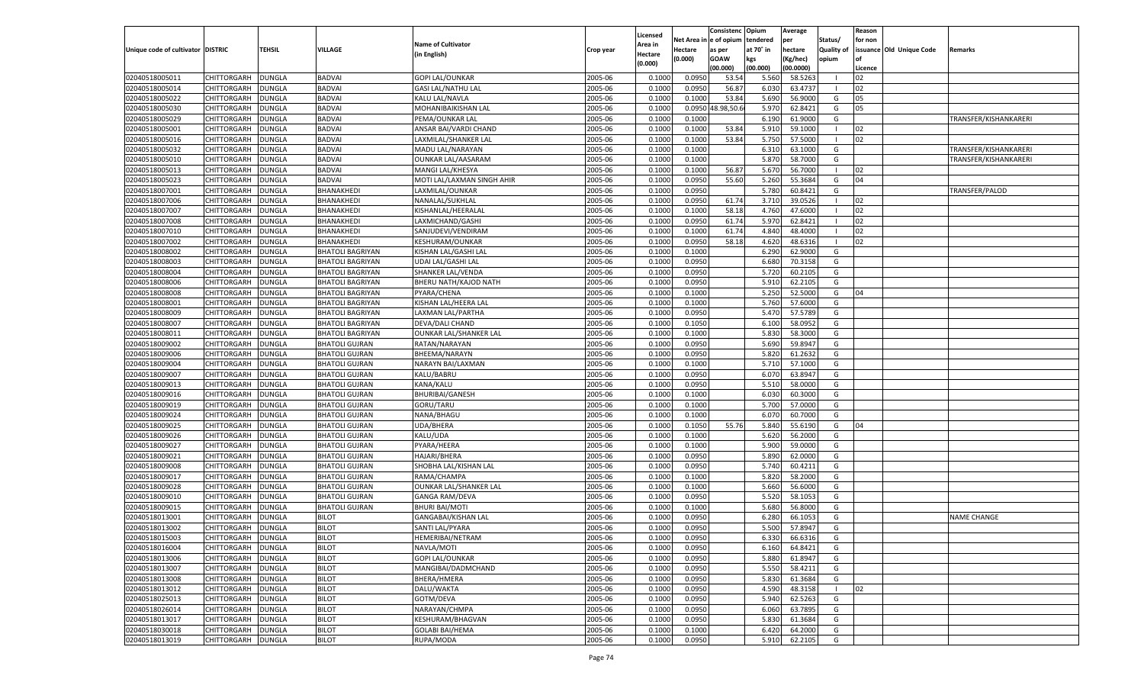|                                   |                    |                         |                         |                            |           |                     |                  | Consistenc        | Opium     | Average   |                   | Reason  |                          |                       |
|-----------------------------------|--------------------|-------------------------|-------------------------|----------------------------|-----------|---------------------|------------------|-------------------|-----------|-----------|-------------------|---------|--------------------------|-----------------------|
|                                   |                    |                         |                         | <b>Name of Cultivator</b>  |           | Licensed<br>Area in | Net Area i       | n e of opium      | tendered  | per       | Status/           | for non |                          |                       |
| Unique code of cultivator DISTRIC |                    | TEHSIL                  | <b>VILLAGE</b>          | (in English)               | Crop year | Hectare             | Hectare          | as per            | at 70° in | hectare   | <b>Quality of</b> |         | issuance Old Unique Code | Remarks               |
|                                   |                    |                         |                         |                            |           | (0.000)             | (0.000)          | <b>GOAW</b>       | kgs       | (Kg/hec)  | opium             |         |                          |                       |
|                                   |                    |                         |                         |                            |           |                     |                  | (00.000)          | (00.000)  | (00.0000) |                   | Licence |                          |                       |
| 02040518005011                    | CHITTORGARH        | <b>DUNGLA</b>           | <b>BADVAI</b>           | <b>GOPI LAL/OUNKAR</b>     | 2005-06   | 0.100               | 0.0950           | 53.54             | 5.560     | 58.5263   |                   | 02      |                          |                       |
| 02040518005014                    | CHITTORGARH        | DUNGLA                  | <b>BADVAI</b>           | <b>GASI LAL/NATHU LAL</b>  | 2005-06   | 0.100               | 0.0950           | 56.87             | 6.030     | 63.4737   |                   | 02      |                          |                       |
| 02040518005022                    | CHITTORGARH        | DUNGLA                  | <b>BADVAI</b>           | KALU LAL/NAVLA             | 2005-06   | 0.1000              | 0.1000           | 53.84             | 5.690     | 56.9000   | G                 | 05      |                          |                       |
| 02040518005030                    | CHITTORGARH        | DUNGLA                  | <b>BADVAI</b>           | MOHANIBAIKISHAN LAL        | 2005-06   | 0.1000              |                  | 0.0950 48.98,50.6 | 5.970     | 62.8421   | G                 | 05      |                          |                       |
| 02040518005029                    | CHITTORGARH        | DUNGLA                  | <b>BADVAI</b>           | PEMA/OUNKAR LAL            | 2005-06   | 0.1000              | 0.1000           |                   | 6.190     | 61.9000   | G                 |         |                          | TRANSFER/KISHANKARERI |
| 02040518005001                    | CHITTORGARH        | DUNGLA                  | <b>BADVAI</b>           | ANSAR BAI/VARDI CHAND      | 2005-06   | 0.1000              | 0.1000           | 53.84             | 5.910     | 59.1000   | - 1               | 02      |                          |                       |
| 02040518005016                    | CHITTORGARH        | DUNGLA                  | <b>BADVAI</b>           | LAXMILAL/SHANKER LAL       | 2005-06   | 0.1000              | 0.1000           | 53.84             | 5.750     | 57.5000   |                   | 02      |                          |                       |
| 02040518005032                    | CHITTORGARH        | DUNGLA                  | <b>BADVAI</b>           | MADU LAL/NARAYAN           | 2005-06   | 0.1000              | 0.1000           |                   | 6.31      | 63.1000   | G                 |         |                          | TRANSFER/KISHANKARERI |
| 02040518005010                    | CHITTORGARH        | DUNGLA                  | <b>BADVAI</b>           | <b>OUNKAR LAL/AASARAM</b>  | 2005-06   | 0.1000              | 0.1000           |                   | 5.870     | 58.7000   | G                 |         |                          | TRANSFER/KISHANKARERI |
| 02040518005013                    | CHITTORGARH        | DUNGLA                  | <b>BADVAI</b>           | MANGI LAL/KHESYA           | 2005-06   | 0.1000              | 0.1000           | 56.87             | 5.670     | 56.7000   | - 1               | 02      |                          |                       |
| 02040518005023                    | CHITTORGARH        | DUNGLA                  | <b>BADVAI</b>           | MOTI LAL/LAXMAN SINGH AHIR | 2005-06   | 0.1000              | 0.0950           | 55.60             | 5.260     | 55.3684   | G                 | 04      |                          |                       |
| 02040518007001                    | CHITTORGARH        | DUNGLA                  | BHANAKHEDI              | LAXMILAL/OUNKAR            | 2005-06   | 0.1000              | 0.0950           |                   | 5.780     | 60.8421   | G                 |         |                          | TRANSFER/PALOD        |
| 02040518007006                    | CHITTORGARH        | <b>DUNGLA</b>           | BHANAKHEDI              | NANALAL/SUKHLAL            | 2005-06   | 0.1000              | 0.0950           | 61.74             | 3.710     | 39.0526   | - 1               | 02      |                          |                       |
| 02040518007007                    | CHITTORGARH        | DUNGLA                  | BHANAKHEDI              | KISHANLAL/HEERALAL         | 2005-06   | 0.1000              | 0.1000           | 58.18             | 4.760     | 47.6000   | - 1               | 02      |                          |                       |
| 02040518007008                    | CHITTORGARH        | DUNGLA                  | BHANAKHEDI              | LAXMICHAND/GASHI           | 2005-06   | 0.1000              | 0.0950           | 61.74             | 5.970     | 62.8421   |                   | 02      |                          |                       |
| 02040518007010                    | CHITTORGARH        | DUNGLA                  | BHANAKHEDI              | SANJUDEVI/VENDIRAM         | 2005-06   | 0.1000              | 0.1000           | 61.74             | 4.840     | 48.4000   |                   | 02      |                          |                       |
| 02040518007002                    | CHITTORGARH        | <b>DUNGLA</b>           | BHANAKHEDI              | <b>KESHURAM/OUNKAR</b>     | 2005-06   | 0.1000              | 0.0950           | 58.18             | 4.620     | 48.6316   | $\blacksquare$    | 02      |                          |                       |
| 02040518008002                    | CHITTORGARH        | DUNGLA                  | <b>BHATOLI BAGRIYAN</b> | KISHAN LAL/GASHI LAL       | 2005-06   | 0.1000              | 0.1000           |                   | 6.290     | 62.9000   | G                 |         |                          |                       |
| 02040518008003                    | CHITTORGARH        | DUNGLA                  | <b>BHATOLI BAGRIYAN</b> | UDAI LAL/GASHI LAL         | 2005-06   | 0.1000              | 0.0950           |                   | 6.680     | 70.3158   | G                 |         |                          |                       |
| 02040518008004                    | CHITTORGARH        | DUNGLA                  | <b>BHATOLI BAGRIYAN</b> | SHANKER LAL/VENDA          | 2005-06   | 0.1000              | 0.0950           |                   | 5.720     | 60.2105   | G                 |         |                          |                       |
| 02040518008006                    | CHITTORGARH        | <b>DUNGLA</b>           | <b>BHATOLI BAGRIYAN</b> | BHERU NATH/KAJOD NATH      | 2005-06   | 0.1000              | 0.0950           |                   | 5.910     | 62.2105   | G                 |         |                          |                       |
| 02040518008008                    | CHITTORGARH        | DUNGLA                  | <b>BHATOLI BAGRIYAN</b> | PYARA/CHENA                | 2005-06   | 0.1000              | 0.1000           |                   | 5.250     | 52.5000   | G                 | 04      |                          |                       |
| 02040518008001                    | CHITTORGARH        | DUNGLA                  | <b>BHATOLI BAGRIYAN</b> | KISHAN LAL/HEERA LAL       | 2005-06   | 0.1000              | 0.1000           |                   | 5.760     | 57.6000   | G                 |         |                          |                       |
| 02040518008009                    | CHITTORGARH        | DUNGLA                  | <b>BHATOLI BAGRIYAN</b> | LAXMAN LAL/PARTHA          | 2005-06   | 0.1000              | 0.0950           |                   | 5.470     | 57.5789   | G                 |         |                          |                       |
| 02040518008007                    | CHITTORGARH        | DUNGLA                  | <b>BHATOLI BAGRIYAN</b> | DEVA/DALI CHAND            | 2005-06   | 0.1000              | 0.1050           |                   | 6.100     | 58.0952   | G                 |         |                          |                       |
| 02040518008011                    | CHITTORGARH        | DUNGLA                  | <b>BHATOLI BAGRIYAN</b> | OUNKAR LAL/SHANKER LAL     | 2005-06   | 0.1000              | 0.1000           |                   | 5.830     | 58.3000   | G                 |         |                          |                       |
| 02040518009002                    | CHITTORGARH        | DUNGLA                  | <b>BHATOLI GUJRAN</b>   | RATAN/NARAYAN              | 2005-06   | 0.1000              | 0.0950           |                   | 5.690     | 59.8947   | G                 |         |                          |                       |
| 02040518009006                    | CHITTORGARH        | DUNGLA                  | <b>BHATOLI GUJRAN</b>   | BHEEMA/NARAYN              | 2005-06   | 0.1000              | 0.0950           |                   | 5.820     | 61.2632   | G                 |         |                          |                       |
| 02040518009004                    | CHITTORGARH        | DUNGLA                  | <b>BHATOLI GUJRAN</b>   | NARAYN BAI/LAXMAN          | 2005-06   | 0.1000              | 0.1000           |                   | 5.710     | 57.1000   | G                 |         |                          |                       |
| 02040518009007                    | CHITTORGARH        | DUNGLA                  | <b>BHATOLI GUJRAN</b>   | KALU/BABRU                 | 2005-06   | 0.1000              | 0.0950           |                   | 6.070     | 63.8947   | G                 |         |                          |                       |
| 02040518009013                    | CHITTORGARH        | DUNGLA                  | <b>BHATOLI GUJRAN</b>   | KANA/KALU                  | 2005-06   | 0.1000              | 0.0950           |                   | 5.510     | 58.0000   | G                 |         |                          |                       |
| 02040518009016                    | CHITTORGARH        | DUNGLA                  | <b>BHATOLI GUJRAN</b>   | <b>BHURIBAI/GANESH</b>     | 2005-06   | 0.1000              | 0.1000           |                   | 6.030     | 60.3000   | G                 |         |                          |                       |
| 02040518009019                    | CHITTORGARH        | <b>DUNGLA</b>           | <b>BHATOLI GUJRAN</b>   | GORU/TARU                  | 2005-06   | 0.1000              | 0.1000           |                   | 5.700     | 57.0000   | G                 |         |                          |                       |
| 02040518009024                    | CHITTORGARH        | DUNGLA                  | <b>BHATOLI GUJRAN</b>   | NANA/BHAGU                 | 2005-06   | 0.1000              | 0.1000           |                   | 6.070     | 60.7000   | G                 |         |                          |                       |
| 02040518009025                    | CHITTORGARH        | DUNGLA                  |                         | <b>UDA/BHERA</b>           | 2005-06   | 0.1000              | 0.1050           | 55.76             | 5.840     | 55.6190   | G                 | 04      |                          |                       |
|                                   |                    |                         | <b>BHATOLI GUJRAN</b>   |                            | 2005-06   |                     |                  |                   |           | 56.2000   |                   |         |                          |                       |
| 02040518009026                    | CHITTORGARH        | DUNGLA<br><b>DUNGLA</b> | <b>BHATOLI GUJRAN</b>   | KALU/UDA                   | 2005-06   | 0.1000<br>0.1000    | 0.1000<br>0.1000 |                   | 5.620     | 59.0000   | G                 |         |                          |                       |
| 02040518009027                    | CHITTORGARH        |                         | <b>BHATOLI GUJRAN</b>   | PYARA/HEERA                |           |                     |                  |                   | 5.900     |           | G                 |         |                          |                       |
| 02040518009021                    | CHITTORGARH        | DUNGLA                  | <b>BHATOLI GUJRAN</b>   | <b>HAJARI/BHERA</b>        | 2005-06   | 0.1000              | 0.0950           |                   | 5.890     | 62.0000   | G                 |         |                          |                       |
| 02040518009008                    | CHITTORGARH        | <b>DUNGLA</b>           | <b>BHATOLI GUJRAN</b>   | SHOBHA LAL/KISHAN LAL      | 2005-06   | 0.1000              | 0.0950           |                   | 5.740     | 60.4211   | G                 |         |                          |                       |
| 02040518009017                    | CHITTORGARH        | DUNGLA                  | <b>BHATOLI GUJRAN</b>   | RAMA/CHAMPA                | 2005-06   | 0.1000              | 0.1000           |                   | 5.820     | 58.2000   | G                 |         |                          |                       |
| 02040518009028                    | CHITTORGARH        | <b>DUNGLA</b>           | <b>BHATOLI GUJRAN</b>   | OUNKAR LAL/SHANKER LAL     | 2005-06   | 0.1000              | 0.1000           |                   | 5.660     | 56.6000   | G                 |         |                          |                       |
| 02040518009010                    | CHITTORGARH        | DUNGLA                  | <b>BHATOLI GUJRAN</b>   | <b>GANGA RAM/DEVA</b>      | 2005-06   | 0.1000              | 0.0950           |                   | 5.520     | 58.105    | G                 |         |                          |                       |
| 02040518009015                    | CHITTORGARH        | DUNGLA                  | <b>BHATOLI GUJRAN</b>   | <b>BHURI BAI/MOTI</b>      | 2005-06   | 0.1000              | 0.1000           |                   | 5.680     | 56.8000   | G                 |         |                          |                       |
| 02040518013001                    | CHITTORGARH        | DUNGLA                  | <b>BILOT</b>            | GANGABAI/KISHAN LAL        | 2005-06   | 0.1000              | 0.0950           |                   | 6.280     | 66.105    | G                 |         |                          | <b>NAME CHANGE</b>    |
| 02040518013002                    | CHITTORGARH        | <b>DUNGLA</b>           | <b>BILOT</b>            | SANTI LAL/PYARA            | 2005-06   | 0.1000              | 0.0950           |                   | 5.500     | 57.8947   | G                 |         |                          |                       |
| 02040518015003                    | CHITTORGARH        | <b>DUNGLA</b>           | <b>BILOT</b>            | HEMERIBAI/NETRAM           | 2005-06   | 0.1000              | 0.0950           |                   | 6.330     | 66.6316   | G                 |         |                          |                       |
| 02040518016004                    | <b>CHITTORGARH</b> | <b>DUNGLA</b>           | <b>BILOT</b>            | NAVLA/MOTI                 | 2005-06   | 0.1000              | 0.0950           |                   | 6.160     | 64.8421   | G                 |         |                          |                       |
| 02040518013006                    | <b>CHITTORGARH</b> | <b>DUNGLA</b>           | <b>BILOT</b>            | <b>GOPI LAL/OUNKAR</b>     | 2005-06   | 0.1000              | 0.0950           |                   | 5.880     | 61.8947   | G                 |         |                          |                       |
| 02040518013007                    | CHITTORGARH        | <b>DUNGLA</b>           | <b>BILOT</b>            | MANGIBAI/DADMCHAND         | 2005-06   | 0.1000              | 0.0950           |                   | 5.550     | 58.4211   | G                 |         |                          |                       |
| 02040518013008                    | <b>CHITTORGARH</b> | <b>DUNGLA</b>           | <b>BILOT</b>            | BHERA/HMERA                | 2005-06   | 0.1000              | 0.0950           |                   | 5.830     | 61.3684   | G                 |         |                          |                       |
| 02040518013012                    | CHITTORGARH        | <b>DUNGLA</b>           | <b>BILOT</b>            | DALU/WAKTA                 | 2005-06   | 0.1000              | 0.0950           |                   | 4.590     | 48.3158   | $\blacksquare$    | 02      |                          |                       |
| 02040518025013                    | CHITTORGARH        | <b>DUNGLA</b>           | <b>BILOT</b>            | GOTM/DEVA                  | 2005-06   | 0.1000              | 0.0950           |                   | 5.940     | 62.5263   | G                 |         |                          |                       |
| 02040518026014                    | CHITTORGARH        | <b>DUNGLA</b>           | <b>BILOT</b>            | NARAYAN/CHMPA              | 2005-06   | 0.1000              | 0.0950           |                   | 6.060     | 63.7895   | G                 |         |                          |                       |
| 02040518013017                    | <b>CHITTORGARH</b> | <b>DUNGLA</b>           | <b>BILOT</b>            | KESHURAM/BHAGVAN           | 2005-06   | 0.1000              | 0.0950           |                   | 5.830     | 61.3684   | G                 |         |                          |                       |
| 02040518030018                    | <b>CHITTORGARH</b> | <b>DUNGLA</b>           | <b>BILOT</b>            | <b>GOLABI BAI/HEMA</b>     | 2005-06   | 0.1000              | 0.1000           |                   | 6.420     | 64.2000   | G                 |         |                          |                       |
| 02040518013019                    | <b>CHITTORGARH</b> | <b>DUNGLA</b>           | <b>BILOT</b>            | RUPA/MODA                  | 2005-06   | 0.1000              | 0.0950           |                   | 5.910     | 62.2105   | G                 |         |                          |                       |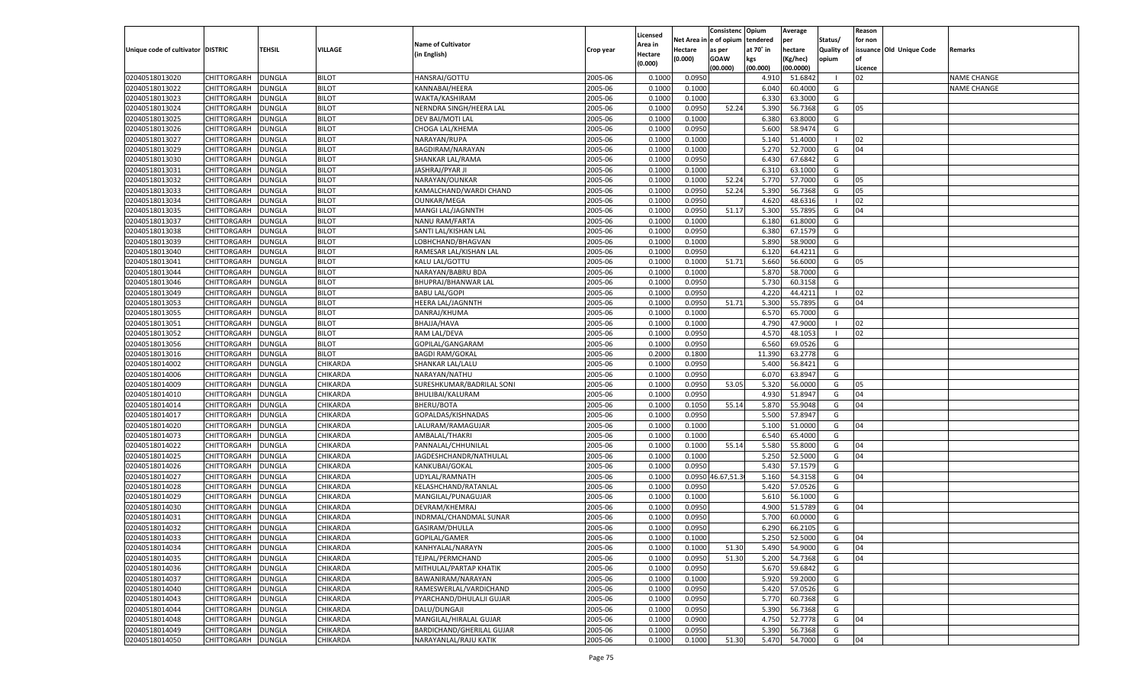|                                   |                                          |                                |                             |                                      |                    | Licensed         |                  | Consistenc              | Opium           | Average              |                   | Reason   |                          |                    |
|-----------------------------------|------------------------------------------|--------------------------------|-----------------------------|--------------------------------------|--------------------|------------------|------------------|-------------------------|-----------------|----------------------|-------------------|----------|--------------------------|--------------------|
|                                   |                                          |                                |                             | <b>Name of Cultivator</b>            |                    | Area in          |                  | Net Area in e of opium  | tendered        | per                  | Status/           | for non  |                          |                    |
| Unique code of cultivator DISTRIC |                                          | <b>TEHSIL</b>                  | VILLAGE                     | (in English)                         | Crop year          | Hectare          | Hectare          | as per                  | at 70° in       | hectare              | <b>Quality of</b> |          | issuance Old Unique Code | Remarks            |
|                                   |                                          |                                |                             |                                      |                    | (0.000)          | (0.000)          | <b>GOAW</b><br>(00.000) | kgs<br>(00.000) | Kg/hec)<br>(00.0000) | opium             | Licence  |                          |                    |
| 02040518013020                    | CHITTORGARH                              | <b>DUNGLA</b>                  | <b>BILOT</b>                | HANSRAJ/GOTTU                        | 2005-06            | 0.1000           | 0.0950           |                         | 4.910           | 51.684               |                   | 02       |                          | <b>NAME CHANGE</b> |
| 02040518013022                    | <b>CHITTORGARH</b>                       | <b>DUNGLA</b>                  | <b>BILOT</b>                | KANNABAI/HEERA                       | 2005-06            | 0.1000           | 0.1000           |                         | 6.040           | 60.4000              | G                 |          |                          | <b>NAME CHANGE</b> |
| 02040518013023                    | <b>CHITTORGARH</b>                       | <b>DUNGLA</b>                  | <b>BILOT</b>                | WAKTA/KASHIRAM                       | 2005-06            | 0.1000           | 0.1000           |                         | 6.330           | 63.3000              | G                 |          |                          |                    |
| 02040518013024                    | CHITTORGARH                              | <b>DUNGLA</b>                  | <b>BILOT</b>                | NERNDRA SINGH/HEERA LAL              | 2005-06            | 0.1000           | 0.0950           | 52.24                   | 5.390           | 56.7368              | G                 | 05       |                          |                    |
| 02040518013025                    | <b>CHITTORGARH</b>                       | <b>DUNGLA</b>                  | <b>BILOT</b>                | DEV BAI/MOTI LAL                     | 2005-06            | 0.1000           | 0.1000           |                         | 6.380           | 63.8000              | G                 |          |                          |                    |
| 02040518013026                    | CHITTORGARH                              | <b>DUNGLA</b>                  | <b>BILOT</b>                | CHOGA LAL/KHEMA                      | 2005-06            | 0.1000           | 0.0950           |                         | 5.600           | 58.9474              | G                 |          |                          |                    |
| 02040518013027                    | <b>CHITTORGARH</b>                       | <b>DUNGLA</b>                  | <b>BILOT</b>                | NARAYAN/RUPA                         | 2005-06            | 0.1000           | 0.1000           |                         | 5.140           | 51.4000              |                   | 02       |                          |                    |
| 02040518013029                    | CHITTORGARH                              | <b>DUNGLA</b>                  | <b>BILOT</b>                | BAGDIRAM/NARAYAN                     | 2005-06            | 0.1000           | 0.1000           |                         | 5.270           | 52.7000              | G                 | 04       |                          |                    |
| 02040518013030                    | <b>CHITTORGARH</b>                       | <b>DUNGLA</b>                  | <b>BILOT</b>                | SHANKAR LAL/RAMA                     | 2005-06            | 0.1000           | 0.0950           |                         | 6.430           | 67.6842              | G                 |          |                          |                    |
| 02040518013031                    | CHITTORGARH                              | <b>DUNGLA</b>                  | <b>BILOT</b>                | JASHRAJ/PYAR JI                      | 2005-06            | 0.1000           | 0.1000           |                         | 6.310           | 63.1000              | G                 |          |                          |                    |
| 02040518013032                    | <b>CHITTORGARH</b>                       | <b>DUNGLA</b>                  | <b>BILOT</b>                | NARAYAN/OUNKAR                       | 2005-06            | 0.1000           | 0.1000           | 52.24                   | 5.770           | 57.7000              | G                 | 05       |                          |                    |
| 02040518013033                    | <b>CHITTORGARH</b>                       | <b>DUNGLA</b>                  | <b>BILOT</b>                | KAMALCHAND/WARDI CHAND               | 2005-06            | 0.1000           | 0.0950           | 52.24                   | 5.390           | 56.7368              | G                 | 05       |                          |                    |
| 02040518013034                    | <b>CHITTORGARH</b>                       | <b>DUNGLA</b>                  | <b>BILOT</b>                | <b>OUNKAR/MEGA</b>                   | 2005-06            | 0.1000           | 0.0950           |                         | 4.620           | 48.6316              |                   | 02       |                          |                    |
| 02040518013035                    | CHITTORGARH                              | <b>DUNGLA</b>                  | <b>BILOT</b>                | MANGI LAL/JAGNNTH                    | 2005-06            | 0.1000           | 0.0950           | 51.17                   | 5.300           | 55.7895              | G                 | 04       |                          |                    |
| 02040518013037                    | <b>CHITTORGARH</b>                       | <b>DUNGLA</b>                  | <b>BILOT</b>                | NANU RAM/FARTA                       | 2005-06            | 0.1000           | 0.1000           |                         | 6.180           | 61.8000              | G                 |          |                          |                    |
| 02040518013038                    | CHITTORGARH                              | <b>DUNGLA</b>                  | <b>BILOT</b>                | SANTI LAL/KISHAN LAL                 | 2005-06            | 0.1000           | 0.0950           |                         | 6.380           | 67.1579              | G                 |          |                          |                    |
| 02040518013039                    | <b>CHITTORGARH</b>                       | <b>DUNGLA</b>                  | <b>BILOT</b>                | LOBHCHAND/BHAGVAN                    | 2005-06            | 0.1000           | 0.1000           |                         | 5.890           | 58.9000              | G                 |          |                          |                    |
| 02040518013040                    | CHITTORGARH                              | <b>DUNGLA</b>                  | <b>BILOT</b>                | RAMESAR LAL/KISHAN LAL               | 2005-06            | 0.1000           | 0.0950           |                         | 6.120           | 64.4211              | G                 |          |                          |                    |
| 02040518013041                    | <b>CHITTORGARH</b>                       | <b>DUNGLA</b>                  | <b>BILOT</b>                | KALU LAL/GOTTU                       | 2005-06            | 0.1000           | 0.1000           | 51.71                   | 5.660           | 56.6000              | G                 | 05       |                          |                    |
| 02040518013044                    | CHITTORGARH                              | <b>DUNGLA</b>                  | <b>BILOT</b>                | NARAYAN/BABRU BDA                    | 2005-06            | 0.1000           | 0.1000           |                         | 5.870           | 58.7000              | G                 |          |                          |                    |
| 02040518013046                    | <b>CHITTORGARH</b>                       | <b>DUNGLA</b>                  | <b>BILOT</b>                | BHUPRAJ/BHANWAR LAL                  | 2005-06            | 0.1000           | 0.0950           |                         | 5.730           | 60.3158              | G                 |          |                          |                    |
| 02040518013049                    | CHITTORGARH                              | <b>DUNGLA</b>                  | <b>BILOT</b>                | <b>BABU LAL/GOPI</b>                 | 2005-06            | 0.1000           | 0.0950           |                         | 4.220           | 44.4211              | - 1               | 02       |                          |                    |
| 02040518013053                    | <b>CHITTORGARH</b>                       | <b>DUNGLA</b>                  | <b>BILOT</b>                | HEERA LAL/JAGNNTH                    | 2005-06            | 0.1000           | 0.0950           | 51.71                   | 5.300           | 55.7895              | G                 | 04       |                          |                    |
| 02040518013055                    | CHITTORGARH                              | <b>DUNGLA</b>                  | <b>BILOT</b>                | DANRAJ/KHUMA                         | 2005-06            | 0.1000           | 0.1000           |                         | 6.570           | 65.7000              | G                 |          |                          |                    |
| 02040518013051                    | <b>CHITTORGARH</b>                       | <b>DUNGLA</b>                  | <b>BILOT</b>                | BHAJJA/HAVA                          | 2005-06            | 0.1000           | 0.1000           |                         | 4.790           | 47.9000              |                   | 02       |                          |                    |
| 02040518013052                    | CHITTORGARH                              | <b>DUNGLA</b>                  | <b>BILOT</b>                | RAM LAL/DEVA                         | 2005-06            | 0.1000           | 0.0950           |                         | 4.570           | 48.1053              |                   | 02       |                          |                    |
| 02040518013056                    | <b>CHITTORGARH</b>                       | <b>DUNGLA</b>                  | <b>BILOT</b>                | GOPILAL/GANGARAM                     | 2005-06            | 0.1000           | 0.0950           |                         | 6.560           | 69.0526              | G                 |          |                          |                    |
| 02040518013016                    | CHITTORGARH                              | <b>DUNGLA</b>                  | <b>BILOT</b>                | <b>BAGDI RAM/GOKAL</b>               | 2005-06            | 0.2000           | 0.1800           |                         | 11.390          | 63.2778              | G                 |          |                          |                    |
| 02040518014002                    | CHITTORGARH                              | <b>DUNGLA</b>                  | CHIKARDA                    | SHANKAR LAL/LALU                     | 2005-06            | 0.1000           | 0.0950           |                         | 5.400           | 56.8421              | G                 |          |                          |                    |
| 02040518014006                    | CHITTORGARH                              | <b>DUNGLA</b>                  | CHIKARDA                    | NARAYAN/NATHU                        | 2005-06            | 0.1000           | 0.0950           |                         | 6.070           | 63.8947              | G                 |          |                          |                    |
| 02040518014009                    | <b>CHITTORGARH</b>                       | <b>DUNGLA</b>                  | CHIKARDA                    | SURESHKUMAR/BADRILAL SONI            | 2005-06            | 0.1000           | 0.0950           | 53.05                   | 5.320           | 56.0000              | G                 | 05       |                          |                    |
| 02040518014010                    | CHITTORGARH                              | <b>DUNGLA</b>                  | CHIKARDA                    | <b>BHULIBAI/KALURAM</b>              | 2005-06            | 0.1000           | 0.0950           |                         | 4.930           | 51.8947              | G                 | 04       |                          |                    |
| 02040518014014                    | <b>CHITTORGARH</b>                       | <b>DUNGLA</b>                  | CHIKARDA                    | BHERU/BOTA                           | 2005-06            | 0.1000           | 0.1050           | 55.14                   | 5.870           | 55.9048              | G                 | 04       |                          |                    |
| 02040518014017                    | CHITTORGARH                              | <b>DUNGLA</b>                  | CHIKARDA                    | GOPALDAS/KISHNADAS                   | 2005-06            | 0.1000           | 0.0950           |                         | 5.500           | 57.8947              | G                 |          |                          |                    |
| 02040518014020                    | <b>CHITTORGARH</b>                       | <b>DUNGLA</b>                  | CHIKARDA                    | LALURAM/RAMAGUJAR                    | 2005-06            | 0.1000           | 0.1000           |                         | 5.100           | 51.0000              | G                 | 04       |                          |                    |
| 02040518014073                    | CHITTORGARH                              | <b>DUNGLA</b>                  | CHIKARDA                    | AMBALAL/THAKRI                       | 2005-06            | 0.1000           | 0.1000           |                         | 6.540           | 65.4000              | G                 |          |                          |                    |
| 02040518014022                    | <b>CHITTORGARH</b>                       | <b>DUNGLA</b>                  | CHIKARDA                    | PANNALAL/CHHUNILAL                   | 2005-06            | 0.1000           | 0.1000           | 55.14                   | 5.580           | 55.8000              | G                 | 04       |                          |                    |
| 02040518014025                    | CHITTORGARH                              | <b>DUNGLA</b>                  | CHIKARDA                    | JAGDESHCHANDR/NATHULAI               | 2005-06            | 0.1000           | 0.1000           |                         | 5.250           | 52.5000              | G                 | 04       |                          |                    |
| 02040518014026                    | <b>CHITTORGARH</b>                       | <b>DUNGLA</b>                  | CHIKARDA                    | KANKUBAI/GOKAL                       | 2005-06            | 0.1000           | 0.0950           |                         | 5.430           | 57.1579              | G                 |          |                          |                    |
| 02040518014027                    | CHITTORGARH                              | <b>DUNGLA</b>                  | CHIKARDA                    | UDYLAL/RAMNATH                       | 2005-06            | 0.1000           |                  | 0.0950 46.67,51.3       | 5.160           | 54.3158              | G                 | 04       |                          |                    |
| 02040518014028                    | <b>CHITTORGARH</b>                       | <b>DUNGLA</b>                  | CHIKARDA                    | KELASHCHAND/RATANLAL                 | 2005-06            | 0.1000           | 0.0950           |                         | 5.420           | 57.0526              | G                 |          |                          |                    |
| 02040518014029                    | CHITTORGARH                              | <b>DUNGLA</b>                  | CHIKARDA                    | MANGILAL/PUNAGUJAR                   | 2005-06            | 0.1000           | 0.1000           |                         | 5.610           | 56.1000              | G                 |          |                          |                    |
| 02040518014030                    | <b>CHITTORGARH</b>                       | <b>DUNGLA</b>                  | CHIKARDA                    | DEVRAM/KHEMRAJ                       | 2005-06            | 0.1000           | 0.0950           |                         | 4.900           | 51.5789              | G                 | 04       |                          |                    |
| 02040518014031                    | CHITTORGARH                              | <b>DUNGLA</b>                  | CHIKARDA                    | INDRMAL/CHANDMAL SUNAR               | 2005-06            | 0.1000           | 0.0950           |                         | 5.700           | 60.0000              | G                 |          |                          |                    |
| 02040518014032                    | <b>CHITTORGARH</b>                       | <b>DUNGLA</b>                  | CHIKARDA<br><b>CHIKARDA</b> | GASIRAM/DHULLA                       | 2005-06            | 0.1000           | 0.0950           |                         | 6.290           | 66.2105              | G                 |          |                          |                    |
| 02040518014033                    | CHITTORGARH DUNGLA                       |                                |                             | GOPILAL/GAMER                        | 2005-06            | 0.1000           | 0.1000           |                         | 5.250           | 52.5000              | G                 | 04       |                          |                    |
| 02040518014034<br>02040518014035  | CHITTORGARH                              | <b>DUNGLA</b>                  | CHIKARDA<br>CHIKARDA        | KANHYALAL/NARAYN<br>TEJPAL/PERMCHAND | 2005-06<br>2005-06 | 0.1000<br>0.1000 | 0.1000<br>0.0950 | 51.30<br>51.30          | 5.490<br>5.200  | 54.9000<br>54.7368   | G                 | 04<br>04 |                          |                    |
| 02040518014036                    | <b>CHITTORGARH</b>                       | <b>DUNGLA</b><br><b>DUNGLA</b> | CHIKARDA                    | MITHULAL/PARTAP KHATIK               | 2005-06            | 0.1000           | 0.0950           |                         | 5.670           | 59.6842              | G<br>G            |          |                          |                    |
| 02040518014037                    | <b>CHITTORGARH</b><br><b>CHITTORGARH</b> | <b>DUNGLA</b>                  | CHIKARDA                    | BAWANIRAM/NARAYAN                    | 2005-06            | 0.1000           | 0.1000           |                         | 5.920           | 59.2000              | G                 |          |                          |                    |
| 02040518014040                    |                                          | <b>DUNGLA</b>                  | CHIKARDA                    | RAMESWERLAL/VARDICHAND               | 2005-06            | 0.1000           | 0.0950           |                         | 5.420           | 57.0526              | G                 |          |                          |                    |
| 02040518014043                    | <b>CHITTORGARH</b><br><b>CHITTORGARH</b> | <b>DUNGLA</b>                  | CHIKARDA                    | PYARCHAND/DHULALJI GUJAR             | 2005-06            | 0.1000           | 0.0950           |                         | 5.770           | 60.7368              | G                 |          |                          |                    |
| 02040518014044                    | <b>CHITTORGARH</b>                       | <b>DUNGLA</b>                  | CHIKARDA                    | DALU/DUNGAJI                         | 2005-06            | 0.1000           | 0.0950           |                         | 5.390           | 56.7368              | G                 |          |                          |                    |
| 02040518014048                    | <b>CHITTORGARH</b>                       | <b>DUNGLA</b>                  | CHIKARDA                    | MANGILAL/HIRALAL GUJAR               | 2005-06            | 0.1000           | 0.0900           |                         | 4.750           | 52.7778              | G                 | 04       |                          |                    |
| 02040518014049                    | <b>CHITTORGARH</b>                       | <b>DUNGLA</b>                  | CHIKARDA                    | BARDICHAND/GHERILAL GUJAR            | 2005-06            | 0.1000           | 0.0950           |                         | 5.390           | 56.7368              | G                 |          |                          |                    |
| 02040518014050                    | <b>CHITTORGARH</b>                       | <b>DUNGLA</b>                  | CHIKARDA                    | NARAYANLAL/RAJU KATIK                | 2005-06            | 0.1000           | 0.1000           | 51.30                   | 5.470           | 54.7000              | G                 | 04       |                          |                    |
|                                   |                                          |                                |                             |                                      |                    |                  |                  |                         |                 |                      |                   |          |                          |                    |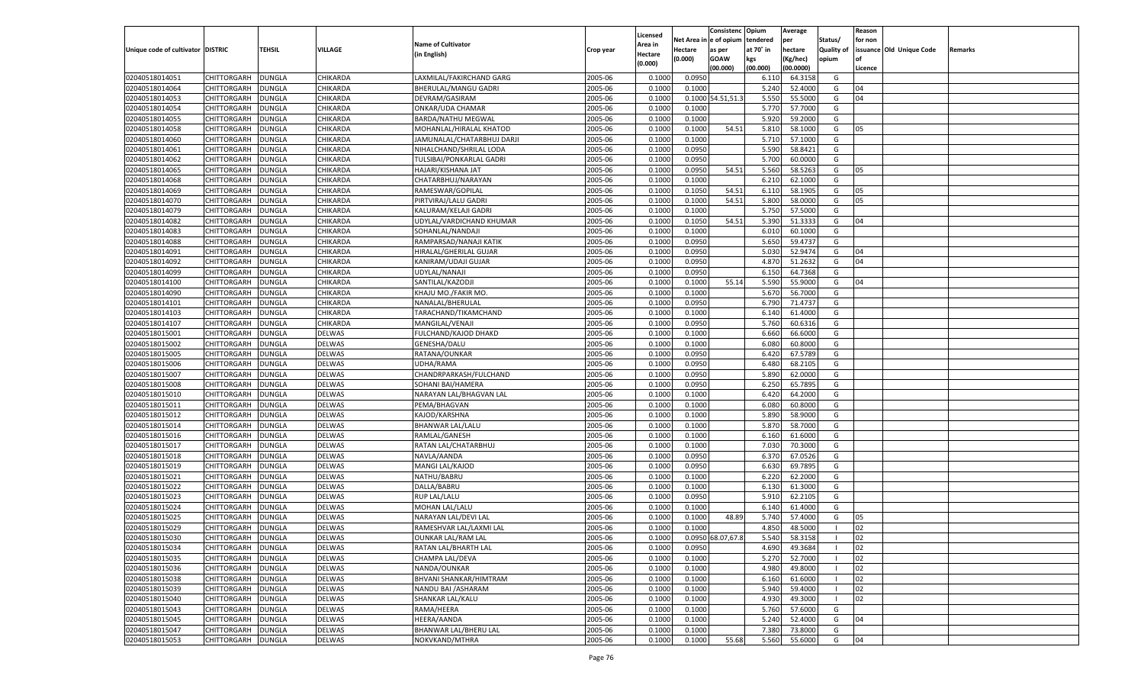|                                   |                    |               |                      |                            |                    | Licensed         |         | Consistenc Opium        |                 | Average              |                   | Reason  |                          |         |
|-----------------------------------|--------------------|---------------|----------------------|----------------------------|--------------------|------------------|---------|-------------------------|-----------------|----------------------|-------------------|---------|--------------------------|---------|
|                                   |                    |               |                      | <b>Name of Cultivator</b>  |                    | Area in          |         | Net Area in e of opium  | tendered        | per                  | Status/           | for non |                          |         |
| Unique code of cultivator DISTRIC |                    | <b>TEHSIL</b> | VILLAGE              | (in English)               | Crop year          | Hectare          | Hectare | as per                  | at 70° in       | hectare              | <b>Quality of</b> |         | issuance Old Unique Code | Remarks |
|                                   |                    |               |                      |                            |                    | (0.000)          | (0.000) | <b>GOAW</b><br>(00.000) | kgs<br>(00.000) | Kg/hec)<br>(00.0000) | opium             | Licence |                          |         |
| 02040518014051                    | CHITTORGARH        | <b>DUNGLA</b> | CHIKARDA             | LAXMILAL/FAKIRCHAND GARG   | 2005-06            | 0.1000           | 0.0950  |                         | 6.110           | 64.3158              | G                 |         |                          |         |
| 02040518014064                    | <b>CHITTORGARH</b> | <b>DUNGLA</b> | CHIKARDA             | BHERULAL/MANGU GADRI       | 2005-06            | 0.1000           | 0.1000  |                         | 5.240           | 52.4000              | G                 | 04      |                          |         |
| 02040518014053                    | <b>CHITTORGARH</b> | <b>DUNGLA</b> | CHIKARDA             | DEVRAM/GASIRAM             | 2005-06            | 0.1000           |         | 0.1000 54.51,51.3       | 5.550           | 55.5000              | G                 | 04      |                          |         |
| 02040518014054                    | <b>CHITTORGARH</b> | <b>DUNGLA</b> | CHIKARDA             | ONKAR/UDA CHAMAR           | 2005-06            | 0.1000           | 0.1000  |                         | 5.770           | 57.7000              | G                 |         |                          |         |
| 02040518014055                    | <b>CHITTORGARH</b> | <b>DUNGLA</b> | CHIKARDA             | <b>BARDA/NATHU MEGWAL</b>  | 2005-06            | 0.1000           | 0.1000  |                         | 5.920           | 59.2000              | G                 |         |                          |         |
| 02040518014058                    | CHITTORGARH        | <b>DUNGLA</b> | CHIKARDA             | MOHANLAL/HIRALAL KHATOD    | 2005-06            | 0.1000           | 0.1000  | 54.51                   | 5.810           | 58.1000              | G                 | 05      |                          |         |
| 02040518014060                    | <b>CHITTORGARH</b> | <b>DUNGLA</b> | CHIKARDA             | JAMUNALAL/CHATARBHUJ DARJI | 2005-06            | 0.1000           | 0.1000  |                         | 5.710           | 57.1000              | G                 |         |                          |         |
| 02040518014061                    | <b>CHITTORGARH</b> | <b>DUNGLA</b> | CHIKARDA             | NIHALCHAND/SHRILAL LODA    | 2005-06            | 0.1000           | 0.0950  |                         | 5.590           | 58.8421              | G                 |         |                          |         |
| 02040518014062                    | <b>CHITTORGARH</b> | <b>DUNGLA</b> | CHIKARDA             | TULSIBAI/PONKARLAL GADRI   | 2005-06            | 0.1000           | 0.0950  |                         | 5.700           | 60.0000              | G                 |         |                          |         |
| 02040518014065                    | CHITTORGARH        | <b>DUNGLA</b> | CHIKARDA             | HAJARI/KISHANA JAT         | 2005-06            | 0.1000           | 0.0950  | 54.51                   | 5.560           | 58.5263              | G                 | 05      |                          |         |
| 02040518014068                    | <b>CHITTORGARH</b> | <b>DUNGLA</b> | CHIKARDA             | CHATARBHUJ/NARAYAN         | 2005-06            | 0.1000           | 0.1000  |                         | 6.210           | 62.1000              | G                 |         |                          |         |
| 02040518014069                    | <b>CHITTORGARH</b> | <b>DUNGLA</b> | CHIKARDA             | RAMESWAR/GOPILAL           | 2005-06            | 0.1000           | 0.1050  | 54.51                   | 6.110           | 58.1905              | G                 | 05      |                          |         |
| 02040518014070                    | <b>CHITTORGARH</b> | <b>DUNGLA</b> | CHIKARDA             | PIRTVIRAJ/LALU GADRI       | 2005-06            | 0.1000           | 0.1000  | 54.51                   | 5.800           | 58.0000              | G                 | 05      |                          |         |
| 02040518014079                    | CHITTORGARH        | <b>DUNGLA</b> | CHIKARDA             | KALURAM/KELAJI GADRI       | 2005-06            | 0.1000           | 0.1000  |                         | 5.750           | 57.5000              | G                 |         |                          |         |
| 02040518014082                    | <b>CHITTORGARH</b> | <b>DUNGLA</b> | CHIKARDA             | UDYLAL/VARDICHAND KHUMAR   | 2005-06            | 0.1000           | 0.1050  | 54.51                   | 5.390           | 51.3333              | G                 | 04      |                          |         |
| 02040518014083                    | CHITTORGARH        | <b>DUNGLA</b> | CHIKARDA             | SOHANLAL/NANDAJI           | 2005-06            | 0.1000           | 0.1000  |                         | 6.010           | 60.1000              | G                 |         |                          |         |
| 02040518014088                    | CHITTORGARH        | <b>DUNGLA</b> | CHIKARDA             | RAMPARSAD/NANAJI KATIK     | 2005-06            | 0.1000           | 0.0950  |                         | 5.650           | 59.4737              | G                 |         |                          |         |
| 02040518014091                    | CHITTORGARH        | <b>DUNGLA</b> | CHIKARDA             | HIRALAL/GHERILAL GUJAR     | 2005-06            | 0.1000           | 0.0950  |                         | 5.030           | 52.9474              | G                 | 04      |                          |         |
| 02040518014092                    |                    | <b>DUNGLA</b> | CHIKARDA             |                            | 2005-06            | 0.1000           | 0.0950  |                         | 4.870           | 51.2632              | G                 | 04      |                          |         |
| 02040518014099                    | <b>CHITTORGARH</b> |               |                      | KANIRAM/UDAJI GUJAR        |                    |                  |         |                         |                 | 64.7368              |                   |         |                          |         |
|                                   | CHITTORGARH        | <b>DUNGLA</b> | CHIKARDA<br>CHIKARDA | UDYLAL/NANAJI              | 2005-06<br>2005-06 | 0.1000<br>0.1000 | 0.0950  |                         | 6.150           | 55.9000              | G<br>G            | 04      |                          |         |
| 02040518014100                    | CHITTORGARH        | <b>DUNGLA</b> |                      | SANTILAL/KAZODJI           |                    |                  | 0.1000  | 55.14                   | 5.590           |                      |                   |         |                          |         |
| 02040518014090                    | CHITTORGARH        | <b>DUNGLA</b> | CHIKARDA             | KHAJU MO./FAKIR MO.        | 2005-06            | 0.1000           | 0.1000  |                         | 5.670           | 56.7000              | G                 |         |                          |         |
| 02040518014101                    | <b>CHITTORGARH</b> | <b>DUNGLA</b> | CHIKARDA             | NANALAL/BHERULAL           | 2005-06            | 0.1000           | 0.0950  |                         | 6.790           | 71.4737              | G                 |         |                          |         |
| 02040518014103                    | CHITTORGARH        | <b>DUNGLA</b> | CHIKARDA             | TARACHAND/TIKAMCHAND       | 2005-06            | 0.1000           | 0.1000  |                         | 6.140           | 61.4000              | G                 |         |                          |         |
| 02040518014107                    | CHITTORGARH        | <b>DUNGLA</b> | CHIKARDA             | MANGILAL/VENAJI            | 2005-06            | 0.1000           | 0.0950  |                         | 5.760           | 60.6316              | G                 |         |                          |         |
| 02040518015001                    | CHITTORGARH        | <b>DUNGLA</b> | <b>DELWAS</b>        | FULCHAND/KAJOD DHAKD       | 2005-06            | 0.1000           | 0.1000  |                         | 6.660           | 66.6000              | G                 |         |                          |         |
| 02040518015002                    | <b>CHITTORGARH</b> | <b>DUNGLA</b> | DELWAS               | GENESHA/DALU               | 2005-06            | 0.1000           | 0.1000  |                         | 6.080           | 60.8000              | G                 |         |                          |         |
| 02040518015005                    | CHITTORGARH        | <b>DUNGLA</b> | DELWAS               | RATANA/OUNKAR              | 2005-06            | 0.1000           | 0.0950  |                         | 6.420           | 67.5789              | G                 |         |                          |         |
| 02040518015006                    | CHITTORGARH        | <b>DUNGLA</b> | DELWAS               | JDHA/RAMA                  | 2005-06            | 0.1000           | 0.0950  |                         | 6.480           | 68.2105              | G                 |         |                          |         |
| 02040518015007                    | CHITTORGARH        | <b>DUNGLA</b> | <b>DELWAS</b>        | CHANDRPARKASH/FULCHAND     | 2005-06            | 0.1000           | 0.0950  |                         | 5.890           | 62.0000              | G                 |         |                          |         |
| 02040518015008                    | <b>CHITTORGARH</b> | <b>DUNGLA</b> | DELWAS               | SOHANI BAI/HAMERA          | 2005-06            | 0.1000           | 0.0950  |                         | 6.250           | 65.7895              | G                 |         |                          |         |
| 02040518015010                    | CHITTORGARH        | <b>DUNGLA</b> | <b>DELWAS</b>        | NARAYAN LAL/BHAGVAN LAL    | 2005-06            | 0.1000           | 0.1000  |                         | 6.420           | 64.2000              | G                 |         |                          |         |
| 02040518015011                    | <b>CHITTORGARH</b> | <b>DUNGLA</b> | DELWAS               | PEMA/BHAGVAN               | 2005-06            | 0.1000           | 0.1000  |                         | 6.080           | 60.8000              | G                 |         |                          |         |
| 02040518015012                    | CHITTORGARH        | <b>DUNGLA</b> | <b>DELWAS</b>        | KAJOD/KARSHNA              | 2005-06            | 0.1000           | 0.1000  |                         | 5.890           | 58.9000              | G                 |         |                          |         |
| 02040518015014                    | <b>CHITTORGARH</b> | <b>DUNGLA</b> | DELWAS               | <b>BHANWAR LAL/LALU</b>    | 2005-06            | 0.1000           | 0.1000  |                         | 5.870           | 58.7000              | G                 |         |                          |         |
| 02040518015016                    | CHITTORGARH        | <b>DUNGLA</b> | <b>DELWAS</b>        | RAMLAL/GANESH              | 2005-06            | 0.1000           | 0.1000  |                         | 6.160           | 61.6000              | G                 |         |                          |         |
| 02040518015017                    | <b>CHITTORGARH</b> | <b>DUNGLA</b> | DELWAS               | RATAN LAL/CHATARBHUJ       | 2005-06            | 0.1000           | 0.1000  |                         | 7.030           | 70.3000              | G                 |         |                          |         |
| 02040518015018                    | CHITTORGARH        | <b>DUNGLA</b> | <b>DELWAS</b>        | NAVLA/AANDA                | 2005-06            | 0.1000           | 0.0950  |                         | 6.370           | 67.0526              | G                 |         |                          |         |
| 02040518015019                    | <b>CHITTORGARH</b> | <b>DUNGLA</b> | DELWAS               | MANGI LAL/KAJOD            | 2005-06            | 0.1000           | 0.0950  |                         | 6.630           | 69.7895              | G                 |         |                          |         |
| 02040518015021                    | CHITTORGARH        | <b>DUNGLA</b> | <b>DELWAS</b>        | NATHU/BABRU                | 2005-06            | 0.1000           | 0.1000  |                         | 6.220           | 62.2000              | G                 |         |                          |         |
| 02040518015022                    | <b>CHITTORGARH</b> | <b>DUNGLA</b> | DELWAS               | DALLA/BABRU                | 2005-06            | 0.1000           | 0.1000  |                         | 6.130           | 61.3000              | G                 |         |                          |         |
| 02040518015023                    | CHITTORGARH        | <b>DUNGLA</b> | <b>DELWAS</b>        | <b>RUP LAL/LALU</b>        | 2005-06            | 0.1000           | 0.0950  |                         | 5.910           | 62.2105              | G                 |         |                          |         |
| 02040518015024                    | <b>CHITTORGARH</b> | <b>DUNGLA</b> | <b>DELWAS</b>        | MOHAN LAL/LALU             | 2005-06            | 0.1000           | 0.1000  |                         | 6.140           | 61.4000              | G                 |         |                          |         |
| 02040518015025                    | CHITTORGARH        | <b>DUNGLA</b> | <b>DELWAS</b>        | NARAYAN LAL/DEVI LAL       | 2005-06            | 0.1000           | 0.1000  | 48.89                   | 5.740           | 57.4000              | G                 | 05      |                          |         |
| 02040518015029                    | <b>CHITTORGARH</b> | <b>DUNGLA</b> | DELWAS               | RAMESHVAR LAL/LAXMI LAL    | 2005-06            | 0.1000           | 0.1000  |                         | 4.850           | 48.5000              |                   | 02      |                          |         |
| 02040518015030                    | CHITTORGARH DUNGLA |               | <b>DELWAS</b>        | OUNKAR LAL/RAM LAL         | 2005-06            | 0.1000           |         | 0.0950 68.07,67.8       | 5.540           | 58.3158              |                   | 02      |                          |         |
| 02040518015034                    | CHITTORGARH        | <b>DUNGLA</b> | <b>DELWAS</b>        | RATAN LAL/BHARTH LAL       | 2005-06            | 0.1000           | 0.0950  |                         | 4.690           | 49.3684              |                   | 02      |                          |         |
| 02040518015035                    | <b>CHITTORGARH</b> | <b>DUNGLA</b> | DELWAS               | CHAMPA LAL/DEVA            | 2005-06            | 0.1000           | 0.1000  |                         | 5.270           | 52.7000              |                   | 02      |                          |         |
| 02040518015036                    | CHITTORGARH        | <b>DUNGLA</b> | <b>DELWAS</b>        | NANDA/OUNKAR               | 2005-06            | 0.1000           | 0.1000  |                         | 4.980           | 49.8000              |                   | 02      |                          |         |
| 02040518015038                    | <b>CHITTORGARH</b> | <b>DUNGLA</b> | <b>DELWAS</b>        | BHVANI SHANKAR/HIMTRAM     | 2005-06            | 0.1000           | 0.1000  |                         | 6.160           | 61.6000              |                   | 02      |                          |         |
| 02040518015039                    | <b>CHITTORGARH</b> | <b>DUNGLA</b> | <b>DELWAS</b>        | NANDU BAI / ASHARAM        | 2005-06            | 0.1000           | 0.1000  |                         | 5.940           | 59.4000              |                   | 02      |                          |         |
| 02040518015040                    | <b>CHITTORGARH</b> | <b>DUNGLA</b> | <b>DELWAS</b>        | SHANKAR LAL/KALU           | 2005-06            | 0.1000           | 0.1000  |                         | 4.930           | 49.3000              |                   | 02      |                          |         |
| 02040518015043                    | CHITTORGARH        | <b>DUNGLA</b> | <b>DELWAS</b>        | RAMA/HEERA                 | 2005-06            | 0.1000           | 0.1000  |                         | 5.760           | 57.6000              | G                 |         |                          |         |
| 02040518015045                    | <b>CHITTORGARH</b> | <b>DUNGLA</b> | <b>DELWAS</b>        | HEERA/AANDA                | 2005-06            | 0.1000           | 0.1000  |                         | 5.240           | 52.4000              | G                 | 04      |                          |         |
| 02040518015047                    | <b>CHITTORGARH</b> | <b>DUNGLA</b> | <b>DELWAS</b>        | BHANWAR LAL/BHERU LAL      | 2005-06            | 0.1000           | 0.1000  |                         | 7.380           | 73.8000              | G                 |         |                          |         |
| 02040518015053                    | <b>CHITTORGARH</b> | <b>DUNGLA</b> | <b>DELWAS</b>        | NOKVKAND/MTHRA             | 2005-06            | 0.1000           | 0.1000  | 55.68                   | 5.560           | 55.6000              | G                 | 04      |                          |         |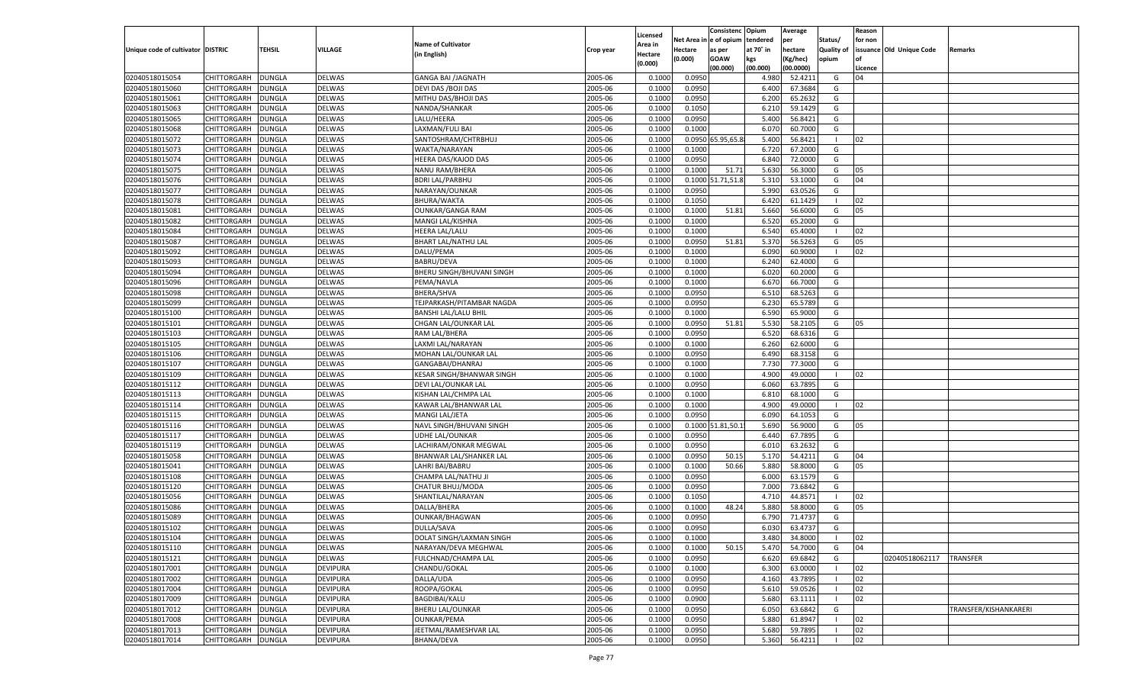|                                   |                    |               |                 |                             |           |                    |            | Consistenc        | Opium     | Average   |                | Reason  |                          |                       |
|-----------------------------------|--------------------|---------------|-----------------|-----------------------------|-----------|--------------------|------------|-------------------|-----------|-----------|----------------|---------|--------------------------|-----------------------|
|                                   |                    |               |                 |                             |           | Licensed           | Net Area i | n e of opium      | tendered  | per       | Status/        | for non |                          |                       |
| Unique code of cultivator DISTRIC |                    | TEHSIL        | VILLAGE         | <b>Name of Cultivator</b>   | Crop year | Area in            | Hectare    | as per            | at 70° in | hectare   | Quality of     |         | issuance Old Unique Code | Remarks               |
|                                   |                    |               |                 | (in English)                |           | Hectare<br>(0.000) | (0.000)    | <b>GOAW</b>       | kgs       | (Kg/hec)  | opium          |         |                          |                       |
|                                   |                    |               |                 |                             |           |                    |            | (00.000)          | (00.000)  | (00.0000) |                | Licence |                          |                       |
| 02040518015054                    | CHITTORGARH        | DUNGLA        | <b>DELWAS</b>   | <b>GANGA BAI /JAGNATH</b>   | 2005-06   | 0.1000             | 0.0950     |                   | 4.980     | 52.4211   | G              | 04      |                          |                       |
| 02040518015060                    | CHITTORGARH        | DUNGLA        | <b>DELWAS</b>   | DEVI DAS / BOJI DAS         | 2005-06   | 0.1000             | 0.0950     |                   | 6.400     | 67.3684   | G              |         |                          |                       |
| 02040518015061                    | CHITTORGARH        | DUNGLA        | DELWAS          | MITHU DAS/BHOJI DAS         | 2005-06   | 0.1000             | 0.0950     |                   | 6.200     | 65.2632   | G              |         |                          |                       |
| 02040518015063                    | CHITTORGARH        | DUNGLA        | <b>DELWAS</b>   | NANDA/SHANKAR               | 2005-06   | 0.1000             | 0.1050     |                   | 6.21      | 59.1429   | G              |         |                          |                       |
| 02040518015065                    | CHITTORGARH        | DUNGLA        | DELWAS          | LALU/HEERA                  | 2005-06   | 0.1000             | 0.0950     |                   | 5.400     | 56.8421   | G              |         |                          |                       |
| 02040518015068                    | CHITTORGARH        | DUNGLA        | <b>DELWAS</b>   | LAXMAN/FULI BAI             | 2005-06   | 0.1000             | 0.1000     |                   | 6.070     | 60.7000   | G              |         |                          |                       |
| 02040518015072                    | CHITTORGARH        | DUNGLA        | DELWAS          | SANTOSHRAM/CHTRBHUJ         | 2005-06   | 0.1000             |            | 0.0950 65.95,65.8 | 5.400     | 56.8421   | - 1            | 02      |                          |                       |
| 02040518015073                    | CHITTORGARH        | DUNGLA        | <b>DELWAS</b>   | WAKTA/NARAYAN               | 2005-06   | 0.1000             | 0.1000     |                   | 6.720     | 67.2000   | G              |         |                          |                       |
| 02040518015074                    | CHITTORGARH        | DUNGLA        | DELWAS          | HEERA DAS/KAJOD DAS         | 2005-06   | 0.1000             | 0.0950     |                   | 6.840     | 72.0000   | G              |         |                          |                       |
| 02040518015075                    | CHITTORGARH        | DUNGLA        | <b>DELWAS</b>   | <b>NANU RAM/BHERA</b>       | 2005-06   | 0.1000             | 0.1000     | 51.71             | 5.630     | 56.3000   | G              | 05      |                          |                       |
| 02040518015076                    | CHITTORGARH        | DUNGLA        | DELWAS          | <b>BDRI LAL/PARBHU</b>      | 2005-06   | 0.1000             |            | 0.1000 51.71,51.8 | 5.310     | 53.1000   | G              | 04      |                          |                       |
| 02040518015077                    | CHITTORGARH        | DUNGLA        | <b>DELWAS</b>   | NARAYAN/OUNKAR              | 2005-06   | 0.1000             | 0.0950     |                   | 5.990     | 63.0526   | G              |         |                          |                       |
| 02040518015078                    | CHITTORGARH        | DUNGLA        | DELWAS          | BHURA/WAKTA                 | 2005-06   | 0.1000             | 0.1050     |                   | 6.420     | 61.1429   | - 1            | 02      |                          |                       |
| 02040518015081                    | CHITTORGARH        | DUNGLA        | DELWAS          | <b>OUNKAR/GANGA RAM</b>     | 2005-06   | 0.1000             | 0.1000     | 51.81             | 5.660     | 56.6000   | G              | 05      |                          |                       |
| 02040518015082                    | CHITTORGARH        | DUNGLA        | DELWAS          | MANGI LAL/KISHNA            | 2005-06   | 0.1000             | 0.1000     |                   | 6.520     | 65.2000   | G              |         |                          |                       |
| 02040518015084                    | CHITTORGARH        | DUNGLA        | DELWAS          | <b>HEERA LAL/LALU</b>       | 2005-06   | 0.1000             | 0.1000     |                   | 6.540     | 65.4000   | - 1            | 02      |                          |                       |
| 02040518015087                    | CHITTORGARH        | DUNGLA        | DELWAS          | <b>BHART LAL/NATHU LAL</b>  | 2005-06   | 0.1000             | 0.0950     | 51.81             | 5.370     | 56.5263   | G              | 05      |                          |                       |
| 02040518015092                    | CHITTORGARH        | DUNGLA        | DELWAS          | DALU/PEMA                   | 2005-06   | 0.1000             | 0.1000     |                   | 6.090     | 60.9000   | $\blacksquare$ | 02      |                          |                       |
| 02040518015093                    | CHITTORGARH        | DUNGLA        | DELWAS          | <b>BABRU/DEVA</b>           | 2005-06   | 0.1000             | 0.1000     |                   | 6.240     | 62.4000   | G              |         |                          |                       |
| 02040518015094                    | CHITTORGARH        | DUNGLA        | DELWAS          | BHERU SINGH/BHUVANI SINGH   | 2005-06   | 0.1000             | 0.1000     |                   | 6.020     | 60.2000   | G              |         |                          |                       |
| 02040518015096                    | CHITTORGARH        | DUNGLA        | DELWAS          | PEMA/NAVLA                  | 2005-06   | 0.1000             | 0.1000     |                   | 6.670     | 66.7000   | G              |         |                          |                       |
| 02040518015098                    | CHITTORGARH        | DUNGLA        | DELWAS          | <b>BHERA/SHVA</b>           | 2005-06   | 0.1000             | 0.0950     |                   | 6.510     | 68.5263   | G              |         |                          |                       |
| 02040518015099                    | CHITTORGARH        | DUNGLA        | DELWAS          | TEJPARKASH/PITAMBAR NAGDA   | 2005-06   | 0.1000             | 0.0950     |                   | 6.230     | 65.5789   | G              |         |                          |                       |
| 02040518015100                    | CHITTORGARH        | DUNGLA        | DELWAS          | <b>BANSHI LAL/LALU BHIL</b> | 2005-06   | 0.1000             | 0.1000     |                   | 6.590     | 65.9000   | G              |         |                          |                       |
| 02040518015101                    | CHITTORGARH        | DUNGLA        | DELWAS          | CHGAN LAL/OUNKAR LAL        | 2005-06   | 0.1000             | 0.0950     | 51.81             | 5.530     | 58.2105   | G              | 05      |                          |                       |
| 02040518015103                    | CHITTORGARH        | DUNGLA        | DELWAS          | RAM LAL/BHERA               | 2005-06   | 0.1000             | 0.0950     |                   | 6.520     | 68.6316   | G              |         |                          |                       |
| 02040518015105                    | CHITTORGARH        | DUNGLA        | DELWAS          | LAXMI LAL/NARAYAN           | 2005-06   | 0.1000             | 0.1000     |                   | 6.260     | 62.6000   | G              |         |                          |                       |
| 02040518015106                    | CHITTORGARH        | DUNGLA        | DELWAS          | MOHAN LAL/OUNKAR LAL        | 2005-06   | 0.1000             | 0.0950     |                   | 6.490     | 68.3158   | G              |         |                          |                       |
| 02040518015107                    | CHITTORGARH        | DUNGLA        | DELWAS          |                             | 2005-06   | 0.1000             | 0.1000     |                   | 7.730     | 77.3000   | G              |         |                          |                       |
|                                   |                    |               |                 | GANGABAI/DHANRAJ            |           |                    |            |                   | 4.900     | 49.0000   | $\blacksquare$ |         |                          |                       |
| 02040518015109                    | CHITTORGARH        | DUNGLA        | <b>DELWAS</b>   | KESAR SINGH/BHANWAR SINGH   | 2005-06   | 0.1000             | 0.1000     |                   |           |           |                | 02      |                          |                       |
| 02040518015112                    | CHITTORGARH        | DUNGLA        | DELWAS          | DEVI LAL/OUNKAR LAL         | 2005-06   | 0.1000             | 0.0950     |                   | 6.060     | 63.7895   | G              |         |                          |                       |
| 02040518015113                    | CHITTORGARH        | DUNGLA        | DELWAS          | KISHAN LAL/CHMPA LAL        | 2005-06   | 0.1000             | 0.1000     |                   | 6.810     | 68.1000   | G              |         |                          |                       |
| 02040518015114                    | CHITTORGARH        | <b>DUNGLA</b> | DELWAS          | KAWAR LAL/BHANWAR LAL       | 2005-06   | 0.1000             | 0.1000     |                   | 4.900     | 49.0000   | - 1            | 02      |                          |                       |
| 02040518015115                    | CHITTORGARH        | DUNGLA        | <b>DELWAS</b>   | MANGI LAL/JETA              | 2005-06   | 0.1000             | 0.0950     |                   | 6.090     | 64.1053   | G              |         |                          |                       |
| 02040518015116                    | CHITTORGARH        | DUNGLA        | DELWAS          | NAVL SINGH/BHUVANI SINGH    | 2005-06   | 0.1000             |            | 0.1000 51.81,50.1 | 5.690     | 56.9000   | G              | 05      |                          |                       |
| 02040518015117                    | CHITTORGARH        | DUNGLA        | <b>DELWAS</b>   | UDHE LAL/OUNKAR             | 2005-06   | 0.1000             | 0.0950     |                   | 6.440     | 67.7895   | G              |         |                          |                       |
| 02040518015119                    | CHITTORGARH        | <b>DUNGLA</b> | DELWAS          | LACHIRAM/ONKAR MEGWAL       | 2005-06   | 0.1000             | 0.0950     |                   | 6.010     | 63.2632   | G              |         |                          |                       |
| 02040518015058                    | CHITTORGARH        | DUNGLA        | <b>DELWAS</b>   | BHANWAR LAL/SHANKER LAL     | 2005-06   | 0.1000             | 0.0950     | 50.15             | 5.170     | 54.4211   | G              | 04      |                          |                       |
| 02040518015041                    | CHITTORGARH        | DUNGLA        | DELWAS          | LAHRI BAI/BABRU             | 2005-06   | 0.1000             | 0.1000     | 50.66             | 5.880     | 58.8000   | G              | 05      |                          |                       |
| 02040518015108                    | CHITTORGARH        | DUNGLA        | <b>DELWAS</b>   | CHAMPA LAL/NATHU JI         | 2005-06   | 0.1000             | 0.0950     |                   | 6.000     | 63.1579   | G              |         |                          |                       |
| 02040518015120                    | CHITTORGARH        | <b>DUNGLA</b> | DELWAS          | CHATUR BHUJ/MODA            | 2005-06   | 0.1000             | 0.0950     |                   | 7.000     | 73.6842   | G              |         |                          |                       |
| 02040518015056                    | CHITTORGARH        | DUNGLA        | <b>DELWAS</b>   | SHANTILAL/NARAYAN           | 2005-06   | 0.1000             | 0.1050     |                   | 4.710     | 44.8571   | - 1            | 02      |                          |                       |
| 02040518015086                    | CHITTORGARH        | DUNGLA        | <b>DELWAS</b>   | DALLA/BHERA                 | 2005-06   | 0.1000             | 0.1000     | 48.24             | 5.880     | 58.8000   | G              | 05      |                          |                       |
| 02040518015089                    | CHITTORGARH        | DUNGLA        | <b>DELWAS</b>   | OUNKAR/BHAGWAN              | 2005-06   | 0.1000             | 0.0950     |                   | 6.790     | 71.4737   | G              |         |                          |                       |
| 02040518015102                    | CHITTORGARH        | <b>DUNGLA</b> | DELWAS          | DULLA/SAVA                  | 2005-06   | 0.1000             | 0.0950     |                   | 6.030     | 63.4737   | G              |         |                          |                       |
| 02040518015104                    | CHITTORGARH        | <b>DUNGLA</b> | <b>DELWAS</b>   | DOLAT SINGH/LAXMAN SINGH    | 2005-06   | 0.1000             | 0.1000     |                   | 3.480     | 34.8000   |                | 02      |                          |                       |
| 02040518015110                    | <b>CHITTORGARH</b> | <b>DUNGLA</b> | <b>DELWAS</b>   | NARAYAN/DEVA MEGHWAL        | 2005-06   | 0.1000             | 0.1000     | 50.15             | 5.470     | 54.7000   | G              | 04      |                          |                       |
| 02040518015121                    | CHITTORGARH        | <b>DUNGLA</b> | <b>DELWAS</b>   | FULCHNAD/CHAMPA LAL         | 2005-06   | 0.1000             | 0.0950     |                   | 6.620     | 69.6842   | G              |         | 02040518062117           | <b>TRANSFER</b>       |
| 02040518017001                    | CHITTORGARH        | <b>DUNGLA</b> | <b>DEVIPURA</b> | CHANDU/GOKAL                | 2005-06   | 0.1000             | 0.1000     |                   | 6.300     | 63.0000   | - 1            | 02      |                          |                       |
| 02040518017002                    | CHITTORGARH        | <b>DUNGLA</b> | <b>DEVIPURA</b> | DALLA/UDA                   | 2005-06   | 0.1000             | 0.0950     |                   | 4.160     | 43.7895   |                | 02      |                          |                       |
| 02040518017004                    | CHITTORGARH        | <b>DUNGLA</b> | <b>DEVIPURA</b> | ROOPA/GOKAL                 | 2005-06   | 0.1000             | 0.0950     |                   | 5.610     | 59.0526   | - 1            | 02      |                          |                       |
| 02040518017009                    | <b>CHITTORGARH</b> | <b>DUNGLA</b> | <b>DEVIPURA</b> | BAGDIBAI/KALU               | 2005-06   | 0.1000             | 0.0900     |                   | 5.680     | 63.1111   | $\blacksquare$ | 02      |                          |                       |
| 02040518017012                    | <b>CHITTORGARH</b> | <b>DUNGLA</b> | <b>DEVIPURA</b> | <b>BHERU LAL/OUNKAR</b>     | 2005-06   | 0.1000             | 0.0950     |                   | 6.050     | 63.6842   | G              |         |                          | TRANSFER/KISHANKARERI |
| 02040518017008                    | <b>CHITTORGARH</b> | <b>DUNGLA</b> | <b>DEVIPURA</b> | <b>OUNKAR/PEMA</b>          | 2005-06   | 0.1000             | 0.0950     |                   | 5.880     | 61.8947   |                | 02      |                          |                       |
| 02040518017013                    | <b>CHITTORGARH</b> | <b>DUNGLA</b> | <b>DEVIPURA</b> | JEETMAL/RAMESHVAR LAL       | 2005-06   | 0.1000             | 0.0950     |                   | 5.680     | 59.7895   | - 1            | 02      |                          |                       |
| 02040518017014                    | <b>CHITTORGARH</b> | <b>DUNGLA</b> | <b>DEVIPURA</b> | BHANA/DEVA                  | 2005-06   | 0.1000             | 0.0950     |                   | 5.360     | 56.4211   |                | 02      |                          |                       |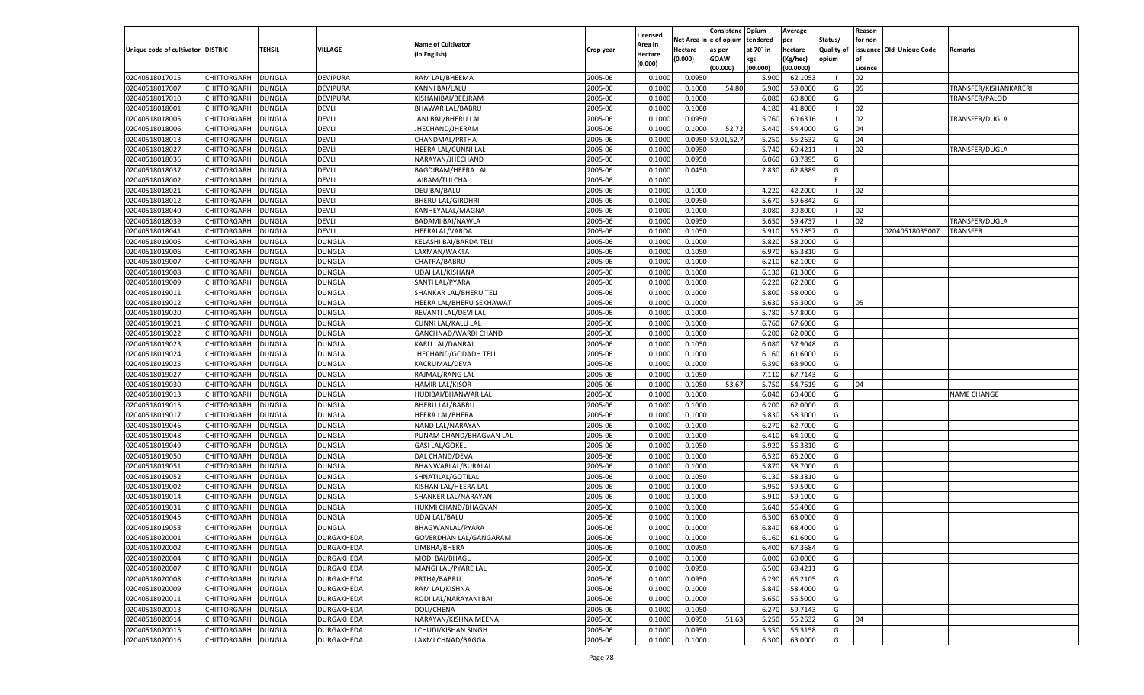|                                   |                      |               |                   |                               |           |          |            | Consistenc Opium  |           | Average   |                   | Reason    |                          |                       |
|-----------------------------------|----------------------|---------------|-------------------|-------------------------------|-----------|----------|------------|-------------------|-----------|-----------|-------------------|-----------|--------------------------|-----------------------|
|                                   |                      |               |                   |                               |           | Licensed | Net Area i | l e of opium      | tendered  | per       | Status/           | for non   |                          |                       |
| Unique code of cultivator DISTRIC |                      | TEHSIL        | VILLAGE           | <b>Name of Cultivator</b>     | Crop year | Area in  | Hectare    | as per            | at 70° in | hectare   | <b>Quality of</b> |           | issuance Old Unique Code | Remarks               |
|                                   |                      |               |                   | (in English)                  |           | Hectare  | (0.000)    | <b>GOAW</b>       | kgs       | (Kg/hec)  | opium             | <b>of</b> |                          |                       |
|                                   |                      |               |                   |                               |           | (0.000)  |            | (00.000)          | (00.000)  | (00.0000) |                   | Licence   |                          |                       |
|                                   |                      |               |                   |                               | 2005-06   |          |            |                   |           | 62.105    | - 1               |           |                          |                       |
| 02040518017015                    | CHITTORGARH          | <b>DUNGLA</b> | <b>DEVIPURA</b>   | RAM LAL/BHEEMA                |           | 0.1000   | 0.0950     |                   | 5.900     |           |                   | 02        |                          |                       |
| 02040518017007                    | CHITTORGARH          | DUNGLA        | <b>DEVIPURA</b>   | <b>KANNI BAI/LALU</b>         | 2005-06   | 0.1000   | 0.1000     | 54.80             | 5.900     | 59.0000   | G                 | 05        |                          | TRANSFER/KISHANKARERI |
| 02040518017010                    | CHITTORGARH          | <b>DUNGLA</b> | <b>DEVIPURA</b>   | KISHANIBAI/BEEJRAM            | 2005-06   | 0.1000   | 0.1000     |                   | 6.080     | 60.8000   | G                 |           |                          | TRANSFER/PALOD        |
| 02040518018001                    | CHITTORGARH          | DUNGLA        | DEVLI             | <b>BHAWAR LAL/BABRU</b>       | 2005-06   | 0.1000   | 0.1000     |                   | 4.180     | 41.8000   | - 1               | 02        |                          |                       |
| 02040518018005                    | CHITTORGARH          | <b>DUNGLA</b> | <b>DEVLI</b>      | JANI BAI / BHERU LAL          | 2005-06   | 0.1000   | 0.0950     |                   | 5.760     | 60.6316   | - 1               | 02        |                          | TRANSFER/DUGLA        |
| 02040518018006                    | CHITTORGARH          | DUNGLA        | <b>DEVLI</b>      | JHECHAND/JHERAM               | 2005-06   | 0.1000   | 0.1000     | 52.72             | 5.440     | 54.4000   | G                 | 04        |                          |                       |
| 02040518018013                    | CHITTORGARH          | <b>DUNGLA</b> | <b>DEVLI</b>      | CHANDMAL/PRTHA                | 2005-06   | 0.1000   |            | 0.0950 59.01,52.7 | 5.250     | 55.2632   | G                 | 04        |                          |                       |
| 02040518018027                    | CHITTORGARH          | DUNGLA        | <b>DEVLI</b>      | HEERA LAL/CUNNI LAL           | 2005-06   | 0.1000   | 0.0950     |                   | 5.740     | 60.4211   | - 1               | 02        |                          | TRANSFER/DUGLA        |
| 02040518018036                    | CHITTORGARH          | DUNGLA        | <b>DEVLI</b>      | NARAYAN/JHECHAND              | 2005-06   | 0.1000   | 0.0950     |                   | 6.060     | 63.7895   | G                 |           |                          |                       |
| 02040518018037                    | CHITTORGARH          | DUNGLA        | <b>DEVLI</b>      | <b>BAGDIRAM/HEERA LAL</b>     | 2005-06   | 0.1000   | 0.0450     |                   | 2.830     | 62.8889   | G                 |           |                          |                       |
| 02040518018002                    | CHITTORGARH          | DUNGLA        | <b>DEVLI</b>      | JAIRAM/TULCHA                 | 2005-06   | 0.1000   |            |                   |           |           | F.                |           |                          |                       |
| 02040518018021                    | CHITTORGARH          | DUNGLA        | <b>DEVLI</b>      | <b>DEU BAI/BALU</b>           | 2005-06   | 0.1000   | 0.1000     |                   | 4.220     | 42.2000   | - 1               | 02        |                          |                       |
| 02040518018012                    | CHITTORGARH          | DUNGLA        | <b>DEVLI</b>      | <b>BHERU LAL/GIRDHRI</b>      | 2005-06   | 0.1000   | 0.0950     |                   | 5.670     | 59.6842   | G                 |           |                          |                       |
|                                   |                      |               |                   |                               |           |          |            |                   |           |           | - 1               | 02        |                          |                       |
| 02040518018040                    | CHITTORGARH          | <b>DUNGLA</b> | <b>DEVLI</b>      | KANHEYALAL/MAGNA              | 2005-06   | 0.1000   | 0.1000     |                   | 3.080     | 30.8000   |                   |           |                          |                       |
| 02040518018039                    | CHITTORGARH          | <b>DUNGLA</b> | <b>DEVLI</b>      | <b>BADAMI BAI/NAWLA</b>       | 2005-06   | 0.1000   | 0.0950     |                   | 5.650     | 59.4737   | - 1               | 02        |                          | TRANSFER/DUGLA        |
| 02040518018041                    | CHITTORGARH          | <b>DUNGLA</b> | <b>DEVLI</b>      | <b>HEERALAL/VARDA</b>         | 2005-06   | 0.1000   | 0.1050     |                   | 5.910     | 56.2857   | G                 |           | 02040518035007           | TRANSFER              |
| 02040518019005                    | CHITTORGARH          | <b>DUNGLA</b> | <b>DUNGLA</b>     | KELASHI BAI/BARDA TELI        | 2005-06   | 0.1000   | 0.1000     |                   | 5.820     | 58.2000   | G                 |           |                          |                       |
| 02040518019006                    | CHITTORGARH          | <b>DUNGLA</b> | <b>DUNGLA</b>     | LAXMAN/WAKTA                  | 2005-06   | 0.1000   | 0.1050     |                   | 6.970     | 66.3810   | G                 |           |                          |                       |
| 02040518019007                    | CHITTORGARH          | <b>DUNGLA</b> | <b>DUNGLA</b>     | CHATRA/BABRU                  | 2005-06   | 0.1000   | 0.1000     |                   | 6.210     | 62.1000   | G                 |           |                          |                       |
| 02040518019008                    | CHITTORGARH          | <b>DUNGLA</b> | <b>DUNGLA</b>     | UDAI LAL/KISHANA              | 2005-06   | 0.1000   | 0.1000     |                   | 6.130     | 61.3000   | G                 |           |                          |                       |
| 02040518019009                    | CHITTORGARH          | <b>DUNGLA</b> | <b>DUNGLA</b>     | SANTI LAL/PYARA               | 2005-06   | 0.1000   | 0.1000     |                   | 6.220     | 62.2000   | G                 |           |                          |                       |
| 02040518019011                    | CHITTORGARH          | <b>DUNGLA</b> | <b>DUNGLA</b>     | <b>SHANKAR LAL/BHERU TELI</b> | 2005-06   | 0.1000   | 0.1000     |                   | 5.800     | 58.0000   | G                 |           |                          |                       |
| 02040518019012                    | CHITTORGARH          | <b>DUNGLA</b> | <b>DUNGLA</b>     | HEERA LAL/BHERU SEKHAWAT      | 2005-06   | 0.1000   | 0.1000     |                   | 5.630     | 56.3000   | G                 | 05        |                          |                       |
| 02040518019020                    | CHITTORGARH          | <b>DUNGLA</b> | <b>DUNGLA</b>     | REVANTI LAL/DEVI LAL          | 2005-06   | 0.1000   | 0.1000     |                   | 5.780     | 57.8000   | G                 |           |                          |                       |
| 02040518019021                    | CHITTORGARH          | <b>DUNGLA</b> | <b>DUNGLA</b>     | CUNNI LAL/KALU LAL            | 2005-06   | 0.1000   | 0.1000     |                   | 6.760     | 67.6000   | G                 |           |                          |                       |
| 02040518019022                    | CHITTORGARH          | <b>DUNGLA</b> | <b>DUNGLA</b>     | GANCHNAD/WARDI CHAND          | 2005-06   | 0.1000   | 0.1000     |                   | 6.200     | 62.0000   | G                 |           |                          |                       |
| 02040518019023                    | CHITTORGARH          | <b>DUNGLA</b> | <b>DUNGLA</b>     | KARU LAL/DANRAJ               | 2005-06   | 0.1000   | 0.1050     |                   | 6.080     | 57.9048   | G                 |           |                          |                       |
| 02040518019024                    | CHITTORGARH          | <b>DUNGLA</b> | <b>DUNGLA</b>     | JHECHAND/GODADH TELI          | 2005-06   | 0.1000   | 0.1000     |                   | 6.160     | 61.6000   | G                 |           |                          |                       |
| 02040518019025                    | CHITTORGARH          | <b>DUNGLA</b> | <b>DUNGLA</b>     | KACRUMAL/DEVA                 | 2005-06   | 0.1000   | 0.1000     |                   | 6.390     | 63.9000   | G                 |           |                          |                       |
|                                   | CHITTORGARH          | <b>DUNGLA</b> | <b>DUNGLA</b>     | RAJMAL/RANG LAL               | 2005-06   |          |            |                   | 7.110     | 67.7143   | G                 |           |                          |                       |
| 02040518019027                    |                      |               |                   |                               |           | 0.1000   | 0.1050     |                   |           |           |                   |           |                          |                       |
| 02040518019030                    | CHITTORGARH          | DUNGLA        | <b>DUNGLA</b>     | <b>HAMIR LAL/KISOR</b>        | 2005-06   | 0.1000   | 0.1050     | 53.67             | 5.750     | 54.7619   | G                 | 04        |                          |                       |
| 02040518019013                    | CHITTORGARH          | <b>DUNGLA</b> | <b>DUNGLA</b>     | HUDIBAI/BHANWAR LAL           | 2005-06   | 0.1000   | 0.1000     |                   | 6.040     | 60.4000   | G                 |           |                          | NAME CHANGE           |
| 02040518019015                    | CHITTORGARH          | DUNGLA        | <b>DUNGLA</b>     | <b>BHERU LAL/BABRU</b>        | 2005-06   | 0.1000   | 0.1000     |                   | 6.200     | 62.0000   | G                 |           |                          |                       |
| 02040518019017                    | CHITTORGARH          | <b>DUNGLA</b> | <b>DUNGLA</b>     | <b>HEERA LAL/BHERA</b>        | 2005-06   | 0.1000   | 0.1000     |                   | 5.830     | 58.3000   | G                 |           |                          |                       |
| 02040518019046                    | CHITTORGARH          | DUNGLA        | <b>DUNGLA</b>     | NAND LAL/NARAYAN              | 2005-06   | 0.1000   | 0.1000     |                   | 6.270     | 62.7000   | G                 |           |                          |                       |
| 02040518019048                    | CHITTORGARH          | DUNGLA        | <b>DUNGLA</b>     | PUNAM CHAND/BHAGVAN LAL       | 2005-06   | 0.1000   | 0.1000     |                   | 6.41      | 64.1000   | G                 |           |                          |                       |
| 02040518019049                    | CHITTORGARH          | DUNGLA        | <b>DUNGLA</b>     | <b>GASI LAL/GOKEL</b>         | 2005-06   | 0.1000   | 0.1050     |                   | 5.920     | 56.3810   | G                 |           |                          |                       |
| 02040518019050                    | CHITTORGARH          | <b>DUNGLA</b> | <b>DUNGLA</b>     | DAL CHAND/DEVA                | 2005-06   | 0.1000   | 0.1000     |                   | 6.520     | 65.2000   | G                 |           |                          |                       |
| 02040518019051                    | CHITTORGARH          | DUNGLA        | <b>DUNGLA</b>     | BHANWARLAL/BURALAL            | 2005-06   | 0.1000   | 0.1000     |                   | 5.870     | 58.7000   | G                 |           |                          |                       |
| 02040518019052                    | CHITTORGARH          | DUNGLA        | <b>DUNGLA</b>     | SHNATILAL/GOTILAL             | 2005-06   | 0.1000   | 0.1050     |                   | 6.130     | 58.3810   | G                 |           |                          |                       |
| 02040518019002                    | CHITTORGARH          | DUNGLA        | <b>DUNGLA</b>     | KISHAN LAL/HEERA LAL          | 2005-06   | 0.1000   | 0.1000     |                   | 5.950     | 59.5000   | G                 |           |                          |                       |
| 02040518019014                    | CHITTORGARH          | DUNGLA        | <b>DUNGLA</b>     | SHANKER LAL/NARAYAN           | 2005-06   | 0.1000   | 0.1000     |                   | 5.910     | 59.1000   | G                 |           |                          |                       |
| 02040518019031                    | CHITTORGARH          | DUNGLA        | <b>DUNGLA</b>     | HUKMI CHAND/BHAGVAN           | 2005-06   | 0.1000   | 0.1000     |                   | 5.640     | 56.4000   | G                 |           |                          |                       |
| 02040518019045                    | CHITTORGARH          | DUNGLA        | <b>DUNGLA</b>     | <b>UDAI LAL/BALU</b>          | 2005-06   | 0.1000   | 0.1000     |                   | 6.300     | 63.0000   | G                 |           |                          |                       |
| 02040518019053                    | CHITTORGARH          | DUNGLA        | <b>DUNGLA</b>     | BHAGWANLAL/PYARA              | 2005-06   | 0.1000   | 0.1000     |                   | 6.840     | 68.4000   | G                 |           |                          |                       |
| 02040518020001                    | CHITTORGARH   DUNGLA |               | DURGAKHEDA        | GOVERDHAN LAL/GANGARAM        | 2005-06   | 0.1000   | 0.1000     |                   | 6.160     | 61.6000   | G                 |           |                          |                       |
| 02040518020002                    | CHITTORGARH          | <b>DUNGLA</b> | DURGAKHEDA        | LIMBHA/BHERA                  | 2005-06   | 0.1000   | 0.0950     |                   | 6.400     | 67.3684   | G                 |           |                          |                       |
| 02040518020004                    | CHITTORGARH          | <b>DUNGLA</b> | DURGAKHEDA        | MODI BAI/BHAGU                | 2005-06   | 0.1000   | 0.1000     |                   | 6.000     | 60.0000   | G                 |           |                          |                       |
| 02040518020007                    | CHITTORGARH          |               |                   | MANGI LAL/PYARE LAL           | 2005-06   | 0.1000   |            |                   |           |           | G                 |           |                          |                       |
|                                   |                      | <b>DUNGLA</b> | DURGAKHEDA        |                               |           |          | 0.0950     |                   | 6.500     | 68.4211   |                   |           |                          |                       |
| 02040518020008                    | CHITTORGARH          | <b>DUNGLA</b> | DURGAKHEDA        | PRTHA/BABRU                   | 2005-06   | 0.1000   | 0.0950     |                   | 6.290     | 66.2105   | G                 |           |                          |                       |
| 02040518020009                    | CHITTORGARH          | <b>DUNGLA</b> | <b>DURGAKHEDA</b> | RAM LAL/KISHNA                | 2005-06   | 0.1000   | 0.1000     |                   | 5.840     | 58.4000   | G                 |           |                          |                       |
| 02040518020011                    | CHITTORGARH          | <b>DUNGLA</b> | DURGAKHEDA        | RODI LAL/NARAYANI BAI         | 2005-06   | 0.1000   | 0.1000     |                   | 5.650     | 56.5000   | G                 |           |                          |                       |
| 02040518020013                    | CHITTORGARH          | <b>DUNGLA</b> | <b>DURGAKHEDA</b> | DOLI/CHENA                    | 2005-06   | 0.1000   | 0.1050     |                   | 6.270     | 59.7143   | G                 |           |                          |                       |
| 02040518020014                    | CHITTORGARH          | <b>DUNGLA</b> | DURGAKHEDA        | NARAYAN/KISHNA MEENA          | 2005-06   | 0.1000   | 0.0950     | 51.63             | 5.250     | 55.2632   | G                 | 04        |                          |                       |
| 02040518020015                    | CHITTORGARH          | <b>DUNGLA</b> | DURGAKHEDA        | LCHUDI/KISHAN SINGH           | 2005-06   | 0.1000   | 0.0950     |                   | 5.350     | 56.3158   | G                 |           |                          |                       |
| 02040518020016                    | CHITTORGARH          | <b>DUNGLA</b> | DURGAKHEDA        | LAXMI CHNAD/BAGGA             | 2005-06   | 0.1000   | 0.1000     |                   | 6.300     | 63.0000   | G                 |           |                          |                       |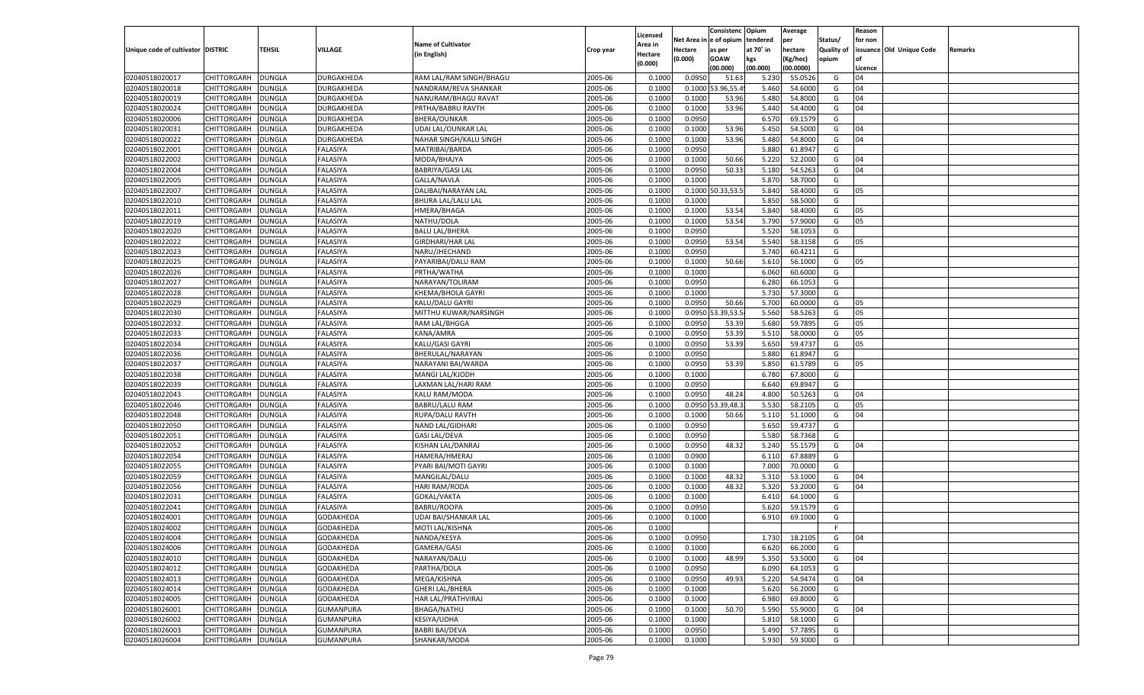|                                   |                    |               |                  |                           |           |          |          | Consistenc Opium |           | Average   |                   | Reason    |                          |         |
|-----------------------------------|--------------------|---------------|------------------|---------------------------|-----------|----------|----------|------------------|-----------|-----------|-------------------|-----------|--------------------------|---------|
|                                   |                    |               |                  |                           |           | Licensed | Net Area | e of opium       | tendered  | per       | Status/           | for non   |                          |         |
| Unique code of cultivator DISTRIC |                    | TEHSIL        | VILLAGE          | <b>Name of Cultivator</b> | Crop year | Area in  | Hectare  | as per           | at 70° in | hectare   | <b>Quality of</b> |           | issuance Old Unique Code | Remarks |
|                                   |                    |               |                  | (in English)              |           | Hectare  | (0.000)  | <b>GOAW</b>      | kgs       | (Kg/hec)  | opium             | <b>of</b> |                          |         |
|                                   |                    |               |                  |                           |           | (0.000)  |          | (00.000)         | (00.000)  | (00.0000) |                   | Licence   |                          |         |
| 02040518020017                    | CHITTORGARH        | <b>DUNGLA</b> | DURGAKHEDA       | RAM LAL/RAM SINGH/BHAGU   | 2005-06   | 0.1000   | 0.0950   | 51.63            | 5.23      | 55.0526   | G                 | 04        |                          |         |
| 02040518020018                    | CHITTORGARH        | DUNGLA        | DURGAKHEDA       | NANDRAM/REVA SHANKAR      | 2005-06   | 0.1000   | 0.1000   | 3.96,55.         | 5.460     | 54.6000   | G                 | 04        |                          |         |
| 02040518020019                    | <b>CHITTORGARH</b> | <b>DUNGLA</b> | DURGAKHEDA       | NANURAM/BHAGU RAVAT       | 2005-06   | 0.1000   | 0.1000   | 53.96            | 5.480     | 54.8000   | G                 | 04        |                          |         |
|                                   |                    |               | DURGAKHEDA       |                           |           |          |          |                  |           |           |                   | 04        |                          |         |
| 02040518020024                    | CHITTORGARH        | DUNGLA        |                  | PRTHA/BABRU RAVTH         | 2005-06   | 0.1000   | 0.1000   | 53.96            | 5.440     | 54.4000   | G                 |           |                          |         |
| 02040518020006                    | CHITTORGARH        | <b>DUNGLA</b> | DURGAKHEDA       | <b>BHERA/OUNKAR</b>       | 2005-06   | 0.1000   | 0.0950   |                  | 6.570     | 69.1579   | G                 |           |                          |         |
| 02040518020031                    | CHITTORGARH        | DUNGLA        | DURGAKHEDA       | UDAI LAL/OUNKAR LAL       | 2005-06   | 0.1000   | 0.1000   | 53.96            | 5.450     | 54.5000   | G                 | 04        |                          |         |
| 02040518020022                    | CHITTORGARH        | <b>DUNGLA</b> | DURGAKHEDA       | NAHAR SINGH/KALU SINGH    | 2005-06   | 0.1000   | 0.1000   | 53.96            | 5.480     | 54.8000   | G                 | 04        |                          |         |
| 02040518022001                    | CHITTORGARH        | DUNGLA        | FALASIYA         | MATRIBAI/BARDA            | 2005-06   | 0.1000   | 0.0950   |                  | 5.880     | 61.8947   | G                 |           |                          |         |
| 02040518022002                    | CHITTORGARH        | <b>DUNGLA</b> | FALASIYA         | MODA/BHAJYA               | 2005-06   | 0.1000   | 0.1000   | 50.66            | 5.220     | 52.2000   | G                 | 04        |                          |         |
| 02040518022004                    | CHITTORGARH        | <b>DUNGLA</b> | FALASIYA         | <b>BABRIYA/GASI LAL</b>   | 2005-06   | 0.1000   | 0.0950   | 50.33            | 5.180     | 54.5263   | G                 | 04        |                          |         |
| 02040518022005                    | CHITTORGARH        | <b>DUNGLA</b> | FALASIYA         | GALLA/NAVLA               | 2005-06   | 0.1000   | 0.1000   |                  | 5.870     | 58.7000   | G                 |           |                          |         |
| 02040518022007                    | CHITTORGARH        | DUNGLA        | FALASIYA         | DALIBAI/NARAYAN LAL       | 2005-06   | 0.1000   |          | 0.1000 50.33,53. | 5.840     | 58.4000   | G                 | 05        |                          |         |
| 02040518022010                    | CHITTORGARH        | <b>DUNGLA</b> | FALASIYA         | BHURA LAL/LALU LAL        | 2005-06   | 0.1000   | 0.1000   |                  | 5.850     | 58.5000   | G                 |           |                          |         |
| 02040518022011                    | CHITTORGARH        | DUNGLA        | FALASIYA         | HMERA/BHAGA               | 2005-06   | 0.1000   | 0.1000   | 53.54            | 5.840     | 58.4000   | G                 | 05        |                          |         |
| 02040518022019                    | <b>CHITTORGARH</b> | <b>DUNGLA</b> | <b>FALASIYA</b>  | NATHU/DOLA                | 2005-06   | 0.1000   | 0.1000   | 53.54            | 5.790     | 57.9000   | G                 | 05        |                          |         |
| 02040518022020                    | CHITTORGARH        | <b>DUNGLA</b> | <b>FALASIYA</b>  | <b>BALU LAL/BHERA</b>     | 2005-06   | 0.1000   | 0.0950   |                  | 5.520     | 58.1053   | G                 |           |                          |         |
| 02040518022022                    | <b>CHITTORGARH</b> | <b>DUNGLA</b> | FALASIYA         | <b>GIRDHARI/HAR LAL</b>   | 2005-06   | 0.1000   | 0.0950   | 53.54            | 5.540     | 58.3158   | G                 | 05        |                          |         |
| 02040518022023                    | CHITTORGARH        | DUNGLA        | FALASIYA         | NARU/JHECHAND             | 2005-06   | 0.1000   | 0.0950   |                  | 5.740     | 60.4211   | G                 |           |                          |         |
|                                   | <b>CHITTORGARH</b> |               |                  |                           |           |          |          |                  |           |           |                   |           |                          |         |
| 02040518022025                    |                    | <b>DUNGLA</b> | <b>FALASIYA</b>  | PAYARIBAI/DALU RAM        | 2005-06   | 0.1000   | 0.1000   | 50.66            | 5.610     | 56.1000   | G                 | 05        |                          |         |
| 02040518022026                    | CHITTORGARH        | <b>DUNGLA</b> | <b>FALASIYA</b>  | PRTHA/WATHA               | 2005-06   | 0.1000   | 0.1000   |                  | 6.060     | 60.6000   | G                 |           |                          |         |
| 02040518022027                    | <b>CHITTORGARH</b> | <b>DUNGLA</b> | FALASIYA         | NARAYAN/TOLIRAM           | 2005-06   | 0.1000   | 0.0950   |                  | 6.280     | 66.1053   | G                 |           |                          |         |
| 02040518022028                    | CHITTORGARH        | DUNGLA        | FALASIYA         | <b>KHEMA/BHOLA GAYRI</b>  | 2005-06   | 0.1000   | 0.1000   |                  | 5.730     | 57.3000   | G                 |           |                          |         |
| 02040518022029                    | <b>CHITTORGARH</b> | <b>DUNGLA</b> | <b>FALASIYA</b>  | <b>KALU/DALU GAYRI</b>    | 2005-06   | 0.1000   | 0.0950   | 50.66            | 5.700     | 60.0000   | G                 | 05        |                          |         |
| 02040518022030                    | CHITTORGARH        | <b>DUNGLA</b> | <b>FALASIYA</b>  | MITTHU KUWAR/NARSINGH     | 2005-06   | 0.1000   | 0.0950   | 3.39,53.         | 5.560     | 58.5263   | G                 | 05        |                          |         |
| 02040518022032                    | <b>CHITTORGARH</b> | <b>DUNGLA</b> | <b>FALASIYA</b>  | RAM LAL/BHGGA             | 2005-06   | 0.1000   | 0.0950   | 53.39            | 5.680     | 59.7895   | G                 | 05        |                          |         |
| 02040518022033                    | CHITTORGARH        | DUNGLA        | FALASIYA         | KANA/AMRA                 | 2005-06   | 0.1000   | 0.0950   | 53.39            | 5.510     | 58.0000   | G                 | 05        |                          |         |
| 02040518022034                    | <b>CHITTORGARH</b> | <b>DUNGLA</b> | <b>FALASIYA</b>  | KALU/GASI GAYRI           | 2005-06   | 0.1000   | 0.0950   | 53.39            | 5.650     | 59.4737   | G                 | 05        |                          |         |
| 02040518022036                    | CHITTORGARH        | <b>DUNGLA</b> | <b>FALASIYA</b>  | BHERULAL/NARAYAN          | 2005-06   | 0.1000   | 0.0950   |                  | 5.880     | 61.8947   | G                 |           |                          |         |
| 02040518022037                    | <b>CHITTORGARH</b> | <b>DUNGLA</b> | <b>FALASIYA</b>  | NARAYANI BAI/WARDA        | 2005-06   | 0.1000   | 0.0950   | 53.39            | 5.850     | 61.5789   | G                 | 05        |                          |         |
| 02040518022038                    | CHITTORGARH        | DUNGLA        | FALASIYA         | MANGI LAL/KJODH           | 2005-06   | 0.1000   | 0.1000   |                  | 6.780     | 67.8000   | G                 |           |                          |         |
| 02040518022039                    | CHITTORGARH        | <b>DUNGLA</b> | FALASIYA         | LAXMAN LAL/HARI RAM       | 2005-06   | 0.1000   | 0.0950   |                  | 6.640     | 69.8947   | G                 |           |                          |         |
| 02040518022043                    | CHITTORGARH        | DUNGLA        | FALASIYA         | KALU RAM/MODA             | 2005-06   | 0.1000   | 0.0950   | 48.24            | 4.800     | 50.5263   | G                 | 04        |                          |         |
| 02040518022046                    | CHITTORGARH        | DUNGLA        | <b>FALASIYA</b>  | <b>BABRU/LALU RAM</b>     | 2005-06   | 0.1000   | 0.0950   | 3.39,48.         | 5.530     | 58.2105   | G                 | 05        |                          |         |
| 02040518022048                    | CHITTORGARH        | DUNGLA        | FALASIYA         | RUPA/DALU RAVTH           | 2005-06   | 0.1000   | 0.1000   | 50.66            | 5.110     | 51.1000   | G                 | 04        |                          |         |
| 02040518022050                    | CHITTORGARH        | <b>DUNGLA</b> | FALASIYA         |                           | 2005-06   | 0.1000   | 0.0950   |                  | 5.650     | 59.4737   | G                 |           |                          |         |
|                                   |                    |               |                  | NAND LAL/GIDHARI          |           |          |          |                  |           |           |                   |           |                          |         |
| 02040518022051                    | CHITTORGARH        | DUNGLA        | FALASIYA         | <b>GASI LAL/DEVA</b>      | 2005-06   | 0.1000   | 0.0950   |                  | 5.580     | 58.7368   | G                 |           |                          |         |
| 02040518022052                    | CHITTORGARH        | DUNGLA        | <b>FALASIYA</b>  | KISHAN LAL/DANRAJ         | 2005-06   | 0.1000   | 0.0950   | 48.32            | 5.240     | 55.1579   | G                 | 04        |                          |         |
| 02040518022054                    | CHITTORGARH        | DUNGLA        | FALASIYA         | HAMERA/HMERAJ             | 2005-06   | 0.1000   | 0.0900   |                  | 6.11      | 67.8889   | G                 |           |                          |         |
| 02040518022055                    | CHITTORGARH        | <b>DUNGLA</b> | FALASIYA         | PYARI BAI/MOTI GAYRI      | 2005-06   | 0.1000   | 0.1000   |                  | 7.000     | 70.0000   | G                 |           |                          |         |
| 02040518022059                    | CHITTORGARH        | DUNGLA        | FALASIYA         | MANGILAL/DALU             | 2005-06   | 0.1000   | 0.1000   | 48.32            | 5.31      | 53.1000   | G                 | 04        |                          |         |
| 02040518022056                    | CHITTORGARH        | DUNGLA        | <b>FALASIYA</b>  | HARI RAM/RODA             | 2005-06   | 0.1000   | 0.1000   | 48.32            | 5.320     | 53.2000   | G                 | 04        |                          |         |
| 02040518022031                    | CHITTORGARH        | DUNGLA        | FALASIYA         | GOKAL/VAKTA               | 2005-06   | 0.1000   | 0.1000   |                  | 6.41      | 64.1000   | G                 |           |                          |         |
| 02040518022041                    | CHITTORGARH        | DUNGLA        | FALASIYA         | BABRU/ROOPA               | 2005-06   | 0.1000   | 0.0950   |                  | 5.620     | 59.1579   | G                 |           |                          |         |
| 02040518024001                    | CHITTORGARH        | DUNGLA        | GODAKHEDA        | UDAI BAI/SHANKAR LAL      | 2005-06   | 0.1000   | 0.1000   |                  | 6.910     | 69.1000   | G                 |           |                          |         |
| 02040518024002                    | CHITTORGARH        | <b>DUNGLA</b> | GODAKHEDA        | MOTI LAL/KISHNA           | 2005-06   | 0.1000   |          |                  |           |           | F                 |           |                          |         |
| 02040518024004                    | CHITTORGARH        | DUNGLA        | <b>GODAKHEDA</b> | NANDA/KESYA               | 2005-06   | 0.1000   | 0.0950   |                  | 1.730     | 18.2105   | G                 | 04        |                          |         |
| 02040518024006                    | <b>CHITTORGARH</b> | <b>DUNGLA</b> | GODAKHEDA        | GAMERA/GASI               | 2005-06   | 0.1000   | 0.1000   |                  | 6.620     | 66.2000   | G                 |           |                          |         |
| 02040518024010                    | CHITTORGARH        | <b>DUNGLA</b> | GODAKHEDA        | NARAYAN/DALU              | 2005-06   | 0.1000   | 0.1000   | 48.99            | 5.350     | 53.5000   | G                 | 04        |                          |         |
| 02040518024012                    | <b>CHITTORGARH</b> | <b>DUNGLA</b> | GODAKHEDA        | PARTHA/DOLA               | 2005-06   | 0.1000   | 0.0950   |                  | 6.090     | 64.1053   | G                 |           |                          |         |
| 02040518024013                    | <b>CHITTORGARH</b> | <b>DUNGLA</b> | GODAKHEDA        | MEGA/KISHNA               | 2005-06   | 0.1000   | 0.0950   | 49.93            | 5.220     | 54.9474   | G                 | 04        |                          |         |
| 02040518024014                    | <b>CHITTORGARH</b> | <b>DUNGLA</b> | GODAKHEDA        | <b>GHERI LAL/BHERA</b>    | 2005-06   | 0.1000   | 0.1000   |                  | 5.620     | 56.2000   | G                 |           |                          |         |
| 02040518024005                    | <b>CHITTORGARH</b> | <b>DUNGLA</b> | GODAKHEDA        | HAR LAL/PRATHVIRAJ        | 2005-06   | 0.1000   | 0.1000   |                  | 6.980     | 69.8000   | G                 |           |                          |         |
| 02040518026001                    | <b>CHITTORGARH</b> | <b>DUNGLA</b> | GUMANPURA        | <b>BHAGA/NATHU</b>        | 2005-06   | 0.1000   | 0.1000   | 50.70            | 5.590     | 55.9000   | G                 | 04        |                          |         |
| 02040518026002                    | <b>CHITTORGARH</b> |               | GUMANPURA        | KESIYA/UDHA               | 2005-06   |          | 0.1000   |                  | 5.810     | 58.1000   | G                 |           |                          |         |
| 02040518026003                    | <b>CHITTORGARH</b> | <b>DUNGLA</b> |                  |                           |           | 0.1000   |          |                  |           |           |                   |           |                          |         |
|                                   |                    | <b>DUNGLA</b> | GUMANPURA        | <b>BABRI BAI/DEVA</b>     | 2005-06   | 0.1000   | 0.0950   |                  | 5.490     | 57.7895   | G                 |           |                          |         |
| 02040518026004                    | <b>CHITTORGARH</b> | <b>DUNGLA</b> | <b>GUMANPURA</b> | SHANKAR/MODA              | 2005-06   | 0.1000   | 0.1000   |                  | 5.930     | 59.3000   | G                 |           |                          |         |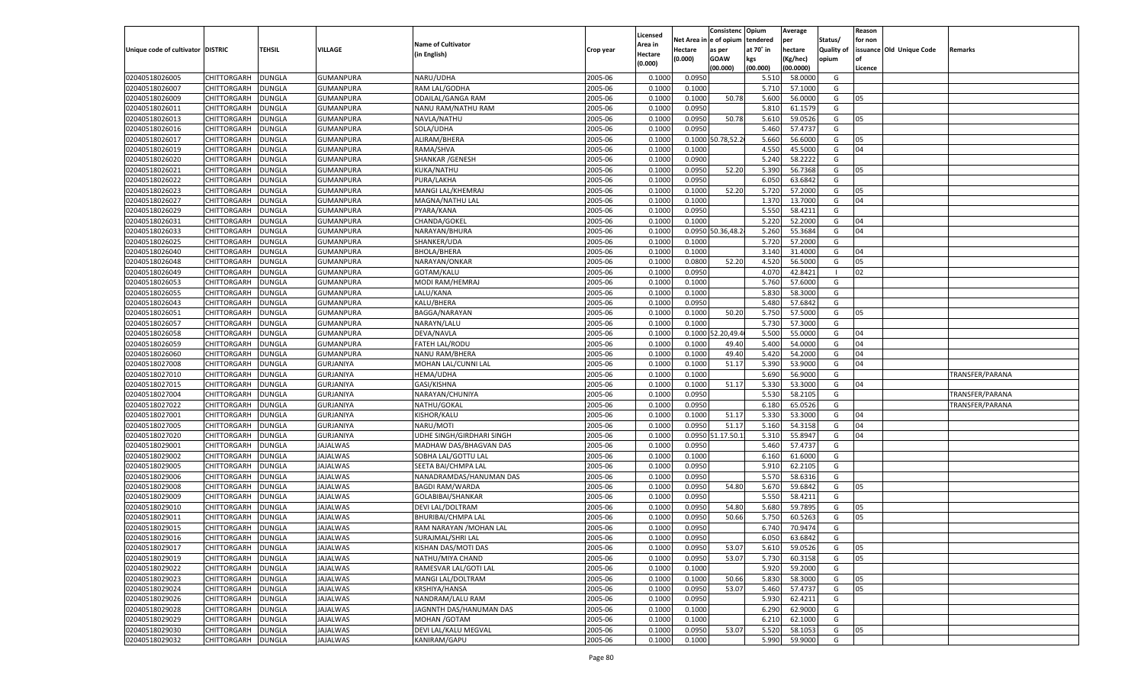|                                   |                    |               |                  |                           |           |          |            | Consistenc Opium  |           | Average   |                   | Reason  |                          |                 |
|-----------------------------------|--------------------|---------------|------------------|---------------------------|-----------|----------|------------|-------------------|-----------|-----------|-------------------|---------|--------------------------|-----------------|
|                                   |                    |               |                  |                           |           | Licensed | Net Area i | l e of opium      | tendered  | per       | Status/           | for non |                          |                 |
| Unique code of cultivator DISTRIC |                    | TEHSIL        | VILLAGE          | <b>Name of Cultivator</b> | Crop year | Area in  | Hectare    | as per            | at 70° in | hectare   | <b>Quality of</b> |         | issuance Old Unique Code | Remarks         |
|                                   |                    |               |                  | (in English)              |           | Hectare  | (0.000)    | <b>GOAW</b>       | kgs       | (Kg/hec)  | opium             | nf      |                          |                 |
|                                   |                    |               |                  |                           |           | (0.000)  |            | (00.000)          | (00.000)  | (00.0000) |                   | Licence |                          |                 |
| 02040518026005                    | CHITTORGARH        | <b>DUNGLA</b> | <b>GUMANPURA</b> | NARU/UDHA                 | 2005-06   | 0.1000   | 0.0950     |                   | 5.510     | 58.0000   | G                 |         |                          |                 |
| 02040518026007                    | CHITTORGARH        | DUNGLA        | GUMANPURA        | RAM LAL/GODHA             | 2005-06   | 0.1000   | 0.1000     |                   | 5.710     | 57.1000   | G                 |         |                          |                 |
| 02040518026009                    | CHITTORGARH        | DUNGLA        | GUMANPURA        | <b>ODAILAL/GANGA RAM</b>  | 2005-06   | 0.1000   | 0.1000     | 50.78             | 5.600     | 56.0000   | G                 | 05      |                          |                 |
| 02040518026011                    | CHITTORGARH        | DUNGLA        | GUMANPURA        | NANU RAM/NATHU RAM        | 2005-06   | 0.1000   | 0.0950     |                   | 5.810     | 61.1579   | G                 |         |                          |                 |
| 02040518026013                    | CHITTORGARH        | DUNGLA        | GUMANPURA        | NAVLA/NATHU               | 2005-06   | 0.1000   | 0.0950     | 50.78             | 5.610     | 59.0526   | G                 | 05      |                          |                 |
| 02040518026016                    | CHITTORGARH        | DUNGLA        | GUMANPURA        | SOLA/UDHA                 | 2005-06   | 0.1000   | 0.0950     |                   | 5.460     | 57.4737   | G                 |         |                          |                 |
| 02040518026017                    | CHITTORGARH        | DUNGLA        | GUMANPURA        | ALIRAM/BHERA              | 2005-06   | 0.1000   |            | 0.1000 50.78,52.2 | 5.660     | 56.6000   | G                 | 05      |                          |                 |
| 02040518026019                    | CHITTORGARH        | DUNGLA        | GUMANPURA        | RAMA/SHVA                 | 2005-06   | 0.1000   | 0.1000     |                   | 4.550     | 45.5000   | G                 | 04      |                          |                 |
| 02040518026020                    | CHITTORGARH        | DUNGLA        | GUMANPURA        | <b>SHANKAR / GENESH</b>   | 2005-06   | 0.1000   | 0.0900     |                   | 5.240     | 58.2222   | G                 |         |                          |                 |
| 02040518026021                    | CHITTORGARH        | DUNGLA        | GUMANPURA        | KUKA/NATHU                | 2005-06   | 0.1000   | 0.0950     | 52.20             | 5.390     | 56.7368   | G                 | 05      |                          |                 |
| 02040518026022                    | CHITTORGARH        | DUNGLA        | GUMANPURA        | PURA/LAKHA                | 2005-06   | 0.1000   | 0.0950     |                   | 6.050     | 63.6842   | G                 |         |                          |                 |
| 02040518026023                    | CHITTORGARH        | DUNGLA        | GUMANPURA        | MANGI LAL/KHEMRAJ         | 2005-06   | 0.1000   | 0.1000     | 52.20             | 5.720     | 57.2000   | G                 | 05      |                          |                 |
| 02040518026027                    | CHITTORGARH        | DUNGLA        | GUMANPURA        | MAGNA/NATHU LAL           | 2005-06   | 0.1000   | 0.1000     |                   | 1.370     | 13.7000   | G                 | 04      |                          |                 |
| 02040518026029                    | CHITTORGARH        | DUNGLA        | <b>GUMANPURA</b> | PYARA/KANA                | 2005-06   | 0.1000   | 0.0950     |                   | 5.550     | 58.4211   | G                 |         |                          |                 |
| 02040518026031                    | CHITTORGARH        | DUNGLA        | <b>GUMANPURA</b> | CHANDA/GOKEL              | 2005-06   | 0.1000   | 0.1000     |                   | 5.220     | 52.2000   | G                 | 04      |                          |                 |
| 02040518026033                    | CHITTORGARH        | <b>DUNGLA</b> | <b>GUMANPURA</b> | NARAYAN/BHURA             | 2005-06   | 0.1000   |            | 0.0950 50.36,48.2 | 5.260     | 55.3684   | G                 | 04      |                          |                 |
| 02040518026025                    | CHITTORGARH        | <b>DUNGLA</b> | <b>GUMANPURA</b> | SHANKER/UDA               | 2005-06   | 0.1000   | 0.1000     |                   | 5.720     | 57.2000   | G                 |         |                          |                 |
| 02040518026040                    | CHITTORGARH        | DUNGLA        | <b>GUMANPURA</b> | BHOLA/BHERA               | 2005-06   | 0.1000   | 0.1000     |                   | 3.140     | 31.4000   | G                 | 04      |                          |                 |
| 02040518026048                    | CHITTORGARH        | DUNGLA        | <b>GUMANPURA</b> | NARAYAN/ONKAR             | 2005-06   | 0.1000   | 0.0800     | 52.20             | 4.520     | 56.5000   | G                 | 05      |                          |                 |
| 02040518026049                    | CHITTORGARH        | <b>DUNGLA</b> | <b>GUMANPURA</b> | GOTAM/KALU                | 2005-06   | 0.1000   | 0.0950     |                   | 4.070     | 42.8421   | - 1               | 02      |                          |                 |
| 02040518026053                    | CHITTORGARH        | <b>DUNGLA</b> | <b>GUMANPURA</b> | MODI RAM/HEMRAJ           | 2005-06   | 0.1000   | 0.1000     |                   | 5.760     | 57.6000   | G                 |         |                          |                 |
|                                   |                    |               |                  |                           |           |          |            |                   | 5.830     |           |                   |         |                          |                 |
| 02040518026055                    | CHITTORGARH        | <b>DUNGLA</b> | <b>GUMANPURA</b> | LALU/KANA                 | 2005-06   | 0.1000   | 0.1000     |                   |           | 58.3000   | G                 |         |                          |                 |
| 02040518026043                    | CHITTORGARH        | DUNGLA        | <b>GUMANPURA</b> | KALU/BHERA                | 2005-06   | 0.1000   | 0.0950     |                   | 5.480     | 57.6842   | G                 |         |                          |                 |
| 02040518026051                    | CHITTORGARH        | <b>DUNGLA</b> | <b>GUMANPURA</b> | BAGGA/NARAYAN             | 2005-06   | 0.1000   | 0.1000     | 50.20             | 5.750     | 57.5000   | G                 | 05      |                          |                 |
| 02040518026057                    | CHITTORGARH        | <b>DUNGLA</b> | <b>GUMANPURA</b> | NARAYN/LALU               | 2005-06   | 0.1000   | 0.1000     |                   | 5.730     | 57.3000   | G                 |         |                          |                 |
| 02040518026058                    | CHITTORGARH        | <b>DUNGLA</b> | <b>GUMANPURA</b> | DEVA/NAVLA                | 2005-06   | 0.1000   | 0.1000     | 2.20,49.4         | 5.500     | 55.0000   | G                 | 04      |                          |                 |
| 02040518026059                    | CHITTORGARH        | DUNGLA        | GUMANPURA        | <b>FATEH LAL/RODU</b>     | 2005-06   | 0.1000   | 0.1000     | 49.40             | 5.400     | 54.0000   | G                 | 04      |                          |                 |
| 02040518026060                    | CHITTORGARH        | <b>DUNGLA</b> | <b>GUMANPURA</b> | <b>NANU RAM/BHERA</b>     | 2005-06   | 0.1000   | 0.1000     | 49.40             | 5.420     | 54.2000   | G                 | 04      |                          |                 |
| 02040518027008                    | CHITTORGARH        | <b>DUNGLA</b> | <b>GURJANIYA</b> | MOHAN LAL/CUNNI LAL       | 2005-06   | 0.1000   | 0.1000     | 51.17             | 5.390     | 53.9000   | G                 | 04      |                          |                 |
| 02040518027010                    | CHITTORGARH        | DUNGLA        | <b>GURJANIYA</b> | <b>HEMA/UDHA</b>          | 2005-06   | 0.1000   | 0.1000     |                   | 5.690     | 56.9000   | G                 |         |                          | TRANSFER/PARANA |
| 02040518027015                    | CHITTORGARH        | DUNGLA        | <b>GURJANIYA</b> | GASI/KISHNA               | 2005-06   | 0.1000   | 0.1000     | 51.17             | 5.330     | 53.3000   | G                 | 04      |                          |                 |
| 02040518027004                    | CHITTORGARH        | DUNGLA        | <b>GURJANIYA</b> | NARAYAN/CHUNIYA           | 2005-06   | 0.1000   | 0.0950     |                   | 5.530     | 58.2105   | G                 |         |                          | TRANSFER/PARANA |
| 02040518027022                    | CHITTORGARH        | DUNGLA        | GURJANIYA        | NATHU/GOKAL               | 2005-06   | 0.1000   | 0.0950     |                   | 6.180     | 65.0526   | G                 |         |                          | TRANSFER/PARANA |
| 02040518027001                    | CHITTORGARH        | DUNGLA        | <b>GURJANIYA</b> | KISHOR/KALU               | 2005-06   | 0.1000   | 0.1000     | 51.17             | 5.330     | 53.3000   | G                 | 04      |                          |                 |
| 02040518027005                    | CHITTORGARH        | DUNGLA        | <b>GURJANIYA</b> | NARU/MOTI                 | 2005-06   | 0.1000   | 0.0950     | 51.17             | 5.160     | 54.3158   | G                 | 04      |                          |                 |
| 02040518027020                    | CHITTORGARH        | DUNGLA        | GURJANIYA        | UDHE SINGH/GIRDHARI SINGH | 2005-06   | 0.1000   | 0.0950 5   | 1.17.50.1         | 5.310     | 55.8947   | G                 | 04      |                          |                 |
| 02040518029001                    | CHITTORGARH        | DUNGLA        | <b>JAJALWAS</b>  | MADHAW DAS/BHAGVAN DAS    | 2005-06   | 0.1000   | 0.0950     |                   | 5.460     | 57.4737   | G                 |         |                          |                 |
| 02040518029002                    | CHITTORGARH        | DUNGLA        | <b>JAJALWAS</b>  | SOBHA LAL/GOTTU LAL       | 2005-06   | 0.1000   | 0.1000     |                   | 6.160     | 61.6000   | G                 |         |                          |                 |
| 02040518029005                    | CHITTORGARH        | DUNGLA        | <b>JAJALWAS</b>  | SEETA BAI/CHMPA LAL       | 2005-06   | 0.1000   | 0.0950     |                   | 5.910     | 62.2105   | G                 |         |                          |                 |
| 02040518029006                    | CHITTORGARH        | DUNGLA        | <b>JAJALWAS</b>  | NANADRAMDAS/HANUMAN DAS   | 2005-06   | 0.1000   | 0.0950     |                   | 5.570     | 58.6316   | G                 |         |                          |                 |
| 02040518029008                    | CHITTORGARH        | DUNGLA        | <b>JAJALWAS</b>  | <b>BAGDI RAM/WARDA</b>    | 2005-06   | 0.1000   | 0.0950     | 54.80             | 5.670     | 59.6842   | G                 | 05      |                          |                 |
| 02040518029009                    | CHITTORGARH        | DUNGLA        | <b>JAJALWAS</b>  | GOLABIBAI/SHANKAR         | 2005-06   | 0.1000   | 0.0950     |                   | 5.550     | 58.4211   | G                 |         |                          |                 |
| 02040518029010                    | CHITTORGARH        | DUNGLA        | <b>JAJALWAS</b>  | DEVI LAL/DOLTRAM          | 2005-06   | 0.1000   | 0.0950     | 54.80             | 5.680     | 59.7895   | G                 | 05      |                          |                 |
| 02040518029011                    | CHITTORGARH        | DUNGLA        | JAJALWAS         | <b>BHURIBAI/CHMPA LAL</b> | 2005-06   | 0.1000   | 0.0950     | 50.66             | 5.750     | 60.5263   | G                 | 05      |                          |                 |
| 02040518029015                    | CHITTORGARH        | DUNGLA        | <b>JAJALWAS</b>  | RAM NARAYAN / MOHAN LAL   | 2005-06   | 0.1000   | 0.0950     |                   | 6.740     | 70.9474   | G                 |         |                          |                 |
| 02040518029016                    | CHITTORGARH DUNGLA |               | JAJALWAS         | SURAJMAL/SHRI LAL         | 2005-06   | 0.1000   | 0.0950     |                   | 6.050     | 63.6842   | G                 |         |                          |                 |
| 02040518029017                    | CHITTORGARH        | <b>DUNGLA</b> | <b>JAJALWAS</b>  | KISHAN DAS/MOTI DAS       | 2005-06   | 0.1000   | 0.0950     | 53.07             | 5.610     | 59.0526   | G                 | 05      |                          |                 |
| 02040518029019                    | CHITTORGARH        | <b>DUNGLA</b> | <b>JAJALWAS</b>  | NATHU/MIYA CHAND          | 2005-06   | 0.1000   | 0.0950     | 53.07             | 5.730     | 60.3158   | G                 | 05      |                          |                 |
| 02040518029022                    | <b>CHITTORGARH</b> | <b>DUNGLA</b> | <b>JAJALWAS</b>  | RAMESVAR LAL/GOTI LAL     | 2005-06   | 0.1000   | 0.1000     |                   | 5.920     | 59.2000   | G                 |         |                          |                 |
| 02040518029023                    | CHITTORGARH        | <b>DUNGLA</b> | <b>JAJALWAS</b>  | MANGI LAL/DOLTRAM         | 2005-06   | 0.1000   | 0.1000     | 50.66             | 5.830     | 58.3000   | G                 | 05      |                          |                 |
| 02040518029024                    | CHITTORGARH        | <b>DUNGLA</b> | <b>JAJALWAS</b>  | KRSHIYA/HANSA             | 2005-06   | 0.1000   | 0.0950     | 53.07             | 5.460     | 57.4737   | G                 | 05      |                          |                 |
| 02040518029026                    | CHITTORGARH        | <b>DUNGLA</b> | <b>JAJALWAS</b>  | NANDRAM/LALU RAM          | 2005-06   | 0.1000   | 0.0950     |                   | 5.930     | 62.4211   | G                 |         |                          |                 |
| 02040518029028                    | CHITTORGARH        | <b>DUNGLA</b> | <b>JAJALWAS</b>  | JAGNNTH DAS/HANUMAN DAS   | 2005-06   | 0.1000   | 0.1000     |                   | 6.290     | 62.9000   | G                 |         |                          |                 |
| 02040518029029                    | CHITTORGARH        | <b>DUNGLA</b> | <b>JAJALWAS</b>  | MOHAN / GOTAM             | 2005-06   | 0.1000   | 0.1000     |                   | 6.210     | 62.1000   | G                 |         |                          |                 |
| 02040518029030                    | CHITTORGARH        | <b>DUNGLA</b> | <b>JAJALWAS</b>  | DEVI LAL/KALU MEGVAL      | 2005-06   | 0.1000   | 0.0950     | 53.07             | 5.520     | 58.1053   | G                 | 05      |                          |                 |
| 02040518029032                    | CHITTORGARH        | <b>DUNGLA</b> | <b>JAJALWAS</b>  | KANIRAM/GAPU              | 2005-06   | 0.1000   | 0.1000     |                   | 5.990     | 59.9000   | G                 |         |                          |                 |
|                                   |                    |               |                  |                           |           |          |            |                   |           |           |                   |         |                          |                 |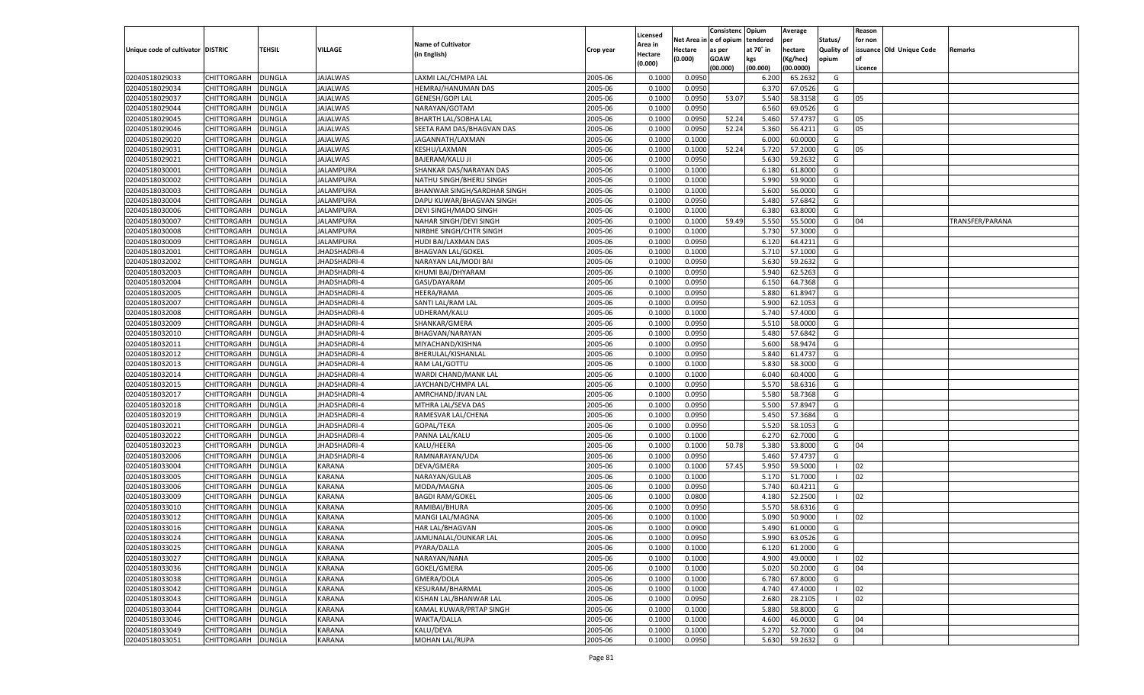|                                   |                    |               |                     |                                    |           |                     |            | Consistenc    | Opium     | Average   |                   | Reason  |                          |                 |
|-----------------------------------|--------------------|---------------|---------------------|------------------------------------|-----------|---------------------|------------|---------------|-----------|-----------|-------------------|---------|--------------------------|-----------------|
|                                   |                    |               |                     | <b>Name of Cultivator</b>          |           | Licensed<br>Area in | Net Area i | n  e of opium | tendered  | per       | Status/           | for non |                          |                 |
| Unique code of cultivator DISTRIC |                    | TEHSIL        | VILLAGE             | (in English)                       | Crop year | Hectare             | Hectare    | as per        | at 70° in | hectare   | <b>Quality of</b> |         | issuance Old Unique Code | Remarks         |
|                                   |                    |               |                     |                                    |           | (0.000)             | (0.000)    | <b>GOAW</b>   | kgs       | (Kg/hec)  | opium             |         |                          |                 |
|                                   |                    |               |                     |                                    |           |                     |            | (00.000)      | (00.000)  | (00.0000) |                   | Licence |                          |                 |
| 02040518029033                    | CHITTORGARH        | DUNGLA        | <b>JAJALWAS</b>     | LAXMI LAL/CHMPA LAL                | 2005-06   | 0.1000              | 0.0950     |               | 6.200     | 65.2632   | G                 |         |                          |                 |
| 02040518029034                    | CHITTORGARH        | DUNGLA        | JAJALWAS            | HEMRAJ/HANUMAN DAS                 | 2005-06   | 0.1000              | 0.0950     |               | 6.370     | 67.0526   | G                 |         |                          |                 |
| 02040518029037                    | CHITTORGARH        | DUNGLA        | JAJALWAS            | <b>GENESH/GOPI LAL</b>             | 2005-06   | 0.1000              | 0.0950     | 53.07         | 5.540     | 58.3158   | G                 | 05      |                          |                 |
| 02040518029044                    | CHITTORGARH        | DUNGLA        | JAJALWAS            | NARAYAN/GOTAM                      | 2005-06   | 0.1000              | 0.0950     |               | 6.560     | 69.0526   | G                 |         |                          |                 |
| 02040518029045                    | CHITTORGARH        | DUNGLA        | <b>JAJALWAS</b>     | <b>BHARTH LAL/SOBHA LAL</b>        | 2005-06   | 0.1000              | 0.0950     | 52.24         | 5.460     | 57.4737   | G                 | 05      |                          |                 |
| 02040518029046                    | CHITTORGARH        | DUNGLA        | JAJALWAS            | SEETA RAM DAS/BHAGVAN DAS          | 2005-06   | 0.1000              | 0.0950     | 52.24         | 5.360     | 56.4211   | G                 | 05      |                          |                 |
| 02040518029020                    | CHITTORGARH        | DUNGLA        | JAJALWAS            | JAGANNATH/LAXMAN                   | 2005-06   | 0.1000              | 0.1000     |               | 6.000     | 60.0000   | G                 |         |                          |                 |
| 02040518029031                    | CHITTORGARH        | DUNGLA        | JAJALWAS            | KESHU/LAXMAN                       | 2005-06   | 0.1000              | 0.1000     | 52.24         | 5.720     | 57.2000   | G                 | 05      |                          |                 |
| 02040518029021                    | CHITTORGARH        | DUNGLA        | <b>JAJALWAS</b>     | <b>BAJERAM/KALU JI</b>             | 2005-06   | 0.1000              | 0.0950     |               | 5.630     | 59.2632   | G                 |         |                          |                 |
| 02040518030001                    | CHITTORGARH        | DUNGLA        | JALAMPURA           | SHANKAR DAS/NARAYAN DAS            | 2005-06   | 0.1000              | 0.1000     |               | 6.180     | 61.8000   | G                 |         |                          |                 |
| 02040518030002                    | CHITTORGARH        | DUNGLA        | JALAMPURA           | NATHU SINGH/BHERU SINGH            | 2005-06   | 0.1000              | 0.1000     |               | 5.990     | 59.9000   | G                 |         |                          |                 |
| 02040518030003                    | CHITTORGARH        | DUNGLA        | JALAMPURA           | <b>BHANWAR SINGH/SARDHAR SINGH</b> | 2005-06   | 0.1000              | 0.1000     |               | 5.600     | 56.0000   | G                 |         |                          |                 |
| 02040518030004                    | CHITTORGARH        | DUNGLA        | <b>JALAMPURA</b>    | DAPU KUWAR/BHAGVAN SINGH           | 2005-06   | 0.1000              | 0.0950     |               | 5.480     | 57.6842   | G                 |         |                          |                 |
| 02040518030006                    | CHITTORGARH        | DUNGLA        | JALAMPURA           | DEVI SINGH/MADO SINGH              | 2005-06   | 0.1000              | 0.1000     |               | 6.380     | 63.8000   | G                 |         |                          |                 |
| 02040518030007                    | CHITTORGARH        | DUNGLA        | <b>JALAMPURA</b>    | NAHAR SINGH/DEVI SINGH             | 2005-06   | 0.1000              | 0.1000     | 59.49         | 5.550     | 55.5000   | G                 | 04      |                          | TRANSFER/PARANA |
| 02040518030008                    | CHITTORGARH        | DUNGLA        | JALAMPURA           | NIRBHE SINGH/CHTR SINGH            | 2005-06   | 0.1000              | 0.1000     |               | 5.730     | 57.3000   | G                 |         |                          |                 |
| 02040518030009                    | CHITTORGARH        | DUNGLA        | <b>JALAMPURA</b>    | HUDI BAI/LAXMAN DAS                | 2005-06   | 0.1000              | 0.0950     |               | 6.120     | 64.4211   | G                 |         |                          |                 |
| 02040518032001                    | CHITTORGARH        | DUNGLA        | JHADSHADRI-4        | <b>BHAGVAN LAL/GOKEL</b>           | 2005-06   | 0.1000              | 0.1000     |               | 5.710     | 57.1000   | G                 |         |                          |                 |
| 02040518032002                    | CHITTORGARH        | DUNGLA        | <b>HADSHADRI-4</b>  | NARAYAN LAL/MODI BA                | 2005-06   | 0.1000              | 0.0950     |               | 5.630     | 59.2632   | G                 |         |                          |                 |
| 02040518032003                    | CHITTORGARH        | DUNGLA        | <b>IHADSHADRI-4</b> | KHUMI BAI/DHYARAM                  | 2005-06   | 0.1000              | 0.0950     |               | 5.940     | 62.5263   | G                 |         |                          |                 |
| 02040518032004                    | CHITTORGARH        | DUNGLA        | <b>HADSHADRI-4</b>  | GASI/DAYARAM                       | 2005-06   | 0.1000              | 0.0950     |               | 6.150     | 64.7368   | G                 |         |                          |                 |
| 02040518032005                    | CHITTORGARH        | DUNGLA        | JHADSHADRI-4        | HEERA/RAMA                         | 2005-06   | 0.1000              | 0.0950     |               | 5.880     | 61.8947   | G                 |         |                          |                 |
| 02040518032007                    | CHITTORGARH        | DUNGLA        | <b>HADSHADRI-4</b>  | SANTI LAL/RAM LAL                  | 2005-06   | 0.1000              | 0.0950     |               | 5.900     | 62.1053   | G                 |         |                          |                 |
| 02040518032008                    | CHITTORGARH        | DUNGLA        | <b>IHADSHADRI-4</b> | UDHERAM/KALU                       | 2005-06   | 0.1000              | 0.1000     |               | 5.740     | 57.4000   | G                 |         |                          |                 |
| 02040518032009                    | CHITTORGARH        | DUNGLA        | <b>HADSHADRI-4</b>  | SHANKAR/GMERA                      | 2005-06   | 0.1000              | 0.0950     |               | 5.510     | 58.0000   | G                 |         |                          |                 |
| 02040518032010                    | CHITTORGARH        | DUNGLA        | <b>IHADSHADRI-4</b> | BHAGVAN/NARAYAN                    | 2005-06   | 0.1000              | 0.0950     |               | 5.480     | 57.6842   | G                 |         |                          |                 |
| 02040518032011                    | CHITTORGARH        | DUNGLA        | <b>HADSHADRI-4</b>  | MIYACHAND/KISHNA                   | 2005-06   | 0.1000              | 0.0950     |               | 5.600     | 58.9474   | G                 |         |                          |                 |
| 02040518032012                    | CHITTORGARH        | DUNGLA        | <b>IHADSHADRI-4</b> | BHERULAL/KISHANLAL                 | 2005-06   | 0.1000              | 0.0950     |               | 5.840     | 61.4737   | G                 |         |                          |                 |
| 02040518032013                    | CHITTORGARH        | DUNGLA        | <b>HADSHADRI-4</b>  | RAM LAL/GOTTU                      | 2005-06   | 0.1000              | 0.1000     |               | 5.830     | 58.3000   | G                 |         |                          |                 |
| 02040518032014                    | CHITTORGARH        | DUNGLA        | JHADSHADRI-4        | WARDI CHAND/MANK LAL               | 2005-06   | 0.1000              | 0.1000     |               | 6.040     | 60.4000   | G                 |         |                          |                 |
| 02040518032015                    | CHITTORGARH        | DUNGLA        | JHADSHADRI-4        | JAYCHAND/CHMPA LAL                 | 2005-06   | 0.1000              | 0.0950     |               | 5.570     | 58.6316   | G                 |         |                          |                 |
| 02040518032017                    | CHITTORGARH        | DUNGLA        | JHADSHADRI-4        | AMRCHAND/JIVAN LAL                 | 2005-06   | 0.1000              | 0.0950     |               | 5.580     | 58.7368   | G                 |         |                          |                 |
| 02040518032018                    | CHITTORGARH        | DUNGLA        | JHADSHADRI-4        | MTHRA LAL/SEVA DAS                 | 2005-06   | 0.1000              | 0.0950     |               | 5.500     | 57.8947   | G                 |         |                          |                 |
| 02040518032019                    | CHITTORGARH        | DUNGLA        | JHADSHADRI-4        | RAMESVAR LAL/CHENA                 | 2005-06   | 0.1000              | 0.0950     |               | 5.450     | 57.3684   | G                 |         |                          |                 |
| 02040518032021                    | CHITTORGARH        | DUNGLA        | JHADSHADRI-4        | GOPAL/TEKA                         | 2005-06   | 0.1000              | 0.0950     |               | 5.520     | 58.105    | G                 |         |                          |                 |
| 02040518032022                    | CHITTORGARH        | DUNGLA        | JHADSHADRI-4        | PANNA LAL/KALU                     | 2005-06   | 0.1000              | 0.1000     |               | 6.270     | 62.7000   | G                 |         |                          |                 |
| 02040518032023                    |                    | DUNGLA        | JHADSHADRI-4        | KALU/HEERA                         | 2005-06   | 0.1000              | 0.1000     | 50.78         | 5.380     | 53.8000   | G                 | 04      |                          |                 |
|                                   | CHITTORGARH        |               |                     | RAMNARAYAN/UDA                     |           |                     |            |               |           |           |                   |         |                          |                 |
| 02040518032006                    | CHITTORGARH        | DUNGLA        | JHADSHADRI-4        |                                    | 2005-06   | 0.1000              | 0.0950     |               | 5.460     | 57.4737   | G<br>- 1          |         |                          |                 |
| 02040518033004                    | CHITTORGARH        | DUNGLA        | <b>KARANA</b>       | DEVA/GMERA                         | 2005-06   | 0.1000              | 0.1000     | 57.45         | 5.950     | 59.5000   |                   | 02      |                          |                 |
| 02040518033005                    | CHITTORGARH        | DUNGLA        | <b>KARANA</b>       | NARAYAN/GULAB                      | 2005-06   | 0.1000              | 0.1000     |               | 5.170     | 51.7000   | - 1               | 02      |                          |                 |
| 02040518033006                    | CHITTORGARH        | DUNGLA        | <b>KARANA</b>       | MODA/MAGNA                         | 2005-06   | 0.1000              | 0.0950     |               | 5.740     | 60.4211   | G                 |         |                          |                 |
| 02040518033009                    | CHITTORGARH        | DUNGLA        | <b>KARANA</b>       | <b>BAGDI RAM/GOKEL</b>             | 2005-06   | 0.1000              | 0.0800     |               | 4.180     | 52.2500   | - 1               | 02      |                          |                 |
| 02040518033010                    | CHITTORGARH        | DUNGLA        | <b>KARANA</b>       | RAMIBAI/BHURA                      | 2005-06   | 0.1000              | 0.0950     |               | 5.570     | 58.6316   | G                 |         |                          |                 |
| 02040518033012                    | CHITTORGARH        | DUNGLA        | <b>KARANA</b>       | MANGI LAL/MAGNA                    | 2005-06   | 0.1000              | 0.1000     |               | 5.090     | 50.9000   | - 1               | 02      |                          |                 |
| 02040518033016                    | CHITTORGARH        | <b>DUNGLA</b> | KARANA              | <b>HAR LAL/BHAGVAN</b>             | 2005-06   | 0.1000              | 0.0900     |               | 5.490     | 61.0000   | G                 |         |                          |                 |
| 02040518033024                    | CHITTORGARH        | <b>DUNGLA</b> | <b>KARANA</b>       | JAMUNALAL/OUNKAR LAL               | 2005-06   | 0.1000              | 0.0950     |               | 5.990     | 63.0526   | G                 |         |                          |                 |
| 02040518033025                    | <b>CHITTORGARH</b> | <b>DUNGLA</b> | KARANA              | PYARA/DALLA                        | 2005-06   | 0.1000              | 0.1000     |               | 6.120     | 61.2000   | G                 |         |                          |                 |
| 02040518033027                    | CHITTORGARH        | <b>DUNGLA</b> | KARANA              | NARAYAN/NANA                       | 2005-06   | 0.1000              | 0.1000     |               | 4.900     | 49.0000   | - 1               | 02      |                          |                 |
| 02040518033036                    | CHITTORGARH        | <b>DUNGLA</b> | KARANA              | GOKEL/GMERA                        | 2005-06   | 0.1000              | 0.1000     |               | 5.020     | 50.2000   | G                 | 04      |                          |                 |
| 02040518033038                    | <b>CHITTORGARH</b> | <b>DUNGLA</b> | KARANA              | GMERA/DOLA                         | 2005-06   | 0.1000              | 0.1000     |               | 6.780     | 67.8000   | G                 |         |                          |                 |
| 02040518033042                    | <b>CHITTORGARH</b> | <b>DUNGLA</b> | KARANA              | <b>KESURAM/BHARMAL</b>             | 2005-06   | 0.1000              | 0.1000     |               | 4.740     | 47.4000   | $\blacksquare$    | 02      |                          |                 |
| 02040518033043                    | CHITTORGARH        | <b>DUNGLA</b> | KARANA              | KISHAN LAL/BHANWAR LAL             | 2005-06   | 0.1000              | 0.0950     |               | 2.680     | 28.2105   | - 1               | 02      |                          |                 |
| 02040518033044                    | CHITTORGARH        | <b>DUNGLA</b> | KARANA              | KAMAL KUWAR/PRTAP SINGH            | 2005-06   | 0.1000              | 0.1000     |               | 5.880     | 58.8000   | G                 |         |                          |                 |
| 02040518033046                    | <b>CHITTORGARH</b> | <b>DUNGLA</b> | KARANA              | WAKTA/DALLA                        | 2005-06   | 0.1000              | 0.1000     |               | 4.600     | 46.0000   | G                 | 04      |                          |                 |
| 02040518033049                    | <b>CHITTORGARH</b> | <b>DUNGLA</b> | KARANA              | KALU/DEVA                          | 2005-06   | 0.1000              | 0.1000     |               | 5.270     | 52.7000   | G                 | 04      |                          |                 |
| 02040518033051                    | CHITTORGARH        | <b>DUNGLA</b> | KARANA              | MOHAN LAL/RUPA                     | 2005-06   | 0.1000              | 0.0950     |               | 5.630     | 59.2632   | G                 |         |                          |                 |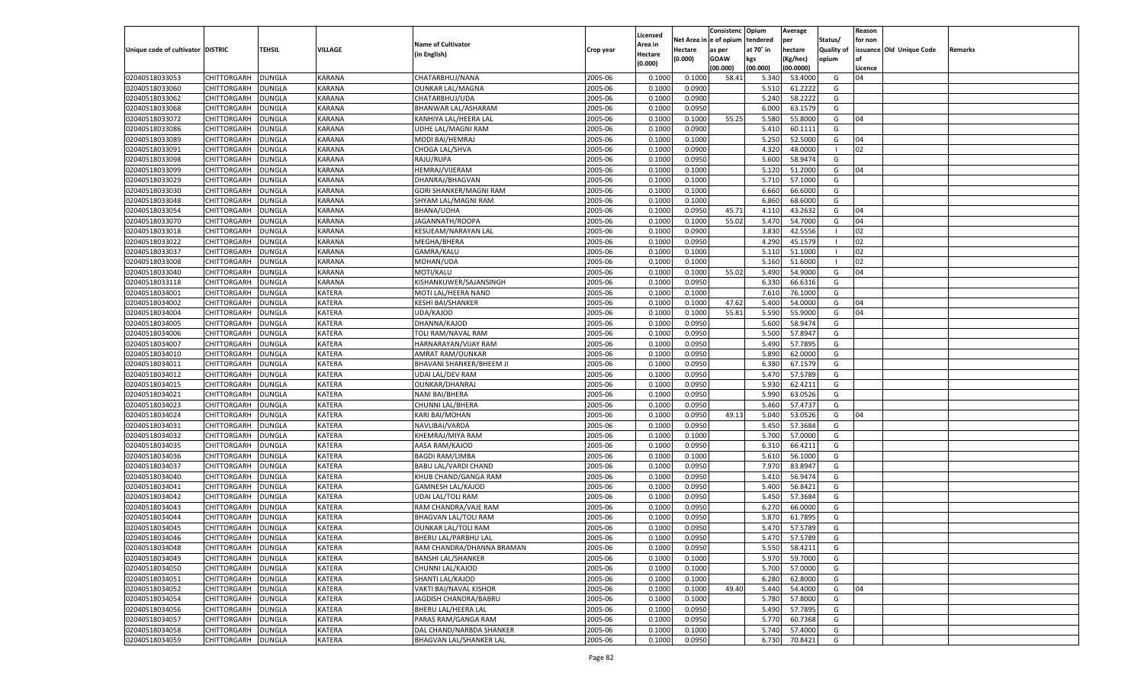|                                   |                    |               |               |                             |           |                    |            | Consistenc   | Opium             | Average       |                   | Reason  |                          |         |
|-----------------------------------|--------------------|---------------|---------------|-----------------------------|-----------|--------------------|------------|--------------|-------------------|---------------|-------------------|---------|--------------------------|---------|
|                                   |                    |               |               | <b>Name of Cultivator</b>   |           | Licensed           | Net Area i | n e of opium | tendered          | per           | Status/           | for non |                          |         |
| Unique code of cultivator DISTRIC |                    | TEHSIL        | VILLAGE       | (in English)                | Crop year | Area in<br>Hectare | Hectare    | as per       | at 70° in         | hectare       | <b>Quality of</b> |         | issuance Old Unique Code | Remarks |
|                                   |                    |               |               |                             |           | (0.000)            | (0.000)    | <b>GOAW</b>  | kgs               | (Kg/hec)      | opium             |         |                          |         |
|                                   |                    |               |               |                             |           |                    |            | (00.000)     | (00.000)          | (00.0000)     |                   | Licence |                          |         |
| 02040518033053                    | CHITTORGARH        | DUNGLA        | <b>KARANA</b> | CHATARBHUJ/NANA             | 2005-06   | 0.1000             | 0.1000     | 58.41        | 5.340             | 53.4000       | G                 | 04      |                          |         |
| 02040518033060                    | CHITTORGARH        | DUNGLA        | <b>KARANA</b> | <b>OUNKAR LAL/MAGNA</b>     | 2005-06   | 0.100              | 0.0900     |              | 5.510             | 61.2222       | G                 |         |                          |         |
| 02040518033062                    | CHITTORGARH        | DUNGLA        | KARANA        | CHATARBHUJ/UDA              | 2005-06   | 0.1000             | 0.0900     |              | 5.240             | 58.2222       | G                 |         |                          |         |
| 02040518033068                    | CHITTORGARH        | DUNGLA        | <b>KARANA</b> | BHANWAR LAL/ASHARAM         | 2005-06   | 0.1000             | 0.0950     |              | 6.000             | 63.1579       | G                 |         |                          |         |
| 02040518033072                    | CHITTORGARH        | DUNGLA        | KARANA        | KANHIYA LAL/HEERA LAL       | 2005-06   | 0.1000             | 0.1000     | 55.25        | 5.580             | 55.8000       | G                 | 04      |                          |         |
| 02040518033086                    | CHITTORGARH        | DUNGLA        | <b>KARANA</b> | UDHE LAL/MAGNI RAM          | 2005-06   | 0.1000             | 0.0900     |              | 5.410             | 60.1111       | G                 |         |                          |         |
| 02040518033089                    | CHITTORGARH        | DUNGLA        | KARANA        | MODI BAI/HEMRAJ             | 2005-06   | 0.1000             | 0.1000     |              | 5.25(             | 52.5000       | G                 | 04      |                          |         |
| 02040518033091                    | CHITTORGARH        | DUNGLA        | <b>KARANA</b> | CHOGA LAL/SHVA              | 2005-06   | 0.1000             | 0.0900     |              | 4.32 <sub>0</sub> | 48.0000       | - 1               | 02      |                          |         |
| 02040518033098                    | CHITTORGARH        | DUNGLA        | KARANA        | RAJU/RUPA                   | 2005-06   | 0.1000             | 0.0950     |              | 5.600             | 58.9474       | G                 |         |                          |         |
| 02040518033099                    | CHITTORGARH        | DUNGLA        | <b>KARANA</b> | HEMRAJ/VIJERAM              | 2005-06   | 0.1000             | 0.1000     |              | 5.120             | 51.2000       | G                 | 04      |                          |         |
| 02040518033029                    | CHITTORGARH        | DUNGLA        | KARANA        | DHANRAJ/BHAGVAN             | 2005-06   | 0.1000             | 0.1000     |              | 5.710             | 57.1000       | G                 |         |                          |         |
| 02040518033030                    | CHITTORGARH        | DUNGLA        | <b>KARANA</b> | GORI SHANKER/MAGNI RAM      | 2005-06   | 0.1000             | 0.1000     |              | 6.660             | 66.6000       | G                 |         |                          |         |
| 02040518033048                    | CHITTORGARH        | DUNGLA        | KARANA        | SHYAM LAL/MAGNI RAM         | 2005-06   | 0.1000             | 0.1000     |              | 6.860             | 68.6000       | G                 |         |                          |         |
| 02040518033054                    | CHITTORGARH        | DUNGLA        | KARANA        | BHANA/UDHA                  | 2005-06   | 0.1000             | 0.0950     | 45.71        | 4.110             | 43.2632       | G                 | 04      |                          |         |
| 02040518033070                    | CHITTORGARH        | DUNGLA        | KARANA        | JAGANNATH/ROOPA             | 2005-06   | 0.1000             | 0.1000     | 55.02        | 5.470             | 54.7000       | G                 | 04      |                          |         |
| 02040518033018                    | CHITTORGARH        | DUNGLA        | KARANA        | KESUEAM/NARAYAN LAL         | 2005-06   | 0.1000             | 0.0900     |              | 3.830             | 42.5556       |                   | 02      |                          |         |
| 02040518033022                    | CHITTORGARH        | DUNGLA        | KARANA        | MEGHA/BHERA                 | 2005-06   | 0.1000             | 0.0950     |              | 4.290             | 45.1579       | - 1               | 02      |                          |         |
| 02040518033037                    | CHITTORGARH        | DUNGLA        | KARANA        | GAMRA/KALU                  | 2005-06   | 0.1000             | 0.1000     |              | 5.110             | 51.1000       | - 1               | 02      |                          |         |
| 02040518033008                    | CHITTORGARH        | DUNGLA        | KARANA        | MOHAN/UDA                   | 2005-06   | 0.1000             | 0.1000     |              | 5.160             | 51.6000       | - 1               | 02      |                          |         |
| 02040518033040                    | CHITTORGARH        | DUNGLA        | KARANA        | MOTI/KALU                   | 2005-06   | 0.1000             | 0.1000     | 55.02        | 5.490             | 54.9000       | G                 | 04      |                          |         |
| 02040518033118                    | CHITTORGARH        | DUNGLA        | KARANA        | KISHANKUWER/SAJANSINGH      | 2005-06   | 0.1000             | 0.0950     |              | 6.330             | 66.6316       | G                 |         |                          |         |
| 02040518034001                    | CHITTORGARH        | DUNGLA        | KATERA        | MOTI LAL/HEERA NAND         | 2005-06   | 0.1000             | 0.1000     |              | 7.610             | 76.1000       | G                 |         |                          |         |
| 02040518034002                    | CHITTORGARH        | DUNGLA        | KATERA        | <b>KESHI BAI/SHANKER</b>    | 2005-06   | 0.1000             | 0.1000     | 47.62        | 5.400             | 54.0000       | G                 | 04      |                          |         |
| 02040518034004                    | CHITTORGARH        | DUNGLA        | KATERA        | UDA/KAJOD                   | 2005-06   | 0.1000             | 0.1000     | 55.81        | 5.590             | 55.9000       | G                 | 04      |                          |         |
| 02040518034005                    | CHITTORGARH        | DUNGLA        | KATERA        | DHANNA/KAJOD                | 2005-06   | 0.1000             | 0.0950     |              | 5.600             | 58.9474       | G                 |         |                          |         |
| 02040518034006                    | CHITTORGARH        | DUNGLA        | KATERA        | TOLI RAM/NAVAL RAM          | 2005-06   | 0.1000             | 0.0950     |              | 5.500             | 57.8947       | G                 |         |                          |         |
| 02040518034007                    | CHITTORGARH        | DUNGLA        | KATERA        | HARNARAYAN/VIJAY RAM        | 2005-06   | 0.1000             | 0.0950     |              | 5.490             | 57.7895       | G                 |         |                          |         |
| 02040518034010                    | CHITTORGARH        | DUNGLA        | KATERA        | AMRAT RAM/OUNKAR            | 2005-06   | 0.1000             | 0.0950     |              | 5.890             | 62.0000       | G                 |         |                          |         |
| 02040518034011                    | CHITTORGARH        | DUNGLA        | KATERA        | BHAVANI SHANKER/BHEEM JI    | 2005-06   | 0.1000             | 0.0950     |              | 6.380             | 67.1579       | G                 |         |                          |         |
| 02040518034012                    | CHITTORGARH        | DUNGLA        | <b>KATERA</b> | <b>UDAI LAL/DEV RAM</b>     | 2005-06   | 0.1000             | 0.0950     |              | 5.470             | 57.5789       | G                 |         |                          |         |
| 02040518034015                    | CHITTORGARH        | DUNGLA        | <b>KATERA</b> | <b>OUNKAR/DHANRAJ</b>       | 2005-06   | 0.1000             | 0.0950     |              | 5.930             | 62.4211       | G                 |         |                          |         |
| 02040518034021                    | CHITTORGARH        | DUNGLA        | <b>KATERA</b> | NANI BAI/BHERA              | 2005-06   | 0.1000             | 0.0950     |              | 5.990             | 63.0526       | G                 |         |                          |         |
| 02040518034023                    | CHITTORGARH        | DUNGLA        | <b>KATERA</b> | CHUNNI LAL/BHERA            | 2005-06   | 0.1000             | 0.0950     |              | 5.460             | 57.4737       | G                 |         |                          |         |
| 02040518034024                    | CHITTORGARH        | DUNGLA        | <b>KATERA</b> | <b>KARI BAI/MOHAN</b>       | 2005-06   | 0.1000             | 0.0950     | 49.13        | 5.040             | 53.0526       | G                 | 04      |                          |         |
| 02040518034031                    | CHITTORGARH        | DUNGLA        | <b>KATERA</b> | NAVLIBAI/VARDA              | 2005-06   | 0.1000             | 0.0950     |              | 5.450             | 57.3684       | G                 |         |                          |         |
| 02040518034032                    | CHITTORGARH        | DUNGLA        | <b>KATERA</b> | KHEMRAJ/MIYA RAM            | 2005-06   | 0.1000             | 0.1000     |              | 5.700             | 57.0000       | G                 |         |                          |         |
| 02040518034035                    |                    | <b>DUNGLA</b> | <b>KATERA</b> |                             | 2005-06   | 0.1000             | 0.0950     |              | 6.310             | 66.4211       | G                 |         |                          |         |
|                                   | CHITTORGARH        |               |               | AASA RAM/KAJOD              |           |                    |            |              |                   |               |                   |         |                          |         |
| 02040518034036                    | CHITTORGARH        | DUNGLA        | <b>KATERA</b> | <b>BAGDI RAM/LIMBA</b>      | 2005-06   | 0.1000             | 0.1000     |              | 5.610             | 56.1000       | G                 |         |                          |         |
| 02040518034037<br>02040518034040  | CHITTORGARH        | DUNGLA        | <b>KATERA</b> | <b>BABU LAL/VARDI CHAND</b> | 2005-06   | 0.1000             | 0.0950     |              | 7.970             | 83.8947       | G                 |         |                          |         |
|                                   | CHITTORGARH        | DUNGLA        | <b>KATERA</b> | KHUB CHAND/GANGA RAM        | 2005-06   | 0.1000             | 0.0950     |              | 5.41              | 56.9474       | G                 |         |                          |         |
| 02040518034041                    | CHITTORGARH        | DUNGLA        | <b>KATERA</b> | <b>GAMNESH LAL/KAJOD</b>    | 2005-06   | 0.1000             | 0.0950     |              | 5.400             | 56.8421       | G                 |         |                          |         |
| 02040518034042                    | CHITTORGARH        | DUNGLA        | <b>KATERA</b> | <b>UDAI LAL/TOLI RAM</b>    | 2005-06   | 0.1000             | 0.0950     |              | 5.450             | 57.3684       | G                 |         |                          |         |
| 02040518034043                    | CHITTORGARH        | DUNGLA        | <b>KATERA</b> | RAM CHANDRA/VAJE RAM        | 2005-06   | 0.1000             | 0.0950     |              | 6.270             | 66.0000       | G                 |         |                          |         |
| 02040518034044                    | CHITTORGARH        | DUNGLA        | <b>KATERA</b> | <b>BHAGVAN LAL/TOLI RAM</b> | 2005-06   | 0.1000             | 0.0950     |              | 5.870             | 61.7895       | G                 |         |                          |         |
| 02040518034045                    | CHITTORGARH        | <b>DUNGLA</b> | <b>KATERA</b> | <b>OUNKAR LAL/TOLI RAM</b>  | 2005-06   | 0.1000             | 0.0950     |              | 5.470             | 57.5789       | G                 |         |                          |         |
| 02040518034046                    | CHITTORGARH        | <b>DUNGLA</b> | <b>KATERA</b> | BHERU LAL/PARBHU LAL        | 2005-06   | 0.1000             | 0.0950     |              |                   | 5.470 57.5789 | G                 |         |                          |         |
| 02040518034048                    | <b>CHITTORGARH</b> | <b>DUNGLA</b> | <b>KATERA</b> | RAM CHANDRA/DHANNA BRAMAN   | 2005-06   | 0.1000             | 0.0950     |              | 5.550             | 58.4211       | G                 |         |                          |         |
| 02040518034049                    | CHITTORGARH        | <b>DUNGLA</b> | KATERA        | <b>BANSHI LAL/SHANKER</b>   | 2005-06   | 0.1000             | 0.1000     |              | 5.970             | 59.7000       | G                 |         |                          |         |
| 02040518034050                    | CHITTORGARH        | <b>DUNGLA</b> | <b>KATERA</b> | CHUNNI LAL/KAJOD            | 2005-06   | 0.1000             | 0.1000     |              | 5.700             | 57.0000       | G                 |         |                          |         |
| 02040518034051                    | <b>CHITTORGARH</b> | <b>DUNGLA</b> | <b>KATERA</b> | SHANTI LAL/KAJOD            | 2005-06   | 0.1000             | 0.1000     |              | 6.280             | 62.8000       | G                 |         |                          |         |
| 02040518034052                    | CHITTORGARH        | <b>DUNGLA</b> | <b>KATERA</b> | VAKTI BAI/NAVAL KISHOR      | 2005-06   | 0.1000             | 0.1000     | 49.40        | 5.440             | 54.4000       | G                 | 04      |                          |         |
| 02040518034054                    | CHITTORGARH        | <b>DUNGLA</b> | <b>KATERA</b> | JAGDISH CHANDRA/BABRU       | 2005-06   | 0.1000             | 0.1000     |              | 5.780             | 57.8000       | G                 |         |                          |         |
| 02040518034056                    | CHITTORGARH        | <b>DUNGLA</b> | <b>KATERA</b> | <b>BHERU LAL/HEERA LAL</b>  | 2005-06   | 0.1000             | 0.0950     |              | 5.490             | 57.7895       | G                 |         |                          |         |
| 02040518034057                    | <b>CHITTORGARH</b> | <b>DUNGLA</b> | <b>KATERA</b> | PARAS RAM/GANGA RAM         | 2005-06   | 0.1000             | 0.0950     |              | 5.770             | 60.7368       | G                 |         |                          |         |
| 02040518034058                    | <b>CHITTORGARH</b> | <b>DUNGLA</b> | KATERA        | DAL CHAND/NARBDA SHANKER    | 2005-06   | 0.1000             | 0.1000     |              | 5.740             | 57.4000       | G                 |         |                          |         |
| 02040518034059                    | <b>CHITTORGARH</b> | <b>DUNGLA</b> | KATERA        | BHAGVAN LAL/SHANKER LAL     | 2005-06   | 0.1000             | 0.0950     |              | 6.730             | 70.8421       | G                 |         |                          |         |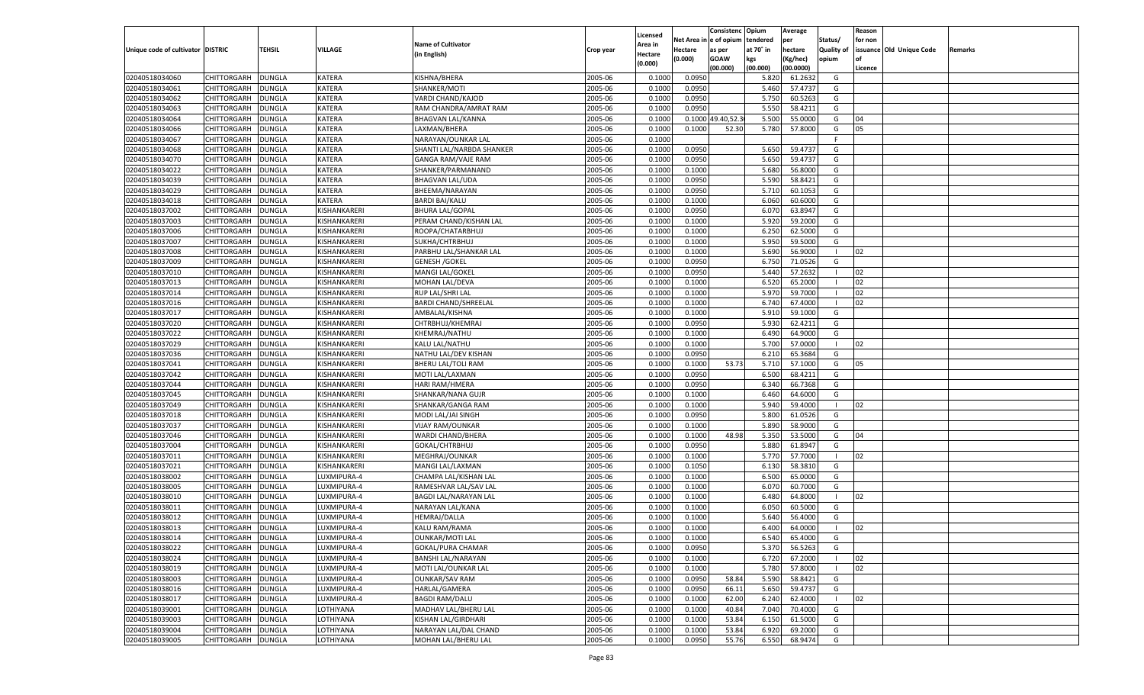|                                   |                    |               |              |                             |                    |                           |          | Consistenc       | Opium     | Average   |                   | Reason   |                          |         |
|-----------------------------------|--------------------|---------------|--------------|-----------------------------|--------------------|---------------------------|----------|------------------|-----------|-----------|-------------------|----------|--------------------------|---------|
|                                   |                    |               |              | <b>Name of Cultivator</b>   |                    | Licensed                  | Net Area | e of opium       | tendered  | per       | Status/           | for non  |                          |         |
| Unique code of cultivator DISTRIC |                    | <b>TEHSIL</b> | VILLAGE      | (in English)                | Crop year          | <b>Area in</b><br>Hectare | Hectare  | as per           | at 70° in | hectare   | <b>Quality of</b> |          | issuance Old Unique Code | Remarks |
|                                   |                    |               |              |                             |                    | (0.000)                   | (0.000)  | <b>GOAW</b>      | kgs       | (Kg/hec)  | opium             |          |                          |         |
|                                   |                    |               |              |                             |                    |                           |          | (00.000)         | (00.000)  | (00.0000) |                   | Licence  |                          |         |
| 02040518034060                    | CHITTORGARH        | <b>DUNGLA</b> | KATERA       | KISHNA/BHERA                | 2005-06            | 0.1000                    | 0.0950   |                  | 5.820     | 61.2632   | G                 |          |                          |         |
| 02040518034061                    | CHITTORGARH        | DUNGLA        | KATERA       | SHANKER/MOTI                | 2005-06            | 0.1000                    | 0.0950   |                  | 5.460     | 57.4737   | G                 |          |                          |         |
| 02040518034062                    | CHITTORGARH        | DUNGLA        | KATERA       | VARDI CHAND/KAJOD           | 2005-06            | 0.1000                    | 0.0950   |                  | 5.750     | 60.5263   | G                 |          |                          |         |
| 02040518034063                    | CHITTORGARH        | DUNGLA        | KATERA       | RAM CHANDRA/AMRAT RAM       | 2005-06            | 0.1000                    | 0.0950   |                  | 5.550     | 58.4211   | G                 |          |                          |         |
| 02040518034064                    | CHITTORGARH        | DUNGLA        | KATERA       | <b>BHAGVAN LAL/KANNA</b>    | 2005-06            | 0.1000                    |          | 0.1000 49.40,52. | 5.500     | 55.0000   | G                 | 04       |                          |         |
| 02040518034066                    | CHITTORGARH        | DUNGLA        | KATERA       | LAXMAN/BHERA                | 2005-06            | 0.1000                    | 0.1000   | 52.30            | 5.780     | 57.8000   | G                 | 05       |                          |         |
| 02040518034067                    | CHITTORGARH        | DUNGLA        | KATERA       | NARAYAN/OUNKAR LAL          | 2005-06            | 0.1000                    |          |                  |           |           | F.                |          |                          |         |
| 02040518034068                    | CHITTORGARH        | DUNGLA        | KATERA       | SHANTI LAL/NARBDA SHANKER   | 2005-06            | 0.1000                    | 0.0950   |                  | 5.650     | 59.4737   | G                 |          |                          |         |
| 02040518034070                    | CHITTORGARH        | DUNGLA        | KATERA       | <b>GANGA RAM/VAJE RAM</b>   | 2005-06            | 0.1000                    | 0.0950   |                  | 5.650     | 59.4737   | G                 |          |                          |         |
| 02040518034022                    | CHITTORGARH        | DUNGLA        | KATERA       | SHANKER/PARMANAND           | 2005-06            | 0.1000                    | 0.1000   |                  | 5.680     | 56.8000   | G                 |          |                          |         |
| 02040518034039                    | CHITTORGARH        | DUNGLA        | KATERA       | <b>BHAGVAN LAL/UDA</b>      | 2005-06            | 0.1000                    | 0.0950   |                  | 5.590     | 58.8421   | G                 |          |                          |         |
| 02040518034029                    | CHITTORGARH        | DUNGLA        | KATERA       | BHEEMA/NARAYAN              | 2005-06            | 0.1000                    | 0.0950   |                  | 5.710     | 60.1053   | G                 |          |                          |         |
| 02040518034018                    | CHITTORGARH        | DUNGLA        | KATERA       | <b>BARDI BAI/KALU</b>       | 2005-06            | 0.1000                    | 0.1000   |                  | 6.060     | 60.6000   | G                 |          |                          |         |
| 02040518037002                    | CHITTORGARH        | DUNGLA        | KISHANKARERI | <b>BHURA LAL/GOPAL</b>      | 2005-06            | 0.1000                    | 0.0950   |                  | 6.070     | 63.8947   | G                 |          |                          |         |
| 02040518037003                    | CHITTORGARH        | DUNGLA        | KISHANKARERI | PERAM CHAND/KISHAN LAL      | 2005-06            | 0.1000                    | 0.1000   |                  | 5.920     | 59.2000   | G                 |          |                          |         |
| 02040518037006                    | CHITTORGARH        | DUNGLA        | KISHANKARERI | ROOPA/CHATARBHUJ            | 2005-06            | 0.1000                    | 0.1000   |                  | 6.250     | 62.5000   | G                 |          |                          |         |
| 02040518037007                    | CHITTORGARH        | <b>DUNGLA</b> | KISHANKARERI | SUKHA/CHTRBHUJ              | 2005-06            | 0.1000                    | 0.1000   |                  | 5.950     | 59.5000   | G                 |          |                          |         |
| 02040518037008                    | CHITTORGARH        | DUNGLA        | KISHANKARERI | PARBHU LAL/SHANKAR LAL      | 2005-06            | 0.1000                    | 0.1000   |                  | 5.690     | 56.9000   | $\blacksquare$    | 02       |                          |         |
| 02040518037009                    | CHITTORGARH        | <b>DUNGLA</b> | KISHANKARERI | <b>GENESH / GOKEL</b>       | 2005-06            | 0.1000                    | 0.0950   |                  | 6.750     | 71.0526   | G                 |          |                          |         |
| 02040518037010                    | CHITTORGARH        | DUNGLA        | KISHANKARERI | MANGI LAL/GOKEL             | 2005-06            | 0.1000                    | 0.0950   |                  | 5.440     | 57.2632   | - 1               | 02       |                          |         |
| 02040518037013                    | CHITTORGARH        | DUNGLA        | KISHANKARERI | MOHAN LAL/DEVA              | 2005-06            | 0.1000                    | 0.1000   |                  | 6.520     | 65.2000   | - 1               | 02       |                          |         |
| 02040518037014                    | CHITTORGARH        | DUNGLA        | KISHANKARERI | RUP LAL/SHRI LAL            | 2005-06            | 0.1000                    | 0.1000   |                  | 5.970     | 59.7000   | - 1               | 02       |                          |         |
| 02040518037016                    | CHITTORGARH        | <b>DUNGLA</b> | KISHANKARERI | <b>BARDI CHAND/SHREELAL</b> | 2005-06            | 0.1000                    | 0.1000   |                  | 6.740     | 67.4000   | - 1               | 02       |                          |         |
| 02040518037017                    | CHITTORGARH        | DUNGLA        | KISHANKARERI | AMBALAL/KISHNA              | 2005-06            | 0.1000                    | 0.1000   |                  | 5.910     | 59.1000   | G                 |          |                          |         |
| 02040518037020                    | CHITTORGARH        | DUNGLA        | KISHANKARERI | CHTRBHUJ/KHEMRAJ            | 2005-06            | 0.1000                    | 0.0950   |                  | 5.930     | 62.4211   | G                 |          |                          |         |
| 02040518037022                    | CHITTORGARH        | DUNGLA        | KISHANKARERI | KHEMRAJ/NATHU               | 2005-06            | 0.1000                    | 0.1000   |                  | 6.490     | 64.9000   | G                 |          |                          |         |
| 02040518037029                    | CHITTORGARH        | <b>DUNGLA</b> | KISHANKARERI | KALU LAL/NATHU              | 2005-06            | 0.1000                    | 0.1000   |                  | 5.700     | 57.0000   | $\blacksquare$    | 02       |                          |         |
| 02040518037036                    | CHITTORGARH        | DUNGLA        | KISHANKARERI | NATHU LAL/DEV KISHAN        | 2005-06            | 0.1000                    | 0.0950   |                  | 6.210     | 65.3684   | G                 |          |                          |         |
| 02040518037041                    | CHITTORGARH        | DUNGLA        | KISHANKARERI | BHERU LAL/TOLI RAM          | 2005-06            | 0.1000                    | 0.1000   | 53.73            | 5.710     | 57.1000   | G                 | 05       |                          |         |
| 02040518037042                    | CHITTORGARH        | <b>DUNGLA</b> | KISHANKARERI | MOTI LAL/LAXMAN             | 2005-06            | 0.1000                    | 0.0950   |                  | 6.500     | 68.4211   | G                 |          |                          |         |
| 02040518037044                    | CHITTORGARH        | <b>DUNGLA</b> | KISHANKARERI | HARI RAM/HMERA              | 2005-06            | 0.1000                    | 0.0950   |                  | 6.340     | 66.7368   | G                 |          |                          |         |
| 02040518037045                    | CHITTORGARH        | <b>DUNGLA</b> | KISHANKARERI | SHANKAR/NANA GUJR           | 2005-06            | 0.1000                    | 0.1000   |                  | 6.460     | 64.6000   | G                 |          |                          |         |
| 02040518037049                    | CHITTORGARH        | <b>DUNGLA</b> | KISHANKARERI | SHANKAR/GANGA RAM           | 2005-06            | 0.1000                    | 0.1000   |                  | 5.940     | 59.4000   | - 1               | 02       |                          |         |
| 02040518037018                    | CHITTORGARH        | <b>DUNGLA</b> | KISHANKARERI | MODI LAL/JAI SINGH          | 2005-06            | 0.1000                    | 0.0950   |                  | 5.800     | 61.0526   | G                 |          |                          |         |
| 02040518037037                    | CHITTORGARH        | <b>DUNGLA</b> | KISHANKARERI | <b>VIJAY RAM/OUNKAR</b>     | 2005-06            | 0.1000                    | 0.1000   |                  | 5.890     | 58.9000   | G                 |          |                          |         |
| 02040518037046                    | CHITTORGARH        | <b>DUNGLA</b> | KISHANKARERI | WARDI CHAND/BHERA           | 2005-06            | 0.1000                    | 0.1000   | 48.98            | 5.350     | 53.5000   | G                 | 04       |                          |         |
| 02040518037004                    | CHITTORGARH        | <b>DUNGLA</b> | KISHANKARERI | GOKAL/CHTRBHUJ              | 2005-06            | 0.1000                    | 0.0950   |                  | 5.880     | 61.8947   | G                 |          |                          |         |
| 02040518037011                    | CHITTORGARH        | DUNGLA        | KISHANKARERI | MEGHRAJ/OUNKAR              | 2005-06            | 0.1000                    | 0.1000   |                  | 5.770     | 57.7000   | - 1               | 02       |                          |         |
| 02040518037021                    | CHITTORGARH        | <b>DUNGLA</b> | KISHANKARERI | MANGI LAL/LAXMAN            | 2005-06            | 0.1000                    | 0.1050   |                  | 6.130     | 58.3810   | G                 |          |                          |         |
| 02040518038002                    | CHITTORGARH        | <b>DUNGLA</b> | LUXMIPURA-4  | CHAMPA LAL/KISHAN LAL       | 2005-06            | 0.1000                    | 0.1000   |                  | 6.500     | 65.0000   | G                 |          |                          |         |
| 02040518038005                    | CHITTORGARH        | <b>DUNGLA</b> | LUXMIPURA-4  | RAMESHVAR LAL/SAV LAL       | 2005-06            | 0.1000                    | 0.1000   |                  | 6.070     | 60.7000   | G                 |          |                          |         |
| 02040518038010                    | CHITTORGARH        | DUNGLA        | LUXMIPURA-4  | BAGDI LAL/NARAYAN LAL       | 2005-06            | 0.1000                    | 0.1000   |                  | 6.480     | 64.8000   | - 1               | 02       |                          |         |
| 02040518038011                    | CHITTORGARH        | <b>DUNGLA</b> | LUXMIPURA-4  | NARAYAN LAL/KANA            | 2005-06            | 0.1000                    | 0.1000   |                  | 6.050     | 60.5000   | G                 |          |                          |         |
| 02040518038012                    | CHITTORGARH        | DUNGLA        | LUXMIPURA-4  | <b>HEMRAJ/DALLA</b>         | 2005-06            | 0.1000                    | 0.1000   |                  | 5.64      | 56.4000   | G                 |          |                          |         |
| 02040518038013                    | CHITTORGARH        | <b>DUNGLA</b> | LUXMIPURA-4  | KALU RAM/RAMA               | 2005-06            | 0.1000                    | 0.1000   |                  | 6.400     | 64.0000   | - 1               | 02       |                          |         |
| 02040518038014                    | CHITTORGARH        | <b>DUNGLA</b> | LUXMIPURA-4  | <b>OUNKAR/MOTI LAL</b>      |                    | 0.1000                    | 0.1000   |                  | 6.540     | 65.4000   | G                 |          |                          |         |
| 02040518038022                    |                    | <b>DUNGLA</b> | LUXMIPURA-4  | GOKAL/PURA CHAMAR           | 2005-06<br>2005-06 | 0.1000                    | 0.0950   |                  | 5.370     | 56.5263   | G                 |          |                          |         |
|                                   | <b>CHITTORGARH</b> |               |              |                             |                    |                           |          |                  |           |           | - 1               |          |                          |         |
| 02040518038024                    | CHITTORGARH        | <b>DUNGLA</b> | LUXMIPURA-4  | BANSHI LAL/NARAYAN          | 2005-06            | 0.1000                    | 0.1000   |                  | 6.720     | 67.2000   | - 1               | 02<br>02 |                          |         |
| 02040518038019                    | <b>CHITTORGARH</b> | <b>DUNGLA</b> | LUXMIPURA-4  | MOTI LAL/OUNKAR LAL         | 2005-06            | 0.1000                    | 0.1000   |                  | 5.780     | 57.8000   |                   |          |                          |         |
| 02040518038003                    | <b>CHITTORGARH</b> | <b>DUNGLA</b> | LUXMIPURA-4  | <b>OUNKAR/SAV RAM</b>       | 2005-06            | 0.1000                    | 0.0950   | 58.84            | 5.590     | 58.8421   | G                 |          |                          |         |
| 02040518038016                    | <b>CHITTORGARH</b> | <b>DUNGLA</b> | LUXMIPURA-4  | HARLAL/GAMERA               | 2005-06            | 0.1000                    | 0.0950   | 66.11            | 5.650     | 59.4737   | G                 |          |                          |         |
| 02040518038017                    | <b>CHITTORGARH</b> | <b>DUNGLA</b> | LUXMIPURA-4  | <b>BAGDI RAM/DALU</b>       | 2005-06            | 0.1000                    | 0.1000   | 62.00            | 6.240     | 62.4000   | - 1               | 02       |                          |         |
| 02040518039001                    | <b>CHITTORGARH</b> | <b>DUNGLA</b> | LOTHIYANA    | MADHAV LAL/BHERU LAL        | 2005-06            | 0.1000                    | 0.1000   | 40.84            | 7.040     | 70.4000   | G                 |          |                          |         |
| 02040518039003                    | <b>CHITTORGARH</b> | <b>DUNGLA</b> | LOTHIYANA    | KISHAN LAL/GIRDHARI         | 2005-06            | 0.1000                    | 0.1000   | 53.84            | 6.150     | 61.5000   | G                 |          |                          |         |
| 02040518039004                    | <b>CHITTORGARH</b> | <b>DUNGLA</b> | LOTHIYANA    | NARAYAN LAL/DAL CHAND       | 2005-06            | 0.1000                    | 0.1000   | 53.84            | 6.920     | 69.2000   | G                 |          |                          |         |
| 02040518039005                    | <b>CHITTORGARH</b> | <b>DUNGLA</b> | LOTHIYANA    | MOHAN LAL/BHERU LAL         | 2005-06            | 0.1000                    | 0.0950   | 55.76            | 6.550     | 68.9474   | G                 |          |                          |         |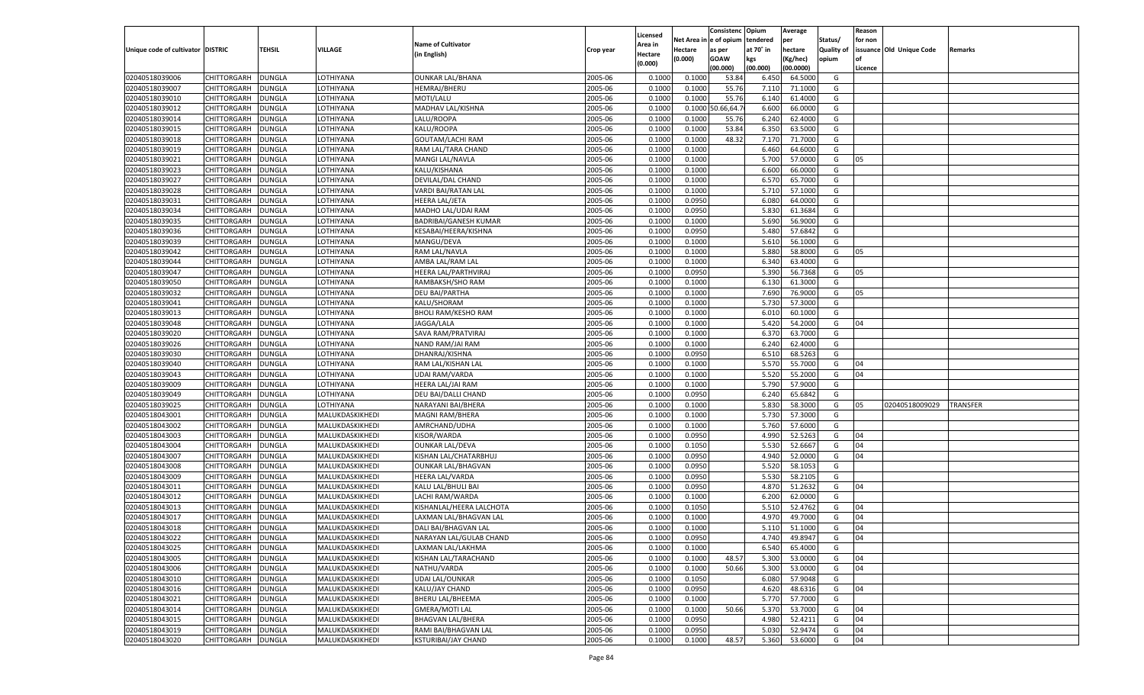|                                   |                    |               |                 |                              |           |          |          | Consistenc Opium |           | Average   |                   | Reason    |                          |                 |
|-----------------------------------|--------------------|---------------|-----------------|------------------------------|-----------|----------|----------|------------------|-----------|-----------|-------------------|-----------|--------------------------|-----------------|
|                                   |                    |               |                 |                              |           | Licensed | Net Area | e of opium       | tendered  | per       | Status/           | for non   |                          |                 |
| Unique code of cultivator DISTRIC |                    | TEHSIL        | VILLAGE         | <b>Name of Cultivator</b>    | Crop year | Area in  | Hectare  | as per           | at 70˚ in | hectare   | <b>Quality of</b> |           | issuance Old Unique Code | Remarks         |
|                                   |                    |               |                 | (in English)                 |           | Hectare  | (0.000)  | <b>GOAW</b>      | kgs       | (Kg/hec)  | opium             | <b>of</b> |                          |                 |
|                                   |                    |               |                 |                              |           | (0.000)  |          | (00.000)         | (00.000)  | (00.0000) |                   | Licence   |                          |                 |
| 02040518039006                    | CHITTORGARH        | <b>DUNGLA</b> | LOTHIYANA       | <b>OUNKAR LAL/BHANA</b>      | 2005-06   | 0.1000   | 0.1000   | 53.84            | 6.450     | 64.5000   | G                 |           |                          |                 |
| 02040518039007                    | CHITTORGARH        | <b>DUNGLA</b> | LOTHIYANA       | HEMRAJ/BHERU                 | 2005-06   | 0.1000   | 0.1000   | 55.76            | 7.110     | 71.1000   | G                 |           |                          |                 |
| 02040518039010                    | <b>CHITTORGARH</b> | <b>DUNGLA</b> | LOTHIYANA       | MOTI/LALU                    | 2005-06   | 0.1000   | 0.1000   | 55.76            | 6.140     | 61.4000   | G                 |           |                          |                 |
| 02040518039012                    | CHITTORGARH        | DUNGLA        | LOTHIYANA       | MADHAV LAL/KISHNA            | 2005-06   | 0.1000   | 0.1000   | 0.66, 64.7       | 6.600     | 66.0000   | G                 |           |                          |                 |
| 02040518039014                    | <b>CHITTORGARH</b> | <b>DUNGLA</b> | LOTHIYANA       | LALU/ROOPA                   | 2005-06   | 0.1000   | 0.1000   | 55.76            | 6.240     | 62.4000   | G                 |           |                          |                 |
| 02040518039015                    | CHITTORGARH        | <b>DUNGLA</b> | LOTHIYANA       | KALU/ROOPA                   | 2005-06   | 0.1000   | 0.1000   | 53.84            | 6.350     | 63.5000   | G                 |           |                          |                 |
| 02040518039018                    | <b>CHITTORGARH</b> | <b>DUNGLA</b> | LOTHIYANA       | <b>GOUTAM/LACHI RAM</b>      | 2005-06   | 0.1000   | 0.1000   | 48.32            | 7.170     | 71.7000   | G                 |           |                          |                 |
| 02040518039019                    | CHITTORGARH        | DUNGLA        | LOTHIYANA       | RAM LAL/TARA CHAND           | 2005-06   | 0.1000   | 0.1000   |                  | 6.460     | 64.6000   | G                 |           |                          |                 |
| 02040518039021                    | CHITTORGARH        | <b>DUNGLA</b> | LOTHIYANA       | MANGI LAL/NAVLA              | 2005-06   | 0.1000   | 0.1000   |                  | 5.700     | 57.0000   | G                 | 05        |                          |                 |
| 02040518039023                    | CHITTORGARH        | <b>DUNGLA</b> | LOTHIYANA       | KALU/KISHANA                 | 2005-06   | 0.1000   | 0.1000   |                  | 6.600     | 66.0000   | G                 |           |                          |                 |
| 02040518039027                    | CHITTORGARH        | <b>DUNGLA</b> | LOTHIYANA       | DEVILAL/DAL CHAND            | 2005-06   | 0.1000   | 0.1000   |                  | 6.570     | 65.7000   | G                 |           |                          |                 |
| 02040518039028                    | CHITTORGARH        | DUNGLA        | LOTHIYANA       | VARDI BAI/RATAN LAL          | 2005-06   | 0.1000   | 0.1000   |                  | 5.710     | 57.1000   | G                 |           |                          |                 |
| 02040518039031                    | CHITTORGARH        | <b>DUNGLA</b> | LOTHIYANA       | HEERA LAL/JETA               | 2005-06   | 0.1000   | 0.0950   |                  | 6.080     | 64.0000   | G                 |           |                          |                 |
| 02040518039034                    | CHITTORGARH        | DUNGLA        | LOTHIYANA       | MADHO LAL/UDAI RAM           | 2005-06   | 0.1000   | 0.0950   |                  | 5.83      | 61.3684   | G                 |           |                          |                 |
| 02040518039035                    | <b>CHITTORGARH</b> | <b>DUNGLA</b> | LOTHIYANA       | <b>BADRIBAI/GANESH KUMAR</b> | 2005-06   | 0.1000   | 0.1000   |                  | 5.690     | 56.9000   | G                 |           |                          |                 |
| 02040518039036                    | CHITTORGARH        | <b>DUNGLA</b> | LOTHIYANA       | KESABAI/HEERA/KISHNA         | 2005-06   | 0.1000   | 0.0950   |                  | 5.480     | 57.6842   | G                 |           |                          |                 |
| 02040518039039                    | <b>CHITTORGARH</b> | <b>DUNGLA</b> | LOTHIYANA       | MANGU/DEVA                   | 2005-06   | 0.1000   | 0.1000   |                  | 5.610     | 56.1000   | G                 |           |                          |                 |
| 02040518039042                    | CHITTORGARH        | DUNGLA        | LOTHIYANA       | RAM LAL/NAVLA                | 2005-06   | 0.1000   | 0.1000   |                  | 5.880     | 58.8000   | G                 | 05        |                          |                 |
| 02040518039044                    | <b>CHITTORGARH</b> | <b>DUNGLA</b> | LOTHIYANA       | AMBA LAL/RAM LAL             | 2005-06   | 0.1000   | 0.1000   |                  | 6.340     | 63.4000   | G                 |           |                          |                 |
| 02040518039047                    | CHITTORGARH        | <b>DUNGLA</b> | LOTHIYANA       | HEERA LAL/PARTHVIRAJ         | 2005-06   | 0.1000   | 0.0950   |                  | 5.390     | 56.7368   | G                 | 05        |                          |                 |
| 02040518039050                    | <b>CHITTORGARH</b> | <b>DUNGLA</b> | LOTHIYANA       | RAMBAKSH/SHO RAM             | 2005-06   | 0.1000   | 0.1000   |                  | 6.130     | 61.3000   | G                 |           |                          |                 |
|                                   |                    |               |                 |                              |           |          |          |                  |           |           |                   |           |                          |                 |
| 02040518039032                    | CHITTORGARH        | DUNGLA        | LOTHIYANA       | <b>DEU BAI/PARTHA</b>        | 2005-06   | 0.1000   | 0.1000   |                  | 7.690     | 76.9000   | G                 | 05        |                          |                 |
| 02040518039041                    | <b>CHITTORGARH</b> | <b>DUNGLA</b> | LOTHIYANA       | KALU/SHORAM                  | 2005-06   | 0.1000   | 0.1000   |                  | 5.730     | 57.3000   | G                 |           |                          |                 |
| 02040518039013                    | CHITTORGARH        | <b>DUNGLA</b> | LOTHIYANA       | <b>BHOLI RAM/KESHO RAM</b>   | 2005-06   | 0.1000   | 0.1000   |                  | 6.010     | 60.1000   | G                 |           |                          |                 |
| 02040518039048                    | <b>CHITTORGARH</b> | <b>DUNGLA</b> | LOTHIYANA       | JAGGA/LALA                   | 2005-06   | 0.1000   | 0.1000   |                  | 5.420     | 54.2000   | G                 | 04        |                          |                 |
| 02040518039020                    | CHITTORGARH        | DUNGLA        | LOTHIYANA       | SAVA RAM/PRATVIRAJ           | 2005-06   | 0.1000   | 0.1000   |                  | 6.37      | 63.7000   | G                 |           |                          |                 |
| 02040518039026                    | <b>CHITTORGARH</b> | <b>DUNGLA</b> | LOTHIYANA       | NAND RAM/JAI RAM             | 2005-06   | 0.1000   | 0.1000   |                  | 6.240     | 62.4000   | G                 |           |                          |                 |
| 02040518039030                    | CHITTORGARH        | <b>DUNGLA</b> | LOTHIYANA       | DHANRAJ/KISHNA               | 2005-06   | 0.1000   | 0.0950   |                  | 6.510     | 68.5263   | G                 |           |                          |                 |
| 02040518039040                    | <b>CHITTORGARH</b> | <b>DUNGLA</b> | LOTHIYANA       | RAM LAL/KISHAN LAL           | 2005-06   | 0.1000   | 0.1000   |                  | 5.570     | 55.7000   | G                 | 04        |                          |                 |
| 02040518039043                    | CHITTORGARH        | <b>DUNGLA</b> | LOTHIYANA       | <b>UDAI RAM/VARDA</b>        | 2005-06   | 0.1000   | 0.1000   |                  | 5.520     | 55.2000   | G                 | 04        |                          |                 |
| 02040518039009                    | CHITTORGARH        | DUNGLA        | LOTHIYANA       | HEERA LAL/JAI RAM            | 2005-06   | 0.1000   | 0.1000   |                  | 5.790     | 57.9000   | G                 |           |                          |                 |
| 02040518039049                    | CHITTORGARH        | DUNGLA        | LOTHIYANA       | DEU BAI/DALLI CHAND          | 2005-06   | 0.1000   | 0.0950   |                  | 6.240     | 65.6842   | G                 |           |                          |                 |
| 02040518039025                    | CHITTORGARH        | DUNGLA        | LOTHIYANA       | NARAYANI BAI/BHERA           | 2005-06   | 0.1000   | 0.1000   |                  | 5.83      | 58.3000   | G                 | 05        | 02040518009029           | <b>TRANSFER</b> |
| 02040518043001                    | CHITTORGARH        | DUNGLA        | MALUKDASKIKHEDI | MAGNI RAM/BHERA              | 2005-06   | 0.1000   | 0.1000   |                  | 5.730     | 57.3000   | G                 |           |                          |                 |
| 02040518043002                    | CHITTORGARH        | DUNGLA        | MALUKDASKIKHEDI | AMRCHAND/UDHA                | 2005-06   | 0.1000   | 0.1000   |                  | 5.760     | 57.6000   | G                 |           |                          |                 |
| 02040518043003                    | CHITTORGARH        | DUNGLA        | MALUKDASKIKHEDI | KISOR/WARDA                  | 2005-06   | 0.1000   | 0.0950   |                  | 4.990     | 52.5263   | G                 | 04        |                          |                 |
| 02040518043004                    | CHITTORGARH        | DUNGLA        | MALUKDASKIKHEDI | <b>OUNKAR LAL/DEVA</b>       | 2005-06   | 0.1000   | 0.1050   |                  | 5.530     | 52.6667   | G                 | 04        |                          |                 |
| 02040518043007                    | CHITTORGARH        | DUNGLA        | MALUKDASKIKHEDI | KISHAN LAL/CHATARBHUJ        | 2005-06   | 0.1000   | 0.0950   |                  | 4.940     | 52.0000   | G                 | 04        |                          |                 |
| 02040518043008                    | CHITTORGARH        | DUNGLA        | MALUKDASKIKHEDI | <b>OUNKAR LAL/BHAGVAN</b>    | 2005-06   | 0.1000   | 0.0950   |                  | 5.520     | 58.105    | G                 |           |                          |                 |
| 02040518043009                    | CHITTORGARH        | DUNGLA        | MALUKDASKIKHEDI | <b>HEERA LAL/VARDA</b>       | 2005-06   | 0.1000   | 0.0950   |                  | 5.530     | 58.2105   | G                 |           |                          |                 |
| 02040518043011                    | <b>CHITTORGARH</b> | DUNGLA        | MALUKDASKIKHEDI | KALU LAL/BHULI BAI           | 2005-06   | 0.1000   | 0.0950   |                  | 4.87      | 51.2632   | G                 | 04        |                          |                 |
| 02040518043012                    | CHITTORGARH        | DUNGLA        | MALUKDASKIKHEDI | LACHI RAM/WARDA              | 2005-06   | 0.1000   | 0.1000   |                  | 6.200     | 62.0000   | G                 |           |                          |                 |
| 02040518043013                    | CHITTORGARH        | DUNGLA        | MALUKDASKIKHEDI | KISHANLAL/HEERA LALCHOTA     | 2005-06   | 0.1000   | 0.1050   |                  | 5.51      | 52.4762   | G                 | 04        |                          |                 |
| 02040518043017                    | CHITTORGARH        | DUNGLA        | MALUKDASKIKHEDI | LAXMAN LAL/BHAGVAN LAL       | 2005-06   | 0.1000   | 0.1000   |                  | 4.97      | 49.7000   | G                 | 04        |                          |                 |
| 02040518043018                    | CHITTORGARH        | <b>DUNGLA</b> | MALUKDASKIKHEDI | DALI BAI/BHAGVAN LAL         | 2005-06   | 0.1000   | 0.1000   |                  | 5.110     | 51.1000   | G                 | 04        |                          |                 |
| 02040518043022                    | <b>CHITTORGARH</b> | <b>DUNGLA</b> | MALUKDASKIKHEDI | NARAYAN LAL/GULAB CHAND      | 2005-06   | 0.1000   | 0.0950   |                  | 4.740     | 49.8947   | G                 | 04        |                          |                 |
| 02040518043025                    | <b>CHITTORGARH</b> | <b>DUNGLA</b> | MALUKDASKIKHEDI | LAXMAN LAL/LAKHMA            | 2005-06   | 0.1000   | 0.1000   |                  | 6.540     | 65.4000   | G                 |           |                          |                 |
| 02040518043005                    | <b>CHITTORGARH</b> | <b>DUNGLA</b> | MALUKDASKIKHEDI | KISHAN LAL/TARACHAND         | 2005-06   | 0.1000   | 0.1000   | 48.57            | 5.300     | 53.0000   | G                 | 04        |                          |                 |
| 02040518043006                    | <b>CHITTORGARH</b> | <b>DUNGLA</b> | MALUKDASKIKHEDI | NATHU/VARDA                  | 2005-06   | 0.1000   | 0.1000   | 50.66            | 5.300     | 53.0000   | G                 | 04        |                          |                 |
| 02040518043010                    | <b>CHITTORGARH</b> | <b>DUNGLA</b> | MALUKDASKIKHEDI | UDAI LAL/OUNKAR              | 2005-06   | 0.1000   | 0.1050   |                  | 6.080     | 57.9048   | G                 |           |                          |                 |
| 02040518043016                    | <b>CHITTORGARH</b> | <b>DUNGLA</b> | MALUKDASKIKHEDI | KALU/JAY CHAND               | 2005-06   | 0.1000   | 0.0950   |                  | 4.620     | 48.6316   | G                 | 04        |                          |                 |
| 02040518043021                    | CHITTORGARH        | <b>DUNGLA</b> | MALUKDASKIKHEDI | <b>BHERU LAL/BHEEMA</b>      | 2005-06   | 0.1000   | 0.1000   |                  | 5.770     | 57.7000   | G                 |           |                          |                 |
| 02040518043014                    | <b>CHITTORGARH</b> | <b>DUNGLA</b> | MALUKDASKIKHEDI | <b>GMERA/MOTI LAL</b>        | 2005-06   | 0.1000   | 0.1000   | 50.66            | 5.370     | 53.7000   | G                 | 04        |                          |                 |
| 02040518043015                    | CHITTORGARH        | <b>DUNGLA</b> | MALUKDASKIKHEDI | <b>BHAGVAN LAL/BHERA</b>     | 2005-06   | 0.1000   | 0.0950   |                  | 4.980     | 52.4211   | G                 | 04        |                          |                 |
| 02040518043019                    | <b>CHITTORGARH</b> | <b>DUNGLA</b> | MALUKDASKIKHEDI | RAMI BAI/BHAGVAN LAL         | 2005-06   | 0.1000   | 0.0950   |                  | 5.030     | 52.9474   | G                 | 04        |                          |                 |
| 02040518043020                    | CHITTORGARH        | <b>DUNGLA</b> | MALUKDASKIKHEDI | <b>KSTURIBAI/JAY CHAND</b>   | 2005-06   | 0.1000   | 0.1000   | 48.57            | 5.360     | 53.6000   | G                 | 04        |                          |                 |
|                                   |                    |               |                 |                              |           |          |          |                  |           |           |                   |           |                          |                 |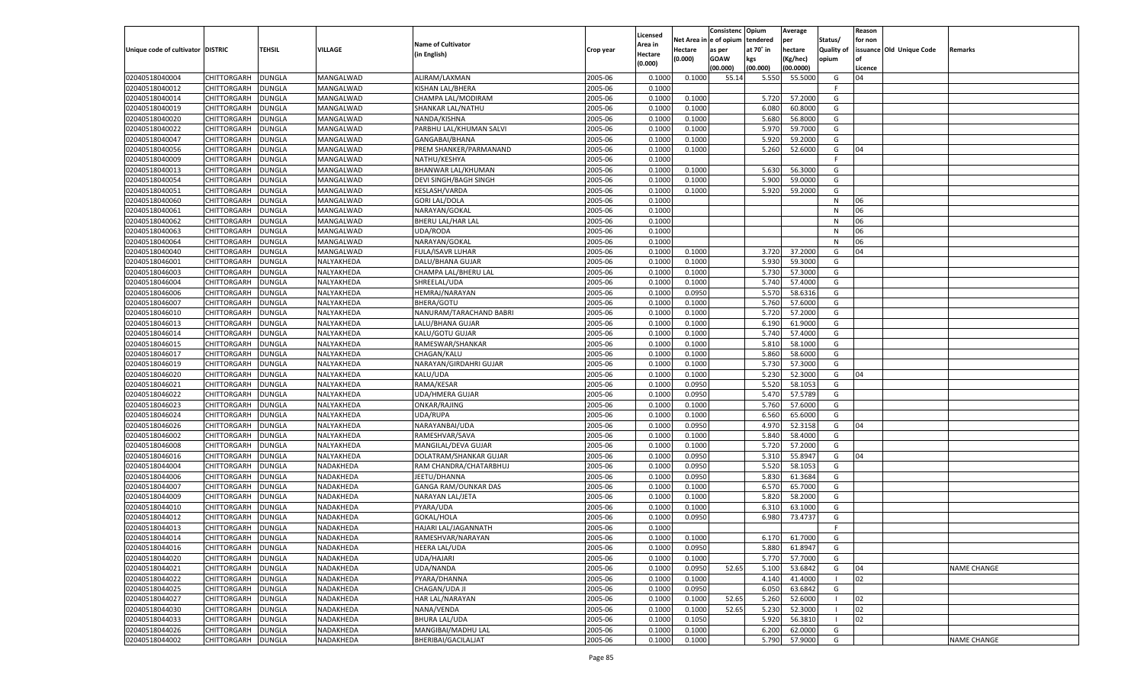|                                   |                    |               |                        |                           |           |                     |             | Consistenc    | Opium     | Average   |                   | Reason  |                          |                    |
|-----------------------------------|--------------------|---------------|------------------------|---------------------------|-----------|---------------------|-------------|---------------|-----------|-----------|-------------------|---------|--------------------------|--------------------|
|                                   |                    |               |                        | <b>Name of Cultivator</b> |           | Licensed<br>Area in | Net Area iı | n  e of opium | tendered  | per       | Status/           | for non |                          |                    |
| Unique code of cultivator DISTRIC |                    | TEHSIL        | <b>VILLAGE</b>         | (in English)              | Crop year | Hectare             | Hectare     | as per        | at 70° in | hectare   | <b>Quality of</b> |         | issuance Old Unique Code | Remarks            |
|                                   |                    |               |                        |                           |           | (0.000)             | (0.000)     | <b>GOAW</b>   | kgs       | (Kg/hec)  | opium             |         |                          |                    |
|                                   |                    |               |                        |                           |           |                     |             | (00.000)      | (00.000)  | (00.0000) |                   | Licence |                          |                    |
| 02040518040004                    | CHITTORGARH        | DUNGLA        | MANGALWAD              | ALIRAM/LAXMAN             | 2005-06   | 0.1000              | 0.1000      | 55.14         | 5.550     | 55.5000   | G                 | 04      |                          |                    |
| 02040518040012                    | CHITTORGARH        | DUNGLA        | MANGALWAD              | <b>KISHAN LAL/BHERA</b>   | 2005-06   | 0.1000              |             |               |           |           | E                 |         |                          |                    |
| 02040518040014                    | CHITTORGARH        | DUNGLA        | MANGALWAD              | CHAMPA LAL/MODIRAM        | 2005-06   | 0.1000              | 0.1000      |               | 5.720     | 57.2000   | G                 |         |                          |                    |
| 02040518040019                    | CHITTORGARH        | DUNGLA        | MANGALWAD              | SHANKAR LAL/NATHU         | 2005-06   | 0.1000              | 0.1000      |               | 6.080     | 60.8000   | G                 |         |                          |                    |
| 02040518040020                    | CHITTORGARH        | DUNGLA        | MANGALWAD              | NANDA/KISHNA              | 2005-06   | 0.1000              | 0.1000      |               | 5.680     | 56.8000   | G                 |         |                          |                    |
| 02040518040022                    | CHITTORGARH        | DUNGLA        | MANGALWAD              | PARBHU LAL/KHUMAN SALVI   | 2005-06   | 0.1000              | 0.1000      |               | 5.970     | 59.7000   | G                 |         |                          |                    |
| 02040518040047                    | CHITTORGARH        | DUNGLA        | MANGALWAD              | GANGABAI/BHANA            | 2005-06   | 0.1000              | 0.1000      |               | 5.920     | 59.2000   | G                 |         |                          |                    |
| 02040518040056                    | CHITTORGARH        | DUNGLA        | MANGALWAD              | PREM SHANKER/PARMANAND    | 2005-06   | 0.1000              | 0.1000      |               | 5.260     | 52.6000   | G                 | 04      |                          |                    |
| 02040518040009                    | CHITTORGARH        | DUNGLA        | MANGALWAD              | NATHU/KESHYA              | 2005-06   | 0.1000              |             |               |           |           | F.                |         |                          |                    |
| 02040518040013                    | CHITTORGARH        | DUNGLA        | MANGALWAD              | BHANWAR LAL/KHUMAN        | 2005-06   | 0.1000              | 0.1000      |               | 5.630     | 56.3000   | G                 |         |                          |                    |
| 02040518040054                    | CHITTORGARH        | DUNGLA        | MANGALWAD              | DEVI SINGH/BAGH SINGH     | 2005-06   | 0.1000              | 0.1000      |               | 5.900     | 59.0000   | G                 |         |                          |                    |
| 02040518040051                    | CHITTORGARH        | DUNGLA        | MANGALWAD              | KESLASH/VARDA             | 2005-06   | 0.1000              | 0.1000      |               | 5.920     | 59.2000   | G                 |         |                          |                    |
| 02040518040060                    | CHITTORGARH        | DUNGLA        | MANGALWAD              | <b>GORI LAL/DOLA</b>      | 2005-06   | 0.1000              |             |               |           |           | N                 | 06      |                          |                    |
| 02040518040061                    | CHITTORGARH        | DUNGLA        | MANGALWAD              | NARAYAN/GOKAL             | 2005-06   | 0.1000              |             |               |           |           | N                 | 06      |                          |                    |
| 02040518040062                    | CHITTORGARH        | DUNGLA        | MANGALWAD              | BHERU LAL/HAR LAL         | 2005-06   | 0.1000              |             |               |           |           | N                 | 06      |                          |                    |
| 02040518040063                    | CHITTORGARH        | DUNGLA        | MANGALWAD              | UDA/RODA                  | 2005-06   | 0.1000              |             |               |           |           | N                 | 06      |                          |                    |
| 02040518040064                    | CHITTORGARH        | DUNGLA        | MANGALWAD              | NARAYAN/GOKAL             | 2005-06   | 0.1000              |             |               |           |           | N                 | 06      |                          |                    |
| 02040518040040                    | CHITTORGARH        | DUNGLA        | MANGALWAD              | <b>FULA/ISAVR LUHAR</b>   | 2005-06   | 0.1000              | 0.1000      |               | 3.720     | 37.2000   | G                 | 04      |                          |                    |
| 02040518046001                    | CHITTORGARH        | DUNGLA        | NALYAKHEDA             | DALU/BHANA GUJAR          | 2005-06   | 0.1000              | 0.1000      |               | 5.930     | 59.3000   | G                 |         |                          |                    |
| 02040518046003                    | CHITTORGARH        | DUNGLA        | NALYAKHEDA             | CHAMPA LAL/BHERU LAL      | 2005-06   | 0.1000              | 0.1000      |               | 5.730     | 57.3000   | G                 |         |                          |                    |
| 02040518046004                    | CHITTORGARH        | DUNGLA        | NALYAKHEDA             | SHREELAL/UDA              | 2005-06   | 0.1000              | 0.1000      |               | 5.740     | 57.4000   | G                 |         |                          |                    |
| 02040518046006                    | CHITTORGARH        | DUNGLA        | NALYAKHEDA             | <b>HEMRAJ/NARAYAN</b>     | 2005-06   | 0.1000              | 0.0950      |               | 5.570     | 58.6316   | G                 |         |                          |                    |
| 02040518046007                    | CHITTORGARH        | DUNGLA        | NALYAKHEDA             | BHERA/GOTU                | 2005-06   | 0.1000              | 0.1000      |               | 5.760     | 57.6000   | G                 |         |                          |                    |
| 02040518046010                    | CHITTORGARH        | DUNGLA        | NALYAKHEDA             | NANURAM/TARACHAND BABRI   | 2005-06   | 0.1000              | 0.1000      |               | 5.720     | 57.2000   | G                 |         |                          |                    |
| 02040518046013                    | CHITTORGARH        | DUNGLA        | NALYAKHEDA             | LALU/BHANA GUJAR          | 2005-06   | 0.1000              | 0.1000      |               | 6.190     | 61.9000   | G                 |         |                          |                    |
| 02040518046014                    | CHITTORGARH        | DUNGLA        | NALYAKHEDA             | KALU/GOTU GUJAR           | 2005-06   | 0.1000              | 0.1000      |               | 5.740     | 57.4000   | G                 |         |                          |                    |
| 02040518046015                    | CHITTORGARH        | DUNGLA        | NALYAKHEDA             | RAMESWAR/SHANKAR          | 2005-06   | 0.1000              | 0.1000      |               | 5.810     | 58.1000   | G                 |         |                          |                    |
| 02040518046017                    | CHITTORGARH        | DUNGLA        | NALYAKHEDA             | CHAGAN/KALU               | 2005-06   | 0.1000              | 0.1000      |               | 5.860     | 58.6000   | G                 |         |                          |                    |
| 02040518046019                    | CHITTORGARH        | DUNGLA        | NALYAKHEDA             | NARAYAN/GIRDAHRI GUJAR    | 2005-06   | 0.1000              | 0.1000      |               | 5.730     | 57.3000   | G                 |         |                          |                    |
| 02040518046020                    | CHITTORGARH        | DUNGLA        | NALYAKHEDA             | KALU/UDA                  | 2005-06   | 0.1000              | 0.1000      |               | 5.230     | 52.3000   | G                 | 04      |                          |                    |
| 02040518046021                    | CHITTORGARH        | DUNGLA        | NALYAKHEDA             | RAMA/KESAR                | 2005-06   | 0.1000              | 0.0950      |               | 5.520     | 58.105    | G                 |         |                          |                    |
| 02040518046022                    | CHITTORGARH        | DUNGLA        | NALYAKHEDA             | <b>UDA/HMERA GUJAR</b>    | 2005-06   | 0.1000              | 0.0950      |               | 5.470     | 57.5789   | G                 |         |                          |                    |
| 02040518046023                    | CHITTORGARH        | DUNGLA        | NALYAKHEDA             | ONKAR/RAJING              | 2005-06   | 0.1000              | 0.1000      |               | 5.760     | 57.6000   | G                 |         |                          |                    |
| 02040518046024                    | CHITTORGARH        | DUNGLA        | NALYAKHEDA             | UDA/RUPA                  | 2005-06   | 0.1000              | 0.1000      |               | 6.560     | 65.6000   | G                 |         |                          |                    |
| 02040518046026                    | CHITTORGARH        | DUNGLA        | NALYAKHEDA             | NARAYANBAI/UDA            | 2005-06   | 0.1000              | 0.0950      |               | 4.970     | 52.3158   | G                 | 04      |                          |                    |
| 02040518046002                    | CHITTORGARH        | DUNGLA        | NALYAKHEDA             | RAMESHVAR/SAVA            | 2005-06   | 0.1000              | 0.1000      |               | 5.840     | 58.4000   | G                 |         |                          |                    |
| 02040518046008                    | CHITTORGARH        | DUNGLA        | NALYAKHEDA             | MANGILAL/DEVA GUJAR       | 2005-06   | 0.1000              | 0.1000      |               | 5.720     | 57.2000   | G                 |         |                          |                    |
| 02040518046016                    | CHITTORGARH        | DUNGLA        | NALYAKHEDA             | DOLATRAM/SHANKAR GUJAR    | 2005-06   | 0.1000              | 0.0950      |               | 5.310     | 55.8947   | G                 | 04      |                          |                    |
| 02040518044004                    | CHITTORGARH        | DUNGLA        | NADAKHEDA              | RAM CHANDRA/CHATARBHUJ    | 2005-06   | 0.1000              | 0.0950      |               | 5.520     | 58.1053   | G                 |         |                          |                    |
| 02040518044006                    | CHITTORGARH        | DUNGLA        | NADAKHEDA              | JEETU/DHANNA              | 2005-06   | 0.1000              | 0.0950      |               | 5.830     | 61.3684   | G                 |         |                          |                    |
| 02040518044007                    | CHITTORGARH        | <b>DUNGLA</b> | NADAKHEDA              | GANGA RAM/OUNKAR DAS      | 2005-06   | 0.1000              | 0.1000      |               | 6.570     | 65.7000   | G                 |         |                          |                    |
| 02040518044009                    | CHITTORGARH        | DUNGLA        | NADAKHEDA              | NARAYAN LAL/JETA          | 2005-06   | 0.1000              | 0.1000      |               | 5.820     | 58.2000   | G                 |         |                          |                    |
| 02040518044010                    | CHITTORGARH        | DUNGLA        | NADAKHEDA              | PYARA/UDA                 | 2005-06   | 0.1000              | 0.1000      |               | 6.310     | 63.1000   | G                 |         |                          |                    |
| 02040518044012                    |                    |               |                        |                           | 2005-06   | 0.1000              |             |               | 6.980     |           | G                 |         |                          |                    |
| 02040518044013                    | CHITTORGARH        | DUNGLA        | NADAKHEDA<br>NADAKHEDA | GOKAL/HOLA                | 2005-06   |                     | 0.0950      |               |           | 73.4737   | F.                |         |                          |                    |
|                                   | CHITTORGARH        | <b>DUNGLA</b> |                        | HAJARI LAL/JAGANNATH      |           | 0.1000              |             |               |           |           |                   |         |                          |                    |
| 02040518044014                    | CHITTORGARH        | <b>DUNGLA</b> | NADAKHEDA              | RAMESHVAR/NARAYAN         | 2005-06   | 0.1000              | 0.1000      |               | 6.170     | 61.7000   | G                 |         |                          |                    |
| 02040518044016                    | <b>CHITTORGARH</b> | <b>DUNGLA</b> | NADAKHEDA              | <b>HEERA LAL/UDA</b>      | 2005-06   | 0.1000              | 0.0950      |               | 5.880     | 61.8947   | G                 |         |                          |                    |
| 02040518044020                    | CHITTORGARH        | <b>DUNGLA</b> | NADAKHEDA              | UDA/HAJARI                | 2005-06   | 0.1000              | 0.1000      |               | 5.770     | 57.7000   | G                 |         |                          |                    |
| 02040518044021                    | CHITTORGARH        | <b>DUNGLA</b> | NADAKHEDA              | UDA/NANDA                 | 2005-06   | 0.1000              | 0.0950      | 52.65         | 5.100     | 53.6842   | G                 | 04      |                          | <b>NAME CHANGE</b> |
| 02040518044022                    | CHITTORGARH        | <b>DUNGLA</b> | NADAKHEDA              | PYARA/DHANNA              | 2005-06   | 0.1000              | 0.1000      |               | 4.140     | 41.4000   | - 1               | 02      |                          |                    |
| 02040518044025                    | CHITTORGARH        | <b>DUNGLA</b> | NADAKHEDA              | CHAGAN/UDA JI             | 2005-06   | 0.1000              | 0.0950      |               | 6.050     | 63.6842   | G                 |         |                          |                    |
| 02040518044027                    | CHITTORGARH        | <b>DUNGLA</b> | NADAKHEDA              | HAR LAL/NARAYAN           | 2005-06   | 0.1000              | 0.1000      | 52.65         | 5.260     | 52.6000   | $\blacksquare$    | 02      |                          |                    |
| 02040518044030                    | CHITTORGARH        | <b>DUNGLA</b> | NADAKHEDA              | NANA/VENDA                | 2005-06   | 0.1000              | 0.1000      | 52.65         | 5.230     | 52.3000   | - 1               | 02      |                          |                    |
| 02040518044033                    | CHITTORGARH        | <b>DUNGLA</b> | NADAKHEDA              | <b>BHURA LAL/UDA</b>      | 2005-06   | 0.1000              | 0.1050      |               | 5.920     | 56.3810   |                   | 02      |                          |                    |
| 02040518044026                    | <b>CHITTORGARH</b> | <b>DUNGLA</b> | <b>NADAKHEDA</b>       | MANGIBAI/MADHU LAL        | 2005-06   | 0.1000              | 0.1000      |               | 6.200     | 62.0000   | G                 |         |                          |                    |
| 02040518044002                    | CHITTORGARH        | <b>DUNGLA</b> | NADAKHEDA              | BHERIBAI/GACILALJAT       | 2005-06   | 0.1000              | 0.1000      |               | 5.790     | 57.9000   | G                 |         |                          | <b>NAME CHANGE</b> |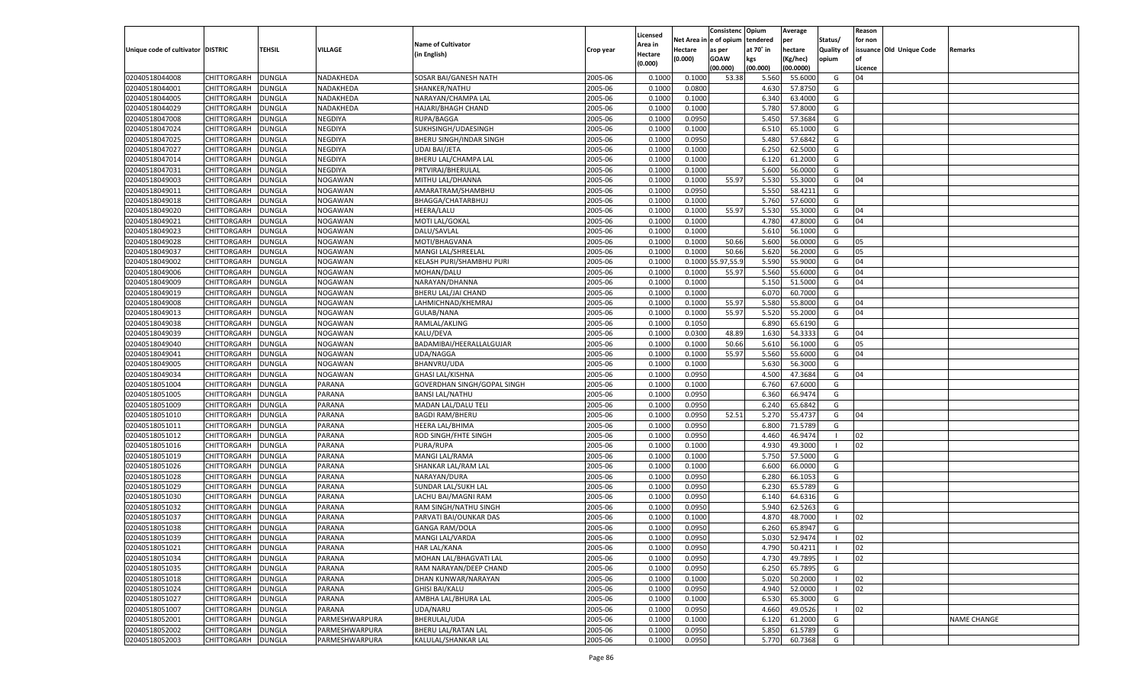|                                   |                    |               |                |                             |           | Licensed       |          | Consistenc  | Opium     | Average   |                   | Reason  |                          |                    |
|-----------------------------------|--------------------|---------------|----------------|-----------------------------|-----------|----------------|----------|-------------|-----------|-----------|-------------------|---------|--------------------------|--------------------|
|                                   |                    |               |                | <b>Name of Cultivator</b>   |           | <b>Area in</b> | Net Area | e of opium  | tendered  | per       | Status/           | for non |                          |                    |
| Unique code of cultivator DISTRIC |                    | <b>TEHSIL</b> | VILLAGE        | (in English)                | Crop year | Hectare        | Hectare  | as per      | at 70° in | hectare   | <b>Quality of</b> |         | issuance Old Unique Code | Remarks            |
|                                   |                    |               |                |                             |           | (0.000)        | (0.000)  | <b>GOAW</b> | kgs       | (Kg/hec)  | opium             |         |                          |                    |
|                                   |                    |               |                |                             |           |                |          | (00.000)    | (00.000)  | (00.0000) |                   | Licence |                          |                    |
| 02040518044008                    | CHITTORGARH        | <b>DUNGLA</b> | NADAKHEDA      | SOSAR BAI/GANESH NATH       | 2005-06   | 0.1000         | 0.1000   | 53.38       | 5.560     | 55.6000   | G                 | 04      |                          |                    |
| 02040518044001                    | CHITTORGARH        | DUNGLA        | NADAKHEDA      | SHANKER/NATHU               | 2005-06   | 0.1000         | 0.0800   |             | 4.630     | 57.8750   | G                 |         |                          |                    |
| 02040518044005                    | CHITTORGARH        | DUNGLA        | NADAKHEDA      | NARAYAN/CHAMPA LAL          | 2005-06   | 0.1000         | 0.1000   |             | 6.340     | 63.4000   | G                 |         |                          |                    |
| 02040518044029                    | CHITTORGARH        | DUNGLA        | NADAKHEDA      | HAJARI/BHAGH CHAND          | 2005-06   | 0.1000         | 0.1000   |             | 5.780     | 57.8000   | G                 |         |                          |                    |
| 02040518047008                    | CHITTORGARH        | DUNGLA        | NEGDIYA        | RUPA/BAGGA                  | 2005-06   | 0.1000         | 0.0950   |             | 5.450     | 57.3684   | G                 |         |                          |                    |
| 02040518047024                    | CHITTORGARH        | DUNGLA        | NEGDIYA        | SUKHSINGH/UDAESINGH         | 2005-06   | 0.1000         | 0.1000   |             | 6.510     | 65.1000   | G                 |         |                          |                    |
| 02040518047025                    | CHITTORGARH        | DUNGLA        | NEGDIYA        | BHERU SINGH/INDAR SINGH     | 2005-06   | 0.1000         | 0.0950   |             | 5.480     | 57.6842   | G                 |         |                          |                    |
| 02040518047027                    | CHITTORGARH        | DUNGLA        | NEGDIYA        | <b>UDAI BAI/JETA</b>        | 2005-06   | 0.1000         | 0.1000   |             | 6.250     | 62.5000   | G                 |         |                          |                    |
| 02040518047014                    | CHITTORGARH        | DUNGLA        | NEGDIYA        | BHERU LAL/CHAMPA LAL        | 2005-06   | 0.1000         | 0.1000   |             | 6.120     | 61.2000   | G                 |         |                          |                    |
| 02040518047031                    | CHITTORGARH        | DUNGLA        | NEGDIYA        | PRTVIRAJ/BHERULAL           | 2005-06   | 0.1000         | 0.1000   |             | 5.600     | 56.0000   | G                 |         |                          |                    |
| 02040518049003                    | CHITTORGARH        | DUNGLA        | NOGAWAN        | MITHU LAL/DHANNA            | 2005-06   | 0.1000         | 0.1000   | 55.97       | 5.530     | 55.3000   | G                 | 04      |                          |                    |
| 02040518049011                    | CHITTORGARH        | DUNGLA        | NOGAWAN        | AMARATRAM/SHAMBHU           | 2005-06   | 0.1000         | 0.0950   |             | 5.550     | 58.4211   | G                 |         |                          |                    |
| 02040518049018                    | CHITTORGARH        | DUNGLA        | NOGAWAN        | BHAGGA/CHATARBHUJ           | 2005-06   | 0.1000         | 0.1000   |             | 5.760     | 57.6000   | G                 |         |                          |                    |
| 02040518049020                    | CHITTORGARH        | DUNGLA        | NOGAWAN        | HEERA/LALU                  | 2005-06   | 0.1000         | 0.1000   | 55.97       | 5.530     | 55.3000   | G                 | 04      |                          |                    |
| 02040518049021                    | CHITTORGARH        | DUNGLA        | NOGAWAN        | MOTI LAL/GOKAL              | 2005-06   | 0.1000         | 0.1000   |             | 4.780     | 47.8000   | G                 | 04      |                          |                    |
| 02040518049023                    | CHITTORGARH        | DUNGLA        | NOGAWAN        | DALU/SAVLAL                 | 2005-06   | 0.1000         | 0.1000   |             | 5.610     | 56.1000   | G                 |         |                          |                    |
| 02040518049028                    | CHITTORGARH        | DUNGLA        | NOGAWAN        | MOTI/BHAGVANA               | 2005-06   | 0.1000         | 0.1000   | 50.66       | 5.600     | 56.0000   | G                 | 05      |                          |                    |
| 02040518049037                    | CHITTORGARH        | DUNGLA        | NOGAWAN        | MANGI LAL/SHREELAL          | 2005-06   | 0.1000         | 0.1000   | 50.66       | 5.620     | 56.2000   | G                 | 05      |                          |                    |
| 02040518049002                    | CHITTORGARH        | DUNGLA        | NOGAWAN        | KELASH PURI/SHAMBHU PURI    | 2005-06   | 0.1000         | 0.1000   | 5.97,55.9   | 5.590     | 55.9000   | G                 | 04      |                          |                    |
| 02040518049006                    | CHITTORGARH        | DUNGLA        | NOGAWAN        | MOHAN/DALU                  | 2005-06   | 0.1000         | 0.1000   | 55.97       | 5.560     | 55.6000   | G                 | 04      |                          |                    |
| 02040518049009                    | CHITTORGARH        | DUNGLA        | NOGAWAN        | NARAYAN/DHANNA              | 2005-06   | 0.1000         | 0.1000   |             | 5.150     | 51.5000   | G                 | 04      |                          |                    |
| 02040518049019                    | CHITTORGARH        | DUNGLA        | NOGAWAN        | BHERU LAL/JAI CHAND         | 2005-06   | 0.1000         | 0.1000   |             | 6.070     | 60.7000   | G                 |         |                          |                    |
| 02040518049008                    | CHITTORGARH        | DUNGLA        | NOGAWAN        | LAHMICHNAD/KHEMRAJ          | 2005-06   | 0.1000         | 0.1000   | 55.97       | 5.580     | 55.8000   | G                 | 04      |                          |                    |
| 02040518049013                    | CHITTORGARH        | DUNGLA        | NOGAWAN        | <b>GULAB/NANA</b>           | 2005-06   | 0.1000         | 0.1000   | 55.97       | 5.520     | 55.2000   | G                 | 04      |                          |                    |
| 02040518049038                    | CHITTORGARH        | DUNGLA        | NOGAWAN        | RAMLAL/AKLING               | 2005-06   | 0.1000         | 0.1050   |             | 6.890     | 65.6190   | G                 |         |                          |                    |
| 02040518049039                    | CHITTORGARH        | DUNGLA        | NOGAWAN        | KALU/DEVA                   | 2005-06   | 0.1000         | 0.0300   | 48.89       | 1.630     | 54.3333   | G                 | 04      |                          |                    |
| 02040518049040                    | CHITTORGARH        | <b>DUNGLA</b> | NOGAWAN        | BADAMIBAI/HEERALLALGUJAR    | 2005-06   | 0.1000         | 0.1000   | 50.66       | 5.610     | 56.1000   | G                 | 05      |                          |                    |
| 02040518049041                    | CHITTORGARH        | DUNGLA        | NOGAWAN        | UDA/NAGGA                   | 2005-06   | 0.1000         | 0.1000   | 55.97       | 5.560     | 55.6000   | G                 | 04      |                          |                    |
| 02040518049005                    | CHITTORGARH        | DUNGLA        | NOGAWAN        | BHANVRU/UDA                 | 2005-06   | 0.1000         | 0.1000   |             | 5.630     | 56.3000   | G                 |         |                          |                    |
| 02040518049034                    | CHITTORGARH        | <b>DUNGLA</b> | NOGAWAN        | <b>GHASI LAL/KISHNA</b>     | 2005-06   | 0.1000         | 0.0950   |             | 4.500     | 47.3684   | G                 | 04      |                          |                    |
| 02040518051004                    | CHITTORGARH        | <b>DUNGLA</b> | PARANA         | GOVERDHAN SINGH/GOPAL SINGH | 2005-06   | 0.1000         | 0.1000   |             | 6.760     | 67.6000   | G                 |         |                          |                    |
| 02040518051005                    | CHITTORGARH        | DUNGLA        | PARANA         | <b>BANSI LAL/NATHU</b>      | 2005-06   | 0.1000         | 0.0950   |             | 6.360     | 66.9474   | G                 |         |                          |                    |
| 02040518051009                    | <b>CHITTORGARH</b> | DUNGLA        | PARANA         | MADAN LAL/DALU TELI         | 2005-06   | 0.1000         | 0.0950   |             | 6.240     | 65.6842   | G                 |         |                          |                    |
| 02040518051010                    | CHITTORGARH        | DUNGLA        | PARANA         | <b>BAGDI RAM/BHERU</b>      | 2005-06   | 0.1000         | 0.0950   | 52.51       | 5.27      | 55.4737   | G                 | 04      |                          |                    |
| 02040518051011                    | CHITTORGARH        | <b>DUNGLA</b> | PARANA         | <b>HEERA LAL/BHIMA</b>      | 2005-06   | 0.1000         | 0.0950   |             | 6.800     | 71.5789   | G                 |         |                          |                    |
| 02040518051012                    |                    |               |                |                             | 2005-06   |                |          |             | 4.460     | 46.9474   | - 1               | 02      |                          |                    |
|                                   | CHITTORGARH        | DUNGLA        | PARANA         | ROD SINGH/FHTE SINGH        |           | 0.1000         | 0.0950   |             |           |           | - 1               |         |                          |                    |
| 02040518051016                    | <b>CHITTORGARH</b> | DUNGLA        | PARANA         | PURA/RUPA                   | 2005-06   | 0.1000         | 0.1000   |             | 4.930     | 49.3000   |                   | 02      |                          |                    |
| 02040518051019                    | CHITTORGARH        | DUNGLA        | PARANA         | MANGI LAL/RAMA              | 2005-06   | 0.1000         | 0.1000   |             | 5.750     | 57.5000   | G                 |         |                          |                    |
| 02040518051026                    | CHITTORGARH        | <b>DUNGLA</b> | PARANA         | SHANKAR LAL/RAM LAL         | 2005-06   | 0.1000         | 0.1000   |             | 6.600     | 66.0000   | G                 |         |                          |                    |
| 02040518051028                    | CHITTORGARH        | DUNGLA        | PARANA         | NARAYAN/DURA                | 2005-06   | 0.1000         | 0.0950   |             | 6.280     | 66.105    | G                 |         |                          |                    |
| 02040518051029                    | <b>CHITTORGARH</b> | DUNGLA        | PARANA         | SUNDAR LAL/SUKH LAL         | 2005-06   | 0.1000         | 0.0950   |             | 6.23      | 65.5789   | G                 |         |                          |                    |
| 02040518051030                    | CHITTORGARH        | DUNGLA        | PARANA         | LACHU BAI/MAGNI RAM         | 2005-06   | 0.1000         | 0.0950   |             | 6.140     | 64.6316   | G                 |         |                          |                    |
| 02040518051032                    | CHITTORGARH        | DUNGLA        | PARANA         | RAM SINGH/NATHU SINGH       | 2005-06   | 0.1000         | 0.0950   |             | 5.94      | 62.5263   | G                 |         |                          |                    |
| 02040518051037                    | CHITTORGARH        | DUNGLA        | PARANA         | PARVATI BAI/OUNKAR DAS      | 2005-06   | 0.1000         | 0.1000   |             | 4.87      | 48.7000   | - 1               | 02      |                          |                    |
| 02040518051038                    | CHITTORGARH        | <b>DUNGLA</b> | PARANA         | <b>GANGA RAM/DOLA</b>       | 2005-06   | 0.1000         | 0.0950   |             | 6.260     | 65.8947   | G                 |         |                          |                    |
| 02040518051039                    | CHITTORGARH        | <b>DUNGLA</b> | <b>PARANA</b>  | MANGI LAL/VARDA             | 2005-06   | 0.1000         | 0.0950   |             | 5.030     | 52.9474   |                   | 02      |                          |                    |
| 02040518051021                    | <b>CHITTORGARH</b> | <b>DUNGLA</b> | PARANA         | <b>HAR LAL/KANA</b>         | 2005-06   | 0.1000         | 0.0950   |             | 4.790     | 50.4211   | - 1               | 02      |                          |                    |
| 02040518051034                    | <b>CHITTORGARH</b> | <b>DUNGLA</b> | PARANA         | MOHAN LAL/BHAGVATI LAL      | 2005-06   | 0.1000         | 0.0950   |             | 4.730     | 49.7895   | - 1               | 02      |                          |                    |
| 02040518051035                    | <b>CHITTORGARH</b> | <b>DUNGLA</b> | PARANA         | RAM NARAYAN/DEEP CHAND      | 2005-06   | 0.1000         | 0.0950   |             | 6.250     | 65.7895   | G                 |         |                          |                    |
| 02040518051018                    | <b>CHITTORGARH</b> | <b>DUNGLA</b> | PARANA         | DHAN KUNWAR/NARAYAN         | 2005-06   | 0.1000         | 0.1000   |             | 5.020     | 50.2000   | - 1               | 02      |                          |                    |
| 02040518051024                    | <b>CHITTORGARH</b> | <b>DUNGLA</b> | PARANA         | <b>GHISI BAI/KALU</b>       | 2005-06   | 0.1000         | 0.0950   |             | 4.940     | 52.0000   | $\blacksquare$    | 02      |                          |                    |
| 02040518051027                    | <b>CHITTORGARH</b> | <b>DUNGLA</b> | PARANA         | AMBHA LAL/BHURA LAL         | 2005-06   | 0.1000         | 0.1000   |             | 6.530     | 65.3000   | G                 |         |                          |                    |
| 02040518051007                    | <b>CHITTORGARH</b> | <b>DUNGLA</b> | PARANA         | UDA/NARU                    | 2005-06   | 0.1000         | 0.0950   |             | 4.660     | 49.0526   | - 1               | 02      |                          |                    |
| 02040518052001                    | <b>CHITTORGARH</b> | <b>DUNGLA</b> | PARMESHWARPURA | BHERULAL/UDA                | 2005-06   | 0.1000         | 0.1000   |             | 6.120     | 61.2000   | G                 |         |                          | <b>NAME CHANGE</b> |
| 02040518052002                    | <b>CHITTORGARH</b> | <b>DUNGLA</b> | PARMESHWARPURA | BHERU LAL/RATAN LAL         | 2005-06   | 0.1000         | 0.0950   |             | 5.850     | 61.5789   | G                 |         |                          |                    |
| 02040518052003                    | <b>CHITTORGARH</b> | <b>DUNGLA</b> | PARMESHWARPURA | KALULAL/SHANKAR LAL         | 2005-06   | 0.1000         | 0.0950   |             | 5.770     | 60.7368   | G                 |         |                          |                    |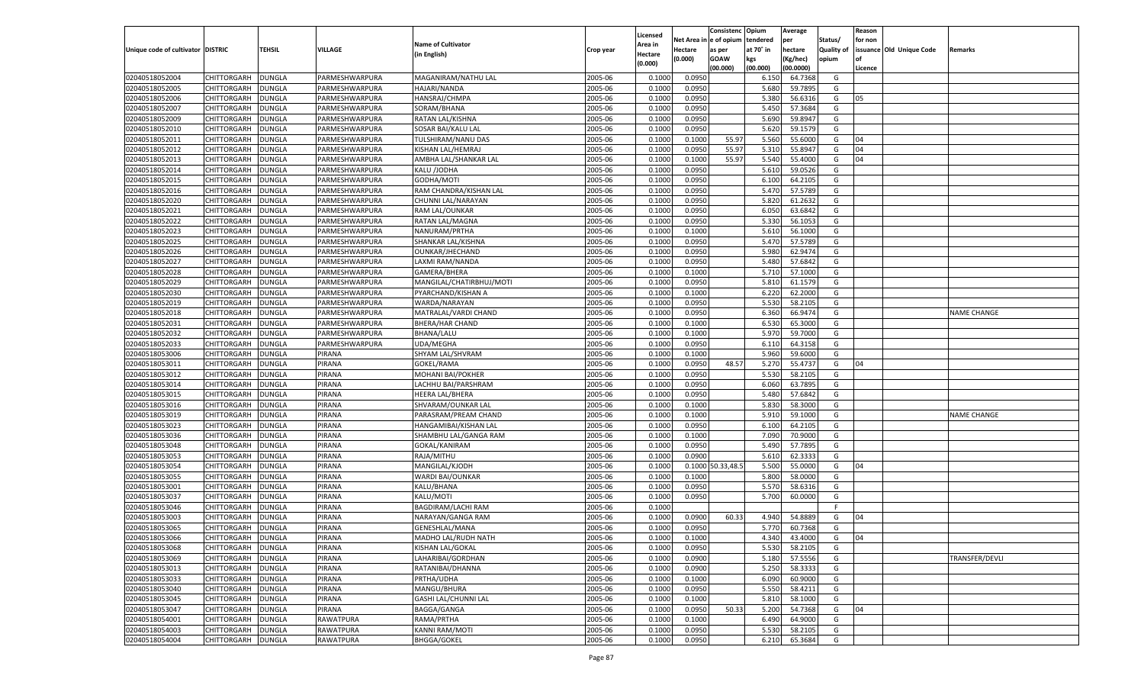| n e of opium<br>Net Area i<br>tendered<br>per<br>Status/<br>for non<br><b>Name of Cultivator</b><br>Area in<br>issuance Old Unique Code<br>Unique code of cultivator DISTRIC<br>TEHSIL<br><b>VILLAGE</b><br>at 70° in<br>hectare<br>Quality of<br>Hectare<br>as per<br>Remarks<br>Crop year<br>(in English)<br>Hectare<br>(0.000)<br><b>GOAW</b><br>kgs<br>(Kg/hec)<br>opium<br>(0.000)<br>(00.000)<br>(00.000)<br>(00.0000)<br>Licence<br>02040518052004<br>CHITTORGARH<br>PARMESHWARPURA<br>2005-06<br>0.0950<br><b>DUNGLA</b><br>MAGANIRAM/NATHU LAL<br>0.1000<br>6.150<br>64.7368<br>G<br>02040518052005<br>2005-06<br>CHITTORGARH<br>DUNGLA<br>PARMESHWARPURA<br><b>HAJARI/NANDA</b><br>0.1000<br>0.0950<br>5.680<br>59.7895<br>G<br>2005-06<br>0.0950<br>02040518052006<br>CHITTORGARH<br>DUNGLA<br>PARMESHWARPURA<br>HANSRAJ/CHMPA<br>0.1000<br>5.380<br>56.6316<br>G<br>05<br>02040518052007<br>2005-06<br>0.0950<br>5.450<br>57.3684<br>CHITTORGARH<br>DUNGLA<br>PARMESHWARPURA<br>SORAM/BHANA<br>0.1000<br>G<br>02040518052009<br>2005-06<br>0.0950<br>5.690<br>59.8947<br>CHITTORGARH<br>DUNGLA<br>PARMESHWARPURA<br>RATAN LAL/KISHNA<br>0.1000<br>G<br>02040518052010<br>2005-06<br>CHITTORGARH<br>DUNGLA<br>PARMESHWARPURA<br>SOSAR BAI/KALU LAL<br>0.1000<br>0.0950<br>5.620<br>59.1579<br>G<br>2005-06<br>55.97<br>02040518052011<br>CHITTORGARH<br>DUNGLA<br>PARMESHWARPURA<br>TULSHIRAM/NANU DAS<br>0.1000<br>0.1000<br>5.560<br>55.6000<br>G<br>04<br>02040518052012<br>2005-06<br>0.0950<br>55.97<br>5.310<br>55.8947<br>04<br>CHITTORGARH<br>DUNGLA<br>PARMESHWARPURA<br>KISHAN LAL/HEMRAJ<br>0.1000<br>G<br>55.97<br>02040518052013<br>2005-06<br>5.540<br>55.4000<br>04<br>CHITTORGARH<br>DUNGLA<br>PARMESHWARPURA<br>AMBHA LAL/SHANKAR LAL<br>0.1000<br>0.1000<br>G<br>02040518052014<br>2005-06<br>CHITTORGARH<br>DUNGLA<br>PARMESHWARPURA<br>KALU /JODHA<br>0.1000<br>0.0950<br>5.610<br>59.0526<br>G<br>02040518052015<br>2005-06<br>0.0950<br>CHITTORGARH<br>DUNGLA<br>PARMESHWARPURA<br>GODHA/MOTI<br>0.1000<br>6.100<br>64.2105<br>G<br>02040518052016<br>2005-06<br>0.0950<br>5.470<br>57.5789<br>CHITTORGARH<br>DUNGLA<br>PARMESHWARPURA<br>RAM CHANDRA/KISHAN LAL<br>0.1000<br>G<br>02040518052020<br>2005-06<br>0.0950<br>5.820<br>G<br>CHITTORGARH<br>DUNGLA<br>PARMESHWARPURA<br>CHUNNI LAL/NARAYAN<br>0.1000<br>61.2632<br>02040518052021<br>2005-06<br>6.050<br>63.6842<br>CHITTORGARH<br>DUNGLA<br>PARMESHWARPURA<br>RAM LAL/OUNKAR<br>0.1000<br>0.0950<br>G<br>02040518052022<br>2005-06<br>0.0950<br>5.330<br>56.1053<br>CHITTORGARH<br>DUNGLA<br>PARMESHWARPURA<br>RATAN LAL/MAGNA<br>0.1000<br>G<br>02040518052023<br>2005-06<br>5.610<br>56.1000<br>CHITTORGARH<br>DUNGLA<br>PARMESHWARPURA<br>NANURAM/PRTHA<br>0.1000<br>0.1000<br>G<br>02040518052025<br>DUNGLA<br>2005-06<br>0.0950<br>5.470<br>57.5789<br>G<br>CHITTORGARH<br>PARMESHWARPURA<br>SHANKAR LAL/KISHNA<br>0.1000<br>02040518052026<br>2005-06<br>5.980<br>62.9474<br>CHITTORGARH<br>DUNGLA<br>PARMESHWARPURA<br>OUNKAR/JHECHAND<br>0.1000<br>0.0950<br>G<br>02040518052027<br>2005-06<br>0.0950<br>5.480<br>57.6842<br>CHITTORGARH<br>DUNGLA<br>PARMESHWARPURA<br>LAXMI RAM/NANDA<br>0.1000<br>G<br>02040518052028<br>2005-06<br>5.710<br>57.1000<br>CHITTORGARH<br>DUNGLA<br>PARMESHWARPURA<br>GAMERA/BHERA<br>0.1000<br>0.1000<br>G<br>02040518052029<br>CHITTORGARH<br>DUNGLA<br>2005-06<br>0.0950<br>5.810<br>61.1579<br>G<br>PARMESHWARPURA<br>MANGILAL/CHATIRBHUJ/MOTI<br>0.1000<br>02040518052030<br>2005-06<br>6.220<br>62.2000<br>CHITTORGARH<br>DUNGLA<br>PARMESHWARPURA<br>PYARCHAND/KISHAN A<br>0.1000<br>0.1000<br>G<br>02040518052019<br>2005-06<br>0.0950<br>5.530<br>58.2105<br>CHITTORGARH<br>DUNGLA<br>PARMESHWARPURA<br>WARDA/NARAYAN<br>0.1000<br>G<br>02040518052018<br>2005-06<br>0.0950<br>6.360<br>66.9474<br>CHITTORGARH<br>DUNGLA<br>PARMESHWARPURA<br>MATRALAL/VARDI CHAND<br>0.1000<br>G<br><b>NAME CHANGE</b><br>02040518052031<br>CHITTORGARH<br>DUNGLA<br><b>BHERA/HAR CHAND</b><br>2005-06<br>0.1000<br>6.530<br>65.3000<br>G<br>PARMESHWARPURA<br>0.1000<br>02040518052032<br>2005-06<br>5.970<br>CHITTORGARH<br>DUNGLA<br>PARMESHWARPURA<br><b>BHANA/LALU</b><br>0.1000<br>0.1000<br>59.7000<br>G<br>02040518052033<br>2005-06<br>0.0950<br>64.3158<br>CHITTORGARH<br>DUNGLA<br>PARMESHWARPURA<br><b>UDA/MEGHA</b><br>0.1000<br>6.110<br>G<br>02040518053006<br>2005-06<br>5.960<br>59.6000<br>CHITTORGARH<br>DUNGLA<br>PIRANA<br>SHYAM LAL/SHVRAM<br>0.1000<br>0.1000<br>G<br>02040518053011<br>CHITTORGARH<br><b>DUNGLA</b><br>PIRANA<br>GOKEL/RAMA<br>2005-06<br>0.0950<br>48.57<br>5.270<br>55.4737<br>G<br>0.1000<br>04<br>02040518053012<br>PIRANA<br>2005-06<br>5.530<br>CHITTORGARH<br>DUNGLA<br><b>MOHANI BAI/POKHER</b><br>0.1000<br>0.0950<br>58.2105<br>G<br>02040518053014<br>PIRANA<br>2005-06<br>0.0950<br>6.060<br>63.7895<br>CHITTORGARH<br>DUNGLA<br>LACHHU BAI/PARSHRAM<br>0.1000<br>G<br>02040518053015<br>PIRANA<br>2005-06<br>5.480<br>57.6842<br>CHITTORGARH<br>DUNGLA<br><b>HEERA LAL/BHERA</b><br>0.1000<br>0.0950<br>G<br>02040518053016<br>PIRANA<br>2005-06<br>5.830<br>58.3000<br>CHITTORGARH<br>DUNGLA<br>SHVARAM/OUNKAR LAL<br>0.1000<br>0.1000<br>G<br>02040518053019<br>PIRANA<br>2005-06<br>5.910<br>CHITTORGARH<br>DUNGLA<br>PARASRAM/PREAM CHAND<br>0.1000<br>0.1000<br>59.1000<br>G<br><b>NAME CHANGE</b><br>02040518053023<br>PIRANA<br>2005-06<br>0.0950<br>64.2105<br>CHITTORGARH<br>DUNGLA<br>HANGAMIBAI/KISHAN LAL<br>0.1000<br>6.100<br>G<br>02040518053036<br>PIRANA<br>2005-06<br>7.090<br>70.9000<br>CHITTORGARH<br>DUNGLA<br>SHAMBHU LAL/GANGA RAM<br>0.1000<br>0.1000<br>G<br>02040518053048<br><b>DUNGLA</b><br>PIRANA<br>GOKAL/KANIRAM<br>2005-06<br>0.0950<br>5.490<br>57.7895<br>CHITTORGARH<br>0.1000<br>G<br>02040518053053<br>PIRANA<br>2005-06<br>0.0900<br>5.610<br>62.3333<br>CHITTORGARH<br>DUNGLA<br>RAJA/MITHU<br>0.1000<br>G<br>02040518053054<br>PIRANA<br>2005-06<br>0.1000 50.33,48.5<br>5.500<br>CHITTORGARH<br>DUNGLA<br>MANGILAL/KJODH<br>0.1000<br>55.0000<br>G<br>04<br>02040518053055<br>2005-06<br>5.800<br>58.0000<br>CHITTORGARH<br>DUNGLA<br>PIRANA<br>WARDI BAI/OUNKAR<br>0.1000<br>0.1000<br>G<br>02040518053001<br>PIRANA<br>2005-06<br>0.0950<br>5.570<br>58.6316<br>CHITTORGARH<br>DUNGLA<br>KALU/BHANA<br>0.1000<br>G<br>02040518053037<br>PIRANA<br>2005-06<br>5.700<br>CHITTORGARH<br>DUNGLA<br>KALU/MOTI<br>0.1000<br>0.0950<br>60.0000<br>G<br>02040518053046<br>PIRANA<br>2005-06<br>CHITTORGARH<br>DUNGLA<br>BAGDIRAM/LACHI RAM<br>0.1000<br>F.<br>02040518053003<br>2005-06<br>4.940<br>54.8889<br>CHITTORGARH<br>DUNGLA<br>PIRANA<br>NARAYAN/GANGA RAM<br>0.1000<br>0.0900<br>60.33<br>G<br>04<br>02040518053065<br><b>DUNGLA</b><br>PIRANA<br>2005-06<br>0.0950<br>5.770<br>60.7368<br>CHITTORGARH<br>GENESHLAL/MANA<br>0.1000<br>G<br>02040518053066<br>CHITTORGARH<br><b>DUNGLA</b><br>PIRANA<br>MADHO LAL/RUDH NATH<br>2005-06<br>0.1000<br>0.1000<br>4.340<br>43.4000<br>G<br>04<br>2005-06<br>02040518053068<br><b>DUNGLA</b><br>PIRANA<br>KISHAN LAL/GOKAL<br>0.1000<br>0.0950<br>5.530<br>58.2105<br><b>CHITTORGARH</b><br>G<br>02040518053069<br>CHITTORGARH<br><b>DUNGLA</b><br>PIRANA<br>LAHARIBAI/GORDHAN<br>2005-06<br>0.0900<br>5.180<br>57.5556<br>TRANSFER/DEVLI<br>0.1000<br>G<br>2005-06<br>02040518053013<br><b>CHITTORGARH</b><br><b>DUNGLA</b><br>PIRANA<br>RATANIBAI/DHANNA<br>0.0900<br>5.250<br>58.3333<br>G<br>0.1000<br>02040518053033<br>CHITTORGARH<br><b>DUNGLA</b><br>PIRANA<br>PRTHA/UDHA<br>2005-06<br>0.1000<br>6.090<br>60.9000<br>0.1000<br>G<br>02040518053040<br>CHITTORGARH<br><b>DUNGLA</b><br>PIRANA<br>MANGU/BHURA<br>2005-06<br>0.0950<br>5.550<br>58.4211<br>G<br>0.1000 |                |             |               |        |                      |         |          |        | Consistenc | Opium | Average |   | Reason |  |
|-----------------------------------------------------------------------------------------------------------------------------------------------------------------------------------------------------------------------------------------------------------------------------------------------------------------------------------------------------------------------------------------------------------------------------------------------------------------------------------------------------------------------------------------------------------------------------------------------------------------------------------------------------------------------------------------------------------------------------------------------------------------------------------------------------------------------------------------------------------------------------------------------------------------------------------------------------------------------------------------------------------------------------------------------------------------------------------------------------------------------------------------------------------------------------------------------------------------------------------------------------------------------------------------------------------------------------------------------------------------------------------------------------------------------------------------------------------------------------------------------------------------------------------------------------------------------------------------------------------------------------------------------------------------------------------------------------------------------------------------------------------------------------------------------------------------------------------------------------------------------------------------------------------------------------------------------------------------------------------------------------------------------------------------------------------------------------------------------------------------------------------------------------------------------------------------------------------------------------------------------------------------------------------------------------------------------------------------------------------------------------------------------------------------------------------------------------------------------------------------------------------------------------------------------------------------------------------------------------------------------------------------------------------------------------------------------------------------------------------------------------------------------------------------------------------------------------------------------------------------------------------------------------------------------------------------------------------------------------------------------------------------------------------------------------------------------------------------------------------------------------------------------------------------------------------------------------------------------------------------------------------------------------------------------------------------------------------------------------------------------------------------------------------------------------------------------------------------------------------------------------------------------------------------------------------------------------------------------------------------------------------------------------------------------------------------------------------------------------------------------------------------------------------------------------------------------------------------------------------------------------------------------------------------------------------------------------------------------------------------------------------------------------------------------------------------------------------------------------------------------------------------------------------------------------------------------------------------------------------------------------------------------------------------------------------------------------------------------------------------------------------------------------------------------------------------------------------------------------------------------------------------------------------------------------------------------------------------------------------------------------------------------------------------------------------------------------------------------------------------------------------------------------------------------------------------------------------------------------------------------------------------------------------------------------------------------------------------------------------------------------------------------------------------------------------------------------------------------------------------------------------------------------------------------------------------------------------------------------------------------------------------------------------------------------------------------------------------------------------------------------------------------------------------------------------------------------------------------------------------------------------------------------------------------------------------------------------------------------------------------------------------------------------------------------------------------------------------------------------------------------------------------------------------------------------------------------------------------------------------------------------------------------------------------------------------------------------------------------------------------------------------------------------------------------------------------------------------------------------------------------------------------------------------------------------------------------------------------------------------------------------------------------------------------------------------------------------------------------------------------------------------------------------------------------------------------------------------------------------------------------------------------------------------------------------------------------------------------------------------------------------------------------------------------------------------------------------------------------------------------------------------------------------------------------------------------------------------------------------------------------------------------------------------------------------------------------------------------------------------------------------------------------------------------------------------------------------------------------------------------------------------------------------------------------------------------------------------------------------------------------------------------------------------------------------------------------------------------------------------------------------------------------------------------------------------------------------------------------------------------------------------------------------------------------------------------------------------------------------------------------------------------------------------------------------------------------------------------------------------------------------|----------------|-------------|---------------|--------|----------------------|---------|----------|--------|------------|-------|---------|---|--------|--|
|                                                                                                                                                                                                                                                                                                                                                                                                                                                                                                                                                                                                                                                                                                                                                                                                                                                                                                                                                                                                                                                                                                                                                                                                                                                                                                                                                                                                                                                                                                                                                                                                                                                                                                                                                                                                                                                                                                                                                                                                                                                                                                                                                                                                                                                                                                                                                                                                                                                                                                                                                                                                                                                                                                                                                                                                                                                                                                                                                                                                                                                                                                                                                                                                                                                                                                                                                                                                                                                                                                                                                                                                                                                                                                                                                                                                                                                                                                                                                                                                                                                                                                                                                                                                                                                                                                                                                                                                                                                                                                                                                                                                                                                                                                                                                                                                                                                                                                                                                                                                                                                                                                                                                                                                                                                                                                                                                                                                                                                                                                                                                                                                                                                                                                                                                                                                                                                                                                                                                                                                                                                                                                                                                                                                                                                                                                                                                                                                                                                                                                                                                                                                                                                                                                                                                                                                                                                                                                                                                                                                                                                                                                                                                                                                                                                                                                                                                                                                                                                                                                                                                                                                                                                                                                                                                           |                |             |               |        |                      |         | Licensed |        |            |       |         |   |        |  |
|                                                                                                                                                                                                                                                                                                                                                                                                                                                                                                                                                                                                                                                                                                                                                                                                                                                                                                                                                                                                                                                                                                                                                                                                                                                                                                                                                                                                                                                                                                                                                                                                                                                                                                                                                                                                                                                                                                                                                                                                                                                                                                                                                                                                                                                                                                                                                                                                                                                                                                                                                                                                                                                                                                                                                                                                                                                                                                                                                                                                                                                                                                                                                                                                                                                                                                                                                                                                                                                                                                                                                                                                                                                                                                                                                                                                                                                                                                                                                                                                                                                                                                                                                                                                                                                                                                                                                                                                                                                                                                                                                                                                                                                                                                                                                                                                                                                                                                                                                                                                                                                                                                                                                                                                                                                                                                                                                                                                                                                                                                                                                                                                                                                                                                                                                                                                                                                                                                                                                                                                                                                                                                                                                                                                                                                                                                                                                                                                                                                                                                                                                                                                                                                                                                                                                                                                                                                                                                                                                                                                                                                                                                                                                                                                                                                                                                                                                                                                                                                                                                                                                                                                                                                                                                                                                           |                |             |               |        |                      |         |          |        |            |       |         |   |        |  |
|                                                                                                                                                                                                                                                                                                                                                                                                                                                                                                                                                                                                                                                                                                                                                                                                                                                                                                                                                                                                                                                                                                                                                                                                                                                                                                                                                                                                                                                                                                                                                                                                                                                                                                                                                                                                                                                                                                                                                                                                                                                                                                                                                                                                                                                                                                                                                                                                                                                                                                                                                                                                                                                                                                                                                                                                                                                                                                                                                                                                                                                                                                                                                                                                                                                                                                                                                                                                                                                                                                                                                                                                                                                                                                                                                                                                                                                                                                                                                                                                                                                                                                                                                                                                                                                                                                                                                                                                                                                                                                                                                                                                                                                                                                                                                                                                                                                                                                                                                                                                                                                                                                                                                                                                                                                                                                                                                                                                                                                                                                                                                                                                                                                                                                                                                                                                                                                                                                                                                                                                                                                                                                                                                                                                                                                                                                                                                                                                                                                                                                                                                                                                                                                                                                                                                                                                                                                                                                                                                                                                                                                                                                                                                                                                                                                                                                                                                                                                                                                                                                                                                                                                                                                                                                                                                           |                |             |               |        |                      |         |          |        |            |       |         |   |        |  |
|                                                                                                                                                                                                                                                                                                                                                                                                                                                                                                                                                                                                                                                                                                                                                                                                                                                                                                                                                                                                                                                                                                                                                                                                                                                                                                                                                                                                                                                                                                                                                                                                                                                                                                                                                                                                                                                                                                                                                                                                                                                                                                                                                                                                                                                                                                                                                                                                                                                                                                                                                                                                                                                                                                                                                                                                                                                                                                                                                                                                                                                                                                                                                                                                                                                                                                                                                                                                                                                                                                                                                                                                                                                                                                                                                                                                                                                                                                                                                                                                                                                                                                                                                                                                                                                                                                                                                                                                                                                                                                                                                                                                                                                                                                                                                                                                                                                                                                                                                                                                                                                                                                                                                                                                                                                                                                                                                                                                                                                                                                                                                                                                                                                                                                                                                                                                                                                                                                                                                                                                                                                                                                                                                                                                                                                                                                                                                                                                                                                                                                                                                                                                                                                                                                                                                                                                                                                                                                                                                                                                                                                                                                                                                                                                                                                                                                                                                                                                                                                                                                                                                                                                                                                                                                                                                           |                |             |               |        |                      |         |          |        |            |       |         |   |        |  |
|                                                                                                                                                                                                                                                                                                                                                                                                                                                                                                                                                                                                                                                                                                                                                                                                                                                                                                                                                                                                                                                                                                                                                                                                                                                                                                                                                                                                                                                                                                                                                                                                                                                                                                                                                                                                                                                                                                                                                                                                                                                                                                                                                                                                                                                                                                                                                                                                                                                                                                                                                                                                                                                                                                                                                                                                                                                                                                                                                                                                                                                                                                                                                                                                                                                                                                                                                                                                                                                                                                                                                                                                                                                                                                                                                                                                                                                                                                                                                                                                                                                                                                                                                                                                                                                                                                                                                                                                                                                                                                                                                                                                                                                                                                                                                                                                                                                                                                                                                                                                                                                                                                                                                                                                                                                                                                                                                                                                                                                                                                                                                                                                                                                                                                                                                                                                                                                                                                                                                                                                                                                                                                                                                                                                                                                                                                                                                                                                                                                                                                                                                                                                                                                                                                                                                                                                                                                                                                                                                                                                                                                                                                                                                                                                                                                                                                                                                                                                                                                                                                                                                                                                                                                                                                                                                           |                |             |               |        |                      |         |          |        |            |       |         |   |        |  |
|                                                                                                                                                                                                                                                                                                                                                                                                                                                                                                                                                                                                                                                                                                                                                                                                                                                                                                                                                                                                                                                                                                                                                                                                                                                                                                                                                                                                                                                                                                                                                                                                                                                                                                                                                                                                                                                                                                                                                                                                                                                                                                                                                                                                                                                                                                                                                                                                                                                                                                                                                                                                                                                                                                                                                                                                                                                                                                                                                                                                                                                                                                                                                                                                                                                                                                                                                                                                                                                                                                                                                                                                                                                                                                                                                                                                                                                                                                                                                                                                                                                                                                                                                                                                                                                                                                                                                                                                                                                                                                                                                                                                                                                                                                                                                                                                                                                                                                                                                                                                                                                                                                                                                                                                                                                                                                                                                                                                                                                                                                                                                                                                                                                                                                                                                                                                                                                                                                                                                                                                                                                                                                                                                                                                                                                                                                                                                                                                                                                                                                                                                                                                                                                                                                                                                                                                                                                                                                                                                                                                                                                                                                                                                                                                                                                                                                                                                                                                                                                                                                                                                                                                                                                                                                                                                           |                |             |               |        |                      |         |          |        |            |       |         |   |        |  |
|                                                                                                                                                                                                                                                                                                                                                                                                                                                                                                                                                                                                                                                                                                                                                                                                                                                                                                                                                                                                                                                                                                                                                                                                                                                                                                                                                                                                                                                                                                                                                                                                                                                                                                                                                                                                                                                                                                                                                                                                                                                                                                                                                                                                                                                                                                                                                                                                                                                                                                                                                                                                                                                                                                                                                                                                                                                                                                                                                                                                                                                                                                                                                                                                                                                                                                                                                                                                                                                                                                                                                                                                                                                                                                                                                                                                                                                                                                                                                                                                                                                                                                                                                                                                                                                                                                                                                                                                                                                                                                                                                                                                                                                                                                                                                                                                                                                                                                                                                                                                                                                                                                                                                                                                                                                                                                                                                                                                                                                                                                                                                                                                                                                                                                                                                                                                                                                                                                                                                                                                                                                                                                                                                                                                                                                                                                                                                                                                                                                                                                                                                                                                                                                                                                                                                                                                                                                                                                                                                                                                                                                                                                                                                                                                                                                                                                                                                                                                                                                                                                                                                                                                                                                                                                                                                           |                |             |               |        |                      |         |          |        |            |       |         |   |        |  |
|                                                                                                                                                                                                                                                                                                                                                                                                                                                                                                                                                                                                                                                                                                                                                                                                                                                                                                                                                                                                                                                                                                                                                                                                                                                                                                                                                                                                                                                                                                                                                                                                                                                                                                                                                                                                                                                                                                                                                                                                                                                                                                                                                                                                                                                                                                                                                                                                                                                                                                                                                                                                                                                                                                                                                                                                                                                                                                                                                                                                                                                                                                                                                                                                                                                                                                                                                                                                                                                                                                                                                                                                                                                                                                                                                                                                                                                                                                                                                                                                                                                                                                                                                                                                                                                                                                                                                                                                                                                                                                                                                                                                                                                                                                                                                                                                                                                                                                                                                                                                                                                                                                                                                                                                                                                                                                                                                                                                                                                                                                                                                                                                                                                                                                                                                                                                                                                                                                                                                                                                                                                                                                                                                                                                                                                                                                                                                                                                                                                                                                                                                                                                                                                                                                                                                                                                                                                                                                                                                                                                                                                                                                                                                                                                                                                                                                                                                                                                                                                                                                                                                                                                                                                                                                                                                           |                |             |               |        |                      |         |          |        |            |       |         |   |        |  |
|                                                                                                                                                                                                                                                                                                                                                                                                                                                                                                                                                                                                                                                                                                                                                                                                                                                                                                                                                                                                                                                                                                                                                                                                                                                                                                                                                                                                                                                                                                                                                                                                                                                                                                                                                                                                                                                                                                                                                                                                                                                                                                                                                                                                                                                                                                                                                                                                                                                                                                                                                                                                                                                                                                                                                                                                                                                                                                                                                                                                                                                                                                                                                                                                                                                                                                                                                                                                                                                                                                                                                                                                                                                                                                                                                                                                                                                                                                                                                                                                                                                                                                                                                                                                                                                                                                                                                                                                                                                                                                                                                                                                                                                                                                                                                                                                                                                                                                                                                                                                                                                                                                                                                                                                                                                                                                                                                                                                                                                                                                                                                                                                                                                                                                                                                                                                                                                                                                                                                                                                                                                                                                                                                                                                                                                                                                                                                                                                                                                                                                                                                                                                                                                                                                                                                                                                                                                                                                                                                                                                                                                                                                                                                                                                                                                                                                                                                                                                                                                                                                                                                                                                                                                                                                                                                           |                |             |               |        |                      |         |          |        |            |       |         |   |        |  |
|                                                                                                                                                                                                                                                                                                                                                                                                                                                                                                                                                                                                                                                                                                                                                                                                                                                                                                                                                                                                                                                                                                                                                                                                                                                                                                                                                                                                                                                                                                                                                                                                                                                                                                                                                                                                                                                                                                                                                                                                                                                                                                                                                                                                                                                                                                                                                                                                                                                                                                                                                                                                                                                                                                                                                                                                                                                                                                                                                                                                                                                                                                                                                                                                                                                                                                                                                                                                                                                                                                                                                                                                                                                                                                                                                                                                                                                                                                                                                                                                                                                                                                                                                                                                                                                                                                                                                                                                                                                                                                                                                                                                                                                                                                                                                                                                                                                                                                                                                                                                                                                                                                                                                                                                                                                                                                                                                                                                                                                                                                                                                                                                                                                                                                                                                                                                                                                                                                                                                                                                                                                                                                                                                                                                                                                                                                                                                                                                                                                                                                                                                                                                                                                                                                                                                                                                                                                                                                                                                                                                                                                                                                                                                                                                                                                                                                                                                                                                                                                                                                                                                                                                                                                                                                                                                           |                |             |               |        |                      |         |          |        |            |       |         |   |        |  |
|                                                                                                                                                                                                                                                                                                                                                                                                                                                                                                                                                                                                                                                                                                                                                                                                                                                                                                                                                                                                                                                                                                                                                                                                                                                                                                                                                                                                                                                                                                                                                                                                                                                                                                                                                                                                                                                                                                                                                                                                                                                                                                                                                                                                                                                                                                                                                                                                                                                                                                                                                                                                                                                                                                                                                                                                                                                                                                                                                                                                                                                                                                                                                                                                                                                                                                                                                                                                                                                                                                                                                                                                                                                                                                                                                                                                                                                                                                                                                                                                                                                                                                                                                                                                                                                                                                                                                                                                                                                                                                                                                                                                                                                                                                                                                                                                                                                                                                                                                                                                                                                                                                                                                                                                                                                                                                                                                                                                                                                                                                                                                                                                                                                                                                                                                                                                                                                                                                                                                                                                                                                                                                                                                                                                                                                                                                                                                                                                                                                                                                                                                                                                                                                                                                                                                                                                                                                                                                                                                                                                                                                                                                                                                                                                                                                                                                                                                                                                                                                                                                                                                                                                                                                                                                                                                           |                |             |               |        |                      |         |          |        |            |       |         |   |        |  |
|                                                                                                                                                                                                                                                                                                                                                                                                                                                                                                                                                                                                                                                                                                                                                                                                                                                                                                                                                                                                                                                                                                                                                                                                                                                                                                                                                                                                                                                                                                                                                                                                                                                                                                                                                                                                                                                                                                                                                                                                                                                                                                                                                                                                                                                                                                                                                                                                                                                                                                                                                                                                                                                                                                                                                                                                                                                                                                                                                                                                                                                                                                                                                                                                                                                                                                                                                                                                                                                                                                                                                                                                                                                                                                                                                                                                                                                                                                                                                                                                                                                                                                                                                                                                                                                                                                                                                                                                                                                                                                                                                                                                                                                                                                                                                                                                                                                                                                                                                                                                                                                                                                                                                                                                                                                                                                                                                                                                                                                                                                                                                                                                                                                                                                                                                                                                                                                                                                                                                                                                                                                                                                                                                                                                                                                                                                                                                                                                                                                                                                                                                                                                                                                                                                                                                                                                                                                                                                                                                                                                                                                                                                                                                                                                                                                                                                                                                                                                                                                                                                                                                                                                                                                                                                                                                           |                |             |               |        |                      |         |          |        |            |       |         |   |        |  |
|                                                                                                                                                                                                                                                                                                                                                                                                                                                                                                                                                                                                                                                                                                                                                                                                                                                                                                                                                                                                                                                                                                                                                                                                                                                                                                                                                                                                                                                                                                                                                                                                                                                                                                                                                                                                                                                                                                                                                                                                                                                                                                                                                                                                                                                                                                                                                                                                                                                                                                                                                                                                                                                                                                                                                                                                                                                                                                                                                                                                                                                                                                                                                                                                                                                                                                                                                                                                                                                                                                                                                                                                                                                                                                                                                                                                                                                                                                                                                                                                                                                                                                                                                                                                                                                                                                                                                                                                                                                                                                                                                                                                                                                                                                                                                                                                                                                                                                                                                                                                                                                                                                                                                                                                                                                                                                                                                                                                                                                                                                                                                                                                                                                                                                                                                                                                                                                                                                                                                                                                                                                                                                                                                                                                                                                                                                                                                                                                                                                                                                                                                                                                                                                                                                                                                                                                                                                                                                                                                                                                                                                                                                                                                                                                                                                                                                                                                                                                                                                                                                                                                                                                                                                                                                                                                           |                |             |               |        |                      |         |          |        |            |       |         |   |        |  |
|                                                                                                                                                                                                                                                                                                                                                                                                                                                                                                                                                                                                                                                                                                                                                                                                                                                                                                                                                                                                                                                                                                                                                                                                                                                                                                                                                                                                                                                                                                                                                                                                                                                                                                                                                                                                                                                                                                                                                                                                                                                                                                                                                                                                                                                                                                                                                                                                                                                                                                                                                                                                                                                                                                                                                                                                                                                                                                                                                                                                                                                                                                                                                                                                                                                                                                                                                                                                                                                                                                                                                                                                                                                                                                                                                                                                                                                                                                                                                                                                                                                                                                                                                                                                                                                                                                                                                                                                                                                                                                                                                                                                                                                                                                                                                                                                                                                                                                                                                                                                                                                                                                                                                                                                                                                                                                                                                                                                                                                                                                                                                                                                                                                                                                                                                                                                                                                                                                                                                                                                                                                                                                                                                                                                                                                                                                                                                                                                                                                                                                                                                                                                                                                                                                                                                                                                                                                                                                                                                                                                                                                                                                                                                                                                                                                                                                                                                                                                                                                                                                                                                                                                                                                                                                                                                           |                |             |               |        |                      |         |          |        |            |       |         |   |        |  |
|                                                                                                                                                                                                                                                                                                                                                                                                                                                                                                                                                                                                                                                                                                                                                                                                                                                                                                                                                                                                                                                                                                                                                                                                                                                                                                                                                                                                                                                                                                                                                                                                                                                                                                                                                                                                                                                                                                                                                                                                                                                                                                                                                                                                                                                                                                                                                                                                                                                                                                                                                                                                                                                                                                                                                                                                                                                                                                                                                                                                                                                                                                                                                                                                                                                                                                                                                                                                                                                                                                                                                                                                                                                                                                                                                                                                                                                                                                                                                                                                                                                                                                                                                                                                                                                                                                                                                                                                                                                                                                                                                                                                                                                                                                                                                                                                                                                                                                                                                                                                                                                                                                                                                                                                                                                                                                                                                                                                                                                                                                                                                                                                                                                                                                                                                                                                                                                                                                                                                                                                                                                                                                                                                                                                                                                                                                                                                                                                                                                                                                                                                                                                                                                                                                                                                                                                                                                                                                                                                                                                                                                                                                                                                                                                                                                                                                                                                                                                                                                                                                                                                                                                                                                                                                                                                           |                |             |               |        |                      |         |          |        |            |       |         |   |        |  |
|                                                                                                                                                                                                                                                                                                                                                                                                                                                                                                                                                                                                                                                                                                                                                                                                                                                                                                                                                                                                                                                                                                                                                                                                                                                                                                                                                                                                                                                                                                                                                                                                                                                                                                                                                                                                                                                                                                                                                                                                                                                                                                                                                                                                                                                                                                                                                                                                                                                                                                                                                                                                                                                                                                                                                                                                                                                                                                                                                                                                                                                                                                                                                                                                                                                                                                                                                                                                                                                                                                                                                                                                                                                                                                                                                                                                                                                                                                                                                                                                                                                                                                                                                                                                                                                                                                                                                                                                                                                                                                                                                                                                                                                                                                                                                                                                                                                                                                                                                                                                                                                                                                                                                                                                                                                                                                                                                                                                                                                                                                                                                                                                                                                                                                                                                                                                                                                                                                                                                                                                                                                                                                                                                                                                                                                                                                                                                                                                                                                                                                                                                                                                                                                                                                                                                                                                                                                                                                                                                                                                                                                                                                                                                                                                                                                                                                                                                                                                                                                                                                                                                                                                                                                                                                                                                           |                |             |               |        |                      |         |          |        |            |       |         |   |        |  |
|                                                                                                                                                                                                                                                                                                                                                                                                                                                                                                                                                                                                                                                                                                                                                                                                                                                                                                                                                                                                                                                                                                                                                                                                                                                                                                                                                                                                                                                                                                                                                                                                                                                                                                                                                                                                                                                                                                                                                                                                                                                                                                                                                                                                                                                                                                                                                                                                                                                                                                                                                                                                                                                                                                                                                                                                                                                                                                                                                                                                                                                                                                                                                                                                                                                                                                                                                                                                                                                                                                                                                                                                                                                                                                                                                                                                                                                                                                                                                                                                                                                                                                                                                                                                                                                                                                                                                                                                                                                                                                                                                                                                                                                                                                                                                                                                                                                                                                                                                                                                                                                                                                                                                                                                                                                                                                                                                                                                                                                                                                                                                                                                                                                                                                                                                                                                                                                                                                                                                                                                                                                                                                                                                                                                                                                                                                                                                                                                                                                                                                                                                                                                                                                                                                                                                                                                                                                                                                                                                                                                                                                                                                                                                                                                                                                                                                                                                                                                                                                                                                                                                                                                                                                                                                                                                           |                |             |               |        |                      |         |          |        |            |       |         |   |        |  |
|                                                                                                                                                                                                                                                                                                                                                                                                                                                                                                                                                                                                                                                                                                                                                                                                                                                                                                                                                                                                                                                                                                                                                                                                                                                                                                                                                                                                                                                                                                                                                                                                                                                                                                                                                                                                                                                                                                                                                                                                                                                                                                                                                                                                                                                                                                                                                                                                                                                                                                                                                                                                                                                                                                                                                                                                                                                                                                                                                                                                                                                                                                                                                                                                                                                                                                                                                                                                                                                                                                                                                                                                                                                                                                                                                                                                                                                                                                                                                                                                                                                                                                                                                                                                                                                                                                                                                                                                                                                                                                                                                                                                                                                                                                                                                                                                                                                                                                                                                                                                                                                                                                                                                                                                                                                                                                                                                                                                                                                                                                                                                                                                                                                                                                                                                                                                                                                                                                                                                                                                                                                                                                                                                                                                                                                                                                                                                                                                                                                                                                                                                                                                                                                                                                                                                                                                                                                                                                                                                                                                                                                                                                                                                                                                                                                                                                                                                                                                                                                                                                                                                                                                                                                                                                                                                           |                |             |               |        |                      |         |          |        |            |       |         |   |        |  |
|                                                                                                                                                                                                                                                                                                                                                                                                                                                                                                                                                                                                                                                                                                                                                                                                                                                                                                                                                                                                                                                                                                                                                                                                                                                                                                                                                                                                                                                                                                                                                                                                                                                                                                                                                                                                                                                                                                                                                                                                                                                                                                                                                                                                                                                                                                                                                                                                                                                                                                                                                                                                                                                                                                                                                                                                                                                                                                                                                                                                                                                                                                                                                                                                                                                                                                                                                                                                                                                                                                                                                                                                                                                                                                                                                                                                                                                                                                                                                                                                                                                                                                                                                                                                                                                                                                                                                                                                                                                                                                                                                                                                                                                                                                                                                                                                                                                                                                                                                                                                                                                                                                                                                                                                                                                                                                                                                                                                                                                                                                                                                                                                                                                                                                                                                                                                                                                                                                                                                                                                                                                                                                                                                                                                                                                                                                                                                                                                                                                                                                                                                                                                                                                                                                                                                                                                                                                                                                                                                                                                                                                                                                                                                                                                                                                                                                                                                                                                                                                                                                                                                                                                                                                                                                                                                           |                |             |               |        |                      |         |          |        |            |       |         |   |        |  |
|                                                                                                                                                                                                                                                                                                                                                                                                                                                                                                                                                                                                                                                                                                                                                                                                                                                                                                                                                                                                                                                                                                                                                                                                                                                                                                                                                                                                                                                                                                                                                                                                                                                                                                                                                                                                                                                                                                                                                                                                                                                                                                                                                                                                                                                                                                                                                                                                                                                                                                                                                                                                                                                                                                                                                                                                                                                                                                                                                                                                                                                                                                                                                                                                                                                                                                                                                                                                                                                                                                                                                                                                                                                                                                                                                                                                                                                                                                                                                                                                                                                                                                                                                                                                                                                                                                                                                                                                                                                                                                                                                                                                                                                                                                                                                                                                                                                                                                                                                                                                                                                                                                                                                                                                                                                                                                                                                                                                                                                                                                                                                                                                                                                                                                                                                                                                                                                                                                                                                                                                                                                                                                                                                                                                                                                                                                                                                                                                                                                                                                                                                                                                                                                                                                                                                                                                                                                                                                                                                                                                                                                                                                                                                                                                                                                                                                                                                                                                                                                                                                                                                                                                                                                                                                                                                           |                |             |               |        |                      |         |          |        |            |       |         |   |        |  |
|                                                                                                                                                                                                                                                                                                                                                                                                                                                                                                                                                                                                                                                                                                                                                                                                                                                                                                                                                                                                                                                                                                                                                                                                                                                                                                                                                                                                                                                                                                                                                                                                                                                                                                                                                                                                                                                                                                                                                                                                                                                                                                                                                                                                                                                                                                                                                                                                                                                                                                                                                                                                                                                                                                                                                                                                                                                                                                                                                                                                                                                                                                                                                                                                                                                                                                                                                                                                                                                                                                                                                                                                                                                                                                                                                                                                                                                                                                                                                                                                                                                                                                                                                                                                                                                                                                                                                                                                                                                                                                                                                                                                                                                                                                                                                                                                                                                                                                                                                                                                                                                                                                                                                                                                                                                                                                                                                                                                                                                                                                                                                                                                                                                                                                                                                                                                                                                                                                                                                                                                                                                                                                                                                                                                                                                                                                                                                                                                                                                                                                                                                                                                                                                                                                                                                                                                                                                                                                                                                                                                                                                                                                                                                                                                                                                                                                                                                                                                                                                                                                                                                                                                                                                                                                                                                           |                |             |               |        |                      |         |          |        |            |       |         |   |        |  |
|                                                                                                                                                                                                                                                                                                                                                                                                                                                                                                                                                                                                                                                                                                                                                                                                                                                                                                                                                                                                                                                                                                                                                                                                                                                                                                                                                                                                                                                                                                                                                                                                                                                                                                                                                                                                                                                                                                                                                                                                                                                                                                                                                                                                                                                                                                                                                                                                                                                                                                                                                                                                                                                                                                                                                                                                                                                                                                                                                                                                                                                                                                                                                                                                                                                                                                                                                                                                                                                                                                                                                                                                                                                                                                                                                                                                                                                                                                                                                                                                                                                                                                                                                                                                                                                                                                                                                                                                                                                                                                                                                                                                                                                                                                                                                                                                                                                                                                                                                                                                                                                                                                                                                                                                                                                                                                                                                                                                                                                                                                                                                                                                                                                                                                                                                                                                                                                                                                                                                                                                                                                                                                                                                                                                                                                                                                                                                                                                                                                                                                                                                                                                                                                                                                                                                                                                                                                                                                                                                                                                                                                                                                                                                                                                                                                                                                                                                                                                                                                                                                                                                                                                                                                                                                                                                           |                |             |               |        |                      |         |          |        |            |       |         |   |        |  |
|                                                                                                                                                                                                                                                                                                                                                                                                                                                                                                                                                                                                                                                                                                                                                                                                                                                                                                                                                                                                                                                                                                                                                                                                                                                                                                                                                                                                                                                                                                                                                                                                                                                                                                                                                                                                                                                                                                                                                                                                                                                                                                                                                                                                                                                                                                                                                                                                                                                                                                                                                                                                                                                                                                                                                                                                                                                                                                                                                                                                                                                                                                                                                                                                                                                                                                                                                                                                                                                                                                                                                                                                                                                                                                                                                                                                                                                                                                                                                                                                                                                                                                                                                                                                                                                                                                                                                                                                                                                                                                                                                                                                                                                                                                                                                                                                                                                                                                                                                                                                                                                                                                                                                                                                                                                                                                                                                                                                                                                                                                                                                                                                                                                                                                                                                                                                                                                                                                                                                                                                                                                                                                                                                                                                                                                                                                                                                                                                                                                                                                                                                                                                                                                                                                                                                                                                                                                                                                                                                                                                                                                                                                                                                                                                                                                                                                                                                                                                                                                                                                                                                                                                                                                                                                                                                           |                |             |               |        |                      |         |          |        |            |       |         |   |        |  |
|                                                                                                                                                                                                                                                                                                                                                                                                                                                                                                                                                                                                                                                                                                                                                                                                                                                                                                                                                                                                                                                                                                                                                                                                                                                                                                                                                                                                                                                                                                                                                                                                                                                                                                                                                                                                                                                                                                                                                                                                                                                                                                                                                                                                                                                                                                                                                                                                                                                                                                                                                                                                                                                                                                                                                                                                                                                                                                                                                                                                                                                                                                                                                                                                                                                                                                                                                                                                                                                                                                                                                                                                                                                                                                                                                                                                                                                                                                                                                                                                                                                                                                                                                                                                                                                                                                                                                                                                                                                                                                                                                                                                                                                                                                                                                                                                                                                                                                                                                                                                                                                                                                                                                                                                                                                                                                                                                                                                                                                                                                                                                                                                                                                                                                                                                                                                                                                                                                                                                                                                                                                                                                                                                                                                                                                                                                                                                                                                                                                                                                                                                                                                                                                                                                                                                                                                                                                                                                                                                                                                                                                                                                                                                                                                                                                                                                                                                                                                                                                                                                                                                                                                                                                                                                                                                           |                |             |               |        |                      |         |          |        |            |       |         |   |        |  |
|                                                                                                                                                                                                                                                                                                                                                                                                                                                                                                                                                                                                                                                                                                                                                                                                                                                                                                                                                                                                                                                                                                                                                                                                                                                                                                                                                                                                                                                                                                                                                                                                                                                                                                                                                                                                                                                                                                                                                                                                                                                                                                                                                                                                                                                                                                                                                                                                                                                                                                                                                                                                                                                                                                                                                                                                                                                                                                                                                                                                                                                                                                                                                                                                                                                                                                                                                                                                                                                                                                                                                                                                                                                                                                                                                                                                                                                                                                                                                                                                                                                                                                                                                                                                                                                                                                                                                                                                                                                                                                                                                                                                                                                                                                                                                                                                                                                                                                                                                                                                                                                                                                                                                                                                                                                                                                                                                                                                                                                                                                                                                                                                                                                                                                                                                                                                                                                                                                                                                                                                                                                                                                                                                                                                                                                                                                                                                                                                                                                                                                                                                                                                                                                                                                                                                                                                                                                                                                                                                                                                                                                                                                                                                                                                                                                                                                                                                                                                                                                                                                                                                                                                                                                                                                                                                           |                |             |               |        |                      |         |          |        |            |       |         |   |        |  |
|                                                                                                                                                                                                                                                                                                                                                                                                                                                                                                                                                                                                                                                                                                                                                                                                                                                                                                                                                                                                                                                                                                                                                                                                                                                                                                                                                                                                                                                                                                                                                                                                                                                                                                                                                                                                                                                                                                                                                                                                                                                                                                                                                                                                                                                                                                                                                                                                                                                                                                                                                                                                                                                                                                                                                                                                                                                                                                                                                                                                                                                                                                                                                                                                                                                                                                                                                                                                                                                                                                                                                                                                                                                                                                                                                                                                                                                                                                                                                                                                                                                                                                                                                                                                                                                                                                                                                                                                                                                                                                                                                                                                                                                                                                                                                                                                                                                                                                                                                                                                                                                                                                                                                                                                                                                                                                                                                                                                                                                                                                                                                                                                                                                                                                                                                                                                                                                                                                                                                                                                                                                                                                                                                                                                                                                                                                                                                                                                                                                                                                                                                                                                                                                                                                                                                                                                                                                                                                                                                                                                                                                                                                                                                                                                                                                                                                                                                                                                                                                                                                                                                                                                                                                                                                                                                           |                |             |               |        |                      |         |          |        |            |       |         |   |        |  |
|                                                                                                                                                                                                                                                                                                                                                                                                                                                                                                                                                                                                                                                                                                                                                                                                                                                                                                                                                                                                                                                                                                                                                                                                                                                                                                                                                                                                                                                                                                                                                                                                                                                                                                                                                                                                                                                                                                                                                                                                                                                                                                                                                                                                                                                                                                                                                                                                                                                                                                                                                                                                                                                                                                                                                                                                                                                                                                                                                                                                                                                                                                                                                                                                                                                                                                                                                                                                                                                                                                                                                                                                                                                                                                                                                                                                                                                                                                                                                                                                                                                                                                                                                                                                                                                                                                                                                                                                                                                                                                                                                                                                                                                                                                                                                                                                                                                                                                                                                                                                                                                                                                                                                                                                                                                                                                                                                                                                                                                                                                                                                                                                                                                                                                                                                                                                                                                                                                                                                                                                                                                                                                                                                                                                                                                                                                                                                                                                                                                                                                                                                                                                                                                                                                                                                                                                                                                                                                                                                                                                                                                                                                                                                                                                                                                                                                                                                                                                                                                                                                                                                                                                                                                                                                                                                           |                |             |               |        |                      |         |          |        |            |       |         |   |        |  |
|                                                                                                                                                                                                                                                                                                                                                                                                                                                                                                                                                                                                                                                                                                                                                                                                                                                                                                                                                                                                                                                                                                                                                                                                                                                                                                                                                                                                                                                                                                                                                                                                                                                                                                                                                                                                                                                                                                                                                                                                                                                                                                                                                                                                                                                                                                                                                                                                                                                                                                                                                                                                                                                                                                                                                                                                                                                                                                                                                                                                                                                                                                                                                                                                                                                                                                                                                                                                                                                                                                                                                                                                                                                                                                                                                                                                                                                                                                                                                                                                                                                                                                                                                                                                                                                                                                                                                                                                                                                                                                                                                                                                                                                                                                                                                                                                                                                                                                                                                                                                                                                                                                                                                                                                                                                                                                                                                                                                                                                                                                                                                                                                                                                                                                                                                                                                                                                                                                                                                                                                                                                                                                                                                                                                                                                                                                                                                                                                                                                                                                                                                                                                                                                                                                                                                                                                                                                                                                                                                                                                                                                                                                                                                                                                                                                                                                                                                                                                                                                                                                                                                                                                                                                                                                                                                           |                |             |               |        |                      |         |          |        |            |       |         |   |        |  |
|                                                                                                                                                                                                                                                                                                                                                                                                                                                                                                                                                                                                                                                                                                                                                                                                                                                                                                                                                                                                                                                                                                                                                                                                                                                                                                                                                                                                                                                                                                                                                                                                                                                                                                                                                                                                                                                                                                                                                                                                                                                                                                                                                                                                                                                                                                                                                                                                                                                                                                                                                                                                                                                                                                                                                                                                                                                                                                                                                                                                                                                                                                                                                                                                                                                                                                                                                                                                                                                                                                                                                                                                                                                                                                                                                                                                                                                                                                                                                                                                                                                                                                                                                                                                                                                                                                                                                                                                                                                                                                                                                                                                                                                                                                                                                                                                                                                                                                                                                                                                                                                                                                                                                                                                                                                                                                                                                                                                                                                                                                                                                                                                                                                                                                                                                                                                                                                                                                                                                                                                                                                                                                                                                                                                                                                                                                                                                                                                                                                                                                                                                                                                                                                                                                                                                                                                                                                                                                                                                                                                                                                                                                                                                                                                                                                                                                                                                                                                                                                                                                                                                                                                                                                                                                                                                           |                |             |               |        |                      |         |          |        |            |       |         |   |        |  |
|                                                                                                                                                                                                                                                                                                                                                                                                                                                                                                                                                                                                                                                                                                                                                                                                                                                                                                                                                                                                                                                                                                                                                                                                                                                                                                                                                                                                                                                                                                                                                                                                                                                                                                                                                                                                                                                                                                                                                                                                                                                                                                                                                                                                                                                                                                                                                                                                                                                                                                                                                                                                                                                                                                                                                                                                                                                                                                                                                                                                                                                                                                                                                                                                                                                                                                                                                                                                                                                                                                                                                                                                                                                                                                                                                                                                                                                                                                                                                                                                                                                                                                                                                                                                                                                                                                                                                                                                                                                                                                                                                                                                                                                                                                                                                                                                                                                                                                                                                                                                                                                                                                                                                                                                                                                                                                                                                                                                                                                                                                                                                                                                                                                                                                                                                                                                                                                                                                                                                                                                                                                                                                                                                                                                                                                                                                                                                                                                                                                                                                                                                                                                                                                                                                                                                                                                                                                                                                                                                                                                                                                                                                                                                                                                                                                                                                                                                                                                                                                                                                                                                                                                                                                                                                                                                           |                |             |               |        |                      |         |          |        |            |       |         |   |        |  |
|                                                                                                                                                                                                                                                                                                                                                                                                                                                                                                                                                                                                                                                                                                                                                                                                                                                                                                                                                                                                                                                                                                                                                                                                                                                                                                                                                                                                                                                                                                                                                                                                                                                                                                                                                                                                                                                                                                                                                                                                                                                                                                                                                                                                                                                                                                                                                                                                                                                                                                                                                                                                                                                                                                                                                                                                                                                                                                                                                                                                                                                                                                                                                                                                                                                                                                                                                                                                                                                                                                                                                                                                                                                                                                                                                                                                                                                                                                                                                                                                                                                                                                                                                                                                                                                                                                                                                                                                                                                                                                                                                                                                                                                                                                                                                                                                                                                                                                                                                                                                                                                                                                                                                                                                                                                                                                                                                                                                                                                                                                                                                                                                                                                                                                                                                                                                                                                                                                                                                                                                                                                                                                                                                                                                                                                                                                                                                                                                                                                                                                                                                                                                                                                                                                                                                                                                                                                                                                                                                                                                                                                                                                                                                                                                                                                                                                                                                                                                                                                                                                                                                                                                                                                                                                                                                           |                |             |               |        |                      |         |          |        |            |       |         |   |        |  |
|                                                                                                                                                                                                                                                                                                                                                                                                                                                                                                                                                                                                                                                                                                                                                                                                                                                                                                                                                                                                                                                                                                                                                                                                                                                                                                                                                                                                                                                                                                                                                                                                                                                                                                                                                                                                                                                                                                                                                                                                                                                                                                                                                                                                                                                                                                                                                                                                                                                                                                                                                                                                                                                                                                                                                                                                                                                                                                                                                                                                                                                                                                                                                                                                                                                                                                                                                                                                                                                                                                                                                                                                                                                                                                                                                                                                                                                                                                                                                                                                                                                                                                                                                                                                                                                                                                                                                                                                                                                                                                                                                                                                                                                                                                                                                                                                                                                                                                                                                                                                                                                                                                                                                                                                                                                                                                                                                                                                                                                                                                                                                                                                                                                                                                                                                                                                                                                                                                                                                                                                                                                                                                                                                                                                                                                                                                                                                                                                                                                                                                                                                                                                                                                                                                                                                                                                                                                                                                                                                                                                                                                                                                                                                                                                                                                                                                                                                                                                                                                                                                                                                                                                                                                                                                                                                           |                |             |               |        |                      |         |          |        |            |       |         |   |        |  |
|                                                                                                                                                                                                                                                                                                                                                                                                                                                                                                                                                                                                                                                                                                                                                                                                                                                                                                                                                                                                                                                                                                                                                                                                                                                                                                                                                                                                                                                                                                                                                                                                                                                                                                                                                                                                                                                                                                                                                                                                                                                                                                                                                                                                                                                                                                                                                                                                                                                                                                                                                                                                                                                                                                                                                                                                                                                                                                                                                                                                                                                                                                                                                                                                                                                                                                                                                                                                                                                                                                                                                                                                                                                                                                                                                                                                                                                                                                                                                                                                                                                                                                                                                                                                                                                                                                                                                                                                                                                                                                                                                                                                                                                                                                                                                                                                                                                                                                                                                                                                                                                                                                                                                                                                                                                                                                                                                                                                                                                                                                                                                                                                                                                                                                                                                                                                                                                                                                                                                                                                                                                                                                                                                                                                                                                                                                                                                                                                                                                                                                                                                                                                                                                                                                                                                                                                                                                                                                                                                                                                                                                                                                                                                                                                                                                                                                                                                                                                                                                                                                                                                                                                                                                                                                                                                           |                |             |               |        |                      |         |          |        |            |       |         |   |        |  |
|                                                                                                                                                                                                                                                                                                                                                                                                                                                                                                                                                                                                                                                                                                                                                                                                                                                                                                                                                                                                                                                                                                                                                                                                                                                                                                                                                                                                                                                                                                                                                                                                                                                                                                                                                                                                                                                                                                                                                                                                                                                                                                                                                                                                                                                                                                                                                                                                                                                                                                                                                                                                                                                                                                                                                                                                                                                                                                                                                                                                                                                                                                                                                                                                                                                                                                                                                                                                                                                                                                                                                                                                                                                                                                                                                                                                                                                                                                                                                                                                                                                                                                                                                                                                                                                                                                                                                                                                                                                                                                                                                                                                                                                                                                                                                                                                                                                                                                                                                                                                                                                                                                                                                                                                                                                                                                                                                                                                                                                                                                                                                                                                                                                                                                                                                                                                                                                                                                                                                                                                                                                                                                                                                                                                                                                                                                                                                                                                                                                                                                                                                                                                                                                                                                                                                                                                                                                                                                                                                                                                                                                                                                                                                                                                                                                                                                                                                                                                                                                                                                                                                                                                                                                                                                                                                           |                |             |               |        |                      |         |          |        |            |       |         |   |        |  |
|                                                                                                                                                                                                                                                                                                                                                                                                                                                                                                                                                                                                                                                                                                                                                                                                                                                                                                                                                                                                                                                                                                                                                                                                                                                                                                                                                                                                                                                                                                                                                                                                                                                                                                                                                                                                                                                                                                                                                                                                                                                                                                                                                                                                                                                                                                                                                                                                                                                                                                                                                                                                                                                                                                                                                                                                                                                                                                                                                                                                                                                                                                                                                                                                                                                                                                                                                                                                                                                                                                                                                                                                                                                                                                                                                                                                                                                                                                                                                                                                                                                                                                                                                                                                                                                                                                                                                                                                                                                                                                                                                                                                                                                                                                                                                                                                                                                                                                                                                                                                                                                                                                                                                                                                                                                                                                                                                                                                                                                                                                                                                                                                                                                                                                                                                                                                                                                                                                                                                                                                                                                                                                                                                                                                                                                                                                                                                                                                                                                                                                                                                                                                                                                                                                                                                                                                                                                                                                                                                                                                                                                                                                                                                                                                                                                                                                                                                                                                                                                                                                                                                                                                                                                                                                                                                           |                |             |               |        |                      |         |          |        |            |       |         |   |        |  |
|                                                                                                                                                                                                                                                                                                                                                                                                                                                                                                                                                                                                                                                                                                                                                                                                                                                                                                                                                                                                                                                                                                                                                                                                                                                                                                                                                                                                                                                                                                                                                                                                                                                                                                                                                                                                                                                                                                                                                                                                                                                                                                                                                                                                                                                                                                                                                                                                                                                                                                                                                                                                                                                                                                                                                                                                                                                                                                                                                                                                                                                                                                                                                                                                                                                                                                                                                                                                                                                                                                                                                                                                                                                                                                                                                                                                                                                                                                                                                                                                                                                                                                                                                                                                                                                                                                                                                                                                                                                                                                                                                                                                                                                                                                                                                                                                                                                                                                                                                                                                                                                                                                                                                                                                                                                                                                                                                                                                                                                                                                                                                                                                                                                                                                                                                                                                                                                                                                                                                                                                                                                                                                                                                                                                                                                                                                                                                                                                                                                                                                                                                                                                                                                                                                                                                                                                                                                                                                                                                                                                                                                                                                                                                                                                                                                                                                                                                                                                                                                                                                                                                                                                                                                                                                                                                           |                |             |               |        |                      |         |          |        |            |       |         |   |        |  |
|                                                                                                                                                                                                                                                                                                                                                                                                                                                                                                                                                                                                                                                                                                                                                                                                                                                                                                                                                                                                                                                                                                                                                                                                                                                                                                                                                                                                                                                                                                                                                                                                                                                                                                                                                                                                                                                                                                                                                                                                                                                                                                                                                                                                                                                                                                                                                                                                                                                                                                                                                                                                                                                                                                                                                                                                                                                                                                                                                                                                                                                                                                                                                                                                                                                                                                                                                                                                                                                                                                                                                                                                                                                                                                                                                                                                                                                                                                                                                                                                                                                                                                                                                                                                                                                                                                                                                                                                                                                                                                                                                                                                                                                                                                                                                                                                                                                                                                                                                                                                                                                                                                                                                                                                                                                                                                                                                                                                                                                                                                                                                                                                                                                                                                                                                                                                                                                                                                                                                                                                                                                                                                                                                                                                                                                                                                                                                                                                                                                                                                                                                                                                                                                                                                                                                                                                                                                                                                                                                                                                                                                                                                                                                                                                                                                                                                                                                                                                                                                                                                                                                                                                                                                                                                                                                           |                |             |               |        |                      |         |          |        |            |       |         |   |        |  |
|                                                                                                                                                                                                                                                                                                                                                                                                                                                                                                                                                                                                                                                                                                                                                                                                                                                                                                                                                                                                                                                                                                                                                                                                                                                                                                                                                                                                                                                                                                                                                                                                                                                                                                                                                                                                                                                                                                                                                                                                                                                                                                                                                                                                                                                                                                                                                                                                                                                                                                                                                                                                                                                                                                                                                                                                                                                                                                                                                                                                                                                                                                                                                                                                                                                                                                                                                                                                                                                                                                                                                                                                                                                                                                                                                                                                                                                                                                                                                                                                                                                                                                                                                                                                                                                                                                                                                                                                                                                                                                                                                                                                                                                                                                                                                                                                                                                                                                                                                                                                                                                                                                                                                                                                                                                                                                                                                                                                                                                                                                                                                                                                                                                                                                                                                                                                                                                                                                                                                                                                                                                                                                                                                                                                                                                                                                                                                                                                                                                                                                                                                                                                                                                                                                                                                                                                                                                                                                                                                                                                                                                                                                                                                                                                                                                                                                                                                                                                                                                                                                                                                                                                                                                                                                                                                           |                |             |               |        |                      |         |          |        |            |       |         |   |        |  |
|                                                                                                                                                                                                                                                                                                                                                                                                                                                                                                                                                                                                                                                                                                                                                                                                                                                                                                                                                                                                                                                                                                                                                                                                                                                                                                                                                                                                                                                                                                                                                                                                                                                                                                                                                                                                                                                                                                                                                                                                                                                                                                                                                                                                                                                                                                                                                                                                                                                                                                                                                                                                                                                                                                                                                                                                                                                                                                                                                                                                                                                                                                                                                                                                                                                                                                                                                                                                                                                                                                                                                                                                                                                                                                                                                                                                                                                                                                                                                                                                                                                                                                                                                                                                                                                                                                                                                                                                                                                                                                                                                                                                                                                                                                                                                                                                                                                                                                                                                                                                                                                                                                                                                                                                                                                                                                                                                                                                                                                                                                                                                                                                                                                                                                                                                                                                                                                                                                                                                                                                                                                                                                                                                                                                                                                                                                                                                                                                                                                                                                                                                                                                                                                                                                                                                                                                                                                                                                                                                                                                                                                                                                                                                                                                                                                                                                                                                                                                                                                                                                                                                                                                                                                                                                                                                           |                |             |               |        |                      |         |          |        |            |       |         |   |        |  |
|                                                                                                                                                                                                                                                                                                                                                                                                                                                                                                                                                                                                                                                                                                                                                                                                                                                                                                                                                                                                                                                                                                                                                                                                                                                                                                                                                                                                                                                                                                                                                                                                                                                                                                                                                                                                                                                                                                                                                                                                                                                                                                                                                                                                                                                                                                                                                                                                                                                                                                                                                                                                                                                                                                                                                                                                                                                                                                                                                                                                                                                                                                                                                                                                                                                                                                                                                                                                                                                                                                                                                                                                                                                                                                                                                                                                                                                                                                                                                                                                                                                                                                                                                                                                                                                                                                                                                                                                                                                                                                                                                                                                                                                                                                                                                                                                                                                                                                                                                                                                                                                                                                                                                                                                                                                                                                                                                                                                                                                                                                                                                                                                                                                                                                                                                                                                                                                                                                                                                                                                                                                                                                                                                                                                                                                                                                                                                                                                                                                                                                                                                                                                                                                                                                                                                                                                                                                                                                                                                                                                                                                                                                                                                                                                                                                                                                                                                                                                                                                                                                                                                                                                                                                                                                                                                           |                |             |               |        |                      |         |          |        |            |       |         |   |        |  |
|                                                                                                                                                                                                                                                                                                                                                                                                                                                                                                                                                                                                                                                                                                                                                                                                                                                                                                                                                                                                                                                                                                                                                                                                                                                                                                                                                                                                                                                                                                                                                                                                                                                                                                                                                                                                                                                                                                                                                                                                                                                                                                                                                                                                                                                                                                                                                                                                                                                                                                                                                                                                                                                                                                                                                                                                                                                                                                                                                                                                                                                                                                                                                                                                                                                                                                                                                                                                                                                                                                                                                                                                                                                                                                                                                                                                                                                                                                                                                                                                                                                                                                                                                                                                                                                                                                                                                                                                                                                                                                                                                                                                                                                                                                                                                                                                                                                                                                                                                                                                                                                                                                                                                                                                                                                                                                                                                                                                                                                                                                                                                                                                                                                                                                                                                                                                                                                                                                                                                                                                                                                                                                                                                                                                                                                                                                                                                                                                                                                                                                                                                                                                                                                                                                                                                                                                                                                                                                                                                                                                                                                                                                                                                                                                                                                                                                                                                                                                                                                                                                                                                                                                                                                                                                                                                           |                |             |               |        |                      |         |          |        |            |       |         |   |        |  |
|                                                                                                                                                                                                                                                                                                                                                                                                                                                                                                                                                                                                                                                                                                                                                                                                                                                                                                                                                                                                                                                                                                                                                                                                                                                                                                                                                                                                                                                                                                                                                                                                                                                                                                                                                                                                                                                                                                                                                                                                                                                                                                                                                                                                                                                                                                                                                                                                                                                                                                                                                                                                                                                                                                                                                                                                                                                                                                                                                                                                                                                                                                                                                                                                                                                                                                                                                                                                                                                                                                                                                                                                                                                                                                                                                                                                                                                                                                                                                                                                                                                                                                                                                                                                                                                                                                                                                                                                                                                                                                                                                                                                                                                                                                                                                                                                                                                                                                                                                                                                                                                                                                                                                                                                                                                                                                                                                                                                                                                                                                                                                                                                                                                                                                                                                                                                                                                                                                                                                                                                                                                                                                                                                                                                                                                                                                                                                                                                                                                                                                                                                                                                                                                                                                                                                                                                                                                                                                                                                                                                                                                                                                                                                                                                                                                                                                                                                                                                                                                                                                                                                                                                                                                                                                                                                           |                |             |               |        |                      |         |          |        |            |       |         |   |        |  |
|                                                                                                                                                                                                                                                                                                                                                                                                                                                                                                                                                                                                                                                                                                                                                                                                                                                                                                                                                                                                                                                                                                                                                                                                                                                                                                                                                                                                                                                                                                                                                                                                                                                                                                                                                                                                                                                                                                                                                                                                                                                                                                                                                                                                                                                                                                                                                                                                                                                                                                                                                                                                                                                                                                                                                                                                                                                                                                                                                                                                                                                                                                                                                                                                                                                                                                                                                                                                                                                                                                                                                                                                                                                                                                                                                                                                                                                                                                                                                                                                                                                                                                                                                                                                                                                                                                                                                                                                                                                                                                                                                                                                                                                                                                                                                                                                                                                                                                                                                                                                                                                                                                                                                                                                                                                                                                                                                                                                                                                                                                                                                                                                                                                                                                                                                                                                                                                                                                                                                                                                                                                                                                                                                                                                                                                                                                                                                                                                                                                                                                                                                                                                                                                                                                                                                                                                                                                                                                                                                                                                                                                                                                                                                                                                                                                                                                                                                                                                                                                                                                                                                                                                                                                                                                                                                           |                |             |               |        |                      |         |          |        |            |       |         |   |        |  |
|                                                                                                                                                                                                                                                                                                                                                                                                                                                                                                                                                                                                                                                                                                                                                                                                                                                                                                                                                                                                                                                                                                                                                                                                                                                                                                                                                                                                                                                                                                                                                                                                                                                                                                                                                                                                                                                                                                                                                                                                                                                                                                                                                                                                                                                                                                                                                                                                                                                                                                                                                                                                                                                                                                                                                                                                                                                                                                                                                                                                                                                                                                                                                                                                                                                                                                                                                                                                                                                                                                                                                                                                                                                                                                                                                                                                                                                                                                                                                                                                                                                                                                                                                                                                                                                                                                                                                                                                                                                                                                                                                                                                                                                                                                                                                                                                                                                                                                                                                                                                                                                                                                                                                                                                                                                                                                                                                                                                                                                                                                                                                                                                                                                                                                                                                                                                                                                                                                                                                                                                                                                                                                                                                                                                                                                                                                                                                                                                                                                                                                                                                                                                                                                                                                                                                                                                                                                                                                                                                                                                                                                                                                                                                                                                                                                                                                                                                                                                                                                                                                                                                                                                                                                                                                                                                           |                |             |               |        |                      |         |          |        |            |       |         |   |        |  |
|                                                                                                                                                                                                                                                                                                                                                                                                                                                                                                                                                                                                                                                                                                                                                                                                                                                                                                                                                                                                                                                                                                                                                                                                                                                                                                                                                                                                                                                                                                                                                                                                                                                                                                                                                                                                                                                                                                                                                                                                                                                                                                                                                                                                                                                                                                                                                                                                                                                                                                                                                                                                                                                                                                                                                                                                                                                                                                                                                                                                                                                                                                                                                                                                                                                                                                                                                                                                                                                                                                                                                                                                                                                                                                                                                                                                                                                                                                                                                                                                                                                                                                                                                                                                                                                                                                                                                                                                                                                                                                                                                                                                                                                                                                                                                                                                                                                                                                                                                                                                                                                                                                                                                                                                                                                                                                                                                                                                                                                                                                                                                                                                                                                                                                                                                                                                                                                                                                                                                                                                                                                                                                                                                                                                                                                                                                                                                                                                                                                                                                                                                                                                                                                                                                                                                                                                                                                                                                                                                                                                                                                                                                                                                                                                                                                                                                                                                                                                                                                                                                                                                                                                                                                                                                                                                           |                |             |               |        |                      |         |          |        |            |       |         |   |        |  |
|                                                                                                                                                                                                                                                                                                                                                                                                                                                                                                                                                                                                                                                                                                                                                                                                                                                                                                                                                                                                                                                                                                                                                                                                                                                                                                                                                                                                                                                                                                                                                                                                                                                                                                                                                                                                                                                                                                                                                                                                                                                                                                                                                                                                                                                                                                                                                                                                                                                                                                                                                                                                                                                                                                                                                                                                                                                                                                                                                                                                                                                                                                                                                                                                                                                                                                                                                                                                                                                                                                                                                                                                                                                                                                                                                                                                                                                                                                                                                                                                                                                                                                                                                                                                                                                                                                                                                                                                                                                                                                                                                                                                                                                                                                                                                                                                                                                                                                                                                                                                                                                                                                                                                                                                                                                                                                                                                                                                                                                                                                                                                                                                                                                                                                                                                                                                                                                                                                                                                                                                                                                                                                                                                                                                                                                                                                                                                                                                                                                                                                                                                                                                                                                                                                                                                                                                                                                                                                                                                                                                                                                                                                                                                                                                                                                                                                                                                                                                                                                                                                                                                                                                                                                                                                                                                           |                |             |               |        |                      |         |          |        |            |       |         |   |        |  |
|                                                                                                                                                                                                                                                                                                                                                                                                                                                                                                                                                                                                                                                                                                                                                                                                                                                                                                                                                                                                                                                                                                                                                                                                                                                                                                                                                                                                                                                                                                                                                                                                                                                                                                                                                                                                                                                                                                                                                                                                                                                                                                                                                                                                                                                                                                                                                                                                                                                                                                                                                                                                                                                                                                                                                                                                                                                                                                                                                                                                                                                                                                                                                                                                                                                                                                                                                                                                                                                                                                                                                                                                                                                                                                                                                                                                                                                                                                                                                                                                                                                                                                                                                                                                                                                                                                                                                                                                                                                                                                                                                                                                                                                                                                                                                                                                                                                                                                                                                                                                                                                                                                                                                                                                                                                                                                                                                                                                                                                                                                                                                                                                                                                                                                                                                                                                                                                                                                                                                                                                                                                                                                                                                                                                                                                                                                                                                                                                                                                                                                                                                                                                                                                                                                                                                                                                                                                                                                                                                                                                                                                                                                                                                                                                                                                                                                                                                                                                                                                                                                                                                                                                                                                                                                                                                           |                |             |               |        |                      |         |          |        |            |       |         |   |        |  |
|                                                                                                                                                                                                                                                                                                                                                                                                                                                                                                                                                                                                                                                                                                                                                                                                                                                                                                                                                                                                                                                                                                                                                                                                                                                                                                                                                                                                                                                                                                                                                                                                                                                                                                                                                                                                                                                                                                                                                                                                                                                                                                                                                                                                                                                                                                                                                                                                                                                                                                                                                                                                                                                                                                                                                                                                                                                                                                                                                                                                                                                                                                                                                                                                                                                                                                                                                                                                                                                                                                                                                                                                                                                                                                                                                                                                                                                                                                                                                                                                                                                                                                                                                                                                                                                                                                                                                                                                                                                                                                                                                                                                                                                                                                                                                                                                                                                                                                                                                                                                                                                                                                                                                                                                                                                                                                                                                                                                                                                                                                                                                                                                                                                                                                                                                                                                                                                                                                                                                                                                                                                                                                                                                                                                                                                                                                                                                                                                                                                                                                                                                                                                                                                                                                                                                                                                                                                                                                                                                                                                                                                                                                                                                                                                                                                                                                                                                                                                                                                                                                                                                                                                                                                                                                                                                           |                |             |               |        |                      |         |          |        |            |       |         |   |        |  |
|                                                                                                                                                                                                                                                                                                                                                                                                                                                                                                                                                                                                                                                                                                                                                                                                                                                                                                                                                                                                                                                                                                                                                                                                                                                                                                                                                                                                                                                                                                                                                                                                                                                                                                                                                                                                                                                                                                                                                                                                                                                                                                                                                                                                                                                                                                                                                                                                                                                                                                                                                                                                                                                                                                                                                                                                                                                                                                                                                                                                                                                                                                                                                                                                                                                                                                                                                                                                                                                                                                                                                                                                                                                                                                                                                                                                                                                                                                                                                                                                                                                                                                                                                                                                                                                                                                                                                                                                                                                                                                                                                                                                                                                                                                                                                                                                                                                                                                                                                                                                                                                                                                                                                                                                                                                                                                                                                                                                                                                                                                                                                                                                                                                                                                                                                                                                                                                                                                                                                                                                                                                                                                                                                                                                                                                                                                                                                                                                                                                                                                                                                                                                                                                                                                                                                                                                                                                                                                                                                                                                                                                                                                                                                                                                                                                                                                                                                                                                                                                                                                                                                                                                                                                                                                                                                           |                |             |               |        |                      |         |          |        |            |       |         |   |        |  |
|                                                                                                                                                                                                                                                                                                                                                                                                                                                                                                                                                                                                                                                                                                                                                                                                                                                                                                                                                                                                                                                                                                                                                                                                                                                                                                                                                                                                                                                                                                                                                                                                                                                                                                                                                                                                                                                                                                                                                                                                                                                                                                                                                                                                                                                                                                                                                                                                                                                                                                                                                                                                                                                                                                                                                                                                                                                                                                                                                                                                                                                                                                                                                                                                                                                                                                                                                                                                                                                                                                                                                                                                                                                                                                                                                                                                                                                                                                                                                                                                                                                                                                                                                                                                                                                                                                                                                                                                                                                                                                                                                                                                                                                                                                                                                                                                                                                                                                                                                                                                                                                                                                                                                                                                                                                                                                                                                                                                                                                                                                                                                                                                                                                                                                                                                                                                                                                                                                                                                                                                                                                                                                                                                                                                                                                                                                                                                                                                                                                                                                                                                                                                                                                                                                                                                                                                                                                                                                                                                                                                                                                                                                                                                                                                                                                                                                                                                                                                                                                                                                                                                                                                                                                                                                                                                           |                |             |               |        |                      |         |          |        |            |       |         |   |        |  |
|                                                                                                                                                                                                                                                                                                                                                                                                                                                                                                                                                                                                                                                                                                                                                                                                                                                                                                                                                                                                                                                                                                                                                                                                                                                                                                                                                                                                                                                                                                                                                                                                                                                                                                                                                                                                                                                                                                                                                                                                                                                                                                                                                                                                                                                                                                                                                                                                                                                                                                                                                                                                                                                                                                                                                                                                                                                                                                                                                                                                                                                                                                                                                                                                                                                                                                                                                                                                                                                                                                                                                                                                                                                                                                                                                                                                                                                                                                                                                                                                                                                                                                                                                                                                                                                                                                                                                                                                                                                                                                                                                                                                                                                                                                                                                                                                                                                                                                                                                                                                                                                                                                                                                                                                                                                                                                                                                                                                                                                                                                                                                                                                                                                                                                                                                                                                                                                                                                                                                                                                                                                                                                                                                                                                                                                                                                                                                                                                                                                                                                                                                                                                                                                                                                                                                                                                                                                                                                                                                                                                                                                                                                                                                                                                                                                                                                                                                                                                                                                                                                                                                                                                                                                                                                                                                           |                |             |               |        |                      |         |          |        |            |       |         |   |        |  |
|                                                                                                                                                                                                                                                                                                                                                                                                                                                                                                                                                                                                                                                                                                                                                                                                                                                                                                                                                                                                                                                                                                                                                                                                                                                                                                                                                                                                                                                                                                                                                                                                                                                                                                                                                                                                                                                                                                                                                                                                                                                                                                                                                                                                                                                                                                                                                                                                                                                                                                                                                                                                                                                                                                                                                                                                                                                                                                                                                                                                                                                                                                                                                                                                                                                                                                                                                                                                                                                                                                                                                                                                                                                                                                                                                                                                                                                                                                                                                                                                                                                                                                                                                                                                                                                                                                                                                                                                                                                                                                                                                                                                                                                                                                                                                                                                                                                                                                                                                                                                                                                                                                                                                                                                                                                                                                                                                                                                                                                                                                                                                                                                                                                                                                                                                                                                                                                                                                                                                                                                                                                                                                                                                                                                                                                                                                                                                                                                                                                                                                                                                                                                                                                                                                                                                                                                                                                                                                                                                                                                                                                                                                                                                                                                                                                                                                                                                                                                                                                                                                                                                                                                                                                                                                                                                           |                |             |               |        |                      |         |          |        |            |       |         |   |        |  |
|                                                                                                                                                                                                                                                                                                                                                                                                                                                                                                                                                                                                                                                                                                                                                                                                                                                                                                                                                                                                                                                                                                                                                                                                                                                                                                                                                                                                                                                                                                                                                                                                                                                                                                                                                                                                                                                                                                                                                                                                                                                                                                                                                                                                                                                                                                                                                                                                                                                                                                                                                                                                                                                                                                                                                                                                                                                                                                                                                                                                                                                                                                                                                                                                                                                                                                                                                                                                                                                                                                                                                                                                                                                                                                                                                                                                                                                                                                                                                                                                                                                                                                                                                                                                                                                                                                                                                                                                                                                                                                                                                                                                                                                                                                                                                                                                                                                                                                                                                                                                                                                                                                                                                                                                                                                                                                                                                                                                                                                                                                                                                                                                                                                                                                                                                                                                                                                                                                                                                                                                                                                                                                                                                                                                                                                                                                                                                                                                                                                                                                                                                                                                                                                                                                                                                                                                                                                                                                                                                                                                                                                                                                                                                                                                                                                                                                                                                                                                                                                                                                                                                                                                                                                                                                                                                           |                |             |               |        |                      |         |          |        |            |       |         |   |        |  |
|                                                                                                                                                                                                                                                                                                                                                                                                                                                                                                                                                                                                                                                                                                                                                                                                                                                                                                                                                                                                                                                                                                                                                                                                                                                                                                                                                                                                                                                                                                                                                                                                                                                                                                                                                                                                                                                                                                                                                                                                                                                                                                                                                                                                                                                                                                                                                                                                                                                                                                                                                                                                                                                                                                                                                                                                                                                                                                                                                                                                                                                                                                                                                                                                                                                                                                                                                                                                                                                                                                                                                                                                                                                                                                                                                                                                                                                                                                                                                                                                                                                                                                                                                                                                                                                                                                                                                                                                                                                                                                                                                                                                                                                                                                                                                                                                                                                                                                                                                                                                                                                                                                                                                                                                                                                                                                                                                                                                                                                                                                                                                                                                                                                                                                                                                                                                                                                                                                                                                                                                                                                                                                                                                                                                                                                                                                                                                                                                                                                                                                                                                                                                                                                                                                                                                                                                                                                                                                                                                                                                                                                                                                                                                                                                                                                                                                                                                                                                                                                                                                                                                                                                                                                                                                                                                           |                |             |               |        |                      |         |          |        |            |       |         |   |        |  |
|                                                                                                                                                                                                                                                                                                                                                                                                                                                                                                                                                                                                                                                                                                                                                                                                                                                                                                                                                                                                                                                                                                                                                                                                                                                                                                                                                                                                                                                                                                                                                                                                                                                                                                                                                                                                                                                                                                                                                                                                                                                                                                                                                                                                                                                                                                                                                                                                                                                                                                                                                                                                                                                                                                                                                                                                                                                                                                                                                                                                                                                                                                                                                                                                                                                                                                                                                                                                                                                                                                                                                                                                                                                                                                                                                                                                                                                                                                                                                                                                                                                                                                                                                                                                                                                                                                                                                                                                                                                                                                                                                                                                                                                                                                                                                                                                                                                                                                                                                                                                                                                                                                                                                                                                                                                                                                                                                                                                                                                                                                                                                                                                                                                                                                                                                                                                                                                                                                                                                                                                                                                                                                                                                                                                                                                                                                                                                                                                                                                                                                                                                                                                                                                                                                                                                                                                                                                                                                                                                                                                                                                                                                                                                                                                                                                                                                                                                                                                                                                                                                                                                                                                                                                                                                                                                           |                |             |               |        |                      |         |          |        |            |       |         |   |        |  |
|                                                                                                                                                                                                                                                                                                                                                                                                                                                                                                                                                                                                                                                                                                                                                                                                                                                                                                                                                                                                                                                                                                                                                                                                                                                                                                                                                                                                                                                                                                                                                                                                                                                                                                                                                                                                                                                                                                                                                                                                                                                                                                                                                                                                                                                                                                                                                                                                                                                                                                                                                                                                                                                                                                                                                                                                                                                                                                                                                                                                                                                                                                                                                                                                                                                                                                                                                                                                                                                                                                                                                                                                                                                                                                                                                                                                                                                                                                                                                                                                                                                                                                                                                                                                                                                                                                                                                                                                                                                                                                                                                                                                                                                                                                                                                                                                                                                                                                                                                                                                                                                                                                                                                                                                                                                                                                                                                                                                                                                                                                                                                                                                                                                                                                                                                                                                                                                                                                                                                                                                                                                                                                                                                                                                                                                                                                                                                                                                                                                                                                                                                                                                                                                                                                                                                                                                                                                                                                                                                                                                                                                                                                                                                                                                                                                                                                                                                                                                                                                                                                                                                                                                                                                                                                                                                           |                |             |               |        |                      |         |          |        |            |       |         |   |        |  |
|                                                                                                                                                                                                                                                                                                                                                                                                                                                                                                                                                                                                                                                                                                                                                                                                                                                                                                                                                                                                                                                                                                                                                                                                                                                                                                                                                                                                                                                                                                                                                                                                                                                                                                                                                                                                                                                                                                                                                                                                                                                                                                                                                                                                                                                                                                                                                                                                                                                                                                                                                                                                                                                                                                                                                                                                                                                                                                                                                                                                                                                                                                                                                                                                                                                                                                                                                                                                                                                                                                                                                                                                                                                                                                                                                                                                                                                                                                                                                                                                                                                                                                                                                                                                                                                                                                                                                                                                                                                                                                                                                                                                                                                                                                                                                                                                                                                                                                                                                                                                                                                                                                                                                                                                                                                                                                                                                                                                                                                                                                                                                                                                                                                                                                                                                                                                                                                                                                                                                                                                                                                                                                                                                                                                                                                                                                                                                                                                                                                                                                                                                                                                                                                                                                                                                                                                                                                                                                                                                                                                                                                                                                                                                                                                                                                                                                                                                                                                                                                                                                                                                                                                                                                                                                                                                           | 02040518053045 | CHITTORGARH | <b>DUNGLA</b> | PIRANA | GASHI LAL/CHUNNI LAL | 2005-06 | 0.1000   | 0.1000 |            | 5.810 | 58.1000 | G |        |  |
| 2005-06<br>02040518053047<br>CHITTORGARH<br><b>DUNGLA</b><br>PIRANA<br>BAGGA/GANGA<br>0.0950<br>50.33<br>5.200<br>54.7368<br>04<br>0.1000<br>G                                                                                                                                                                                                                                                                                                                                                                                                                                                                                                                                                                                                                                                                                                                                                                                                                                                                                                                                                                                                                                                                                                                                                                                                                                                                                                                                                                                                                                                                                                                                                                                                                                                                                                                                                                                                                                                                                                                                                                                                                                                                                                                                                                                                                                                                                                                                                                                                                                                                                                                                                                                                                                                                                                                                                                                                                                                                                                                                                                                                                                                                                                                                                                                                                                                                                                                                                                                                                                                                                                                                                                                                                                                                                                                                                                                                                                                                                                                                                                                                                                                                                                                                                                                                                                                                                                                                                                                                                                                                                                                                                                                                                                                                                                                                                                                                                                                                                                                                                                                                                                                                                                                                                                                                                                                                                                                                                                                                                                                                                                                                                                                                                                                                                                                                                                                                                                                                                                                                                                                                                                                                                                                                                                                                                                                                                                                                                                                                                                                                                                                                                                                                                                                                                                                                                                                                                                                                                                                                                                                                                                                                                                                                                                                                                                                                                                                                                                                                                                                                                                                                                                                                            |                |             |               |        |                      |         |          |        |            |       |         |   |        |  |
| 02040518054001<br>CHITTORGARH<br>RAWATPURA<br>RAMA/PRTHA<br>2005-06<br>0.1000<br>6.490<br>64.9000<br><b>DUNGLA</b><br>0.1000<br>G                                                                                                                                                                                                                                                                                                                                                                                                                                                                                                                                                                                                                                                                                                                                                                                                                                                                                                                                                                                                                                                                                                                                                                                                                                                                                                                                                                                                                                                                                                                                                                                                                                                                                                                                                                                                                                                                                                                                                                                                                                                                                                                                                                                                                                                                                                                                                                                                                                                                                                                                                                                                                                                                                                                                                                                                                                                                                                                                                                                                                                                                                                                                                                                                                                                                                                                                                                                                                                                                                                                                                                                                                                                                                                                                                                                                                                                                                                                                                                                                                                                                                                                                                                                                                                                                                                                                                                                                                                                                                                                                                                                                                                                                                                                                                                                                                                                                                                                                                                                                                                                                                                                                                                                                                                                                                                                                                                                                                                                                                                                                                                                                                                                                                                                                                                                                                                                                                                                                                                                                                                                                                                                                                                                                                                                                                                                                                                                                                                                                                                                                                                                                                                                                                                                                                                                                                                                                                                                                                                                                                                                                                                                                                                                                                                                                                                                                                                                                                                                                                                                                                                                                                         |                |             |               |        |                      |         |          |        |            |       |         |   |        |  |
| 02040518054003<br><b>CHITTORGARH</b><br><b>DUNGLA</b><br>RAWATPURA<br>KANNI RAM/MOTI<br>2005-06<br>0.0950<br>5.530<br>58.2105<br>G<br>0.1000                                                                                                                                                                                                                                                                                                                                                                                                                                                                                                                                                                                                                                                                                                                                                                                                                                                                                                                                                                                                                                                                                                                                                                                                                                                                                                                                                                                                                                                                                                                                                                                                                                                                                                                                                                                                                                                                                                                                                                                                                                                                                                                                                                                                                                                                                                                                                                                                                                                                                                                                                                                                                                                                                                                                                                                                                                                                                                                                                                                                                                                                                                                                                                                                                                                                                                                                                                                                                                                                                                                                                                                                                                                                                                                                                                                                                                                                                                                                                                                                                                                                                                                                                                                                                                                                                                                                                                                                                                                                                                                                                                                                                                                                                                                                                                                                                                                                                                                                                                                                                                                                                                                                                                                                                                                                                                                                                                                                                                                                                                                                                                                                                                                                                                                                                                                                                                                                                                                                                                                                                                                                                                                                                                                                                                                                                                                                                                                                                                                                                                                                                                                                                                                                                                                                                                                                                                                                                                                                                                                                                                                                                                                                                                                                                                                                                                                                                                                                                                                                                                                                                                                                              |                |             |               |        |                      |         |          |        |            |       |         |   |        |  |
| 02040518054004<br>CHITTORGARH<br><b>DUNGLA</b><br>RAWATPURA<br><b>BHGGA/GOKEL</b><br>2005-06<br>0.0950<br>6.210<br>65.3684<br>G<br>0.1000                                                                                                                                                                                                                                                                                                                                                                                                                                                                                                                                                                                                                                                                                                                                                                                                                                                                                                                                                                                                                                                                                                                                                                                                                                                                                                                                                                                                                                                                                                                                                                                                                                                                                                                                                                                                                                                                                                                                                                                                                                                                                                                                                                                                                                                                                                                                                                                                                                                                                                                                                                                                                                                                                                                                                                                                                                                                                                                                                                                                                                                                                                                                                                                                                                                                                                                                                                                                                                                                                                                                                                                                                                                                                                                                                                                                                                                                                                                                                                                                                                                                                                                                                                                                                                                                                                                                                                                                                                                                                                                                                                                                                                                                                                                                                                                                                                                                                                                                                                                                                                                                                                                                                                                                                                                                                                                                                                                                                                                                                                                                                                                                                                                                                                                                                                                                                                                                                                                                                                                                                                                                                                                                                                                                                                                                                                                                                                                                                                                                                                                                                                                                                                                                                                                                                                                                                                                                                                                                                                                                                                                                                                                                                                                                                                                                                                                                                                                                                                                                                                                                                                                                                 |                |             |               |        |                      |         |          |        |            |       |         |   |        |  |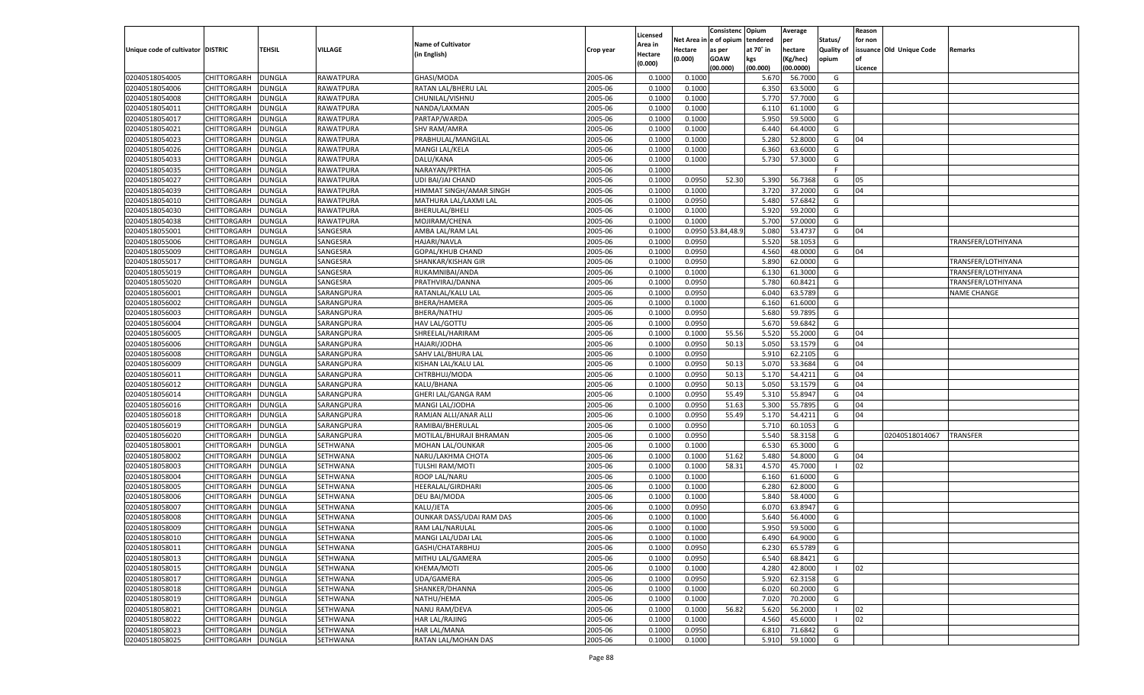|                                   |                    |               |                 |                           |           |                    |            | Consistenc        | Opium     | Average   |            | Reason  |                          |                    |
|-----------------------------------|--------------------|---------------|-----------------|---------------------------|-----------|--------------------|------------|-------------------|-----------|-----------|------------|---------|--------------------------|--------------------|
|                                   |                    |               |                 |                           |           | Licensed           | Net Area i | n  e of opium     | tendered  | per       | Status/    | for non |                          |                    |
| Unique code of cultivator DISTRIC |                    | TEHSIL        | <b>VILLAGE</b>  | <b>Name of Cultivator</b> | Crop year | Area in            | Hectare    | as per            | at 70° in | hectare   | Quality of |         | issuance Old Unique Code | Remarks            |
|                                   |                    |               |                 | (in English)              |           | Hectare<br>(0.000) | (0.000)    | <b>GOAW</b>       | kgs       | (Kg/hec)  | opium      |         |                          |                    |
|                                   |                    |               |                 |                           |           |                    |            | (00.000)          | (00.000)  | (00.0000) |            | Licence |                          |                    |
| 02040518054005                    | CHITTORGARH        | DUNGLA        | RAWATPURA       | GHASI/MODA                | 2005-06   | 0.1000             | 0.1000     |                   | 5.670     | 56.7000   | G          |         |                          |                    |
| 02040518054006                    | CHITTORGARH        | DUNGLA        | RAWATPURA       | RATAN LAL/BHERU LAL       | 2005-06   | 0.1000             | 0.1000     |                   | 6.350     | 63.5000   | G          |         |                          |                    |
| 02040518054008                    | CHITTORGARH        | DUNGLA        | RAWATPURA       | CHUNILAL/VISHNU           | 2005-06   | 0.1000             | 0.1000     |                   | 5.770     | 57.7000   | G          |         |                          |                    |
| 02040518054011                    | CHITTORGARH        | DUNGLA        | RAWATPURA       | NANDA/LAXMAN              | 2005-06   | 0.1000             | 0.1000     |                   | 6.11      | 61.1000   | G          |         |                          |                    |
| 02040518054017                    | CHITTORGARH        | DUNGLA        | RAWATPURA       | PARTAP/WARDA              | 2005-06   | 0.1000             | 0.1000     |                   | 5.950     | 59.5000   | G          |         |                          |                    |
| 02040518054021                    | CHITTORGARH        | DUNGLA        | RAWATPURA       | <b>SHV RAM/AMRA</b>       | 2005-06   | 0.1000             | 0.1000     |                   | 6.440     | 64.4000   | G          |         |                          |                    |
| 02040518054023                    | CHITTORGARH        | DUNGLA        | RAWATPURA       | PRABHULAL/MANGILAL        | 2005-06   | 0.1000             | 0.1000     |                   | 5.280     | 52.8000   | G          | 04      |                          |                    |
| 02040518054026                    | CHITTORGARH        | DUNGLA        | RAWATPURA       | MANGI LAL/KELA            | 2005-06   | 0.1000             | 0.1000     |                   | 6.360     | 63.6000   | G          |         |                          |                    |
| 02040518054033                    | CHITTORGARH        | DUNGLA        | RAWATPURA       | DALU/KANA                 | 2005-06   | 0.1000             | 0.1000     |                   | 5.730     | 57.3000   | G          |         |                          |                    |
| 02040518054035                    | CHITTORGARH        | DUNGLA        | RAWATPURA       | NARAYAN/PRTHA             | 2005-06   | 0.1000             |            |                   |           |           | F.         |         |                          |                    |
| 02040518054027                    | CHITTORGARH        | DUNGLA        | RAWATPURA       | UDI BAI/JAI CHAND         | 2005-06   | 0.1000             | 0.0950     | 52.30             | 5.390     | 56.7368   | G          | 05      |                          |                    |
| 02040518054039                    | CHITTORGARH        | DUNGLA        | RAWATPURA       | HIMMAT SINGH/AMAR SINGH   | 2005-06   | 0.1000             | 0.1000     |                   | 3.720     | 37.2000   | G          | 04      |                          |                    |
| 02040518054010                    | CHITTORGARH        | DUNGLA        | RAWATPURA       | MATHURA LAL/LAXMI LAL     | 2005-06   | 0.1000             | 0.0950     |                   | 5.480     | 57.6842   | G          |         |                          |                    |
| 02040518054030                    | CHITTORGARH        | DUNGLA        | RAWATPURA       | <b>BHERULAL/BHELI</b>     | 2005-06   | 0.1000             | 0.1000     |                   | 5.920     | 59.2000   | G          |         |                          |                    |
| 02040518054038                    | CHITTORGARH        | DUNGLA        | RAWATPURA       | MOJIRAM/CHENA             | 2005-06   | 0.1000             | 0.1000     |                   | 5.700     | 57.0000   | G          |         |                          |                    |
| 02040518055001                    | CHITTORGARH        | DUNGLA        | SANGESRA        | AMBA LAL/RAM LAL          | 2005-06   | 0.1000             |            | 0.0950 53.84,48.9 | 5.080     | 53.4737   | G          | 04      |                          |                    |
| 02040518055006                    | CHITTORGARH        | DUNGLA        | SANGESRA        | HAJARI/NAVLA              | 2005-06   | 0.1000             | 0.0950     |                   | 5.520     | 58.1053   | G          |         |                          | TRANSFER/LOTHIYANA |
| 02040518055009                    | CHITTORGARH        | DUNGLA        | SANGESRA        | GOPAL/KHUB CHAND          | 2005-06   | 0.1000             | 0.0950     |                   | 4.560     | 48.0000   | G          | 04      |                          |                    |
| 02040518055017                    | CHITTORGARH        | DUNGLA        | SANGESRA        | SHANKAR/KISHAN GIR        | 2005-06   | 0.1000             | 0.0950     |                   | 5.890     | 62.0000   | G          |         |                          | TRANSFER/LOTHIYANA |
| 02040518055019                    | CHITTORGARH        | DUNGLA        | SANGESRA        | RUKAMNIBAI/ANDA           | 2005-06   | 0.1000             | 0.1000     |                   | 6.130     | 61.3000   | G          |         |                          | TRANSFER/LOTHIYANA |
| 02040518055020                    | CHITTORGARH        | DUNGLA        | SANGESRA        | PRATHVIRAJ/DANNA          | 2005-06   | 0.1000             | 0.0950     |                   | 5.780     | 60.8421   | G          |         |                          | TRANSFER/LOTHIYANA |
| 02040518056001                    | CHITTORGARH        | DUNGLA        | SARANGPURA      | RATANLAL/KALU LAI         | 2005-06   | 0.1000             | 0.0950     |                   | 6.040     | 63.5789   | G          |         |                          | <b>NAME CHANGE</b> |
| 02040518056002                    | CHITTORGARH        | DUNGLA        | SARANGPURA      | BHERA/HAMERA              | 2005-06   | 0.1000             | 0.1000     |                   | 6.160     | 61.6000   | G          |         |                          |                    |
| 02040518056003                    | CHITTORGARH        | DUNGLA        | SARANGPURA      | BHERA/NATHU               | 2005-06   | 0.1000             | 0.0950     |                   | 5.680     | 59.7895   | G          |         |                          |                    |
| 02040518056004                    | CHITTORGARH        | DUNGLA        | SARANGPURA      | HAV LAL/GOTTU             | 2005-06   | 0.1000             | 0.0950     |                   | 5.670     | 59.6842   | G          |         |                          |                    |
| 02040518056005                    | CHITTORGARH        | DUNGLA        | SARANGPURA      | SHREELAL/HARIRAM          | 2005-06   | 0.1000             | 0.1000     | 55.56             | 5.520     | 55.2000   | G          | 04      |                          |                    |
| 02040518056006                    | CHITTORGARH        | DUNGLA        | SARANGPURA      | HAJARI/JODHA              | 2005-06   | 0.1000             | 0.0950     | 50.13             | 5.050     | 53.1579   | G          | 04      |                          |                    |
| 02040518056008                    | CHITTORGARH        | DUNGLA        | SARANGPURA      | SAHV LAL/BHURA LAL        | 2005-06   | 0.1000             | 0.0950     |                   | 5.910     | 62.2105   | G          |         |                          |                    |
| 02040518056009                    | CHITTORGARH        | DUNGLA        | SARANGPURA      | KISHAN LAL/KALU LAL       | 2005-06   | 0.1000             | 0.0950     | 50.13             | 5.070     | 53.3684   | G          | 04      |                          |                    |
| 02040518056011                    | CHITTORGARH        | DUNGLA        | SARANGPURA      | CHTRBHUJ/MODA             | 2005-06   | 0.1000             | 0.0950     | 50.13             | 5.170     | 54.4211   | G          | 04      |                          |                    |
| 02040518056012                    | CHITTORGARH        | DUNGLA        | SARANGPURA      | KALU/BHANA                | 2005-06   | 0.1000             | 0.0950     | 50.13             | 5.050     | 53.1579   | G          | 04      |                          |                    |
| 02040518056014                    |                    |               | SARANGPURA      |                           | 2005-06   | 0.1000             | 0.0950     | 55.49             | 5.310     | 55.8947   | G          | 04      |                          |                    |
|                                   | CHITTORGARH        | DUNGLA        |                 | GHERI LAL/GANGA RAM       |           | 0.1000             |            |                   |           |           |            | 04      |                          |                    |
| 02040518056016                    | CHITTORGARH        | DUNGLA        | SARANGPURA      | MANGI LAL/JODHA           | 2005-06   |                    | 0.0950     | 51.63             | 5.300     | 55.7895   | G          |         |                          |                    |
| 02040518056018                    | CHITTORGARH        | DUNGLA        | SARANGPURA      | RAMJAN ALLI/ANAR ALLI     | 2005-06   | 0.1000             | 0.0950     | 55.49             | 5.170     | 54.4211   | G          | 04      |                          |                    |
| 02040518056019                    | CHITTORGARH        | DUNGLA        | SARANGPURA      | RAMIBAI/BHERULAL          | 2005-06   | 0.1000             | 0.0950     |                   | 5.710     | 60.1053   | G          |         |                          |                    |
| 02040518056020                    | CHITTORGARH        | DUNGLA        | SARANGPURA      | MOTILAL/BHURAJI BHRAMAN   | 2005-06   | 0.1000             | 0.0950     |                   | 5.540     | 58.3158   | G          |         | 02040518014067           | TRANSFER           |
| 02040518058001                    | CHITTORGARH        | <b>DUNGLA</b> | SETHWANA        | MOHAN LAL/OUNKAR          | 2005-06   | 0.1000             | 0.1000     |                   | 6.530     | 65.3000   | G          |         |                          |                    |
| 02040518058002                    | CHITTORGARH        | DUNGLA        | SETHWANA        | NARU/LAKHMA CHOTA         | 2005-06   | 0.1000             | 0.1000     | 51.62             | 5.480     | 54.8000   | G          | 04      |                          |                    |
| 02040518058003                    | CHITTORGARH        | DUNGLA        | SETHWANA        | <b>TULSHI RAM/MOTI</b>    | 2005-06   | 0.1000             | 0.1000     | 58.31             | 4.570     | 45.7000   | - 1        | 02      |                          |                    |
| 02040518058004                    | CHITTORGARH        | DUNGLA        | SETHWANA        | ROOP LAL/NARU             | 2005-06   | 0.1000             | 0.1000     |                   | 6.160     | 61.6000   | G          |         |                          |                    |
| 02040518058005                    | CHITTORGARH        | <b>DUNGLA</b> | SETHWANA        | HEERALAL/GIRDHARI         | 2005-06   | 0.1000             | 0.1000     |                   | 6.280     | 62.8000   | G          |         |                          |                    |
| 02040518058006                    | CHITTORGARH        | DUNGLA        | SETHWANA        | DEU BAI/MODA              | 2005-06   | 0.1000             | 0.1000     |                   | 5.840     | 58.4000   | G          |         |                          |                    |
| 02040518058007                    | CHITTORGARH        | DUNGLA        | SETHWANA        | KALU/JETA                 | 2005-06   | 0.1000             | 0.0950     |                   | 6.070     | 63.8947   | G          |         |                          |                    |
| 02040518058008                    | CHITTORGARH        | DUNGLA        | SETHWANA        | OUNKAR DASS/UDAI RAM DAS  | 2005-06   | 0.1000             | 0.1000     |                   | 5.640     | 56.4000   | G          |         |                          |                    |
| 02040518058009                    | CHITTORGARH        | <b>DUNGLA</b> | SETHWANA        | RAM LAL/NARULAL           | 2005-06   | 0.1000             | 0.1000     |                   | 5.950     | 59.5000   | G          |         |                          |                    |
| 02040518058010                    | CHITTORGARH        | <b>DUNGLA</b> | SETHWANA        | MANGI LAL/UDAI LAL        | 2005-06   | 0.1000             | 0.1000     |                   | 6.490     | 64.9000   | G          |         |                          |                    |
| 02040518058011                    | <b>CHITTORGARH</b> | <b>DUNGLA</b> | SETHWANA        | GASHI/CHATARBHUJ          | 2005-06   | 0.1000             | 0.0950     |                   | 6.230     | 65.5789   | G          |         |                          |                    |
| 02040518058013                    | CHITTORGARH        | <b>DUNGLA</b> | SETHWANA        | MITHU LAL/GAMERA          | 2005-06   | 0.1000             | 0.0950     |                   | 6.540     | 68.8421   | G          |         |                          |                    |
| 02040518058015                    | CHITTORGARH        | <b>DUNGLA</b> | SETHWANA        | KHEMA/MOTI                | 2005-06   | 0.1000             | 0.1000     |                   | 4.280     | 42.8000   | - 1        | 02      |                          |                    |
| 02040518058017                    | CHITTORGARH        | <b>DUNGLA</b> | SETHWANA        | UDA/GAMERA                | 2005-06   | 0.1000             | 0.0950     |                   | 5.920     | 62.3158   | G          |         |                          |                    |
| 02040518058018                    | CHITTORGARH        | <b>DUNGLA</b> | SETHWANA        | SHANKER/DHANNA            | 2005-06   | 0.1000             | 0.1000     |                   | 6.020     | 60.2000   | G          |         |                          |                    |
| 02040518058019                    | CHITTORGARH        | <b>DUNGLA</b> | <b>SETHWANA</b> | NATHU/HEMA                | 2005-06   | 0.1000             | 0.1000     |                   | 7.020     | 70.2000   | G          |         |                          |                    |
| 02040518058021                    | CHITTORGARH        | <b>DUNGLA</b> | SETHWANA        | NANU RAM/DEVA             | 2005-06   | 0.1000             | 0.1000     | 56.82             | 5.620     | 56.2000   | - 1        | 02      |                          |                    |
| 02040518058022                    | CHITTORGARH        | <b>DUNGLA</b> | SETHWANA        | HAR LAL/RAJING            | 2005-06   | 0.1000             | 0.1000     |                   | 4.560     | 45.6000   |            | 02      |                          |                    |
| 02040518058023                    | CHITTORGARH        | <b>DUNGLA</b> | SETHWANA        | HAR LAL/MANA              | 2005-06   | 0.1000             | 0.0950     |                   | 6.810     | 71.6842   | G          |         |                          |                    |
| 02040518058025                    | <b>CHITTORGARH</b> | <b>DUNGLA</b> | SETHWANA        | RATAN LAL/MOHAN DAS       | 2005-06   | 0.1000             | 0.1000     |                   | 5.910     | 59.1000   | G          |         |                          |                    |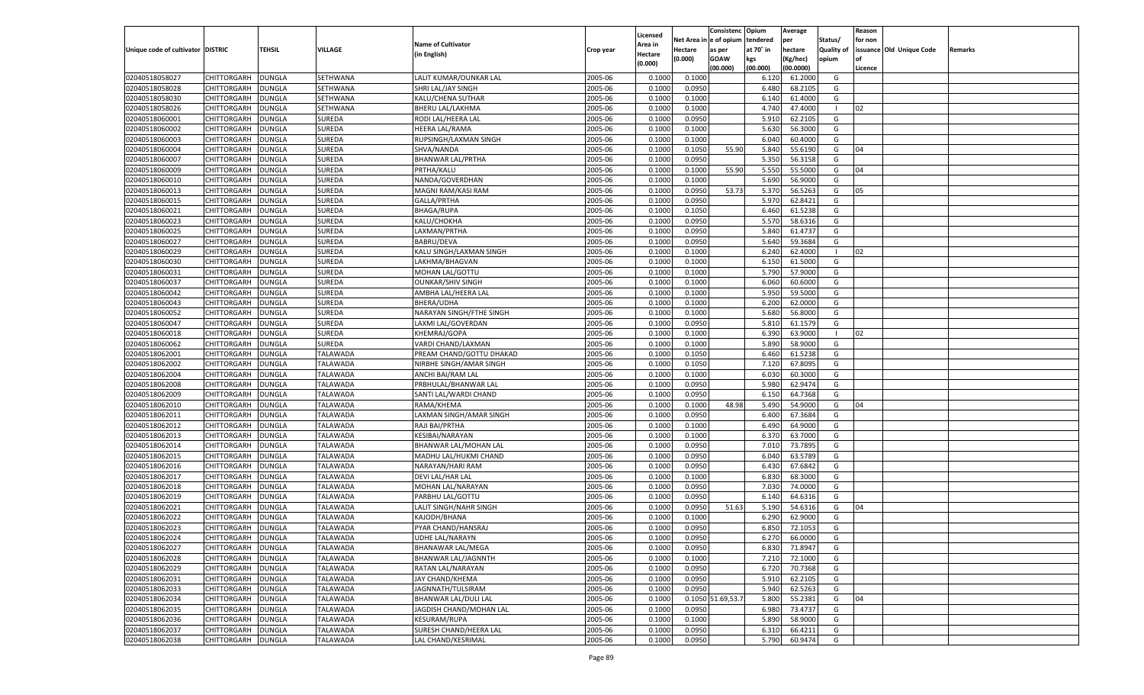|                                   |                    |               |                 |                            |           |                     |            | Consistenc        | Opium     | Average   |                | Reason  |                          |         |
|-----------------------------------|--------------------|---------------|-----------------|----------------------------|-----------|---------------------|------------|-------------------|-----------|-----------|----------------|---------|--------------------------|---------|
|                                   |                    |               |                 | <b>Name of Cultivator</b>  |           | Licensed<br>Area in | Net Area i | n  e of opium     | tendered  | per       | Status/        | for non |                          |         |
| Unique code of cultivator DISTRIC |                    | TEHSIL        | VILLAGE         | (in English)               | Crop year | Hectare             | Hectare    | as per            | at 70° in | hectare   | Quality of     |         | issuance Old Unique Code | Remarks |
|                                   |                    |               |                 |                            |           | (0.000)             | (0.000)    | <b>GOAW</b>       | kgs       | (Kg/hec)  | opium          |         |                          |         |
|                                   |                    |               |                 |                            |           |                     |            | (00.000)          | (00.000)  | (00.0000) |                | Licence |                          |         |
| 02040518058027                    | CHITTORGARH        | DUNGLA        | SETHWANA        | LALIT KUMAR/OUNKAR LAL     | 2005-06   | 0.1000              | 0.1000     |                   | 6.120     | 61.2000   | G              |         |                          |         |
| 02040518058028                    | CHITTORGARH        | DUNGLA        | SETHWANA        | SHRI LAL/JAY SINGH         | 2005-06   | 0.100               | 0.0950     |                   | 6.480     | 68.2105   | G              |         |                          |         |
| 02040518058030                    | CHITTORGARH        | DUNGLA        | SETHWANA        | KALU/CHENA SUTHAR          | 2005-06   | 0.1000              | 0.1000     |                   | 6.140     | 61.4000   | G              |         |                          |         |
| 02040518058026                    | CHITTORGARH        | DUNGLA        | SETHWANA        | <b>BHERU LAL/LAKHMA</b>    | 2005-06   | 0.1000              | 0.1000     |                   | 4.740     | 47.4000   | - 1            | 02      |                          |         |
| 02040518060001                    | CHITTORGARH        | DUNGLA        | SUREDA          | RODI LAL/HEERA LAL         | 2005-06   | 0.1000              | 0.0950     |                   | 5.910     | 62.2105   | G              |         |                          |         |
| 02040518060002                    | CHITTORGARH        | DUNGLA        | SUREDA          | HEERA LAL/RAMA             | 2005-06   | 0.1000              | 0.1000     |                   | 5.630     | 56.3000   | G              |         |                          |         |
| 02040518060003                    | CHITTORGARH        | DUNGLA        | SUREDA          | RUPSINGH/LAXMAN SINGH      | 2005-06   | 0.1000              | 0.1000     |                   | 6.040     | 60.4000   | G              |         |                          |         |
| 02040518060004                    | CHITTORGARH        | DUNGLA        | SUREDA          | SHVA/NANDA                 | 2005-06   | 0.1000              | 0.1050     | 55.90             | 5.840     | 55.6190   | G              | 04      |                          |         |
| 02040518060007                    | CHITTORGARH        | DUNGLA        | SUREDA          | <b>BHANWAR LAL/PRTHA</b>   | 2005-06   | 0.1000              | 0.0950     |                   | 5.350     | 56.3158   | G              |         |                          |         |
| 02040518060009                    | CHITTORGARH        | DUNGLA        | SUREDA          | PRTHA/KALU                 | 2005-06   | 0.1000              | 0.1000     | 55.90             | 5.550     | 55.5000   | G              | 04      |                          |         |
| 02040518060010                    | CHITTORGARH        | DUNGLA        | SUREDA          | NANDA/GOVERDHAN            | 2005-06   | 0.1000              | 0.1000     |                   | 5.690     | 56.9000   | G              |         |                          |         |
| 02040518060013                    | CHITTORGARH        | DUNGLA        | SUREDA          | MAGNI RAM/KASI RAM         | 2005-06   | 0.1000              | 0.0950     | 53.73             | 5.370     | 56.5263   | G              | 05      |                          |         |
| 02040518060015                    | CHITTORGARH        | DUNGLA        | SUREDA          | GALLA/PRTHA                | 2005-06   | 0.1000              | 0.0950     |                   | 5.970     | 62.8421   | G              |         |                          |         |
| 02040518060021                    | CHITTORGARH        | DUNGLA        | SUREDA          | <b>BHAGA/RUPA</b>          | 2005-06   | 0.1000              | 0.1050     |                   | 6.460     | 61.5238   | G              |         |                          |         |
| 02040518060023                    | CHITTORGARH        | DUNGLA        | SUREDA          | KALU/CHOKHA                | 2005-06   | 0.1000              | 0.0950     |                   | 5.570     | 58.6316   | G              |         |                          |         |
| 02040518060025                    | CHITTORGARH        | DUNGLA        | SUREDA          | LAXMAN/PRTHA               | 2005-06   | 0.1000              | 0.0950     |                   | 5.840     | 61.4737   | G              |         |                          |         |
| 02040518060027                    | CHITTORGARH        | DUNGLA        | SUREDA          | <b>BABRU/DEVA</b>          | 2005-06   | 0.1000              | 0.0950     |                   | 5.640     | 59.3684   | G              |         |                          |         |
| 02040518060029                    | CHITTORGARH        | DUNGLA        | SUREDA          | KALU SINGH/LAXMAN SINGH    | 2005-06   | 0.1000              | 0.1000     |                   | 6.240     | 62.4000   | $\blacksquare$ | 02      |                          |         |
| 02040518060030                    | CHITTORGARH        | DUNGLA        | SUREDA          | LAKHMA/BHAGVAN             | 2005-06   | 0.1000              | 0.1000     |                   | 6.150     | 61.5000   | G              |         |                          |         |
| 02040518060031                    |                    |               | SUREDA          |                            | 2005-06   | 0.1000              |            |                   | 5.790     | 57.9000   | G              |         |                          |         |
|                                   | CHITTORGARH        | DUNGLA        |                 | MOHAN LAL/GOTTU            |           |                     | 0.1000     |                   |           |           |                |         |                          |         |
| 02040518060037                    | CHITTORGARH        | DUNGLA        | SUREDA          | <b>OUNKAR/SHIV SINGH</b>   | 2005-06   | 0.1000              | 0.1000     |                   | 6.060     | 60.6000   | G              |         |                          |         |
| 02040518060042                    | CHITTORGARH        | DUNGLA        | SUREDA          | AMBHA LAL/HEERA LAL        | 2005-06   | 0.1000              | 0.1000     |                   | 5.950     | 59.5000   | G              |         |                          |         |
| 02040518060043                    | CHITTORGARH        | DUNGLA        | SUREDA          | BHERA/UDHA                 | 2005-06   | 0.1000              | 0.1000     |                   | 6.200     | 62.0000   | G              |         |                          |         |
| 02040518060052                    | CHITTORGARH        | DUNGLA        | SUREDA          | NARAYAN SINGH/FTHE SINGH   | 2005-06   | 0.1000              | 0.1000     |                   | 5.680     | 56.8000   | G              |         |                          |         |
| 02040518060047                    | CHITTORGARH        | DUNGLA        | SUREDA          | LAXMI LAL/GOVERDAN         | 2005-06   | 0.1000              | 0.0950     |                   | 5.810     | 61.1579   | G              |         |                          |         |
| 02040518060018                    | CHITTORGARH        | DUNGLA        | SUREDA          | KHEMRAJ/GOPA               | 2005-06   | 0.1000              | 0.1000     |                   | 6.390     | 63.9000   | $\blacksquare$ | 02      |                          |         |
| 02040518060062                    | CHITTORGARH        | DUNGLA        | SUREDA          | VARDI CHAND/LAXMAN         | 2005-06   | 0.1000              | 0.1000     |                   | 5.890     | 58.9000   | G              |         |                          |         |
| 02040518062001                    | CHITTORGARH        | DUNGLA        | TALAWADA        | PREAM CHAND/GOTTU DHAKAD   | 2005-06   | 0.1000              | 0.1050     |                   | 6.460     | 61.5238   | G              |         |                          |         |
| 02040518062002                    | CHITTORGARH        | DUNGLA        | <b>TALAWADA</b> | NIRBHE SINGH/AMAR SINGH    | 2005-06   | 0.1000              | 0.1050     |                   | 7.120     | 67.8095   | G              |         |                          |         |
| 02040518062004                    | CHITTORGARH        | DUNGLA        | <b>TALAWADA</b> | ANCHI BAI/RAM LAL          | 2005-06   | 0.1000              | 0.1000     |                   | 6.030     | 60.3000   | G              |         |                          |         |
| 02040518062008                    | CHITTORGARH        | DUNGLA        | <b>TALAWADA</b> | PRBHULAL/BHANWAR LAL       | 2005-06   | 0.1000              | 0.0950     |                   | 5.980     | 62.9474   | G              |         |                          |         |
| 02040518062009                    | CHITTORGARH        | DUNGLA        | TALAWADA        | SANTI LAL/WARDI CHAND      | 2005-06   | 0.1000              | 0.0950     |                   | 6.15      | 64.7368   | G              |         |                          |         |
| 02040518062010                    | CHITTORGARH        | DUNGLA        | <b>TALAWADA</b> | RAMA/KHEMA                 | 2005-06   | 0.1000              | 0.1000     | 48.98             | 5.490     | 54.9000   | G              | 04      |                          |         |
| 02040518062011                    | CHITTORGARH        | DUNGLA        | TALAWADA        | LAXMAN SINGH/AMAR SINGH    | 2005-06   | 0.1000              | 0.0950     |                   | 6.400     | 67.3684   | G              |         |                          |         |
| 02040518062012                    | CHITTORGARH        | DUNGLA        | <b>TALAWADA</b> | RAJI BAI/PRTHA             | 2005-06   | 0.1000              | 0.1000     |                   | 6.490     | 64.9000   | G              |         |                          |         |
| 02040518062013                    | CHITTORGARH        | DUNGLA        | TALAWADA        | KESIBAI/NARAYAN            | 2005-06   | 0.1000              | 0.1000     |                   | 6.370     | 63.7000   | G              |         |                          |         |
| 02040518062014                    | CHITTORGARH        | DUNGLA        | <b>TALAWADA</b> | BHANWAR LAL/MOHAN LAL      | 2005-06   | 0.1000              | 0.0950     |                   | 7.010     | 73.7895   | G              |         |                          |         |
| 02040518062015                    | CHITTORGARH        | DUNGLA        | TALAWADA        | MADHU LAL/HUKMI CHAND      | 2005-06   | 0.1000              | 0.0950     |                   | 6.040     | 63.5789   | G              |         |                          |         |
| 02040518062016                    | CHITTORGARH        | DUNGLA        | <b>TALAWADA</b> | NARAYAN/HARI RAM           | 2005-06   | 0.1000              | 0.0950     |                   | 6.430     | 67.6842   | G              |         |                          |         |
| 02040518062017                    | CHITTORGARH        | DUNGLA        | TALAWADA        | DEVI LAL/HAR LAL           | 2005-06   | 0.1000              | 0.1000     |                   | 6.830     | 68.3000   | G              |         |                          |         |
| 02040518062018                    | CHITTORGARH        | DUNGLA        | <b>TALAWADA</b> | MOHAN LAL/NARAYAN          | 2005-06   | 0.1000              | 0.0950     |                   | 7.030     | 74.0000   | G              |         |                          |         |
| 02040518062019                    | CHITTORGARH        | DUNGLA        | TALAWADA        | PARBHU LAL/GOTTU           | 2005-06   | 0.1000              | 0.0950     |                   | 6.140     | 64.6316   | G              |         |                          |         |
| 02040518062021                    | CHITTORGARH        | DUNGLA        | <b>TALAWADA</b> | LALIT SINGH/NAHR SINGH     | 2005-06   | 0.1000              | 0.0950     | 51.63             | 5.190     | 54.6316   | G              | 04      |                          |         |
| 02040518062022                    | CHITTORGARH        | DUNGLA        | TALAWADA        | KAJODH/BHANA               | 2005-06   | 0.1000              | 0.1000     |                   | 6.290     | 62.9000   | G              |         |                          |         |
| 02040518062023                    | CHITTORGARH        | <b>DUNGLA</b> | TALAWADA        | PYAR CHAND/HANSRAJ         | 2005-06   | 0.1000              | 0.0950     |                   | 6.850     | 72.1053   | G              |         |                          |         |
| 02040518062024                    | CHITTORGARH        | <b>DUNGLA</b> | <b>TALAWADA</b> | UDHE LAL/NARAYN            | 2005-06   | 0.1000              | 0.0950     |                   | 6.270     | 66.0000   | G              |         |                          |         |
| 02040518062027                    | <b>CHITTORGARH</b> | <b>DUNGLA</b> | <b>TALAWADA</b> | <b>BHANAWAR LAL/MEGA</b>   | 2005-06   | 0.1000              | 0.0950     |                   | 6.830     | 71.8947   | G              |         |                          |         |
| 02040518062028                    | <b>CHITTORGARH</b> | <b>DUNGLA</b> | <b>TALAWADA</b> | <b>BHANWAR LAL/JAGNNTH</b> | 2005-06   | 0.1000              | 0.1000     |                   | 7.210     | 72.1000   | G              |         |                          |         |
| 02040518062029                    | CHITTORGARH        | <b>DUNGLA</b> | <b>TALAWADA</b> | RATAN LAL/NARAYAN          | 2005-06   | 0.1000              | 0.0950     |                   | 6.720     | 70.7368   | G              |         |                          |         |
| 02040518062031                    | CHITTORGARH        | <b>DUNGLA</b> | <b>TALAWADA</b> | JAY CHAND/KHEMA            | 2005-06   | 0.1000              | 0.0950     |                   | 5.910     | 62.2105   | G              |         |                          |         |
| 02040518062033                    | CHITTORGARH        | <b>DUNGLA</b> | <b>TALAWADA</b> | JAGNNATH/TULSIRAM          | 2005-06   | 0.1000              | 0.0950     |                   | 5.940     | 62.5263   | G              |         |                          |         |
| 02040518062034                    | CHITTORGARH        | <b>DUNGLA</b> | <b>TALAWADA</b> | BHANWAR LAL/DULI LAL       | 2005-06   | 0.1000              |            | 0.1050 51.69,53.7 | 5.800     | 55.2381   | G              | 04      |                          |         |
| 02040518062035                    | CHITTORGARH        | <b>DUNGLA</b> | <b>TALAWADA</b> | JAGDISH CHAND/MOHAN LAL    | 2005-06   | 0.1000              | 0.0950     |                   | 6.980     | 73.4737   | G              |         |                          |         |
| 02040518062036                    | CHITTORGARH        | <b>DUNGLA</b> | <b>TALAWADA</b> | <b>KESURAM/RUPA</b>        | 2005-06   | 0.1000              | 0.1000     |                   | 5.890     | 58.9000   | G              |         |                          |         |
| 02040518062037                    | <b>CHITTORGARH</b> | <b>DUNGLA</b> | <b>TALAWADA</b> | SURESH CHAND/HEERA LAL     | 2005-06   | 0.1000              | 0.0950     |                   | 6.310     | 66.4211   | G              |         |                          |         |
| 02040518062038                    | <b>CHITTORGARH</b> | <b>DUNGLA</b> | <b>TALAWADA</b> | LAL CHAND/KESRIMAL         | 2005-06   | 0.1000              | 0.0950     |                   | 5.790     | 60.9474   | G              |         |                          |         |
|                                   |                    |               |                 |                            |           |                     |            |                   |           |           |                |         |                          |         |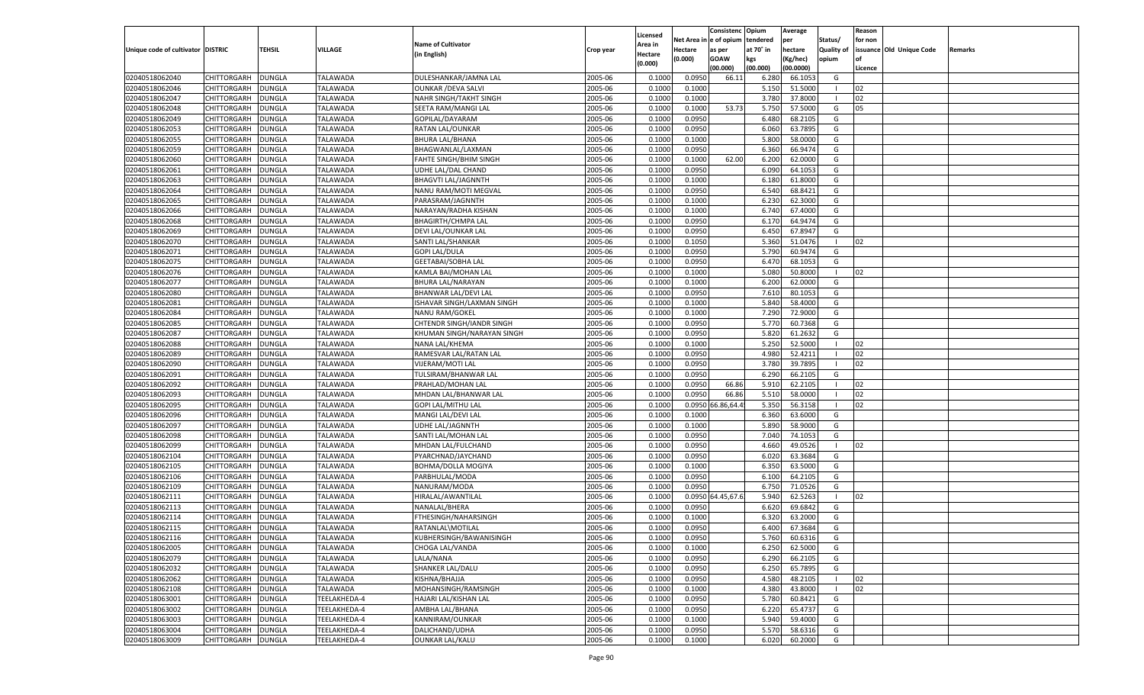|                                   |                    |                                |                 |                                   |           |                    |            | Consistenc        | Opium     | Average   |                | Reason  |                          |         |
|-----------------------------------|--------------------|--------------------------------|-----------------|-----------------------------------|-----------|--------------------|------------|-------------------|-----------|-----------|----------------|---------|--------------------------|---------|
|                                   |                    |                                |                 | <b>Name of Cultivator</b>         |           | Licensed           | Net Area i | n  e of opium     | tendered  | per       | Status/        | for non |                          |         |
| Unique code of cultivator DISTRIC |                    | TEHSIL                         | VILLAGE         | (in English)                      | Crop year | Area in<br>Hectare | Hectare    | as per            | at 70° in | hectare   | Quality of     |         | issuance Old Unique Code | Remarks |
|                                   |                    |                                |                 |                                   |           | (0.000)            | (0.000)    | <b>GOAW</b>       | kgs       | (Kg/hec)  | opium          |         |                          |         |
|                                   |                    |                                |                 |                                   |           |                    |            | (00.000)          | (00.000)  | (00.0000) |                | Licence |                          |         |
| 02040518062040                    | CHITTORGARH        | DUNGLA                         | <b>TALAWADA</b> | DULESHANKAR/JAMNA LAL             | 2005-06   | 0.1000             | 0.0950     | 66.11             | 6.280     | 66.105    | G              |         |                          |         |
| 02040518062046                    | CHITTORGARH        | DUNGLA                         | TALAWADA        | <b>OUNKAR / DEVA SALVI</b>        | 2005-06   | 0.1000             | 0.1000     |                   | 5.150     | 51.5000   |                | 02      |                          |         |
| 02040518062047                    | CHITTORGARH        | DUNGLA                         | TALAWADA        | NAHR SINGH/TAKHT SINGH            | 2005-06   | 0.1000             | 0.1000     |                   | 3.780     | 37.8000   |                | 02      |                          |         |
| 02040518062048                    | CHITTORGARH        | DUNGLA                         | TALAWADA        | SEETA RAM/MANGI LAL               | 2005-06   | 0.1000             | 0.1000     | 53.73             | 5.750     | 57.5000   | G              | 05      |                          |         |
| 02040518062049                    | CHITTORGARH        | DUNGLA                         | <b>TALAWADA</b> | GOPILAL/DAYARAM                   | 2005-06   | 0.1000             | 0.0950     |                   | 6.480     | 68.2105   | G              |         |                          |         |
| 02040518062053                    | CHITTORGARH        | DUNGLA                         | TALAWADA        | RATAN LAL/OUNKAR                  | 2005-06   | 0.1000             | 0.0950     |                   | 6.060     | 63.7895   | G              |         |                          |         |
| 02040518062055                    | CHITTORGARH        | DUNGLA                         | TALAWADA        | <b>BHURA LAL/BHANA</b>            | 2005-06   | 0.1000             | 0.1000     |                   | 5.800     | 58.0000   | G              |         |                          |         |
| 02040518062059                    | CHITTORGARH        | DUNGLA                         | TALAWADA        | BHAGWANLAL/LAXMAN                 | 2005-06   | 0.1000             | 0.0950     |                   | 6.360     | 66.9474   | G              |         |                          |         |
| 02040518062060                    | CHITTORGARH        | DUNGLA                         | <b>TALAWADA</b> | FAHTE SINGH/BHIM SINGH            | 2005-06   | 0.1000             | 0.1000     | 62.00             | 6.200     | 62.0000   | G              |         |                          |         |
| 02040518062061                    | CHITTORGARH        | DUNGLA                         | TALAWADA        | UDHE LAL/DAL CHAND                | 2005-06   | 0.1000             | 0.0950     |                   | 6.090     | 64.1053   | G              |         |                          |         |
| 02040518062063                    | CHITTORGARH        | DUNGLA                         | TALAWADA        | <b>BHAGVTI LAL/JAGNNTH</b>        | 2005-06   | 0.1000             | 0.1000     |                   | 6.180     | 61.8000   | G              |         |                          |         |
| 02040518062064                    | CHITTORGARH        | DUNGLA                         | TALAWADA        | NANU RAM/MOTI MEGVAL              | 2005-06   | 0.1000             | 0.0950     |                   | 6.540     | 68.8421   | G              |         |                          |         |
| 02040518062065                    | CHITTORGARH        | DUNGLA                         | <b>TALAWADA</b> | PARASRAM/JAGNNTH                  | 2005-06   | 0.1000             | 0.1000     |                   | 6.23      | 62.3000   | G              |         |                          |         |
| 02040518062066                    | CHITTORGARH        | DUNGLA                         | TALAWADA        | NARAYAN/RADHA KISHAN              | 2005-06   | 0.1000             | 0.1000     |                   | 6.740     | 67.4000   | G              |         |                          |         |
| 02040518062068                    | CHITTORGARH        | DUNGLA                         | <b>TALAWADA</b> | <b>BHAGIRTH/CHMPA LAL</b>         | 2005-06   | 0.1000             | 0.0950     |                   | 6.170     | 64.9474   | G              |         |                          |         |
| 02040518062069                    | CHITTORGARH        | DUNGLA                         | TALAWADA        | DEVI LAL/OUNKAR LAL               | 2005-06   | 0.1000             | 0.0950     |                   | 6.450     | 67.8947   | G              |         |                          |         |
| 02040518062070                    | CHITTORGARH        | DUNGLA                         | <b>TALAWADA</b> | SANTI LAL/SHANKAR                 | 2005-06   | 0.1000             | 0.1050     |                   | 5.360     | 51.0476   | $\blacksquare$ | 02      |                          |         |
| 02040518062071                    | CHITTORGARH        | DUNGLA                         | TALAWADA        | <b>GOPI LAL/DULA</b>              | 2005-06   | 0.1000             | 0.0950     |                   | 5.790     | 60.9474   | G              |         |                          |         |
| 02040518062075                    | CHITTORGARH        | DUNGLA                         | <b>TALAWADA</b> | <b>GEETABAI/SOBHA LAL</b>         | 2005-06   | 0.1000             | 0.0950     |                   | 6.470     | 68.1053   | G              |         |                          |         |
| 02040518062076                    | CHITTORGARH        | DUNGLA                         | TALAWADA        | KAMLA BAI/MOHAN LAL               | 2005-06   | 0.1000             | 0.1000     |                   | 5.080     | 50.8000   | - 1            | 02      |                          |         |
| 02040518062077                    | CHITTORGARH        | DUNGLA                         | <b>TALAWADA</b> | BHURA LAL/NARAYAN                 | 2005-06   | 0.1000             | 0.1000     |                   | 6.200     | 62.0000   | G              |         |                          |         |
| 02040518062080                    | CHITTORGARH        | DUNGLA                         | TALAWADA        | BHANWAR LAL/DEVI LAL              | 2005-06   | 0.1000             | 0.0950     |                   | 7.610     | 80.1053   | G              |         |                          |         |
| 02040518062081                    | CHITTORGARH        | DUNGLA                         | <b>TALAWADA</b> | ISHAVAR SINGH/LAXMAN SINGH        | 2005-06   | 0.1000             | 0.1000     |                   | 5.840     | 58.4000   | G              |         |                          |         |
| 02040518062084                    | CHITTORGARH        | DUNGLA                         | TALAWADA        | <b>NANU RAM/GOKEL</b>             | 2005-06   | 0.1000             | 0.1000     |                   | 7.290     | 72.9000   | G              |         |                          |         |
| 02040518062085                    | CHITTORGARH        | DUNGLA                         | <b>TALAWADA</b> | CHTENDR SINGH/IANDR SINGH         | 2005-06   | 0.1000             | 0.0950     |                   | 5.770     | 60.7368   | G              |         |                          |         |
| 02040518062087                    | CHITTORGARH        | DUNGLA                         | TALAWADA        | KHUMAN SINGH/NARAYAN SINGH        | 2005-06   | 0.1000             | 0.0950     |                   | 5.820     | 61.2632   | G              |         |                          |         |
| 02040518062088                    | CHITTORGARH        | DUNGLA                         | <b>TALAWADA</b> | NANA LAL/KHEMA                    | 2005-06   | 0.1000             | 0.1000     |                   | 5.250     | 52.5000   | - 1            | 02      |                          |         |
| 02040518062089                    | CHITTORGARH        | DUNGLA                         | TALAWADA        | RAMESVAR LAL/RATAN LAL            | 2005-06   | 0.1000             | 0.0950     |                   | 4.980     | 52.4211   |                | 02      |                          |         |
| 02040518062090                    | CHITTORGARH        | DUNGLA                         | <b>TALAWADA</b> | VIJERAM/MOTI LAL                  | 2005-06   | 0.1000             | 0.0950     |                   | 3.780     | 39.7895   | - 1            | 02      |                          |         |
| 02040518062091                    | CHITTORGARH        | DUNGLA                         | <b>TALAWADA</b> | TULSIRAM/BHANWAR LAL              | 2005-06   | 0.1000             | 0.0950     |                   | 6.290     | 66.2105   | G              |         |                          |         |
| 02040518062092                    | CHITTORGARH        | DUNGLA                         | <b>TALAWADA</b> | PRAHLAD/MOHAN LAL                 | 2005-06   | 0.1000             | 0.0950     | 66.86             | 5.910     | 62.2105   | - 1            | 02      |                          |         |
| 02040518062093                    | CHITTORGARH        | DUNGLA                         | TALAWADA        | MHDAN LAL/BHANWAR LAL             | 2005-06   | 0.1000             | 0.0950     | 66.86             | 5.510     | 58.0000   | - 1            | 02      |                          |         |
| 02040518062095                    | CHITTORGARH        | DUNGLA                         | <b>TALAWADA</b> | <b>GOPI LAL/MITHU LAI</b>         | 2005-06   | 0.1000             |            | 0.0950 66.86,64.4 | 5.350     | 56.3158   | - 1            | 02      |                          |         |
| 02040518062096                    | CHITTORGARH        | DUNGLA                         | TALAWADA        | MANGI LAL/DEVI LAL                | 2005-06   | 0.1000             | 0.1000     |                   | 6.360     | 63.6000   | G              |         |                          |         |
| 02040518062097                    | CHITTORGARH        | DUNGLA                         | <b>TALAWADA</b> | UDHE LAL/JAGNNTH                  | 2005-06   | 0.1000             | 0.1000     |                   | 5.890     | 58.9000   | G              |         |                          |         |
| 02040518062098                    | CHITTORGARH        | DUNGLA                         | TALAWADA        | SANTI LAL/MOHAN LAL               | 2005-06   | 0.1000             | 0.0950     |                   | 7.040     | 74.105    | G              |         |                          |         |
| 02040518062099                    | CHITTORGARH        | DUNGLA                         | <b>TALAWADA</b> | MHDAN LAL/FULCHAND                | 2005-06   | 0.1000             | 0.0950     |                   | 4.660     | 49.0526   | - 1            | 02      |                          |         |
| 02040518062104                    | CHITTORGARH        | DUNGLA                         | TALAWADA        | PYARCHNAD/JAYCHAND                | 2005-06   | 0.1000             | 0.0950     |                   | 6.020     | 63.3684   | G              |         |                          |         |
| 02040518062105                    | CHITTORGARH        | DUNGLA                         | <b>TALAWADA</b> | <b>BOHMA/DOLLA MOGIYA</b>         | 2005-06   | 0.1000             | 0.1000     |                   | 6.350     | 63.5000   | G              |         |                          |         |
| 02040518062106                    | CHITTORGARH        | DUNGLA                         | TALAWADA        | PARBHULAL/MODA                    | 2005-06   | 0.1000             | 0.0950     |                   | 6.100     | 64.2105   | G              |         |                          |         |
| 02040518062109                    | CHITTORGARH        | DUNGLA                         | <b>TALAWADA</b> | NANURAM/MODA                      | 2005-06   | 0.1000             | 0.0950     |                   | 6.750     | 71.0526   | G              |         |                          |         |
| 02040518062111                    | CHITTORGARH        | DUNGLA                         | TALAWADA        | HIRALAL/AWANTILAL                 | 2005-06   | 0.1000             |            | 0.0950 64.45,67.6 | 5.940     | 62.5263   | - 1            | 02      |                          |         |
| 02040518062113                    | CHITTORGARH        | DUNGLA                         | <b>TALAWADA</b> | NANALAL/BHERA                     | 2005-06   | 0.1000             | 0.0950     |                   | 6.620     | 69.6842   | G              |         |                          |         |
| 02040518062114                    | CHITTORGARH        | DUNGLA                         | TALAWADA        | FTHESINGH/NAHARSINGH              | 2005-06   | 0.1000             | 0.1000     |                   | 6.320     | 63.2000   | G              |         |                          |         |
| 02040518062115                    | CHITTORGARH        | <b>DUNGLA</b>                  | TALAWADA        | RATANLAL\MOTILAL                  | 2005-06   | 0.1000             | 0.0950     |                   | 6.400     | 67.3684   | G              |         |                          |         |
| 02040518062116                    | CHITTORGARH        | <b>DUNGLA</b>                  | <b>TALAWADA</b> | KUBHERSINGH/BAWANISINGH           | 2005-06   | 0.1000             | 0.0950     |                   | 5.760     | 60.6316   | G              |         |                          |         |
| 02040518062005                    | <b>CHITTORGARH</b> | <b>DUNGLA</b>                  | <b>TALAWADA</b> | CHOGA LAL/VANDA                   | 2005-06   | 0.1000             | 0.1000     |                   | 6.250     | 62.5000   | G              |         |                          |         |
| 02040518062079                    | CHITTORGARH        | <b>DUNGLA</b>                  | <b>TALAWADA</b> | LALA/NANA                         | 2005-06   | 0.1000             | 0.0950     |                   | 6.290     | 66.2105   | G              |         |                          |         |
| 02040518062032                    | <b>CHITTORGARH</b> | <b>DUNGLA</b>                  | <b>TALAWADA</b> | SHANKER LAL/DALU                  | 2005-06   | 0.1000             | 0.0950     |                   | 6.250     | 65.7895   | G              |         |                          |         |
| 02040518062062                    | CHITTORGARH        | <b>DUNGLA</b>                  | <b>TALAWADA</b> | KISHNA/BHAJJA                     | 2005-06   | 0.1000             | 0.0950     |                   | 4.580     | 48.2105   |                | 02      |                          |         |
| 02040518062108                    | CHITTORGARH        | <b>DUNGLA</b>                  | <b>TALAWADA</b> | MOHANSINGH/RAMSINGH               | 2005-06   | 0.1000             | 0.1000     |                   | 4.380     | 43.8000   | $\blacksquare$ | 02      |                          |         |
| 02040518063001                    | CHITTORGARH        |                                | TEELAKHEDA-4    | HAJARI LAL/KISHAN LAL             | 2005-06   |                    | 0.0950     |                   | 5.780     | 60.8421   | G              |         |                          |         |
| 02040518063002                    | CHITTORGARH        | <b>DUNGLA</b><br><b>DUNGLA</b> | TEELAKHEDA-4    | AMBHA LAL/BHANA                   | 2005-06   | 0.1000<br>0.1000   | 0.0950     |                   | 6.220     | 65.4737   | G              |         |                          |         |
| 02040518063003                    |                    |                                |                 |                                   |           |                    |            |                   |           |           |                |         |                          |         |
|                                   | CHITTORGARH        | <b>DUNGLA</b><br><b>DUNGLA</b> | TEELAKHEDA-4    | KANNIRAM/OUNKAR<br>DALICHAND/UDHA | 2005-06   | 0.1000             | 0.1000     |                   | 5.940     | 59.4000   | G              |         |                          |         |
| 02040518063004                    | <b>CHITTORGARH</b> |                                | TEELAKHEDA-4    |                                   | 2005-06   | 0.1000             | 0.0950     |                   | 5.570     | 58.6316   | G              |         |                          |         |
| 02040518063009                    | <b>CHITTORGARH</b> | <b>DUNGLA</b>                  | TEELAKHEDA-4    | <b>OUNKAR LAL/KALU</b>            | 2005-06   | 0.1000             | 0.1000     |                   | 6.020     | 60.2000   | G              |         |                          |         |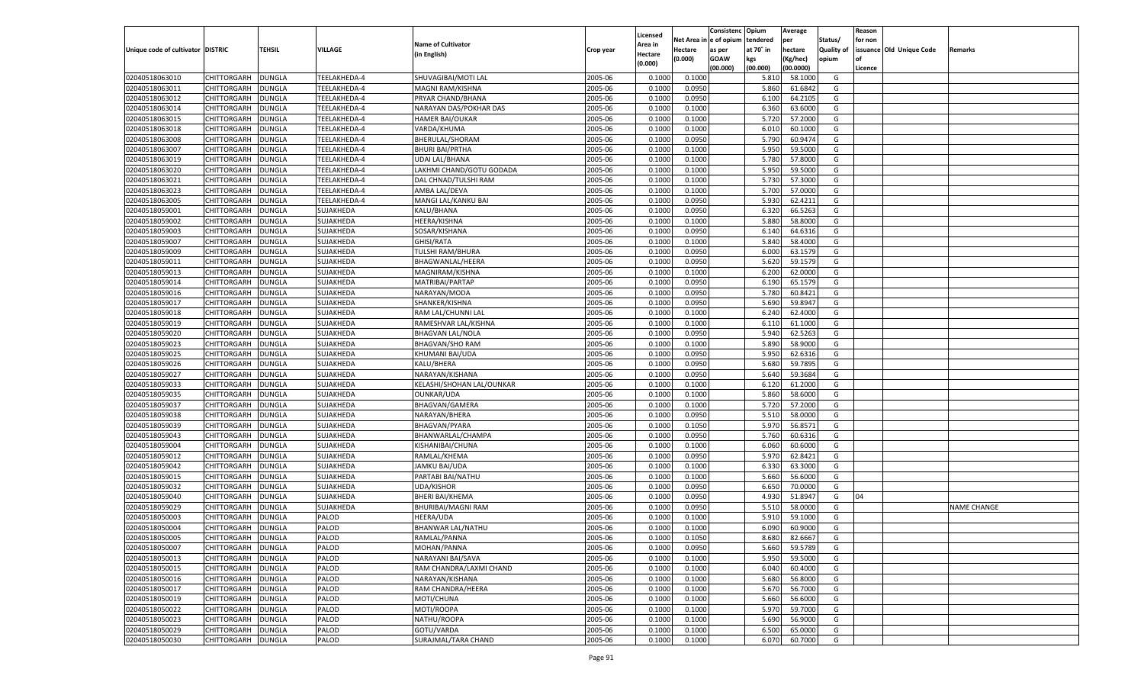|                                   |                    |               |                |                           |           |          |            | Consistenc   | Opium     | Average   |            | Reason  |                          |                    |
|-----------------------------------|--------------------|---------------|----------------|---------------------------|-----------|----------|------------|--------------|-----------|-----------|------------|---------|--------------------------|--------------------|
|                                   |                    |               |                |                           |           | Licensed | Net Area i | n e of opium | tendered  | per       | Status/    | for non |                          |                    |
| Unique code of cultivator DISTRIC |                    | TEHSIL        | <b>VILLAGE</b> | <b>Name of Cultivator</b> | Crop year | Area in  | Hectare    | as per       | at 70° in | hectare   | Quality of |         | issuance Old Unique Code | Remarks            |
|                                   |                    |               |                | (in English)              |           | Hectare  | (0.000)    | <b>GOAW</b>  | kgs       | (Kg/hec)  | opium      |         |                          |                    |
|                                   |                    |               |                |                           |           | (0.000)  |            | (00.000)     | (00.000)  | (00.0000) |            | Licence |                          |                    |
| 02040518063010                    | CHITTORGARH        | <b>DUNGLA</b> | TEELAKHEDA-4   | SHUVAGIBAI/MOTI LAL       | 2005-06   | 0.1000   | 0.1000     |              | 5.810     | 58.1000   | G          |         |                          |                    |
| 02040518063011                    | CHITTORGARH        | DUNGLA        | TEELAKHEDA-4   | MAGNI RAM/KISHNA          | 2005-06   | 0.1000   | 0.0950     |              | 5.860     | 61.6842   | G          |         |                          |                    |
| 02040518063012                    | CHITTORGARH        | DUNGLA        | TEELAKHEDA-4   | PRYAR CHAND/BHANA         | 2005-06   | 0.1000   | 0.0950     |              | 6.100     | 64.2105   | G          |         |                          |                    |
| 02040518063014                    | CHITTORGARH        | DUNGLA        | TEELAKHEDA-4   | NARAYAN DAS/POKHAR DAS    | 2005-06   | 0.1000   | 0.1000     |              | 6.360     | 63.6000   | G          |         |                          |                    |
| 02040518063015                    | CHITTORGARH        | DUNGLA        | TEELAKHEDA-4   | <b>HAMER BAI/OUKAR</b>    | 2005-06   | 0.1000   | 0.1000     |              | 5.720     | 57.2000   | G          |         |                          |                    |
| 02040518063018                    | CHITTORGARH        | DUNGLA        | TEELAKHEDA-4   | VARDA/KHUMA               | 2005-06   | 0.1000   | 0.1000     |              | 6.010     | 60.1000   | G          |         |                          |                    |
| 02040518063008                    | CHITTORGARH        | DUNGLA        | TEELAKHEDA-4   | BHERULAL/SHORAM           | 2005-06   | 0.1000   | 0.0950     |              | 5.790     | 60.9474   | G          |         |                          |                    |
| 02040518063007                    | CHITTORGARH        | DUNGLA        | TEELAKHEDA-4   | <b>BHURI BAI/PRTHA</b>    | 2005-06   | 0.1000   | 0.1000     |              | 5.950     | 59.5000   | G          |         |                          |                    |
| 02040518063019                    | CHITTORGARH        | DUNGLA        | TEELAKHEDA-4   | <b>UDAI LAL/BHANA</b>     | 2005-06   | 0.1000   | 0.1000     |              | 5.780     | 57.8000   | G          |         |                          |                    |
|                                   |                    |               |                |                           | 2005-06   |          |            |              | 5.950     | 59.5000   | G          |         |                          |                    |
| 02040518063020                    | CHITTORGARH        | DUNGLA        | TEELAKHEDA-4   | LAKHMI CHAND/GOTU GODADA  |           | 0.1000   | 0.1000     |              |           |           |            |         |                          |                    |
| 02040518063021                    | CHITTORGARH        | DUNGLA        | TEELAKHEDA-4   | DAL CHNAD/TULSHI RAM      | 2005-06   | 0.1000   | 0.1000     |              | 5.730     | 57.3000   | G          |         |                          |                    |
| 02040518063023                    | CHITTORGARH        | DUNGLA        | TEELAKHEDA-4   | AMBA LAL/DEVA             | 2005-06   | 0.1000   | 0.1000     |              | 5.700     | 57.0000   | G          |         |                          |                    |
| 02040518063005                    | CHITTORGARH        | DUNGLA        | TEELAKHEDA-4   | MANGI LAL/KANKU BAI       | 2005-06   | 0.1000   | 0.0950     |              | 5.930     | 62.4211   | G          |         |                          |                    |
| 02040518059001                    | CHITTORGARH        | DUNGLA        | SUJAKHEDA      | KALU/BHANA                | 2005-06   | 0.1000   | 0.0950     |              | 6.320     | 66.5263   | G          |         |                          |                    |
| 02040518059002                    | CHITTORGARH        | DUNGLA        | SUJAKHEDA      | <b>HEERA/KISHNA</b>       | 2005-06   | 0.1000   | 0.1000     |              | 5.880     | 58.8000   | G          |         |                          |                    |
| 02040518059003                    | CHITTORGARH        | DUNGLA        | SUJAKHEDA      | SOSAR/KISHANA             | 2005-06   | 0.1000   | 0.0950     |              | 6.140     | 64.6316   | G          |         |                          |                    |
| 02040518059007                    | CHITTORGARH        | <b>DUNGLA</b> | SUJAKHEDA      | GHISI/RATA                | 2005-06   | 0.1000   | 0.1000     |              | 5.840     | 58.4000   | G          |         |                          |                    |
| 02040518059009                    | CHITTORGARH        | DUNGLA        | SUJAKHEDA      | <b>TULSHI RAM/BHURA</b>   | 2005-06   | 0.1000   | 0.0950     |              | 6.000     | 63.1579   | G          |         |                          |                    |
| 02040518059011                    | CHITTORGARH        | DUNGLA        | SUJAKHEDA      | BHAGWANLAL/HEERA          | 2005-06   | 0.1000   | 0.0950     |              | 5.620     | 59.1579   | G          |         |                          |                    |
| 02040518059013                    | CHITTORGARH        | DUNGLA        | SUJAKHEDA      | MAGNIRAM/KISHNA           | 2005-06   | 0.1000   | 0.1000     |              | 6.200     | 62.0000   | G          |         |                          |                    |
| 02040518059014                    | CHITTORGARH        | <b>DUNGLA</b> | SUJAKHEDA      | MATRIBAI/PARTAP           | 2005-06   | 0.1000   | 0.0950     |              | 6.190     | 65.1579   | G          |         |                          |                    |
| 02040518059016                    | CHITTORGARH        | DUNGLA        | SUJAKHEDA      | NARAYAN/MODA              | 2005-06   | 0.1000   | 0.0950     |              | 5.780     | 60.8421   | G          |         |                          |                    |
| 02040518059017                    | CHITTORGARH        | DUNGLA        | SUJAKHEDA      | SHANKER/KISHNA            | 2005-06   | 0.1000   | 0.0950     |              | 5.690     | 59.8947   | G          |         |                          |                    |
| 02040518059018                    | CHITTORGARH        | DUNGLA        | SUJAKHEDA      | RAM LAL/CHUNNI LAL        | 2005-06   | 0.1000   | 0.1000     |              | 6.240     | 62.4000   | G          |         |                          |                    |
| 02040518059019                    | CHITTORGARH        | DUNGLA        | SUJAKHEDA      | RAMESHVAR LAL/KISHNA      | 2005-06   | 0.1000   | 0.1000     |              | 6.110     | 61.1000   | G          |         |                          |                    |
| 02040518059020                    | CHITTORGARH        | DUNGLA        | SUJAKHEDA      | <b>BHAGVAN LAL/NOLA</b>   | 2005-06   | 0.1000   | 0.0950     |              | 5.940     | 62.5263   | G          |         |                          |                    |
| 02040518059023                    | CHITTORGARH        | DUNGLA        | SUJAKHEDA      | <b>BHAGVAN/SHO RAM</b>    | 2005-06   | 0.1000   | 0.1000     |              | 5.890     | 58.9000   | G          |         |                          |                    |
| 02040518059025                    | CHITTORGARH        | DUNGLA        | SUJAKHEDA      | KHUMANI BAI/UDA           | 2005-06   | 0.1000   | 0.0950     |              | 5.950     | 62.6316   | G          |         |                          |                    |
| 02040518059026                    | CHITTORGARH        | DUNGLA        | SUJAKHEDA      | KALU/BHERA                | 2005-06   | 0.1000   | 0.0950     |              | 5.680     | 59.7895   | G          |         |                          |                    |
| 02040518059027                    | CHITTORGARH        | DUNGLA        | SUJAKHEDA      | NARAYAN/KISHANA           | 2005-06   | 0.1000   | 0.0950     |              | 5.640     | 59.3684   | G          |         |                          |                    |
| 02040518059033                    | CHITTORGARH        | DUNGLA        | SUJAKHEDA      | KELASHI/SHOHAN LAL/OUNKAR | 2005-06   | 0.1000   | 0.1000     |              | 6.120     | 61.2000   | G          |         |                          |                    |
|                                   |                    |               |                |                           |           |          |            |              | 5.860     | 58.6000   |            |         |                          |                    |
| 02040518059035                    | CHITTORGARH        | DUNGLA        | SUJAKHEDA      | OUNKAR/UDA                | 2005-06   | 0.1000   | 0.1000     |              |           |           | G          |         |                          |                    |
| 02040518059037                    | CHITTORGARH        | <b>DUNGLA</b> | SUJAKHEDA      | BHAGVAN/GAMERA            | 2005-06   | 0.1000   | 0.1000     |              | 5.720     | 57.2000   | G          |         |                          |                    |
| 02040518059038                    | CHITTORGARH        | DUNGLA        | SUJAKHEDA      | NARAYAN/BHERA             | 2005-06   | 0.1000   | 0.0950     |              | 5.510     | 58.0000   | G          |         |                          |                    |
| 02040518059039                    | CHITTORGARH        | <b>DUNGLA</b> | SUJAKHEDA      | <b>BHAGVAN/PYARA</b>      | 2005-06   | 0.1000   | 0.1050     |              | 5.970     | 56.8571   | G          |         |                          |                    |
| 02040518059043                    | CHITTORGARH        | DUNGLA        | SUJAKHEDA      | BHANWARLAL/CHAMPA         | 2005-06   | 0.1000   | 0.0950     |              | 5.760     | 60.6316   | G          |         |                          |                    |
| 02040518059004                    | CHITTORGARH        | <b>DUNGLA</b> | SUJAKHEDA      | KISHANIBAI/CHUNA          | 2005-06   | 0.1000   | 0.1000     |              | 6.060     | 60.6000   | G          |         |                          |                    |
| 02040518059012                    | CHITTORGARH        | DUNGLA        | SUJAKHEDA      | RAMLAL/KHEMA              | 2005-06   | 0.1000   | 0.0950     |              | 5.970     | 62.8421   | G          |         |                          |                    |
| 02040518059042                    | CHITTORGARH        | <b>DUNGLA</b> | SUJAKHEDA      | <b>JAMKU BAI/UDA</b>      | 2005-06   | 0.1000   | 0.1000     |              | 6.330     | 63.3000   | G          |         |                          |                    |
| 02040518059015                    | CHITTORGARH        | DUNGLA        | SUJAKHEDA      | PARTABI BAI/NATHU         | 2005-06   | 0.1000   | 0.1000     |              | 5.660     | 56.6000   | G          |         |                          |                    |
| 02040518059032                    | CHITTORGARH        | <b>DUNGLA</b> | SUJAKHEDA      | <b>UDA/KISHOR</b>         | 2005-06   | 0.1000   | 0.0950     |              | 6.650     | 70.0000   | G          |         |                          |                    |
| 02040518059040                    | CHITTORGARH        | DUNGLA        | SUJAKHEDA      | <b>BHERI BAI/KHEMA</b>    | 2005-06   | 0.1000   | 0.0950     |              | 4.930     | 51.8947   | G          | 04      |                          |                    |
| 02040518059029                    | <b>CHITTORGARH</b> | DUNGLA        | SUJAKHEDA      | <b>BHURIBAI/MAGNI RAM</b> | 2005-06   | 0.1000   | 0.0950     |              | 5.510     | 58.0000   | G          |         |                          | <b>NAME CHANGE</b> |
| 02040518050003                    | CHITTORGARH        | DUNGLA        | PALOD          | <b>HEERA/UDA</b>          | 2005-06   | 0.1000   | 0.1000     |              | 5.910     | 59.1000   | G          |         |                          |                    |
| 02040518050004                    | CHITTORGARH        | <b>DUNGLA</b> | PALOD          | BHANWAR LAL/NATHU         | 2005-06   | 0.1000   | 0.1000     |              | 6.090     | 60.9000   | G          |         |                          |                    |
| 02040518050005                    | CHITTORGARH        | <b>DUNGLA</b> | PALOD          | RAMLAL/PANNA              | 2005-06   | 0.1000   | 0.1050     |              | 8.680     | 82.6667   | G          |         |                          |                    |
| 02040518050007                    | <b>CHITTORGARH</b> | <b>DUNGLA</b> | PALOD          | MOHAN/PANNA               | 2005-06   | 0.1000   | 0.0950     |              | 5.660     | 59.5789   | G          |         |                          |                    |
| 02040518050013                    | <b>CHITTORGARH</b> | <b>DUNGLA</b> | PALOD          | NARAYANI BAI/SAVA         | 2005-06   | 0.1000   | 0.1000     |              | 5.950     | 59.5000   | G          |         |                          |                    |
| 02040518050015                    | CHITTORGARH        | <b>DUNGLA</b> | PALOD          | RAM CHANDRA/LAXMI CHAND   | 2005-06   | 0.1000   | 0.1000     |              | 6.040     | 60.4000   | G          |         |                          |                    |
| 02040518050016                    | <b>CHITTORGARH</b> | <b>DUNGLA</b> | PALOD          | NARAYAN/KISHANA           | 2005-06   | 0.1000   | 0.1000     |              | 5.680     | 56.8000   | G          |         |                          |                    |
| 02040518050017                    | <b>CHITTORGARH</b> | <b>DUNGLA</b> | PALOD          | RAM CHANDRA/HEERA         | 2005-06   | 0.1000   | 0.1000     |              | 5.670     | 56.7000   | G          |         |                          |                    |
| 02040518050019                    | <b>CHITTORGARH</b> | <b>DUNGLA</b> | PALOD          | MOTI/CHUNA                | 2005-06   | 0.1000   | 0.1000     |              | 5.660     | 56.6000   | G          |         |                          |                    |
| 02040518050022                    | CHITTORGARH        | <b>DUNGLA</b> | PALOD          | MOTI/ROOPA                | 2005-06   | 0.1000   | 0.1000     |              | 5.970     | 59.7000   | G          |         |                          |                    |
| 02040518050023                    | <b>CHITTORGARH</b> | <b>DUNGLA</b> | PALOD          | NATHU/ROOPA               | 2005-06   | 0.1000   | 0.1000     |              | 5.690     | 56.9000   | G          |         |                          |                    |
| 02040518050029                    | <b>CHITTORGARH</b> | <b>DUNGLA</b> | PALOD          | GOTU/VARDA                | 2005-06   | 0.1000   | 0.1000     |              | 6.500     | 65.0000   | G          |         |                          |                    |
| 02040518050030                    |                    |               | PALOD          | SURAJMAL/TARA CHAND       | 2005-06   |          |            |              |           | 60.7000   | G          |         |                          |                    |
|                                   | <b>CHITTORGARH</b> | <b>DUNGLA</b> |                |                           |           | 0.1000   | 0.1000     |              | 6.070     |           |            |         |                          |                    |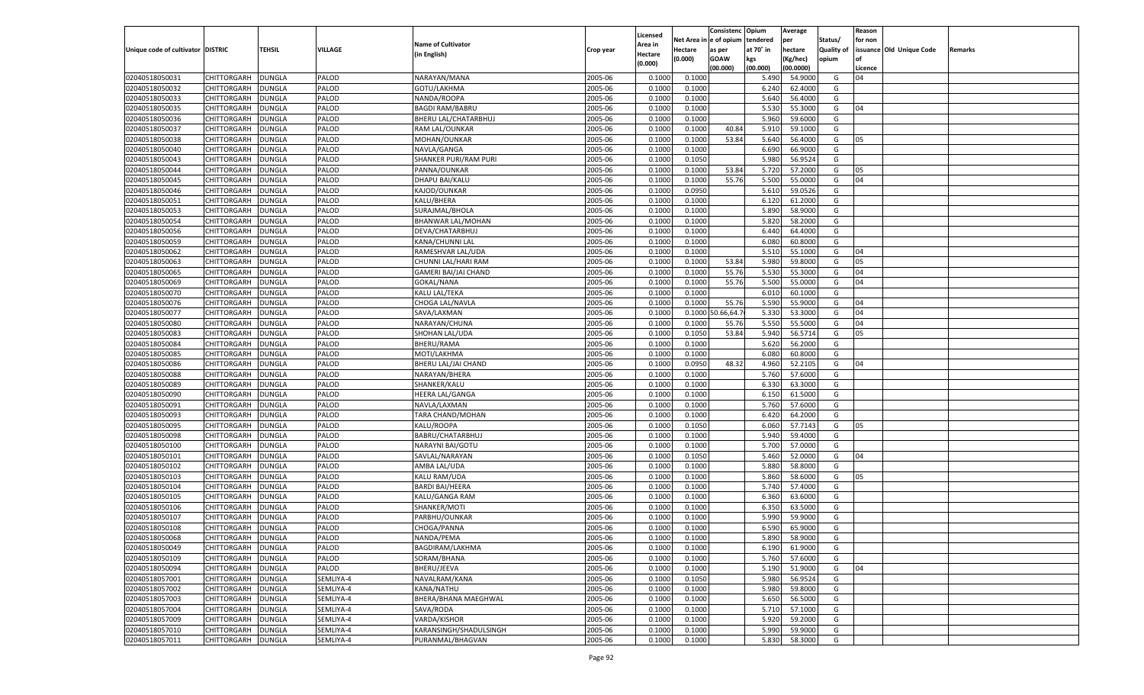| le of opium<br>Net Area i<br>tendered<br>per<br>Status/<br>for non<br><b>Name of Cultivator</b><br>Area in<br>issuance Old Unique Code<br>Unique code of cultivator DISTRIC<br>TEHSIL<br><b>VILLAGE</b><br>at 70° in<br>hectare<br>Quality of<br>Hectare<br>as per<br>Remarks<br>Crop year<br>(in English)<br>Hectare<br>(0.000)<br><b>GOAW</b><br>kgs<br>(Kg/hec)<br>opium<br>(0.000)<br>(00.000)<br>(00.000)<br>(00.0000)<br>Licence<br>CHITTORGARH<br>2005-06<br>0.1000<br>5.490<br>02040518050031<br>DUNGLA<br>PALOD<br>NARAYAN/MANA<br>0.1000<br>54.9000<br>G<br>04<br>02040518050032<br>2005-06<br>CHITTORGARH<br>DUNGLA<br>PALOD<br>GOTU/LAKHMA<br>0.100<br>0.1000<br>6.240<br>62.4000<br>G<br>2005-06<br>5.640<br>02040518050033<br>CHITTORGARH<br>DUNGLA<br>PALOD<br>NANDA/ROOPA<br>0.1000<br>0.1000<br>56.4000<br>G<br>02040518050035<br>2005-06<br>5.530<br>CHITTORGARH<br>DUNGLA<br>PALOD<br><b>BAGDI RAM/BABRU</b><br>0.1000<br>0.1000<br>55.3000<br>G<br>04<br>PALOD<br>2005-06<br>5.960<br>59.6000<br>02040518050036<br>CHITTORGARH<br>DUNGLA<br>BHERU LAL/CHATARBHUJ<br>0.1000<br>0.1000<br>G<br>2005-06<br>40.84<br>02040518050037<br>CHITTORGARH<br>DUNGLA<br>PALOD<br>RAM LAL/OUNKAR<br>0.1000<br>0.1000<br>5.910<br>59.1000<br>G<br>2005-06<br>53.84<br>02040518050038<br>CHITTORGARH<br>DUNGLA<br>PALOD<br>MOHAN/OUNKAR<br>0.1000<br>0.1000<br>5.640<br>56.4000<br>G<br>05<br>02040518050040<br>2005-06<br>6.690<br>CHITTORGARH<br>DUNGLA<br>PALOD<br>NAVLA/GANGA<br>0.1000<br>0.1000<br>66.9000<br>G<br>02040518050043<br>PALOD<br>2005-06<br>5.980<br>56.9524<br>G<br>CHITTORGARH<br>DUNGLA<br>SHANKER PURI/RAM PURI<br>0.1000<br>0.1050<br>02040518050044<br>2005-06<br>53.84<br>CHITTORGARH<br>DUNGLA<br>PALOD<br>PANNA/OUNKAR<br>0.1000<br>0.1000<br>5.720<br>57.2000<br>G<br>05<br>2005-06<br>55.76<br>02040518050045<br>CHITTORGARH<br>DUNGLA<br>PALOD<br>DHAPU BAI/KALU<br>0.1000<br>0.1000<br>5.500<br>55.0000<br>G<br>04<br>02040518050046<br>2005-06<br>0.0950<br>5.610<br>CHITTORGARH<br>DUNGLA<br>PALOD<br>KAJOD/OUNKAR<br>0.1000<br>59.0526<br>G<br>PALOD<br>KALU/BHERA<br>2005-06<br>0.1000<br>6.120<br>G<br>02040518050051<br>CHITTORGARH<br>DUNGLA<br>0.1000<br>61.2000<br>02040518050053<br>PALOD<br>2005-06<br>5.890<br>58.9000<br>CHITTORGARH<br>DUNGLA<br>SURAJMAL/BHOLA<br>0.1000<br>0.1000<br>G<br>02040518050054<br>PALOD<br>2005-06<br>5.820<br>58.2000<br>CHITTORGARH<br>DUNGLA<br>BHANWAR LAL/MOHAN<br>0.1000<br>0.1000<br>G<br>02040518050056<br>PALOD<br>2005-06<br>6.440<br>64.4000<br>CHITTORGARH<br>DUNGLA<br>DEVA/CHATARBHUJ<br>0.1000<br>0.1000<br>G<br>02040518050059<br><b>DUNGLA</b><br>PALOD<br>KANA/CHUNNI LAL<br>2005-06<br>6.080<br>60.8000<br>G<br>CHITTORGARH<br>0.1000<br>0.1000<br>02040518050062<br>PALOD<br>2005-06<br>5.510<br>CHITTORGARH<br>DUNGLA<br>RAMESHVAR LAL/UDA<br>0.1000<br>0.1000<br>55.1000<br>G<br>04<br>02040518050063<br>PALOD<br>2005-06<br>0.1000<br>53.84<br>5.980<br>59.8000<br>CHITTORGARH<br>DUNGLA<br>CHUNNI LAL/HARI RAM<br>0.1000<br>G<br>05<br>02040518050065<br>PALOD<br>2005-06<br>55.76<br>5.530<br>55.3000<br>CHITTORGARH<br>DUNGLA<br>GAMERI BAI/JAI CHAND<br>0.1000<br>0.1000<br>G<br>04<br>02040518050069<br><b>DUNGLA</b><br>PALOD<br>GOKAL/NANA<br>2005-06<br>0.1000<br>55.76<br>5.500<br>55.0000<br>G<br>04<br>CHITTORGARH<br>0.1000<br>02040518050070<br>PALOD<br>2005-06<br>6.010<br>60.1000<br>CHITTORGARH<br>DUNGLA<br>KALU LAL/TEKA<br>0.1000<br>0.1000<br>G<br>PALOD<br>2005-06<br>0.1000<br>55.76<br>5.590<br>55.9000<br>02040518050076<br>CHITTORGARH<br>DUNGLA<br>CHOGA LAL/NAVLA<br>0.1000<br>G<br>04<br>02040518050077<br>PALOD<br>SAVA/LAXMAN<br>2005-06<br>0.66, 64.7<br>5.330<br>53.3000<br>CHITTORGARH<br>DUNGLA<br>0.1000<br>0.1000<br>G<br>04<br>02040518050080<br>DUNGLA<br>PALOD<br>NARAYAN/CHUNA<br>2005-06<br>0.1000<br>5.550<br>55.5000<br>G<br>CHITTORGARH<br>0.1000<br>55.76<br>04<br>02040518050083<br>PALOD<br>2005-06<br>53.84<br>5.940<br>CHITTORGARH<br>DUNGLA<br>SHOHAN LAL/UDA<br>0.1000<br>0.1050<br>56.5714<br>G<br>05<br>02040518050084<br>PALOD<br><b>BHERU/RAMA</b><br>2005-06<br>0.1000<br>5.620<br>56.2000<br>CHITTORGARH<br>DUNGLA<br>0.1000<br>G<br>02040518050085<br>PALOD<br>2005-06<br>6.080<br>CHITTORGARH<br>DUNGLA<br>MOTI/LAKHMA<br>0.1000<br>0.1000<br>60.8000<br>G<br>02040518050086<br>CHITTORGARH<br>DUNGLA<br>PALOD<br>2005-06<br>0.0950<br>48.32<br>4.960<br>52.2105<br>G<br>BHERU LAL/JAI CHAND<br>0.1000<br>04<br>02040518050088<br>PALOD<br>2005-06<br>5.760<br>CHITTORGARH<br>DUNGLA<br>NARAYAN/BHERA<br>0.1000<br>0.1000<br>57.6000<br>G<br>02040518050089<br>PALOD<br>2005-06<br>0.1000<br>6.330<br>63.3000<br>CHITTORGARH<br>DUNGLA<br>SHANKER/KALU<br>0.1000<br>G<br>02040518050090<br>PALOD<br>2005-06<br>6.15(<br>61.5000<br>CHITTORGARH<br>DUNGLA<br><b>HEERA LAL/GANGA</b><br>0.1000<br>0.1000<br>G<br>02040518050091<br>PALOD<br>2005-06<br>5.760<br>57.6000<br>CHITTORGARH<br>DUNGLA<br>NAVLA/LAXMAN<br>0.1000<br>0.1000<br>G<br>02040518050093<br>PALOD<br>2005-06<br>6.420<br>64.2000<br>CHITTORGARH<br>DUNGLA<br>TARA CHAND/MOHAN<br>0.1000<br>0.1000<br>G<br>02040518050095<br>PALOD<br>2005-06<br>6.060<br>57.7143<br>CHITTORGARH<br>DUNGLA<br>KALU/ROOPA<br>0.1000<br>0.1050<br>G<br>05<br>02040518050098<br>PALOD<br>2005-06<br>5.940<br>59.4000<br>CHITTORGARH<br>DUNGLA<br>BABRU/CHATARBHUJ<br>0.1000<br>0.1000<br>G<br>02040518050100<br>PALOD<br>NARAYNI BAI/GOTU<br>2005-06<br>5.700<br>57.0000<br>CHITTORGARH<br>DUNGLA<br>0.1000<br>0.1000<br>G<br>02040518050101<br>PALOD<br>SAVLAL/NARAYAN<br>2005-06<br>5.460<br>52.0000<br>CHITTORGARH<br>DUNGLA<br>0.1000<br>0.1050<br>G<br>04<br>02040518050102<br>PALOD<br>2005-06<br>5.880<br>58.8000<br>CHITTORGARH<br>DUNGLA<br>AMBA LAL/UDA<br>0.1000<br>0.1000<br>G<br>02040518050103<br>PALOD<br>2005-06<br>5.860<br>CHITTORGARH<br>DUNGLA<br>KALU RAM/UDA<br>0.1000<br>0.1000<br>58.6000<br>G<br>05<br>02040518050104<br>PALOD<br><b>BARDI BAI/HEERA</b><br>2005-06<br>5.740<br>57.4000<br>CHITTORGARH<br>DUNGLA<br>0.1000<br>0.1000<br>G<br>02040518050105<br>PALOD<br>2005-06<br>6.360<br>CHITTORGARH<br>DUNGLA<br>KALU/GANGA RAM<br>0.1000<br>0.1000<br>63.6000<br>G<br>PALOD<br>2005-06<br>02040518050106<br>CHITTORGARH<br>DUNGLA<br>SHANKER/MOTI<br>0.1000<br>0.1000<br>6.350<br>63.5000<br>G<br>02040518050107<br>5.990<br>CHITTORGARH<br>DUNGLA<br>PALOD<br>PARBHU/OUNKAR<br>2005-06<br>0.1000<br>0.1000<br>59.9000<br>G<br>02040518050108<br>PALOD<br>2005-06<br>65.9000<br>CHITTORGARH<br><b>DUNGLA</b><br>CHOGA/PANNA<br>0.1000<br>0.1000<br>6.590<br>G<br>02040518050068<br>CHITTORGARH<br><b>DUNGLA</b><br>PALOD<br>NANDA/PEMA<br>2005-06<br>0.1000<br>0.1000<br>5.890<br>58.9000<br>G<br>2005-06<br>02040518050049<br><b>DUNGLA</b><br>PALOD<br>BAGDIRAM/LAKHMA<br>0.1000<br>0.1000<br>6.190<br>61.9000<br><b>CHITTORGARH</b><br>G<br>02040518050109<br><b>CHITTORGARH</b><br>PALOD<br>SORAM/BHANA<br>2005-06<br>5.760<br>57.6000<br><b>DUNGLA</b><br>0.1000<br>0.1000<br>G<br>2005-06<br>02040518050094<br>CHITTORGARH<br><b>DUNGLA</b><br>PALOD<br>BHERU/JEEVA<br>0.1000<br>5.190<br>51.9000<br>04<br>0.1000<br>G<br>02040518057001<br><b>CHITTORGARH</b><br>SEMLIYA-4<br>NAVALRAM/KANA<br>2005-06<br>0.1050<br>5.980<br>56.9524<br><b>DUNGLA</b><br>0.1000<br>G<br>02040518057002<br>CHITTORGARH<br><b>DUNGLA</b><br>SEMLIYA-4<br>KANA/NATHU<br>2005-06<br>0.1000<br>0.1000<br>5.980<br>59.8000<br>G<br>02040518057003<br>CHITTORGARH<br>SEMLIYA-4<br>BHERA/BHANA MAEGHWAL<br>2005-06<br>5.650<br>56.5000<br>G<br><b>DUNGLA</b><br>0.1000<br>0.1000<br>2005-06<br>02040518057004<br>CHITTORGARH<br><b>DUNGLA</b><br>SEMLIYA-4<br>SAVA/RODA<br>0.1000<br>5.710<br>57.1000<br>G<br>0.1000<br>02040518057009<br><b>CHITTORGARH</b><br>SEMLIYA-4<br>VARDA/KISHOR<br>2005-06<br>0.1000<br>5.920<br>59.2000<br><b>DUNGLA</b><br>0.1000<br>G<br>02040518057010<br>CHITTORGARH<br><b>DUNGLA</b><br>SEMLIYA-4<br>KARANSINGH/SHADULSINGH<br>2005-06<br>0.1000<br>5.990<br>59.9000<br>G<br>0.1000<br>02040518057011<br><b>CHITTORGARH</b><br>SEMLIYA-4<br>PURANMAL/BHAGVAN<br>2005-06<br>5.830<br>58.3000<br>G<br><b>DUNGLA</b><br>0.1000<br>0.1000 |  |  |  |          | Consistenc | Opium | Average | Reason |  |
|---------------------------------------------------------------------------------------------------------------------------------------------------------------------------------------------------------------------------------------------------------------------------------------------------------------------------------------------------------------------------------------------------------------------------------------------------------------------------------------------------------------------------------------------------------------------------------------------------------------------------------------------------------------------------------------------------------------------------------------------------------------------------------------------------------------------------------------------------------------------------------------------------------------------------------------------------------------------------------------------------------------------------------------------------------------------------------------------------------------------------------------------------------------------------------------------------------------------------------------------------------------------------------------------------------------------------------------------------------------------------------------------------------------------------------------------------------------------------------------------------------------------------------------------------------------------------------------------------------------------------------------------------------------------------------------------------------------------------------------------------------------------------------------------------------------------------------------------------------------------------------------------------------------------------------------------------------------------------------------------------------------------------------------------------------------------------------------------------------------------------------------------------------------------------------------------------------------------------------------------------------------------------------------------------------------------------------------------------------------------------------------------------------------------------------------------------------------------------------------------------------------------------------------------------------------------------------------------------------------------------------------------------------------------------------------------------------------------------------------------------------------------------------------------------------------------------------------------------------------------------------------------------------------------------------------------------------------------------------------------------------------------------------------------------------------------------------------------------------------------------------------------------------------------------------------------------------------------------------------------------------------------------------------------------------------------------------------------------------------------------------------------------------------------------------------------------------------------------------------------------------------------------------------------------------------------------------------------------------------------------------------------------------------------------------------------------------------------------------------------------------------------------------------------------------------------------------------------------------------------------------------------------------------------------------------------------------------------------------------------------------------------------------------------------------------------------------------------------------------------------------------------------------------------------------------------------------------------------------------------------------------------------------------------------------------------------------------------------------------------------------------------------------------------------------------------------------------------------------------------------------------------------------------------------------------------------------------------------------------------------------------------------------------------------------------------------------------------------------------------------------------------------------------------------------------------------------------------------------------------------------------------------------------------------------------------------------------------------------------------------------------------------------------------------------------------------------------------------------------------------------------------------------------------------------------------------------------------------------------------------------------------------------------------------------------------------------------------------------------------------------------------------------------------------------------------------------------------------------------------------------------------------------------------------------------------------------------------------------------------------------------------------------------------------------------------------------------------------------------------------------------------------------------------------------------------------------------------------------------------------------------------------------------------------------------------------------------------------------------------------------------------------------------------------------------------------------------------------------------------------------------------------------------------------------------------------------------------------------------------------------------------------------------------------------------------------------------------------------------------------------------------------------------------------------------------------------------------------------------------------------------------------------------------------------------------------------------------------------------------------------------------------------------------------------------------------------------------------------------------------------------------------------------------------------------------------------------------------------------------------------------------------------------------------------------------------------------------------------------------------------------------------------------------------------------------------------------------------------------------------------------------------------------------------------------------------------------------------------------------------------------------------------------------------------------------------------------------------------------------------------------------------------------------------------------------------------------------------------------------------------------------------------------------------------------------------------------------------------------------------------------------------------------------------------------------------------------------------------------------------------------------------------------------------------------------------------------------------------------------------------------------------------------------------------------------------------------------------------------------------------------------------------------------------------------------------------------------------------------------------------------------------------------------------------------------------|--|--|--|----------|------------|-------|---------|--------|--|
|                                                                                                                                                                                                                                                                                                                                                                                                                                                                                                                                                                                                                                                                                                                                                                                                                                                                                                                                                                                                                                                                                                                                                                                                                                                                                                                                                                                                                                                                                                                                                                                                                                                                                                                                                                                                                                                                                                                                                                                                                                                                                                                                                                                                                                                                                                                                                                                                                                                                                                                                                                                                                                                                                                                                                                                                                                                                                                                                                                                                                                                                                                                                                                                                                                                                                                                                                                                                                                                                                                                                                                                                                                                                                                                                                                                                                                                                                                                                                                                                                                                                                                                                                                                                                                                                                                                                                                                                                                                                                                                                                                                                                                                                                                                                                                                                                                                                                                                                                                                                                                                                                                                                                                                                                                                                                                                                                                                                                                                                                                                                                                                                                                                                                                                                                                                                                                                                                                                                                                                                                                                                                                                                                                                                                                                                                                                                                                                                                                                                                                                                                                                                                                                                                                                                                                                                                                                                                                                                                                                                                                                                                                                                                                                                                                                                                                                                                                                                                                                                                                                                                                                                                                                                                                                                                                                                                                                                                                                                                                                                                                                                                                                                                                                                   |  |  |  | Licensed |            |       |         |        |  |
|                                                                                                                                                                                                                                                                                                                                                                                                                                                                                                                                                                                                                                                                                                                                                                                                                                                                                                                                                                                                                                                                                                                                                                                                                                                                                                                                                                                                                                                                                                                                                                                                                                                                                                                                                                                                                                                                                                                                                                                                                                                                                                                                                                                                                                                                                                                                                                                                                                                                                                                                                                                                                                                                                                                                                                                                                                                                                                                                                                                                                                                                                                                                                                                                                                                                                                                                                                                                                                                                                                                                                                                                                                                                                                                                                                                                                                                                                                                                                                                                                                                                                                                                                                                                                                                                                                                                                                                                                                                                                                                                                                                                                                                                                                                                                                                                                                                                                                                                                                                                                                                                                                                                                                                                                                                                                                                                                                                                                                                                                                                                                                                                                                                                                                                                                                                                                                                                                                                                                                                                                                                                                                                                                                                                                                                                                                                                                                                                                                                                                                                                                                                                                                                                                                                                                                                                                                                                                                                                                                                                                                                                                                                                                                                                                                                                                                                                                                                                                                                                                                                                                                                                                                                                                                                                                                                                                                                                                                                                                                                                                                                                                                                                                                                                   |  |  |  |          |            |       |         |        |  |
|                                                                                                                                                                                                                                                                                                                                                                                                                                                                                                                                                                                                                                                                                                                                                                                                                                                                                                                                                                                                                                                                                                                                                                                                                                                                                                                                                                                                                                                                                                                                                                                                                                                                                                                                                                                                                                                                                                                                                                                                                                                                                                                                                                                                                                                                                                                                                                                                                                                                                                                                                                                                                                                                                                                                                                                                                                                                                                                                                                                                                                                                                                                                                                                                                                                                                                                                                                                                                                                                                                                                                                                                                                                                                                                                                                                                                                                                                                                                                                                                                                                                                                                                                                                                                                                                                                                                                                                                                                                                                                                                                                                                                                                                                                                                                                                                                                                                                                                                                                                                                                                                                                                                                                                                                                                                                                                                                                                                                                                                                                                                                                                                                                                                                                                                                                                                                                                                                                                                                                                                                                                                                                                                                                                                                                                                                                                                                                                                                                                                                                                                                                                                                                                                                                                                                                                                                                                                                                                                                                                                                                                                                                                                                                                                                                                                                                                                                                                                                                                                                                                                                                                                                                                                                                                                                                                                                                                                                                                                                                                                                                                                                                                                                                                                   |  |  |  |          |            |       |         |        |  |
|                                                                                                                                                                                                                                                                                                                                                                                                                                                                                                                                                                                                                                                                                                                                                                                                                                                                                                                                                                                                                                                                                                                                                                                                                                                                                                                                                                                                                                                                                                                                                                                                                                                                                                                                                                                                                                                                                                                                                                                                                                                                                                                                                                                                                                                                                                                                                                                                                                                                                                                                                                                                                                                                                                                                                                                                                                                                                                                                                                                                                                                                                                                                                                                                                                                                                                                                                                                                                                                                                                                                                                                                                                                                                                                                                                                                                                                                                                                                                                                                                                                                                                                                                                                                                                                                                                                                                                                                                                                                                                                                                                                                                                                                                                                                                                                                                                                                                                                                                                                                                                                                                                                                                                                                                                                                                                                                                                                                                                                                                                                                                                                                                                                                                                                                                                                                                                                                                                                                                                                                                                                                                                                                                                                                                                                                                                                                                                                                                                                                                                                                                                                                                                                                                                                                                                                                                                                                                                                                                                                                                                                                                                                                                                                                                                                                                                                                                                                                                                                                                                                                                                                                                                                                                                                                                                                                                                                                                                                                                                                                                                                                                                                                                                                                   |  |  |  |          |            |       |         |        |  |
|                                                                                                                                                                                                                                                                                                                                                                                                                                                                                                                                                                                                                                                                                                                                                                                                                                                                                                                                                                                                                                                                                                                                                                                                                                                                                                                                                                                                                                                                                                                                                                                                                                                                                                                                                                                                                                                                                                                                                                                                                                                                                                                                                                                                                                                                                                                                                                                                                                                                                                                                                                                                                                                                                                                                                                                                                                                                                                                                                                                                                                                                                                                                                                                                                                                                                                                                                                                                                                                                                                                                                                                                                                                                                                                                                                                                                                                                                                                                                                                                                                                                                                                                                                                                                                                                                                                                                                                                                                                                                                                                                                                                                                                                                                                                                                                                                                                                                                                                                                                                                                                                                                                                                                                                                                                                                                                                                                                                                                                                                                                                                                                                                                                                                                                                                                                                                                                                                                                                                                                                                                                                                                                                                                                                                                                                                                                                                                                                                                                                                                                                                                                                                                                                                                                                                                                                                                                                                                                                                                                                                                                                                                                                                                                                                                                                                                                                                                                                                                                                                                                                                                                                                                                                                                                                                                                                                                                                                                                                                                                                                                                                                                                                                                                                   |  |  |  |          |            |       |         |        |  |
|                                                                                                                                                                                                                                                                                                                                                                                                                                                                                                                                                                                                                                                                                                                                                                                                                                                                                                                                                                                                                                                                                                                                                                                                                                                                                                                                                                                                                                                                                                                                                                                                                                                                                                                                                                                                                                                                                                                                                                                                                                                                                                                                                                                                                                                                                                                                                                                                                                                                                                                                                                                                                                                                                                                                                                                                                                                                                                                                                                                                                                                                                                                                                                                                                                                                                                                                                                                                                                                                                                                                                                                                                                                                                                                                                                                                                                                                                                                                                                                                                                                                                                                                                                                                                                                                                                                                                                                                                                                                                                                                                                                                                                                                                                                                                                                                                                                                                                                                                                                                                                                                                                                                                                                                                                                                                                                                                                                                                                                                                                                                                                                                                                                                                                                                                                                                                                                                                                                                                                                                                                                                                                                                                                                                                                                                                                                                                                                                                                                                                                                                                                                                                                                                                                                                                                                                                                                                                                                                                                                                                                                                                                                                                                                                                                                                                                                                                                                                                                                                                                                                                                                                                                                                                                                                                                                                                                                                                                                                                                                                                                                                                                                                                                                                   |  |  |  |          |            |       |         |        |  |
|                                                                                                                                                                                                                                                                                                                                                                                                                                                                                                                                                                                                                                                                                                                                                                                                                                                                                                                                                                                                                                                                                                                                                                                                                                                                                                                                                                                                                                                                                                                                                                                                                                                                                                                                                                                                                                                                                                                                                                                                                                                                                                                                                                                                                                                                                                                                                                                                                                                                                                                                                                                                                                                                                                                                                                                                                                                                                                                                                                                                                                                                                                                                                                                                                                                                                                                                                                                                                                                                                                                                                                                                                                                                                                                                                                                                                                                                                                                                                                                                                                                                                                                                                                                                                                                                                                                                                                                                                                                                                                                                                                                                                                                                                                                                                                                                                                                                                                                                                                                                                                                                                                                                                                                                                                                                                                                                                                                                                                                                                                                                                                                                                                                                                                                                                                                                                                                                                                                                                                                                                                                                                                                                                                                                                                                                                                                                                                                                                                                                                                                                                                                                                                                                                                                                                                                                                                                                                                                                                                                                                                                                                                                                                                                                                                                                                                                                                                                                                                                                                                                                                                                                                                                                                                                                                                                                                                                                                                                                                                                                                                                                                                                                                                                                   |  |  |  |          |            |       |         |        |  |
|                                                                                                                                                                                                                                                                                                                                                                                                                                                                                                                                                                                                                                                                                                                                                                                                                                                                                                                                                                                                                                                                                                                                                                                                                                                                                                                                                                                                                                                                                                                                                                                                                                                                                                                                                                                                                                                                                                                                                                                                                                                                                                                                                                                                                                                                                                                                                                                                                                                                                                                                                                                                                                                                                                                                                                                                                                                                                                                                                                                                                                                                                                                                                                                                                                                                                                                                                                                                                                                                                                                                                                                                                                                                                                                                                                                                                                                                                                                                                                                                                                                                                                                                                                                                                                                                                                                                                                                                                                                                                                                                                                                                                                                                                                                                                                                                                                                                                                                                                                                                                                                                                                                                                                                                                                                                                                                                                                                                                                                                                                                                                                                                                                                                                                                                                                                                                                                                                                                                                                                                                                                                                                                                                                                                                                                                                                                                                                                                                                                                                                                                                                                                                                                                                                                                                                                                                                                                                                                                                                                                                                                                                                                                                                                                                                                                                                                                                                                                                                                                                                                                                                                                                                                                                                                                                                                                                                                                                                                                                                                                                                                                                                                                                                                                   |  |  |  |          |            |       |         |        |  |
|                                                                                                                                                                                                                                                                                                                                                                                                                                                                                                                                                                                                                                                                                                                                                                                                                                                                                                                                                                                                                                                                                                                                                                                                                                                                                                                                                                                                                                                                                                                                                                                                                                                                                                                                                                                                                                                                                                                                                                                                                                                                                                                                                                                                                                                                                                                                                                                                                                                                                                                                                                                                                                                                                                                                                                                                                                                                                                                                                                                                                                                                                                                                                                                                                                                                                                                                                                                                                                                                                                                                                                                                                                                                                                                                                                                                                                                                                                                                                                                                                                                                                                                                                                                                                                                                                                                                                                                                                                                                                                                                                                                                                                                                                                                                                                                                                                                                                                                                                                                                                                                                                                                                                                                                                                                                                                                                                                                                                                                                                                                                                                                                                                                                                                                                                                                                                                                                                                                                                                                                                                                                                                                                                                                                                                                                                                                                                                                                                                                                                                                                                                                                                                                                                                                                                                                                                                                                                                                                                                                                                                                                                                                                                                                                                                                                                                                                                                                                                                                                                                                                                                                                                                                                                                                                                                                                                                                                                                                                                                                                                                                                                                                                                                                                   |  |  |  |          |            |       |         |        |  |
|                                                                                                                                                                                                                                                                                                                                                                                                                                                                                                                                                                                                                                                                                                                                                                                                                                                                                                                                                                                                                                                                                                                                                                                                                                                                                                                                                                                                                                                                                                                                                                                                                                                                                                                                                                                                                                                                                                                                                                                                                                                                                                                                                                                                                                                                                                                                                                                                                                                                                                                                                                                                                                                                                                                                                                                                                                                                                                                                                                                                                                                                                                                                                                                                                                                                                                                                                                                                                                                                                                                                                                                                                                                                                                                                                                                                                                                                                                                                                                                                                                                                                                                                                                                                                                                                                                                                                                                                                                                                                                                                                                                                                                                                                                                                                                                                                                                                                                                                                                                                                                                                                                                                                                                                                                                                                                                                                                                                                                                                                                                                                                                                                                                                                                                                                                                                                                                                                                                                                                                                                                                                                                                                                                                                                                                                                                                                                                                                                                                                                                                                                                                                                                                                                                                                                                                                                                                                                                                                                                                                                                                                                                                                                                                                                                                                                                                                                                                                                                                                                                                                                                                                                                                                                                                                                                                                                                                                                                                                                                                                                                                                                                                                                                                                   |  |  |  |          |            |       |         |        |  |
|                                                                                                                                                                                                                                                                                                                                                                                                                                                                                                                                                                                                                                                                                                                                                                                                                                                                                                                                                                                                                                                                                                                                                                                                                                                                                                                                                                                                                                                                                                                                                                                                                                                                                                                                                                                                                                                                                                                                                                                                                                                                                                                                                                                                                                                                                                                                                                                                                                                                                                                                                                                                                                                                                                                                                                                                                                                                                                                                                                                                                                                                                                                                                                                                                                                                                                                                                                                                                                                                                                                                                                                                                                                                                                                                                                                                                                                                                                                                                                                                                                                                                                                                                                                                                                                                                                                                                                                                                                                                                                                                                                                                                                                                                                                                                                                                                                                                                                                                                                                                                                                                                                                                                                                                                                                                                                                                                                                                                                                                                                                                                                                                                                                                                                                                                                                                                                                                                                                                                                                                                                                                                                                                                                                                                                                                                                                                                                                                                                                                                                                                                                                                                                                                                                                                                                                                                                                                                                                                                                                                                                                                                                                                                                                                                                                                                                                                                                                                                                                                                                                                                                                                                                                                                                                                                                                                                                                                                                                                                                                                                                                                                                                                                                                                   |  |  |  |          |            |       |         |        |  |
|                                                                                                                                                                                                                                                                                                                                                                                                                                                                                                                                                                                                                                                                                                                                                                                                                                                                                                                                                                                                                                                                                                                                                                                                                                                                                                                                                                                                                                                                                                                                                                                                                                                                                                                                                                                                                                                                                                                                                                                                                                                                                                                                                                                                                                                                                                                                                                                                                                                                                                                                                                                                                                                                                                                                                                                                                                                                                                                                                                                                                                                                                                                                                                                                                                                                                                                                                                                                                                                                                                                                                                                                                                                                                                                                                                                                                                                                                                                                                                                                                                                                                                                                                                                                                                                                                                                                                                                                                                                                                                                                                                                                                                                                                                                                                                                                                                                                                                                                                                                                                                                                                                                                                                                                                                                                                                                                                                                                                                                                                                                                                                                                                                                                                                                                                                                                                                                                                                                                                                                                                                                                                                                                                                                                                                                                                                                                                                                                                                                                                                                                                                                                                                                                                                                                                                                                                                                                                                                                                                                                                                                                                                                                                                                                                                                                                                                                                                                                                                                                                                                                                                                                                                                                                                                                                                                                                                                                                                                                                                                                                                                                                                                                                                                                   |  |  |  |          |            |       |         |        |  |
|                                                                                                                                                                                                                                                                                                                                                                                                                                                                                                                                                                                                                                                                                                                                                                                                                                                                                                                                                                                                                                                                                                                                                                                                                                                                                                                                                                                                                                                                                                                                                                                                                                                                                                                                                                                                                                                                                                                                                                                                                                                                                                                                                                                                                                                                                                                                                                                                                                                                                                                                                                                                                                                                                                                                                                                                                                                                                                                                                                                                                                                                                                                                                                                                                                                                                                                                                                                                                                                                                                                                                                                                                                                                                                                                                                                                                                                                                                                                                                                                                                                                                                                                                                                                                                                                                                                                                                                                                                                                                                                                                                                                                                                                                                                                                                                                                                                                                                                                                                                                                                                                                                                                                                                                                                                                                                                                                                                                                                                                                                                                                                                                                                                                                                                                                                                                                                                                                                                                                                                                                                                                                                                                                                                                                                                                                                                                                                                                                                                                                                                                                                                                                                                                                                                                                                                                                                                                                                                                                                                                                                                                                                                                                                                                                                                                                                                                                                                                                                                                                                                                                                                                                                                                                                                                                                                                                                                                                                                                                                                                                                                                                                                                                                                                   |  |  |  |          |            |       |         |        |  |
|                                                                                                                                                                                                                                                                                                                                                                                                                                                                                                                                                                                                                                                                                                                                                                                                                                                                                                                                                                                                                                                                                                                                                                                                                                                                                                                                                                                                                                                                                                                                                                                                                                                                                                                                                                                                                                                                                                                                                                                                                                                                                                                                                                                                                                                                                                                                                                                                                                                                                                                                                                                                                                                                                                                                                                                                                                                                                                                                                                                                                                                                                                                                                                                                                                                                                                                                                                                                                                                                                                                                                                                                                                                                                                                                                                                                                                                                                                                                                                                                                                                                                                                                                                                                                                                                                                                                                                                                                                                                                                                                                                                                                                                                                                                                                                                                                                                                                                                                                                                                                                                                                                                                                                                                                                                                                                                                                                                                                                                                                                                                                                                                                                                                                                                                                                                                                                                                                                                                                                                                                                                                                                                                                                                                                                                                                                                                                                                                                                                                                                                                                                                                                                                                                                                                                                                                                                                                                                                                                                                                                                                                                                                                                                                                                                                                                                                                                                                                                                                                                                                                                                                                                                                                                                                                                                                                                                                                                                                                                                                                                                                                                                                                                                                                   |  |  |  |          |            |       |         |        |  |
|                                                                                                                                                                                                                                                                                                                                                                                                                                                                                                                                                                                                                                                                                                                                                                                                                                                                                                                                                                                                                                                                                                                                                                                                                                                                                                                                                                                                                                                                                                                                                                                                                                                                                                                                                                                                                                                                                                                                                                                                                                                                                                                                                                                                                                                                                                                                                                                                                                                                                                                                                                                                                                                                                                                                                                                                                                                                                                                                                                                                                                                                                                                                                                                                                                                                                                                                                                                                                                                                                                                                                                                                                                                                                                                                                                                                                                                                                                                                                                                                                                                                                                                                                                                                                                                                                                                                                                                                                                                                                                                                                                                                                                                                                                                                                                                                                                                                                                                                                                                                                                                                                                                                                                                                                                                                                                                                                                                                                                                                                                                                                                                                                                                                                                                                                                                                                                                                                                                                                                                                                                                                                                                                                                                                                                                                                                                                                                                                                                                                                                                                                                                                                                                                                                                                                                                                                                                                                                                                                                                                                                                                                                                                                                                                                                                                                                                                                                                                                                                                                                                                                                                                                                                                                                                                                                                                                                                                                                                                                                                                                                                                                                                                                                                                   |  |  |  |          |            |       |         |        |  |
|                                                                                                                                                                                                                                                                                                                                                                                                                                                                                                                                                                                                                                                                                                                                                                                                                                                                                                                                                                                                                                                                                                                                                                                                                                                                                                                                                                                                                                                                                                                                                                                                                                                                                                                                                                                                                                                                                                                                                                                                                                                                                                                                                                                                                                                                                                                                                                                                                                                                                                                                                                                                                                                                                                                                                                                                                                                                                                                                                                                                                                                                                                                                                                                                                                                                                                                                                                                                                                                                                                                                                                                                                                                                                                                                                                                                                                                                                                                                                                                                                                                                                                                                                                                                                                                                                                                                                                                                                                                                                                                                                                                                                                                                                                                                                                                                                                                                                                                                                                                                                                                                                                                                                                                                                                                                                                                                                                                                                                                                                                                                                                                                                                                                                                                                                                                                                                                                                                                                                                                                                                                                                                                                                                                                                                                                                                                                                                                                                                                                                                                                                                                                                                                                                                                                                                                                                                                                                                                                                                                                                                                                                                                                                                                                                                                                                                                                                                                                                                                                                                                                                                                                                                                                                                                                                                                                                                                                                                                                                                                                                                                                                                                                                                                                   |  |  |  |          |            |       |         |        |  |
|                                                                                                                                                                                                                                                                                                                                                                                                                                                                                                                                                                                                                                                                                                                                                                                                                                                                                                                                                                                                                                                                                                                                                                                                                                                                                                                                                                                                                                                                                                                                                                                                                                                                                                                                                                                                                                                                                                                                                                                                                                                                                                                                                                                                                                                                                                                                                                                                                                                                                                                                                                                                                                                                                                                                                                                                                                                                                                                                                                                                                                                                                                                                                                                                                                                                                                                                                                                                                                                                                                                                                                                                                                                                                                                                                                                                                                                                                                                                                                                                                                                                                                                                                                                                                                                                                                                                                                                                                                                                                                                                                                                                                                                                                                                                                                                                                                                                                                                                                                                                                                                                                                                                                                                                                                                                                                                                                                                                                                                                                                                                                                                                                                                                                                                                                                                                                                                                                                                                                                                                                                                                                                                                                                                                                                                                                                                                                                                                                                                                                                                                                                                                                                                                                                                                                                                                                                                                                                                                                                                                                                                                                                                                                                                                                                                                                                                                                                                                                                                                                                                                                                                                                                                                                                                                                                                                                                                                                                                                                                                                                                                                                                                                                                                                   |  |  |  |          |            |       |         |        |  |
|                                                                                                                                                                                                                                                                                                                                                                                                                                                                                                                                                                                                                                                                                                                                                                                                                                                                                                                                                                                                                                                                                                                                                                                                                                                                                                                                                                                                                                                                                                                                                                                                                                                                                                                                                                                                                                                                                                                                                                                                                                                                                                                                                                                                                                                                                                                                                                                                                                                                                                                                                                                                                                                                                                                                                                                                                                                                                                                                                                                                                                                                                                                                                                                                                                                                                                                                                                                                                                                                                                                                                                                                                                                                                                                                                                                                                                                                                                                                                                                                                                                                                                                                                                                                                                                                                                                                                                                                                                                                                                                                                                                                                                                                                                                                                                                                                                                                                                                                                                                                                                                                                                                                                                                                                                                                                                                                                                                                                                                                                                                                                                                                                                                                                                                                                                                                                                                                                                                                                                                                                                                                                                                                                                                                                                                                                                                                                                                                                                                                                                                                                                                                                                                                                                                                                                                                                                                                                                                                                                                                                                                                                                                                                                                                                                                                                                                                                                                                                                                                                                                                                                                                                                                                                                                                                                                                                                                                                                                                                                                                                                                                                                                                                                                                   |  |  |  |          |            |       |         |        |  |
|                                                                                                                                                                                                                                                                                                                                                                                                                                                                                                                                                                                                                                                                                                                                                                                                                                                                                                                                                                                                                                                                                                                                                                                                                                                                                                                                                                                                                                                                                                                                                                                                                                                                                                                                                                                                                                                                                                                                                                                                                                                                                                                                                                                                                                                                                                                                                                                                                                                                                                                                                                                                                                                                                                                                                                                                                                                                                                                                                                                                                                                                                                                                                                                                                                                                                                                                                                                                                                                                                                                                                                                                                                                                                                                                                                                                                                                                                                                                                                                                                                                                                                                                                                                                                                                                                                                                                                                                                                                                                                                                                                                                                                                                                                                                                                                                                                                                                                                                                                                                                                                                                                                                                                                                                                                                                                                                                                                                                                                                                                                                                                                                                                                                                                                                                                                                                                                                                                                                                                                                                                                                                                                                                                                                                                                                                                                                                                                                                                                                                                                                                                                                                                                                                                                                                                                                                                                                                                                                                                                                                                                                                                                                                                                                                                                                                                                                                                                                                                                                                                                                                                                                                                                                                                                                                                                                                                                                                                                                                                                                                                                                                                                                                                                                   |  |  |  |          |            |       |         |        |  |
|                                                                                                                                                                                                                                                                                                                                                                                                                                                                                                                                                                                                                                                                                                                                                                                                                                                                                                                                                                                                                                                                                                                                                                                                                                                                                                                                                                                                                                                                                                                                                                                                                                                                                                                                                                                                                                                                                                                                                                                                                                                                                                                                                                                                                                                                                                                                                                                                                                                                                                                                                                                                                                                                                                                                                                                                                                                                                                                                                                                                                                                                                                                                                                                                                                                                                                                                                                                                                                                                                                                                                                                                                                                                                                                                                                                                                                                                                                                                                                                                                                                                                                                                                                                                                                                                                                                                                                                                                                                                                                                                                                                                                                                                                                                                                                                                                                                                                                                                                                                                                                                                                                                                                                                                                                                                                                                                                                                                                                                                                                                                                                                                                                                                                                                                                                                                                                                                                                                                                                                                                                                                                                                                                                                                                                                                                                                                                                                                                                                                                                                                                                                                                                                                                                                                                                                                                                                                                                                                                                                                                                                                                                                                                                                                                                                                                                                                                                                                                                                                                                                                                                                                                                                                                                                                                                                                                                                                                                                                                                                                                                                                                                                                                                                                   |  |  |  |          |            |       |         |        |  |
|                                                                                                                                                                                                                                                                                                                                                                                                                                                                                                                                                                                                                                                                                                                                                                                                                                                                                                                                                                                                                                                                                                                                                                                                                                                                                                                                                                                                                                                                                                                                                                                                                                                                                                                                                                                                                                                                                                                                                                                                                                                                                                                                                                                                                                                                                                                                                                                                                                                                                                                                                                                                                                                                                                                                                                                                                                                                                                                                                                                                                                                                                                                                                                                                                                                                                                                                                                                                                                                                                                                                                                                                                                                                                                                                                                                                                                                                                                                                                                                                                                                                                                                                                                                                                                                                                                                                                                                                                                                                                                                                                                                                                                                                                                                                                                                                                                                                                                                                                                                                                                                                                                                                                                                                                                                                                                                                                                                                                                                                                                                                                                                                                                                                                                                                                                                                                                                                                                                                                                                                                                                                                                                                                                                                                                                                                                                                                                                                                                                                                                                                                                                                                                                                                                                                                                                                                                                                                                                                                                                                                                                                                                                                                                                                                                                                                                                                                                                                                                                                                                                                                                                                                                                                                                                                                                                                                                                                                                                                                                                                                                                                                                                                                                                                   |  |  |  |          |            |       |         |        |  |
|                                                                                                                                                                                                                                                                                                                                                                                                                                                                                                                                                                                                                                                                                                                                                                                                                                                                                                                                                                                                                                                                                                                                                                                                                                                                                                                                                                                                                                                                                                                                                                                                                                                                                                                                                                                                                                                                                                                                                                                                                                                                                                                                                                                                                                                                                                                                                                                                                                                                                                                                                                                                                                                                                                                                                                                                                                                                                                                                                                                                                                                                                                                                                                                                                                                                                                                                                                                                                                                                                                                                                                                                                                                                                                                                                                                                                                                                                                                                                                                                                                                                                                                                                                                                                                                                                                                                                                                                                                                                                                                                                                                                                                                                                                                                                                                                                                                                                                                                                                                                                                                                                                                                                                                                                                                                                                                                                                                                                                                                                                                                                                                                                                                                                                                                                                                                                                                                                                                                                                                                                                                                                                                                                                                                                                                                                                                                                                                                                                                                                                                                                                                                                                                                                                                                                                                                                                                                                                                                                                                                                                                                                                                                                                                                                                                                                                                                                                                                                                                                                                                                                                                                                                                                                                                                                                                                                                                                                                                                                                                                                                                                                                                                                                                                   |  |  |  |          |            |       |         |        |  |
|                                                                                                                                                                                                                                                                                                                                                                                                                                                                                                                                                                                                                                                                                                                                                                                                                                                                                                                                                                                                                                                                                                                                                                                                                                                                                                                                                                                                                                                                                                                                                                                                                                                                                                                                                                                                                                                                                                                                                                                                                                                                                                                                                                                                                                                                                                                                                                                                                                                                                                                                                                                                                                                                                                                                                                                                                                                                                                                                                                                                                                                                                                                                                                                                                                                                                                                                                                                                                                                                                                                                                                                                                                                                                                                                                                                                                                                                                                                                                                                                                                                                                                                                                                                                                                                                                                                                                                                                                                                                                                                                                                                                                                                                                                                                                                                                                                                                                                                                                                                                                                                                                                                                                                                                                                                                                                                                                                                                                                                                                                                                                                                                                                                                                                                                                                                                                                                                                                                                                                                                                                                                                                                                                                                                                                                                                                                                                                                                                                                                                                                                                                                                                                                                                                                                                                                                                                                                                                                                                                                                                                                                                                                                                                                                                                                                                                                                                                                                                                                                                                                                                                                                                                                                                                                                                                                                                                                                                                                                                                                                                                                                                                                                                                                                   |  |  |  |          |            |       |         |        |  |
|                                                                                                                                                                                                                                                                                                                                                                                                                                                                                                                                                                                                                                                                                                                                                                                                                                                                                                                                                                                                                                                                                                                                                                                                                                                                                                                                                                                                                                                                                                                                                                                                                                                                                                                                                                                                                                                                                                                                                                                                                                                                                                                                                                                                                                                                                                                                                                                                                                                                                                                                                                                                                                                                                                                                                                                                                                                                                                                                                                                                                                                                                                                                                                                                                                                                                                                                                                                                                                                                                                                                                                                                                                                                                                                                                                                                                                                                                                                                                                                                                                                                                                                                                                                                                                                                                                                                                                                                                                                                                                                                                                                                                                                                                                                                                                                                                                                                                                                                                                                                                                                                                                                                                                                                                                                                                                                                                                                                                                                                                                                                                                                                                                                                                                                                                                                                                                                                                                                                                                                                                                                                                                                                                                                                                                                                                                                                                                                                                                                                                                                                                                                                                                                                                                                                                                                                                                                                                                                                                                                                                                                                                                                                                                                                                                                                                                                                                                                                                                                                                                                                                                                                                                                                                                                                                                                                                                                                                                                                                                                                                                                                                                                                                                                                   |  |  |  |          |            |       |         |        |  |
|                                                                                                                                                                                                                                                                                                                                                                                                                                                                                                                                                                                                                                                                                                                                                                                                                                                                                                                                                                                                                                                                                                                                                                                                                                                                                                                                                                                                                                                                                                                                                                                                                                                                                                                                                                                                                                                                                                                                                                                                                                                                                                                                                                                                                                                                                                                                                                                                                                                                                                                                                                                                                                                                                                                                                                                                                                                                                                                                                                                                                                                                                                                                                                                                                                                                                                                                                                                                                                                                                                                                                                                                                                                                                                                                                                                                                                                                                                                                                                                                                                                                                                                                                                                                                                                                                                                                                                                                                                                                                                                                                                                                                                                                                                                                                                                                                                                                                                                                                                                                                                                                                                                                                                                                                                                                                                                                                                                                                                                                                                                                                                                                                                                                                                                                                                                                                                                                                                                                                                                                                                                                                                                                                                                                                                                                                                                                                                                                                                                                                                                                                                                                                                                                                                                                                                                                                                                                                                                                                                                                                                                                                                                                                                                                                                                                                                                                                                                                                                                                                                                                                                                                                                                                                                                                                                                                                                                                                                                                                                                                                                                                                                                                                                                                   |  |  |  |          |            |       |         |        |  |
|                                                                                                                                                                                                                                                                                                                                                                                                                                                                                                                                                                                                                                                                                                                                                                                                                                                                                                                                                                                                                                                                                                                                                                                                                                                                                                                                                                                                                                                                                                                                                                                                                                                                                                                                                                                                                                                                                                                                                                                                                                                                                                                                                                                                                                                                                                                                                                                                                                                                                                                                                                                                                                                                                                                                                                                                                                                                                                                                                                                                                                                                                                                                                                                                                                                                                                                                                                                                                                                                                                                                                                                                                                                                                                                                                                                                                                                                                                                                                                                                                                                                                                                                                                                                                                                                                                                                                                                                                                                                                                                                                                                                                                                                                                                                                                                                                                                                                                                                                                                                                                                                                                                                                                                                                                                                                                                                                                                                                                                                                                                                                                                                                                                                                                                                                                                                                                                                                                                                                                                                                                                                                                                                                                                                                                                                                                                                                                                                                                                                                                                                                                                                                                                                                                                                                                                                                                                                                                                                                                                                                                                                                                                                                                                                                                                                                                                                                                                                                                                                                                                                                                                                                                                                                                                                                                                                                                                                                                                                                                                                                                                                                                                                                                                                   |  |  |  |          |            |       |         |        |  |
|                                                                                                                                                                                                                                                                                                                                                                                                                                                                                                                                                                                                                                                                                                                                                                                                                                                                                                                                                                                                                                                                                                                                                                                                                                                                                                                                                                                                                                                                                                                                                                                                                                                                                                                                                                                                                                                                                                                                                                                                                                                                                                                                                                                                                                                                                                                                                                                                                                                                                                                                                                                                                                                                                                                                                                                                                                                                                                                                                                                                                                                                                                                                                                                                                                                                                                                                                                                                                                                                                                                                                                                                                                                                                                                                                                                                                                                                                                                                                                                                                                                                                                                                                                                                                                                                                                                                                                                                                                                                                                                                                                                                                                                                                                                                                                                                                                                                                                                                                                                                                                                                                                                                                                                                                                                                                                                                                                                                                                                                                                                                                                                                                                                                                                                                                                                                                                                                                                                                                                                                                                                                                                                                                                                                                                                                                                                                                                                                                                                                                                                                                                                                                                                                                                                                                                                                                                                                                                                                                                                                                                                                                                                                                                                                                                                                                                                                                                                                                                                                                                                                                                                                                                                                                                                                                                                                                                                                                                                                                                                                                                                                                                                                                                                                   |  |  |  |          |            |       |         |        |  |
|                                                                                                                                                                                                                                                                                                                                                                                                                                                                                                                                                                                                                                                                                                                                                                                                                                                                                                                                                                                                                                                                                                                                                                                                                                                                                                                                                                                                                                                                                                                                                                                                                                                                                                                                                                                                                                                                                                                                                                                                                                                                                                                                                                                                                                                                                                                                                                                                                                                                                                                                                                                                                                                                                                                                                                                                                                                                                                                                                                                                                                                                                                                                                                                                                                                                                                                                                                                                                                                                                                                                                                                                                                                                                                                                                                                                                                                                                                                                                                                                                                                                                                                                                                                                                                                                                                                                                                                                                                                                                                                                                                                                                                                                                                                                                                                                                                                                                                                                                                                                                                                                                                                                                                                                                                                                                                                                                                                                                                                                                                                                                                                                                                                                                                                                                                                                                                                                                                                                                                                                                                                                                                                                                                                                                                                                                                                                                                                                                                                                                                                                                                                                                                                                                                                                                                                                                                                                                                                                                                                                                                                                                                                                                                                                                                                                                                                                                                                                                                                                                                                                                                                                                                                                                                                                                                                                                                                                                                                                                                                                                                                                                                                                                                                                   |  |  |  |          |            |       |         |        |  |
|                                                                                                                                                                                                                                                                                                                                                                                                                                                                                                                                                                                                                                                                                                                                                                                                                                                                                                                                                                                                                                                                                                                                                                                                                                                                                                                                                                                                                                                                                                                                                                                                                                                                                                                                                                                                                                                                                                                                                                                                                                                                                                                                                                                                                                                                                                                                                                                                                                                                                                                                                                                                                                                                                                                                                                                                                                                                                                                                                                                                                                                                                                                                                                                                                                                                                                                                                                                                                                                                                                                                                                                                                                                                                                                                                                                                                                                                                                                                                                                                                                                                                                                                                                                                                                                                                                                                                                                                                                                                                                                                                                                                                                                                                                                                                                                                                                                                                                                                                                                                                                                                                                                                                                                                                                                                                                                                                                                                                                                                                                                                                                                                                                                                                                                                                                                                                                                                                                                                                                                                                                                                                                                                                                                                                                                                                                                                                                                                                                                                                                                                                                                                                                                                                                                                                                                                                                                                                                                                                                                                                                                                                                                                                                                                                                                                                                                                                                                                                                                                                                                                                                                                                                                                                                                                                                                                                                                                                                                                                                                                                                                                                                                                                                                                   |  |  |  |          |            |       |         |        |  |
|                                                                                                                                                                                                                                                                                                                                                                                                                                                                                                                                                                                                                                                                                                                                                                                                                                                                                                                                                                                                                                                                                                                                                                                                                                                                                                                                                                                                                                                                                                                                                                                                                                                                                                                                                                                                                                                                                                                                                                                                                                                                                                                                                                                                                                                                                                                                                                                                                                                                                                                                                                                                                                                                                                                                                                                                                                                                                                                                                                                                                                                                                                                                                                                                                                                                                                                                                                                                                                                                                                                                                                                                                                                                                                                                                                                                                                                                                                                                                                                                                                                                                                                                                                                                                                                                                                                                                                                                                                                                                                                                                                                                                                                                                                                                                                                                                                                                                                                                                                                                                                                                                                                                                                                                                                                                                                                                                                                                                                                                                                                                                                                                                                                                                                                                                                                                                                                                                                                                                                                                                                                                                                                                                                                                                                                                                                                                                                                                                                                                                                                                                                                                                                                                                                                                                                                                                                                                                                                                                                                                                                                                                                                                                                                                                                                                                                                                                                                                                                                                                                                                                                                                                                                                                                                                                                                                                                                                                                                                                                                                                                                                                                                                                                                                   |  |  |  |          |            |       |         |        |  |
|                                                                                                                                                                                                                                                                                                                                                                                                                                                                                                                                                                                                                                                                                                                                                                                                                                                                                                                                                                                                                                                                                                                                                                                                                                                                                                                                                                                                                                                                                                                                                                                                                                                                                                                                                                                                                                                                                                                                                                                                                                                                                                                                                                                                                                                                                                                                                                                                                                                                                                                                                                                                                                                                                                                                                                                                                                                                                                                                                                                                                                                                                                                                                                                                                                                                                                                                                                                                                                                                                                                                                                                                                                                                                                                                                                                                                                                                                                                                                                                                                                                                                                                                                                                                                                                                                                                                                                                                                                                                                                                                                                                                                                                                                                                                                                                                                                                                                                                                                                                                                                                                                                                                                                                                                                                                                                                                                                                                                                                                                                                                                                                                                                                                                                                                                                                                                                                                                                                                                                                                                                                                                                                                                                                                                                                                                                                                                                                                                                                                                                                                                                                                                                                                                                                                                                                                                                                                                                                                                                                                                                                                                                                                                                                                                                                                                                                                                                                                                                                                                                                                                                                                                                                                                                                                                                                                                                                                                                                                                                                                                                                                                                                                                                                                   |  |  |  |          |            |       |         |        |  |
|                                                                                                                                                                                                                                                                                                                                                                                                                                                                                                                                                                                                                                                                                                                                                                                                                                                                                                                                                                                                                                                                                                                                                                                                                                                                                                                                                                                                                                                                                                                                                                                                                                                                                                                                                                                                                                                                                                                                                                                                                                                                                                                                                                                                                                                                                                                                                                                                                                                                                                                                                                                                                                                                                                                                                                                                                                                                                                                                                                                                                                                                                                                                                                                                                                                                                                                                                                                                                                                                                                                                                                                                                                                                                                                                                                                                                                                                                                                                                                                                                                                                                                                                                                                                                                                                                                                                                                                                                                                                                                                                                                                                                                                                                                                                                                                                                                                                                                                                                                                                                                                                                                                                                                                                                                                                                                                                                                                                                                                                                                                                                                                                                                                                                                                                                                                                                                                                                                                                                                                                                                                                                                                                                                                                                                                                                                                                                                                                                                                                                                                                                                                                                                                                                                                                                                                                                                                                                                                                                                                                                                                                                                                                                                                                                                                                                                                                                                                                                                                                                                                                                                                                                                                                                                                                                                                                                                                                                                                                                                                                                                                                                                                                                                                                   |  |  |  |          |            |       |         |        |  |
|                                                                                                                                                                                                                                                                                                                                                                                                                                                                                                                                                                                                                                                                                                                                                                                                                                                                                                                                                                                                                                                                                                                                                                                                                                                                                                                                                                                                                                                                                                                                                                                                                                                                                                                                                                                                                                                                                                                                                                                                                                                                                                                                                                                                                                                                                                                                                                                                                                                                                                                                                                                                                                                                                                                                                                                                                                                                                                                                                                                                                                                                                                                                                                                                                                                                                                                                                                                                                                                                                                                                                                                                                                                                                                                                                                                                                                                                                                                                                                                                                                                                                                                                                                                                                                                                                                                                                                                                                                                                                                                                                                                                                                                                                                                                                                                                                                                                                                                                                                                                                                                                                                                                                                                                                                                                                                                                                                                                                                                                                                                                                                                                                                                                                                                                                                                                                                                                                                                                                                                                                                                                                                                                                                                                                                                                                                                                                                                                                                                                                                                                                                                                                                                                                                                                                                                                                                                                                                                                                                                                                                                                                                                                                                                                                                                                                                                                                                                                                                                                                                                                                                                                                                                                                                                                                                                                                                                                                                                                                                                                                                                                                                                                                                                                   |  |  |  |          |            |       |         |        |  |
|                                                                                                                                                                                                                                                                                                                                                                                                                                                                                                                                                                                                                                                                                                                                                                                                                                                                                                                                                                                                                                                                                                                                                                                                                                                                                                                                                                                                                                                                                                                                                                                                                                                                                                                                                                                                                                                                                                                                                                                                                                                                                                                                                                                                                                                                                                                                                                                                                                                                                                                                                                                                                                                                                                                                                                                                                                                                                                                                                                                                                                                                                                                                                                                                                                                                                                                                                                                                                                                                                                                                                                                                                                                                                                                                                                                                                                                                                                                                                                                                                                                                                                                                                                                                                                                                                                                                                                                                                                                                                                                                                                                                                                                                                                                                                                                                                                                                                                                                                                                                                                                                                                                                                                                                                                                                                                                                                                                                                                                                                                                                                                                                                                                                                                                                                                                                                                                                                                                                                                                                                                                                                                                                                                                                                                                                                                                                                                                                                                                                                                                                                                                                                                                                                                                                                                                                                                                                                                                                                                                                                                                                                                                                                                                                                                                                                                                                                                                                                                                                                                                                                                                                                                                                                                                                                                                                                                                                                                                                                                                                                                                                                                                                                                                                   |  |  |  |          |            |       |         |        |  |
|                                                                                                                                                                                                                                                                                                                                                                                                                                                                                                                                                                                                                                                                                                                                                                                                                                                                                                                                                                                                                                                                                                                                                                                                                                                                                                                                                                                                                                                                                                                                                                                                                                                                                                                                                                                                                                                                                                                                                                                                                                                                                                                                                                                                                                                                                                                                                                                                                                                                                                                                                                                                                                                                                                                                                                                                                                                                                                                                                                                                                                                                                                                                                                                                                                                                                                                                                                                                                                                                                                                                                                                                                                                                                                                                                                                                                                                                                                                                                                                                                                                                                                                                                                                                                                                                                                                                                                                                                                                                                                                                                                                                                                                                                                                                                                                                                                                                                                                                                                                                                                                                                                                                                                                                                                                                                                                                                                                                                                                                                                                                                                                                                                                                                                                                                                                                                                                                                                                                                                                                                                                                                                                                                                                                                                                                                                                                                                                                                                                                                                                                                                                                                                                                                                                                                                                                                                                                                                                                                                                                                                                                                                                                                                                                                                                                                                                                                                                                                                                                                                                                                                                                                                                                                                                                                                                                                                                                                                                                                                                                                                                                                                                                                                                                   |  |  |  |          |            |       |         |        |  |
|                                                                                                                                                                                                                                                                                                                                                                                                                                                                                                                                                                                                                                                                                                                                                                                                                                                                                                                                                                                                                                                                                                                                                                                                                                                                                                                                                                                                                                                                                                                                                                                                                                                                                                                                                                                                                                                                                                                                                                                                                                                                                                                                                                                                                                                                                                                                                                                                                                                                                                                                                                                                                                                                                                                                                                                                                                                                                                                                                                                                                                                                                                                                                                                                                                                                                                                                                                                                                                                                                                                                                                                                                                                                                                                                                                                                                                                                                                                                                                                                                                                                                                                                                                                                                                                                                                                                                                                                                                                                                                                                                                                                                                                                                                                                                                                                                                                                                                                                                                                                                                                                                                                                                                                                                                                                                                                                                                                                                                                                                                                                                                                                                                                                                                                                                                                                                                                                                                                                                                                                                                                                                                                                                                                                                                                                                                                                                                                                                                                                                                                                                                                                                                                                                                                                                                                                                                                                                                                                                                                                                                                                                                                                                                                                                                                                                                                                                                                                                                                                                                                                                                                                                                                                                                                                                                                                                                                                                                                                                                                                                                                                                                                                                                                                   |  |  |  |          |            |       |         |        |  |
|                                                                                                                                                                                                                                                                                                                                                                                                                                                                                                                                                                                                                                                                                                                                                                                                                                                                                                                                                                                                                                                                                                                                                                                                                                                                                                                                                                                                                                                                                                                                                                                                                                                                                                                                                                                                                                                                                                                                                                                                                                                                                                                                                                                                                                                                                                                                                                                                                                                                                                                                                                                                                                                                                                                                                                                                                                                                                                                                                                                                                                                                                                                                                                                                                                                                                                                                                                                                                                                                                                                                                                                                                                                                                                                                                                                                                                                                                                                                                                                                                                                                                                                                                                                                                                                                                                                                                                                                                                                                                                                                                                                                                                                                                                                                                                                                                                                                                                                                                                                                                                                                                                                                                                                                                                                                                                                                                                                                                                                                                                                                                                                                                                                                                                                                                                                                                                                                                                                                                                                                                                                                                                                                                                                                                                                                                                                                                                                                                                                                                                                                                                                                                                                                                                                                                                                                                                                                                                                                                                                                                                                                                                                                                                                                                                                                                                                                                                                                                                                                                                                                                                                                                                                                                                                                                                                                                                                                                                                                                                                                                                                                                                                                                                                                   |  |  |  |          |            |       |         |        |  |
|                                                                                                                                                                                                                                                                                                                                                                                                                                                                                                                                                                                                                                                                                                                                                                                                                                                                                                                                                                                                                                                                                                                                                                                                                                                                                                                                                                                                                                                                                                                                                                                                                                                                                                                                                                                                                                                                                                                                                                                                                                                                                                                                                                                                                                                                                                                                                                                                                                                                                                                                                                                                                                                                                                                                                                                                                                                                                                                                                                                                                                                                                                                                                                                                                                                                                                                                                                                                                                                                                                                                                                                                                                                                                                                                                                                                                                                                                                                                                                                                                                                                                                                                                                                                                                                                                                                                                                                                                                                                                                                                                                                                                                                                                                                                                                                                                                                                                                                                                                                                                                                                                                                                                                                                                                                                                                                                                                                                                                                                                                                                                                                                                                                                                                                                                                                                                                                                                                                                                                                                                                                                                                                                                                                                                                                                                                                                                                                                                                                                                                                                                                                                                                                                                                                                                                                                                                                                                                                                                                                                                                                                                                                                                                                                                                                                                                                                                                                                                                                                                                                                                                                                                                                                                                                                                                                                                                                                                                                                                                                                                                                                                                                                                                                                   |  |  |  |          |            |       |         |        |  |
|                                                                                                                                                                                                                                                                                                                                                                                                                                                                                                                                                                                                                                                                                                                                                                                                                                                                                                                                                                                                                                                                                                                                                                                                                                                                                                                                                                                                                                                                                                                                                                                                                                                                                                                                                                                                                                                                                                                                                                                                                                                                                                                                                                                                                                                                                                                                                                                                                                                                                                                                                                                                                                                                                                                                                                                                                                                                                                                                                                                                                                                                                                                                                                                                                                                                                                                                                                                                                                                                                                                                                                                                                                                                                                                                                                                                                                                                                                                                                                                                                                                                                                                                                                                                                                                                                                                                                                                                                                                                                                                                                                                                                                                                                                                                                                                                                                                                                                                                                                                                                                                                                                                                                                                                                                                                                                                                                                                                                                                                                                                                                                                                                                                                                                                                                                                                                                                                                                                                                                                                                                                                                                                                                                                                                                                                                                                                                                                                                                                                                                                                                                                                                                                                                                                                                                                                                                                                                                                                                                                                                                                                                                                                                                                                                                                                                                                                                                                                                                                                                                                                                                                                                                                                                                                                                                                                                                                                                                                                                                                                                                                                                                                                                                                                   |  |  |  |          |            |       |         |        |  |
|                                                                                                                                                                                                                                                                                                                                                                                                                                                                                                                                                                                                                                                                                                                                                                                                                                                                                                                                                                                                                                                                                                                                                                                                                                                                                                                                                                                                                                                                                                                                                                                                                                                                                                                                                                                                                                                                                                                                                                                                                                                                                                                                                                                                                                                                                                                                                                                                                                                                                                                                                                                                                                                                                                                                                                                                                                                                                                                                                                                                                                                                                                                                                                                                                                                                                                                                                                                                                                                                                                                                                                                                                                                                                                                                                                                                                                                                                                                                                                                                                                                                                                                                                                                                                                                                                                                                                                                                                                                                                                                                                                                                                                                                                                                                                                                                                                                                                                                                                                                                                                                                                                                                                                                                                                                                                                                                                                                                                                                                                                                                                                                                                                                                                                                                                                                                                                                                                                                                                                                                                                                                                                                                                                                                                                                                                                                                                                                                                                                                                                                                                                                                                                                                                                                                                                                                                                                                                                                                                                                                                                                                                                                                                                                                                                                                                                                                                                                                                                                                                                                                                                                                                                                                                                                                                                                                                                                                                                                                                                                                                                                                                                                                                                                                   |  |  |  |          |            |       |         |        |  |
|                                                                                                                                                                                                                                                                                                                                                                                                                                                                                                                                                                                                                                                                                                                                                                                                                                                                                                                                                                                                                                                                                                                                                                                                                                                                                                                                                                                                                                                                                                                                                                                                                                                                                                                                                                                                                                                                                                                                                                                                                                                                                                                                                                                                                                                                                                                                                                                                                                                                                                                                                                                                                                                                                                                                                                                                                                                                                                                                                                                                                                                                                                                                                                                                                                                                                                                                                                                                                                                                                                                                                                                                                                                                                                                                                                                                                                                                                                                                                                                                                                                                                                                                                                                                                                                                                                                                                                                                                                                                                                                                                                                                                                                                                                                                                                                                                                                                                                                                                                                                                                                                                                                                                                                                                                                                                                                                                                                                                                                                                                                                                                                                                                                                                                                                                                                                                                                                                                                                                                                                                                                                                                                                                                                                                                                                                                                                                                                                                                                                                                                                                                                                                                                                                                                                                                                                                                                                                                                                                                                                                                                                                                                                                                                                                                                                                                                                                                                                                                                                                                                                                                                                                                                                                                                                                                                                                                                                                                                                                                                                                                                                                                                                                                                                   |  |  |  |          |            |       |         |        |  |
|                                                                                                                                                                                                                                                                                                                                                                                                                                                                                                                                                                                                                                                                                                                                                                                                                                                                                                                                                                                                                                                                                                                                                                                                                                                                                                                                                                                                                                                                                                                                                                                                                                                                                                                                                                                                                                                                                                                                                                                                                                                                                                                                                                                                                                                                                                                                                                                                                                                                                                                                                                                                                                                                                                                                                                                                                                                                                                                                                                                                                                                                                                                                                                                                                                                                                                                                                                                                                                                                                                                                                                                                                                                                                                                                                                                                                                                                                                                                                                                                                                                                                                                                                                                                                                                                                                                                                                                                                                                                                                                                                                                                                                                                                                                                                                                                                                                                                                                                                                                                                                                                                                                                                                                                                                                                                                                                                                                                                                                                                                                                                                                                                                                                                                                                                                                                                                                                                                                                                                                                                                                                                                                                                                                                                                                                                                                                                                                                                                                                                                                                                                                                                                                                                                                                                                                                                                                                                                                                                                                                                                                                                                                                                                                                                                                                                                                                                                                                                                                                                                                                                                                                                                                                                                                                                                                                                                                                                                                                                                                                                                                                                                                                                                                                   |  |  |  |          |            |       |         |        |  |
|                                                                                                                                                                                                                                                                                                                                                                                                                                                                                                                                                                                                                                                                                                                                                                                                                                                                                                                                                                                                                                                                                                                                                                                                                                                                                                                                                                                                                                                                                                                                                                                                                                                                                                                                                                                                                                                                                                                                                                                                                                                                                                                                                                                                                                                                                                                                                                                                                                                                                                                                                                                                                                                                                                                                                                                                                                                                                                                                                                                                                                                                                                                                                                                                                                                                                                                                                                                                                                                                                                                                                                                                                                                                                                                                                                                                                                                                                                                                                                                                                                                                                                                                                                                                                                                                                                                                                                                                                                                                                                                                                                                                                                                                                                                                                                                                                                                                                                                                                                                                                                                                                                                                                                                                                                                                                                                                                                                                                                                                                                                                                                                                                                                                                                                                                                                                                                                                                                                                                                                                                                                                                                                                                                                                                                                                                                                                                                                                                                                                                                                                                                                                                                                                                                                                                                                                                                                                                                                                                                                                                                                                                                                                                                                                                                                                                                                                                                                                                                                                                                                                                                                                                                                                                                                                                                                                                                                                                                                                                                                                                                                                                                                                                                                                   |  |  |  |          |            |       |         |        |  |
|                                                                                                                                                                                                                                                                                                                                                                                                                                                                                                                                                                                                                                                                                                                                                                                                                                                                                                                                                                                                                                                                                                                                                                                                                                                                                                                                                                                                                                                                                                                                                                                                                                                                                                                                                                                                                                                                                                                                                                                                                                                                                                                                                                                                                                                                                                                                                                                                                                                                                                                                                                                                                                                                                                                                                                                                                                                                                                                                                                                                                                                                                                                                                                                                                                                                                                                                                                                                                                                                                                                                                                                                                                                                                                                                                                                                                                                                                                                                                                                                                                                                                                                                                                                                                                                                                                                                                                                                                                                                                                                                                                                                                                                                                                                                                                                                                                                                                                                                                                                                                                                                                                                                                                                                                                                                                                                                                                                                                                                                                                                                                                                                                                                                                                                                                                                                                                                                                                                                                                                                                                                                                                                                                                                                                                                                                                                                                                                                                                                                                                                                                                                                                                                                                                                                                                                                                                                                                                                                                                                                                                                                                                                                                                                                                                                                                                                                                                                                                                                                                                                                                                                                                                                                                                                                                                                                                                                                                                                                                                                                                                                                                                                                                                                                   |  |  |  |          |            |       |         |        |  |
|                                                                                                                                                                                                                                                                                                                                                                                                                                                                                                                                                                                                                                                                                                                                                                                                                                                                                                                                                                                                                                                                                                                                                                                                                                                                                                                                                                                                                                                                                                                                                                                                                                                                                                                                                                                                                                                                                                                                                                                                                                                                                                                                                                                                                                                                                                                                                                                                                                                                                                                                                                                                                                                                                                                                                                                                                                                                                                                                                                                                                                                                                                                                                                                                                                                                                                                                                                                                                                                                                                                                                                                                                                                                                                                                                                                                                                                                                                                                                                                                                                                                                                                                                                                                                                                                                                                                                                                                                                                                                                                                                                                                                                                                                                                                                                                                                                                                                                                                                                                                                                                                                                                                                                                                                                                                                                                                                                                                                                                                                                                                                                                                                                                                                                                                                                                                                                                                                                                                                                                                                                                                                                                                                                                                                                                                                                                                                                                                                                                                                                                                                                                                                                                                                                                                                                                                                                                                                                                                                                                                                                                                                                                                                                                                                                                                                                                                                                                                                                                                                                                                                                                                                                                                                                                                                                                                                                                                                                                                                                                                                                                                                                                                                                                                   |  |  |  |          |            |       |         |        |  |
|                                                                                                                                                                                                                                                                                                                                                                                                                                                                                                                                                                                                                                                                                                                                                                                                                                                                                                                                                                                                                                                                                                                                                                                                                                                                                                                                                                                                                                                                                                                                                                                                                                                                                                                                                                                                                                                                                                                                                                                                                                                                                                                                                                                                                                                                                                                                                                                                                                                                                                                                                                                                                                                                                                                                                                                                                                                                                                                                                                                                                                                                                                                                                                                                                                                                                                                                                                                                                                                                                                                                                                                                                                                                                                                                                                                                                                                                                                                                                                                                                                                                                                                                                                                                                                                                                                                                                                                                                                                                                                                                                                                                                                                                                                                                                                                                                                                                                                                                                                                                                                                                                                                                                                                                                                                                                                                                                                                                                                                                                                                                                                                                                                                                                                                                                                                                                                                                                                                                                                                                                                                                                                                                                                                                                                                                                                                                                                                                                                                                                                                                                                                                                                                                                                                                                                                                                                                                                                                                                                                                                                                                                                                                                                                                                                                                                                                                                                                                                                                                                                                                                                                                                                                                                                                                                                                                                                                                                                                                                                                                                                                                                                                                                                                                   |  |  |  |          |            |       |         |        |  |
|                                                                                                                                                                                                                                                                                                                                                                                                                                                                                                                                                                                                                                                                                                                                                                                                                                                                                                                                                                                                                                                                                                                                                                                                                                                                                                                                                                                                                                                                                                                                                                                                                                                                                                                                                                                                                                                                                                                                                                                                                                                                                                                                                                                                                                                                                                                                                                                                                                                                                                                                                                                                                                                                                                                                                                                                                                                                                                                                                                                                                                                                                                                                                                                                                                                                                                                                                                                                                                                                                                                                                                                                                                                                                                                                                                                                                                                                                                                                                                                                                                                                                                                                                                                                                                                                                                                                                                                                                                                                                                                                                                                                                                                                                                                                                                                                                                                                                                                                                                                                                                                                                                                                                                                                                                                                                                                                                                                                                                                                                                                                                                                                                                                                                                                                                                                                                                                                                                                                                                                                                                                                                                                                                                                                                                                                                                                                                                                                                                                                                                                                                                                                                                                                                                                                                                                                                                                                                                                                                                                                                                                                                                                                                                                                                                                                                                                                                                                                                                                                                                                                                                                                                                                                                                                                                                                                                                                                                                                                                                                                                                                                                                                                                                                                   |  |  |  |          |            |       |         |        |  |
|                                                                                                                                                                                                                                                                                                                                                                                                                                                                                                                                                                                                                                                                                                                                                                                                                                                                                                                                                                                                                                                                                                                                                                                                                                                                                                                                                                                                                                                                                                                                                                                                                                                                                                                                                                                                                                                                                                                                                                                                                                                                                                                                                                                                                                                                                                                                                                                                                                                                                                                                                                                                                                                                                                                                                                                                                                                                                                                                                                                                                                                                                                                                                                                                                                                                                                                                                                                                                                                                                                                                                                                                                                                                                                                                                                                                                                                                                                                                                                                                                                                                                                                                                                                                                                                                                                                                                                                                                                                                                                                                                                                                                                                                                                                                                                                                                                                                                                                                                                                                                                                                                                                                                                                                                                                                                                                                                                                                                                                                                                                                                                                                                                                                                                                                                                                                                                                                                                                                                                                                                                                                                                                                                                                                                                                                                                                                                                                                                                                                                                                                                                                                                                                                                                                                                                                                                                                                                                                                                                                                                                                                                                                                                                                                                                                                                                                                                                                                                                                                                                                                                                                                                                                                                                                                                                                                                                                                                                                                                                                                                                                                                                                                                                                                   |  |  |  |          |            |       |         |        |  |
|                                                                                                                                                                                                                                                                                                                                                                                                                                                                                                                                                                                                                                                                                                                                                                                                                                                                                                                                                                                                                                                                                                                                                                                                                                                                                                                                                                                                                                                                                                                                                                                                                                                                                                                                                                                                                                                                                                                                                                                                                                                                                                                                                                                                                                                                                                                                                                                                                                                                                                                                                                                                                                                                                                                                                                                                                                                                                                                                                                                                                                                                                                                                                                                                                                                                                                                                                                                                                                                                                                                                                                                                                                                                                                                                                                                                                                                                                                                                                                                                                                                                                                                                                                                                                                                                                                                                                                                                                                                                                                                                                                                                                                                                                                                                                                                                                                                                                                                                                                                                                                                                                                                                                                                                                                                                                                                                                                                                                                                                                                                                                                                                                                                                                                                                                                                                                                                                                                                                                                                                                                                                                                                                                                                                                                                                                                                                                                                                                                                                                                                                                                                                                                                                                                                                                                                                                                                                                                                                                                                                                                                                                                                                                                                                                                                                                                                                                                                                                                                                                                                                                                                                                                                                                                                                                                                                                                                                                                                                                                                                                                                                                                                                                                                                   |  |  |  |          |            |       |         |        |  |
|                                                                                                                                                                                                                                                                                                                                                                                                                                                                                                                                                                                                                                                                                                                                                                                                                                                                                                                                                                                                                                                                                                                                                                                                                                                                                                                                                                                                                                                                                                                                                                                                                                                                                                                                                                                                                                                                                                                                                                                                                                                                                                                                                                                                                                                                                                                                                                                                                                                                                                                                                                                                                                                                                                                                                                                                                                                                                                                                                                                                                                                                                                                                                                                                                                                                                                                                                                                                                                                                                                                                                                                                                                                                                                                                                                                                                                                                                                                                                                                                                                                                                                                                                                                                                                                                                                                                                                                                                                                                                                                                                                                                                                                                                                                                                                                                                                                                                                                                                                                                                                                                                                                                                                                                                                                                                                                                                                                                                                                                                                                                                                                                                                                                                                                                                                                                                                                                                                                                                                                                                                                                                                                                                                                                                                                                                                                                                                                                                                                                                                                                                                                                                                                                                                                                                                                                                                                                                                                                                                                                                                                                                                                                                                                                                                                                                                                                                                                                                                                                                                                                                                                                                                                                                                                                                                                                                                                                                                                                                                                                                                                                                                                                                                                                   |  |  |  |          |            |       |         |        |  |
|                                                                                                                                                                                                                                                                                                                                                                                                                                                                                                                                                                                                                                                                                                                                                                                                                                                                                                                                                                                                                                                                                                                                                                                                                                                                                                                                                                                                                                                                                                                                                                                                                                                                                                                                                                                                                                                                                                                                                                                                                                                                                                                                                                                                                                                                                                                                                                                                                                                                                                                                                                                                                                                                                                                                                                                                                                                                                                                                                                                                                                                                                                                                                                                                                                                                                                                                                                                                                                                                                                                                                                                                                                                                                                                                                                                                                                                                                                                                                                                                                                                                                                                                                                                                                                                                                                                                                                                                                                                                                                                                                                                                                                                                                                                                                                                                                                                                                                                                                                                                                                                                                                                                                                                                                                                                                                                                                                                                                                                                                                                                                                                                                                                                                                                                                                                                                                                                                                                                                                                                                                                                                                                                                                                                                                                                                                                                                                                                                                                                                                                                                                                                                                                                                                                                                                                                                                                                                                                                                                                                                                                                                                                                                                                                                                                                                                                                                                                                                                                                                                                                                                                                                                                                                                                                                                                                                                                                                                                                                                                                                                                                                                                                                                                                   |  |  |  |          |            |       |         |        |  |
|                                                                                                                                                                                                                                                                                                                                                                                                                                                                                                                                                                                                                                                                                                                                                                                                                                                                                                                                                                                                                                                                                                                                                                                                                                                                                                                                                                                                                                                                                                                                                                                                                                                                                                                                                                                                                                                                                                                                                                                                                                                                                                                                                                                                                                                                                                                                                                                                                                                                                                                                                                                                                                                                                                                                                                                                                                                                                                                                                                                                                                                                                                                                                                                                                                                                                                                                                                                                                                                                                                                                                                                                                                                                                                                                                                                                                                                                                                                                                                                                                                                                                                                                                                                                                                                                                                                                                                                                                                                                                                                                                                                                                                                                                                                                                                                                                                                                                                                                                                                                                                                                                                                                                                                                                                                                                                                                                                                                                                                                                                                                                                                                                                                                                                                                                                                                                                                                                                                                                                                                                                                                                                                                                                                                                                                                                                                                                                                                                                                                                                                                                                                                                                                                                                                                                                                                                                                                                                                                                                                                                                                                                                                                                                                                                                                                                                                                                                                                                                                                                                                                                                                                                                                                                                                                                                                                                                                                                                                                                                                                                                                                                                                                                                                                   |  |  |  |          |            |       |         |        |  |
|                                                                                                                                                                                                                                                                                                                                                                                                                                                                                                                                                                                                                                                                                                                                                                                                                                                                                                                                                                                                                                                                                                                                                                                                                                                                                                                                                                                                                                                                                                                                                                                                                                                                                                                                                                                                                                                                                                                                                                                                                                                                                                                                                                                                                                                                                                                                                                                                                                                                                                                                                                                                                                                                                                                                                                                                                                                                                                                                                                                                                                                                                                                                                                                                                                                                                                                                                                                                                                                                                                                                                                                                                                                                                                                                                                                                                                                                                                                                                                                                                                                                                                                                                                                                                                                                                                                                                                                                                                                                                                                                                                                                                                                                                                                                                                                                                                                                                                                                                                                                                                                                                                                                                                                                                                                                                                                                                                                                                                                                                                                                                                                                                                                                                                                                                                                                                                                                                                                                                                                                                                                                                                                                                                                                                                                                                                                                                                                                                                                                                                                                                                                                                                                                                                                                                                                                                                                                                                                                                                                                                                                                                                                                                                                                                                                                                                                                                                                                                                                                                                                                                                                                                                                                                                                                                                                                                                                                                                                                                                                                                                                                                                                                                                                                   |  |  |  |          |            |       |         |        |  |
|                                                                                                                                                                                                                                                                                                                                                                                                                                                                                                                                                                                                                                                                                                                                                                                                                                                                                                                                                                                                                                                                                                                                                                                                                                                                                                                                                                                                                                                                                                                                                                                                                                                                                                                                                                                                                                                                                                                                                                                                                                                                                                                                                                                                                                                                                                                                                                                                                                                                                                                                                                                                                                                                                                                                                                                                                                                                                                                                                                                                                                                                                                                                                                                                                                                                                                                                                                                                                                                                                                                                                                                                                                                                                                                                                                                                                                                                                                                                                                                                                                                                                                                                                                                                                                                                                                                                                                                                                                                                                                                                                                                                                                                                                                                                                                                                                                                                                                                                                                                                                                                                                                                                                                                                                                                                                                                                                                                                                                                                                                                                                                                                                                                                                                                                                                                                                                                                                                                                                                                                                                                                                                                                                                                                                                                                                                                                                                                                                                                                                                                                                                                                                                                                                                                                                                                                                                                                                                                                                                                                                                                                                                                                                                                                                                                                                                                                                                                                                                                                                                                                                                                                                                                                                                                                                                                                                                                                                                                                                                                                                                                                                                                                                                                                   |  |  |  |          |            |       |         |        |  |
|                                                                                                                                                                                                                                                                                                                                                                                                                                                                                                                                                                                                                                                                                                                                                                                                                                                                                                                                                                                                                                                                                                                                                                                                                                                                                                                                                                                                                                                                                                                                                                                                                                                                                                                                                                                                                                                                                                                                                                                                                                                                                                                                                                                                                                                                                                                                                                                                                                                                                                                                                                                                                                                                                                                                                                                                                                                                                                                                                                                                                                                                                                                                                                                                                                                                                                                                                                                                                                                                                                                                                                                                                                                                                                                                                                                                                                                                                                                                                                                                                                                                                                                                                                                                                                                                                                                                                                                                                                                                                                                                                                                                                                                                                                                                                                                                                                                                                                                                                                                                                                                                                                                                                                                                                                                                                                                                                                                                                                                                                                                                                                                                                                                                                                                                                                                                                                                                                                                                                                                                                                                                                                                                                                                                                                                                                                                                                                                                                                                                                                                                                                                                                                                                                                                                                                                                                                                                                                                                                                                                                                                                                                                                                                                                                                                                                                                                                                                                                                                                                                                                                                                                                                                                                                                                                                                                                                                                                                                                                                                                                                                                                                                                                                                                   |  |  |  |          |            |       |         |        |  |
|                                                                                                                                                                                                                                                                                                                                                                                                                                                                                                                                                                                                                                                                                                                                                                                                                                                                                                                                                                                                                                                                                                                                                                                                                                                                                                                                                                                                                                                                                                                                                                                                                                                                                                                                                                                                                                                                                                                                                                                                                                                                                                                                                                                                                                                                                                                                                                                                                                                                                                                                                                                                                                                                                                                                                                                                                                                                                                                                                                                                                                                                                                                                                                                                                                                                                                                                                                                                                                                                                                                                                                                                                                                                                                                                                                                                                                                                                                                                                                                                                                                                                                                                                                                                                                                                                                                                                                                                                                                                                                                                                                                                                                                                                                                                                                                                                                                                                                                                                                                                                                                                                                                                                                                                                                                                                                                                                                                                                                                                                                                                                                                                                                                                                                                                                                                                                                                                                                                                                                                                                                                                                                                                                                                                                                                                                                                                                                                                                                                                                                                                                                                                                                                                                                                                                                                                                                                                                                                                                                                                                                                                                                                                                                                                                                                                                                                                                                                                                                                                                                                                                                                                                                                                                                                                                                                                                                                                                                                                                                                                                                                                                                                                                                                                   |  |  |  |          |            |       |         |        |  |
|                                                                                                                                                                                                                                                                                                                                                                                                                                                                                                                                                                                                                                                                                                                                                                                                                                                                                                                                                                                                                                                                                                                                                                                                                                                                                                                                                                                                                                                                                                                                                                                                                                                                                                                                                                                                                                                                                                                                                                                                                                                                                                                                                                                                                                                                                                                                                                                                                                                                                                                                                                                                                                                                                                                                                                                                                                                                                                                                                                                                                                                                                                                                                                                                                                                                                                                                                                                                                                                                                                                                                                                                                                                                                                                                                                                                                                                                                                                                                                                                                                                                                                                                                                                                                                                                                                                                                                                                                                                                                                                                                                                                                                                                                                                                                                                                                                                                                                                                                                                                                                                                                                                                                                                                                                                                                                                                                                                                                                                                                                                                                                                                                                                                                                                                                                                                                                                                                                                                                                                                                                                                                                                                                                                                                                                                                                                                                                                                                                                                                                                                                                                                                                                                                                                                                                                                                                                                                                                                                                                                                                                                                                                                                                                                                                                                                                                                                                                                                                                                                                                                                                                                                                                                                                                                                                                                                                                                                                                                                                                                                                                                                                                                                                                                   |  |  |  |          |            |       |         |        |  |
|                                                                                                                                                                                                                                                                                                                                                                                                                                                                                                                                                                                                                                                                                                                                                                                                                                                                                                                                                                                                                                                                                                                                                                                                                                                                                                                                                                                                                                                                                                                                                                                                                                                                                                                                                                                                                                                                                                                                                                                                                                                                                                                                                                                                                                                                                                                                                                                                                                                                                                                                                                                                                                                                                                                                                                                                                                                                                                                                                                                                                                                                                                                                                                                                                                                                                                                                                                                                                                                                                                                                                                                                                                                                                                                                                                                                                                                                                                                                                                                                                                                                                                                                                                                                                                                                                                                                                                                                                                                                                                                                                                                                                                                                                                                                                                                                                                                                                                                                                                                                                                                                                                                                                                                                                                                                                                                                                                                                                                                                                                                                                                                                                                                                                                                                                                                                                                                                                                                                                                                                                                                                                                                                                                                                                                                                                                                                                                                                                                                                                                                                                                                                                                                                                                                                                                                                                                                                                                                                                                                                                                                                                                                                                                                                                                                                                                                                                                                                                                                                                                                                                                                                                                                                                                                                                                                                                                                                                                                                                                                                                                                                                                                                                                                                   |  |  |  |          |            |       |         |        |  |
|                                                                                                                                                                                                                                                                                                                                                                                                                                                                                                                                                                                                                                                                                                                                                                                                                                                                                                                                                                                                                                                                                                                                                                                                                                                                                                                                                                                                                                                                                                                                                                                                                                                                                                                                                                                                                                                                                                                                                                                                                                                                                                                                                                                                                                                                                                                                                                                                                                                                                                                                                                                                                                                                                                                                                                                                                                                                                                                                                                                                                                                                                                                                                                                                                                                                                                                                                                                                                                                                                                                                                                                                                                                                                                                                                                                                                                                                                                                                                                                                                                                                                                                                                                                                                                                                                                                                                                                                                                                                                                                                                                                                                                                                                                                                                                                                                                                                                                                                                                                                                                                                                                                                                                                                                                                                                                                                                                                                                                                                                                                                                                                                                                                                                                                                                                                                                                                                                                                                                                                                                                                                                                                                                                                                                                                                                                                                                                                                                                                                                                                                                                                                                                                                                                                                                                                                                                                                                                                                                                                                                                                                                                                                                                                                                                                                                                                                                                                                                                                                                                                                                                                                                                                                                                                                                                                                                                                                                                                                                                                                                                                                                                                                                                                                   |  |  |  |          |            |       |         |        |  |
|                                                                                                                                                                                                                                                                                                                                                                                                                                                                                                                                                                                                                                                                                                                                                                                                                                                                                                                                                                                                                                                                                                                                                                                                                                                                                                                                                                                                                                                                                                                                                                                                                                                                                                                                                                                                                                                                                                                                                                                                                                                                                                                                                                                                                                                                                                                                                                                                                                                                                                                                                                                                                                                                                                                                                                                                                                                                                                                                                                                                                                                                                                                                                                                                                                                                                                                                                                                                                                                                                                                                                                                                                                                                                                                                                                                                                                                                                                                                                                                                                                                                                                                                                                                                                                                                                                                                                                                                                                                                                                                                                                                                                                                                                                                                                                                                                                                                                                                                                                                                                                                                                                                                                                                                                                                                                                                                                                                                                                                                                                                                                                                                                                                                                                                                                                                                                                                                                                                                                                                                                                                                                                                                                                                                                                                                                                                                                                                                                                                                                                                                                                                                                                                                                                                                                                                                                                                                                                                                                                                                                                                                                                                                                                                                                                                                                                                                                                                                                                                                                                                                                                                                                                                                                                                                                                                                                                                                                                                                                                                                                                                                                                                                                                                                   |  |  |  |          |            |       |         |        |  |
|                                                                                                                                                                                                                                                                                                                                                                                                                                                                                                                                                                                                                                                                                                                                                                                                                                                                                                                                                                                                                                                                                                                                                                                                                                                                                                                                                                                                                                                                                                                                                                                                                                                                                                                                                                                                                                                                                                                                                                                                                                                                                                                                                                                                                                                                                                                                                                                                                                                                                                                                                                                                                                                                                                                                                                                                                                                                                                                                                                                                                                                                                                                                                                                                                                                                                                                                                                                                                                                                                                                                                                                                                                                                                                                                                                                                                                                                                                                                                                                                                                                                                                                                                                                                                                                                                                                                                                                                                                                                                                                                                                                                                                                                                                                                                                                                                                                                                                                                                                                                                                                                                                                                                                                                                                                                                                                                                                                                                                                                                                                                                                                                                                                                                                                                                                                                                                                                                                                                                                                                                                                                                                                                                                                                                                                                                                                                                                                                                                                                                                                                                                                                                                                                                                                                                                                                                                                                                                                                                                                                                                                                                                                                                                                                                                                                                                                                                                                                                                                                                                                                                                                                                                                                                                                                                                                                                                                                                                                                                                                                                                                                                                                                                                                                   |  |  |  |          |            |       |         |        |  |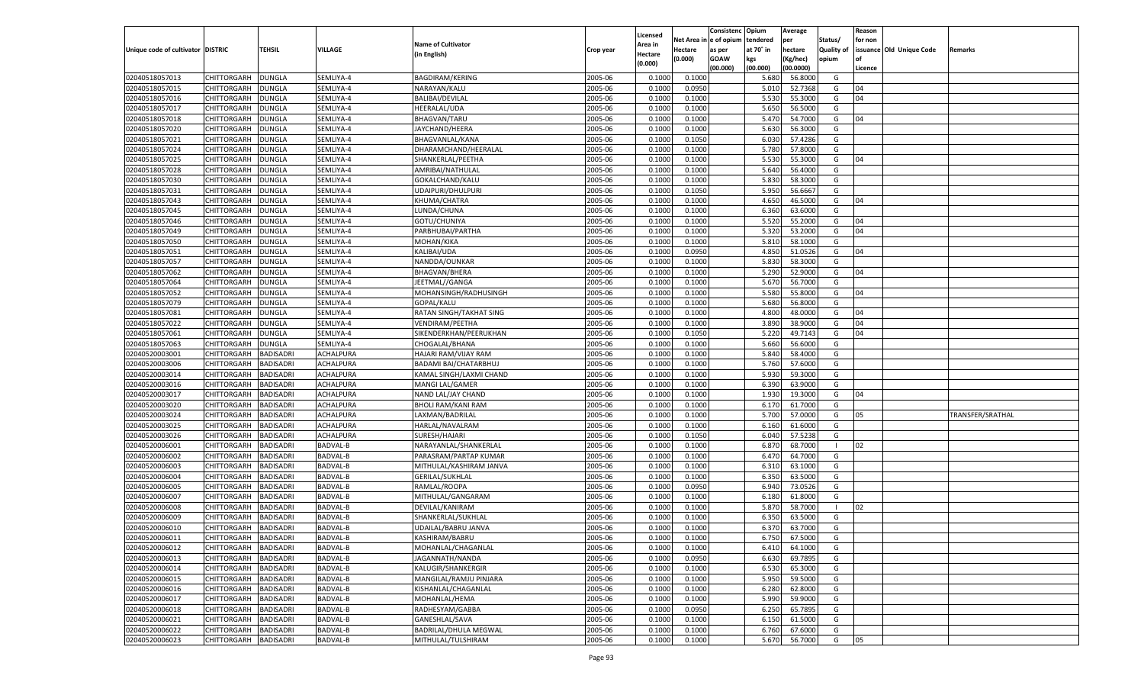|                                   |                       |                  |                 |                              |                    |                     |            | Consistenc    | Opium     | Average   |            | Reason  |                          |                  |
|-----------------------------------|-----------------------|------------------|-----------------|------------------------------|--------------------|---------------------|------------|---------------|-----------|-----------|------------|---------|--------------------------|------------------|
|                                   |                       |                  |                 | <b>Name of Cultivator</b>    |                    | Licensed<br>Area in | Net Area i | n  e of opium | tendered  | per       | Status/    | for non |                          |                  |
| Unique code of cultivator DISTRIC |                       | TEHSIL           | VILLAGE         | (in English)                 | Crop year          | Hectare             | Hectare    | as per        | at 70° in | hectare   | Quality of |         | issuance Old Unique Code | Remarks          |
|                                   |                       |                  |                 |                              |                    | (0.000)             | (0.000)    | <b>GOAW</b>   | kgs       | (Kg/hec)  | opium      |         |                          |                  |
|                                   |                       |                  |                 |                              |                    |                     |            | (00.000)      | (00.000)  | (00.0000) |            | Licence |                          |                  |
| 02040518057013                    | CHITTORGARH           | DUNGLA           | SEMLIYA-4       | <b>BAGDIRAM/KERING</b>       | 2005-06            | 0.1000              | 0.1000     |               | 5.680     | 56.8000   | G          |         |                          |                  |
| 02040518057015                    | CHITTORGARH           | DUNGLA           | SEMLIYA-4       | NARAYAN/KALU                 | 2005-06            | 0.1000              | 0.0950     |               | 5.010     | 52.7368   | G          | 04      |                          |                  |
| 02040518057016                    | CHITTORGARH           | DUNGLA           | SEMLIYA-4       | <b>BALIBAI/DEVILAL</b>       | 2005-06            | 0.1000              | 0.1000     |               | 5.530     | 55.3000   | G          | 04      |                          |                  |
| 02040518057017                    | CHITTORGARH           | DUNGLA           | SEMLIYA-4       | <b>HEERALAL/UDA</b>          | 2005-06            | 0.1000              | 0.1000     |               | 5.650     | 56.5000   | G          |         |                          |                  |
| 02040518057018                    | CHITTORGARH           | DUNGLA           | SEMLIYA-4       | <b>BHAGVAN/TARU</b>          | 2005-06            | 0.1000              | 0.1000     |               | 5.470     | 54.7000   | G          | 04      |                          |                  |
| 02040518057020                    | CHITTORGARH           | DUNGLA           | SEMLIYA-4       | JAYCHAND/HEERA               | 2005-06            | 0.1000              | 0.1000     |               | 5.630     | 56.3000   | G          |         |                          |                  |
| 02040518057021                    | CHITTORGARH           | DUNGLA           | SEMLIYA-4       | BHAGVANLAL/KANA              | 2005-06            | 0.1000              | 0.1050     |               | 6.030     | 57.4286   | G          |         |                          |                  |
| 02040518057024                    | CHITTORGARH           | DUNGLA           | SEMLIYA-4       | DHARAMCHAND/HEERALAL         | 2005-06            | 0.1000              | 0.1000     |               | 5.780     | 57.8000   | G          |         |                          |                  |
| 02040518057025                    | CHITTORGARH           | DUNGLA           | SEMLIYA-4       | SHANKERLAL/PEETHA            | 2005-06            | 0.1000              | 0.1000     |               | 5.530     | 55.3000   | G          | 04      |                          |                  |
| 02040518057028                    | CHITTORGARH           | DUNGLA           | SEMLIYA-4       | AMRIBAI/NATHULAL             | 2005-06            | 0.1000              | 0.1000     |               | 5.640     | 56.4000   | G          |         |                          |                  |
| 02040518057030                    | CHITTORGARH           | DUNGLA           | SEMLIYA-4       | GOKALCHAND/KALU              | 2005-06            | 0.1000              | 0.1000     |               | 5.830     | 58.3000   | G          |         |                          |                  |
| 02040518057031                    | CHITTORGARH           | DUNGLA           | SEMLIYA-4       | UDAIPURI/DHULPURI            | 2005-06            | 0.1000              | 0.1050     |               | 5.950     | 56.6667   | G          |         |                          |                  |
| 02040518057043                    | CHITTORGARH           | DUNGLA           | SEMLIYA-4       | KHUMA/CHATRA                 | 2005-06            | 0.1000              | 0.1000     |               | 4.650     | 46.5000   | G          | 04      |                          |                  |
| 02040518057045                    | CHITTORGARH           | DUNGLA           | SEMLIYA-4       | LUNDA/CHUNA                  | 2005-06            | 0.1000              | 0.1000     |               | 6.360     | 63.6000   | G          |         |                          |                  |
| 02040518057046                    | CHITTORGARH           | DUNGLA           | SEMLIYA-4       | GOTU/CHUNIYA                 | 2005-06            | 0.1000              | 0.1000     |               | 5.520     | 55.2000   | G          | 04      |                          |                  |
| 02040518057049                    | CHITTORGARH           | DUNGLA           | SEMLIYA-4       | PARBHUBAI/PARTHA             | 2005-06            | 0.1000              | 0.1000     |               | 5.320     | 53.2000   | G          | 04      |                          |                  |
| 02040518057050                    | CHITTORGARH           | DUNGLA           | SEMLIYA-4       | MOHAN/KIKA                   | 2005-06            | 0.1000              | 0.1000     |               | 5.810     | 58.1000   | G          |         |                          |                  |
| 02040518057051                    | CHITTORGARH           | DUNGLA           | SEMLIYA-4       | KALIBAI/UDA                  | 2005-06            | 0.1000              | 0.0950     |               | 4.850     | 51.0526   | G          | 04      |                          |                  |
| 02040518057057                    | CHITTORGARH           | DUNGLA           | SEMLIYA-4       | NANDDA/OUNKAR                | 2005-06            | 0.1000              | 0.1000     |               | 5.830     | 58.3000   | G          |         |                          |                  |
| 02040518057062                    | CHITTORGARH           | DUNGLA           | SEMLIYA-4       | <b>BHAGVAN/BHERA</b>         | 2005-06            | 0.1000              | 0.1000     |               | 5.290     | 52.9000   | G          | 04      |                          |                  |
| 02040518057064                    | CHITTORGARH           | DUNGLA           | SEMLIYA-4       | JEETMAL//GANGA               | 2005-06            | 0.1000              | 0.1000     |               | 5.670     | 56.7000   | G          |         |                          |                  |
| 02040518057052                    | CHITTORGARH           | DUNGLA           | SEMLIYA-4       | MOHANSINGH/RADHUSINGH        | 2005-06            | 0.1000              | 0.1000     |               | 5.580     | 55.8000   | G          | 04      |                          |                  |
| 02040518057079                    | CHITTORGARH           | DUNGLA           | SEMLIYA-4       | GOPAL/KALU                   | 2005-06            | 0.1000              | 0.1000     |               | 5.680     | 56.8000   | G          |         |                          |                  |
| 02040518057081                    | CHITTORGARH           | DUNGLA           | SEMLIYA-4       | RATAN SINGH/TAKHAT SING      | 2005-06            | 0.1000              | 0.1000     |               | 4.800     | 48.0000   | G          | 04      |                          |                  |
| 02040518057022                    | CHITTORGARH           | DUNGLA           | SEMLIYA-4       | VENDIRAM/PEETHA              | 2005-06            | 0.1000              | 0.1000     |               | 3.890     | 38.9000   | G          | 04      |                          |                  |
| 02040518057061                    | CHITTORGARH           | DUNGLA           | SEMLIYA-4       | SIKENDERKHAN/PEERUKHAN       | 2005-06            | 0.1000              | 0.1050     |               | 5.220     | 49.7143   | G          | 04      |                          |                  |
| 02040518057063                    | CHITTORGARH           | DUNGLA           | SEMLIYA-4       | CHOGALAL/BHANA               | 2005-06            | 0.1000              | 0.1000     |               | 5.660     | 56.6000   | G          |         |                          |                  |
| 02040520003001                    | CHITTORGARH           | BADISADRI        | ACHALPURA       | HAJARI RAM/VIJAY RAM         | 2005-06            | 0.1000              | 0.1000     |               | 5.840     | 58.4000   | G          |         |                          |                  |
| 02040520003006                    | CHITTORGARH           | <b>BADISADRI</b> | ACHALPURA       | BADAMI BAI/CHATARBHUJ        | 2005-06            | 0.1000              | 0.1000     |               | 5.760     | 57.6000   | G          |         |                          |                  |
| 02040520003014                    | CHITTORGARH           | BADISADRI        | ACHALPURA       | KAMAL SINGH/LAXMI CHAND      | 2005-06            | 0.1000              | 0.1000     |               | 5.930     | 59.3000   | G          |         |                          |                  |
| 02040520003016                    | CHITTORGARH           | <b>BADISADRI</b> | ACHALPURA       | MANGI LAL/GAMER              | 2005-06            | 0.1000              | 0.1000     |               | 6.390     | 63.9000   | G          |         |                          |                  |
| 02040520003017                    | CHITTORGARH           | <b>BADISADRI</b> | ACHALPURA       | NAND LAL/JAY CHAND           | 2005-06            | 0.1000              | 0.1000     |               | 1.930     | 19.3000   | G          | 04      |                          |                  |
| 02040520003020                    | CHITTORGARH           | <b>BADISADRI</b> | ACHALPURA       | <b>BHOLI RAM/KANI RAM</b>    | 2005-06            | 0.1000              | 0.1000     |               | 6.170     | 61.7000   | G          |         |                          |                  |
| 02040520003024                    | CHITTORGARH           | BADISADRI        | ACHALPURA       | LAXMAN/BADRILAL              | 2005-06            | 0.1000              | 0.1000     |               | 5.700     | 57.0000   | G          | 05      |                          | TRANSFER/SRATHAL |
| 02040520003025                    | CHITTORGARH           | <b>BADISADRI</b> | ACHALPURA       | HARLAL/NAVALRAM              | 2005-06            | 0.1000              | 0.1000     |               | 6.160     | 61.6000   | G          |         |                          |                  |
| 02040520003026                    | CHITTORGARH           | <b>BADISADRI</b> | ACHALPURA       | SURESH/HAJARI                | 2005-06            | 0.1000              | 0.1050     |               | 6.040     | 57.5238   | G          |         |                          |                  |
| 02040520006001                    | CHITTORGARH           | <b>BADISADRI</b> | BADVAL-B        | NARAYANLAL/SHANKERLAL        | 2005-06            | 0.1000              | 0.1000     |               | 6.870     | 68.7000   | - 1        | 02      |                          |                  |
| 02040520006002                    | CHITTORGARH           | BADISADRI        | <b>BADVAL-B</b> | PARASRAM/PARTAP KUMAR        | 2005-06            | 0.1000              | 0.1000     |               | 6.47      | 64.7000   | G          |         |                          |                  |
| 02040520006003                    | CHITTORGARH           | <b>BADISADRI</b> | <b>BADVAL-B</b> | MITHULAL/KASHIRAM JANVA      | 2005-06            | 0.1000              | 0.1000     |               | 6.31      | 63.1000   | G          |         |                          |                  |
| 02040520006004                    | CHITTORGARH           | <b>BADISADRI</b> | <b>BADVAL-B</b> | <b>GERILAL/SUKHLAL</b>       | 2005-06            | 0.1000              | 0.1000     |               | 6.350     | 63.5000   | G          |         |                          |                  |
| 02040520006005                    | CHITTORGARH           | <b>BADISADRI</b> | <b>BADVAL-B</b> | RAMLAL/ROOPA                 | 2005-06            | 0.1000              | 0.0950     |               | 6.940     | 73.0526   | G          |         |                          |                  |
| 02040520006007                    | CHITTORGARH           | BADISADRI        | <b>BADVAL-B</b> | MITHULAL/GANGARAM            | 2005-06            | 0.1000              | 0.1000     |               | 6.180     | 61.8000   | G          |         |                          |                  |
| 02040520006008                    | CHITTORGARH           | BADISADRI        | <b>BADVAL-B</b> | DEVILAL/KANIRAM              | 2005-06            | 0.1000              | 0.1000     |               | 5.870     | 58.7000   | - 1        | 02      |                          |                  |
| 02040520006009                    |                       | BADISADRI        |                 |                              |                    | 0.1000              |            |               | 6.350     | 63.5000   | G          |         |                          |                  |
|                                   | CHITTORGARH           |                  | <b>BADVAL-B</b> | SHANKERLAL/SUKHLAL           | 2005-06<br>2005-06 |                     | 0.1000     |               | 6.370     |           |            |         |                          |                  |
| 02040520006010                    | CHITTORGARH           | <b>BADISADRI</b> | <b>BADVAL-B</b> | UDAILAL/BABRU JANVA          |                    | 0.1000              | 0.1000     |               |           | 63.7000   | G          |         |                          |                  |
| 02040520006011                    | CHITTORGARH BADISADRI |                  | <b>BADVAL-B</b> | KASHIRAM/BABRU               | 2005-06            | 0.1000              | 0.1000     |               | 6.750     | 67.5000   | G          |         |                          |                  |
| 02040520006012                    | <b>CHITTORGARH</b>    | <b>BADISADRI</b> | <b>BADVAL-B</b> | MOHANLAL/CHAGANLAL           | 2005-06            | 0.1000              | 0.1000     |               | 6.410     | 64.1000   | G          |         |                          |                  |
| 02040520006013                    | <b>CHITTORGARH</b>    | <b>BADISADRI</b> | <b>BADVAL-B</b> | JAGANNATH/NANDA              | 2005-06            | 0.1000              | 0.0950     |               | 6.630     | 69.7895   | G          |         |                          |                  |
| 02040520006014                    | CHITTORGARH           | <b>BADISADRI</b> | <b>BADVAL-B</b> | KALUGIR/SHANKERGIR           | 2005-06            | 0.1000              | 0.1000     |               | 6.530     | 65.3000   | G          |         |                          |                  |
| 02040520006015                    | <b>CHITTORGARH</b>    | <b>BADISADRI</b> | <b>BADVAL-B</b> | MANGILAL/RAMJU PINJARA       | 2005-06            | 0.1000              | 0.1000     |               | 5.950     | 59.5000   | G          |         |                          |                  |
| 02040520006016                    | CHITTORGARH           | <b>BADISADRI</b> | <b>BADVAL-B</b> | KISHANLAL/CHAGANLAL          | 2005-06            | 0.1000              | 0.1000     |               | 6.280     | 62.8000   | G          |         |                          |                  |
| 02040520006017                    | CHITTORGARH           | <b>BADISADRI</b> | <b>BADVAL-B</b> | MOHANLAL/HEMA                | 2005-06            | 0.1000              | 0.1000     |               | 5.990     | 59.9000   | G          |         |                          |                  |
| 02040520006018                    | CHITTORGARH           | <b>BADISADRI</b> | <b>BADVAL-B</b> | RADHESYAM/GABBA              | 2005-06            | 0.1000              | 0.0950     |               | 6.250     | 65.7895   | G          |         |                          |                  |
| 02040520006021                    | CHITTORGARH           | <b>BADISADRI</b> | <b>BADVAL-B</b> | GANESHLAL/SAVA               | 2005-06            | 0.1000              | 0.1000     |               | 6.150     | 61.5000   | G          |         |                          |                  |
| 02040520006022                    | <b>CHITTORGARH</b>    | <b>BADISADRI</b> | <b>BADVAL-B</b> | <b>BADRILAL/DHULA MEGWAL</b> | 2005-06            | 0.1000              | 0.1000     |               | 6.760     | 67.6000   | G          |         |                          |                  |
| 02040520006023                    | <b>CHITTORGARH</b>    | <b>BADISADRI</b> | <b>BADVAL-B</b> | MITHULAL/TULSHIRAM           | 2005-06            | 0.1000              | 0.1000     |               | 5.670     | 56.7000   | G          | 05      |                          |                  |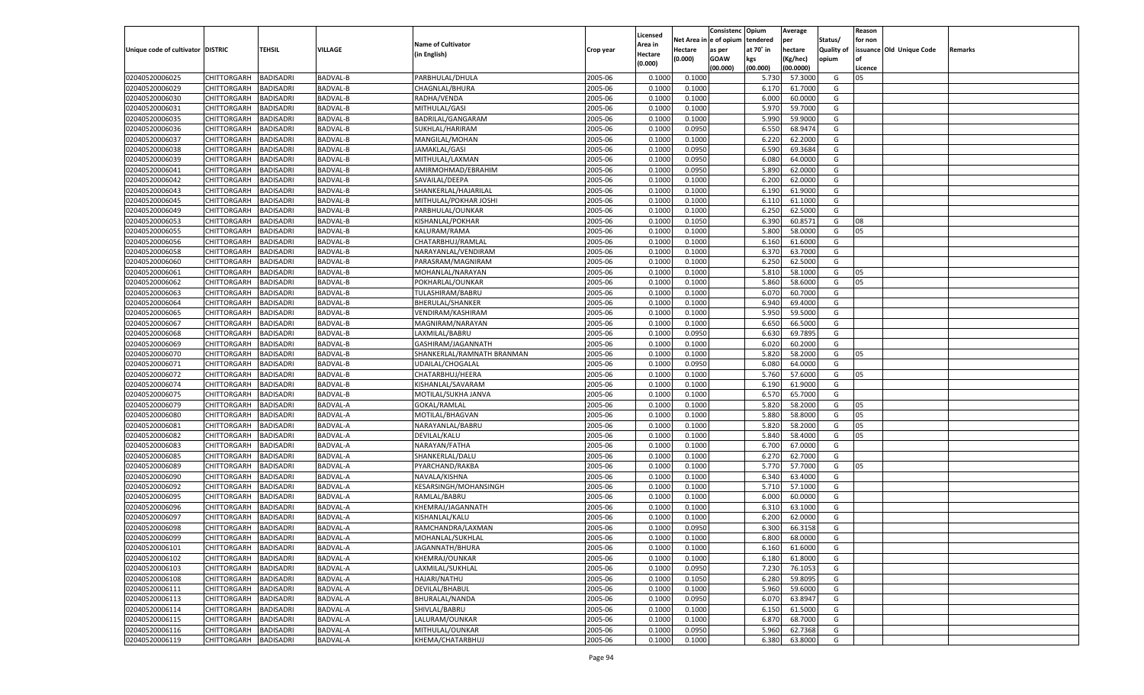|                                   |                    |                  |                 |                            |           |                    |            | Consistenc    | Opium     | Average   |                   | Reason  |                          |         |
|-----------------------------------|--------------------|------------------|-----------------|----------------------------|-----------|--------------------|------------|---------------|-----------|-----------|-------------------|---------|--------------------------|---------|
|                                   |                    |                  |                 |                            |           | Licensed           | Net Area i | n  e of opium | tendered  | per       | Status/           | for non |                          |         |
| Unique code of cultivator DISTRIC |                    | TEHSIL           | VILLAGE         | <b>Name of Cultivator</b>  | Crop year | Area in            | Hectare    | as per        | at 70° in | hectare   | <b>Quality of</b> |         | issuance Old Unique Code | Remarks |
|                                   |                    |                  |                 | (in English)               |           | Hectare<br>(0.000) | (0.000)    | <b>GOAW</b>   | kgs       | (Kg/hec)  | opium             |         |                          |         |
|                                   |                    |                  |                 |                            |           |                    |            | (00.000)      | (00.000)  | (00.0000) |                   | Licence |                          |         |
| 02040520006025                    | CHITTORGARH        | <b>BADISADRI</b> | BADVAL-B        | PARBHULAL/DHULA            | 2005-06   | 0.1000             | 0.1000     |               | 5.730     | 57.3000   | G                 | 05      |                          |         |
| 02040520006029                    | CHITTORGARH        | BADISADRI        | <b>BADVAL-B</b> | CHAGNLAL/BHURA             | 2005-06   | 0.100              | 0.1000     |               | 6.170     | 61.7000   | G                 |         |                          |         |
| 02040520006030                    | CHITTORGARH        | BADISADRI        | <b>BADVAL-B</b> | RADHA/VENDA                | 2005-06   | 0.1000             | 0.1000     |               | 6.000     | 60.0000   | G                 |         |                          |         |
| 02040520006031                    | CHITTORGARH        | BADISADRI        | <b>BADVAL-B</b> | MITHULAL/GASI              | 2005-06   | 0.1000             | 0.1000     |               | 5.970     | 59.7000   | G                 |         |                          |         |
| 02040520006035                    | CHITTORGARH        | BADISADRI        | BADVAL-B        | BADRILAL/GANGARAM          | 2005-06   | 0.1000             | 0.1000     |               | 5.990     | 59.9000   | G                 |         |                          |         |
| 02040520006036                    | CHITTORGARH        | BADISADRI        | <b>BADVAL-B</b> | SUKHLAL/HARIRAM            | 2005-06   | 0.1000             | 0.0950     |               | 6.550     | 68.9474   | G                 |         |                          |         |
| 02040520006037                    | CHITTORGARH        | BADISADRI        | <b>BADVAL-B</b> | MANGILAL/MOHAN             | 2005-06   | 0.1000             | 0.1000     |               | 6.220     | 62.2000   | G                 |         |                          |         |
| 02040520006038                    | CHITTORGARH        | BADISADRI        | <b>BADVAL-B</b> | JAMAKLAL/GASI              | 2005-06   | 0.1000             | 0.0950     |               | 6.590     | 69.3684   | G                 |         |                          |         |
| 02040520006039                    | CHITTORGARH        | BADISADRI        | <b>BADVAL-B</b> | MITHULAL/LAXMAN            | 2005-06   | 0.1000             | 0.0950     |               | 6.080     | 64.0000   | G                 |         |                          |         |
| 02040520006041                    | CHITTORGARH        | BADISADRI        | <b>BADVAL-B</b> | AMIRMOHMAD/EBRAHIM         | 2005-06   | 0.1000             | 0.0950     |               | 5.890     | 62.0000   | G                 |         |                          |         |
| 02040520006042                    | CHITTORGARH        | BADISADRI        | <b>BADVAL-B</b> | SAVAILAL/DEEPA             | 2005-06   | 0.1000             | 0.1000     |               | 6.200     | 62.0000   | G                 |         |                          |         |
| 02040520006043                    | CHITTORGARH        | BADISADRI        | <b>BADVAL-B</b> | SHANKERLAL/HAJARILAL       | 2005-06   | 0.1000             | 0.1000     |               | 6.190     | 61.9000   | G                 |         |                          |         |
| 02040520006045                    | CHITTORGARH        | BADISADRI        | <b>BADVAL-B</b> | MITHULAL/POKHAR JOSHI      | 2005-06   | 0.1000             | 0.1000     |               | 6.11      | 61.1000   | G                 |         |                          |         |
| 02040520006049                    | CHITTORGARH        | BADISADRI        | BADVAL-B        | PARBHULAL/OUNKAR           | 2005-06   | 0.1000             | 0.1000     |               | 6.250     | 62.5000   | G                 |         |                          |         |
| 02040520006053                    | CHITTORGARH        | BADISADRI        | <b>BADVAL-B</b> | KISHANLAL/POKHAR           | 2005-06   | 0.1000             | 0.1050     |               | 6.390     | 60.8571   | G                 | 08      |                          |         |
| 02040520006055                    | CHITTORGARH        | BADISADRI        | BADVAL-B        | KALURAM/RAMA               | 2005-06   | 0.1000             | 0.1000     |               | 5.800     | 58.0000   | G                 | 05      |                          |         |
| 02040520006056                    | CHITTORGARH        | <b>BADISADRI</b> | <b>BADVAL-B</b> | CHATARBHUJ/RAMLAL          | 2005-06   | 0.1000             | 0.1000     |               | 6.160     | 61.6000   | G                 |         |                          |         |
| 02040520006058                    | CHITTORGARH        | BADISADRI        | BADVAL-B        | NARAYANLAL/VENDIRAM        | 2005-06   | 0.1000             | 0.1000     |               | 6.370     | 63.7000   | G                 |         |                          |         |
| 02040520006060                    | CHITTORGARH        | BADISADRI        | <b>BADVAL-B</b> | PARASRAM/MAGNIRAM          | 2005-06   | 0.1000             | 0.1000     |               | 6.250     | 62.5000   | G                 |         |                          |         |
| 02040520006061                    | CHITTORGARH        | BADISADRI        | BADVAL-B        | MOHANLAL/NARAYAN           | 2005-06   | 0.1000             | 0.1000     |               | 5.810     | 58.1000   | G                 | 05      |                          |         |
| 02040520006062                    | CHITTORGARH        | <b>BADISADRI</b> | <b>BADVAL-B</b> | POKHARLAL/OUNKAR           | 2005-06   | 0.1000             | 0.1000     |               | 5.860     | 58.6000   | G                 | 05      |                          |         |
| 02040520006063                    | CHITTORGARH        | BADISADRI        | BADVAL-B        | TULASHIRAM/BABRU           | 2005-06   | 0.1000             | 0.1000     |               | 6.070     | 60.7000   | G                 |         |                          |         |
| 02040520006064                    | CHITTORGARH        | BADISADRI        | <b>BADVAL-B</b> | BHERULAL/SHANKER           | 2005-06   | 0.1000             | 0.1000     |               | 6.940     | 69.4000   | G                 |         |                          |         |
| 02040520006065                    | CHITTORGARH        | BADISADRI        | BADVAL-B        | VENDIRAM/KASHIRAM          | 2005-06   | 0.1000             | 0.1000     |               | 5.950     | 59.5000   | G                 |         |                          |         |
| 02040520006067                    | CHITTORGARH        | BADISADRI        | <b>BADVAL-B</b> | MAGNIRAM/NARAYAN           | 2005-06   | 0.1000             | 0.1000     |               | 6.650     | 66.5000   | G                 |         |                          |         |
| 02040520006068                    | CHITTORGARH        | BADISADRI        | BADVAL-B        | LAXMILAL/BABRU             | 2005-06   | 0.1000             | 0.0950     |               | 6.630     | 69.7895   | G                 |         |                          |         |
| 02040520006069                    | CHITTORGARH        | BADISADRI        | <b>BADVAL-B</b> | GASHIRAM/JAGANNATH         | 2005-06   | 0.1000             | 0.1000     |               | 6.020     | 60.2000   | G                 |         |                          |         |
| 02040520006070                    | CHITTORGARH        | BADISADRI        | BADVAL-B        | SHANKERLAL/RAMNATH BRANMAN | 2005-06   | 0.1000             | 0.1000     |               | 5.820     | 58.2000   | G                 | 05      |                          |         |
| 02040520006071                    | CHITTORGARH        | BADISADRI        | <b>BADVAL-B</b> | UDAILAL/CHOGALAL           | 2005-06   | 0.1000             | 0.0950     |               | 6.080     | 64.0000   | G                 |         |                          |         |
| 02040520006072                    | CHITTORGARH        | BADISADRI        | BADVAL-B        | CHATARBHUJ/HEERA           | 2005-06   | 0.1000             | 0.1000     |               | 5.760     | 57.6000   | G                 | 05      |                          |         |
| 02040520006074                    | CHITTORGARH        | <b>BADISADRI</b> | <b>BADVAL-B</b> | KISHANLAL/SAVARAM          | 2005-06   | 0.1000             | 0.1000     |               | 6.190     | 61.9000   | G                 |         |                          |         |
| 02040520006075                    | CHITTORGARH        | <b>BADISADRI</b> | BADVAL-B        | MOTILAL/SUKHA JANVA        | 2005-06   | 0.1000             | 0.1000     |               | 6.570     | 65.7000   | G                 |         |                          |         |
| 02040520006079                    | CHITTORGARH        | <b>BADISADRI</b> | <b>BADVAL-A</b> | GOKAL/RAMLAL               | 2005-06   | 0.1000             | 0.1000     |               | 5.820     | 58.2000   | G                 | 05      |                          |         |
| 02040520006080                    | CHITTORGARH        | BADISADRI        | BADVAL-A        | MOTILAL/BHAGVAN            | 2005-06   | 0.1000             | 0.1000     |               | 5.880     | 58.8000   | G                 | 05      |                          |         |
| 02040520006081                    | CHITTORGARH        | BADISADRI        | <b>BADVAL-A</b> | NARAYANLAL/BABRU           | 2005-06   | 0.1000             | 0.1000     |               | 5.820     | 58.2000   | G                 | 05      |                          |         |
| 02040520006082                    | CHITTORGARH        | <b>BADISADRI</b> | BADVAL-A        | DEVILAL/KALU               | 2005-06   | 0.1000             | 0.1000     |               | 5.840     | 58.4000   | G                 | 05      |                          |         |
| 02040520006083                    | CHITTORGARH        | <b>BADISADRI</b> | <b>BADVAL-A</b> | NARAYAN/FATHA              | 2005-06   | 0.1000             | 0.1000     |               | 6.700     | 67.0000   | G                 |         |                          |         |
| 02040520006085                    | CHITTORGARH        | BADISADRI        | BADVAL-A        | SHANKERLAL/DALU            | 2005-06   | 0.1000             | 0.1000     |               | 6.270     | 62.7000   | G                 |         |                          |         |
| 02040520006089                    | CHITTORGARH        | BADISADRI        | <b>BADVAL-A</b> | PYARCHAND/RAKBA            | 2005-06   | 0.1000             | 0.1000     |               | 5.770     | 57.7000   | G                 | 05      |                          |         |
| 02040520006090                    | CHITTORGARH        | <b>BADISADRI</b> | BADVAL-A        | NAVALA/KISHNA              | 2005-06   | 0.1000             | 0.1000     |               | 6.340     | 63.4000   | G                 |         |                          |         |
| 02040520006092                    | CHITTORGARH        | <b>BADISADRI</b> | BADVAL-A        | KESARSINGH/MOHANSINGH      | 2005-06   | 0.1000             | 0.1000     |               | 5.710     | 57.1000   | G                 |         |                          |         |
| 02040520006095                    | CHITTORGARH        | BADISADRI        | BADVAL-A        | RAMLAL/BABRU               | 2005-06   | 0.1000             | 0.1000     |               | 6.000     | 60.0000   | G                 |         |                          |         |
| 02040520006096                    | CHITTORGARH        | BADISADRI        | <b>BADVAL-A</b> | KHEMRAJ/JAGANNATH          | 2005-06   | 0.1000             | 0.1000     |               | 6.310     | 63.1000   | G                 |         |                          |         |
| 02040520006097                    | CHITTORGARH        | BADISADRI        | BADVAL-A        | KISHANLAL/KALU             | 2005-06   | 0.1000             | 0.1000     |               | 6.200     | 62.0000   | G                 |         |                          |         |
| 02040520006098                    | CHITTORGARH        | <b>BADISADRI</b> | BADVAL-A        | RAMCHANDRA/LAXMAN          | 2005-06   | 0.1000             | 0.0950     |               | 6.300     | 66.3158   | G                 |         |                          |         |
| 02040520006099                    | CHITTORGARH        | <b>BADISADRI</b> | <b>BADVAL-A</b> | MOHANLAL/SUKHLAL           | 2005-06   | 0.1000             | 0.1000     |               | 6.800     | 68.0000   | G                 |         |                          |         |
| 02040520006101                    | <b>CHITTORGARH</b> | <b>BADISADRI</b> | <b>BADVAL-A</b> | JAGANNATH/BHURA            | 2005-06   | 0.1000             | 0.1000     |               | 6.160     | 61.6000   | G                 |         |                          |         |
| 02040520006102                    | <b>CHITTORGARH</b> | <b>BADISADRI</b> | <b>BADVAL-A</b> | KHEMRAJ/OUNKAR             | 2005-06   | 0.1000             | 0.1000     |               | 6.180     | 61.8000   | G                 |         |                          |         |
| 02040520006103                    | CHITTORGARH        | <b>BADISADRI</b> | <b>BADVAL-A</b> | LAXMILAL/SUKHLAL           | 2005-06   | 0.1000             | 0.0950     |               | 7.230     | 76.1053   | G                 |         |                          |         |
| 02040520006108                    | <b>CHITTORGARH</b> | <b>BADISADRI</b> | <b>BADVAL-A</b> | HAJARI/NATHU               | 2005-06   | 0.1000             | 0.1050     |               | 6.280     | 59.8095   | G                 |         |                          |         |
| 02040520006111                    | CHITTORGARH        | <b>BADISADRI</b> | <b>BADVAL-A</b> | DEVILAL/BHABUL             | 2005-06   | 0.1000             | 0.1000     |               | 5.960     | 59.6000   | G                 |         |                          |         |
| 02040520006113                    | CHITTORGARH        | <b>BADISADRI</b> | <b>BADVAL-A</b> | BHURALAL/NANDA             | 2005-06   | 0.1000             | 0.0950     |               | 6.070     | 63.8947   | G                 |         |                          |         |
| 02040520006114                    | CHITTORGARH        | <b>BADISADRI</b> | <b>BADVAL-A</b> | SHIVLAL/BABRU              | 2005-06   | 0.1000             | 0.1000     |               | 6.150     | 61.5000   | G                 |         |                          |         |
| 02040520006115                    | CHITTORGARH        | <b>BADISADRI</b> | <b>BADVAL-A</b> | LALURAM/OUNKAR             | 2005-06   | 0.1000             | 0.1000     |               | 6.870     | 68.7000   | G                 |         |                          |         |
| 02040520006116                    | CHITTORGARH        | <b>BADISADRI</b> | BADVAL-A        | MITHULAL/OUNKAR            | 2005-06   | 0.1000             | 0.0950     |               | 5.960     | 62.7368   | G                 |         |                          |         |
| 02040520006119                    | <b>CHITTORGARH</b> | <b>BADISADRI</b> | <b>BADVAL-A</b> | KHEMA/CHATARBHUJ           | 2005-06   |                    | 0.1000     |               |           | 63.8000   | G                 |         |                          |         |
|                                   |                    |                  |                 |                            |           | 0.1000             |            |               | 6.380     |           |                   |         |                          |         |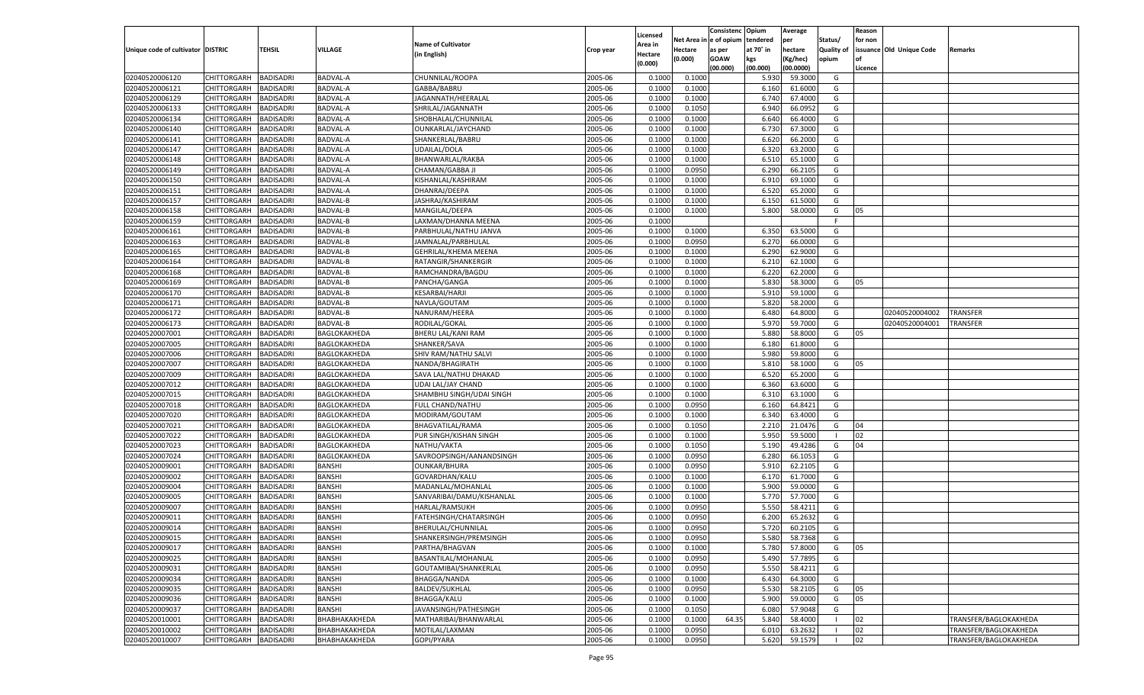|                                   |                       |                  |                      |                           |           |                    |            | Consistenc    | Opium     | Average   |            | Reason  |                          |                       |
|-----------------------------------|-----------------------|------------------|----------------------|---------------------------|-----------|--------------------|------------|---------------|-----------|-----------|------------|---------|--------------------------|-----------------------|
|                                   |                       |                  |                      |                           |           | Licensed           | Net Area i | n  e of opium | tendered  | per       | Status/    | for non |                          |                       |
| Unique code of cultivator DISTRIC |                       | TEHSIL           | VILLAGE              | <b>Name of Cultivator</b> | Crop year | Area in            | Hectare    | as per        | at 70° in | hectare   | Quality of |         | issuance Old Unique Code | Remarks               |
|                                   |                       |                  |                      | (in English)              |           | Hectare<br>(0.000) | (0.000)    | <b>GOAW</b>   | kgs       | (Kg/hec)  | opium      |         |                          |                       |
|                                   |                       |                  |                      |                           |           |                    |            | (00.000)      | (00.000)  | (00.0000) |            | Licence |                          |                       |
| 02040520006120                    | CHITTORGARH           | <b>BADISADRI</b> | <b>BADVAL-A</b>      | CHUNNILAL/ROOPA           | 2005-06   | 0.1000             | 0.1000     |               | 5.930     | 59.3000   | G          |         |                          |                       |
| 02040520006121                    | CHITTORGARH           | BADISADRI        | BADVAL-A             | GABBA/BABRU               | 2005-06   | 0.1000             | 0.1000     |               | 6.160     | 61.6000   | G          |         |                          |                       |
| 02040520006129                    | CHITTORGARH           | BADISADRI        | BADVAL-A             | JAGANNATH/HEERALAL        | 2005-06   | 0.1000             | 0.1000     |               | 6.740     | 67.4000   | G          |         |                          |                       |
| 02040520006133                    | CHITTORGARH           | BADISADRI        | BADVAL-A             | SHRILAL/JAGANNATH         | 2005-06   | 0.1000             | 0.1050     |               | 6.940     | 66.0952   | G          |         |                          |                       |
| 02040520006134                    | CHITTORGARH           | BADISADRI        | BADVAL-A             | SHOBHALAL/CHUNNILAI       | 2005-06   | 0.1000             | 0.1000     |               | 6.640     | 66.4000   | G          |         |                          |                       |
| 02040520006140                    | CHITTORGARH           | BADISADRI        | BADVAL-A             | OUNKARLAL/JAYCHAND        | 2005-06   | 0.1000             | 0.1000     |               | 6.730     | 67.3000   | G          |         |                          |                       |
| 02040520006141                    | CHITTORGARH           | BADISADRI        | BADVAL-A             | SHANKERLAL/BABRU          | 2005-06   | 0.1000             | 0.1000     |               | 6.620     | 66.2000   | G          |         |                          |                       |
| 02040520006147                    | CHITTORGARH           | BADISADRI        | BADVAL-A             | UDAILAL/DOLA              | 2005-06   | 0.1000             | 0.1000     |               | 6.320     | 63.2000   | G          |         |                          |                       |
| 02040520006148                    | CHITTORGARH           | BADISADRI        | BADVAL-A             | BHANWARLAL/RAKBA          | 2005-06   | 0.1000             | 0.1000     |               | 6.510     | 65.1000   | G          |         |                          |                       |
| 02040520006149                    | CHITTORGARH           | BADISADRI        | BADVAL-A             | CHAMAN/GABBA JI           | 2005-06   | 0.1000             | 0.0950     |               | 6.290     | 66.2105   | G          |         |                          |                       |
| 02040520006150                    | CHITTORGARH           | BADISADRI        | BADVAL-A             | KISHANLAL/KASHIRAM        | 2005-06   | 0.1000             | 0.1000     |               | 6.910     | 69.1000   | G          |         |                          |                       |
| 02040520006151                    | CHITTORGARH           | BADISADRI        | BADVAL-A             | DHANRAJ/DEEPA             | 2005-06   | 0.1000             | 0.1000     |               | 6.520     | 65.2000   | G          |         |                          |                       |
| 02040520006157                    | CHITTORGARH           | BADISADRI        | <b>BADVAL-B</b>      | JASHRAJ/KASHIRAM          | 2005-06   | 0.1000             | 0.1000     |               | 6.150     | 61.5000   | G          |         |                          |                       |
| 02040520006158                    | CHITTORGARH           | BADISADRI        | BADVAL-B             | MANGILAL/DEEPA            | 2005-06   | 0.1000             | 0.1000     |               | 5.800     | 58.0000   | G          | 05      |                          |                       |
| 02040520006159                    | CHITTORGARH           | BADISADRI        | BADVAL-B             | LAXMAN/DHANNA MEENA       | 2005-06   | 0.1000             |            |               |           |           | F.         |         |                          |                       |
| 02040520006161                    | CHITTORGARH           | BADISADRI        | BADVAL-B             | PARBHULAL/NATHU JANVA     | 2005-06   | 0.1000             | 0.1000     |               | 6.350     | 63.5000   | G          |         |                          |                       |
| 02040520006163                    | CHITTORGARH           | <b>BADISADRI</b> | <b>BADVAL-B</b>      | JAMNALAL/PARBHULAL        | 2005-06   | 0.1000             | 0.0950     |               | 6.270     | 66.0000   | G          |         |                          |                       |
| 02040520006165                    | CHITTORGARH           | BADISADRI        | BADVAL-B             | GEHRILAL/KHEMA MEENA      | 2005-06   | 0.1000             | 0.1000     |               | 6.290     | 62.9000   | G          |         |                          |                       |
| 02040520006164                    | CHITTORGARH           | BADISADRI        | BADVAL-B             | RATANGIR/SHANKERGIR       | 2005-06   | 0.1000             | 0.1000     |               | 6.210     | 62.1000   | G          |         |                          |                       |
| 02040520006168                    | CHITTORGARH           | BADISADRI        | BADVAL-B             | RAMCHANDRA/BAGDU          | 2005-06   | 0.1000             | 0.1000     |               | 6.220     | 62.2000   | G          |         |                          |                       |
| 02040520006169                    | CHITTORGARH           | <b>BADISADRI</b> | <b>BADVAL-B</b>      | PANCHA/GANGA              | 2005-06   | 0.1000             | 0.1000     |               | 5.830     | 58.3000   | G          | 05      |                          |                       |
| 02040520006170                    | CHITTORGARH           | BADISADRI        | BADVAL-B             | <b>KESARBAI/HARJI</b>     | 2005-06   | 0.1000             | 0.1000     |               | 5.910     | 59.1000   | G          |         |                          |                       |
| 02040520006171                    | CHITTORGARH           | BADISADRI        | <b>BADVAL-B</b>      | NAVLA/GOUTAM              | 2005-06   | 0.1000             | 0.1000     |               | 5.820     | 58.2000   | G          |         |                          |                       |
| 02040520006172                    | CHITTORGARH           | BADISADRI        | BADVAL-B             | NANURAM/HEERA             | 2005-06   | 0.1000             | 0.1000     |               | 6.480     | 64.8000   | G          |         | 02040520004002           | TRANSFER              |
| 02040520006173                    | CHITTORGARH           | <b>BADISADRI</b> | <b>BADVAL-B</b>      | RODILAL/GOKAL             | 2005-06   | 0.1000             | 0.1000     |               | 5.970     | 59.7000   | G          |         | 02040520004001           | <b>TRANSFER</b>       |
| 02040520007001                    | CHITTORGARH           | BADISADRI        | BAGLOKAKHEDA         | BHERU LAL/KANI RAM        | 2005-06   | 0.1000             | 0.1000     |               | 5.880     | 58.8000   | G          | 05      |                          |                       |
| 02040520007005                    | CHITTORGARH           | <b>BADISADRI</b> | BAGLOKAKHEDA         | SHANKER/SAVA              | 2005-06   | 0.1000             | 0.1000     |               | 6.180     | 61.8000   | G          |         |                          |                       |
| 02040520007006                    | CHITTORGARH           | BADISADRI        | BAGLOKAKHEDA         | SHIV RAM/NATHU SALVI      | 2005-06   | 0.1000             | 0.1000     |               | 5.980     | 59.8000   | G          |         |                          |                       |
| 02040520007007                    | CHITTORGARH           | <b>BADISADRI</b> | BAGLOKAKHEDA         | NANDA/BHAGIRATH           | 2005-06   | 0.1000             | 0.1000     |               | 5.810     | 58.1000   | G          | 05      |                          |                       |
| 02040520007009                    |                       |                  |                      |                           | 2005-06   | 0.1000             |            |               | 6.520     | 65.2000   | G          |         |                          |                       |
|                                   | CHITTORGARH           | BADISADRI        | BAGLOKAKHEDA         | SAVA LAL/NATHU DHAKAD     | 2005-06   |                    | 0.1000     |               |           | 63.6000   |            |         |                          |                       |
| 02040520007012                    | CHITTORGARH           | <b>BADISADRI</b> | BAGLOKAKHEDA         | UDAI LAL/JAY CHAND        |           | 0.1000             | 0.1000     |               | 6.360     |           | G          |         |                          |                       |
| 02040520007015                    | CHITTORGARH           | <b>BADISADRI</b> | BAGLOKAKHEDA         | SHAMBHU SINGH/UDAI SINGH  | 2005-06   | 0.1000             | 0.1000     |               | 6.310     | 63.1000   | G          |         |                          |                       |
| 02040520007018                    | CHITTORGARH           | <b>BADISADRI</b> | BAGLOKAKHEDA         | FULL CHAND/NATHU          | 2005-06   | 0.1000             | 0.0950     |               | 6.160     | 64.8421   | G          |         |                          |                       |
| 02040520007020                    | CHITTORGARH           | BADISADRI        | BAGLOKAKHEDA         | MODIRAM/GOUTAM            | 2005-06   | 0.1000             | 0.1000     |               | 6.340     | 63.4000   | G          |         |                          |                       |
| 02040520007021                    | CHITTORGARH           | <b>BADISADRI</b> | BAGLOKAKHEDA         | BHAGVATILAL/RAMA          | 2005-06   | 0.1000             | 0.1050     |               | 2.210     | 21.0476   | G          | 04      |                          |                       |
| 02040520007022                    | CHITTORGARH           | <b>BADISADRI</b> | BAGLOKAKHEDA         | PUR SINGH/KISHAN SINGH    | 2005-06   | 0.1000             | 0.1000     |               | 5.950     | 59.5000   | - 1        | 02      |                          |                       |
| 02040520007023                    | CHITTORGARH           | <b>BADISADRI</b> | BAGLOKAKHEDA         | NATHU/VAKTA               | 2005-06   | 0.1000             | 0.1050     |               | 5.190     | 49.4286   | G          | 04      |                          |                       |
| 02040520007024                    | CHITTORGARH           | BADISADRI        | BAGLOKAKHEDA         | SAVROOPSINGH/AANANDSINGH  | 2005-06   | 0.1000             | 0.0950     |               | 6.280     | 66.1053   | G          |         |                          |                       |
| 02040520009001                    | CHITTORGARH           | <b>BADISADRI</b> | <b>BANSHI</b>        | <b>OUNKAR/BHURA</b>       | 2005-06   | 0.1000             | 0.0950     |               | 5.910     | 62.2105   | G          |         |                          |                       |
| 02040520009002                    | CHITTORGARH           | <b>BADISADRI</b> | <b>BANSHI</b>        | GOVARDHAN/KALU            | 2005-06   | 0.1000             | 0.1000     |               | 6.170     | 61.7000   | G          |         |                          |                       |
| 02040520009004                    | CHITTORGARH           | <b>BADISADRI</b> | <b>BANSHI</b>        | MADANLAL/MOHANLAL         | 2005-06   | 0.1000             | 0.1000     |               | 5.900     | 59.0000   | G          |         |                          |                       |
| 02040520009005                    | CHITTORGARH           | BADISADRI        | <b>BANSHI</b>        | SANVARIBAI/DAMU/KISHANLAL | 2005-06   | 0.1000             | 0.1000     |               | 5.770     | 57.7000   | G          |         |                          |                       |
| 02040520009007                    | CHITTORGARH           | BADISADRI        | <b>BANSHI</b>        | HARLAL/RAMSUKH            | 2005-06   | 0.1000             | 0.0950     |               | 5.550     | 58.4211   | G          |         |                          |                       |
| 02040520009011                    | CHITTORGARH           | BADISADRI        | <b>BANSHI</b>        | FATEHSINGH/CHATARSINGH    | 2005-06   | 0.1000             | 0.0950     |               | 6.200     | 65.2632   | G          |         |                          |                       |
| 02040520009014                    | CHITTORGARH           | <b>BADISADRI</b> | <b>BANSHI</b>        | BHERULAL/CHUNNILAL        | 2005-06   | 0.1000             | 0.0950     |               | 5.720     | 60.2105   | G          |         |                          |                       |
| 02040520009015                    | CHITTORGARH BADISADRI |                  | <b>BANSHI</b>        | SHANKERSINGH/PREMSINGH    | 2005-06   | 0.1000             | 0.0950     |               | 5.580     | 58.7368   | G          |         |                          |                       |
| 02040520009017                    | <b>CHITTORGARH</b>    | <b>BADISADRI</b> | <b>BANSHI</b>        | PARTHA/BHAGVAN            | 2005-06   | 0.1000             | 0.1000     |               | 5.780     | 57.8000   | G          | 05      |                          |                       |
| 02040520009025                    | <b>CHITTORGARH</b>    | <b>BADISADRI</b> | <b>BANSHI</b>        | BASANTILAL/MOHANLAL       | 2005-06   | 0.1000             | 0.0950     |               | 5.490     | 57.7895   | G          |         |                          |                       |
| 02040520009031                    | CHITTORGARH           | <b>BADISADRI</b> | <b>BANSHI</b>        | GOUTAMIBAI/SHANKERLAL     | 2005-06   | 0.1000             | 0.0950     |               | 5.550     | 58.4211   | G          |         |                          |                       |
| 02040520009034                    | CHITTORGARH           | <b>BADISADRI</b> | <b>BANSHI</b>        | BHAGGA/NANDA              | 2005-06   | 0.1000             | 0.1000     |               | 6.430     | 64.3000   | G          |         |                          |                       |
| 02040520009035                    | <b>CHITTORGARH</b>    | <b>BADISADRI</b> | <b>BANSHI</b>        | <b>BALDEV/SUKHLAL</b>     | 2005-06   | 0.1000             | 0.0950     |               | 5.530     | 58.2105   | G          | 05      |                          |                       |
| 02040520009036                    | CHITTORGARH           | <b>BADISADRI</b> | <b>BANSHI</b>        | BHAGGA/KALU               | 2005-06   | 0.1000             | 0.1000     |               | 5.900     | 59.0000   | G          | 05      |                          |                       |
| 02040520009037                    | CHITTORGARH           | <b>BADISADRI</b> | <b>BANSHI</b>        | JAVANSINGH/PATHESINGH     | 2005-06   | 0.1000             | 0.1050     |               | 6.080     | 57.9048   | G          |         |                          |                       |
| 02040520010001                    | CHITTORGARH           | <b>BADISADRI</b> | ВНАВНАКАКНЕDА        | MATHARIBAI/BHANWARLAL     | 2005-06   | 0.1000             | 0.1000     | 64.35         | 5.840     | 58.4000   |            | 02      |                          | TRANSFER/BAGLOKAKHEDA |
| 02040520010002                    | <b>CHITTORGARH</b>    | <b>BADISADRI</b> | <b>ВНАВНАКАКНЕDA</b> | MOTILAL/LAXMAN            | 2005-06   | 0.1000             | 0.0950     |               | 6.010     | 63.2632   |            | 02      |                          | TRANSFER/BAGLOKAKHEDA |
| 02040520010007                    | CHITTORGARH           | <b>BADISADRI</b> | ВНАВНАКАКНЕDА        | GOPI/PYARA                | 2005-06   | 0.1000             | 0.0950     |               | 5.620     | 59.1579   | - 1        | 02      |                          | TRANSFER/BAGLOKAKHEDA |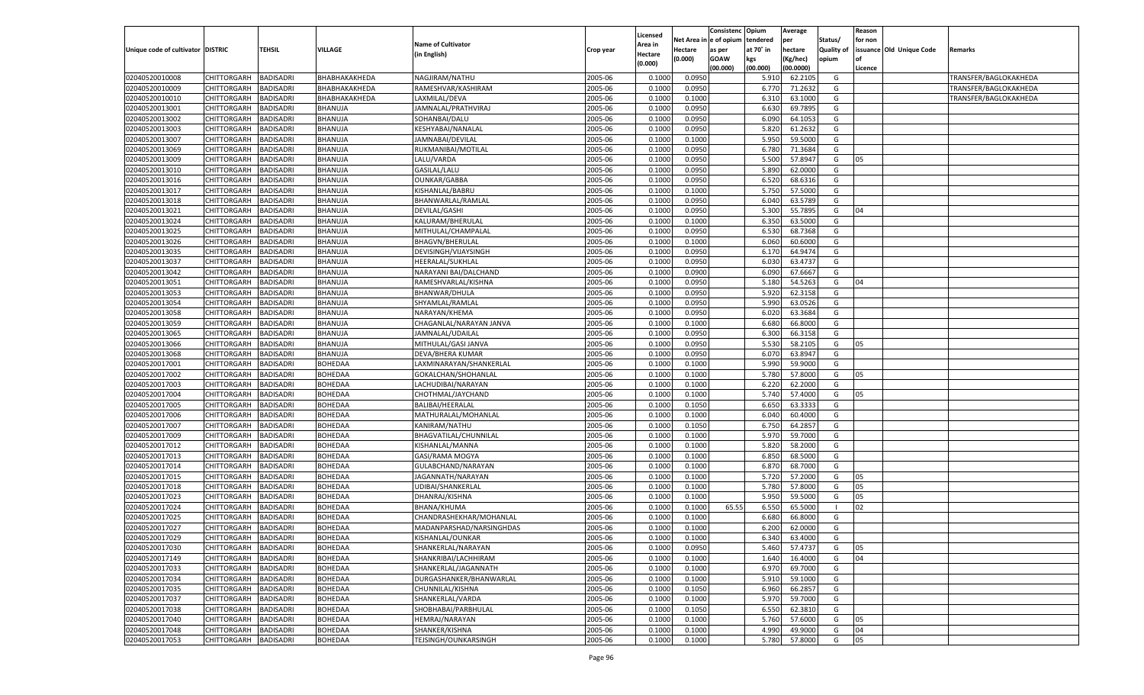|                                   |                       |                  |                |                           |           |                           |          | Consistenc  | Opium     | Average   |                   | Reason  |                          |                       |
|-----------------------------------|-----------------------|------------------|----------------|---------------------------|-----------|---------------------------|----------|-------------|-----------|-----------|-------------------|---------|--------------------------|-----------------------|
|                                   |                       |                  |                | <b>Name of Cultivator</b> |           | Licensed                  | Net Area | e of opium  | tendered  | per       | Status/           | for non |                          |                       |
| Unique code of cultivator DISTRIC |                       | <b>TEHSIL</b>    | VILLAGE        | (in English)              | Crop year | <b>Area in</b><br>Hectare | Hectare  | as per      | at 70° in | hectare   | <b>Quality of</b> |         | issuance Old Unique Code | Remarks               |
|                                   |                       |                  |                |                           |           | (0.000)                   | (0.000)  | <b>GOAW</b> | kgs       | (Kg/hec)  | opium             |         |                          |                       |
|                                   |                       |                  |                |                           |           |                           |          | (00.000)    | (00.000)  | (00.0000) |                   | Licence |                          |                       |
| 02040520010008                    | CHITTORGARH           | <b>BADISADRI</b> | ВНАВНАКАКНЕDА  | NAGJIRAM/NATHU            | 2005-06   | 0.1000                    | 0.0950   |             | 5.910     | 62.210    | G                 |         |                          | TRANSFER/BAGLOKAKHEDA |
| 02040520010009                    | CHITTORGARH           | BADISADRI        | ВНАВНАКАКНЕDА  | RAMESHVAR/KASHIRAM        | 2005-06   | 0.1000                    | 0.0950   |             | 6.77      | 71.2632   | G                 |         |                          | TRANSFER/BAGLOKAKHEDA |
| 02040520010010                    | CHITTORGARH           | BADISADRI        | ВНАВНАКАКНЕDА  | LAXMILAL/DEVA             | 2005-06   | 0.1000                    | 0.1000   |             | 6.310     | 63.1000   | G                 |         |                          | TRANSFER/BAGLOKAKHEDA |
| 02040520013001                    | CHITTORGARH           | BADISADRI        | BHANUJA        | JAMNALAL/PRATHVIRAJ       | 2005-06   | 0.1000                    | 0.0950   |             | 6.630     | 69.7895   | G                 |         |                          |                       |
| 02040520013002                    | CHITTORGARH           | BADISADRI        | BHANUJA        | SOHANBAI/DALU             | 2005-06   | 0.1000                    | 0.0950   |             | 6.090     | 64.1053   | G                 |         |                          |                       |
| 02040520013003                    | CHITTORGARH           | BADISADRI        | BHANUJA        | KESHYABAI/NANALAL         | 2005-06   | 0.1000                    | 0.0950   |             | 5.820     | 61.263    | G                 |         |                          |                       |
| 02040520013007                    | CHITTORGARH           | BADISADRI        | BHANUJA        | JAMNABAI/DEVILAL          | 2005-06   | 0.1000                    | 0.1000   |             | 5.950     | 59.5000   | G                 |         |                          |                       |
| 02040520013069                    | CHITTORGARH           | BADISADRI        | BHANUJA        | RUKMANIBAI/MOTILAL        | 2005-06   | 0.1000                    | 0.0950   |             | 6.78      | 71.3684   | G                 |         |                          |                       |
| 02040520013009                    | CHITTORGARH           | BADISADRI        | BHANUJA        | LALU/VARDA                | 2005-06   | 0.1000                    | 0.0950   |             | 5.500     | 57.8947   | G                 | 05      |                          |                       |
| 02040520013010                    | CHITTORGARH           | BADISADRI        | BHANUJA        | GASILAL/LALU              | 2005-06   | 0.1000                    | 0.0950   |             | 5.890     | 62.0000   | G                 |         |                          |                       |
| 02040520013016                    | CHITTORGARH           | BADISADRI        | BHANUJA        | <b>OUNKAR/GABBA</b>       | 2005-06   | 0.1000                    | 0.0950   |             | 6.520     | 68.6316   | G                 |         |                          |                       |
| 02040520013017                    | CHITTORGARH           | BADISADRI        | BHANUJA        | KISHANLAL/BABRU           | 2005-06   | 0.1000                    | 0.1000   |             | 5.750     | 57.5000   | G                 |         |                          |                       |
| 02040520013018                    | CHITTORGARH           | <b>BADISADRI</b> | BHANUJA        | BHANWARLAL/RAMLAL         | 2005-06   | 0.1000                    | 0.0950   |             | 6.040     | 63.5789   | G                 |         |                          |                       |
| 02040520013021                    | CHITTORGARH           | BADISADRI        | BHANUJA        | DEVILAL/GASHI             | 2005-06   | 0.1000                    | 0.0950   |             | 5.300     | 55.7895   | G                 | 04      |                          |                       |
| 02040520013024                    | CHITTORGARH           | BADISADRI        | BHANUJA        | KALURAM/BHERULAL          | 2005-06   | 0.1000                    | 0.1000   |             | 6.350     | 63.5000   | G                 |         |                          |                       |
| 02040520013025                    | CHITTORGARH           | BADISADRI        | BHANUJA        | MITHULAL/CHAMPALAL        | 2005-06   | 0.1000                    | 0.0950   |             | 6.530     | 68.7368   | G                 |         |                          |                       |
| 02040520013026                    | CHITTORGARH           | <b>BADISADRI</b> | BHANUJA        | <b>BHAGVN/BHERULAL</b>    | 2005-06   | 0.1000                    | 0.1000   |             | 6.060     | 60.6000   | G                 |         |                          |                       |
| 02040520013035                    | CHITTORGARH           | BADISADRI        | BHANUJA        | DEVISINGH/VIJAYSINGH      | 2005-06   | 0.1000                    | 0.0950   |             | 6.170     | 64.9474   | G                 |         |                          |                       |
| 02040520013037                    | CHITTORGARH           | <b>BADISADRI</b> | BHANUJA        | HEERALAL/SUKHLAL          | 2005-06   | 0.1000                    | 0.0950   |             | 6.030     | 63.4737   | G                 |         |                          |                       |
| 02040520013042                    | CHITTORGARH           | BADISADRI        | BHANUJA        | NARAYANI BAI/DALCHAND     | 2005-06   | 0.1000                    | 0.0900   |             | 6.090     | 67.6667   | G                 |         |                          |                       |
| 02040520013051                    | CHITTORGARH           | BADISADRI        | BHANUJA        | RAMESHVARLAL/KISHNA       | 2005-06   | 0.1000                    | 0.0950   |             | 5.180     | 54.5263   | G                 | 04      |                          |                       |
| 02040520013053                    | CHITTORGARH           | BADISADRI        | BHANUJA        | BHANWAR/DHULA             | 2005-06   | 0.1000                    | 0.0950   |             | 5.920     | 62.3158   | G                 |         |                          |                       |
| 02040520013054                    | CHITTORGARH           | <b>BADISADRI</b> | BHANUJA        | SHYAMLAL/RAMLAL           | 2005-06   | 0.1000                    | 0.0950   |             | 5.990     | 63.0526   | G                 |         |                          |                       |
| 02040520013058                    | CHITTORGARH           | BADISADRI        | BHANUJA        | NARAYAN/KHEMA             | 2005-06   | 0.1000                    | 0.0950   |             | 6.020     | 63.3684   | G                 |         |                          |                       |
| 02040520013059                    | CHITTORGARH           | BADISADRI        | BHANUJA        | CHAGANLAL/NARAYAN JANVA   | 2005-06   | 0.1000                    | 0.1000   |             | 6.680     | 66.8000   | G                 |         |                          |                       |
| 02040520013065                    | CHITTORGARH           | BADISADRI        | BHANUJA        | JAMNALAL/UDAILAL          | 2005-06   | 0.1000                    | 0.0950   |             | 6.300     | 66.3158   | G                 |         |                          |                       |
| 02040520013066                    | CHITTORGARH           | <b>BADISADRI</b> | BHANUJA        | MITHULAL/GASI JANVA       | 2005-06   | 0.1000                    | 0.0950   |             | 5.530     | 58.2105   | G                 | 05      |                          |                       |
| 02040520013068                    | CHITTORGARH           | BADISADRI        | BHANUJA        | DEVA/BHERA KUMAR          | 2005-06   | 0.1000                    | 0.0950   |             | 6.070     | 63.8947   | G                 |         |                          |                       |
| 02040520017001                    | CHITTORGARH           | BADISADRI        | BOHEDAA        | LAXMINARAYAN/SHANKERLAL   | 2005-06   | 0.1000                    | 0.1000   |             | 5.990     | 59.9000   | G                 |         |                          |                       |
| 02040520017002                    | CHITTORGARH           | BADISADRI        | BOHEDAA        | GOKALCHAN/SHOHANLAL       | 2005-06   | 0.1000                    | 0.1000   |             | 5.780     | 57.8000   | G                 | 05      |                          |                       |
| 02040520017003                    | CHITTORGARH           | <b>BADISADRI</b> | BOHEDAA        | LACHUDIBAI/NARAYAN        | 2005-06   | 0.1000                    | 0.1000   |             | 6.220     | 62.2000   | G                 |         |                          |                       |
| 02040520017004                    | CHITTORGARH           | BADISADRI        | BOHEDAA        | CHOTHMAL/JAYCHAND         | 2005-06   | 0.1000                    | 0.1000   |             | 5.740     | 57.4000   | G                 | 05      |                          |                       |
| 02040520017005                    | CHITTORGARH           | <b>BADISADRI</b> | BOHEDAA        | BALIBAI/HEERALAL          | 2005-06   | 0.1000                    | 0.1050   |             | 6.65      | 63.3333   | G                 |         |                          |                       |
| 02040520017006                    | CHITTORGARH           | BADISADRI        | BOHEDAA        | MATHURALAL/MOHANLAL       | 2005-06   | 0.1000                    | 0.1000   |             | 6.040     | 60.4000   | G                 |         |                          |                       |
| 02040520017007                    | CHITTORGARH           | <b>BADISADRI</b> | BOHEDAA        | KANIRAM/NATHU             | 2005-06   | 0.1000                    | 0.1050   |             | 6.750     | 64.285    | G                 |         |                          |                       |
| 02040520017009                    | CHITTORGARH           | BADISADRI        | BOHEDAA        | BHAGVATILAL/CHUNNILAL     | 2005-06   | 0.1000                    | 0.1000   |             | 5.970     | 59.7000   | G                 |         |                          |                       |
| 02040520017012                    | <b>CHITTORGARH</b>    | <b>BADISADRI</b> | BOHEDAA        | KISHANLAL/MANNA           | 2005-06   | 0.1000                    | 0.1000   |             | 5.820     | 58.2000   | G                 |         |                          |                       |
| 02040520017013                    | CHITTORGARH           | BADISADRI        | BOHEDAA        | GASI/RAMA MOGYA           | 2005-06   | 0.1000                    | 0.1000   |             | 6.850     | 68.5000   | G                 |         |                          |                       |
| 02040520017014                    | CHITTORGARH           | <b>BADISADRI</b> | BOHEDAA        | GULABCHAND/NARAYAN        | 2005-06   | 0.1000                    | 0.1000   |             | 6.870     | 68.7000   | G                 |         |                          |                       |
| 02040520017015                    | CHITTORGARH           | BADISADRI        | BOHEDAA        | JAGANNATH/NARAYAN         | 2005-06   | 0.1000                    | 0.1000   |             | 5.720     | 57.2000   | G                 | 05      |                          |                       |
| 02040520017018                    | CHITTORGARH           | <b>BADISADRI</b> | BOHEDAA        | UDIBAI/SHANKERLAL         | 2005-06   | 0.1000                    | 0.1000   |             | 5.780     | 57.8000   | G                 | 05      |                          |                       |
| 02040520017023                    | CHITTORGARH           | BADISADRI        | BOHEDAA        | DHANRAJ/KISHNA            | 2005-06   | 0.1000                    | 0.1000   |             | 5.950     | 59.5000   | G                 | 05      |                          |                       |
| 02040520017024                    | CHITTORGARH           | BADISADRI        | BOHEDAA        | BHANA/KHUMA               | 2005-06   | 0.1000                    | 0.1000   | 65.55       | 6.550     | 65.5000   | - 1               | 02      |                          |                       |
| 02040520017025                    | CHITTORGARH           | BADISADRI        | BOHEDAA        | CHANDRASHEKHAR/MOHANLAL   | 2005-06   | 0.1000                    | 0.1000   |             | 6.680     | 66.8000   | G                 |         |                          |                       |
| 02040520017027                    | CHITTORGARH           | <b>BADISADRI</b> | BOHEDAA        | MADANPARSHAD/NARSINGHDAS  | 2005-06   | 0.1000                    | 0.1000   |             | 6.200     | 62.0000   | G                 |         |                          |                       |
| 02040520017029                    | CHITTORGARH BADISADRI |                  | <b>BOHEDAA</b> | KISHANLAL/OUNKAR          | 2005-06   | 0.1000                    | 0.1000   |             | 6.340     | 63.4000   | G                 |         |                          |                       |
| 02040520017030                    |                       | <b>BADISADRI</b> | BOHEDAA        | SHANKERLAL/NARAYAN        | 2005-06   | 0.1000                    | 0.0950   |             | 5.460     |           | G                 | 05      |                          |                       |
| 02040520017149                    | <b>CHITTORGARH</b>    |                  |                |                           |           |                           |          |             |           | 57.4737   |                   |         |                          |                       |
|                                   | CHITTORGARH           | <b>BADISADRI</b> | BOHEDAA        | SHANKRIBAI/LACHHIRAM      | 2005-06   | 0.1000                    | 0.1000   |             | 1.640     | 16.4000   | G                 | 04      |                          |                       |
| 02040520017033                    | <b>CHITTORGARH</b>    | <b>BADISADRI</b> | BOHEDAA        | SHANKERLAL/JAGANNATH      | 2005-06   | 0.1000                    | 0.1000   |             | 6.970     | 69.7000   | G                 |         |                          |                       |
| 02040520017034                    | <b>CHITTORGARH</b>    | <b>BADISADRI</b> | BOHEDAA        | DURGASHANKER/BHANWARLAL   | 2005-06   | 0.1000                    | 0.1000   |             | 5.910     | 59.1000   | G                 |         |                          |                       |
| 02040520017035                    | <b>CHITTORGARH</b>    | <b>BADISADRI</b> | BOHEDAA        | CHUNNILAL/KISHNA          | 2005-06   | 0.1000                    | 0.1050   |             | 6.960     | 66.2857   | G                 |         |                          |                       |
| 02040520017037                    | <b>CHITTORGARH</b>    | <b>BADISADRI</b> | BOHEDAA        | SHANKERLAL/VARDA          | 2005-06   | 0.1000                    | 0.1000   |             | 5.970     | 59.7000   | G                 |         |                          |                       |
| 02040520017038                    | <b>CHITTORGARH</b>    | <b>BADISADRI</b> | BOHEDAA        | SHOBHABAI/PARBHULAL       | 2005-06   | 0.1000                    | 0.1050   |             | 6.550     | 62.3810   | G                 |         |                          |                       |
| 02040520017040                    | <b>CHITTORGARH</b>    | <b>BADISADRI</b> | BOHEDAA        | HEMRAJ/NARAYAN            | 2005-06   | 0.1000                    | 0.1000   |             | 5.760     | 57.6000   | G                 | 05      |                          |                       |
| 02040520017048                    | <b>CHITTORGARH</b>    | <b>BADISADRI</b> | BOHEDAA        | SHANKER/KISHNA            | 2005-06   | 0.1000                    | 0.1000   |             | 4.990     | 49.9000   | G                 | 04      |                          |                       |
| 02040520017053                    | <b>CHITTORGARH</b>    | <b>BADISADRI</b> | <b>BOHEDAA</b> | TEJSINGH/OUNKARSINGH      | 2005-06   | 0.1000                    | 0.1000   |             | 5.780     | 57.8000   | G                 | 05      |                          |                       |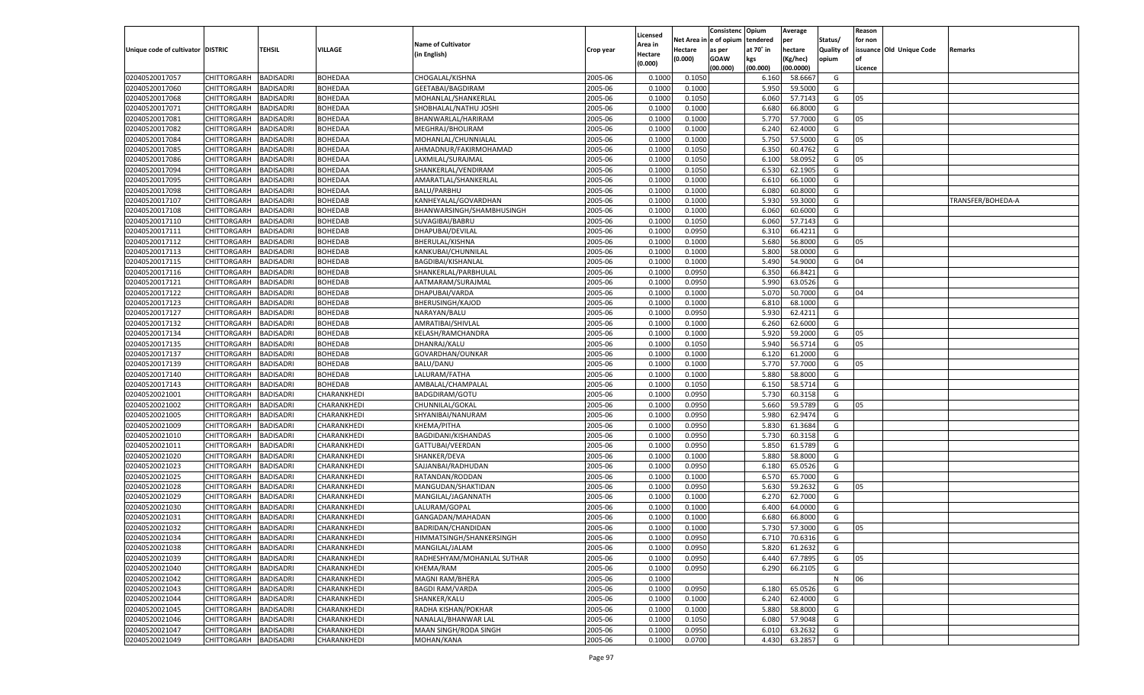|                                   |                       |                                      |                            |                                       |           |                     |                  | Consistenc    | Opium     | Average   |            | Reason  |                          |                   |
|-----------------------------------|-----------------------|--------------------------------------|----------------------------|---------------------------------------|-----------|---------------------|------------------|---------------|-----------|-----------|------------|---------|--------------------------|-------------------|
|                                   |                       |                                      |                            | <b>Name of Cultivator</b>             |           | Licensed<br>Area in | Net Area i       | n  e of opium | tendered  | per       | Status/    | for non |                          |                   |
| Unique code of cultivator DISTRIC |                       | TEHSIL                               | VILLAGE                    | (in English)                          | Crop year | Hectare             | Hectare          | as per        | at 70° in | hectare   | Quality of |         | issuance Old Unique Code | Remarks           |
|                                   |                       |                                      |                            |                                       |           | (0.000)             | (0.000)          | <b>GOAW</b>   | kgs       | (Kg/hec)  | opium      |         |                          |                   |
|                                   |                       |                                      |                            |                                       |           |                     |                  | (00.000)      | (00.000)  | (00.0000) |            | Licence |                          |                   |
| 02040520017057                    | CHITTORGARH           | <b>BADISADRI</b>                     | BOHEDAA                    | CHOGALAL/KISHNA                       | 2005-06   | 0.1000              | 0.1050           |               | 6.160     | 58.6667   | G          |         |                          |                   |
| 02040520017060                    | CHITTORGARH           | BADISADRI                            | <b>BOHEDAA</b>             | GEETABAI/BAGDIRAM                     | 2005-06   | 0.1000              | 0.1000           |               | 5.950     | 59.5000   | G          |         |                          |                   |
| 02040520017068                    | CHITTORGARH           | BADISADRI                            | <b>BOHEDAA</b>             | MOHANLAL/SHANKERLAL                   | 2005-06   | 0.1000              | 0.1050           |               | 6.060     | 57.7143   | G          | 05      |                          |                   |
| 02040520017071                    | CHITTORGARH           | BADISADRI                            | <b>BOHEDAA</b>             | SHOBHALAL/NATHU JOSHI                 | 2005-06   | 0.1000              | 0.1000           |               | 6.680     | 66.8000   | G          |         |                          |                   |
| 02040520017081                    | CHITTORGARH           | BADISADRI                            | BOHEDAA                    | BHANWARLAL/HARIRAM                    | 2005-06   | 0.1000              | 0.1000           |               | 5.770     | 57.7000   | G          | 05      |                          |                   |
| 02040520017082                    | CHITTORGARH           | BADISADRI                            | BOHEDAA                    | MEGHRAJ/BHOLIRAM                      | 2005-06   | 0.1000              | 0.1000           |               | 6.240     | 62.4000   | G          |         |                          |                   |
| 02040520017084                    | CHITTORGARH           | BADISADRI                            | <b>BOHEDAA</b>             | MOHANLAL/CHUNNIALAL                   | 2005-06   | 0.1000              | 0.1000           |               | 5.750     | 57.5000   | G          | 05      |                          |                   |
| 02040520017085                    | CHITTORGARH           | BADISADRI                            | <b>BOHEDAA</b>             | AHMADNUR/FAKIRMOHAMAD                 | 2005-06   | 0.1000              | 0.1050           |               | 6.350     | 60.4762   | G          |         |                          |                   |
| 02040520017086                    | CHITTORGARH           | BADISADRI                            | BOHEDAA                    | LAXMILAL/SURAJMAL                     | 2005-06   | 0.1000              | 0.1050           |               | 6.100     | 58.0952   | G          | 05      |                          |                   |
| 02040520017094                    | CHITTORGARH           | BADISADRI                            | BOHEDAA                    | SHANKERLAL/VENDIRAM                   | 2005-06   | 0.1000              | 0.1050           |               | 6.530     | 62.1905   | G          |         |                          |                   |
| 02040520017095                    | CHITTORGARH           | BADISADRI                            | <b>BOHEDAA</b>             | AMARATLAL/SHANKERLAL                  | 2005-06   | 0.1000              | 0.1000           |               | 6.610     | 66.1000   | G          |         |                          |                   |
| 02040520017098                    | CHITTORGARH           | BADISADRI                            | <b>BOHEDAA</b>             | <b>BALU/PARBHU</b>                    | 2005-06   | 0.1000              | 0.1000           |               | 6.080     | 60.8000   | G          |         |                          |                   |
| 02040520017107                    | CHITTORGARH           | BADISADRI                            | BOHEDAB                    | KANHEYALAL/GOVARDHAN                  | 2005-06   | 0.1000              | 0.1000           |               | 5.930     | 59.3000   | G          |         |                          | TRANSFER/BOHEDA-A |
| 02040520017108                    | CHITTORGARH           | BADISADRI                            | BOHEDAB                    | BHANWARSINGH/SHAMBHUSINGH             | 2005-06   | 0.1000              | 0.1000           |               | 6.060     | 60.6000   | G          |         |                          |                   |
| 02040520017110                    | CHITTORGARH           | <b>BADISADRI</b>                     | BOHEDAB                    | SUVAGIBAI/BABRU                       | 2005-06   | 0.1000              | 0.1050           |               | 6.060     | 57.7143   | G          |         |                          |                   |
| 02040520017111                    | CHITTORGARH           | BADISADRI                            | BOHEDAB                    | DHAPUBAI/DEVILAL                      | 2005-06   | 0.1000              | 0.0950           |               | 6.310     | 66.4211   | G          |         |                          |                   |
| 02040520017112                    | CHITTORGARH           | <b>BADISADRI</b>                     | <b>BOHEDAB</b>             | BHERULAL/KISHNA                       | 2005-06   | 0.1000              | 0.1000           |               | 5.680     | 56.8000   | G          | 05      |                          |                   |
| 02040520017113                    | CHITTORGARH           | BADISADRI                            | <b>BOHEDAB</b>             | KANKUBAI/CHUNNILAL                    | 2005-06   | 0.1000              | 0.1000           |               | 5.800     | 58.0000   | G          |         |                          |                   |
| 02040520017115                    | CHITTORGARH           | <b>BADISADRI</b>                     | BOHEDAB                    | BAGDIBAI/KISHANLAL                    | 2005-06   | 0.1000              | 0.1000           |               | 5.490     | 54.9000   | G          | 04      |                          |                   |
| 02040520017116                    | CHITTORGARH           | BADISADRI                            | BOHEDAB                    | SHANKERLAL/PARBHULAL                  | 2005-06   | 0.1000              | 0.0950           |               | 6.350     | 66.8421   | G          |         |                          |                   |
| 02040520017121                    | CHITTORGARH           | <b>BADISADRI</b>                     | <b>BOHEDAB</b>             | AATMARAM/SURAJMAL                     | 2005-06   | 0.1000              | 0.0950           |               | 5.990     | 63.0526   | G          |         |                          |                   |
| 02040520017122                    | CHITTORGARH           | BADISADRI                            | BOHEDAB                    | DHAPUBAI/VARDA                        | 2005-06   | 0.1000              | 0.1000           |               | 5.070     | 50.7000   | G          | 04      |                          |                   |
| 02040520017123                    | CHITTORGARH           | <b>BADISADRI</b>                     | BOHEDAB                    | <b>BHERUSINGH/KAJOD</b>               | 2005-06   | 0.1000              | 0.1000           |               | 6.810     | 68.1000   | G          |         |                          |                   |
| 02040520017127                    | CHITTORGARH           | BADISADRI                            | <b>BOHEDAB</b>             | NARAYAN/BALU                          | 2005-06   | 0.1000              | 0.0950           |               | 5.930     | 62.4211   | G          |         |                          |                   |
| 02040520017132                    | CHITTORGARH           | <b>BADISADRI</b>                     | <b>BOHEDAB</b>             | AMRATIBAI/SHIVLAL                     | 2005-06   | 0.1000              | 0.1000           |               | 6.260     | 62.6000   | G          |         |                          |                   |
| 02040520017134                    | CHITTORGARH           | BADISADRI                            | <b>BOHEDAB</b>             | KELASH/RAMCHANDRA                     | 2005-06   | 0.1000              | 0.1000           |               | 5.920     | 59.2000   | G          | 05      |                          |                   |
| 02040520017135                    | CHITTORGARH           | <b>BADISADRI</b>                     | BOHEDAB                    | DHANRAJ/KALU                          | 2005-06   | 0.1000              | 0.1050           |               | 5.940     | 56.5714   | G          | 05      |                          |                   |
| 02040520017137                    | CHITTORGARH           | BADISADRI                            | <b>BOHEDAB</b>             | GOVARDHAN/OUNKAR                      | 2005-06   | 0.1000              | 0.1000           |               | 6.120     | 61.2000   | G          |         |                          |                   |
| 02040520017139                    | CHITTORGARH           | <b>BADISADRI</b>                     | <b>BOHEDAB</b>             | <b>BALU/DANU</b>                      | 2005-06   | 0.1000              | 0.1000           |               | 5.770     | 57.7000   | G          | 05      |                          |                   |
| 02040520017140                    | CHITTORGARH           | BADISADRI                            | <b>BOHEDAB</b>             | LALURAM/FATHA                         | 2005-06   | 0.1000              | 0.1000           |               | 5.880     | 58.8000   | G          |         |                          |                   |
| 02040520017143                    | CHITTORGARH           | <b>BADISADRI</b>                     | <b>BOHEDAB</b>             | AMBALAL/CHAMPALAL                     | 2005-06   | 0.1000              | 0.1050           |               | 6.15(     | 58.5714   | G          |         |                          |                   |
| 02040520021001                    | CHITTORGARH           | <b>BADISADRI</b>                     | CHARANKHEDI                | BADGDIRAM/GOTU                        | 2005-06   | 0.1000              | 0.0950           |               | 5.730     | 60.3158   | G          |         |                          |                   |
| 02040520021002                    | CHITTORGARH           | <b>BADISADRI</b>                     | CHARANKHEDI                | CHUNNILAL/GOKAL                       | 2005-06   | 0.1000              | 0.0950           |               | 5.660     | 59.5789   | G          | 05      |                          |                   |
| 02040520021005                    | CHITTORGARH           | BADISADRI                            | CHARANKHEDI                | SHYANIBAI/NANURAM                     | 2005-06   | 0.1000              | 0.0950           |               | 5.980     | 62.9474   | G          |         |                          |                   |
| 02040520021009                    | CHITTORGARH           | <b>BADISADRI</b>                     | CHARANKHEDI                | KHEMA/PITHA                           | 2005-06   | 0.1000              | 0.0950           |               | 5.830     | 61.3684   | G          |         |                          |                   |
| 02040520021010                    | CHITTORGARH           | <b>BADISADRI</b>                     | CHARANKHEDI                | BAGDIDANI/KISHANDAS                   | 2005-06   | 0.1000              | 0.0950           |               | 5.730     | 60.3158   | G          |         |                          |                   |
| 02040520021011                    | CHITTORGARH           | <b>BADISADRI</b>                     | CHARANKHEDI                | GATTUBAI/VEERDAN                      | 2005-06   | 0.1000              | 0.0950           |               | 5.850     | 61.5789   | G          |         |                          |                   |
| 02040520021020                    | CHITTORGARH           | BADISADRI                            | CHARANKHEDI                | SHANKER/DEVA                          | 2005-06   | 0.1000              | 0.1000           |               | 5.880     | 58.8000   | G          |         |                          |                   |
| 02040520021023                    | CHITTORGARH           | <b>BADISADRI</b>                     | CHARANKHEDI                | SAJJANBAI/RADHUDAN                    | 2005-06   | 0.1000              | 0.0950           |               | 6.180     | 65.0526   | G          |         |                          |                   |
| 02040520021025                    |                       |                                      |                            |                                       | 2005-06   | 0.1000              |                  |               | 6.570     | 65.7000   | G          |         |                          |                   |
| 02040520021028                    | CHITTORGARH           | <b>BADISADRI</b><br><b>BADISADRI</b> | CHARANKHEDI<br>CHARANKHEDI | RATANDAN/RODDAN<br>MANGUDAN/SHAKTIDAN | 2005-06   | 0.1000              | 0.1000<br>0.0950 |               | 5.630     | 59.2632   | G          | 05      |                          |                   |
| 02040520021029                    | CHITTORGARH           |                                      |                            |                                       | 2005-06   | 0.1000              |                  |               | 6.270     | 62.7000   | G          |         |                          |                   |
|                                   | CHITTORGARH           | BADISADRI                            | CHARANKHEDI                | MANGILAL/JAGANNATH                    |           |                     | 0.1000           |               |           |           |            |         |                          |                   |
| 02040520021030                    | CHITTORGARH           | BADISADRI                            | CHARANKHEDI                | LALURAM/GOPAL                         | 2005-06   | 0.1000              | 0.1000           |               | 6.400     | 64.0000   | G          |         |                          |                   |
| 02040520021031                    | CHITTORGARH           | BADISADRI                            | CHARANKHEDI                | GANGADAN/MAHADAN                      | 2005-06   | 0.1000              | 0.1000           |               | 6.680     | 66.8000   | G          |         |                          |                   |
| 02040520021032                    | CHITTORGARH           | <b>BADISADRI</b>                     | CHARANKHEDI                | BADRIDAN/CHANDIDAN                    | 2005-06   | 0.1000              | 0.1000           |               | 5.730     | 57.3000   | G          | 05      |                          |                   |
| 02040520021034                    | CHITTORGARH BADISADRI |                                      | CHARANKHEDI                | HIMMATSINGH/SHANKERSINGH              | 2005-06   | 0.1000              | 0.0950           |               | 6.710     | 70.6316   | G          |         |                          |                   |
| 02040520021038                    | <b>CHITTORGARH</b>    | <b>BADISADRI</b>                     | CHARANKHEDI                | MANGILAL/JALAM                        | 2005-06   | 0.1000              | 0.0950           |               | 5.820     | 61.2632   | G          |         |                          |                   |
| 02040520021039                    | <b>CHITTORGARH</b>    | <b>BADISADRI</b>                     | CHARANKHEDI                | RADHESHYAM/MOHANLAL SUTHAR            | 2005-06   | 0.1000              | 0.0950           |               | 6.440     | 67.7895   | G          | 05      |                          |                   |
| 02040520021040                    | CHITTORGARH           | <b>BADISADRI</b>                     | CHARANKHEDI                | KHEMA/RAM                             | 2005-06   | 0.1000              | 0.0950           |               | 6.290     | 66.2105   | G          |         |                          |                   |
| 02040520021042                    | CHITTORGARH           | <b>BADISADRI</b>                     | CHARANKHEDI                | MAGNI RAM/BHERA                       | 2005-06   | 0.1000              |                  |               |           |           | N          | 06      |                          |                   |
| 02040520021043                    | CHITTORGARH           | <b>BADISADRI</b>                     | CHARANKHEDI                | <b>BAGDI RAM/VARDA</b>                | 2005-06   | 0.1000              | 0.0950           |               | 6.180     | 65.0526   | G          |         |                          |                   |
| 02040520021044                    | CHITTORGARH           | <b>BADISADRI</b>                     | CHARANKHEDI                | SHANKER/KALU                          | 2005-06   | 0.1000              | 0.1000           |               | 6.240     | 62.4000   | G          |         |                          |                   |
| 02040520021045                    | CHITTORGARH           | <b>BADISADRI</b>                     | CHARANKHEDI                | RADHA KISHAN/POKHAR                   | 2005-06   | 0.1000              | 0.1000           |               | 5.880     | 58.8000   | G          |         |                          |                   |
| 02040520021046                    | <b>CHITTORGARH</b>    | <b>BADISADRI</b>                     | CHARANKHEDI                | NANALAL/BHANWAR LAL                   | 2005-06   | 0.1000              | 0.1050           |               | 6.080     | 57.9048   | G          |         |                          |                   |
| 02040520021047                    | CHITTORGARH           | <b>BADISADRI</b>                     | CHARANKHEDI                | MAAN SINGH/RODA SINGH                 | 2005-06   | 0.1000              | 0.0950           |               | 6.010     | 63.2632   | G          |         |                          |                   |
| 02040520021049                    | <b>CHITTORGARH</b>    | <b>BADISADRI</b>                     | CHARANKHEDI                | MOHAN/KANA                            | 2005-06   | 0.1000              | 0.0700           |               | 4.430     | 63.2857   | G          |         |                          |                   |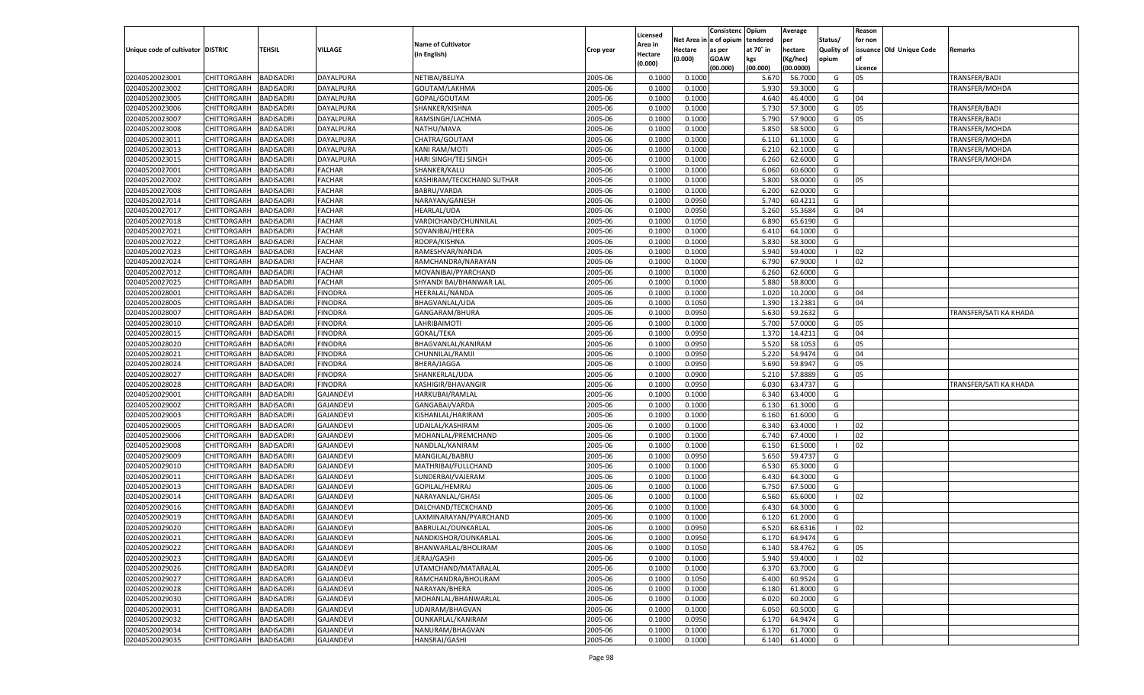|                                   |                            |                               |                  |                           |                    |                    |                  | Consistenc    | Opium     | Average   |                | Reason   |                          |                        |
|-----------------------------------|----------------------------|-------------------------------|------------------|---------------------------|--------------------|--------------------|------------------|---------------|-----------|-----------|----------------|----------|--------------------------|------------------------|
|                                   |                            |                               |                  |                           |                    | Licensed           | Net Area i       | n  e of opium | tendered  | per       | Status/        | for non  |                          |                        |
| Unique code of cultivator DISTRIC |                            | TEHSIL                        | <b>VILLAGE</b>   | <b>Name of Cultivator</b> | Crop year          | Area in            | Hectare          | as per        | at 70° in | hectare   | Quality of     |          | issuance Old Unique Code | Remarks                |
|                                   |                            |                               |                  | (in English)              |                    | Hectare<br>(0.000) | (0.000)          | <b>GOAW</b>   | kgs       | (Kg/hec)  | opium          |          |                          |                        |
|                                   |                            |                               |                  |                           |                    |                    |                  | (00.000)      | (00.000)  | (00.0000) |                | Licence  |                          |                        |
| 02040520023001                    | CHITTORGARH                | <b>BADISADRI</b>              | DAYALPURA        | NETIBAI/BELIYA            | 2005-06            | 0.100              | 0.1000           |               | 5.670     | 56.7000   | G              | 05       |                          | TRANSFER/BADI          |
| 02040520023002                    | CHITTORGARH                | BADISADRI                     | DAYALPURA        | GOUTAM/LAKHMA             | 2005-06            | 0.100              | 0.1000           |               | 5.930     | 59.3000   | G              |          |                          | TRANSFER/MOHDA         |
| 02040520023005                    | CHITTORGARH                | BADISADRI                     | DAYALPURA        | GOPAL/GOUTAM              | 2005-06            | 0.1000             | 0.1000           |               | 4.640     | 46.4000   | G              | 04       |                          |                        |
| 02040520023006                    | CHITTORGARH                | BADISADRI                     | DAYALPURA        | SHANKER/KISHNA            | 2005-06            | 0.1000             | 0.1000           |               | 5.730     | 57.3000   | G              | 05       |                          | TRANSFER/BADI          |
| 02040520023007                    | CHITTORGARH                | BADISADRI                     | DAYALPURA        | RAMSINGH/LACHMA           | 2005-06            | 0.1000             | 0.1000           |               | 5.790     | 57.9000   | G              | 05       |                          | TRANSFER/BADI          |
| 02040520023008                    | CHITTORGARH                | BADISADRI                     | DAYALPURA        | NATHU/MAVA                | 2005-06            | 0.1000             | 0.1000           |               | 5.850     | 58.5000   | G              |          |                          | TRANSFER/MOHDA         |
| 02040520023011                    | CHITTORGARH                | BADISADRI                     | DAYALPURA        | CHATRA/GOUTAM             | 2005-06            | 0.1000             | 0.1000           |               | 6.11      | 61.1000   | G              |          |                          | TRANSFER/MOHDA         |
| 02040520023013                    | CHITTORGARH                | BADISADRI                     | DAYALPURA        | <b>KANI RAM/MOTI</b>      | 2005-06            | 0.1000             | 0.1000           |               | 6.21      | 62.1000   | G              |          |                          | TRANSFER/MOHDA         |
| 02040520023015                    | CHITTORGARH                | BADISADRI                     | DAYALPURA        | HARI SINGH/TEJ SINGH      | 2005-06            | 0.1000             | 0.1000           |               | 6.260     | 62.6000   | G              |          |                          | TRANSFER/MOHDA         |
| 02040520027001                    | CHITTORGARH                | BADISADRI                     | <b>FACHAR</b>    | SHANKER/KALU              | 2005-06            | 0.1000             | 0.1000           |               | 6.060     | 60.6000   | G              |          |                          |                        |
| 02040520027002                    | CHITTORGARH                | BADISADRI                     | FACHAR           | KASHIRAM/TECKCHAND SUTHAR | 2005-06            | 0.1000             | 0.1000           |               | 5.800     | 58.0000   | G              | 05       |                          |                        |
| 02040520027008                    | CHITTORGARH                | BADISADRI                     | <b>FACHAR</b>    | <b>BABRU/VARDA</b>        | 2005-06            | 0.1000             | 0.1000           |               | 6.200     | 62.0000   | G              |          |                          |                        |
| 02040520027014                    | CHITTORGARH                | BADISADRI                     | FACHAR           | NARAYAN/GANESH            | 2005-06            | 0.1000             | 0.0950           |               | 5.740     | 60.4211   | G              |          |                          |                        |
| 02040520027017                    | CHITTORGARH                | BADISADRI                     | FACHAR           | <b>HEARLAL/UDA</b>        | 2005-06            | 0.1000             | 0.0950           |               | 5.260     | 55.3684   | G              | 04       |                          |                        |
| 02040520027018                    | CHITTORGARH                | <b>BADISADRI</b>              | <b>FACHAR</b>    | VARDICHAND/CHUNNILAL      | 2005-06            | 0.1000             | 0.1050           |               | 6.890     | 65.6190   | G              |          |                          |                        |
| 02040520027021                    | CHITTORGARH                | BADISADRI                     | FACHAR           | SOVANIBAI/HEERA           | 2005-06            | 0.1000             | 0.1000           |               | 6.410     | 64.1000   | G              |          |                          |                        |
| 02040520027022                    | CHITTORGARH                | <b>BADISADRI</b>              | <b>FACHAR</b>    | ROOPA/KISHNA              | 2005-06            | 0.1000             | 0.1000           |               | 5.830     | 58.3000   | G              |          |                          |                        |
| 02040520027023                    | CHITTORGARH                | BADISADRI                     | FACHAR           | RAMESHVAR/NANDA           | 2005-06            | 0.1000             | 0.1000           |               | 5.940     | 59.4000   | $\blacksquare$ | 02       |                          |                        |
| 02040520027024                    | CHITTORGARH                | <b>BADISADRI</b>              | FACHAR           | RAMCHANDRA/NARAYAN        | 2005-06            | 0.1000             | 0.1000           |               | 6.790     | 67.9000   | - 1            | 02       |                          |                        |
| 02040520027012                    | CHITTORGARH                | BADISADRI                     | FACHAR           | MOVANIBAI/PYARCHAND       | 2005-06            | 0.1000             | 0.1000           |               | 6.260     | 62.6000   | G              |          |                          |                        |
| 02040520027025                    | CHITTORGARH                | <b>BADISADRI</b>              | <b>FACHAR</b>    | SHYANDI BAI/BHANWAR LAL   | 2005-06            | 0.1000             | 0.1000           |               | 5.880     | 58.8000   | G              |          |                          |                        |
| 02040520028001                    | CHITTORGARH                | BADISADRI                     | <b>FINODRA</b>   | <b>HEERALAL/NANDA</b>     | 2005-06            | 0.1000             | 0.1000           |               | 1.020     | 10.2000   | G              | 04       |                          |                        |
| 02040520028005                    | CHITTORGARH                | <b>BADISADRI</b>              | FINODRA          | BHAGVANLAL/UDA            | 2005-06            | 0.1000             | 0.1050           |               | 1.390     | 13.2381   | G              | 04       |                          |                        |
| 02040520028007                    | CHITTORGARH                | BADISADRI                     | <b>FINODRA</b>   | GANGARAM/BHURA            | 2005-06            | 0.1000             | 0.0950           |               | 5.630     | 59.2632   | G              |          |                          | TRANSFER/SATI KA KHADA |
| 02040520028010                    | CHITTORGARH                | <b>BADISADRI</b>              | FINODRA          | LAHRIBAIMOTI              | 2005-06            | 0.1000             | 0.1000           |               | 5.700     | 57.0000   | G              | 05       |                          |                        |
| 02040520028015                    |                            |                               | FINODRA          |                           | 2005-06            | 0.1000             |                  |               | 1.370     | 14.4211   | G              | 04       |                          |                        |
| 02040520028020                    | CHITTORGARH<br>CHITTORGARH | BADISADRI<br><b>BADISADRI</b> | FINODRA          | GOKAL/TEKA                | 2005-06            | 0.1000             | 0.0950<br>0.0950 |               | 5.520     | 58.1053   | G              | 05       |                          |                        |
|                                   | CHITTORGARH                |                               |                  | BHAGVANLAL/KANIRAM        |                    |                    |                  |               |           | 54.9474   |                |          |                          |                        |
| 02040520028021                    | CHITTORGARH                | BADISADRI<br><b>BADISADRI</b> | <b>FINODRA</b>   | CHUNNILAL/RAMJI           | 2005-06<br>2005-06 | 0.1000             | 0.0950<br>0.0950 |               | 5.220     | 59.8947   | G<br>G         | 04<br>05 |                          |                        |
| 02040520028024                    |                            |                               | FINODRA          | BHERA/JAGGA               |                    | 0.1000             |                  |               | 5.690     |           |                |          |                          |                        |
| 02040520028027                    | CHITTORGARH                | BADISADRI                     | FINODRA          | SHANKERLAL/UDA            | 2005-06            | 0.1000             | 0.0900           |               | 5.210     | 57.8889   | G              | 05       |                          |                        |
| 02040520028028                    | CHITTORGARH                | <b>BADISADRI</b>              | FINODRA          | KASHIGIR/BHAVANGIR        | 2005-06            | 0.1000             | 0.0950           |               | 6.030     | 63.473    | G              |          |                          | TRANSFER/SATI KA KHADA |
| 02040520029001                    | CHITTORGARH                | <b>BADISADRI</b>              | <b>GAJANDEVI</b> | HARKUBAI/RAMLAL           | 2005-06            | 0.1000             | 0.1000           |               | 6.340     | 63.4000   | G              |          |                          |                        |
| 02040520029002                    | CHITTORGARH                | <b>BADISADRI</b>              | <b>GAJANDEVI</b> | GANGABAI/VARDA            | 2005-06            | 0.1000             | 0.1000           |               | 6.130     | 61.3000   | G              |          |                          |                        |
| 02040520029003                    | CHITTORGARH                | BADISADRI                     | <b>GAJANDEVI</b> | KISHANLAL/HARIRAM         | 2005-06            | 0.1000             | 0.1000           |               | 6.160     | 61.6000   | G              |          |                          |                        |
| 02040520029005                    | CHITTORGARH                | <b>BADISADRI</b>              | <b>GAJANDEVI</b> | UDAILAL/KASHIRAM          | 2005-06            | 0.1000             | 0.1000           |               | 6.340     | 63.4000   | - 1            | 02       |                          |                        |
| 02040520029006                    | CHITTORGARH                | <b>BADISADRI</b>              | <b>GAJANDEVI</b> | MOHANLAL/PREMCHAND        | 2005-06            | 0.1000             | 0.1000           |               | 6.740     | 67.4000   | - 1            | 02       |                          |                        |
| 02040520029008                    | CHITTORGARH                | <b>BADISADRI</b>              | <b>GAJANDEVI</b> | NANDLAL/KANIRAM           | 2005-06            | 0.1000             | 0.1000           |               | 6.150     | 61.5000   | - 1            | 02       |                          |                        |
| 02040520029009                    | CHITTORGARH                | BADISADRI                     | <b>GAJANDEVI</b> | MANGILAL/BABRU            | 2005-06            | 0.1000             | 0.0950           |               | 5.650     | 59.4737   | G              |          |                          |                        |
| 02040520029010                    | CHITTORGARH                | <b>BADISADRI</b>              | <b>GAJANDEVI</b> | MATHRIBAI/FULLCHAND       | 2005-06            | 0.1000             | 0.1000           |               | 6.530     | 65.3000   | G              |          |                          |                        |
| 02040520029011                    | CHITTORGARH                | <b>BADISADRI</b>              | <b>GAJANDEVI</b> | SUNDERBAI/VAJERAM         | 2005-06            | 0.1000             | 0.1000           |               | 6.43(     | 64.3000   | G              |          |                          |                        |
| 02040520029013                    | CHITTORGARH                | <b>BADISADRI</b>              | <b>GAJANDEVI</b> | GOPILAL/HEMRAJ            | 2005-06            | 0.1000             | 0.1000           |               | 6.750     | 67.5000   | G              |          |                          |                        |
| 02040520029014                    | CHITTORGARH                | BADISADRI                     | <b>GAJANDEVI</b> | NARAYANLAL/GHAS           | 2005-06            | 0.1000             | 0.1000           |               | 6.560     | 65.6000   | - 1            | 02       |                          |                        |
| 02040520029016                    | CHITTORGARH                | BADISADRI                     | <b>GAJANDEVI</b> | DALCHAND/TECKCHAND        | 2005-06            | 0.1000             | 0.1000           |               | 6.430     | 64.3000   | G              |          |                          |                        |
| 02040520029019                    | CHITTORGARH                | BADISADRI                     | <b>GAJANDEVI</b> | LAXMINARAYAN/PYARCHAND    | 2005-06            | 0.1000             | 0.1000           |               | 6.120     | 61.2000   | G              |          |                          |                        |
| 02040520029020                    | CHITTORGARH                | <b>BADISADRI</b>              | <b>GAJANDEVI</b> | BABRULAL/OUNKARLAL        | 2005-06            | 0.1000             | 0.0950           |               | 6.520     | 68.6316   | - 1            | 02       |                          |                        |
| 02040520029021                    | CHITTORGARH BADISADRI      |                               | <b>GAJANDEVI</b> | NANDKISHOR/OUNKARLAL      | 2005-06            | 0.1000             | 0.0950           |               | 6.170     | 64.9474   | G              |          |                          |                        |
| 02040520029022                    | <b>CHITTORGARH</b>         | <b>BADISADRI</b>              | <b>GAJANDEVI</b> | BHANWARLAL/BHOLIRAM       | 2005-06            | 0.1000             | 0.1050           |               | 6.140     | 58.4762   | G              | 05       |                          |                        |
| 02040520029023                    | <b>CHITTORGARH</b>         | <b>BADISADRI</b>              | <b>GAJANDEVI</b> | JERAJ/GASHI               | 2005-06            | 0.1000             | 0.1000           |               | 5.940     | 59.4000   | - 1            | 02       |                          |                        |
| 02040520029026                    | CHITTORGARH                | <b>BADISADRI</b>              | <b>GAJANDEVI</b> | UTAMCHAND/MATARALAL       | 2005-06            | 0.1000             | 0.1000           |               | 6.370     | 63.7000   | G              |          |                          |                        |
| 02040520029027                    | <b>CHITTORGARH</b>         | <b>BADISADRI</b>              | <b>GAJANDEVI</b> | RAMCHANDRA/BHOLIRAM       | 2005-06            | 0.1000             | 0.1050           |               | 6.400     | 60.9524   | G              |          |                          |                        |
| 02040520029028                    | CHITTORGARH                | <b>BADISADRI</b>              | <b>GAJANDEVI</b> | NARAYAN/BHERA             | 2005-06            | 0.1000             | 0.1000           |               | 6.180     | 61.8000   | G              |          |                          |                        |
| 02040520029030                    | CHITTORGARH                | <b>BADISADRI</b>              | <b>GAJANDEVI</b> | MOHANLAL/BHANWARLAL       | 2005-06            | 0.1000             | 0.1000           |               | 6.020     | 60.2000   | G              |          |                          |                        |
| 02040520029031                    | CHITTORGARH                | <b>BADISADRI</b>              | <b>GAJANDEVI</b> | UDAIRAM/BHAGVAN           | 2005-06            | 0.1000             | 0.1000           |               | 6.050     | 60.5000   | G              |          |                          |                        |
| 02040520029032                    | CHITTORGARH                | <b>BADISADRI</b>              | <b>GAJANDEVI</b> | OUNKARLAL/KANIRAM         | 2005-06            | 0.1000             | 0.0950           |               | 6.170     | 64.9474   | G              |          |                          |                        |
| 02040520029034                    | <b>CHITTORGARH</b>         | <b>BADISADRI</b>              | <b>GAJANDEVI</b> | NANURAM/BHAGVAN           | 2005-06            | 0.1000             | 0.1000           |               | 6.170     | 61.7000   | G              |          |                          |                        |
| 02040520029035                    | CHITTORGARH                | <b>BADISADRI</b>              | <b>GAJANDEVI</b> | HANSRAJ/GASHI             | 2005-06            | 0.1000             | 0.1000           |               | 6.140     | 61.4000   | G              |          |                          |                        |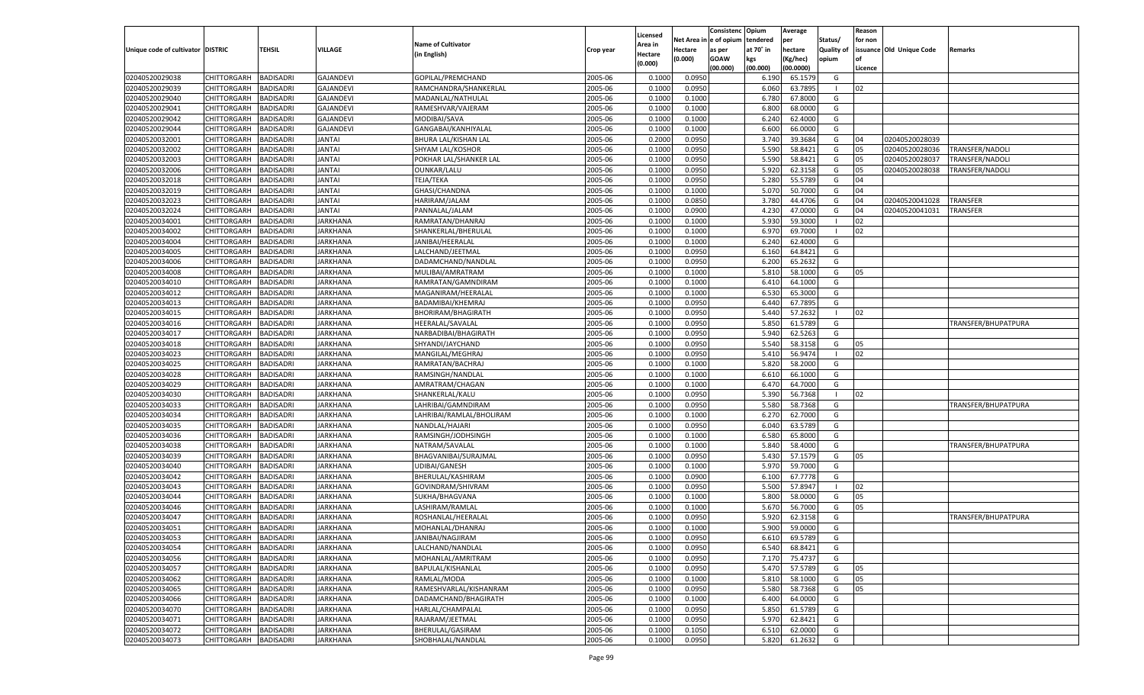|                                   |                       |                  |                  |                           |           | Licensed |                        | Consistenc  | Opium     | Average            |                   | Reason  |                          |                     |
|-----------------------------------|-----------------------|------------------|------------------|---------------------------|-----------|----------|------------------------|-------------|-----------|--------------------|-------------------|---------|--------------------------|---------------------|
|                                   |                       |                  |                  | <b>Name of Cultivator</b> |           | Area in  | Net Area in e of opium |             | tendered  | per                | Status/           | for non |                          |                     |
| Unique code of cultivator DISTRIC |                       | <b>TEHSIL</b>    | <b>VILLAGE</b>   | (in English)              | Crop year | Hectare  | <b>Hectare</b>         | as per      | at 70° in | hectare            | <b>Quality of</b> |         | issuance Old Unique Code | Remarks             |
|                                   |                       |                  |                  |                           |           | (0.000)  | (0.000)                | <b>GOAW</b> | kgs       | (Kg/hec)           | opium             |         |                          |                     |
| 02040520029038                    | CHITTORGARH           | <b>BADISADRI</b> | <b>GAJANDEVI</b> | GOPILAL/PREMCHAND         | 2005-06   | 0.1000   | 0.0950                 | (00.000)    | (00.000)  | (00.0000)          | G                 | Licence |                          |                     |
| 02040520029039                    |                       | <b>BADISADRI</b> | <b>GAJANDEVI</b> | RAMCHANDRA/SHANKERLAL     | 2005-06   | 0.1000   | 0.0950                 |             | 6.190     | 65.1579            | - 1               | 02      |                          |                     |
| 02040520029040                    | <b>CHITTORGARH</b>    |                  | <b>GAJANDEVI</b> |                           |           |          | 0.1000                 |             | 6.060     | 63.7895            |                   |         |                          |                     |
|                                   | <b>CHITTORGARH</b>    | <b>BADISADRI</b> |                  | MADANLAL/NATHULAL         | 2005-06   | 0.1000   |                        |             | 6.780     | 67.8000<br>68.0000 | G                 |         |                          |                     |
| 02040520029041                    | <b>CHITTORGARH</b>    | <b>BADISADRI</b> | <b>GAJANDEVI</b> | RAMESHVAR/VAJERAM         | 2005-06   | 0.1000   | 0.1000                 |             | 6.800     |                    | G                 |         |                          |                     |
| 02040520029042                    | <b>CHITTORGARH</b>    | <b>BADISADRI</b> | <b>GAJANDEVI</b> | MODIBAI/SAVA              | 2005-06   | 0.1000   | 0.1000                 |             | 6.240     | 62.4000            | G                 |         |                          |                     |
| 02040520029044                    | CHITTORGARH           | <b>BADISADRI</b> | <b>GAJANDEVI</b> | GANGABAI/KANHIYALAL       | 2005-06   | 0.1000   | 0.1000                 |             | 6.600     | 66.0000            | G                 |         |                          |                     |
| 02040520032001<br>02040520032002  | <b>CHITTORGARH</b>    | <b>BADISADRI</b> | <b>JANTAI</b>    | BHURA LAL/KISHAN LAL      | 2005-06   | 0.2000   | 0.0950                 |             | 3.740     | 39.3684            | G                 | 04      | 02040520028039           |                     |
|                                   | <b>CHITTORGARH</b>    | <b>BADISADRI</b> | <b>JANTAI</b>    | SHYAM LAL/KOSHOR          | 2005-06   | 0.1000   | 0.0950                 |             | 5.590     | 58.8421            | G                 | 05      | 02040520028036           | TRANSFER/NADOLI     |
| 02040520032003                    | <b>CHITTORGARH</b>    | <b>BADISADRI</b> | <b>JANTAI</b>    | POKHAR LAL/SHANKER LAL    | 2005-06   | 0.1000   | 0.0950                 |             | 5.590     | 58.8421            | G                 | 05      | 02040520028037           | TRANSFER/NADOLI     |
| 02040520032006                    | CHITTORGARH           | <b>BADISADRI</b> | <b>JANTAI</b>    | OUNKAR/LALU               | 2005-06   | 0.1000   | 0.0950                 |             | 5.920     | 62.3158            | G                 | 05      | 02040520028038           | TRANSFER/NADOLI     |
| 02040520032018                    | <b>CHITTORGARH</b>    | <b>BADISADRI</b> | <b>JANTAI</b>    | TEJA/TEKA                 | 2005-06   | 0.1000   | 0.0950                 |             | 5.280     | 55.5789            | G                 | 04      |                          |                     |
| 02040520032019                    | <b>CHITTORGARH</b>    | <b>BADISADRI</b> | <b>JANTAI</b>    | GHASI/CHANDNA             | 2005-06   | 0.1000   | 0.1000                 |             | 5.070     | 50.7000            | G                 | 04      |                          |                     |
| 02040520032023                    | <b>CHITTORGARH</b>    | <b>BADISADRI</b> | <b>JANTAI</b>    | HARIRAM/JALAM             | 2005-06   | 0.1000   | 0.0850                 |             | 3.780     | 44.4706            | G                 | 04      | 02040520041028           | <b>TRANSFER</b>     |
| 02040520032024                    | CHITTORGARH           | <b>BADISADRI</b> | <b>JANTAI</b>    | PANNALAL/JALAM            | 2005-06   | 0.1000   | 0.0900                 |             | 4.230     | 47.0000            | G                 | 04      | 02040520041031           | TRANSFER            |
| 02040520034001                    | <b>CHITTORGARH</b>    | <b>BADISADRI</b> | <b>JARKHANA</b>  | RAMRATAN/DHANRAJ          | 2005-06   | 0.1000   | 0.1000                 |             | 5.930     | 59.3000            |                   | 02      |                          |                     |
| 02040520034002                    | CHITTORGARH           | <b>BADISADRI</b> | <b>JARKHANA</b>  | SHANKERLAL/BHERULAL       | 2005-06   | 0.1000   | 0.1000                 |             | 6.970     | 69.7000            |                   | 02      |                          |                     |
| 02040520034004                    | CHITTORGARH           | <b>BADISADRI</b> | <b>JARKHANA</b>  | JANIBAI/HEERALAI          | 2005-06   | 0.1000   | 0.1000                 |             | 6.240     | 62.4000            | G                 |         |                          |                     |
| 02040520034005                    | CHITTORGARH           | <b>BADISADRI</b> | <b>JARKHANA</b>  | LALCHAND/JEETMAL          | 2005-06   | 0.1000   | 0.0950                 |             | 6.160     | 64.8421            | G                 |         |                          |                     |
| 02040520034006                    | <b>CHITTORGARH</b>    | <b>BADISADRI</b> | <b>JARKHANA</b>  | DADAMCHAND/NANDLAL        | 2005-06   | 0.1000   | 0.0950                 |             | 6.200     | 65.2632            | G                 |         |                          |                     |
| 02040520034008                    | CHITTORGARH           | <b>BADISADRI</b> | <b>JARKHANA</b>  | MULIBAI/AMRATRAM          | 2005-06   | 0.1000   | 0.1000                 |             | 5.810     | 58.1000            | G                 | 05      |                          |                     |
| 02040520034010                    | <b>CHITTORGARH</b>    | <b>BADISADRI</b> | <b>JARKHANA</b>  | RAMRATAN/GAMNDIRAM        | 2005-06   | 0.1000   | 0.1000                 |             | 6.410     | 64.1000            | G                 |         |                          |                     |
| 02040520034012                    | CHITTORGARH           | <b>BADISADRI</b> | <b>JARKHANA</b>  | MAGANIRAM/HEERALAI        | 2005-06   | 0.1000   | 0.1000                 |             | 6.530     | 65.3000            | G                 |         |                          |                     |
| 02040520034013                    | <b>CHITTORGARH</b>    | <b>BADISADRI</b> | <b>JARKHANA</b>  | BADAMIBAI/KHEMRAJ         | 2005-06   | 0.1000   | 0.0950                 |             | 6.440     | 67.7895            | G                 |         |                          |                     |
| 02040520034015                    | CHITTORGARH           | <b>BADISADRI</b> | <b>JARKHANA</b>  | <b>BHORIRAM/BHAGIRATH</b> | 2005-06   | 0.1000   | 0.0950                 |             | 5.440     | 57.2632            | - 1               | 02      |                          |                     |
| 02040520034016                    | <b>CHITTORGARH</b>    | <b>BADISADRI</b> | <b>JARKHANA</b>  | HEERALAL/SAVALAL          | 2005-06   | 0.1000   | 0.0950                 |             | 5.850     | 61.5789            | G                 |         |                          | TRANSFER/BHUPATPURA |
| 02040520034017                    | CHITTORGARH           | <b>BADISADRI</b> | <b>JARKHANA</b>  | NARBADIBAI/BHAGIRATH      | 2005-06   | 0.1000   | 0.0950                 |             | 5.940     | 62.5263            | G                 |         |                          |                     |
| 02040520034018                    | <b>CHITTORGARH</b>    | <b>BADISADRI</b> | <b>JARKHANA</b>  | SHYANDI/JAYCHAND          | 2005-06   | 0.1000   | 0.0950                 |             | 5.540     | 58.3158            | G                 | 05      |                          |                     |
| 02040520034023                    | CHITTORGARH           | <b>BADISADRI</b> | <b>JARKHANA</b>  | MANGILAL/MEGHRAJ          | 2005-06   | 0.1000   | 0.0950                 |             | 5.410     | 56.9474            | - 1               | 02      |                          |                     |
| 02040520034025                    | <b>CHITTORGARH</b>    | <b>BADISADRI</b> | <b>JARKHANA</b>  | RAMRATAN/BACHRAJ          | 2005-06   | 0.1000   | 0.1000                 |             | 5.820     | 58.2000            | G                 |         |                          |                     |
| 02040520034028                    | <b>CHITTORGARH</b>    | <b>BADISADRI</b> | <b>JARKHANA</b>  | RAMSINGH/NANDLAL          | 2005-06   | 0.1000   | 0.1000                 |             | 6.610     | 66.1000            | G                 |         |                          |                     |
| 02040520034029                    | <b>CHITTORGARH</b>    | <b>BADISADRI</b> | <b>JARKHANA</b>  | AMRATRAM/CHAGAN           | 2005-06   | 0.1000   | 0.1000                 |             | 6.470     | 64.7000            | G                 |         |                          |                     |
| 02040520034030                    | CHITTORGARH           | <b>BADISADRI</b> | <b>JARKHANA</b>  | SHANKERLAL/KALU           | 2005-06   | 0.1000   | 0.0950                 |             | 5.390     | 56.7368            | - 1               | 02      |                          |                     |
| 02040520034033                    | <b>CHITTORGARH</b>    | <b>BADISADRI</b> | <b>JARKHANA</b>  | LAHRIBAI/GAMNDIRAM        | 2005-06   | 0.1000   | 0.0950                 |             | 5.580     | 58.7368            | G                 |         |                          | TRANSFER/BHUPATPURA |
| 02040520034034                    | <b>CHITTORGARH</b>    | <b>BADISADRI</b> | <b>JARKHANA</b>  | LAHRIBAI/RAMLAL/BHOLIRAM  | 2005-06   | 0.1000   | 0.1000                 |             | 6.270     | 62.7000            | G                 |         |                          |                     |
| 02040520034035                    | <b>CHITTORGARH</b>    | <b>BADISADRI</b> | <b>JARKHANA</b>  | NANDLAL/HAJARI            | 2005-06   | 0.1000   | 0.0950                 |             | 6.040     | 63.5789            | G                 |         |                          |                     |
| 02040520034036                    | CHITTORGARH           | <b>BADISADRI</b> | <b>JARKHANA</b>  | RAMSINGH/JODHSINGH        | 2005-06   | 0.1000   | 0.1000                 |             | 6.580     | 65.8000            | G                 |         |                          |                     |
| 02040520034038                    | <b>CHITTORGARH</b>    | <b>BADISADRI</b> | <b>JARKHANA</b>  | NATRAM/SAVALAI            | 2005-06   | 0.1000   | 0.1000                 |             | 5.840     | 58.4000            | G                 |         |                          | TRANSFER/BHUPATPURA |
| 02040520034039                    | <b>CHITTORGARH</b>    | <b>BADISADRI</b> | <b>JARKHANA</b>  | BHAGVANIBAI/SURAJMAI      | 2005-06   | 0.1000   | 0.0950                 |             | 5.430     | 57.1579            | G                 | 05      |                          |                     |
| 02040520034040                    | <b>CHITTORGARH</b>    | <b>BADISADRI</b> | <b>JARKHANA</b>  | UDIBAI/GANESH             | 2005-06   | 0.1000   | 0.1000                 |             | 5.970     | 59.7000            | G                 |         |                          |                     |
| 02040520034042                    | <b>CHITTORGARH</b>    | <b>BADISADRI</b> | <b>JARKHANA</b>  | BHERULAL/KASHIRAM         | 2005-06   | 0.1000   | 0.0900                 |             | 6.100     | 67.7778            | G                 |         |                          |                     |
| 02040520034043                    | <b>CHITTORGARH</b>    | <b>BADISADRI</b> | <b>JARKHANA</b>  | GOVINDRAM/SHIVRAM         | 2005-06   | 0.1000   | 0.0950                 |             | 5.500     | 57.8947            | - 1               | 02      |                          |                     |
| 02040520034044                    | <b>CHITTORGARH</b>    | <b>BADISADRI</b> | <b>JARKHANA</b>  | SUKHA/BHAGVANA            | 2005-06   | 0.1000   | 0.1000                 |             | 5.800     | 58.0000            | G                 | 05      |                          |                     |
| 02040520034046                    | <b>CHITTORGARH</b>    | <b>BADISADRI</b> | <b>JARKHANA</b>  | LASHIRAM/RAMLAL           | 2005-06   | 0.1000   | 0.1000                 |             | 5.670     | 56.7000            | G                 | 05      |                          |                     |
| 02040520034047                    | CHITTORGARH           | <b>BADISADRI</b> | <b>JARKHANA</b>  | ROSHANLAL/HEERALAL        | 2005-06   | 0.1000   | 0.0950                 |             | 5.920     | 62.3158            | G                 |         |                          | TRANSFER/BHUPATPURA |
| 02040520034051                    | <b>CHITTORGARH</b>    | <b>BADISADRI</b> | <b>JARKHANA</b>  | MOHANLAL/DHANRAJ          | 2005-06   | 0.1000   | 0.1000                 |             | 5.900     | 59.0000            | G                 |         |                          |                     |
| 02040520034053                    | CHITTORGARH BADISADRI |                  | <b>JARKHANA</b>  | JANIBAI/NAGJIRAM          | 2005-06   | 0.1000   | 0.0950                 |             | 6.610     | 69.5789            | G                 |         |                          |                     |
| 02040520034054                    | <b>CHITTORGARH</b>    | <b>BADISADRI</b> | <b>JARKHANA</b>  | LALCHAND/NANDLAL          | 2005-06   | 0.1000   | 0.0950                 |             | 6.540     | 68.8421            | G                 |         |                          |                     |
| 02040520034056                    | <b>CHITTORGARH</b>    | <b>BADISADRI</b> | <b>JARKHANA</b>  | MOHANLAL/AMRITRAM         | 2005-06   | 0.1000   | 0.0950                 |             | 7.170     | 75.4737            | G                 |         |                          |                     |
| 02040520034057                    | <b>CHITTORGARH</b>    | <b>BADISADRI</b> | <b>JARKHANA</b>  | BAPULAL/KISHANLAL         | 2005-06   | 0.1000   | 0.0950                 |             | 5.470     | 57.5789            | G                 | 05      |                          |                     |
| 02040520034062                    | <b>CHITTORGARH</b>    | <b>BADISADRI</b> | <b>JARKHANA</b>  | RAMLAL/MODA               | 2005-06   | 0.1000   | 0.1000                 |             | 5.810     | 58.1000            | G                 | 05      |                          |                     |
| 02040520034065                    | <b>CHITTORGARH</b>    | <b>BADISADRI</b> | <b>JARKHANA</b>  | RAMESHVARLAL/KISHANRAM    | 2005-06   | 0.1000   | 0.0950                 |             | 5.580     | 58.7368            | G                 | 05      |                          |                     |
| 02040520034066                    | <b>CHITTORGARH</b>    | <b>BADISADRI</b> | <b>JARKHANA</b>  | DADAMCHAND/BHAGIRATH      | 2005-06   | 0.1000   | 0.1000                 |             | 6.400     | 64.0000            | G                 |         |                          |                     |
| 02040520034070                    | <b>CHITTORGARH</b>    | <b>BADISADRI</b> | <b>JARKHANA</b>  | HARLAL/CHAMPALAL          | 2005-06   | 0.1000   | 0.0950                 |             | 5.850     | 61.5789            | G                 |         |                          |                     |
| 02040520034071                    | <b>CHITTORGARH</b>    | <b>BADISADRI</b> | <b>JARKHANA</b>  | RAJARAM/JEETMAL           | 2005-06   | 0.1000   | 0.0950                 |             | 5.970     | 62.8421            | G                 |         |                          |                     |
| 02040520034072                    | <b>CHITTORGARH</b>    | <b>BADISADRI</b> | <b>JARKHANA</b>  | BHERULAL/GASIRAM          | 2005-06   | 0.1000   | 0.1050                 |             | 6.510     | 62.0000            | G                 |         |                          |                     |
| 02040520034073                    | <b>CHITTORGARH</b>    | <b>BADISADRI</b> | <b>JARKHANA</b>  | SHOBHALAL/NANDLAL         | 2005-06   | 0.1000   | 0.0950                 |             | 5.820     | 61.2632            | G                 |         |                          |                     |
|                                   |                       |                  |                  |                           |           |          |                        |             |           |                    |                   |         |                          |                     |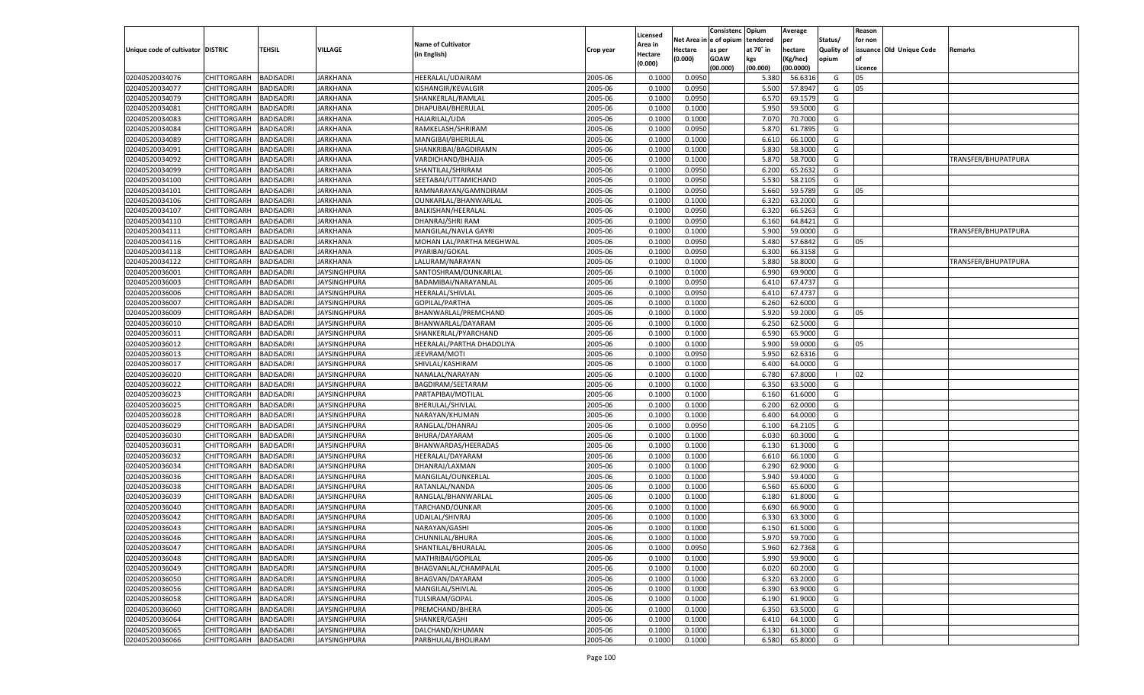|                                   |                       |                  |                     |                                         |           | Licensed |                        | Consistenc  | Opium          | Average            |                   | Reason        |                          |                     |
|-----------------------------------|-----------------------|------------------|---------------------|-----------------------------------------|-----------|----------|------------------------|-------------|----------------|--------------------|-------------------|---------------|--------------------------|---------------------|
|                                   |                       |                  |                     | <b>Name of Cultivator</b>               |           | Area in  | Net Area in e of opium |             | tendered       | per                | Status/           | for non       |                          |                     |
| Unique code of cultivator DISTRIC |                       | <b>TEHSIL</b>    | <b>VILLAGE</b>      | (in English)                            | Crop year | Hectare  | <b>Hectare</b>         | as per      | at 70° in      | hectare            | <b>Quality of</b> |               | issuance Old Unique Code | Remarks             |
|                                   |                       |                  |                     |                                         |           | (0.000)  | (0.000)                | <b>GOAW</b> | kgs            | (Kg/hec)           | opium             |               |                          |                     |
| 02040520034076                    | CHITTORGARH           | <b>BADISADRI</b> | <b>JARKHANA</b>     | HEERALAL/UDAIRAM                        | 2005-06   | 0.1000   | 0.0950                 | (00.000)    | (00.000)       | (00.0000)          | G                 | Licence<br>05 |                          |                     |
| 02040520034077                    | CHITTORGARH           | <b>BADISADRI</b> | <b>JARKHANA</b>     |                                         | 2005-06   | 0.1000   |                        |             | 5.380<br>5.500 | 56.6316            | G                 | 05            |                          |                     |
| 02040520034079                    | <b>CHITTORGARH</b>    | <b>BADISADRI</b> | <b>JARKHANA</b>     | KISHANGIR/KEVALGIR<br>SHANKERLAL/RAMLAL | 2005-06   | 0.1000   | 0.0950<br>0.0950       |             | 6.570          | 57.8947<br>69.1579 | G                 |               |                          |                     |
| 02040520034081                    | CHITTORGARH           |                  | <b>JARKHANA</b>     |                                         | 2005-06   | 0.1000   |                        |             | 5.950          | 59.5000            | G                 |               |                          |                     |
|                                   |                       | <b>BADISADRI</b> |                     | DHAPUBAI/BHERULAL                       |           |          | 0.1000                 |             |                |                    |                   |               |                          |                     |
| 02040520034083                    | <b>CHITTORGARH</b>    | <b>BADISADRI</b> | <b>JARKHANA</b>     | HAJARILAL/UDA                           | 2005-06   | 0.1000   | 0.1000                 |             | 7.070          | 70.7000            | G                 |               |                          |                     |
| 02040520034084                    | CHITTORGARH           | <b>BADISADRI</b> | <b>JARKHANA</b>     | RAMKELASH/SHRIRAM                       | 2005-06   | 0.1000   | 0.0950                 |             | 5.870          | 61.7895            | G                 |               |                          |                     |
| 02040520034089                    | <b>CHITTORGARH</b>    | <b>BADISADRI</b> | <b>JARKHANA</b>     | MANGIBAI/BHERULAL                       | 2005-06   | 0.1000   | 0.1000                 |             | 6.610          | 66.1000            | G                 |               |                          |                     |
| 02040520034091                    | CHITTORGARH           | <b>BADISADRI</b> | <b>JARKHANA</b>     | SHANKRIBAI/BAGDIRAMN                    | 2005-06   | 0.1000   | 0.1000                 |             | 5.830          | 58.3000            | G                 |               |                          |                     |
| 02040520034092                    | <b>CHITTORGARH</b>    | <b>BADISADRI</b> | <b>JARKHANA</b>     | VARDICHAND/BHAJJA                       | 2005-06   | 0.1000   | 0.1000                 |             | 5.870          | 58.7000            | G                 |               |                          | TRANSFER/BHUPATPURA |
| 02040520034099                    | CHITTORGARH           | <b>BADISADRI</b> | <b>JARKHANA</b>     | SHANTILAL/SHRIRAM                       | 2005-06   | 0.1000   | 0.0950                 |             | 6.200          | 65.2632            | G                 |               |                          |                     |
| 02040520034100                    | <b>CHITTORGARH</b>    | <b>BADISADRI</b> | <b>JARKHANA</b>     | SEETABAI/UTTAMICHAND                    | 2005-06   | 0.1000   | 0.0950                 |             | 5.530          | 58.2105            | G                 |               |                          |                     |
| 02040520034101                    | CHITTORGARH           | <b>BADISADRI</b> | <b>JARKHANA</b>     | RAMNARAYAN/GAMNDIRAM                    | 2005-06   | 0.1000   | 0.0950                 |             | 5.660          | 59.5789            | G                 | 05            |                          |                     |
| 02040520034106                    | <b>CHITTORGARH</b>    | <b>BADISADRI</b> | <b>JARKHANA</b>     | OUNKARLAL/BHANWARLAL                    | 2005-06   | 0.1000   | 0.1000                 |             | 6.320          | 63.2000            | G                 |               |                          |                     |
| 02040520034107                    | CHITTORGARH           | <b>BADISADRI</b> | <b>JARKHANA</b>     | BALKISHAN/HEERALAL                      | 2005-06   | 0.1000   | 0.0950                 |             | 6.320          | 66.5263            | G                 |               |                          |                     |
| 02040520034110                    | <b>CHITTORGARH</b>    | <b>BADISADRI</b> | <b>JARKHANA</b>     | DHANRAJ/SHRI RAM                        | 2005-06   | 0.1000   | 0.0950                 |             | 6.160          | 64.8421            | G                 |               |                          |                     |
| 02040520034111                    | CHITTORGARH           | <b>BADISADRI</b> | <b>JARKHANA</b>     | MANGILAL/NAVLA GAYRI                    | 2005-06   | 0.1000   | 0.1000                 |             | 5.900          | 59.0000            | G                 |               |                          | TRANSFER/BHUPATPURA |
| 02040520034116                    | CHITTORGARH           | <b>BADISADRI</b> | <b>JARKHANA</b>     | MOHAN LAL/PARTHA MEGHWAL                | 2005-06   | 0.1000   | 0.0950                 |             | 5.480          | 57.6842            | G                 | 05            |                          |                     |
| 02040520034118                    | CHITTORGARH           | <b>BADISADRI</b> | <b>JARKHANA</b>     | PYARIBAI/GOKAL                          | 2005-06   | 0.1000   | 0.0950                 |             | 6.300          | 66.3158            | G                 |               |                          |                     |
| 02040520034122                    | <b>CHITTORGARH</b>    | <b>BADISADRI</b> | <b>JARKHANA</b>     | LALURAM/NARAYAN                         | 2005-06   | 0.1000   | 0.1000                 |             | 5.880          | 58.8000            | G                 |               |                          | TRANSFER/BHUPATPURA |
| 02040520036001                    | CHITTORGARH           | <b>BADISADRI</b> | <b>JAYSINGHPURA</b> | SANTOSHRAM/OUNKARLAL                    | 2005-06   | 0.1000   | 0.1000                 |             | 6.990          | 69.9000            | G                 |               |                          |                     |
| 02040520036003                    | CHITTORGARH           | <b>BADISADRI</b> | <b>JAYSINGHPURA</b> | BADAMIBAI/NARAYANLAL                    | 2005-06   | 0.1000   | 0.0950                 |             | 6.410          | 67.4737            | G                 |               |                          |                     |
| 02040520036006                    | CHITTORGARH           | <b>BADISADRI</b> | <b>JAYSINGHPURA</b> | HEERALAL/SHIVLAL                        | 2005-06   | 0.1000   | 0.0950                 |             | 6.410          | 67.4737            | G                 |               |                          |                     |
| 02040520036007                    | <b>CHITTORGARH</b>    | <b>BADISADRI</b> | <b>JAYSINGHPURA</b> | GOPILAL/PARTHA                          | 2005-06   | 0.1000   | 0.1000                 |             | 6.260          | 62.6000            | G                 |               |                          |                     |
| 02040520036009                    | CHITTORGARH           | <b>BADISADRI</b> | <b>JAYSINGHPURA</b> | BHANWARLAL/PREMCHAND                    | 2005-06   | 0.1000   | 0.1000                 |             | 5.920          | 59.2000            | G                 | 05            |                          |                     |
| 02040520036010                    | CHITTORGARH           | <b>BADISADRI</b> | <b>JAYSINGHPURA</b> | BHANWARLAL/DAYARAM                      | 2005-06   | 0.1000   | 0.1000                 |             | 6.250          | 62.5000            | G                 |               |                          |                     |
| 02040520036011                    | CHITTORGARH           | <b>BADISADRI</b> | <b>JAYSINGHPURA</b> | SHANKERLAL/PYARCHAND                    | 2005-06   | 0.1000   | 0.1000                 |             | 6.590          | 65.9000            | G                 |               |                          |                     |
| 02040520036012                    | <b>CHITTORGARH</b>    | <b>BADISADRI</b> | <b>JAYSINGHPURA</b> | HEERALAL/PARTHA DHADOLIYA               | 2005-06   | 0.1000   | 0.1000                 |             | 5.900          | 59.0000            | G                 | 05            |                          |                     |
| 02040520036013                    | CHITTORGARH           | <b>BADISADRI</b> | <b>JAYSINGHPURA</b> | JEEVRAM/MOTI                            | 2005-06   | 0.1000   | 0.0950                 |             | 5.950          | 62.6316            | G                 |               |                          |                     |
| 02040520036017                    | CHITTORGARH           | <b>BADISADRI</b> | <b>JAYSINGHPURA</b> | SHIVLAL/KASHIRAM                        | 2005-06   | 0.1000   | 0.1000                 |             | 6.400          | 64.0000            | G                 |               |                          |                     |
| 02040520036020                    | <b>CHITTORGARH</b>    | <b>BADISADRI</b> | <b>JAYSINGHPURA</b> | NANALAL/NARAYAN                         | 2005-06   | 0.1000   | 0.1000                 |             | 6.780          | 67.8000            | $\blacksquare$    | 02            |                          |                     |
| 02040520036022                    | <b>CHITTORGARH</b>    | <b>BADISADRI</b> | <b>JAYSINGHPURA</b> | <b>BAGDIRAM/SEETARAM</b>                | 2005-06   | 0.1000   | 0.1000                 |             | 6.350          | 63.5000            | G                 |               |                          |                     |
| 02040520036023                    | CHITTORGARH           | <b>BADISADRI</b> | <b>JAYSINGHPURA</b> | PARTAPIBAI/MOTILAL                      | 2005-06   | 0.1000   | 0.1000                 |             | 6.160          | 61.6000            | G                 |               |                          |                     |
| 02040520036025                    | <b>CHITTORGARH</b>    | <b>BADISADRI</b> | <b>JAYSINGHPURA</b> | BHERULAL/SHIVLAL                        | 2005-06   | 0.1000   | 0.1000                 |             | 6.200          | 62.0000            | G                 |               |                          |                     |
| 02040520036028                    | <b>CHITTORGARH</b>    | <b>BADISADRI</b> | <b>JAYSINGHPURA</b> | NARAYAN/KHUMAN                          | 2005-06   | 0.1000   | 0.1000                 |             | 6.400          | 64.0000            | G                 |               |                          |                     |
| 02040520036029                    | <b>CHITTORGARH</b>    | <b>BADISADRI</b> | <b>JAYSINGHPURA</b> | RANGLAL/DHANRAJ                         | 2005-06   | 0.1000   | 0.0950                 |             | 6.100          | 64.2105            | G                 |               |                          |                     |
| 02040520036030                    | CHITTORGARH           | <b>BADISADRI</b> | <b>JAYSINGHPURA</b> | BHURA/DAYARAM                           | 2005-06   | 0.1000   | 0.1000                 |             | 6.030          | 60.3000            | G                 |               |                          |                     |
| 02040520036031                    | <b>CHITTORGARH</b>    | <b>BADISADRI</b> | <b>JAYSINGHPURA</b> | BHANWARDAS/HEERADAS                     | 2005-06   | 0.1000   | 0.1000                 |             | 6.130          | 61.3000            | G                 |               |                          |                     |
| 02040520036032                    | <b>CHITTORGARH</b>    | <b>BADISADRI</b> | <b>JAYSINGHPURA</b> | HEERALAL/DAYARAM                        | 2005-06   | 0.1000   | 0.1000                 |             | 6.610          | 66.1000            | G                 |               |                          |                     |
| 02040520036034                    | <b>CHITTORGARH</b>    | <b>BADISADRI</b> | <b>JAYSINGHPURA</b> | DHANRAJ/LAXMAN                          | 2005-06   | 0.1000   | 0.1000                 |             | 6.290          | 62.9000            | G                 |               |                          |                     |
| 02040520036036                    | CHITTORGARH           | <b>BADISADRI</b> | <b>JAYSINGHPURA</b> | MANGILAL/OUNKERLAL                      | 2005-06   | 0.1000   | 0.1000                 |             | 5.940          | 59.4000            | G                 |               |                          |                     |
| 02040520036038                    | <b>CHITTORGARH</b>    | <b>BADISADRI</b> | <b>JAYSINGHPURA</b> | RATANLAL/NANDA                          | 2005-06   | 0.1000   | 0.1000                 |             | 6.560          | 65.6000            | G                 |               |                          |                     |
| 02040520036039                    | <b>CHITTORGARH</b>    | <b>BADISADRI</b> | <b>JAYSINGHPURA</b> | RANGLAL/BHANWARLAI                      | 2005-06   | 0.1000   | 0.1000                 |             | 6.180          | 61.8000            | G                 |               |                          |                     |
| 02040520036040                    | <b>CHITTORGARH</b>    | <b>BADISADRI</b> | <b>JAYSINGHPURA</b> | TARCHAND/OUNKAR                         | 2005-06   | 0.1000   | 0.1000                 |             | 6.690          | 66.9000            | G                 |               |                          |                     |
| 02040520036042                    | CHITTORGARH           | <b>BADISADRI</b> | <b>JAYSINGHPURA</b> | UDAILAL/SHIVRAJ                         | 2005-06   | 0.1000   | 0.1000                 |             | 6.330          | 63.3000            | G                 |               |                          |                     |
| 02040520036043                    | CHITTORGARH           | <b>BADISADRI</b> | <b>JAYSINGHPURA</b> | NARAYAN/GASHI                           | 2005-06   | 0.1000   | 0.1000                 |             | 6.150          | 61.5000            | G                 |               |                          |                     |
| 02040520036046                    | CHITTORGARH BADISADRI |                  | <b>JAYSINGHPURA</b> | CHUNNILAL/BHURA                         | 2005-06   | 0.1000   | 0.1000                 |             |                | 5.970 59.7000      | G                 |               |                          |                     |
| 02040520036047                    | <b>CHITTORGARH</b>    | <b>BADISADRI</b> | <b>JAYSINGHPURA</b> | SHANTILAL/BHURALAL                      | 2005-06   | 0.1000   | 0.0950                 |             | 5.960          | 62.7368            | G                 |               |                          |                     |
| 02040520036048                    | <b>CHITTORGARH</b>    | <b>BADISADRI</b> | <b>JAYSINGHPURA</b> | MATHRIBAI/GOPILAL                       | 2005-06   | 0.1000   | 0.1000                 |             | 5.990          | 59.9000            | G                 |               |                          |                     |
| 02040520036049                    | CHITTORGARH           | <b>BADISADRI</b> | <b>JAYSINGHPURA</b> | BHAGVANLAL/CHAMPALAL                    | 2005-06   | 0.1000   | 0.1000                 |             | 6.020          | 60.2000            | G                 |               |                          |                     |
| 02040520036050                    | <b>CHITTORGARH</b>    | <b>BADISADRI</b> | <b>JAYSINGHPURA</b> | BHAGVAN/DAYARAM                         | 2005-06   | 0.1000   | 0.1000                 |             | 6.320          | 63.2000            | G                 |               |                          |                     |
| 02040520036056                    | <b>CHITTORGARH</b>    | <b>BADISADRI</b> | <b>JAYSINGHPURA</b> | MANGILAL/SHIVLAL                        | 2005-06   | 0.1000   | 0.1000                 |             | 6.390          | 63.9000            | G                 |               |                          |                     |
| 02040520036058                    | <b>CHITTORGARH</b>    | <b>BADISADRI</b> | <b>JAYSINGHPURA</b> | <b>TULSIRAM/GOPAL</b>                   | 2005-06   | 0.1000   | 0.1000                 |             | 6.190          | 61.9000            | G                 |               |                          |                     |
| 02040520036060                    | CHITTORGARH           | <b>BADISADRI</b> | <b>JAYSINGHPURA</b> | PREMCHAND/BHERA                         | 2005-06   | 0.1000   | 0.1000                 |             | 6.350          | 63.5000            | G                 |               |                          |                     |
| 02040520036064                    | <b>CHITTORGARH</b>    | <b>BADISADRI</b> | <b>JAYSINGHPURA</b> | SHANKER/GASHI                           | 2005-06   | 0.1000   | 0.1000                 |             | 6.410          | 64.1000            | G                 |               |                          |                     |
| 02040520036065                    | <b>CHITTORGARH</b>    | <b>BADISADRI</b> | <b>JAYSINGHPURA</b> | DALCHAND/KHUMAN                         | 2005-06   | 0.1000   | 0.1000                 |             | 6.130          | 61.3000            | G                 |               |                          |                     |
|                                   |                       |                  |                     |                                         |           |          |                        |             |                |                    | G                 |               |                          |                     |
| 02040520036066                    | <b>CHITTORGARH</b>    | <b>BADISADRI</b> | <b>JAYSINGHPURA</b> | PARBHULAL/BHOLIRAM                      | 2005-06   | 0.1000   | 0.1000                 |             | 6.580          | 65.8000            |                   |               |                          |                     |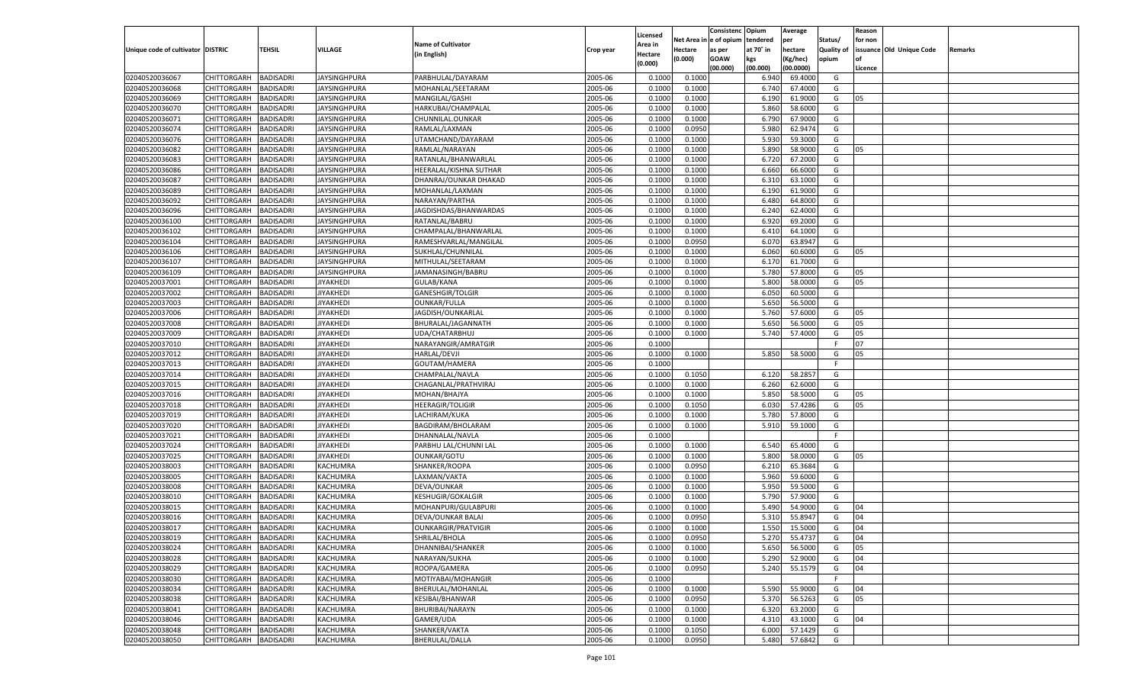|                                   |                    |                  |                     |                            |           |          |         | Consistenc Opium       |           | Average   |                   | Reason  |                          |                |
|-----------------------------------|--------------------|------------------|---------------------|----------------------------|-----------|----------|---------|------------------------|-----------|-----------|-------------------|---------|--------------------------|----------------|
|                                   |                    |                  |                     | <b>Name of Cultivator</b>  |           | Licensed |         | Net Area in e of opium | tendered  | per       | Status/           | for non |                          |                |
| Unique code of cultivator DISTRIC |                    | TEHSIL           | VILLAGE             |                            | Crop year | Area in  | Hectare | as per                 | at 70° in | hectare   | <b>Quality of</b> |         | issuance Old Unique Code | <b>Remarks</b> |
|                                   |                    |                  |                     | (in English)               |           | Hectare  | (0.000) | <b>GOAW</b>            | kgs       | (Kg/hec)  | opium             |         |                          |                |
|                                   |                    |                  |                     |                            |           | (0.000)  |         | (00.000)               | (00.000)  | (00.0000) |                   | Licence |                          |                |
| 02040520036067                    | CHITTORGARH        | <b>BADISADRI</b> | <b>JAYSINGHPURA</b> | PARBHULAL/DAYARAM          | 2005-06   | 0.1000   | 0.1000  |                        | 6.940     | 69.4000   | G                 |         |                          |                |
| 02040520036068                    | CHITTORGARH        | <b>BADISADRI</b> | <b>JAYSINGHPURA</b> | MOHANLAL/SEETARAM          | 2005-06   | 0.1000   | 0.1000  |                        | 6.740     | 67.4000   | G                 |         |                          |                |
| 02040520036069                    | CHITTORGARH        | <b>BADISADRI</b> | JAYSINGHPURA        | MANGILAL/GASHI             | 2005-06   | 0.1000   | 0.1000  |                        | 6.190     | 61.9000   | G                 | 05      |                          |                |
| 02040520036070                    | CHITTORGARH        | <b>BADISADRI</b> | JAYSINGHPURA        | HARKUBAI/CHAMPALAL         | 2005-06   | 0.1000   | 0.1000  |                        | 5.860     | 58.6000   | G                 |         |                          |                |
| 02040520036071                    | CHITTORGARH        | <b>BADISADRI</b> | JAYSINGHPURA        | CHUNNILAL.OUNKAR           | 2005-06   | 0.1000   | 0.1000  |                        | 6.790     | 67.9000   | G                 |         |                          |                |
| 02040520036074                    | CHITTORGARH        | <b>BADISADRI</b> | JAYSINGHPURA        | RAMLAL/LAXMAN              | 2005-06   | 0.1000   | 0.0950  |                        | 5.980     | 62.9474   | G                 |         |                          |                |
| 02040520036076                    | CHITTORGARH        | <b>BADISADRI</b> | JAYSINGHPURA        | UTAMCHAND/DAYARAM          | 2005-06   | 0.1000   | 0.1000  |                        | 5.930     | 59.3000   | G                 |         |                          |                |
| 02040520036082                    | CHITTORGARH        | <b>BADISADRI</b> | JAYSINGHPURA        | RAMLAL/NARAYAN             | 2005-06   | 0.1000   | 0.1000  |                        | 5.890     | 58.9000   | G                 | 05      |                          |                |
| 02040520036083                    | CHITTORGARH        | <b>BADISADRI</b> | JAYSINGHPURA        | RATANLAL/BHANWARLAL        | 2005-06   | 0.1000   | 0.1000  |                        | 6.720     | 67.2000   | G                 |         |                          |                |
| 02040520036086                    | CHITTORGARH        | <b>BADISADRI</b> |                     | HEERALAL/KISHNA SUTHAR     | 2005-06   | 0.1000   | 0.1000  |                        | 6.660     | 66.6000   | G                 |         |                          |                |
|                                   |                    | <b>BADISADRI</b> | JAYSINGHPURA        |                            | 2005-06   |          |         |                        |           |           | G                 |         |                          |                |
| 02040520036087                    | CHITTORGARH        |                  | JAYSINGHPURA        | DHANRAJ/OUNKAR DHAKAD      |           | 0.1000   | 0.1000  |                        | 6.310     | 63.1000   |                   |         |                          |                |
| 02040520036089                    | CHITTORGARH        | <b>BADISADRI</b> | JAYSINGHPURA        | MOHANLAL/LAXMAN            | 2005-06   | 0.1000   | 0.1000  |                        | 6.190     | 61.9000   | G                 |         |                          |                |
| 02040520036092                    | CHITTORGARH        | BADISADRI        | JAYSINGHPURA        | NARAYAN/PARTHA             | 2005-06   | 0.1000   | 0.1000  |                        | 6.480     | 64.8000   | G                 |         |                          |                |
| 02040520036096                    | CHITTORGARH        | BADISADRI        | JAYSINGHPURA        | JAGDISHDAS/BHANWARDAS      | 2005-06   | 0.100    | 0.1000  |                        | 6.240     | 62.4000   | G                 |         |                          |                |
| 02040520036100                    | CHITTORGARH        | BADISADRI        | JAYSINGHPURA        | RATANLAL/BABRU             | 2005-06   | 0.1000   | 0.1000  |                        | 6.920     | 69.2000   | G                 |         |                          |                |
| 02040520036102                    | CHITTORGARH        | BADISADRI        | JAYSINGHPURA        | CHAMPALAL/BHANWARLAL       | 2005-06   | 0.1000   | 0.1000  |                        | 6.410     | 64.1000   | G                 |         |                          |                |
| 02040520036104                    | CHITTORGARH        | BADISADRI        | JAYSINGHPURA        | RAMESHVARLAL/MANGILAL      | 2005-06   | 0.1000   | 0.0950  |                        | 6.070     | 63.8947   | G                 |         |                          |                |
| 02040520036106                    | CHITTORGARH        | BADISADRI        | JAYSINGHPURA        | SUKHLAL/CHUNNILAL          | 2005-06   | 0.1000   | 0.1000  |                        | 6.060     | 60.6000   | G                 | 05      |                          |                |
| 02040520036107                    | CHITTORGARH        | BADISADRI        | JAYSINGHPURA        | MITHULAL/SEETARAM          | 2005-06   | 0.1000   | 0.1000  |                        | 6.170     | 61.7000   | G                 |         |                          |                |
| 02040520036109                    | CHITTORGARH        | BADISADRI        | JAYSINGHPURA        | JAMANASINGH/BABRU          | 2005-06   | 0.1000   | 0.1000  |                        | 5.780     | 57.8000   | G                 | 05      |                          |                |
| 02040520037001                    | CHITTORGARH        | BADISADRI        | JIYAKHEDI           | GULAB/KANA                 | 2005-06   | 0.1000   | 0.1000  |                        | 5.800     | 58.0000   | G                 | 05      |                          |                |
| 02040520037002                    | CHITTORGARH        | BADISADRI        | JIYAKHEDI           | GANESHGIR/TOLGIR           | 2005-06   | 0.1000   | 0.1000  |                        | 6.050     | 60.5000   | G                 |         |                          |                |
| 02040520037003                    | CHITTORGARH        | BADISADRI        | JIYAKHEDI           | OUNKAR/FULLA               | 2005-06   | 0.1000   | 0.1000  |                        | 5.650     | 56.5000   | G                 |         |                          |                |
| 02040520037006                    | CHITTORGARH        | BADISADRI        | JIYAKHEDI           | JAGDISH/OUNKARLAL          | 2005-06   | 0.1000   | 0.1000  |                        | 5.760     | 57.6000   | G                 | 05      |                          |                |
| 02040520037008                    | CHITTORGARH        | BADISADRI        | JIYAKHEDI           | BHURALAL/JAGANNATH         | 2005-06   | 0.1000   | 0.1000  |                        | 5.650     | 56.5000   | G                 | 05      |                          |                |
| 02040520037009                    | CHITTORGARH        | BADISADRI        | JIYAKHEDI           | UDA/CHATARBHUJ             | 2005-06   | 0.1000   | 0.1000  |                        | 5.740     | 57.4000   | G                 | 05      |                          |                |
| 02040520037010                    | CHITTORGARH        | BADISADRI        | JIYAKHEDI           | NARAYANGIR/AMRATGIR        | 2005-06   | 0.1000   |         |                        |           |           | F.                | 07      |                          |                |
| 02040520037012                    | CHITTORGARH        | BADISADRI        | JIYAKHEDI           | <b>HARLAL/DEVJI</b>        | 2005-06   | 0.1000   | 0.1000  |                        | 5.850     | 58.5000   | G                 | 05      |                          |                |
| 02040520037013                    | CHITTORGARH        | <b>BADISADRI</b> | JIYAKHEDI           | GOUTAM/HAMERA              | 2005-06   | 0.1000   |         |                        |           |           | F                 |         |                          |                |
| 02040520037014                    | CHITTORGARH        | BADISADRI        | JIYAKHEDI           | CHAMPALAL/NAVLA            | 2005-06   | 0.1000   | 0.1050  |                        | 6.120     | 58.2857   | G                 |         |                          |                |
|                                   |                    |                  |                     |                            |           |          |         |                        |           |           |                   |         |                          |                |
| 02040520037015                    | CHITTORGARH        | BADISADRI        | JIYAKHEDI           | CHAGANLAL/PRATHVIRAJ       | 2005-06   | 0.1000   | 0.1000  |                        | 6.260     | 62.6000   | G                 |         |                          |                |
| 02040520037016                    | CHITTORGARH        | BADISADRI        | JIYAKHEDI           | MOHAN/BHAJYA               | 2005-06   | 0.1000   | 0.1000  |                        | 5.850     | 58.5000   | G                 | 05      |                          |                |
| 02040520037018                    | CHITTORGARH        | BADISADRI        | JIYAKHEDI           | <b>HEERAGIR/TOLIGIR</b>    | 2005-06   | 0.1000   | 0.1050  |                        | 6.030     | 57.4286   | G                 | 05      |                          |                |
| 02040520037019                    | CHITTORGARH        | BADISADRI        | JIYAKHEDI           | LACHIRAM/KUKA              | 2005-06   | 0.1000   | 0.1000  |                        | 5.780     | 57.8000   | G                 |         |                          |                |
| 02040520037020                    | CHITTORGARH        | BADISADRI        | JIYAKHEDI           | BAGDIRAM/BHOLARAM          | 2005-06   | 0.1000   | 0.1000  |                        | 5.910     | 59.1000   | G                 |         |                          |                |
| 02040520037021                    | CHITTORGARH        | BADISADRI        | JIYAKHEDI           | DHANNALAL/NAVLA            | 2005-06   | 0.1000   |         |                        |           |           | F.                |         |                          |                |
| 02040520037024                    | CHITTORGARH        | BADISADRI        | JIYAKHEDI           | PARBHU LAL/CHUNNI LAL      | 2005-06   | 0.1000   | 0.1000  |                        | 6.540     | 65.4000   | G                 |         |                          |                |
| 02040520037025                    | CHITTORGARH        | BADISADRI        | JIYAKHEDI           | <b>OUNKAR/GOTU</b>         | 2005-06   | 0.1000   | 0.1000  |                        | 5.800     | 58.0000   | G                 | 05      |                          |                |
| 02040520038003                    | CHITTORGARH        | BADISADRI        | KACHUMRA            | SHANKER/ROOPA              | 2005-06   | 0.1000   | 0.0950  |                        | 6.210     | 65.3684   | G                 |         |                          |                |
| 02040520038005                    | CHITTORGARH        | BADISADRI        | KACHUMRA            | LAXMAN/VAKTA               | 2005-06   | 0.1000   | 0.1000  |                        | 5.960     | 59.6000   | G                 |         |                          |                |
| 02040520038008                    | CHITTORGARH        | BADISADRI        | KACHUMRA            | DEVA/OUNKAR                | 2005-06   | 0.1000   | 0.1000  |                        | 5.950     | 59.5000   | G                 |         |                          |                |
| 02040520038010                    | CHITTORGARH        | BADISADRI        | KACHUMRA            | <b>KESHUGIR/GOKALGIR</b>   | 2005-06   | 0.1000   | 0.1000  |                        | 5.790     | 57.9000   | G                 |         |                          |                |
| 02040520038015                    | CHITTORGARH        | BADISADRI        | KACHUMRA            | MOHANPURI/GULABPURI        | 2005-06   | 0.1000   | 0.1000  |                        | 5.490     | 54.9000   | G                 | 04      |                          |                |
| 02040520038016                    | CHITTORGARH        | BADISADRI        | KACHUMRA            | DEVA/OUNKAR BALAI          | 2005-06   | 0.1000   | 0.0950  |                        | 5.310     | 55.8947   | G                 | 04      |                          |                |
| 02040520038017                    | CHITTORGARH        | BADISADRI        | KACHUMRA            | <b>OUNKARGIR/PRATVIGIR</b> | 2005-06   | 0.1000   | 0.1000  |                        | 1.550     | 15.5000   | G                 | 04      |                          |                |
| 02040520038019                    | CHITTORGARH        | <b>BADISADRI</b> | KACHUMRA            | SHRILAL/BHOLA              | 2005-06   | 0.1000   | 0.0950  |                        | 5.270     | 55.4737   | G                 | 04      |                          |                |
| 02040520038024                    | CHITTORGARH        | <b>BADISADRI</b> | KACHUMRA            | DHANNIBAI/SHANKER          | 2005-06   | 0.1000   | 0.1000  |                        | 5.650     | 56.5000   | G                 | 05      |                          |                |
| 02040520038028                    | <b>CHITTORGARH</b> | <b>BADISADRI</b> | KACHUMRA            | NARAYAN/SUKHA              | 2005-06   | 0.1000   | 0.1000  |                        | 5.290     | 52.9000   | G                 | 04      |                          |                |
| 02040520038029                    | <b>CHITTORGARH</b> | <b>BADISADRI</b> | KACHUMRA            | ROOPA/GAMERA               | 2005-06   | 0.1000   | 0.0950  |                        | 5.240     | 55.1579   | G                 | 04      |                          |                |
| 02040520038030                    | <b>CHITTORGARH</b> | <b>BADISADRI</b> | KACHUMRA            | MOTIYABAI/MOHANGIR         | 2005-06   | 0.1000   |         |                        |           |           | F                 |         |                          |                |
| 02040520038034                    | <b>CHITTORGARH</b> | <b>BADISADRI</b> | KACHUMRA            | BHERULAL/MOHANLAL          | 2005-06   | 0.1000   | 0.1000  |                        | 5.590     | 55.9000   | G                 | 04      |                          |                |
| 02040520038038                    | <b>CHITTORGARH</b> | <b>BADISADRI</b> | KACHUMRA            | <b>KESIBAI/BHANWAR</b>     | 2005-06   | 0.1000   | 0.0950  |                        | 5.370     | 56.5263   | G                 | 05      |                          |                |
| 02040520038041                    | <b>CHITTORGARH</b> | <b>BADISADRI</b> | KACHUMRA            | BHURIBAI/NARAYN            | 2005-06   | 0.1000   | 0.1000  |                        | 6.320     | 63.2000   | G                 |         |                          |                |
| 02040520038046                    |                    |                  |                     |                            |           |          |         |                        |           |           |                   |         |                          |                |
|                                   | <b>CHITTORGARH</b> | <b>BADISADRI</b> | KACHUMRA            | GAMER/UDA                  | 2005-06   | 0.1000   | 0.1000  |                        | 4.310     | 43.1000   | G                 | 04      |                          |                |
| 02040520038048                    | <b>CHITTORGARH</b> | <b>BADISADRI</b> | KACHUMRA            | SHANKER/VAKTA              | 2005-06   | 0.1000   | 0.1050  |                        | 6.000     | 57.1429   | G                 |         |                          |                |
| 02040520038050                    | <b>CHITTORGARH</b> | <b>BADISADRI</b> | KACHUMRA            | BHERULAL/DALLA             | 2005-06   | 0.1000   | 0.0950  |                        | 5.480     | 57.6842   | G                 |         |                          |                |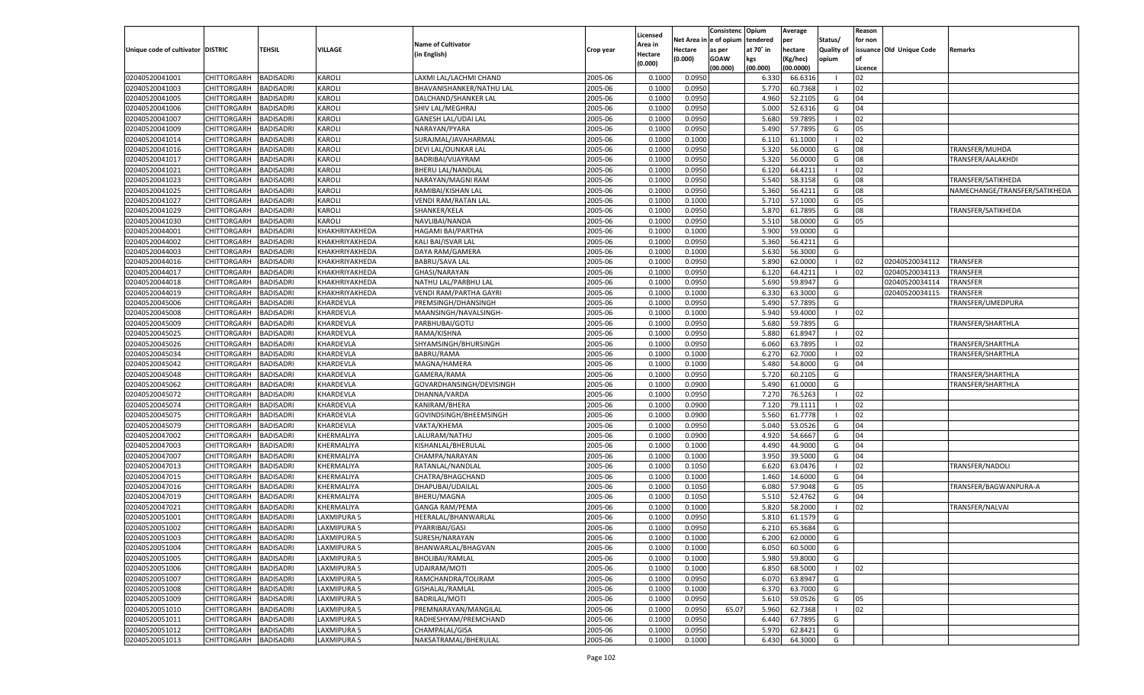|                                   |                       |                  |                    |                            |           | Licensed |            | Consistenc  | Opium     | Average   |                   | Reason  |                          |                               |
|-----------------------------------|-----------------------|------------------|--------------------|----------------------------|-----------|----------|------------|-------------|-----------|-----------|-------------------|---------|--------------------------|-------------------------------|
|                                   |                       |                  |                    | <b>Name of Cultivator</b>  |           | Area in  | Net Area i | e of opium  | tendered  | per       | Status/           | for non |                          |                               |
| Unique code of cultivator DISTRIC |                       | <b>TEHSIL</b>    | VILLAGE            | (in English)               | Crop year | Hectare  | Hectare    | as per      | at 70° in | hectare   | <b>Quality of</b> |         | issuance Old Unique Code | Remarks                       |
|                                   |                       |                  |                    |                            |           | (0.000)  | (0.000)    | <b>GOAW</b> | kgs       | Kg/hec)   | opium             |         |                          |                               |
|                                   |                       |                  |                    |                            |           |          |            | (00.000)    | (00.000)  | (00.0000) |                   | Licence |                          |                               |
| 02040520041001                    | CHITTORGARH           | <b>BADISADRI</b> | KAROLI             | LAXMI LAL/LACHMI CHAND     | 2005-06   | 0.1000   | 0.095      |             | 6.330     | 66.631    |                   | 02      |                          |                               |
| 02040520041003                    | CHITTORGARH           | <b>BADISADRI</b> | KAROLI             | BHAVANISHANKER/NATHU LAL   | 2005-06   | 0.1000   | 0.0950     |             | 5.770     | 60.7368   |                   | 02      |                          |                               |
| 02040520041005                    | CHITTORGARH           | <b>BADISADRI</b> | KAROLI             | DALCHAND/SHANKER LAL       | 2005-06   | 0.1000   | 0.0950     |             | 4.960     | 52.210    | G                 | 04      |                          |                               |
| 02040520041006                    | CHITTORGARH           | <b>BADISADRI</b> | KAROLI             | SHIV LAL/MEGHRAJ           | 2005-06   | 0.1000   | 0.0950     |             | 5.000     | 52.631    | G                 | 04      |                          |                               |
| 02040520041007                    | <b>CHITTORGARH</b>    | <b>BADISADRI</b> | KAROLI             | GANESH LAL/UDAI LAL        | 2005-06   | 0.1000   | 0.0950     |             | 5.680     | 59.789    |                   | 02      |                          |                               |
| 02040520041009                    | CHITTORGARH           | <b>BADISADRI</b> | KAROLI             | NARAYAN/PYARA              | 2005-06   | 0.1000   | 0.0950     |             | 5.490     | 57.789    | G                 | 05      |                          |                               |
| 02040520041014                    | <b>CHITTORGARH</b>    | <b>BADISADRI</b> | KAROLI             | SURAJMAL/JAVAHARMAL        | 2005-06   | 0.1000   | 0.1000     |             | 6.110     | 61.100    |                   | 02      |                          |                               |
| 02040520041016                    | CHITTORGARH           | <b>BADISADRI</b> | KAROLI             | DEVI LAL/OUNKAR LAI        | 2005-06   | 0.1000   | 0.0950     |             | 5.320     | 56.000    | G                 | 08      |                          | TRANSFER/MUHDA                |
| 02040520041017                    | <b>CHITTORGARH</b>    | <b>BADISADRI</b> | KAROLI             | BADRIBAI/VIJAYRAM          | 2005-06   | 0.1000   | 0.0950     |             | 5.320     | 56.000    | G                 | 08      |                          | TRANSFER/AALAKHDI             |
| 02040520041021                    | CHITTORGARH           | <b>BADISADRI</b> | KAROLI             | BHERU LAL/NANDLAL          | 2005-06   | 0.1000   | 0.0950     |             | 6.120     | 64.421    |                   | 02      |                          |                               |
| 02040520041023                    | <b>CHITTORGARH</b>    | <b>BADISADRI</b> | KAROLI             | NARAYAN/MAGNI RAM          | 2005-06   | 0.1000   | 0.0950     |             | 5.540     | 58.3158   | G                 | 08      |                          | TRANSFER/SATIKHEDA            |
| 02040520041025                    | CHITTORGARH           | <b>BADISADRI</b> | KAROLI             | RAMIBAI/KISHAN LAL         | 2005-06   | 0.1000   | 0.0950     |             | 5.360     | 56.421    | G                 | 08      |                          | NAMECHANGE/TRANSFER/SATIKHEDA |
| 02040520041027                    | <b>CHITTORGARH</b>    | <b>BADISADRI</b> | KAROLI             | <b>VENDI RAM/RATAN LAL</b> | 2005-06   | 0.1000   | 0.1000     |             | 5.710     | 57.100    | G                 | 05      |                          |                               |
| 02040520041029                    | CHITTORGARH           | <b>BADISADRI</b> | KAROLI             | SHANKER/KELA               | 2005-06   | 0.1000   | 0.0950     |             | 5.870     | 61.789    | G                 | 08      |                          | TRANSFER/SATIKHEDA            |
| 02040520041030                    | CHITTORGARH           | <b>BADISADRI</b> | KAROLI             | NAVLIBAI/NANDA             | 2005-06   | 0.1000   | 0.0950     |             | 5.510     | 58.000    | G                 | 05      |                          |                               |
| 02040520044001                    | CHITTORGARH           | <b>BADISADRI</b> | KHAKHRIYAKHEDA     | HAGAMI BAI/PARTHA          | 2005-06   | 0.1000   | 0.1000     |             | 5.900     | 59.000    | G                 |         |                          |                               |
| 02040520044002                    | CHITTORGARH           | <b>BADISADRI</b> | KHAKHRIYAKHEDA     | KALI BAI/ISVAR LAI         | 2005-06   | 0.1000   | 0.0950     |             | 5.360     | 56.421    | G                 |         |                          |                               |
| 02040520044003                    | CHITTORGARH           | <b>BADISADRI</b> | KHAKHRIYAKHEDA     | DAYA RAM/GAMERA            | 2005-06   | 0.1000   | 0.1000     |             | 5.630     | 56.300    | G                 |         |                          |                               |
| 02040520044016                    | CHITTORGARH           | <b>BADISADRI</b> | KHAKHRIYAKHEDA     | <b>BABRU/SAVA LAL</b>      | 2005-06   | 0.1000   | 0.0950     |             | 5.890     | 62.000    | $\blacksquare$    | 02      | 02040520034112           | <b>TRANSFER</b>               |
| 02040520044017                    | CHITTORGARH           | <b>BADISADRI</b> | KHAKHRIYAKHEDA     | GHASI/NARAYAN              | 2005-06   | 0.1000   | 0.0950     |             | 6.120     | 64.421    | - 1               | 02      | 02040520034113           | <b>TRANSFER</b>               |
| 02040520044018                    | CHITTORGARH           | <b>BADISADRI</b> | KHAKHRIYAKHEDA     | NATHU LAL/PARBHU LAL       | 2005-06   | 0.1000   | 0.0950     |             | 5.690     | 59.894    | G                 |         | 02040520034114           | <b>TRANSFER</b>               |
| 02040520044019                    | CHITTORGARH           | <b>BADISADRI</b> | KHAKHRIYAKHEDA     | VENDI RAM/PARTHA GAYRI     | 2005-06   | 0.1000   | 0.1000     |             | 6.330     | 63.300    | G                 |         | 02040520034115           | TRANSFER                      |
| 02040520045006                    | CHITTORGARH           | <b>BADISADRI</b> | KHARDEVLA          | PREMSINGH/DHANSINGH        | 2005-06   | 0.1000   | 0.0950     |             | 5.490     | 57.789    | G                 |         |                          | TRANSFER/UMEDPURA             |
| 02040520045008                    | CHITTORGARH           | <b>BADISADRI</b> | KHARDEVLA          | MAANSINGH/NAVALSINGH-      | 2005-06   | 0.1000   | 0.1000     |             | 5.940     | 59.400    | $\blacksquare$    | 02      |                          |                               |
| 02040520045009                    | CHITTORGARH           | <b>BADISADRI</b> | KHARDEVLA          | PARBHUBAI/GOTU             | 2005-06   | 0.1000   | 0.0950     |             | 5.680     | 59.789    | G                 |         |                          | TRANSFER/SHARTHLA             |
| 02040520045025                    | CHITTORGARH           | <b>BADISADRI</b> | KHARDEVLA          | RAMA/KISHNA                | 2005-06   | 0.1000   | 0.0950     |             | 5.880     | 61.894    |                   | 02      |                          |                               |
| 02040520045026                    | CHITTORGARH           | <b>BADISADRI</b> | KHARDEVLA          | SHYAMSINGH/BHURSINGH       | 2005-06   | 0.1000   | 0.0950     |             | 6.060     | 63.789    |                   | 02      |                          | TRANSFER/SHARTHLA             |
| 02040520045034                    | CHITTORGARH           | <b>BADISADRI</b> | KHARDEVLA          | BABRU/RAMA                 | 2005-06   | 0.1000   | 0.1000     |             | 6.270     | 62.700    |                   | 02      |                          | TRANSFER/SHARTHLA             |
| 02040520045042                    | CHITTORGARH           | <b>BADISADRI</b> | KHARDEVLA          | MAGNA/HAMERA               | 2005-06   | 0.1000   | 0.1000     |             | 5.480     | 54.800    | G                 | 04      |                          |                               |
| 02040520045048                    | CHITTORGARH           | <b>BADISADRI</b> | KHARDEVLA          | GAMERA/RAMA                | 2005-06   | 0.1000   | 0.0950     |             | 5.720     | 60.210    | G                 |         |                          | TRANSFER/SHARTHLA             |
| 02040520045062                    | <b>CHITTORGARH</b>    | <b>BADISADRI</b> | KHARDEVLA          | GOVARDHANSINGH/DEVISINGH   | 2005-06   | 0.1000   | 0.0900     |             | 5.490     | 61.000    | G                 |         |                          | TRANSFER/SHARTHLA             |
| 02040520045072                    | CHITTORGARH           | <b>BADISADRI</b> | KHARDEVLA          | DHANNA/VARDA               | 2005-06   | 0.1000   | 0.095      |             | 7.270     | 76.526    | - 1               | 02      |                          |                               |
| 02040520045074                    | <b>CHITTORGARH</b>    | <b>BADISADRI</b> | KHARDEVLA          | KANIRAM/BHERA              | 2005-06   | 0.1000   | 0.0900     |             | 7.120     | 79.111:   |                   | 02      |                          |                               |
| 02040520045075                    | <b>CHITTORGARH</b>    | <b>BADISADRI</b> | KHARDEVLA          | GOVINDSINGH/BHEEMSINGH     | 2005-06   | 0.1000   | 0.0900     |             | 5.560     | 61.7778   |                   | 02      |                          |                               |
| 02040520045079                    | <b>CHITTORGARH</b>    | <b>BADISADRI</b> | KHARDEVLA          | VAKTA/KHEMA                | 2005-06   | 0.1000   | 0.0950     |             | 5.040     | 53.0526   | G                 | 04      |                          |                               |
| 02040520047002                    | CHITTORGARH           | <b>BADISADRI</b> | KHERMALIYA         | LALURAM/NATHU              | 2005-06   | 0.1000   | 0.0900     |             | 4.920     | 54.666    | G                 | 04      |                          |                               |
| 02040520047003                    | <b>CHITTORGARH</b>    | <b>BADISADRI</b> | KHERMALIYA         | KISHANLAL/BHERULAL         | 2005-06   | 0.1000   | 0.1000     |             | 4.490     | 44.900    | G                 | 04      |                          |                               |
| 02040520047007                    | <b>CHITTORGARH</b>    | <b>BADISADRI</b> | KHERMALIYA         | CHAMPA/NARAYAN             | 2005-06   | 0.1000   | 0.1000     |             | 3.950     | 39.500    | G                 | 04      |                          |                               |
| 02040520047013                    | <b>CHITTORGARH</b>    | <b>BADISADRI</b> | KHERMALIYA         | RATANLAL/NANDLAL           | 2005-06   | 0.1000   | 0.1050     |             | 6.620     | 63.047    | - 1               | 02      |                          | <b>TRANSFER/NADOLI</b>        |
| 02040520047015                    | CHITTORGARH           | <b>BADISADRI</b> | KHERMALIYA         | CHATRA/BHAGCHAND           | 2005-06   | 0.1000   | 0.1000     |             | 1.460     | 14.600    | G                 | 04      |                          |                               |
| 02040520047016                    | <b>CHITTORGARH</b>    | <b>BADISADRI</b> | KHERMALIYA         | DHAPUBAI/UDAILAL           | 2005-06   | 0.1000   | 0.1050     |             | 6.080     | 57.9048   | G                 | 05      |                          | TRANSFER/BAGWANPURA-A         |
| 02040520047019                    | <b>CHITTORGARH</b>    | <b>BADISADRI</b> | KHERMALIYA         | BHERU/MAGNA                | 2005-06   | 0.1000   | 0.1050     |             | 5.510     | 52.476    | G                 | 04      |                          |                               |
| 02040520047021                    | <b>CHITTORGARH</b>    | <b>BADISADRI</b> | KHERMALIYA         | <b>GANGA RAM/PEMA</b>      | 2005-06   | 0.1000   | 0.1000     |             | 5.820     | 58.200    | - 1               | 02      |                          | TRANSFER/NALVAI               |
| 02040520051001                    | CHITTORGARH           | <b>BADISADRI</b> | LAXMIPURA 5        | HEERALAL/BHANWARLAL        | 2005-06   | 0.1000   | 0.0950     |             | 5.810     | 61.157    | G                 |         |                          |                               |
| 02040520051002                    | CHITTORGARH           | <b>BADISADRI</b> | LAXMIPURA 5        | PYARRIBAI/GASI             | 2005-06   | 0.1000   | 0.0950     |             | 6.210     | 65.3684   | G                 |         |                          |                               |
| 02040520051003                    | CHITTORGARH BADISADRI |                  | <b>LAXMIPURA 5</b> | SURESH/NARAYAN             | 2005-06   | 0.1000   | 0.1000     |             | 6.200     | 62.0000   | G                 |         |                          |                               |
| 02040520051004                    | CHITTORGARH           | <b>BADISADRI</b> | LAXMIPURA 5        | BHANWARLAL/BHAGVAN         | 2005-06   | 0.1000   | 0.1000     |             | 6.050     | 60.5000   | G                 |         |                          |                               |
| 02040520051005                    | CHITTORGARH           | <b>BADISADRI</b> | LAXMIPURA 5        | BHOLIBAI/RAMLAL            | 2005-06   | 0.1000   | 0.1000     |             | 5.980     | 59.8000   | G                 |         |                          |                               |
| 02040520051006                    | CHITTORGARH           | <b>BADISADRI</b> | LAXMIPURA 5        | UDAIRAM/MOTI               | 2005-06   | 0.1000   | 0.1000     |             | 6.850     | 68.5000   | - 1               | 02      |                          |                               |
| 02040520051007                    | <b>CHITTORGARH</b>    | <b>BADISADRI</b> | LAXMIPURA 5        | RAMCHANDRA/TOLIRAM         | 2005-06   | 0.1000   | 0.0950     |             | 6.070     | 63.8947   | G                 |         |                          |                               |
| 02040520051008                    | <b>CHITTORGARH</b>    | <b>BADISADRI</b> | LAXMIPURA 5        | GISHALAL/RAMLAL            | 2005-06   | 0.1000   | 0.1000     |             | 6.370     | 63.7000   | G                 |         |                          |                               |
| 02040520051009                    | <b>CHITTORGARH</b>    | <b>BADISADRI</b> | LAXMIPURA 5        | BADRILAL/MOTI              | 2005-06   | 0.1000   | 0.0950     |             | 5.610     | 59.0526   | G                 | 05      |                          |                               |
| 02040520051010                    | CHITTORGARH           | <b>BADISADRI</b> | LAXMIPURA 5        | PREMNARAYAN/MANGILAL       | 2005-06   | 0.1000   | 0.0950     | 65.07       | 5.960     | 62.7368   | - 1               | 02      |                          |                               |
| 02040520051011                    | CHITTORGARH           | <b>BADISADRI</b> | LAXMIPURA 5        | RADHESHYAM/PREMCHAND       | 2005-06   | 0.1000   | 0.0950     |             | 6.440     | 67.7895   | G                 |         |                          |                               |
| 02040520051012                    | <b>CHITTORGARH</b>    | <b>BADISADRI</b> | LAXMIPURA 5        | CHAMPALAL/GISA             | 2005-06   | 0.1000   | 0.0950     |             | 5.970     | 62.8421   | G                 |         |                          |                               |
| 02040520051013                    | CHITTORGARH           | <b>BADISADRI</b> | LAXMIPURA 5        | NAKSATRAMAL/BHERULAL       | 2005-06   | 0.1000   | 0.1000     |             | 6.430     | 64.3000   | G                 |         |                          |                               |
|                                   |                       |                  |                    |                            |           |          |            |             |           |           |                   |         |                          |                               |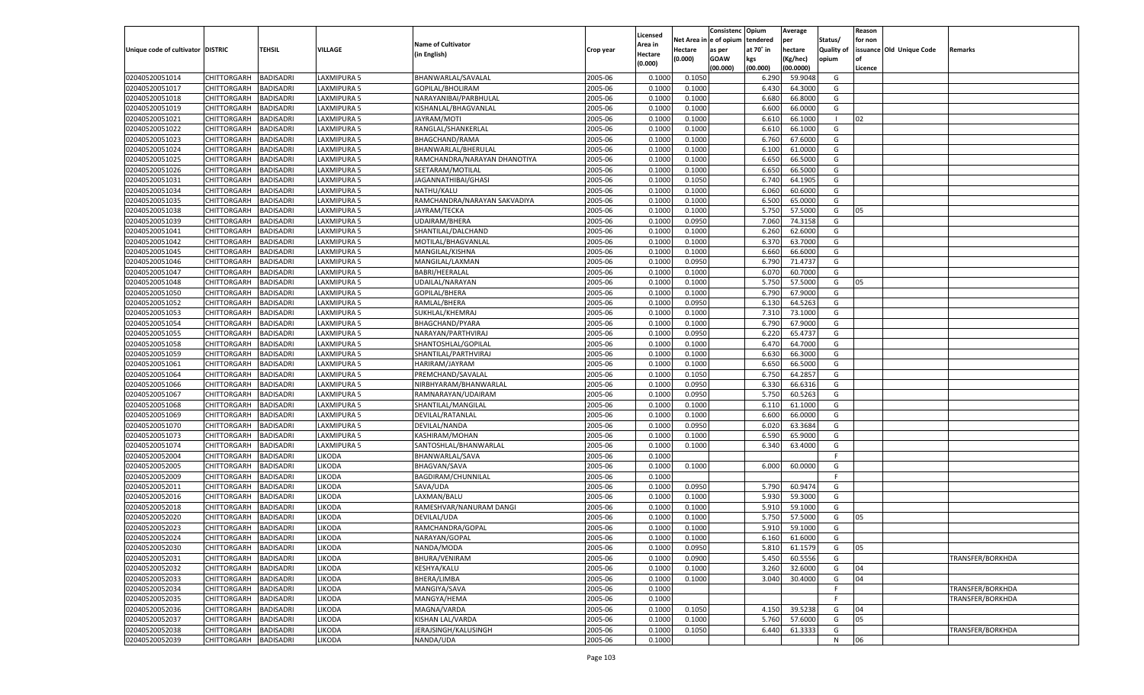|                                   |                       |                  |                |                              |           |          |             | Consistenc    | Opium     | Average   |                   | Reason  |                          |                  |
|-----------------------------------|-----------------------|------------------|----------------|------------------------------|-----------|----------|-------------|---------------|-----------|-----------|-------------------|---------|--------------------------|------------------|
|                                   |                       |                  |                |                              |           | Licensed | Net Area iı | n  e of opium | tendered  | per       | Status/           | for non |                          |                  |
| Unique code of cultivator DISTRIC |                       | TEHSIL           | <b>VILLAGE</b> | <b>Name of Cultivator</b>    | Crop year | Area in  | Hectare     | as per        | at 70° in | hectare   | <b>Quality of</b> |         | issuance Old Unique Code | Remarks          |
|                                   |                       |                  |                | (in English)                 |           | Hectare  | (0.000)     | <b>GOAW</b>   | kgs       | (Kg/hec)  | opium             |         |                          |                  |
|                                   |                       |                  |                |                              |           | (0.000)  |             | (00.000)      | (00.000)  | (00.0000) |                   | Licence |                          |                  |
| 02040520051014                    | CHITTORGARH           | <b>BADISADRI</b> | LAXMIPURA 5    | BHANWARLAL/SAVALAL           | 2005-06   | 0.1000   | 0.1050      |               | 6.290     | 59.9048   | G                 |         |                          |                  |
| 02040520051017                    | CHITTORGARH           | BADISADRI        | LAXMIPURA 5    | GOPILAL/BHOLIRAM             | 2005-06   | 0.1000   | 0.1000      |               | 6.430     | 64.3000   | G                 |         |                          |                  |
| 02040520051018                    | CHITTORGARH           | BADISADRI        | LAXMIPURA 5    | NARAYANIBAI/PARBHULAL        | 2005-06   | 0.1000   | 0.1000      |               | 6.680     | 66.8000   | G                 |         |                          |                  |
| 02040520051019                    | CHITTORGARH           | BADISADRI        | LAXMIPURA 5    | KISHANLAL/BHAGVANLAL         | 2005-06   | 0.1000   | 0.1000      |               | 6.600     | 66.0000   | G                 |         |                          |                  |
| 02040520051021                    | CHITTORGARH           | BADISADRI        | AXMIPURA 5     | JAYRAM/MOTI                  | 2005-06   | 0.1000   | 0.1000      |               | 6.610     | 66.1000   | - 1               | 02      |                          |                  |
| 02040520051022                    | CHITTORGARH           | BADISADRI        | LAXMIPURA 5    | RANGLAL/SHANKERLAL           | 2005-06   | 0.1000   | 0.1000      |               | 6.610     | 66.1000   | G                 |         |                          |                  |
| 02040520051023                    | CHITTORGARH           | BADISADRI        | LAXMIPURA 5    | BHAGCHAND/RAMA               | 2005-06   | 0.1000   | 0.1000      |               | 6.760     | 67.6000   | G                 |         |                          |                  |
| 02040520051024                    | CHITTORGARH           | BADISADRI        | LAXMIPURA 5    | BHANWARLAL/BHERULAL          | 2005-06   | 0.1000   | 0.1000      |               | 6.100     | 61.0000   | G                 |         |                          |                  |
| 02040520051025                    | CHITTORGARH           | BADISADRI        | AXMIPURA 5     | RAMCHANDRA/NARAYAN DHANOTIYA | 2005-06   | 0.1000   | 0.1000      |               | 6.650     | 66.5000   | G                 |         |                          |                  |
| 02040520051026                    | CHITTORGARH           |                  |                |                              | 2005-06   |          |             |               |           |           | G                 |         |                          |                  |
|                                   |                       | BADISADRI        | LAXMIPURA 5    | SEETARAM/MOTILAL             |           | 0.1000   | 0.1000      |               | 6.650     | 66.5000   |                   |         |                          |                  |
| 02040520051031                    | CHITTORGARH           | BADISADRI        | LAXMIPURA 5    | JAGANNATHIBAI/GHASI          | 2005-06   | 0.1000   | 0.1050      |               | 6.740     | 64.1905   | G                 |         |                          |                  |
| 02040520051034                    | CHITTORGARH           | BADISADRI        | LAXMIPURA 5    | NATHU/KALU                   | 2005-06   | 0.1000   | 0.1000      |               | 6.060     | 60.6000   | G                 |         |                          |                  |
| 02040520051035                    | CHITTORGARH           | BADISADRI        | AXMIPURA 5     | RAMCHANDRA/NARAYAN SAKVADIYA | 2005-06   | 0.1000   | 0.1000      |               | 6.500     | 65.0000   | G                 |         |                          |                  |
| 02040520051038                    | CHITTORGARH           | BADISADRI        | LAXMIPURA 5    | JAYRAM/TECKA                 | 2005-06   | 0.1000   | 0.1000      |               | 5.750     | 57.5000   | G                 | 05      |                          |                  |
| 02040520051039                    | CHITTORGARH           | <b>BADISADRI</b> | LAXMIPURA 5    | UDAIRAM/BHERA                | 2005-06   | 0.1000   | 0.0950      |               | 7.060     | 74.3158   | G                 |         |                          |                  |
| 02040520051041                    | CHITTORGARH           | BADISADRI        | LAXMIPURA 5    | SHANTILAL/DALCHAND           | 2005-06   | 0.1000   | 0.1000      |               | 6.260     | 62.6000   | G                 |         |                          |                  |
| 02040520051042                    | CHITTORGARH           | <b>BADISADRI</b> | AXMIPURA 5     | MOTILAL/BHAGVANLAL           | 2005-06   | 0.1000   | 0.1000      |               | 6.370     | 63.7000   | G                 |         |                          |                  |
| 02040520051045                    | CHITTORGARH           | BADISADRI        | LAXMIPURA 5    | MANGILAL/KISHNA              | 2005-06   | 0.1000   | 0.1000      |               | 6.660     | 66.6000   | G                 |         |                          |                  |
| 02040520051046                    | CHITTORGARH           | <b>BADISADRI</b> | LAXMIPURA 5    | MANGILAL/LAXMAN              | 2005-06   | 0.1000   | 0.0950      |               | 6.790     | 71.4737   | G                 |         |                          |                  |
| 02040520051047                    | CHITTORGARH           | BADISADRI        | LAXMIPURA 5    | <b>BABRI/HEERALAL</b>        | 2005-06   | 0.1000   | 0.1000      |               | 6.070     | 60.7000   | G                 |         |                          |                  |
| 02040520051048                    | CHITTORGARH           | <b>BADISADRI</b> | AXMIPURA 5     | UDAILAL/NARAYAN              | 2005-06   | 0.1000   | 0.1000      |               | 5.750     | 57.5000   | G                 | 05      |                          |                  |
| 02040520051050                    | CHITTORGARH           | BADISADRI        | LAXMIPURA 5    | <b>GOPILAL/BHERA</b>         | 2005-06   | 0.1000   | 0.1000      |               | 6.790     | 67.9000   | G                 |         |                          |                  |
| 02040520051052                    | CHITTORGARH           | <b>BADISADRI</b> | LAXMIPURA 5    | RAMLAL/BHERA                 | 2005-06   | 0.1000   | 0.0950      |               | 6.130     | 64.5263   | G                 |         |                          |                  |
| 02040520051053                    | CHITTORGARH           | BADISADRI        | LAXMIPURA 5    | SUKHLAL/KHEMRAJ              | 2005-06   | 0.1000   | 0.1000      |               | 7.310     | 73.1000   | G                 |         |                          |                  |
| 02040520051054                    | CHITTORGARH           | <b>BADISADRI</b> | AXMIPURA 5     | BHAGCHAND/PYARA              | 2005-06   | 0.1000   | 0.1000      |               | 6.790     | 67.9000   | G                 |         |                          |                  |
| 02040520051055                    | CHITTORGARH           | BADISADRI        | LAXMIPURA 5    | NARAYAN/PARTHVIRAJ           | 2005-06   | 0.1000   | 0.0950      |               | 6.220     | 65.4737   | G                 |         |                          |                  |
| 02040520051058                    | CHITTORGARH           | <b>BADISADRI</b> | LAXMIPURA 5    | SHANTOSHLAL/GOPILAL          | 2005-06   | 0.1000   | 0.1000      |               | 6.470     | 64.7000   | G                 |         |                          |                  |
| 02040520051059                    | CHITTORGARH           | BADISADRI        | LAXMIPURA 5    | SHANTILAL/PARTHVIRAJ         | 2005-06   | 0.1000   | 0.1000      |               | 6.630     | 66.3000   | G                 |         |                          |                  |
| 02040520051061                    | CHITTORGARH           | <b>BADISADRI</b> | AXMIPURA 5     | HARIRAM/JAYRAM               | 2005-06   | 0.1000   | 0.1000      |               | 6.650     | 66.5000   | G                 |         |                          |                  |
| 02040520051064                    | CHITTORGARH           | <b>BADISADRI</b> | LAXMIPURA 5    | PREMCHAND/SAVALAL            | 2005-06   | 0.1000   | 0.1050      |               | 6.750     | 64.2857   | G                 |         |                          |                  |
| 02040520051066                    | CHITTORGARH           | <b>BADISADRI</b> | LAXMIPURA 5    | NIRBHYARAM/BHANWARLAI        | 2005-06   | 0.1000   | 0.0950      |               | 6.330     | 66.6316   | G                 |         |                          |                  |
|                                   |                       |                  | LAXMIPURA 5    |                              |           |          |             |               |           | 60.5263   |                   |         |                          |                  |
| 02040520051067                    | CHITTORGARH           | <b>BADISADRI</b> |                | RAMNARAYAN/UDAIRAM           | 2005-06   | 0.1000   | 0.0950      |               | 5.750     |           | G                 |         |                          |                  |
| 02040520051068                    | CHITTORGARH           | <b>BADISADRI</b> | LAXMIPURA 5    | SHANTILAL/MANGILAL           | 2005-06   | 0.1000   | 0.1000      |               | 6.110     | 61.1000   | G                 |         |                          |                  |
| 02040520051069                    | CHITTORGARH           | BADISADRI        | LAXMIPURA 5    | DEVILAL/RATANLAL             | 2005-06   | 0.1000   | 0.1000      |               | 6.600     | 66.0000   | G                 |         |                          |                  |
| 02040520051070                    | CHITTORGARH           | <b>BADISADRI</b> | LAXMIPURA 5    | DEVILAL/NANDA                | 2005-06   | 0.1000   | 0.0950      |               | 6.020     | 63.3684   | G                 |         |                          |                  |
| 02040520051073                    | CHITTORGARH           | <b>BADISADRI</b> | LAXMIPURA 5    | KASHIRAM/MOHAN               | 2005-06   | 0.1000   | 0.1000      |               | 6.590     | 65.9000   | G                 |         |                          |                  |
| 02040520051074                    | CHITTORGARH           | <b>BADISADRI</b> | LAXMIPURA 5    | SANTOSHLAL/BHANWARLAL        | 2005-06   | 0.1000   | 0.1000      |               | 6.340     | 63.4000   | G                 |         |                          |                  |
| 02040520052004                    | CHITTORGARH           | BADISADRI        | <b>IKODA</b>   | BHANWARLAL/SAVA              | 2005-06   | 0.1000   |             |               |           |           | F.                |         |                          |                  |
| 02040520052005                    | CHITTORGARH           | <b>BADISADRI</b> | <b>IKODA</b>   | <b>BHAGVAN/SAVA</b>          | 2005-06   | 0.1000   | 0.1000      |               | 6.000     | 60.0000   | G                 |         |                          |                  |
| 02040520052009                    | CHITTORGARH           | <b>BADISADRI</b> | <b>IKODA</b>   | BAGDIRAM/CHUNNILAL           | 2005-06   | 0.1000   |             |               |           |           | F                 |         |                          |                  |
| 02040520052011                    | CHITTORGARH           | <b>BADISADRI</b> | <b>IKODA</b>   | SAVA/UDA                     | 2005-06   | 0.1000   | 0.0950      |               | 5.790     | 60.9474   | G                 |         |                          |                  |
| 02040520052016                    | CHITTORGARH           | BADISADRI        | <b>IKODA</b>   | LAXMAN/BALU                  | 2005-06   | 0.1000   | 0.1000      |               | 5.930     | 59.3000   | G                 |         |                          |                  |
| 02040520052018                    | CHITTORGARH           | BADISADRI        | <b>IKODA</b>   | RAMESHVAR/NANURAM DANGI      | 2005-06   | 0.1000   | 0.1000      |               | 5.910     | 59.1000   | G                 |         |                          |                  |
| 02040520052020                    | CHITTORGARH           | BADISADRI        | <b>IKODA</b>   | DEVILAL/UDA                  | 2005-06   | 0.1000   | 0.1000      |               | 5.750     | 57.5000   | G                 | 05      |                          |                  |
| 02040520052023                    | CHITTORGARH           | <b>BADISADRI</b> | <b>IKODA</b>   | RAMCHANDRA/GOPAL             | 2005-06   | 0.1000   | 0.1000      |               | 5.910     | 59.1000   | G                 |         |                          |                  |
| 02040520052024                    | CHITTORGARH BADISADRI |                  | LIKODA         | NARAYAN/GOPAL                | 2005-06   | 0.1000   | 0.1000      |               | 6.160     | 61.6000   | G                 |         |                          |                  |
| 02040520052030                    | <b>CHITTORGARH</b>    | <b>BADISADRI</b> | LIKODA         | NANDA/MODA                   | 2005-06   | 0.1000   | 0.0950      |               | 5.810     | 61.1579   | G                 | 05      |                          |                  |
| 02040520052031                    | CHITTORGARH           | <b>BADISADRI</b> | <b>LIKODA</b>  | BHURA/VENIRAM                | 2005-06   | 0.1000   | 0.0900      |               | 5.450     | 60.5556   | G                 |         |                          | TRANSFER/BORKHDA |
| 02040520052032                    | CHITTORGARH           | <b>BADISADRI</b> | LIKODA         | KESHYA/KALU                  | 2005-06   | 0.1000   | 0.1000      |               | 3.260     | 32.6000   | G                 | 04      |                          |                  |
| 02040520052033                    | CHITTORGARH           | <b>BADISADRI</b> | <b>LIKODA</b>  | BHERA/LIMBA                  | 2005-06   | 0.1000   | 0.1000      |               | 3.040     | 30.4000   | G                 | 04      |                          |                  |
| 02040520052034                    | CHITTORGARH           | <b>BADISADRI</b> | <b>LIKODA</b>  | MANGIYA/SAVA                 | 2005-06   | 0.1000   |             |               |           |           | F                 |         |                          | TRANSFER/BORKHDA |
| 02040520052035                    | CHITTORGARH           | <b>BADISADRI</b> | <b>LIKODA</b>  | MANGYA/HEMA                  | 2005-06   | 0.1000   |             |               |           |           | F.                |         |                          | TRANSFER/BORKHDA |
| 02040520052036                    | CHITTORGARH           | <b>BADISADRI</b> | <b>LIKODA</b>  | MAGNA/VARDA                  | 2005-06   | 0.1000   | 0.1050      |               | 4.150     | 39.5238   | G                 | 04      |                          |                  |
| 02040520052037                    | CHITTORGARH           | <b>BADISADRI</b> | <b>LIKODA</b>  | KISHAN LAL/VARDA             | 2005-06   | 0.1000   | 0.1000      |               | 5.760     | 57.6000   | G                 | 05      |                          |                  |
| 02040520052038                    | CHITTORGARH           | <b>BADISADRI</b> | <b>LIKODA</b>  | JERAJSINGH/KALUSINGH         | 2005-06   | 0.1000   | 0.1050      |               | 6.440     | 61.3333   | G                 |         |                          | TRANSFER/BORKHDA |
| 02040520052039                    | CHITTORGARH           | <b>BADISADRI</b> | LIKODA         | NANDA/UDA                    | 2005-06   | 0.1000   |             |               |           |           | N                 | 06      |                          |                  |
|                                   |                       |                  |                |                              |           |          |             |               |           |           |                   |         |                          |                  |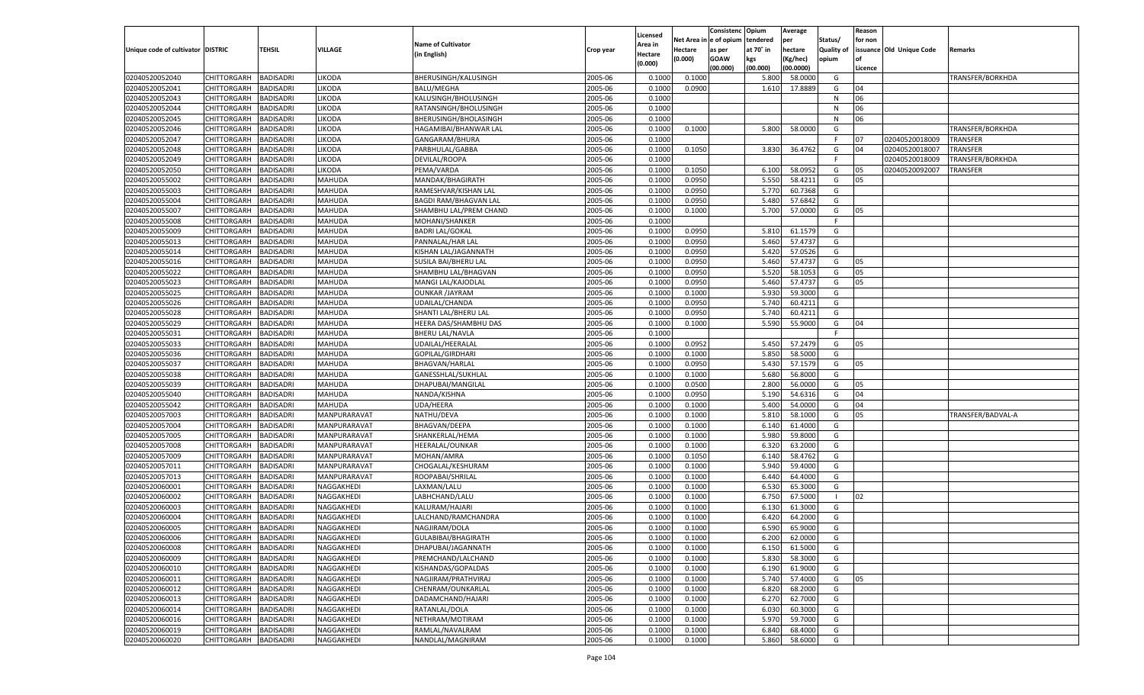|                                   |                    |                  |               |                              |           | Licensed |         | Consistenc Opium       |           | Average   |                   | Reason  |                          |                   |
|-----------------------------------|--------------------|------------------|---------------|------------------------------|-----------|----------|---------|------------------------|-----------|-----------|-------------------|---------|--------------------------|-------------------|
|                                   |                    |                  |               | <b>Name of Cultivator</b>    |           | Area in  |         | Net Area in e of opium | tendered  | per       | Status/           | for non |                          |                   |
| Unique code of cultivator DISTRIC |                    | TEHSIL           | VILLAGE       | (in English)                 | Crop year | Hectare  | Hectare | as per                 | at 70° in | hectare   | <b>Quality of</b> |         | issuance Old Unique Code | <b>Remarks</b>    |
|                                   |                    |                  |               |                              |           | (0.000)  | (0.000) | <b>GOAW</b>            | kgs       | (Kg/hec)  | opium             |         |                          |                   |
|                                   |                    |                  |               |                              |           |          |         | (00.000)               | (00.000)  | (00.0000) |                   | Licence |                          |                   |
| 02040520052040                    | CHITTORGARH        | <b>BADISADRI</b> | <b>LIKODA</b> | BHERUSINGH/KALUSINGH         | 2005-06   | 0.1000   | 0.1000  |                        | 5.800     | 58.0000   | G                 |         |                          | TRANSFER/BORKHDA  |
| 02040520052041                    | CHITTORGARH        | <b>BADISADRI</b> | <b>LIKODA</b> | <b>BALU/MEGHA</b>            | 2005-06   | 0.1000   | 0.0900  |                        | 1.610     | 17.8889   | G                 | 04      |                          |                   |
| 02040520052043                    | CHITTORGARH        | <b>BADISADRI</b> | <b>IKODA</b>  | KALUSINGH/BHOLUSINGH         | 2005-06   | 0.1000   |         |                        |           |           | N                 | 06      |                          |                   |
| 02040520052044                    | CHITTORGARH        | <b>BADISADRI</b> | <b>IKODA</b>  | RATANSINGH/BHOLUSINGH        | 2005-06   | 0.1000   |         |                        |           |           | N                 | 06      |                          |                   |
| 02040520052045                    | CHITTORGARH        | <b>BADISADRI</b> | <b>IKODA</b>  | BHERUSINGH/BHOLASINGH        | 2005-06   | 0.1000   |         |                        |           |           | N                 | 06      |                          |                   |
| 02040520052046                    | CHITTORGARH        | <b>BADISADRI</b> | <b>IKODA</b>  | HAGAMIBAI/BHANWAR LAL        | 2005-06   | 0.1000   | 0.1000  |                        | 5.800     | 58.0000   | G                 |         |                          | TRANSFER/BORKHDA  |
| 02040520052047                    | CHITTORGARH        | <b>BADISADRI</b> | <b>IKODA</b>  | GANGARAM/BHURA               | 2005-06   | 0.1000   |         |                        |           |           | F.                | 07      | 02040520018009           | TRANSFER          |
| 02040520052048                    | CHITTORGARH        | <b>BADISADRI</b> | <b>IKODA</b>  | PARBHULAL/GABBA              | 2005-06   | 0.1000   | 0.1050  |                        | 3.830     | 36.4762   | G                 | 04      | 02040520018007           | TRANSFER          |
| 02040520052049                    | CHITTORGARH        | <b>BADISADRI</b> | <b>IKODA</b>  | DEVILAL/ROOPA                | 2005-06   | 0.1000   |         |                        |           |           | F.                |         | 02040520018009           | TRANSFER/BORKHDA  |
| 02040520052050                    | CHITTORGARH        | <b>BADISADRI</b> | LIKODA        | PEMA/VARDA                   | 2005-06   | 0.1000   | 0.1050  |                        | 6.100     | 58.0952   | G                 | 05      | 02040520092007           | TRANSFER          |
| 02040520055002                    | CHITTORGARH        | <b>BADISADRI</b> | MAHUDA        | MANDAK/BHAGIRATH             | 2005-06   | 0.1000   | 0.0950  |                        | 5.550     | 58.4211   | G                 | 05      |                          |                   |
| 02040520055003                    | CHITTORGARH        | <b>BADISADRI</b> | MAHUDA        | RAMESHVAR/KISHAN LAL         | 2005-06   | 0.1000   | 0.0950  |                        | 5.770     | 60.7368   | G                 |         |                          |                   |
| 02040520055004                    | CHITTORGARH        | BADISADRI        | MAHUDA        | <b>BAGDI RAM/BHAGVAN LAL</b> | 2005-06   | 0.1000   | 0.0950  |                        | 5.480     | 57.6842   | G                 |         |                          |                   |
| 02040520055007                    | CHITTORGARH        | BADISADRI        | MAHUDA        | SHAMBHU LAL/PREM CHAND       | 2005-06   | 0.1000   | 0.1000  |                        | 5.700     | 57.0000   | G                 | 05      |                          |                   |
| 02040520055008                    | CHITTORGARH        | BADISADRI        | MAHUDA        | MOHANI/SHANKER               | 2005-06   | 0.1000   |         |                        |           |           | F.                |         |                          |                   |
| 02040520055009                    | CHITTORGARH        | BADISADRI        | MAHUDA        | <b>BADRI LAL/GOKAL</b>       | 2005-06   | 0.1000   | 0.0950  |                        | 5.810     | 61.1579   | G                 |         |                          |                   |
| 02040520055013                    | CHITTORGARH        | BADISADRI        | MAHUDA        | PANNALAL/HAR LAL             | 2005-06   | 0.1000   | 0.0950  |                        | 5.460     | 57.4737   | G                 |         |                          |                   |
| 02040520055014                    | CHITTORGARH        | BADISADRI        | MAHUDA        | KISHAN LAL/JAGANNATH         | 2005-06   | 0.1000   | 0.0950  |                        | 5.420     | 57.0526   | G                 |         |                          |                   |
| 02040520055016                    | CHITTORGARH        | BADISADRI        | MAHUDA        | <b>SUSILA BAI/BHERU LAL</b>  | 2005-06   | 0.1000   | 0.0950  |                        | 5.460     | 57.4737   | G                 | 05      |                          |                   |
| 02040520055022                    | CHITTORGARH        | BADISADRI        | MAHUDA        | SHAMBHU LAL/BHAGVAN          | 2005-06   | 0.1000   | 0.0950  |                        | 5.520     | 58.1053   | G                 | 05      |                          |                   |
| 02040520055023                    | CHITTORGARH        | BADISADRI        | MAHUDA        | MANGI LAL/KAJODLAL           | 2005-06   | 0.1000   | 0.0950  |                        | 5.460     | 57.4737   | G                 | 05      |                          |                   |
| 02040520055025                    | CHITTORGARH        | BADISADRI        | MAHUDA        | <b>OUNKAR /JAYRAM</b>        | 2005-06   | 0.1000   | 0.1000  |                        | 5.930     | 59.3000   | G                 |         |                          |                   |
| 02040520055026                    | CHITTORGARH        | BADISADRI        | MAHUDA        | UDAILAL/CHANDA               | 2005-06   | 0.1000   | 0.0950  |                        | 5.740     | 60.4211   | G                 |         |                          |                   |
| 02040520055028                    | CHITTORGARH        | BADISADRI        | MAHUDA        | SHANTI LAL/BHERU LAL         | 2005-06   | 0.1000   | 0.0950  |                        | 5.740     | 60.4211   | G                 |         |                          |                   |
| 02040520055029                    | CHITTORGARH        | BADISADRI        | MAHUDA        | HEERA DAS/SHAMBHU DAS        | 2005-06   | 0.1000   | 0.1000  |                        | 5.590     | 55.9000   | G                 | 04      |                          |                   |
| 02040520055031                    | CHITTORGARH        | BADISADRI        | MAHUDA        | <b>BHERU LAL/NAVLA</b>       | 2005-06   | 0.1000   |         |                        |           |           | -F                |         |                          |                   |
| 02040520055033                    | CHITTORGARH        | BADISADRI        | MAHUDA        | UDAILAL/HEERALAL             | 2005-06   | 0.1000   | 0.0952  |                        | 5.450     | 57.2479   | G                 | 05      |                          |                   |
| 02040520055036                    | CHITTORGARH        | BADISADRI        | MAHUDA        | GOPILAL/GIRDHARI             | 2005-06   | 0.1000   | 0.1000  |                        | 5.850     | 58.5000   | G                 |         |                          |                   |
| 02040520055037                    | CHITTORGARH        | <b>BADISADRI</b> | MAHUDA        | BHAGVAN/HARLAL               | 2005-06   | 0.1000   | 0.0950  |                        | 5.430     | 57.1579   | G                 | 05      |                          |                   |
| 02040520055038                    | CHITTORGARH        | BADISADRI        | MAHUDA        | GANESSHLAL/SUKHLAL           | 2005-06   | 0.1000   | 0.1000  |                        | 5.680     | 56.8000   | G                 |         |                          |                   |
| 02040520055039                    | CHITTORGARH        | BADISADRI        | MAHUDA        | DHAPUBAI/MANGILAL            | 2005-06   | 0.1000   | 0.0500  |                        | 2.800     | 56.0000   | G                 | 05      |                          |                   |
| 02040520055040                    | CHITTORGARH        | BADISADRI        | MAHUDA        | NANDA/KISHNA                 | 2005-06   | 0.1000   | 0.0950  |                        | 5.190     | 54.6316   | G                 | 04      |                          |                   |
| 02040520055042                    | CHITTORGARH        | BADISADRI        | MAHUDA        | UDA/HEERA                    | 2005-06   | 0.1000   | 0.1000  |                        | 5.400     | 54.0000   | G                 | 04      |                          |                   |
| 02040520057003                    | CHITTORGARH        | BADISADRI        | MANPURARAVAT  | NATHU/DEVA                   | 2005-06   | 0.1000   | 0.1000  |                        | 5.810     | 58.1000   | G                 | 05      |                          | TRANSFER/BADVAL-A |
| 02040520057004                    | CHITTORGARH        | BADISADRI        | MANPURARAVAT  | <b>BHAGVAN/DEEPA</b>         | 2005-06   | 0.1000   | 0.1000  |                        | 6.140     | 61.4000   | G                 |         |                          |                   |
| 02040520057005                    | CHITTORGARH        | BADISADRI        | MANPURARAVAT  | SHANKERLAL/HEMA              | 2005-06   | 0.1000   | 0.1000  |                        | 5.980     | 59.8000   | G                 |         |                          |                   |
| 02040520057008                    | CHITTORGARH        | BADISADRI        | MANPURARAVAT  | HEERALAL/OUNKAR              | 2005-06   | 0.1000   | 0.1000  |                        | 6.320     | 63.2000   | G                 |         |                          |                   |
| 02040520057009                    | CHITTORGARH        | BADISADRI        | MANPURARAVAT  | MOHAN/AMRA                   | 2005-06   | 0.1000   | 0.1050  |                        | 6.140     | 58.4762   | G                 |         |                          |                   |
| 02040520057011                    | CHITTORGARH        | BADISADRI        | MANPURARAVAT  | CHOGALAL/KESHURAM            | 2005-06   | 0.1000   | 0.1000  |                        | 5.940     | 59.4000   | G                 |         |                          |                   |
| 02040520057013                    | CHITTORGARH        | BADISADRI        | MANPURARAVAT  | ROOPABAI/SHRILAL             | 2005-06   | 0.1000   | 0.1000  |                        | 6.440     | 64.4000   | G                 |         |                          |                   |
| 02040520060001                    | CHITTORGARH        | BADISADRI        | NAGGAKHEDI    | LAXMAN/LALU                  | 2005-06   | 0.1000   | 0.1000  |                        | 6.530     | 65.3000   | G                 |         |                          |                   |
| 02040520060002                    | CHITTORGARH        | BADISADRI        | NAGGAKHEDI    | LABHCHAND/LALU               | 2005-06   | 0.1000   | 0.1000  |                        | 6.750     | 67.5000   | - 1               | 02      |                          |                   |
| 02040520060003                    | CHITTORGARH        | BADISADRI        | NAGGAKHEDI    | KALURAM/HAJARI               | 2005-06   | 0.1000   | 0.1000  |                        | 6.130     | 61.3000   | G                 |         |                          |                   |
| 02040520060004                    | CHITTORGARH        | BADISADRI        | NAGGAKHEDI    | LALCHAND/RAMCHANDRA          | 2005-06   | 0.1000   | 0.1000  |                        | 6.420     | 64.2000   | G                 |         |                          |                   |
| 02040520060005                    | CHITTORGARH        | BADISADRI        | NAGGAKHEDI    | NAGJIRAM/DOLA                | 2005-06   | 0.1000   | 0.1000  |                        | 6.590     | 65.9000   | G                 |         |                          |                   |
| 02040520060006                    | CHITTORGARH        | <b>BADISADRI</b> | NAGGAKHEDI    | GULABIBAI/BHAGIRATH          | 2005-06   | 0.1000   | 0.1000  |                        | 6.200     | 62.0000   | G                 |         |                          |                   |
| 02040520060008                    | <b>CHITTORGARH</b> | <b>BADISADRI</b> | NAGGAKHEDI    | DHAPUBAI/JAGANNATH           | 2005-06   | 0.1000   | 0.1000  |                        | 6.150     | 61.5000   | G                 |         |                          |                   |
| 02040520060009                    | <b>CHITTORGARH</b> | <b>BADISADRI</b> | NAGGAKHEDI    | PREMCHAND/LALCHAND           | 2005-06   | 0.1000   | 0.1000  |                        | 5.830     | 58.3000   | G                 |         |                          |                   |
| 02040520060010                    | <b>CHITTORGARH</b> | <b>BADISADRI</b> | NAGGAKHEDI    | KISHANDAS/GOPALDAS           | 2005-06   | 0.1000   | 0.1000  |                        | 6.190     | 61.9000   | G                 |         |                          |                   |
| 02040520060011                    | <b>CHITTORGARH</b> | <b>BADISADRI</b> | NAGGAKHEDI    | NAGJIRAM/PRATHVIRAJ          | 2005-06   | 0.1000   | 0.1000  |                        | 5.740     | 57.4000   | G                 | 05      |                          |                   |
| 02040520060012                    | <b>CHITTORGARH</b> | <b>BADISADRI</b> | NAGGAKHEDI    | CHENRAM/OUNKARLAL            | 2005-06   | 0.1000   | 0.1000  |                        | 6.820     | 68.2000   | G                 |         |                          |                   |
| 02040520060013                    | <b>CHITTORGARH</b> | <b>BADISADRI</b> | NAGGAKHEDI    | DADAMCHAND/HAJARI            | 2005-06   | 0.1000   | 0.1000  |                        | 6.270     | 62.7000   | G                 |         |                          |                   |
| 02040520060014                    |                    |                  |               | RATANLAL/DOLA                | 2005-06   |          | 0.1000  |                        |           | 60.3000   | G                 |         |                          |                   |
|                                   | <b>CHITTORGARH</b> | <b>BADISADRI</b> | NAGGAKHEDI    | NETHRAM/MOTIRAM              |           | 0.1000   |         |                        | 6.030     |           | G                 |         |                          |                   |
| 02040520060016                    | <b>CHITTORGARH</b> | <b>BADISADRI</b> | NAGGAKHEDI    | RAMLAL/NAVALRAM              | 2005-06   | 0.1000   | 0.1000  |                        | 5.970     | 59.7000   | G                 |         |                          |                   |
| 02040520060019                    | <b>CHITTORGARH</b> | <b>BADISADRI</b> | NAGGAKHEDI    |                              | 2005-06   | 0.1000   | 0.1000  |                        | 6.840     | 68.4000   |                   |         |                          |                   |
| 02040520060020                    | <b>CHITTORGARH</b> | <b>BADISADRI</b> | NAGGAKHEDI    | NANDLAL/MAGNIRAM             | 2005-06   | 0.1000   | 0.1000  |                        | 5.860     | 58.6000   | G                 |         |                          |                   |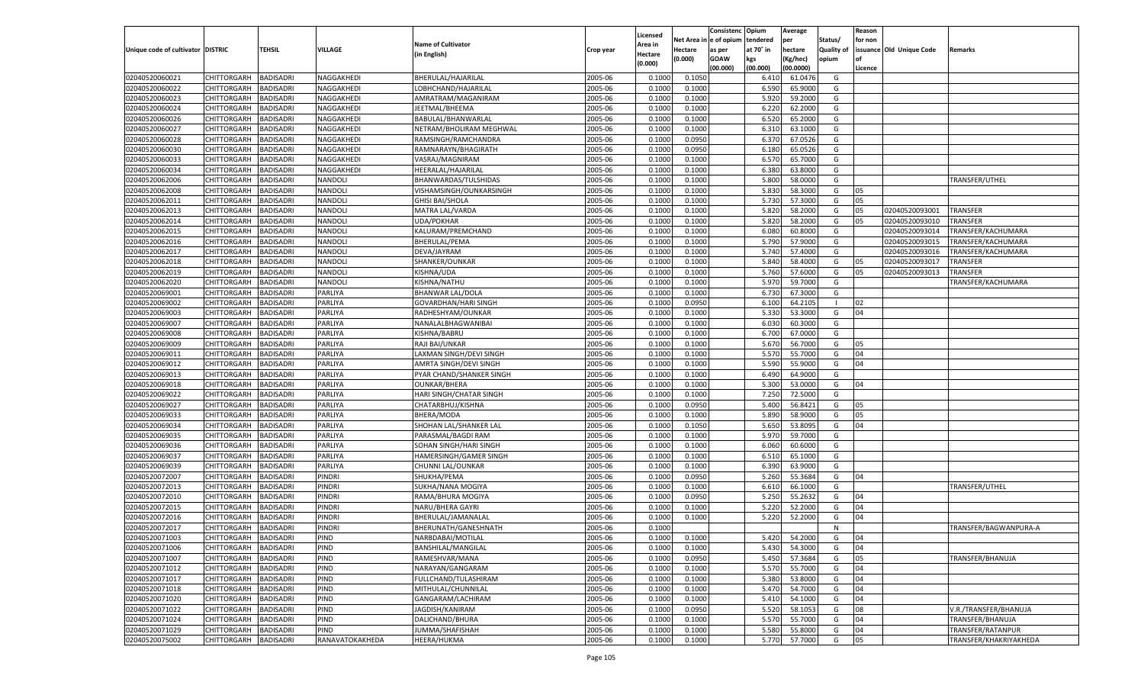|                                   |                       |                                      |                 |                           |           | Licensed         |                  | Consistenc  | Opium     | Average   |                   | Reason  |                          |                        |
|-----------------------------------|-----------------------|--------------------------------------|-----------------|---------------------------|-----------|------------------|------------------|-------------|-----------|-----------|-------------------|---------|--------------------------|------------------------|
|                                   |                       |                                      |                 | <b>Name of Cultivator</b> |           | Area in          | Net Area i       | e of opium  | tendered  | per       | Status/           | for non |                          |                        |
| Unique code of cultivator DISTRIC |                       | <b>TEHSIL</b>                        | VILLAGE         | (in English)              | Crop year | Hectare          | Hectare          | as per      | at 70° in | hectare   | <b>Quality of</b> |         | issuance Old Unique Code | Remarks                |
|                                   |                       |                                      |                 |                           |           | (0.000)          | (0.000)          | <b>GOAW</b> | kgs       | Kg/hec)   | opium             |         |                          |                        |
|                                   |                       |                                      |                 |                           |           |                  |                  | (00.000)    | (00.000)  | (00.0000) |                   | Licence |                          |                        |
| 02040520060021                    | CHITTORGARH           | <b>BADISADRI</b>                     | NAGGAKHEDI      | BHERULAL/HAJARILAL        | 2005-06   | 0.1000           | 0.105            |             | 6.410     | 61.0476   | G                 |         |                          |                        |
| 02040520060022                    | CHITTORGARH           | <b>BADISADRI</b>                     | NAGGAKHEDI      | LOBHCHAND/HAJARILAL       | 2005-06   | 0.1000           | 0.1000           |             | 6.590     | 65.900    | G                 |         |                          |                        |
| 02040520060023                    | <b>CHITTORGARH</b>    | <b>BADISADRI</b>                     | NAGGAKHEDI      | AMRATRAM/MAGANIRAM        | 2005-06   | 0.1000           | 0.1000           |             | 5.920     | 59.2000   | G                 |         |                          |                        |
| 02040520060024                    | CHITTORGARH           | <b>BADISADRI</b>                     | NAGGAKHEDI      | JEETMAL/BHEEMA            | 2005-06   | 0.1000           | 0.1000           |             | 6.220     | 62.200    | G                 |         |                          |                        |
| 02040520060026                    | <b>CHITTORGARH</b>    | <b>BADISADRI</b>                     | NAGGAKHEDI      | BABULAL/BHANWARLAL        | 2005-06   | 0.1000           | 0.1000           |             | 6.520     | 65.200    | G                 |         |                          |                        |
| 02040520060027                    | CHITTORGARH           | <b>BADISADRI</b>                     | NAGGAKHEDI      | NETRAM/BHOLIRAM MEGHWAL   | 2005-06   | 0.1000           | 0.1000           |             | 6.310     | 63.100    | G                 |         |                          |                        |
| 02040520060028                    | <b>CHITTORGARH</b>    | <b>BADISADRI</b>                     | NAGGAKHEDI      | RAMSINGH/RAMCHANDRA       | 2005-06   | 0.1000           | 0.0950           |             | 6.370     | 67.0526   | G                 |         |                          |                        |
| 02040520060030                    | CHITTORGARH           | <b>BADISADRI</b>                     | NAGGAKHEDI      | RAMNARAYN/BHAGIRATH       | 2005-06   | 0.1000           | 0.0950           |             | 6.180     | 65.0526   | G                 |         |                          |                        |
| 02040520060033                    | <b>CHITTORGARH</b>    | <b>BADISADRI</b>                     | NAGGAKHEDI      | VASRAJ/MAGNIRAM           | 2005-06   | 0.1000           | 0.1000           |             | 6.570     | 65.700    | G                 |         |                          |                        |
| 02040520060034                    | CHITTORGARH           | <b>BADISADRI</b>                     | NAGGAKHEDI      | HEERALAL/HAJARILAL        | 2005-06   | 0.1000           | 0.1000           |             | 6.380     | 63.800    | G                 |         |                          |                        |
| 02040520062006                    | <b>CHITTORGARH</b>    | <b>BADISADRI</b>                     | NANDOLI         | BHANWARDAS/TULSHIDAS      | 2005-06   | 0.1000           | 0.1000           |             | 5.800     | 58.000    | G                 |         |                          | TRANSFER/UTHEL         |
| 02040520062008                    | CHITTORGARH           | <b>BADISADRI</b>                     | NANDOLI         | VISHAMSINGH/OUNKARSINGH   | 2005-06   | 0.1000           | 0.1000           |             | 5.830     | 58.300    | G                 | 05      |                          |                        |
| 02040520062011                    | <b>CHITTORGARH</b>    | <b>BADISADRI</b>                     | NANDOLI         | <b>GHISI BAI/SHOLA</b>    | 2005-06   | 0.1000           | 0.1000           |             | 5.730     | 57.300    | G                 | 05      |                          |                        |
| 02040520062013                    | CHITTORGARH           | <b>BADISADRI</b>                     | NANDOLI         | MATRA LAL/VARDA           | 2005-06   | 0.1000           | 0.1000           |             | 5.820     | 58.2000   | G                 | 05      | 02040520093001           | <b>TRANSFER</b>        |
| 02040520062014                    | CHITTORGARH           | <b>BADISADRI</b>                     | NANDOLI         | UDA/POKHAR                | 2005-06   | 0.1000           | 0.1000           |             | 5.820     | 58.2000   | G                 | 05      | 02040520093010           | <b>TRANSFER</b>        |
| 02040520062015                    | CHITTORGARH           | <b>BADISADRI</b>                     | NANDOLI         | KALURAM/PREMCHAND         | 2005-06   | 0.1000           | 0.1000           |             | 6.080     | 60.800    | G                 |         | 02040520093014           | TRANSFER/KACHUMARA     |
| 02040520062016                    | CHITTORGARH           | <b>BADISADRI</b>                     | NANDOLI         | BHERULAL/PEMA             | 2005-06   | 0.1000           | 0.1000           |             | 5.790     | 57.900    | G                 |         | 02040520093015           | TRANSFER/KACHUMARA     |
| 02040520062017                    | CHITTORGARH           | <b>BADISADRI</b>                     | NANDOLI         | DEVA/JAYRAM               | 2005-06   | 0.1000           | 0.1000           |             | 5.740     | 57.400    | G                 |         | 02040520093016           | TRANSFER/KACHUMARA     |
| 02040520062018                    | CHITTORGARH           | <b>BADISADRI</b>                     | NANDOLI         | SHANKER/OUNKAR            | 2005-06   | 0.1000           | 0.1000           |             | 5.840     | 58.400    | G                 | 05      | 02040520093017           | <b>TRANSFER</b>        |
| 02040520062019                    | CHITTORGARH           | <b>BADISADRI</b>                     | NANDOLI         | KISHNA/UDA                | 2005-06   | 0.1000           | 0.1000           |             | 5.760     | 57.600    | G                 | 05      | 02040520093013           | TRANSFER               |
| 02040520062020                    | CHITTORGARH           | <b>BADISADRI</b>                     | NANDOLI         | KISHNA/NATHU              | 2005-06   | 0.1000           | 0.1000           |             | 5.970     | 59.700    | G                 |         |                          | TRANSFER/KACHUMARA     |
| 02040520069001                    | CHITTORGARH           | <b>BADISADRI</b>                     | PARLIYA         | <b>BHANWAR LAL/DOLA</b>   | 2005-06   | 0.1000           | 0.1000           |             | 6.730     | 67.300    | G                 |         |                          |                        |
| 02040520069002                    | CHITTORGARH           | <b>BADISADRI</b>                     | PARLIYA         | GOVARDHAN/HARI SINGH      | 2005-06   | 0.1000           | 0.0950           |             | 6.100     | 64.210    | $\blacksquare$    | 02      |                          |                        |
| 02040520069003                    | CHITTORGARH           | <b>BADISADRI</b>                     | PARLIYA         | RADHESHYAM/OUNKAR         | 2005-06   | 0.1000           | 0.1000           |             | 5.330     | 53.300    | G                 | 04      |                          |                        |
| 02040520069007                    | CHITTORGARH           | <b>BADISADRI</b>                     | PARLIYA         | NANALALBHAGWANIBAI        | 2005-06   | 0.1000           | 0.1000           |             | 6.030     | 60.300    | G                 |         |                          |                        |
| 02040520069008                    | CHITTORGARH           | <b>BADISADRI</b>                     | PARLIYA         | KISHNA/BABRU              | 2005-06   | 0.1000           | 0.1000           |             | 6.700     | 67.000    | G                 |         |                          |                        |
| 02040520069009                    | CHITTORGARH           | <b>BADISADRI</b>                     | PARLIYA         | RAJI BAI/UNKAR            | 2005-06   | 0.1000           | 0.1000           |             | 5.670     | 56.700    | G                 | 05      |                          |                        |
| 02040520069011                    | CHITTORGARH           | <b>BADISADRI</b>                     | PARLIYA         | LAXMAN SINGH/DEVI SINGH   | 2005-06   | 0.1000           | 0.1000           |             | 5.570     | 55.700    | G                 | 04      |                          |                        |
| 02040520069012                    | CHITTORGARH           | <b>BADISADRI</b>                     | PARLIYA         | AMRTA SINGH/DEVI SINGH    | 2005-06   | 0.1000           | 0.1000           |             | 5.590     | 55.900    | G                 | 04      |                          |                        |
| 02040520069013                    | CHITTORGARH           | <b>BADISADRI</b>                     | PARLIYA         | PYAR CHAND/SHANKER SINGH  | 2005-06   | 0.1000           | 0.1000           |             | 6.490     | 64.900    | G                 |         |                          |                        |
| 02040520069018                    | <b>CHITTORGARH</b>    | <b>BADISADRI</b>                     | PARLIYA         | <b>OUNKAR/BHERA</b>       | 2005-06   | 0.1000           | 0.1000           |             | 5.300     | 53.000    | G                 | 04      |                          |                        |
| 02040520069022                    | CHITTORGARH           | <b>BADISADRI</b>                     | PARLIYA         | HARI SINGH/CHATAR SINGH   | 2005-06   | 0.1000           | 0.1000           |             | 7.250     | 72.500    | G                 |         |                          |                        |
| 02040520069027                    | <b>CHITTORGARH</b>    | <b>BADISADRI</b>                     | PARLIYA         | CHATARBHUJ/KISHNA         | 2005-06   | 0.1000           | 0.0950           |             | 5.400     | 56.842    | G                 | 05      |                          |                        |
| 02040520069033                    | <b>CHITTORGARH</b>    | <b>BADISADRI</b>                     | PARLIYA         | BHERA/MODA                | 2005-06   | 0.1000           | 0.1000           |             | 5.890     | 58.900    | G                 | 05      |                          |                        |
| 02040520069034                    | <b>CHITTORGARH</b>    | <b>BADISADRI</b>                     | PARLIYA         | SHOHAN LAL/SHANKER LAL    | 2005-06   | 0.1000           | 0.1050           |             | 5.650     | 53.809    | G                 | 04      |                          |                        |
| 02040520069035                    | CHITTORGARH           | <b>BADISADRI</b>                     | PARLIYA         | PARASMAL/BAGDI RAM        | 2005-06   | 0.1000           | 0.1000           |             | 5.970     | 59.700    | G                 |         |                          |                        |
| 02040520069036                    | <b>CHITTORGARH</b>    | <b>BADISADRI</b>                     | PARLIYA         | SOHAN SINGH/HARI SINGH    | 2005-06   | 0.1000           | 0.1000           |             | 6.060     | 60.600    | G                 |         |                          |                        |
| 02040520069037                    |                       |                                      | PARLIYA         |                           | 2005-06   |                  |                  |             | 6.510     | 65.100    |                   |         |                          |                        |
| 02040520069039                    | <b>CHITTORGARH</b>    | <b>BADISADRI</b><br><b>BADISADRI</b> | PARLIYA         | HAMERSINGH/GAMER SINGH    | 2005-06   | 0.1000<br>0.1000 | 0.1000<br>0.1000 |             | 6.390     | 63.900    | G<br>G            |         |                          |                        |
|                                   | <b>CHITTORGARH</b>    |                                      |                 | CHUNNI LAL/OUNKAR         |           |                  |                  |             |           |           |                   | 04      |                          |                        |
| 02040520072007                    | CHITTORGARH           | <b>BADISADRI</b>                     | PINDRI          | SHUKHA/PEMA               | 2005-06   | 0.1000           | 0.0950           |             | 5.260     | 55.3684   | G                 |         |                          |                        |
| 02040520072013                    | <b>CHITTORGARH</b>    | <b>BADISADRI</b>                     | PINDRI          | SUKHA/NANA MOGIYA         | 2005-06   | 0.1000           | 0.1000           |             | 6.610     | 66.100    | G                 |         |                          | TRANSFER/UTHEL         |
| 02040520072010                    | <b>CHITTORGARH</b>    | <b>BADISADRI</b>                     | PINDRI          | RAMA/BHURA MOGIYA         | 2005-06   | 0.1000           | 0.0950           |             | 5.250     | 55.2632   | G                 | 04      |                          |                        |
| 02040520072015                    | <b>CHITTORGARH</b>    | <b>BADISADRI</b>                     | PINDRI          | NARU/BHERA GAYRI          | 2005-06   | 0.1000           | 0.1000           |             | 5.220     | 52.2000   | G                 | 04      |                          |                        |
| 02040520072016                    | CHITTORGARH           | <b>BADISADRI</b>                     | PINDRI          | BHERULAL/JAMANALAI        | 2005-06   | 0.1000           | 0.1000           |             | 5.220     | 52.2000   | G                 | 04      |                          |                        |
| 02040520072017                    | CHITTORGARH           | <b>BADISADRI</b>                     | PINDRI          | BHERUNATH/GANESHNATH      | 2005-06   | 0.1000           |                  |             |           |           | N                 |         |                          | TRANSFER/BAGWANPURA-A  |
| 02040520071003                    | CHITTORGARH BADISADRI |                                      | <b>PIND</b>     | NARBDABAI/MOTILAL         | 2005-06   | 0.1000           | 0.1000           |             | 5.420     | 54.2000   | G                 | 04      |                          |                        |
| 02040520071006                    | CHITTORGARH           | <b>BADISADRI</b>                     | PIND            | BANSHILAL/MANGILAL        | 2005-06   | 0.1000           | 0.1000           |             | 5.430     | 54.3000   | G                 | 04      |                          |                        |
| 02040520071007                    | <b>CHITTORGARH</b>    | <b>BADISADRI</b>                     | PIND            | RAMESHVAR/MANA            | 2005-06   | 0.1000           | 0.0950           |             | 5.450     | 57.3684   | G                 | 05      |                          | TRANSFER/BHANUJA       |
| 02040520071012                    | CHITTORGARH           | <b>BADISADRI</b>                     | PIND            | NARAYAN/GANGARAM          | 2005-06   | 0.1000           | 0.1000           |             | 5.570     | 55.7000   | G                 | 04      |                          |                        |
| 02040520071017                    | <b>CHITTORGARH</b>    | <b>BADISADRI</b>                     | PIND            | FULLCHAND/TULASHIRAM      | 2005-06   | 0.1000           | 0.1000           |             | 5.380     | 53.8000   | G                 | 04      |                          |                        |
| 02040520071018                    | <b>CHITTORGARH</b>    | <b>BADISADRI</b>                     | PIND            | MITHULAL/CHUNNILAL        | 2005-06   | 0.1000           | 0.1000           |             | 5.470     | 54.7000   | G                 | 04      |                          |                        |
| 02040520071020                    | CHITTORGARH           | <b>BADISADRI</b>                     | PIND            | GANGARAM/LACHIRAM         | 2005-06   | 0.1000           | 0.1000           |             | 5.410     | 54.1000   | G                 | 04      |                          |                        |
| 02040520071022                    | CHITTORGARH           | <b>BADISADRI</b>                     | PIND            | JAGDISH/KANIRAM           | 2005-06   | 0.1000           | 0.0950           |             | 5.520     | 58.1053   | G                 | 08      |                          | V.R./TRANSFER/BHANUJA  |
| 02040520071024                    | CHITTORGARH           | <b>BADISADRI</b>                     | PIND            | DALICHAND/BHURA           | 2005-06   | 0.1000           | 0.1000           |             | 5.570     | 55.7000   | G                 | 04      |                          | TRANSFER/BHANUJA       |
| 02040520071029                    | <b>CHITTORGARH</b>    | <b>BADISADRI</b>                     | PIND            | JUMMA/SHAFISHAH           | 2005-06   | 0.1000           | 0.1000           |             | 5.580     | 55.8000   | G                 | 04      |                          | TRANSFER/RATANPUR      |
| 02040520075002                    | <b>CHITTORGARH</b>    | <b>BADISADRI</b>                     | RANAVATOKAKHEDA | HEERA/HUKMA               | 2005-06   | 0.1000           | 0.1000           |             | 5.770     | 57.7000   | G                 | 05      |                          | TRANSFER/KHAKRIYAKHEDA |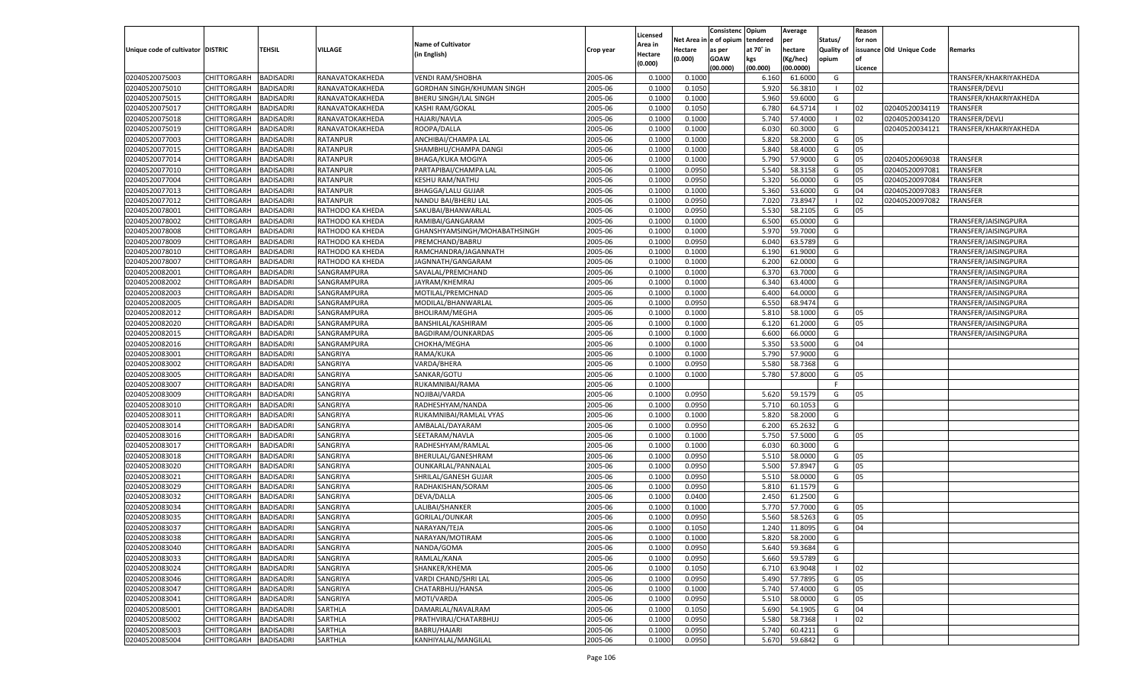|                                   |                       |                  |                  |                              |                    | Licensed |                        | Consistenc  | Opium          | Average            |                          | Reason  |                          |                        |
|-----------------------------------|-----------------------|------------------|------------------|------------------------------|--------------------|----------|------------------------|-------------|----------------|--------------------|--------------------------|---------|--------------------------|------------------------|
|                                   |                       |                  |                  | <b>Name of Cultivator</b>    |                    | Area in  | Net Area in e of opium |             | tendered       | per                | Status/                  | for non |                          |                        |
| Unique code of cultivator DISTRIC |                       | <b>TEHSIL</b>    | <b>VILLAGE</b>   | (in English)                 | Crop year          | Hectare  | Hectare                | as per      | at 70° in      | hectare            | <b>Quality of</b>        |         | issuance Old Unique Code | Remarks                |
|                                   |                       |                  |                  |                              |                    | (0.000)  | (0.000)                | <b>GOAW</b> | kgs            | (Kg/hec)           | opium                    |         |                          |                        |
| 02040520075003                    | CHITTORGARH           | <b>BADISADRI</b> | RANAVATOKAKHEDA  |                              | 2005-06            | 0.1000   | 0.1000                 | (00.000)    | (00.000)       | (00.0000)          | G                        | Licence |                          | TRANSFER/KHAKRIYAKHEDA |
| 02040520075010                    |                       |                  |                  | <b>VENDI RAM/SHOBHA</b>      |                    | 0.1000   |                        |             | 6.160          | 61.6000            | - 1                      | 02      |                          |                        |
| 02040520075015                    | CHITTORGARH           | <b>BADISADRI</b> | RANAVATOKAKHEDA  | GORDHAN SINGH/KHUMAN SINGH   | 2005-06<br>2005-06 | 0.1000   | 0.1050                 |             | 5.920          | 56.3810<br>59.6000 | G                        |         |                          | TRANSFER/DEVLI         |
|                                   | <b>CHITTORGARH</b>    | <b>BADISADRI</b> | RANAVATOKAKHEDA  | BHERU SINGH/LAL SINGH        |                    |          | 0.1000                 |             | 5.960<br>6.780 | 64.5714            | - 1                      |         |                          | TRANSFER/KHAKRIYAKHEDA |
| 02040520075017                    | CHITTORGARH           | <b>BADISADRI</b> | RANAVATOKAKHEDA  | <b>KASHI RAM/GOKAL</b>       | 2005-06            | 0.1000   | 0.1050                 |             |                |                    | - 1                      | 02      | 02040520034119           | TRANSFER               |
| 02040520075018                    | CHITTORGARH           | <b>BADISADRI</b> | RANAVATOKAKHEDA  | <b>HAJARI/NAVLA</b>          | 2005-06            | 0.1000   | 0.1000                 |             | 5.740          | 57.4000            |                          | 02      | 02040520034120           | TRANSFER/DEVLI         |
| 02040520075019                    | CHITTORGARH           | <b>BADISADRI</b> | RANAVATOKAKHEDA  | ROOPA/DALLA                  | 2005-06            | 0.1000   | 0.1000                 |             | 6.030          | 60.3000            | G                        |         | 02040520034121           | TRANSFER/KHAKRIYAKHEDA |
| 02040520077003                    | <b>CHITTORGARH</b>    | <b>BADISADRI</b> | <b>RATANPUR</b>  | ANCHIBAI/CHAMPA LAL          | 2005-06            | 0.1000   | 0.1000                 |             | 5.820          | 58.2000            | G                        | 05      |                          |                        |
| 02040520077015                    | CHITTORGARH           | <b>BADISADRI</b> | <b>RATANPUR</b>  | SHAMBHU/CHAMPA DANGI         | 2005-06            | 0.1000   | 0.1000                 |             | 5.840          | 58.4000            | G                        | 05      |                          |                        |
| 02040520077014                    | CHITTORGARH           | <b>BADISADRI</b> | <b>RATANPUR</b>  | <b>BHAGA/KUKA MOGIYA</b>     | 2005-06            | 0.1000   | 0.1000                 |             | 5.790          | 57.9000            | G                        | 05      | 02040520069038           | <b>TRANSFER</b>        |
| 02040520077010                    | CHITTORGARH           | <b>BADISADRI</b> | <b>RATANPUR</b>  | PARTAPIBAI/CHAMPA LAL        | 2005-06            | 0.1000   | 0.0950                 |             | 5.540          | 58.3158            | G                        | 05      | 02040520097081           | TRANSFER               |
| 02040520077004                    | CHITTORGARH           | <b>BADISADRI</b> | <b>RATANPUR</b>  | KESHU RAM/NATHU              | 2005-06            | 0.1000   | 0.0950                 |             | 5.320          | 56.0000            | G                        | 05      | 02040520097084           | TRANSFER               |
| 02040520077013                    | CHITTORGARH           | <b>BADISADRI</b> | <b>RATANPUR</b>  | <b>BHAGGA/LALU GUJAR</b>     | 2005-06            | 0.1000   | 0.1000                 |             | 5.360          | 53.6000            | G                        | 04      | 02040520097083           | TRANSFER               |
| 02040520077012                    | CHITTORGARH           | <b>BADISADRI</b> | <b>RATANPUR</b>  | NANDU BAI/BHERU LAL          | 2005-06            | 0.1000   | 0.0950                 |             | 7.020          | 73.8947            |                          | 02      | 02040520097082           | TRANSFER               |
| 02040520078001                    | CHITTORGARH           | <b>BADISADRI</b> | RATHODO KA KHEDA | SAKUBAI/BHANWARLAL           | 2005-06            | 0.1000   | 0.0950                 |             | 5.530          | 58.2105            | G                        | 05      |                          |                        |
| 02040520078002                    | <b>CHITTORGARH</b>    | <b>BADISADRI</b> | RATHODO KA KHEDA | RAMIBAI/GANGARAM             | 2005-06            | 0.1000   | 0.1000                 |             | 6.500          | 65.0000            | G                        |         |                          | TRANSFER/JAISINGPURA   |
| 02040520078008                    | CHITTORGARH           | <b>BADISADRI</b> | RATHODO KA KHEDA | GHANSHYAMSINGH/MOHABATHSINGH | 2005-06            | 0.1000   | 0.1000                 |             | 5.970          | 59.7000            | G                        |         |                          | TRANSFER/JAISINGPURA   |
| 02040520078009                    | CHITTORGARH           | <b>BADISADRI</b> | RATHODO KA KHEDA | PREMCHAND/BABRU              | 2005-06            | 0.1000   | 0.0950                 |             | 6.040          | 63.5789            | G                        |         |                          | TRANSFER/JAISINGPURA   |
| 02040520078010                    | CHITTORGARH           | <b>BADISADRI</b> | RATHODO KA KHEDA | RAMCHANDRA/JAGANNATH         | 2005-06            | 0.1000   | 0.1000                 |             | 6.190          | 61.9000            | G                        |         |                          | TRANSFER/JAISINGPURA   |
| 02040520078007                    | <b>CHITTORGARH</b>    | <b>BADISADRI</b> | RATHODO KA KHEDA | JAGNNATH/GANGARAM            | 2005-06            | 0.1000   | 0.1000                 |             | 6.200          | 62.0000            | G                        |         |                          | TRANSFER/JAISINGPURA   |
| 02040520082001                    | CHITTORGARH           | <b>BADISADRI</b> | SANGRAMPURA      | SAVALAL/PREMCHAND            | 2005-06            | 0.1000   | 0.1000                 |             | 6.370          | 63.7000            | G                        |         |                          | TRANSFER/JAISINGPURA   |
| 02040520082002                    | CHITTORGARH           | <b>BADISADRI</b> | SANGRAMPURA      | JAYRAM/KHEMRAJ               | 2005-06            | 0.1000   | 0.1000                 |             | 6.340          | 63.4000            | G                        |         |                          | TRANSFER/JAISINGPURA   |
| 02040520082003                    | CHITTORGARH           | <b>BADISADRI</b> | SANGRAMPURA      | MOTILAL/PREMCHNAD            | 2005-06            | 0.1000   | 0.1000                 |             | 6.400          | 64.0000            | G                        |         |                          | TRANSFER/JAISINGPURA   |
| 02040520082005                    | <b>CHITTORGARH</b>    | <b>BADISADRI</b> | SANGRAMPURA      | MODILAL/BHANWARLAI           | 2005-06            | 0.1000   | 0.0950                 |             | 6.550          | 68.9474            | G                        |         |                          | TRANSFER/JAISINGPURA   |
| 02040520082012                    | CHITTORGARH           | <b>BADISADRI</b> | SANGRAMPURA      | <b>BHOLIRAM/MEGHA</b>        | 2005-06            | 0.1000   | 0.1000                 |             | 5.810          | 58.1000            | G                        | 05      |                          | TRANSFER/JAISINGPURA   |
| 02040520082020                    | CHITTORGARH           | <b>BADISADRI</b> | SANGRAMPURA      | BANSHILAL/KASHIRAM           | 2005-06            | 0.1000   | 0.1000                 |             | 6.120          | 61.2000            | G                        | 05      |                          | TRANSFER/JAISINGPURA   |
| 02040520082015                    | CHITTORGARH           | <b>BADISADRI</b> | SANGRAMPURA      | BAGDIRAM/OUNKARDAS           | 2005-06            | 0.1000   | 0.1000                 |             | 6.600          | 66.0000            | G                        |         |                          | TRANSFER/JAISINGPURA   |
| 02040520082016                    | <b>CHITTORGARH</b>    | <b>BADISADRI</b> | SANGRAMPURA      | CHOKHA/MEGHA                 | 2005-06            | 0.1000   | 0.1000                 |             | 5.350          | 53.5000            | G                        | 04      |                          |                        |
| 02040520083001                    | CHITTORGARH           | <b>BADISADRI</b> | SANGRIYA         | RAMA/KUKA                    | 2005-06            | 0.1000   | 0.1000                 |             | 5.790          | 57.9000            | G                        |         |                          |                        |
| 02040520083002                    | CHITTORGARH           | <b>BADISADRI</b> | SANGRIYA         | VARDA/BHERA                  | 2005-06            | 0.1000   | 0.0950                 |             | 5.580          | 58.7368            | G                        |         |                          |                        |
| 02040520083005                    | CHITTORGARH           | <b>BADISADRI</b> | SANGRIYA         | SANKAR/GOTU                  | 2005-06            | 0.1000   | 0.1000                 |             | 5.780          | 57.8000            | G                        | 05      |                          |                        |
| 02040520083007                    | <b>CHITTORGARH</b>    | <b>BADISADRI</b> | SANGRIYA         | RUKAMNIBAI/RAMA              | 2005-06            | 0.1000   |                        |             |                |                    | F.                       |         |                          |                        |
| 02040520083009                    | CHITTORGARH           | <b>BADISADRI</b> | SANGRIYA         | NOJIBAI/VARDA                | 2005-06            | 0.1000   | 0.0950                 |             | 5.620          | 59.1579            | G                        | 05      |                          |                        |
| 02040520083010                    | <b>CHITTORGARH</b>    | <b>BADISADRI</b> | SANGRIYA         | RADHESHYAM/NANDA             | 2005-06            | 0.1000   | 0.0950                 |             | 5.710          | 60.1053            | G                        |         |                          |                        |
| 02040520083011                    | <b>CHITTORGARH</b>    | <b>BADISADRI</b> | SANGRIYA         | RUKAMNIBAI/RAMLAL VYAS       | 2005-06            | 0.1000   | 0.1000                 |             | 5.820          | 58.2000            | G                        |         |                          |                        |
| 02040520083014                    | <b>CHITTORGARH</b>    | <b>BADISADRI</b> | SANGRIYA         | AMBALAL/DAYARAM              | 2005-06            | 0.1000   | 0.0950                 |             | 6.200          | 65.2632            | G                        |         |                          |                        |
| 02040520083016                    | CHITTORGARH           | <b>BADISADRI</b> | SANGRIYA         | SEETARAM/NAVLA               | 2005-06            | 0.1000   | 0.1000                 |             | 5.750          | 57.5000            | G                        | 05      |                          |                        |
| 02040520083017                    | <b>CHITTORGARH</b>    | <b>BADISADRI</b> | SANGRIYA         | RADHESHYAM/RAMLAL            | 2005-06            | 0.1000   | 0.1000                 |             | 6.030          | 60.3000            | G                        |         |                          |                        |
| 02040520083018                    | <b>CHITTORGARH</b>    | <b>BADISADRI</b> | SANGRIYA         | BHERULAL/GANESHRAM           | 2005-06            | 0.1000   | 0.0950                 |             | 5.510          | 58.0000            | G                        | 05      |                          |                        |
| 02040520083020                    | <b>CHITTORGARH</b>    | <b>BADISADRI</b> | SANGRIYA         | OUNKARLAL/PANNALAL           | 2005-06            | 0.1000   | 0.0950                 |             | 5.500          | 57.8947            | G                        | 05      |                          |                        |
| 02040520083021                    | CHITTORGARH           | <b>BADISADRI</b> | SANGRIYA         | SHRILAL/GANESH GUJAF         | 2005-06            | 0.1000   | 0.0950                 |             | 5.510          | 58.0000            | G                        | 05      |                          |                        |
| 02040520083029                    | <b>CHITTORGARH</b>    | <b>BADISADRI</b> | SANGRIYA         | RADHAKISHAN/SORAM            | 2005-06            | 0.1000   | 0.0950                 |             | 5.810          | 61.1579            | G                        |         |                          |                        |
| 02040520083032                    | <b>CHITTORGARH</b>    | <b>BADISADRI</b> | SANGRIYA         | DEVA/DALLA                   | 2005-06            | 0.1000   | 0.0400                 |             | 2.450          | 61.2500            | G                        |         |                          |                        |
| 02040520083034                    | <b>CHITTORGARH</b>    | <b>BADISADRI</b> | SANGRIYA         | LALIBAI/SHANKER              | 2005-06            | 0.1000   | 0.1000                 |             | 5.770          | 57.7000            | G                        | 05      |                          |                        |
| 02040520083035                    | CHITTORGARH           | <b>BADISADRI</b> | SANGRIYA         | GORILAL/OUNKAR               | 2005-06            | 0.1000   | 0.0950                 |             | 5.560          | 58.5263            | G                        | 05      |                          |                        |
| 02040520083037                    | CHITTORGARH           | <b>BADISADRI</b> | SANGRIYA         | NARAYAN/TEJA                 | 2005-06            | 0.1000   | 0.1050                 |             | 1.240          | 11.8095            | G                        | 04      |                          |                        |
| 02040520083038                    | CHITTORGARH BADISADRI |                  | SANGRIYA         | NARAYAN/MOTIRAM              | 2005-06            | 0.1000   | 0.1000                 |             |                | 5.820 58.2000      | G                        |         |                          |                        |
| 02040520083040                    | <b>CHITTORGARH</b>    | <b>BADISADRI</b> | SANGRIYA         | NANDA/GOMA                   | 2005-06            | 0.1000   | 0.0950                 |             | 5.640          | 59.3684            | G                        |         |                          |                        |
| 02040520083033                    | <b>CHITTORGARH</b>    | <b>BADISADRI</b> | SANGRIYA         | RAMLAL/KANA                  | 2005-06            | 0.1000   | 0.0950                 |             | 5.660          | 59.5789            | G                        |         |                          |                        |
| 02040520083024                    | CHITTORGARH           | <b>BADISADRI</b> | SANGRIYA         | SHANKER/KHEMA                | 2005-06            | 0.1000   | 0.1050                 |             | 6.710          | 63.9048            | $\overline{\phantom{0}}$ | 02      |                          |                        |
| 02040520083046                    | <b>CHITTORGARH</b>    | <b>BADISADRI</b> | SANGRIYA         | VARDI CHAND/SHRI LAL         | 2005-06            | 0.1000   | 0.0950                 |             | 5.490          | 57.7895            | G                        | 05      |                          |                        |
| 02040520083047                    | <b>CHITTORGARH</b>    | <b>BADISADRI</b> | SANGRIYA         | CHATARBHUJ/HANSA             | 2005-06            | 0.1000   | 0.1000                 |             | 5.740          | 57.4000            | G                        | 05      |                          |                        |
| 02040520083041                    | <b>CHITTORGARH</b>    | <b>BADISADRI</b> | SANGRIYA         | MOTI/VARDA                   | 2005-06            | 0.1000   | 0.0950                 |             | 5.510          | 58.0000            | G                        | 05      |                          |                        |
| 02040520085001                    | <b>CHITTORGARH</b>    | <b>BADISADRI</b> | <b>SARTHLA</b>   | DAMARLAL/NAVALRAM            | 2005-06            | 0.1000   | 0.1050                 |             | 5.690          | 54.1905            | G                        | 04      |                          |                        |
| 02040520085002                    | <b>CHITTORGARH</b>    | <b>BADISADRI</b> | SARTHLA          | PRATHVIRAJ/CHATARBHUJ        | 2005-06            | 0.1000   | 0.0950                 |             | 5.580          | 58.7368            |                          | 02      |                          |                        |
| 02040520085003                    | <b>CHITTORGARH</b>    | <b>BADISADRI</b> | <b>SARTHLA</b>   | BABRU/HAJARI                 | 2005-06            | 0.1000   | 0.0950                 |             | 5.740          | 60.4211            | G                        |         |                          |                        |
| 02040520085004                    | <b>CHITTORGARH</b>    | <b>BADISADRI</b> | SARTHLA          | KANHIYALAL/MANGILAL          | 2005-06            | 0.1000   | 0.0950                 |             | 5.670          | 59.6842            | G                        |         |                          |                        |
|                                   |                       |                  |                  |                              |                    |          |                        |             |                |                    |                          |         |                          |                        |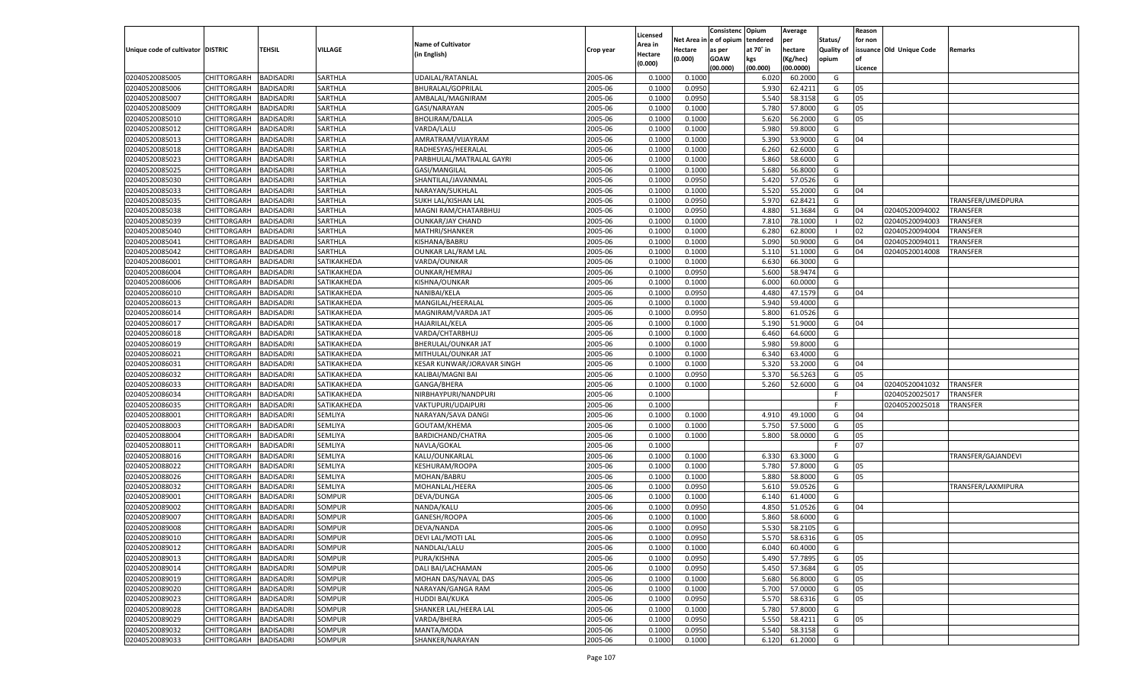|                                   |                                      |                  |                |                            |           |                     |            | Consistenc    | Opium     | Average   |            | Reason  |                          |                    |
|-----------------------------------|--------------------------------------|------------------|----------------|----------------------------|-----------|---------------------|------------|---------------|-----------|-----------|------------|---------|--------------------------|--------------------|
|                                   |                                      |                  |                | <b>Name of Cultivator</b>  |           | Licensed<br>Area in | Net Area i | n  e of opium | tendered  | per       | Status/    | for non |                          |                    |
| Unique code of cultivator DISTRIC |                                      | TEHSIL           | <b>VILLAGE</b> | (in English)               | Crop year | Hectare             | Hectare    | as per        | at 70° in | hectare   | Quality of |         | issuance Old Unique Code | Remarks            |
|                                   |                                      |                  |                |                            |           | (0.000)             | (0.000)    | <b>GOAW</b>   | kgs       | (Kg/hec)  | opium      |         |                          |                    |
|                                   |                                      |                  |                |                            |           |                     |            | (00.000)      | (00.000)  | (00.0000) |            | Licence |                          |                    |
| 02040520085005                    | CHITTORGARH                          | <b>BADISADRI</b> | SARTHLA        | UDAILAL/RATANLAL           | 2005-06   | 0.100               | 0.1000     |               | 6.020     | 60.2000   | G          |         |                          |                    |
| 02040520085006                    | CHITTORGARH                          | BADISADRI        | SARTHLA        | <b>BHURALAL/GOPRILAL</b>   | 2005-06   | 0.1000              | 0.0950     |               | 5.930     | 62.4211   | G          | 05      |                          |                    |
| 02040520085007                    | CHITTORGARH                          | BADISADRI        | SARTHLA        | AMBALAL/MAGNIRAM           | 2005-06   | 0.1000              | 0.0950     |               | 5.540     | 58.3158   | G          | 05      |                          |                    |
| 02040520085009                    | CHITTORGARH                          | BADISADRI        | SARTHLA        | GASI/NARAYAN               | 2005-06   | 0.1000              | 0.1000     |               | 5.780     | 57.8000   | G          | 05      |                          |                    |
| 02040520085010                    | CHITTORGARH                          | BADISADRI        | SARTHLA        | <b>BHOLIRAM/DALLA</b>      | 2005-06   | 0.1000              | 0.1000     |               | 5.620     | 56.2000   | G          | 05      |                          |                    |
| 02040520085012                    | CHITTORGARH                          | BADISADRI        | SARTHLA        | VARDA/LALU                 | 2005-06   | 0.1000              | 0.1000     |               | 5.980     | 59.8000   | G          |         |                          |                    |
| 02040520085013                    | CHITTORGARH                          | BADISADRI        | SARTHLA        | AMRATRAM/VIJAYRAM          | 2005-06   | 0.1000              | 0.1000     |               | 5.390     | 53.9000   | G          | 04      |                          |                    |
| 02040520085018                    | CHITTORGARH                          | BADISADRI        | SARTHLA        | RADHESYAS/HEERALAL         | 2005-06   | 0.1000              | 0.1000     |               | 6.260     | 62.6000   | G          |         |                          |                    |
| 02040520085023                    | CHITTORGARH                          | BADISADRI        | SARTHLA        | PARBHULAL/MATRALAL GAYRI   | 2005-06   | 0.1000              | 0.1000     |               | 5.860     | 58.6000   | G          |         |                          |                    |
| 02040520085025                    | CHITTORGARH                          | BADISADRI        | SARTHLA        | GASI/MANGILAL              | 2005-06   | 0.1000              | 0.1000     |               | 5.680     | 56.8000   | G          |         |                          |                    |
| 02040520085030                    | CHITTORGARH                          | BADISADRI        | SARTHLA        | SHANTILAL/JAVANMAL         | 2005-06   | 0.1000              | 0.0950     |               | 5.420     | 57.0526   | G          |         |                          |                    |
| 02040520085033                    | CHITTORGARH                          | BADISADRI        | SARTHLA        | NARAYAN/SUKHLAL            | 2005-06   | 0.1000              | 0.1000     |               | 5.520     | 55.2000   | G          | 04      |                          |                    |
| 02040520085035                    | CHITTORGARH                          | BADISADRI        | SARTHLA        | SUKH LAL/KISHAN LAL        | 2005-06   | 0.1000              | 0.0950     |               | 5.970     | 62.8421   | G          |         |                          | TRANSFER/UMEDPURA  |
| 02040520085038                    | CHITTORGARH                          | BADISADRI        | SARTHLA        | MAGNI RAM/CHATARBHUJ       | 2005-06   | 0.1000              | 0.0950     |               | 4.880     | 51.3684   | G          | 04      | 02040520094002           | TRANSFER           |
| 02040520085039                    | CHITTORGARH                          | <b>BADISADRI</b> | SARTHLA        | <b>OUNKAR/JAY CHAND</b>    | 2005-06   | 0.1000              | 0.1000     |               | 7.810     | 78.1000   | - 1        | 02      | 02040520094003           | TRANSFER           |
| 02040520085040                    | CHITTORGARH                          | BADISADRI        | SARTHLA        | MATHRI/SHANKER             | 2005-06   | 0.1000              | 0.1000     |               | 6.280     | 62.8000   |            | 02      | 02040520094004           | TRANSFER           |
| 02040520085041                    | CHITTORGARH                          | <b>BADISADRI</b> | SARTHLA        | KISHANA/BABRU              | 2005-06   | 0.1000              | 0.1000     |               | 5.090     | 50.9000   | G          | 04      | 02040520094011           | TRANSFER           |
| 02040520085042                    | CHITTORGARH                          | BADISADRI        | SARTHLA        | <b>OUNKAR LAL/RAM LAL</b>  | 2005-06   | 0.1000              | 0.1000     |               | 5.110     | 51.1000   | G          | 04      | 02040520014008           | TRANSFER           |
| 02040520086001                    | CHITTORGARH                          | <b>BADISADRI</b> | SATIKAKHEDA    | VARDA/OUNKAR               | 2005-06   | 0.1000              | 0.1000     |               | 6.630     | 66.3000   | G          |         |                          |                    |
| 02040520086004                    | CHITTORGARH                          | BADISADRI        | SATIKAKHEDA    | OUNKAR/HEMRAJ              | 2005-06   | 0.1000              | 0.0950     |               | 5.600     | 58.9474   | G          |         |                          |                    |
| 02040520086006                    | CHITTORGARH                          | <b>BADISADRI</b> | SATIKAKHEDA    | KISHNA/OUNKAR              | 2005-06   | 0.1000              | 0.1000     |               | 6.000     | 60.0000   | G          |         |                          |                    |
| 02040520086010                    | CHITTORGARH                          | BADISADRI        | SATIKAKHEDA    | NANIBAI/KELA               | 2005-06   | 0.1000              | 0.0950     |               | 4.480     | 47.1579   | G          | 04      |                          |                    |
| 02040520086013                    | CHITTORGARH                          | <b>BADISADRI</b> | SATIKAKHEDA    | MANGILAL/HEERALAL          | 2005-06   | 0.1000              | 0.1000     |               | 5.940     | 59.4000   | G          |         |                          |                    |
| 02040520086014                    | CHITTORGARH                          | BADISADRI        | SATIKAKHEDA    | MAGNIRAM/VARDA JAT         | 2005-06   | 0.1000              | 0.0950     |               | 5.800     | 61.0526   | G          |         |                          |                    |
| 02040520086017                    | CHITTORGARH                          | <b>BADISADRI</b> | SATIKAKHEDA    | <b>HAJARILAL/KELA</b>      | 2005-06   | 0.1000              | 0.1000     |               | 5.190     | 51.9000   | G          | 04      |                          |                    |
| 02040520086018                    | CHITTORGARH                          | BADISADRI        | SATIKAKHEDA    | VARDA/CHTARBHUJ            | 2005-06   | 0.1000              | 0.1000     |               | 6.460     | 64.6000   | G          |         |                          |                    |
| 02040520086019                    | CHITTORGARH                          | <b>BADISADRI</b> | SATIKAKHEDA    | BHERULAL/OUNKAR JAT        | 2005-06   | 0.1000              | 0.1000     |               | 5.980     | 59.8000   | G          |         |                          |                    |
| 02040520086021                    | CHITTORGARH                          | BADISADRI        | SATIKAKHEDA    | MITHULAL/OUNKAR JAT        | 2005-06   | 0.1000              | 0.1000     |               | 6.340     | 63.4000   | G          |         |                          |                    |
| 02040520086031                    | CHITTORGARH                          | <b>BADISADRI</b> | SATIKAKHEDA    | KESAR KUNWAR/JORAVAR SINGH | 2005-06   | 0.1000              | 0.1000     |               | 5.320     | 53.2000   | G          | 04      |                          |                    |
| 02040520086032                    | CHITTORGARH                          | BADISADRI        | SATIKAKHEDA    | KALIBAI/MAGNI BAI          | 2005-06   | 0.1000              | 0.0950     |               | 5.370     | 56.5263   | G          | 05      |                          |                    |
| 02040520086033                    | CHITTORGARH                          | <b>BADISADRI</b> | SATIKAKHEDA    | GANGA/BHERA                | 2005-06   | 0.1000              | 0.1000     |               | 5.260     | 52.6000   | G          | 04      | 02040520041032           | <b>TRANSFER</b>    |
| 02040520086034                    | CHITTORGARH                          | <b>BADISADRI</b> | SATIKAKHEDA    | NIRBHAYPURI/NANDPURI       | 2005-06   | 0.1000              |            |               |           |           | F          |         | 02040520025017           | TRANSFER           |
| 02040520086035                    | CHITTORGARH                          | <b>BADISADRI</b> | SATIKAKHEDA    | VAKTUPURI/UDAIPURI         | 2005-06   | 0.1000              |            |               |           |           | E          |         | 02040520025018           | TRANSFER           |
| 02040520088001                    | CHITTORGARH                          | BADISADRI        | SEMLIYA        | NARAYAN/SAVA DANGI         | 2005-06   | 0.1000              | 0.1000     |               | 4.910     | 49.1000   | G          | 04      |                          |                    |
| 02040520088003                    | CHITTORGARH                          | <b>BADISADRI</b> | SEMLIYA        | GOUTAM/KHEMA               | 2005-06   | 0.1000              | 0.1000     |               | 5.750     | 57.5000   | G          | 05      |                          |                    |
| 02040520088004                    | CHITTORGARH                          | <b>BADISADRI</b> | SEMLIYA        | BARDICHAND/CHATRA          | 2005-06   | 0.1000              | 0.1000     |               | 5.800     | 58.0000   | G          | 05      |                          |                    |
| 02040520088011                    | CHITTORGARH                          | <b>BADISADRI</b> | SEMLIYA        | NAVLA/GOKAL                | 2005-06   | 0.1000              |            |               |           |           | F          | 07      |                          |                    |
| 02040520088016                    | CHITTORGARH                          | BADISADRI        | SEMLIYA        | KALU/OUNKARLAL             | 2005-06   | 0.1000              | 0.1000     |               | 6.330     | 63.3000   | G          |         |                          | TRANSFER/GAJANDEVI |
| 02040520088022                    | CHITTORGARH                          | <b>BADISADRI</b> | SEMLIYA        | KESHURAM/ROOPA             | 2005-06   | 0.1000              | 0.1000     |               | 5.780     | 57.8000   | G          | 05      |                          |                    |
| 02040520088026                    | CHITTORGARH                          | <b>BADISADRI</b> | SEMLIYA        | MOHAN/BABRU                | 2005-06   | 0.1000              | 0.1000     |               | 5.880     | 58.8000   | G          | 05      |                          |                    |
| 02040520088032                    | CHITTORGARH                          | <b>BADISADRI</b> | SEMLIYA        | MOHANLAL/HEERA             | 2005-06   | 0.1000              | 0.0950     |               | 5.610     | 59.0526   | G          |         |                          | TRANSFER/LAXMIPURA |
| 02040520089001                    | CHITTORGARH                          | BADISADRI        | SOMPUR         | DEVA/DUNGA                 | 2005-06   | 0.1000              | 0.1000     |               | 6.140     | 61.4000   | G          |         |                          |                    |
| 02040520089002                    | CHITTORGARH                          | BADISADRI        | <b>SOMPUR</b>  | NANDA/KALU                 | 2005-06   | 0.1000              | 0.0950     |               | 4.850     | 51.0526   | G          | 04      |                          |                    |
| 02040520089007                    | CHITTORGARH                          | BADISADRI        | SOMPUR         | GANESH/ROOPA               | 2005-06   | 0.1000              | 0.1000     |               | 5.860     | 58.6000   | G          |         |                          |                    |
| 02040520089008                    |                                      | <b>BADISADRI</b> | SOMPUR         | DEVA/NANDA                 | 2005-06   | 0.1000              | 0.0950     |               | 5.530     | 58.2105   | G          |         |                          |                    |
|                                   | CHITTORGARH<br>CHITTORGARH BADISADRI |                  |                |                            |           |                     |            |               |           |           |            |         |                          |                    |
| 02040520089010                    |                                      |                  | SOMPUR         | DEVI LAL/MOTI LAL          | 2005-06   | 0.1000              | 0.0950     |               | 5.570     | 58.6316   | G          | 05      |                          |                    |
| 02040520089012                    | <b>CHITTORGARH</b>                   | <b>BADISADRI</b> | <b>SOMPUR</b>  | NANDLAL/LALU               | 2005-06   | 0.1000              | 0.1000     |               | 6.040     | 60.4000   | G          |         |                          |                    |
| 02040520089013                    | CHITTORGARH                          | <b>BADISADRI</b> | SOMPUR         | PURA/KISHNA                | 2005-06   | 0.1000              | 0.0950     |               | 5.490     | 57.7895   | G          | 05      |                          |                    |
| 02040520089014                    | CHITTORGARH                          | <b>BADISADRI</b> | <b>SOMPUR</b>  | DALI BAI/LACHAMAN          | 2005-06   | 0.1000              | 0.0950     |               | 5.450     | 57.3684   | G          | 05      |                          |                    |
| 02040520089019                    | <b>CHITTORGARH</b>                   | <b>BADISADRI</b> | SOMPUR         | MOHAN DAS/NAVAL DAS        | 2005-06   | 0.1000              | 0.1000     |               | 5.680     | 56.8000   | G          | 05      |                          |                    |
| 02040520089020                    | CHITTORGARH                          | <b>BADISADRI</b> | <b>SOMPUR</b>  | NARAYAN/GANGA RAM          | 2005-06   | 0.1000              | 0.1000     |               | 5.700     | 57.0000   | G          | 05      |                          |                    |
| 02040520089023                    | CHITTORGARH                          | <b>BADISADRI</b> | SOMPUR         | <b>HUDDI BAI/KUKA</b>      | 2005-06   | 0.1000              | 0.0950     |               | 5.570     | 58.6316   | G          | 05      |                          |                    |
| 02040520089028                    | CHITTORGARH                          | <b>BADISADRI</b> | <b>SOMPUR</b>  | SHANKER LAL/HEERA LAL      | 2005-06   | 0.1000              | 0.1000     |               | 5.780     | 57.8000   | G          |         |                          |                    |
| 02040520089029                    | CHITTORGARH                          | <b>BADISADRI</b> | SOMPUR         | VARDA/BHERA                | 2005-06   | 0.1000              | 0.0950     |               | 5.550     | 58.4211   | G          | 05      |                          |                    |
| 02040520089032                    | CHITTORGARH                          | <b>BADISADRI</b> | <b>SOMPUR</b>  | MANTA/MODA                 | 2005-06   | 0.1000              | 0.0950     |               | 5.540     | 58.3158   | G          |         |                          |                    |
| 02040520089033                    | CHITTORGARH                          | <b>BADISADRI</b> | SOMPUR         | SHANKER/NARAYAN            | 2005-06   | 0.1000              | 0.1000     |               | 6.120     | 61.2000   | G          |         |                          |                    |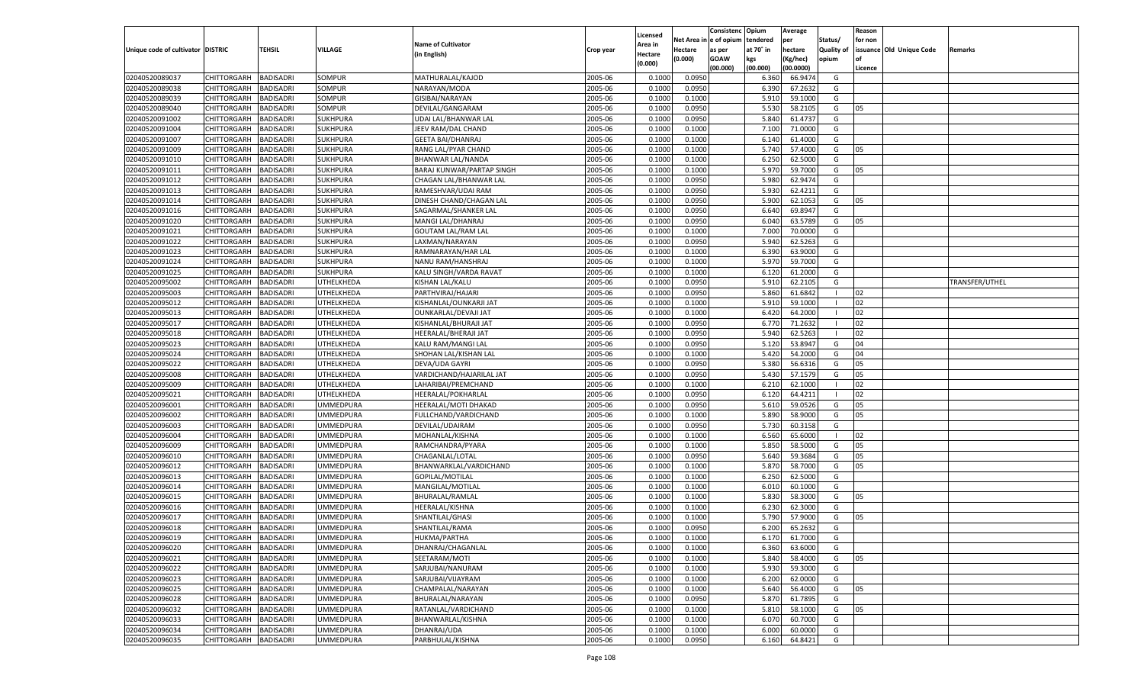|                                   |                       |                  |                   |                           |           |                     |            | Consistenc   | Opium     | Average   |                | Reason  |                          |                |
|-----------------------------------|-----------------------|------------------|-------------------|---------------------------|-----------|---------------------|------------|--------------|-----------|-----------|----------------|---------|--------------------------|----------------|
|                                   |                       |                  |                   | <b>Name of Cultivator</b> |           | Licensed<br>Area in | Net Area i | n e of opium | tendered  | per       | Status/        | for non |                          |                |
| Unique code of cultivator DISTRIC |                       | TEHSIL           | VILLAGE           | (in English)              | Crop year | Hectare             | Hectare    | as per       | at 70° in | hectare   | Quality of     |         | issuance Old Unique Code | Remarks        |
|                                   |                       |                  |                   |                           |           | (0.000)             | (0.000)    | <b>GOAW</b>  | kgs       | (Kg/hec)  | opium          |         |                          |                |
|                                   |                       |                  |                   |                           |           |                     |            | (00.000)     | (00.000)  | (00.0000) |                | Licence |                          |                |
| 02040520089037                    | CHITTORGARH           | <b>BADISADRI</b> | SOMPUR            | MATHURALAL/KAJOD          | 2005-06   | 0.1000              | 0.0950     |              | 6.360     | 66.9474   | G              |         |                          |                |
| 02040520089038                    | CHITTORGARH           | BADISADRI        | SOMPUR            | NARAYAN/MODA              | 2005-06   | 0.1000              | 0.0950     |              | 6.390     | 67.2632   | G              |         |                          |                |
| 02040520089039                    | CHITTORGARH           | BADISADRI        | SOMPUR            | GISIBAI/NARAYAN           | 2005-06   | 0.1000              | 0.1000     |              | 5.910     | 59.1000   | G              |         |                          |                |
| 02040520089040                    | CHITTORGARH           | BADISADRI        | SOMPUR            | DEVILAL/GANGARAM          | 2005-06   | 0.1000              | 0.0950     |              | 5.530     | 58.2105   | G              | 05      |                          |                |
| 02040520091002                    | CHITTORGARH           | BADISADRI        | SUKHPURA          | UDAI LAL/BHANWAR LAI      | 2005-06   | 0.1000              | 0.0950     |              | 5.840     | 61.4737   | G              |         |                          |                |
| 02040520091004                    | CHITTORGARH           | BADISADRI        | SUKHPURA          | JEEV RAM/DAL CHAND        | 2005-06   | 0.1000              | 0.1000     |              | 7.100     | 71.0000   | G              |         |                          |                |
| 02040520091007                    | CHITTORGARH           | BADISADRI        | <b>SUKHPURA</b>   | <b>GEETA BAI/DHANRAJ</b>  | 2005-06   | 0.1000              | 0.1000     |              | 6.140     | 61.4000   | G              |         |                          |                |
| 02040520091009                    | CHITTORGARH           | BADISADRI        | <b>SUKHPURA</b>   | RANG LAL/PYAR CHAND       | 2005-06   | 0.1000              | 0.1000     |              | 5.740     | 57.4000   | G              | 05      |                          |                |
| 02040520091010                    | CHITTORGARH           | BADISADRI        | SUKHPURA          | BHANWAR LAL/NANDA         | 2005-06   | 0.1000              | 0.1000     |              | 6.250     | 62.5000   | G              |         |                          |                |
| 02040520091011                    | CHITTORGARH           | BADISADRI        | SUKHPURA          | BARAJ KUNWAR/PARTAP SINGH | 2005-06   | 0.1000              | 0.1000     |              | 5.970     | 59.7000   | G              | 05      |                          |                |
| 02040520091012                    | CHITTORGARH           | BADISADRI        | SUKHPURA          | CHAGAN LAL/BHANWAR LAL    | 2005-06   | 0.1000              | 0.0950     |              | 5.980     | 62.9474   | G              |         |                          |                |
| 02040520091013                    | CHITTORGARH           | BADISADRI        | <b>SUKHPURA</b>   | RAMESHVAR/UDAI RAM        | 2005-06   | 0.1000              | 0.0950     |              | 5.930     | 62.4211   | G              |         |                          |                |
| 02040520091014                    | CHITTORGARH           | BADISADRI        | SUKHPURA          | DINESH CHAND/CHAGAN LAL   | 2005-06   | 0.1000              | 0.0950     |              | 5.900     | 62.1053   | G              | 05      |                          |                |
| 02040520091016                    | CHITTORGARH           | BADISADRI        | SUKHPURA          | SAGARMAL/SHANKER LAL      | 2005-06   | 0.1000              | 0.0950     |              | 6.640     | 69.8947   | G              |         |                          |                |
| 02040520091020                    | CHITTORGARH           | <b>BADISADRI</b> | <b>SUKHPURA</b>   | MANGI LAL/DHANRAJ         | 2005-06   | 0.1000              | 0.0950     |              | 6.040     | 63.5789   | G              | 05      |                          |                |
| 02040520091021                    | CHITTORGARH           | BADISADRI        | SUKHPURA          | <b>GOUTAM LAL/RAM LAL</b> | 2005-06   | 0.1000              | 0.1000     |              | 7.000     | 70.0000   | G              |         |                          |                |
| 02040520091022                    | CHITTORGARH           | <b>BADISADRI</b> | <b>SUKHPURA</b>   | LAXMAN/NARAYAN            | 2005-06   | 0.1000              | 0.0950     |              | 5.940     | 62.5263   | G              |         |                          |                |
| 02040520091023                    | CHITTORGARH           | BADISADRI        | SUKHPURA          | RAMNARAYAN/HAR LAL        | 2005-06   | 0.1000              | 0.1000     |              | 6.390     | 63.9000   | G              |         |                          |                |
| 02040520091024                    | CHITTORGARH           | <b>BADISADRI</b> | <b>SUKHPURA</b>   | NANU RAM/HANSHRAJ         | 2005-06   | 0.1000              | 0.1000     |              | 5.970     | 59.7000   | G              |         |                          |                |
| 02040520091025                    | CHITTORGARH           | BADISADRI        | <b>SUKHPURA</b>   | KALU SINGH/VARDA RAVAT    | 2005-06   | 0.1000              | 0.1000     |              | 6.120     | 61.2000   | G              |         |                          |                |
| 02040520095002                    | CHITTORGARH           | <b>BADISADRI</b> | <b>JTHELKHEDA</b> | KISHAN LAL/KALU           | 2005-06   | 0.1000              | 0.0950     |              | 5.910     | 62.2105   | G              |         |                          | TRANSFER/UTHEL |
| 02040520095003                    | CHITTORGARH           | BADISADRI        | JTHELKHEDA        | PARTHVIRAJ/HAJARI         | 2005-06   | 0.1000              | 0.0950     |              | 5.860     | 61.6842   | $\blacksquare$ | 02      |                          |                |
| 02040520095012                    | CHITTORGARH           | <b>BADISADRI</b> | <b>JTHELKHEDA</b> | KISHANLAL/OUNKARJI JAT    | 2005-06   | 0.1000              | 0.1000     |              | 5.910     | 59.1000   | - 1            | 02      |                          |                |
| 02040520095013                    | CHITTORGARH           | BADISADRI        | <b>JTHELKHEDA</b> | OUNKARLAL/DEVAJI JAT      | 2005-06   | 0.1000              | 0.1000     |              | 6.420     | 64.2000   |                | 02      |                          |                |
| 02040520095017                    | CHITTORGARH           | <b>BADISADRI</b> | <b>JTHELKHEDA</b> | KISHANLAL/BHURAJI JAT     | 2005-06   | 0.1000              | 0.0950     |              | 6.770     | 71.2632   | - 1            | 02      |                          |                |
| 02040520095018                    | CHITTORGARH           | BADISADRI        | JTHELKHEDA        | HEERALAL/BHERAJI JAT      | 2005-06   | 0.1000              | 0.0950     |              | 5.940     | 62.5263   | - 1            | 02      |                          |                |
| 02040520095023                    | CHITTORGARH           | <b>BADISADRI</b> | <b>JTHELKHEDA</b> | KALU RAM/MANGI LAL        | 2005-06   | 0.1000              | 0.0950     |              | 5.120     | 53.8947   | G              | 04      |                          |                |
| 02040520095024                    | CHITTORGARH           | BADISADRI        | <b>JTHELKHEDA</b> | SHOHAN LAL/KISHAN LAL     | 2005-06   | 0.1000              | 0.1000     |              | 5.420     | 54.2000   | G              | 04      |                          |                |
| 02040520095022                    | CHITTORGARH           | <b>BADISADRI</b> | <b>JTHELKHEDA</b> | DEVA/UDA GAYRI            | 2005-06   | 0.1000              | 0.0950     |              | 5.380     | 56.6316   | G              | 05      |                          |                |
| 02040520095008                    | CHITTORGARH           | <b>BADISADRI</b> | UTHELKHEDA        | VARDICHAND/HAJARILAL JAT  | 2005-06   | 0.1000              | 0.0950     |              | 5.430     | 57.1579   | G              | 05      |                          |                |
| 02040520095009                    | CHITTORGARH           | <b>BADISADRI</b> | UTHELKHEDA        | LAHARIBAI/PREMCHAND       | 2005-06   | 0.1000              | 0.1000     |              | 6.210     | 62.1000   | - 1            | 02      |                          |                |
| 02040520095021                    | CHITTORGARH           | <b>BADISADRI</b> | UTHELKHEDA        | HEERALAL/POKHARLAL        | 2005-06   | 0.1000              | 0.0950     |              | 6.120     | 64.4211   | - 1            | 02      |                          |                |
| 02040520096001                    | CHITTORGARH           | <b>BADISADRI</b> | UMMEDPURA         | HEERALAL/MOTI DHAKAD      | 2005-06   | 0.1000              | 0.0950     |              | 5.610     | 59.0526   | G              | 05      |                          |                |
| 02040520096002                    | CHITTORGARH           | BADISADRI        | <b>UMMEDPURA</b>  | FULLCHAND/VARDICHAND      | 2005-06   | 0.1000              | 0.1000     |              | 5.890     | 58.9000   | G              | 05      |                          |                |
| 02040520096003                    | CHITTORGARH           | <b>BADISADRI</b> | <b>UMMEDPURA</b>  | DEVILAL/UDAIRAM           | 2005-06   | 0.1000              | 0.0950     |              | 5.730     | 60.3158   | G              |         |                          |                |
| 02040520096004                    | CHITTORGARH           | <b>BADISADRI</b> | <b>UMMEDPURA</b>  | MOHANLAL/KISHNA           | 2005-06   | 0.1000              | 0.1000     |              | 6.560     | 65.6000   | - 1            | 02      |                          |                |
| 02040520096009                    | CHITTORGARH           | <b>BADISADRI</b> | UMMEDPURA         | RAMCHANDRA/PYARA          | 2005-06   | 0.1000              | 0.1000     |              | 5.850     | 58.5000   | G              | 05      |                          |                |
| 02040520096010                    | CHITTORGARH           | <b>BADISADRI</b> | <b>UMMEDPURA</b>  | CHAGANLAL/LOTAL           | 2005-06   | 0.1000              | 0.0950     |              | 5.640     | 59.3684   | G              | 05      |                          |                |
| 02040520096012                    | CHITTORGARH           | <b>BADISADRI</b> | <b>UMMEDPURA</b>  | BHANWARKLAL/VARDICHAND    | 2005-06   | 0.1000              | 0.1000     |              | 5.870     | 58.7000   | G              | 05      |                          |                |
| 02040520096013                    | CHITTORGARH           | <b>BADISADRI</b> | <b>UMMEDPURA</b>  | GOPILAL/MOTILAL           | 2005-06   | 0.1000              | 0.1000     |              | 6.250     | 62.5000   | G              |         |                          |                |
| 02040520096014                    | CHITTORGARH           | <b>BADISADRI</b> | <b>UMMEDPURA</b>  | MANGILAL/MOTILAI          | 2005-06   | 0.1000              | 0.1000     |              | 6.010     | 60.1000   | G              |         |                          |                |
| 02040520096015                    | CHITTORGARH           | BADISADRI        | <b>UMMEDPURA</b>  | BHURALAL/RAMLAL           | 2005-06   | 0.1000              | 0.1000     |              | 5.830     | 58.3000   | G              | 05      |                          |                |
| 02040520096016                    | CHITTORGARH           | BADISADRI        | UMMEDPURA         | HEERALAL/KISHNA           | 2005-06   | 0.1000              | 0.1000     |              | 6.230     | 62.3000   | G              |         |                          |                |
| 02040520096017                    | CHITTORGARH           | BADISADRI        | <b>UMMEDPURA</b>  | SHANTILAL/GHASI           | 2005-06   | 0.1000              | 0.1000     |              | 5.790     | 57.9000   | G              | 05      |                          |                |
| 02040520096018                    | CHITTORGARH           | <b>BADISADRI</b> | <b>UMMEDPURA</b>  | SHANTILAL/RAMA            | 2005-06   | 0.1000              | 0.0950     |              | 6.200     | 65.2632   | G              |         |                          |                |
| 02040520096019                    | CHITTORGARH BADISADRI |                  | <b>UMMEDPURA</b>  | HUKMA/PARTHA              | 2005-06   | 0.1000              | 0.1000     |              | 6.170     | 61.7000   | G              |         |                          |                |
| 02040520096020                    | <b>CHITTORGARH</b>    | <b>BADISADRI</b> | <b>UMMEDPURA</b>  | DHANRAJ/CHAGANLAL         | 2005-06   | 0.1000              | 0.1000     |              | 6.360     | 63.6000   | G              |         |                          |                |
| 02040520096021                    | CHITTORGARH           | <b>BADISADRI</b> | <b>UMMEDPURA</b>  | SEETARAM/MOTI             | 2005-06   |                     | 0.1000     |              | 5.840     | 58.4000   | G              | 05      |                          |                |
| 02040520096022                    | CHITTORGARH           | <b>BADISADRI</b> | <b>UMMEDPURA</b>  | SARJUBAI/NANURAM          | 2005-06   | 0.1000<br>0.1000    | 0.1000     |              | 5.930     | 59.3000   | G              |         |                          |                |
| 02040520096023                    | <b>CHITTORGARH</b>    | <b>BADISADRI</b> | <b>UMMEDPURA</b>  | SARJUBAI/VIJAYRAM         | 2005-06   | 0.1000              | 0.1000     |              | 6.200     | 62.0000   | G              |         |                          |                |
| 02040520096025                    | <b>CHITTORGARH</b>    | <b>BADISADRI</b> | <b>UMMEDPURA</b>  | CHAMPALAL/NARAYAN         | 2005-06   | 0.1000              | 0.1000     |              | 5.640     | 56.4000   | G              | 05      |                          |                |
| 02040520096028                    | <b>CHITTORGARH</b>    | <b>BADISADRI</b> | <b>UMMEDPURA</b>  |                           | 2005-06   |                     | 0.0950     |              | 5.870     | 61.7895   | G              |         |                          |                |
|                                   |                       |                  |                   | BHURALAL/NARAYAN          | 2005-06   | 0.1000              | 0.1000     |              |           |           |                |         |                          |                |
| 02040520096032<br>02040520096033  | CHITTORGARH           | <b>BADISADRI</b> | <b>UMMEDPURA</b>  | RATANLAL/VARDICHAND       |           | 0.1000              |            |              | 5.810     | 58.1000   | G              | 05      |                          |                |
|                                   | CHITTORGARH           | <b>BADISADRI</b> | <b>UMMEDPURA</b>  | BHANWARLAL/KISHNA         | 2005-06   | 0.1000              | 0.1000     |              | 6.070     | 60.7000   | G              |         |                          |                |
| 02040520096034                    | <b>CHITTORGARH</b>    | <b>BADISADRI</b> | <b>UMMEDPURA</b>  | DHANRAJ/UDA               | 2005-06   | 0.1000              | 0.1000     |              | 6.000     | 60.0000   | G              |         |                          |                |
| 02040520096035                    | CHITTORGARH           | <b>BADISADRI</b> | <b>UMMEDPURA</b>  | PARBHULAL/KISHNA          | 2005-06   | 0.1000              | 0.0950     |              | 6.160     | 64.8421   | G              |         |                          |                |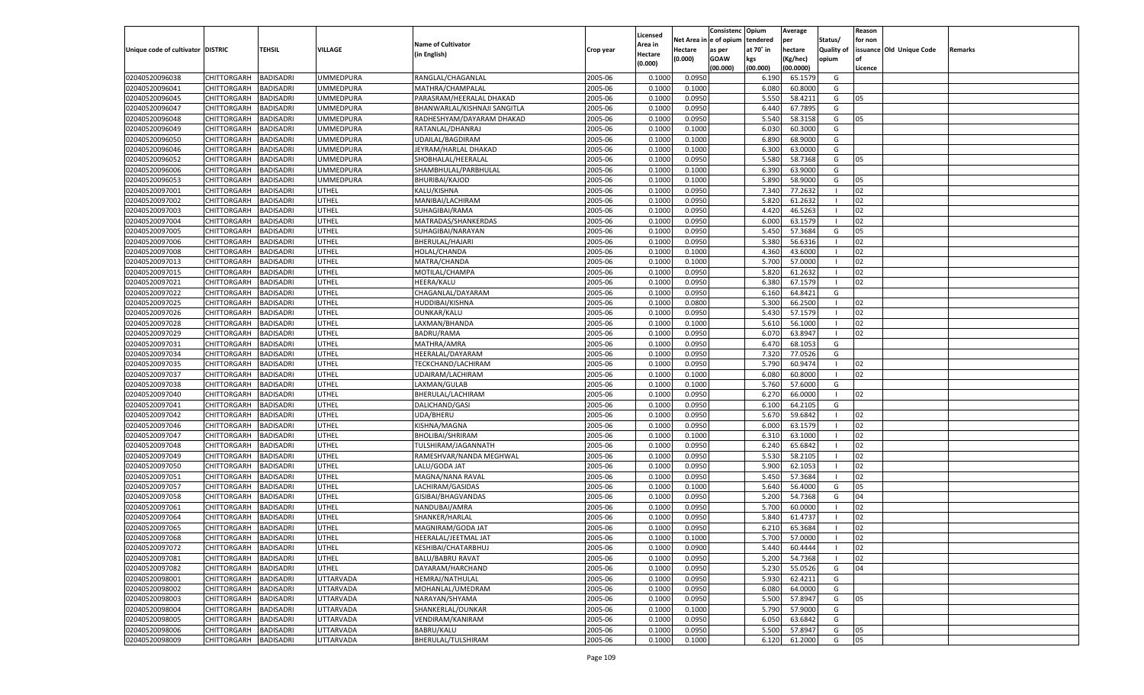|                                   |                       |                  |                  |                              |           |                           |          | Consistenc  | Opium     | Average   |                   | Reason  |                          |         |
|-----------------------------------|-----------------------|------------------|------------------|------------------------------|-----------|---------------------------|----------|-------------|-----------|-----------|-------------------|---------|--------------------------|---------|
|                                   |                       |                  |                  | <b>Name of Cultivator</b>    |           | Licensed                  | Net Area | e of opium  | tendered  | per       | Status/           | for non |                          |         |
| Unique code of cultivator DISTRIC |                       | <b>TEHSIL</b>    | VILLAGE          | (in English)                 | Crop year | <b>Area in</b><br>Hectare | Hectare  | as per      | at 70° in | hectare   | <b>Quality of</b> |         | issuance Old Unique Code | Remarks |
|                                   |                       |                  |                  |                              |           | (0.000)                   | (0.000)  | <b>GOAW</b> | kgs       | (Kg/hec)  | opium             |         |                          |         |
|                                   |                       |                  |                  |                              |           |                           |          | (00.000)    | (00.000)  | (00.0000) |                   | Licence |                          |         |
| 02040520096038                    | CHITTORGARH           | <b>BADISADRI</b> | <b>UMMEDPURA</b> | RANGLAL/CHAGANLAL            | 2005-06   | 0.1000                    | 0.0950   |             | 6.190     | 65.1579   | G                 |         |                          |         |
| 02040520096041                    | CHITTORGARH           | BADISADRI        | UMMEDPURA        | MATHRA/CHAMPALAL             | 2005-06   | 0.1000                    | 0.1000   |             | 6.080     | 60.8000   | G                 |         |                          |         |
| 02040520096045                    | CHITTORGARH           | BADISADRI        | UMMEDPURA        | PARASRAM/HEERALAL DHAKAD     | 2005-06   | 0.1000                    | 0.0950   |             | 5.550     | 58.4211   | G                 | 05      |                          |         |
| 02040520096047                    | CHITTORGARH           | BADISADRI        | UMMEDPURA        | BHANWARLAL/KISHNAJI SANGITLA | 2005-06   | 0.1000                    | 0.0950   |             | 6.440     | 67.7895   | G                 |         |                          |         |
| 02040520096048                    | CHITTORGARH           | <b>BADISADRI</b> | UMMEDPURA        | RADHESHYAM/DAYARAM DHAKAD    | 2005-06   | 0.1000                    | 0.0950   |             | 5.540     | 58.3158   | G                 | 05      |                          |         |
| 02040520096049                    | CHITTORGARH           | BADISADRI        | UMMEDPURA        | RATANLAL/DHANRAJ             | 2005-06   | 0.1000                    | 0.1000   |             | 6.030     | 60.3000   | G                 |         |                          |         |
| 02040520096050                    | CHITTORGARH           | BADISADRI        | UMMEDPURA        | UDAILAL/BAGDIRAM             | 2005-06   | 0.1000                    | 0.1000   |             | 6.890     | 68.9000   | G                 |         |                          |         |
| 02040520096046                    | CHITTORGARH           | BADISADRI        | UMMEDPURA        | JEYRAM/HARLAL DHAKAD         | 2005-06   | 0.1000                    | 0.1000   |             | 6.300     | 63.0000   | G                 |         |                          |         |
| 02040520096052                    | CHITTORGARH           | BADISADRI        | UMMEDPURA        | SHOBHALAL/HEERALAL           | 2005-06   | 0.1000                    | 0.0950   |             | 5.580     | 58.7368   | G                 | 05      |                          |         |
| 02040520096006                    | CHITTORGARH           | BADISADRI        | UMMEDPURA        | SHAMBHULAL/PARBHULAL         | 2005-06   | 0.1000                    | 0.1000   |             | 6.390     | 63.9000   | G                 |         |                          |         |
| 02040520096053                    | CHITTORGARH           | BADISADRI        | UMMEDPURA        | <b>BHURIBAI/KAJOD</b>        | 2005-06   | 0.1000                    | 0.1000   |             | 5.890     | 58.9000   | G                 | 05      |                          |         |
| 02040520097001                    | CHITTORGARH           | BADISADRI        | UTHEL            | KALU/KISHNA                  | 2005-06   | 0.1000                    | 0.0950   |             | 7.340     | 77.2632   | - 1               | 02      |                          |         |
| 02040520097002                    | CHITTORGARH           | <b>BADISADRI</b> | UTHEL            | MANIBAI/LACHIRAM             | 2005-06   | 0.1000                    | 0.0950   |             | 5.820     | 61.2632   | - 1               | 02      |                          |         |
| 02040520097003                    | CHITTORGARH           | BADISADRI        | UTHEL            | SUHAGIBAI/RAMA               | 2005-06   | 0.1000                    | 0.0950   |             | 4.420     | 46.5263   | - 1               | 02      |                          |         |
| 02040520097004                    | CHITTORGARH           | <b>BADISADRI</b> | UTHEL            | MATRADAS/SHANKERDAS          | 2005-06   | 0.1000                    | 0.0950   |             | 6.000     | 63.1579   | - 1               | 02      |                          |         |
| 02040520097005                    | CHITTORGARH           | BADISADRI        | UTHEL            | SUHAGIBAI/NARAYAN            | 2005-06   | 0.1000                    | 0.0950   |             | 5.450     | 57.3684   | G                 | 05      |                          |         |
| 02040520097006                    | CHITTORGARH           | <b>BADISADRI</b> | UTHEL            | BHERULAL/HAJARI              | 2005-06   | 0.1000                    | 0.0950   |             | 5.380     | 56.6316   | $\blacksquare$    | 02      |                          |         |
| 02040520097008                    | CHITTORGARH           | BADISADRI        | UTHEL            | HOLAL/CHANDA                 | 2005-06   | 0.1000                    | 0.1000   |             | 4.360     | 43.6000   | - 1               | 02      |                          |         |
| 02040520097013                    | CHITTORGARH           | <b>BADISADRI</b> | UTHEL            | MATRA/CHANDA                 | 2005-06   | 0.1000                    | 0.1000   |             | 5.700     | 57.0000   | - 1               | 02      |                          |         |
| 02040520097015                    | CHITTORGARH           | BADISADRI        | UTHEL            | MOTILAL/CHAMPA               | 2005-06   | 0.1000                    | 0.0950   |             | 5.820     | 61.2632   |                   | 02      |                          |         |
| 02040520097021                    | CHITTORGARH           | <b>BADISADRI</b> | UTHEL            | HEERA/KALU                   | 2005-06   | 0.1000                    | 0.0950   |             | 6.380     | 67.1579   | $\blacksquare$    | 02      |                          |         |
| 02040520097022                    | CHITTORGARH           | BADISADRI        | UTHEL            | CHAGANLAL/DAYARAM            | 2005-06   | 0.1000                    | 0.0950   |             | 6.160     | 64.8421   | G                 |         |                          |         |
| 02040520097025                    | CHITTORGARH           | <b>BADISADRI</b> | UTHEL            | HUDDIBAI/KISHNA              | 2005-06   | 0.1000                    | 0.0800   |             | 5.300     | 66.2500   | - 1               | 02      |                          |         |
| 02040520097026                    | CHITTORGARH           | BADISADRI        | UTHEL            | OUNKAR/KALU                  | 2005-06   | 0.1000                    | 0.0950   |             | 5.430     | 57.1579   |                   | 02      |                          |         |
| 02040520097028                    | CHITTORGARH           | BADISADRI        | UTHEL            | LAXMAN/BHANDA                | 2005-06   | 0.1000                    | 0.1000   |             | 5.610     | 56.1000   | - 1               | 02      |                          |         |
| 02040520097029                    | CHITTORGARH           | BADISADRI        | UTHEL            | <b>BADRU/RAMA</b>            | 2005-06   | 0.1000                    | 0.0950   |             | 6.070     | 63.8947   | - 1               | 02      |                          |         |
| 02040520097031                    | CHITTORGARH           | <b>BADISADRI</b> | UTHEL            | MATHRA/AMRA                  | 2005-06   | 0.1000                    | 0.0950   |             | 6.470     | 68.1053   | G                 |         |                          |         |
| 02040520097034                    | CHITTORGARH           | BADISADRI        | UTHEL            | HEERALAL/DAYARAM             | 2005-06   | 0.1000                    | 0.0950   |             | 7.320     | 77.0526   | G                 |         |                          |         |
| 02040520097035                    | CHITTORGARH           | BADISADRI        | UTHEL            | TECKCHAND/LACHIRAM           | 2005-06   | 0.1000                    | 0.0950   |             | 5.790     | 60.9474   | $\blacksquare$    | 02      |                          |         |
| 02040520097037                    | CHITTORGARH           | BADISADRI        | UTHEL            | UDAIRAM/LACHIRAM             | 2005-06   | 0.1000                    | 0.1000   |             | 6.080     | 60.8000   | $\blacksquare$    | 02      |                          |         |
| 02040520097038                    | CHITTORGARH           | <b>BADISADRI</b> | UTHEL            | LAXMAN/GULAB                 | 2005-06   | 0.1000                    | 0.1000   |             | 5.760     | 57.6000   | G                 |         |                          |         |
| 02040520097040                    | CHITTORGARH           | <b>BADISADRI</b> | UTHEL            | BHERULAL/LACHIRAM            | 2005-06   | 0.1000                    | 0.0950   |             | 6.27      | 66.0000   | - 1               | 02      |                          |         |
| 02040520097041                    | CHITTORGARH           | <b>BADISADRI</b> | UTHEL            | DALICHAND/GASI               | 2005-06   | 0.1000                    | 0.0950   |             | 6.100     | 64.210    | G                 |         |                          |         |
| 02040520097042                    | CHITTORGARH           | BADISADRI        | UTHEL            | UDA/BHERU                    | 2005-06   | 0.1000                    | 0.0950   |             | 5.670     | 59.6842   | - 1               | 02      |                          |         |
| 02040520097046                    | CHITTORGARH           | <b>BADISADRI</b> | UTHEL            | KISHNA/MAGNA                 | 2005-06   | 0.1000                    | 0.0950   |             | 6.000     | 63.1579   | - 1               | 02      |                          |         |
| 02040520097047                    | CHITTORGARH           | BADISADRI        | UTHEL            | <b>BHOLIBAI/SHRIRAM</b>      | 2005-06   | 0.1000                    | 0.1000   |             | 6.310     | 63.1000   | - 1               | 02      |                          |         |
| 02040520097048                    |                       | <b>BADISADRI</b> | UTHEL            |                              | 2005-06   | 0.1000                    | 0.0950   |             | 6.240     | 65.6842   |                   | 02      |                          |         |
|                                   | CHITTORGARH           |                  |                  | TULSHIRAM/JAGANNATH          |           |                           |          |             |           | 58.2105   | - 1               | 02      |                          |         |
| 02040520097049                    | CHITTORGARH           | BADISADRI        | UTHEL            | RAMESHVAR/NANDA MEGHWAL      | 2005-06   | 0.1000                    | 0.0950   |             | 5.530     |           | - 1               |         |                          |         |
| 02040520097050                    | CHITTORGARH           | <b>BADISADRI</b> | UTHEL            | LALU/GODA JAT                | 2005-06   | 0.1000                    | 0.0950   |             | 5.900     | 62.105    | - 1               | 02      |                          |         |
| 02040520097051                    | CHITTORGARH           | BADISADRI        | UTHEL            | MAGNA/NANA RAVAL             | 2005-06   | 0.1000                    | 0.0950   |             | 5.450     | 57.3684   |                   | 02      |                          |         |
| 02040520097057                    | CHITTORGARH           | <b>BADISADRI</b> | UTHEL            | LACHIRAM/GASIDAS             | 2005-06   | 0.1000                    | 0.1000   |             | 5.640     | 56.4000   | G                 | 05      |                          |         |
| 02040520097058                    | CHITTORGARH           | BADISADRI        | UTHEL            | GISIBAI/BHAGVANDAS           | 2005-06   | 0.1000                    | 0.0950   |             | 5.200     | 54.7368   | G                 | 04      |                          |         |
| 02040520097061                    | CHITTORGARH           | BADISADRI        | UTHEL            | NANDUBAI/AMRA                | 2005-06   | 0.1000                    | 0.0950   |             | 5.700     | 60.0000   | - 1               | 02      |                          |         |
| 02040520097064                    | CHITTORGARH           | BADISADRI        | UTHEL            | SHANKER/HARLAL               | 2005-06   | 0.1000                    | 0.0950   |             | 5.84      | 61.4737   |                   | 02      |                          |         |
| 02040520097065                    | CHITTORGARH           | <b>BADISADRI</b> | UTHEL            | MAGNIRAM/GODA JAT            | 2005-06   | 0.1000                    | 0.0950   |             | 6.210     | 65.3684   | - 1               | 02      |                          |         |
| 02040520097068                    | CHITTORGARH BADISADRI |                  | <b>UTHEL</b>     | HEERALAL/JEETMAL JAT         | 2005-06   | 0.1000                    | 0.1000   |             | 5.700     | 57.0000   |                   | 02      |                          |         |
| 02040520097072                    | <b>CHITTORGARH</b>    | <b>BADISADRI</b> | UTHEL            | KESHIBAI/CHATARBHUJ          | 2005-06   | 0.1000                    | 0.0900   |             | 5.440     | 60.4444   | - 1               | 02      |                          |         |
| 02040520097081                    | CHITTORGARH           | <b>BADISADRI</b> | UTHEL            | <b>BALU/BABRU RAVAT</b>      | 2005-06   | 0.1000                    | 0.0950   |             | 5.200     | 54.7368   | - 1               | 02      |                          |         |
| 02040520097082                    | <b>CHITTORGARH</b>    | <b>BADISADRI</b> | UTHEL            | DAYARAM/HARCHAND             | 2005-06   | 0.1000                    | 0.0950   |             | 5.230     | 55.0526   | G                 | 04      |                          |         |
| 02040520098001                    | <b>CHITTORGARH</b>    | <b>BADISADRI</b> | UTTARVADA        | HEMRAJ/NATHULAL              | 2005-06   | 0.1000                    | 0.0950   |             | 5.930     | 62.4211   | G                 |         |                          |         |
| 02040520098002                    | <b>CHITTORGARH</b>    | <b>BADISADRI</b> | UTTARVADA        | MOHANLAL/UMEDRAM             | 2005-06   | 0.1000                    | 0.0950   |             | 6.080     | 64.0000   | G                 |         |                          |         |
| 02040520098003                    | <b>CHITTORGARH</b>    | <b>BADISADRI</b> | UTTARVADA        | NARAYAN/SHYAMA               | 2005-06   | 0.1000                    | 0.0950   |             | 5.500     | 57.8947   | G                 | 05      |                          |         |
| 02040520098004                    | <b>CHITTORGARH</b>    | <b>BADISADRI</b> | UTTARVADA        | SHANKERLAL/OUNKAR            | 2005-06   | 0.1000                    | 0.1000   |             | 5.790     | 57.9000   | G                 |         |                          |         |
| 02040520098005                    | <b>CHITTORGARH</b>    | <b>BADISADRI</b> | UTTARVADA        | VENDIRAM/KANIRAM             | 2005-06   | 0.1000                    | 0.0950   |             | 6.050     | 63.6842   | G                 |         |                          |         |
| 02040520098006                    | <b>CHITTORGARH</b>    | <b>BADISADRI</b> | UTTARVADA        | <b>BABRU/KALU</b>            | 2005-06   | 0.1000                    | 0.0950   |             | 5.500     | 57.8947   | G                 | 05      |                          |         |
| 02040520098009                    | <b>CHITTORGARH</b>    | <b>BADISADRI</b> | <b>UTTARVADA</b> | BHERULAL/TULSHIRAM           | 2005-06   | 0.1000                    | 0.1000   |             | 6.120     | 61.2000   | G                 | 05      |                          |         |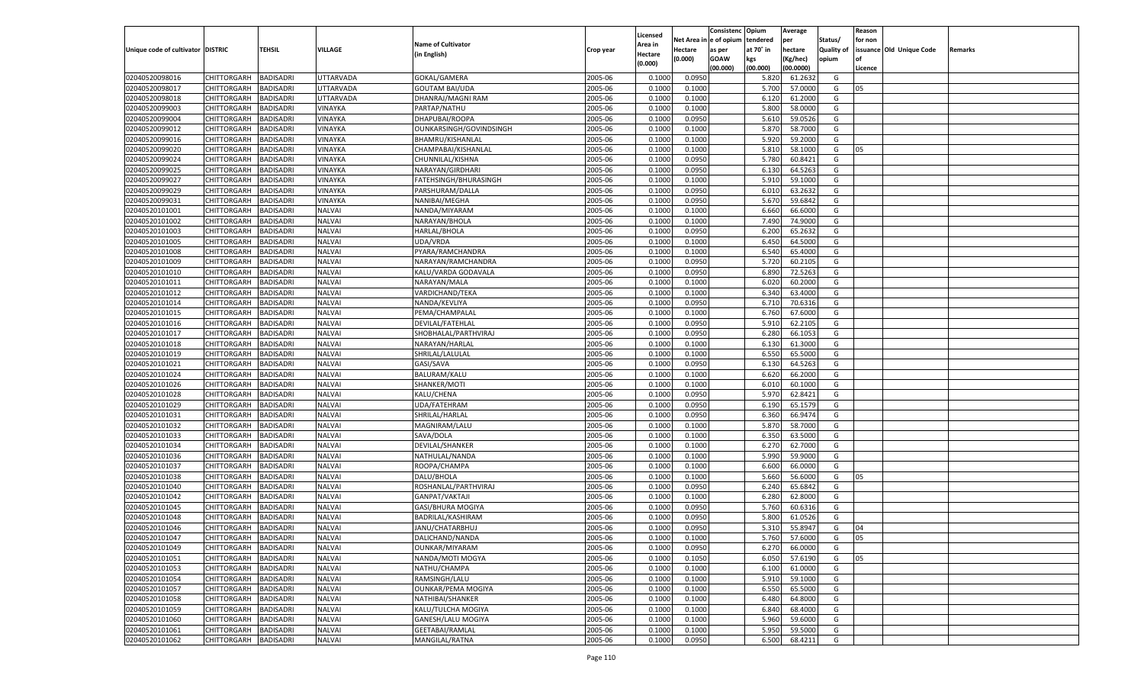|                                   |                       |                  |                |                           |           |                    |            | Consistenc   | Opium     | Average   |                   | Reason  |                          |         |
|-----------------------------------|-----------------------|------------------|----------------|---------------------------|-----------|--------------------|------------|--------------|-----------|-----------|-------------------|---------|--------------------------|---------|
|                                   |                       |                  |                |                           |           | Licensed           | Net Area i | n e of opium | tendered  | per       | Status/           | for non |                          |         |
| Unique code of cultivator DISTRIC |                       | TEHSIL           | <b>VILLAGE</b> | <b>Name of Cultivator</b> | Crop year | Area in            | Hectare    | as per       | at 70° in | hectare   | <b>Quality of</b> |         | issuance Old Unique Code | Remarks |
|                                   |                       |                  |                | (in English)              |           | Hectare<br>(0.000) | (0.000)    | <b>GOAW</b>  | kgs       | (Kg/hec)  | opium             |         |                          |         |
|                                   |                       |                  |                |                           |           |                    |            | (00.000)     | (00.000)  | (00.0000) |                   | Licence |                          |         |
| 02040520098016                    | CHITTORGARH           | BADISADRI        | UTTARVADA      | GOKAL/GAMERA              | 2005-06   | 0.1000             | 0.0950     |              | 5.820     | 61.2632   | G                 |         |                          |         |
| 02040520098017                    | CHITTORGARH           | BADISADRI        | UTTARVADA      | <b>GOUTAM BAI/UDA</b>     | 2005-06   | 0.1000             | 0.1000     |              | 5.700     | 57.0000   | G                 | 05      |                          |         |
| 02040520098018                    | CHITTORGARH           | BADISADRI        | UTTARVADA      | DHANRAJ/MAGNI RAM         | 2005-06   | 0.1000             | 0.1000     |              | 6.120     | 61.2000   | G                 |         |                          |         |
| 02040520099003                    | CHITTORGARH           | BADISADRI        | VINAYKA        | PARTAP/NATHU              | 2005-06   | 0.1000             | 0.1000     |              | 5.800     | 58.0000   | G                 |         |                          |         |
| 02040520099004                    | CHITTORGARH           | BADISADRI        | VINAYKA        | DHAPUBAI/ROOPA            | 2005-06   | 0.1000             | 0.0950     |              | 5.610     | 59.0526   | G                 |         |                          |         |
| 02040520099012                    | CHITTORGARH           | BADISADRI        | VINAYKA        | OUNKARSINGH/GOVINDSINGH   | 2005-06   | 0.1000             | 0.1000     |              | 5.870     | 58.7000   | G                 |         |                          |         |
| 02040520099016                    | CHITTORGARH           | BADISADRI        | VINAYKA        | BHAMRU/KISHANLAL          | 2005-06   | 0.1000             | 0.1000     |              | 5.920     | 59.2000   | G                 |         |                          |         |
| 02040520099020                    | CHITTORGARH           | BADISADRI        | VINAYKA        | CHAMPABAI/KISHANLAL       | 2005-06   | 0.1000             | 0.1000     |              | 5.810     | 58.1000   | G                 | 05      |                          |         |
| 02040520099024                    | CHITTORGARH           | BADISADRI        | VINAYKA        | CHUNNILAL/KISHNA          | 2005-06   | 0.1000             | 0.0950     |              | 5.780     | 60.8421   | G                 |         |                          |         |
| 02040520099025                    | CHITTORGARH           | BADISADRI        | VINAYKA        | NARAYAN/GIRDHARI          | 2005-06   | 0.1000             | 0.0950     |              | 6.130     | 64.5263   | G                 |         |                          |         |
| 02040520099027                    | CHITTORGARH           | BADISADRI        | VINAYKA        | FATEHSINGH/BHURASINGH     | 2005-06   | 0.1000             | 0.1000     |              | 5.910     | 59.1000   | G                 |         |                          |         |
| 02040520099029                    | CHITTORGARH           | BADISADRI        | VINAYKA        | PARSHURAM/DALLA           | 2005-06   | 0.1000             | 0.0950     |              | 6.010     | 63.2632   | G                 |         |                          |         |
| 02040520099031                    | CHITTORGARH           | BADISADRI        | VINAYKA        | NANIBAI/MEGHA             | 2005-06   | 0.1000             | 0.0950     |              | 5.670     | 59.6842   | G                 |         |                          |         |
| 02040520101001                    | CHITTORGARH           | BADISADRI        | NALVAI         | NANDA/MIYARAM             | 2005-06   | 0.1000             | 0.1000     |              | 6.660     | 66.6000   | G                 |         |                          |         |
| 02040520101002                    | CHITTORGARH           | <b>BADISADRI</b> | <b>NALVAI</b>  | NARAYAN/BHOLA             | 2005-06   | 0.1000             | 0.1000     |              | 7.490     | 74.9000   | G                 |         |                          |         |
| 02040520101003                    | CHITTORGARH           | BADISADRI        | NALVAI         | <b>HARLAL/BHOLA</b>       | 2005-06   | 0.1000             | 0.0950     |              | 6.200     | 65.2632   | G                 |         |                          |         |
| 02040520101005                    | CHITTORGARH           | <b>BADISADRI</b> | NALVAI         | UDA/VRDA                  | 2005-06   | 0.1000             | 0.1000     |              | 6.450     | 64.5000   | G                 |         |                          |         |
| 02040520101008                    | CHITTORGARH           | BADISADRI        | NALVAI         | PYARA/RAMCHANDRA          | 2005-06   | 0.1000             | 0.1000     |              | 6.540     | 65.4000   | G                 |         |                          |         |
| 02040520101009                    | CHITTORGARH           | <b>BADISADRI</b> | <b>NALVAI</b>  | NARAYAN/RAMCHANDRA        | 2005-06   | 0.1000             | 0.0950     |              | 5.720     | 60.2105   | G                 |         |                          |         |
| 02040520101010                    | CHITTORGARH           | BADISADRI        | NALVAI         | KALU/VARDA GODAVALA       | 2005-06   | 0.1000             | 0.0950     |              | 6.890     | 72.5263   | G                 |         |                          |         |
| 02040520101011                    | CHITTORGARH           | <b>BADISADRI</b> | NALVAI         | NARAYAN/MALA              | 2005-06   | 0.1000             | 0.1000     |              | 6.020     | 60.2000   | G                 |         |                          |         |
| 02040520101012                    | CHITTORGARH           | BADISADRI        | NALVAI         | VARDICHAND/TEKA           | 2005-06   | 0.1000             | 0.1000     |              | 6.340     | 63.4000   | G                 |         |                          |         |
| 02040520101014                    | CHITTORGARH           | <b>BADISADRI</b> | <b>NALVAI</b>  | NANDA/KEVLIYA             | 2005-06   | 0.1000             | 0.0950     |              | 6.710     | 70.6316   | G                 |         |                          |         |
| 02040520101015                    | CHITTORGARH           | BADISADRI        | NALVAI         | PEMA/CHAMPALAL            | 2005-06   | 0.1000             | 0.1000     |              | 6.760     | 67.6000   | G                 |         |                          |         |
| 02040520101016                    | CHITTORGARH           | <b>BADISADRI</b> | NALVAI         | DEVILAL/FATEHLAL          | 2005-06   | 0.1000             | 0.0950     |              | 5.910     | 62.2105   | G                 |         |                          |         |
| 02040520101017                    | CHITTORGARH           | BADISADRI        | NALVAI         | SHOBHALAL/PARTHVIRAJ      | 2005-06   | 0.1000             | 0.0950     |              | 6.280     | 66.1053   | G                 |         |                          |         |
| 02040520101018                    | CHITTORGARH           | <b>BADISADRI</b> | <b>NALVAI</b>  | NARAYAN/HARLAI            | 2005-06   | 0.1000             | 0.1000     |              | 6.130     | 61.3000   | G                 |         |                          |         |
| 02040520101019                    | CHITTORGARH           | BADISADRI        | NALVAI         | SHRILAL/LALULAL           | 2005-06   | 0.1000             | 0.1000     |              | 6.550     | 65.5000   | G                 |         |                          |         |
| 02040520101021                    | CHITTORGARH           | <b>BADISADRI</b> | NALVAI         | GASI/SAVA                 | 2005-06   | 0.1000             | 0.0950     |              | 6.130     | 64.5263   | G                 |         |                          |         |
| 02040520101024                    | CHITTORGARH           | BADISADRI        | <b>NALVAI</b>  | BALURAM/KALU              | 2005-06   | 0.1000             | 0.1000     |              | 6.620     | 66.2000   | G                 |         |                          |         |
| 02040520101026                    | CHITTORGARH           | <b>BADISADRI</b> | <b>NALVAI</b>  | SHANKER/MOTI              | 2005-06   | 0.1000             | 0.1000     |              | 6.010     | 60.1000   | G                 |         |                          |         |
| 02040520101028                    | CHITTORGARH           | <b>BADISADRI</b> | <b>NALVAI</b>  | KALU/CHENA                | 2005-06   | 0.1000             | 0.0950     |              | 5.970     | 62.8421   | G                 |         |                          |         |
| 02040520101029                    | CHITTORGARH           | <b>BADISADRI</b> | <b>NALVAI</b>  | UDA/FATEHRAM              | 2005-06   | 0.1000             | 0.0950     |              | 6.190     | 65.1579   | G                 |         |                          |         |
| 02040520101031                    | CHITTORGARH           | BADISADRI        | <b>NALVAI</b>  | SHRILAL/HARLAL            | 2005-06   | 0.1000             | 0.0950     |              | 6.360     | 66.9474   | G                 |         |                          |         |
| 02040520101032                    | CHITTORGARH           | <b>BADISADRI</b> | <b>NALVAI</b>  | MAGNIRAM/LALU             | 2005-06   | 0.1000             | 0.1000     |              | 5.870     | 58.7000   | G                 |         |                          |         |
| 02040520101033                    | CHITTORGARH           | <b>BADISADRI</b> | <b>NALVAI</b>  | SAVA/DOLA                 | 2005-06   | 0.1000             | 0.1000     |              | 6.350     | 63.5000   | G                 |         |                          |         |
| 02040520101034                    | CHITTORGARH           | <b>BADISADRI</b> | <b>NALVAI</b>  | DEVILAL/SHANKER           | 2005-06   | 0.1000             | 0.1000     |              | 6.270     | 62.7000   | G                 |         |                          |         |
| 02040520101036                    | CHITTORGARH           | BADISADRI        | <b>NALVAI</b>  | NATHULAL/NANDA            | 2005-06   | 0.1000             | 0.1000     |              | 5.990     | 59.9000   | G                 |         |                          |         |
| 02040520101037                    | CHITTORGARH           | <b>BADISADRI</b> | <b>NALVAI</b>  | ROOPA/CHAMPA              | 2005-06   | 0.1000             | 0.1000     |              | 6.600     | 66.0000   | G                 |         |                          |         |
| 02040520101038                    | CHITTORGARH           | <b>BADISADRI</b> | <b>NALVAI</b>  | DALU/BHOLA                | 2005-06   | 0.1000             | 0.1000     |              | 5.660     | 56.6000   | G                 | 05      |                          |         |
| 02040520101040                    | CHITTORGARH           | <b>BADISADRI</b> | <b>NALVAI</b>  | ROSHANLAL/PARTHVIRAJ      | 2005-06   | 0.1000             | 0.0950     |              | 6.240     | 65.6842   | G                 |         |                          |         |
| 02040520101042                    | CHITTORGARH           | BADISADRI        | <b>NALVAI</b>  | <b>GANPAT/VAKTAJI</b>     | 2005-06   | 0.1000             | 0.1000     |              | 6.280     | 62.8000   | G                 |         |                          |         |
| 02040520101045                    | CHITTORGARH           | BADISADRI        | <b>NALVAI</b>  | GASI/BHURA MOGIYA         | 2005-06   | 0.1000             | 0.0950     |              | 5.760     | 60.6316   | G                 |         |                          |         |
| 02040520101048                    | CHITTORGARH           | BADISADRI        | <b>NALVAI</b>  | BADRILAL/KASHIRAM         | 2005-06   | 0.1000             | 0.0950     |              | 5.800     | 61.0526   | G                 |         |                          |         |
| 02040520101046                    | CHITTORGARH           | <b>BADISADRI</b> | <b>NALVAI</b>  | JANU/CHATARBHUJ           | 2005-06   | 0.1000             | 0.0950     |              | 5.310     | 55.8947   | G                 | 04      |                          |         |
| 02040520101047                    | CHITTORGARH BADISADRI |                  | <b>NALVAI</b>  | DALICHAND/NANDA           | 2005-06   | 0.1000             | 0.1000     |              | 5.760     | 57.6000   | G                 | 05      |                          |         |
| 02040520101049                    | CHITTORGARH           | <b>BADISADRI</b> | <b>NALVAI</b>  | OUNKAR/MIYARAM            | 2005-06   | 0.1000             | 0.0950     |              | 6.270     | 66.0000   | G                 |         |                          |         |
| 02040520101051                    | <b>CHITTORGARH</b>    | <b>BADISADRI</b> | <b>NALVAI</b>  | NANDA/MOTI MOGYA          | 2005-06   | 0.1000             | 0.1050     |              | 6.050     | 57.6190   | G                 | 05      |                          |         |
| 02040520101053                    | CHITTORGARH           | <b>BADISADRI</b> | <b>NALVAI</b>  | NATHU/CHAMPA              | 2005-06   | 0.1000             | 0.1000     |              | 6.100     | 61.0000   | G                 |         |                          |         |
| 02040520101054                    | <b>CHITTORGARH</b>    | <b>BADISADRI</b> | <b>NALVAI</b>  | RAMSINGH/LALU             | 2005-06   | 0.1000             | 0.1000     |              | 5.910     | 59.1000   | G                 |         |                          |         |
| 02040520101057                    | CHITTORGARH           | <b>BADISADRI</b> | <b>NALVAI</b>  | OUNKAR/PEMA MOGIYA        | 2005-06   | 0.1000             | 0.1000     |              | 6.550     | 65.5000   | G                 |         |                          |         |
| 02040520101058                    | <b>CHITTORGARH</b>    | <b>BADISADRI</b> | <b>NALVAI</b>  | NATHIBAI/SHANKER          | 2005-06   | 0.1000             | 0.1000     |              | 6.480     | 64.8000   | G                 |         |                          |         |
| 02040520101059                    | CHITTORGARH           | <b>BADISADRI</b> | <b>NALVAI</b>  | KALU/TULCHA MOGIYA        | 2005-06   | 0.1000             | 0.1000     |              | 6.840     | 68.4000   | G                 |         |                          |         |
| 02040520101060                    | <b>CHITTORGARH</b>    | <b>BADISADRI</b> | <b>NALVAI</b>  | GANESH/LALU MOGIYA        | 2005-06   | 0.1000             | 0.1000     |              | 5.960     | 59.6000   | G                 |         |                          |         |
|                                   | <b>CHITTORGARH</b>    | <b>BADISADRI</b> | <b>NALVAI</b>  |                           |           |                    | 0.1000     |              |           |           | G                 |         |                          |         |
| 02040520101061                    |                       |                  |                | GEETABAI/RAMLAL           | 2005-06   | 0.1000             |            |              | 5.950     | 59.5000   |                   |         |                          |         |
| 02040520101062                    | <b>CHITTORGARH</b>    | <b>BADISADRI</b> | <b>NALVAI</b>  | MANGILAL/RATNA            | 2005-06   | 0.1000             | 0.0950     |              | 6.500     | 68.4211   | G                 |         |                          |         |